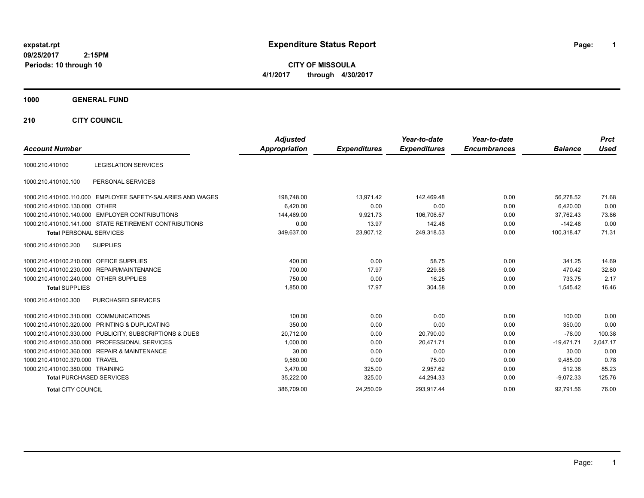# **expstat.rpt Expenditure Status Report Page:**

**1**

**CITY OF MISSOULA 4/1/2017 through 4/30/2017**

## **1000 GENERAL FUND**

**210 CITY COUNCIL**

| <b>Account Number</b>                   |                                                            | <b>Adjusted</b><br><b>Appropriation</b> | <b>Expenditures</b> | Year-to-date<br><b>Expenditures</b> | Year-to-date<br><b>Encumbrances</b> | <b>Balance</b> | <b>Prct</b><br><b>Used</b> |
|-----------------------------------------|------------------------------------------------------------|-----------------------------------------|---------------------|-------------------------------------|-------------------------------------|----------------|----------------------------|
|                                         |                                                            |                                         |                     |                                     |                                     |                |                            |
| 1000.210.410100                         | <b>LEGISLATION SERVICES</b>                                |                                         |                     |                                     |                                     |                |                            |
| 1000.210.410100.100                     | PERSONAL SERVICES                                          |                                         |                     |                                     |                                     |                |                            |
|                                         | 1000.210.410100.110.000 EMPLOYEE SAFETY-SALARIES AND WAGES | 198,748.00                              | 13.971.42           | 142.469.48                          | 0.00                                | 56.278.52      | 71.68                      |
| 1000.210.410100.130.000 OTHER           |                                                            | 6,420.00                                | 0.00                | 0.00                                | 0.00                                | 6,420.00       | 0.00                       |
|                                         | 1000.210.410100.140.000 EMPLOYER CONTRIBUTIONS             | 144,469.00                              | 9,921.73            | 106,706.57                          | 0.00                                | 37,762.43      | 73.86                      |
|                                         | 1000.210.410100.141.000 STATE RETIREMENT CONTRIBUTIONS     | 0.00                                    | 13.97               | 142.48                              | 0.00                                | $-142.48$      | 0.00                       |
| <b>Total PERSONAL SERVICES</b>          |                                                            | 349,637.00                              | 23,907.12           | 249,318.53                          | 0.00                                | 100,318.47     | 71.31                      |
| 1000.210.410100.200                     | <b>SUPPLIES</b>                                            |                                         |                     |                                     |                                     |                |                            |
| 1000.210.410100.210.000 OFFICE SUPPLIES |                                                            | 400.00                                  | 0.00                | 58.75                               | 0.00                                | 341.25         | 14.69                      |
|                                         | 1000.210.410100.230.000 REPAIR/MAINTENANCE                 | 700.00                                  | 17.97               | 229.58                              | 0.00                                | 470.42         | 32.80                      |
| 1000.210.410100.240.000 OTHER SUPPLIES  |                                                            | 750.00                                  | 0.00                | 16.25                               | 0.00                                | 733.75         | 2.17                       |
| <b>Total SUPPLIES</b>                   |                                                            | 1,850.00                                | 17.97               | 304.58                              | 0.00                                | 1,545.42       | 16.46                      |
| 1000.210.410100.300                     | <b>PURCHASED SERVICES</b>                                  |                                         |                     |                                     |                                     |                |                            |
| 1000.210.410100.310.000 COMMUNICATIONS  |                                                            | 100.00                                  | 0.00                | 0.00                                | 0.00                                | 100.00         | 0.00                       |
|                                         | 1000.210.410100.320.000 PRINTING & DUPLICATING             | 350.00                                  | 0.00                | 0.00                                | 0.00                                | 350.00         | 0.00                       |
|                                         | 1000.210.410100.330.000 PUBLICITY, SUBSCRIPTIONS & DUES    | 20,712.00                               | 0.00                | 20,790.00                           | 0.00                                | $-78.00$       | 100.38                     |
|                                         | 1000.210.410100.350.000 PROFESSIONAL SERVICES              | 1,000.00                                | 0.00                | 20,471.71                           | 0.00                                | $-19,471.71$   | 2,047.17                   |
|                                         | 1000.210.410100.360.000 REPAIR & MAINTENANCE               | 30.00                                   | 0.00                | 0.00                                | 0.00                                | 30.00          | 0.00                       |
| 1000.210.410100.370.000 TRAVEL          |                                                            | 9,560.00                                | 0.00                | 75.00                               | 0.00                                | 9,485.00       | 0.78                       |
| 1000.210.410100.380.000 TRAINING        |                                                            | 3,470.00                                | 325.00              | 2,957.62                            | 0.00                                | 512.38         | 85.23                      |
| <b>Total PURCHASED SERVICES</b>         |                                                            | 35,222.00                               | 325.00              | 44,294.33                           | 0.00                                | $-9,072.33$    | 125.76                     |
| <b>Total CITY COUNCIL</b>               |                                                            | 386.709.00                              | 24.250.09           | 293.917.44                          | 0.00                                | 92.791.56      | 76.00                      |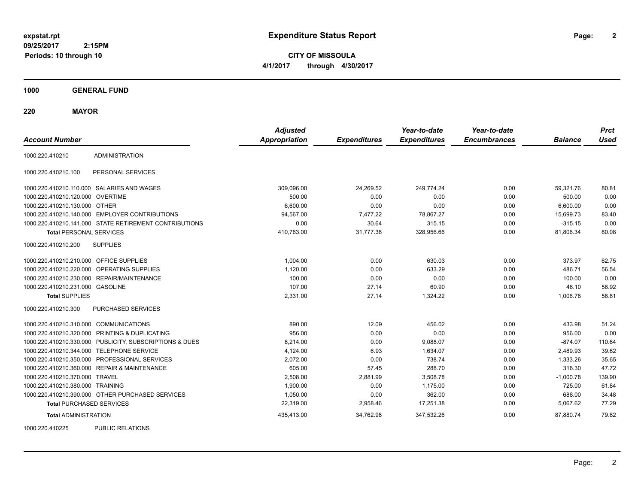**2**

**CITY OF MISSOULA 4/1/2017 through 4/30/2017**

**1000 GENERAL FUND**

**220 MAYOR**

| <b>Account Number</b>                   |                                                         | <b>Adjusted</b><br><b>Appropriation</b> |                     | Year-to-date<br><b>Expenditures</b> | Year-to-date<br><b>Encumbrances</b> | <b>Balance</b> | <b>Prct</b><br><b>Used</b> |
|-----------------------------------------|---------------------------------------------------------|-----------------------------------------|---------------------|-------------------------------------|-------------------------------------|----------------|----------------------------|
|                                         |                                                         |                                         | <b>Expenditures</b> |                                     |                                     |                |                            |
| 1000.220.410210                         | <b>ADMINISTRATION</b>                                   |                                         |                     |                                     |                                     |                |                            |
| 1000.220.410210.100                     | PERSONAL SERVICES                                       |                                         |                     |                                     |                                     |                |                            |
|                                         | 1000.220.410210.110.000 SALARIES AND WAGES              | 309,096.00                              | 24,269.52           | 249.774.24                          | 0.00                                | 59.321.76      | 80.81                      |
| 1000.220.410210.120.000 OVERTIME        |                                                         | 500.00                                  | 0.00                | 0.00                                | 0.00                                | 500.00         | 0.00                       |
| 1000.220.410210.130.000 OTHER           |                                                         | 6,600.00                                | 0.00                | 0.00                                | 0.00                                | 6,600.00       | 0.00                       |
|                                         | 1000.220.410210.140.000 EMPLOYER CONTRIBUTIONS          | 94,567.00                               | 7,477.22            | 78,867.27                           | 0.00                                | 15,699.73      | 83.40                      |
|                                         | 1000.220.410210.141.000 STATE RETIREMENT CONTRIBUTIONS  | 0.00                                    | 30.64               | 315.15                              | 0.00                                | $-315.15$      | 0.00                       |
| <b>Total PERSONAL SERVICES</b>          |                                                         | 410,763.00                              | 31,777.38           | 328,956.66                          | 0.00                                | 81,806.34      | 80.08                      |
| 1000.220.410210.200                     | <b>SUPPLIES</b>                                         |                                         |                     |                                     |                                     |                |                            |
| 1000.220.410210.210.000 OFFICE SUPPLIES |                                                         | 1,004.00                                | 0.00                | 630.03                              | 0.00                                | 373.97         | 62.75                      |
|                                         | 1000.220.410210.220.000 OPERATING SUPPLIES              | 1,120.00                                | 0.00                | 633.29                              | 0.00                                | 486.71         | 56.54                      |
|                                         | 1000.220.410210.230.000 REPAIR/MAINTENANCE              | 100.00                                  | 0.00                | 0.00                                | 0.00                                | 100.00         | 0.00                       |
| 1000.220.410210.231.000 GASOLINE        |                                                         | 107.00                                  | 27.14               | 60.90                               | 0.00                                | 46.10          | 56.92                      |
| <b>Total SUPPLIES</b>                   |                                                         | 2,331.00                                | 27.14               | 1,324.22                            | 0.00                                | 1,006.78       | 56.81                      |
| 1000.220.410210.300                     | PURCHASED SERVICES                                      |                                         |                     |                                     |                                     |                |                            |
| 1000.220.410210.310.000 COMMUNICATIONS  |                                                         | 890.00                                  | 12.09               | 456.02                              | 0.00                                | 433.98         | 51.24                      |
|                                         | 1000.220.410210.320.000 PRINTING & DUPLICATING          | 956.00                                  | 0.00                | 0.00                                | 0.00                                | 956.00         | 0.00                       |
|                                         | 1000.220.410210.330.000 PUBLICITY, SUBSCRIPTIONS & DUES | 8,214.00                                | 0.00                | 9,088.07                            | 0.00                                | $-874.07$      | 110.64                     |
|                                         | 1000.220.410210.344.000 TELEPHONE SERVICE               | 4,124.00                                | 6.93                | 1,634.07                            | 0.00                                | 2,489.93       | 39.62                      |
|                                         | 1000.220.410210.350.000 PROFESSIONAL SERVICES           | 2,072.00                                | 0.00                | 738.74                              | 0.00                                | 1,333.26       | 35.65                      |
|                                         | 1000.220.410210.360.000 REPAIR & MAINTENANCE            | 605.00                                  | 57.45               | 288.70                              | 0.00                                | 316.30         | 47.72                      |
| 1000.220.410210.370.000 TRAVEL          |                                                         | 2,508.00                                | 2,881.99            | 3,508.78                            | 0.00                                | $-1,000.78$    | 139.90                     |
| 1000.220.410210.380.000 TRAINING        |                                                         | 1,900.00                                | 0.00                | 1.175.00                            | 0.00                                | 725.00         | 61.84                      |
|                                         | 1000.220.410210.390.000 OTHER PURCHASED SERVICES        | 1,050.00                                | 0.00                | 362.00                              | 0.00                                | 688.00         | 34.48                      |
| <b>Total PURCHASED SERVICES</b>         |                                                         | 22,319.00                               | 2,958.46            | 17,251.38                           | 0.00                                | 5,067.62       | 77.29                      |
| <b>Total ADMINISTRATION</b>             |                                                         | 435,413.00                              | 34,762.98           | 347,532.26                          | 0.00                                | 87,880.74      | 79.82                      |
| 1000000110005                           | <b>DUDLIO DEL ATIONO</b>                                |                                         |                     |                                     |                                     |                |                            |

1000.220.410225 PUBLIC RELATIONS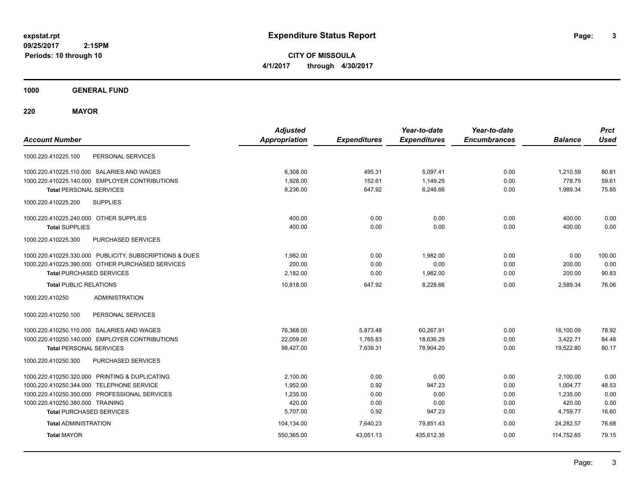**CITY OF MISSOULA 4/1/2017 through 4/30/2017**

**1000 GENERAL FUND**

**220 MAYOR**

| <b>Account Number</b>                                   | <b>Adjusted</b><br><b>Appropriation</b> | <b>Expenditures</b> | Year-to-date<br><b>Expenditures</b> | Year-to-date<br><b>Encumbrances</b> | <b>Balance</b> | <b>Prct</b><br><b>Used</b> |
|---------------------------------------------------------|-----------------------------------------|---------------------|-------------------------------------|-------------------------------------|----------------|----------------------------|
| PERSONAL SERVICES<br>1000.220.410225.100                |                                         |                     |                                     |                                     |                |                            |
| 1000.220.410225.110.000 SALARIES AND WAGES              | 6,308.00                                | 495.31              | 5,097.41                            | 0.00                                | 1.210.59       | 80.81                      |
| 1000.220.410225.140.000 EMPLOYER CONTRIBUTIONS          | 1,928.00                                | 152.61              | 1,149.25                            | 0.00                                | 778.75         | 59.61                      |
| <b>Total PERSONAL SERVICES</b>                          | 8,236.00                                | 647.92              | 6,246.66                            | 0.00                                | 1,989.34       | 75.85                      |
| 1000.220.410225.200<br><b>SUPPLIES</b>                  |                                         |                     |                                     |                                     |                |                            |
| 1000.220.410225.240.000 OTHER SUPPLIES                  | 400.00                                  | 0.00                | 0.00                                | 0.00                                | 400.00         | 0.00                       |
| <b>Total SUPPLIES</b>                                   | 400.00                                  | 0.00                | 0.00                                | 0.00                                | 400.00         | 0.00                       |
| PURCHASED SERVICES<br>1000.220.410225.300               |                                         |                     |                                     |                                     |                |                            |
| 1000.220.410225.330.000 PUBLICITY, SUBSCRIPTIONS & DUES | 1,982.00                                | 0.00                | 1,982.00                            | 0.00                                | 0.00           | 100.00                     |
| 1000.220.410225.390.000 OTHER PURCHASED SERVICES        | 200.00                                  | 0.00                | 0.00                                | 0.00                                | 200.00         | 0.00                       |
| <b>Total PURCHASED SERVICES</b>                         | 2,182.00                                | 0.00                | 1,982.00                            | 0.00                                | 200.00         | 90.83                      |
| <b>Total PUBLIC RELATIONS</b>                           | 10,818.00                               | 647.92              | 8.228.66                            | 0.00                                | 2,589.34       | 76.06                      |
| 1000.220.410250<br><b>ADMINISTRATION</b>                |                                         |                     |                                     |                                     |                |                            |
| 1000.220.410250.100<br>PERSONAL SERVICES                |                                         |                     |                                     |                                     |                |                            |
| 1000.220.410250.110.000 SALARIES AND WAGES              | 76,368.00                               | 5,873.48            | 60,267.91                           | 0.00                                | 16,100.09      | 78.92                      |
| 1000.220.410250.140.000 EMPLOYER CONTRIBUTIONS          | 22,059.00                               | 1,765.83            | 18,636.29                           | 0.00                                | 3,422.71       | 84.48                      |
| <b>Total PERSONAL SERVICES</b>                          | 98,427.00                               | 7,639.31            | 78,904.20                           | 0.00                                | 19,522.80      | 80.17                      |
| PURCHASED SERVICES<br>1000.220.410250.300               |                                         |                     |                                     |                                     |                |                            |
| 1000.220.410250.320.000 PRINTING & DUPLICATING          | 2,100.00                                | 0.00                | 0.00                                | 0.00                                | 2,100.00       | 0.00                       |
| 1000.220.410250.344.000 TELEPHONE SERVICE               | 1,952.00                                | 0.92                | 947.23                              | 0.00                                | 1,004.77       | 48.53                      |
| 1000.220.410250.350.000 PROFESSIONAL SERVICES           | 1,235.00                                | 0.00                | 0.00                                | 0.00                                | 1,235.00       | 0.00                       |
| 1000.220.410250.380.000 TRAINING                        | 420.00                                  | 0.00                | 0.00                                | 0.00                                | 420.00         | 0.00                       |
| <b>Total PURCHASED SERVICES</b>                         | 5,707.00                                | 0.92                | 947.23                              | 0.00                                | 4,759.77       | 16.60                      |
| <b>Total ADMINISTRATION</b>                             | 104,134.00                              | 7,640.23            | 79,851.43                           | 0.00                                | 24,282.57      | 76.68                      |
| <b>Total MAYOR</b>                                      | 550,365.00                              | 43,051.13           | 435,612.35                          | 0.00                                | 114,752.65     | 79.15                      |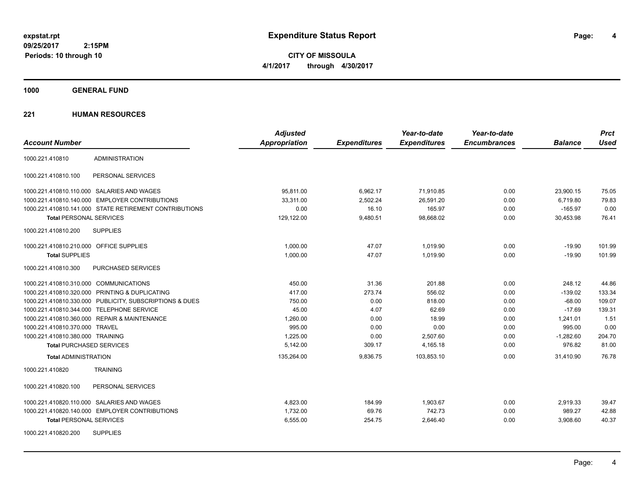**CITY OF MISSOULA 4/1/2017 through 4/30/2017**

**1000 GENERAL FUND**

|                                                         | <b>Adjusted</b>      |                     | Year-to-date        | Year-to-date        |                | <b>Prct</b> |
|---------------------------------------------------------|----------------------|---------------------|---------------------|---------------------|----------------|-------------|
| <b>Account Number</b>                                   | <b>Appropriation</b> | <b>Expenditures</b> | <b>Expenditures</b> | <b>Encumbrances</b> | <b>Balance</b> | <b>Used</b> |
| <b>ADMINISTRATION</b><br>1000.221.410810                |                      |                     |                     |                     |                |             |
| PERSONAL SERVICES<br>1000.221.410810.100                |                      |                     |                     |                     |                |             |
| 1000.221.410810.110.000 SALARIES AND WAGES              | 95,811.00            | 6,962.17            | 71,910.85           | 0.00                | 23,900.15      | 75.05       |
| 1000.221.410810.140.000 EMPLOYER CONTRIBUTIONS          | 33,311.00            | 2,502.24            | 26,591.20           | 0.00                | 6,719.80       | 79.83       |
| 1000.221.410810.141.000 STATE RETIREMENT CONTRIBUTIONS  | 0.00                 | 16.10               | 165.97              | 0.00                | $-165.97$      | 0.00        |
| <b>Total PERSONAL SERVICES</b>                          | 129,122.00           | 9,480.51            | 98,668.02           | 0.00                | 30,453.98      | 76.41       |
| 1000.221.410810.200<br><b>SUPPLIES</b>                  |                      |                     |                     |                     |                |             |
| 1000.221.410810.210.000 OFFICE SUPPLIES                 | 1.000.00             | 47.07               | 1,019.90            | 0.00                | $-19.90$       | 101.99      |
| <b>Total SUPPLIES</b>                                   | 1,000.00             | 47.07               | 1,019.90            | 0.00                | $-19.90$       | 101.99      |
| 1000.221.410810.300<br>PURCHASED SERVICES               |                      |                     |                     |                     |                |             |
| 1000.221.410810.310.000 COMMUNICATIONS                  | 450.00               | 31.36               | 201.88              | 0.00                | 248.12         | 44.86       |
| 1000.221.410810.320.000 PRINTING & DUPLICATING          | 417.00               | 273.74              | 556.02              | 0.00                | $-139.02$      | 133.34      |
| 1000.221.410810.330.000 PUBLICITY, SUBSCRIPTIONS & DUES | 750.00               | 0.00                | 818.00              | 0.00                | $-68.00$       | 109.07      |
| 1000.221.410810.344.000 TELEPHONE SERVICE               | 45.00                | 4.07                | 62.69               | 0.00                | $-17.69$       | 139.31      |
| 1000.221.410810.360.000 REPAIR & MAINTENANCE            | 1,260.00             | 0.00                | 18.99               | 0.00                | 1,241.01       | 1.51        |
| 1000.221.410810.370.000 TRAVEL                          | 995.00               | 0.00                | 0.00                | 0.00                | 995.00         | 0.00        |
| 1000.221.410810.380.000 TRAINING                        | 1,225.00             | 0.00                | 2,507.60            | 0.00                | $-1,282.60$    | 204.70      |
| <b>Total PURCHASED SERVICES</b>                         | 5,142.00             | 309.17              | 4,165.18            | 0.00                | 976.82         | 81.00       |
| <b>Total ADMINISTRATION</b>                             | 135,264.00           | 9,836.75            | 103,853.10          | 0.00                | 31,410.90      | 76.78       |
| 1000.221.410820<br><b>TRAINING</b>                      |                      |                     |                     |                     |                |             |
| 1000.221.410820.100<br>PERSONAL SERVICES                |                      |                     |                     |                     |                |             |
| 1000.221.410820.110.000 SALARIES AND WAGES              | 4,823.00             | 184.99              | 1,903.67            | 0.00                | 2,919.33       | 39.47       |
| 1000.221.410820.140.000 EMPLOYER CONTRIBUTIONS          | 1,732.00             | 69.76               | 742.73              | 0.00                | 989.27         | 42.88       |
| <b>Total PERSONAL SERVICES</b>                          | 6,555.00             | 254.75              | 2,646.40            | 0.00                | 3,908.60       | 40.37       |
| <b>SUPPLIES</b><br>1000.221.410820.200                  |                      |                     |                     |                     |                |             |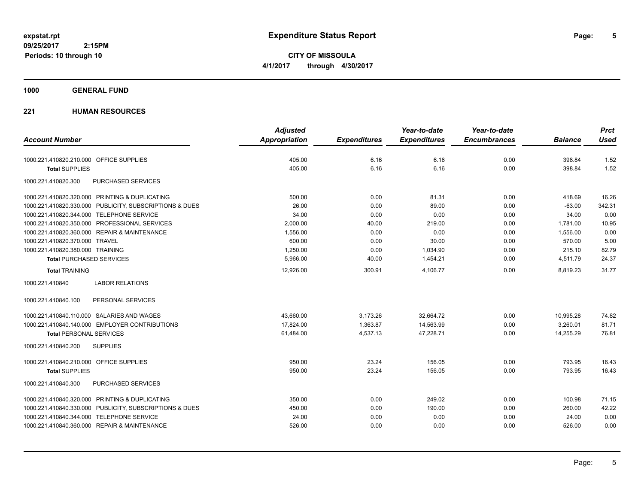**CITY OF MISSOULA 4/1/2017 through 4/30/2017**

## **1000 GENERAL FUND**

|                                                         | <b>Adjusted</b>      |                     | Year-to-date        | Year-to-date        |                | <b>Prct</b> |
|---------------------------------------------------------|----------------------|---------------------|---------------------|---------------------|----------------|-------------|
| <b>Account Number</b>                                   | <b>Appropriation</b> | <b>Expenditures</b> | <b>Expenditures</b> | <b>Encumbrances</b> | <b>Balance</b> | <b>Used</b> |
| 1000.221.410820.210.000 OFFICE SUPPLIES                 | 405.00               | 6.16                | 6.16                | 0.00                | 398.84         | 1.52        |
| <b>Total SUPPLIES</b>                                   | 405.00               | 6.16                | 6.16                | 0.00                | 398.84         | 1.52        |
| 1000.221.410820.300<br>PURCHASED SERVICES               |                      |                     |                     |                     |                |             |
| 1000.221.410820.320.000 PRINTING & DUPLICATING          | 500.00               | 0.00                | 81.31               | 0.00                | 418.69         | 16.26       |
| 1000.221.410820.330.000 PUBLICITY, SUBSCRIPTIONS & DUES | 26.00                | 0.00                | 89.00               | 0.00                | $-63.00$       | 342.31      |
| 1000.221.410820.344.000 TELEPHONE SERVICE               | 34.00                | 0.00                | 0.00                | 0.00                | 34.00          | 0.00        |
| 1000.221.410820.350.000 PROFESSIONAL SERVICES           | 2,000.00             | 40.00               | 219.00              | 0.00                | 1,781.00       | 10.95       |
| 1000.221.410820.360.000 REPAIR & MAINTENANCE            | 1,556.00             | 0.00                | 0.00                | 0.00                | 1,556.00       | 0.00        |
| 1000.221.410820.370.000 TRAVEL                          | 600.00               | 0.00                | 30.00               | 0.00                | 570.00         | 5.00        |
| 1000.221.410820.380.000 TRAINING                        | 1,250.00             | 0.00                | 1,034.90            | 0.00                | 215.10         | 82.79       |
| <b>Total PURCHASED SERVICES</b>                         | 5,966.00             | 40.00               | 1,454.21            | 0.00                | 4,511.79       | 24.37       |
| <b>Total TRAINING</b>                                   | 12,926.00            | 300.91              | 4,106.77            | 0.00                | 8,819.23       | 31.77       |
| <b>LABOR RELATIONS</b><br>1000.221.410840               |                      |                     |                     |                     |                |             |
| 1000.221.410840.100<br>PERSONAL SERVICES                |                      |                     |                     |                     |                |             |
| 1000.221.410840.110.000 SALARIES AND WAGES              | 43,660.00            | 3,173.26            | 32,664.72           | 0.00                | 10,995.28      | 74.82       |
| 1000.221.410840.140.000 EMPLOYER CONTRIBUTIONS          | 17,824.00            | 1,363.87            | 14,563.99           | 0.00                | 3,260.01       | 81.71       |
| <b>Total PERSONAL SERVICES</b>                          | 61,484.00            | 4,537.13            | 47,228.71           | 0.00                | 14,255.29      | 76.81       |
| 1000.221.410840.200<br><b>SUPPLIES</b>                  |                      |                     |                     |                     |                |             |
| 1000.221.410840.210.000 OFFICE SUPPLIES                 | 950.00               | 23.24               | 156.05              | 0.00                | 793.95         | 16.43       |
| <b>Total SUPPLIES</b>                                   | 950.00               | 23.24               | 156.05              | 0.00                | 793.95         | 16.43       |
| <b>PURCHASED SERVICES</b><br>1000.221.410840.300        |                      |                     |                     |                     |                |             |
| 1000.221.410840.320.000 PRINTING & DUPLICATING          | 350.00               | 0.00                | 249.02              | 0.00                | 100.98         | 71.15       |
| 1000.221.410840.330.000 PUBLICITY, SUBSCRIPTIONS & DUES | 450.00               | 0.00                | 190.00              | 0.00                | 260.00         | 42.22       |
| 1000.221.410840.344.000 TELEPHONE SERVICE               | 24.00                | 0.00                | 0.00                | 0.00                | 24.00          | 0.00        |
| 1000.221.410840.360.000 REPAIR & MAINTENANCE            | 526.00               | 0.00                | 0.00                | 0.00                | 526.00         | 0.00        |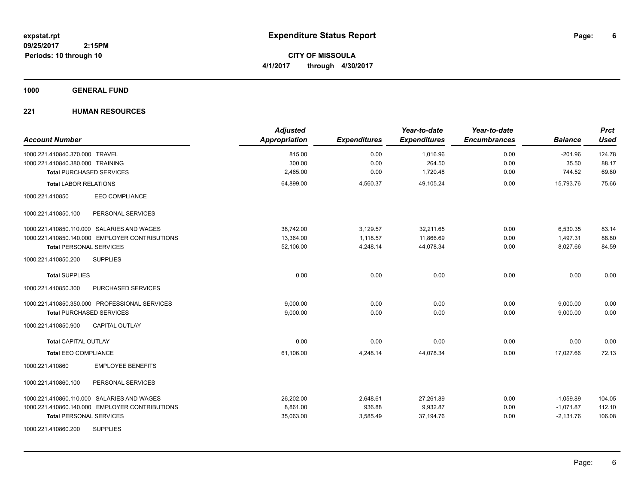**CITY OF MISSOULA 4/1/2017 through 4/30/2017**

**1000 GENERAL FUND**

| <b>Account Number</b>                          | <b>Adjusted</b><br>Appropriation | <b>Expenditures</b> | Year-to-date<br><b>Expenditures</b> | Year-to-date<br><b>Encumbrances</b> | <b>Balance</b> | <b>Prct</b><br><b>Used</b> |
|------------------------------------------------|----------------------------------|---------------------|-------------------------------------|-------------------------------------|----------------|----------------------------|
| 1000.221.410840.370.000 TRAVEL                 | 815.00                           | 0.00                | 1,016.96                            | 0.00                                | $-201.96$      | 124.78                     |
| 1000.221.410840.380.000 TRAINING               | 300.00                           | 0.00                | 264.50                              | 0.00                                | 35.50          | 88.17                      |
| <b>Total PURCHASED SERVICES</b>                | 2,465.00                         | 0.00                | 1,720.48                            | 0.00                                | 744.52         | 69.80                      |
| <b>Total LABOR RELATIONS</b>                   | 64,899.00                        | 4,560.37            | 49,105.24                           | 0.00                                | 15,793.76      | 75.66                      |
| EEO COMPLIANCE<br>1000.221.410850              |                                  |                     |                                     |                                     |                |                            |
| 1000.221.410850.100<br>PERSONAL SERVICES       |                                  |                     |                                     |                                     |                |                            |
| 1000.221.410850.110.000 SALARIES AND WAGES     | 38,742.00                        | 3,129.57            | 32,211.65                           | 0.00                                | 6,530.35       | 83.14                      |
| 1000.221.410850.140.000 EMPLOYER CONTRIBUTIONS | 13,364.00                        | 1,118.57            | 11,866.69                           | 0.00                                | 1,497.31       | 88.80                      |
| <b>Total PERSONAL SERVICES</b>                 | 52,106.00                        | 4,248.14            | 44,078.34                           | 0.00                                | 8,027.66       | 84.59                      |
| <b>SUPPLIES</b><br>1000.221.410850.200         |                                  |                     |                                     |                                     |                |                            |
| <b>Total SUPPLIES</b>                          | 0.00                             | 0.00                | 0.00                                | 0.00                                | 0.00           | 0.00                       |
| 1000.221.410850.300<br>PURCHASED SERVICES      |                                  |                     |                                     |                                     |                |                            |
| 1000.221.410850.350.000 PROFESSIONAL SERVICES  | 9,000.00                         | 0.00                | 0.00                                | 0.00                                | 9,000.00       | 0.00                       |
| <b>Total PURCHASED SERVICES</b>                | 9,000.00                         | 0.00                | 0.00                                | 0.00                                | 9,000.00       | 0.00                       |
| 1000.221.410850.900<br><b>CAPITAL OUTLAY</b>   |                                  |                     |                                     |                                     |                |                            |
| <b>Total CAPITAL OUTLAY</b>                    | 0.00                             | 0.00                | 0.00                                | 0.00                                | 0.00           | 0.00                       |
| <b>Total EEO COMPLIANCE</b>                    | 61,106.00                        | 4,248.14            | 44.078.34                           | 0.00                                | 17.027.66      | 72.13                      |
| 1000.221.410860<br><b>EMPLOYEE BENEFITS</b>    |                                  |                     |                                     |                                     |                |                            |
| PERSONAL SERVICES<br>1000.221.410860.100       |                                  |                     |                                     |                                     |                |                            |
| 1000.221.410860.110.000 SALARIES AND WAGES     | 26,202.00                        | 2,648.61            | 27,261.89                           | 0.00                                | $-1,059.89$    | 104.05                     |
| 1000.221.410860.140.000 EMPLOYER CONTRIBUTIONS | 8,861.00                         | 936.88              | 9,932.87                            | 0.00                                | $-1,071.87$    | 112.10                     |
| <b>Total PERSONAL SERVICES</b>                 | 35,063.00                        | 3,585.49            | 37,194.76                           | 0.00                                | $-2,131.76$    | 106.08                     |
| <b>SUPPLIES</b><br>1000.221.410860.200         |                                  |                     |                                     |                                     |                |                            |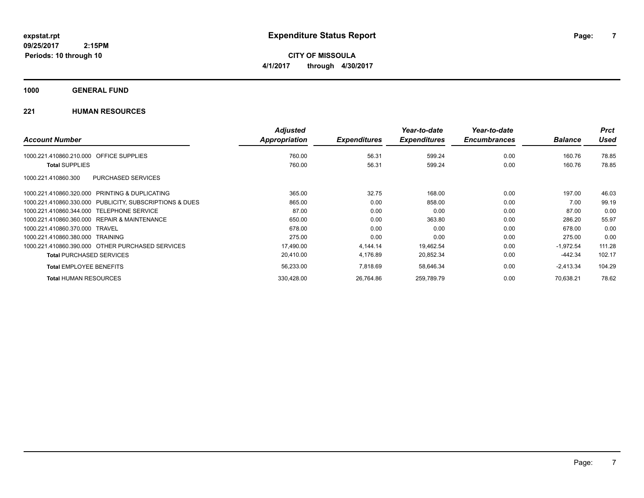**CITY OF MISSOULA 4/1/2017 through 4/30/2017**

## **1000 GENERAL FUND**

|                                                              | <b>Adjusted</b> |                     | Year-to-date        | Year-to-date        |                | <b>Prct</b> |
|--------------------------------------------------------------|-----------------|---------------------|---------------------|---------------------|----------------|-------------|
| <b>Account Number</b>                                        | Appropriation   | <b>Expenditures</b> | <b>Expenditures</b> | <b>Encumbrances</b> | <b>Balance</b> | <b>Used</b> |
| OFFICE SUPPLIES<br>1000.221.410860.210.000                   | 760.00          | 56.31               | 599.24              | 0.00                | 160.76         | 78.85       |
| <b>Total SUPPLIES</b>                                        | 760.00          | 56.31               | 599.24              | 0.00                | 160.76         | 78.85       |
| PURCHASED SERVICES<br>1000.221.410860.300                    |                 |                     |                     |                     |                |             |
| <b>PRINTING &amp; DUPLICATING</b><br>1000.221.410860.320.000 | 365.00          | 32.75               | 168.00              | 0.00                | 197.00         | 46.03       |
| 1000.221.410860.330.000 PUBLICITY, SUBSCRIPTIONS & DUES      | 865.00          | 0.00                | 858.00              | 0.00                | 7.00           | 99.19       |
| 1000.221.410860.344.000<br><b>TELEPHONE SERVICE</b>          | 87.00           | 0.00                | 0.00                | 0.00                | 87.00          | 0.00        |
| 1000.221.410860.360.000<br>REPAIR & MAINTENANCE              | 650.00          | 0.00                | 363.80              | 0.00                | 286.20         | 55.97       |
| 1000.221.410860.370.000<br><b>TRAVEL</b>                     | 678.00          | 0.00                | 0.00                | 0.00                | 678.00         | 0.00        |
| 1000.221.410860.380.000 TRAINING                             | 275.00          | 0.00                | 0.00                | 0.00                | 275.00         | 0.00        |
| 1000.221.410860.390.000 OTHER PURCHASED SERVICES             | 17,490.00       | 4,144.14            | 19,462.54           | 0.00                | $-1,972.54$    | 111.28      |
| <b>Total PURCHASED SERVICES</b>                              | 20,410.00       | 4,176.89            | 20,852.34           | 0.00                | -442.34        | 102.17      |
| <b>Total EMPLOYEE BENEFITS</b>                               | 56,233.00       | 7,818.69            | 58,646.34           | 0.00                | $-2,413.34$    | 104.29      |
| <b>Total HUMAN RESOURCES</b>                                 | 330,428.00      | 26,764.86           | 259,789.79          | 0.00                | 70.638.21      | 78.62       |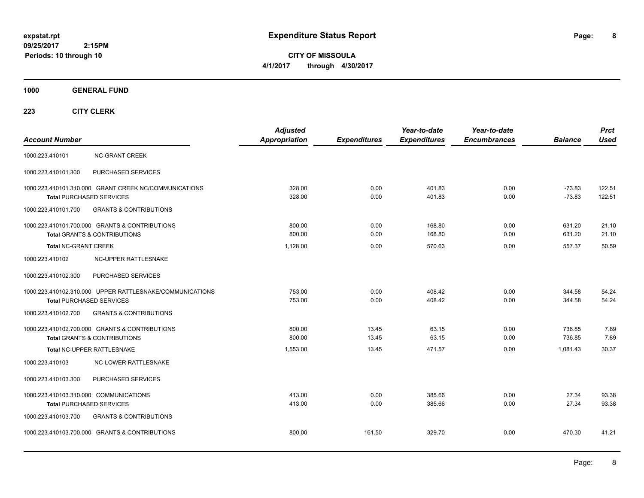**8**

**CITY OF MISSOULA 4/1/2017 through 4/30/2017**

**1000 GENERAL FUND**

| <b>Account Number</b>                  |                                                                                             | <b>Adjusted</b><br><b>Appropriation</b> | <b>Expenditures</b> | Year-to-date<br><b>Expenditures</b> | Year-to-date<br><b>Encumbrances</b> | <b>Balance</b>       | <b>Prct</b><br><b>Used</b> |
|----------------------------------------|---------------------------------------------------------------------------------------------|-----------------------------------------|---------------------|-------------------------------------|-------------------------------------|----------------------|----------------------------|
| 1000.223.410101                        | <b>NC-GRANT CREEK</b>                                                                       |                                         |                     |                                     |                                     |                      |                            |
| 1000.223.410101.300                    | PURCHASED SERVICES                                                                          |                                         |                     |                                     |                                     |                      |                            |
|                                        | 1000.223.410101.310.000 GRANT CREEK NC/COMMUNICATIONS<br><b>Total PURCHASED SERVICES</b>    | 328.00<br>328.00                        | 0.00<br>0.00        | 401.83<br>401.83                    | 0.00<br>0.00                        | $-73.83$<br>$-73.83$ | 122.51<br>122.51           |
| 1000.223.410101.700                    | <b>GRANTS &amp; CONTRIBUTIONS</b>                                                           |                                         |                     |                                     |                                     |                      |                            |
|                                        | 1000.223.410101.700.000 GRANTS & CONTRIBUTIONS<br><b>Total GRANTS &amp; CONTRIBUTIONS</b>   | 800.00<br>800.00                        | 0.00<br>0.00        | 168.80<br>168.80                    | 0.00<br>0.00                        | 631.20<br>631.20     | 21.10<br>21.10             |
| <b>Total NC-GRANT CREEK</b>            |                                                                                             | 1,128.00                                | 0.00                | 570.63                              | 0.00                                | 557.37               | 50.59                      |
| 1000.223.410102                        | NC-UPPER RATTLESNAKE                                                                        |                                         |                     |                                     |                                     |                      |                            |
| 1000.223.410102.300                    | PURCHASED SERVICES                                                                          |                                         |                     |                                     |                                     |                      |                            |
|                                        | 1000.223.410102.310.000 UPPER RATTLESNAKE/COMMUNICATIONS<br><b>Total PURCHASED SERVICES</b> | 753.00<br>753.00                        | 0.00<br>0.00        | 408.42<br>408.42                    | 0.00<br>0.00                        | 344.58<br>344.58     | 54.24<br>54.24             |
| 1000.223.410102.700                    | <b>GRANTS &amp; CONTRIBUTIONS</b>                                                           |                                         |                     |                                     |                                     |                      |                            |
|                                        | 1000.223.410102.700.000 GRANTS & CONTRIBUTIONS<br><b>Total GRANTS &amp; CONTRIBUTIONS</b>   | 800.00<br>800.00                        | 13.45<br>13.45      | 63.15<br>63.15                      | 0.00<br>0.00                        | 736.85<br>736.85     | 7.89<br>7.89               |
|                                        | Total NC-UPPER RATTLESNAKE                                                                  | 1,553.00                                | 13.45               | 471.57                              | 0.00                                | 1,081.43             | 30.37                      |
| 1000.223.410103                        | <b>NC-LOWER RATTLESNAKE</b>                                                                 |                                         |                     |                                     |                                     |                      |                            |
| 1000.223.410103.300                    | PURCHASED SERVICES                                                                          |                                         |                     |                                     |                                     |                      |                            |
| 1000.223.410103.310.000 COMMUNICATIONS | <b>Total PURCHASED SERVICES</b>                                                             | 413.00<br>413.00                        | 0.00<br>0.00        | 385.66<br>385.66                    | 0.00<br>0.00                        | 27.34<br>27.34       | 93.38<br>93.38             |
| 1000.223.410103.700                    | <b>GRANTS &amp; CONTRIBUTIONS</b>                                                           |                                         |                     |                                     |                                     |                      |                            |
|                                        | 1000.223.410103.700.000 GRANTS & CONTRIBUTIONS                                              | 800.00                                  | 161.50              | 329.70                              | 0.00                                | 470.30               | 41.21                      |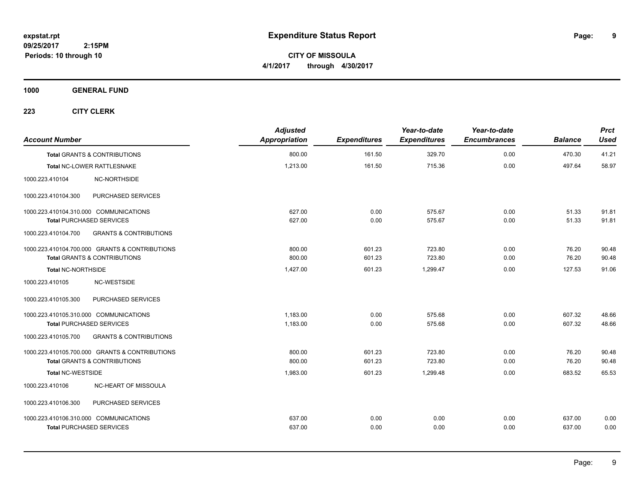**9**

**CITY OF MISSOULA 4/1/2017 through 4/30/2017**

**1000 GENERAL FUND**

| <b>Account Number</b>                  |                                                | <b>Adjusted</b><br>Appropriation | <b>Expenditures</b> | Year-to-date<br><b>Expenditures</b> | Year-to-date<br><b>Encumbrances</b> | <b>Balance</b> | <b>Prct</b><br><b>Used</b> |
|----------------------------------------|------------------------------------------------|----------------------------------|---------------------|-------------------------------------|-------------------------------------|----------------|----------------------------|
|                                        | <b>Total GRANTS &amp; CONTRIBUTIONS</b>        | 800.00                           | 161.50              | 329.70                              | 0.00                                | 470.30         | 41.21                      |
|                                        | Total NC-LOWER RATTLESNAKE                     | 1,213.00                         | 161.50              | 715.36                              | 0.00                                | 497.64         | 58.97                      |
| 1000.223.410104                        | NC-NORTHSIDE                                   |                                  |                     |                                     |                                     |                |                            |
| 1000.223.410104.300                    | PURCHASED SERVICES                             |                                  |                     |                                     |                                     |                |                            |
| 1000.223.410104.310.000 COMMUNICATIONS |                                                | 627.00                           | 0.00                | 575.67                              | 0.00                                | 51.33          | 91.81                      |
| <b>Total PURCHASED SERVICES</b>        |                                                | 627.00                           | 0.00                | 575.67                              | 0.00                                | 51.33          | 91.81                      |
| 1000.223.410104.700                    | <b>GRANTS &amp; CONTRIBUTIONS</b>              |                                  |                     |                                     |                                     |                |                            |
|                                        | 1000.223.410104.700.000 GRANTS & CONTRIBUTIONS | 800.00                           | 601.23              | 723.80                              | 0.00                                | 76.20          | 90.48                      |
|                                        | <b>Total GRANTS &amp; CONTRIBUTIONS</b>        | 800.00                           | 601.23              | 723.80                              | 0.00                                | 76.20          | 90.48                      |
| <b>Total NC-NORTHSIDE</b>              |                                                | 1,427.00                         | 601.23              | 1,299.47                            | 0.00                                | 127.53         | 91.06                      |
| 1000.223.410105                        | NC-WESTSIDE                                    |                                  |                     |                                     |                                     |                |                            |
| 1000.223.410105.300                    | PURCHASED SERVICES                             |                                  |                     |                                     |                                     |                |                            |
| 1000.223.410105.310.000 COMMUNICATIONS |                                                | 1,183.00                         | 0.00                | 575.68                              | 0.00                                | 607.32         | 48.66                      |
| <b>Total PURCHASED SERVICES</b>        |                                                | 1,183.00                         | 0.00                | 575.68                              | 0.00                                | 607.32         | 48.66                      |
| 1000.223.410105.700                    | <b>GRANTS &amp; CONTRIBUTIONS</b>              |                                  |                     |                                     |                                     |                |                            |
|                                        | 1000.223.410105.700.000 GRANTS & CONTRIBUTIONS | 800.00                           | 601.23              | 723.80                              | 0.00                                | 76.20          | 90.48                      |
|                                        | <b>Total GRANTS &amp; CONTRIBUTIONS</b>        | 800.00                           | 601.23              | 723.80                              | 0.00                                | 76.20          | 90.48                      |
| <b>Total NC-WESTSIDE</b>               |                                                | 1,983.00                         | 601.23              | 1,299.48                            | 0.00                                | 683.52         | 65.53                      |
| 1000.223.410106                        | NC-HEART OF MISSOULA                           |                                  |                     |                                     |                                     |                |                            |
| 1000.223.410106.300                    | PURCHASED SERVICES                             |                                  |                     |                                     |                                     |                |                            |
| 1000.223.410106.310.000 COMMUNICATIONS |                                                | 637.00                           | 0.00                | 0.00                                | 0.00                                | 637.00         | 0.00                       |
| <b>Total PURCHASED SERVICES</b>        |                                                | 637.00                           | 0.00                | 0.00                                | 0.00                                | 637.00         | 0.00                       |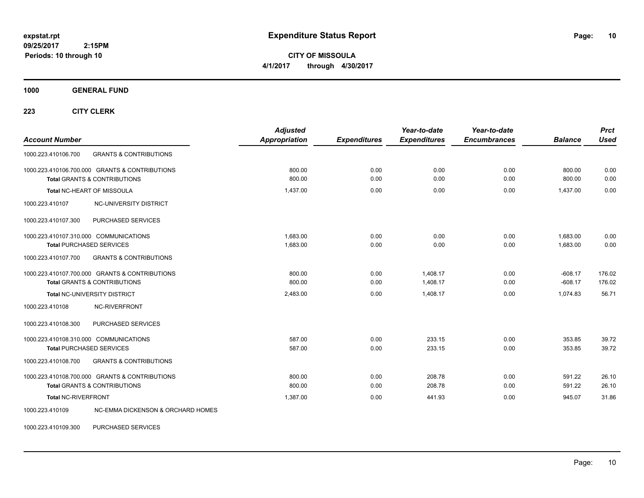**CITY OF MISSOULA 4/1/2017 through 4/30/2017**

**1000 GENERAL FUND**

**223 CITY CLERK**

| <b>Account Number</b>                                                                     | <b>Adjusted</b><br><b>Appropriation</b> | <b>Expenditures</b> | Year-to-date<br><b>Expenditures</b> | Year-to-date<br><b>Encumbrances</b> | <b>Balance</b>         | <b>Prct</b><br><b>Used</b> |
|-------------------------------------------------------------------------------------------|-----------------------------------------|---------------------|-------------------------------------|-------------------------------------|------------------------|----------------------------|
| <b>GRANTS &amp; CONTRIBUTIONS</b><br>1000.223.410106.700                                  |                                         |                     |                                     |                                     |                        |                            |
| 1000.223.410106.700.000 GRANTS & CONTRIBUTIONS<br><b>Total GRANTS &amp; CONTRIBUTIONS</b> | 800.00<br>800.00                        | 0.00<br>0.00        | 0.00<br>0.00                        | 0.00<br>0.00                        | 800.00<br>800.00       | 0.00<br>0.00               |
| <b>Total NC-HEART OF MISSOULA</b>                                                         | 1,437.00                                | 0.00                | 0.00                                | 0.00                                | 1,437.00               | 0.00                       |
| 1000.223.410107<br>NC-UNIVERSITY DISTRICT                                                 |                                         |                     |                                     |                                     |                        |                            |
| PURCHASED SERVICES<br>1000.223.410107.300                                                 |                                         |                     |                                     |                                     |                        |                            |
| 1000.223.410107.310.000 COMMUNICATIONS<br><b>Total PURCHASED SERVICES</b>                 | 1.683.00<br>1,683.00                    | 0.00<br>0.00        | 0.00<br>0.00                        | 0.00<br>0.00                        | 1,683.00<br>1.683.00   | 0.00<br>0.00               |
| 1000.223.410107.700<br><b>GRANTS &amp; CONTRIBUTIONS</b>                                  |                                         |                     |                                     |                                     |                        |                            |
| 1000.223.410107.700.000 GRANTS & CONTRIBUTIONS<br><b>Total GRANTS &amp; CONTRIBUTIONS</b> | 800.00<br>800.00                        | 0.00<br>0.00        | 1.408.17<br>1,408.17                | 0.00<br>0.00                        | $-608.17$<br>$-608.17$ | 176.02<br>176.02           |
| Total NC-UNIVERSITY DISTRICT                                                              | 2,483.00                                | 0.00                | 1,408.17                            | 0.00                                | 1,074.83               | 56.71                      |
| NC-RIVERFRONT<br>1000.223.410108                                                          |                                         |                     |                                     |                                     |                        |                            |
| 1000.223.410108.300<br>PURCHASED SERVICES                                                 |                                         |                     |                                     |                                     |                        |                            |
| 1000.223.410108.310.000 COMMUNICATIONS<br><b>Total PURCHASED SERVICES</b>                 | 587.00<br>587.00                        | 0.00<br>0.00        | 233.15<br>233.15                    | 0.00<br>0.00                        | 353.85<br>353.85       | 39.72<br>39.72             |
| <b>GRANTS &amp; CONTRIBUTIONS</b><br>1000.223.410108.700                                  |                                         |                     |                                     |                                     |                        |                            |
| 1000.223.410108.700.000 GRANTS & CONTRIBUTIONS<br><b>Total GRANTS &amp; CONTRIBUTIONS</b> | 800.00<br>800.00                        | 0.00<br>0.00        | 208.78<br>208.78                    | 0.00<br>0.00                        | 591.22<br>591.22       | 26.10<br>26.10             |
| <b>Total NC-RIVERFRONT</b>                                                                | 1,387.00                                | 0.00                | 441.93                              | 0.00                                | 945.07                 | 31.86                      |
| NC-EMMA DICKENSON & ORCHARD HOMES<br>1000.223.410109                                      |                                         |                     |                                     |                                     |                        |                            |

1000.223.410109.300 PURCHASED SERVICES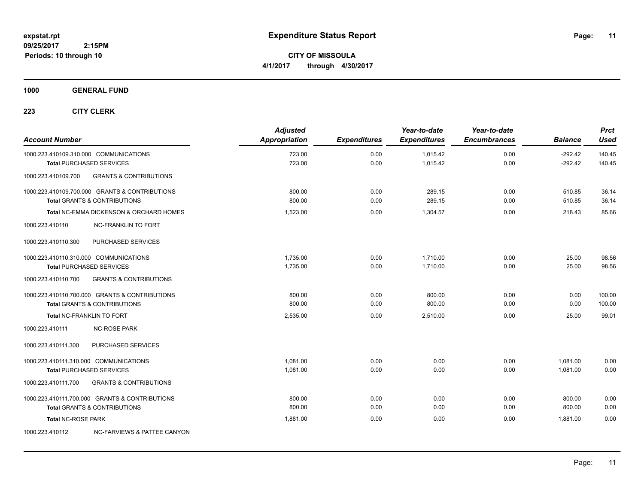**CITY OF MISSOULA 4/1/2017 through 4/30/2017**

## **1000 GENERAL FUND**

| <b>Account Number</b>                  |                                                                                           | <b>Adjusted</b><br>Appropriation | <b>Expenditures</b> | Year-to-date<br><b>Expenditures</b> | Year-to-date<br><b>Encumbrances</b> | <b>Balance</b>         | <b>Prct</b><br><b>Used</b> |
|----------------------------------------|-------------------------------------------------------------------------------------------|----------------------------------|---------------------|-------------------------------------|-------------------------------------|------------------------|----------------------------|
| 1000.223.410109.310.000 COMMUNICATIONS | <b>Total PURCHASED SERVICES</b>                                                           | 723.00<br>723.00                 | 0.00<br>0.00        | 1,015.42<br>1,015.42                | 0.00<br>0.00                        | $-292.42$<br>$-292.42$ | 140.45<br>140.45           |
| 1000.223.410109.700                    | <b>GRANTS &amp; CONTRIBUTIONS</b>                                                         |                                  |                     |                                     |                                     |                        |                            |
|                                        | 1000.223.410109.700.000 GRANTS & CONTRIBUTIONS<br><b>Total GRANTS &amp; CONTRIBUTIONS</b> | 800.00<br>800.00                 | 0.00<br>0.00        | 289.15<br>289.15                    | 0.00<br>0.00                        | 510.85<br>510.85       | 36.14<br>36.14             |
|                                        | Total NC-EMMA DICKENSON & ORCHARD HOMES                                                   | 1,523.00                         | 0.00                | 1,304.57                            | 0.00                                | 218.43                 | 85.66                      |
| 1000.223.410110                        | <b>NC-FRANKLIN TO FORT</b>                                                                |                                  |                     |                                     |                                     |                        |                            |
| 1000.223.410110.300                    | PURCHASED SERVICES                                                                        |                                  |                     |                                     |                                     |                        |                            |
| 1000.223.410110.310.000 COMMUNICATIONS | <b>Total PURCHASED SERVICES</b>                                                           | 1,735.00<br>1,735.00             | 0.00<br>0.00        | 1,710.00<br>1.710.00                | 0.00<br>0.00                        | 25.00<br>25.00         | 98.56<br>98.56             |
| 1000.223.410110.700                    | <b>GRANTS &amp; CONTRIBUTIONS</b>                                                         |                                  |                     |                                     |                                     |                        |                            |
|                                        | 1000.223.410110.700.000 GRANTS & CONTRIBUTIONS<br><b>Total GRANTS &amp; CONTRIBUTIONS</b> | 800.00<br>800.00                 | 0.00<br>0.00        | 800.00<br>800.00                    | 0.00<br>0.00                        | 0.00<br>0.00           | 100.00<br>100.00           |
| Total NC-FRANKLIN TO FORT              |                                                                                           | 2,535.00                         | 0.00                | 2,510.00                            | 0.00                                | 25.00                  | 99.01                      |
| 1000.223.410111                        | <b>NC-ROSE PARK</b>                                                                       |                                  |                     |                                     |                                     |                        |                            |
| 1000.223.410111.300                    | PURCHASED SERVICES                                                                        |                                  |                     |                                     |                                     |                        |                            |
| 1000.223.410111.310.000 COMMUNICATIONS | <b>Total PURCHASED SERVICES</b>                                                           | 1,081.00<br>1,081.00             | 0.00<br>0.00        | 0.00<br>0.00                        | 0.00<br>0.00                        | 1,081.00<br>1.081.00   | 0.00<br>0.00               |
| 1000.223.410111.700                    | <b>GRANTS &amp; CONTRIBUTIONS</b>                                                         |                                  |                     |                                     |                                     |                        |                            |
|                                        | 1000.223.410111.700.000 GRANTS & CONTRIBUTIONS<br><b>Total GRANTS &amp; CONTRIBUTIONS</b> | 800.00<br>800.00                 | 0.00<br>0.00        | 0.00<br>0.00                        | 0.00<br>0.00                        | 800.00<br>800.00       | 0.00<br>0.00               |
| <b>Total NC-ROSE PARK</b>              |                                                                                           | 1,881.00                         | 0.00                | 0.00                                | 0.00                                | 1,881.00               | 0.00                       |
| 1000.223.410112                        | NC-FARVIEWS & PATTEE CANYON                                                               |                                  |                     |                                     |                                     |                        |                            |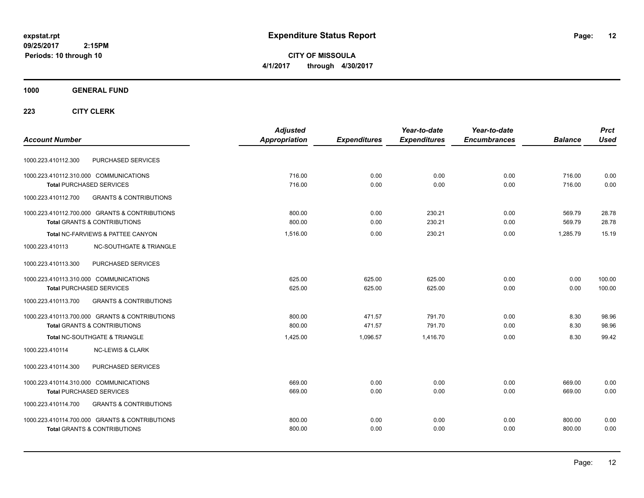**CITY OF MISSOULA 4/1/2017 through 4/30/2017**

## **1000 GENERAL FUND**

|                                                          | <b>Adjusted</b>      |                     | Year-to-date        | Year-to-date        |                | <b>Prct</b> |
|----------------------------------------------------------|----------------------|---------------------|---------------------|---------------------|----------------|-------------|
| <b>Account Number</b>                                    | <b>Appropriation</b> | <b>Expenditures</b> | <b>Expenditures</b> | <b>Encumbrances</b> | <b>Balance</b> | <b>Used</b> |
| PURCHASED SERVICES<br>1000.223.410112.300                |                      |                     |                     |                     |                |             |
| 1000.223.410112.310.000 COMMUNICATIONS                   | 716.00               | 0.00                | 0.00                | 0.00                | 716.00         | 0.00        |
| <b>Total PURCHASED SERVICES</b>                          | 716.00               | 0.00                | 0.00                | 0.00                | 716.00         | 0.00        |
| 1000.223.410112.700<br><b>GRANTS &amp; CONTRIBUTIONS</b> |                      |                     |                     |                     |                |             |
| 1000.223.410112.700.000 GRANTS & CONTRIBUTIONS           | 800.00               | 0.00                | 230.21              | 0.00                | 569.79         | 28.78       |
| <b>Total GRANTS &amp; CONTRIBUTIONS</b>                  | 800.00               | 0.00                | 230.21              | 0.00                | 569.79         | 28.78       |
| Total NC-FARVIEWS & PATTEE CANYON                        | 1,516.00             | 0.00                | 230.21              | 0.00                | 1.285.79       | 15.19       |
| <b>NC-SOUTHGATE &amp; TRIANGLE</b><br>1000.223.410113    |                      |                     |                     |                     |                |             |
| PURCHASED SERVICES<br>1000.223.410113.300                |                      |                     |                     |                     |                |             |
| 1000.223.410113.310.000 COMMUNICATIONS                   | 625.00               | 625.00              | 625.00              | 0.00                | 0.00           | 100.00      |
| <b>Total PURCHASED SERVICES</b>                          | 625.00               | 625.00              | 625.00              | 0.00                | 0.00           | 100.00      |
| 1000.223.410113.700<br><b>GRANTS &amp; CONTRIBUTIONS</b> |                      |                     |                     |                     |                |             |
| 1000.223.410113.700.000 GRANTS & CONTRIBUTIONS           | 800.00               | 471.57              | 791.70              | 0.00                | 8.30           | 98.96       |
| <b>Total GRANTS &amp; CONTRIBUTIONS</b>                  | 800.00               | 471.57              | 791.70              | 0.00                | 8.30           | 98.96       |
| <b>Total NC-SOUTHGATE &amp; TRIANGLE</b>                 | 1,425.00             | 1,096.57            | 1,416.70            | 0.00                | 8.30           | 99.42       |
| 1000.223.410114<br><b>NC-LEWIS &amp; CLARK</b>           |                      |                     |                     |                     |                |             |
| 1000.223.410114.300<br>PURCHASED SERVICES                |                      |                     |                     |                     |                |             |
| 1000.223.410114.310.000 COMMUNICATIONS                   | 669.00               | 0.00                | 0.00                | 0.00                | 669.00         | 0.00        |
| <b>Total PURCHASED SERVICES</b>                          | 669.00               | 0.00                | 0.00                | 0.00                | 669.00         | 0.00        |
| <b>GRANTS &amp; CONTRIBUTIONS</b><br>1000.223.410114.700 |                      |                     |                     |                     |                |             |
| 1000.223.410114.700.000 GRANTS & CONTRIBUTIONS           | 800.00               | 0.00                | 0.00                | 0.00                | 800.00         | 0.00        |
| <b>Total GRANTS &amp; CONTRIBUTIONS</b>                  | 800.00               | 0.00                | 0.00                | 0.00                | 800.00         | 0.00        |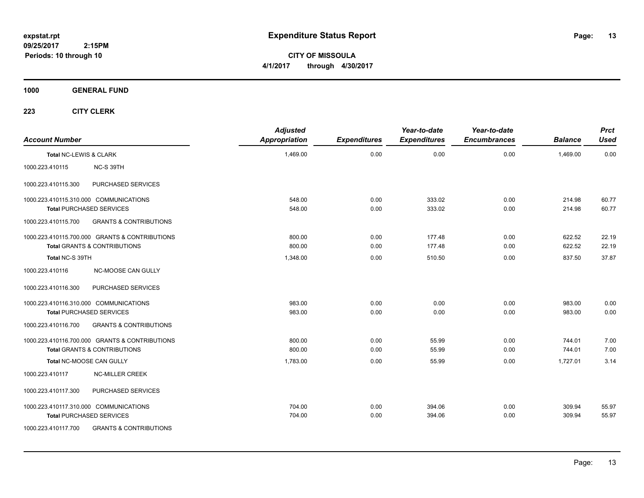**CITY OF MISSOULA 4/1/2017 through 4/30/2017**

**1000 GENERAL FUND**

| <b>Account Number</b>  |                                                | <b>Adjusted</b><br>Appropriation | <b>Expenditures</b> | Year-to-date<br><b>Expenditures</b> | Year-to-date<br><b>Encumbrances</b> | <b>Balance</b> | <b>Prct</b><br><b>Used</b> |
|------------------------|------------------------------------------------|----------------------------------|---------------------|-------------------------------------|-------------------------------------|----------------|----------------------------|
| Total NC-LEWIS & CLARK |                                                | 1,469.00                         | 0.00                | 0.00                                | 0.00                                | 1,469.00       | 0.00                       |
| 1000.223.410115        | NC-S 39TH                                      |                                  |                     |                                     |                                     |                |                            |
| 1000.223.410115.300    | PURCHASED SERVICES                             |                                  |                     |                                     |                                     |                |                            |
|                        | 1000.223.410115.310.000 COMMUNICATIONS         | 548.00                           | 0.00                | 333.02                              | 0.00                                | 214.98         | 60.77                      |
|                        | <b>Total PURCHASED SERVICES</b>                | 548.00                           | 0.00                | 333.02                              | 0.00                                | 214.98         | 60.77                      |
| 1000.223.410115.700    | <b>GRANTS &amp; CONTRIBUTIONS</b>              |                                  |                     |                                     |                                     |                |                            |
|                        | 1000.223.410115.700.000 GRANTS & CONTRIBUTIONS | 800.00                           | 0.00                | 177.48                              | 0.00                                | 622.52         | 22.19                      |
|                        | <b>Total GRANTS &amp; CONTRIBUTIONS</b>        | 800.00                           | 0.00                | 177.48                              | 0.00                                | 622.52         | 22.19                      |
| Total NC-S 39TH        |                                                | 1.348.00                         | 0.00                | 510.50                              | 0.00                                | 837.50         | 37.87                      |
| 1000.223.410116        | NC-MOOSE CAN GULLY                             |                                  |                     |                                     |                                     |                |                            |
| 1000.223.410116.300    | PURCHASED SERVICES                             |                                  |                     |                                     |                                     |                |                            |
|                        | 1000.223.410116.310.000 COMMUNICATIONS         | 983.00                           | 0.00                | 0.00                                | 0.00                                | 983.00         | 0.00                       |
|                        | <b>Total PURCHASED SERVICES</b>                | 983.00                           | 0.00                | 0.00                                | 0.00                                | 983.00         | 0.00                       |
| 1000.223.410116.700    | <b>GRANTS &amp; CONTRIBUTIONS</b>              |                                  |                     |                                     |                                     |                |                            |
|                        | 1000.223.410116.700.000 GRANTS & CONTRIBUTIONS | 800.00                           | 0.00                | 55.99                               | 0.00                                | 744.01         | 7.00                       |
|                        | <b>Total GRANTS &amp; CONTRIBUTIONS</b>        | 800.00                           | 0.00                | 55.99                               | 0.00                                | 744.01         | 7.00                       |
|                        | Total NC-MOOSE CAN GULLY                       | 1,783.00                         | 0.00                | 55.99                               | 0.00                                | 1,727.01       | 3.14                       |
| 1000.223.410117        | <b>NC-MILLER CREEK</b>                         |                                  |                     |                                     |                                     |                |                            |
| 1000.223.410117.300    | PURCHASED SERVICES                             |                                  |                     |                                     |                                     |                |                            |
|                        | 1000.223.410117.310.000 COMMUNICATIONS         | 704.00                           | 0.00                | 394.06                              | 0.00                                | 309.94         | 55.97                      |
|                        | <b>Total PURCHASED SERVICES</b>                | 704.00                           | 0.00                | 394.06                              | 0.00                                | 309.94         | 55.97                      |
| 1000.223.410117.700    | <b>GRANTS &amp; CONTRIBUTIONS</b>              |                                  |                     |                                     |                                     |                |                            |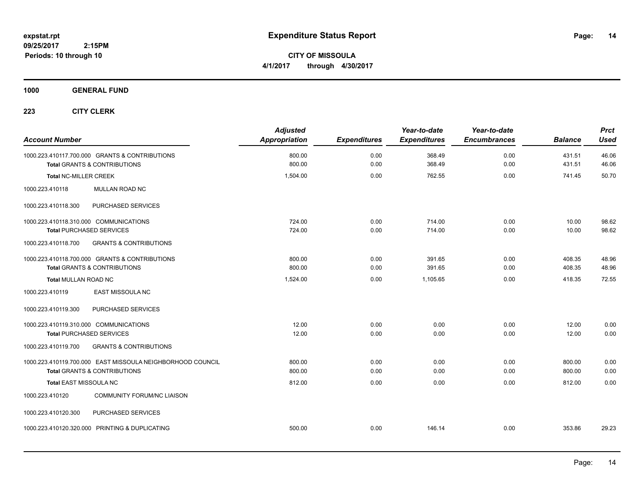**CITY OF MISSOULA 4/1/2017 through 4/30/2017**

## **1000 GENERAL FUND**

| <b>Account Number</b>                                                                                 | <b>Adjusted</b><br><b>Appropriation</b> | <b>Expenditures</b> | Year-to-date<br><b>Expenditures</b> | Year-to-date<br><b>Encumbrances</b> | <b>Balance</b>   | <b>Prct</b><br><b>Used</b> |
|-------------------------------------------------------------------------------------------------------|-----------------------------------------|---------------------|-------------------------------------|-------------------------------------|------------------|----------------------------|
| 1000.223.410117.700.000 GRANTS & CONTRIBUTIONS<br><b>Total GRANTS &amp; CONTRIBUTIONS</b>             | 800.00<br>800.00                        | 0.00<br>0.00        | 368.49<br>368.49                    | 0.00<br>0.00                        | 431.51<br>431.51 | 46.06<br>46.06             |
| <b>Total NC-MILLER CREEK</b>                                                                          | 1,504.00                                | 0.00                | 762.55                              | 0.00                                | 741.45           | 50.70                      |
| 1000.223.410118<br>MULLAN ROAD NC                                                                     |                                         |                     |                                     |                                     |                  |                            |
| PURCHASED SERVICES<br>1000.223.410118.300                                                             |                                         |                     |                                     |                                     |                  |                            |
| 1000.223.410118.310.000 COMMUNICATIONS<br><b>Total PURCHASED SERVICES</b>                             | 724.00<br>724.00                        | 0.00<br>0.00        | 714.00<br>714.00                    | 0.00<br>0.00                        | 10.00<br>10.00   | 98.62<br>98.62             |
| <b>GRANTS &amp; CONTRIBUTIONS</b><br>1000.223.410118.700                                              |                                         |                     |                                     |                                     |                  |                            |
| 1000.223.410118.700.000 GRANTS & CONTRIBUTIONS<br><b>Total GRANTS &amp; CONTRIBUTIONS</b>             | 800.00<br>800.00                        | 0.00<br>0.00        | 391.65<br>391.65                    | 0.00<br>0.00                        | 408.35<br>408.35 | 48.96<br>48.96             |
| Total MULLAN ROAD NC                                                                                  | 1,524.00                                | 0.00                | 1,105.65                            | 0.00                                | 418.35           | 72.55                      |
| EAST MISSOULA NC<br>1000.223.410119                                                                   |                                         |                     |                                     |                                     |                  |                            |
| PURCHASED SERVICES<br>1000.223.410119.300                                                             |                                         |                     |                                     |                                     |                  |                            |
| 1000.223.410119.310.000 COMMUNICATIONS<br><b>Total PURCHASED SERVICES</b>                             | 12.00<br>12.00                          | 0.00<br>0.00        | 0.00<br>0.00                        | 0.00<br>0.00                        | 12.00<br>12.00   | 0.00<br>0.00               |
| <b>GRANTS &amp; CONTRIBUTIONS</b><br>1000.223.410119.700                                              |                                         |                     |                                     |                                     |                  |                            |
| 1000.223.410119.700.000 EAST MISSOULA NEIGHBORHOOD COUNCIL<br><b>Total GRANTS &amp; CONTRIBUTIONS</b> | 800.00<br>800.00                        | 0.00<br>0.00        | 0.00<br>0.00                        | 0.00<br>0.00                        | 800.00<br>800.00 | 0.00<br>0.00               |
| <b>Total EAST MISSOULA NC</b>                                                                         | 812.00                                  | 0.00                | 0.00                                | 0.00                                | 812.00           | 0.00                       |
| <b>COMMUNITY FORUM/NC LIAISON</b><br>1000.223.410120                                                  |                                         |                     |                                     |                                     |                  |                            |
| 1000.223.410120.300<br>PURCHASED SERVICES                                                             |                                         |                     |                                     |                                     |                  |                            |
| 1000.223.410120.320.000 PRINTING & DUPLICATING                                                        | 500.00                                  | 0.00                | 146.14                              | 0.00                                | 353.86           | 29.23                      |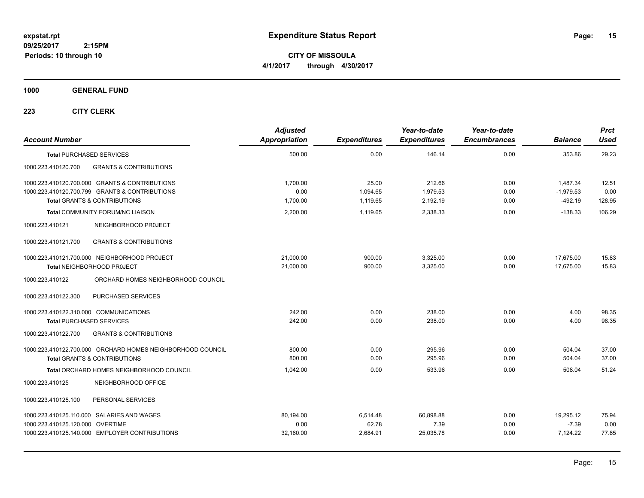**CITY OF MISSOULA 4/1/2017 through 4/30/2017**

**1000 GENERAL FUND**

| <b>Account Number</b>                                                     |                                                                                                                                                   | <b>Adjusted</b><br>Appropriation | <b>Expenditures</b>           | Year-to-date<br><b>Expenditures</b> | Year-to-date<br><b>Encumbrances</b> | <b>Balance</b>                       | <b>Prct</b><br><b>Used</b> |
|---------------------------------------------------------------------------|---------------------------------------------------------------------------------------------------------------------------------------------------|----------------------------------|-------------------------------|-------------------------------------|-------------------------------------|--------------------------------------|----------------------------|
| <b>Total PURCHASED SERVICES</b>                                           |                                                                                                                                                   | 500.00                           | 0.00                          | 146.14                              | 0.00                                | 353.86                               | 29.23                      |
| 1000.223.410120.700                                                       | <b>GRANTS &amp; CONTRIBUTIONS</b>                                                                                                                 |                                  |                               |                                     |                                     |                                      |                            |
|                                                                           | 1000.223.410120.700.000 GRANTS & CONTRIBUTIONS<br>1000.223.410120.700.799 GRANTS & CONTRIBUTIONS<br><b>Total GRANTS &amp; CONTRIBUTIONS</b>       | 1.700.00<br>0.00<br>1,700.00     | 25.00<br>1,094.65<br>1,119.65 | 212.66<br>1,979.53<br>2,192.19      | 0.00<br>0.00<br>0.00                | 1,487.34<br>$-1,979.53$<br>$-492.19$ | 12.51<br>0.00<br>128.95    |
|                                                                           | <b>Total COMMUNITY FORUM/NC LIAISON</b>                                                                                                           | 2,200.00                         | 1,119.65                      | 2,338.33                            | 0.00                                | $-138.33$                            | 106.29                     |
| 1000.223.410121                                                           | NEIGHBORHOOD PROJECT                                                                                                                              |                                  |                               |                                     |                                     |                                      |                            |
| 1000.223.410121.700                                                       | <b>GRANTS &amp; CONTRIBUTIONS</b>                                                                                                                 |                                  |                               |                                     |                                     |                                      |                            |
|                                                                           | 1000.223.410121.700.000 NEIGHBORHOOD PROJECT<br>Total NEIGHBORHOOD PROJECT                                                                        | 21,000.00<br>21,000.00           | 900.00<br>900.00              | 3,325.00<br>3,325.00                | 0.00<br>0.00                        | 17,675.00<br>17,675.00               | 15.83<br>15.83             |
| 1000.223.410122                                                           | ORCHARD HOMES NEIGHBORHOOD COUNCIL                                                                                                                |                                  |                               |                                     |                                     |                                      |                            |
| 1000.223.410122.300                                                       | PURCHASED SERVICES                                                                                                                                |                                  |                               |                                     |                                     |                                      |                            |
| 1000.223.410122.310.000 COMMUNICATIONS<br><b>Total PURCHASED SERVICES</b> |                                                                                                                                                   | 242.00<br>242.00                 | 0.00<br>0.00                  | 238.00<br>238.00                    | 0.00<br>0.00                        | 4.00<br>4.00                         | 98.35<br>98.35             |
| 1000.223.410122.700                                                       | <b>GRANTS &amp; CONTRIBUTIONS</b>                                                                                                                 |                                  |                               |                                     |                                     |                                      |                            |
|                                                                           | 1000.223.410122.700.000 ORCHARD HOMES NEIGHBORHOOD COUNCIL<br><b>Total GRANTS &amp; CONTRIBUTIONS</b><br>Total ORCHARD HOMES NEIGHBORHOOD COUNCIL | 800.00<br>800.00<br>1,042.00     | 0.00<br>0.00<br>0.00          | 295.96<br>295.96<br>533.96          | 0.00<br>0.00<br>0.00                | 504.04<br>504.04<br>508.04           | 37.00<br>37.00<br>51.24    |
|                                                                           |                                                                                                                                                   |                                  |                               |                                     |                                     |                                      |                            |
| 1000.223.410125                                                           | NEIGHBORHOOD OFFICE                                                                                                                               |                                  |                               |                                     |                                     |                                      |                            |
| 1000.223.410125.100                                                       | PERSONAL SERVICES                                                                                                                                 |                                  |                               |                                     |                                     |                                      |                            |
| 1000.223.410125.120.000 OVERTIME                                          | 1000.223.410125.110.000 SALARIES AND WAGES<br>1000.223.410125.140.000 EMPLOYER CONTRIBUTIONS                                                      | 80,194.00<br>0.00<br>32,160.00   | 6,514.48<br>62.78<br>2,684.91 | 60,898.88<br>7.39<br>25,035.78      | 0.00<br>0.00<br>0.00                | 19,295.12<br>$-7.39$<br>7,124.22     | 75.94<br>0.00<br>77.85     |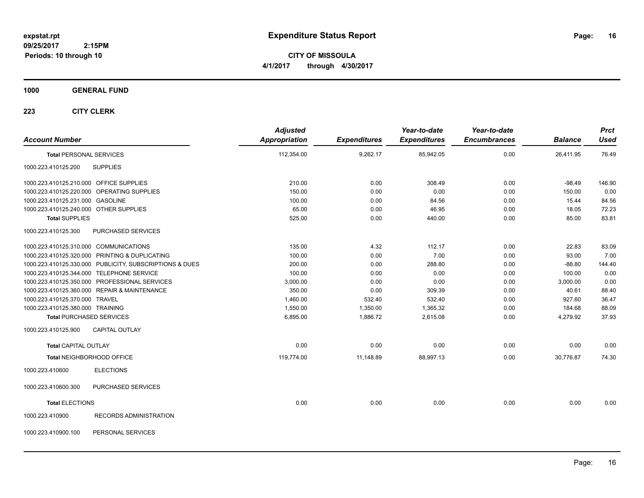**CITY OF MISSOULA 4/1/2017 through 4/30/2017**

## **1000 GENERAL FUND**

| <b>Account Number</b>                   |                                                         | <b>Adjusted</b><br><b>Appropriation</b> | <b>Expenditures</b> | Year-to-date<br><b>Expenditures</b> | Year-to-date<br><b>Encumbrances</b> | <b>Balance</b> | <b>Prct</b><br><b>Used</b> |
|-----------------------------------------|---------------------------------------------------------|-----------------------------------------|---------------------|-------------------------------------|-------------------------------------|----------------|----------------------------|
| <b>Total PERSONAL SERVICES</b>          |                                                         | 112,354.00                              | 9,262.17            | 85,942.05                           | 0.00                                | 26,411.95      | 76.49                      |
| 1000.223.410125.200                     | <b>SUPPLIES</b>                                         |                                         |                     |                                     |                                     |                |                            |
| 1000.223.410125.210.000 OFFICE SUPPLIES |                                                         | 210.00                                  | 0.00                | 308.49                              | 0.00                                | $-98.49$       | 146.90                     |
|                                         | 1000.223.410125.220.000 OPERATING SUPPLIES              | 150.00                                  | 0.00                | 0.00                                | 0.00                                | 150.00         | 0.00                       |
| 1000.223.410125.231.000 GASOLINE        |                                                         | 100.00                                  | 0.00                | 84.56                               | 0.00                                | 15.44          | 84.56                      |
| 1000.223.410125.240.000 OTHER SUPPLIES  |                                                         | 65.00                                   | 0.00                | 46.95                               | 0.00                                | 18.05          | 72.23                      |
| <b>Total SUPPLIES</b>                   |                                                         | 525.00                                  | 0.00                | 440.00                              | 0.00                                | 85.00          | 83.81                      |
| 1000.223.410125.300                     | PURCHASED SERVICES                                      |                                         |                     |                                     |                                     |                |                            |
| 1000.223.410125.310.000 COMMUNICATIONS  |                                                         | 135.00                                  | 4.32                | 112.17                              | 0.00                                | 22.83          | 83.09                      |
|                                         | 1000.223.410125.320.000 PRINTING & DUPLICATING          | 100.00                                  | 0.00                | 7.00                                | 0.00                                | 93.00          | 7.00                       |
|                                         | 1000.223.410125.330.000 PUBLICITY, SUBSCRIPTIONS & DUES | 200.00                                  | 0.00                | 288.80                              | 0.00                                | $-88.80$       | 144.40                     |
|                                         | 1000.223.410125.344.000 TELEPHONE SERVICE               | 100.00                                  | 0.00                | 0.00                                | 0.00                                | 100.00         | 0.00                       |
|                                         | 1000.223.410125.350.000 PROFESSIONAL SERVICES           | 3,000.00                                | 0.00                | 0.00                                | 0.00                                | 3,000.00       | 0.00                       |
|                                         | 1000.223.410125.360.000 REPAIR & MAINTENANCE            | 350.00                                  | 0.00                | 309.39                              | 0.00                                | 40.61          | 88.40                      |
| 1000.223.410125.370.000 TRAVEL          |                                                         | 1,460.00                                | 532.40              | 532.40                              | 0.00                                | 927.60         | 36.47                      |
| 1000.223.410125.380.000 TRAINING        |                                                         | 1,550.00                                | 1,350.00            | 1,365.32                            | 0.00                                | 184.68         | 88.09                      |
|                                         | <b>Total PURCHASED SERVICES</b>                         | 6,895.00                                | 1,886.72            | 2,615.08                            | 0.00                                | 4,279.92       | 37.93                      |
| 1000.223.410125.900                     | <b>CAPITAL OUTLAY</b>                                   |                                         |                     |                                     |                                     |                |                            |
| <b>Total CAPITAL OUTLAY</b>             |                                                         | 0.00                                    | 0.00                | 0.00                                | 0.00                                | 0.00           | 0.00                       |
|                                         | Total NEIGHBORHOOD OFFICE                               | 119,774.00                              | 11,148.89           | 88,997.13                           | 0.00                                | 30,776.87      | 74.30                      |
| 1000.223.410600                         | <b>ELECTIONS</b>                                        |                                         |                     |                                     |                                     |                |                            |
| 1000.223.410600.300                     | PURCHASED SERVICES                                      |                                         |                     |                                     |                                     |                |                            |
| <b>Total ELECTIONS</b>                  |                                                         | 0.00                                    | 0.00                | 0.00                                | 0.00                                | 0.00           | 0.00                       |
| 1000.223.410900                         | <b>RECORDS ADMINISTRATION</b>                           |                                         |                     |                                     |                                     |                |                            |
| 1000.223.410900.100                     | PERSONAL SERVICES                                       |                                         |                     |                                     |                                     |                |                            |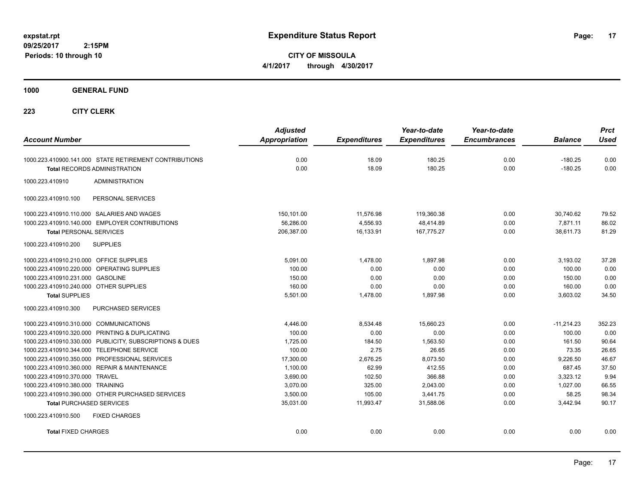**CITY OF MISSOULA 4/1/2017 through 4/30/2017**

**1000 GENERAL FUND**

| <b>Account Number</b>                                   | <b>Adjusted</b><br><b>Appropriation</b> | <b>Expenditures</b> | Year-to-date<br><b>Expenditures</b> | Year-to-date<br><b>Encumbrances</b> | <b>Balance</b> | <b>Prct</b><br><b>Used</b> |
|---------------------------------------------------------|-----------------------------------------|---------------------|-------------------------------------|-------------------------------------|----------------|----------------------------|
| 1000.223.410900.141.000 STATE RETIREMENT CONTRIBUTIONS  | 0.00                                    | 18.09               | 180.25                              | 0.00                                | $-180.25$      | 0.00                       |
| <b>Total RECORDS ADMINISTRATION</b>                     | 0.00                                    | 18.09               | 180.25                              | 0.00                                | $-180.25$      | 0.00                       |
| 1000.223.410910<br><b>ADMINISTRATION</b>                |                                         |                     |                                     |                                     |                |                            |
| PERSONAL SERVICES<br>1000.223.410910.100                |                                         |                     |                                     |                                     |                |                            |
| 1000.223.410910.110.000 SALARIES AND WAGES              | 150,101.00                              | 11,576.98           | 119,360.38                          | 0.00                                | 30,740.62      | 79.52                      |
| 1000.223.410910.140.000 EMPLOYER CONTRIBUTIONS          | 56,286.00                               | 4,556.93            | 48,414.89                           | 0.00                                | 7,871.11       | 86.02                      |
| <b>Total PERSONAL SERVICES</b>                          | 206,387.00                              | 16,133.91           | 167,775.27                          | 0.00                                | 38,611.73      | 81.29                      |
| 1000.223.410910.200<br><b>SUPPLIES</b>                  |                                         |                     |                                     |                                     |                |                            |
| 1000.223.410910.210.000 OFFICE SUPPLIES                 | 5,091.00                                | 1,478.00            | 1,897.98                            | 0.00                                | 3,193.02       | 37.28                      |
| 1000.223.410910.220.000 OPERATING SUPPLIES              | 100.00                                  | 0.00                | 0.00                                | 0.00                                | 100.00         | 0.00                       |
| 1000.223.410910.231.000 GASOLINE                        | 150.00                                  | 0.00                | 0.00                                | 0.00                                | 150.00         | 0.00                       |
| 1000.223.410910.240.000 OTHER SUPPLIES                  | 160.00                                  | 0.00                | 0.00                                | 0.00                                | 160.00         | 0.00                       |
| <b>Total SUPPLIES</b>                                   | 5,501.00                                | 1,478.00            | 1,897.98                            | 0.00                                | 3,603.02       | 34.50                      |
| 1000.223.410910.300<br>PURCHASED SERVICES               |                                         |                     |                                     |                                     |                |                            |
| 1000.223.410910.310.000 COMMUNICATIONS                  | 4,446.00                                | 8,534.48            | 15,660.23                           | 0.00                                | $-11,214.23$   | 352.23                     |
| 1000.223.410910.320.000 PRINTING & DUPLICATING          | 100.00                                  | 0.00                | 0.00                                | 0.00                                | 100.00         | 0.00                       |
| 1000.223.410910.330.000 PUBLICITY, SUBSCRIPTIONS & DUES | 1,725.00                                | 184.50              | 1,563.50                            | 0.00                                | 161.50         | 90.64                      |
| 1000.223.410910.344.000 TELEPHONE SERVICE               | 100.00                                  | 2.75                | 26.65                               | 0.00                                | 73.35          | 26.65                      |
| 1000.223.410910.350.000 PROFESSIONAL SERVICES           | 17,300.00                               | 2,676.25            | 8,073.50                            | 0.00                                | 9,226.50       | 46.67                      |
| 1000.223.410910.360.000 REPAIR & MAINTENANCE            | 1,100.00                                | 62.99               | 412.55                              | 0.00                                | 687.45         | 37.50                      |
| 1000.223.410910.370.000 TRAVEL                          | 3,690.00                                | 102.50              | 366.88                              | 0.00                                | 3,323.12       | 9.94                       |
| 1000.223.410910.380.000 TRAINING                        | 3.070.00                                | 325.00              | 2,043.00                            | 0.00                                | 1,027.00       | 66.55                      |
| 1000.223.410910.390.000 OTHER PURCHASED SERVICES        | 3,500.00                                | 105.00              | 3,441.75                            | 0.00                                | 58.25          | 98.34                      |
| <b>Total PURCHASED SERVICES</b>                         | 35,031.00                               | 11,993.47           | 31,588.06                           | 0.00                                | 3,442.94       | 90.17                      |
| 1000.223.410910.500<br><b>FIXED CHARGES</b>             |                                         |                     |                                     |                                     |                |                            |
| <b>Total FIXED CHARGES</b>                              | 0.00                                    | 0.00                | 0.00                                | 0.00                                | 0.00           | 0.00                       |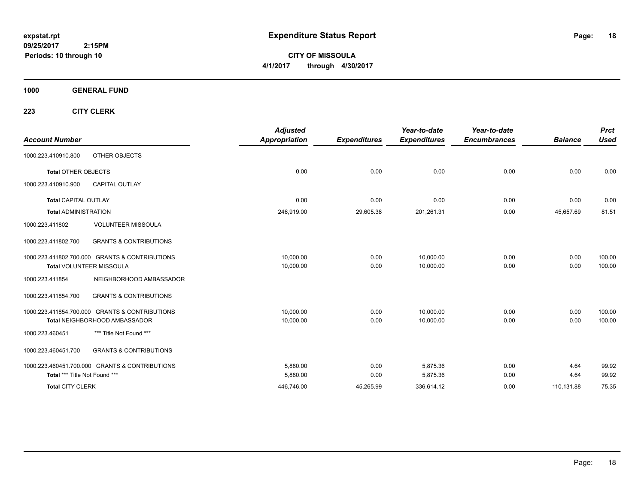**CITY OF MISSOULA 4/1/2017 through 4/30/2017**

**1000 GENERAL FUND**

| <b>Account Number</b>         |                                                | <b>Adjusted</b><br><b>Appropriation</b> | <b>Expenditures</b> | Year-to-date<br><b>Expenditures</b> | Year-to-date<br><b>Encumbrances</b> | <b>Balance</b> | <b>Prct</b><br><b>Used</b> |
|-------------------------------|------------------------------------------------|-----------------------------------------|---------------------|-------------------------------------|-------------------------------------|----------------|----------------------------|
| 1000.223.410910.800           | OTHER OBJECTS                                  |                                         |                     |                                     |                                     |                |                            |
| <b>Total OTHER OBJECTS</b>    |                                                | 0.00                                    | 0.00                | 0.00                                | 0.00                                | 0.00           | 0.00                       |
| 1000.223.410910.900           | CAPITAL OUTLAY                                 |                                         |                     |                                     |                                     |                |                            |
| <b>Total CAPITAL OUTLAY</b>   |                                                | 0.00                                    | 0.00                | 0.00                                | 0.00                                | 0.00           | 0.00                       |
| <b>Total ADMINISTRATION</b>   |                                                | 246,919.00                              | 29,605.38           | 201,261.31                          | 0.00                                | 45,657.69      | 81.51                      |
| 1000.223.411802               | <b>VOLUNTEER MISSOULA</b>                      |                                         |                     |                                     |                                     |                |                            |
| 1000.223.411802.700           | <b>GRANTS &amp; CONTRIBUTIONS</b>              |                                         |                     |                                     |                                     |                |                            |
|                               | 1000.223.411802.700.000 GRANTS & CONTRIBUTIONS | 10,000.00                               | 0.00                | 10,000.00                           | 0.00                                | 0.00           | 100.00                     |
|                               | Total VOLUNTEER MISSOULA                       | 10,000.00                               | 0.00                | 10,000.00                           | 0.00                                | 0.00           | 100.00                     |
| 1000.223.411854               | NEIGHBORHOOD AMBASSADOR                        |                                         |                     |                                     |                                     |                |                            |
| 1000.223.411854.700           | <b>GRANTS &amp; CONTRIBUTIONS</b>              |                                         |                     |                                     |                                     |                |                            |
|                               | 1000.223.411854.700.000 GRANTS & CONTRIBUTIONS | 10.000.00                               | 0.00                | 10.000.00                           | 0.00                                | 0.00           | 100.00                     |
|                               | Total NEIGHBORHOOD AMBASSADOR                  | 10,000.00                               | 0.00                | 10,000.00                           | 0.00                                | 0.00           | 100.00                     |
| 1000.223.460451               | *** Title Not Found ***                        |                                         |                     |                                     |                                     |                |                            |
| 1000.223.460451.700           | <b>GRANTS &amp; CONTRIBUTIONS</b>              |                                         |                     |                                     |                                     |                |                            |
|                               | 1000.223.460451.700.000 GRANTS & CONTRIBUTIONS | 5,880.00                                | 0.00                | 5.875.36                            | 0.00                                | 4.64           | 99.92                      |
| Total *** Title Not Found *** |                                                | 5,880.00                                | 0.00                | 5,875.36                            | 0.00                                | 4.64           | 99.92                      |
| <b>Total CITY CLERK</b>       |                                                | 446,746.00                              | 45,265.99           | 336,614.12                          | 0.00                                | 110,131.88     | 75.35                      |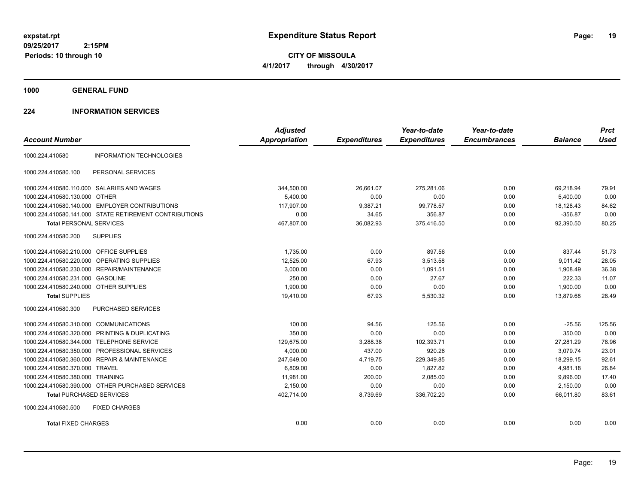**CITY OF MISSOULA 4/1/2017 through 4/30/2017**

**1000 GENERAL FUND**

## **224 INFORMATION SERVICES**

| <b>Account Number</b>                   |                                                        | <b>Adjusted</b><br><b>Appropriation</b> | <b>Expenditures</b> | Year-to-date<br><b>Expenditures</b> | Year-to-date<br><b>Encumbrances</b> | <b>Balance</b> | <b>Prct</b><br><b>Used</b> |
|-----------------------------------------|--------------------------------------------------------|-----------------------------------------|---------------------|-------------------------------------|-------------------------------------|----------------|----------------------------|
| 1000.224.410580                         | <b>INFORMATION TECHNOLOGIES</b>                        |                                         |                     |                                     |                                     |                |                            |
| 1000.224.410580.100                     | PERSONAL SERVICES                                      |                                         |                     |                                     |                                     |                |                            |
|                                         | 1000.224.410580.110.000 SALARIES AND WAGES             | 344,500.00                              | 26,661.07           | 275,281.06                          | 0.00                                | 69,218.94      | 79.91                      |
| 1000.224.410580.130.000 OTHER           |                                                        | 5.400.00                                | 0.00                | 0.00                                | 0.00                                | 5.400.00       | 0.00                       |
|                                         | 1000.224.410580.140.000 EMPLOYER CONTRIBUTIONS         | 117,907.00                              | 9,387.21            | 99,778.57                           | 0.00                                | 18,128.43      | 84.62                      |
|                                         | 1000.224.410580.141.000 STATE RETIREMENT CONTRIBUTIONS | 0.00                                    | 34.65               | 356.87                              | 0.00                                | $-356.87$      | 0.00                       |
| <b>Total PERSONAL SERVICES</b>          |                                                        | 467,807.00                              | 36,082.93           | 375,416.50                          | 0.00                                | 92,390.50      | 80.25                      |
| 1000.224.410580.200                     | <b>SUPPLIES</b>                                        |                                         |                     |                                     |                                     |                |                            |
| 1000.224.410580.210.000 OFFICE SUPPLIES |                                                        | 1,735.00                                | 0.00                | 897.56                              | 0.00                                | 837.44         | 51.73                      |
| 1000.224.410580.220.000                 | OPERATING SUPPLIES                                     | 12,525.00                               | 67.93               | 3,513.58                            | 0.00                                | 9,011.42       | 28.05                      |
|                                         | 1000.224.410580.230.000 REPAIR/MAINTENANCE             | 3,000.00                                | 0.00                | 1.091.51                            | 0.00                                | 1,908.49       | 36.38                      |
| 1000.224.410580.231.000                 | <b>GASOLINE</b>                                        | 250.00                                  | 0.00                | 27.67                               | 0.00                                | 222.33         | 11.07                      |
| 1000.224.410580.240.000 OTHER SUPPLIES  |                                                        | 1,900.00                                | 0.00                | 0.00                                | 0.00                                | 1,900.00       | 0.00                       |
| <b>Total SUPPLIES</b>                   |                                                        | 19,410.00                               | 67.93               | 5,530.32                            | 0.00                                | 13.879.68      | 28.49                      |
| 1000.224.410580.300                     | PURCHASED SERVICES                                     |                                         |                     |                                     |                                     |                |                            |
| 1000.224.410580.310.000 COMMUNICATIONS  |                                                        | 100.00                                  | 94.56               | 125.56                              | 0.00                                | $-25.56$       | 125.56                     |
| 1000.224.410580.320.000                 | PRINTING & DUPLICATING                                 | 350.00                                  | 0.00                | 0.00                                | 0.00                                | 350.00         | 0.00                       |
| 1000.224.410580.344.000                 | <b>TELEPHONE SERVICE</b>                               | 129,675.00                              | 3,288.38            | 102,393.71                          | 0.00                                | 27,281.29      | 78.96                      |
| 1000.224.410580.350.000                 | PROFESSIONAL SERVICES                                  | 4,000.00                                | 437.00              | 920.26                              | 0.00                                | 3,079.74       | 23.01                      |
|                                         | 1000.224.410580.360.000 REPAIR & MAINTENANCE           | 247,649.00                              | 4,719.75            | 229,349.85                          | 0.00                                | 18,299.15      | 92.61                      |
| 1000.224.410580.370.000 TRAVEL          |                                                        | 6,809.00                                | 0.00                | 1,827.82                            | 0.00                                | 4,981.18       | 26.84                      |
| 1000.224.410580.380.000 TRAINING        |                                                        | 11,981.00                               | 200.00              | 2,085.00                            | 0.00                                | 9,896.00       | 17.40                      |
|                                         | 1000.224.410580.390.000 OTHER PURCHASED SERVICES       | 2,150.00                                | 0.00                | 0.00                                | 0.00                                | 2,150.00       | 0.00                       |
| <b>Total PURCHASED SERVICES</b>         |                                                        | 402,714.00                              | 8,739.69            | 336,702.20                          | 0.00                                | 66,011.80      | 83.61                      |
| 1000.224.410580.500                     | <b>FIXED CHARGES</b>                                   |                                         |                     |                                     |                                     |                |                            |
| <b>Total FIXED CHARGES</b>              |                                                        | 0.00                                    | 0.00                | 0.00                                | 0.00                                | 0.00           | 0.00                       |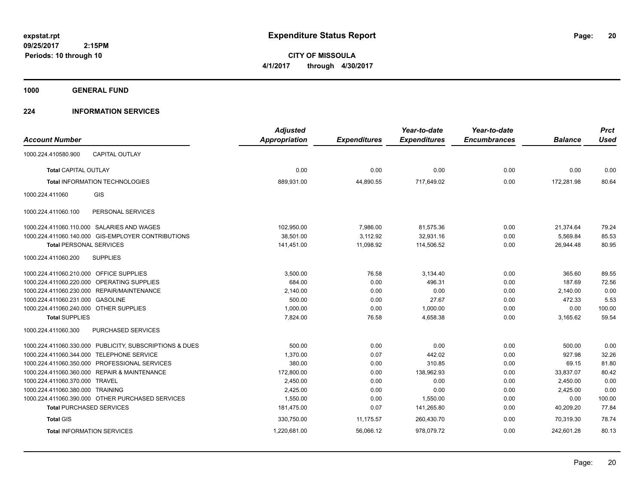**CITY OF MISSOULA 4/1/2017 through 4/30/2017**

**1000 GENERAL FUND**

## **224 INFORMATION SERVICES**

| <b>Account Number</b>                   |                                                         | <b>Adjusted</b><br><b>Appropriation</b> | <b>Expenditures</b> | Year-to-date<br><b>Expenditures</b> | Year-to-date<br><b>Encumbrances</b> | <b>Balance</b> | <b>Prct</b><br><b>Used</b> |
|-----------------------------------------|---------------------------------------------------------|-----------------------------------------|---------------------|-------------------------------------|-------------------------------------|----------------|----------------------------|
| 1000.224.410580.900                     | <b>CAPITAL OUTLAY</b>                                   |                                         |                     |                                     |                                     |                |                            |
| <b>Total CAPITAL OUTLAY</b>             |                                                         | 0.00                                    | 0.00                | 0.00                                | 0.00                                | 0.00           | 0.00                       |
|                                         | <b>Total INFORMATION TECHNOLOGIES</b>                   | 889,931.00                              | 44,890.55           | 717,649.02                          | 0.00                                | 172,281.98     | 80.64                      |
| 1000.224.411060                         | GIS                                                     |                                         |                     |                                     |                                     |                |                            |
| 1000.224.411060.100                     | PERSONAL SERVICES                                       |                                         |                     |                                     |                                     |                |                            |
|                                         | 1000.224.411060.110.000 SALARIES AND WAGES              | 102,950.00                              | 7,986.00            | 81,575.36                           | 0.00                                | 21,374.64      | 79.24                      |
|                                         | 1000.224.411060.140.000 GIS-EMPLOYER CONTRIBUTIONS      | 38,501.00                               | 3,112.92            | 32,931.16                           | 0.00                                | 5,569.84       | 85.53                      |
| <b>Total PERSONAL SERVICES</b>          |                                                         | 141,451.00                              | 11,098.92           | 114,506.52                          | 0.00                                | 26,944.48      | 80.95                      |
| 1000.224.411060.200                     | <b>SUPPLIES</b>                                         |                                         |                     |                                     |                                     |                |                            |
| 1000.224.411060.210.000 OFFICE SUPPLIES |                                                         | 3,500.00                                | 76.58               | 3,134.40                            | 0.00                                | 365.60         | 89.55                      |
|                                         | 1000.224.411060.220.000 OPERATING SUPPLIES              | 684.00                                  | 0.00                | 496.31                              | 0.00                                | 187.69         | 72.56                      |
| 1000.224.411060.230.000                 | REPAIR/MAINTENANCE                                      | 2,140.00                                | 0.00                | 0.00                                | 0.00                                | 2,140.00       | 0.00                       |
| 1000.224.411060.231.000 GASOLINE        |                                                         | 500.00                                  | 0.00                | 27.67                               | 0.00                                | 472.33         | 5.53                       |
| 1000.224.411060.240.000 OTHER SUPPLIES  |                                                         | 1,000.00                                | 0.00                | 1,000.00                            | 0.00                                | 0.00           | 100.00                     |
| <b>Total SUPPLIES</b>                   |                                                         | 7,824.00                                | 76.58               | 4,658.38                            | 0.00                                | 3,165.62       | 59.54                      |
| 1000.224.411060.300                     | PURCHASED SERVICES                                      |                                         |                     |                                     |                                     |                |                            |
|                                         | 1000.224.411060.330.000 PUBLICITY, SUBSCRIPTIONS & DUES | 500.00                                  | 0.00                | 0.00                                | 0.00                                | 500.00         | 0.00                       |
| 1000.224.411060.344.000                 | <b>TELEPHONE SERVICE</b>                                | 1,370.00                                | 0.07                | 442.02                              | 0.00                                | 927.98         | 32.26                      |
|                                         | 1000.224.411060.350.000 PROFESSIONAL SERVICES           | 380.00                                  | 0.00                | 310.85                              | 0.00                                | 69.15          | 81.80                      |
|                                         | 1000.224.411060.360.000 REPAIR & MAINTENANCE            | 172,800.00                              | 0.00                | 138,962.93                          | 0.00                                | 33,837.07      | 80.42                      |
| 1000.224.411060.370.000 TRAVEL          |                                                         | 2,450.00                                | 0.00                | 0.00                                | 0.00                                | 2,450.00       | 0.00                       |
| 1000.224.411060.380.000 TRAINING        |                                                         | 2,425.00                                | 0.00                | 0.00                                | 0.00                                | 2,425.00       | 0.00                       |
|                                         | 1000.224.411060.390.000 OTHER PURCHASED SERVICES        | 1,550.00                                | 0.00                | 1,550.00                            | 0.00                                | 0.00           | 100.00                     |
|                                         | <b>Total PURCHASED SERVICES</b>                         | 181,475.00                              | 0.07                | 141,265.80                          | 0.00                                | 40,209.20      | 77.84                      |
| <b>Total GIS</b>                        |                                                         | 330,750.00                              | 11,175.57           | 260,430.70                          | 0.00                                | 70.319.30      | 78.74                      |
|                                         | <b>Total INFORMATION SERVICES</b>                       | 1,220,681.00                            | 56,066.12           | 978,079.72                          | 0.00                                | 242,601.28     | 80.13                      |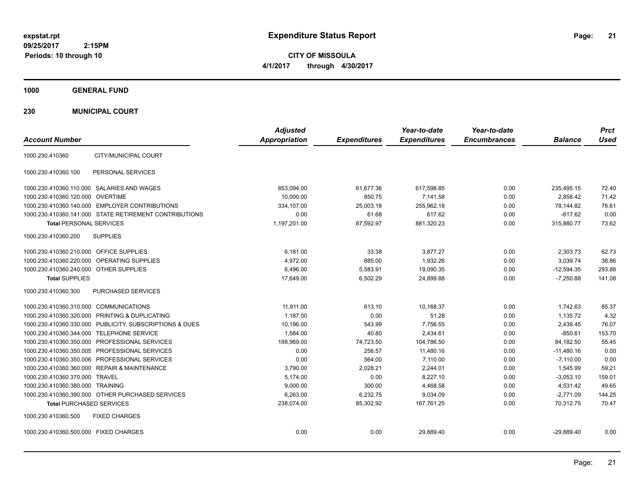**CITY OF MISSOULA 4/1/2017 through 4/30/2017**

**1000 GENERAL FUND**

**230 MUNICIPAL COURT**

| <b>Account Number</b>                                   | <b>Adjusted</b><br><b>Appropriation</b> | <b>Expenditures</b> | Year-to-date<br><b>Expenditures</b> | Year-to-date<br><b>Encumbrances</b> | <b>Balance</b> | <b>Prct</b><br><b>Used</b> |
|---------------------------------------------------------|-----------------------------------------|---------------------|-------------------------------------|-------------------------------------|----------------|----------------------------|
| CITY/MUNICIPAL COURT<br>1000.230.410360                 |                                         |                     |                                     |                                     |                |                            |
|                                                         |                                         |                     |                                     |                                     |                |                            |
| PERSONAL SERVICES<br>1000.230.410360.100                |                                         |                     |                                     |                                     |                |                            |
| 1000.230.410360.110.000 SALARIES AND WAGES              | 853,094.00                              | 61,677.36           | 617,598.85                          | 0.00                                | 235,495.15     | 72.40                      |
| 1000.230.410360.120.000 OVERTIME                        | 10,000.00                               | 850.75              | 7,141.58                            | 0.00                                | 2,858.42       | 71.42                      |
| 1000.230.410360.140.000 EMPLOYER CONTRIBUTIONS          | 334,107.00                              | 25,003.18           | 255,962.18                          | 0.00                                | 78,144.82      | 76.61                      |
| 1000.230.410360.141.000 STATE RETIREMENT CONTRIBUTIONS  | 0.00                                    | 61.68               | 617.62                              | 0.00                                | $-617.62$      | 0.00                       |
| <b>Total PERSONAL SERVICES</b>                          | 1,197,201.00                            | 87,592.97           | 881,320.23                          | 0.00                                | 315,880.77     | 73.62                      |
| 1000.230.410360.200<br><b>SUPPLIES</b>                  |                                         |                     |                                     |                                     |                |                            |
| 1000.230.410360.210.000 OFFICE SUPPLIES                 | 6,181.00                                | 33.38               | 3,877.27                            | 0.00                                | 2,303.73       | 62.73                      |
| 1000.230.410360.220.000<br><b>OPERATING SUPPLIES</b>    | 4,972.00                                | 885.00              | 1,932.26                            | 0.00                                | 3,039.74       | 38.86                      |
| 1000.230.410360.240.000 OTHER SUPPLIES                  | 6,496.00                                | 5,583.91            | 19,090.35                           | 0.00                                | $-12,594.35$   | 293.88                     |
| <b>Total SUPPLIES</b>                                   | 17,649.00                               | 6,502.29            | 24.899.88                           | 0.00                                | $-7,250.88$    | 141.08                     |
| 1000.230.410360.300<br>PURCHASED SERVICES               |                                         |                     |                                     |                                     |                |                            |
| 1000.230.410360.310.000 COMMUNICATIONS                  | 11,911.00                               | 613.10              | 10,168.37                           | 0.00                                | 1,742.63       | 85.37                      |
| 1000.230.410360.320.000 PRINTING & DUPLICATING          | 1.187.00                                | 0.00                | 51.28                               | 0.00                                | 1,135.72       | 4.32                       |
| 1000.230.410360.330.000 PUBLICITY, SUBSCRIPTIONS & DUES | 10,196.00                               | 543.99              | 7,756.55                            | 0.00                                | 2,439.45       | 76.07                      |
| 1000.230.410360.344.000 TELEPHONE SERVICE               | 1,584.00                                | 40.80               | 2,434.61                            | 0.00                                | $-850.61$      | 153.70                     |
| 1000.230.410360.350.000 PROFESSIONAL SERVICES           | 188,969.00                              | 74,723.50           | 104,786.50                          | 0.00                                | 84,182.50      | 55.45                      |
| 1000.230.410360.350.005 PROFESSIONAL SERVICES           | 0.00                                    | 256.57              | 11.480.16                           | 0.00                                | $-11.480.16$   | 0.00                       |
| 1000.230.410360.350.006 PROFESSIONAL SERVICES           | 0.00                                    | 564.00              | 7,110.00                            | 0.00                                | $-7,110.00$    | 0.00                       |
| 1000.230.410360.360.000 REPAIR & MAINTENANCE            | 3.790.00                                | 2.028.21            | 2,244.01                            | 0.00                                | 1.545.99       | 59.21                      |
| 1000.230.410360.370.000 TRAVEL                          | 5,174.00                                | 0.00                | 8,227.10                            | 0.00                                | $-3,053.10$    | 159.01                     |
| 1000.230.410360.380.000 TRAINING                        | 9,000.00                                | 300.00              | 4,468.58                            | 0.00                                | 4,531.42       | 49.65                      |
| 1000.230.410360.390.000 OTHER PURCHASED SERVICES        | 6,263.00                                | 6,232.75            | 9,034.09                            | 0.00                                | $-2,771.09$    | 144.25                     |
| <b>Total PURCHASED SERVICES</b>                         | 238,074.00                              | 85,302.92           | 167,761.25                          | 0.00                                | 70.312.75      | 70.47                      |
| 1000.230.410360.500<br><b>FIXED CHARGES</b>             |                                         |                     |                                     |                                     |                |                            |
| 1000.230.410360.500.000 FIXED CHARGES                   | 0.00                                    | 0.00                | 29,889.40                           | 0.00                                | $-29,889.40$   | 0.00                       |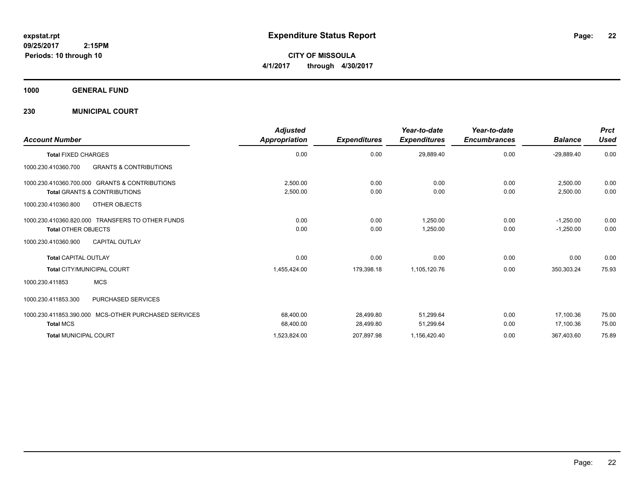**CITY OF MISSOULA 4/1/2017 through 4/30/2017**

**1000 GENERAL FUND**

**230 MUNICIPAL COURT**

| <b>Account Number</b>                                                                     | <b>Adjusted</b><br>Appropriation | <b>Expenditures</b>    | Year-to-date<br><b>Expenditures</b> | Year-to-date<br><b>Encumbrances</b> | <b>Balance</b>             | <b>Prct</b><br><b>Used</b> |
|-------------------------------------------------------------------------------------------|----------------------------------|------------------------|-------------------------------------|-------------------------------------|----------------------------|----------------------------|
| <b>Total FIXED CHARGES</b>                                                                | 0.00                             | 0.00                   | 29,889.40                           | 0.00                                | $-29,889.40$               | 0.00                       |
| <b>GRANTS &amp; CONTRIBUTIONS</b><br>1000.230.410360.700                                  |                                  |                        |                                     |                                     |                            |                            |
| 1000.230.410360.700.000 GRANTS & CONTRIBUTIONS<br><b>Total GRANTS &amp; CONTRIBUTIONS</b> | 2,500.00<br>2,500.00             | 0.00<br>0.00           | 0.00<br>0.00                        | 0.00<br>0.00                        | 2,500.00<br>2,500.00       | 0.00<br>0.00               |
| 1000.230.410360.800<br>OTHER OBJECTS                                                      |                                  |                        |                                     |                                     |                            |                            |
| 1000.230.410360.820.000 TRANSFERS TO OTHER FUNDS<br><b>Total OTHER OBJECTS</b>            | 0.00<br>0.00                     | 0.00<br>0.00           | 1,250.00<br>1,250.00                | 0.00<br>0.00                        | $-1,250.00$<br>$-1,250.00$ | 0.00<br>0.00               |
| <b>CAPITAL OUTLAY</b><br>1000.230.410360.900                                              |                                  |                        |                                     |                                     |                            |                            |
| <b>Total CAPITAL OUTLAY</b>                                                               | 0.00                             | 0.00                   | 0.00                                | 0.00                                | 0.00                       | 0.00                       |
| <b>Total CITY/MUNICIPAL COURT</b>                                                         | 1,455,424.00                     | 179,398.18             | 1,105,120.76                        | 0.00                                | 350,303.24                 | 75.93                      |
| <b>MCS</b><br>1000.230.411853                                                             |                                  |                        |                                     |                                     |                            |                            |
| <b>PURCHASED SERVICES</b><br>1000.230.411853.300                                          |                                  |                        |                                     |                                     |                            |                            |
| 1000.230.411853.390.000 MCS-OTHER PURCHASED SERVICES<br><b>Total MCS</b>                  | 68,400.00<br>68,400.00           | 28,499.80<br>28,499.80 | 51,299.64<br>51,299.64              | 0.00<br>0.00                        | 17,100.36<br>17.100.36     | 75.00<br>75.00             |
| <b>Total MUNICIPAL COURT</b>                                                              | 1,523,824.00                     | 207,897.98             | 1,156,420.40                        | 0.00                                | 367,403.60                 | 75.89                      |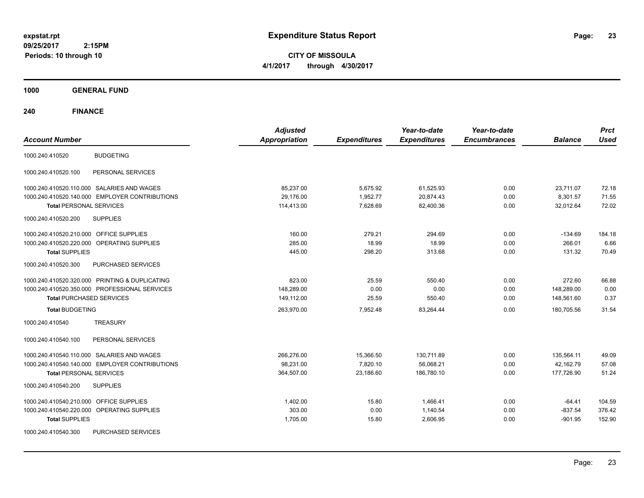**CITY OF MISSOULA 4/1/2017 through 4/30/2017**

**1000 GENERAL FUND**

| <b>Account Number</b>                                | <b>Adjusted</b><br><b>Appropriation</b> | <b>Expenditures</b> | Year-to-date<br><b>Expenditures</b> | Year-to-date<br><b>Encumbrances</b> | <b>Balance</b> | <b>Prct</b><br><b>Used</b> |
|------------------------------------------------------|-----------------------------------------|---------------------|-------------------------------------|-------------------------------------|----------------|----------------------------|
| <b>BUDGETING</b><br>1000.240.410520                  |                                         |                     |                                     |                                     |                |                            |
| 1000.240.410520.100<br>PERSONAL SERVICES             |                                         |                     |                                     |                                     |                |                            |
| 1000.240.410520.110.000 SALARIES AND WAGES           | 85,237.00                               | 5,675.92            | 61,525.93                           | 0.00                                | 23,711.07      | 72.18                      |
| 1000.240.410520.140.000 EMPLOYER CONTRIBUTIONS       | 29,176.00                               | 1,952.77            | 20,874.43                           | 0.00                                | 8,301.57       | 71.55                      |
| <b>Total PERSONAL SERVICES</b>                       | 114,413.00                              | 7,628.69            | 82,400.36                           | 0.00                                | 32,012.64      | 72.02                      |
| 1000.240.410520.200<br><b>SUPPLIES</b>               |                                         |                     |                                     |                                     |                |                            |
| 1000.240.410520.210.000 OFFICE SUPPLIES              | 160.00                                  | 279.21              | 294.69                              | 0.00                                | $-134.69$      | 184.18                     |
| 1000.240.410520.220.000<br><b>OPERATING SUPPLIES</b> | 285.00                                  | 18.99               | 18.99                               | 0.00                                | 266.01         | 6.66                       |
| <b>Total SUPPLIES</b>                                | 445.00                                  | 298.20              | 313.68                              | 0.00                                | 131.32         | 70.49                      |
| 1000.240.410520.300<br>PURCHASED SERVICES            |                                         |                     |                                     |                                     |                |                            |
| 1000.240.410520.320.000 PRINTING & DUPLICATING       | 823.00                                  | 25.59               | 550.40                              | 0.00                                | 272.60         | 66.88                      |
| 1000.240.410520.350.000 PROFESSIONAL SERVICES        | 148,289.00                              | 0.00                | 0.00                                | 0.00                                | 148,289.00     | 0.00                       |
| <b>Total PURCHASED SERVICES</b>                      | 149.112.00                              | 25.59               | 550.40                              | 0.00                                | 148,561.60     | 0.37                       |
| <b>Total BUDGETING</b>                               | 263,970.00                              | 7,952.48            | 83,264.44                           | 0.00                                | 180,705.56     | 31.54                      |
| <b>TREASURY</b><br>1000.240.410540                   |                                         |                     |                                     |                                     |                |                            |
| PERSONAL SERVICES<br>1000.240.410540.100             |                                         |                     |                                     |                                     |                |                            |
| 1000.240.410540.110.000 SALARIES AND WAGES           | 266,276.00                              | 15,366.50           | 130,711.89                          | 0.00                                | 135,564.11     | 49.09                      |
| 1000.240.410540.140.000 EMPLOYER CONTRIBUTIONS       | 98,231.00                               | 7,820.10            | 56,068.21                           | 0.00                                | 42,162.79      | 57.08                      |
| <b>Total PERSONAL SERVICES</b>                       | 364,507.00                              | 23,186.60           | 186,780.10                          | 0.00                                | 177,726.90     | 51.24                      |
| <b>SUPPLIES</b><br>1000.240.410540.200               |                                         |                     |                                     |                                     |                |                            |
| OFFICE SUPPLIES<br>1000.240.410540.210.000           | 1,402.00                                | 15.80               | 1,466.41                            | 0.00                                | $-64.41$       | 104.59                     |
| OPERATING SUPPLIES<br>1000.240.410540.220.000        | 303.00                                  | 0.00                | 1,140.54                            | 0.00                                | $-837.54$      | 376.42                     |
| <b>Total SUPPLIES</b>                                | 1,705.00                                | 15.80               | 2,606.95                            | 0.00                                | $-901.95$      | 152.90                     |
| 1000.240.410540.300<br>PURCHASED SERVICES            |                                         |                     |                                     |                                     |                |                            |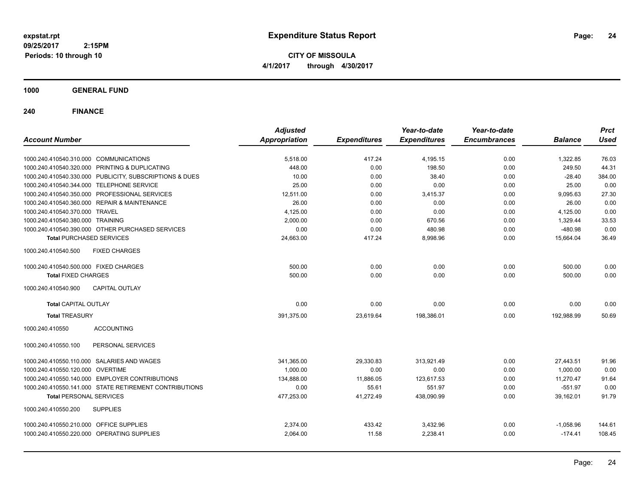**CITY OF MISSOULA 4/1/2017 through 4/30/2017**

**1000 GENERAL FUND**

| <b>Account Number</b>                                   | <b>Adjusted</b><br><b>Appropriation</b> | <b>Expenditures</b> | Year-to-date<br><b>Expenditures</b> | Year-to-date<br><b>Encumbrances</b> | <b>Balance</b> | <b>Prct</b><br><b>Used</b> |
|---------------------------------------------------------|-----------------------------------------|---------------------|-------------------------------------|-------------------------------------|----------------|----------------------------|
| 1000.240.410540.310.000 COMMUNICATIONS                  | 5,518.00                                | 417.24              | 4,195.15                            | 0.00                                | 1,322.85       | 76.03                      |
| 1000.240.410540.320.000 PRINTING & DUPLICATING          | 448.00                                  | 0.00                | 198.50                              | 0.00                                | 249.50         | 44.31                      |
| 1000.240.410540.330.000 PUBLICITY, SUBSCRIPTIONS & DUES | 10.00                                   | 0.00                | 38.40                               | 0.00                                | $-28.40$       | 384.00                     |
| 1000.240.410540.344.000 TELEPHONE SERVICE               | 25.00                                   | 0.00                | 0.00                                | 0.00                                | 25.00          | 0.00                       |
| 1000.240.410540.350.000 PROFESSIONAL SERVICES           | 12,511.00                               | 0.00                | 3,415.37                            | 0.00                                | 9,095.63       | 27.30                      |
| 1000.240.410540.360.000 REPAIR & MAINTENANCE            | 26.00                                   | 0.00                | 0.00                                | 0.00                                | 26.00          | 0.00                       |
| 1000.240.410540.370.000 TRAVEL                          | 4,125.00                                | 0.00                | 0.00                                | 0.00                                | 4,125.00       | 0.00                       |
| 1000.240.410540.380.000 TRAINING                        | 2,000.00                                | 0.00                | 670.56                              | 0.00                                | 1,329.44       | 33.53                      |
| 1000.240.410540.390.000 OTHER PURCHASED SERVICES        | 0.00                                    | 0.00                | 480.98                              | 0.00                                | $-480.98$      | 0.00                       |
| <b>Total PURCHASED SERVICES</b>                         | 24,663.00                               | 417.24              | 8,998.96                            | 0.00                                | 15,664.04      | 36.49                      |
| 1000.240.410540.500<br><b>FIXED CHARGES</b>             |                                         |                     |                                     |                                     |                |                            |
| 1000.240.410540.500.000 FIXED CHARGES                   | 500.00                                  | 0.00                | 0.00                                | 0.00                                | 500.00         | 0.00                       |
| <b>Total FIXED CHARGES</b>                              | 500.00                                  | 0.00                | 0.00                                | 0.00                                | 500.00         | 0.00                       |
| 1000.240.410540.900<br><b>CAPITAL OUTLAY</b>            |                                         |                     |                                     |                                     |                |                            |
| <b>Total CAPITAL OUTLAY</b>                             | 0.00                                    | 0.00                | 0.00                                | 0.00                                | 0.00           | 0.00                       |
| <b>Total TREASURY</b>                                   | 391,375.00                              | 23,619.64           | 198,386.01                          | 0.00                                | 192,988.99     | 50.69                      |
| 1000.240.410550<br><b>ACCOUNTING</b>                    |                                         |                     |                                     |                                     |                |                            |
| 1000.240.410550.100<br>PERSONAL SERVICES                |                                         |                     |                                     |                                     |                |                            |
| 1000.240.410550.110.000 SALARIES AND WAGES              | 341,365.00                              | 29,330.83           | 313,921.49                          | 0.00                                | 27,443.51      | 91.96                      |
| 1000.240.410550.120.000 OVERTIME                        | 1.000.00                                | 0.00                | 0.00                                | 0.00                                | 1,000.00       | 0.00                       |
| 1000.240.410550.140.000 EMPLOYER CONTRIBUTIONS          | 134,888.00                              | 11,886.05           | 123,617.53                          | 0.00                                | 11,270.47      | 91.64                      |
| 1000.240.410550.141.000 STATE RETIREMENT CONTRIBUTIONS  | 0.00                                    | 55.61               | 551.97                              | 0.00                                | $-551.97$      | 0.00                       |
| <b>Total PERSONAL SERVICES</b>                          | 477,253.00                              | 41,272.49           | 438,090.99                          | 0.00                                | 39.162.01      | 91.79                      |
| 1000.240.410550.200<br><b>SUPPLIES</b>                  |                                         |                     |                                     |                                     |                |                            |
| 1000.240.410550.210.000 OFFICE SUPPLIES                 | 2,374.00                                | 433.42              | 3,432.96                            | 0.00                                | $-1,058.96$    | 144.61                     |
| 1000.240.410550.220.000 OPERATING SUPPLIES              | 2,064.00                                | 11.58               | 2,238.41                            | 0.00                                | $-174.41$      | 108.45                     |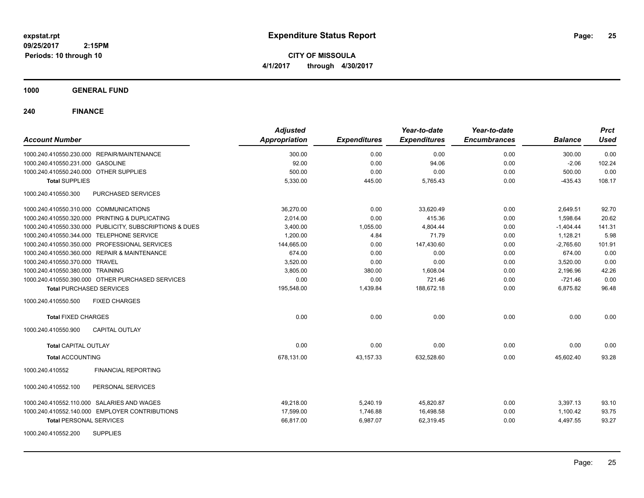**CITY OF MISSOULA 4/1/2017 through 4/30/2017**

## **1000 GENERAL FUND**

|                                                         | <b>Adjusted</b>      |                     | Year-to-date        | Year-to-date        |                | <b>Prct</b> |
|---------------------------------------------------------|----------------------|---------------------|---------------------|---------------------|----------------|-------------|
| <b>Account Number</b>                                   | <b>Appropriation</b> | <b>Expenditures</b> | <b>Expenditures</b> | <b>Encumbrances</b> | <b>Balance</b> | <b>Used</b> |
| 1000.240.410550.230.000 REPAIR/MAINTENANCE              | 300.00               | 0.00                | 0.00                | 0.00                | 300.00         | 0.00        |
| 1000.240.410550.231.000 GASOLINE                        | 92.00                | 0.00                | 94.06               | 0.00                | $-2.06$        | 102.24      |
| 1000.240.410550.240.000 OTHER SUPPLIES                  | 500.00               | 0.00                | 0.00                | 0.00                | 500.00         | 0.00        |
| <b>Total SUPPLIES</b>                                   | 5,330.00             | 445.00              | 5,765.43            | 0.00                | $-435.43$      | 108.17      |
| 1000.240.410550.300<br><b>PURCHASED SERVICES</b>        |                      |                     |                     |                     |                |             |
| 1000.240.410550.310.000 COMMUNICATIONS                  | 36,270.00            | 0.00                | 33,620.49           | 0.00                | 2,649.51       | 92.70       |
| 1000.240.410550.320.000 PRINTING & DUPLICATING          | 2,014.00             | 0.00                | 415.36              | 0.00                | 1,598.64       | 20.62       |
| 1000.240.410550.330.000 PUBLICITY, SUBSCRIPTIONS & DUES | 3,400.00             | 1,055.00            | 4,804.44            | 0.00                | $-1,404.44$    | 141.31      |
| 1000.240.410550.344.000 TELEPHONE SERVICE               | 1,200.00             | 4.84                | 71.79               | 0.00                | 1,128.21       | 5.98        |
| 1000.240.410550.350.000 PROFESSIONAL SERVICES           | 144,665.00           | 0.00                | 147,430.60          | 0.00                | $-2,765.60$    | 101.91      |
| 1000.240.410550.360.000 REPAIR & MAINTENANCE            | 674.00               | 0.00                | 0.00                | 0.00                | 674.00         | 0.00        |
| 1000.240.410550.370.000 TRAVEL                          | 3,520.00             | 0.00                | 0.00                | 0.00                | 3,520.00       | 0.00        |
| 1000.240.410550.380.000 TRAINING                        | 3,805.00             | 380.00              | 1.608.04            | 0.00                | 2,196.96       | 42.26       |
| 1000.240.410550.390.000 OTHER PURCHASED SERVICES        | 0.00                 | 0.00                | 721.46              | 0.00                | $-721.46$      | 0.00        |
| <b>Total PURCHASED SERVICES</b>                         | 195,548.00           | 1,439.84            | 188,672.18          | 0.00                | 6,875.82       | 96.48       |
| <b>FIXED CHARGES</b><br>1000.240.410550.500             |                      |                     |                     |                     |                |             |
| <b>Total FIXED CHARGES</b>                              | 0.00                 | 0.00                | 0.00                | 0.00                | 0.00           | 0.00        |
| 1000.240.410550.900<br><b>CAPITAL OUTLAY</b>            |                      |                     |                     |                     |                |             |
| <b>Total CAPITAL OUTLAY</b>                             | 0.00                 | 0.00                | 0.00                | 0.00                | 0.00           | 0.00        |
| <b>Total ACCOUNTING</b>                                 | 678.131.00           | 43,157.33           | 632,528.60          | 0.00                | 45.602.40      | 93.28       |
| <b>FINANCIAL REPORTING</b><br>1000.240.410552           |                      |                     |                     |                     |                |             |
| PERSONAL SERVICES<br>1000.240.410552.100                |                      |                     |                     |                     |                |             |
| 1000.240.410552.110.000 SALARIES AND WAGES              | 49,218.00            | 5,240.19            | 45,820.87           | 0.00                | 3,397.13       | 93.10       |
| 1000.240.410552.140.000 EMPLOYER CONTRIBUTIONS          | 17,599.00            | 1,746.88            | 16,498.58           | 0.00                | 1,100.42       | 93.75       |
| <b>Total PERSONAL SERVICES</b>                          | 66,817.00            | 6,987.07            | 62,319.45           | 0.00                | 4,497.55       | 93.27       |
| 1000.240.410552.200<br><b>SUPPLIES</b>                  |                      |                     |                     |                     |                |             |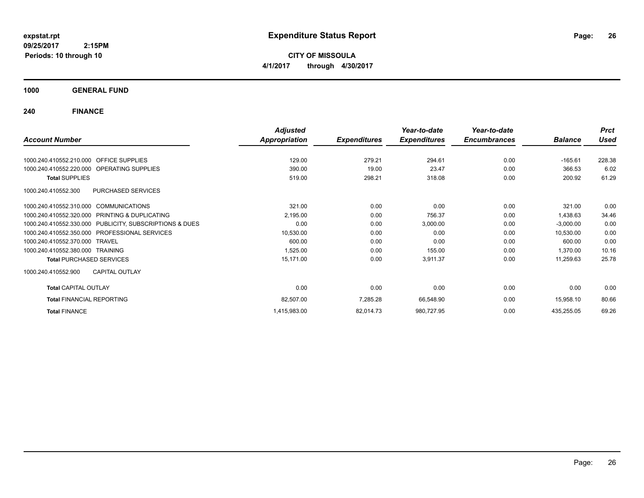**CITY OF MISSOULA 4/1/2017 through 4/30/2017**

**1000 GENERAL FUND**

|                                                         | <b>Adjusted</b>      |                     | Year-to-date        | Year-to-date        |                | <b>Prct</b> |
|---------------------------------------------------------|----------------------|---------------------|---------------------|---------------------|----------------|-------------|
| <b>Account Number</b>                                   | <b>Appropriation</b> | <b>Expenditures</b> | <b>Expenditures</b> | <b>Encumbrances</b> | <b>Balance</b> | <b>Used</b> |
| 1000.240.410552.210.000 OFFICE SUPPLIES                 | 129.00               | 279.21              | 294.61              | 0.00                | $-165.61$      | 228.38      |
| 1000.240.410552.220.000 OPERATING SUPPLIES              | 390.00               | 19.00               | 23.47               | 0.00                | 366.53         | 6.02        |
| <b>Total SUPPLIES</b>                                   | 519.00               | 298.21              | 318.08              | 0.00                | 200.92         | 61.29       |
| PURCHASED SERVICES<br>1000.240.410552.300               |                      |                     |                     |                     |                |             |
| 1000.240.410552.310.000 COMMUNICATIONS                  | 321.00               | 0.00                | 0.00                | 0.00                | 321.00         | 0.00        |
| 1000.240.410552.320.000 PRINTING & DUPLICATING          | 2,195.00             | 0.00                | 756.37              | 0.00                | 1,438.63       | 34.46       |
| 1000.240.410552.330.000 PUBLICITY, SUBSCRIPTIONS & DUES | 0.00                 | 0.00                | 3,000.00            | 0.00                | $-3,000.00$    | 0.00        |
| <b>PROFESSIONAL SERVICES</b><br>1000.240.410552.350.000 | 10,530.00            | 0.00                | 0.00                | 0.00                | 10,530.00      | 0.00        |
| 1000.240.410552.370.000 TRAVEL                          | 600.00               | 0.00                | 0.00                | 0.00                | 600.00         | 0.00        |
| 1000.240.410552.380.000 TRAINING                        | 1,525.00             | 0.00                | 155.00              | 0.00                | 1,370.00       | 10.16       |
| <b>Total PURCHASED SERVICES</b>                         | 15,171.00            | 0.00                | 3,911.37            | 0.00                | 11,259.63      | 25.78       |
| <b>CAPITAL OUTLAY</b><br>1000.240.410552.900            |                      |                     |                     |                     |                |             |
| <b>Total CAPITAL OUTLAY</b>                             | 0.00                 | 0.00                | 0.00                | 0.00                | 0.00           | 0.00        |
| <b>Total FINANCIAL REPORTING</b>                        | 82,507.00            | 7,285.28            | 66,548.90           | 0.00                | 15,958.10      | 80.66       |
| <b>Total FINANCE</b>                                    | 1,415,983.00         | 82,014.73           | 980,727.95          | 0.00                | 435,255.05     | 69.26       |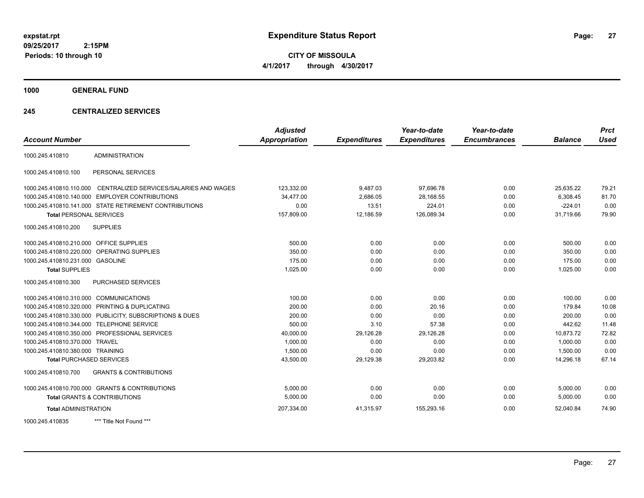**CITY OF MISSOULA 4/1/2017 through 4/30/2017**

**1000 GENERAL FUND**

## **245 CENTRALIZED SERVICES**

| <b>Account Number</b>                   |                                                        | <b>Adjusted</b><br><b>Appropriation</b> | <b>Expenditures</b> | Year-to-date<br><b>Expenditures</b> | Year-to-date<br><b>Encumbrances</b> | <b>Balance</b> | <b>Prct</b><br><b>Used</b> |
|-----------------------------------------|--------------------------------------------------------|-----------------------------------------|---------------------|-------------------------------------|-------------------------------------|----------------|----------------------------|
| 1000.245.410810                         | <b>ADMINISTRATION</b>                                  |                                         |                     |                                     |                                     |                |                            |
|                                         |                                                        |                                         |                     |                                     |                                     |                |                            |
| 1000.245.410810.100                     | PERSONAL SERVICES                                      |                                         |                     |                                     |                                     |                |                            |
| 1000.245.410810.110.000                 | CENTRALIZED SERVICES/SALARIES AND WAGES                | 123,332.00                              | 9,487.03            | 97.696.78                           | 0.00                                | 25,635.22      | 79.21                      |
| 1000.245.410810.140.000                 | <b>EMPLOYER CONTRIBUTIONS</b>                          | 34,477.00                               | 2,686.05            | 28,168.55                           | 0.00                                | 6,308.45       | 81.70                      |
|                                         | 1000.245.410810.141.000 STATE RETIREMENT CONTRIBUTIONS | 0.00                                    | 13.51               | 224.01                              | 0.00                                | $-224.01$      | 0.00                       |
| <b>Total PERSONAL SERVICES</b>          |                                                        | 157,809.00                              | 12,186.59           | 126,089.34                          | 0.00                                | 31,719.66      | 79.90                      |
| 1000.245.410810.200                     | <b>SUPPLIES</b>                                        |                                         |                     |                                     |                                     |                |                            |
| 1000.245.410810.210.000 OFFICE SUPPLIES |                                                        | 500.00                                  | 0.00                | 0.00                                | 0.00                                | 500.00         | 0.00                       |
| 1000.245.410810.220.000                 | OPERATING SUPPLIES                                     | 350.00                                  | 0.00                | 0.00                                | 0.00                                | 350.00         | 0.00                       |
| 1000.245.410810.231.000 GASOLINE        |                                                        | 175.00                                  | 0.00                | 0.00                                | 0.00                                | 175.00         | 0.00                       |
| <b>Total SUPPLIES</b>                   |                                                        | 1,025.00                                | 0.00                | 0.00                                | 0.00                                | 1,025.00       | 0.00                       |
| 1000.245.410810.300                     | PURCHASED SERVICES                                     |                                         |                     |                                     |                                     |                |                            |
| 1000.245.410810.310.000 COMMUNICATIONS  |                                                        | 100.00                                  | 0.00                | 0.00                                | 0.00                                | 100.00         | 0.00                       |
|                                         | 1000.245.410810.320.000 PRINTING & DUPLICATING         | 200.00                                  | 0.00                | 20.16                               | 0.00                                | 179.84         | 10.08                      |
| 1000.245.410810.330.000                 | PUBLICITY, SUBSCRIPTIONS & DUES                        | 200.00                                  | 0.00                | 0.00                                | 0.00                                | 200.00         | 0.00                       |
| 1000.245.410810.344.000                 | <b>TELEPHONE SERVICE</b>                               | 500.00                                  | 3.10                | 57.38                               | 0.00                                | 442.62         | 11.48                      |
|                                         | 1000.245.410810.350.000 PROFESSIONAL SERVICES          | 40,000.00                               | 29,126.28           | 29,126.28                           | 0.00                                | 10,873.72      | 72.82                      |
| 1000.245.410810.370.000                 | <b>TRAVEL</b>                                          | 1,000.00                                | 0.00                | 0.00                                | 0.00                                | 1.000.00       | 0.00                       |
| 1000.245.410810.380.000 TRAINING        |                                                        | 1,500.00                                | 0.00                | 0.00                                | 0.00                                | 1,500.00       | 0.00                       |
| <b>Total PURCHASED SERVICES</b>         |                                                        | 43,500.00                               | 29,129.38           | 29,203.82                           | 0.00                                | 14,296.18      | 67.14                      |
| 1000.245.410810.700                     | <b>GRANTS &amp; CONTRIBUTIONS</b>                      |                                         |                     |                                     |                                     |                |                            |
|                                         | 1000.245.410810.700.000 GRANTS & CONTRIBUTIONS         | 5.000.00                                | 0.00                | 0.00                                | 0.00                                | 5,000.00       | 0.00                       |
|                                         | <b>Total GRANTS &amp; CONTRIBUTIONS</b>                | 5,000.00                                | 0.00                | 0.00                                | 0.00                                | 5,000.00       | 0.00                       |
| <b>Total ADMINISTRATION</b>             |                                                        | 207,334.00                              | 41,315.97           | 155,293.16                          | 0.00                                | 52,040.84      | 74.90                      |
| 1000.245.410835                         | *** Title Not Found ***                                |                                         |                     |                                     |                                     |                |                            |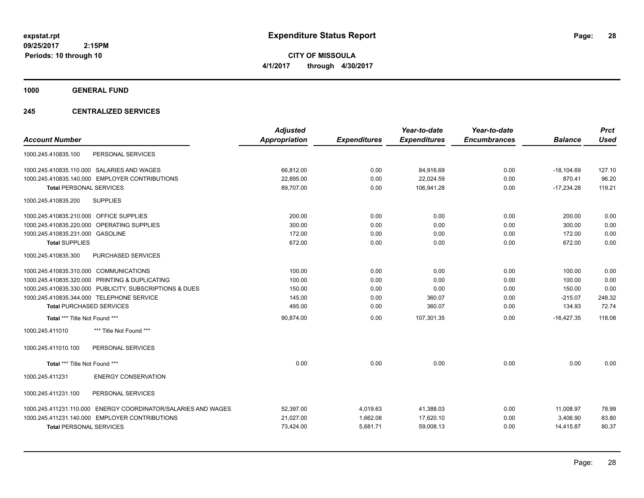**CITY OF MISSOULA 4/1/2017 through 4/30/2017**

**1000 GENERAL FUND**

## **245 CENTRALIZED SERVICES**

| <b>Account Number</b>                                                   | <b>Adjusted</b><br><b>Appropriation</b> | <b>Expenditures</b> | Year-to-date<br><b>Expenditures</b> | Year-to-date<br><b>Encumbrances</b> | <b>Balance</b> | <b>Prct</b><br><b>Used</b> |
|-------------------------------------------------------------------------|-----------------------------------------|---------------------|-------------------------------------|-------------------------------------|----------------|----------------------------|
| PERSONAL SERVICES<br>1000.245.410835.100                                |                                         |                     |                                     |                                     |                |                            |
| 1000.245.410835.110.000 SALARIES AND WAGES                              | 66,812.00                               | 0.00                | 84,916.69                           | 0.00                                | $-18,104.69$   | 127.10                     |
| 1000.245.410835.140.000 EMPLOYER CONTRIBUTIONS                          | 22,895.00                               | 0.00                | 22,024.59                           | 0.00                                | 870.41         | 96.20                      |
| <b>Total PERSONAL SERVICES</b>                                          | 89,707.00                               | 0.00                | 106,941.28                          | 0.00                                | $-17,234.28$   | 119.21                     |
| <b>SUPPLIES</b><br>1000.245.410835.200                                  |                                         |                     |                                     |                                     |                |                            |
| 1000.245.410835.210.000 OFFICE SUPPLIES                                 | 200.00                                  | 0.00                | 0.00                                | 0.00                                | 200.00         | 0.00                       |
| 1000.245.410835.220.000 OPERATING SUPPLIES                              | 300.00                                  | 0.00                | 0.00                                | 0.00                                | 300.00         | 0.00                       |
| 1000.245.410835.231.000 GASOLINE                                        | 172.00                                  | 0.00                | 0.00                                | 0.00                                | 172.00         | 0.00                       |
| <b>Total SUPPLIES</b>                                                   | 672.00                                  | 0.00                | 0.00                                | 0.00                                | 672.00         | 0.00                       |
| 1000.245.410835.300<br>PURCHASED SERVICES                               |                                         |                     |                                     |                                     |                |                            |
| 1000.245.410835.310.000 COMMUNICATIONS                                  | 100.00                                  | 0.00                | 0.00                                | 0.00                                | 100.00         | 0.00                       |
| 1000.245.410835.320.000 PRINTING & DUPLICATING                          | 100.00                                  | 0.00                | 0.00                                | 0.00                                | 100.00         | 0.00                       |
| 1000.245.410835.330.000 PUBLICITY, SUBSCRIPTIONS & DUES                 | 150.00                                  | 0.00                | 0.00                                | 0.00                                | 150.00         | 0.00                       |
| 1000.245.410835.344.000 TELEPHONE SERVICE                               | 145.00                                  | 0.00                | 360.07                              | 0.00                                | $-215.07$      | 248.32                     |
| <b>Total PURCHASED SERVICES</b>                                         | 495.00                                  | 0.00                | 360.07                              | 0.00                                | 134.93         | 72.74                      |
| Total *** Title Not Found ***                                           | 90,874.00                               | 0.00                | 107.301.35                          | 0.00                                | $-16,427.35$   | 118.08                     |
| *** Title Not Found ***<br>1000.245.411010                              |                                         |                     |                                     |                                     |                |                            |
| 1000.245.411010.100<br>PERSONAL SERVICES                                |                                         |                     |                                     |                                     |                |                            |
| Total *** Title Not Found ***                                           | 0.00                                    | 0.00                | 0.00                                | 0.00                                | 0.00           | 0.00                       |
| <b>ENERGY CONSERVATION</b><br>1000.245.411231                           |                                         |                     |                                     |                                     |                |                            |
| PERSONAL SERVICES<br>1000.245.411231.100                                |                                         |                     |                                     |                                     |                |                            |
| <b>ENERGY COORDINATOR/SALARIES AND WAGES</b><br>1000.245.411231.110.000 | 52,397.00                               | 4,019.63            | 41,388.03                           | 0.00                                | 11,008.97      | 78.99                      |
| 1000.245.411231.140.000 EMPLOYER CONTRIBUTIONS                          | 21,027.00                               | 1,662.08            | 17,620.10                           | 0.00                                | 3,406.90       | 83.80                      |
| <b>Total PERSONAL SERVICES</b>                                          | 73,424.00                               | 5,681.71            | 59,008.13                           | 0.00                                | 14,415.87      | 80.37                      |
|                                                                         |                                         |                     |                                     |                                     |                |                            |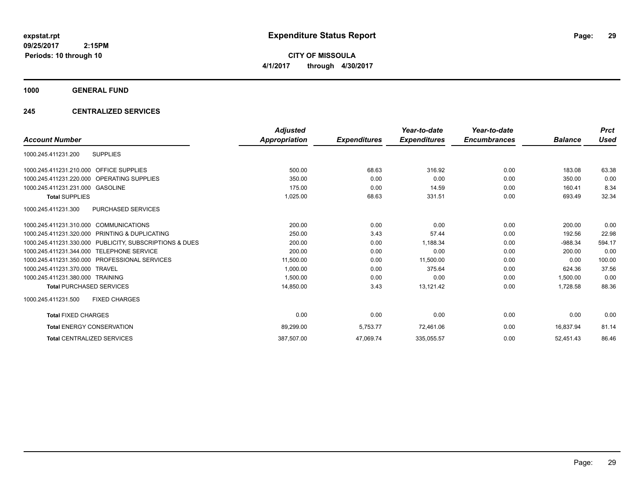**CITY OF MISSOULA 4/1/2017 through 4/30/2017**

**1000 GENERAL FUND**

## **245 CENTRALIZED SERVICES**

|                                                         | <b>Adjusted</b> |                     | Year-to-date        | Year-to-date        |                | <b>Prct</b> |
|---------------------------------------------------------|-----------------|---------------------|---------------------|---------------------|----------------|-------------|
| <b>Account Number</b>                                   | Appropriation   | <b>Expenditures</b> | <b>Expenditures</b> | <b>Encumbrances</b> | <b>Balance</b> | <b>Used</b> |
| <b>SUPPLIES</b><br>1000.245.411231.200                  |                 |                     |                     |                     |                |             |
| 1000.245.411231.210.000 OFFICE SUPPLIES                 | 500.00          | 68.63               | 316.92              | 0.00                | 183.08         | 63.38       |
| 1000.245.411231.220.000 OPERATING SUPPLIES              | 350.00          | 0.00                | 0.00                | 0.00                | 350.00         | 0.00        |
| 1000.245.411231.231.000 GASOLINE                        | 175.00          | 0.00                | 14.59               | 0.00                | 160.41         | 8.34        |
| <b>Total SUPPLIES</b>                                   | 1,025.00        | 68.63               | 331.51              | 0.00                | 693.49         | 32.34       |
| <b>PURCHASED SERVICES</b><br>1000.245.411231.300        |                 |                     |                     |                     |                |             |
| 1000.245.411231.310.000 COMMUNICATIONS                  | 200.00          | 0.00                | 0.00                | 0.00                | 200.00         | 0.00        |
| 1000.245.411231.320.000 PRINTING & DUPLICATING          | 250.00          | 3.43                | 57.44               | 0.00                | 192.56         | 22.98       |
| 1000.245.411231.330.000 PUBLICITY, SUBSCRIPTIONS & DUES | 200.00          | 0.00                | 1,188.34            | 0.00                | $-988.34$      | 594.17      |
| 1000.245.411231.344.000 TELEPHONE SERVICE               | 200.00          | 0.00                | 0.00                | 0.00                | 200.00         | 0.00        |
| 1000.245.411231.350.000 PROFESSIONAL SERVICES           | 11,500.00       | 0.00                | 11,500.00           | 0.00                | 0.00           | 100.00      |
| 1000.245.411231.370.000 TRAVEL                          | 1,000.00        | 0.00                | 375.64              | 0.00                | 624.36         | 37.56       |
| 1000.245.411231.380.000 TRAINING                        | 1,500.00        | 0.00                | 0.00                | 0.00                | 1.500.00       | 0.00        |
| <b>Total PURCHASED SERVICES</b>                         | 14,850.00       | 3.43                | 13,121.42           | 0.00                | 1.728.58       | 88.36       |
| 1000.245.411231.500<br><b>FIXED CHARGES</b>             |                 |                     |                     |                     |                |             |
| <b>Total FIXED CHARGES</b>                              | 0.00            | 0.00                | 0.00                | 0.00                | 0.00           | 0.00        |
| <b>Total ENERGY CONSERVATION</b>                        | 89,299.00       | 5,753.77            | 72,461.06           | 0.00                | 16.837.94      | 81.14       |
| <b>Total CENTRALIZED SERVICES</b>                       | 387,507.00      | 47,069.74           | 335,055.57          | 0.00                | 52,451.43      | 86.46       |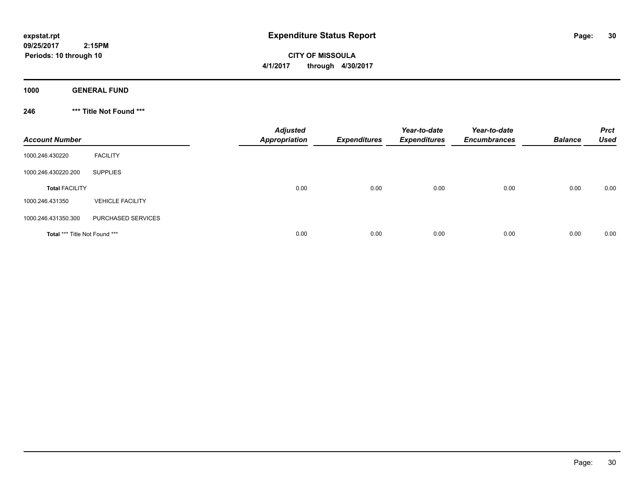**CITY OF MISSOULA 4/1/2017 through 4/30/2017**

**1000 GENERAL FUND**

**246 \*\*\* Title Not Found \*\*\***

| <b>Account Number</b>         |                         | <b>Adjusted</b><br><b>Appropriation</b> | <b>Expenditures</b> | Year-to-date<br><b>Expenditures</b> | Year-to-date<br><b>Encumbrances</b> | <b>Balance</b> | <b>Prct</b><br><b>Used</b> |
|-------------------------------|-------------------------|-----------------------------------------|---------------------|-------------------------------------|-------------------------------------|----------------|----------------------------|
| 1000.246.430220               | <b>FACILITY</b>         |                                         |                     |                                     |                                     |                |                            |
| 1000.246.430220.200           | <b>SUPPLIES</b>         |                                         |                     |                                     |                                     |                |                            |
| <b>Total FACILITY</b>         |                         | 0.00                                    | 0.00                | 0.00                                | 0.00                                | 0.00           | 0.00                       |
| 1000.246.431350               | <b>VEHICLE FACILITY</b> |                                         |                     |                                     |                                     |                |                            |
| 1000.246.431350.300           | PURCHASED SERVICES      |                                         |                     |                                     |                                     |                |                            |
| Total *** Title Not Found *** |                         | 0.00                                    | 0.00                | 0.00                                | 0.00                                | 0.00           | 0.00                       |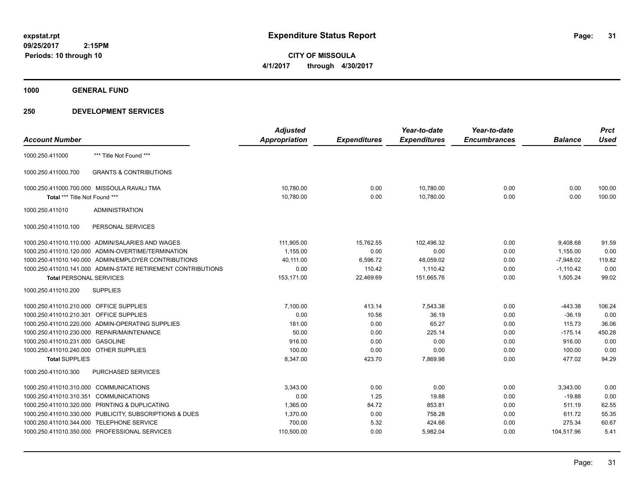**CITY OF MISSOULA 4/1/2017 through 4/30/2017**

**1000 GENERAL FUND**

|                                         |                                                              | <b>Adjusted</b>      |                     | Year-to-date        | Year-to-date        |                | <b>Prct</b> |
|-----------------------------------------|--------------------------------------------------------------|----------------------|---------------------|---------------------|---------------------|----------------|-------------|
| <b>Account Number</b>                   |                                                              | <b>Appropriation</b> | <b>Expenditures</b> | <b>Expenditures</b> | <b>Encumbrances</b> | <b>Balance</b> | <b>Used</b> |
| 1000.250.411000                         | *** Title Not Found ***                                      |                      |                     |                     |                     |                |             |
| 1000.250.411000.700                     | <b>GRANTS &amp; CONTRIBUTIONS</b>                            |                      |                     |                     |                     |                |             |
|                                         | 1000.250.411000.700.000 MISSOULA RAVALI TMA                  | 10,780.00            | 0.00                | 10,780.00           | 0.00                | 0.00           | 100.00      |
| Total *** Title Not Found ***           |                                                              | 10,780.00            | 0.00                | 10,780.00           | 0.00                | 0.00           | 100.00      |
| 1000.250.411010                         | <b>ADMINISTRATION</b>                                        |                      |                     |                     |                     |                |             |
| 1000.250.411010.100                     | PERSONAL SERVICES                                            |                      |                     |                     |                     |                |             |
|                                         | 1000.250.411010.110.000 ADMIN/SALARIES AND WAGES             | 111,905.00           | 15,762.55           | 102,496.32          | 0.00                | 9,408.68       | 91.59       |
|                                         | 1000.250.411010.120.000 ADMIN-OVERTIME/TERMINATION           | 1,155.00             | 0.00                | 0.00                | 0.00                | 1,155.00       | 0.00        |
|                                         | 1000.250.411010.140.000 ADMIN/EMPLOYER CONTRIBUTIONS         | 40,111.00            | 6,596.72            | 48,059.02           | 0.00                | $-7,948.02$    | 119.82      |
|                                         | 1000.250.411010.141.000 ADMIN-STATE RETIREMENT CONTRIBUTIONS | 0.00                 | 110.42              | 1,110.42            | 0.00                | $-1,110.42$    | 0.00        |
| <b>Total PERSONAL SERVICES</b>          |                                                              | 153,171.00           | 22,469.69           | 151,665.76          | 0.00                | 1,505.24       | 99.02       |
| 1000.250.411010.200                     | <b>SUPPLIES</b>                                              |                      |                     |                     |                     |                |             |
| 1000.250.411010.210.000 OFFICE SUPPLIES |                                                              | 7,100.00             | 413.14              | 7,543.38            | 0.00                | $-443.38$      | 106.24      |
| 1000.250.411010.210.301 OFFICE SUPPLIES |                                                              | 0.00                 | 10.56               | 36.19               | 0.00                | $-36.19$       | 0.00        |
|                                         | 1000.250.411010.220.000 ADMIN-OPERATING SUPPLIES             | 181.00               | 0.00                | 65.27               | 0.00                | 115.73         | 36.06       |
|                                         | 1000.250.411010.230.000 REPAIR/MAINTENANCE                   | 50.00                | 0.00                | 225.14              | 0.00                | $-175.14$      | 450.28      |
| 1000.250.411010.231.000 GASOLINE        |                                                              | 916.00               | 0.00                | 0.00                | 0.00                | 916.00         | 0.00        |
| 1000.250.411010.240.000 OTHER SUPPLIES  |                                                              | 100.00               | 0.00                | 0.00                | 0.00                | 100.00         | 0.00        |
| <b>Total SUPPLIES</b>                   |                                                              | 8,347.00             | 423.70              | 7,869.98            | 0.00                | 477.02         | 94.29       |
| 1000.250.411010.300                     | <b>PURCHASED SERVICES</b>                                    |                      |                     |                     |                     |                |             |
| 1000.250.411010.310.000 COMMUNICATIONS  |                                                              | 3.343.00             | 0.00                | 0.00                | 0.00                | 3,343.00       | 0.00        |
| 1000.250.411010.310.351 COMMUNICATIONS  |                                                              | 0.00                 | 1.25                | 19.88               | 0.00                | $-19.88$       | 0.00        |
|                                         | 1000.250.411010.320.000 PRINTING & DUPLICATING               | 1,365.00             | 84.72               | 853.81              | 0.00                | 511.19         | 62.55       |
|                                         | 1000.250.411010.330.000 PUBLICITY, SUBSCRIPTIONS & DUES      | 1,370.00             | 0.00                | 758.28              | 0.00                | 611.72         | 55.35       |
|                                         | 1000.250.411010.344.000 TELEPHONE SERVICE                    | 700.00               | 5.32                | 424.66              | 0.00                | 275.34         | 60.67       |
|                                         | 1000.250.411010.350.000 PROFESSIONAL SERVICES                | 110,500.00           | 0.00                | 5,982.04            | 0.00                | 104,517.96     | 5.41        |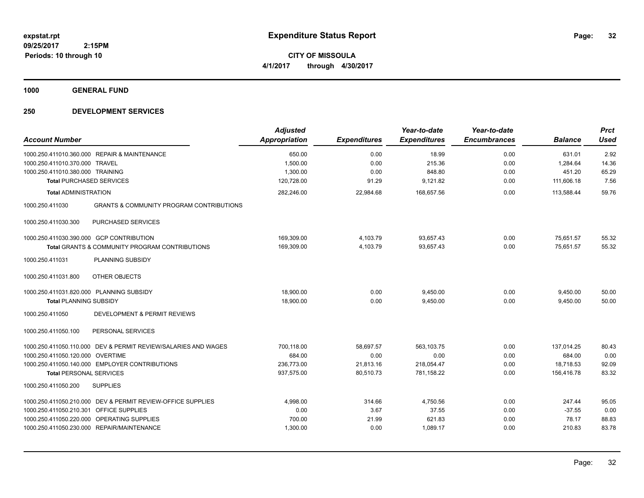**CITY OF MISSOULA 4/1/2017 through 4/30/2017**

**1000 GENERAL FUND**

| <b>Account Number</b>                                                  | <b>Adjusted</b><br><b>Appropriation</b> | <b>Expenditures</b> | Year-to-date<br><b>Expenditures</b> | Year-to-date<br><b>Encumbrances</b> | <b>Balance</b> | <b>Prct</b><br><b>Used</b> |
|------------------------------------------------------------------------|-----------------------------------------|---------------------|-------------------------------------|-------------------------------------|----------------|----------------------------|
| 1000.250.411010.360.000 REPAIR & MAINTENANCE                           | 650.00                                  | 0.00                | 18.99                               | 0.00                                | 631.01         | 2.92                       |
| 1000.250.411010.370.000 TRAVEL                                         | 1,500.00                                | 0.00                | 215.36                              | 0.00                                | 1,284.64       | 14.36                      |
| 1000.250.411010.380.000 TRAINING                                       | 1,300.00                                | 0.00                | 848.80                              | 0.00                                | 451.20         | 65.29                      |
| <b>Total PURCHASED SERVICES</b>                                        | 120,728.00                              | 91.29               | 9,121.82                            | 0.00                                | 111,606.18     | 7.56                       |
| <b>Total ADMINISTRATION</b>                                            | 282,246.00                              | 22,984.68           | 168,657.56                          | 0.00                                | 113,588.44     | 59.76                      |
| <b>GRANTS &amp; COMMUNITY PROGRAM CONTRIBUTIONS</b><br>1000.250.411030 |                                         |                     |                                     |                                     |                |                            |
| <b>PURCHASED SERVICES</b><br>1000.250.411030.300                       |                                         |                     |                                     |                                     |                |                            |
| 1000.250.411030.390.000 GCP CONTRIBUTION                               | 169,309.00                              | 4,103.79            | 93,657.43                           | 0.00                                | 75,651.57      | 55.32                      |
| Total GRANTS & COMMUNITY PROGRAM CONTRIBUTIONS                         | 169,309.00                              | 4,103.79            | 93,657.43                           | 0.00                                | 75,651.57      | 55.32                      |
| PLANNING SUBSIDY<br>1000.250.411031                                    |                                         |                     |                                     |                                     |                |                            |
| OTHER OBJECTS<br>1000.250.411031.800                                   |                                         |                     |                                     |                                     |                |                            |
| 1000.250.411031.820.000 PLANNING SUBSIDY                               | 18,900.00                               | 0.00                | 9,450.00                            | 0.00                                | 9,450.00       | 50.00                      |
| <b>Total PLANNING SUBSIDY</b>                                          | 18,900.00                               | 0.00                | 9,450.00                            | 0.00                                | 9,450.00       | 50.00                      |
| 1000.250.411050<br>DEVELOPMENT & PERMIT REVIEWS                        |                                         |                     |                                     |                                     |                |                            |
| 1000.250.411050.100<br>PERSONAL SERVICES                               |                                         |                     |                                     |                                     |                |                            |
| 1000.250.411050.110.000 DEV & PERMIT REVIEW/SALARIES AND WAGES         | 700,118.00                              | 58,697.57           | 563,103.75                          | 0.00                                | 137,014.25     | 80.43                      |
| 1000.250.411050.120.000 OVERTIME                                       | 684.00                                  | 0.00                | 0.00                                | 0.00                                | 684.00         | 0.00                       |
| 1000.250.411050.140.000 EMPLOYER CONTRIBUTIONS                         | 236,773.00                              | 21,813.16           | 218,054.47                          | 0.00                                | 18,718.53      | 92.09                      |
| <b>Total PERSONAL SERVICES</b>                                         | 937,575.00                              | 80,510.73           | 781,158.22                          | 0.00                                | 156,416.78     | 83.32                      |
| <b>SUPPLIES</b><br>1000.250.411050.200                                 |                                         |                     |                                     |                                     |                |                            |
| 1000.250.411050.210.000 DEV & PERMIT REVIEW-OFFICE SUPPLIES            | 4.998.00                                | 314.66              | 4,750.56                            | 0.00                                | 247.44         | 95.05                      |
| 1000.250.411050.210.301 OFFICE SUPPLIES                                | 0.00                                    | 3.67                | 37.55                               | 0.00                                | $-37.55$       | 0.00                       |
| 1000.250.411050.220.000 OPERATING SUPPLIES                             | 700.00                                  | 21.99               | 621.83                              | 0.00                                | 78.17          | 88.83                      |
| 1000.250.411050.230.000 REPAIR/MAINTENANCE                             | 1,300.00                                | 0.00                | 1,089.17                            | 0.00                                | 210.83         | 83.78                      |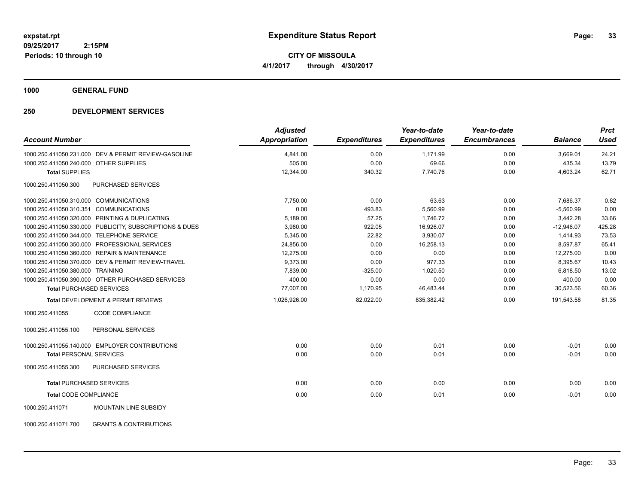**CITY OF MISSOULA 4/1/2017 through 4/30/2017**

**1000 GENERAL FUND**

| <b>Account Number</b>                                    | <b>Adjusted</b><br><b>Appropriation</b> | <b>Expenditures</b> | Year-to-date<br><b>Expenditures</b> | Year-to-date<br><b>Encumbrances</b> | <b>Balance</b> | <b>Prct</b><br><b>Used</b> |
|----------------------------------------------------------|-----------------------------------------|---------------------|-------------------------------------|-------------------------------------|----------------|----------------------------|
| 1000.250.411050.231.000 DEV & PERMIT REVIEW-GASOLINE     | 4,841.00                                | 0.00                | 1,171.99                            | 0.00                                | 3,669.01       | 24.21                      |
| 1000.250.411050.240.000 OTHER SUPPLIES                   | 505.00                                  | 0.00                | 69.66                               | 0.00                                | 435.34         | 13.79                      |
| <b>Total SUPPLIES</b>                                    | 12,344.00                               | 340.32              | 7,740.76                            | 0.00                                | 4,603.24       | 62.71                      |
| 1000.250.411050.300<br>PURCHASED SERVICES                |                                         |                     |                                     |                                     |                |                            |
| 1000.250.411050.310.000 COMMUNICATIONS                   | 7,750.00                                | 0.00                | 63.63                               | 0.00                                | 7,686.37       | 0.82                       |
| 1000.250.411050.310.351 COMMUNICATIONS                   | 0.00                                    | 493.83              | 5,560.99                            | 0.00                                | $-5,560.99$    | 0.00                       |
| 1000.250.411050.320.000 PRINTING & DUPLICATING           | 5,189.00                                | 57.25               | 1,746.72                            | 0.00                                | 3,442.28       | 33.66                      |
| 1000.250.411050.330.000 PUBLICITY, SUBSCRIPTIONS & DUES  | 3,980.00                                | 922.05              | 16,926.07                           | 0.00                                | $-12,946.07$   | 425.28                     |
| 1000.250.411050.344.000 TELEPHONE SERVICE                | 5,345.00                                | 22.82               | 3,930.07                            | 0.00                                | 1.414.93       | 73.53                      |
| 1000.250.411050.350.000 PROFESSIONAL SERVICES            | 24,856.00                               | 0.00                | 16.258.13                           | 0.00                                | 8.597.87       | 65.41                      |
| 1000.250.411050.360.000 REPAIR & MAINTENANCE             | 12.275.00                               | 0.00                | 0.00                                | 0.00                                | 12.275.00      | 0.00                       |
| 1000.250.411050.370.000 DEV & PERMIT REVIEW-TRAVEL       | 9,373.00                                | 0.00                | 977.33                              | 0.00                                | 8,395.67       | 10.43                      |
| 1000.250.411050.380.000 TRAINING                         | 7,839.00                                | $-325.00$           | 1,020.50                            | 0.00                                | 6,818.50       | 13.02                      |
| 1000.250.411050.390.000 OTHER PURCHASED SERVICES         | 400.00                                  | 0.00                | 0.00                                | 0.00                                | 400.00         | 0.00                       |
| <b>Total PURCHASED SERVICES</b>                          | 77,007.00                               | 1,170.95            | 46,483.44                           | 0.00                                | 30,523.56      | 60.36                      |
| Total DEVELOPMENT & PERMIT REVIEWS                       | 1,026,926.00                            | 82,022.00           | 835,382.42                          | 0.00                                | 191,543.58     | 81.35                      |
| <b>CODE COMPLIANCE</b><br>1000.250.411055                |                                         |                     |                                     |                                     |                |                            |
| 1000.250.411055.100<br>PERSONAL SERVICES                 |                                         |                     |                                     |                                     |                |                            |
| 1000.250.411055.140.000 EMPLOYER CONTRIBUTIONS           | 0.00                                    | 0.00                | 0.01                                | 0.00                                | $-0.01$        | 0.00                       |
| <b>Total PERSONAL SERVICES</b>                           | 0.00                                    | 0.00                | 0.01                                | 0.00                                | $-0.01$        | 0.00                       |
| 1000.250.411055.300<br><b>PURCHASED SERVICES</b>         |                                         |                     |                                     |                                     |                |                            |
| <b>Total PURCHASED SERVICES</b>                          | 0.00                                    | 0.00                | 0.00                                | 0.00                                | 0.00           | 0.00                       |
| <b>Total CODE COMPLIANCE</b>                             | 0.00                                    | 0.00                | 0.01                                | 0.00                                | $-0.01$        | 0.00                       |
| <b>MOUNTAIN LINE SUBSIDY</b><br>1000.250.411071          |                                         |                     |                                     |                                     |                |                            |
| <b>GRANTS &amp; CONTRIBUTIONS</b><br>1000.250.411071.700 |                                         |                     |                                     |                                     |                |                            |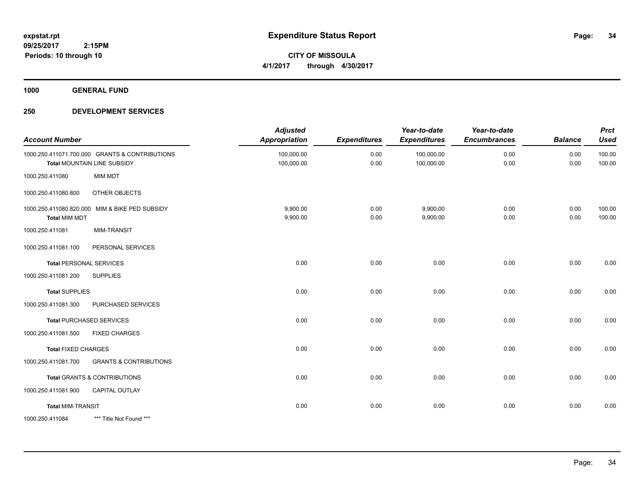**CITY OF MISSOULA 4/1/2017 through 4/30/2017**

**1000 GENERAL FUND**

| <b>Account Number</b>      |                                                                               | <b>Adjusted</b><br>Appropriation | <b>Expenditures</b> | Year-to-date<br><b>Expenditures</b> | Year-to-date<br><b>Encumbrances</b> | <b>Balance</b> | <b>Prct</b><br><b>Used</b> |
|----------------------------|-------------------------------------------------------------------------------|----------------------------------|---------------------|-------------------------------------|-------------------------------------|----------------|----------------------------|
|                            | 1000.250.411071.700.000 GRANTS & CONTRIBUTIONS<br>Total MOUNTAIN LINE SUBSIDY | 100,000.00<br>100,000.00         | 0.00<br>0.00        | 100,000.00<br>100,000.00            | 0.00<br>0.00                        | 0.00<br>0.00   | 100.00<br>100.00           |
| 1000.250.411080            | <b>MIM MDT</b>                                                                |                                  |                     |                                     |                                     |                |                            |
| 1000.250.411080.800        | OTHER OBJECTS                                                                 |                                  |                     |                                     |                                     |                |                            |
| <b>Total MIM MDT</b>       | 1000.250.411080.820.000 MIM & BIKE PED SUBSIDY                                | 9,900.00<br>9,900.00             | 0.00<br>0.00        | 9,900.00<br>9,900.00                | 0.00<br>0.00                        | 0.00<br>0.00   | 100.00<br>100.00           |
| 1000.250.411081            | <b>MIM-TRANSIT</b>                                                            |                                  |                     |                                     |                                     |                |                            |
| 1000.250.411081.100        | PERSONAL SERVICES                                                             |                                  |                     |                                     |                                     |                |                            |
|                            | <b>Total PERSONAL SERVICES</b>                                                | 0.00                             | 0.00                | 0.00                                | 0.00                                | 0.00           | 0.00                       |
| 1000.250.411081.200        | <b>SUPPLIES</b>                                                               |                                  |                     |                                     |                                     |                |                            |
| <b>Total SUPPLIES</b>      |                                                                               | 0.00                             | 0.00                | 0.00                                | 0.00                                | 0.00           | 0.00                       |
| 1000.250.411081.300        | PURCHASED SERVICES                                                            |                                  |                     |                                     |                                     |                |                            |
|                            | <b>Total PURCHASED SERVICES</b>                                               | 0.00                             | 0.00                | 0.00                                | 0.00                                | 0.00           | 0.00                       |
| 1000.250.411081.500        | <b>FIXED CHARGES</b>                                                          |                                  |                     |                                     |                                     |                |                            |
| <b>Total FIXED CHARGES</b> |                                                                               | 0.00                             | 0.00                | 0.00                                | 0.00                                | 0.00           | 0.00                       |
| 1000.250.411081.700        | <b>GRANTS &amp; CONTRIBUTIONS</b>                                             |                                  |                     |                                     |                                     |                |                            |
|                            | <b>Total GRANTS &amp; CONTRIBUTIONS</b>                                       | 0.00                             | 0.00                | 0.00                                | 0.00                                | 0.00           | 0.00                       |
| 1000.250.411081.900        | CAPITAL OUTLAY                                                                |                                  |                     |                                     |                                     |                |                            |
| <b>Total MIM-TRANSIT</b>   |                                                                               | 0.00                             | 0.00                | 0.00                                | 0.00                                | 0.00           | 0.00                       |
| 1000.250.411084            | *** Title Not Found ***                                                       |                                  |                     |                                     |                                     |                |                            |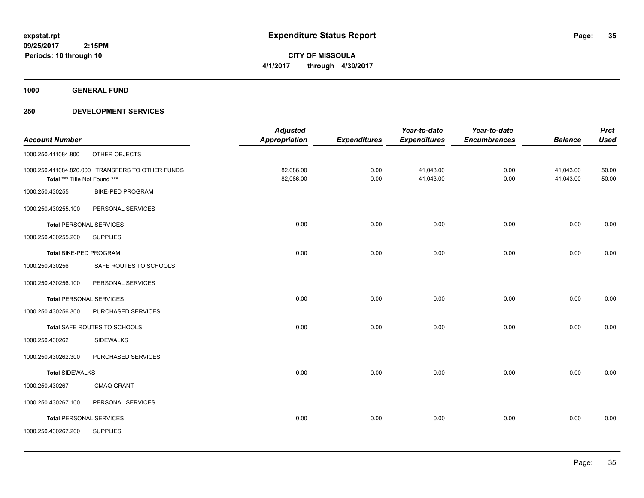**CITY OF MISSOULA 4/1/2017 through 4/30/2017**

**1000 GENERAL FUND**

|                                |                                                  | <b>Adjusted</b>      |                     | Year-to-date        | Year-to-date        |                | <b>Prct</b> |
|--------------------------------|--------------------------------------------------|----------------------|---------------------|---------------------|---------------------|----------------|-------------|
| <b>Account Number</b>          |                                                  | <b>Appropriation</b> | <b>Expenditures</b> | <b>Expenditures</b> | <b>Encumbrances</b> | <b>Balance</b> | <b>Used</b> |
| 1000.250.411084.800            | OTHER OBJECTS                                    |                      |                     |                     |                     |                |             |
|                                | 1000.250.411084.820.000 TRANSFERS TO OTHER FUNDS | 82,086.00            | 0.00                | 41,043.00           | 0.00                | 41,043.00      | 50.00       |
| Total *** Title Not Found ***  |                                                  | 82,086.00            | 0.00                | 41,043.00           | 0.00                | 41,043.00      | 50.00       |
| 1000.250.430255                | <b>BIKE-PED PROGRAM</b>                          |                      |                     |                     |                     |                |             |
| 1000.250.430255.100            | PERSONAL SERVICES                                |                      |                     |                     |                     |                |             |
| <b>Total PERSONAL SERVICES</b> |                                                  | 0.00                 | 0.00                | 0.00                | 0.00                | 0.00           | 0.00        |
| 1000.250.430255.200            | <b>SUPPLIES</b>                                  |                      |                     |                     |                     |                |             |
| Total BIKE-PED PROGRAM         |                                                  | 0.00                 | 0.00                | 0.00                | 0.00                | 0.00           | 0.00        |
| 1000.250.430256                | SAFE ROUTES TO SCHOOLS                           |                      |                     |                     |                     |                |             |
| 1000.250.430256.100            | PERSONAL SERVICES                                |                      |                     |                     |                     |                |             |
| <b>Total PERSONAL SERVICES</b> |                                                  | 0.00                 | 0.00                | 0.00                | 0.00                | 0.00           | 0.00        |
| 1000.250.430256.300            | PURCHASED SERVICES                               |                      |                     |                     |                     |                |             |
|                                | Total SAFE ROUTES TO SCHOOLS                     | 0.00                 | 0.00                | 0.00                | 0.00                | 0.00           | 0.00        |
| 1000.250.430262                | <b>SIDEWALKS</b>                                 |                      |                     |                     |                     |                |             |
| 1000.250.430262.300            | PURCHASED SERVICES                               |                      |                     |                     |                     |                |             |
| <b>Total SIDEWALKS</b>         |                                                  | 0.00                 | 0.00                | 0.00                | 0.00                | 0.00           | 0.00        |
| 1000.250.430267                | <b>CMAQ GRANT</b>                                |                      |                     |                     |                     |                |             |
| 1000.250.430267.100            | PERSONAL SERVICES                                |                      |                     |                     |                     |                |             |
| <b>Total PERSONAL SERVICES</b> |                                                  | 0.00                 | 0.00                | 0.00                | 0.00                | 0.00           | 0.00        |
| 1000.250.430267.200            | <b>SUPPLIES</b>                                  |                      |                     |                     |                     |                |             |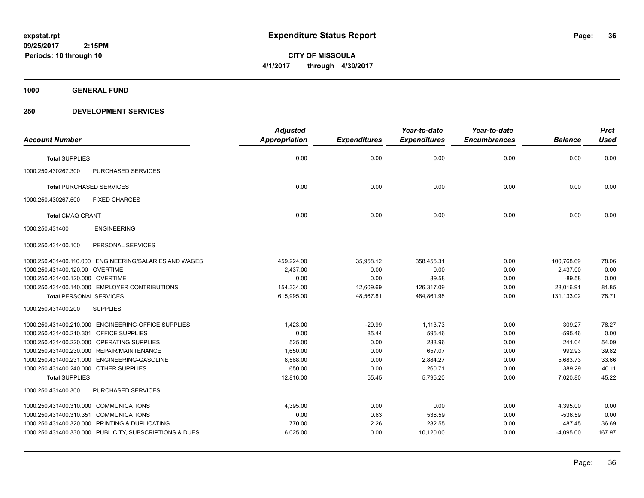**CITY OF MISSOULA 4/1/2017 through 4/30/2017**

**1000 GENERAL FUND**

|                                                         |                           | <b>Adjusted</b>      |                     | Year-to-date        | Year-to-date        |                | <b>Prct</b> |
|---------------------------------------------------------|---------------------------|----------------------|---------------------|---------------------|---------------------|----------------|-------------|
| <b>Account Number</b>                                   |                           | <b>Appropriation</b> | <b>Expenditures</b> | <b>Expenditures</b> | <b>Encumbrances</b> | <b>Balance</b> | <b>Used</b> |
| <b>Total SUPPLIES</b>                                   |                           | 0.00                 | 0.00                | 0.00                | 0.00                | 0.00           | 0.00        |
| 1000.250.430267.300                                     | <b>PURCHASED SERVICES</b> |                      |                     |                     |                     |                |             |
| <b>Total PURCHASED SERVICES</b>                         |                           | 0.00                 | 0.00                | 0.00                | 0.00                | 0.00           | 0.00        |
| 1000.250.430267.500                                     | <b>FIXED CHARGES</b>      |                      |                     |                     |                     |                |             |
| <b>Total CMAQ GRANT</b>                                 |                           | 0.00                 | 0.00                | 0.00                | 0.00                | 0.00           | 0.00        |
| 1000.250.431400                                         | <b>ENGINEERING</b>        |                      |                     |                     |                     |                |             |
| 1000.250.431400.100                                     | PERSONAL SERVICES         |                      |                     |                     |                     |                |             |
| 1000.250.431400.110.000 ENGINEERING/SALARIES AND WAGES  |                           | 459,224.00           | 35,958.12           | 358,455.31          | 0.00                | 100,768.69     | 78.06       |
| 1000.250.431400.120.00 OVERTIME                         |                           | 2,437.00             | 0.00                | 0.00                | 0.00                | 2,437.00       | 0.00        |
| 1000.250.431400.120.000 OVERTIME                        |                           | 0.00                 | 0.00                | 89.58               | 0.00                | $-89.58$       | 0.00        |
| 1000.250.431400.140.000 EMPLOYER CONTRIBUTIONS          |                           | 154,334.00           | 12,609.69           | 126,317.09          | 0.00                | 28,016.91      | 81.85       |
| <b>Total PERSONAL SERVICES</b>                          |                           | 615,995.00           | 48,567.81           | 484,861.98          | 0.00                | 131,133.02     | 78.71       |
| 1000.250.431400.200<br><b>SUPPLIES</b>                  |                           |                      |                     |                     |                     |                |             |
| 1000.250.431400.210.000 ENGINEERING-OFFICE SUPPLIES     |                           | 1,423.00             | $-29.99$            | 1,113.73            | 0.00                | 309.27         | 78.27       |
| 1000.250.431400.210.301 OFFICE SUPPLIES                 |                           | 0.00                 | 85.44               | 595.46              | 0.00                | $-595.46$      | 0.00        |
| 1000.250.431400.220.000 OPERATING SUPPLIES              |                           | 525.00               | 0.00                | 283.96              | 0.00                | 241.04         | 54.09       |
| 1000.250.431400.230.000 REPAIR/MAINTENANCE              |                           | 1,650.00             | 0.00                | 657.07              | 0.00                | 992.93         | 39.82       |
| 1000.250.431400.231.000 ENGINEERING-GASOLINE            |                           | 8,568.00             | 0.00                | 2,884.27            | 0.00                | 5,683.73       | 33.66       |
| 1000.250.431400.240.000 OTHER SUPPLIES                  |                           | 650.00               | 0.00                | 260.71              | 0.00                | 389.29         | 40.11       |
| <b>Total SUPPLIES</b>                                   |                           | 12,816.00            | 55.45               | 5,795.20            | 0.00                | 7,020.80       | 45.22       |
| 1000.250.431400.300                                     | <b>PURCHASED SERVICES</b> |                      |                     |                     |                     |                |             |
| 1000.250.431400.310.000 COMMUNICATIONS                  |                           | 4,395.00             | 0.00                | 0.00                | 0.00                | 4,395.00       | 0.00        |
| 1000.250.431400.310.351 COMMUNICATIONS                  |                           | 0.00                 | 0.63                | 536.59              | 0.00                | $-536.59$      | 0.00        |
| 1000.250.431400.320.000 PRINTING & DUPLICATING          |                           | 770.00               | 2.26                | 282.55              | 0.00                | 487.45         | 36.69       |
| 1000.250.431400.330.000 PUBLICITY, SUBSCRIPTIONS & DUES |                           | 6,025.00             | 0.00                | 10,120.00           | 0.00                | $-4,095.00$    | 167.97      |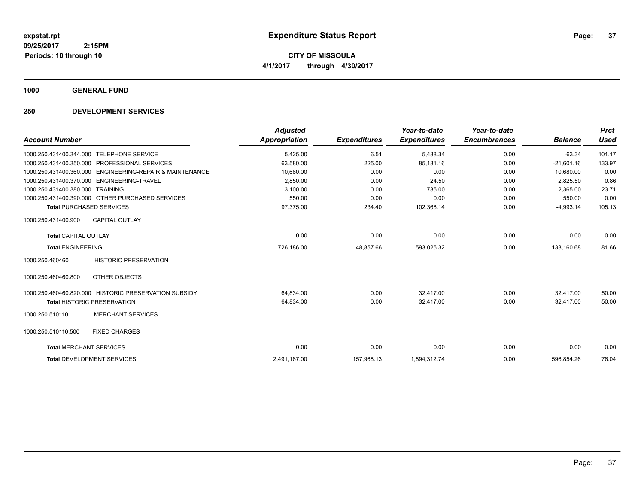**CITY OF MISSOULA 4/1/2017 through 4/30/2017**

**1000 GENERAL FUND**

### **250 DEVELOPMENT SERVICES**

|                                |                                                       | <b>Adjusted</b>      |                     | Year-to-date        | Year-to-date        |                | <b>Prct</b> |
|--------------------------------|-------------------------------------------------------|----------------------|---------------------|---------------------|---------------------|----------------|-------------|
| <b>Account Number</b>          |                                                       | <b>Appropriation</b> | <b>Expenditures</b> | <b>Expenditures</b> | <b>Encumbrances</b> | <b>Balance</b> | <b>Used</b> |
| 1000.250.431400.344.000        | <b>TELEPHONE SERVICE</b>                              | 5,425.00             | 6.51                | 5,488.34            | 0.00                | $-63.34$       | 101.17      |
| 1000.250.431400.350.000        | PROFESSIONAL SERVICES                                 | 63,580.00            | 225.00              | 85,181.16           | 0.00                | $-21,601.16$   | 133.97      |
| 1000.250.431400.360.000        | ENGINEERING-REPAIR & MAINTENANCE                      | 10.680.00            | 0.00                | 0.00                | 0.00                | 10.680.00      | 0.00        |
| 1000.250.431400.370.000        | ENGINEERING-TRAVEL                                    | 2,850.00             | 0.00                | 24.50               | 0.00                | 2,825.50       | 0.86        |
| 1000.250.431400.380.000        | <b>TRAINING</b>                                       | 3,100.00             | 0.00                | 735.00              | 0.00                | 2,365.00       | 23.71       |
|                                | 1000.250.431400.390.000 OTHER PURCHASED SERVICES      | 550.00               | 0.00                | 0.00                | 0.00                | 550.00         | 0.00        |
|                                | <b>Total PURCHASED SERVICES</b>                       | 97,375.00            | 234.40              | 102,368.14          | 0.00                | $-4,993.14$    | 105.13      |
| 1000.250.431400.900            | <b>CAPITAL OUTLAY</b>                                 |                      |                     |                     |                     |                |             |
| <b>Total CAPITAL OUTLAY</b>    |                                                       | 0.00                 | 0.00                | 0.00                | 0.00                | 0.00           | 0.00        |
| <b>Total ENGINEERING</b>       |                                                       | 726,186.00           | 48,857.66           | 593,025.32          | 0.00                | 133,160.68     | 81.66       |
| 1000.250.460460                | <b>HISTORIC PRESERVATION</b>                          |                      |                     |                     |                     |                |             |
| 1000.250.460460.800            | OTHER OBJECTS                                         |                      |                     |                     |                     |                |             |
|                                | 1000.250.460460.820.000 HISTORIC PRESERVATION SUBSIDY | 64,834.00            | 0.00                | 32,417.00           | 0.00                | 32,417.00      | 50.00       |
|                                | <b>Total HISTORIC PRESERVATION</b>                    | 64,834.00            | 0.00                | 32,417.00           | 0.00                | 32.417.00      | 50.00       |
| 1000.250.510110                | <b>MERCHANT SERVICES</b>                              |                      |                     |                     |                     |                |             |
| 1000.250.510110.500            | <b>FIXED CHARGES</b>                                  |                      |                     |                     |                     |                |             |
| <b>Total MERCHANT SERVICES</b> |                                                       | 0.00                 | 0.00                | 0.00                | 0.00                | 0.00           | 0.00        |
|                                | <b>Total DEVELOPMENT SERVICES</b>                     | 2,491,167.00         | 157,968.13          | 1,894,312.74        | 0.00                | 596,854.26     | 76.04       |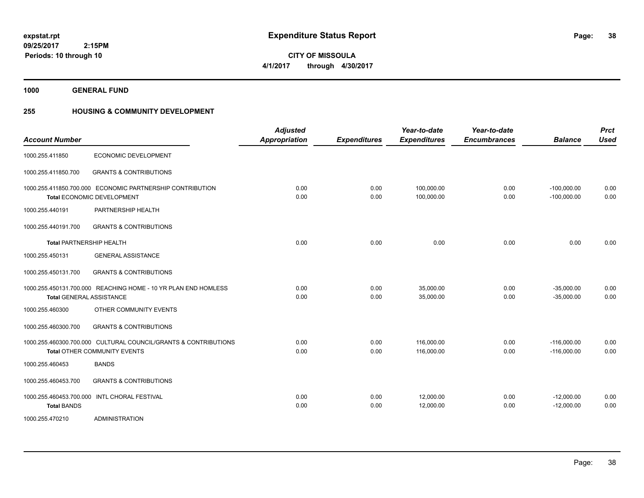**38**

**CITY OF MISSOULA 4/1/2017 through 4/30/2017**

**1000 GENERAL FUND**

**Periods: 10 through 10**

 **2:15PM**

# **255 HOUSING & COMMUNITY DEVELOPMENT**

| <b>Account Number</b>                         |                                                                                                        | <b>Adjusted</b><br><b>Appropriation</b> | <b>Expenditures</b> | Year-to-date<br><b>Expenditures</b> | Year-to-date<br><b>Encumbrances</b> | <b>Balance</b>                 | <b>Prct</b><br><b>Used</b> |
|-----------------------------------------------|--------------------------------------------------------------------------------------------------------|-----------------------------------------|---------------------|-------------------------------------|-------------------------------------|--------------------------------|----------------------------|
| 1000.255.411850                               | ECONOMIC DEVELOPMENT                                                                                   |                                         |                     |                                     |                                     |                                |                            |
| 1000.255.411850.700                           | <b>GRANTS &amp; CONTRIBUTIONS</b>                                                                      |                                         |                     |                                     |                                     |                                |                            |
|                                               | 1000.255.411850.700.000 ECONOMIC PARTNERSHIP CONTRIBUTION<br>Total ECONOMIC DEVELOPMENT                | 0.00<br>0.00                            | 0.00<br>0.00        | 100.000.00<br>100,000.00            | 0.00<br>0.00                        | $-100,000.00$<br>$-100,000.00$ | 0.00<br>0.00               |
| 1000.255.440191                               | PARTNERSHIP HEALTH                                                                                     |                                         |                     |                                     |                                     |                                |                            |
| 1000.255.440191.700                           | <b>GRANTS &amp; CONTRIBUTIONS</b>                                                                      |                                         |                     |                                     |                                     |                                |                            |
| <b>Total PARTNERSHIP HEALTH</b>               |                                                                                                        | 0.00                                    | 0.00                | 0.00                                | 0.00                                | 0.00                           | 0.00                       |
| 1000.255.450131                               | <b>GENERAL ASSISTANCE</b>                                                                              |                                         |                     |                                     |                                     |                                |                            |
| 1000.255.450131.700                           | <b>GRANTS &amp; CONTRIBUTIONS</b>                                                                      |                                         |                     |                                     |                                     |                                |                            |
|                                               | 1000.255.450131.700.000 REACHING HOME - 10 YR PLAN END HOMLESS<br><b>Total GENERAL ASSISTANCE</b>      | 0.00<br>0.00                            | 0.00<br>0.00        | 35,000.00<br>35,000.00              | 0.00<br>0.00                        | $-35,000.00$<br>$-35,000.00$   | 0.00<br>0.00               |
| 1000.255.460300                               | OTHER COMMUNITY EVENTS                                                                                 |                                         |                     |                                     |                                     |                                |                            |
| 1000.255.460300.700                           | <b>GRANTS &amp; CONTRIBUTIONS</b>                                                                      |                                         |                     |                                     |                                     |                                |                            |
|                                               | 1000.255.460300.700.000 CULTURAL COUNCIL/GRANTS & CONTRIBUTIONS<br><b>Total OTHER COMMUNITY EVENTS</b> | 0.00<br>0.00                            | 0.00<br>0.00        | 116,000.00<br>116,000.00            | 0.00<br>0.00                        | $-116,000.00$<br>$-116,000.00$ | 0.00<br>0.00               |
| 1000.255.460453                               | <b>BANDS</b>                                                                                           |                                         |                     |                                     |                                     |                                |                            |
| 1000.255.460453.700                           | <b>GRANTS &amp; CONTRIBUTIONS</b>                                                                      |                                         |                     |                                     |                                     |                                |                            |
| 1000.255.460453.700.000<br><b>Total BANDS</b> | <b>INTL CHORAL FESTIVAL</b>                                                                            | 0.00<br>0.00                            | 0.00<br>0.00        | 12,000.00<br>12,000.00              | 0.00<br>0.00                        | $-12,000.00$<br>$-12,000.00$   | 0.00<br>0.00               |
| 1000.255.470210                               | <b>ADMINISTRATION</b>                                                                                  |                                         |                     |                                     |                                     |                                |                            |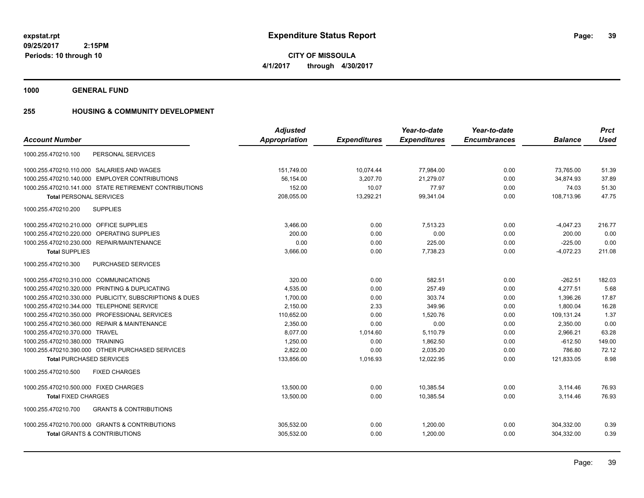**1000 GENERAL FUND**

# **255 HOUSING & COMMUNITY DEVELOPMENT**

|                                                          | <b>Adjusted</b> |                     | Year-to-date        | Year-to-date        |                | <b>Prct</b> |
|----------------------------------------------------------|-----------------|---------------------|---------------------|---------------------|----------------|-------------|
| <b>Account Number</b>                                    | Appropriation   | <b>Expenditures</b> | <b>Expenditures</b> | <b>Encumbrances</b> | <b>Balance</b> | <b>Used</b> |
| 1000.255.470210.100<br>PERSONAL SERVICES                 |                 |                     |                     |                     |                |             |
| 1000.255.470210.110.000 SALARIES AND WAGES               | 151,749.00      | 10,074.44           | 77,984.00           | 0.00                | 73,765.00      | 51.39       |
| 1000.255.470210.140.000 EMPLOYER CONTRIBUTIONS           | 56.154.00       | 3,207.70            | 21,279.07           | 0.00                | 34.874.93      | 37.89       |
| 1000.255.470210.141.000 STATE RETIREMENT CONTRIBUTIONS   | 152.00          | 10.07               | 77.97               | 0.00                | 74.03          | 51.30       |
| <b>Total PERSONAL SERVICES</b>                           | 208,055.00      | 13,292.21           | 99,341.04           | 0.00                | 108.713.96     | 47.75       |
| <b>SUPPLIES</b><br>1000.255.470210.200                   |                 |                     |                     |                     |                |             |
| 1000.255.470210.210.000 OFFICE SUPPLIES                  | 3,466.00        | 0.00                | 7.513.23            | 0.00                | $-4,047.23$    | 216.77      |
| 1000.255.470210.220.000 OPERATING SUPPLIES               | 200.00          | 0.00                | 0.00                | 0.00                | 200.00         | 0.00        |
| 1000.255.470210.230.000 REPAIR/MAINTENANCE               | 0.00            | 0.00                | 225.00              | 0.00                | $-225.00$      | 0.00        |
| <b>Total SUPPLIES</b>                                    | 3,666.00        | 0.00                | 7,738.23            | 0.00                | $-4.072.23$    | 211.08      |
| 1000.255.470210.300<br>PURCHASED SERVICES                |                 |                     |                     |                     |                |             |
| 1000.255.470210.310.000 COMMUNICATIONS                   | 320.00          | 0.00                | 582.51              | 0.00                | $-262.51$      | 182.03      |
| 1000.255.470210.320.000 PRINTING & DUPLICATING           | 4,535.00        | 0.00                | 257.49              | 0.00                | 4,277.51       | 5.68        |
| 1000.255.470210.330.000 PUBLICITY, SUBSCRIPTIONS & DUES  | 1.700.00        | 0.00                | 303.74              | 0.00                | 1.396.26       | 17.87       |
| 1000.255.470210.344.000 TELEPHONE SERVICE                | 2.150.00        | 2.33                | 349.96              | 0.00                | 1.800.04       | 16.28       |
| 1000.255.470210.350.000 PROFESSIONAL SERVICES            | 110,652.00      | 0.00                | 1,520.76            | 0.00                | 109,131.24     | 1.37        |
| 1000.255.470210.360.000 REPAIR & MAINTENANCE             | 2.350.00        | 0.00                | 0.00                | 0.00                | 2,350.00       | 0.00        |
| 1000.255.470210.370.000 TRAVEL                           | 8.077.00        | 1,014.60            | 5,110.79            | 0.00                | 2,966.21       | 63.28       |
| 1000.255.470210.380.000 TRAINING                         | 1,250.00        | 0.00                | 1,862.50            | 0.00                | $-612.50$      | 149.00      |
| 1000.255.470210.390.000 OTHER PURCHASED SERVICES         | 2,822.00        | 0.00                | 2,035.20            | 0.00                | 786.80         | 72.12       |
| <b>Total PURCHASED SERVICES</b>                          | 133,856.00      | 1,016.93            | 12,022.95           | 0.00                | 121,833.05     | 8.98        |
| 1000.255.470210.500<br><b>FIXED CHARGES</b>              |                 |                     |                     |                     |                |             |
| 1000.255.470210.500.000 FIXED CHARGES                    | 13,500.00       | 0.00                | 10,385.54           | 0.00                | 3,114.46       | 76.93       |
| <b>Total FIXED CHARGES</b>                               | 13,500.00       | 0.00                | 10,385.54           | 0.00                | 3,114.46       | 76.93       |
| <b>GRANTS &amp; CONTRIBUTIONS</b><br>1000.255.470210.700 |                 |                     |                     |                     |                |             |
| 1000.255.470210.700.000 GRANTS & CONTRIBUTIONS           | 305.532.00      | 0.00                | 1.200.00            | 0.00                | 304.332.00     | 0.39        |
| <b>Total GRANTS &amp; CONTRIBUTIONS</b>                  | 305,532.00      | 0.00                | 1.200.00            | 0.00                | 304.332.00     | 0.39        |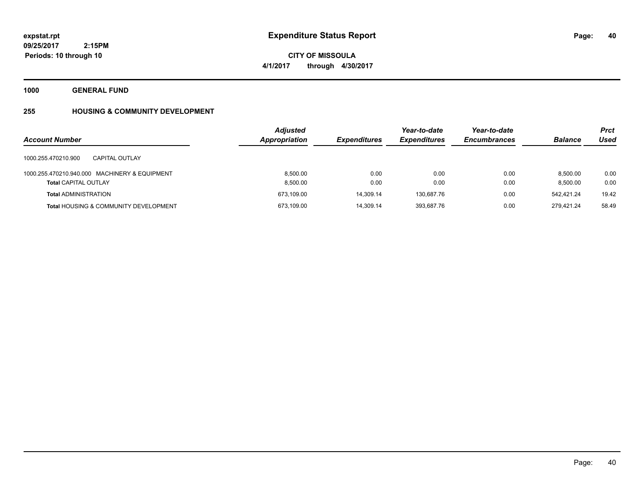**40**

**09/25/2017 2:15PM Periods: 10 through 10**

**CITY OF MISSOULA 4/1/2017 through 4/30/2017**

**1000 GENERAL FUND**

# **255 HOUSING & COMMUNITY DEVELOPMENT**

| <b>Account Number</b>                                                        | <b>Adjusted</b><br>Appropriation | <b>Expenditures</b> | Year-to-date<br><b>Expenditures</b> | Year-to-date<br><b>Encumbrances</b> | <b>Balance</b>       | <b>Prct</b><br>Used |
|------------------------------------------------------------------------------|----------------------------------|---------------------|-------------------------------------|-------------------------------------|----------------------|---------------------|
| 1000.255.470210.900<br>CAPITAL OUTLAY                                        |                                  |                     |                                     |                                     |                      |                     |
| 1000.255.470210.940.000 MACHINERY & EQUIPMENT<br><b>Total CAPITAL OUTLAY</b> | 8.500.00<br>8,500.00             | 0.00<br>0.00        | 0.00<br>0.00                        | 0.00<br>0.00                        | 8.500.00<br>8.500.00 | 0.00<br>0.00        |
| <b>Total ADMINISTRATION</b>                                                  | 673.109.00                       | 14.309.14           | 130.687.76                          | 0.00                                | 542.421.24           | 19.42               |
| <b>Total HOUSING &amp; COMMUNITY DEVELOPMENT</b>                             | 673,109.00                       | 14,309.14           | 393.687.76                          | 0.00                                | 279.421.24           | 58.49               |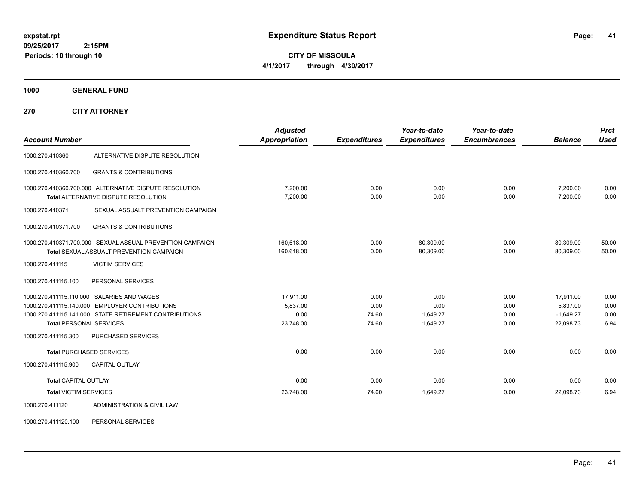**CITY OF MISSOULA 4/1/2017 through 4/30/2017**

**1000 GENERAL FUND**

**270 CITY ATTORNEY**

| <b>Account Number</b>          |                                                                                                                                                        | <b>Adjusted</b><br><b>Appropriation</b>    | <b>Expenditures</b>            | Year-to-date<br><b>Expenditures</b>  | Year-to-date<br><b>Encumbrances</b> | <b>Balance</b>                                    | <b>Prct</b><br><b>Used</b>   |
|--------------------------------|--------------------------------------------------------------------------------------------------------------------------------------------------------|--------------------------------------------|--------------------------------|--------------------------------------|-------------------------------------|---------------------------------------------------|------------------------------|
|                                |                                                                                                                                                        |                                            |                                |                                      |                                     |                                                   |                              |
| 1000.270.410360                | ALTERNATIVE DISPUTE RESOLUTION                                                                                                                         |                                            |                                |                                      |                                     |                                                   |                              |
| 1000.270.410360.700            | <b>GRANTS &amp; CONTRIBUTIONS</b>                                                                                                                      |                                            |                                |                                      |                                     |                                                   |                              |
|                                | 1000.270.410360.700.000 ALTERNATIVE DISPUTE RESOLUTION<br>Total ALTERNATIVE DISPUTE RESOLUTION                                                         | 7,200.00<br>7.200.00                       | 0.00<br>0.00                   | 0.00<br>0.00                         | 0.00<br>0.00                        | 7,200.00<br>7.200.00                              | 0.00<br>0.00                 |
| 1000.270.410371                | SEXUAL ASSUALT PREVENTION CAMPAIGN                                                                                                                     |                                            |                                |                                      |                                     |                                                   |                              |
| 1000.270.410371.700            | <b>GRANTS &amp; CONTRIBUTIONS</b>                                                                                                                      |                                            |                                |                                      |                                     |                                                   |                              |
|                                | 1000.270.410371.700.000 SEXUAL ASSUAL PREVENTION CAMPAIGN<br><b>Total SEXUAL ASSUALT PREVENTION CAMPAIGN</b>                                           | 160,618.00<br>160,618.00                   | 0.00<br>0.00                   | 80,309.00<br>80,309.00               | 0.00<br>0.00                        | 80,309.00<br>80,309.00                            | 50.00<br>50.00               |
| 1000.270.411115                | <b>VICTIM SERVICES</b>                                                                                                                                 |                                            |                                |                                      |                                     |                                                   |                              |
| 1000.270.411115.100            | PERSONAL SERVICES                                                                                                                                      |                                            |                                |                                      |                                     |                                                   |                              |
| <b>Total PERSONAL SERVICES</b> | 1000.270.411115.110.000 SALARIES AND WAGES<br>1000.270.411115.140.000 EMPLOYER CONTRIBUTIONS<br>1000.270.411115.141.000 STATE RETIREMENT CONTRIBUTIONS | 17,911.00<br>5.837.00<br>0.00<br>23,748.00 | 0.00<br>0.00<br>74.60<br>74.60 | 0.00<br>0.00<br>1,649.27<br>1,649.27 | 0.00<br>0.00<br>0.00<br>0.00        | 17,911.00<br>5.837.00<br>$-1,649.27$<br>22,098.73 | 0.00<br>0.00<br>0.00<br>6.94 |
| 1000.270.411115.300            | <b>PURCHASED SERVICES</b>                                                                                                                              |                                            |                                |                                      |                                     |                                                   |                              |
|                                | <b>Total PURCHASED SERVICES</b>                                                                                                                        | 0.00                                       | 0.00                           | 0.00                                 | 0.00                                | 0.00                                              | 0.00                         |
| 1000.270.411115.900            | <b>CAPITAL OUTLAY</b>                                                                                                                                  |                                            |                                |                                      |                                     |                                                   |                              |
| <b>Total CAPITAL OUTLAY</b>    |                                                                                                                                                        | 0.00                                       | 0.00                           | 0.00                                 | 0.00                                | 0.00                                              | 0.00                         |
| <b>Total VICTIM SERVICES</b>   |                                                                                                                                                        | 23,748.00                                  | 74.60                          | 1,649.27                             | 0.00                                | 22,098.73                                         | 6.94                         |
| 1000.270.411120                | ADMINISTRATION & CIVIL LAW                                                                                                                             |                                            |                                |                                      |                                     |                                                   |                              |

1000.270.411120.100 PERSONAL SERVICES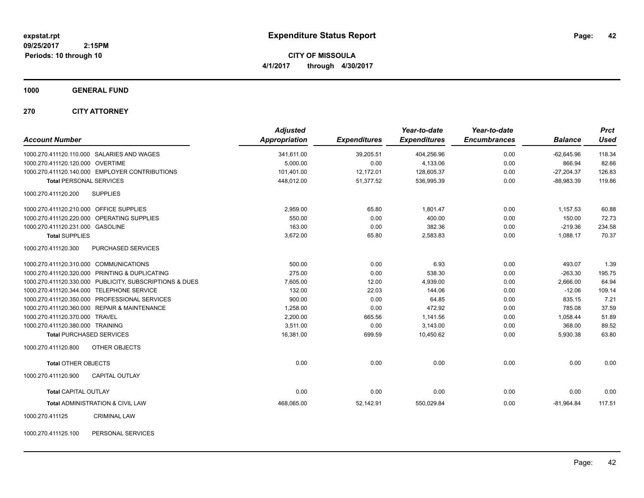**CITY OF MISSOULA 4/1/2017 through 4/30/2017**

**1000 GENERAL FUND**

**270 CITY ATTORNEY**

| <b>Account Number</b>                                   | <b>Adjusted</b><br>Appropriation | <b>Expenditures</b> | Year-to-date<br><b>Expenditures</b> | Year-to-date<br><b>Encumbrances</b> | <b>Balance</b> | <b>Prct</b><br><b>Used</b> |
|---------------------------------------------------------|----------------------------------|---------------------|-------------------------------------|-------------------------------------|----------------|----------------------------|
| 1000.270.411120.110.000 SALARIES AND WAGES              | 341,611.00                       | 39,205.51           | 404,256.96                          | 0.00                                | $-62,645.96$   | 118.34                     |
| 1000.270.411120.120.000 OVERTIME                        | 5.000.00                         | 0.00                | 4,133.06                            | 0.00                                | 866.94         | 82.66                      |
| 1000.270.411120.140.000 EMPLOYER CONTRIBUTIONS          | 101,401.00                       | 12,172.01           | 128,605.37                          | 0.00                                | $-27,204.37$   | 126.83                     |
| <b>Total PERSONAL SERVICES</b>                          | 448,012.00                       | 51,377.52           | 536,995.39                          | 0.00                                | $-88,983.39$   | 119.86                     |
| 1000.270.411120.200<br><b>SUPPLIES</b>                  |                                  |                     |                                     |                                     |                |                            |
| 1000.270.411120.210.000 OFFICE SUPPLIES                 | 2,959.00                         | 65.80               | 1.801.47                            | 0.00                                | 1,157.53       | 60.88                      |
| 1000.270.411120.220.000 OPERATING SUPPLIES              | 550.00                           | 0.00                | 400.00                              | 0.00                                | 150.00         | 72.73                      |
| 1000.270.411120.231.000 GASOLINE                        | 163.00                           | 0.00                | 382.36                              | 0.00                                | $-219.36$      | 234.58                     |
| <b>Total SUPPLIES</b>                                   | 3,672.00                         | 65.80               | 2,583.83                            | 0.00                                | 1,088.17       | 70.37                      |
| 1000.270.411120.300<br>PURCHASED SERVICES               |                                  |                     |                                     |                                     |                |                            |
| 1000.270.411120.310.000 COMMUNICATIONS                  | 500.00                           | 0.00                | 6.93                                | 0.00                                | 493.07         | 1.39                       |
| 1000.270.411120.320.000 PRINTING & DUPLICATING          | 275.00                           | 0.00                | 538.30                              | 0.00                                | $-263.30$      | 195.75                     |
| 1000.270.411120.330.000 PUBLICITY, SUBSCRIPTIONS & DUES | 7,605.00                         | 12.00               | 4,939.00                            | 0.00                                | 2,666.00       | 64.94                      |
| 1000.270.411120.344.000 TELEPHONE SERVICE               | 132.00                           | 22.03               | 144.06                              | 0.00                                | $-12.06$       | 109.14                     |
| PROFESSIONAL SERVICES<br>1000.270.411120.350.000        | 900.00                           | 0.00                | 64.85                               | 0.00                                | 835.15         | 7.21                       |
| 1000.270.411120.360.000 REPAIR & MAINTENANCE            | 1,258.00                         | 0.00                | 472.92                              | 0.00                                | 785.08         | 37.59                      |
| 1000.270.411120.370.000 TRAVEL                          | 2,200.00                         | 665.56              | 1,141.56                            | 0.00                                | 1,058.44       | 51.89                      |
| 1000.270.411120.380.000 TRAINING                        | 3.511.00                         | 0.00                | 3,143.00                            | 0.00                                | 368.00         | 89.52                      |
| Total PURCHASED SERVICES                                | 16,381.00                        | 699.59              | 10.450.62                           | 0.00                                | 5,930.38       | 63.80                      |
| 1000.270.411120.800<br>OTHER OBJECTS                    |                                  |                     |                                     |                                     |                |                            |
| <b>Total OTHER OBJECTS</b>                              | 0.00                             | 0.00                | 0.00                                | 0.00                                | 0.00           | 0.00                       |
| 1000.270.411120.900<br><b>CAPITAL OUTLAY</b>            |                                  |                     |                                     |                                     |                |                            |
| <b>Total CAPITAL OUTLAY</b>                             | 0.00                             | 0.00                | 0.00                                | 0.00                                | 0.00           | 0.00                       |
| <b>Total ADMINISTRATION &amp; CIVIL LAW</b>             | 468,065.00                       | 52,142.91           | 550,029.84                          | 0.00                                | $-81,964.84$   | 117.51                     |
| 1000.270.411125<br><b>CRIMINAL LAW</b>                  |                                  |                     |                                     |                                     |                |                            |

1000.270.411125.100 PERSONAL SERVICES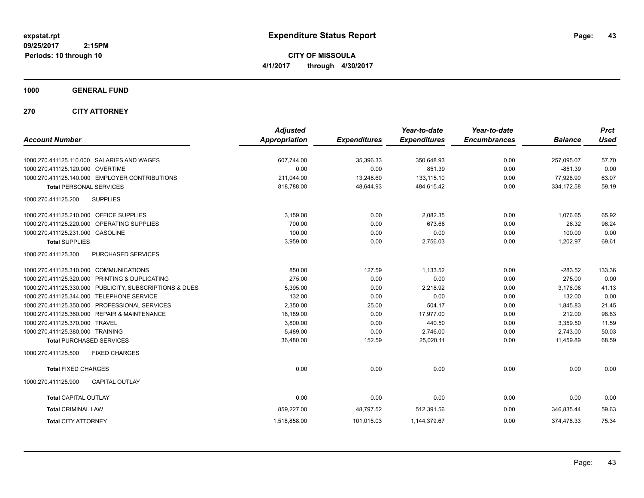**CITY OF MISSOULA 4/1/2017 through 4/30/2017**

**1000 GENERAL FUND**

**270 CITY ATTORNEY**

| <b>Account Number</b>                                      | <b>Adjusted</b><br><b>Appropriation</b> | <b>Expenditures</b> | Year-to-date<br><b>Expenditures</b> | Year-to-date<br><b>Encumbrances</b> | <b>Balance</b> | <b>Prct</b><br><b>Used</b> |
|------------------------------------------------------------|-----------------------------------------|---------------------|-------------------------------------|-------------------------------------|----------------|----------------------------|
|                                                            |                                         |                     |                                     |                                     |                |                            |
| 1000.270.411125.110.000 SALARIES AND WAGES                 | 607,744.00                              | 35,396.33           | 350,648.93                          | 0.00                                | 257,095.07     | 57.70                      |
| 1000.270.411125.120.000 OVERTIME                           | 0.00                                    | 0.00                | 851.39                              | 0.00                                | $-851.39$      | 0.00                       |
| 1000.270.411125.140.000 EMPLOYER CONTRIBUTIONS             | 211,044.00                              | 13,248.60           | 133,115.10                          | 0.00                                | 77,928.90      | 63.07                      |
| <b>Total PERSONAL SERVICES</b>                             | 818,788.00                              | 48,644.93           | 484,615.42                          | 0.00                                | 334,172.58     | 59.19                      |
| <b>SUPPLIES</b><br>1000.270.411125.200                     |                                         |                     |                                     |                                     |                |                            |
| 1000.270.411125.210.000 OFFICE SUPPLIES                    | 3,159.00                                | 0.00                | 2,082.35                            | 0.00                                | 1,076.65       | 65.92                      |
| 1000.270.411125.220.000 OPERATING SUPPLIES                 | 700.00                                  | 0.00                | 673.68                              | 0.00                                | 26.32          | 96.24                      |
| 1000.270.411125.231.000 GASOLINE                           | 100.00                                  | 0.00                | 0.00                                | 0.00                                | 100.00         | 0.00                       |
| <b>Total SUPPLIES</b>                                      | 3,959.00                                | 0.00                | 2,756.03                            | 0.00                                | 1,202.97       | 69.61                      |
| 1000.270.411125.300<br>PURCHASED SERVICES                  |                                         |                     |                                     |                                     |                |                            |
| 1000.270.411125.310.000 COMMUNICATIONS                     | 850.00                                  | 127.59              | 1,133.52                            | 0.00                                | $-283.52$      | 133.36                     |
| 1000.270.411125.320.000 PRINTING & DUPLICATING             | 275.00                                  | 0.00                | 0.00                                | 0.00                                | 275.00         | 0.00                       |
| 1000.270.411125.330.000 PUBLICITY, SUBSCRIPTIONS & DUES    | 5,395.00                                | 0.00                | 2.218.92                            | 0.00                                | 3.176.08       | 41.13                      |
| 1000.270.411125.344.000<br><b>TELEPHONE SERVICE</b>        | 132.00                                  | 0.00                | 0.00                                | 0.00                                | 132.00         | 0.00                       |
| 1000.270.411125.350.000<br><b>PROFESSIONAL SERVICES</b>    | 2,350.00                                | 25.00               | 504.17                              | 0.00                                | 1,845.83       | 21.45                      |
| <b>REPAIR &amp; MAINTENANCE</b><br>1000.270.411125.360.000 | 18,189.00                               | 0.00                | 17,977.00                           | 0.00                                | 212.00         | 98.83                      |
| 1000.270.411125.370.000 TRAVEL                             | 3,800.00                                | 0.00                | 440.50                              | 0.00                                | 3,359.50       | 11.59                      |
| 1000.270.411125.380.000 TRAINING                           | 5,489.00                                | 0.00                | 2,746.00                            | 0.00                                | 2,743.00       | 50.03                      |
| <b>Total PURCHASED SERVICES</b>                            | 36,480.00                               | 152.59              | 25,020.11                           | 0.00                                | 11,459.89      | 68.59                      |
| 1000.270.411125.500<br><b>FIXED CHARGES</b>                |                                         |                     |                                     |                                     |                |                            |
| <b>Total FIXED CHARGES</b>                                 | 0.00                                    | 0.00                | 0.00                                | 0.00                                | 0.00           | 0.00                       |
| 1000.270.411125.900<br><b>CAPITAL OUTLAY</b>               |                                         |                     |                                     |                                     |                |                            |
| <b>Total CAPITAL OUTLAY</b>                                | 0.00                                    | 0.00                | 0.00                                | 0.00                                | 0.00           | 0.00                       |
| <b>Total CRIMINAL LAW</b>                                  | 859,227.00                              | 48,797.52           | 512,391.56                          | 0.00                                | 346,835.44     | 59.63                      |
| <b>Total CITY ATTORNEY</b>                                 | 1,518,858.00                            | 101,015.03          | 1,144,379.67                        | 0.00                                | 374,478.33     | 75.34                      |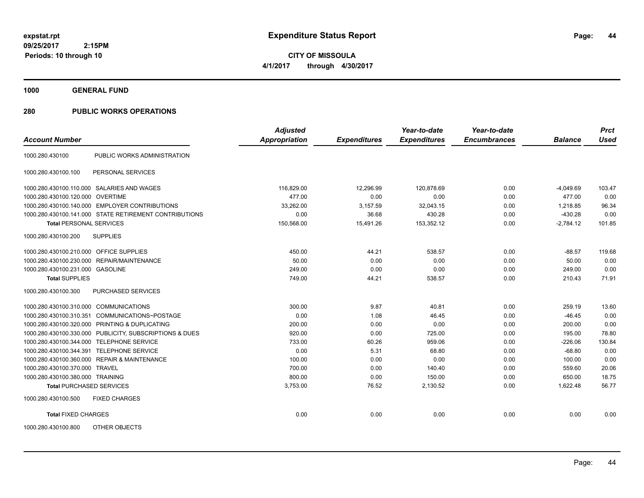**1000 GENERAL FUND**

| <b>Account Number</b>                   |                                                         | <b>Adjusted</b><br>Appropriation | <b>Expenditures</b> | Year-to-date<br><b>Expenditures</b> | Year-to-date<br><b>Encumbrances</b> | <b>Balance</b> | <b>Prct</b><br><b>Used</b> |
|-----------------------------------------|---------------------------------------------------------|----------------------------------|---------------------|-------------------------------------|-------------------------------------|----------------|----------------------------|
|                                         |                                                         |                                  |                     |                                     |                                     |                |                            |
| 1000.280.430100                         | PUBLIC WORKS ADMINISTRATION                             |                                  |                     |                                     |                                     |                |                            |
| 1000.280.430100.100                     | PERSONAL SERVICES                                       |                                  |                     |                                     |                                     |                |                            |
|                                         | 1000.280.430100.110.000 SALARIES AND WAGES              | 116,829.00                       | 12,296.99           | 120,878.69                          | 0.00                                | $-4,049.69$    | 103.47                     |
| 1000.280.430100.120.000 OVERTIME        |                                                         | 477.00                           | 0.00                | 0.00                                | 0.00                                | 477.00         | 0.00                       |
|                                         | 1000.280.430100.140.000 EMPLOYER CONTRIBUTIONS          | 33,262.00                        | 3,157.59            | 32,043.15                           | 0.00                                | 1.218.85       | 96.34                      |
|                                         | 1000.280.430100.141.000 STATE RETIREMENT CONTRIBUTIONS  | 0.00                             | 36.68               | 430.28                              | 0.00                                | $-430.28$      | 0.00                       |
| <b>Total PERSONAL SERVICES</b>          |                                                         | 150,568.00                       | 15,491.26           | 153,352.12                          | 0.00                                | $-2,784.12$    | 101.85                     |
| 1000.280.430100.200                     | <b>SUPPLIES</b>                                         |                                  |                     |                                     |                                     |                |                            |
| 1000.280.430100.210.000 OFFICE SUPPLIES |                                                         | 450.00                           | 44.21               | 538.57                              | 0.00                                | $-88.57$       | 119.68                     |
|                                         | 1000.280.430100.230.000 REPAIR/MAINTENANCE              | 50.00                            | 0.00                | 0.00                                | 0.00                                | 50.00          | 0.00                       |
| 1000.280.430100.231.000 GASOLINE        |                                                         | 249.00                           | 0.00                | 0.00                                | 0.00                                | 249.00         | 0.00                       |
| <b>Total SUPPLIES</b>                   |                                                         | 749.00                           | 44.21               | 538.57                              | 0.00                                | 210.43         | 71.91                      |
| 1000.280.430100.300                     | PURCHASED SERVICES                                      |                                  |                     |                                     |                                     |                |                            |
| 1000.280.430100.310.000                 | <b>COMMUNICATIONS</b>                                   | 300.00                           | 9.87                | 40.81                               | 0.00                                | 259.19         | 13.60                      |
| 1000.280.430100.310.351                 | COMMUNICATIONS~POSTAGE                                  | 0.00                             | 1.08                | 46.45                               | 0.00                                | $-46.45$       | 0.00                       |
|                                         | 1000.280.430100.320.000 PRINTING & DUPLICATING          | 200.00                           | 0.00                | 0.00                                | 0.00                                | 200.00         | 0.00                       |
|                                         | 1000.280.430100.330.000 PUBLICITY, SUBSCRIPTIONS & DUES | 920.00                           | 0.00                | 725.00                              | 0.00                                | 195.00         | 78.80                      |
| 1000.280.430100.344.000                 | <b>TELEPHONE SERVICE</b>                                | 733.00                           | 60.26               | 959.06                              | 0.00                                | $-226.06$      | 130.84                     |
| 1000.280.430100.344.391                 | <b>TELEPHONE SERVICE</b>                                | 0.00                             | 5.31                | 68.80                               | 0.00                                | $-68.80$       | 0.00                       |
|                                         | 1000.280.430100.360.000 REPAIR & MAINTENANCE            | 100.00                           | 0.00                | 0.00                                | 0.00                                | 100.00         | 0.00                       |
| 1000.280.430100.370.000 TRAVEL          |                                                         | 700.00                           | 0.00                | 140.40                              | 0.00                                | 559.60         | 20.06                      |
| 1000.280.430100.380.000 TRAINING        |                                                         | 800.00                           | 0.00                | 150.00                              | 0.00                                | 650.00         | 18.75                      |
| <b>Total PURCHASED SERVICES</b>         |                                                         | 3,753.00                         | 76.52               | 2,130.52                            | 0.00                                | 1,622.48       | 56.77                      |
| 1000.280.430100.500                     | <b>FIXED CHARGES</b>                                    |                                  |                     |                                     |                                     |                |                            |
| <b>Total FIXED CHARGES</b>              |                                                         | 0.00                             | 0.00                | 0.00                                | 0.00                                | 0.00           | 0.00                       |
| 1000.280.430100.800                     | OTHER OBJECTS                                           |                                  |                     |                                     |                                     |                |                            |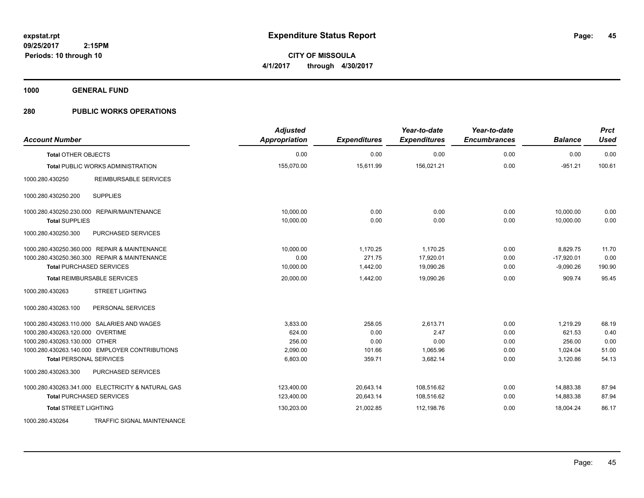**1000 GENERAL FUND**

| <b>Account Number</b>                             | <b>Adjusted</b><br>Appropriation | <b>Expenditures</b> | Year-to-date<br><b>Expenditures</b> | Year-to-date<br><b>Encumbrances</b> | <b>Balance</b> | <b>Prct</b><br><b>Used</b> |
|---------------------------------------------------|----------------------------------|---------------------|-------------------------------------|-------------------------------------|----------------|----------------------------|
| <b>Total OTHER OBJECTS</b>                        | 0.00                             | 0.00                | 0.00                                | 0.00                                | 0.00           | 0.00                       |
| <b>Total PUBLIC WORKS ADMINISTRATION</b>          | 155,070.00                       | 15,611.99           | 156,021.21                          | 0.00                                | $-951.21$      | 100.61                     |
| <b>REIMBURSABLE SERVICES</b><br>1000.280.430250   |                                  |                     |                                     |                                     |                |                            |
| <b>SUPPLIES</b><br>1000.280.430250.200            |                                  |                     |                                     |                                     |                |                            |
| 1000.280.430250.230.000 REPAIR/MAINTENANCE        | 10.000.00                        | 0.00                | 0.00                                | 0.00                                | 10,000.00      | 0.00                       |
| <b>Total SUPPLIES</b>                             | 10,000.00                        | 0.00                | 0.00                                | 0.00                                | 10,000.00      | 0.00                       |
| 1000.280.430250.300<br>PURCHASED SERVICES         |                                  |                     |                                     |                                     |                |                            |
| 1000.280.430250.360.000 REPAIR & MAINTENANCE      | 10,000.00                        | 1,170.25            | 1.170.25                            | 0.00                                | 8,829.75       | 11.70                      |
| 1000.280.430250.360.300 REPAIR & MAINTENANCE      | 0.00                             | 271.75              | 17,920.01                           | 0.00                                | $-17,920.01$   | 0.00                       |
| <b>Total PURCHASED SERVICES</b>                   | 10,000.00                        | 1,442.00            | 19,090.26                           | 0.00                                | $-9,090.26$    | 190.90                     |
| <b>Total REIMBURSABLE SERVICES</b>                | 20,000.00                        | 1,442.00            | 19,090.26                           | 0.00                                | 909.74         | 95.45                      |
| 1000.280.430263<br><b>STREET LIGHTING</b>         |                                  |                     |                                     |                                     |                |                            |
| PERSONAL SERVICES<br>1000.280.430263.100          |                                  |                     |                                     |                                     |                |                            |
| 1000.280.430263.110.000 SALARIES AND WAGES        | 3,833.00                         | 258.05              | 2,613.71                            | 0.00                                | 1,219.29       | 68.19                      |
| 1000.280.430263.120.000 OVERTIME                  | 624.00                           | 0.00                | 2.47                                | 0.00                                | 621.53         | 0.40                       |
| 1000.280.430263.130.000 OTHER                     | 256.00                           | 0.00                | 0.00                                | 0.00                                | 256.00         | 0.00                       |
| 1000.280.430263.140.000 EMPLOYER CONTRIBUTIONS    | 2,090.00                         | 101.66              | 1,065.96                            | 0.00                                | 1,024.04       | 51.00                      |
| <b>Total PERSONAL SERVICES</b>                    | 6,803.00                         | 359.71              | 3,682.14                            | 0.00                                | 3,120.86       | 54.13                      |
| 1000.280.430263.300<br>PURCHASED SERVICES         |                                  |                     |                                     |                                     |                |                            |
| 1000.280.430263.341.000 ELECTRICITY & NATURAL GAS | 123,400.00                       | 20,643.14           | 108,516.62                          | 0.00                                | 14,883.38      | 87.94                      |
| <b>Total PURCHASED SERVICES</b>                   | 123,400.00                       | 20,643.14           | 108,516.62                          | 0.00                                | 14,883.38      | 87.94                      |
| <b>Total STREET LIGHTING</b>                      | 130,203.00                       | 21,002.85           | 112,198.76                          | 0.00                                | 18,004.24      | 86.17                      |
| 1000.280.430264<br>TRAFFIC SIGNAL MAINTENANCE     |                                  |                     |                                     |                                     |                |                            |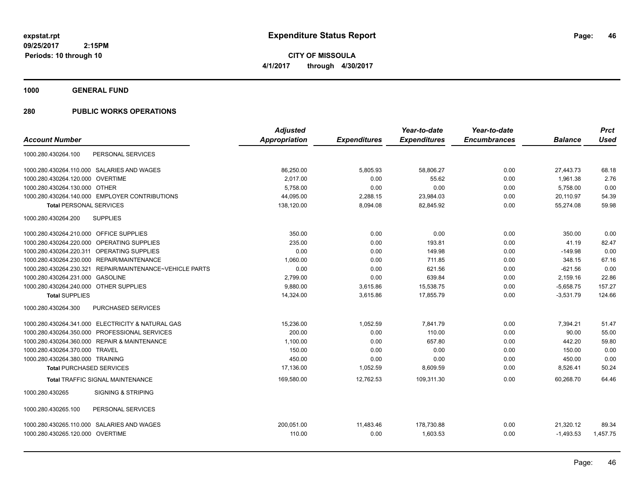**1000 GENERAL FUND**

|                                                          | <b>Adjusted</b> |                     | Year-to-date        | Year-to-date        |                | <b>Prct</b> |
|----------------------------------------------------------|-----------------|---------------------|---------------------|---------------------|----------------|-------------|
|                                                          | Appropriation   | <b>Expenditures</b> | <b>Expenditures</b> | <b>Encumbrances</b> | <b>Balance</b> | <b>Used</b> |
| PERSONAL SERVICES                                        |                 |                     |                     |                     |                |             |
| 1000.280.430264.110.000 SALARIES AND WAGES               | 86,250.00       | 5,805.93            | 58,806.27           | 0.00                | 27,443.73      | 68.18       |
| 1000.280.430264.120.000 OVERTIME                         | 2,017.00        | 0.00                | 55.62               | 0.00                | 1,961.38       | 2.76        |
| 1000.280.430264.130.000 OTHER                            | 5,758.00        | 0.00                | 0.00                | 0.00                | 5,758.00       | 0.00        |
| 1000.280.430264.140.000 EMPLOYER CONTRIBUTIONS           | 44,095.00       | 2,288.15            | 23,984.03           | 0.00                | 20,110.97      | 54.39       |
| <b>Total PERSONAL SERVICES</b>                           | 138,120.00      | 8,094.08            | 82,845.92           | 0.00                | 55,274.08      | 59.98       |
| <b>SUPPLIES</b>                                          |                 |                     |                     |                     |                |             |
| 1000.280.430264.210.000 OFFICE SUPPLIES                  | 350.00          | 0.00                | 0.00                | 0.00                | 350.00         | 0.00        |
| 1000.280.430264.220.000 OPERATING SUPPLIES               | 235.00          | 0.00                | 193.81              | 0.00                | 41.19          | 82.47       |
| 1000.280.430264.220.311 OPERATING SUPPLIES               | 0.00            | 0.00                | 149.98              | 0.00                | $-149.98$      | 0.00        |
| 1000.280.430264.230.000 REPAIR/MAINTENANCE               | 1,060.00        | 0.00                | 711.85              | 0.00                | 348.15         | 67.16       |
| 1000.280.430264.230.321 REPAIR/MAINTENANCE~VEHICLE PARTS | 0.00            | 0.00                | 621.56              | 0.00                | $-621.56$      | 0.00        |
| 1000.280.430264.231.000<br><b>GASOLINE</b>               | 2,799.00        | 0.00                | 639.84              | 0.00                | 2,159.16       | 22.86       |
| 1000.280.430264.240.000 OTHER SUPPLIES                   | 9.880.00        | 3,615.86            | 15,538.75           | 0.00                | $-5,658.75$    | 157.27      |
|                                                          | 14,324.00       | 3,615.86            | 17,855.79           | 0.00                | $-3,531.79$    | 124.66      |
| PURCHASED SERVICES                                       |                 |                     |                     |                     |                |             |
| 1000.280.430264.341.000 ELECTRICITY & NATURAL GAS        | 15,236.00       | 1,052.59            | 7,841.79            | 0.00                | 7,394.21       | 51.47       |
| 1000.280.430264.350.000 PROFESSIONAL SERVICES            | 200.00          | 0.00                | 110.00              | 0.00                | 90.00          | 55.00       |
| 1000.280.430264.360.000 REPAIR & MAINTENANCE             | 1,100.00        | 0.00                | 657.80              | 0.00                | 442.20         | 59.80       |
| 1000.280.430264.370.000 TRAVEL                           | 150.00          | 0.00                | 0.00                | 0.00                | 150.00         | 0.00        |
| 1000.280.430264.380.000 TRAINING                         | 450.00          | 0.00                | 0.00                | 0.00                | 450.00         | 0.00        |
| <b>Total PURCHASED SERVICES</b>                          | 17,136.00       | 1,052.59            | 8,609.59            | 0.00                | 8,526.41       | 50.24       |
| Total TRAFFIC SIGNAL MAINTENANCE                         | 169,580.00      | 12,762.53           | 109,311.30          | 0.00                | 60.268.70      | 64.46       |
| <b>SIGNING &amp; STRIPING</b>                            |                 |                     |                     |                     |                |             |
| PERSONAL SERVICES                                        |                 |                     |                     |                     |                |             |
| 1000.280.430265.110.000 SALARIES AND WAGES               | 200,051.00      | 11,483.46           | 178,730.88          | 0.00                | 21,320.12      | 89.34       |
| 1000.280.430265.120.000 OVERTIME                         | 110.00          | 0.00                | 1,603.53            | 0.00                | $-1,493.53$    | 1,457.75    |
|                                                          |                 |                     |                     |                     |                |             |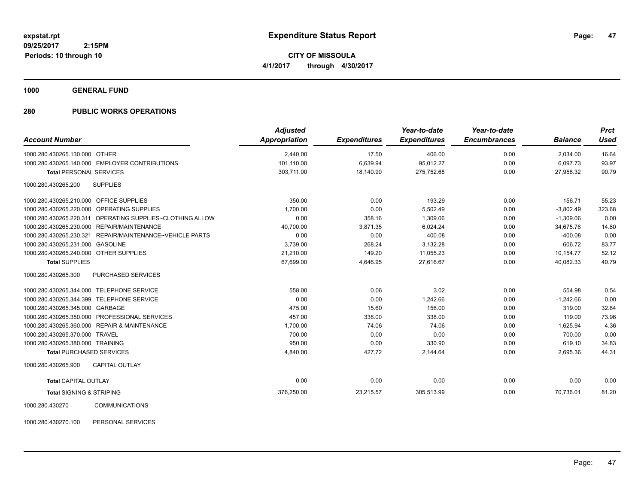**CITY OF MISSOULA 4/1/2017 through 4/30/2017**

**1000 GENERAL FUND**

### **280 PUBLIC WORKS OPERATIONS**

| <b>Account Number</b>                   |                                                | <b>Adjusted</b><br><b>Appropriation</b> | <b>Expenditures</b> | Year-to-date<br><b>Expenditures</b> | Year-to-date<br><b>Encumbrances</b> | <b>Balance</b> | <b>Prct</b><br>Used |
|-----------------------------------------|------------------------------------------------|-----------------------------------------|---------------------|-------------------------------------|-------------------------------------|----------------|---------------------|
| 1000.280.430265.130.000 OTHER           |                                                | 2,440.00                                | 17.50               | 406.00                              | 0.00                                | 2,034.00       | 16.64               |
|                                         | 1000.280.430265.140.000 EMPLOYER CONTRIBUTIONS | 101.110.00                              | 6,639.94            | 95.012.27                           | 0.00                                | 6.097.73       | 93.97               |
| <b>Total PERSONAL SERVICES</b>          |                                                | 303,711.00                              | 18,140.90           | 275,752.68                          | 0.00                                | 27,958.32      | 90.79               |
| 1000.280.430265.200                     | <b>SUPPLIES</b>                                |                                         |                     |                                     |                                     |                |                     |
| 1000.280.430265.210.000 OFFICE SUPPLIES |                                                | 350.00                                  | 0.00                | 193.29                              | 0.00                                | 156.71         | 55.23               |
| 1000.280.430265.220.000                 | OPERATING SUPPLIES                             | 1,700.00                                | 0.00                | 5,502.49                            | 0.00                                | $-3,802.49$    | 323.68              |
| 1000.280.430265.220.311                 | OPERATING SUPPLIES~CLOTHING ALLOW              | 0.00                                    | 358.16              | 1,309.06                            | 0.00                                | $-1,309.06$    | 0.00                |
| 1000.280.430265.230.000                 | <b>REPAIR/MAINTENANCE</b>                      | 40,700.00                               | 3.871.35            | 6.024.24                            | 0.00                                | 34.675.76      | 14.80               |
| 1000.280.430265.230.321                 | REPAIR/MAINTENANCE~VEHICLE PARTS               | 0.00                                    | 0.00                | 400.08                              | 0.00                                | $-400.08$      | 0.00                |
| 1000.280.430265.231.000 GASOLINE        |                                                | 3,739.00                                | 268.24              | 3,132.28                            | 0.00                                | 606.72         | 83.77               |
| 1000.280.430265.240.000                 | <b>OTHER SUPPLIES</b>                          | 21,210.00                               | 149.20              | 11,055.23                           | 0.00                                | 10,154.77      | 52.12               |
| <b>Total SUPPLIES</b>                   |                                                | 67,699.00                               | 4,646.95            | 27,616.67                           | 0.00                                | 40,082.33      | 40.79               |
| 1000.280.430265.300                     | PURCHASED SERVICES                             |                                         |                     |                                     |                                     |                |                     |
|                                         | 1000.280.430265.344.000 TELEPHONE SERVICE      | 558.00                                  | 0.06                | 3.02                                | 0.00                                | 554.98         | 0.54                |
| 1000.280.430265.344.399                 | <b>TELEPHONE SERVICE</b>                       | 0.00                                    | 0.00                | 1,242.66                            | 0.00                                | $-1,242.66$    | 0.00                |
| 1000.280.430265.345.000 GARBAGE         |                                                | 475.00                                  | 15.60               | 156.00                              | 0.00                                | 319.00         | 32.84               |
| 1000.280.430265.350.000                 | PROFESSIONAL SERVICES                          | 457.00                                  | 338.00              | 338.00                              | 0.00                                | 119.00         | 73.96               |
| 1000.280.430265.360.000                 | <b>REPAIR &amp; MAINTENANCE</b>                | 1,700.00                                | 74.06               | 74.06                               | 0.00                                | 1,625.94       | 4.36                |
| 1000.280.430265.370.000                 | <b>TRAVEL</b>                                  | 700.00                                  | 0.00                | 0.00                                | 0.00                                | 700.00         | 0.00                |
| 1000.280.430265.380.000 TRAINING        |                                                | 950.00                                  | 0.00                | 330.90                              | 0.00                                | 619.10         | 34.83               |
| <b>Total PURCHASED SERVICES</b>         |                                                | 4,840.00                                | 427.72              | 2,144.64                            | 0.00                                | 2,695.36       | 44.31               |
| 1000.280.430265.900                     | <b>CAPITAL OUTLAY</b>                          |                                         |                     |                                     |                                     |                |                     |
| <b>Total CAPITAL OUTLAY</b>             |                                                | 0.00                                    | 0.00                | 0.00                                | 0.00                                | 0.00           | 0.00                |
| <b>Total SIGNING &amp; STRIPING</b>     |                                                | 376,250.00                              | 23,215.57           | 305,513.99                          | 0.00                                | 70,736.01      | 81.20               |
| 1000.280.430270                         | <b>COMMUNICATIONS</b>                          |                                         |                     |                                     |                                     |                |                     |

1000.280.430270.100 PERSONAL SERVICES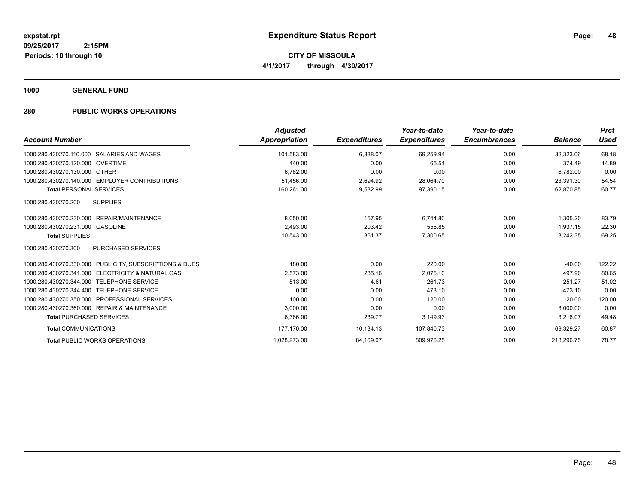**CITY OF MISSOULA 4/1/2017 through 4/30/2017**

**1000 GENERAL FUND**

| <b>Account Number</b>                                           | <b>Adjusted</b><br><b>Appropriation</b> | <b>Expenditures</b> | Year-to-date<br><b>Expenditures</b> | Year-to-date<br><b>Encumbrances</b> | <b>Balance</b> | <b>Prct</b><br><b>Used</b> |
|-----------------------------------------------------------------|-----------------------------------------|---------------------|-------------------------------------|-------------------------------------|----------------|----------------------------|
| 1000.280.430270.110.000 SALARIES AND WAGES                      | 101,583.00                              | 6,838.07            | 69,259.94                           | 0.00                                | 32,323.06      | 68.18                      |
| 1000.280.430270.120.000 OVERTIME                                | 440.00                                  | 0.00                | 65.51                               | 0.00                                | 374.49         | 14.89                      |
| 1000.280.430270.130.000 OTHER                                   | 6,782.00                                | 0.00                | 0.00                                | 0.00                                | 6,782.00       | 0.00                       |
| 1000.280.430270.140.000 EMPLOYER CONTRIBUTIONS                  | 51.456.00                               | 2,694.92            | 28,064.70                           | 0.00                                | 23,391.30      | 54.54                      |
| <b>Total PERSONAL SERVICES</b>                                  | 160,261.00                              | 9,532.99            | 97,390.15                           | 0.00                                | 62,870.85      | 60.77                      |
| 1000.280.430270.200<br><b>SUPPLIES</b>                          |                                         |                     |                                     |                                     |                |                            |
| 1000.280.430270.230.000 REPAIR/MAINTENANCE                      | 8.050.00                                | 157.95              | 6.744.80                            | 0.00                                | 1,305.20       | 83.79                      |
| 1000.280.430270.231.000<br><b>GASOLINE</b>                      | 2,493.00                                | 203.42              | 555.85                              | 0.00                                | 1,937.15       | 22.30                      |
| <b>Total SUPPLIES</b>                                           | 10,543.00                               | 361.37              | 7,300.65                            | 0.00                                | 3,242.35       | 69.25                      |
| PURCHASED SERVICES<br>1000.280.430270.300                       |                                         |                     |                                     |                                     |                |                            |
| 1000.280.430270.330.000 PUBLICITY, SUBSCRIPTIONS & DUES         | 180.00                                  | 0.00                | 220.00                              | 0.00                                | $-40.00$       | 122.22                     |
| <b>ELECTRICITY &amp; NATURAL GAS</b><br>1000.280.430270.341.000 | 2.573.00                                | 235.16              | 2.075.10                            | 0.00                                | 497.90         | 80.65                      |
| 1000.280.430270.344.000 TELEPHONE SERVICE                       | 513.00                                  | 4.61                | 261.73                              | 0.00                                | 251.27         | 51.02                      |
| <b>TELEPHONE SERVICE</b><br>1000.280.430270.344.400             | 0.00                                    | 0.00                | 473.10                              | 0.00                                | $-473.10$      | 0.00                       |
| 1000.280.430270.350.000 PROFESSIONAL SERVICES                   | 100.00                                  | 0.00                | 120.00                              | 0.00                                | $-20.00$       | 120.00                     |
| 1000.280.430270.360.000 REPAIR & MAINTENANCE                    | 3,000.00                                | 0.00                | 0.00                                | 0.00                                | 3,000.00       | 0.00                       |
| <b>Total PURCHASED SERVICES</b>                                 | 6,366.00                                | 239.77              | 3,149.93                            | 0.00                                | 3,216.07       | 49.48                      |
| <b>Total COMMUNICATIONS</b>                                     | 177,170.00                              | 10,134.13           | 107,840.73                          | 0.00                                | 69,329.27      | 60.87                      |
| <b>Total PUBLIC WORKS OPERATIONS</b>                            | 1,028,273.00                            | 84,169.07           | 809,976.25                          | 0.00                                | 218,296.75     | 78.77                      |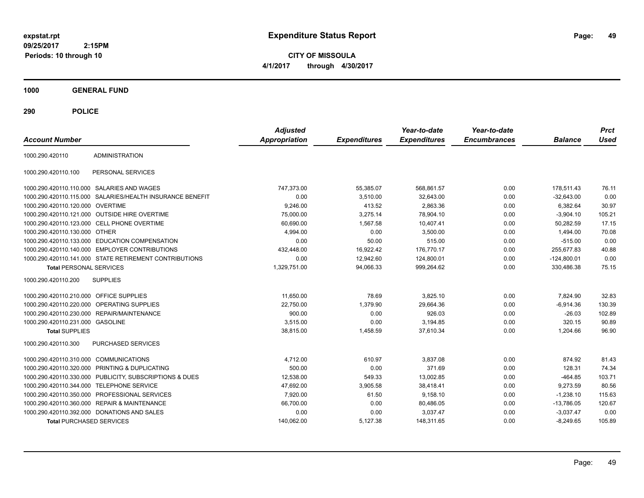**CITY OF MISSOULA 4/1/2017 through 4/30/2017**

**1000 GENERAL FUND**

| <b>Account Number</b>                   |                                                           | <b>Adjusted</b><br>Appropriation | <b>Expenditures</b> | Year-to-date<br><b>Expenditures</b> | Year-to-date<br><b>Encumbrances</b> | <b>Balance</b> | <b>Prct</b><br><b>Used</b> |
|-----------------------------------------|-----------------------------------------------------------|----------------------------------|---------------------|-------------------------------------|-------------------------------------|----------------|----------------------------|
| 1000.290.420110                         | <b>ADMINISTRATION</b>                                     |                                  |                     |                                     |                                     |                |                            |
| 1000.290.420110.100                     | PERSONAL SERVICES                                         |                                  |                     |                                     |                                     |                |                            |
|                                         | 1000.290.420110.110.000 SALARIES AND WAGES                | 747,373.00                       | 55,385.07           | 568,861.57                          | 0.00                                | 178,511.43     | 76.11                      |
|                                         | 1000.290.420110.115.000 SALARIES/HEALTH INSURANCE BENEFIT | 0.00                             | 3,510.00            | 32,643.00                           | 0.00                                | $-32,643.00$   | 0.00                       |
| 1000.290.420110.120.000 OVERTIME        |                                                           | 9,246.00                         | 413.52              | 2,863.36                            | 0.00                                | 6,382.64       | 30.97                      |
|                                         | 1000.290.420110.121.000 OUTSIDE HIRE OVERTIME             | 75,000.00                        | 3,275.14            | 78.904.10                           | 0.00                                | $-3,904.10$    | 105.21                     |
|                                         | 1000.290.420110.123.000 CELL PHONE OVERTIME               | 60,690.00                        | 1,567.58            | 10,407.41                           | 0.00                                | 50,282.59      | 17.15                      |
| 1000.290.420110.130.000 OTHER           |                                                           | 4,994.00                         | 0.00                | 3,500.00                            | 0.00                                | 1,494.00       | 70.08                      |
|                                         | 1000.290.420110.133.000 EDUCATION COMPENSATION            | 0.00                             | 50.00               | 515.00                              | 0.00                                | $-515.00$      | 0.00                       |
|                                         | 1000.290.420110.140.000 EMPLOYER CONTRIBUTIONS            | 432,448.00                       | 16,922.42           | 176,770.17                          | 0.00                                | 255,677.83     | 40.88                      |
|                                         | 1000.290.420110.141.000 STATE RETIREMENT CONTRIBUTIONS    | 0.00                             | 12.942.60           | 124,800.01                          | 0.00                                | $-124,800.01$  | 0.00                       |
| <b>Total PERSONAL SERVICES</b>          |                                                           | 1,329,751.00                     | 94,066.33           | 999,264.62                          | 0.00                                | 330,486.38     | 75.15                      |
| 1000.290.420110.200                     | <b>SUPPLIES</b>                                           |                                  |                     |                                     |                                     |                |                            |
| 1000.290.420110.210.000 OFFICE SUPPLIES |                                                           | 11.650.00                        | 78.69               | 3.825.10                            | 0.00                                | 7,824.90       | 32.83                      |
| 1000.290.420110.220.000                 | OPERATING SUPPLIES                                        | 22,750.00                        | 1,379.90            | 29,664.36                           | 0.00                                | $-6,914.36$    | 130.39                     |
| 1000.290.420110.230.000                 | REPAIR/MAINTENANCE                                        | 900.00                           | 0.00                | 926.03                              | 0.00                                | $-26.03$       | 102.89                     |
| 1000.290.420110.231.000 GASOLINE        |                                                           | 3,515.00                         | 0.00                | 3,194.85                            | 0.00                                | 320.15         | 90.89                      |
| <b>Total SUPPLIES</b>                   |                                                           | 38,815.00                        | 1,458.59            | 37,610.34                           | 0.00                                | 1,204.66       | 96.90                      |
| 1000.290.420110.300                     | PURCHASED SERVICES                                        |                                  |                     |                                     |                                     |                |                            |
| 1000.290.420110.310.000                 | <b>COMMUNICATIONS</b>                                     | 4,712.00                         | 610.97              | 3,837.08                            | 0.00                                | 874.92         | 81.43                      |
| 1000.290.420110.320.000                 | PRINTING & DUPLICATING                                    | 500.00                           | 0.00                | 371.69                              | 0.00                                | 128.31         | 74.34                      |
|                                         | 1000.290.420110.330.000 PUBLICITY, SUBSCRIPTIONS & DUES   | 12,538.00                        | 549.33              | 13,002.85                           | 0.00                                | $-464.85$      | 103.71                     |
| 1000.290.420110.344.000                 | <b>TELEPHONE SERVICE</b>                                  | 47,692.00                        | 3,905.58            | 38,418.41                           | 0.00                                | 9,273.59       | 80.56                      |
| 1000.290.420110.350.000                 | PROFESSIONAL SERVICES                                     | 7,920.00                         | 61.50               | 9,158.10                            | 0.00                                | $-1,238.10$    | 115.63                     |
|                                         | 1000.290.420110.360.000 REPAIR & MAINTENANCE              | 66,700.00                        | 0.00                | 80,486.05                           | 0.00                                | $-13,786.05$   | 120.67                     |
|                                         | 1000.290.420110.392.000 DONATIONS AND SALES               | 0.00                             | 0.00                | 3,037.47                            | 0.00                                | $-3,037.47$    | 0.00                       |
| <b>Total PURCHASED SERVICES</b>         |                                                           | 140,062.00                       | 5,127.38            | 148,311.65                          | 0.00                                | $-8,249.65$    | 105.89                     |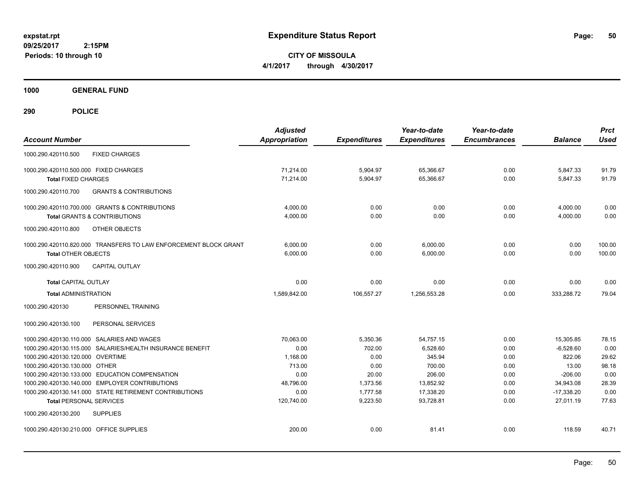**CITY OF MISSOULA 4/1/2017 through 4/30/2017**

**1000 GENERAL FUND**

| <b>Account Number</b>                                                                            | <b>Adjusted</b><br><b>Appropriation</b> | <b>Expenditures</b> | Year-to-date<br><b>Expenditures</b> | Year-to-date<br><b>Encumbrances</b> | <b>Balance</b>         | <b>Prct</b><br><b>Used</b> |
|--------------------------------------------------------------------------------------------------|-----------------------------------------|---------------------|-------------------------------------|-------------------------------------|------------------------|----------------------------|
| 1000.290.420110.500<br><b>FIXED CHARGES</b>                                                      |                                         |                     |                                     |                                     |                        |                            |
| 1000.290.420110.500.000 FIXED CHARGES                                                            | 71,214.00                               | 5,904.97            | 65,366.67                           | 0.00                                | 5,847.33               | 91.79                      |
| <b>Total FIXED CHARGES</b>                                                                       | 71,214.00                               | 5,904.97            | 65,366.67                           | 0.00                                | 5,847.33               | 91.79                      |
| <b>GRANTS &amp; CONTRIBUTIONS</b><br>1000.290.420110.700                                         |                                         |                     |                                     |                                     |                        |                            |
| 1000.290.420110.700.000 GRANTS & CONTRIBUTIONS                                                   | 4,000.00                                | 0.00                | 0.00                                | 0.00                                | 4,000.00               | 0.00                       |
| <b>Total GRANTS &amp; CONTRIBUTIONS</b>                                                          | 4,000.00                                | 0.00                | 0.00                                | 0.00                                | 4,000.00               | 0.00                       |
| 1000.290.420110.800<br>OTHER OBJECTS                                                             |                                         |                     |                                     |                                     |                        |                            |
| 1000.290.420110.820.000 TRANSFERS TO LAW ENFORCEMENT BLOCK GRANT                                 | 6.000.00                                | 0.00                | 6,000.00                            | 0.00                                | 0.00                   | 100.00                     |
| <b>Total OTHER OBJECTS</b>                                                                       | 6.000.00                                | 0.00                | 6.000.00                            | 0.00                                | 0.00                   | 100.00                     |
| <b>CAPITAL OUTLAY</b><br>1000.290.420110.900                                                     |                                         |                     |                                     |                                     |                        |                            |
| <b>Total CAPITAL OUTLAY</b>                                                                      | 0.00                                    | 0.00                | 0.00                                | 0.00                                | 0.00                   | 0.00                       |
| <b>Total ADMINISTRATION</b>                                                                      | 1.589.842.00                            | 106,557.27          | 1.256.553.28                        | 0.00                                | 333,288.72             | 79.04                      |
| 1000.290.420130<br>PERSONNEL TRAINING                                                            |                                         |                     |                                     |                                     |                        |                            |
| 1000.290.420130.100<br>PERSONAL SERVICES                                                         |                                         |                     |                                     |                                     |                        |                            |
| 1000.290.420130.110.000 SALARIES AND WAGES                                                       | 70,063.00                               | 5,350.36            | 54,757.15                           | 0.00                                | 15,305.85              | 78.15                      |
| 1000.290.420130.115.000 SALARIES/HEALTH INSURANCE BENEFIT                                        | 0.00                                    | 702.00              | 6,528.60                            | 0.00                                | $-6,528.60$            | 0.00                       |
| 1000.290.420130.120.000 OVERTIME                                                                 | 1.168.00                                | 0.00                | 345.94                              | 0.00                                | 822.06                 | 29.62                      |
| 1000.290.420130.130.000 OTHER                                                                    | 713.00                                  | 0.00                | 700.00                              | 0.00                                | 13.00                  | 98.18                      |
| 1000.290.420130.133.000 EDUCATION COMPENSATION<br>1000.290.420130.140.000 EMPLOYER CONTRIBUTIONS | 0.00<br>48,796.00                       | 20.00<br>1,373.56   | 206.00<br>13,852.92                 | 0.00<br>0.00                        | $-206.00$<br>34,943.08 | 0.00<br>28.39              |
| 1000.290.420130.141.000 STATE RETIREMENT CONTRIBUTIONS                                           | 0.00                                    | 1.777.58            | 17,338.20                           | 0.00                                | $-17,338.20$           | 0.00                       |
| <b>Total PERSONAL SERVICES</b>                                                                   | 120.740.00                              | 9,223.50            | 93.728.81                           | 0.00                                | 27.011.19              | 77.63                      |
| 1000.290.420130.200<br><b>SUPPLIES</b>                                                           |                                         |                     |                                     |                                     |                        |                            |
| 1000.290.420130.210.000 OFFICE SUPPLIES                                                          | 200.00                                  | 0.00                | 81.41                               | 0.00                                | 118.59                 | 40.71                      |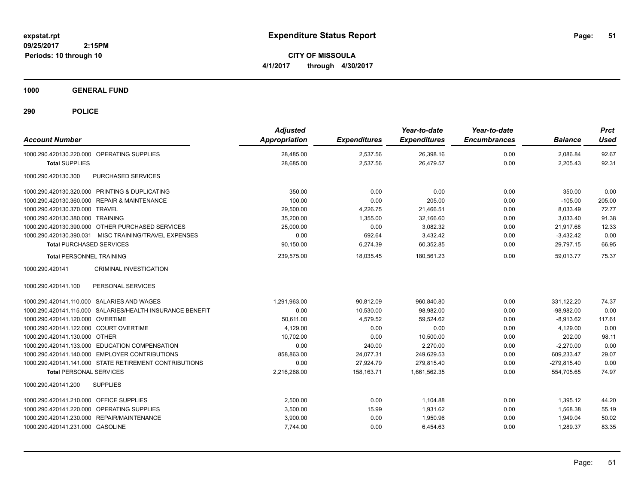**CITY OF MISSOULA 4/1/2017 through 4/30/2017**

**1000 GENERAL FUND**

| <b>Account Number</b>                                     | <b>Adjusted</b><br><b>Appropriation</b> | <b>Expenditures</b> | Year-to-date<br><b>Expenditures</b> | Year-to-date<br><b>Encumbrances</b> | <b>Balance</b> | <b>Prct</b><br><b>Used</b> |
|-----------------------------------------------------------|-----------------------------------------|---------------------|-------------------------------------|-------------------------------------|----------------|----------------------------|
| 1000.290.420130.220.000 OPERATING SUPPLIES                | 28,485.00                               | 2,537.56            | 26,398.16                           | 0.00                                | 2,086.84       | 92.67                      |
| <b>Total SUPPLIES</b>                                     | 28,685.00                               | 2,537.56            | 26,479.57                           | 0.00                                | 2,205.43       | 92.31                      |
| 1000.290.420130.300<br>PURCHASED SERVICES                 |                                         |                     |                                     |                                     |                |                            |
| 1000.290.420130.320.000 PRINTING & DUPLICATING            | 350.00                                  | 0.00                | 0.00                                | 0.00                                | 350.00         | 0.00                       |
| 1000.290.420130.360.000 REPAIR & MAINTENANCE              | 100.00                                  | 0.00                | 205.00                              | 0.00                                | $-105.00$      | 205.00                     |
| 1000.290.420130.370.000 TRAVEL                            | 29,500.00                               | 4,226.75            | 21.466.51                           | 0.00                                | 8.033.49       | 72.77                      |
| 1000.290.420130.380.000 TRAINING                          | 35,200.00                               | 1.355.00            | 32,166.60                           | 0.00                                | 3.033.40       | 91.38                      |
| 1000.290.420130.390.000 OTHER PURCHASED SERVICES          | 25,000.00                               | 0.00                | 3,082.32                            | 0.00                                | 21,917.68      | 12.33                      |
| 1000.290.420130.390.031 MISC TRAINING/TRAVEL EXPENSES     | 0.00                                    | 692.64              | 3,432.42                            | 0.00                                | $-3,432.42$    | 0.00                       |
| <b>Total PURCHASED SERVICES</b>                           | 90,150.00                               | 6,274.39            | 60,352.85                           | 0.00                                | 29,797.15      | 66.95                      |
| <b>Total PERSONNEL TRAINING</b>                           | 239,575.00                              | 18,035.45           | 180,561.23                          | 0.00                                | 59,013.77      | 75.37                      |
| <b>CRIMINAL INVESTIGATION</b><br>1000.290.420141          |                                         |                     |                                     |                                     |                |                            |
| 1000.290.420141.100<br>PERSONAL SERVICES                  |                                         |                     |                                     |                                     |                |                            |
| 1000.290.420141.110.000 SALARIES AND WAGES                | 1,291,963.00                            | 90.812.09           | 960.840.80                          | 0.00                                | 331.122.20     | 74.37                      |
| 1000.290.420141.115.000 SALARIES/HEALTH INSURANCE BENEFIT | 0.00                                    | 10,530.00           | 98.982.00                           | 0.00                                | $-98.982.00$   | 0.00                       |
| 1000.290.420141.120.000 OVERTIME                          | 50,611.00                               | 4,579.52            | 59,524.62                           | 0.00                                | $-8,913.62$    | 117.61                     |
| 1000.290.420141.122.000 COURT OVERTIME                    | 4,129.00                                | 0.00                | 0.00                                | 0.00                                | 4,129.00       | 0.00                       |
| 1000.290.420141.130.000 OTHER                             | 10,702.00                               | 0.00                | 10,500.00                           | 0.00                                | 202.00         | 98.11                      |
| 1000.290.420141.133.000 EDUCATION COMPENSATION            | 0.00                                    | 240.00              | 2.270.00                            | 0.00                                | $-2.270.00$    | 0.00                       |
| 1000.290.420141.140.000 EMPLOYER CONTRIBUTIONS            | 858.863.00                              | 24,077.31           | 249,629.53                          | 0.00                                | 609.233.47     | 29.07                      |
| 1000.290.420141.141.000 STATE RETIREMENT CONTRIBUTIONS    | 0.00                                    | 27,924.79           | 279,815.40                          | 0.00                                | $-279,815.40$  | 0.00                       |
| <b>Total PERSONAL SERVICES</b>                            | 2,216,268.00                            | 158,163.71          | 1,661,562.35                        | 0.00                                | 554,705.65     | 74.97                      |
| <b>SUPPLIES</b><br>1000.290.420141.200                    |                                         |                     |                                     |                                     |                |                            |
| 1000.290.420141.210.000 OFFICE SUPPLIES                   | 2,500.00                                | 0.00                | 1,104.88                            | 0.00                                | 1,395.12       | 44.20                      |
| 1000.290.420141.220.000 OPERATING SUPPLIES                | 3,500.00                                | 15.99               | 1,931.62                            | 0.00                                | 1,568.38       | 55.19                      |
| 1000.290.420141.230.000 REPAIR/MAINTENANCE                | 3,900.00                                | 0.00                | 1,950.96                            | 0.00                                | 1,949.04       | 50.02                      |
| 1000.290.420141.231.000 GASOLINE                          | 7,744.00                                | 0.00                | 6,454.63                            | 0.00                                | 1,289.37       | 83.35                      |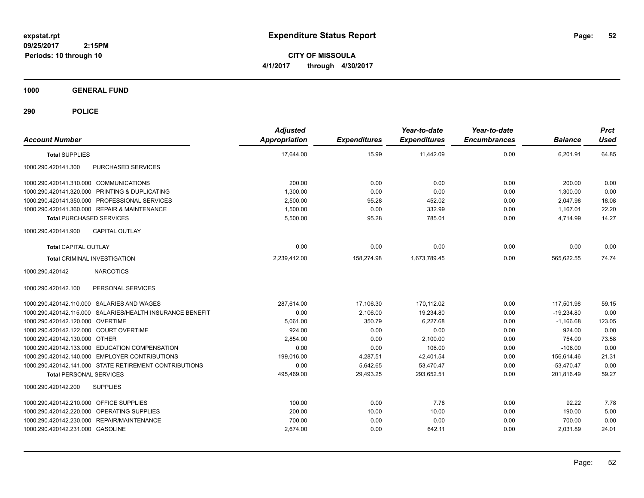**CITY OF MISSOULA 4/1/2017 through 4/30/2017**

**1000 GENERAL FUND**

| <b>Account Number</b>                                     | <b>Adjusted</b><br><b>Appropriation</b> | <b>Expenditures</b> | Year-to-date<br><b>Expenditures</b> | Year-to-date<br><b>Encumbrances</b> | <b>Balance</b> | <b>Prct</b><br><b>Used</b> |
|-----------------------------------------------------------|-----------------------------------------|---------------------|-------------------------------------|-------------------------------------|----------------|----------------------------|
| <b>Total SUPPLIES</b>                                     | 17,644.00                               | 15.99               | 11,442.09                           | 0.00                                | 6,201.91       | 64.85                      |
| 1000.290.420141.300<br>PURCHASED SERVICES                 |                                         |                     |                                     |                                     |                |                            |
| 1000.290.420141.310.000 COMMUNICATIONS                    | 200.00                                  | 0.00                | 0.00                                | 0.00                                | 200.00         | 0.00                       |
| 1000.290.420141.320.000 PRINTING & DUPLICATING            | 1,300.00                                | 0.00                | 0.00                                | 0.00                                | 1,300.00       | 0.00                       |
| 1000.290.420141.350.000 PROFESSIONAL SERVICES             | 2,500.00                                | 95.28               | 452.02                              | 0.00                                | 2,047.98       | 18.08                      |
| 1000.290.420141.360.000 REPAIR & MAINTENANCE              | 1,500.00                                | 0.00                | 332.99                              | 0.00                                | 1,167.01       | 22.20                      |
| <b>Total PURCHASED SERVICES</b>                           | 5,500.00                                | 95.28               | 785.01                              | 0.00                                | 4,714.99       | 14.27                      |
| 1000.290.420141.900<br><b>CAPITAL OUTLAY</b>              |                                         |                     |                                     |                                     |                |                            |
| <b>Total CAPITAL OUTLAY</b>                               | 0.00                                    | 0.00                | 0.00                                | 0.00                                | 0.00           | 0.00                       |
| <b>Total CRIMINAL INVESTIGATION</b>                       | 2,239,412.00                            | 158,274.98          | 1,673,789.45                        | 0.00                                | 565,622.55     | 74.74                      |
| 1000.290.420142<br><b>NARCOTICS</b>                       |                                         |                     |                                     |                                     |                |                            |
| 1000.290.420142.100<br>PERSONAL SERVICES                  |                                         |                     |                                     |                                     |                |                            |
| 1000.290.420142.110.000 SALARIES AND WAGES                | 287,614.00                              | 17,106.30           | 170,112.02                          | 0.00                                | 117,501.98     | 59.15                      |
| 1000.290.420142.115.000 SALARIES/HEALTH INSURANCE BENEFIT | 0.00                                    | 2,106.00            | 19,234.80                           | 0.00                                | $-19,234.80$   | 0.00                       |
| 1000.290.420142.120.000 OVERTIME                          | 5,061.00                                | 350.79              | 6,227.68                            | 0.00                                | $-1,166.68$    | 123.05                     |
| 1000.290.420142.122.000 COURT OVERTIME                    | 924.00                                  | 0.00                | 0.00                                | 0.00                                | 924.00         | 0.00                       |
| 1000.290.420142.130.000 OTHER                             | 2.854.00                                | 0.00                | 2,100.00                            | 0.00                                | 754.00         | 73.58                      |
| 1000.290.420142.133.000 EDUCATION COMPENSATION            | 0.00                                    | 0.00                | 106.00                              | 0.00                                | $-106.00$      | 0.00                       |
| 1000.290.420142.140.000 EMPLOYER CONTRIBUTIONS            | 199,016.00                              | 4,287.51            | 42,401.54                           | 0.00                                | 156,614.46     | 21.31                      |
| 1000.290.420142.141.000 STATE RETIREMENT CONTRIBUTIONS    | 0.00                                    | 5,642.65            | 53,470.47                           | 0.00                                | $-53,470.47$   | 0.00                       |
| <b>Total PERSONAL SERVICES</b>                            | 495,469.00                              | 29,493.25           | 293,652.51                          | 0.00                                | 201,816.49     | 59.27                      |
| <b>SUPPLIES</b><br>1000.290.420142.200                    |                                         |                     |                                     |                                     |                |                            |
| 1000.290.420142.210.000 OFFICE SUPPLIES                   | 100.00                                  | 0.00                | 7.78                                | 0.00                                | 92.22          | 7.78                       |
| 1000.290.420142.220.000 OPERATING SUPPLIES                | 200.00                                  | 10.00               | 10.00                               | 0.00                                | 190.00         | 5.00                       |
| 1000.290.420142.230.000 REPAIR/MAINTENANCE                | 700.00                                  | 0.00                | 0.00                                | 0.00                                | 700.00         | 0.00                       |
| 1000.290.420142.231.000 GASOLINE                          | 2,674.00                                | 0.00                | 642.11                              | 0.00                                | 2,031.89       | 24.01                      |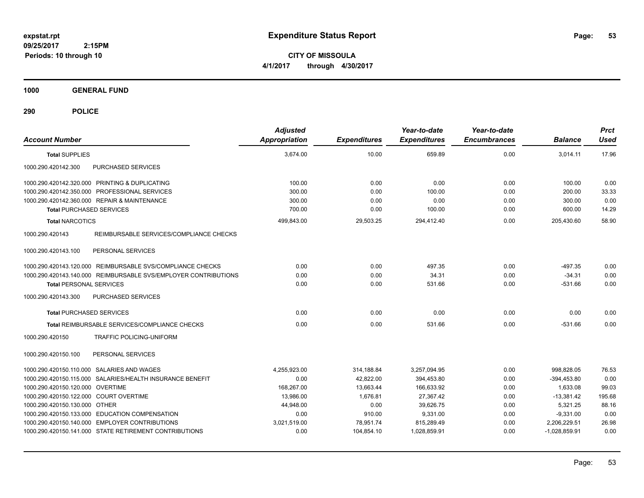**CITY OF MISSOULA 4/1/2017 through 4/30/2017**

**1000 GENERAL FUND**

| <b>Account Number</b>                                           | <b>Adjusted</b><br><b>Appropriation</b> | <b>Expenditures</b> | Year-to-date<br><b>Expenditures</b> | Year-to-date<br><b>Encumbrances</b> | <b>Balance</b>  | <b>Prct</b><br><b>Used</b> |
|-----------------------------------------------------------------|-----------------------------------------|---------------------|-------------------------------------|-------------------------------------|-----------------|----------------------------|
| <b>Total SUPPLIES</b>                                           | 3,674.00                                | 10.00               | 659.89                              | 0.00                                | 3,014.11        | 17.96                      |
| 1000.290.420142.300<br>PURCHASED SERVICES                       |                                         |                     |                                     |                                     |                 |                            |
| 1000.290.420142.320.000 PRINTING & DUPLICATING                  | 100.00                                  | 0.00                | 0.00                                | 0.00                                | 100.00          | 0.00                       |
| 1000.290.420142.350.000 PROFESSIONAL SERVICES                   | 300.00                                  | 0.00                | 100.00                              | 0.00                                | 200.00          | 33.33                      |
| 1000.290.420142.360.000 REPAIR & MAINTENANCE                    | 300.00                                  | 0.00                | 0.00                                | 0.00                                | 300.00          | 0.00                       |
| <b>Total PURCHASED SERVICES</b>                                 | 700.00                                  | 0.00                | 100.00                              | 0.00                                | 600.00          | 14.29                      |
| <b>Total NARCOTICS</b>                                          | 499,843.00                              | 29,503.25           | 294,412.40                          | 0.00                                | 205,430.60      | 58.90                      |
| REIMBURSABLE SERVICES/COMPLIANCE CHECKS<br>1000.290.420143      |                                         |                     |                                     |                                     |                 |                            |
| 1000.290.420143.100<br>PERSONAL SERVICES                        |                                         |                     |                                     |                                     |                 |                            |
| 1000.290.420143.120.000 REIMBURSABLE SVS/COMPLIANCE CHECKS      | 0.00                                    | 0.00                | 497.35                              | 0.00                                | $-497.35$       | 0.00                       |
| 1000.290.420143.140.000 REIMBURSABLE SVS/EMPLOYER CONTRIBUTIONS | 0.00                                    | 0.00                | 34.31                               | 0.00                                | $-34.31$        | 0.00                       |
| <b>Total PERSONAL SERVICES</b>                                  | 0.00                                    | 0.00                | 531.66                              | 0.00                                | $-531.66$       | 0.00                       |
| PURCHASED SERVICES<br>1000.290.420143.300                       |                                         |                     |                                     |                                     |                 |                            |
| <b>Total PURCHASED SERVICES</b>                                 | 0.00                                    | 0.00                | 0.00                                | 0.00                                | 0.00            | 0.00                       |
| <b>Total REIMBURSABLE SERVICES/COMPLIANCE CHECKS</b>            | 0.00                                    | 0.00                | 531.66                              | 0.00                                | $-531.66$       | 0.00                       |
| 1000.290.420150<br><b>TRAFFIC POLICING-UNIFORM</b>              |                                         |                     |                                     |                                     |                 |                            |
| 1000.290.420150.100<br>PERSONAL SERVICES                        |                                         |                     |                                     |                                     |                 |                            |
| 1000.290.420150.110.000 SALARIES AND WAGES                      | 4,255,923.00                            | 314,188.84          | 3,257,094.95                        | 0.00                                | 998,828.05      | 76.53                      |
| 1000.290.420150.115.000 SALARIES/HEALTH INSURANCE BENEFIT       | 0.00                                    | 42,822.00           | 394,453.80                          | 0.00                                | $-394,453.80$   | 0.00                       |
| 1000.290.420150.120.000 OVERTIME                                | 168,267.00                              | 13,663.44           | 166,633.92                          | 0.00                                | 1,633.08        | 99.03                      |
| 1000.290.420150.122.000 COURT OVERTIME                          | 13,986.00                               | 1.676.81            | 27,367.42                           | 0.00                                | $-13,381.42$    | 195.68                     |
| 1000.290.420150.130.000 OTHER                                   | 44,948.00                               | 0.00                | 39,626.75                           | 0.00                                | 5,321.25        | 88.16                      |
| 1000.290.420150.133.000 EDUCATION COMPENSATION                  | 0.00                                    | 910.00              | 9,331.00                            | 0.00                                | $-9,331.00$     | 0.00                       |
| 1000.290.420150.140.000 EMPLOYER CONTRIBUTIONS                  | 3,021,519.00                            | 78,951.74           | 815,289.49                          | 0.00                                | 2,206,229.51    | 26.98                      |
| 1000.290.420150.141.000 STATE RETIREMENT CONTRIBUTIONS          | 0.00                                    | 104,854.10          | 1,028,859.91                        | 0.00                                | $-1,028,859.91$ | 0.00                       |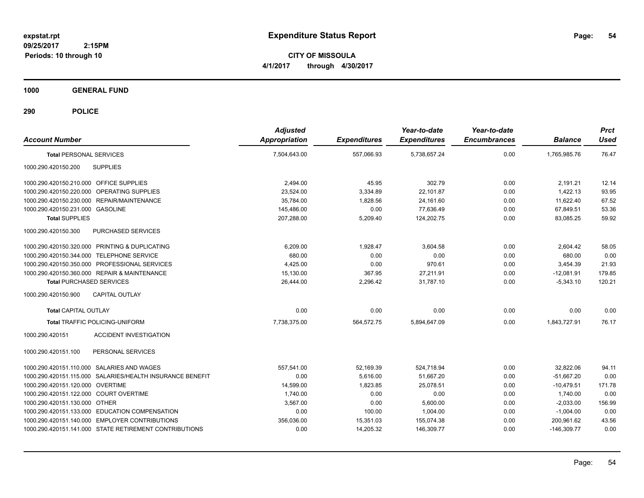**CITY OF MISSOULA 4/1/2017 through 4/30/2017**

**1000 GENERAL FUND**

| <b>Account Number</b>                                     | <b>Adjusted</b><br><b>Appropriation</b> | <b>Expenditures</b> | Year-to-date<br><b>Expenditures</b> | Year-to-date<br><b>Encumbrances</b> | <b>Balance</b> | <b>Prct</b><br><b>Used</b> |
|-----------------------------------------------------------|-----------------------------------------|---------------------|-------------------------------------|-------------------------------------|----------------|----------------------------|
| <b>Total PERSONAL SERVICES</b>                            | 7,504,643.00                            | 557.066.93          | 5,738,657.24                        | 0.00                                | 1,765,985.76   | 76.47                      |
| 1000.290.420150.200<br><b>SUPPLIES</b>                    |                                         |                     |                                     |                                     |                |                            |
| 1000.290.420150.210.000 OFFICE SUPPLIES                   | 2,494.00                                | 45.95               | 302.79                              | 0.00                                | 2,191.21       | 12.14                      |
| 1000.290.420150.220.000 OPERATING SUPPLIES                | 23,524.00                               | 3,334.89            | 22,101.87                           | 0.00                                | 1,422.13       | 93.95                      |
| 1000.290.420150.230.000 REPAIR/MAINTENANCE                | 35,784.00                               | 1,828.56            | 24,161.60                           | 0.00                                | 11,622.40      | 67.52                      |
| 1000.290.420150.231.000 GASOLINE                          | 145,486.00                              | 0.00                | 77,636.49                           | 0.00                                | 67,849.51      | 53.36                      |
| <b>Total SUPPLIES</b>                                     | 207,288.00                              | 5,209.40            | 124.202.75                          | 0.00                                | 83.085.25      | 59.92                      |
| 1000.290.420150.300<br>PURCHASED SERVICES                 |                                         |                     |                                     |                                     |                |                            |
| 1000.290.420150.320.000 PRINTING & DUPLICATING            | 6,209.00                                | 1,928.47            | 3,604.58                            | 0.00                                | 2,604.42       | 58.05                      |
| 1000.290.420150.344.000 TELEPHONE SERVICE                 | 680.00                                  | 0.00                | 0.00                                | 0.00                                | 680.00         | 0.00                       |
| 1000.290.420150.350.000 PROFESSIONAL SERVICES             | 4.425.00                                | 0.00                | 970.61                              | 0.00                                | 3,454.39       | 21.93                      |
| 1000.290.420150.360.000 REPAIR & MAINTENANCE              | 15,130.00                               | 367.95              | 27,211.91                           | 0.00                                | $-12,081.91$   | 179.85                     |
| <b>Total PURCHASED SERVICES</b>                           | 26.444.00                               | 2,296.42            | 31.787.10                           | 0.00                                | $-5,343.10$    | 120.21                     |
| CAPITAL OUTLAY<br>1000.290.420150.900                     |                                         |                     |                                     |                                     |                |                            |
| <b>Total CAPITAL OUTLAY</b>                               | 0.00                                    | 0.00                | 0.00                                | 0.00                                | 0.00           | 0.00                       |
| <b>Total TRAFFIC POLICING-UNIFORM</b>                     | 7,738,375.00                            | 564,572.75          | 5,894,647.09                        | 0.00                                | 1,843,727.91   | 76.17                      |
| <b>ACCIDENT INVESTIGATION</b><br>1000.290.420151          |                                         |                     |                                     |                                     |                |                            |
| 1000.290.420151.100<br>PERSONAL SERVICES                  |                                         |                     |                                     |                                     |                |                            |
| 1000.290.420151.110.000 SALARIES AND WAGES                | 557.541.00                              | 52,169.39           | 524.718.94                          | 0.00                                | 32.822.06      | 94.11                      |
| 1000.290.420151.115.000 SALARIES/HEALTH INSURANCE BENEFIT | 0.00                                    | 5.616.00            | 51.667.20                           | 0.00                                | $-51.667.20$   | 0.00                       |
| 1000.290.420151.120.000 OVERTIME                          | 14,599.00                               | 1,823.85            | 25,078.51                           | 0.00                                | $-10,479.51$   | 171.78                     |
| 1000.290.420151.122.000 COURT OVERTIME                    | 1,740.00                                | 0.00                | 0.00                                | 0.00                                | 1,740.00       | 0.00                       |
| 1000.290.420151.130.000 OTHER                             | 3,567.00                                | 0.00                | 5,600.00                            | 0.00                                | $-2,033.00$    | 156.99                     |
| 1000.290.420151.133.000 EDUCATION COMPENSATION            | 0.00                                    | 100.00              | 1.004.00                            | 0.00                                | $-1,004.00$    | 0.00                       |
| 1000.290.420151.140.000 EMPLOYER CONTRIBUTIONS            | 356,036.00                              | 15,351.03           | 155,074.38                          | 0.00                                | 200,961.62     | 43.56                      |
| 1000.290.420151.141.000 STATE RETIREMENT CONTRIBUTIONS    | 0.00                                    | 14,205.32           | 146,309.77                          | 0.00                                | $-146,309.77$  | 0.00                       |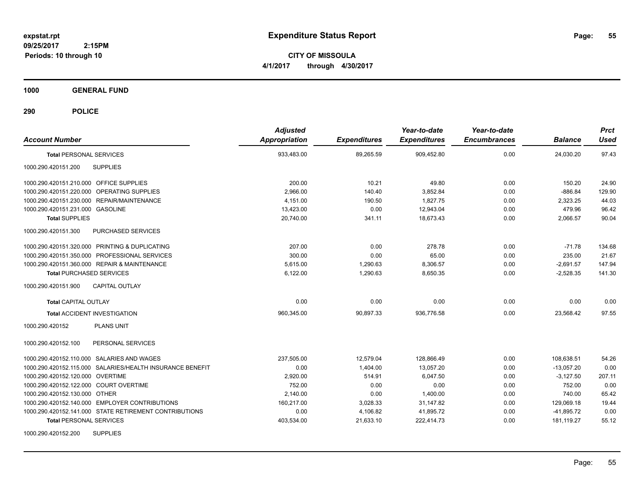**CITY OF MISSOULA 4/1/2017 through 4/30/2017**

**1000 GENERAL FUND**

| <b>Account Number</b>                                     | <b>Adjusted</b><br><b>Appropriation</b> | <b>Expenditures</b> | Year-to-date<br><b>Expenditures</b> | Year-to-date<br><b>Encumbrances</b> | <b>Balance</b> | <b>Prct</b><br><b>Used</b> |
|-----------------------------------------------------------|-----------------------------------------|---------------------|-------------------------------------|-------------------------------------|----------------|----------------------------|
| <b>Total PERSONAL SERVICES</b>                            | 933,483.00                              | 89,265.59           | 909,452.80                          | 0.00                                | 24,030.20      | 97.43                      |
| 1000.290.420151.200<br><b>SUPPLIES</b>                    |                                         |                     |                                     |                                     |                |                            |
| 1000.290.420151.210.000 OFFICE SUPPLIES                   | 200.00                                  | 10.21               | 49.80                               | 0.00                                | 150.20         | 24.90                      |
| 1000.290.420151.220.000 OPERATING SUPPLIES                | 2,966.00                                | 140.40              | 3,852.84                            | 0.00                                | $-886.84$      | 129.90                     |
| 1000.290.420151.230.000 REPAIR/MAINTENANCE                | 4,151.00                                | 190.50              | 1.827.75                            | 0.00                                | 2,323.25       | 44.03                      |
| 1000.290.420151.231.000 GASOLINE                          | 13,423.00                               | 0.00                | 12,943.04                           | 0.00                                | 479.96         | 96.42                      |
| <b>Total SUPPLIES</b>                                     | 20,740.00                               | 341.11              | 18.673.43                           | 0.00                                | 2,066.57       | 90.04                      |
| 1000.290.420151.300<br>PURCHASED SERVICES                 |                                         |                     |                                     |                                     |                |                            |
| 1000.290.420151.320.000 PRINTING & DUPLICATING            | 207.00                                  | 0.00                | 278.78                              | 0.00                                | $-71.78$       | 134.68                     |
| 1000.290.420151.350.000 PROFESSIONAL SERVICES             | 300.00                                  | 0.00                | 65.00                               | 0.00                                | 235.00         | 21.67                      |
| 1000.290.420151.360.000 REPAIR & MAINTENANCE              | 5.615.00                                | 1.290.63            | 8,306.57                            | 0.00                                | $-2.691.57$    | 147.94                     |
| <b>Total PURCHASED SERVICES</b>                           | 6,122.00                                | 1.290.63            | 8,650.35                            | 0.00                                | $-2.528.35$    | 141.30                     |
| 1000.290.420151.900<br><b>CAPITAL OUTLAY</b>              |                                         |                     |                                     |                                     |                |                            |
| <b>Total CAPITAL OUTLAY</b>                               | 0.00                                    | 0.00                | 0.00                                | 0.00                                | 0.00           | 0.00                       |
| <b>Total ACCIDENT INVESTIGATION</b>                       | 960,345.00                              | 90,897.33           | 936,776.58                          | 0.00                                | 23,568.42      | 97.55                      |
| <b>PLANS UNIT</b><br>1000.290.420152                      |                                         |                     |                                     |                                     |                |                            |
| 1000.290.420152.100<br>PERSONAL SERVICES                  |                                         |                     |                                     |                                     |                |                            |
| 1000.290.420152.110.000 SALARIES AND WAGES                | 237,505.00                              | 12,579.04           | 128,866.49                          | 0.00                                | 108,638.51     | 54.26                      |
| 1000.290.420152.115.000 SALARIES/HEALTH INSURANCE BENEFIT | 0.00                                    | 1,404.00            | 13,057.20                           | 0.00                                | $-13,057.20$   | 0.00                       |
| 1000.290.420152.120.000 OVERTIME                          | 2,920.00                                | 514.91              | 6,047.50                            | 0.00                                | $-3,127.50$    | 207.11                     |
| 1000.290.420152.122.000 COURT OVERTIME                    | 752.00                                  | 0.00                | 0.00                                | 0.00                                | 752.00         | 0.00                       |
| 1000.290.420152.130.000 OTHER                             | 2,140.00                                | 0.00                | 1,400.00                            | 0.00                                | 740.00         | 65.42                      |
| 1000.290.420152.140.000 EMPLOYER CONTRIBUTIONS            | 160,217.00                              | 3,028.33            | 31,147.82                           | 0.00                                | 129,069.18     | 19.44                      |
| 1000.290.420152.141.000 STATE RETIREMENT CONTRIBUTIONS    | 0.00                                    | 4,106.82            | 41,895.72                           | 0.00                                | $-41,895.72$   | 0.00                       |
| <b>Total PERSONAL SERVICES</b>                            | 403,534.00                              | 21,633.10           | 222,414.73                          | 0.00                                | 181,119.27     | 55.12                      |
| <b>SUPPLIES</b><br>1000.290.420152.200                    |                                         |                     |                                     |                                     |                |                            |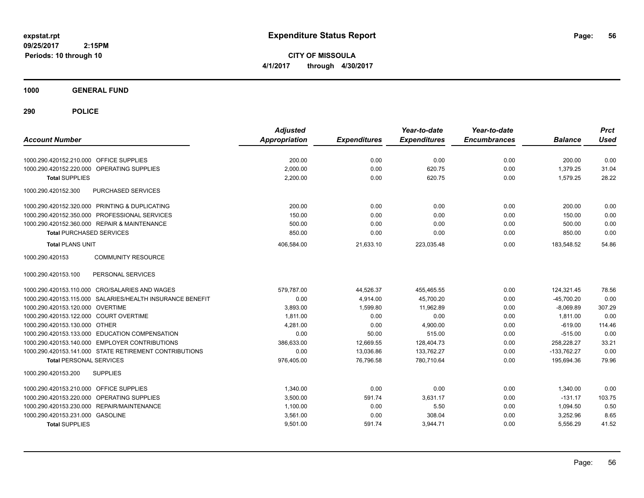**CITY OF MISSOULA 4/1/2017 through 4/30/2017**

**1000 GENERAL FUND**

| <b>Account Number</b>                                                  | <b>Adjusted</b><br><b>Appropriation</b> | <b>Expenditures</b> | Year-to-date<br><b>Expenditures</b> | Year-to-date<br><b>Encumbrances</b> | <b>Balance</b>       | <b>Prct</b><br><b>Used</b> |
|------------------------------------------------------------------------|-----------------------------------------|---------------------|-------------------------------------|-------------------------------------|----------------------|----------------------------|
| 1000.290.420152.210.000 OFFICE SUPPLIES                                | 200.00                                  | 0.00                | 0.00                                | 0.00                                | 200.00               | 0.00                       |
|                                                                        |                                         |                     |                                     |                                     |                      |                            |
| OPERATING SUPPLIES<br>1000.290.420152.220.000<br><b>Total SUPPLIES</b> | 2,000.00<br>2,200.00                    | 0.00<br>0.00        | 620.75<br>620.75                    | 0.00<br>0.00                        | 1,379.25<br>1,579.25 | 31.04<br>28.22             |
|                                                                        |                                         |                     |                                     |                                     |                      |                            |
| 1000.290.420152.300<br><b>PURCHASED SERVICES</b>                       |                                         |                     |                                     |                                     |                      |                            |
| 1000.290.420152.320.000 PRINTING & DUPLICATING                         | 200.00                                  | 0.00                | 0.00                                | 0.00                                | 200.00               | 0.00                       |
| 1000.290.420152.350.000 PROFESSIONAL SERVICES                          | 150.00                                  | 0.00                | 0.00                                | 0.00                                | 150.00               | 0.00                       |
| 1000.290.420152.360.000 REPAIR & MAINTENANCE                           | 500.00                                  | 0.00                | 0.00                                | 0.00                                | 500.00               | 0.00                       |
| <b>Total PURCHASED SERVICES</b>                                        | 850.00                                  | 0.00                | 0.00                                | 0.00                                | 850.00               | 0.00                       |
| <b>Total PLANS UNIT</b>                                                | 406,584.00                              | 21,633.10           | 223,035.48                          | 0.00                                | 183,548.52           | 54.86                      |
| 1000.290.420153<br><b>COMMUNITY RESOURCE</b>                           |                                         |                     |                                     |                                     |                      |                            |
| 1000.290.420153.100<br>PERSONAL SERVICES                               |                                         |                     |                                     |                                     |                      |                            |
| 1000.290.420153.110.000 CRO/SALARIES AND WAGES                         | 579,787.00                              | 44,526.37           | 455,465.55                          | 0.00                                | 124,321.45           | 78.56                      |
| 1000.290.420153.115.000 SALARIES/HEALTH INSURANCE BENEFIT              | 0.00                                    | 4,914.00            | 45,700.20                           | 0.00                                | $-45,700.20$         | 0.00                       |
| 1000.290.420153.120.000 OVERTIME                                       | 3.893.00                                | 1.599.80            | 11,962.89                           | 0.00                                | $-8,069.89$          | 307.29                     |
| 1000.290.420153.122.000 COURT OVERTIME                                 | 1,811.00                                | 0.00                | 0.00                                | 0.00                                | 1,811.00             | 0.00                       |
| 1000.290.420153.130.000 OTHER                                          | 4,281.00                                | 0.00                | 4,900.00                            | 0.00                                | $-619.00$            | 114.46                     |
| 1000.290.420153.133.000 EDUCATION COMPENSATION                         | 0.00                                    | 50.00               | 515.00                              | 0.00                                | $-515.00$            | 0.00                       |
| 1000.290.420153.140.000 EMPLOYER CONTRIBUTIONS                         | 386.633.00                              | 12,669.55           | 128,404.73                          | 0.00                                | 258,228.27           | 33.21                      |
| 1000.290.420153.141.000 STATE RETIREMENT CONTRIBUTIONS                 | 0.00                                    | 13,036.86           | 133,762.27                          | 0.00                                | $-133,762.27$        | 0.00                       |
| <b>Total PERSONAL SERVICES</b>                                         | 976,405.00                              | 76,796.58           | 780,710.64                          | 0.00                                | 195,694.36           | 79.96                      |
| 1000.290.420153.200<br><b>SUPPLIES</b>                                 |                                         |                     |                                     |                                     |                      |                            |
| 1000.290.420153.210.000 OFFICE SUPPLIES                                | 1,340.00                                | 0.00                | 0.00                                | 0.00                                | 1,340.00             | 0.00                       |
| OPERATING SUPPLIES<br>1000.290.420153.220.000                          | 3,500.00                                | 591.74              | 3,631.17                            | 0.00                                | $-131.17$            | 103.75                     |
| 1000.290.420153.230.000 REPAIR/MAINTENANCE                             | 1,100.00                                | 0.00                | 5.50                                | 0.00                                | 1,094.50             | 0.50                       |
| 1000.290.420153.231.000 GASOLINE                                       | 3,561.00                                | 0.00                | 308.04                              | 0.00                                | 3,252.96             | 8.65                       |
| <b>Total SUPPLIES</b>                                                  | 9,501.00                                | 591.74              | 3,944.71                            | 0.00                                | 5,556.29             | 41.52                      |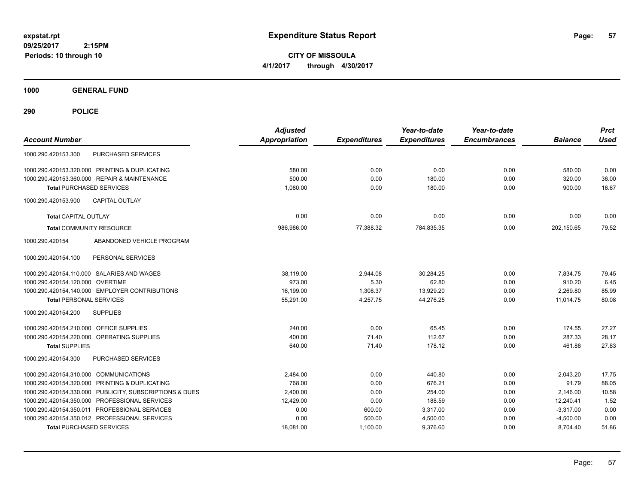**CITY OF MISSOULA 4/1/2017 through 4/30/2017**

**1000 GENERAL FUND**

| <b>Account Number</b>                                   | <b>Adjusted</b><br><b>Appropriation</b> | <b>Expenditures</b> | Year-to-date<br><b>Expenditures</b> | Year-to-date<br><b>Encumbrances</b> | <b>Balance</b> | <b>Prct</b><br><b>Used</b> |
|---------------------------------------------------------|-----------------------------------------|---------------------|-------------------------------------|-------------------------------------|----------------|----------------------------|
| <b>PURCHASED SERVICES</b><br>1000.290.420153.300        |                                         |                     |                                     |                                     |                |                            |
| 1000.290.420153.320.000 PRINTING & DUPLICATING          | 580.00                                  | 0.00                | 0.00                                | 0.00                                | 580.00         | 0.00                       |
| 1000.290.420153.360.000 REPAIR & MAINTENANCE            | 500.00                                  | 0.00                | 180.00                              | 0.00                                | 320.00         | 36.00                      |
| <b>Total PURCHASED SERVICES</b>                         | 1,080.00                                | 0.00                | 180.00                              | 0.00                                | 900.00         | 16.67                      |
| <b>CAPITAL OUTLAY</b><br>1000.290.420153.900            |                                         |                     |                                     |                                     |                |                            |
| <b>Total CAPITAL OUTLAY</b>                             | 0.00                                    | 0.00                | 0.00                                | 0.00                                | 0.00           | 0.00                       |
| <b>Total COMMUNITY RESOURCE</b>                         | 986,986.00                              | 77,388.32           | 784,835.35                          | 0.00                                | 202,150.65     | 79.52                      |
| 1000.290.420154<br>ABANDONED VEHICLE PROGRAM            |                                         |                     |                                     |                                     |                |                            |
| 1000.290.420154.100<br>PERSONAL SERVICES                |                                         |                     |                                     |                                     |                |                            |
| 1000.290.420154.110.000 SALARIES AND WAGES              | 38,119.00                               | 2,944.08            | 30.284.25                           | 0.00                                | 7.834.75       | 79.45                      |
| 1000.290.420154.120.000 OVERTIME                        | 973.00                                  | 5.30                | 62.80                               | 0.00                                | 910.20         | 6.45                       |
| 1000.290.420154.140.000 EMPLOYER CONTRIBUTIONS          | 16,199.00                               | 1,308.37            | 13,929.20                           | 0.00                                | 2,269.80       | 85.99                      |
| <b>Total PERSONAL SERVICES</b>                          | 55,291.00                               | 4,257.75            | 44,276.25                           | 0.00                                | 11,014.75      | 80.08                      |
| <b>SUPPLIES</b><br>1000.290.420154.200                  |                                         |                     |                                     |                                     |                |                            |
| 1000.290.420154.210.000 OFFICE SUPPLIES                 | 240.00                                  | 0.00                | 65.45                               | 0.00                                | 174.55         | 27.27                      |
| 1000.290.420154.220.000 OPERATING SUPPLIES              | 400.00                                  | 71.40               | 112.67                              | 0.00                                | 287.33         | 28.17                      |
| <b>Total SUPPLIES</b>                                   | 640.00                                  | 71.40               | 178.12                              | 0.00                                | 461.88         | 27.83                      |
| PURCHASED SERVICES<br>1000.290.420154.300               |                                         |                     |                                     |                                     |                |                            |
| 1000.290.420154.310.000 COMMUNICATIONS                  | 2,484.00                                | 0.00                | 440.80                              | 0.00                                | 2.043.20       | 17.75                      |
| 1000.290.420154.320.000 PRINTING & DUPLICATING          | 768.00                                  | 0.00                | 676.21                              | 0.00                                | 91.79          | 88.05                      |
| 1000.290.420154.330.000 PUBLICITY, SUBSCRIPTIONS & DUES | 2,400.00                                | 0.00                | 254.00                              | 0.00                                | 2,146.00       | 10.58                      |
| 1000.290.420154.350.000 PROFESSIONAL SERVICES           | 12,429.00                               | 0.00                | 188.59                              | 0.00                                | 12,240.41      | 1.52                       |
| 1000.290.420154.350.011 PROFESSIONAL SERVICES           | 0.00                                    | 600.00              | 3,317.00                            | 0.00                                | $-3,317.00$    | 0.00                       |
| 1000.290.420154.350.012 PROFESSIONAL SERVICES           | 0.00                                    | 500.00              | 4,500.00                            | 0.00                                | $-4,500.00$    | 0.00                       |
| <b>Total PURCHASED SERVICES</b>                         | 18,081.00                               | 1,100.00            | 9,376.60                            | 0.00                                | 8,704.40       | 51.86                      |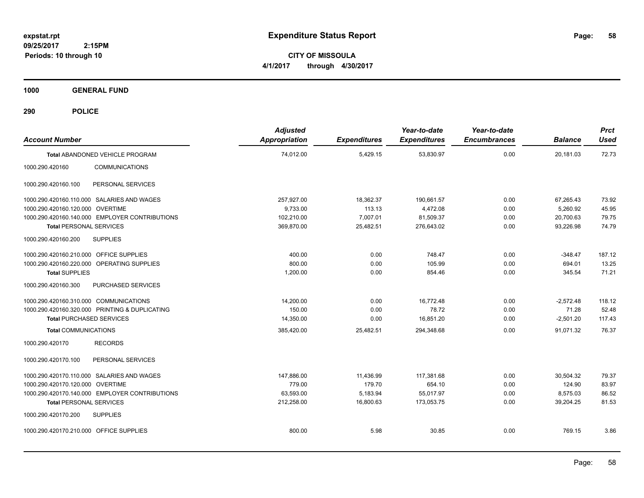**CITY OF MISSOULA 4/1/2017 through 4/30/2017**

**1000 GENERAL FUND**

| <b>Account Number</b>                      |                                                | <b>Adjusted</b><br><b>Appropriation</b> | <b>Expenditures</b> | Year-to-date<br><b>Expenditures</b> | Year-to-date<br><b>Encumbrances</b> | <b>Balance</b> | <b>Prct</b><br><b>Used</b> |
|--------------------------------------------|------------------------------------------------|-----------------------------------------|---------------------|-------------------------------------|-------------------------------------|----------------|----------------------------|
|                                            | <b>Total ABANDONED VEHICLE PROGRAM</b>         | 74,012.00                               | 5,429.15            | 53,830.97                           | 0.00                                | 20,181.03      | 72.73                      |
| 1000.290.420160                            | <b>COMMUNICATIONS</b>                          |                                         |                     |                                     |                                     |                |                            |
| 1000.290.420160.100                        | PERSONAL SERVICES                              |                                         |                     |                                     |                                     |                |                            |
| 1000.290.420160.110.000 SALARIES AND WAGES |                                                | 257,927.00                              | 18,362.37           | 190,661.57                          | 0.00                                | 67,265.43      | 73.92                      |
| 1000.290.420160.120.000 OVERTIME           |                                                | 9,733.00                                | 113.13              | 4,472.08                            | 0.00                                | 5,260.92       | 45.95                      |
|                                            | 1000.290.420160.140.000 EMPLOYER CONTRIBUTIONS | 102,210.00                              | 7,007.01            | 81,509.37                           | 0.00                                | 20,700.63      | 79.75                      |
| <b>Total PERSONAL SERVICES</b>             |                                                | 369,870.00                              | 25,482.51           | 276,643.02                          | 0.00                                | 93,226.98      | 74.79                      |
| 1000.290.420160.200                        | <b>SUPPLIES</b>                                |                                         |                     |                                     |                                     |                |                            |
| 1000.290.420160.210.000 OFFICE SUPPLIES    |                                                | 400.00                                  | 0.00                | 748.47                              | 0.00                                | $-348.47$      | 187.12                     |
| 1000.290.420160.220.000 OPERATING SUPPLIES |                                                | 800.00                                  | 0.00                | 105.99                              | 0.00                                | 694.01         | 13.25                      |
| <b>Total SUPPLIES</b>                      |                                                | 1,200.00                                | 0.00                | 854.46                              | 0.00                                | 345.54         | 71.21                      |
| 1000.290.420160.300                        | PURCHASED SERVICES                             |                                         |                     |                                     |                                     |                |                            |
| 1000.290.420160.310.000 COMMUNICATIONS     |                                                | 14,200.00                               | 0.00                | 16,772.48                           | 0.00                                | $-2,572.48$    | 118.12                     |
|                                            | 1000.290.420160.320.000 PRINTING & DUPLICATING | 150.00                                  | 0.00                | 78.72                               | 0.00                                | 71.28          | 52.48                      |
| <b>Total PURCHASED SERVICES</b>            |                                                | 14,350.00                               | 0.00                | 16,851.20                           | 0.00                                | $-2,501.20$    | 117.43                     |
| <b>Total COMMUNICATIONS</b>                |                                                | 385,420.00                              | 25,482.51           | 294,348.68                          | 0.00                                | 91,071.32      | 76.37                      |
| 1000.290.420170                            | <b>RECORDS</b>                                 |                                         |                     |                                     |                                     |                |                            |
| 1000.290.420170.100                        | PERSONAL SERVICES                              |                                         |                     |                                     |                                     |                |                            |
| 1000.290.420170.110.000 SALARIES AND WAGES |                                                | 147,886.00                              | 11,436.99           | 117,381.68                          | 0.00                                | 30,504.32      | 79.37                      |
| 1000.290.420170.120.000 OVERTIME           |                                                | 779.00                                  | 179.70              | 654.10                              | 0.00                                | 124.90         | 83.97                      |
|                                            | 1000.290.420170.140.000 EMPLOYER CONTRIBUTIONS | 63,593.00                               | 5,183.94            | 55,017.97                           | 0.00                                | 8,575.03       | 86.52                      |
| <b>Total PERSONAL SERVICES</b>             |                                                | 212,258.00                              | 16,800.63           | 173,053.75                          | 0.00                                | 39,204.25      | 81.53                      |
| 1000.290.420170.200                        | <b>SUPPLIES</b>                                |                                         |                     |                                     |                                     |                |                            |
| 1000.290.420170.210.000 OFFICE SUPPLIES    |                                                | 800.00                                  | 5.98                | 30.85                               | 0.00                                | 769.15         | 3.86                       |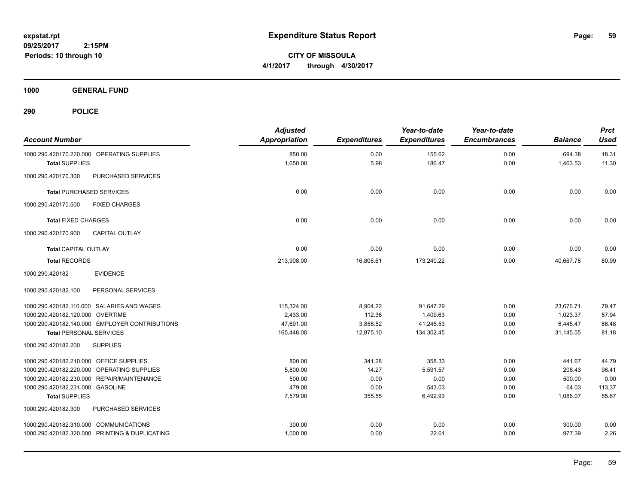**CITY OF MISSOULA 4/1/2017 through 4/30/2017**

**1000 GENERAL FUND**

| <b>Account Number</b>                          | <b>Adjusted</b><br><b>Appropriation</b> | <b>Expenditures</b> | Year-to-date<br><b>Expenditures</b> | Year-to-date<br><b>Encumbrances</b> | <b>Balance</b> | <b>Prct</b><br><b>Used</b> |
|------------------------------------------------|-----------------------------------------|---------------------|-------------------------------------|-------------------------------------|----------------|----------------------------|
| 1000.290.420170.220.000 OPERATING SUPPLIES     | 850.00                                  | 0.00                | 155.62                              | 0.00                                | 694.38         | 18.31                      |
| <b>Total SUPPLIES</b>                          | 1,650.00                                | 5.98                | 186.47                              | 0.00                                | 1,463.53       | 11.30                      |
| PURCHASED SERVICES<br>1000.290.420170.300      |                                         |                     |                                     |                                     |                |                            |
| <b>Total PURCHASED SERVICES</b>                | 0.00                                    | 0.00                | 0.00                                | 0.00                                | 0.00           | 0.00                       |
| 1000.290.420170.500<br><b>FIXED CHARGES</b>    |                                         |                     |                                     |                                     |                |                            |
| <b>Total FIXED CHARGES</b>                     | 0.00                                    | 0.00                | 0.00                                | 0.00                                | 0.00           | 0.00                       |
| <b>CAPITAL OUTLAY</b><br>1000.290.420170.900   |                                         |                     |                                     |                                     |                |                            |
| <b>Total CAPITAL OUTLAY</b>                    | 0.00                                    | 0.00                | 0.00                                | 0.00                                | 0.00           | 0.00                       |
| <b>Total RECORDS</b>                           | 213,908.00                              | 16,806.61           | 173,240.22                          | 0.00                                | 40,667.78      | 80.99                      |
| 1000.290.420182<br><b>EVIDENCE</b>             |                                         |                     |                                     |                                     |                |                            |
| 1000.290.420182.100<br>PERSONAL SERVICES       |                                         |                     |                                     |                                     |                |                            |
| 1000.290.420182.110.000 SALARIES AND WAGES     | 115,324.00                              | 8,904.22            | 91,647.29                           | 0.00                                | 23,676.71      | 79.47                      |
| 1000.290.420182.120.000 OVERTIME               | 2,433.00                                | 112.36              | 1.409.63                            | 0.00                                | 1,023.37       | 57.94                      |
| 1000.290.420182.140.000 EMPLOYER CONTRIBUTIONS | 47,691.00                               | 3,858.52            | 41,245.53                           | 0.00                                | 6,445.47       | 86.48                      |
| <b>Total PERSONAL SERVICES</b>                 | 165,448.00                              | 12,875.10           | 134,302.45                          | 0.00                                | 31,145.55      | 81.18                      |
| 1000.290.420182.200<br><b>SUPPLIES</b>         |                                         |                     |                                     |                                     |                |                            |
| 1000.290.420182.210.000 OFFICE SUPPLIES        | 800.00                                  | 341.28              | 358.33                              | 0.00                                | 441.67         | 44.79                      |
| 1000.290.420182.220.000 OPERATING SUPPLIES     | 5,800.00                                | 14.27               | 5.591.57                            | 0.00                                | 208.43         | 96.41                      |
| 1000.290.420182.230.000 REPAIR/MAINTENANCE     | 500.00                                  | 0.00                | 0.00                                | 0.00                                | 500.00         | 0.00                       |
| 1000.290.420182.231.000 GASOLINE               | 479.00                                  | 0.00                | 543.03                              | 0.00                                | $-64.03$       | 113.37                     |
| <b>Total SUPPLIES</b>                          | 7,579.00                                | 355.55              | 6,492.93                            | 0.00                                | 1,086.07       | 85.67                      |
| 1000.290.420182.300<br>PURCHASED SERVICES      |                                         |                     |                                     |                                     |                |                            |
| 1000.290.420182.310.000 COMMUNICATIONS         | 300.00                                  | 0.00                | 0.00                                | 0.00                                | 300.00         | 0.00                       |
| 1000.290.420182.320.000 PRINTING & DUPLICATING | 1,000.00                                | 0.00                | 22.61                               | 0.00                                | 977.39         | 2.26                       |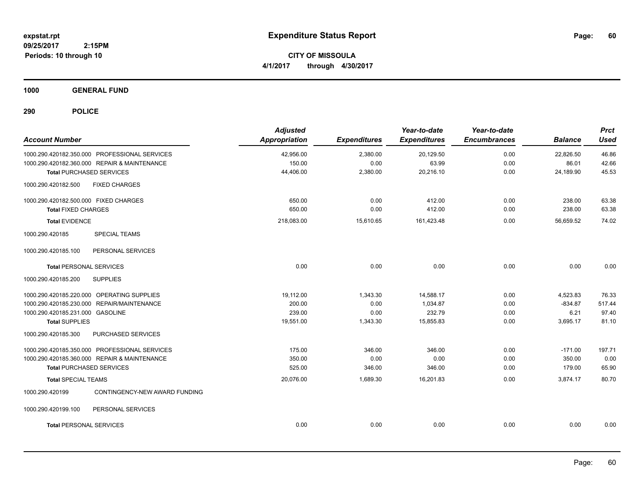**CITY OF MISSOULA 4/1/2017 through 4/30/2017**

**1000 GENERAL FUND**

| <b>Account Number</b>                            | <b>Adjusted</b><br>Appropriation | <b>Expenditures</b> | Year-to-date<br><b>Expenditures</b> | Year-to-date<br><b>Encumbrances</b> | <b>Balance</b> | <b>Prct</b><br><b>Used</b> |
|--------------------------------------------------|----------------------------------|---------------------|-------------------------------------|-------------------------------------|----------------|----------------------------|
| 1000.290.420182.350.000 PROFESSIONAL SERVICES    | 42,956.00                        | 2,380.00            | 20,129.50                           | 0.00                                | 22,826.50      | 46.86                      |
| 1000.290.420182.360.000 REPAIR & MAINTENANCE     | 150.00                           | 0.00                | 63.99                               | 0.00                                | 86.01          | 42.66                      |
| <b>Total PURCHASED SERVICES</b>                  | 44,406.00                        | 2,380.00            | 20,216.10                           | 0.00                                | 24,189.90      | 45.53                      |
| <b>FIXED CHARGES</b><br>1000.290.420182.500      |                                  |                     |                                     |                                     |                |                            |
| 1000.290.420182.500.000 FIXED CHARGES            | 650.00                           | 0.00                | 412.00                              | 0.00                                | 238.00         | 63.38                      |
| <b>Total FIXED CHARGES</b>                       | 650.00                           | 0.00                | 412.00                              | 0.00                                | 238.00         | 63.38                      |
| <b>Total EVIDENCE</b>                            | 218,083.00                       | 15,610.65           | 161,423.48                          | 0.00                                | 56,659.52      | 74.02                      |
| <b>SPECIAL TEAMS</b><br>1000.290.420185          |                                  |                     |                                     |                                     |                |                            |
| 1000.290.420185.100<br>PERSONAL SERVICES         |                                  |                     |                                     |                                     |                |                            |
| <b>Total PERSONAL SERVICES</b>                   | 0.00                             | 0.00                | 0.00                                | 0.00                                | 0.00           | 0.00                       |
| 1000.290.420185.200<br><b>SUPPLIES</b>           |                                  |                     |                                     |                                     |                |                            |
| 1000.290.420185.220.000 OPERATING SUPPLIES       | 19,112.00                        | 1,343.30            | 14,588.17                           | 0.00                                | 4,523.83       | 76.33                      |
| 1000.290.420185.230.000 REPAIR/MAINTENANCE       | 200.00                           | 0.00                | 1,034.87                            | 0.00                                | $-834.87$      | 517.44                     |
| 1000.290.420185.231.000 GASOLINE                 | 239.00                           | 0.00                | 232.79                              | 0.00                                | 6.21           | 97.40                      |
| <b>Total SUPPLIES</b>                            | 19,551.00                        | 1,343.30            | 15,855.83                           | 0.00                                | 3,695.17       | 81.10                      |
| PURCHASED SERVICES<br>1000.290.420185.300        |                                  |                     |                                     |                                     |                |                            |
| 1000.290.420185.350.000 PROFESSIONAL SERVICES    | 175.00                           | 346.00              | 346.00                              | 0.00                                | $-171.00$      | 197.71                     |
| 1000.290.420185.360.000 REPAIR & MAINTENANCE     | 350.00                           | 0.00                | 0.00                                | 0.00                                | 350.00         | 0.00                       |
| <b>Total PURCHASED SERVICES</b>                  | 525.00                           | 346.00              | 346.00                              | 0.00                                | 179.00         | 65.90                      |
| <b>Total SPECIAL TEAMS</b>                       | 20,076.00                        | 1,689.30            | 16,201.83                           | 0.00                                | 3,874.17       | 80.70                      |
| 1000.290.420199<br>CONTINGENCY-NEW AWARD FUNDING |                                  |                     |                                     |                                     |                |                            |
| 1000.290.420199.100<br>PERSONAL SERVICES         |                                  |                     |                                     |                                     |                |                            |
| <b>Total PERSONAL SERVICES</b>                   | 0.00                             | 0.00                | 0.00                                | 0.00                                | 0.00           | 0.00                       |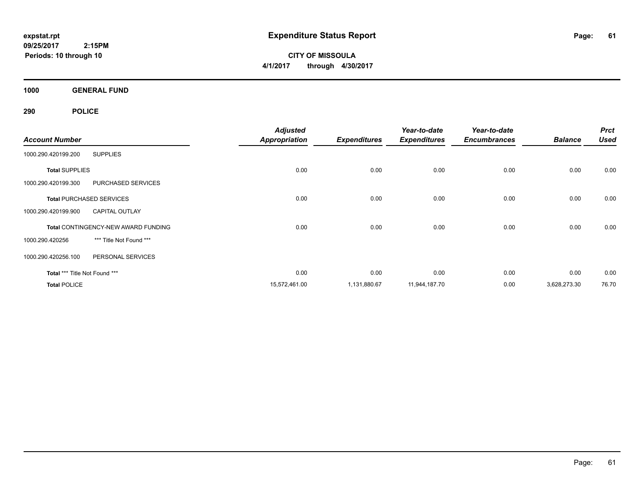**CITY OF MISSOULA 4/1/2017 through 4/30/2017**

**1000 GENERAL FUND**

|                               |                                            | <b>Adjusted</b>      |                     | Year-to-date        | Year-to-date        |                | <b>Prct</b> |
|-------------------------------|--------------------------------------------|----------------------|---------------------|---------------------|---------------------|----------------|-------------|
| <b>Account Number</b>         |                                            | <b>Appropriation</b> | <b>Expenditures</b> | <b>Expenditures</b> | <b>Encumbrances</b> | <b>Balance</b> | <b>Used</b> |
| 1000.290.420199.200           | <b>SUPPLIES</b>                            |                      |                     |                     |                     |                |             |
| <b>Total SUPPLIES</b>         |                                            | 0.00                 | 0.00                | 0.00                | 0.00                | 0.00           | 0.00        |
| 1000.290.420199.300           | <b>PURCHASED SERVICES</b>                  |                      |                     |                     |                     |                |             |
|                               | <b>Total PURCHASED SERVICES</b>            | 0.00                 | 0.00                | 0.00                | 0.00                | 0.00           | 0.00        |
| 1000.290.420199.900           | <b>CAPITAL OUTLAY</b>                      |                      |                     |                     |                     |                |             |
|                               | <b>Total CONTINGENCY-NEW AWARD FUNDING</b> | 0.00                 | 0.00                | 0.00                | 0.00                | 0.00           | 0.00        |
| 1000.290.420256               | *** Title Not Found ***                    |                      |                     |                     |                     |                |             |
| 1000.290.420256.100           | PERSONAL SERVICES                          |                      |                     |                     |                     |                |             |
| Total *** Title Not Found *** |                                            | 0.00                 | 0.00                | 0.00                | 0.00                | 0.00           | 0.00        |
| <b>Total POLICE</b>           |                                            | 15,572,461.00        | 1,131,880.67        | 11,944,187.70       | 0.00                | 3,628,273.30   | 76.70       |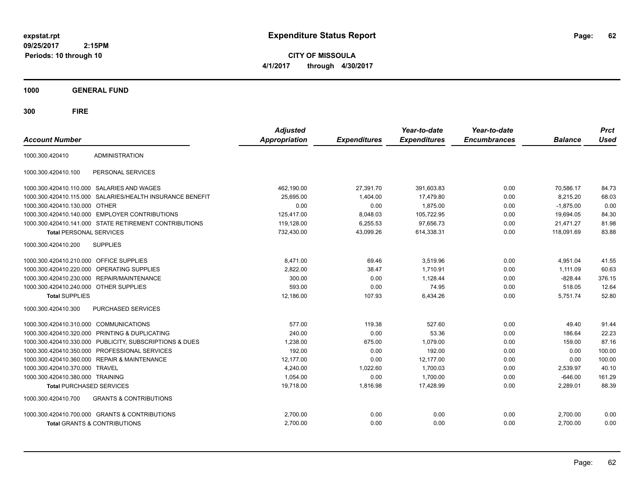**CITY OF MISSOULA 4/1/2017 through 4/30/2017**

**1000 GENERAL FUND**

| <b>Account Number</b>                   |                                                         | <b>Adjusted</b><br><b>Appropriation</b> | <b>Expenditures</b> | Year-to-date<br><b>Expenditures</b> | Year-to-date<br><b>Encumbrances</b> | <b>Balance</b> | <b>Prct</b><br><b>Used</b> |
|-----------------------------------------|---------------------------------------------------------|-----------------------------------------|---------------------|-------------------------------------|-------------------------------------|----------------|----------------------------|
| 1000.300.420410                         | <b>ADMINISTRATION</b>                                   |                                         |                     |                                     |                                     |                |                            |
| 1000.300.420410.100                     | PERSONAL SERVICES                                       |                                         |                     |                                     |                                     |                |                            |
|                                         | 1000.300.420410.110.000 SALARIES AND WAGES              | 462,190.00                              | 27,391.70           | 391,603.83                          | 0.00                                | 70,586.17      | 84.73                      |
| 1000.300.420410.115.000                 | SALARIES/HEALTH INSURANCE BENEFIT                       | 25,695.00                               | 1,404.00            | 17,479.80                           | 0.00                                | 8,215.20       | 68.03                      |
| 1000.300.420410.130.000 OTHER           |                                                         | 0.00                                    | 0.00                | 1,875.00                            | 0.00                                | $-1,875.00$    | 0.00                       |
|                                         | 1000.300.420410.140.000 EMPLOYER CONTRIBUTIONS          | 125,417.00                              | 8,048.03            | 105,722.95                          | 0.00                                | 19,694.05      | 84.30                      |
|                                         | 1000.300.420410.141.000 STATE RETIREMENT CONTRIBUTIONS  | 119,128.00                              | 6,255.53            | 97,656.73                           | 0.00                                | 21,471.27      | 81.98                      |
| <b>Total PERSONAL SERVICES</b>          |                                                         | 732,430.00                              | 43,099.26           | 614,338.31                          | 0.00                                | 118,091.69     | 83.88                      |
| 1000.300.420410.200                     | <b>SUPPLIES</b>                                         |                                         |                     |                                     |                                     |                |                            |
| 1000.300.420410.210.000 OFFICE SUPPLIES |                                                         | 8.471.00                                | 69.46               | 3.519.96                            | 0.00                                | 4.951.04       | 41.55                      |
|                                         | 1000.300.420410.220.000 OPERATING SUPPLIES              | 2.822.00                                | 38.47               | 1.710.91                            | 0.00                                | 1.111.09       | 60.63                      |
| 1000.300.420410.230.000                 | <b>REPAIR/MAINTENANCE</b>                               | 300.00                                  | 0.00                | 1.128.44                            | 0.00                                | $-828.44$      | 376.15                     |
| 1000.300.420410.240.000 OTHER SUPPLIES  |                                                         | 593.00                                  | 0.00                | 74.95                               | 0.00                                | 518.05         | 12.64                      |
| <b>Total SUPPLIES</b>                   |                                                         | 12,186.00                               | 107.93              | 6,434.26                            | 0.00                                | 5,751.74       | 52.80                      |
| 1000.300.420410.300                     | <b>PURCHASED SERVICES</b>                               |                                         |                     |                                     |                                     |                |                            |
| 1000.300.420410.310.000 COMMUNICATIONS  |                                                         | 577.00                                  | 119.38              | 527.60                              | 0.00                                | 49.40          | 91.44                      |
| 1000.300.420410.320.000                 | <b>PRINTING &amp; DUPLICATING</b>                       | 240.00                                  | 0.00                | 53.36                               | 0.00                                | 186.64         | 22.23                      |
|                                         | 1000.300.420410.330.000 PUBLICITY, SUBSCRIPTIONS & DUES | 1,238.00                                | 675.00              | 1,079.00                            | 0.00                                | 159.00         | 87.16                      |
|                                         | 1000.300.420410.350.000 PROFESSIONAL SERVICES           | 192.00                                  | 0.00                | 192.00                              | 0.00                                | 0.00           | 100.00                     |
| 1000.300.420410.360.000                 | <b>REPAIR &amp; MAINTENANCE</b>                         | 12,177.00                               | 0.00                | 12,177.00                           | 0.00                                | 0.00           | 100.00                     |
| 1000.300.420410.370.000                 | <b>TRAVEL</b>                                           | 4.240.00                                | 1,022.60            | 1.700.03                            | 0.00                                | 2.539.97       | 40.10                      |
| 1000.300.420410.380.000 TRAINING        |                                                         | 1,054.00                                | 0.00                | 1,700.00                            | 0.00                                | $-646.00$      | 161.29                     |
| <b>Total PURCHASED SERVICES</b>         |                                                         | 19,718.00                               | 1,816.98            | 17,428.99                           | 0.00                                | 2,289.01       | 88.39                      |
| 1000.300.420410.700                     | <b>GRANTS &amp; CONTRIBUTIONS</b>                       |                                         |                     |                                     |                                     |                |                            |
|                                         | 1000.300.420410.700.000 GRANTS & CONTRIBUTIONS          | 2,700.00                                | 0.00                | 0.00                                | 0.00                                | 2,700.00       | 0.00                       |
|                                         | <b>Total GRANTS &amp; CONTRIBUTIONS</b>                 | 2,700.00                                | 0.00                | 0.00                                | 0.00                                | 2,700.00       | 0.00                       |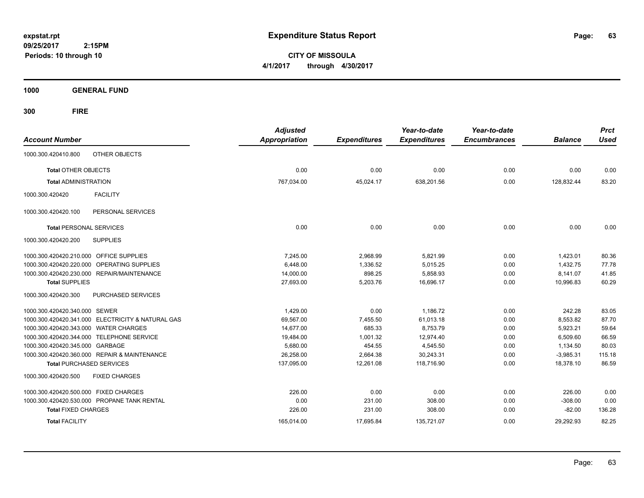**CITY OF MISSOULA 4/1/2017 through 4/30/2017**

**1000 GENERAL FUND**

| <b>Account Number</b>                   |                                                   | <b>Adjusted</b><br><b>Appropriation</b> | <b>Expenditures</b> | Year-to-date<br><b>Expenditures</b> | Year-to-date<br><b>Encumbrances</b> | <b>Balance</b> | <b>Prct</b><br><b>Used</b> |
|-----------------------------------------|---------------------------------------------------|-----------------------------------------|---------------------|-------------------------------------|-------------------------------------|----------------|----------------------------|
| 1000.300.420410.800                     | OTHER OBJECTS                                     |                                         |                     |                                     |                                     |                |                            |
| <b>Total OTHER OBJECTS</b>              |                                                   | 0.00                                    | 0.00                | 0.00                                | 0.00                                | 0.00           | 0.00                       |
| <b>Total ADMINISTRATION</b>             |                                                   | 767,034.00                              | 45,024.17           | 638,201.56                          | 0.00                                | 128,832.44     | 83.20                      |
| 1000.300.420420                         | <b>FACILITY</b>                                   |                                         |                     |                                     |                                     |                |                            |
| 1000.300.420420.100                     | PERSONAL SERVICES                                 |                                         |                     |                                     |                                     |                |                            |
| <b>Total PERSONAL SERVICES</b>          |                                                   | 0.00                                    | 0.00                | 0.00                                | 0.00                                | 0.00           | 0.00                       |
| 1000.300.420420.200                     | <b>SUPPLIES</b>                                   |                                         |                     |                                     |                                     |                |                            |
| 1000.300.420420.210.000 OFFICE SUPPLIES |                                                   | 7,245.00                                | 2,968.99            | 5,821.99                            | 0.00                                | 1,423.01       | 80.36                      |
| 1000.300.420420.220.000                 | <b>OPERATING SUPPLIES</b>                         | 6,448.00                                | 1,336.52            | 5,015.25                            | 0.00                                | 1,432.75       | 77.78                      |
|                                         | 1000.300.420420.230.000 REPAIR/MAINTENANCE        | 14,000.00                               | 898.25              | 5,858.93                            | 0.00                                | 8,141.07       | 41.85                      |
| <b>Total SUPPLIES</b>                   |                                                   | 27,693.00                               | 5,203.76            | 16,696.17                           | 0.00                                | 10,996.83      | 60.29                      |
| 1000.300.420420.300                     | PURCHASED SERVICES                                |                                         |                     |                                     |                                     |                |                            |
| 1000.300.420420.340.000 SEWER           |                                                   | 1,429.00                                | 0.00                | 1,186.72                            | 0.00                                | 242.28         | 83.05                      |
|                                         | 1000.300.420420.341.000 ELECTRICITY & NATURAL GAS | 69,567.00                               | 7,455.50            | 61,013.18                           | 0.00                                | 8,553.82       | 87.70                      |
| 1000.300.420420.343.000 WATER CHARGES   |                                                   | 14,677.00                               | 685.33              | 8,753.79                            | 0.00                                | 5,923.21       | 59.64                      |
|                                         | 1000.300.420420.344.000 TELEPHONE SERVICE         | 19,484.00                               | 1,001.32            | 12,974.40                           | 0.00                                | 6,509.60       | 66.59                      |
| 1000.300.420420.345.000 GARBAGE         |                                                   | 5,680.00                                | 454.55              | 4,545.50                            | 0.00                                | 1,134.50       | 80.03                      |
|                                         | 1000.300.420420.360.000 REPAIR & MAINTENANCE      | 26,258.00                               | 2,664.38            | 30,243.31                           | 0.00                                | $-3,985.31$    | 115.18                     |
|                                         | <b>Total PURCHASED SERVICES</b>                   | 137,095.00                              | 12,261.08           | 118,716.90                          | 0.00                                | 18,378.10      | 86.59                      |
| 1000.300.420420.500                     | <b>FIXED CHARGES</b>                              |                                         |                     |                                     |                                     |                |                            |
| 1000.300.420420.500.000 FIXED CHARGES   |                                                   | 226.00                                  | 0.00                | 0.00                                | 0.00                                | 226.00         | 0.00                       |
|                                         | 1000.300.420420.530.000 PROPANE TANK RENTAL       | 0.00                                    | 231.00              | 308.00                              | 0.00                                | $-308.00$      | 0.00                       |
| <b>Total FIXED CHARGES</b>              |                                                   | 226.00                                  | 231.00              | 308.00                              | 0.00                                | $-82.00$       | 136.28                     |
| <b>Total FACILITY</b>                   |                                                   | 165,014.00                              | 17,695.84           | 135,721.07                          | 0.00                                | 29,292.93      | 82.25                      |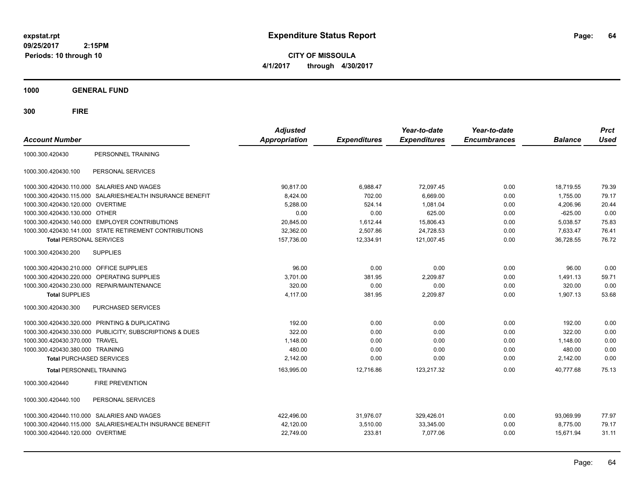**CITY OF MISSOULA 4/1/2017 through 4/30/2017**

**1000 GENERAL FUND**

| <b>Account Number</b>                   |                                                         | <b>Adjusted</b><br><b>Appropriation</b> | <b>Expenditures</b> | Year-to-date<br><b>Expenditures</b> | Year-to-date<br><b>Encumbrances</b> | <b>Balance</b> | <b>Prct</b><br><b>Used</b> |
|-----------------------------------------|---------------------------------------------------------|-----------------------------------------|---------------------|-------------------------------------|-------------------------------------|----------------|----------------------------|
| 1000.300.420430                         | PERSONNEL TRAINING                                      |                                         |                     |                                     |                                     |                |                            |
| 1000.300.420430.100                     | PERSONAL SERVICES                                       |                                         |                     |                                     |                                     |                |                            |
|                                         | 1000.300.420430.110.000 SALARIES AND WAGES              | 90.817.00                               | 6,988.47            | 72,097.45                           | 0.00                                | 18,719.55      | 79.39                      |
| 1000.300.420430.115.000                 | SALARIES/HEALTH INSURANCE BENEFIT                       | 8,424.00                                | 702.00              | 6,669.00                            | 0.00                                | 1,755.00       | 79.17                      |
| 1000.300.420430.120.000 OVERTIME        |                                                         | 5,288.00                                | 524.14              | 1,081.04                            | 0.00                                | 4,206.96       | 20.44                      |
| 1000.300.420430.130.000 OTHER           |                                                         | 0.00                                    | 0.00                | 625.00                              | 0.00                                | $-625.00$      | 0.00                       |
|                                         | 1000.300.420430.140.000 EMPLOYER CONTRIBUTIONS          | 20,845.00                               | 1,612.44            | 15,806.43                           | 0.00                                | 5,038.57       | 75.83                      |
|                                         | 1000.300.420430.141.000 STATE RETIREMENT CONTRIBUTIONS  | 32,362.00                               | 2,507.86            | 24,728.53                           | 0.00                                | 7,633.47       | 76.41                      |
| <b>Total PERSONAL SERVICES</b>          |                                                         | 157,736.00                              | 12,334.91           | 121,007.45                          | 0.00                                | 36,728.55      | 76.72                      |
| 1000.300.420430.200                     | <b>SUPPLIES</b>                                         |                                         |                     |                                     |                                     |                |                            |
| 1000.300.420430.210.000 OFFICE SUPPLIES |                                                         | 96.00                                   | 0.00                | 0.00                                | 0.00                                | 96.00          | 0.00                       |
| 1000.300.420430.220.000                 | OPERATING SUPPLIES                                      | 3,701.00                                | 381.95              | 2,209.87                            | 0.00                                | 1.491.13       | 59.71                      |
|                                         | 1000.300.420430.230.000 REPAIR/MAINTENANCE              | 320.00                                  | 0.00                | 0.00                                | 0.00                                | 320.00         | 0.00                       |
| <b>Total SUPPLIES</b>                   |                                                         | 4,117.00                                | 381.95              | 2,209.87                            | 0.00                                | 1,907.13       | 53.68                      |
| 1000.300.420430.300                     | PURCHASED SERVICES                                      |                                         |                     |                                     |                                     |                |                            |
|                                         | 1000.300.420430.320.000 PRINTING & DUPLICATING          | 192.00                                  | 0.00                | 0.00                                | 0.00                                | 192.00         | 0.00                       |
|                                         | 1000.300.420430.330.000 PUBLICITY, SUBSCRIPTIONS & DUES | 322.00                                  | 0.00                | 0.00                                | 0.00                                | 322.00         | 0.00                       |
| 1000.300.420430.370.000 TRAVEL          |                                                         | 1,148.00                                | 0.00                | 0.00                                | 0.00                                | 1.148.00       | 0.00                       |
| 1000.300.420430.380.000 TRAINING        |                                                         | 480.00                                  | 0.00                | 0.00                                | 0.00                                | 480.00         | 0.00                       |
| <b>Total PURCHASED SERVICES</b>         |                                                         | 2,142.00                                | 0.00                | 0.00                                | 0.00                                | 2,142.00       | 0.00                       |
| <b>Total PERSONNEL TRAINING</b>         |                                                         | 163,995.00                              | 12.716.86           | 123,217.32                          | 0.00                                | 40.777.68      | 75.13                      |
| 1000.300.420440                         | <b>FIRE PREVENTION</b>                                  |                                         |                     |                                     |                                     |                |                            |
| 1000.300.420440.100                     | PERSONAL SERVICES                                       |                                         |                     |                                     |                                     |                |                            |
|                                         | 1000.300.420440.110.000 SALARIES AND WAGES              | 422.496.00                              | 31,976.07           | 329.426.01                          | 0.00                                | 93.069.99      | 77.97                      |
| 1000.300.420440.115.000                 | SALARIES/HEALTH INSURANCE BENEFIT                       | 42,120.00                               | 3,510.00            | 33,345.00                           | 0.00                                | 8,775.00       | 79.17                      |
| 1000.300.420440.120.000 OVERTIME        |                                                         | 22,749.00                               | 233.81              | 7,077.06                            | 0.00                                | 15,671.94      | 31.11                      |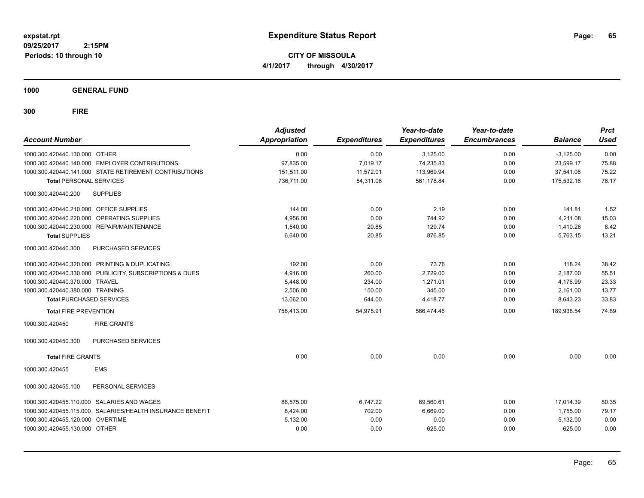**CITY OF MISSOULA 4/1/2017 through 4/30/2017**

**1000 GENERAL FUND**

| <b>Account Number</b>                   |                                                           | <b>Adjusted</b><br><b>Appropriation</b> | <b>Expenditures</b> | Year-to-date<br><b>Expenditures</b> | Year-to-date<br><b>Encumbrances</b> | <b>Balance</b> | <b>Prct</b><br><b>Used</b> |
|-----------------------------------------|-----------------------------------------------------------|-----------------------------------------|---------------------|-------------------------------------|-------------------------------------|----------------|----------------------------|
| 1000.300.420440.130.000 OTHER           |                                                           | 0.00                                    | 0.00                | 3,125.00                            | 0.00                                | $-3,125.00$    | 0.00                       |
|                                         | 1000.300.420440.140.000 EMPLOYER CONTRIBUTIONS            | 97,835.00                               | 7,019.17            | 74,235.83                           | 0.00                                | 23,599.17      | 75.88                      |
|                                         | 1000.300.420440.141.000 STATE RETIREMENT CONTRIBUTIONS    | 151,511.00                              | 11,572.01           | 113,969.94                          | 0.00                                | 37,541.06      | 75.22                      |
| <b>Total PERSONAL SERVICES</b>          |                                                           | 736.711.00                              | 54.311.06           | 561,178.84                          | 0.00                                | 175.532.16     | 76.17                      |
| 1000.300.420440.200                     | <b>SUPPLIES</b>                                           |                                         |                     |                                     |                                     |                |                            |
| 1000.300.420440.210.000 OFFICE SUPPLIES |                                                           | 144.00                                  | 0.00                | 2.19                                | 0.00                                | 141.81         | 1.52                       |
|                                         | 1000.300.420440.220.000 OPERATING SUPPLIES                | 4,956.00                                | 0.00                | 744.92                              | 0.00                                | 4,211.08       | 15.03                      |
|                                         | 1000.300.420440.230.000 REPAIR/MAINTENANCE                | 1,540.00                                | 20.85               | 129.74                              | 0.00                                | 1,410.26       | 8.42                       |
| <b>Total SUPPLIES</b>                   |                                                           | 6,640.00                                | 20.85               | 876.85                              | 0.00                                | 5,763.15       | 13.21                      |
| 1000.300.420440.300                     | PURCHASED SERVICES                                        |                                         |                     |                                     |                                     |                |                            |
|                                         | 1000.300.420440.320.000 PRINTING & DUPLICATING            | 192.00                                  | 0.00                | 73.76                               | 0.00                                | 118.24         | 38.42                      |
|                                         | 1000.300.420440.330.000 PUBLICITY, SUBSCRIPTIONS & DUES   | 4,916.00                                | 260.00              | 2,729.00                            | 0.00                                | 2,187.00       | 55.51                      |
| 1000.300.420440.370.000 TRAVEL          |                                                           | 5,448.00                                | 234.00              | 1.271.01                            | 0.00                                | 4,176.99       | 23.33                      |
| 1000.300.420440.380.000 TRAINING        |                                                           | 2,506.00                                | 150.00              | 345.00                              | 0.00                                | 2,161.00       | 13.77                      |
| <b>Total PURCHASED SERVICES</b>         |                                                           | 13,062.00                               | 644.00              | 4,418.77                            | 0.00                                | 8,643.23       | 33.83                      |
| <b>Total FIRE PREVENTION</b>            |                                                           | 756,413.00                              | 54,975.91           | 566,474.46                          | 0.00                                | 189,938.54     | 74.89                      |
| 1000.300.420450                         | <b>FIRE GRANTS</b>                                        |                                         |                     |                                     |                                     |                |                            |
| 1000.300.420450.300                     | <b>PURCHASED SERVICES</b>                                 |                                         |                     |                                     |                                     |                |                            |
| <b>Total FIRE GRANTS</b>                |                                                           | 0.00                                    | 0.00                | 0.00                                | 0.00                                | 0.00           | 0.00                       |
| 1000.300.420455                         | <b>EMS</b>                                                |                                         |                     |                                     |                                     |                |                            |
| 1000.300.420455.100                     | PERSONAL SERVICES                                         |                                         |                     |                                     |                                     |                |                            |
| 1000.300.420455.110.000                 | SALARIES AND WAGES                                        | 86,575.00                               | 6,747.22            | 69,560.61                           | 0.00                                | 17,014.39      | 80.35                      |
|                                         | 1000.300.420455.115.000 SALARIES/HEALTH INSURANCE BENEFIT | 8,424.00                                | 702.00              | 6,669.00                            | 0.00                                | 1,755.00       | 79.17                      |
| 1000.300.420455.120.000 OVERTIME        |                                                           | 5,132.00                                | 0.00                | 0.00                                | 0.00                                | 5,132.00       | 0.00                       |
| 1000.300.420455.130.000 OTHER           |                                                           | 0.00                                    | 0.00                | 625.00                              | 0.00                                | $-625.00$      | 0.00                       |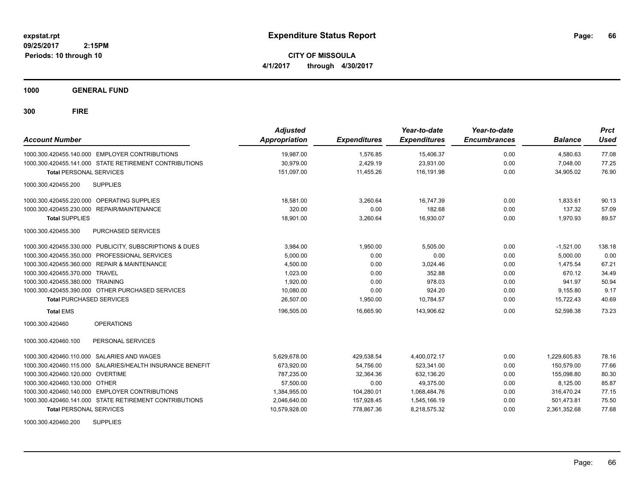**CITY OF MISSOULA 4/1/2017 through 4/30/2017**

**1000 GENERAL FUND**

**300 FIRE**

| <b>Account Number</b>                                      | <b>Adjusted</b><br><b>Appropriation</b> | <b>Expenditures</b> | Year-to-date<br><b>Expenditures</b> | Year-to-date<br><b>Encumbrances</b> | <b>Balance</b> | <b>Prct</b><br>Used |
|------------------------------------------------------------|-----------------------------------------|---------------------|-------------------------------------|-------------------------------------|----------------|---------------------|
| 1000.300.420455.140.000 EMPLOYER CONTRIBUTIONS             | 19,987.00                               | 1,576.85            | 15,406.37                           | 0.00                                | 4,580.63       | 77.08               |
| 1000.300.420455.141.000 STATE RETIREMENT CONTRIBUTIONS     | 30,979.00                               | 2,429.19            | 23,931.00                           | 0.00                                | 7.048.00       | 77.25               |
| <b>Total PERSONAL SERVICES</b>                             | 151,097.00                              | 11,455.26           | 116,191.98                          | 0.00                                | 34,905.02      | 76.90               |
| 1000.300.420455.200<br><b>SUPPLIES</b>                     |                                         |                     |                                     |                                     |                |                     |
| 1000.300.420455.220.000 OPERATING SUPPLIES                 | 18,581.00                               | 3.260.64            | 16.747.39                           | 0.00                                | 1.833.61       | 90.13               |
| REPAIR/MAINTENANCE<br>1000.300.420455.230.000              | 320.00                                  | 0.00                | 182.68                              | 0.00                                | 137.32         | 57.09               |
| <b>Total SUPPLIES</b>                                      | 18,901.00                               | 3,260.64            | 16,930.07                           | 0.00                                | 1,970.93       | 89.57               |
| 1000.300.420455.300<br>PURCHASED SERVICES                  |                                         |                     |                                     |                                     |                |                     |
| 1000.300.420455.330.000 PUBLICITY, SUBSCRIPTIONS & DUES    | 3,984.00                                | 1,950.00            | 5.505.00                            | 0.00                                | $-1,521.00$    | 138.18              |
| PROFESSIONAL SERVICES<br>1000.300.420455.350.000           | 5,000.00                                | 0.00                | 0.00                                | 0.00                                | 5,000.00       | 0.00                |
| <b>REPAIR &amp; MAINTENANCE</b><br>1000.300.420455.360.000 | 4,500.00                                | 0.00                | 3,024.46                            | 0.00                                | 1,475.54       | 67.21               |
| 1000.300.420455.370.000<br><b>TRAVEL</b>                   | 1,023.00                                | 0.00                | 352.88                              | 0.00                                | 670.12         | 34.49               |
| 1000.300.420455.380.000 TRAINING                           | 1,920.00                                | 0.00                | 978.03                              | 0.00                                | 941.97         | 50.94               |
| 1000.300.420455.390.000 OTHER PURCHASED SERVICES           | 10,080.00                               | 0.00                | 924.20                              | 0.00                                | 9,155.80       | 9.17                |
| <b>Total PURCHASED SERVICES</b>                            | 26.507.00                               | 1,950.00            | 10,784.57                           | 0.00                                | 15,722.43      | 40.69               |
| <b>Total EMS</b>                                           | 196,505.00                              | 16,665.90           | 143,906.62                          | 0.00                                | 52.598.38      | 73.23               |
| <b>OPERATIONS</b><br>1000.300.420460                       |                                         |                     |                                     |                                     |                |                     |
| 1000.300.420460.100<br>PERSONAL SERVICES                   |                                         |                     |                                     |                                     |                |                     |
| 1000.300.420460.110.000 SALARIES AND WAGES                 | 5,629,678.00                            | 429,538.54          | 4,400,072.17                        | 0.00                                | 1,229,605.83   | 78.16               |
| 1000.300.420460.115.000 SALARIES/HEALTH INSURANCE BENEFIT  | 673,920.00                              | 54,756.00           | 523,341.00                          | 0.00                                | 150.579.00     | 77.66               |
| 1000.300.420460.120.000 OVERTIME                           | 787.235.00                              | 32.364.36           | 632,136.20                          | 0.00                                | 155.098.80     | 80.30               |
| 1000.300.420460.130.000 OTHER                              | 57,500.00                               | 0.00                | 49.375.00                           | 0.00                                | 8,125.00       | 85.87               |
| 1000.300.420460.140.000 EMPLOYER CONTRIBUTIONS             | 1,384,955.00                            | 104,280.01          | 1,068,484.76                        | 0.00                                | 316.470.24     | 77.15               |
| 1000.300.420460.141.000 STATE RETIREMENT CONTRIBUTIONS     | 2,046,640.00                            | 157,928.45          | 1,545,166.19                        | 0.00                                | 501,473.81     | 75.50               |
| <b>Total PERSONAL SERVICES</b>                             | 10,579,928.00                           | 778,867.36          | 8,218,575.32                        | 0.00                                | 2,361,352.68   | 77.68               |

1000.300.420460.200 SUPPLIES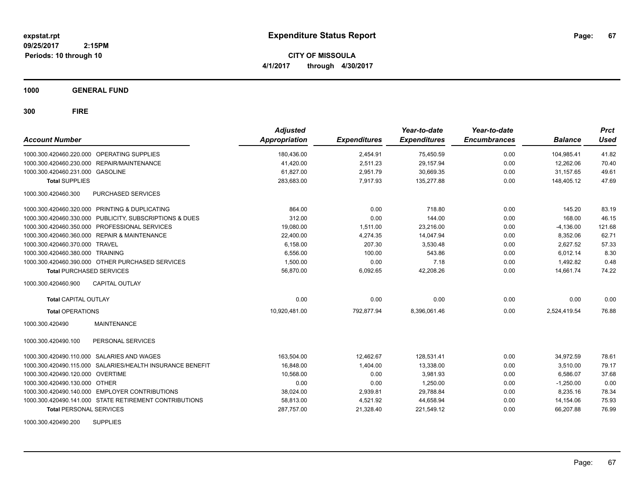**CITY OF MISSOULA 4/1/2017 through 4/30/2017**

**1000 GENERAL FUND**

| <b>Account Number</b>                                        | <b>Adjusted</b><br><b>Appropriation</b> | <b>Expenditures</b> | Year-to-date<br><b>Expenditures</b> | Year-to-date<br><b>Encumbrances</b> | <b>Balance</b> | <b>Prct</b><br>Used |
|--------------------------------------------------------------|-----------------------------------------|---------------------|-------------------------------------|-------------------------------------|----------------|---------------------|
| 1000.300.420460.220.000 OPERATING SUPPLIES                   | 180,436.00                              | 2,454.91            | 75,450.59                           | 0.00                                | 104,985.41     | 41.82               |
| REPAIR/MAINTENANCE<br>1000.300.420460.230.000                | 41,420.00                               | 2,511.23            | 29,157.94                           | 0.00                                | 12,262.06      | 70.40               |
| 1000.300.420460.231.000 GASOLINE                             | 61,827.00                               | 2,951.79            | 30,669.35                           | 0.00                                | 31,157.65      | 49.61               |
| <b>Total SUPPLIES</b>                                        | 283,683.00                              | 7,917.93            | 135,277.88                          | 0.00                                | 148,405.12     | 47.69               |
| 1000.300.420460.300<br>PURCHASED SERVICES                    |                                         |                     |                                     |                                     |                |                     |
| 1000.300.420460.320.000 PRINTING & DUPLICATING               | 864.00                                  | 0.00                | 718.80                              | 0.00                                | 145.20         | 83.19               |
| 1000.300.420460.330.000 PUBLICITY, SUBSCRIPTIONS & DUES      | 312.00                                  | 0.00                | 144.00                              | 0.00                                | 168.00         | 46.15               |
| 1000.300.420460.350.000 PROFESSIONAL SERVICES                | 19,080.00                               | 1,511.00            | 23,216.00                           | 0.00                                | $-4,136.00$    | 121.68              |
| 1000.300.420460.360.000 REPAIR & MAINTENANCE                 | 22,400.00                               | 4,274.35            | 14,047.94                           | 0.00                                | 8,352.06       | 62.71               |
| 1000.300.420460.370.000 TRAVEL                               | 6,158.00                                | 207.30              | 3,530.48                            | 0.00                                | 2,627.52       | 57.33               |
| 1000.300.420460.380.000 TRAINING                             | 6,556.00                                | 100.00              | 543.86                              | 0.00                                | 6,012.14       | 8.30                |
| 1000.300.420460.390.000 OTHER PURCHASED SERVICES             | 1,500.00                                | 0.00                | 7.18                                | 0.00                                | 1,492.82       | 0.48                |
| <b>Total PURCHASED SERVICES</b>                              | 56,870.00                               | 6,092.65            | 42,208.26                           | 0.00                                | 14,661.74      | 74.22               |
| <b>CAPITAL OUTLAY</b><br>1000.300.420460.900                 |                                         |                     |                                     |                                     |                |                     |
| <b>Total CAPITAL OUTLAY</b>                                  | 0.00                                    | 0.00                | 0.00                                | 0.00                                | 0.00           | 0.00                |
| <b>Total OPERATIONS</b>                                      | 10,920,481.00                           | 792,877.94          | 8,396,061.46                        | 0.00                                | 2,524,419.54   | 76.88               |
| 1000.300.420490<br><b>MAINTENANCE</b>                        |                                         |                     |                                     |                                     |                |                     |
| PERSONAL SERVICES<br>1000.300.420490.100                     |                                         |                     |                                     |                                     |                |                     |
| 1000.300.420490.110.000 SALARIES AND WAGES                   | 163,504.00                              | 12.462.67           | 128.531.41                          | 0.00                                | 34,972.59      | 78.61               |
| SALARIES/HEALTH INSURANCE BENEFIT<br>1000.300.420490.115.000 | 16,848.00                               | 1,404.00            | 13,338.00                           | 0.00                                | 3,510.00       | 79.17               |
| 1000.300.420490.120.000 OVERTIME                             | 10,568.00                               | 0.00                | 3,981.93                            | 0.00                                | 6,586.07       | 37.68               |
| 1000.300.420490.130.000 OTHER                                | 0.00                                    | 0.00                | 1,250.00                            | 0.00                                | $-1,250.00$    | 0.00                |
| 1000.300.420490.140.000 EMPLOYER CONTRIBUTIONS               | 38,024.00                               | 2,939.81            | 29,788.84                           | 0.00                                | 8,235.16       | 78.34               |
| 1000.300.420490.141.000 STATE RETIREMENT CONTRIBUTIONS       | 58,813.00                               | 4,521.92            | 44,658.94                           | 0.00                                | 14,154.06      | 75.93               |
| <b>Total PERSONAL SERVICES</b>                               | 287,757.00                              | 21,328.40           | 221,549.12                          | 0.00                                | 66.207.88      | 76.99               |
|                                                              |                                         |                     |                                     |                                     |                |                     |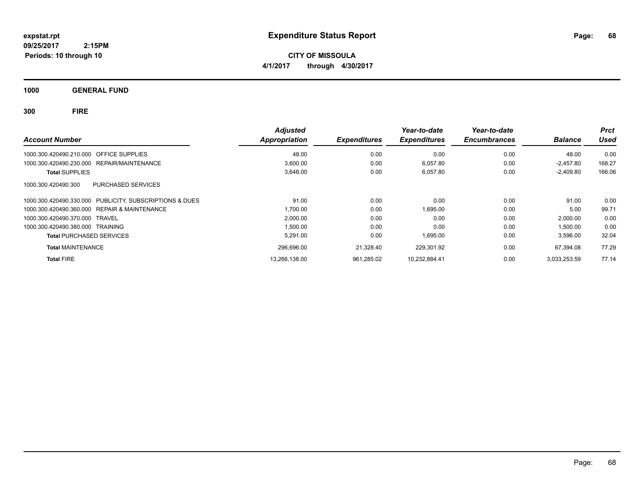**CITY OF MISSOULA 4/1/2017 through 4/30/2017**

**1000 GENERAL FUND**

|                                                            | <b>Adjusted</b>      |                     | Year-to-date        | Year-to-date        |                | <b>Prct</b> |
|------------------------------------------------------------|----------------------|---------------------|---------------------|---------------------|----------------|-------------|
| <b>Account Number</b>                                      | <b>Appropriation</b> | <b>Expenditures</b> | <b>Expenditures</b> | <b>Encumbrances</b> | <b>Balance</b> | Used        |
| 1000.300.420490.210.000 OFFICE SUPPLIES                    | 48.00                | 0.00                | 0.00                | 0.00                | 48.00          | 0.00        |
| REPAIR/MAINTENANCE<br>1000.300.420490.230.000              | 3.600.00             | 0.00                | 6.057.80            | 0.00                | $-2.457.80$    | 168.27      |
| <b>Total SUPPLIES</b>                                      | 3,648.00             | 0.00                | 6,057.80            | 0.00                | $-2,409.80$    | 166.06      |
| PURCHASED SERVICES<br>1000.300.420490.300                  |                      |                     |                     |                     |                |             |
| PUBLICITY, SUBSCRIPTIONS & DUES<br>1000.300.420490.330.000 | 91.00                | 0.00                | 0.00                | 0.00                | 91.00          | 0.00        |
| <b>REPAIR &amp; MAINTENANCE</b><br>1000.300.420490.360.000 | 1,700.00             | 0.00                | 1,695.00            | 0.00                | 5.00           | 99.71       |
| 1000.300.420490.370.000 TRAVEL                             | 2,000.00             | 0.00                | 0.00                | 0.00                | 2,000.00       | 0.00        |
| 1000.300.420490.380.000 TRAINING                           | 1.500.00             | 0.00                | 0.00                | 0.00                | 1.500.00       | 0.00        |
| <b>Total PURCHASED SERVICES</b>                            | 5,291.00             | 0.00                | 1,695.00            | 0.00                | 3,596.00       | 32.04       |
| <b>Total MAINTENANCE</b>                                   | 296,696.00           | 21,328.40           | 229.301.92          | 0.00                | 67,394.08      | 77.29       |
| <b>Total FIRE</b>                                          | 13.266.138.00        | 961.285.02          | 10.232.884.41       | 0.00                | 3.033.253.59   | 77.14       |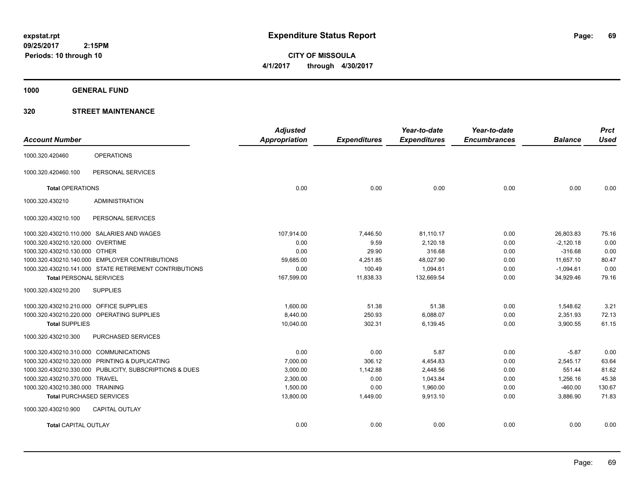**CITY OF MISSOULA 4/1/2017 through 4/30/2017**

**1000 GENERAL FUND**

### **320 STREET MAINTENANCE**

| <b>Account Number</b>                   |                                                         | <b>Adjusted</b><br>Appropriation | <b>Expenditures</b> | Year-to-date<br><b>Expenditures</b> | Year-to-date<br><b>Encumbrances</b> | <b>Balance</b> | <b>Prct</b><br><b>Used</b> |
|-----------------------------------------|---------------------------------------------------------|----------------------------------|---------------------|-------------------------------------|-------------------------------------|----------------|----------------------------|
| 1000.320.420460                         | <b>OPERATIONS</b>                                       |                                  |                     |                                     |                                     |                |                            |
| 1000.320.420460.100                     | PERSONAL SERVICES                                       |                                  |                     |                                     |                                     |                |                            |
| <b>Total OPERATIONS</b>                 |                                                         | 0.00                             | 0.00                | 0.00                                | 0.00                                | 0.00           | 0.00                       |
| 1000.320.430210                         | <b>ADMINISTRATION</b>                                   |                                  |                     |                                     |                                     |                |                            |
| 1000.320.430210.100                     | PERSONAL SERVICES                                       |                                  |                     |                                     |                                     |                |                            |
|                                         | 1000.320.430210.110.000 SALARIES AND WAGES              | 107,914.00                       | 7,446.50            | 81,110.17                           | 0.00                                | 26,803.83      | 75.16                      |
| 1000.320.430210.120.000 OVERTIME        |                                                         | 0.00                             | 9.59                | 2,120.18                            | 0.00                                | $-2,120.18$    | 0.00                       |
| 1000.320.430210.130.000 OTHER           |                                                         | 0.00                             | 29.90               | 316.68                              | 0.00                                | $-316.68$      | 0.00                       |
|                                         | 1000.320.430210.140.000 EMPLOYER CONTRIBUTIONS          | 59,685.00                        | 4,251.85            | 48,027.90                           | 0.00                                | 11,657.10      | 80.47                      |
|                                         | 1000.320.430210.141.000 STATE RETIREMENT CONTRIBUTIONS  | 0.00                             | 100.49              | 1,094.61                            | 0.00                                | $-1,094.61$    | 0.00                       |
| <b>Total PERSONAL SERVICES</b>          |                                                         | 167,599.00                       | 11,838.33           | 132,669.54                          | 0.00                                | 34,929.46      | 79.16                      |
| 1000.320.430210.200                     | <b>SUPPLIES</b>                                         |                                  |                     |                                     |                                     |                |                            |
| 1000.320.430210.210.000 OFFICE SUPPLIES |                                                         | 1,600.00                         | 51.38               | 51.38                               | 0.00                                | 1,548.62       | 3.21                       |
|                                         | 1000.320.430210.220.000 OPERATING SUPPLIES              | 8,440.00                         | 250.93              | 6,088.07                            | 0.00                                | 2,351.93       | 72.13                      |
| <b>Total SUPPLIES</b>                   |                                                         | 10,040.00                        | 302.31              | 6,139.45                            | 0.00                                | 3,900.55       | 61.15                      |
| 1000.320.430210.300                     | <b>PURCHASED SERVICES</b>                               |                                  |                     |                                     |                                     |                |                            |
| 1000.320.430210.310.000 COMMUNICATIONS  |                                                         | 0.00                             | 0.00                | 5.87                                | 0.00                                | $-5.87$        | 0.00                       |
|                                         | 1000.320.430210.320.000 PRINTING & DUPLICATING          | 7,000.00                         | 306.12              | 4,454.83                            | 0.00                                | 2,545.17       | 63.64                      |
|                                         | 1000.320.430210.330.000 PUBLICITY, SUBSCRIPTIONS & DUES | 3,000.00                         | 1,142.88            | 2,448.56                            | 0.00                                | 551.44         | 81.62                      |
| 1000.320.430210.370.000 TRAVEL          |                                                         | 2,300.00                         | 0.00                | 1,043.84                            | 0.00                                | 1,256.16       | 45.38                      |
| 1000.320.430210.380.000 TRAINING        |                                                         | 1.500.00                         | 0.00                | 1,960.00                            | 0.00                                | $-460.00$      | 130.67                     |
| <b>Total PURCHASED SERVICES</b>         |                                                         | 13,800.00                        | 1,449.00            | 9,913.10                            | 0.00                                | 3,886.90       | 71.83                      |
| 1000.320.430210.900                     | <b>CAPITAL OUTLAY</b>                                   |                                  |                     |                                     |                                     |                |                            |
| <b>Total CAPITAL OUTLAY</b>             |                                                         | 0.00                             | 0.00                | 0.00                                | 0.00                                | 0.00           | 0.00                       |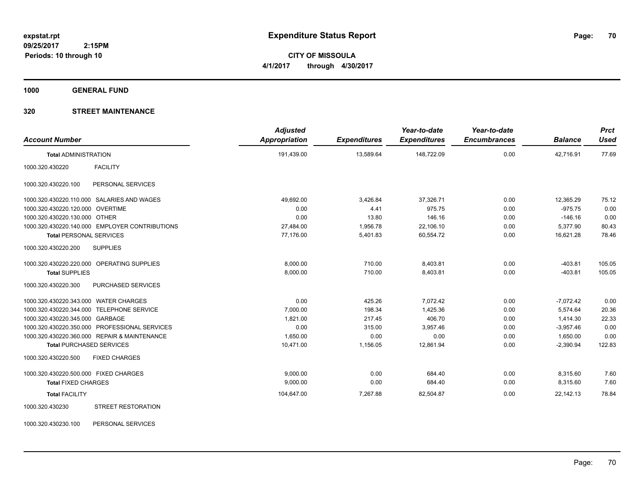**CITY OF MISSOULA 4/1/2017 through 4/30/2017**

**1000 GENERAL FUND**

### **320 STREET MAINTENANCE**

| <b>Account Number</b>                            | <b>Adjusted</b><br>Appropriation | <b>Expenditures</b> | Year-to-date<br><b>Expenditures</b> | Year-to-date<br><b>Encumbrances</b> | <b>Balance</b> | <b>Prct</b><br><b>Used</b> |
|--------------------------------------------------|----------------------------------|---------------------|-------------------------------------|-------------------------------------|----------------|----------------------------|
| <b>Total ADMINISTRATION</b>                      | 191,439.00                       | 13,589.64           | 148,722.09                          | 0.00                                | 42,716.91      | 77.69                      |
| 1000.320.430220<br><b>FACILITY</b>               |                                  |                     |                                     |                                     |                |                            |
| 1000.320.430220.100<br>PERSONAL SERVICES         |                                  |                     |                                     |                                     |                |                            |
| 1000.320.430220.110.000 SALARIES AND WAGES       | 49,692.00                        | 3,426.84            | 37,326.71                           | 0.00                                | 12,365.29      | 75.12                      |
| 1000.320.430220.120.000 OVERTIME                 | 0.00                             | 4.41                | 975.75                              | 0.00                                | $-975.75$      | 0.00                       |
| 1000.320.430220.130.000 OTHER                    | 0.00                             | 13.80               | 146.16                              | 0.00                                | $-146.16$      | 0.00                       |
| 1000.320.430220.140.000 EMPLOYER CONTRIBUTIONS   | 27,484.00                        | 1,956.78            | 22,106.10                           | 0.00                                | 5,377.90       | 80.43                      |
| <b>Total PERSONAL SERVICES</b>                   | 77,176.00                        | 5,401.83            | 60,554.72                           | 0.00                                | 16.621.28      | 78.46                      |
| 1000.320.430220.200<br><b>SUPPLIES</b>           |                                  |                     |                                     |                                     |                |                            |
| 1000.320.430220.220.000 OPERATING SUPPLIES       | 8,000.00                         | 710.00              | 8,403.81                            | 0.00                                | $-403.81$      | 105.05                     |
| <b>Total SUPPLIES</b>                            | 8,000.00                         | 710.00              | 8,403.81                            | 0.00                                | $-403.81$      | 105.05                     |
| 1000.320.430220.300<br><b>PURCHASED SERVICES</b> |                                  |                     |                                     |                                     |                |                            |
| 1000.320.430220.343.000 WATER CHARGES            | 0.00                             | 425.26              | 7.072.42                            | 0.00                                | $-7,072.42$    | 0.00                       |
| 1000.320.430220.344.000 TELEPHONE SERVICE        | 7,000.00                         | 198.34              | 1,425.36                            | 0.00                                | 5,574.64       | 20.36                      |
| 1000.320.430220.345.000 GARBAGE                  | 1,821.00                         | 217.45              | 406.70                              | 0.00                                | 1,414.30       | 22.33                      |
| 1000.320.430220.350.000 PROFESSIONAL SERVICES    | 0.00                             | 315.00              | 3,957.46                            | 0.00                                | $-3,957.46$    | 0.00                       |
| 1000.320.430220.360.000 REPAIR & MAINTENANCE     | 1.650.00                         | 0.00                | 0.00                                | 0.00                                | 1,650.00       | 0.00                       |
| <b>Total PURCHASED SERVICES</b>                  | 10,471.00                        | 1,156.05            | 12,861.94                           | 0.00                                | $-2,390.94$    | 122.83                     |
| <b>FIXED CHARGES</b><br>1000.320.430220.500      |                                  |                     |                                     |                                     |                |                            |
| 1000.320.430220.500.000 FIXED CHARGES            | 9,000.00                         | 0.00                | 684.40                              | 0.00                                | 8,315.60       | 7.60                       |
| <b>Total FIXED CHARGES</b>                       | 9,000.00                         | 0.00                | 684.40                              | 0.00                                | 8,315.60       | 7.60                       |
| <b>Total FACILITY</b>                            | 104,647.00                       | 7,267.88            | 82,504.87                           | 0.00                                | 22,142.13      | 78.84                      |
| 1000.320.430230<br><b>STREET RESTORATION</b>     |                                  |                     |                                     |                                     |                |                            |

1000.320.430230.100 PERSONAL SERVICES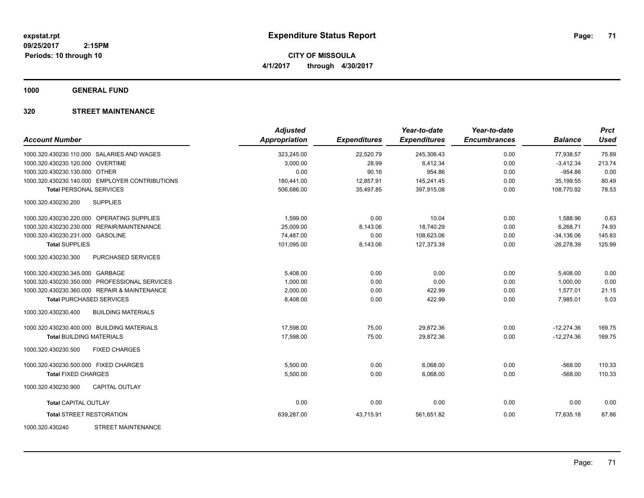**CITY OF MISSOULA 4/1/2017 through 4/30/2017**

**1000 GENERAL FUND**

### **320 STREET MAINTENANCE**

| <b>Account Number</b>                            | <b>Adjusted</b><br><b>Appropriation</b> | <b>Expenditures</b> | Year-to-date<br><b>Expenditures</b> | Year-to-date<br><b>Encumbrances</b> | <b>Balance</b> | <b>Prct</b><br><b>Used</b> |
|--------------------------------------------------|-----------------------------------------|---------------------|-------------------------------------|-------------------------------------|----------------|----------------------------|
| 1000.320.430230.110.000 SALARIES AND WAGES       | 323,245.00                              | 22,520.79           | 245,306.43                          | 0.00                                | 77,938.57      | 75.89                      |
| 1000.320.430230.120.000 OVERTIME                 | 3,000.00                                | 28.99               | 6,412.34                            | 0.00                                | $-3,412.34$    | 213.74                     |
| 1000.320.430230.130.000 OTHER                    | 0.00                                    | 90.16               | 954.86                              | 0.00                                | $-954.86$      | 0.00                       |
| 1000.320.430230.140.000 EMPLOYER CONTRIBUTIONS   | 180,441.00                              | 12,857.91           | 145,241.45                          | 0.00                                | 35,199.55      | 80.49                      |
| <b>Total PERSONAL SERVICES</b>                   | 506,686.00                              | 35,497.85           | 397,915.08                          | 0.00                                | 108.770.92     | 78.53                      |
| 1000.320.430230.200<br><b>SUPPLIES</b>           |                                         |                     |                                     |                                     |                |                            |
| 1000.320.430230.220.000 OPERATING SUPPLIES       | 1,599.00                                | 0.00                | 10.04                               | 0.00                                | 1,588.96       | 0.63                       |
| 1000.320.430230.230.000 REPAIR/MAINTENANCE       | 25,009.00                               | 8,143.06            | 18,740.29                           | 0.00                                | 6,268.71       | 74.93                      |
| 1000.320.430230.231.000 GASOLINE                 | 74,487.00                               | 0.00                | 108,623.06                          | 0.00                                | $-34,136.06$   | 145.83                     |
| <b>Total SUPPLIES</b>                            | 101,095.00                              | 8,143.06            | 127,373.39                          | 0.00                                | $-26,278.39$   | 125.99                     |
| 1000.320.430230.300<br>PURCHASED SERVICES        |                                         |                     |                                     |                                     |                |                            |
| 1000.320.430230.345.000 GARBAGE                  | 5,408.00                                | 0.00                | 0.00                                | 0.00                                | 5,408.00       | 0.00                       |
| 1000.320.430230.350.000 PROFESSIONAL SERVICES    | 1,000.00                                | 0.00                | 0.00                                | 0.00                                | 1,000.00       | 0.00                       |
| 1000.320.430230.360.000 REPAIR & MAINTENANCE     | 2,000.00                                | 0.00                | 422.99                              | 0.00                                | 1,577.01       | 21.15                      |
| <b>Total PURCHASED SERVICES</b>                  | 8,408.00                                | 0.00                | 422.99                              | 0.00                                | 7,985.01       | 5.03                       |
| 1000.320.430230.400<br><b>BUILDING MATERIALS</b> |                                         |                     |                                     |                                     |                |                            |
| 1000.320.430230.400.000 BUILDING MATERIALS       | 17,598.00                               | 75.00               | 29,872.36                           | 0.00                                | $-12,274.36$   | 169.75                     |
| <b>Total BUILDING MATERIALS</b>                  | 17,598.00                               | 75.00               | 29,872.36                           | 0.00                                | $-12,274.36$   | 169.75                     |
| 1000.320.430230.500<br><b>FIXED CHARGES</b>      |                                         |                     |                                     |                                     |                |                            |
| 1000.320.430230.500.000 FIXED CHARGES            | 5,500.00                                | 0.00                | 6,068.00                            | 0.00                                | $-568.00$      | 110.33                     |
| <b>Total FIXED CHARGES</b>                       | 5,500.00                                | 0.00                | 6,068.00                            | 0.00                                | $-568.00$      | 110.33                     |
| 1000.320.430230.900<br><b>CAPITAL OUTLAY</b>     |                                         |                     |                                     |                                     |                |                            |
| <b>Total CAPITAL OUTLAY</b>                      | 0.00                                    | 0.00                | 0.00                                | 0.00                                | 0.00           | 0.00                       |
| <b>Total STREET RESTORATION</b>                  | 639,287.00                              | 43,715.91           | 561,651.82                          | 0.00                                | 77,635.18      | 87.86                      |
| <b>STREET MAINTENANCE</b><br>1000.320.430240     |                                         |                     |                                     |                                     |                |                            |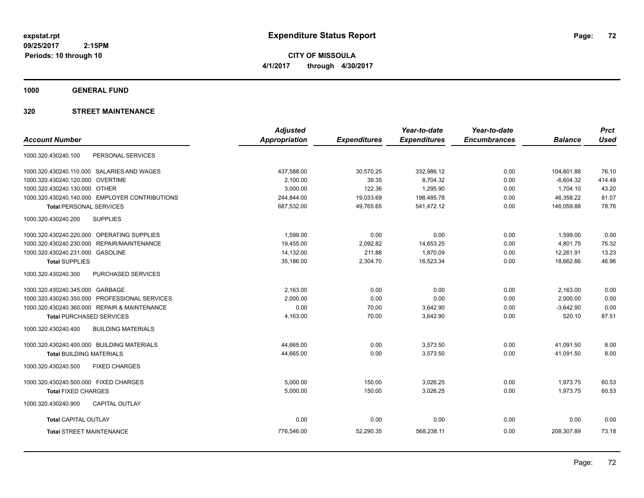**CITY OF MISSOULA 4/1/2017 through 4/30/2017**

**1000 GENERAL FUND**

### **320 STREET MAINTENANCE**

|                                                  | <b>Adjusted</b>      |                     | Year-to-date        | Year-to-date        |                | <b>Prct</b> |
|--------------------------------------------------|----------------------|---------------------|---------------------|---------------------|----------------|-------------|
| <b>Account Number</b>                            | <b>Appropriation</b> | <b>Expenditures</b> | <b>Expenditures</b> | <b>Encumbrances</b> | <b>Balance</b> | <b>Used</b> |
| PERSONAL SERVICES<br>1000.320.430240.100         |                      |                     |                     |                     |                |             |
| 1000.320.430240.110.000 SALARIES AND WAGES       | 437,588.00           | 30,570.25           | 332,986.12          | 0.00                | 104,601.88     | 76.10       |
| <b>OVERTIME</b><br>1000.320.430240.120.000       | 2,100.00             | 39.35               | 8,704.32            | 0.00                | $-6,604.32$    | 414.49      |
| 1000.320.430240.130.000 OTHER                    | 3,000.00             | 122.36              | 1,295.90            | 0.00                | 1,704.10       | 43.20       |
| 1000.320.430240.140.000 EMPLOYER CONTRIBUTIONS   | 244,844.00           | 19,033.69           | 198,485.78          | 0.00                | 46,358.22      | 81.07       |
| <b>Total PERSONAL SERVICES</b>                   | 687,532.00           | 49,765.65           | 541,472.12          | 0.00                | 146,059.88     | 78.76       |
| <b>SUPPLIES</b><br>1000.320.430240.200           |                      |                     |                     |                     |                |             |
| 1000.320.430240.220.000 OPERATING SUPPLIES       | 1.599.00             | 0.00                | 0.00                | 0.00                | 1.599.00       | 0.00        |
| REPAIR/MAINTENANCE<br>1000.320.430240.230.000    | 19,455.00            | 2,092.82            | 14,653.25           | 0.00                | 4,801.75       | 75.32       |
| 1000.320.430240.231.000<br><b>GASOLINE</b>       | 14,132.00            | 211.88              | 1,870.09            | 0.00                | 12,261.91      | 13.23       |
| <b>Total SUPPLIES</b>                            | 35,186.00            | 2,304.70            | 16,523.34           | 0.00                | 18,662.66      | 46.96       |
| 1000.320.430240.300<br><b>PURCHASED SERVICES</b> |                      |                     |                     |                     |                |             |
| 1000.320.430240.345.000 GARBAGE                  | 2,163.00             | 0.00                | 0.00                | 0.00                | 2,163.00       | 0.00        |
| 1000.320.430240.350.000 PROFESSIONAL SERVICES    | 2,000.00             | 0.00                | 0.00                | 0.00                | 2,000.00       | 0.00        |
| 1000.320.430240.360.000 REPAIR & MAINTENANCE     | 0.00                 | 70.00               | 3,642.90            | 0.00                | $-3,642.90$    | 0.00        |
| <b>Total PURCHASED SERVICES</b>                  | 4,163.00             | 70.00               | 3,642.90            | 0.00                | 520.10         | 87.51       |
| 1000.320.430240.400<br><b>BUILDING MATERIALS</b> |                      |                     |                     |                     |                |             |
| 1000.320.430240.400.000 BUILDING MATERIALS       | 44,665.00            | 0.00                | 3,573.50            | 0.00                | 41,091.50      | 8.00        |
| <b>Total BUILDING MATERIALS</b>                  | 44,665.00            | 0.00                | 3,573.50            | 0.00                | 41,091.50      | 8.00        |
| <b>FIXED CHARGES</b><br>1000.320.430240.500      |                      |                     |                     |                     |                |             |
| 1000.320.430240.500.000 FIXED CHARGES            | 5,000.00             | 150.00              | 3,026.25            | 0.00                | 1,973.75       | 60.53       |
| <b>Total FIXED CHARGES</b>                       | 5,000.00             | 150.00              | 3,026.25            | 0.00                | 1,973.75       | 60.53       |
| <b>CAPITAL OUTLAY</b><br>1000.320.430240.900     |                      |                     |                     |                     |                |             |
| <b>Total CAPITAL OUTLAY</b>                      | 0.00                 | 0.00                | 0.00                | 0.00                | 0.00           | 0.00        |
| <b>Total STREET MAINTENANCE</b>                  | 776,546.00           | 52,290.35           | 568,238.11          | 0.00                | 208,307.89     | 73.18       |
|                                                  |                      |                     |                     |                     |                |             |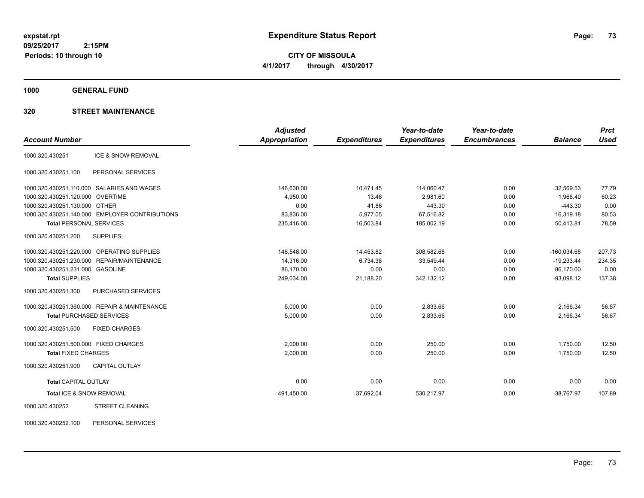**CITY OF MISSOULA 4/1/2017 through 4/30/2017**

**1000 GENERAL FUND**

# **320 STREET MAINTENANCE**

|                                                | <b>Adjusted</b>      |                     | Year-to-date        | Year-to-date        |                | <b>Prct</b> |
|------------------------------------------------|----------------------|---------------------|---------------------|---------------------|----------------|-------------|
| <b>Account Number</b>                          | <b>Appropriation</b> | <b>Expenditures</b> | <b>Expenditures</b> | <b>Encumbrances</b> | <b>Balance</b> | <b>Used</b> |
| ICE & SNOW REMOVAL<br>1000.320.430251          |                      |                     |                     |                     |                |             |
| PERSONAL SERVICES<br>1000.320.430251.100       |                      |                     |                     |                     |                |             |
| 1000.320.430251.110.000 SALARIES AND WAGES     | 146,630.00           | 10,471.45           | 114,060.47          | 0.00                | 32,569.53      | 77.79       |
| 1000.320.430251.120.000 OVERTIME               | 4,950.00             | 13.48               | 2,981.60            | 0.00                | 1,968.40       | 60.23       |
| 1000.320.430251.130.000 OTHER                  | 0.00                 | 41.86               | 443.30              | 0.00                | $-443.30$      | 0.00        |
| 1000.320.430251.140.000 EMPLOYER CONTRIBUTIONS | 83,836.00            | 5,977.05            | 67,516.82           | 0.00                | 16.319.18      | 80.53       |
| <b>Total PERSONAL SERVICES</b>                 | 235,416.00           | 16,503.84           | 185,002.19          | 0.00                | 50,413.81      | 78.59       |
| <b>SUPPLIES</b><br>1000.320.430251.200         |                      |                     |                     |                     |                |             |
| 1000.320.430251.220.000 OPERATING SUPPLIES     | 148,548.00           | 14,453.82           | 308,582.68          | 0.00                | $-160,034.68$  | 207.73      |
| 1000.320.430251.230.000 REPAIR/MAINTENANCE     | 14,316.00            | 6,734.38            | 33,549.44           | 0.00                | $-19,233.44$   | 234.35      |
| 1000.320.430251.231.000 GASOLINE               | 86,170.00            | 0.00                | 0.00                | 0.00                | 86,170.00      | 0.00        |
| <b>Total SUPPLIES</b>                          | 249,034.00           | 21,188.20           | 342,132.12          | 0.00                | $-93,098.12$   | 137.38      |
| PURCHASED SERVICES<br>1000.320.430251.300      |                      |                     |                     |                     |                |             |
| 1000.320.430251.360.000 REPAIR & MAINTENANCE   | 5,000.00             | 0.00                | 2,833.66            | 0.00                | 2,166.34       | 56.67       |
| <b>Total PURCHASED SERVICES</b>                | 5,000.00             | 0.00                | 2,833.66            | 0.00                | 2,166.34       | 56.67       |
| 1000.320.430251.500<br><b>FIXED CHARGES</b>    |                      |                     |                     |                     |                |             |
| 1000.320.430251.500.000 FIXED CHARGES          | 2,000.00             | 0.00                | 250.00              | 0.00                | 1,750.00       | 12.50       |
| <b>Total FIXED CHARGES</b>                     | 2,000.00             | 0.00                | 250.00              | 0.00                | 1,750.00       | 12.50       |
| 1000.320.430251.900<br><b>CAPITAL OUTLAY</b>   |                      |                     |                     |                     |                |             |
| <b>Total CAPITAL OUTLAY</b>                    | 0.00                 | 0.00                | 0.00                | 0.00                | 0.00           | 0.00        |
| Total ICE & SNOW REMOVAL                       | 491,450.00           | 37,692.04           | 530,217.97          | 0.00                | $-38,767.97$   | 107.89      |
| <b>STREET CLEANING</b><br>1000.320.430252      |                      |                     |                     |                     |                |             |

1000.320.430252.100 PERSONAL SERVICES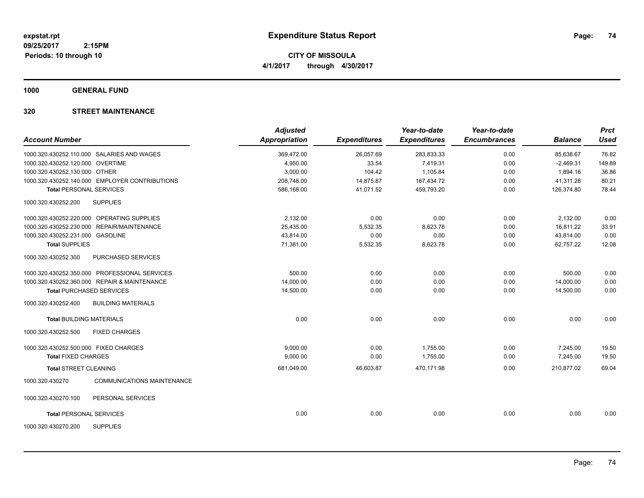**CITY OF MISSOULA 4/1/2017 through 4/30/2017**

**1000 GENERAL FUND**

# **320 STREET MAINTENANCE**

| <b>Account Number</b>                 |                                                | <b>Adjusted</b><br>Appropriation | <b>Expenditures</b> | Year-to-date<br><b>Expenditures</b> | Year-to-date<br><b>Encumbrances</b> | <b>Balance</b> | <b>Prct</b><br><b>Used</b> |
|---------------------------------------|------------------------------------------------|----------------------------------|---------------------|-------------------------------------|-------------------------------------|----------------|----------------------------|
|                                       |                                                |                                  |                     |                                     |                                     |                |                            |
|                                       | 1000.320.430252.110.000 SALARIES AND WAGES     | 369,472.00                       | 26,057.69           | 283,833.33                          | 0.00                                | 85,638.67      | 76.82                      |
| 1000.320.430252.120.000 OVERTIME      |                                                | 4,950.00                         | 33.54               | 7,419.31                            | 0.00                                | $-2,469.31$    | 149.89                     |
| 1000.320.430252.130.000 OTHER         |                                                | 3,000.00                         | 104.42              | 1,105.84                            | 0.00                                | 1,894.16       | 36.86                      |
|                                       | 1000.320.430252.140.000 EMPLOYER CONTRIBUTIONS | 208,746.00                       | 14,875.87           | 167,434.72                          | 0.00                                | 41,311.28      | 80.21                      |
| <b>Total PERSONAL SERVICES</b>        |                                                | 586.168.00                       | 41.071.52           | 459.793.20                          | 0.00                                | 126.374.80     | 78.44                      |
| 1000.320.430252.200                   | <b>SUPPLIES</b>                                |                                  |                     |                                     |                                     |                |                            |
|                                       | 1000.320.430252.220.000 OPERATING SUPPLIES     | 2.132.00                         | 0.00                | 0.00                                | 0.00                                | 2,132.00       | 0.00                       |
| 1000.320.430252.230.000               | REPAIR/MAINTENANCE                             | 25,435.00                        | 5,532.35            | 8,623.78                            | 0.00                                | 16,811.22      | 33.91                      |
| 1000.320.430252.231.000 GASOLINE      |                                                | 43,814.00                        | 0.00                | 0.00                                | 0.00                                | 43,814.00      | 0.00                       |
| <b>Total SUPPLIES</b>                 |                                                | 71,381.00                        | 5,532.35            | 8,623.78                            | 0.00                                | 62,757.22      | 12.08                      |
| 1000.320.430252.300                   | PURCHASED SERVICES                             |                                  |                     |                                     |                                     |                |                            |
|                                       | 1000.320.430252.350.000 PROFESSIONAL SERVICES  | 500.00                           | 0.00                | 0.00                                | 0.00                                | 500.00         | 0.00                       |
|                                       | 1000.320.430252.360.000 REPAIR & MAINTENANCE   | 14,000.00                        | 0.00                | 0.00                                | 0.00                                | 14,000.00      | 0.00                       |
| <b>Total PURCHASED SERVICES</b>       |                                                | 14,500.00                        | 0.00                | 0.00                                | 0.00                                | 14,500.00      | 0.00                       |
| 1000.320.430252.400                   | <b>BUILDING MATERIALS</b>                      |                                  |                     |                                     |                                     |                |                            |
| <b>Total BUILDING MATERIALS</b>       |                                                | 0.00                             | 0.00                | 0.00                                | 0.00                                | 0.00           | 0.00                       |
| 1000.320.430252.500                   | <b>FIXED CHARGES</b>                           |                                  |                     |                                     |                                     |                |                            |
| 1000.320.430252.500.000 FIXED CHARGES |                                                | 9,000.00                         | 0.00                | 1,755.00                            | 0.00                                | 7,245.00       | 19.50                      |
| <b>Total FIXED CHARGES</b>            |                                                | 9,000.00                         | 0.00                | 1,755.00                            | 0.00                                | 7,245.00       | 19.50                      |
| <b>Total STREET CLEANING</b>          |                                                | 681,049.00                       | 46,603.87           | 470,171.98                          | 0.00                                | 210,877.02     | 69.04                      |
| 1000.320.430270                       | <b>COMMUNICATIONS MAINTENANCE</b>              |                                  |                     |                                     |                                     |                |                            |
| 1000.320.430270.100                   | PERSONAL SERVICES                              |                                  |                     |                                     |                                     |                |                            |
| <b>Total PERSONAL SERVICES</b>        |                                                | 0.00                             | 0.00                | 0.00                                | 0.00                                | 0.00           | 0.00                       |
| 1000.320.430270.200                   | <b>SUPPLIES</b>                                |                                  |                     |                                     |                                     |                |                            |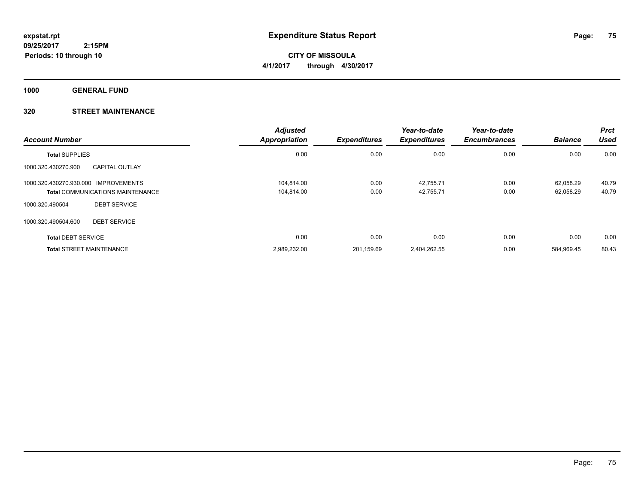**CITY OF MISSOULA 4/1/2017 through 4/30/2017**

**1000 GENERAL FUND**

# **320 STREET MAINTENANCE**

| <b>Account Number</b>                |                                         | <b>Adjusted</b><br><b>Appropriation</b> | <b>Expenditures</b> | Year-to-date<br><b>Expenditures</b> | Year-to-date<br><b>Encumbrances</b> | <b>Balance</b> | <b>Prct</b><br><b>Used</b> |
|--------------------------------------|-----------------------------------------|-----------------------------------------|---------------------|-------------------------------------|-------------------------------------|----------------|----------------------------|
| <b>Total SUPPLIES</b>                |                                         | 0.00                                    | 0.00                | 0.00                                | 0.00                                | 0.00           | 0.00                       |
| 1000.320.430270.900                  | <b>CAPITAL OUTLAY</b>                   |                                         |                     |                                     |                                     |                |                            |
| 1000.320.430270.930.000 IMPROVEMENTS |                                         | 104.814.00                              | 0.00                | 42,755.71                           | 0.00                                | 62.058.29      | 40.79                      |
|                                      | <b>Total COMMUNICATIONS MAINTENANCE</b> | 104,814.00                              | 0.00                | 42,755.71                           | 0.00                                | 62,058.29      | 40.79                      |
| 1000.320.490504                      | <b>DEBT SERVICE</b>                     |                                         |                     |                                     |                                     |                |                            |
| 1000.320.490504.600                  | <b>DEBT SERVICE</b>                     |                                         |                     |                                     |                                     |                |                            |
| <b>Total DEBT SERVICE</b>            |                                         | 0.00                                    | 0.00                | 0.00                                | 0.00                                | 0.00           | 0.00                       |
| <b>Total STREET MAINTENANCE</b>      |                                         | 2,989,232.00                            | 201.159.69          | 2.404.262.55                        | 0.00                                | 584.969.45     | 80.43                      |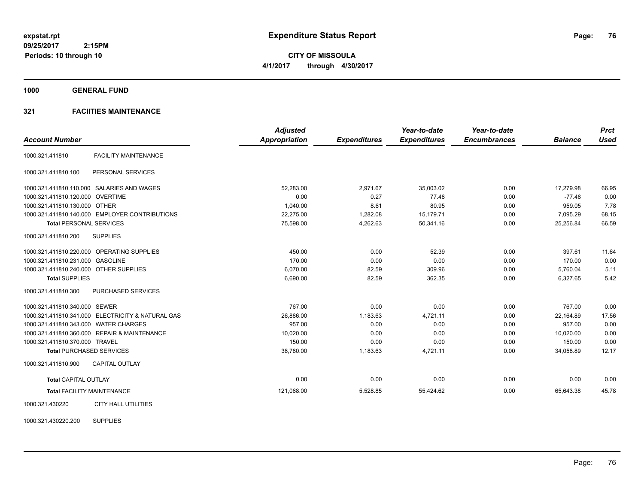**CITY OF MISSOULA 4/1/2017 through 4/30/2017**

**1000 GENERAL FUND**

# **321 FACIITIES MAINTENANCE**

| <b>Account Number</b>                  |                                                   | <b>Adjusted</b><br><b>Appropriation</b> | <b>Expenditures</b> | Year-to-date<br><b>Expenditures</b> | Year-to-date<br><b>Encumbrances</b> | <b>Balance</b> | <b>Prct</b><br><b>Used</b> |
|----------------------------------------|---------------------------------------------------|-----------------------------------------|---------------------|-------------------------------------|-------------------------------------|----------------|----------------------------|
|                                        |                                                   |                                         |                     |                                     |                                     |                |                            |
| 1000.321.411810                        | <b>FACILITY MAINTENANCE</b>                       |                                         |                     |                                     |                                     |                |                            |
| 1000.321.411810.100                    | PERSONAL SERVICES                                 |                                         |                     |                                     |                                     |                |                            |
|                                        | 1000.321.411810.110.000 SALARIES AND WAGES        | 52,283.00                               | 2,971.67            | 35,003.02                           | 0.00                                | 17,279.98      | 66.95                      |
| 1000.321.411810.120.000 OVERTIME       |                                                   | 0.00                                    | 0.27                | 77.48                               | 0.00                                | $-77.48$       | 0.00                       |
| 1000.321.411810.130.000 OTHER          |                                                   | 1,040.00                                | 8.61                | 80.95                               | 0.00                                | 959.05         | 7.78                       |
|                                        | 1000.321.411810.140.000 EMPLOYER CONTRIBUTIONS    | 22,275.00                               | 1,282.08            | 15,179.71                           | 0.00                                | 7,095.29       | 68.15                      |
| <b>Total PERSONAL SERVICES</b>         |                                                   | 75,598.00                               | 4,262.63            | 50,341.16                           | 0.00                                | 25,256.84      | 66.59                      |
| 1000.321.411810.200                    | <b>SUPPLIES</b>                                   |                                         |                     |                                     |                                     |                |                            |
|                                        | 1000.321.411810.220.000 OPERATING SUPPLIES        | 450.00                                  | 0.00                | 52.39                               | 0.00                                | 397.61         | 11.64                      |
| 1000.321.411810.231.000 GASOLINE       |                                                   | 170.00                                  | 0.00                | 0.00                                | 0.00                                | 170.00         | 0.00                       |
| 1000.321.411810.240.000 OTHER SUPPLIES |                                                   | 6,070.00                                | 82.59               | 309.96                              | 0.00                                | 5,760.04       | 5.11                       |
| <b>Total SUPPLIES</b>                  |                                                   | 6,690.00                                | 82.59               | 362.35                              | 0.00                                | 6,327.65       | 5.42                       |
| 1000.321.411810.300                    | PURCHASED SERVICES                                |                                         |                     |                                     |                                     |                |                            |
| 1000.321.411810.340.000 SEWER          |                                                   | 767.00                                  | 0.00                | 0.00                                | 0.00                                | 767.00         | 0.00                       |
|                                        | 1000.321.411810.341.000 ELECTRICITY & NATURAL GAS | 26,886.00                               | 1,183.63            | 4.721.11                            | 0.00                                | 22.164.89      | 17.56                      |
| 1000.321.411810.343.000 WATER CHARGES  |                                                   | 957.00                                  | 0.00                | 0.00                                | 0.00                                | 957.00         | 0.00                       |
|                                        | 1000.321.411810.360.000 REPAIR & MAINTENANCE      | 10,020.00                               | 0.00                | 0.00                                | 0.00                                | 10,020.00      | 0.00                       |
| 1000.321.411810.370.000 TRAVEL         |                                                   | 150.00                                  | 0.00                | 0.00                                | 0.00                                | 150.00         | 0.00                       |
| <b>Total PURCHASED SERVICES</b>        |                                                   | 38,780.00                               | 1,183.63            | 4,721.11                            | 0.00                                | 34,058.89      | 12.17                      |
| 1000.321.411810.900                    | <b>CAPITAL OUTLAY</b>                             |                                         |                     |                                     |                                     |                |                            |
| <b>Total CAPITAL OUTLAY</b>            |                                                   | 0.00                                    | 0.00                | 0.00                                | 0.00                                | 0.00           | 0.00                       |
|                                        | <b>Total FACILITY MAINTENANCE</b>                 | 121,068.00                              | 5,528.85            | 55,424.62                           | 0.00                                | 65,643.38      | 45.78                      |
| 1000.321.430220                        | <b>CITY HALL UTILITIES</b>                        |                                         |                     |                                     |                                     |                |                            |

1000.321.430220.200 SUPPLIES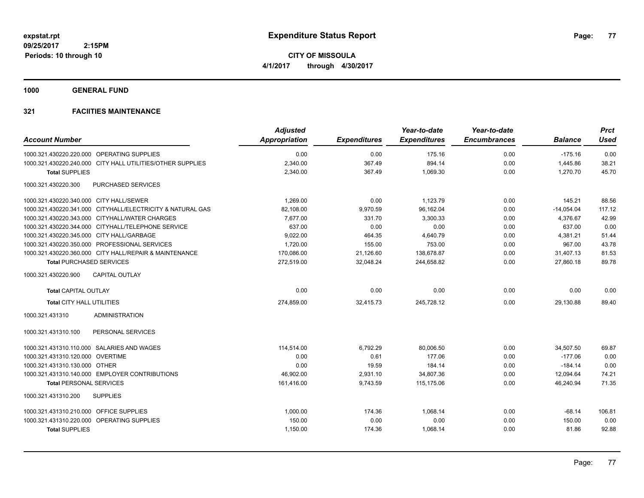**CITY OF MISSOULA 4/1/2017 through 4/30/2017**

**1000 GENERAL FUND**

| <b>Account Number</b>                                      | <b>Adjusted</b><br><b>Appropriation</b> | <b>Expenditures</b> | Year-to-date<br><b>Expenditures</b> | Year-to-date<br><b>Encumbrances</b> | <b>Balance</b> | <b>Prct</b><br><b>Used</b> |
|------------------------------------------------------------|-----------------------------------------|---------------------|-------------------------------------|-------------------------------------|----------------|----------------------------|
| 1000.321.430220.220.000 OPERATING SUPPLIES                 | 0.00                                    | 0.00                | 175.16                              | 0.00                                | $-175.16$      | 0.00                       |
| 1000.321.430220.240.000 CITY HALL UTILITIES/OTHER SUPPLIES | 2,340.00                                | 367.49              | 894.14                              | 0.00                                | 1,445.86       | 38.21                      |
| <b>Total SUPPLIES</b>                                      | 2,340.00                                | 367.49              | 1,069.30                            | 0.00                                | 1,270.70       | 45.70                      |
| 1000.321.430220.300<br><b>PURCHASED SERVICES</b>           |                                         |                     |                                     |                                     |                |                            |
| 1000.321.430220.340.000 CITY HALL/SEWER                    | 1,269.00                                | 0.00                | 1,123.79                            | 0.00                                | 145.21         | 88.56                      |
| 1000.321.430220.341.000 CITYHALL/ELECTRICITY & NATURAL GAS | 82,108.00                               | 9,970.59            | 96,162.04                           | 0.00                                | $-14,054.04$   | 117.12                     |
| 1000.321.430220.343.000 CITYHALL/WATER CHARGES             | 7,677.00                                | 331.70              | 3,300.33                            | 0.00                                | 4,376.67       | 42.99                      |
| 1000.321.430220.344.000 CITYHALL/TELEPHONE SERVICE         | 637.00                                  | 0.00                | 0.00                                | 0.00                                | 637.00         | 0.00                       |
| 1000.321.430220.345.000 CITY HALL/GARBAGE                  | 9,022.00                                | 464.35              | 4,640.79                            | 0.00                                | 4,381.21       | 51.44                      |
| 1000.321.430220.350.000 PROFESSIONAL SERVICES              | 1,720.00                                | 155.00              | 753.00                              | 0.00                                | 967.00         | 43.78                      |
| 1000.321.430220.360.000 CITY HALL/REPAIR & MAINTENANCE     | 170,086.00                              | 21,126.60           | 138,678.87                          | 0.00                                | 31,407.13      | 81.53                      |
| <b>Total PURCHASED SERVICES</b>                            | 272,519.00                              | 32,048.24           | 244,658.82                          | 0.00                                | 27,860.18      | 89.78                      |
| <b>CAPITAL OUTLAY</b><br>1000.321.430220.900               |                                         |                     |                                     |                                     |                |                            |
| <b>Total CAPITAL OUTLAY</b>                                | 0.00                                    | 0.00                | 0.00                                | 0.00                                | 0.00           | 0.00                       |
| <b>Total CITY HALL UTILITIES</b>                           | 274,859.00                              | 32,415.73           | 245,728.12                          | 0.00                                | 29.130.88      | 89.40                      |
| <b>ADMINISTRATION</b><br>1000.321.431310                   |                                         |                     |                                     |                                     |                |                            |
| PERSONAL SERVICES<br>1000.321.431310.100                   |                                         |                     |                                     |                                     |                |                            |
| 1000.321.431310.110.000 SALARIES AND WAGES                 | 114.514.00                              | 6,792.29            | 80.006.50                           | 0.00                                | 34.507.50      | 69.87                      |
| 1000.321.431310.120.000 OVERTIME                           | 0.00                                    | 0.61                | 177.06                              | 0.00                                | $-177.06$      | 0.00                       |
| 1000.321.431310.130.000 OTHER                              | 0.00                                    | 19.59               | 184.14                              | 0.00                                | $-184.14$      | 0.00                       |
| 1000.321.431310.140.000 EMPLOYER CONTRIBUTIONS             | 46,902.00                               | 2,931.10            | 34,807.36                           | 0.00                                | 12,094.64      | 74.21                      |
| <b>Total PERSONAL SERVICES</b>                             | 161,416.00                              | 9,743.59            | 115,175.06                          | 0.00                                | 46,240.94      | 71.35                      |
| <b>SUPPLIES</b><br>1000.321.431310.200                     |                                         |                     |                                     |                                     |                |                            |
| 1000.321.431310.210.000 OFFICE SUPPLIES                    | 1,000.00                                | 174.36              | 1,068.14                            | 0.00                                | $-68.14$       | 106.81                     |
| 1000.321.431310.220.000 OPERATING SUPPLIES                 | 150.00                                  | 0.00                | 0.00                                | 0.00                                | 150.00         | 0.00                       |
| <b>Total SUPPLIES</b>                                      | 1,150.00                                | 174.36              | 1,068.14                            | 0.00                                | 81.86          | 92.88                      |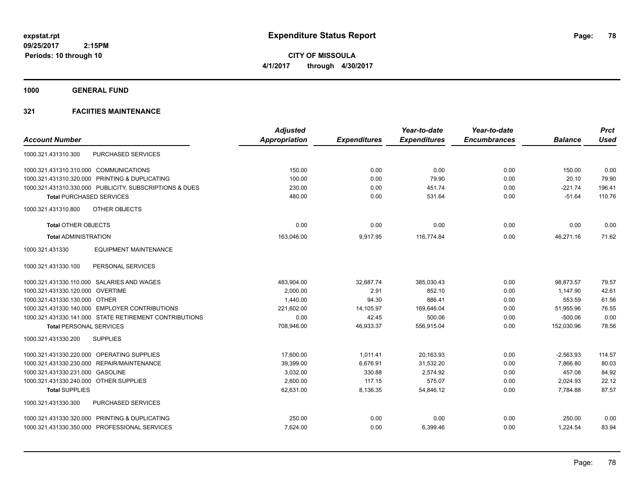**CITY OF MISSOULA 4/1/2017 through 4/30/2017**

**1000 GENERAL FUND**

|                                                         | <b>Adjusted</b>      |                     | Year-to-date        | Year-to-date        |                | <b>Prct</b> |
|---------------------------------------------------------|----------------------|---------------------|---------------------|---------------------|----------------|-------------|
| <b>Account Number</b>                                   | <b>Appropriation</b> | <b>Expenditures</b> | <b>Expenditures</b> | <b>Encumbrances</b> | <b>Balance</b> | <b>Used</b> |
| <b>PURCHASED SERVICES</b><br>1000.321.431310.300        |                      |                     |                     |                     |                |             |
| 1000.321.431310.310.000 COMMUNICATIONS                  | 150.00               | 0.00                | 0.00                | 0.00                | 150.00         | 0.00        |
| 1000.321.431310.320.000 PRINTING & DUPLICATING          | 100.00               | 0.00                | 79.90               | 0.00                | 20.10          | 79.90       |
| 1000.321.431310.330.000 PUBLICITY, SUBSCRIPTIONS & DUES | 230.00               | 0.00                | 451.74              | 0.00                | $-221.74$      | 196.41      |
| <b>Total PURCHASED SERVICES</b>                         | 480.00               | 0.00                | 531.64              | 0.00                | $-51.64$       | 110.76      |
| OTHER OBJECTS<br>1000.321.431310.800                    |                      |                     |                     |                     |                |             |
| <b>Total OTHER OBJECTS</b>                              | 0.00                 | 0.00                | 0.00                | 0.00                | 0.00           | 0.00        |
| <b>Total ADMINISTRATION</b>                             | 163,046.00           | 9,917.95            | 116,774.84          | 0.00                | 46,271.16      | 71.62       |
| 1000.321.431330<br><b>EQUIPMENT MAINTENANCE</b>         |                      |                     |                     |                     |                |             |
| PERSONAL SERVICES<br>1000.321.431330.100                |                      |                     |                     |                     |                |             |
| 1000.321.431330.110.000 SALARIES AND WAGES              | 483,904.00           | 32,687.74           | 385,030.43          | 0.00                | 98,873.57      | 79.57       |
| 1000.321.431330.120.000 OVERTIME                        | 2,000.00             | 2.91                | 852.10              | 0.00                | 1,147.90       | 42.61       |
| 1000.321.431330.130.000 OTHER                           | 1,440.00             | 94.30               | 886.41              | 0.00                | 553.59         | 61.56       |
| 1000.321.431330.140.000 EMPLOYER CONTRIBUTIONS          | 221,602.00           | 14,105.97           | 169,646.04          | 0.00                | 51,955.96      | 76.55       |
| 1000.321.431330.141.000 STATE RETIREMENT CONTRIBUTIONS  | 0.00                 | 42.45               | 500.06              | 0.00                | $-500.06$      | 0.00        |
| <b>Total PERSONAL SERVICES</b>                          | 708,946.00           | 46,933.37           | 556,915.04          | 0.00                | 152,030.96     | 78.56       |
| 1000.321.431330.200<br><b>SUPPLIES</b>                  |                      |                     |                     |                     |                |             |
| 1000.321.431330.220.000 OPERATING SUPPLIES              | 17.600.00            | 1.011.41            | 20,163.93           | 0.00                | $-2,563.93$    | 114.57      |
| 1000.321.431330.230.000 REPAIR/MAINTENANCE              | 39,399.00            | 6,676.91            | 31,532.20           | 0.00                | 7,866.80       | 80.03       |
| 1000.321.431330.231.000 GASOLINE                        | 3,032.00             | 330.88              | 2,574.92            | 0.00                | 457.08         | 84.92       |
| 1000.321.431330.240.000 OTHER SUPPLIES                  | 2,600.00             | 117.15              | 575.07              | 0.00                | 2,024.93       | 22.12       |
| <b>Total SUPPLIES</b>                                   | 62,631.00            | 8,136.35            | 54,846.12           | 0.00                | 7,784.88       | 87.57       |
| PURCHASED SERVICES<br>1000.321.431330.300               |                      |                     |                     |                     |                |             |
| 1000.321.431330.320.000 PRINTING & DUPLICATING          | 250.00               | 0.00                | 0.00                | 0.00                | 250.00         | 0.00        |
| 1000.321.431330.350.000 PROFESSIONAL SERVICES           | 7,624.00             | 0.00                | 6,399.46            | 0.00                | 1,224.54       | 83.94       |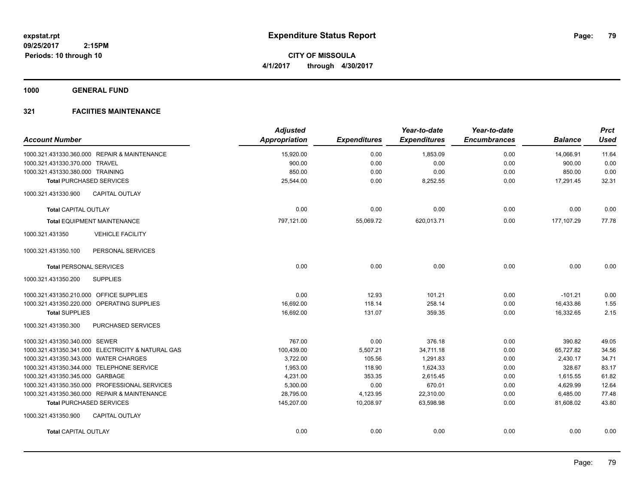**CITY OF MISSOULA 4/1/2017 through 4/30/2017**

**1000 GENERAL FUND**

| <b>Account Number</b>                   |                                                   | <b>Adjusted</b><br><b>Appropriation</b> | <b>Expenditures</b> | Year-to-date<br><b>Expenditures</b> | Year-to-date<br><b>Encumbrances</b> | <b>Balance</b> | <b>Prct</b><br><b>Used</b> |
|-----------------------------------------|---------------------------------------------------|-----------------------------------------|---------------------|-------------------------------------|-------------------------------------|----------------|----------------------------|
|                                         | 1000.321.431330.360.000 REPAIR & MAINTENANCE      | 15,920.00                               | 0.00                | 1,853.09                            | 0.00                                | 14,066.91      | 11.64                      |
| 1000.321.431330.370.000 TRAVEL          |                                                   | 900.00                                  | 0.00                | 0.00                                | 0.00                                | 900.00         | 0.00                       |
| 1000.321.431330.380.000 TRAINING        |                                                   | 850.00                                  | 0.00                | 0.00                                | 0.00                                | 850.00         | 0.00                       |
| <b>Total PURCHASED SERVICES</b>         |                                                   | 25,544.00                               | 0.00                | 8,252.55                            | 0.00                                | 17,291.45      | 32.31                      |
| 1000.321.431330.900                     | <b>CAPITAL OUTLAY</b>                             |                                         |                     |                                     |                                     |                |                            |
| <b>Total CAPITAL OUTLAY</b>             |                                                   | 0.00                                    | 0.00                | 0.00                                | 0.00                                | 0.00           | 0.00                       |
|                                         | <b>Total EQUIPMENT MAINTENANCE</b>                | 797,121.00                              | 55,069.72           | 620,013.71                          | 0.00                                | 177, 107.29    | 77.78                      |
| 1000.321.431350                         | <b>VEHICLE FACILITY</b>                           |                                         |                     |                                     |                                     |                |                            |
| 1000.321.431350.100                     | PERSONAL SERVICES                                 |                                         |                     |                                     |                                     |                |                            |
| <b>Total PERSONAL SERVICES</b>          |                                                   | 0.00                                    | 0.00                | 0.00                                | 0.00                                | 0.00           | 0.00                       |
| 1000.321.431350.200                     | <b>SUPPLIES</b>                                   |                                         |                     |                                     |                                     |                |                            |
| 1000.321.431350.210.000 OFFICE SUPPLIES |                                                   | 0.00                                    | 12.93               | 101.21                              | 0.00                                | $-101.21$      | 0.00                       |
|                                         | 1000.321.431350.220.000 OPERATING SUPPLIES        | 16,692.00                               | 118.14              | 258.14                              | 0.00                                | 16,433.86      | 1.55                       |
| <b>Total SUPPLIES</b>                   |                                                   | 16,692.00                               | 131.07              | 359.35                              | 0.00                                | 16,332.65      | 2.15                       |
| 1000.321.431350.300                     | PURCHASED SERVICES                                |                                         |                     |                                     |                                     |                |                            |
| 1000.321.431350.340.000 SEWER           |                                                   | 767.00                                  | 0.00                | 376.18                              | 0.00                                | 390.82         | 49.05                      |
|                                         | 1000.321.431350.341.000 ELECTRICITY & NATURAL GAS | 100,439.00                              | 5,507.21            | 34,711.18                           | 0.00                                | 65,727.82      | 34.56                      |
| 1000.321.431350.343.000 WATER CHARGES   |                                                   | 3,722.00                                | 105.56              | 1,291.83                            | 0.00                                | 2,430.17       | 34.71                      |
|                                         | 1000.321.431350.344.000 TELEPHONE SERVICE         | 1,953.00                                | 118.90              | 1,624.33                            | 0.00                                | 328.67         | 83.17                      |
| 1000.321.431350.345.000 GARBAGE         |                                                   | 4,231.00                                | 353.35              | 2.615.45                            | 0.00                                | 1,615.55       | 61.82                      |
|                                         | 1000.321.431350.350.000 PROFESSIONAL SERVICES     | 5,300.00                                | 0.00                | 670.01                              | 0.00                                | 4,629.99       | 12.64                      |
|                                         | 1000.321.431350.360.000 REPAIR & MAINTENANCE      | 28,795.00                               | 4,123.95            | 22,310.00                           | 0.00                                | 6,485.00       | 77.48                      |
| <b>Total PURCHASED SERVICES</b>         |                                                   | 145,207.00                              | 10,208.97           | 63,598.98                           | 0.00                                | 81,608.02      | 43.80                      |
| 1000.321.431350.900                     | CAPITAL OUTLAY                                    |                                         |                     |                                     |                                     |                |                            |
| <b>Total CAPITAL OUTLAY</b>             |                                                   | 0.00                                    | 0.00                | 0.00                                | 0.00                                | 0.00           | 0.00                       |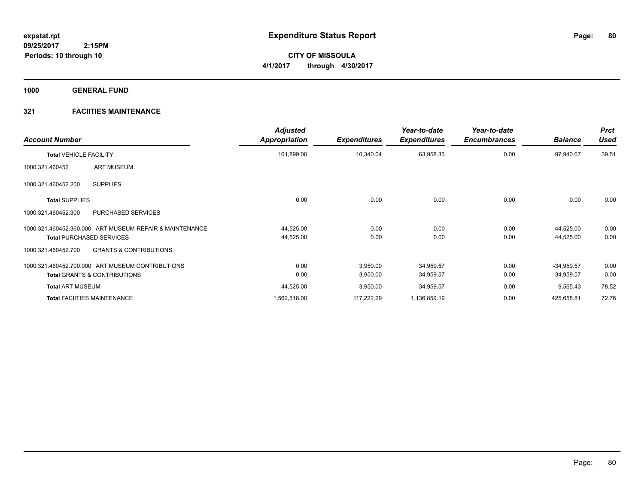**CITY OF MISSOULA 4/1/2017 through 4/30/2017**

**1000 GENERAL FUND**

| <b>Account Number</b>                                    | <b>Adjusted</b><br>Appropriation | <b>Expenditures</b> | Year-to-date<br><b>Expenditures</b> | Year-to-date<br><b>Encumbrances</b> | <b>Balance</b> | <b>Prct</b><br>Used |
|----------------------------------------------------------|----------------------------------|---------------------|-------------------------------------|-------------------------------------|----------------|---------------------|
| <b>Total VEHICLE FACILITY</b>                            | 161,899.00                       | 10,340.04           | 63,958.33                           | 0.00                                | 97,940.67      | 39.51               |
| <b>ART MUSEUM</b><br>1000.321.460452                     |                                  |                     |                                     |                                     |                |                     |
| <b>SUPPLIES</b><br>1000.321.460452.200                   |                                  |                     |                                     |                                     |                |                     |
| <b>Total SUPPLIES</b>                                    | 0.00                             | 0.00                | 0.00                                | 0.00                                | 0.00           | 0.00                |
| <b>PURCHASED SERVICES</b><br>1000.321.460452.300         |                                  |                     |                                     |                                     |                |                     |
| 1000.321.460452.360.000 ART MUSEUM-REPAIR & MAINTENANCE  | 44,525.00                        | 0.00                | 0.00                                | 0.00                                | 44,525.00      | 0.00                |
| <b>Total PURCHASED SERVICES</b>                          | 44,525.00                        | 0.00                | 0.00                                | 0.00                                | 44,525.00      | 0.00                |
| <b>GRANTS &amp; CONTRIBUTIONS</b><br>1000.321.460452.700 |                                  |                     |                                     |                                     |                |                     |
| 1000.321.460452.700.000 ART MUSEUM CONTRIBUTIONS         | 0.00                             | 3,950.00            | 34,959.57                           | 0.00                                | $-34,959.57$   | 0.00                |
| <b>Total GRANTS &amp; CONTRIBUTIONS</b>                  | 0.00                             | 3,950.00            | 34,959.57                           | 0.00                                | $-34,959.57$   | 0.00                |
| <b>Total ART MUSEUM</b>                                  | 44,525.00                        | 3,950.00            | 34,959.57                           | 0.00                                | 9,565.43       | 78.52               |
| <b>Total FACIITIES MAINTENANCE</b>                       | 1,562,518.00                     | 117,222.29          | 1,136,859.19                        | 0.00                                | 425,658.81     | 72.76               |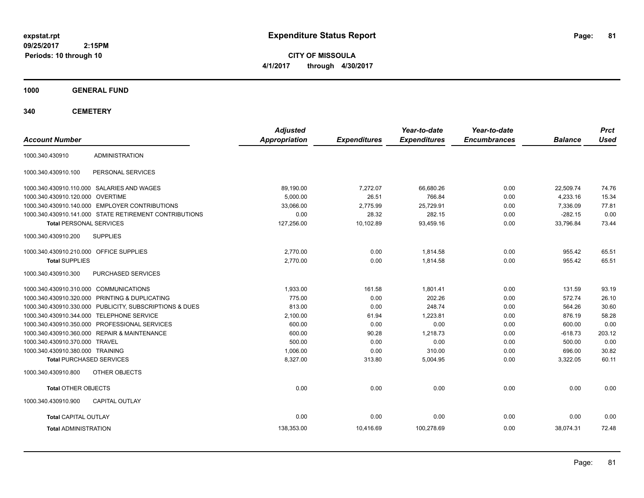**CITY OF MISSOULA 4/1/2017 through 4/30/2017**

**1000 GENERAL FUND**

**340 CEMETERY**

| <b>Account Number</b>                   |                                                         | <b>Adjusted</b><br><b>Appropriation</b> | <b>Expenditures</b> | Year-to-date<br><b>Expenditures</b> | Year-to-date<br><b>Encumbrances</b> | <b>Balance</b> | <b>Prct</b><br><b>Used</b> |
|-----------------------------------------|---------------------------------------------------------|-----------------------------------------|---------------------|-------------------------------------|-------------------------------------|----------------|----------------------------|
|                                         |                                                         |                                         |                     |                                     |                                     |                |                            |
| 1000.340.430910                         | <b>ADMINISTRATION</b>                                   |                                         |                     |                                     |                                     |                |                            |
| 1000.340.430910.100                     | PERSONAL SERVICES                                       |                                         |                     |                                     |                                     |                |                            |
|                                         | 1000.340.430910.110.000 SALARIES AND WAGES              | 89,190.00                               | 7,272.07            | 66,680.26                           | 0.00                                | 22,509.74      | 74.76                      |
| 1000.340.430910.120.000 OVERTIME        |                                                         | 5,000.00                                | 26.51               | 766.84                              | 0.00                                | 4,233.16       | 15.34                      |
|                                         | 1000.340.430910.140.000 EMPLOYER CONTRIBUTIONS          | 33.066.00                               | 2,775.99            | 25,729.91                           | 0.00                                | 7,336.09       | 77.81                      |
|                                         | 1000.340.430910.141.000 STATE RETIREMENT CONTRIBUTIONS  | 0.00                                    | 28.32               | 282.15                              | 0.00                                | $-282.15$      | 0.00                       |
| <b>Total PERSONAL SERVICES</b>          |                                                         | 127,256.00                              | 10,102.89           | 93,459.16                           | 0.00                                | 33,796.84      | 73.44                      |
| 1000.340.430910.200                     | <b>SUPPLIES</b>                                         |                                         |                     |                                     |                                     |                |                            |
| 1000.340.430910.210.000 OFFICE SUPPLIES |                                                         | 2,770.00                                | 0.00                | 1,814.58                            | 0.00                                | 955.42         | 65.51                      |
| <b>Total SUPPLIES</b>                   |                                                         | 2,770.00                                | 0.00                | 1,814.58                            | 0.00                                | 955.42         | 65.51                      |
| 1000.340.430910.300                     | PURCHASED SERVICES                                      |                                         |                     |                                     |                                     |                |                            |
| 1000.340.430910.310.000 COMMUNICATIONS  |                                                         | 1,933.00                                | 161.58              | 1,801.41                            | 0.00                                | 131.59         | 93.19                      |
|                                         | 1000.340.430910.320.000 PRINTING & DUPLICATING          | 775.00                                  | 0.00                | 202.26                              | 0.00                                | 572.74         | 26.10                      |
|                                         | 1000.340.430910.330.000 PUBLICITY, SUBSCRIPTIONS & DUES | 813.00                                  | 0.00                | 248.74                              | 0.00                                | 564.26         | 30.60                      |
|                                         | 1000.340.430910.344.000 TELEPHONE SERVICE               | 2,100.00                                | 61.94               | 1,223.81                            | 0.00                                | 876.19         | 58.28                      |
|                                         | 1000.340.430910.350.000 PROFESSIONAL SERVICES           | 600.00                                  | 0.00                | 0.00                                | 0.00                                | 600.00         | 0.00                       |
|                                         | 1000.340.430910.360.000 REPAIR & MAINTENANCE            | 600.00                                  | 90.28               | 1,218.73                            | 0.00                                | $-618.73$      | 203.12                     |
| 1000.340.430910.370.000 TRAVEL          |                                                         | 500.00                                  | 0.00                | 0.00                                | 0.00                                | 500.00         | 0.00                       |
| 1000.340.430910.380.000 TRAINING        |                                                         | 1,006.00                                | 0.00                | 310.00                              | 0.00                                | 696.00         | 30.82                      |
| <b>Total PURCHASED SERVICES</b>         |                                                         | 8,327.00                                | 313.80              | 5,004.95                            | 0.00                                | 3,322.05       | 60.11                      |
| 1000.340.430910.800                     | OTHER OBJECTS                                           |                                         |                     |                                     |                                     |                |                            |
| <b>Total OTHER OBJECTS</b>              |                                                         | 0.00                                    | 0.00                | 0.00                                | 0.00                                | 0.00           | 0.00                       |
| 1000.340.430910.900                     | <b>CAPITAL OUTLAY</b>                                   |                                         |                     |                                     |                                     |                |                            |
| <b>Total CAPITAL OUTLAY</b>             |                                                         | 0.00                                    | 0.00                | 0.00                                | 0.00                                | 0.00           | 0.00                       |
| <b>Total ADMINISTRATION</b>             |                                                         | 138,353.00                              | 10,416.69           | 100,278.69                          | 0.00                                | 38,074.31      | 72.48                      |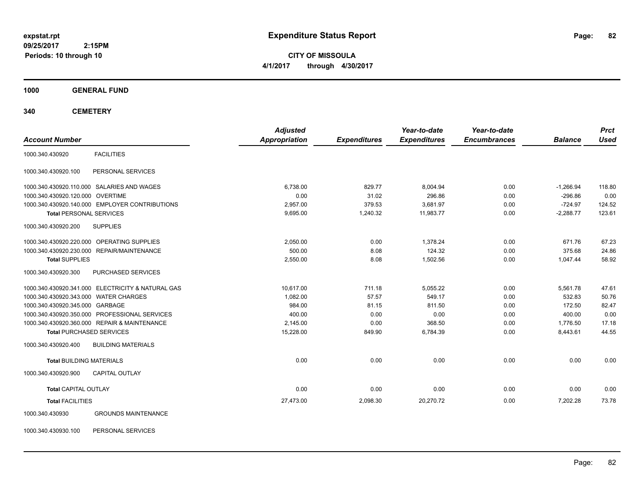**CITY OF MISSOULA 4/1/2017 through 4/30/2017**

**1000 GENERAL FUND**

**340 CEMETERY**

|                                                   | <b>Adjusted</b> |                     | Year-to-date        | Year-to-date        |                | <b>Prct</b> |
|---------------------------------------------------|-----------------|---------------------|---------------------|---------------------|----------------|-------------|
| <b>Account Number</b>                             | Appropriation   | <b>Expenditures</b> | <b>Expenditures</b> | <b>Encumbrances</b> | <b>Balance</b> | <b>Used</b> |
| <b>FACILITIES</b><br>1000.340.430920              |                 |                     |                     |                     |                |             |
| PERSONAL SERVICES<br>1000.340.430920.100          |                 |                     |                     |                     |                |             |
| 1000.340.430920.110.000 SALARIES AND WAGES        | 6,738.00        | 829.77              | 8,004.94            | 0.00                | $-1,266.94$    | 118.80      |
| 1000.340.430920.120.000 OVERTIME                  | 0.00            | 31.02               | 296.86              | 0.00                | $-296.86$      | 0.00        |
| 1000.340.430920.140.000 EMPLOYER CONTRIBUTIONS    | 2,957.00        | 379.53              | 3,681.97            | 0.00                | $-724.97$      | 124.52      |
| <b>Total PERSONAL SERVICES</b>                    | 9,695.00        | 1,240.32            | 11,983.77           | 0.00                | $-2,288.77$    | 123.61      |
| <b>SUPPLIES</b><br>1000.340.430920.200            |                 |                     |                     |                     |                |             |
| 1000.340.430920.220.000 OPERATING SUPPLIES        | 2,050.00        | 0.00                | 1,378.24            | 0.00                | 671.76         | 67.23       |
| 1000.340.430920.230.000 REPAIR/MAINTENANCE        | 500.00          | 8.08                | 124.32              | 0.00                | 375.68         | 24.86       |
| <b>Total SUPPLIES</b>                             | 2.550.00        | 8.08                | 1.502.56            | 0.00                | 1.047.44       | 58.92       |
| 1000.340.430920.300<br><b>PURCHASED SERVICES</b>  |                 |                     |                     |                     |                |             |
| 1000.340.430920.341.000 ELECTRICITY & NATURAL GAS | 10.617.00       | 711.18              | 5,055.22            | 0.00                | 5,561.78       | 47.61       |
| 1000.340.430920.343.000 WATER CHARGES             | 1,082.00        | 57.57               | 549.17              | 0.00                | 532.83         | 50.76       |
| 1000.340.430920.345.000 GARBAGE                   | 984.00          | 81.15               | 811.50              | 0.00                | 172.50         | 82.47       |
| 1000.340.430920.350.000 PROFESSIONAL SERVICES     | 400.00          | 0.00                | 0.00                | 0.00                | 400.00         | 0.00        |
| 1000.340.430920.360.000 REPAIR & MAINTENANCE      | 2,145.00        | 0.00                | 368.50              | 0.00                | 1,776.50       | 17.18       |
| <b>Total PURCHASED SERVICES</b>                   | 15,228.00       | 849.90              | 6,784.39            | 0.00                | 8,443.61       | 44.55       |
| 1000.340.430920.400<br><b>BUILDING MATERIALS</b>  |                 |                     |                     |                     |                |             |
| <b>Total BUILDING MATERIALS</b>                   | 0.00            | 0.00                | 0.00                | 0.00                | 0.00           | 0.00        |
| 1000.340.430920.900<br><b>CAPITAL OUTLAY</b>      |                 |                     |                     |                     |                |             |
| <b>Total CAPITAL OUTLAY</b>                       | 0.00            | 0.00                | 0.00                | 0.00                | 0.00           | 0.00        |
| <b>Total FACILITIES</b>                           | 27,473.00       | 2,098.30            | 20,270.72           | 0.00                | 7,202.28       | 73.78       |
| <b>GROUNDS MAINTENANCE</b><br>1000.340.430930     |                 |                     |                     |                     |                |             |

1000.340.430930.100 PERSONAL SERVICES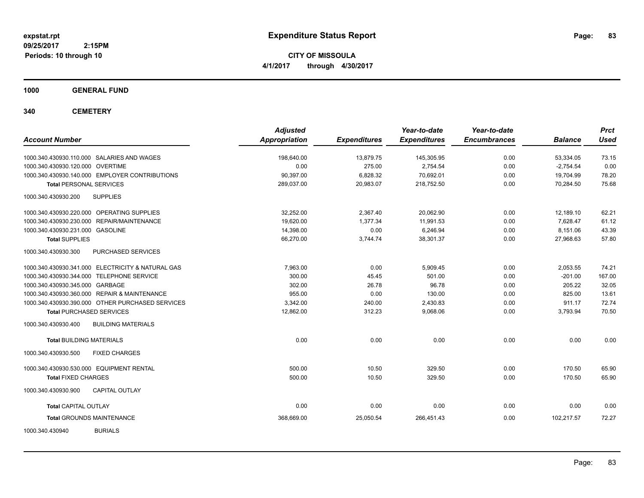**CITY OF MISSOULA 4/1/2017 through 4/30/2017**

**1000 GENERAL FUND**

**340 CEMETERY**

| <b>Account Number</b>                             | <b>Adjusted</b><br><b>Appropriation</b> | <b>Expenditures</b> | Year-to-date<br><b>Expenditures</b> | Year-to-date<br><b>Encumbrances</b> | <b>Balance</b> | <b>Prct</b><br><b>Used</b> |
|---------------------------------------------------|-----------------------------------------|---------------------|-------------------------------------|-------------------------------------|----------------|----------------------------|
| 1000.340.430930.110.000 SALARIES AND WAGES        | 198,640.00                              | 13,879.75           | 145,305.95                          | 0.00                                | 53,334.05      | 73.15                      |
| 1000.340.430930.120.000 OVERTIME                  | 0.00                                    | 275.00              | 2,754.54                            | 0.00                                | $-2,754.54$    | 0.00                       |
| 1000.340.430930.140.000 EMPLOYER CONTRIBUTIONS    | 90,397.00                               | 6,828.32            | 70,692.01                           | 0.00                                | 19,704.99      | 78.20                      |
| <b>Total PERSONAL SERVICES</b>                    | 289,037.00                              | 20,983.07           | 218,752.50                          | 0.00                                | 70,284.50      | 75.68                      |
| 1000.340.430930.200<br><b>SUPPLIES</b>            |                                         |                     |                                     |                                     |                |                            |
| 1000.340.430930.220.000 OPERATING SUPPLIES        | 32.252.00                               | 2.367.40            | 20.062.90                           | 0.00                                | 12.189.10      | 62.21                      |
| 1000.340.430930.230.000 REPAIR/MAINTENANCE        | 19,620.00                               | 1,377.34            | 11,991.53                           | 0.00                                | 7,628.47       | 61.12                      |
| 1000.340.430930.231.000 GASOLINE                  | 14,398.00                               | 0.00                | 6,246.94                            | 0.00                                | 8,151.06       | 43.39                      |
| <b>Total SUPPLIES</b>                             | 66,270.00                               | 3,744.74            | 38,301.37                           | 0.00                                | 27,968.63      | 57.80                      |
| PURCHASED SERVICES<br>1000.340.430930.300         |                                         |                     |                                     |                                     |                |                            |
| 1000.340.430930.341.000 ELECTRICITY & NATURAL GAS | 7.963.00                                | 0.00                | 5.909.45                            | 0.00                                | 2,053.55       | 74.21                      |
| 1000.340.430930.344.000 TELEPHONE SERVICE         | 300.00                                  | 45.45               | 501.00                              | 0.00                                | $-201.00$      | 167.00                     |
| 1000.340.430930.345.000 GARBAGE                   | 302.00                                  | 26.78               | 96.78                               | 0.00                                | 205.22         | 32.05                      |
| 1000.340.430930.360.000 REPAIR & MAINTENANCE      | 955.00                                  | 0.00                | 130.00                              | 0.00                                | 825.00         | 13.61                      |
| 1000.340.430930.390.000 OTHER PURCHASED SERVICES  | 3.342.00                                | 240.00              | 2,430.83                            | 0.00                                | 911.17         | 72.74                      |
| <b>Total PURCHASED SERVICES</b>                   | 12,862.00                               | 312.23              | 9,068.06                            | 0.00                                | 3,793.94       | 70.50                      |
| <b>BUILDING MATERIALS</b><br>1000.340.430930.400  |                                         |                     |                                     |                                     |                |                            |
| <b>Total BUILDING MATERIALS</b>                   | 0.00                                    | 0.00                | 0.00                                | 0.00                                | 0.00           | 0.00                       |
| 1000.340.430930.500<br><b>FIXED CHARGES</b>       |                                         |                     |                                     |                                     |                |                            |
| 1000.340.430930.530.000 EQUIPMENT RENTAL          | 500.00                                  | 10.50               | 329.50                              | 0.00                                | 170.50         | 65.90                      |
| <b>Total FIXED CHARGES</b>                        | 500.00                                  | 10.50               | 329.50                              | 0.00                                | 170.50         | 65.90                      |
| <b>CAPITAL OUTLAY</b><br>1000.340.430930.900      |                                         |                     |                                     |                                     |                |                            |
| <b>Total CAPITAL OUTLAY</b>                       | 0.00                                    | 0.00                | 0.00                                | 0.00                                | 0.00           | 0.00                       |
| <b>Total GROUNDS MAINTENANCE</b>                  | 368,669.00                              | 25,050.54           | 266,451.43                          | 0.00                                | 102,217.57     | 72.27                      |
| <b>BURIALS</b><br>1000.340.430940                 |                                         |                     |                                     |                                     |                |                            |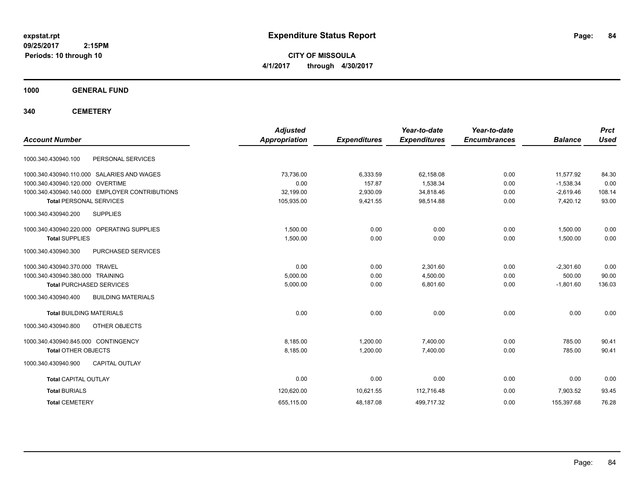**CITY OF MISSOULA 4/1/2017 through 4/30/2017**

**1000 GENERAL FUND**

**340 CEMETERY**

| <b>Account Number</b>                            | <b>Adjusted</b><br><b>Appropriation</b> | <b>Expenditures</b> | Year-to-date<br><b>Expenditures</b> | Year-to-date<br><b>Encumbrances</b> | <b>Balance</b> | <b>Prct</b><br><b>Used</b> |
|--------------------------------------------------|-----------------------------------------|---------------------|-------------------------------------|-------------------------------------|----------------|----------------------------|
|                                                  |                                         |                     |                                     |                                     |                |                            |
| 1000.340.430940.100<br>PERSONAL SERVICES         |                                         |                     |                                     |                                     |                |                            |
| 1000.340.430940.110.000 SALARIES AND WAGES       | 73,736.00                               | 6,333.59            | 62,158.08                           | 0.00                                | 11,577.92      | 84.30                      |
| 1000.340.430940.120.000 OVERTIME                 | 0.00                                    | 157.87              | 1,538.34                            | 0.00                                | $-1,538.34$    | 0.00                       |
| 1000.340.430940.140.000 EMPLOYER CONTRIBUTIONS   | 32,199.00                               | 2,930.09            | 34,818.46                           | 0.00                                | $-2,619.46$    | 108.14                     |
| <b>Total PERSONAL SERVICES</b>                   | 105,935.00                              | 9,421.55            | 98,514.88                           | 0.00                                | 7,420.12       | 93.00                      |
| <b>SUPPLIES</b><br>1000.340.430940.200           |                                         |                     |                                     |                                     |                |                            |
| 1000.340.430940.220.000 OPERATING SUPPLIES       | 1.500.00                                | 0.00                | 0.00                                | 0.00                                | 1.500.00       | 0.00                       |
| <b>Total SUPPLIES</b>                            | 1,500.00                                | 0.00                | 0.00                                | 0.00                                | 1,500.00       | 0.00                       |
| 1000.340.430940.300<br>PURCHASED SERVICES        |                                         |                     |                                     |                                     |                |                            |
| 1000.340.430940.370.000 TRAVEL                   | 0.00                                    | 0.00                | 2.301.60                            | 0.00                                | $-2,301.60$    | 0.00                       |
| 1000.340.430940.380.000 TRAINING                 | 5,000.00                                | 0.00                | 4,500.00                            | 0.00                                | 500.00         | 90.00                      |
| <b>Total PURCHASED SERVICES</b>                  | 5,000.00                                | 0.00                | 6,801.60                            | 0.00                                | $-1,801.60$    | 136.03                     |
| 1000.340.430940.400<br><b>BUILDING MATERIALS</b> |                                         |                     |                                     |                                     |                |                            |
| <b>Total BUILDING MATERIALS</b>                  | 0.00                                    | 0.00                | 0.00                                | 0.00                                | 0.00           | 0.00                       |
| 1000.340.430940.800<br>OTHER OBJECTS             |                                         |                     |                                     |                                     |                |                            |
| 1000.340.430940.845.000 CONTINGENCY              | 8.185.00                                | 1.200.00            | 7.400.00                            | 0.00                                | 785.00         | 90.41                      |
| <b>Total OTHER OBJECTS</b>                       | 8,185.00                                | 1,200.00            | 7,400.00                            | 0.00                                | 785.00         | 90.41                      |
| CAPITAL OUTLAY<br>1000.340.430940.900            |                                         |                     |                                     |                                     |                |                            |
| <b>Total CAPITAL OUTLAY</b>                      | 0.00                                    | 0.00                | 0.00                                | 0.00                                | 0.00           | 0.00                       |
| <b>Total BURIALS</b>                             | 120,620.00                              | 10,621.55           | 112,716.48                          | 0.00                                | 7.903.52       | 93.45                      |
| <b>Total CEMETERY</b>                            | 655,115.00                              | 48,187.08           | 499,717.32                          | 0.00                                | 155,397.68     | 76.28                      |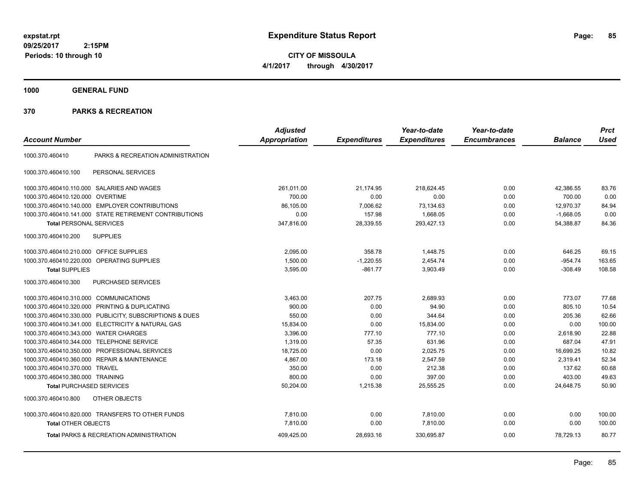**CITY OF MISSOULA 4/1/2017 through 4/30/2017**

**1000 GENERAL FUND**

|                                         |                                                         | <b>Adjusted</b>      |                     | Year-to-date        | Year-to-date        |                | <b>Prct</b> |
|-----------------------------------------|---------------------------------------------------------|----------------------|---------------------|---------------------|---------------------|----------------|-------------|
| <b>Account Number</b>                   |                                                         | <b>Appropriation</b> | <b>Expenditures</b> | <b>Expenditures</b> | <b>Encumbrances</b> | <b>Balance</b> | <b>Used</b> |
| 1000.370.460410                         | PARKS & RECREATION ADMINISTRATION                       |                      |                     |                     |                     |                |             |
| 1000.370.460410.100                     | PERSONAL SERVICES                                       |                      |                     |                     |                     |                |             |
|                                         | 1000.370.460410.110.000 SALARIES AND WAGES              | 261,011.00           | 21,174.95           | 218,624.45          | 0.00                | 42,386.55      | 83.76       |
| 1000.370.460410.120.000                 | <b>OVERTIME</b>                                         | 700.00               | 0.00                | 0.00                | 0.00                | 700.00         | 0.00        |
|                                         | 1000.370.460410.140.000 EMPLOYER CONTRIBUTIONS          | 86,105.00            | 7,006.62            | 73,134.63           | 0.00                | 12,970.37      | 84.94       |
|                                         | 1000.370.460410.141.000 STATE RETIREMENT CONTRIBUTIONS  | 0.00                 | 157.98              | 1,668.05            | 0.00                | $-1,668.05$    | 0.00        |
| <b>Total PERSONAL SERVICES</b>          |                                                         | 347,816.00           | 28,339.55           | 293,427.13          | 0.00                | 54,388.87      | 84.36       |
| 1000.370.460410.200                     | <b>SUPPLIES</b>                                         |                      |                     |                     |                     |                |             |
| 1000.370.460410.210.000 OFFICE SUPPLIES |                                                         | 2,095.00             | 358.78              | 1,448.75            | 0.00                | 646.25         | 69.15       |
|                                         | 1000.370.460410.220.000 OPERATING SUPPLIES              | 1,500.00             | $-1,220.55$         | 2,454.74            | 0.00                | $-954.74$      | 163.65      |
| <b>Total SUPPLIES</b>                   |                                                         | 3,595.00             | $-861.77$           | 3,903.49            | 0.00                | $-308.49$      | 108.58      |
| 1000.370.460410.300                     | PURCHASED SERVICES                                      |                      |                     |                     |                     |                |             |
| 1000.370.460410.310.000 COMMUNICATIONS  |                                                         | 3,463.00             | 207.75              | 2,689.93            | 0.00                | 773.07         | 77.68       |
| 1000.370.460410.320.000                 | PRINTING & DUPLICATING                                  | 900.00               | 0.00                | 94.90               | 0.00                | 805.10         | 10.54       |
|                                         | 1000.370.460410.330.000 PUBLICITY, SUBSCRIPTIONS & DUES | 550.00               | 0.00                | 344.64              | 0.00                | 205.36         | 62.66       |
|                                         | 1000.370.460410.341.000 ELECTRICITY & NATURAL GAS       | 15,834.00            | 0.00                | 15,834.00           | 0.00                | 0.00           | 100.00      |
| 1000.370.460410.343.000                 | <b>WATER CHARGES</b>                                    | 3,396.00             | 777.10              | 777.10              | 0.00                | 2,618.90       | 22.88       |
| 1000.370.460410.344.000                 | <b>TELEPHONE SERVICE</b>                                | 1,319.00             | 57.35               | 631.96              | 0.00                | 687.04         | 47.91       |
| 1000.370.460410.350.000                 | PROFESSIONAL SERVICES                                   | 18,725.00            | 0.00                | 2,025.75            | 0.00                | 16,699.25      | 10.82       |
|                                         | 1000.370.460410.360.000 REPAIR & MAINTENANCE            | 4,867.00             | 173.18              | 2,547.59            | 0.00                | 2,319.41       | 52.34       |
| 1000.370.460410.370.000                 | <b>TRAVEL</b>                                           | 350.00               | 0.00                | 212.38              | 0.00                | 137.62         | 60.68       |
| 1000.370.460410.380.000 TRAINING        |                                                         | 800.00               | 0.00                | 397.00              | 0.00                | 403.00         | 49.63       |
| <b>Total PURCHASED SERVICES</b>         |                                                         | 50,204.00            | 1,215.38            | 25,555.25           | 0.00                | 24,648.75      | 50.90       |
| 1000.370.460410.800                     | OTHER OBJECTS                                           |                      |                     |                     |                     |                |             |
|                                         | 1000.370.460410.820.000 TRANSFERS TO OTHER FUNDS        | 7,810.00             | 0.00                | 7,810.00            | 0.00                | 0.00           | 100.00      |
| <b>Total OTHER OBJECTS</b>              |                                                         | 7,810.00             | 0.00                | 7,810.00            | 0.00                | 0.00           | 100.00      |
|                                         | <b>Total PARKS &amp; RECREATION ADMINISTRATION</b>      | 409,425.00           | 28,693.16           | 330,695.87          | 0.00                | 78,729.13      | 80.77       |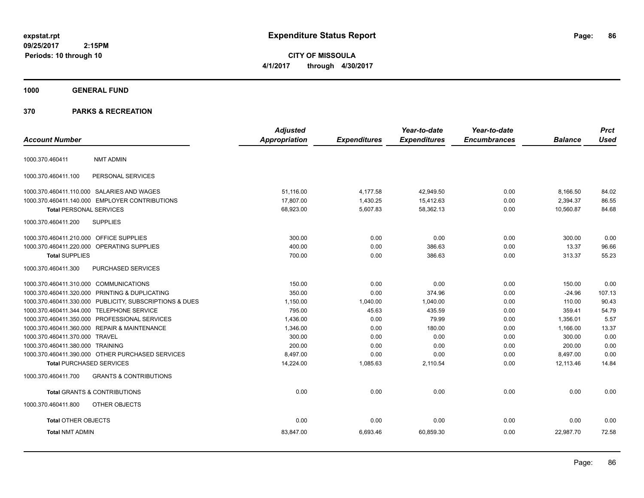**CITY OF MISSOULA 4/1/2017 through 4/30/2017**

# **1000 GENERAL FUND**

| <b>Account Number</b>                   |                                                         | <b>Adjusted</b><br>Appropriation | <b>Expenditures</b> | Year-to-date<br><b>Expenditures</b> | Year-to-date<br><b>Encumbrances</b> | <b>Balance</b> | <b>Prct</b><br><b>Used</b> |
|-----------------------------------------|---------------------------------------------------------|----------------------------------|---------------------|-------------------------------------|-------------------------------------|----------------|----------------------------|
|                                         |                                                         |                                  |                     |                                     |                                     |                |                            |
| 1000.370.460411                         | <b>NMT ADMIN</b>                                        |                                  |                     |                                     |                                     |                |                            |
| 1000.370.460411.100                     | PERSONAL SERVICES                                       |                                  |                     |                                     |                                     |                |                            |
|                                         | 1000.370.460411.110.000 SALARIES AND WAGES              | 51,116.00                        | 4,177.58            | 42,949.50                           | 0.00                                | 8,166.50       | 84.02                      |
|                                         | 1000.370.460411.140.000 EMPLOYER CONTRIBUTIONS          | 17,807.00                        | 1,430.25            | 15,412.63                           | 0.00                                | 2,394.37       | 86.55                      |
| <b>Total PERSONAL SERVICES</b>          |                                                         | 68,923.00                        | 5,607.83            | 58,362.13                           | 0.00                                | 10,560.87      | 84.68                      |
| 1000.370.460411.200                     | <b>SUPPLIES</b>                                         |                                  |                     |                                     |                                     |                |                            |
| 1000.370.460411.210.000 OFFICE SUPPLIES |                                                         | 300.00                           | 0.00                | 0.00                                | 0.00                                | 300.00         | 0.00                       |
|                                         | 1000.370.460411.220.000 OPERATING SUPPLIES              | 400.00                           | 0.00                | 386.63                              | 0.00                                | 13.37          | 96.66                      |
| <b>Total SUPPLIES</b>                   |                                                         | 700.00                           | 0.00                | 386.63                              | 0.00                                | 313.37         | 55.23                      |
| 1000.370.460411.300                     | PURCHASED SERVICES                                      |                                  |                     |                                     |                                     |                |                            |
| 1000.370.460411.310.000 COMMUNICATIONS  |                                                         | 150.00                           | 0.00                | 0.00                                | 0.00                                | 150.00         | 0.00                       |
|                                         | 1000.370.460411.320.000 PRINTING & DUPLICATING          | 350.00                           | 0.00                | 374.96                              | 0.00                                | $-24.96$       | 107.13                     |
|                                         | 1000.370.460411.330.000 PUBLICITY, SUBSCRIPTIONS & DUES | 1,150.00                         | 1,040.00            | 1.040.00                            | 0.00                                | 110.00         | 90.43                      |
|                                         | 1000.370.460411.344.000 TELEPHONE SERVICE               | 795.00                           | 45.63               | 435.59                              | 0.00                                | 359.41         | 54.79                      |
|                                         | 1000.370.460411.350.000 PROFESSIONAL SERVICES           | 1,436.00                         | 0.00                | 79.99                               | 0.00                                | 1,356.01       | 5.57                       |
|                                         | 1000.370.460411.360.000 REPAIR & MAINTENANCE            | 1,346.00                         | 0.00                | 180.00                              | 0.00                                | 1,166.00       | 13.37                      |
| 1000.370.460411.370.000 TRAVEL          |                                                         | 300.00                           | 0.00                | 0.00                                | 0.00                                | 300.00         | 0.00                       |
| 1000.370.460411.380.000 TRAINING        |                                                         | 200.00                           | 0.00                | 0.00                                | 0.00                                | 200.00         | 0.00                       |
|                                         | 1000.370.460411.390.000 OTHER PURCHASED SERVICES        | 8,497.00                         | 0.00                | 0.00                                | 0.00                                | 8,497.00       | 0.00                       |
| <b>Total PURCHASED SERVICES</b>         |                                                         | 14,224.00                        | 1,085.63            | 2,110.54                            | 0.00                                | 12,113.46      | 14.84                      |
| 1000.370.460411.700                     | <b>GRANTS &amp; CONTRIBUTIONS</b>                       |                                  |                     |                                     |                                     |                |                            |
|                                         | <b>Total GRANTS &amp; CONTRIBUTIONS</b>                 | 0.00                             | 0.00                | 0.00                                | 0.00                                | 0.00           | 0.00                       |
| 1000.370.460411.800                     | OTHER OBJECTS                                           |                                  |                     |                                     |                                     |                |                            |
| <b>Total OTHER OBJECTS</b>              |                                                         | 0.00                             | 0.00                | 0.00                                | 0.00                                | 0.00           | 0.00                       |
| <b>Total NMT ADMIN</b>                  |                                                         | 83,847.00                        | 6,693.46            | 60,859.30                           | 0.00                                | 22,987.70      | 72.58                      |
|                                         |                                                         |                                  |                     |                                     |                                     |                |                            |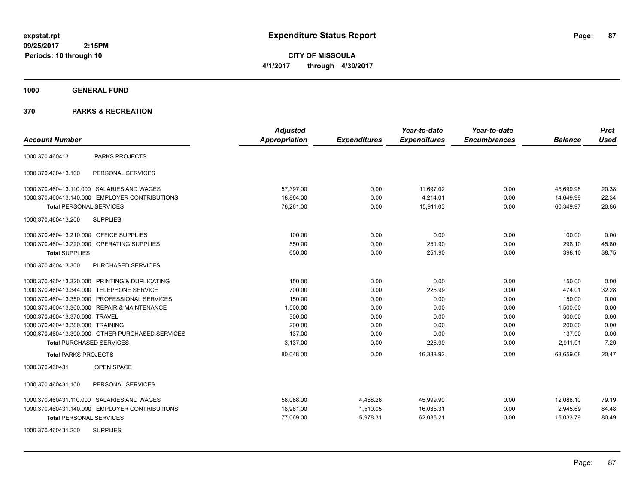**CITY OF MISSOULA 4/1/2017 through 4/30/2017**

**1000 GENERAL FUND**

| <b>Account Number</b>                            | <b>Adjusted</b><br><b>Appropriation</b> | <b>Expenditures</b> | Year-to-date<br><b>Expenditures</b> | Year-to-date<br><b>Encumbrances</b> | <b>Balance</b> | <b>Prct</b><br><b>Used</b> |
|--------------------------------------------------|-----------------------------------------|---------------------|-------------------------------------|-------------------------------------|----------------|----------------------------|
| <b>PARKS PROJECTS</b><br>1000.370.460413         |                                         |                     |                                     |                                     |                |                            |
| PERSONAL SERVICES<br>1000.370.460413.100         |                                         |                     |                                     |                                     |                |                            |
| 1000.370.460413.110.000 SALARIES AND WAGES       | 57,397.00                               | 0.00                | 11,697.02                           | 0.00                                | 45,699.98      | 20.38                      |
| 1000.370.460413.140.000 EMPLOYER CONTRIBUTIONS   | 18,864.00                               | 0.00                | 4,214.01                            | 0.00                                | 14,649.99      | 22.34                      |
| <b>Total PERSONAL SERVICES</b>                   | 76.261.00                               | 0.00                | 15.911.03                           | 0.00                                | 60.349.97      | 20.86                      |
| 1000.370.460413.200<br><b>SUPPLIES</b>           |                                         |                     |                                     |                                     |                |                            |
| 1000.370.460413.210.000 OFFICE SUPPLIES          | 100.00                                  | 0.00                | 0.00                                | 0.00                                | 100.00         | 0.00                       |
| 1000.370.460413.220.000 OPERATING SUPPLIES       | 550.00                                  | 0.00                | 251.90                              | 0.00                                | 298.10         | 45.80                      |
| <b>Total SUPPLIES</b>                            | 650.00                                  | 0.00                | 251.90                              | 0.00                                | 398.10         | 38.75                      |
| 1000.370.460413.300<br>PURCHASED SERVICES        |                                         |                     |                                     |                                     |                |                            |
| 1000.370.460413.320.000 PRINTING & DUPLICATING   | 150.00                                  | 0.00                | 0.00                                | 0.00                                | 150.00         | 0.00                       |
| 1000.370.460413.344.000 TELEPHONE SERVICE        | 700.00                                  | 0.00                | 225.99                              | 0.00                                | 474.01         | 32.28                      |
| 1000.370.460413.350.000 PROFESSIONAL SERVICES    | 150.00                                  | 0.00                | 0.00                                | 0.00                                | 150.00         | 0.00                       |
| 1000.370.460413.360.000 REPAIR & MAINTENANCE     | 1,500.00                                | 0.00                | 0.00                                | 0.00                                | 1,500.00       | 0.00                       |
| 1000.370.460413.370.000 TRAVEL                   | 300.00                                  | 0.00                | 0.00                                | 0.00                                | 300.00         | 0.00                       |
| 1000.370.460413.380.000 TRAINING                 | 200.00                                  | 0.00                | 0.00                                | 0.00                                | 200.00         | 0.00                       |
| 1000.370.460413.390.000 OTHER PURCHASED SERVICES | 137.00                                  | 0.00                | 0.00                                | 0.00                                | 137.00         | 0.00                       |
| <b>Total PURCHASED SERVICES</b>                  | 3,137.00                                | 0.00                | 225.99                              | 0.00                                | 2,911.01       | 7.20                       |
| <b>Total PARKS PROJECTS</b>                      | 80,048.00                               | 0.00                | 16,388.92                           | 0.00                                | 63.659.08      | 20.47                      |
| 1000.370.460431<br><b>OPEN SPACE</b>             |                                         |                     |                                     |                                     |                |                            |
| 1000.370.460431.100<br>PERSONAL SERVICES         |                                         |                     |                                     |                                     |                |                            |
| 1000.370.460431.110.000 SALARIES AND WAGES       | 58.088.00                               | 4,468.26            | 45,999.90                           | 0.00                                | 12,088.10      | 79.19                      |
| 1000.370.460431.140.000 EMPLOYER CONTRIBUTIONS   | 18,981.00                               | 1,510.05            | 16,035.31                           | 0.00                                | 2,945.69       | 84.48                      |
| <b>Total PERSONAL SERVICES</b>                   | 77,069.00                               | 5,978.31            | 62,035.21                           | 0.00                                | 15,033.79      | 80.49                      |
| <b>SUPPLIES</b><br>1000.370.460431.200           |                                         |                     |                                     |                                     |                |                            |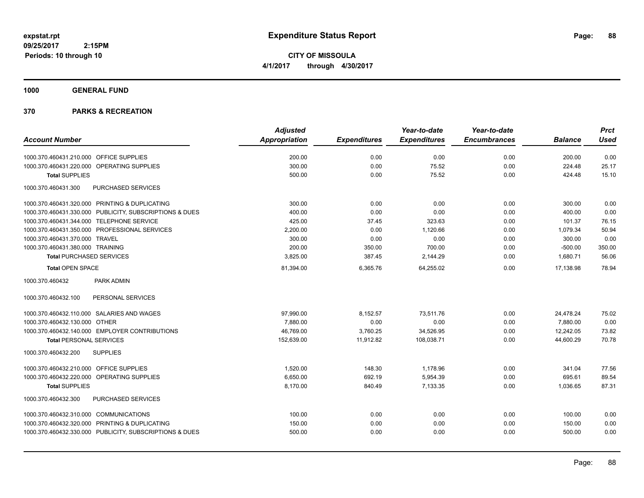**CITY OF MISSOULA 4/1/2017 through 4/30/2017**

**1000 GENERAL FUND**

| <b>Account Number</b>                                   | <b>Adjusted</b><br>Appropriation | <b>Expenditures</b> | Year-to-date<br><b>Expenditures</b> | Year-to-date<br><b>Encumbrances</b> | <b>Balance</b> | <b>Prct</b><br><b>Used</b> |
|---------------------------------------------------------|----------------------------------|---------------------|-------------------------------------|-------------------------------------|----------------|----------------------------|
|                                                         |                                  |                     |                                     |                                     |                |                            |
| 1000.370.460431.210.000 OFFICE SUPPLIES                 | 200.00                           | 0.00                | 0.00                                | 0.00                                | 200.00         | 0.00                       |
| 1000.370.460431.220.000 OPERATING SUPPLIES              | 300.00                           | 0.00                | 75.52                               | 0.00                                | 224.48         | 25.17                      |
| <b>Total SUPPLIES</b>                                   | 500.00                           | 0.00                | 75.52                               | 0.00                                | 424.48         | 15.10                      |
| PURCHASED SERVICES<br>1000.370.460431.300               |                                  |                     |                                     |                                     |                |                            |
| 1000.370.460431.320.000 PRINTING & DUPLICATING          | 300.00                           | 0.00                | 0.00                                | 0.00                                | 300.00         | 0.00                       |
| 1000.370.460431.330.000 PUBLICITY, SUBSCRIPTIONS & DUES | 400.00                           | 0.00                | 0.00                                | 0.00                                | 400.00         | 0.00                       |
| 1000.370.460431.344.000 TELEPHONE SERVICE               | 425.00                           | 37.45               | 323.63                              | 0.00                                | 101.37         | 76.15                      |
| 1000.370.460431.350.000 PROFESSIONAL SERVICES           | 2,200.00                         | 0.00                | 1,120.66                            | 0.00                                | 1,079.34       | 50.94                      |
| 1000.370.460431.370.000 TRAVEL                          | 300.00                           | 0.00                | 0.00                                | 0.00                                | 300.00         | 0.00                       |
| 1000.370.460431.380.000 TRAINING                        | 200.00                           | 350.00              | 700.00                              | 0.00                                | $-500.00$      | 350.00                     |
| <b>Total PURCHASED SERVICES</b>                         | 3,825.00                         | 387.45              | 2,144.29                            | 0.00                                | 1,680.71       | 56.06                      |
| <b>Total OPEN SPACE</b>                                 | 81,394.00                        | 6,365.76            | 64,255.02                           | 0.00                                | 17,138.98      | 78.94                      |
| PARK ADMIN<br>1000.370.460432                           |                                  |                     |                                     |                                     |                |                            |
| PERSONAL SERVICES<br>1000.370.460432.100                |                                  |                     |                                     |                                     |                |                            |
| 1000.370.460432.110.000 SALARIES AND WAGES              | 97,990.00                        | 8,152.57            | 73.511.76                           | 0.00                                | 24,478.24      | 75.02                      |
| 1000.370.460432.130.000 OTHER                           | 7,880.00                         | 0.00                | 0.00                                | 0.00                                | 7,880.00       | 0.00                       |
| 1000.370.460432.140.000 EMPLOYER CONTRIBUTIONS          | 46,769.00                        | 3,760.25            | 34,526.95                           | 0.00                                | 12,242.05      | 73.82                      |
| <b>Total PERSONAL SERVICES</b>                          | 152,639.00                       | 11,912.82           | 108,038.71                          | 0.00                                | 44,600.29      | 70.78                      |
| <b>SUPPLIES</b><br>1000.370.460432.200                  |                                  |                     |                                     |                                     |                |                            |
| 1000.370.460432.210.000 OFFICE SUPPLIES                 | 1,520.00                         | 148.30              | 1,178.96                            | 0.00                                | 341.04         | 77.56                      |
| 1000.370.460432.220.000<br>OPERATING SUPPLIES           | 6,650.00                         | 692.19              | 5,954.39                            | 0.00                                | 695.61         | 89.54                      |
| <b>Total SUPPLIES</b>                                   | 8,170.00                         | 840.49              | 7,133.35                            | 0.00                                | 1,036.65       | 87.31                      |
| <b>PURCHASED SERVICES</b><br>1000.370.460432.300        |                                  |                     |                                     |                                     |                |                            |
| 1000.370.460432.310.000 COMMUNICATIONS                  | 100.00                           | 0.00                | 0.00                                | 0.00                                | 100.00         | 0.00                       |
| 1000.370.460432.320.000 PRINTING & DUPLICATING          | 150.00                           | 0.00                | 0.00                                | 0.00                                | 150.00         | 0.00                       |
| 1000.370.460432.330.000 PUBLICITY, SUBSCRIPTIONS & DUES | 500.00                           | 0.00                | 0.00                                | 0.00                                | 500.00         | 0.00                       |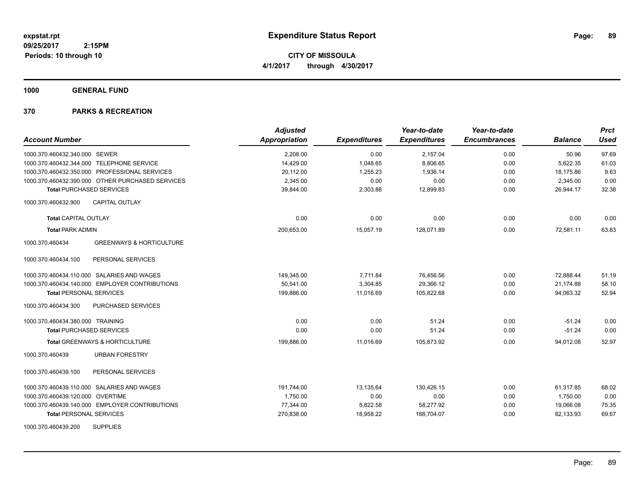**CITY OF MISSOULA 4/1/2017 through 4/30/2017**

**1000 GENERAL FUND**

| <b>Account Number</b>                                  | <b>Adjusted</b><br>Appropriation | <b>Expenditures</b> | Year-to-date<br><b>Expenditures</b> | Year-to-date<br><b>Encumbrances</b> | <b>Balance</b> | <b>Prct</b><br><b>Used</b> |
|--------------------------------------------------------|----------------------------------|---------------------|-------------------------------------|-------------------------------------|----------------|----------------------------|
| 1000.370.460432.340.000 SEWER                          | 2,208.00                         | 0.00                | 2,157.04                            | 0.00                                | 50.96          | 97.69                      |
| 1000.370.460432.344.000 TELEPHONE SERVICE              | 14,429.00                        | 1,048.65            | 8,806.65                            | 0.00                                | 5,622.35       | 61.03                      |
| 1000.370.460432.350.000 PROFESSIONAL SERVICES          | 20,112.00                        | 1,255.23            | 1,936.14                            | 0.00                                | 18,175.86      | 9.63                       |
| 1000.370.460432.390.000 OTHER PURCHASED SERVICES       | 2,345.00                         | 0.00                | 0.00                                | 0.00                                | 2,345.00       | 0.00                       |
| <b>Total PURCHASED SERVICES</b>                        | 39,844.00                        | 2,303.88            | 12,899.83                           | 0.00                                | 26.944.17      | 32.38                      |
| <b>CAPITAL OUTLAY</b><br>1000.370.460432.900           |                                  |                     |                                     |                                     |                |                            |
| <b>Total CAPITAL OUTLAY</b>                            | 0.00                             | 0.00                | 0.00                                | 0.00                                | 0.00           | 0.00                       |
| <b>Total PARK ADMIN</b>                                | 200.653.00                       | 15,057.19           | 128.071.89                          | 0.00                                | 72.581.11      | 63.83                      |
| 1000.370.460434<br><b>GREENWAYS &amp; HORTICULTURE</b> |                                  |                     |                                     |                                     |                |                            |
| 1000.370.460434.100<br>PERSONAL SERVICES               |                                  |                     |                                     |                                     |                |                            |
| 1000.370.460434.110.000 SALARIES AND WAGES             | 149,345.00                       | 7,711.84            | 76,456.56                           | 0.00                                | 72,888.44      | 51.19                      |
| 1000.370.460434.140.000 EMPLOYER CONTRIBUTIONS         | 50,541.00                        | 3,304.85            | 29,366.12                           | 0.00                                | 21,174.88      | 58.10                      |
| <b>Total PERSONAL SERVICES</b>                         | 199,886.00                       | 11,016.69           | 105,822.68                          | 0.00                                | 94,063.32      | 52.94                      |
| 1000.370.460434.300<br>PURCHASED SERVICES              |                                  |                     |                                     |                                     |                |                            |
| 1000.370.460434.380.000 TRAINING                       | 0.00                             | 0.00                | 51.24                               | 0.00                                | $-51.24$       | 0.00                       |
| <b>Total PURCHASED SERVICES</b>                        | 0.00                             | 0.00                | 51.24                               | 0.00                                | $-51.24$       | 0.00                       |
| Total GREENWAYS & HORTICULTURE                         | 199,886.00                       | 11,016.69           | 105,873.92                          | 0.00                                | 94,012.08      | 52.97                      |
| <b>URBAN FORESTRY</b><br>1000.370.460439               |                                  |                     |                                     |                                     |                |                            |
| 1000.370.460439.100<br>PERSONAL SERVICES               |                                  |                     |                                     |                                     |                |                            |
| 1000.370.460439.110.000 SALARIES AND WAGES             | 191.744.00                       | 13,135.64           | 130,426.15                          | 0.00                                | 61,317.85      | 68.02                      |
| 1000.370.460439.120.000 OVERTIME                       | 1,750.00                         | 0.00                | 0.00                                | 0.00                                | 1,750.00       | 0.00                       |
| 1000.370.460439.140.000 EMPLOYER CONTRIBUTIONS         | 77,344.00                        | 5,822.58            | 58,277.92                           | 0.00                                | 19,066.08      | 75.35                      |
| <b>Total PERSONAL SERVICES</b>                         | 270,838.00                       | 18,958.22           | 188,704.07                          | 0.00                                | 82,133.93      | 69.67                      |
| <b>SUPPLIES</b><br>1000.370.460439.200                 |                                  |                     |                                     |                                     |                |                            |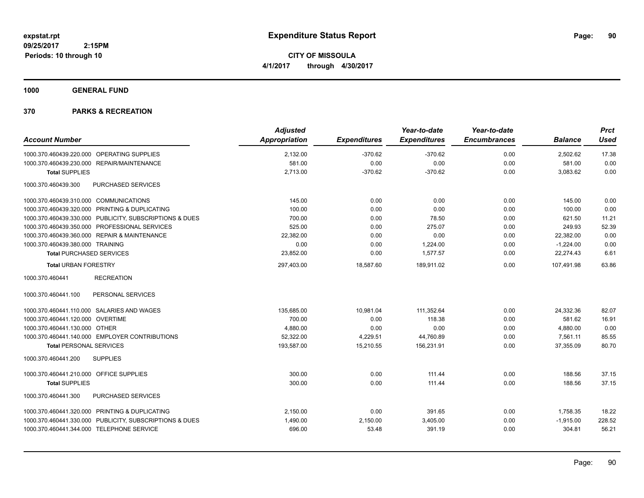**CITY OF MISSOULA 4/1/2017 through 4/30/2017**

**1000 GENERAL FUND**

| <b>Account Number</b>                   |                                                         | <b>Adjusted</b><br><b>Appropriation</b> | <b>Expenditures</b> | Year-to-date<br><b>Expenditures</b> | Year-to-date<br><b>Encumbrances</b> | <b>Balance</b> | <b>Prct</b><br><b>Used</b> |
|-----------------------------------------|---------------------------------------------------------|-----------------------------------------|---------------------|-------------------------------------|-------------------------------------|----------------|----------------------------|
|                                         |                                                         |                                         |                     |                                     |                                     |                |                            |
|                                         | 1000.370.460439.220.000 OPERATING SUPPLIES              | 2,132.00                                | $-370.62$           | $-370.62$                           | 0.00                                | 2,502.62       | 17.38                      |
|                                         | 1000.370.460439.230.000 REPAIR/MAINTENANCE              | 581.00                                  | 0.00                | 0.00                                | 0.00                                | 581.00         | 0.00                       |
| <b>Total SUPPLIES</b>                   |                                                         | 2,713.00                                | $-370.62$           | $-370.62$                           | 0.00                                | 3,083.62       | 0.00                       |
| 1000.370.460439.300                     | PURCHASED SERVICES                                      |                                         |                     |                                     |                                     |                |                            |
| 1000.370.460439.310.000 COMMUNICATIONS  |                                                         | 145.00                                  | 0.00                | 0.00                                | 0.00                                | 145.00         | 0.00                       |
|                                         | 1000.370.460439.320.000 PRINTING & DUPLICATING          | 100.00                                  | 0.00                | 0.00                                | 0.00                                | 100.00         | 0.00                       |
|                                         | 1000.370.460439.330.000 PUBLICITY, SUBSCRIPTIONS & DUES | 700.00                                  | 0.00                | 78.50                               | 0.00                                | 621.50         | 11.21                      |
|                                         | 1000.370.460439.350.000 PROFESSIONAL SERVICES           | 525.00                                  | 0.00                | 275.07                              | 0.00                                | 249.93         | 52.39                      |
|                                         | 1000.370.460439.360.000 REPAIR & MAINTENANCE            | 22,382.00                               | 0.00                | 0.00                                | 0.00                                | 22,382.00      | 0.00                       |
| 1000.370.460439.380.000 TRAINING        |                                                         | 0.00                                    | 0.00                | 1,224.00                            | 0.00                                | $-1,224.00$    | 0.00                       |
| <b>Total PURCHASED SERVICES</b>         |                                                         | 23,852.00                               | 0.00                | 1,577.57                            | 0.00                                | 22,274.43      | 6.61                       |
| <b>Total URBAN FORESTRY</b>             |                                                         | 297,403.00                              | 18,587.60           | 189,911.02                          | 0.00                                | 107,491.98     | 63.86                      |
| 1000.370.460441                         | <b>RECREATION</b>                                       |                                         |                     |                                     |                                     |                |                            |
| 1000.370.460441.100                     | PERSONAL SERVICES                                       |                                         |                     |                                     |                                     |                |                            |
|                                         | 1000.370.460441.110.000 SALARIES AND WAGES              | 135,685.00                              | 10,981.04           | 111,352.64                          | 0.00                                | 24,332.36      | 82.07                      |
| 1000.370.460441.120.000 OVERTIME        |                                                         | 700.00                                  | 0.00                | 118.38                              | 0.00                                | 581.62         | 16.91                      |
| 1000.370.460441.130.000 OTHER           |                                                         | 4,880.00                                | 0.00                | 0.00                                | 0.00                                | 4,880.00       | 0.00                       |
|                                         | 1000.370.460441.140.000 EMPLOYER CONTRIBUTIONS          | 52,322.00                               | 4,229.51            | 44,760.89                           | 0.00                                | 7,561.11       | 85.55                      |
| <b>Total PERSONAL SERVICES</b>          |                                                         | 193,587.00                              | 15,210.55           | 156,231.91                          | 0.00                                | 37,355.09      | 80.70                      |
| 1000.370.460441.200                     | <b>SUPPLIES</b>                                         |                                         |                     |                                     |                                     |                |                            |
| 1000.370.460441.210.000 OFFICE SUPPLIES |                                                         | 300.00                                  | 0.00                | 111.44                              | 0.00                                | 188.56         | 37.15                      |
| <b>Total SUPPLIES</b>                   |                                                         | 300.00                                  | 0.00                | 111.44                              | 0.00                                | 188.56         | 37.15                      |
| 1000.370.460441.300                     | PURCHASED SERVICES                                      |                                         |                     |                                     |                                     |                |                            |
|                                         | 1000.370.460441.320.000 PRINTING & DUPLICATING          | 2,150.00                                | 0.00                | 391.65                              | 0.00                                | 1,758.35       | 18.22                      |
|                                         | 1000.370.460441.330.000 PUBLICITY, SUBSCRIPTIONS & DUES | 1,490.00                                | 2,150.00            | 3,405.00                            | 0.00                                | $-1,915.00$    | 228.52                     |
|                                         | 1000.370.460441.344.000 TELEPHONE SERVICE               | 696.00                                  | 53.48               | 391.19                              | 0.00                                | 304.81         | 56.21                      |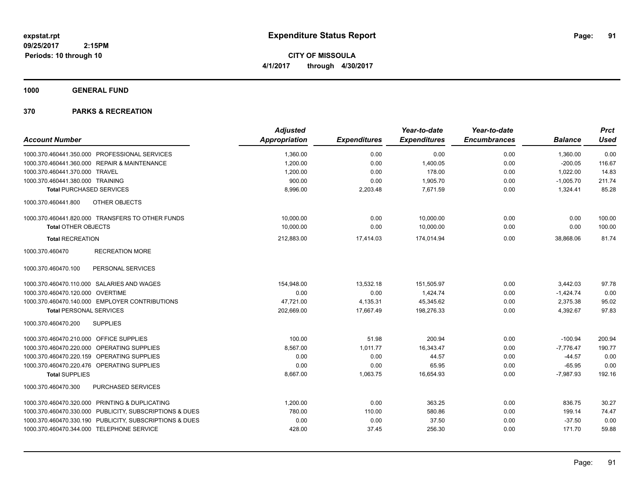**CITY OF MISSOULA 4/1/2017 through 4/30/2017**

**1000 GENERAL FUND**

|                                                         | <b>Adjusted</b>      |                     | Year-to-date        | Year-to-date        |                | <b>Prct</b> |
|---------------------------------------------------------|----------------------|---------------------|---------------------|---------------------|----------------|-------------|
| <b>Account Number</b>                                   | <b>Appropriation</b> | <b>Expenditures</b> | <b>Expenditures</b> | <b>Encumbrances</b> | <b>Balance</b> | <b>Used</b> |
| 1000.370.460441.350.000 PROFESSIONAL SERVICES           | 1,360.00             | 0.00                | 0.00                | 0.00                | 1,360.00       | 0.00        |
| 1000.370.460441.360.000 REPAIR & MAINTENANCE            | 1,200.00             | 0.00                | 1,400.05            | 0.00                | $-200.05$      | 116.67      |
| 1000.370.460441.370.000 TRAVEL                          | 1,200.00             | 0.00                | 178.00              | 0.00                | 1,022.00       | 14.83       |
| 1000.370.460441.380.000 TRAINING                        | 900.00               | 0.00                | 1,905.70            | 0.00                | $-1,005.70$    | 211.74      |
| <b>Total PURCHASED SERVICES</b>                         | 8,996.00             | 2,203.48            | 7,671.59            | 0.00                | 1,324.41       | 85.28       |
| 1000.370.460441.800<br>OTHER OBJECTS                    |                      |                     |                     |                     |                |             |
| 1000.370.460441.820.000 TRANSFERS TO OTHER FUNDS        | 10,000.00            | 0.00                | 10,000.00           | 0.00                | 0.00           | 100.00      |
| <b>Total OTHER OBJECTS</b>                              | 10,000.00            | 0.00                | 10,000.00           | 0.00                | 0.00           | 100.00      |
| <b>Total RECREATION</b>                                 | 212,883.00           | 17,414.03           | 174,014.94          | 0.00                | 38,868.06      | 81.74       |
| 1000.370.460470<br><b>RECREATION MORE</b>               |                      |                     |                     |                     |                |             |
| PERSONAL SERVICES<br>1000.370.460470.100                |                      |                     |                     |                     |                |             |
| 1000.370.460470.110.000 SALARIES AND WAGES              | 154,948.00           | 13,532.18           | 151,505.97          | 0.00                | 3,442.03       | 97.78       |
| 1000.370.460470.120.000 OVERTIME                        | 0.00                 | 0.00                | 1,424.74            | 0.00                | $-1,424.74$    | 0.00        |
| 1000.370.460470.140.000 EMPLOYER CONTRIBUTIONS          | 47,721.00            | 4,135.31            | 45,345.62           | 0.00                | 2,375.38       | 95.02       |
| <b>Total PERSONAL SERVICES</b>                          | 202,669.00           | 17,667.49           | 198,276.33          | 0.00                | 4,392.67       | 97.83       |
| 1000.370.460470.200<br><b>SUPPLIES</b>                  |                      |                     |                     |                     |                |             |
| 1000.370.460470.210.000 OFFICE SUPPLIES                 | 100.00               | 51.98               | 200.94              | 0.00                | $-100.94$      | 200.94      |
| 1000.370.460470.220.000 OPERATING SUPPLIES              | 8,567.00             | 1,011.77            | 16,343.47           | 0.00                | $-7,776.47$    | 190.77      |
| 1000.370.460470.220.159 OPERATING SUPPLIES              | 0.00                 | 0.00                | 44.57               | 0.00                | $-44.57$       | 0.00        |
| 1000.370.460470.220.476 OPERATING SUPPLIES              | 0.00                 | 0.00                | 65.95               | 0.00                | $-65.95$       | 0.00        |
| <b>Total SUPPLIES</b>                                   | 8,667.00             | 1,063.75            | 16,654.93           | 0.00                | $-7,987.93$    | 192.16      |
| PURCHASED SERVICES<br>1000.370.460470.300               |                      |                     |                     |                     |                |             |
| 1000.370.460470.320.000 PRINTING & DUPLICATING          | 1,200.00             | 0.00                | 363.25              | 0.00                | 836.75         | 30.27       |
| 1000.370.460470.330.000 PUBLICITY, SUBSCRIPTIONS & DUES | 780.00               | 110.00              | 580.86              | 0.00                | 199.14         | 74.47       |
| 1000.370.460470.330.190 PUBLICITY, SUBSCRIPTIONS & DUES | 0.00                 | 0.00                | 37.50               | 0.00                | $-37.50$       | 0.00        |
| 1000.370.460470.344.000 TELEPHONE SERVICE               | 428.00               | 37.45               | 256.30              | 0.00                | 171.70         | 59.88       |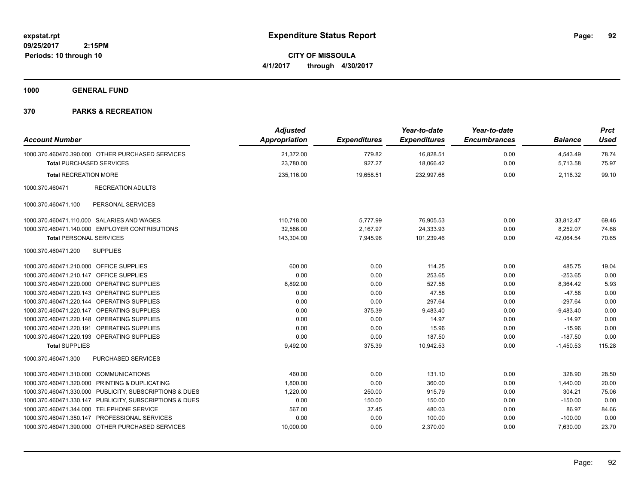**CITY OF MISSOULA 4/1/2017 through 4/30/2017**

**1000 GENERAL FUND**

| <b>Account Number</b>                   |                                                         | <b>Adjusted</b><br><b>Appropriation</b> | <b>Expenditures</b> | Year-to-date<br><b>Expenditures</b> | Year-to-date<br><b>Encumbrances</b> | <b>Balance</b> | <b>Prct</b><br>Used |
|-----------------------------------------|---------------------------------------------------------|-----------------------------------------|---------------------|-------------------------------------|-------------------------------------|----------------|---------------------|
|                                         | 1000.370.460470.390.000 OTHER PURCHASED SERVICES        | 21,372.00                               | 779.82              | 16,828.51                           | 0.00                                | 4,543.49       | 78.74               |
| <b>Total PURCHASED SERVICES</b>         |                                                         | 23,780.00                               | 927.27              | 18,066.42                           | 0.00                                | 5,713.58       | 75.97               |
| <b>Total RECREATION MORE</b>            |                                                         | 235,116.00                              | 19,658.51           | 232,997.68                          | 0.00                                | 2,118.32       | 99.10               |
| 1000.370.460471                         | <b>RECREATION ADULTS</b>                                |                                         |                     |                                     |                                     |                |                     |
| 1000.370.460471.100                     | PERSONAL SERVICES                                       |                                         |                     |                                     |                                     |                |                     |
|                                         | 1000.370.460471.110.000 SALARIES AND WAGES              | 110,718.00                              | 5,777.99            | 76,905.53                           | 0.00                                | 33,812.47      | 69.46               |
|                                         | 1000.370.460471.140.000 EMPLOYER CONTRIBUTIONS          | 32,586.00                               | 2,167.97            | 24,333.93                           | 0.00                                | 8,252.07       | 74.68               |
| <b>Total PERSONAL SERVICES</b>          |                                                         | 143,304.00                              | 7,945.96            | 101,239.46                          | 0.00                                | 42,064.54      | 70.65               |
| 1000.370.460471.200                     | <b>SUPPLIES</b>                                         |                                         |                     |                                     |                                     |                |                     |
| 1000.370.460471.210.000 OFFICE SUPPLIES |                                                         | 600.00                                  | 0.00                | 114.25                              | 0.00                                | 485.75         | 19.04               |
| 1000.370.460471.210.147 OFFICE SUPPLIES |                                                         | 0.00                                    | 0.00                | 253.65                              | 0.00                                | $-253.65$      | 0.00                |
|                                         | 1000.370.460471.220.000 OPERATING SUPPLIES              | 8,892.00                                | 0.00                | 527.58                              | 0.00                                | 8,364.42       | 5.93                |
|                                         | 1000.370.460471.220.143 OPERATING SUPPLIES              | 0.00                                    | 0.00                | 47.58                               | 0.00                                | $-47.58$       | 0.00                |
|                                         | 1000.370.460471.220.144 OPERATING SUPPLIES              | 0.00                                    | 0.00                | 297.64                              | 0.00                                | $-297.64$      | 0.00                |
|                                         | 1000.370.460471.220.147 OPERATING SUPPLIES              | 0.00                                    | 375.39              | 9,483.40                            | 0.00                                | $-9,483.40$    | 0.00                |
|                                         | 1000.370.460471.220.148 OPERATING SUPPLIES              | 0.00                                    | 0.00                | 14.97                               | 0.00                                | $-14.97$       | 0.00                |
| 1000.370.460471.220.191                 | OPERATING SUPPLIES                                      | 0.00                                    | 0.00                | 15.96                               | 0.00                                | $-15.96$       | 0.00                |
|                                         | 1000.370.460471.220.193 OPERATING SUPPLIES              | 0.00                                    | 0.00                | 187.50                              | 0.00                                | $-187.50$      | 0.00                |
| <b>Total SUPPLIES</b>                   |                                                         | 9,492.00                                | 375.39              | 10,942.53                           | 0.00                                | $-1,450.53$    | 115.28              |
| 1000.370.460471.300                     | <b>PURCHASED SERVICES</b>                               |                                         |                     |                                     |                                     |                |                     |
| 1000.370.460471.310.000 COMMUNICATIONS  |                                                         | 460.00                                  | 0.00                | 131.10                              | 0.00                                | 328.90         | 28.50               |
|                                         | 1000.370.460471.320.000 PRINTING & DUPLICATING          | 1.800.00                                | 0.00                | 360.00                              | 0.00                                | 1,440.00       | 20.00               |
|                                         | 1000.370.460471.330.000 PUBLICITY, SUBSCRIPTIONS & DUES | 1,220.00                                | 250.00              | 915.79                              | 0.00                                | 304.21         | 75.06               |
|                                         | 1000.370.460471.330.147 PUBLICITY, SUBSCRIPTIONS & DUES | 0.00                                    | 150.00              | 150.00                              | 0.00                                | $-150.00$      | 0.00                |
| 1000.370.460471.344.000                 | <b>TELEPHONE SERVICE</b>                                | 567.00                                  | 37.45               | 480.03                              | 0.00                                | 86.97          | 84.66               |
|                                         | 1000.370.460471.350.147 PROFESSIONAL SERVICES           | 0.00                                    | 0.00                | 100.00                              | 0.00                                | $-100.00$      | 0.00                |
|                                         | 1000.370.460471.390.000 OTHER PURCHASED SERVICES        | 10,000.00                               | 0.00                | 2,370.00                            | 0.00                                | 7,630.00       | 23.70               |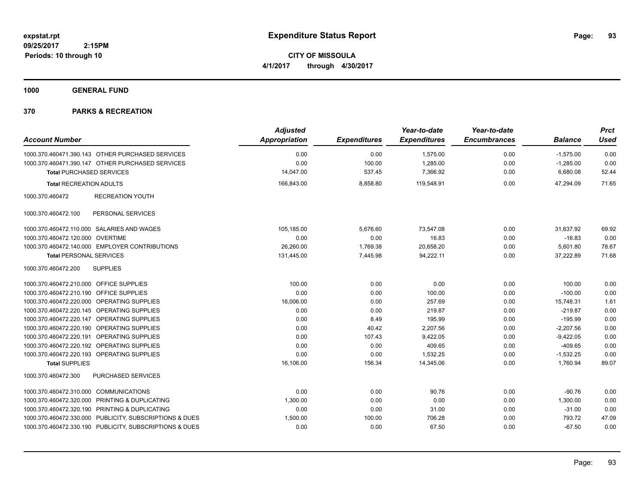**CITY OF MISSOULA 4/1/2017 through 4/30/2017**

**1000 GENERAL FUND**

| <b>Account Number</b>                                   | <b>Adjusted</b><br><b>Appropriation</b> | <b>Expenditures</b> | Year-to-date<br><b>Expenditures</b> | Year-to-date<br><b>Encumbrances</b> | <b>Balance</b> | <b>Prct</b><br><b>Used</b> |
|---------------------------------------------------------|-----------------------------------------|---------------------|-------------------------------------|-------------------------------------|----------------|----------------------------|
| 1000.370.460471.390.143 OTHER PURCHASED SERVICES        | 0.00                                    | 0.00                | 1,575.00                            | 0.00                                | $-1,575.00$    | 0.00                       |
| 1000.370.460471.390.147 OTHER PURCHASED SERVICES        | 0.00                                    | 100.00              | 1,285.00                            | 0.00                                | $-1,285.00$    | 0.00                       |
| <b>Total PURCHASED SERVICES</b>                         | 14,047.00                               | 537.45              | 7,366.92                            | 0.00                                | 6,680.08       | 52.44                      |
| <b>Total RECREATION ADULTS</b>                          | 166,843.00                              | 8,858.80            | 119,548.91                          | 0.00                                | 47,294.09      | 71.65                      |
| 1000.370.460472<br><b>RECREATION YOUTH</b>              |                                         |                     |                                     |                                     |                |                            |
| 1000.370.460472.100<br>PERSONAL SERVICES                |                                         |                     |                                     |                                     |                |                            |
| 1000.370.460472.110.000 SALARIES AND WAGES              | 105,185.00                              | 5,676.60            | 73,547.08                           | 0.00                                | 31,637.92      | 69.92                      |
| 1000.370.460472.120.000 OVERTIME                        | 0.00                                    | 0.00                | 16.83                               | 0.00                                | $-16.83$       | 0.00                       |
| 1000.370.460472.140.000 EMPLOYER CONTRIBUTIONS          | 26.260.00                               | 1,769.38            | 20.658.20                           | 0.00                                | 5.601.80       | 78.67                      |
| <b>Total PERSONAL SERVICES</b>                          | 131,445.00                              | 7,445.98            | 94,222.11                           | 0.00                                | 37,222.89      | 71.68                      |
| 1000.370.460472.200<br><b>SUPPLIES</b>                  |                                         |                     |                                     |                                     |                |                            |
| 1000.370.460472.210.000 OFFICE SUPPLIES                 | 100.00                                  | 0.00                | 0.00                                | 0.00                                | 100.00         | 0.00                       |
| 1000.370.460472.210.190 OFFICE SUPPLIES                 | 0.00                                    | 0.00                | 100.00                              | 0.00                                | $-100.00$      | 0.00                       |
| 1000.370.460472.220.000 OPERATING SUPPLIES              | 16,006.00                               | 0.00                | 257.69                              | 0.00                                | 15,748.31      | 1.61                       |
| 1000.370.460472.220.145 OPERATING SUPPLIES              | 0.00                                    | 0.00                | 219.87                              | 0.00                                | $-219.87$      | 0.00                       |
| 1000.370.460472.220.147 OPERATING SUPPLIES              | 0.00                                    | 8.49                | 195.99                              | 0.00                                | $-195.99$      | 0.00                       |
| 1000.370.460472.220.190 OPERATING SUPPLIES              | 0.00                                    | 40.42               | 2,207.56                            | 0.00                                | $-2,207.56$    | 0.00                       |
| 1000.370.460472.220.191 OPERATING SUPPLIES              | 0.00                                    | 107.43              | 9,422.05                            | 0.00                                | $-9,422.05$    | 0.00                       |
| 1000.370.460472.220.192 OPERATING SUPPLIES              | 0.00                                    | 0.00                | 409.65                              | 0.00                                | $-409.65$      | 0.00                       |
| 1000.370.460472.220.193 OPERATING SUPPLIES              | 0.00                                    | 0.00                | 1.532.25                            | 0.00                                | $-1,532.25$    | 0.00                       |
| <b>Total SUPPLIES</b>                                   | 16,106.00                               | 156.34              | 14,345.06                           | 0.00                                | 1,760.94       | 89.07                      |
| 1000.370.460472.300<br>PURCHASED SERVICES               |                                         |                     |                                     |                                     |                |                            |
| 1000.370.460472.310.000 COMMUNICATIONS                  | 0.00                                    | 0.00                | 90.76                               | 0.00                                | $-90.76$       | 0.00                       |
| 1000.370.460472.320.000 PRINTING & DUPLICATING          | 1,300.00                                | 0.00                | 0.00                                | 0.00                                | 1,300.00       | 0.00                       |
| 1000.370.460472.320.190 PRINTING & DUPLICATING          | 0.00                                    | 0.00                | 31.00                               | 0.00                                | $-31.00$       | 0.00                       |
| 1000.370.460472.330.000 PUBLICITY, SUBSCRIPTIONS & DUES | 1,500.00                                | 100.00              | 706.28                              | 0.00                                | 793.72         | 47.09                      |
| 1000.370.460472.330.190 PUBLICITY, SUBSCRIPTIONS & DUES | 0.00                                    | 0.00                | 67.50                               | 0.00                                | $-67.50$       | 0.00                       |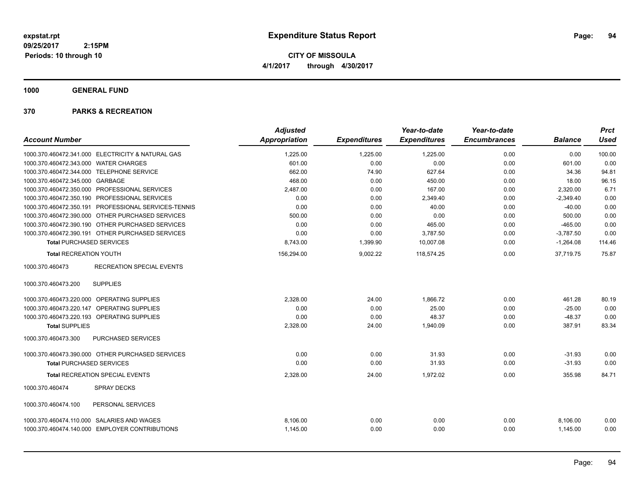**CITY OF MISSOULA 4/1/2017 through 4/30/2017**

**1000 GENERAL FUND**

|                                                      | <b>Adjusted</b>      |                     | Year-to-date        | Year-to-date        |                | <b>Prct</b> |
|------------------------------------------------------|----------------------|---------------------|---------------------|---------------------|----------------|-------------|
| <b>Account Number</b>                                | <b>Appropriation</b> | <b>Expenditures</b> | <b>Expenditures</b> | <b>Encumbrances</b> | <b>Balance</b> | <b>Used</b> |
| 1000.370.460472.341.000 ELECTRICITY & NATURAL GAS    | 1,225.00             | 1,225.00            | 1,225.00            | 0.00                | 0.00           | 100.00      |
| 1000.370.460472.343.000 WATER CHARGES                | 601.00               | 0.00                | 0.00                | 0.00                | 601.00         | 0.00        |
| 1000.370.460472.344.000 TELEPHONE SERVICE            | 662.00               | 74.90               | 627.64              | 0.00                | 34.36          | 94.81       |
| 1000.370.460472.345.000 GARBAGE                      | 468.00               | 0.00                | 450.00              | 0.00                | 18.00          | 96.15       |
| 1000.370.460472.350.000 PROFESSIONAL SERVICES        | 2,487.00             | 0.00                | 167.00              | 0.00                | 2,320.00       | 6.71        |
| 1000.370.460472.350.190 PROFESSIONAL SERVICES        | 0.00                 | 0.00                | 2,349.40            | 0.00                | $-2,349.40$    | 0.00        |
| 1000.370.460472.350.191 PROFESSIONAL SERVICES-TENNIS | 0.00                 | 0.00                | 40.00               | 0.00                | $-40.00$       | 0.00        |
| 1000.370.460472.390.000 OTHER PURCHASED SERVICES     | 500.00               | 0.00                | 0.00                | 0.00                | 500.00         | 0.00        |
| 1000.370.460472.390.190 OTHER PURCHASED SERVICES     | 0.00                 | 0.00                | 465.00              | 0.00                | $-465.00$      | 0.00        |
| 1000.370.460472.390.191 OTHER PURCHASED SERVICES     | 0.00                 | 0.00                | 3,787.50            | 0.00                | $-3,787.50$    | 0.00        |
| <b>Total PURCHASED SERVICES</b>                      | 8,743.00             | 1,399.90            | 10,007.08           | 0.00                | $-1,264.08$    | 114.46      |
| <b>Total RECREATION YOUTH</b>                        | 156,294.00           | 9,002.22            | 118.574.25          | 0.00                | 37.719.75      | 75.87       |
| <b>RECREATION SPECIAL EVENTS</b><br>1000.370.460473  |                      |                     |                     |                     |                |             |
| <b>SUPPLIES</b><br>1000.370.460473.200               |                      |                     |                     |                     |                |             |
| 1000.370.460473.220.000 OPERATING SUPPLIES           | 2,328.00             | 24.00               | 1,866.72            | 0.00                | 461.28         | 80.19       |
| 1000.370.460473.220.147 OPERATING SUPPLIES           | 0.00                 | 0.00                | 25.00               | 0.00                | $-25.00$       | 0.00        |
| 1000.370.460473.220.193 OPERATING SUPPLIES           | 0.00                 | 0.00                | 48.37               | 0.00                | $-48.37$       | 0.00        |
| <b>Total SUPPLIES</b>                                | 2,328.00             | 24.00               | 1,940.09            | 0.00                | 387.91         | 83.34       |
| 1000.370.460473.300<br>PURCHASED SERVICES            |                      |                     |                     |                     |                |             |
| 1000.370.460473.390.000 OTHER PURCHASED SERVICES     | 0.00                 | 0.00                | 31.93               | 0.00                | $-31.93$       | 0.00        |
| <b>Total PURCHASED SERVICES</b>                      | 0.00                 | 0.00                | 31.93               | 0.00                | $-31.93$       | 0.00        |
| <b>Total RECREATION SPECIAL EVENTS</b>               | 2,328.00             | 24.00               | 1,972.02            | 0.00                | 355.98         | 84.71       |
| 1000.370.460474<br><b>SPRAY DECKS</b>                |                      |                     |                     |                     |                |             |
| PERSONAL SERVICES<br>1000.370.460474.100             |                      |                     |                     |                     |                |             |
| 1000.370.460474.110.000 SALARIES AND WAGES           | 8,106.00             | 0.00                | 0.00                | 0.00                | 8,106.00       | 0.00        |
| 1000.370.460474.140.000 EMPLOYER CONTRIBUTIONS       | 1,145.00             | 0.00                | 0.00                | 0.00                | 1,145.00       | 0.00        |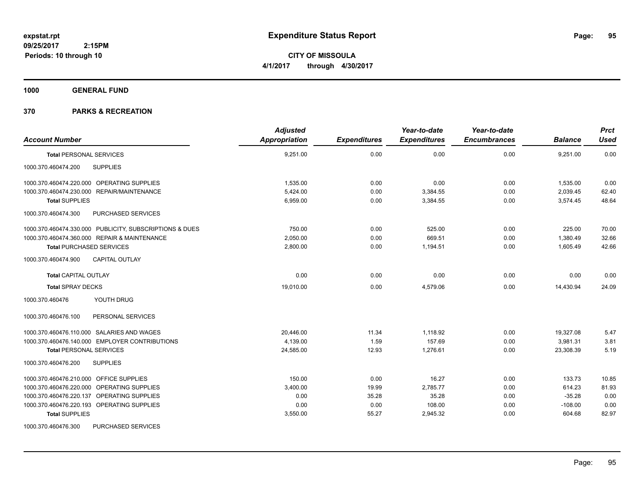**CITY OF MISSOULA 4/1/2017 through 4/30/2017**

**1000 GENERAL FUND**

| <b>Account Number</b>                                   | <b>Adjusted</b><br>Appropriation | <b>Expenditures</b> | Year-to-date<br><b>Expenditures</b> | Year-to-date<br><b>Encumbrances</b> | <b>Balance</b> | <b>Prct</b><br><b>Used</b> |
|---------------------------------------------------------|----------------------------------|---------------------|-------------------------------------|-------------------------------------|----------------|----------------------------|
| <b>Total PERSONAL SERVICES</b>                          | 9,251.00                         | 0.00                | 0.00                                | 0.00                                | 9,251.00       | 0.00                       |
| <b>SUPPLIES</b><br>1000.370.460474.200                  |                                  |                     |                                     |                                     |                |                            |
| 1000.370.460474.220.000 OPERATING SUPPLIES              | 1,535.00                         | 0.00                | 0.00                                | 0.00                                | 1,535.00       | 0.00                       |
| 1000.370.460474.230.000 REPAIR/MAINTENANCE              | 5,424.00                         | 0.00                | 3,384.55                            | 0.00                                | 2,039.45       | 62.40                      |
| <b>Total SUPPLIES</b>                                   | 6,959.00                         | 0.00                | 3,384.55                            | 0.00                                | 3,574.45       | 48.64                      |
| 1000.370.460474.300<br>PURCHASED SERVICES               |                                  |                     |                                     |                                     |                |                            |
| 1000.370.460474.330.000 PUBLICITY, SUBSCRIPTIONS & DUES | 750.00                           | 0.00                | 525.00                              | 0.00                                | 225.00         | 70.00                      |
| 1000.370.460474.360.000 REPAIR & MAINTENANCE            | 2.050.00                         | 0.00                | 669.51                              | 0.00                                | 1.380.49       | 32.66                      |
| <b>Total PURCHASED SERVICES</b>                         | 2,800.00                         | 0.00                | 1,194.51                            | 0.00                                | 1,605.49       | 42.66                      |
| 1000.370.460474.900<br><b>CAPITAL OUTLAY</b>            |                                  |                     |                                     |                                     |                |                            |
| <b>Total CAPITAL OUTLAY</b>                             | 0.00                             | 0.00                | 0.00                                | 0.00                                | 0.00           | 0.00                       |
| <b>Total SPRAY DECKS</b>                                | 19,010.00                        | 0.00                | 4,579.06                            | 0.00                                | 14,430.94      | 24.09                      |
| YOUTH DRUG<br>1000.370.460476                           |                                  |                     |                                     |                                     |                |                            |
| PERSONAL SERVICES<br>1000.370.460476.100                |                                  |                     |                                     |                                     |                |                            |
| 1000.370.460476.110.000 SALARIES AND WAGES              | 20,446.00                        | 11.34               | 1.118.92                            | 0.00                                | 19,327.08      | 5.47                       |
| 1000.370.460476.140.000 EMPLOYER CONTRIBUTIONS          | 4,139.00                         | 1.59                | 157.69                              | 0.00                                | 3,981.31       | 3.81                       |
| <b>Total PERSONAL SERVICES</b>                          | 24,585.00                        | 12.93               | 1,276.61                            | 0.00                                | 23,308.39      | 5.19                       |
| 1000.370.460476.200<br><b>SUPPLIES</b>                  |                                  |                     |                                     |                                     |                |                            |
| 1000.370.460476.210.000 OFFICE SUPPLIES                 | 150.00                           | 0.00                | 16.27                               | 0.00                                | 133.73         | 10.85                      |
| 1000.370.460476.220.000 OPERATING SUPPLIES              | 3,400.00                         | 19.99               | 2,785.77                            | 0.00                                | 614.23         | 81.93                      |
| 1000.370.460476.220.137 OPERATING SUPPLIES              | 0.00                             | 35.28               | 35.28                               | 0.00                                | $-35.28$       | 0.00                       |
| 1000.370.460476.220.193 OPERATING SUPPLIES              | 0.00                             | 0.00                | 108.00                              | 0.00                                | $-108.00$      | 0.00                       |
| <b>Total SUPPLIES</b>                                   | 3,550.00                         | 55.27               | 2,945.32                            | 0.00                                | 604.68         | 82.97                      |
| 1000.370.460476.300<br>PURCHASED SERVICES               |                                  |                     |                                     |                                     |                |                            |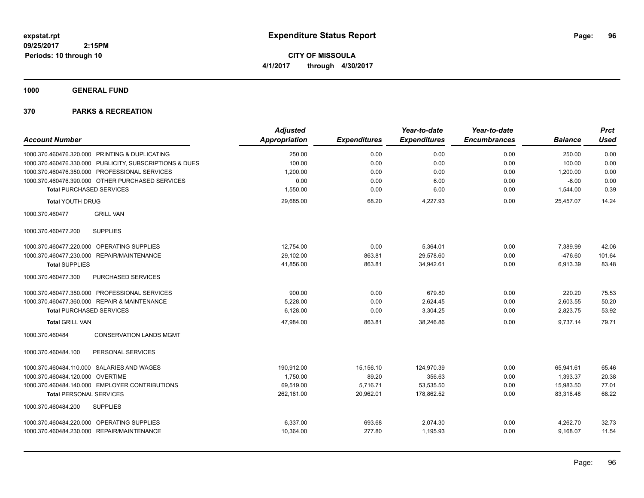**CITY OF MISSOULA 4/1/2017 through 4/30/2017**

**1000 GENERAL FUND**

|                                            |                                                         | <b>Adjusted</b>      |                     | Year-to-date        | Year-to-date        |                | <b>Prct</b> |
|--------------------------------------------|---------------------------------------------------------|----------------------|---------------------|---------------------|---------------------|----------------|-------------|
| <b>Account Number</b>                      |                                                         | <b>Appropriation</b> | <b>Expenditures</b> | <b>Expenditures</b> | <b>Encumbrances</b> | <b>Balance</b> | <b>Used</b> |
|                                            | 1000.370.460476.320.000 PRINTING & DUPLICATING          | 250.00               | 0.00                | 0.00                | 0.00                | 250.00         | 0.00        |
|                                            | 1000.370.460476.330.000 PUBLICITY, SUBSCRIPTIONS & DUES | 100.00               | 0.00                | 0.00                | 0.00                | 100.00         | 0.00        |
|                                            | 1000.370.460476.350.000 PROFESSIONAL SERVICES           | 1,200.00             | 0.00                | 0.00                | 0.00                | 1,200.00       | 0.00        |
|                                            | 1000.370.460476.390.000 OTHER PURCHASED SERVICES        | 0.00                 | 0.00                | 6.00                | 0.00                | $-6.00$        | 0.00        |
| <b>Total PURCHASED SERVICES</b>            |                                                         | 1,550.00             | 0.00                | 6.00                | 0.00                | 1,544.00       | 0.39        |
| <b>Total YOUTH DRUG</b>                    |                                                         | 29,685.00            | 68.20               | 4,227.93            | 0.00                | 25.457.07      | 14.24       |
| 1000.370.460477                            | <b>GRILL VAN</b>                                        |                      |                     |                     |                     |                |             |
| 1000.370.460477.200                        | <b>SUPPLIES</b>                                         |                      |                     |                     |                     |                |             |
| 1000.370.460477.220.000                    | OPERATING SUPPLIES                                      | 12.754.00            | 0.00                | 5,364.01            | 0.00                | 7,389.99       | 42.06       |
| 1000.370.460477.230.000                    | REPAIR/MAINTENANCE                                      | 29,102.00            | 863.81              | 29,578.60           | 0.00                | $-476.60$      | 101.64      |
| <b>Total SUPPLIES</b>                      |                                                         | 41,856.00            | 863.81              | 34,942.61           | 0.00                | 6,913.39       | 83.48       |
| 1000.370.460477.300                        | PURCHASED SERVICES                                      |                      |                     |                     |                     |                |             |
|                                            | 1000.370.460477.350.000 PROFESSIONAL SERVICES           | 900.00               | 0.00                | 679.80              | 0.00                | 220.20         | 75.53       |
|                                            | 1000.370.460477.360.000 REPAIR & MAINTENANCE            | 5.228.00             | 0.00                | 2,624.45            | 0.00                | 2,603.55       | 50.20       |
| <b>Total PURCHASED SERVICES</b>            |                                                         | 6,128.00             | 0.00                | 3,304.25            | 0.00                | 2,823.75       | 53.92       |
| <b>Total GRILL VAN</b>                     |                                                         | 47,984.00            | 863.81              | 38,246.86           | 0.00                | 9,737.14       | 79.71       |
| 1000.370.460484                            | <b>CONSERVATION LANDS MGMT</b>                          |                      |                     |                     |                     |                |             |
| 1000.370.460484.100                        | PERSONAL SERVICES                                       |                      |                     |                     |                     |                |             |
| 1000.370.460484.110.000 SALARIES AND WAGES |                                                         | 190,912.00           | 15,156.10           | 124,970.39          | 0.00                | 65,941.61      | 65.46       |
| 1000.370.460484.120.000                    | OVERTIME                                                | 1.750.00             | 89.20               | 356.63              | 0.00                | 1,393.37       | 20.38       |
|                                            | 1000.370.460484.140.000 EMPLOYER CONTRIBUTIONS          | 69.519.00            | 5.716.71            | 53,535.50           | 0.00                | 15,983.50      | 77.01       |
| <b>Total PERSONAL SERVICES</b>             |                                                         | 262,181.00           | 20,962.01           | 178,862.52          | 0.00                | 83,318.48      | 68.22       |
| 1000.370.460484.200                        | <b>SUPPLIES</b>                                         |                      |                     |                     |                     |                |             |
| 1000.370.460484.220.000 OPERATING SUPPLIES |                                                         | 6,337.00             | 693.68              | 2,074.30            | 0.00                | 4,262.70       | 32.73       |
| 1000.370.460484.230.000 REPAIR/MAINTENANCE |                                                         | 10,364.00            | 277.80              | 1,195.93            | 0.00                | 9,168.07       | 11.54       |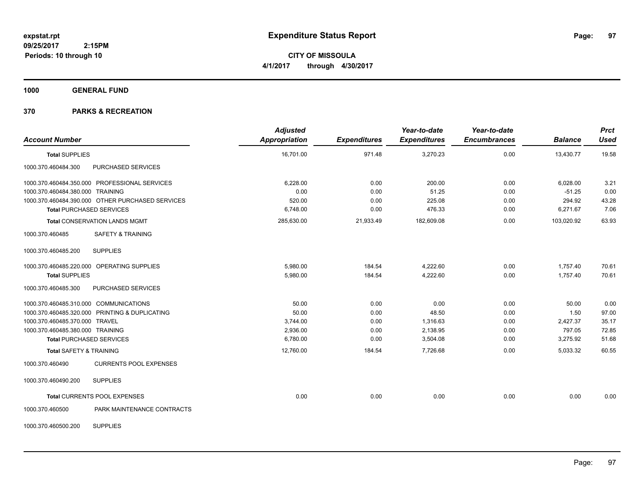**CITY OF MISSOULA 4/1/2017 through 4/30/2017**

**1000 GENERAL FUND**

# **370 PARKS & RECREATION**

| <b>Account Number</b>                            | <b>Adjusted</b><br><b>Appropriation</b> | <b>Expenditures</b> | Year-to-date<br><b>Expenditures</b> | Year-to-date<br><b>Encumbrances</b> | <b>Balance</b> | <b>Prct</b><br><b>Used</b> |
|--------------------------------------------------|-----------------------------------------|---------------------|-------------------------------------|-------------------------------------|----------------|----------------------------|
| <b>Total SUPPLIES</b>                            | 16,701.00                               | 971.48              | 3,270.23                            | 0.00                                | 13,430.77      | 19.58                      |
| 1000.370.460484.300<br>PURCHASED SERVICES        |                                         |                     |                                     |                                     |                |                            |
| 1000.370.460484.350.000 PROFESSIONAL SERVICES    | 6,228.00                                | 0.00                | 200.00                              | 0.00                                | 6,028.00       | 3.21                       |
| 1000.370.460484.380.000 TRAINING                 | 0.00                                    | 0.00                | 51.25                               | 0.00                                | $-51.25$       | 0.00                       |
| 1000.370.460484.390.000 OTHER PURCHASED SERVICES | 520.00                                  | 0.00                | 225.08                              | 0.00                                | 294.92         | 43.28                      |
| <b>Total PURCHASED SERVICES</b>                  | 6,748.00                                | 0.00                | 476.33                              | 0.00                                | 6,271.67       | 7.06                       |
| <b>Total CONSERVATION LANDS MGMT</b>             | 285,630.00                              | 21,933.49           | 182,609.08                          | 0.00                                | 103,020.92     | 63.93                      |
| <b>SAFETY &amp; TRAINING</b><br>1000.370.460485  |                                         |                     |                                     |                                     |                |                            |
| <b>SUPPLIES</b><br>1000.370.460485.200           |                                         |                     |                                     |                                     |                |                            |
| 1000.370.460485.220.000 OPERATING SUPPLIES       | 5.980.00                                | 184.54              | 4,222.60                            | 0.00                                | 1,757.40       | 70.61                      |
| <b>Total SUPPLIES</b>                            | 5,980.00                                | 184.54              | 4,222.60                            | 0.00                                | 1,757.40       | 70.61                      |
| PURCHASED SERVICES<br>1000.370.460485.300        |                                         |                     |                                     |                                     |                |                            |
| 1000.370.460485.310.000 COMMUNICATIONS           | 50.00                                   | 0.00                | 0.00                                | 0.00                                | 50.00          | 0.00                       |
| 1000.370.460485.320.000 PRINTING & DUPLICATING   | 50.00                                   | 0.00                | 48.50                               | 0.00                                | 1.50           | 97.00                      |
| 1000.370.460485.370.000 TRAVEL                   | 3,744.00                                | 0.00                | 1,316.63                            | 0.00                                | 2,427.37       | 35.17                      |
| 1000.370.460485.380.000 TRAINING                 | 2,936.00                                | 0.00                | 2,138.95                            | 0.00                                | 797.05         | 72.85                      |
| <b>Total PURCHASED SERVICES</b>                  | 6,780.00                                | 0.00                | 3,504.08                            | 0.00                                | 3,275.92       | 51.68                      |
| <b>Total SAFETY &amp; TRAINING</b>               | 12,760.00                               | 184.54              | 7,726.68                            | 0.00                                | 5,033.32       | 60.55                      |
| 1000.370.460490<br><b>CURRENTS POOL EXPENSES</b> |                                         |                     |                                     |                                     |                |                            |
| <b>SUPPLIES</b><br>1000.370.460490.200           |                                         |                     |                                     |                                     |                |                            |
| Total CURRENTS POOL EXPENSES                     | 0.00                                    | 0.00                | 0.00                                | 0.00                                | 0.00           | 0.00                       |
| 1000.370.460500<br>PARK MAINTENANCE CONTRACTS    |                                         |                     |                                     |                                     |                |                            |
| <b>SUPPLIES</b><br>1000.370.460500.200           |                                         |                     |                                     |                                     |                |                            |

Page: 97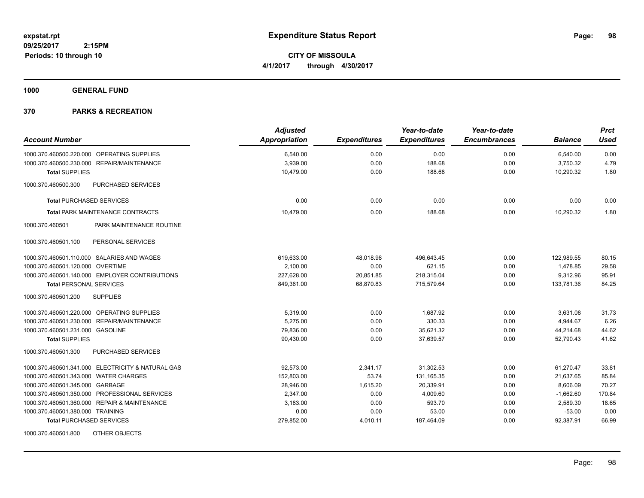**2:15PM Periods: 10 through 10**

**CITY OF MISSOULA 4/1/2017 through 4/30/2017**

**1000 GENERAL FUND**

| <b>Account Number</b>                             | <b>Adjusted</b><br><b>Appropriation</b> | <b>Expenditures</b> | Year-to-date<br><b>Expenditures</b> | Year-to-date<br><b>Encumbrances</b> | <b>Balance</b> | <b>Prct</b><br><b>Used</b> |
|---------------------------------------------------|-----------------------------------------|---------------------|-------------------------------------|-------------------------------------|----------------|----------------------------|
|                                                   |                                         |                     |                                     |                                     |                |                            |
| 1000.370.460500.220.000 OPERATING SUPPLIES        | 6,540.00                                | 0.00                | 0.00                                | 0.00                                | 6,540.00       | 0.00                       |
| 1000.370.460500.230.000 REPAIR/MAINTENANCE        | 3,939.00                                | 0.00                | 188.68                              | 0.00                                | 3,750.32       | 4.79                       |
| <b>Total SUPPLIES</b>                             | 10,479.00                               | 0.00                | 188.68                              | 0.00                                | 10,290.32      | 1.80                       |
| PURCHASED SERVICES<br>1000.370.460500.300         |                                         |                     |                                     |                                     |                |                            |
| <b>Total PURCHASED SERVICES</b>                   | 0.00                                    | 0.00                | 0.00                                | 0.00                                | 0.00           | 0.00                       |
| <b>Total PARK MAINTENANCE CONTRACTS</b>           | 10,479.00                               | 0.00                | 188.68                              | 0.00                                | 10,290.32      | 1.80                       |
| PARK MAINTENANCE ROUTINE<br>1000.370.460501       |                                         |                     |                                     |                                     |                |                            |
| 1000.370.460501.100<br>PERSONAL SERVICES          |                                         |                     |                                     |                                     |                |                            |
| 1000.370.460501.110.000 SALARIES AND WAGES        | 619,633.00                              | 48,018.98           | 496.643.45                          | 0.00                                | 122,989.55     | 80.15                      |
| 1000.370.460501.120.000 OVERTIME                  | 2,100.00                                | 0.00                | 621.15                              | 0.00                                | 1,478.85       | 29.58                      |
| 1000.370.460501.140.000 EMPLOYER CONTRIBUTIONS    | 227,628.00                              | 20,851.85           | 218,315.04                          | 0.00                                | 9,312.96       | 95.91                      |
| <b>Total PERSONAL SERVICES</b>                    | 849,361.00                              | 68,870.83           | 715,579.64                          | 0.00                                | 133,781.36     | 84.25                      |
| <b>SUPPLIES</b><br>1000.370.460501.200            |                                         |                     |                                     |                                     |                |                            |
| 1000.370.460501.220.000 OPERATING SUPPLIES        | 5,319.00                                | 0.00                | 1,687.92                            | 0.00                                | 3,631.08       | 31.73                      |
| 1000.370.460501.230.000 REPAIR/MAINTENANCE        | 5,275.00                                | 0.00                | 330.33                              | 0.00                                | 4,944.67       | 6.26                       |
| 1000.370.460501.231.000 GASOLINE                  | 79.836.00                               | 0.00                | 35,621.32                           | 0.00                                | 44,214.68      | 44.62                      |
| <b>Total SUPPLIES</b>                             | 90,430.00                               | 0.00                | 37,639.57                           | 0.00                                | 52.790.43      | 41.62                      |
| 1000.370.460501.300<br>PURCHASED SERVICES         |                                         |                     |                                     |                                     |                |                            |
| 1000.370.460501.341.000 ELECTRICITY & NATURAL GAS | 92.573.00                               | 2.341.17            | 31,302.53                           | 0.00                                | 61.270.47      | 33.81                      |
| 1000.370.460501.343.000 WATER CHARGES             | 152.803.00                              | 53.74               | 131,165.35                          | 0.00                                | 21,637.65      | 85.84                      |
| 1000.370.460501.345.000 GARBAGE                   | 28.946.00                               | 1,615.20            | 20.339.91                           | 0.00                                | 8,606.09       | 70.27                      |
| 1000.370.460501.350.000 PROFESSIONAL SERVICES     | 2,347.00                                | 0.00                | 4,009.60                            | 0.00                                | $-1,662.60$    | 170.84                     |
| 1000.370.460501.360.000 REPAIR & MAINTENANCE      | 3,183.00                                | 0.00                | 593.70                              | 0.00                                | 2,589.30       | 18.65                      |
| 1000.370.460501.380.000 TRAINING                  | 0.00                                    | 0.00                | 53.00                               | 0.00                                | $-53.00$       | 0.00                       |
| <b>Total PURCHASED SERVICES</b>                   | 279,852.00                              | 4,010.11            | 187,464.09                          | 0.00                                | 92,387.91      | 66.99                      |
| 1000.370.460501.800<br>OTHER OBJECTS              |                                         |                     |                                     |                                     |                |                            |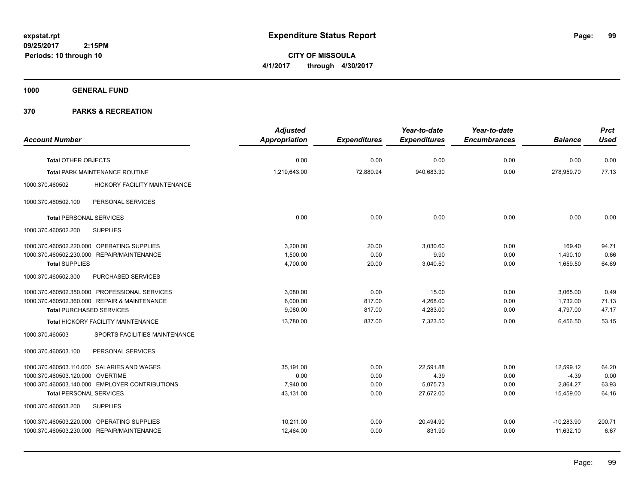**CITY OF MISSOULA 4/1/2017 through 4/30/2017**

**1000 GENERAL FUND**

|                                  |                                                | <b>Adjusted</b>      |                     | Year-to-date        | Year-to-date        |                | <b>Prct</b> |
|----------------------------------|------------------------------------------------|----------------------|---------------------|---------------------|---------------------|----------------|-------------|
| <b>Account Number</b>            |                                                | <b>Appropriation</b> | <b>Expenditures</b> | <b>Expenditures</b> | <b>Encumbrances</b> | <b>Balance</b> | <b>Used</b> |
|                                  |                                                |                      |                     |                     |                     |                |             |
| <b>Total OTHER OBJECTS</b>       |                                                | 0.00                 | 0.00                | 0.00                | 0.00                | 0.00           | 0.00        |
|                                  | <b>Total PARK MAINTENANCE ROUTINE</b>          | 1,219,643.00         | 72,880.94           | 940,683.30          | 0.00                | 278,959.70     | 77.13       |
| 1000.370.460502                  | HICKORY FACILITY MAINTENANCE                   |                      |                     |                     |                     |                |             |
| 1000.370.460502.100              | PERSONAL SERVICES                              |                      |                     |                     |                     |                |             |
| <b>Total PERSONAL SERVICES</b>   |                                                | 0.00                 | 0.00                | 0.00                | 0.00                | 0.00           | 0.00        |
| 1000.370.460502.200              | <b>SUPPLIES</b>                                |                      |                     |                     |                     |                |             |
|                                  | 1000.370.460502.220.000 OPERATING SUPPLIES     | 3,200.00             | 20.00               | 3,030.60            | 0.00                | 169.40         | 94.71       |
|                                  | 1000.370.460502.230.000 REPAIR/MAINTENANCE     | 1.500.00             | 0.00                | 9.90                | 0.00                | 1,490.10       | 0.66        |
| <b>Total SUPPLIES</b>            |                                                | 4,700.00             | 20.00               | 3,040.50            | 0.00                | 1,659.50       | 64.69       |
| 1000.370.460502.300              | PURCHASED SERVICES                             |                      |                     |                     |                     |                |             |
|                                  | 1000.370.460502.350.000 PROFESSIONAL SERVICES  | 3,080.00             | 0.00                | 15.00               | 0.00                | 3,065.00       | 0.49        |
|                                  | 1000.370.460502.360.000 REPAIR & MAINTENANCE   | 6,000.00             | 817.00              | 4,268.00            | 0.00                | 1,732.00       | 71.13       |
| <b>Total PURCHASED SERVICES</b>  |                                                | 9,080.00             | 817.00              | 4,283.00            | 0.00                | 4,797.00       | 47.17       |
|                                  | <b>Total HICKORY FACILITY MAINTENANCE</b>      | 13,780.00            | 837.00              | 7,323.50            | 0.00                | 6,456.50       | 53.15       |
| 1000.370.460503                  | SPORTS FACILITIES MAINTENANCE                  |                      |                     |                     |                     |                |             |
| 1000.370.460503.100              | PERSONAL SERVICES                              |                      |                     |                     |                     |                |             |
|                                  | 1000.370.460503.110.000 SALARIES AND WAGES     | 35.191.00            | 0.00                | 22.591.88           | 0.00                | 12.599.12      | 64.20       |
| 1000.370.460503.120.000 OVERTIME |                                                | 0.00                 | 0.00                | 4.39                | 0.00                | $-4.39$        | 0.00        |
|                                  | 1000.370.460503.140.000 EMPLOYER CONTRIBUTIONS | 7,940.00             | 0.00                | 5,075.73            | 0.00                | 2,864.27       | 63.93       |
| <b>Total PERSONAL SERVICES</b>   |                                                | 43,131.00            | 0.00                | 27,672.00           | 0.00                | 15,459.00      | 64.16       |
| 1000.370.460503.200              | <b>SUPPLIES</b>                                |                      |                     |                     |                     |                |             |
|                                  | 1000.370.460503.220.000 OPERATING SUPPLIES     | 10,211.00            | 0.00                | 20,494.90           | 0.00                | $-10,283.90$   | 200.71      |
|                                  | 1000.370.460503.230.000 REPAIR/MAINTENANCE     | 12,464.00            | 0.00                | 831.90              | 0.00                | 11,632.10      | 6.67        |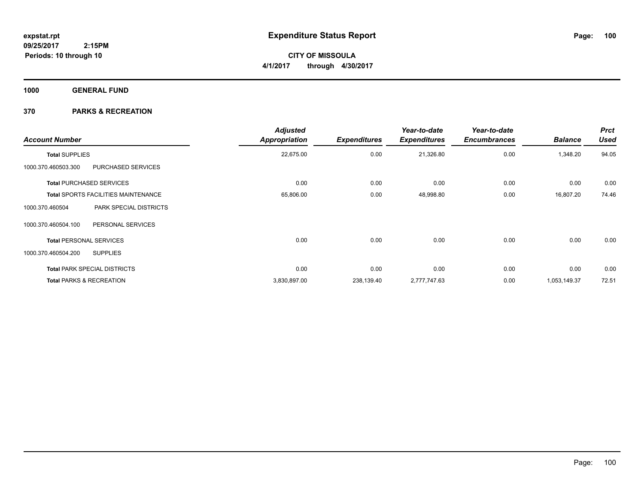**CITY OF MISSOULA 4/1/2017 through 4/30/2017**

**1000 GENERAL FUND**

| <b>Account Number</b>          |                                            | <b>Adjusted</b><br><b>Appropriation</b> | <b>Expenditures</b> | Year-to-date<br><b>Expenditures</b> | Year-to-date<br><b>Encumbrances</b> | <b>Balance</b> | <b>Prct</b><br><b>Used</b> |
|--------------------------------|--------------------------------------------|-----------------------------------------|---------------------|-------------------------------------|-------------------------------------|----------------|----------------------------|
| <b>Total SUPPLIES</b>          |                                            | 22,675.00                               | 0.00                | 21,326.80                           | 0.00                                | 1,348.20       | 94.05                      |
| 1000.370.460503.300            | <b>PURCHASED SERVICES</b>                  |                                         |                     |                                     |                                     |                |                            |
|                                | <b>Total PURCHASED SERVICES</b>            | 0.00                                    | 0.00                | 0.00                                | 0.00                                | 0.00           | 0.00                       |
|                                | <b>Total SPORTS FACILITIES MAINTENANCE</b> | 65,806.00                               | 0.00                | 48,998.80                           | 0.00                                | 16,807.20      | 74.46                      |
| 1000.370.460504                | PARK SPECIAL DISTRICTS                     |                                         |                     |                                     |                                     |                |                            |
| 1000.370.460504.100            | PERSONAL SERVICES                          |                                         |                     |                                     |                                     |                |                            |
| <b>Total PERSONAL SERVICES</b> |                                            | 0.00                                    | 0.00                | 0.00                                | 0.00                                | 0.00           | 0.00                       |
| 1000.370.460504.200            | <b>SUPPLIES</b>                            |                                         |                     |                                     |                                     |                |                            |
|                                | <b>Total PARK SPECIAL DISTRICTS</b>        | 0.00                                    | 0.00                | 0.00                                | 0.00                                | 0.00           | 0.00                       |
|                                | <b>Total PARKS &amp; RECREATION</b>        | 3,830,897.00                            | 238,139.40          | 2,777,747.63                        | 0.00                                | 1,053,149.37   | 72.51                      |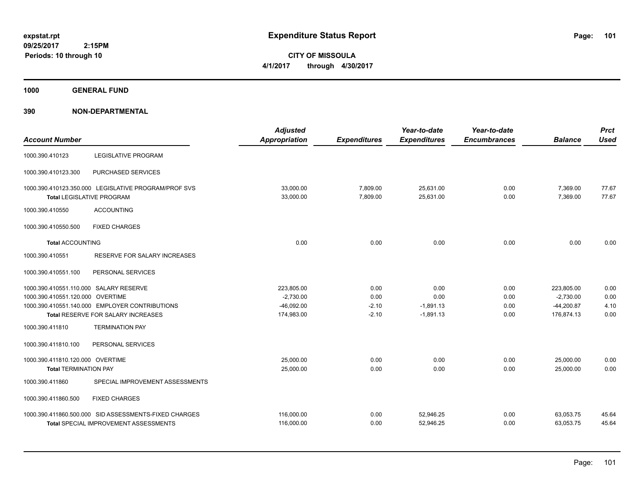**CITY OF MISSOULA 4/1/2017 through 4/30/2017**

**1000 GENERAL FUND**

| <b>Account Number</b>                  |                                                                                          | <b>Adjusted</b><br><b>Appropriation</b> | <b>Expenditures</b>  | Year-to-date<br><b>Expenditures</b> | Year-to-date<br><b>Encumbrances</b> | <b>Balance</b>       | <b>Prct</b><br><b>Used</b> |
|----------------------------------------|------------------------------------------------------------------------------------------|-----------------------------------------|----------------------|-------------------------------------|-------------------------------------|----------------------|----------------------------|
| 1000.390.410123                        | <b>LEGISLATIVE PROGRAM</b>                                                               |                                         |                      |                                     |                                     |                      |                            |
| 1000.390.410123.300                    | PURCHASED SERVICES                                                                       |                                         |                      |                                     |                                     |                      |                            |
|                                        | 1000.390.410123.350.000 LEGISLATIVE PROGRAM/PROF SVS<br><b>Total LEGISLATIVE PROGRAM</b> | 33,000.00<br>33,000.00                  | 7,809.00<br>7,809.00 | 25,631.00<br>25,631.00              | 0.00<br>0.00                        | 7,369.00<br>7,369.00 | 77.67<br>77.67             |
| 1000.390.410550                        | <b>ACCOUNTING</b>                                                                        |                                         |                      |                                     |                                     |                      |                            |
| 1000.390.410550.500                    | <b>FIXED CHARGES</b>                                                                     |                                         |                      |                                     |                                     |                      |                            |
| <b>Total ACCOUNTING</b>                |                                                                                          | 0.00                                    | 0.00                 | 0.00                                | 0.00                                | 0.00                 | 0.00                       |
| 1000.390.410551                        | RESERVE FOR SALARY INCREASES                                                             |                                         |                      |                                     |                                     |                      |                            |
| 1000.390.410551.100                    | PERSONAL SERVICES                                                                        |                                         |                      |                                     |                                     |                      |                            |
| 1000.390.410551.110.000 SALARY RESERVE |                                                                                          | 223,805.00                              | 0.00                 | 0.00                                | 0.00                                | 223,805.00           | 0.00                       |
| 1000.390.410551.120.000 OVERTIME       |                                                                                          | $-2,730.00$                             | 0.00                 | 0.00                                | 0.00                                | $-2.730.00$          | 0.00                       |
|                                        | 1000.390.410551.140.000 EMPLOYER CONTRIBUTIONS                                           | $-46,092.00$                            | $-2.10$              | $-1,891.13$                         | 0.00                                | $-44,200.87$         | 4.10                       |
|                                        | Total RESERVE FOR SALARY INCREASES                                                       | 174,983.00                              | $-2.10$              | $-1,891.13$                         | 0.00                                | 176,874.13           | 0.00                       |
| 1000.390.411810                        | <b>TERMINATION PAY</b>                                                                   |                                         |                      |                                     |                                     |                      |                            |
| 1000.390.411810.100                    | PERSONAL SERVICES                                                                        |                                         |                      |                                     |                                     |                      |                            |
| 1000.390.411810.120.000 OVERTIME       |                                                                                          | 25.000.00                               | 0.00                 | 0.00                                | 0.00                                | 25,000.00            | 0.00                       |
| <b>Total TERMINATION PAY</b>           |                                                                                          | 25,000.00                               | 0.00                 | 0.00                                | 0.00                                | 25,000.00            | 0.00                       |
| 1000.390.411860                        | SPECIAL IMPROVEMENT ASSESSMENTS                                                          |                                         |                      |                                     |                                     |                      |                            |
| 1000.390.411860.500                    | <b>FIXED CHARGES</b>                                                                     |                                         |                      |                                     |                                     |                      |                            |
|                                        | 1000.390.411860.500.000 SID ASSESSMENTS-FIXED CHARGES                                    | 116,000.00                              | 0.00                 | 52,946.25                           | 0.00                                | 63,053.75            | 45.64                      |
|                                        | <b>Total SPECIAL IMPROVEMENT ASSESSMENTS</b>                                             | 116,000.00                              | 0.00                 | 52,946.25                           | 0.00                                | 63,053.75            | 45.64                      |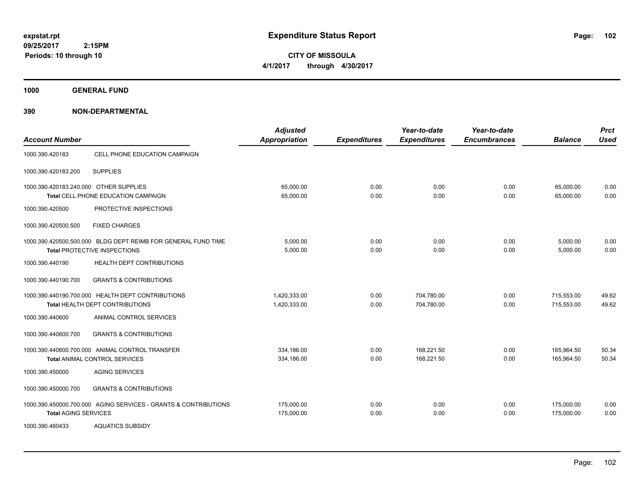**CITY OF MISSOULA 4/1/2017 through 4/30/2017**

**1000 GENERAL FUND**

| <b>Account Number</b>                  |                                                                                               | <b>Adjusted</b><br><b>Appropriation</b> | <b>Expenditures</b> | Year-to-date<br><b>Expenditures</b> | Year-to-date<br><b>Encumbrances</b> | <b>Balance</b>           | <b>Prct</b><br><b>Used</b> |
|----------------------------------------|-----------------------------------------------------------------------------------------------|-----------------------------------------|---------------------|-------------------------------------|-------------------------------------|--------------------------|----------------------------|
| 1000.390.420183                        | CELL PHONE EDUCATION CAMPAIGN                                                                 |                                         |                     |                                     |                                     |                          |                            |
| 1000.390.420183.200                    | <b>SUPPLIES</b>                                                                               |                                         |                     |                                     |                                     |                          |                            |
| 1000.390.420183.240.000 OTHER SUPPLIES | Total CELL PHONE EDUCATION CAMPAIGN                                                           | 65,000.00<br>65,000.00                  | 0.00<br>0.00        | 0.00<br>0.00                        | 0.00<br>0.00                        | 65,000.00<br>65,000.00   | 0.00<br>0.00               |
| 1000.390.420500                        | PROTECTIVE INSPECTIONS                                                                        |                                         |                     |                                     |                                     |                          |                            |
| 1000.390.420500.500                    | <b>FIXED CHARGES</b>                                                                          |                                         |                     |                                     |                                     |                          |                            |
|                                        | 1000.390.420500.500.000 BLDG DEPT REIMB FOR GENERAL FUND TIME<br>Total PROTECTIVE INSPECTIONS | 5,000.00<br>5,000.00                    | 0.00<br>0.00        | 0.00<br>0.00                        | 0.00<br>0.00                        | 5,000.00<br>5,000.00     | 0.00<br>0.00               |
| 1000.390.440190                        | HEALTH DEPT CONTRIBUTIONS                                                                     |                                         |                     |                                     |                                     |                          |                            |
| 1000.390.440190.700                    | <b>GRANTS &amp; CONTRIBUTIONS</b>                                                             |                                         |                     |                                     |                                     |                          |                            |
|                                        | 1000.390.440190.700.000 HEALTH DEPT CONTRIBUTIONS<br>Total HEALTH DEPT CONTRIBUTIONS          | 1,420,333.00<br>1,420,333.00            | 0.00<br>0.00        | 704,780.00<br>704,780.00            | 0.00<br>0.00                        | 715,553.00<br>715,553.00 | 49.62<br>49.62             |
| 1000.390.440600                        | ANIMAL CONTROL SERVICES                                                                       |                                         |                     |                                     |                                     |                          |                            |
| 1000.390.440600.700                    | <b>GRANTS &amp; CONTRIBUTIONS</b>                                                             |                                         |                     |                                     |                                     |                          |                            |
|                                        | 1000.390.440600.700.000 ANIMAL CONTROL TRANSFER<br><b>Total ANIMAL CONTROL SERVICES</b>       | 334,186.00<br>334,186.00                | 0.00<br>0.00        | 168,221.50<br>168,221.50            | 0.00<br>0.00                        | 165,964.50<br>165,964.50 | 50.34<br>50.34             |
| 1000.390.450000                        | <b>AGING SERVICES</b>                                                                         |                                         |                     |                                     |                                     |                          |                            |
| 1000.390.450000.700                    | <b>GRANTS &amp; CONTRIBUTIONS</b>                                                             |                                         |                     |                                     |                                     |                          |                            |
| <b>Total AGING SERVICES</b>            | 1000.390.450000.700.000 AGING SERVICES - GRANTS & CONTRIBUTIONS                               | 175,000.00<br>175,000.00                | 0.00<br>0.00        | 0.00<br>0.00                        | 0.00<br>0.00                        | 175,000.00<br>175.000.00 | 0.00<br>0.00               |
| 1000.390.460433                        | <b>AQUATICS SUBSIDY</b>                                                                       |                                         |                     |                                     |                                     |                          |                            |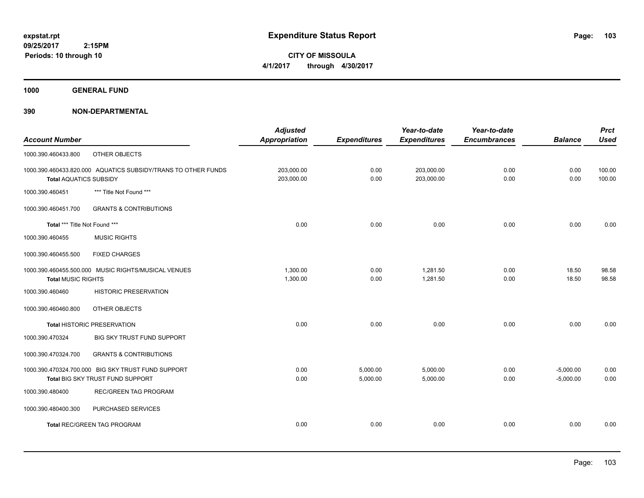**CITY OF MISSOULA 4/1/2017 through 4/30/2017**

**1000 GENERAL FUND**

|                               |                                                               | <b>Adjusted</b>      |                     | Year-to-date        | Year-to-date        |                | <b>Prct</b> |
|-------------------------------|---------------------------------------------------------------|----------------------|---------------------|---------------------|---------------------|----------------|-------------|
| <b>Account Number</b>         |                                                               | <b>Appropriation</b> | <b>Expenditures</b> | <b>Expenditures</b> | <b>Encumbrances</b> | <b>Balance</b> | <b>Used</b> |
| 1000.390.460433.800           | OTHER OBJECTS                                                 |                      |                     |                     |                     |                |             |
|                               | 1000.390.460433.820.000 AQUATICS SUBSIDY/TRANS TO OTHER FUNDS | 203,000.00           | 0.00                | 203,000.00          | 0.00                | 0.00           | 100.00      |
| <b>Total AQUATICS SUBSIDY</b> |                                                               | 203,000.00           | 0.00                | 203,000.00          | 0.00                | 0.00           | 100.00      |
| 1000.390.460451               | *** Title Not Found ***                                       |                      |                     |                     |                     |                |             |
| 1000.390.460451.700           | <b>GRANTS &amp; CONTRIBUTIONS</b>                             |                      |                     |                     |                     |                |             |
| Total *** Title Not Found *** |                                                               | 0.00                 | 0.00                | 0.00                | 0.00                | 0.00           | 0.00        |
| 1000.390.460455               | <b>MUSIC RIGHTS</b>                                           |                      |                     |                     |                     |                |             |
| 1000.390.460455.500           | <b>FIXED CHARGES</b>                                          |                      |                     |                     |                     |                |             |
|                               | 1000.390.460455.500.000 MUSIC RIGHTS/MUSICAL VENUES           | 1,300.00             | 0.00                | 1,281.50            | 0.00                | 18.50          | 98.58       |
| <b>Total MUSIC RIGHTS</b>     |                                                               | 1,300.00             | 0.00                | 1,281.50            | 0.00                | 18.50          | 98.58       |
| 1000.390.460460               | <b>HISTORIC PRESERVATION</b>                                  |                      |                     |                     |                     |                |             |
| 1000.390.460460.800           | OTHER OBJECTS                                                 |                      |                     |                     |                     |                |             |
|                               | <b>Total HISTORIC PRESERVATION</b>                            | 0.00                 | 0.00                | 0.00                | 0.00                | 0.00           | 0.00        |
| 1000.390.470324               | BIG SKY TRUST FUND SUPPORT                                    |                      |                     |                     |                     |                |             |
| 1000.390.470324.700           | <b>GRANTS &amp; CONTRIBUTIONS</b>                             |                      |                     |                     |                     |                |             |
|                               | 1000.390.470324.700.000 BIG SKY TRUST FUND SUPPORT            | 0.00                 | 5,000.00            | 5,000.00            | 0.00                | $-5,000.00$    | 0.00        |
|                               | Total BIG SKY TRUST FUND SUPPORT                              | 0.00                 | 5,000.00            | 5,000.00            | 0.00                | $-5,000.00$    | 0.00        |
| 1000.390.480400               | <b>REC/GREEN TAG PROGRAM</b>                                  |                      |                     |                     |                     |                |             |
| 1000.390.480400.300           | PURCHASED SERVICES                                            |                      |                     |                     |                     |                |             |
|                               | <b>Total REC/GREEN TAG PROGRAM</b>                            | 0.00                 | 0.00                | 0.00                | 0.00                | 0.00           | 0.00        |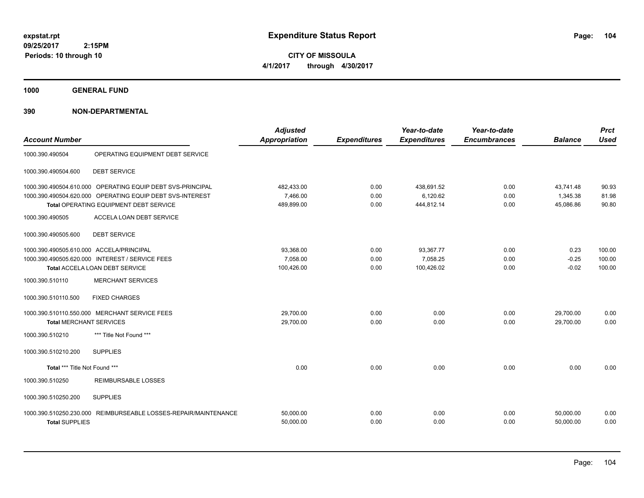**CITY OF MISSOULA 4/1/2017 through 4/30/2017**

**1000 GENERAL FUND**

| <b>Account Number</b>                                                                                                |                                                                                                                                                                                        | <b>Adjusted</b><br><b>Appropriation</b>                       | <b>Expenditures</b>                  | Year-to-date<br><b>Expenditures</b>                 | Year-to-date<br><b>Encumbrances</b>  | <b>Balance</b>                                       | <b>Prct</b><br><b>Used</b>                 |
|----------------------------------------------------------------------------------------------------------------------|----------------------------------------------------------------------------------------------------------------------------------------------------------------------------------------|---------------------------------------------------------------|--------------------------------------|-----------------------------------------------------|--------------------------------------|------------------------------------------------------|--------------------------------------------|
| 1000.390.490504                                                                                                      | OPERATING EQUIPMENT DEBT SERVICE                                                                                                                                                       |                                                               |                                      |                                                     |                                      |                                                      |                                            |
| 1000.390.490504.600                                                                                                  | <b>DEBT SERVICE</b>                                                                                                                                                                    |                                                               |                                      |                                                     |                                      |                                                      |                                            |
|                                                                                                                      | 1000.390.490504.610.000 OPERATING EQUIP DEBT SVS-PRINCIPAL<br>1000.390.490504.620.000 OPERATING EQUIP DEBT SVS-INTEREST<br><b>Total OPERATING EQUIPMENT DEBT SERVICE</b>               | 482,433.00<br>7.466.00<br>489.899.00                          | 0.00<br>0.00<br>0.00                 | 438,691.52<br>6,120.62<br>444.812.14                | 0.00<br>0.00<br>0.00                 | 43,741.48<br>1,345.38<br>45.086.86                   | 90.93<br>81.98<br>90.80                    |
| 1000.390.490505                                                                                                      | ACCELA LOAN DEBT SERVICE                                                                                                                                                               |                                                               |                                      |                                                     |                                      |                                                      |                                            |
| 1000.390.490505.600                                                                                                  | <b>DEBT SERVICE</b>                                                                                                                                                                    |                                                               |                                      |                                                     |                                      |                                                      |                                            |
| 1000.390.490505.610.000 ACCELA/PRINCIPAL<br>1000.390.510110<br>1000.390.510110.500<br><b>Total MERCHANT SERVICES</b> | 1000.390.490505.620.000 INTEREST / SERVICE FEES<br>Total ACCELA LOAN DEBT SERVICE<br><b>MERCHANT SERVICES</b><br><b>FIXED CHARGES</b><br>1000.390.510110.550.000 MERCHANT SERVICE FEES | 93,368.00<br>7,058.00<br>100,426.00<br>29,700.00<br>29,700.00 | 0.00<br>0.00<br>0.00<br>0.00<br>0.00 | 93,367.77<br>7,058.25<br>100,426.02<br>0.00<br>0.00 | 0.00<br>0.00<br>0.00<br>0.00<br>0.00 | 0.23<br>$-0.25$<br>$-0.02$<br>29.700.00<br>29,700.00 | 100.00<br>100.00<br>100.00<br>0.00<br>0.00 |
| 1000.390.510210<br>1000.390.510210.200                                                                               | *** Title Not Found ***<br><b>SUPPLIES</b>                                                                                                                                             |                                                               |                                      |                                                     |                                      |                                                      |                                            |
| Total *** Title Not Found ***                                                                                        |                                                                                                                                                                                        | 0.00                                                          | 0.00                                 | 0.00                                                | 0.00                                 | 0.00                                                 | 0.00                                       |
| 1000.390.510250                                                                                                      | <b>REIMBURSABLE LOSSES</b>                                                                                                                                                             |                                                               |                                      |                                                     |                                      |                                                      |                                            |
| 1000.390.510250.200                                                                                                  | <b>SUPPLIES</b>                                                                                                                                                                        |                                                               |                                      |                                                     |                                      |                                                      |                                            |
| 1000.390.510250.230.000<br><b>Total SUPPLIES</b>                                                                     | REIMBURSEABLE LOSSES-REPAIR/MAINTENANCE                                                                                                                                                | 50,000.00<br>50,000.00                                        | 0.00<br>0.00                         | 0.00<br>0.00                                        | 0.00<br>0.00                         | 50,000.00<br>50,000.00                               | 0.00<br>0.00                               |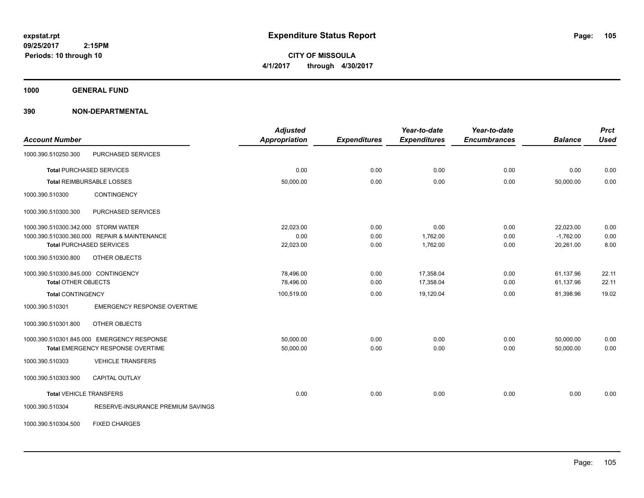**CITY OF MISSOULA 4/1/2017 through 4/30/2017**

**1000 GENERAL FUND**

|                                     |                                              | <b>Adjusted</b> |                     | Year-to-date        | Year-to-date        |                | <b>Prct</b> |
|-------------------------------------|----------------------------------------------|-----------------|---------------------|---------------------|---------------------|----------------|-------------|
| <b>Account Number</b>               |                                              | Appropriation   | <b>Expenditures</b> | <b>Expenditures</b> | <b>Encumbrances</b> | <b>Balance</b> | <b>Used</b> |
| 1000.390.510250.300                 | PURCHASED SERVICES                           |                 |                     |                     |                     |                |             |
|                                     | <b>Total PURCHASED SERVICES</b>              | 0.00            | 0.00                | 0.00                | 0.00                | 0.00           | 0.00        |
|                                     | <b>Total REIMBURSABLE LOSSES</b>             | 50,000.00       | 0.00                | 0.00                | 0.00                | 50,000.00      | 0.00        |
| 1000.390.510300                     | CONTINGENCY                                  |                 |                     |                     |                     |                |             |
| 1000.390.510300.300                 | PURCHASED SERVICES                           |                 |                     |                     |                     |                |             |
| 1000.390.510300.342.000 STORM WATER |                                              | 22,023.00       | 0.00                | 0.00                | 0.00                | 22,023.00      | 0.00        |
|                                     | 1000.390.510300.360.000 REPAIR & MAINTENANCE | 0.00            | 0.00                | 1,762.00            | 0.00                | $-1,762.00$    | 0.00        |
|                                     | <b>Total PURCHASED SERVICES</b>              | 22,023.00       | 0.00                | 1,762.00            | 0.00                | 20,261.00      | 8.00        |
| 1000.390.510300.800                 | <b>OTHER OBJECTS</b>                         |                 |                     |                     |                     |                |             |
| 1000.390.510300.845.000 CONTINGENCY |                                              | 78,496.00       | 0.00                | 17,358.04           | 0.00                | 61,137.96      | 22.11       |
| <b>Total OTHER OBJECTS</b>          |                                              | 78,496.00       | 0.00                | 17,358.04           | 0.00                | 61,137.96      | 22.11       |
| <b>Total CONTINGENCY</b>            |                                              | 100,519.00      | 0.00                | 19,120.04           | 0.00                | 81,398.96      | 19.02       |
| 1000.390.510301                     | <b>EMERGENCY RESPONSE OVERTIME</b>           |                 |                     |                     |                     |                |             |
| 1000.390.510301.800                 | OTHER OBJECTS                                |                 |                     |                     |                     |                |             |
|                                     | 1000.390.510301.845.000 EMERGENCY RESPONSE   | 50,000.00       | 0.00                | 0.00                | 0.00                | 50,000.00      | 0.00        |
|                                     | <b>Total EMERGENCY RESPONSE OVERTIME</b>     | 50,000.00       | 0.00                | 0.00                | 0.00                | 50,000.00      | 0.00        |
| 1000.390.510303                     | <b>VEHICLE TRANSFERS</b>                     |                 |                     |                     |                     |                |             |
| 1000.390.510303.900                 | <b>CAPITAL OUTLAY</b>                        |                 |                     |                     |                     |                |             |
| <b>Total VEHICLE TRANSFERS</b>      |                                              | 0.00            | 0.00                | 0.00                | 0.00                | 0.00           | 0.00        |
| 1000.390.510304                     | RESERVE-INSURANCE PREMIUM SAVINGS            |                 |                     |                     |                     |                |             |
| 1000.390.510304.500                 | <b>FIXED CHARGES</b>                         |                 |                     |                     |                     |                |             |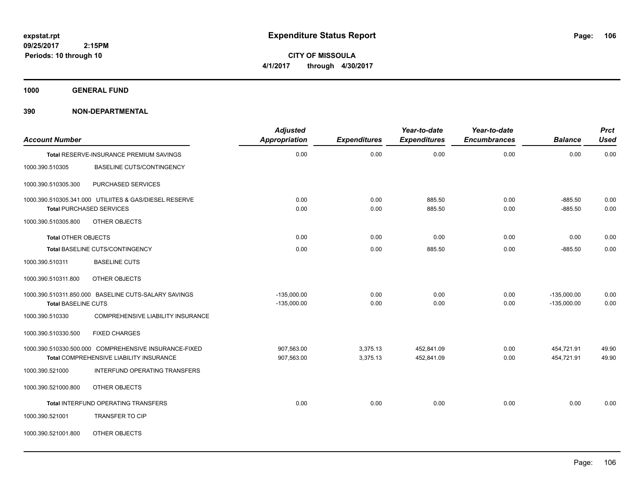**CITY OF MISSOULA 4/1/2017 through 4/30/2017**

**1000 GENERAL FUND**

| <b>Account Number</b>      |                                                                                           | <b>Adjusted</b><br>Appropriation | <b>Expenditures</b> | Year-to-date<br><b>Expenditures</b> | Year-to-date<br><b>Encumbrances</b> | <b>Balance</b>         | <b>Prct</b><br><b>Used</b> |
|----------------------------|-------------------------------------------------------------------------------------------|----------------------------------|---------------------|-------------------------------------|-------------------------------------|------------------------|----------------------------|
|                            | Total RESERVE-INSURANCE PREMIUM SAVINGS                                                   | 0.00                             | 0.00                | 0.00                                | 0.00                                | 0.00                   | 0.00                       |
| 1000.390.510305            | <b>BASELINE CUTS/CONTINGENCY</b>                                                          |                                  |                     |                                     |                                     |                        |                            |
| 1000.390.510305.300        | PURCHASED SERVICES                                                                        |                                  |                     |                                     |                                     |                        |                            |
|                            | 1000.390.510305.341.000 UTILIITES & GAS/DIESEL RESERVE<br><b>Total PURCHASED SERVICES</b> | 0.00<br>0.00                     | 0.00<br>0.00        | 885.50<br>885.50                    | 0.00<br>0.00                        | $-885.50$<br>$-885.50$ | 0.00<br>0.00               |
| 1000.390.510305.800        | OTHER OBJECTS                                                                             |                                  |                     |                                     |                                     |                        |                            |
| <b>Total OTHER OBJECTS</b> |                                                                                           | 0.00                             | 0.00                | 0.00                                | 0.00                                | 0.00                   | 0.00                       |
|                            | Total BASELINE CUTS/CONTINGENCY                                                           | 0.00                             | 0.00                | 885.50                              | 0.00                                | $-885.50$              | 0.00                       |
| 1000.390.510311            | <b>BASELINE CUTS</b>                                                                      |                                  |                     |                                     |                                     |                        |                            |
| 1000.390.510311.800        | OTHER OBJECTS                                                                             |                                  |                     |                                     |                                     |                        |                            |
|                            | 1000.390.510311.850.000 BASELINE CUTS-SALARY SAVINGS                                      | $-135,000.00$                    | 0.00                | 0.00                                | 0.00                                | $-135,000.00$          | 0.00                       |
| <b>Total BASELINE CUTS</b> |                                                                                           | $-135,000.00$                    | 0.00                | 0.00                                | 0.00                                | $-135,000.00$          | 0.00                       |
| 1000.390.510330            | COMPREHENSIVE LIABILITY INSURANCE                                                         |                                  |                     |                                     |                                     |                        |                            |
| 1000.390.510330.500        | <b>FIXED CHARGES</b>                                                                      |                                  |                     |                                     |                                     |                        |                            |
|                            | 1000.390.510330.500.000 COMPREHENSIVE INSURANCE-FIXED                                     | 907,563.00                       | 3,375.13            | 452,841.09                          | 0.00                                | 454,721.91             | 49.90                      |
|                            | Total COMPREHENSIVE LIABILITY INSURANCE                                                   | 907,563.00                       | 3,375.13            | 452,841.09                          | 0.00                                | 454,721.91             | 49.90                      |
| 1000.390.521000            | INTERFUND OPERATING TRANSFERS                                                             |                                  |                     |                                     |                                     |                        |                            |
| 1000.390.521000.800        | OTHER OBJECTS                                                                             |                                  |                     |                                     |                                     |                        |                            |
|                            | Total INTERFUND OPERATING TRANSFERS                                                       | 0.00                             | 0.00                | 0.00                                | 0.00                                | 0.00                   | 0.00                       |
| 1000.390.521001            | <b>TRANSFER TO CIP</b>                                                                    |                                  |                     |                                     |                                     |                        |                            |
| 1000.390.521001.800        | OTHER OBJECTS                                                                             |                                  |                     |                                     |                                     |                        |                            |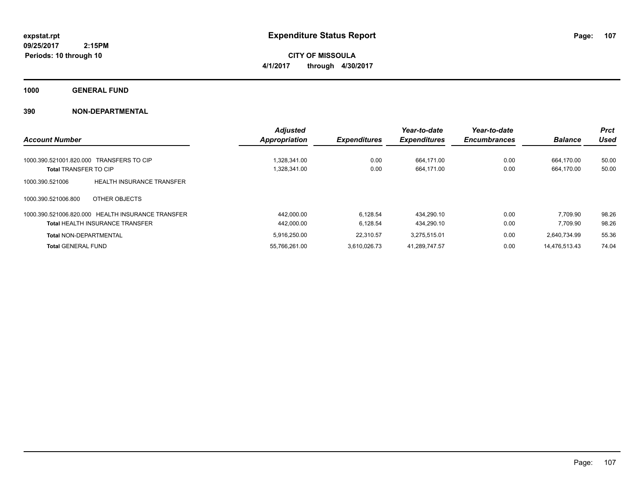**CITY OF MISSOULA 4/1/2017 through 4/30/2017**

**1000 GENERAL FUND**

|                                                     | <b>Adjusted</b>      |                     | Year-to-date        | Year-to-date        |                | <b>Prct</b> |
|-----------------------------------------------------|----------------------|---------------------|---------------------|---------------------|----------------|-------------|
| <b>Account Number</b>                               | <b>Appropriation</b> | <b>Expenditures</b> | <b>Expenditures</b> | <b>Encumbrances</b> | <b>Balance</b> | <b>Used</b> |
|                                                     |                      |                     |                     |                     |                |             |
| 1000.390.521001.820.000 TRANSFERS TO CIP            | 1.328.341.00         | 0.00                | 664.171.00          | 0.00                | 664.170.00     | 50.00       |
| <b>Total TRANSFER TO CIP</b>                        | 1,328,341.00         | 0.00                | 664,171.00          | 0.00                | 664,170.00     | 50.00       |
| <b>HEALTH INSURANCE TRANSFER</b><br>1000.390.521006 |                      |                     |                     |                     |                |             |
| 1000.390.521006.800<br>OTHER OBJECTS                |                      |                     |                     |                     |                |             |
| 1000.390.521006.820.000 HEALTH INSURANCE TRANSFER   | 442.000.00           | 6.128.54            | 434.290.10          | 0.00                | 7.709.90       | 98.26       |
| <b>Total HEALTH INSURANCE TRANSFER</b>              | 442,000.00           | 6.128.54            | 434.290.10          | 0.00                | 7.709.90       | 98.26       |
| <b>Total NON-DEPARTMENTAL</b>                       | 5.916.250.00         | 22.310.57           | 3.275.515.01        | 0.00                | 2.640.734.99   | 55.36       |
| <b>Total GENERAL FUND</b>                           | 55,766,261.00        | 3.610.026.73        | 41,289,747.57       | 0.00                | 14.476.513.43  | 74.04       |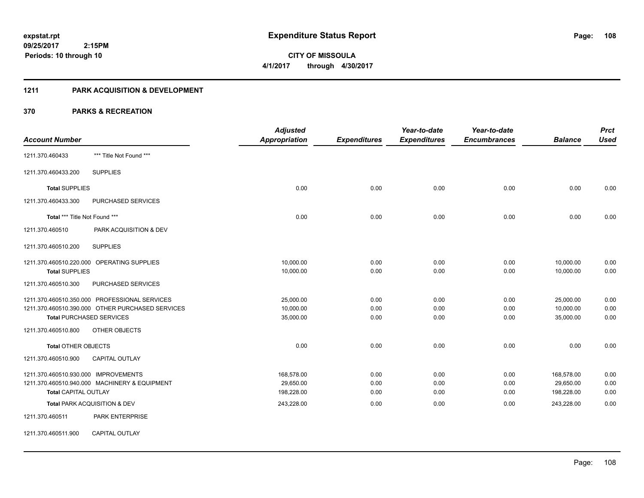**Periods: 10 through 10**

**CITY OF MISSOULA 4/1/2017 through 4/30/2017**

#### **1211 PARK ACQUISITION & DEVELOPMENT**

# **370 PARKS & RECREATION**

 **2:15PM**

|                                                  | <b>Adjusted</b>      |                     | Year-to-date        | Year-to-date        |                | <b>Prct</b> |
|--------------------------------------------------|----------------------|---------------------|---------------------|---------------------|----------------|-------------|
| <b>Account Number</b>                            | <b>Appropriation</b> | <b>Expenditures</b> | <b>Expenditures</b> | <b>Encumbrances</b> | <b>Balance</b> | <b>Used</b> |
| *** Title Not Found ***<br>1211.370.460433       |                      |                     |                     |                     |                |             |
| <b>SUPPLIES</b><br>1211.370.460433.200           |                      |                     |                     |                     |                |             |
| <b>Total SUPPLIES</b>                            | 0.00                 | 0.00                | 0.00                | 0.00                | 0.00           | 0.00        |
| 1211.370.460433.300<br><b>PURCHASED SERVICES</b> |                      |                     |                     |                     |                |             |
| Total *** Title Not Found ***                    | 0.00                 | 0.00                | 0.00                | 0.00                | 0.00           | 0.00        |
| PARK ACQUISITION & DEV<br>1211.370.460510        |                      |                     |                     |                     |                |             |
| 1211.370.460510.200<br><b>SUPPLIES</b>           |                      |                     |                     |                     |                |             |
| 1211.370.460510.220.000 OPERATING SUPPLIES       | 10,000.00            | 0.00                | 0.00                | 0.00                | 10,000.00      | 0.00        |
| <b>Total SUPPLIES</b>                            | 10,000.00            | 0.00                | 0.00                | 0.00                | 10,000.00      | 0.00        |
| 1211.370.460510.300<br>PURCHASED SERVICES        |                      |                     |                     |                     |                |             |
| 1211.370.460510.350.000 PROFESSIONAL SERVICES    | 25,000.00            | 0.00                | 0.00                | 0.00                | 25,000.00      | 0.00        |
| 1211.370.460510.390.000 OTHER PURCHASED SERVICES | 10,000.00            | 0.00                | 0.00                | 0.00                | 10,000.00      | 0.00        |
| <b>Total PURCHASED SERVICES</b>                  | 35,000.00            | 0.00                | 0.00                | 0.00                | 35,000.00      | 0.00        |
| 1211.370.460510.800<br>OTHER OBJECTS             |                      |                     |                     |                     |                |             |
| <b>Total OTHER OBJECTS</b>                       | 0.00                 | 0.00                | 0.00                | 0.00                | 0.00           | 0.00        |
| 1211.370.460510.900<br><b>CAPITAL OUTLAY</b>     |                      |                     |                     |                     |                |             |
| 1211.370.460510.930.000 IMPROVEMENTS             | 168,578.00           | 0.00                | 0.00                | 0.00                | 168,578.00     | 0.00        |
| 1211.370.460510.940.000 MACHINERY & EQUIPMENT    | 29,650.00            | 0.00                | 0.00                | 0.00                | 29,650.00      | 0.00        |
| <b>Total CAPITAL OUTLAY</b>                      | 198,228.00           | 0.00                | 0.00                | 0.00                | 198,228.00     | 0.00        |
| Total PARK ACQUISITION & DEV                     | 243,228.00           | 0.00                | 0.00                | 0.00                | 243,228.00     | 0.00        |
| 1211.370.460511<br>PARK ENTERPRISE               |                      |                     |                     |                     |                |             |
| <b>CAPITAL OUTLAY</b><br>1211.370.460511.900     |                      |                     |                     |                     |                |             |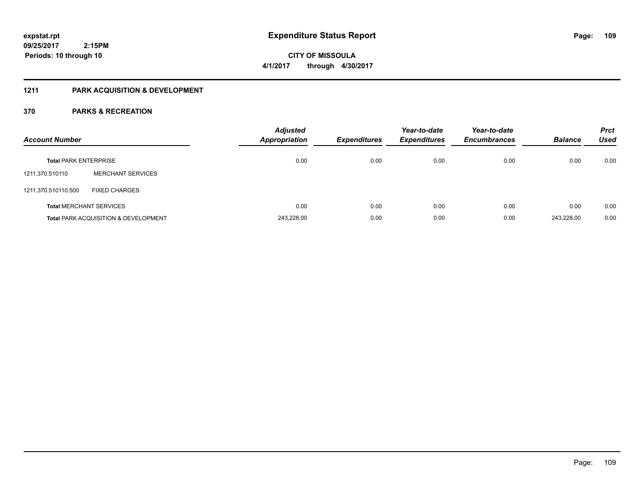**CITY OF MISSOULA 4/1/2017 through 4/30/2017**

## **1211 PARK ACQUISITION & DEVELOPMENT**

| <b>Account Number</b>        |                                                 | <b>Adjusted</b><br><b>Appropriation</b> | <b>Expenditures</b> | Year-to-date<br><b>Expenditures</b> | Year-to-date<br><b>Encumbrances</b> | <b>Balance</b> | <b>Prct</b><br><b>Used</b> |
|------------------------------|-------------------------------------------------|-----------------------------------------|---------------------|-------------------------------------|-------------------------------------|----------------|----------------------------|
| <b>Total PARK ENTERPRISE</b> |                                                 | 0.00                                    | 0.00                | 0.00                                | 0.00                                | 0.00           | 0.00                       |
| 1211.370.510110              | <b>MERCHANT SERVICES</b>                        |                                         |                     |                                     |                                     |                |                            |
| 1211.370.510110.500          | <b>FIXED CHARGES</b>                            |                                         |                     |                                     |                                     |                |                            |
|                              | <b>Total MERCHANT SERVICES</b>                  | 0.00                                    | 0.00                | 0.00                                | 0.00                                | 0.00           | 0.00                       |
|                              | <b>Total PARK ACQUISITION &amp; DEVELOPMENT</b> | 243,228.00                              | 0.00                | 0.00                                | 0.00                                | 243.228.00     | 0.00                       |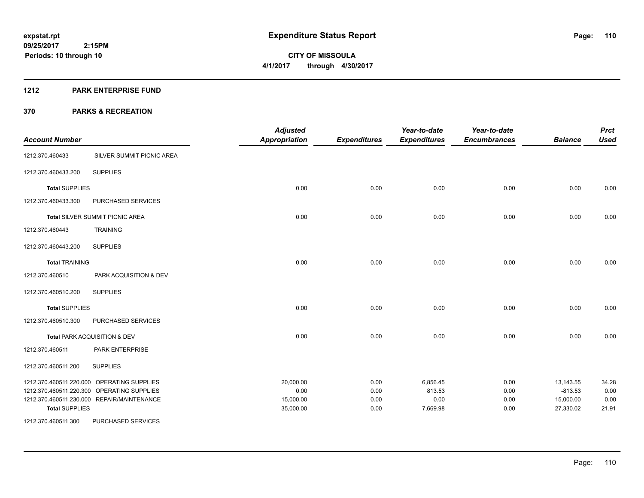**110**

**09/25/2017 2:15PM Periods: 10 through 10**

# **CITY OF MISSOULA 4/1/2017 through 4/30/2017**

#### **1212 PARK ENTERPRISE FUND**

| <b>Account Number</b> |                                            | <b>Adjusted</b><br><b>Appropriation</b> | <b>Expenditures</b> | Year-to-date<br><b>Expenditures</b> | Year-to-date<br><b>Encumbrances</b> | <b>Balance</b> | <b>Prct</b><br><b>Used</b> |
|-----------------------|--------------------------------------------|-----------------------------------------|---------------------|-------------------------------------|-------------------------------------|----------------|----------------------------|
| 1212.370.460433       | SILVER SUMMIT PICNIC AREA                  |                                         |                     |                                     |                                     |                |                            |
| 1212.370.460433.200   | <b>SUPPLIES</b>                            |                                         |                     |                                     |                                     |                |                            |
| <b>Total SUPPLIES</b> |                                            | 0.00                                    | 0.00                | 0.00                                | 0.00                                | 0.00           | 0.00                       |
| 1212.370.460433.300   | PURCHASED SERVICES                         |                                         |                     |                                     |                                     |                |                            |
|                       | Total SILVER SUMMIT PICNIC AREA            | 0.00                                    | 0.00                | 0.00                                | 0.00                                | 0.00           | 0.00                       |
| 1212.370.460443       | <b>TRAINING</b>                            |                                         |                     |                                     |                                     |                |                            |
| 1212.370.460443.200   | <b>SUPPLIES</b>                            |                                         |                     |                                     |                                     |                |                            |
| <b>Total TRAINING</b> |                                            | 0.00                                    | 0.00                | 0.00                                | 0.00                                | 0.00           | 0.00                       |
| 1212.370.460510       | PARK ACQUISITION & DEV                     |                                         |                     |                                     |                                     |                |                            |
| 1212.370.460510.200   | <b>SUPPLIES</b>                            |                                         |                     |                                     |                                     |                |                            |
| <b>Total SUPPLIES</b> |                                            | 0.00                                    | 0.00                | 0.00                                | 0.00                                | 0.00           | 0.00                       |
| 1212.370.460510.300   | PURCHASED SERVICES                         |                                         |                     |                                     |                                     |                |                            |
|                       | Total PARK ACQUISITION & DEV               | 0.00                                    | 0.00                | 0.00                                | 0.00                                | 0.00           | 0.00                       |
| 1212.370.460511       | PARK ENTERPRISE                            |                                         |                     |                                     |                                     |                |                            |
| 1212.370.460511.200   | <b>SUPPLIES</b>                            |                                         |                     |                                     |                                     |                |                            |
|                       | 1212.370.460511.220.000 OPERATING SUPPLIES | 20,000.00                               | 0.00                | 6,856.45                            | 0.00                                | 13,143.55      | 34.28                      |
|                       | 1212.370.460511.220.300 OPERATING SUPPLIES | 0.00                                    | 0.00                | 813.53                              | 0.00                                | $-813.53$      | 0.00                       |
|                       | 1212.370.460511.230.000 REPAIR/MAINTENANCE | 15,000.00                               | 0.00                | 0.00                                | 0.00                                | 15,000.00      | 0.00                       |
| <b>Total SUPPLIES</b> |                                            | 35,000.00                               | 0.00                | 7,669.98                            | 0.00                                | 27,330.02      | 21.91                      |
| 1212.370.460511.300   | PURCHASED SERVICES                         |                                         |                     |                                     |                                     |                |                            |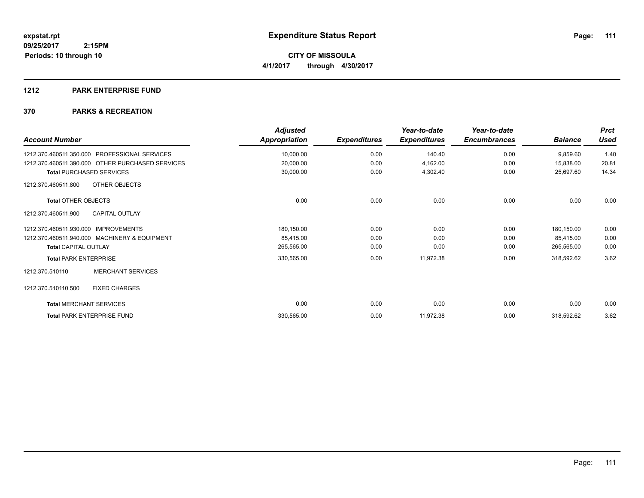#### **1212 PARK ENTERPRISE FUND**

| <b>Account Number</b>                            | <b>Adjusted</b><br>Appropriation | <b>Expenditures</b> | Year-to-date<br><b>Expenditures</b> | Year-to-date<br><b>Encumbrances</b> | <b>Balance</b> | <b>Prct</b><br>Used |
|--------------------------------------------------|----------------------------------|---------------------|-------------------------------------|-------------------------------------|----------------|---------------------|
| 1212.370.460511.350.000 PROFESSIONAL SERVICES    | 10,000.00                        | 0.00                | 140.40                              | 0.00                                | 9,859.60       | 1.40                |
| 1212.370.460511.390.000 OTHER PURCHASED SERVICES | 20,000.00                        | 0.00                | 4,162.00                            | 0.00                                | 15,838.00      | 20.81               |
| <b>Total PURCHASED SERVICES</b>                  | 30,000.00                        | 0.00                | 4,302.40                            | 0.00                                | 25,697.60      | 14.34               |
| <b>OTHER OBJECTS</b><br>1212.370.460511.800      |                                  |                     |                                     |                                     |                |                     |
| <b>Total OTHER OBJECTS</b>                       | 0.00                             | 0.00                | 0.00                                | 0.00                                | 0.00           | 0.00                |
| <b>CAPITAL OUTLAY</b><br>1212.370.460511.900     |                                  |                     |                                     |                                     |                |                     |
| 1212.370.460511.930.000 IMPROVEMENTS             | 180,150.00                       | 0.00                | 0.00                                | 0.00                                | 180,150.00     | 0.00                |
| 1212.370.460511.940.000 MACHINERY & EQUIPMENT    | 85,415.00                        | 0.00                | 0.00                                | 0.00                                | 85,415.00      | 0.00                |
| <b>Total CAPITAL OUTLAY</b>                      | 265,565.00                       | 0.00                | 0.00                                | 0.00                                | 265,565.00     | 0.00                |
| <b>Total PARK ENTERPRISE</b>                     | 330,565.00                       | 0.00                | 11,972.38                           | 0.00                                | 318,592.62     | 3.62                |
| <b>MERCHANT SERVICES</b><br>1212.370.510110      |                                  |                     |                                     |                                     |                |                     |
| <b>FIXED CHARGES</b><br>1212.370.510110.500      |                                  |                     |                                     |                                     |                |                     |
| <b>Total MERCHANT SERVICES</b>                   | 0.00                             | 0.00                | 0.00                                | 0.00                                | 0.00           | 0.00                |
| <b>Total PARK ENTERPRISE FUND</b>                | 330,565.00                       | 0.00                | 11,972.38                           | 0.00                                | 318,592.62     | 3.62                |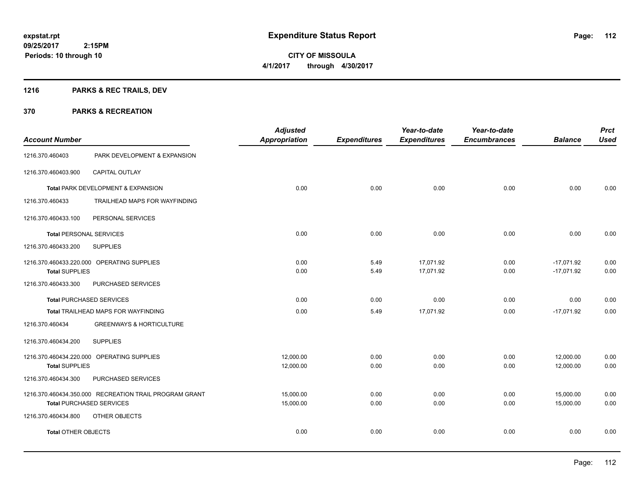Page: 112

**09/25/2017 2:15PM Periods: 10 through 10**

**CITY OF MISSOULA 4/1/2017 through 4/30/2017**

## **1216 PARKS & REC TRAILS, DEV**

| <b>Account Number</b>           |                                                                                           | <b>Adjusted</b><br><b>Appropriation</b> | <b>Expenditures</b> | Year-to-date<br><b>Expenditures</b> | Year-to-date<br><b>Encumbrances</b> | <b>Balance</b>               | <b>Prct</b><br><b>Used</b> |
|---------------------------------|-------------------------------------------------------------------------------------------|-----------------------------------------|---------------------|-------------------------------------|-------------------------------------|------------------------------|----------------------------|
| 1216.370.460403                 | PARK DEVELOPMENT & EXPANSION                                                              |                                         |                     |                                     |                                     |                              |                            |
| 1216.370.460403.900             | <b>CAPITAL OUTLAY</b>                                                                     |                                         |                     |                                     |                                     |                              |                            |
|                                 | Total PARK DEVELOPMENT & EXPANSION                                                        | 0.00                                    | 0.00                | 0.00                                | 0.00                                | 0.00                         | 0.00                       |
| 1216.370.460433                 | TRAILHEAD MAPS FOR WAYFINDING                                                             |                                         |                     |                                     |                                     |                              |                            |
| 1216.370.460433.100             | PERSONAL SERVICES                                                                         |                                         |                     |                                     |                                     |                              |                            |
| <b>Total PERSONAL SERVICES</b>  |                                                                                           | 0.00                                    | 0.00                | 0.00                                | 0.00                                | 0.00                         | 0.00                       |
| 1216.370.460433.200             | <b>SUPPLIES</b>                                                                           |                                         |                     |                                     |                                     |                              |                            |
| <b>Total SUPPLIES</b>           | 1216.370.460433.220.000 OPERATING SUPPLIES                                                | 0.00<br>0.00                            | 5.49<br>5.49        | 17,071.92<br>17,071.92              | 0.00<br>0.00                        | $-17,071.92$<br>$-17,071.92$ | 0.00<br>0.00               |
| 1216.370.460433.300             | PURCHASED SERVICES                                                                        |                                         |                     |                                     |                                     |                              |                            |
| <b>Total PURCHASED SERVICES</b> |                                                                                           | 0.00                                    | 0.00                | 0.00                                | 0.00                                | 0.00                         | 0.00                       |
|                                 | Total TRAILHEAD MAPS FOR WAYFINDING                                                       | 0.00                                    | 5.49                | 17,071.92                           | 0.00                                | $-17,071.92$                 | 0.00                       |
| 1216.370.460434                 | <b>GREENWAYS &amp; HORTICULTURE</b>                                                       |                                         |                     |                                     |                                     |                              |                            |
| 1216.370.460434.200             | <b>SUPPLIES</b>                                                                           |                                         |                     |                                     |                                     |                              |                            |
| <b>Total SUPPLIES</b>           | 1216.370.460434.220.000 OPERATING SUPPLIES                                                | 12,000.00<br>12,000.00                  | 0.00<br>0.00        | 0.00<br>0.00                        | 0.00<br>0.00                        | 12,000.00<br>12,000.00       | 0.00<br>0.00               |
| 1216.370.460434.300             | PURCHASED SERVICES                                                                        |                                         |                     |                                     |                                     |                              |                            |
|                                 | 1216.370.460434.350.000 RECREATION TRAIL PROGRAM GRANT<br><b>Total PURCHASED SERVICES</b> | 15,000.00<br>15,000.00                  | 0.00<br>0.00        | 0.00<br>0.00                        | 0.00<br>0.00                        | 15,000.00<br>15,000.00       | 0.00<br>0.00               |
| 1216.370.460434.800             | OTHER OBJECTS                                                                             |                                         |                     |                                     |                                     |                              |                            |
| <b>Total OTHER OBJECTS</b>      |                                                                                           | 0.00                                    | 0.00                | 0.00                                | 0.00                                | 0.00                         | 0.00                       |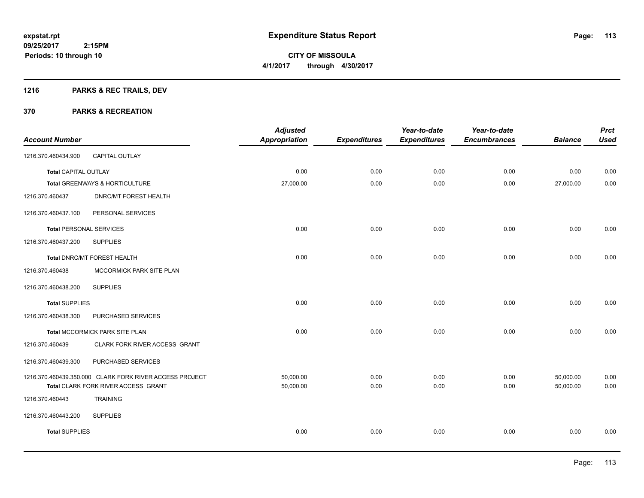## **1216 PARKS & REC TRAILS, DEV**

| <b>Account Number</b>          |                                                                                                | <b>Adjusted</b><br><b>Appropriation</b> | <b>Expenditures</b> | Year-to-date<br><b>Expenditures</b> | Year-to-date<br><b>Encumbrances</b> | <b>Balance</b>         | <b>Prct</b><br><b>Used</b> |
|--------------------------------|------------------------------------------------------------------------------------------------|-----------------------------------------|---------------------|-------------------------------------|-------------------------------------|------------------------|----------------------------|
| 1216.370.460434.900            | CAPITAL OUTLAY                                                                                 |                                         |                     |                                     |                                     |                        |                            |
| Total CAPITAL OUTLAY           |                                                                                                | 0.00                                    | 0.00                | 0.00                                | 0.00                                | 0.00                   | 0.00                       |
|                                | Total GREENWAYS & HORTICULTURE                                                                 | 27,000.00                               | 0.00                | 0.00                                | 0.00                                | 27,000.00              | 0.00                       |
| 1216.370.460437                | <b>DNRC/MT FOREST HEALTH</b>                                                                   |                                         |                     |                                     |                                     |                        |                            |
| 1216.370.460437.100            | PERSONAL SERVICES                                                                              |                                         |                     |                                     |                                     |                        |                            |
| <b>Total PERSONAL SERVICES</b> |                                                                                                | 0.00                                    | 0.00                | 0.00                                | 0.00                                | 0.00                   | 0.00                       |
| 1216.370.460437.200            | <b>SUPPLIES</b>                                                                                |                                         |                     |                                     |                                     |                        |                            |
|                                | Total DNRC/MT FOREST HEALTH                                                                    | 0.00                                    | 0.00                | 0.00                                | 0.00                                | 0.00                   | 0.00                       |
| 1216.370.460438                | MCCORMICK PARK SITE PLAN                                                                       |                                         |                     |                                     |                                     |                        |                            |
| 1216.370.460438.200            | <b>SUPPLIES</b>                                                                                |                                         |                     |                                     |                                     |                        |                            |
| <b>Total SUPPLIES</b>          |                                                                                                | 0.00                                    | 0.00                | 0.00                                | 0.00                                | 0.00                   | 0.00                       |
| 1216.370.460438.300            | PURCHASED SERVICES                                                                             |                                         |                     |                                     |                                     |                        |                            |
|                                | Total MCCORMICK PARK SITE PLAN                                                                 | 0.00                                    | 0.00                | 0.00                                | 0.00                                | 0.00                   | 0.00                       |
| 1216.370.460439                | CLARK FORK RIVER ACCESS GRANT                                                                  |                                         |                     |                                     |                                     |                        |                            |
| 1216.370.460439.300            | PURCHASED SERVICES                                                                             |                                         |                     |                                     |                                     |                        |                            |
|                                | 1216.370.460439.350.000 CLARK FORK RIVER ACCESS PROJECT<br>Total CLARK FORK RIVER ACCESS GRANT | 50,000.00<br>50,000.00                  | 0.00<br>0.00        | 0.00<br>0.00                        | 0.00<br>0.00                        | 50,000.00<br>50,000.00 | 0.00<br>0.00               |
| 1216.370.460443                | <b>TRAINING</b>                                                                                |                                         |                     |                                     |                                     |                        |                            |
| 1216.370.460443.200            | <b>SUPPLIES</b>                                                                                |                                         |                     |                                     |                                     |                        |                            |
| <b>Total SUPPLIES</b>          |                                                                                                | 0.00                                    | 0.00                | 0.00                                | 0.00                                | 0.00                   | 0.00                       |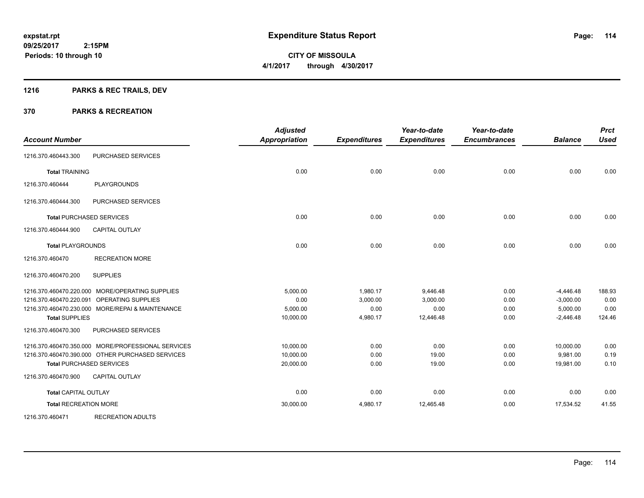**Periods: 10 through 10**

**CITY OF MISSOULA 4/1/2017 through 4/30/2017**

## **1216 PARKS & REC TRAILS, DEV**

 **2:15PM**

| <b>Account Number</b>        |                                                    | <b>Adjusted</b><br><b>Appropriation</b> | <b>Expenditures</b> | Year-to-date<br><b>Expenditures</b> | Year-to-date<br><b>Encumbrances</b> | <b>Balance</b> | <b>Prct</b><br><b>Used</b> |
|------------------------------|----------------------------------------------------|-----------------------------------------|---------------------|-------------------------------------|-------------------------------------|----------------|----------------------------|
| 1216.370.460443.300          | PURCHASED SERVICES                                 |                                         |                     |                                     |                                     |                |                            |
| <b>Total TRAINING</b>        |                                                    | 0.00                                    | 0.00                | 0.00                                | 0.00                                | 0.00           | 0.00                       |
| 1216.370.460444              | <b>PLAYGROUNDS</b>                                 |                                         |                     |                                     |                                     |                |                            |
| 1216.370.460444.300          | PURCHASED SERVICES                                 |                                         |                     |                                     |                                     |                |                            |
|                              | <b>Total PURCHASED SERVICES</b>                    | 0.00                                    | 0.00                | 0.00                                | 0.00                                | 0.00           | 0.00                       |
| 1216.370.460444.900          | <b>CAPITAL OUTLAY</b>                              |                                         |                     |                                     |                                     |                |                            |
| <b>Total PLAYGROUNDS</b>     |                                                    | 0.00                                    | 0.00                | 0.00                                | 0.00                                | 0.00           | 0.00                       |
| 1216.370.460470              | <b>RECREATION MORE</b>                             |                                         |                     |                                     |                                     |                |                            |
| 1216.370.460470.200          | <b>SUPPLIES</b>                                    |                                         |                     |                                     |                                     |                |                            |
|                              | 1216.370.460470.220.000 MORE/OPERATING SUPPLIES    | 5,000.00                                | 1,980.17            | 9,446.48                            | 0.00                                | $-4,446.48$    | 188.93                     |
| 1216.370.460470.220.091      | <b>OPERATING SUPPLIES</b>                          | 0.00                                    | 3,000.00            | 3,000.00                            | 0.00                                | $-3,000.00$    | 0.00                       |
|                              | 1216.370.460470.230.000 MORE/REPAI & MAINTENANCE   | 5,000.00                                | 0.00                | 0.00                                | 0.00                                | 5,000.00       | 0.00                       |
| <b>Total SUPPLIES</b>        |                                                    | 10,000.00                               | 4,980.17            | 12,446.48                           | 0.00                                | $-2,446.48$    | 124.46                     |
| 1216.370.460470.300          | PURCHASED SERVICES                                 |                                         |                     |                                     |                                     |                |                            |
|                              | 1216.370.460470.350.000 MORE/PROFESSIONAL SERVICES | 10,000.00                               | 0.00                | 0.00                                | 0.00                                | 10,000.00      | 0.00                       |
|                              | 1216.370.460470.390.000 OTHER PURCHASED SERVICES   | 10,000.00                               | 0.00                | 19.00                               | 0.00                                | 9,981.00       | 0.19                       |
|                              | <b>Total PURCHASED SERVICES</b>                    | 20,000.00                               | 0.00                | 19.00                               | 0.00                                | 19,981.00      | 0.10                       |
| 1216.370.460470.900          | <b>CAPITAL OUTLAY</b>                              |                                         |                     |                                     |                                     |                |                            |
| <b>Total CAPITAL OUTLAY</b>  |                                                    | 0.00                                    | 0.00                | 0.00                                | 0.00                                | 0.00           | 0.00                       |
| <b>Total RECREATION MORE</b> |                                                    | 30,000.00                               | 4,980.17            | 12,465.48                           | 0.00                                | 17,534.52      | 41.55                      |
| 1216.370.460471              | <b>RECREATION ADULTS</b>                           |                                         |                     |                                     |                                     |                |                            |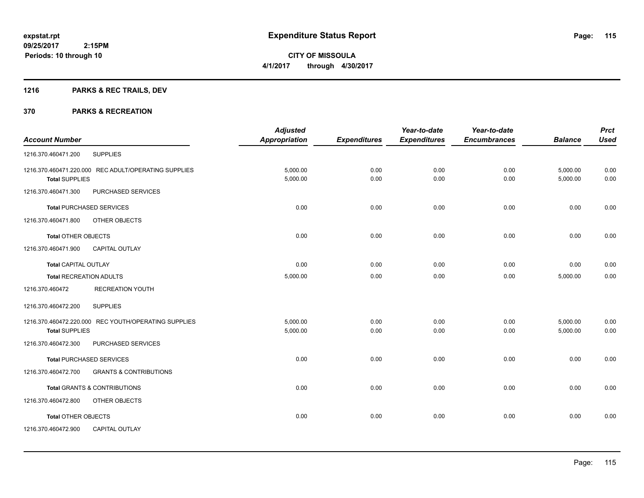**Periods: 10 through 10**

**CITY OF MISSOULA 4/1/2017 through 4/30/2017**

## **1216 PARKS & REC TRAILS, DEV**

|                                 |                                                      | <b>Adjusted</b>      |                     | Year-to-date        | Year-to-date        |                | <b>Prct</b> |
|---------------------------------|------------------------------------------------------|----------------------|---------------------|---------------------|---------------------|----------------|-------------|
| <b>Account Number</b>           |                                                      | <b>Appropriation</b> | <b>Expenditures</b> | <b>Expenditures</b> | <b>Encumbrances</b> | <b>Balance</b> | <b>Used</b> |
| 1216.370.460471.200             | <b>SUPPLIES</b>                                      |                      |                     |                     |                     |                |             |
|                                 | 1216.370.460471.220.000 REC ADULT/OPERATING SUPPLIES | 5,000.00             | 0.00                | 0.00                | 0.00                | 5,000.00       | 0.00        |
| <b>Total SUPPLIES</b>           |                                                      | 5,000.00             | 0.00                | 0.00                | 0.00                | 5,000.00       | 0.00        |
| 1216.370.460471.300             | PURCHASED SERVICES                                   |                      |                     |                     |                     |                |             |
| <b>Total PURCHASED SERVICES</b> |                                                      | 0.00                 | 0.00                | 0.00                | 0.00                | 0.00           | 0.00        |
| 1216.370.460471.800             | OTHER OBJECTS                                        |                      |                     |                     |                     |                |             |
| <b>Total OTHER OBJECTS</b>      |                                                      | 0.00                 | 0.00                | 0.00                | 0.00                | 0.00           | 0.00        |
| 1216.370.460471.900             | <b>CAPITAL OUTLAY</b>                                |                      |                     |                     |                     |                |             |
| <b>Total CAPITAL OUTLAY</b>     |                                                      | 0.00                 | 0.00                | 0.00                | 0.00                | 0.00           | 0.00        |
| <b>Total RECREATION ADULTS</b>  |                                                      | 5,000.00             | 0.00                | 0.00                | 0.00                | 5,000.00       | 0.00        |
| 1216.370.460472                 | <b>RECREATION YOUTH</b>                              |                      |                     |                     |                     |                |             |
| 1216.370.460472.200             | <b>SUPPLIES</b>                                      |                      |                     |                     |                     |                |             |
|                                 | 1216.370.460472.220.000 REC YOUTH/OPERATING SUPPLIES | 5,000.00             | 0.00                | 0.00                | 0.00                | 5,000.00       | 0.00        |
| <b>Total SUPPLIES</b>           |                                                      | 5,000.00             | 0.00                | 0.00                | 0.00                | 5,000.00       | 0.00        |
| 1216.370.460472.300             | PURCHASED SERVICES                                   |                      |                     |                     |                     |                |             |
| <b>Total PURCHASED SERVICES</b> |                                                      | 0.00                 | 0.00                | 0.00                | 0.00                | 0.00           | 0.00        |
| 1216.370.460472.700             | <b>GRANTS &amp; CONTRIBUTIONS</b>                    |                      |                     |                     |                     |                |             |
|                                 | <b>Total GRANTS &amp; CONTRIBUTIONS</b>              | 0.00                 | 0.00                | 0.00                | 0.00                | 0.00           | 0.00        |
| 1216.370.460472.800             | OTHER OBJECTS                                        |                      |                     |                     |                     |                |             |
| <b>Total OTHER OBJECTS</b>      |                                                      | 0.00                 | 0.00                | 0.00                | 0.00                | 0.00           | 0.00        |
| 1216.370.460472.900             | CAPITAL OUTLAY                                       |                      |                     |                     |                     |                |             |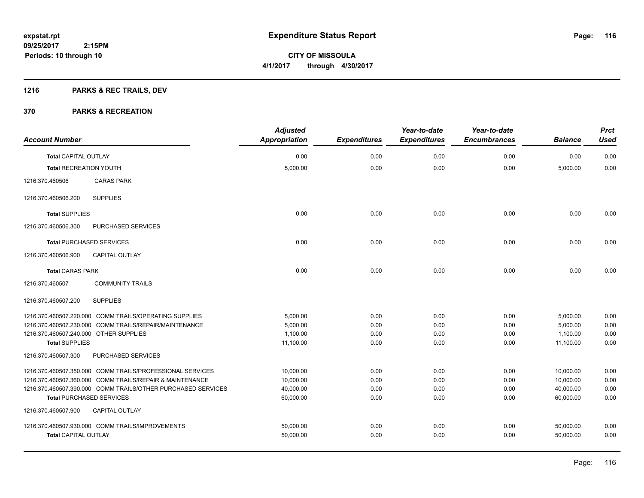## **1216 PARKS & REC TRAILS, DEV**

| <b>Account Number</b>                  |                                                              | <b>Adjusted</b><br><b>Appropriation</b> | <b>Expenditures</b> | Year-to-date<br><b>Expenditures</b> | Year-to-date<br><b>Encumbrances</b> | <b>Balance</b> | <b>Prct</b><br><b>Used</b> |
|----------------------------------------|--------------------------------------------------------------|-----------------------------------------|---------------------|-------------------------------------|-------------------------------------|----------------|----------------------------|
| <b>Total CAPITAL OUTLAY</b>            |                                                              | 0.00                                    | 0.00                | 0.00                                | 0.00                                | 0.00           | 0.00                       |
| <b>Total RECREATION YOUTH</b>          |                                                              | 5,000.00                                | 0.00                | 0.00                                | 0.00                                | 5,000.00       | 0.00                       |
| 1216.370.460506                        | <b>CARAS PARK</b>                                            |                                         |                     |                                     |                                     |                |                            |
| 1216.370.460506.200                    | <b>SUPPLIES</b>                                              |                                         |                     |                                     |                                     |                |                            |
| <b>Total SUPPLIES</b>                  |                                                              | 0.00                                    | 0.00                | 0.00                                | 0.00                                | 0.00           | 0.00                       |
| 1216.370.460506.300                    | PURCHASED SERVICES                                           |                                         |                     |                                     |                                     |                |                            |
|                                        | <b>Total PURCHASED SERVICES</b>                              | 0.00                                    | 0.00                | 0.00                                | 0.00                                | 0.00           | 0.00                       |
| 1216.370.460506.900                    | CAPITAL OUTLAY                                               |                                         |                     |                                     |                                     |                |                            |
| <b>Total CARAS PARK</b>                |                                                              | 0.00                                    | 0.00                | 0.00                                | 0.00                                | 0.00           | 0.00                       |
| 1216.370.460507                        | <b>COMMUNITY TRAILS</b>                                      |                                         |                     |                                     |                                     |                |                            |
| 1216.370.460507.200                    | <b>SUPPLIES</b>                                              |                                         |                     |                                     |                                     |                |                            |
|                                        | 1216.370.460507.220.000 COMM TRAILS/OPERATING SUPPLIES       | 5,000.00                                | 0.00                | 0.00                                | 0.00                                | 5,000.00       | 0.00                       |
|                                        | 1216.370.460507.230.000 COMM TRAILS/REPAIR/MAINTENANCE       | 5,000.00                                | 0.00                | 0.00                                | 0.00                                | 5,000.00       | 0.00                       |
| 1216.370.460507.240.000 OTHER SUPPLIES |                                                              | 1,100.00                                | 0.00                | 0.00                                | 0.00                                | 1,100.00       | 0.00                       |
| <b>Total SUPPLIES</b>                  |                                                              | 11,100.00                               | 0.00                | 0.00                                | 0.00                                | 11,100.00      | 0.00                       |
| 1216.370.460507.300                    | PURCHASED SERVICES                                           |                                         |                     |                                     |                                     |                |                            |
|                                        | 1216.370.460507.350.000 COMM TRAILS/PROFESSIONAL SERVICES    | 10.000.00                               | 0.00                | 0.00                                | 0.00                                | 10,000.00      | 0.00                       |
|                                        | 1216.370.460507.360.000 COMM TRAILS/REPAIR & MAINTENANCE     | 10,000.00                               | 0.00                | 0.00                                | 0.00                                | 10,000.00      | 0.00                       |
|                                        | 1216.370.460507.390.000 COMM TRAILS/OTHER PURCHASED SERVICES | 40,000.00                               | 0.00                | 0.00                                | 0.00                                | 40,000.00      | 0.00                       |
|                                        | <b>Total PURCHASED SERVICES</b>                              | 60,000.00                               | 0.00                | 0.00                                | 0.00                                | 60.000.00      | 0.00                       |
| 1216.370.460507.900                    | <b>CAPITAL OUTLAY</b>                                        |                                         |                     |                                     |                                     |                |                            |
|                                        | 1216.370.460507.930.000 COMM TRAILS/IMPROVEMENTS             | 50,000.00                               | 0.00                | 0.00                                | 0.00                                | 50,000.00      | 0.00                       |
| <b>Total CAPITAL OUTLAY</b>            |                                                              | 50,000.00                               | 0.00                | 0.00                                | 0.00                                | 50,000.00      | 0.00                       |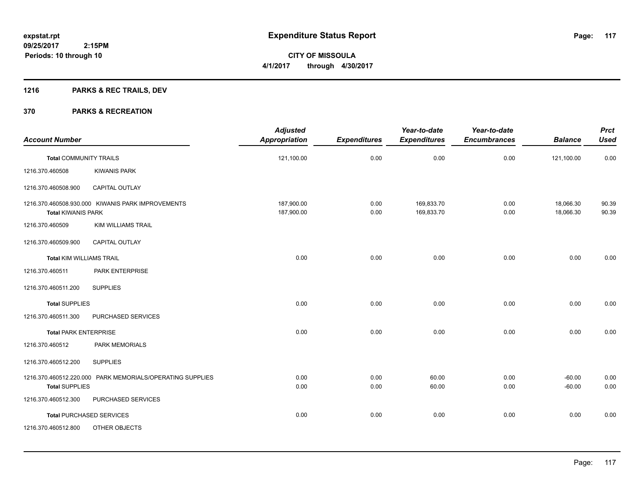**Periods: 10 through 10**

**CITY OF MISSOULA 4/1/2017 through 4/30/2017**

## **1216 PARKS & REC TRAILS, DEV**

|                                 |                                                           | <b>Adjusted</b>          |                     | Year-to-date             | Year-to-date        |                        | <b>Prct</b>    |
|---------------------------------|-----------------------------------------------------------|--------------------------|---------------------|--------------------------|---------------------|------------------------|----------------|
| <b>Account Number</b>           |                                                           | <b>Appropriation</b>     | <b>Expenditures</b> | <b>Expenditures</b>      | <b>Encumbrances</b> | <b>Balance</b>         | <b>Used</b>    |
| <b>Total COMMUNITY TRAILS</b>   |                                                           | 121,100.00               | 0.00                | 0.00                     | 0.00                | 121,100.00             | 0.00           |
| 1216.370.460508                 | <b>KIWANIS PARK</b>                                       |                          |                     |                          |                     |                        |                |
| 1216.370.460508.900             | CAPITAL OUTLAY                                            |                          |                     |                          |                     |                        |                |
| <b>Total KIWANIS PARK</b>       | 1216.370.460508.930.000 KIWANIS PARK IMPROVEMENTS         | 187,900.00<br>187,900.00 | 0.00<br>0.00        | 169,833.70<br>169,833.70 | 0.00<br>0.00        | 18,066.30<br>18,066.30 | 90.39<br>90.39 |
| 1216.370.460509                 | <b>KIM WILLIAMS TRAIL</b>                                 |                          |                     |                          |                     |                        |                |
| 1216.370.460509.900             | CAPITAL OUTLAY                                            |                          |                     |                          |                     |                        |                |
| <b>Total KIM WILLIAMS TRAIL</b> |                                                           | 0.00                     | 0.00                | 0.00                     | 0.00                | 0.00                   | 0.00           |
| 1216.370.460511                 | PARK ENTERPRISE                                           |                          |                     |                          |                     |                        |                |
| 1216.370.460511.200             | <b>SUPPLIES</b>                                           |                          |                     |                          |                     |                        |                |
| <b>Total SUPPLIES</b>           |                                                           | 0.00                     | 0.00                | 0.00                     | 0.00                | 0.00                   | 0.00           |
| 1216.370.460511.300             | PURCHASED SERVICES                                        |                          |                     |                          |                     |                        |                |
| <b>Total PARK ENTERPRISE</b>    |                                                           | 0.00                     | 0.00                | 0.00                     | 0.00                | 0.00                   | 0.00           |
| 1216.370.460512                 | PARK MEMORIALS                                            |                          |                     |                          |                     |                        |                |
| 1216.370.460512.200             | <b>SUPPLIES</b>                                           |                          |                     |                          |                     |                        |                |
| <b>Total SUPPLIES</b>           | 1216.370.460512.220.000 PARK MEMORIALS/OPERATING SUPPLIES | 0.00<br>0.00             | 0.00<br>0.00        | 60.00<br>60.00           | 0.00<br>0.00        | $-60.00$<br>$-60.00$   | 0.00<br>0.00   |
| 1216.370.460512.300             | PURCHASED SERVICES                                        |                          |                     |                          |                     |                        |                |
|                                 | <b>Total PURCHASED SERVICES</b>                           | 0.00                     | 0.00                | 0.00                     | 0.00                | 0.00                   | 0.00           |
| 1216.370.460512.800             | OTHER OBJECTS                                             |                          |                     |                          |                     |                        |                |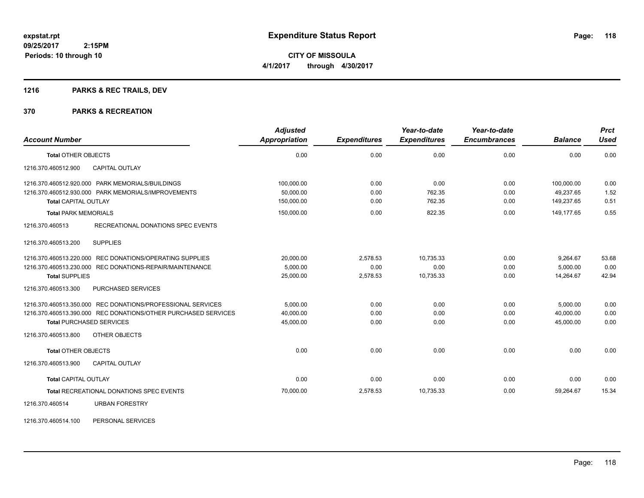## **1216 PARKS & REC TRAILS, DEV**

#### **370 PARKS & RECREATION**

| <b>Account Number</b>                                          | <b>Adjusted</b><br>Appropriation | <b>Expenditures</b> | Year-to-date<br><b>Expenditures</b> | Year-to-date<br><b>Encumbrances</b> | <b>Balance</b> | <b>Prct</b><br><b>Used</b> |
|----------------------------------------------------------------|----------------------------------|---------------------|-------------------------------------|-------------------------------------|----------------|----------------------------|
| <b>Total OTHER OBJECTS</b>                                     | 0.00                             | 0.00                | 0.00                                | 0.00                                | 0.00           | 0.00                       |
| 1216.370.460512.900<br><b>CAPITAL OUTLAY</b>                   |                                  |                     |                                     |                                     |                |                            |
| 1216.370.460512.920.000 PARK MEMORIALS/BUILDINGS               | 100,000.00                       | 0.00                | 0.00                                | 0.00                                | 100.000.00     | 0.00                       |
| 1216.370.460512.930.000 PARK MEMORIALS/IMPROVEMENTS            | 50,000.00                        | 0.00                | 762.35                              | 0.00                                | 49,237.65      | 1.52                       |
| <b>Total CAPITAL OUTLAY</b>                                    | 150,000.00                       | 0.00                | 762.35                              | 0.00                                | 149,237.65     | 0.51                       |
| <b>Total PARK MEMORIALS</b>                                    | 150,000.00                       | 0.00                | 822.35                              | 0.00                                | 149.177.65     | 0.55                       |
| RECREATIONAL DONATIONS SPEC EVENTS<br>1216.370.460513          |                                  |                     |                                     |                                     |                |                            |
| <b>SUPPLIES</b><br>1216.370.460513.200                         |                                  |                     |                                     |                                     |                |                            |
| 1216.370.460513.220.000 REC DONATIONS/OPERATING SUPPLIES       | 20,000.00                        | 2,578.53            | 10.735.33                           | 0.00                                | 9,264.67       | 53.68                      |
| 1216.370.460513.230.000 REC DONATIONS-REPAIR/MAINTENANCE       | 5,000.00                         | 0.00                | 0.00                                | 0.00                                | 5,000.00       | 0.00                       |
| <b>Total SUPPLIES</b>                                          | 25.000.00                        | 2,578.53            | 10,735.33                           | 0.00                                | 14.264.67      | 42.94                      |
| 1216.370.460513.300<br><b>PURCHASED SERVICES</b>               |                                  |                     |                                     |                                     |                |                            |
| 1216.370.460513.350.000 REC DONATIONS/PROFESSIONAL SERVICES    | 5,000.00                         | 0.00                | 0.00                                | 0.00                                | 5,000.00       | 0.00                       |
| 1216.370.460513.390.000 REC DONATIONS/OTHER PURCHASED SERVICES | 40,000.00                        | 0.00                | 0.00                                | 0.00                                | 40,000.00      | 0.00                       |
| <b>Total PURCHASED SERVICES</b>                                | 45,000.00                        | 0.00                | 0.00                                | 0.00                                | 45.000.00      | 0.00                       |
| 1216.370.460513.800<br>OTHER OBJECTS                           |                                  |                     |                                     |                                     |                |                            |
| <b>Total OTHER OBJECTS</b>                                     | 0.00                             | 0.00                | 0.00                                | 0.00                                | 0.00           | 0.00                       |
| 1216.370.460513.900<br><b>CAPITAL OUTLAY</b>                   |                                  |                     |                                     |                                     |                |                            |
| <b>Total CAPITAL OUTLAY</b>                                    | 0.00                             | 0.00                | 0.00                                | 0.00                                | 0.00           | 0.00                       |
| Total RECREATIONAL DONATIONS SPEC EVENTS                       | 70,000.00                        | 2,578.53            | 10,735.33                           | 0.00                                | 59,264.67      | 15.34                      |
| 1216.370.460514<br><b>URBAN FORESTRY</b>                       |                                  |                     |                                     |                                     |                |                            |

1216.370.460514.100 PERSONAL SERVICES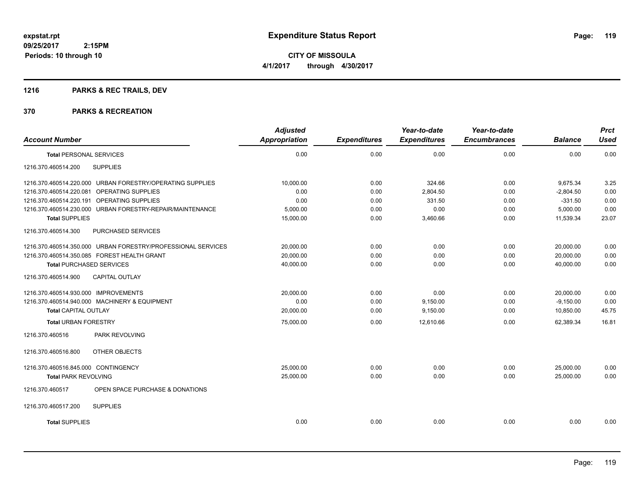**CITY OF MISSOULA 4/1/2017 through 4/30/2017**

## **1216 PARKS & REC TRAILS, DEV**

| <b>Account Number</b>                                        | <b>Adjusted</b><br><b>Appropriation</b> | <b>Expenditures</b> | Year-to-date<br><b>Expenditures</b> | Year-to-date<br><b>Encumbrances</b> | <b>Balance</b> | <b>Prct</b><br><b>Used</b> |
|--------------------------------------------------------------|-----------------------------------------|---------------------|-------------------------------------|-------------------------------------|----------------|----------------------------|
|                                                              |                                         |                     |                                     |                                     |                |                            |
| <b>Total PERSONAL SERVICES</b>                               | 0.00                                    | 0.00                | 0.00                                | 0.00                                | 0.00           | 0.00                       |
| <b>SUPPLIES</b><br>1216.370.460514.200                       |                                         |                     |                                     |                                     |                |                            |
| 1216.370.460514.220.000 URBAN FORESTRY/OPERATING SUPPLIES    | 10,000.00                               | 0.00                | 324.66                              | 0.00                                | 9,675.34       | 3.25                       |
| 1216.370.460514.220.081 OPERATING SUPPLIES                   | 0.00                                    | 0.00                | 2,804.50                            | 0.00                                | $-2,804.50$    | 0.00                       |
| 1216.370.460514.220.191 OPERATING SUPPLIES                   | 0.00                                    | 0.00                | 331.50                              | 0.00                                | $-331.50$      | 0.00                       |
| 1216.370.460514.230.000 URBAN FORESTRY-REPAIR/MAINTENANCE    | 5,000.00                                | 0.00                | 0.00                                | 0.00                                | 5,000.00       | 0.00                       |
| <b>Total SUPPLIES</b>                                        | 15,000.00                               | 0.00                | 3,460.66                            | 0.00                                | 11,539.34      | 23.07                      |
| 1216.370.460514.300<br>PURCHASED SERVICES                    |                                         |                     |                                     |                                     |                |                            |
| 1216.370.460514.350.000 URBAN FORESTRY/PROFESSIONAL SERVICES | 20.000.00                               | 0.00                | 0.00                                | 0.00                                | 20,000.00      | 0.00                       |
| 1216.370.460514.350.085 FOREST HEALTH GRANT                  | 20,000.00                               | 0.00                | 0.00                                | 0.00                                | 20,000.00      | 0.00                       |
| <b>Total PURCHASED SERVICES</b>                              | 40,000.00                               | 0.00                | 0.00                                | 0.00                                | 40,000.00      | 0.00                       |
| 1216.370.460514.900<br><b>CAPITAL OUTLAY</b>                 |                                         |                     |                                     |                                     |                |                            |
| 1216.370.460514.930.000 IMPROVEMENTS                         | 20.000.00                               | 0.00                | 0.00                                | 0.00                                | 20,000.00      | 0.00                       |
| 1216.370.460514.940.000 MACHINERY & EQUIPMENT                | 0.00                                    | 0.00                | 9,150.00                            | 0.00                                | $-9,150.00$    | 0.00                       |
| <b>Total CAPITAL OUTLAY</b>                                  | 20,000.00                               | 0.00                | 9,150.00                            | 0.00                                | 10,850.00      | 45.75                      |
| <b>Total URBAN FORESTRY</b>                                  | 75,000.00                               | 0.00                | 12.610.66                           | 0.00                                | 62.389.34      | 16.81                      |
| PARK REVOLVING<br>1216.370.460516                            |                                         |                     |                                     |                                     |                |                            |
| 1216.370.460516.800<br>OTHER OBJECTS                         |                                         |                     |                                     |                                     |                |                            |
| 1216.370.460516.845.000 CONTINGENCY                          | 25,000.00                               | 0.00                | 0.00                                | 0.00                                | 25,000.00      | 0.00                       |
| <b>Total PARK REVOLVING</b>                                  | 25,000.00                               | 0.00                | 0.00                                | 0.00                                | 25,000.00      | 0.00                       |
| 1216.370.460517<br>OPEN SPACE PURCHASE & DONATIONS           |                                         |                     |                                     |                                     |                |                            |
| <b>SUPPLIES</b><br>1216.370.460517.200                       |                                         |                     |                                     |                                     |                |                            |
| <b>Total SUPPLIES</b>                                        | 0.00                                    | 0.00                | 0.00                                | 0.00                                | 0.00           | 0.00                       |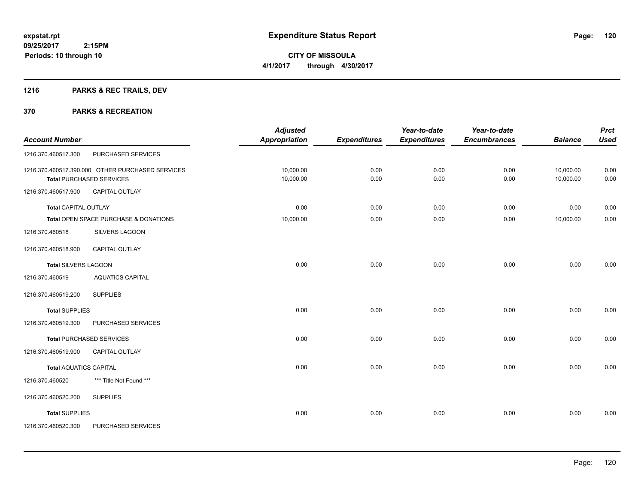## **1216 PARKS & REC TRAILS, DEV**

|                               |                                                  | <b>Adjusted</b>      |                     | Year-to-date        | Year-to-date        |                | <b>Prct</b> |
|-------------------------------|--------------------------------------------------|----------------------|---------------------|---------------------|---------------------|----------------|-------------|
| <b>Account Number</b>         |                                                  | <b>Appropriation</b> | <b>Expenditures</b> | <b>Expenditures</b> | <b>Encumbrances</b> | <b>Balance</b> | <b>Used</b> |
| 1216.370.460517.300           | PURCHASED SERVICES                               |                      |                     |                     |                     |                |             |
|                               | 1216.370.460517.390.000 OTHER PURCHASED SERVICES | 10,000.00            | 0.00                | 0.00                | 0.00                | 10,000.00      | 0.00        |
|                               | <b>Total PURCHASED SERVICES</b>                  | 10,000.00            | 0.00                | 0.00                | 0.00                | 10,000.00      | 0.00        |
| 1216.370.460517.900           | CAPITAL OUTLAY                                   |                      |                     |                     |                     |                |             |
| <b>Total CAPITAL OUTLAY</b>   |                                                  | 0.00                 | 0.00                | 0.00                | 0.00                | 0.00           | 0.00        |
|                               | Total OPEN SPACE PURCHASE & DONATIONS            | 10,000.00            | 0.00                | 0.00                | 0.00                | 10,000.00      | 0.00        |
| 1216.370.460518               | SILVERS LAGOON                                   |                      |                     |                     |                     |                |             |
| 1216.370.460518.900           | CAPITAL OUTLAY                                   |                      |                     |                     |                     |                |             |
| <b>Total SILVERS LAGOON</b>   |                                                  | 0.00                 | 0.00                | 0.00                | 0.00                | 0.00           | 0.00        |
| 1216.370.460519               | <b>AQUATICS CAPITAL</b>                          |                      |                     |                     |                     |                |             |
| 1216.370.460519.200           | <b>SUPPLIES</b>                                  |                      |                     |                     |                     |                |             |
| <b>Total SUPPLIES</b>         |                                                  | 0.00                 | 0.00                | 0.00                | 0.00                | 0.00           | 0.00        |
| 1216.370.460519.300           | PURCHASED SERVICES                               |                      |                     |                     |                     |                |             |
|                               | <b>Total PURCHASED SERVICES</b>                  | 0.00                 | 0.00                | 0.00                | 0.00                | 0.00           | 0.00        |
| 1216.370.460519.900           | CAPITAL OUTLAY                                   |                      |                     |                     |                     |                |             |
| <b>Total AQUATICS CAPITAL</b> |                                                  | 0.00                 | 0.00                | 0.00                | 0.00                | 0.00           | 0.00        |
| 1216.370.460520               | *** Title Not Found ***                          |                      |                     |                     |                     |                |             |
| 1216.370.460520.200           | <b>SUPPLIES</b>                                  |                      |                     |                     |                     |                |             |
| <b>Total SUPPLIES</b>         |                                                  | 0.00                 | 0.00                | 0.00                | 0.00                | 0.00           | 0.00        |
| 1216.370.460520.300           | PURCHASED SERVICES                               |                      |                     |                     |                     |                |             |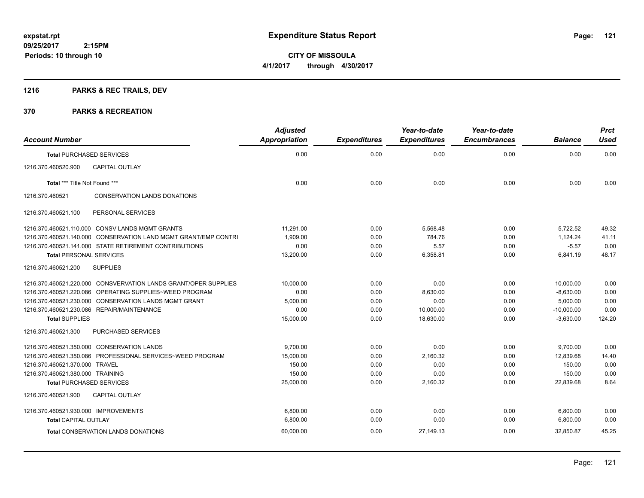## **1216 PARKS & REC TRAILS, DEV**

| <b>Account Number</b>                |                                                                 | <b>Adjusted</b><br><b>Appropriation</b> | <b>Expenditures</b> | Year-to-date<br><b>Expenditures</b> | Year-to-date<br><b>Encumbrances</b> | <b>Balance</b> | <b>Prct</b><br><b>Used</b> |
|--------------------------------------|-----------------------------------------------------------------|-----------------------------------------|---------------------|-------------------------------------|-------------------------------------|----------------|----------------------------|
| <b>Total PURCHASED SERVICES</b>      |                                                                 | 0.00                                    | 0.00                | 0.00                                | 0.00                                | 0.00           | 0.00                       |
| 1216.370.460520.900                  | <b>CAPITAL OUTLAY</b>                                           |                                         |                     |                                     |                                     |                |                            |
| Total *** Title Not Found ***        |                                                                 | 0.00                                    | 0.00                | 0.00                                | 0.00                                | 0.00           | 0.00                       |
| 1216.370.460521                      | <b>CONSERVATION LANDS DONATIONS</b>                             |                                         |                     |                                     |                                     |                |                            |
| 1216.370.460521.100                  | PERSONAL SERVICES                                               |                                         |                     |                                     |                                     |                |                            |
|                                      | 1216.370.460521.110.000 CONSV LANDS MGMT GRANTS                 | 11,291.00                               | 0.00                | 5,568.48                            | 0.00                                | 5,722.52       | 49.32                      |
|                                      | 1216.370.460521.140.000 CONSERVATION LAND MGMT GRANT/EMP CONTRI | 1.909.00                                | 0.00                | 784.76                              | 0.00                                | 1.124.24       | 41.11                      |
|                                      | 1216.370.460521.141.000 STATE RETIREMENT CONTRIBUTIONS          | 0.00                                    | 0.00                | 5.57                                | 0.00                                | $-5.57$        | 0.00                       |
| <b>Total PERSONAL SERVICES</b>       |                                                                 | 13,200.00                               | 0.00                | 6,358.81                            | 0.00                                | 6,841.19       | 48.17                      |
| 1216.370.460521.200                  | <b>SUPPLIES</b>                                                 |                                         |                     |                                     |                                     |                |                            |
|                                      | 1216.370.460521.220.000 CONSVERVATION LANDS GRANT/OPER SUPPLIES | 10.000.00                               | 0.00                | 0.00                                | 0.00                                | 10,000.00      | 0.00                       |
|                                      | 1216.370.460521.220.086 OPERATING SUPPLIES~WEED PROGRAM         | 0.00                                    | 0.00                | 8.630.00                            | 0.00                                | $-8.630.00$    | 0.00                       |
|                                      | 1216.370.460521.230.000 CONSERVATION LANDS MGMT GRANT           | 5,000.00                                | 0.00                | 0.00                                | 0.00                                | 5,000.00       | 0.00                       |
|                                      | 1216.370.460521.230.086 REPAIR/MAINTENANCE                      | 0.00                                    | 0.00                | 10,000.00                           | 0.00                                | $-10,000.00$   | 0.00                       |
| <b>Total SUPPLIES</b>                |                                                                 | 15,000.00                               | 0.00                | 18,630.00                           | 0.00                                | $-3,630.00$    | 124.20                     |
| 1216.370.460521.300                  | <b>PURCHASED SERVICES</b>                                       |                                         |                     |                                     |                                     |                |                            |
|                                      | 1216.370.460521.350.000 CONSERVATION LANDS                      | 9,700.00                                | 0.00                | 0.00                                | 0.00                                | 9,700.00       | 0.00                       |
|                                      | 1216.370.460521.350.086 PROFESSIONAL SERVICES~WEED PROGRAM      | 15,000.00                               | 0.00                | 2,160.32                            | 0.00                                | 12,839.68      | 14.40                      |
| 1216.370.460521.370.000 TRAVEL       |                                                                 | 150.00                                  | 0.00                | 0.00                                | 0.00                                | 150.00         | 0.00                       |
| 1216.370.460521.380.000 TRAINING     |                                                                 | 150.00                                  | 0.00                | 0.00                                | 0.00                                | 150.00         | 0.00                       |
| <b>Total PURCHASED SERVICES</b>      |                                                                 | 25,000.00                               | 0.00                | 2,160.32                            | 0.00                                | 22,839.68      | 8.64                       |
| 1216.370.460521.900                  | <b>CAPITAL OUTLAY</b>                                           |                                         |                     |                                     |                                     |                |                            |
| 1216.370.460521.930.000 IMPROVEMENTS |                                                                 | 6,800.00                                | 0.00                | 0.00                                | 0.00                                | 6,800.00       | 0.00                       |
| <b>Total CAPITAL OUTLAY</b>          |                                                                 | 6,800.00                                | 0.00                | 0.00                                | 0.00                                | 6.800.00       | 0.00                       |
|                                      | <b>Total CONSERVATION LANDS DONATIONS</b>                       | 60,000.00                               | 0.00                | 27,149.13                           | 0.00                                | 32.850.87      | 45.25                      |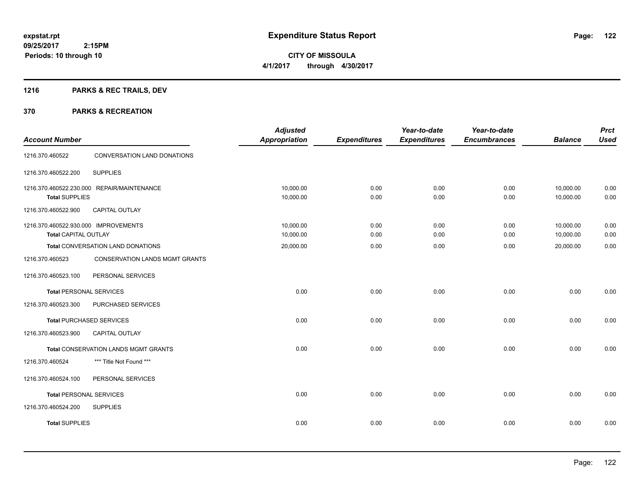## **1216 PARKS & REC TRAILS, DEV**

|                                      |                                            | <b>Adjusted</b>      |                     | Year-to-date        | Year-to-date        |                | <b>Prct</b> |
|--------------------------------------|--------------------------------------------|----------------------|---------------------|---------------------|---------------------|----------------|-------------|
| <b>Account Number</b>                |                                            | <b>Appropriation</b> | <b>Expenditures</b> | <b>Expenditures</b> | <b>Encumbrances</b> | <b>Balance</b> | <b>Used</b> |
| 1216.370.460522                      | <b>CONVERSATION LAND DONATIONS</b>         |                      |                     |                     |                     |                |             |
| 1216.370.460522.200                  | <b>SUPPLIES</b>                            |                      |                     |                     |                     |                |             |
|                                      | 1216.370.460522.230.000 REPAIR/MAINTENANCE | 10,000.00            | 0.00                | 0.00                | 0.00                | 10,000.00      | 0.00        |
| <b>Total SUPPLIES</b>                |                                            | 10,000.00            | 0.00                | 0.00                | 0.00                | 10,000.00      | 0.00        |
| 1216.370.460522.900                  | <b>CAPITAL OUTLAY</b>                      |                      |                     |                     |                     |                |             |
| 1216.370.460522.930.000 IMPROVEMENTS |                                            | 10,000.00            | 0.00                | 0.00                | 0.00                | 10,000.00      | 0.00        |
| <b>Total CAPITAL OUTLAY</b>          |                                            | 10,000.00            | 0.00                | 0.00                | 0.00                | 10,000.00      | 0.00        |
|                                      | Total CONVERSATION LAND DONATIONS          | 20,000.00            | 0.00                | 0.00                | 0.00                | 20,000.00      | 0.00        |
| 1216.370.460523                      | <b>CONSERVATION LANDS MGMT GRANTS</b>      |                      |                     |                     |                     |                |             |
| 1216.370.460523.100                  | PERSONAL SERVICES                          |                      |                     |                     |                     |                |             |
| <b>Total PERSONAL SERVICES</b>       |                                            | 0.00                 | 0.00                | 0.00                | 0.00                | 0.00           | 0.00        |
| 1216.370.460523.300                  | PURCHASED SERVICES                         |                      |                     |                     |                     |                |             |
|                                      | <b>Total PURCHASED SERVICES</b>            | 0.00                 | 0.00                | 0.00                | 0.00                | 0.00           | 0.00        |
| 1216.370.460523.900                  | CAPITAL OUTLAY                             |                      |                     |                     |                     |                |             |
|                                      | Total CONSERVATION LANDS MGMT GRANTS       | 0.00                 | 0.00                | 0.00                | 0.00                | 0.00           | 0.00        |
| 1216.370.460524                      | *** Title Not Found ***                    |                      |                     |                     |                     |                |             |
| 1216.370.460524.100                  | PERSONAL SERVICES                          |                      |                     |                     |                     |                |             |
| <b>Total PERSONAL SERVICES</b>       |                                            | 0.00                 | 0.00                | 0.00                | 0.00                | 0.00           | 0.00        |
| 1216.370.460524.200                  | <b>SUPPLIES</b>                            |                      |                     |                     |                     |                |             |
| <b>Total SUPPLIES</b>                |                                            | 0.00                 | 0.00                | 0.00                | 0.00                | 0.00           | 0.00        |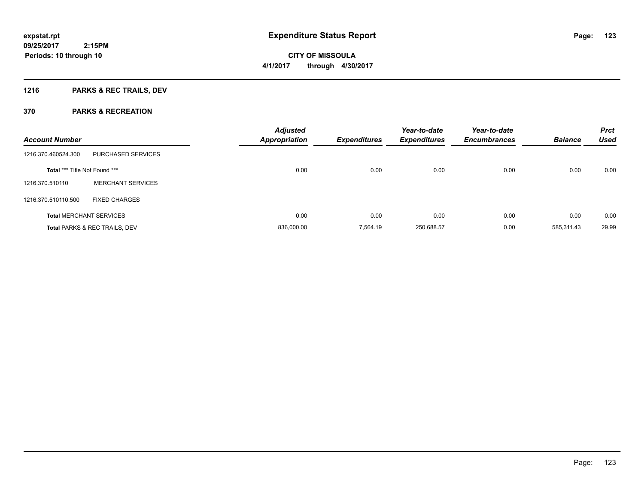## **1216 PARKS & REC TRAILS, DEV**

| <b>Account Number</b>                |                                          | <b>Adjusted</b><br><b>Appropriation</b> | <b>Expenditures</b> | Year-to-date<br><b>Expenditures</b> | Year-to-date<br><b>Encumbrances</b> | <b>Balance</b> | <b>Prct</b><br><b>Used</b> |
|--------------------------------------|------------------------------------------|-----------------------------------------|---------------------|-------------------------------------|-------------------------------------|----------------|----------------------------|
| 1216.370.460524.300                  | <b>PURCHASED SERVICES</b>                |                                         |                     |                                     |                                     |                |                            |
| <b>Total *** Title Not Found ***</b> |                                          | 0.00                                    | 0.00                | 0.00                                | 0.00                                | 0.00           | 0.00                       |
| 1216.370.510110                      | <b>MERCHANT SERVICES</b>                 |                                         |                     |                                     |                                     |                |                            |
| 1216.370.510110.500                  | <b>FIXED CHARGES</b>                     |                                         |                     |                                     |                                     |                |                            |
|                                      | <b>Total MERCHANT SERVICES</b>           | 0.00                                    | 0.00                | 0.00                                | 0.00                                | 0.00           | 0.00                       |
|                                      | <b>Total PARKS &amp; REC TRAILS, DEV</b> | 836,000.00                              | 7.564.19            | 250,688.57                          | 0.00                                | 585.311.43     | 29.99                      |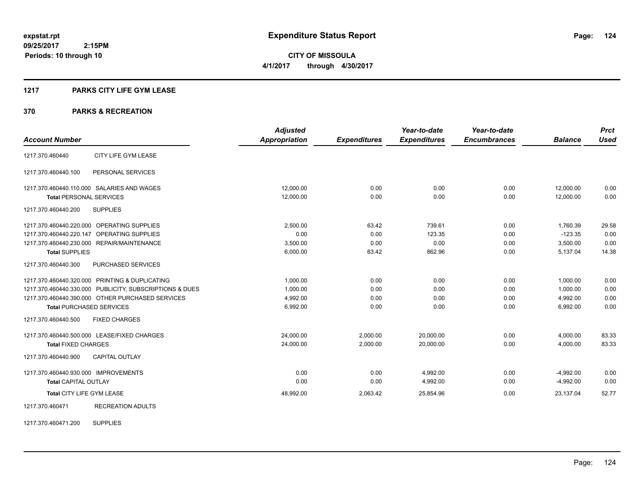**124**

**09/25/2017 2:15PM Periods: 10 through 10**

**CITY OF MISSOULA 4/1/2017 through 4/30/2017**

#### **1217 PARKS CITY LIFE GYM LEASE**

## **370 PARKS & RECREATION**

|                                      |                                                         | <b>Adjusted</b>      |                     | Year-to-date        | Year-to-date        |                | <b>Prct</b> |
|--------------------------------------|---------------------------------------------------------|----------------------|---------------------|---------------------|---------------------|----------------|-------------|
| <b>Account Number</b>                |                                                         | <b>Appropriation</b> | <b>Expenditures</b> | <b>Expenditures</b> | <b>Encumbrances</b> | <b>Balance</b> | <b>Used</b> |
| 1217.370.460440                      | CITY LIFE GYM LEASE                                     |                      |                     |                     |                     |                |             |
| 1217.370.460440.100                  | PERSONAL SERVICES                                       |                      |                     |                     |                     |                |             |
|                                      | 1217.370.460440.110.000 SALARIES AND WAGES              | 12,000.00            | 0.00                | 0.00                | 0.00                | 12,000.00      | 0.00        |
| <b>Total PERSONAL SERVICES</b>       |                                                         | 12,000.00            | 0.00                | 0.00                | 0.00                | 12,000.00      | 0.00        |
| 1217.370.460440.200                  | <b>SUPPLIES</b>                                         |                      |                     |                     |                     |                |             |
|                                      | 1217.370.460440.220.000 OPERATING SUPPLIES              | 2,500.00             | 63.42               | 739.61              | 0.00                | 1,760.39       | 29.58       |
| 1217.370.460440.220.147              | OPERATING SUPPLIES                                      | 0.00                 | 0.00                | 123.35              | 0.00                | $-123.35$      | 0.00        |
|                                      | 1217.370.460440.230.000 REPAIR/MAINTENANCE              | 3,500.00             | 0.00                | 0.00                | 0.00                | 3,500.00       | 0.00        |
| <b>Total SUPPLIES</b>                |                                                         | 6,000.00             | 63.42               | 862.96              | 0.00                | 5,137.04       | 14.38       |
| 1217.370.460440.300                  | PURCHASED SERVICES                                      |                      |                     |                     |                     |                |             |
|                                      | 1217.370.460440.320.000 PRINTING & DUPLICATING          | 1,000.00             | 0.00                | 0.00                | 0.00                | 1,000.00       | 0.00        |
|                                      | 1217.370.460440.330.000 PUBLICITY, SUBSCRIPTIONS & DUES | 1,000.00             | 0.00                | 0.00                | 0.00                | 1,000.00       | 0.00        |
|                                      | 1217.370.460440.390.000 OTHER PURCHASED SERVICES        | 4,992.00             | 0.00                | 0.00                | 0.00                | 4,992.00       | 0.00        |
| <b>Total PURCHASED SERVICES</b>      |                                                         | 6,992.00             | 0.00                | 0.00                | 0.00                | 6,992.00       | 0.00        |
| 1217.370.460440.500                  | <b>FIXED CHARGES</b>                                    |                      |                     |                     |                     |                |             |
|                                      | 1217.370.460440.500.000 LEASE/FIXED CHARGES             | 24,000.00            | 2,000.00            | 20,000.00           | 0.00                | 4,000.00       | 83.33       |
| <b>Total FIXED CHARGES</b>           |                                                         | 24,000.00            | 2,000.00            | 20.000.00           | 0.00                | 4,000.00       | 83.33       |
| 1217.370.460440.900                  | <b>CAPITAL OUTLAY</b>                                   |                      |                     |                     |                     |                |             |
| 1217.370.460440.930.000 IMPROVEMENTS |                                                         | 0.00                 | 0.00                | 4,992.00            | 0.00                | $-4,992.00$    | 0.00        |
| <b>Total CAPITAL OUTLAY</b>          |                                                         | 0.00                 | 0.00                | 4,992.00            | 0.00                | $-4,992.00$    | 0.00        |
| Total CITY LIFE GYM LEASE            |                                                         | 48,992.00            | 2,063.42            | 25,854.96           | 0.00                | 23,137.04      | 52.77       |
| 1217.370.460471                      | <b>RECREATION ADULTS</b>                                |                      |                     |                     |                     |                |             |

1217.370.460471.200 SUPPLIES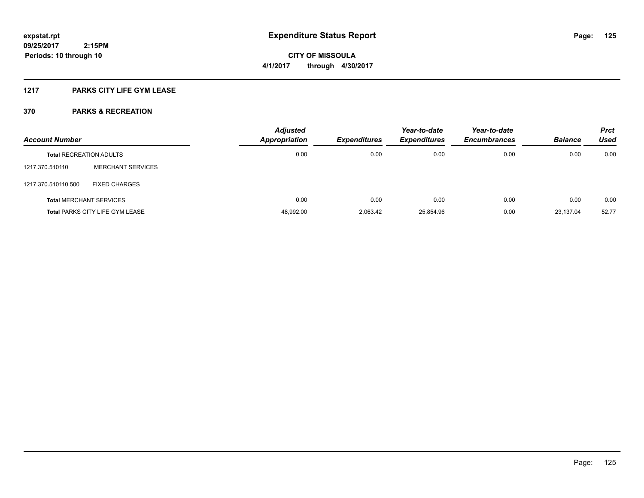## **1217 PARKS CITY LIFE GYM LEASE**

| <b>Account Number</b>          |                                        | <b>Adjusted</b><br>Appropriation | <b>Expenditures</b> | Year-to-date<br><b>Expenditures</b> | Year-to-date<br><b>Encumbrances</b> | <b>Balance</b> | <b>Prct</b><br>Used |
|--------------------------------|----------------------------------------|----------------------------------|---------------------|-------------------------------------|-------------------------------------|----------------|---------------------|
| <b>Total RECREATION ADULTS</b> |                                        | 0.00                             | 0.00                | 0.00                                | 0.00                                | 0.00           | 0.00                |
| 1217.370.510110                | <b>MERCHANT SERVICES</b>               |                                  |                     |                                     |                                     |                |                     |
| 1217.370.510110.500            | <b>FIXED CHARGES</b>                   |                                  |                     |                                     |                                     |                |                     |
|                                | <b>Total MERCHANT SERVICES</b>         | 0.00                             | 0.00                | 0.00                                | 0.00                                | 0.00           | 0.00                |
|                                | <b>Total PARKS CITY LIFE GYM LEASE</b> | 48,992.00                        | 2.063.42            | 25.854.96                           | 0.00                                | 23.137.04      | 52.77               |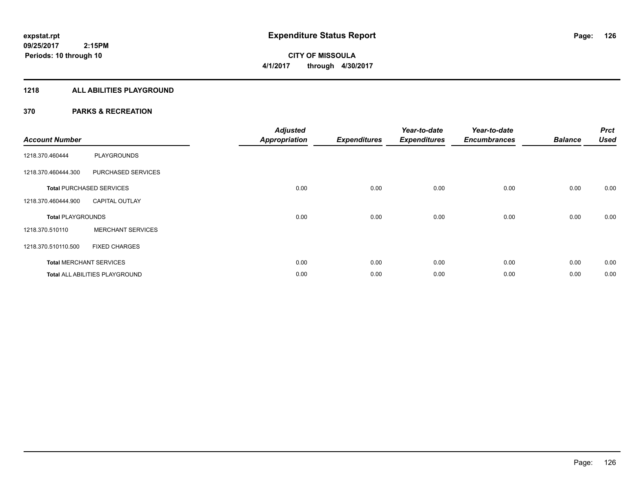## **1218 ALL ABILITIES PLAYGROUND**

| <b>Account Number</b>    |                                       | <b>Adjusted</b><br><b>Appropriation</b> | <b>Expenditures</b> | Year-to-date<br><b>Expenditures</b> | Year-to-date<br><b>Encumbrances</b> | <b>Balance</b> | <b>Prct</b><br><b>Used</b> |
|--------------------------|---------------------------------------|-----------------------------------------|---------------------|-------------------------------------|-------------------------------------|----------------|----------------------------|
| 1218.370.460444          | <b>PLAYGROUNDS</b>                    |                                         |                     |                                     |                                     |                |                            |
| 1218.370.460444.300      | PURCHASED SERVICES                    |                                         |                     |                                     |                                     |                |                            |
|                          | <b>Total PURCHASED SERVICES</b>       | 0.00                                    | 0.00                | 0.00                                | 0.00                                | 0.00           | 0.00                       |
| 1218.370.460444.900      | <b>CAPITAL OUTLAY</b>                 |                                         |                     |                                     |                                     |                |                            |
| <b>Total PLAYGROUNDS</b> |                                       | 0.00                                    | 0.00                | 0.00                                | 0.00                                | 0.00           | 0.00                       |
| 1218.370.510110          | <b>MERCHANT SERVICES</b>              |                                         |                     |                                     |                                     |                |                            |
| 1218.370.510110.500      | <b>FIXED CHARGES</b>                  |                                         |                     |                                     |                                     |                |                            |
|                          | <b>Total MERCHANT SERVICES</b>        | 0.00                                    | 0.00                | 0.00                                | 0.00                                | 0.00           | 0.00                       |
|                          | <b>Total ALL ABILITIES PLAYGROUND</b> | 0.00                                    | 0.00                | 0.00                                | 0.00                                | 0.00           | 0.00                       |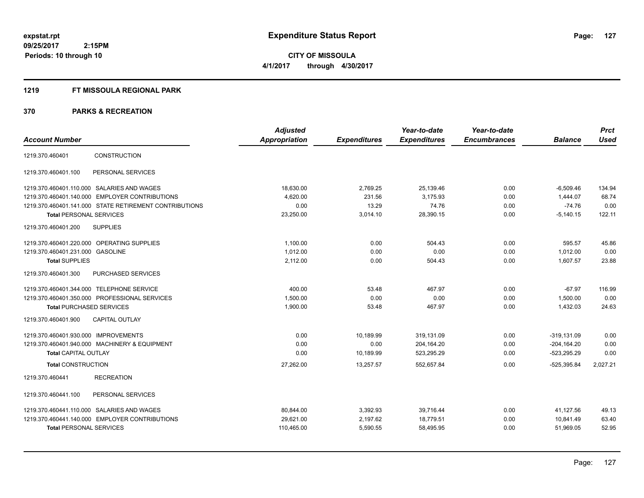#### **1219 FT MISSOULA REGIONAL PARK**

| <b>Account Number</b>                                  | <b>Adjusted</b><br>Appropriation | <b>Expenditures</b> | Year-to-date<br><b>Expenditures</b> | Year-to-date<br><b>Encumbrances</b> | <b>Balance</b> | <b>Prct</b><br><b>Used</b> |
|--------------------------------------------------------|----------------------------------|---------------------|-------------------------------------|-------------------------------------|----------------|----------------------------|
| <b>CONSTRUCTION</b><br>1219.370.460401                 |                                  |                     |                                     |                                     |                |                            |
|                                                        |                                  |                     |                                     |                                     |                |                            |
| PERSONAL SERVICES<br>1219.370.460401.100               |                                  |                     |                                     |                                     |                |                            |
| 1219.370.460401.110.000 SALARIES AND WAGES             | 18,630.00                        | 2,769.25            | 25,139.46                           | 0.00                                | $-6,509.46$    | 134.94                     |
| 1219.370.460401.140.000 EMPLOYER CONTRIBUTIONS         | 4,620.00                         | 231.56              | 3,175.93                            | 0.00                                | 1,444.07       | 68.74                      |
| 1219.370.460401.141.000 STATE RETIREMENT CONTRIBUTIONS | 0.00                             | 13.29               | 74.76                               | 0.00                                | $-74.76$       | 0.00                       |
| <b>Total PERSONAL SERVICES</b>                         | 23,250.00                        | 3,014.10            | 28,390.15                           | 0.00                                | $-5,140.15$    | 122.11                     |
| 1219.370.460401.200<br><b>SUPPLIES</b>                 |                                  |                     |                                     |                                     |                |                            |
| OPERATING SUPPLIES<br>1219.370.460401.220.000          | 1.100.00                         | 0.00                | 504.43                              | 0.00                                | 595.57         | 45.86                      |
| 1219.370.460401.231.000<br><b>GASOLINE</b>             | 1.012.00                         | 0.00                | 0.00                                | 0.00                                | 1.012.00       | 0.00                       |
| <b>Total SUPPLIES</b>                                  | 2,112.00                         | 0.00                | 504.43                              | 0.00                                | 1,607.57       | 23.88                      |
| PURCHASED SERVICES<br>1219.370.460401.300              |                                  |                     |                                     |                                     |                |                            |
| 1219.370.460401.344.000 TELEPHONE SERVICE              | 400.00                           | 53.48               | 467.97                              | 0.00                                | $-67.97$       | 116.99                     |
| 1219.370.460401.350.000 PROFESSIONAL SERVICES          | 1.500.00                         | 0.00                | 0.00                                | 0.00                                | 1,500.00       | 0.00                       |
| <b>Total PURCHASED SERVICES</b>                        | 1,900.00                         | 53.48               | 467.97                              | 0.00                                | 1,432.03       | 24.63                      |
| <b>CAPITAL OUTLAY</b><br>1219.370.460401.900           |                                  |                     |                                     |                                     |                |                            |
| 1219.370.460401.930.000 IMPROVEMENTS                   | 0.00                             | 10,189.99           | 319,131.09                          | 0.00                                | $-319,131.09$  | 0.00                       |
| 1219.370.460401.940.000 MACHINERY & EQUIPMENT          | 0.00                             | 0.00                | 204,164.20                          | 0.00                                | $-204, 164.20$ | 0.00                       |
| <b>Total CAPITAL OUTLAY</b>                            | 0.00                             | 10.189.99           | 523,295.29                          | 0.00                                | $-523.295.29$  | 0.00                       |
| <b>Total CONSTRUCTION</b>                              | 27,262.00                        | 13,257.57           | 552,657.84                          | 0.00                                | $-525,395.84$  | 2,027.21                   |
| <b>RECREATION</b><br>1219.370.460441                   |                                  |                     |                                     |                                     |                |                            |
| PERSONAL SERVICES<br>1219.370.460441.100               |                                  |                     |                                     |                                     |                |                            |
| 1219.370.460441.110.000 SALARIES AND WAGES             | 80,844.00                        | 3,392.93            | 39,716.44                           | 0.00                                | 41,127.56      | 49.13                      |
| 1219.370.460441.140.000 EMPLOYER CONTRIBUTIONS         | 29,621.00                        | 2,197.62            | 18,779.51                           | 0.00                                | 10,841.49      | 63.40                      |
| <b>Total PERSONAL SERVICES</b>                         | 110,465.00                       | 5,590.55            | 58,495.95                           | 0.00                                | 51,969.05      | 52.95                      |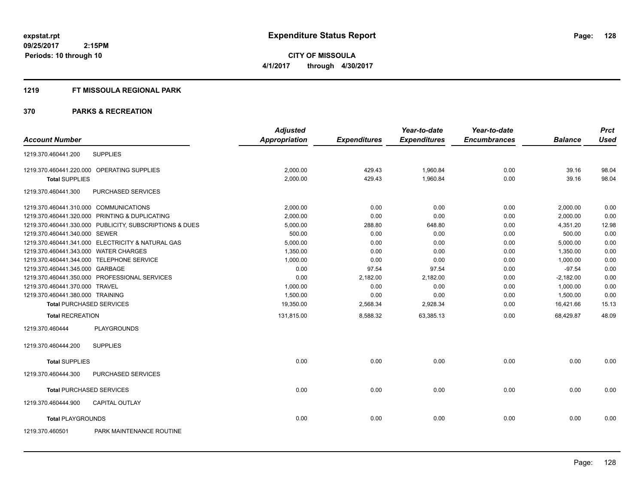**CITY OF MISSOULA 4/1/2017 through 4/30/2017**

## **1219 FT MISSOULA REGIONAL PARK**

|                                        |                                                         | <b>Adjusted</b>      |                     | Year-to-date        | Year-to-date        |                | <b>Prct</b> |
|----------------------------------------|---------------------------------------------------------|----------------------|---------------------|---------------------|---------------------|----------------|-------------|
| <b>Account Number</b>                  |                                                         | <b>Appropriation</b> | <b>Expenditures</b> | <b>Expenditures</b> | <b>Encumbrances</b> | <b>Balance</b> | <b>Used</b> |
| 1219.370.460441.200                    | <b>SUPPLIES</b>                                         |                      |                     |                     |                     |                |             |
|                                        | 1219.370.460441.220.000 OPERATING SUPPLIES              | 2,000.00             | 429.43              | 1,960.84            | 0.00                | 39.16          | 98.04       |
| <b>Total SUPPLIES</b>                  |                                                         | 2,000.00             | 429.43              | 1,960.84            | 0.00                | 39.16          | 98.04       |
| 1219.370.460441.300                    | PURCHASED SERVICES                                      |                      |                     |                     |                     |                |             |
| 1219.370.460441.310.000 COMMUNICATIONS |                                                         | 2.000.00             | 0.00                | 0.00                | 0.00                | 2,000.00       | 0.00        |
|                                        | 1219.370.460441.320.000 PRINTING & DUPLICATING          | 2,000.00             | 0.00                | 0.00                | 0.00                | 2,000.00       | 0.00        |
|                                        | 1219.370.460441.330.000 PUBLICITY, SUBSCRIPTIONS & DUES | 5,000.00             | 288.80              | 648.80              | 0.00                | 4,351.20       | 12.98       |
| 1219.370.460441.340.000 SEWER          |                                                         | 500.00               | 0.00                | 0.00                | 0.00                | 500.00         | 0.00        |
|                                        | 1219.370.460441.341.000 ELECTRICITY & NATURAL GAS       | 5,000.00             | 0.00                | 0.00                | 0.00                | 5,000.00       | 0.00        |
| 1219.370.460441.343.000 WATER CHARGES  |                                                         | 1,350.00             | 0.00                | 0.00                | 0.00                | 1,350.00       | 0.00        |
|                                        | 1219.370.460441.344.000 TELEPHONE SERVICE               | 1,000.00             | 0.00                | 0.00                | 0.00                | 1,000.00       | 0.00        |
| 1219.370.460441.345.000 GARBAGE        |                                                         | 0.00                 | 97.54               | 97.54               | 0.00                | $-97.54$       | 0.00        |
|                                        | 1219.370.460441.350.000 PROFESSIONAL SERVICES           | 0.00                 | 2,182.00            | 2,182.00            | 0.00                | $-2,182.00$    | 0.00        |
| 1219.370.460441.370.000 TRAVEL         |                                                         | 1,000.00             | 0.00                | 0.00                | 0.00                | 1,000.00       | 0.00        |
| 1219.370.460441.380.000 TRAINING       |                                                         | 1,500.00             | 0.00                | 0.00                | 0.00                | 1,500.00       | 0.00        |
|                                        | <b>Total PURCHASED SERVICES</b>                         | 19,350.00            | 2,568.34            | 2,928.34            | 0.00                | 16,421.66      | 15.13       |
| <b>Total RECREATION</b>                |                                                         | 131,815.00           | 8,588.32            | 63,385.13           | 0.00                | 68,429.87      | 48.09       |
| 1219.370.460444                        | <b>PLAYGROUNDS</b>                                      |                      |                     |                     |                     |                |             |
| 1219.370.460444.200                    | <b>SUPPLIES</b>                                         |                      |                     |                     |                     |                |             |
| <b>Total SUPPLIES</b>                  |                                                         | 0.00                 | 0.00                | 0.00                | 0.00                | 0.00           | 0.00        |
| 1219.370.460444.300                    | PURCHASED SERVICES                                      |                      |                     |                     |                     |                |             |
|                                        | <b>Total PURCHASED SERVICES</b>                         | 0.00                 | 0.00                | 0.00                | 0.00                | 0.00           | 0.00        |
| 1219.370.460444.900                    | CAPITAL OUTLAY                                          |                      |                     |                     |                     |                |             |
| <b>Total PLAYGROUNDS</b>               |                                                         | 0.00                 | 0.00                | 0.00                | 0.00                | 0.00           | 0.00        |
| 1219.370.460501                        | PARK MAINTENANCE ROUTINE                                |                      |                     |                     |                     |                |             |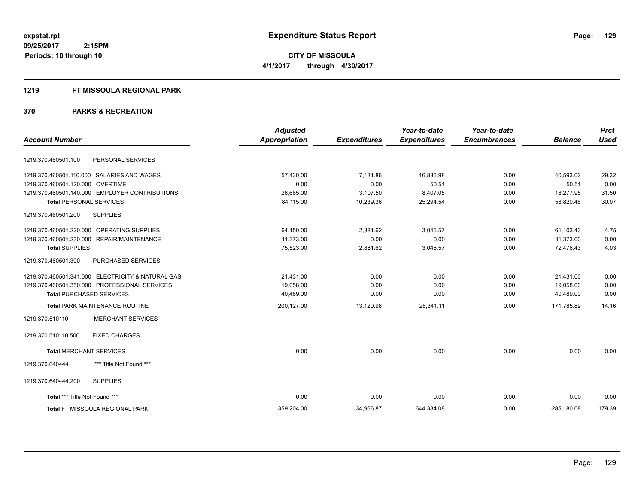**CITY OF MISSOULA 4/1/2017 through 4/30/2017**

#### **1219 FT MISSOULA REGIONAL PARK**

| <b>Account Number</b>                      |                                                   | <b>Adjusted</b><br><b>Appropriation</b> | <b>Expenditures</b> | Year-to-date<br><b>Expenditures</b> | Year-to-date<br><b>Encumbrances</b> | <b>Balance</b> | <b>Prct</b><br><b>Used</b> |
|--------------------------------------------|---------------------------------------------------|-----------------------------------------|---------------------|-------------------------------------|-------------------------------------|----------------|----------------------------|
|                                            |                                                   |                                         |                     |                                     |                                     |                |                            |
| 1219.370.460501.100                        | PERSONAL SERVICES                                 |                                         |                     |                                     |                                     |                |                            |
| 1219.370.460501.110.000 SALARIES AND WAGES |                                                   | 57,430.00                               | 7,131.86            | 16,836.98                           | 0.00                                | 40,593.02      | 29.32                      |
| 1219.370.460501.120.000 OVERTIME           |                                                   | 0.00                                    | 0.00                | 50.51                               | 0.00                                | $-50.51$       | 0.00                       |
|                                            | 1219.370.460501.140.000 EMPLOYER CONTRIBUTIONS    | 26,685.00                               | 3,107.50            | 8,407.05                            | 0.00                                | 18,277.95      | 31.50                      |
| <b>Total PERSONAL SERVICES</b>             |                                                   | 84,115.00                               | 10,239.36           | 25,294.54                           | 0.00                                | 58,820.46      | 30.07                      |
| 1219.370.460501.200                        | <b>SUPPLIES</b>                                   |                                         |                     |                                     |                                     |                |                            |
| 1219.370.460501.220.000 OPERATING SUPPLIES |                                                   | 64,150.00                               | 2,881.62            | 3,046.57                            | 0.00                                | 61,103.43      | 4.75                       |
| 1219.370.460501.230.000 REPAIR/MAINTENANCE |                                                   | 11,373.00                               | 0.00                | 0.00                                | 0.00                                | 11,373.00      | 0.00                       |
| <b>Total SUPPLIES</b>                      |                                                   | 75,523.00                               | 2,881.62            | 3,046.57                            | 0.00                                | 72.476.43      | 4.03                       |
| 1219.370.460501.300                        | PURCHASED SERVICES                                |                                         |                     |                                     |                                     |                |                            |
|                                            | 1219.370.460501.341.000 ELECTRICITY & NATURAL GAS | 21,431.00                               | 0.00                | 0.00                                | 0.00                                | 21,431.00      | 0.00                       |
|                                            | 1219.370.460501.350.000 PROFESSIONAL SERVICES     | 19.058.00                               | 0.00                | 0.00                                | 0.00                                | 19.058.00      | 0.00                       |
| <b>Total PURCHASED SERVICES</b>            |                                                   | 40,489.00                               | 0.00                | 0.00                                | 0.00                                | 40,489.00      | 0.00                       |
|                                            | <b>Total PARK MAINTENANCE ROUTINE</b>             | 200,127.00                              | 13,120.98           | 28,341.11                           | 0.00                                | 171,785.89     | 14.16                      |
| 1219.370.510110                            | <b>MERCHANT SERVICES</b>                          |                                         |                     |                                     |                                     |                |                            |
| 1219.370.510110.500                        | <b>FIXED CHARGES</b>                              |                                         |                     |                                     |                                     |                |                            |
| <b>Total MERCHANT SERVICES</b>             |                                                   | 0.00                                    | 0.00                | 0.00                                | 0.00                                | 0.00           | 0.00                       |
| 1219.370.640444                            | *** Title Not Found ***                           |                                         |                     |                                     |                                     |                |                            |
| 1219.370.640444.200                        | <b>SUPPLIES</b>                                   |                                         |                     |                                     |                                     |                |                            |
| Total *** Title Not Found ***              |                                                   | 0.00                                    | 0.00                | 0.00                                | 0.00                                | 0.00           | 0.00                       |
|                                            | <b>Total FT MISSOULA REGIONAL PARK</b>            | 359.204.00                              | 34,966.87           | 644.384.08                          | 0.00                                | $-285.180.08$  | 179.39                     |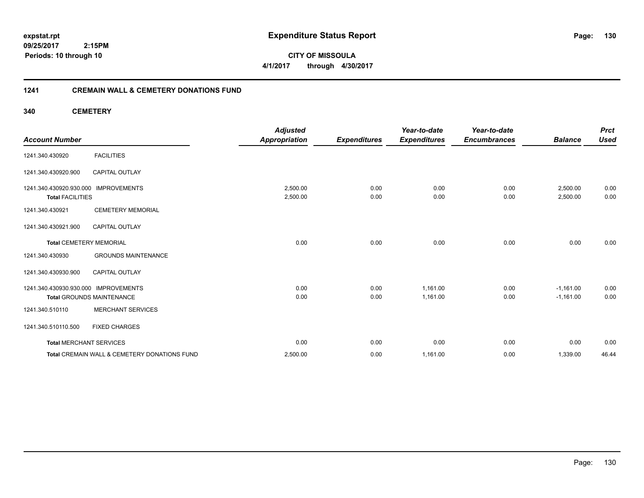**CITY OF MISSOULA 4/1/2017 through 4/30/2017**

## **1241 CREMAIN WALL & CEMETERY DONATIONS FUND**

**340 CEMETERY**

| <b>Account Number</b>                                           |                                              | <b>Adjusted</b><br><b>Appropriation</b> | <b>Expenditures</b> | Year-to-date<br><b>Expenditures</b> | Year-to-date<br><b>Encumbrances</b> | <b>Balance</b>       | <b>Prct</b><br><b>Used</b> |
|-----------------------------------------------------------------|----------------------------------------------|-----------------------------------------|---------------------|-------------------------------------|-------------------------------------|----------------------|----------------------------|
| 1241.340.430920                                                 | <b>FACILITIES</b>                            |                                         |                     |                                     |                                     |                      |                            |
| 1241.340.430920.900                                             | <b>CAPITAL OUTLAY</b>                        |                                         |                     |                                     |                                     |                      |                            |
| 1241.340.430920.930.000 IMPROVEMENTS<br><b>Total FACILITIES</b> |                                              | 2,500.00<br>2,500.00                    | 0.00<br>0.00        | 0.00<br>0.00                        | 0.00<br>0.00                        | 2,500.00<br>2,500.00 | 0.00<br>0.00               |
| 1241.340.430921                                                 | <b>CEMETERY MEMORIAL</b>                     |                                         |                     |                                     |                                     |                      |                            |
| 1241.340.430921.900                                             | <b>CAPITAL OUTLAY</b>                        |                                         |                     |                                     |                                     |                      |                            |
| <b>Total CEMETERY MEMORIAL</b>                                  |                                              | 0.00                                    | 0.00                | 0.00                                | 0.00                                | 0.00                 | 0.00                       |
| 1241.340.430930                                                 | <b>GROUNDS MAINTENANCE</b>                   |                                         |                     |                                     |                                     |                      |                            |
| 1241.340.430930.900                                             | <b>CAPITAL OUTLAY</b>                        |                                         |                     |                                     |                                     |                      |                            |
| 1241.340.430930.930.000 IMPROVEMENTS                            |                                              | 0.00                                    | 0.00                | 1,161.00                            | 0.00                                | $-1,161.00$          | 0.00                       |
|                                                                 | <b>Total GROUNDS MAINTENANCE</b>             | 0.00                                    | 0.00                | 1.161.00                            | 0.00                                | $-1,161.00$          | 0.00                       |
| 1241.340.510110                                                 | <b>MERCHANT SERVICES</b>                     |                                         |                     |                                     |                                     |                      |                            |
| 1241.340.510110.500                                             | <b>FIXED CHARGES</b>                         |                                         |                     |                                     |                                     |                      |                            |
| <b>Total MERCHANT SERVICES</b>                                  |                                              | 0.00                                    | 0.00                | 0.00                                | 0.00                                | 0.00                 | 0.00                       |
|                                                                 | Total CREMAIN WALL & CEMETERY DONATIONS FUND | 2,500.00                                | 0.00                | 1,161.00                            | 0.00                                | 1,339.00             | 46.44                      |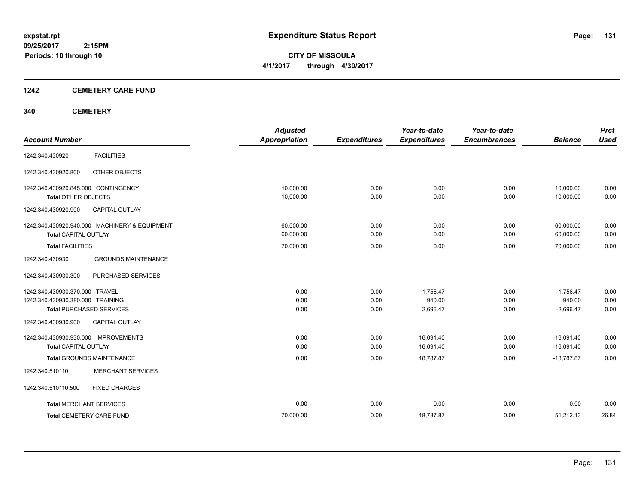**CITY OF MISSOULA 4/1/2017 through 4/30/2017**

## **1242 CEMETERY CARE FUND**

## **340 CEMETERY**

| <b>Account Number</b>                                                                                 | <b>Adjusted</b><br><b>Appropriation</b> | <b>Expenditures</b>  | Year-to-date<br><b>Expenditures</b> | Year-to-date<br><b>Encumbrances</b> | <b>Balance</b>                          | <b>Prct</b><br><b>Used</b> |
|-------------------------------------------------------------------------------------------------------|-----------------------------------------|----------------------|-------------------------------------|-------------------------------------|-----------------------------------------|----------------------------|
| <b>FACILITIES</b><br>1242.340.430920                                                                  |                                         |                      |                                     |                                     |                                         |                            |
| OTHER OBJECTS<br>1242.340.430920.800                                                                  |                                         |                      |                                     |                                     |                                         |                            |
| 1242.340.430920.845.000 CONTINGENCY                                                                   | 10.000.00                               | 0.00                 | 0.00                                | 0.00                                | 10,000.00                               | 0.00                       |
| <b>Total OTHER OBJECTS</b><br>1242.340.430920.900<br><b>CAPITAL OUTLAY</b>                            | 10,000.00                               | 0.00                 | 0.00                                | 0.00                                | 10,000.00                               | 0.00                       |
| 1242.340.430920.940.000 MACHINERY & EQUIPMENT<br><b>Total CAPITAL OUTLAY</b>                          | 60,000.00<br>60,000.00                  | 0.00<br>0.00         | 0.00<br>0.00                        | 0.00<br>0.00                        | 60,000.00<br>60,000.00                  | 0.00<br>0.00               |
| <b>Total FACILITIES</b>                                                                               | 70,000.00                               | 0.00                 | 0.00                                | 0.00                                | 70,000.00                               | 0.00                       |
| <b>GROUNDS MAINTENANCE</b><br>1242.340.430930                                                         |                                         |                      |                                     |                                     |                                         |                            |
| PURCHASED SERVICES<br>1242.340.430930.300                                                             |                                         |                      |                                     |                                     |                                         |                            |
| 1242.340.430930.370.000 TRAVEL<br>1242.340.430930.380.000 TRAINING<br><b>Total PURCHASED SERVICES</b> | 0.00<br>0.00<br>0.00                    | 0.00<br>0.00<br>0.00 | 1,756.47<br>940.00<br>2,696.47      | 0.00<br>0.00<br>0.00                | $-1,756.47$<br>$-940.00$<br>$-2,696.47$ | 0.00<br>0.00<br>0.00       |
| 1242.340.430930.900<br><b>CAPITAL OUTLAY</b>                                                          |                                         |                      |                                     |                                     |                                         |                            |
| 1242.340.430930.930.000 IMPROVEMENTS<br><b>Total CAPITAL OUTLAY</b>                                   | 0.00<br>0.00                            | 0.00<br>0.00         | 16,091.40<br>16,091.40              | 0.00<br>0.00                        | $-16,091.40$<br>$-16,091.40$            | 0.00<br>0.00               |
| <b>Total GROUNDS MAINTENANCE</b>                                                                      | 0.00                                    | 0.00                 | 18,787.87                           | 0.00                                | $-18,787.87$                            | 0.00                       |
| <b>MERCHANT SERVICES</b><br>1242.340.510110                                                           |                                         |                      |                                     |                                     |                                         |                            |
| 1242.340.510110.500<br><b>FIXED CHARGES</b>                                                           |                                         |                      |                                     |                                     |                                         |                            |
| <b>Total MERCHANT SERVICES</b>                                                                        | 0.00                                    | 0.00                 | 0.00                                | 0.00                                | 0.00                                    | 0.00                       |
| <b>Total CEMETERY CARE FUND</b>                                                                       | 70,000.00                               | 0.00                 | 18,787.87                           | 0.00                                | 51,212.13                               | 26.84                      |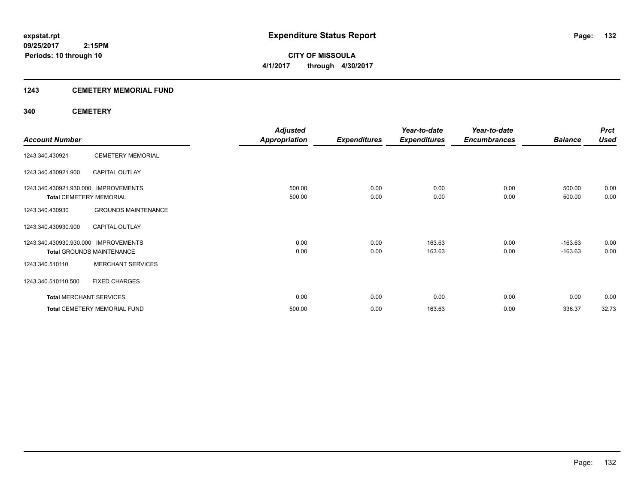## **1243 CEMETERY MEMORIAL FUND**

## **340 CEMETERY**

|                                      |                                     | <b>Adjusted</b>      |                     | Year-to-date        | Year-to-date        |                | <b>Prct</b> |
|--------------------------------------|-------------------------------------|----------------------|---------------------|---------------------|---------------------|----------------|-------------|
| <b>Account Number</b>                |                                     | <b>Appropriation</b> | <b>Expenditures</b> | <b>Expenditures</b> | <b>Encumbrances</b> | <b>Balance</b> | <b>Used</b> |
| 1243.340.430921                      | <b>CEMETERY MEMORIAL</b>            |                      |                     |                     |                     |                |             |
| 1243.340.430921.900                  | <b>CAPITAL OUTLAY</b>               |                      |                     |                     |                     |                |             |
| 1243.340.430921.930.000 IMPROVEMENTS |                                     | 500.00               | 0.00                | 0.00                | 0.00                | 500.00         | 0.00        |
| <b>Total CEMETERY MEMORIAL</b>       |                                     | 500.00               | 0.00                | 0.00                | 0.00                | 500.00         | 0.00        |
| 1243.340.430930                      | <b>GROUNDS MAINTENANCE</b>          |                      |                     |                     |                     |                |             |
| 1243.340.430930.900                  | <b>CAPITAL OUTLAY</b>               |                      |                     |                     |                     |                |             |
| 1243.340.430930.930.000              | <b>IMPROVEMENTS</b>                 | 0.00                 | 0.00                | 163.63              | 0.00                | $-163.63$      | 0.00        |
|                                      | <b>Total GROUNDS MAINTENANCE</b>    | 0.00                 | 0.00                | 163.63              | 0.00                | $-163.63$      | 0.00        |
| 1243.340.510110                      | <b>MERCHANT SERVICES</b>            |                      |                     |                     |                     |                |             |
| 1243.340.510110.500                  | <b>FIXED CHARGES</b>                |                      |                     |                     |                     |                |             |
| <b>Total MERCHANT SERVICES</b>       |                                     | 0.00                 | 0.00                | 0.00                | 0.00                | 0.00           | 0.00        |
|                                      | <b>Total CEMETERY MEMORIAL FUND</b> | 500.00               | 0.00                | 163.63              | 0.00                | 336.37         | 32.73       |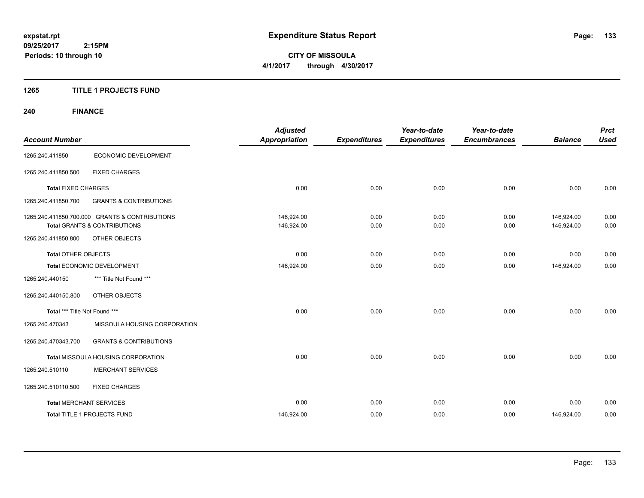**CITY OF MISSOULA 4/1/2017 through 4/30/2017**

## **1265 TITLE 1 PROJECTS FUND**

## **240 FINANCE**

| <b>Account Number</b>          |                                                                                           | <b>Adjusted</b><br>Appropriation | <b>Expenditures</b> | Year-to-date<br><b>Expenditures</b> | Year-to-date<br><b>Encumbrances</b> | <b>Balance</b>           | <b>Prct</b><br><b>Used</b> |
|--------------------------------|-------------------------------------------------------------------------------------------|----------------------------------|---------------------|-------------------------------------|-------------------------------------|--------------------------|----------------------------|
| 1265.240.411850                | ECONOMIC DEVELOPMENT                                                                      |                                  |                     |                                     |                                     |                          |                            |
| 1265.240.411850.500            | <b>FIXED CHARGES</b>                                                                      |                                  |                     |                                     |                                     |                          |                            |
| <b>Total FIXED CHARGES</b>     |                                                                                           | 0.00                             | 0.00                | 0.00                                | 0.00                                | 0.00                     | 0.00                       |
| 1265.240.411850.700            | <b>GRANTS &amp; CONTRIBUTIONS</b>                                                         |                                  |                     |                                     |                                     |                          |                            |
|                                | 1265.240.411850.700.000 GRANTS & CONTRIBUTIONS<br><b>Total GRANTS &amp; CONTRIBUTIONS</b> | 146,924.00<br>146,924.00         | 0.00<br>0.00        | 0.00<br>0.00                        | 0.00<br>0.00                        | 146,924.00<br>146,924.00 | 0.00<br>0.00               |
| 1265.240.411850.800            | <b>OTHER OBJECTS</b>                                                                      |                                  |                     |                                     |                                     |                          |                            |
| <b>Total OTHER OBJECTS</b>     |                                                                                           | 0.00                             | 0.00                | 0.00                                | 0.00                                | 0.00                     | 0.00                       |
| Total ECONOMIC DEVELOPMENT     |                                                                                           | 146,924.00                       | 0.00                | 0.00                                | 0.00                                | 146,924.00               | 0.00                       |
| 1265.240.440150                | *** Title Not Found ***                                                                   |                                  |                     |                                     |                                     |                          |                            |
| 1265.240.440150.800            | OTHER OBJECTS                                                                             |                                  |                     |                                     |                                     |                          |                            |
| Total *** Title Not Found ***  |                                                                                           | 0.00                             | 0.00                | 0.00                                | 0.00                                | 0.00                     | 0.00                       |
| 1265.240.470343                | MISSOULA HOUSING CORPORATION                                                              |                                  |                     |                                     |                                     |                          |                            |
| 1265.240.470343.700            | <b>GRANTS &amp; CONTRIBUTIONS</b>                                                         |                                  |                     |                                     |                                     |                          |                            |
|                                | Total MISSOULA HOUSING CORPORATION                                                        | 0.00                             | 0.00                | 0.00                                | 0.00                                | 0.00                     | 0.00                       |
| 1265.240.510110                | <b>MERCHANT SERVICES</b>                                                                  |                                  |                     |                                     |                                     |                          |                            |
| 1265.240.510110.500            | <b>FIXED CHARGES</b>                                                                      |                                  |                     |                                     |                                     |                          |                            |
| <b>Total MERCHANT SERVICES</b> |                                                                                           | 0.00                             | 0.00                | 0.00                                | 0.00                                | 0.00                     | 0.00                       |
|                                | Total TITLE 1 PROJECTS FUND                                                               | 146,924.00                       | 0.00                | 0.00                                | 0.00                                | 146,924.00               | 0.00                       |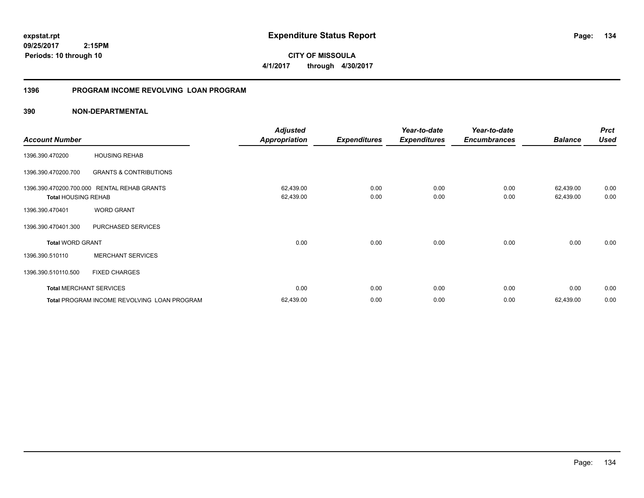**134**

**09/25/2017 2:15PM Periods: 10 through 10**

**CITY OF MISSOULA 4/1/2017 through 4/30/2017**

## **1396 PROGRAM INCOME REVOLVING LOAN PROGRAM**

|                                                       |                                             | <b>Adjusted</b>        |                     | Year-to-date        | Year-to-date        |                        | <b>Prct</b>  |
|-------------------------------------------------------|---------------------------------------------|------------------------|---------------------|---------------------|---------------------|------------------------|--------------|
| <b>Account Number</b>                                 |                                             | <b>Appropriation</b>   | <b>Expenditures</b> | <b>Expenditures</b> | <b>Encumbrances</b> | <b>Balance</b>         | <b>Used</b>  |
| 1396.390.470200                                       | <b>HOUSING REHAB</b>                        |                        |                     |                     |                     |                        |              |
| 1396.390.470200.700                                   | <b>GRANTS &amp; CONTRIBUTIONS</b>           |                        |                     |                     |                     |                        |              |
| 1396.390.470200.700.000<br><b>Total HOUSING REHAB</b> | <b>RENTAL REHAB GRANTS</b>                  | 62,439.00<br>62,439.00 | 0.00<br>0.00        | 0.00<br>0.00        | 0.00<br>0.00        | 62,439.00<br>62,439.00 | 0.00<br>0.00 |
| 1396.390.470401                                       | <b>WORD GRANT</b>                           |                        |                     |                     |                     |                        |              |
| 1396.390.470401.300                                   | PURCHASED SERVICES                          |                        |                     |                     |                     |                        |              |
| <b>Total WORD GRANT</b>                               |                                             | 0.00                   | 0.00                | 0.00                | 0.00                | 0.00                   | 0.00         |
| 1396.390.510110                                       | <b>MERCHANT SERVICES</b>                    |                        |                     |                     |                     |                        |              |
| 1396.390.510110.500                                   | <b>FIXED CHARGES</b>                        |                        |                     |                     |                     |                        |              |
| <b>Total MERCHANT SERVICES</b>                        |                                             | 0.00                   | 0.00                | 0.00                | 0.00                | 0.00                   | 0.00         |
|                                                       | Total PROGRAM INCOME REVOLVING LOAN PROGRAM | 62,439.00              | 0.00                | 0.00                | 0.00                | 62,439.00              | 0.00         |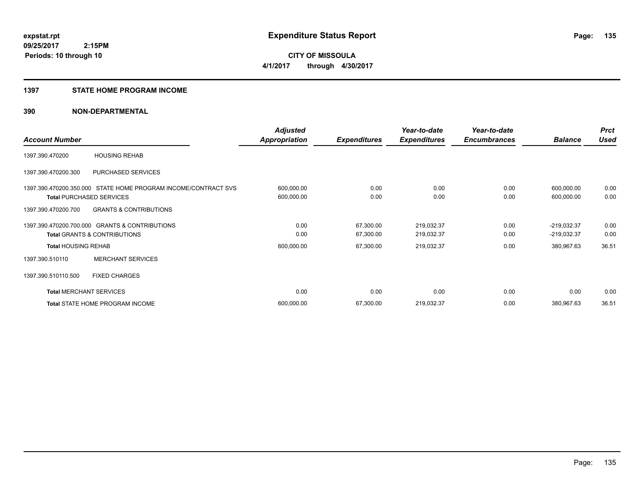#### **1397 STATE HOME PROGRAM INCOME**

|                                |                                                                | <b>Adjusted</b>      |                     | Year-to-date        | Year-to-date        |                | <b>Prct</b> |
|--------------------------------|----------------------------------------------------------------|----------------------|---------------------|---------------------|---------------------|----------------|-------------|
| <b>Account Number</b>          |                                                                | <b>Appropriation</b> | <b>Expenditures</b> | <b>Expenditures</b> | <b>Encumbrances</b> | <b>Balance</b> | <b>Used</b> |
| 1397.390.470200                | <b>HOUSING REHAB</b>                                           |                      |                     |                     |                     |                |             |
| 1397.390.470200.300            | PURCHASED SERVICES                                             |                      |                     |                     |                     |                |             |
|                                | 1397.390.470200.350.000 STATE HOME PROGRAM INCOME/CONTRACT SVS | 600,000.00           | 0.00                | 0.00                | 0.00                | 600,000.00     | 0.00        |
|                                | <b>Total PURCHASED SERVICES</b>                                | 600,000.00           | 0.00                | 0.00                | 0.00                | 600,000.00     | 0.00        |
| 1397.390.470200.700            | <b>GRANTS &amp; CONTRIBUTIONS</b>                              |                      |                     |                     |                     |                |             |
|                                | 1397.390.470200.700.000 GRANTS & CONTRIBUTIONS                 | 0.00                 | 67,300.00           | 219,032.37          | 0.00                | $-219,032.37$  | 0.00        |
|                                | <b>Total GRANTS &amp; CONTRIBUTIONS</b>                        | 0.00                 | 67,300.00           | 219,032.37          | 0.00                | $-219,032.37$  | 0.00        |
| <b>Total HOUSING REHAB</b>     |                                                                | 600,000.00           | 67,300.00           | 219,032.37          | 0.00                | 380,967.63     | 36.51       |
| 1397.390.510110                | <b>MERCHANT SERVICES</b>                                       |                      |                     |                     |                     |                |             |
| 1397.390.510110.500            | <b>FIXED CHARGES</b>                                           |                      |                     |                     |                     |                |             |
| <b>Total MERCHANT SERVICES</b> |                                                                | 0.00                 | 0.00                | 0.00                | 0.00                | 0.00           | 0.00        |
|                                | Total STATE HOME PROGRAM INCOME                                | 600,000.00           | 67,300.00           | 219,032.37          | 0.00                | 380,967.63     | 36.51       |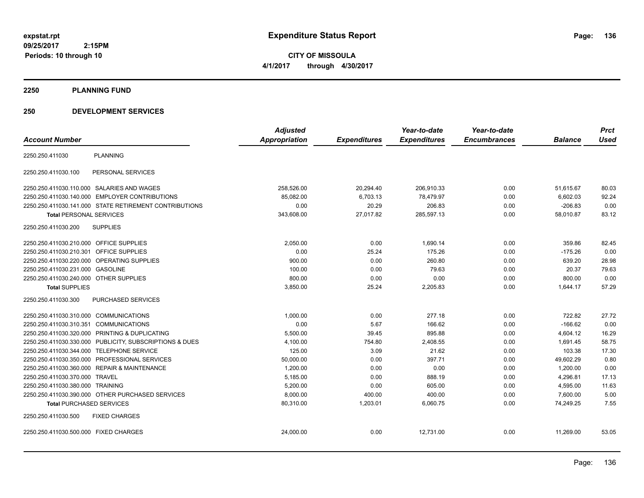**CITY OF MISSOULA 4/1/2017 through 4/30/2017**

#### **2250 PLANNING FUND**

## **250 DEVELOPMENT SERVICES**

|                                                         | <b>Adjusted</b>      |                     | Year-to-date        | Year-to-date        |                | <b>Prct</b> |
|---------------------------------------------------------|----------------------|---------------------|---------------------|---------------------|----------------|-------------|
| <b>Account Number</b>                                   | <b>Appropriation</b> | <b>Expenditures</b> | <b>Expenditures</b> | <b>Encumbrances</b> | <b>Balance</b> | <b>Used</b> |
| <b>PLANNING</b><br>2250.250.411030                      |                      |                     |                     |                     |                |             |
| PERSONAL SERVICES<br>2250.250.411030.100                |                      |                     |                     |                     |                |             |
| 2250.250.411030.110.000 SALARIES AND WAGES              | 258,526.00           | 20,294.40           | 206,910.33          | 0.00                | 51,615.67      | 80.03       |
| 2250.250.411030.140.000 EMPLOYER CONTRIBUTIONS          | 85,082.00            | 6,703.13            | 78,479.97           | 0.00                | 6,602.03       | 92.24       |
| 2250.250.411030.141.000 STATE RETIREMENT CONTRIBUTIONS  | 0.00                 | 20.29               | 206.83              | 0.00                | $-206.83$      | 0.00        |
| <b>Total PERSONAL SERVICES</b>                          | 343,608.00           | 27.017.82           | 285,597.13          | 0.00                | 58,010.87      | 83.12       |
| <b>SUPPLIES</b><br>2250.250.411030.200                  |                      |                     |                     |                     |                |             |
| 2250.250.411030.210.000 OFFICE SUPPLIES                 | 2,050.00             | 0.00                | 1,690.14            | 0.00                | 359.86         | 82.45       |
| 2250.250.411030.210.301 OFFICE SUPPLIES                 | 0.00                 | 25.24               | 175.26              | 0.00                | $-175.26$      | 0.00        |
| 2250.250.411030.220.000 OPERATING SUPPLIES              | 900.00               | 0.00                | 260.80              | 0.00                | 639.20         | 28.98       |
| 2250.250.411030.231.000 GASOLINE                        | 100.00               | 0.00                | 79.63               | 0.00                | 20.37          | 79.63       |
| 2250.250.411030.240.000 OTHER SUPPLIES                  | 800.00               | 0.00                | 0.00                | 0.00                | 800.00         | 0.00        |
| <b>Total SUPPLIES</b>                                   | 3,850.00             | 25.24               | 2,205.83            | 0.00                | 1,644.17       | 57.29       |
| 2250.250.411030.300<br><b>PURCHASED SERVICES</b>        |                      |                     |                     |                     |                |             |
| 2250.250.411030.310.000 COMMUNICATIONS                  | 1,000.00             | 0.00                | 277.18              | 0.00                | 722.82         | 27.72       |
| 2250.250.411030.310.351 COMMUNICATIONS                  | 0.00                 | 5.67                | 166.62              | 0.00                | $-166.62$      | 0.00        |
| 2250.250.411030.320.000 PRINTING & DUPLICATING          | 5,500.00             | 39.45               | 895.88              | 0.00                | 4,604.12       | 16.29       |
| 2250.250.411030.330.000 PUBLICITY, SUBSCRIPTIONS & DUES | 4,100.00             | 754.80              | 2,408.55            | 0.00                | 1,691.45       | 58.75       |
| 2250.250.411030.344.000 TELEPHONE SERVICE               | 125.00               | 3.09                | 21.62               | 0.00                | 103.38         | 17.30       |
| 2250.250.411030.350.000 PROFESSIONAL SERVICES           | 50,000.00            | 0.00                | 397.71              | 0.00                | 49,602.29      | 0.80        |
| 2250.250.411030.360.000 REPAIR & MAINTENANCE            | 1,200.00             | 0.00                | 0.00                | 0.00                | 1,200.00       | 0.00        |
| 2250.250.411030.370.000 TRAVEL                          | 5,185.00             | 0.00                | 888.19              | 0.00                | 4,296.81       | 17.13       |
| 2250.250.411030.380.000 TRAINING                        | 5,200.00             | 0.00                | 605.00              | 0.00                | 4,595.00       | 11.63       |
| 2250.250.411030.390.000 OTHER PURCHASED SERVICES        | 8,000.00             | 400.00              | 400.00              | 0.00                | 7,600.00       | 5.00        |
| <b>Total PURCHASED SERVICES</b>                         | 80,310.00            | 1,203.01            | 6,060.75            | 0.00                | 74,249.25      | 7.55        |
| 2250.250.411030.500<br><b>FIXED CHARGES</b>             |                      |                     |                     |                     |                |             |
| 2250.250.411030.500.000 FIXED CHARGES                   | 24,000.00            | 0.00                | 12,731.00           | 0.00                | 11,269.00      | 53.05       |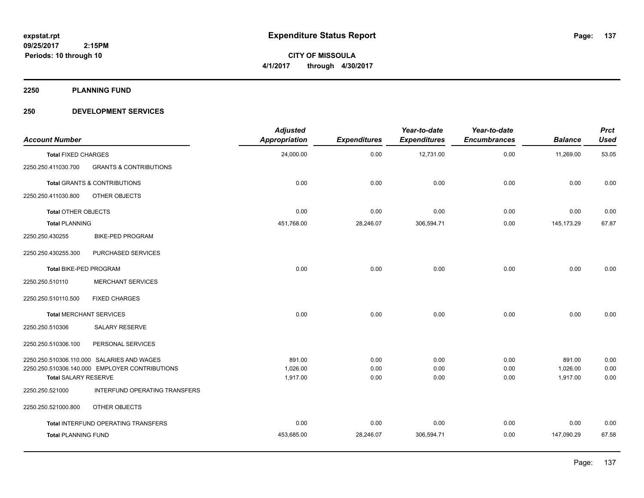**CITY OF MISSOULA 4/1/2017 through 4/30/2017**

**2250 PLANNING FUND**

## **250 DEVELOPMENT SERVICES**

| <b>Account Number</b>          |                                                | <b>Adjusted</b><br><b>Appropriation</b> | <b>Expenditures</b> | Year-to-date<br><b>Expenditures</b> | Year-to-date<br><b>Encumbrances</b> | <b>Balance</b> | <b>Prct</b><br><b>Used</b> |
|--------------------------------|------------------------------------------------|-----------------------------------------|---------------------|-------------------------------------|-------------------------------------|----------------|----------------------------|
| <b>Total FIXED CHARGES</b>     |                                                | 24,000.00                               | 0.00                | 12,731.00                           | 0.00                                | 11,269.00      | 53.05                      |
| 2250.250.411030.700            | <b>GRANTS &amp; CONTRIBUTIONS</b>              |                                         |                     |                                     |                                     |                |                            |
|                                | <b>Total GRANTS &amp; CONTRIBUTIONS</b>        | 0.00                                    | 0.00                | 0.00                                | 0.00                                | 0.00           | 0.00                       |
| 2250.250.411030.800            | OTHER OBJECTS                                  |                                         |                     |                                     |                                     |                |                            |
| <b>Total OTHER OBJECTS</b>     |                                                | 0.00                                    | 0.00                | 0.00                                | 0.00                                | 0.00           | 0.00                       |
| <b>Total PLANNING</b>          |                                                | 451,768.00                              | 28,246.07           | 306,594.71                          | 0.00                                | 145, 173. 29   | 67.87                      |
| 2250.250.430255                | <b>BIKE-PED PROGRAM</b>                        |                                         |                     |                                     |                                     |                |                            |
| 2250.250.430255.300            | PURCHASED SERVICES                             |                                         |                     |                                     |                                     |                |                            |
| Total BIKE-PED PROGRAM         |                                                | 0.00                                    | 0.00                | 0.00                                | 0.00                                | 0.00           | 0.00                       |
| 2250.250.510110                | <b>MERCHANT SERVICES</b>                       |                                         |                     |                                     |                                     |                |                            |
| 2250.250.510110.500            | <b>FIXED CHARGES</b>                           |                                         |                     |                                     |                                     |                |                            |
| <b>Total MERCHANT SERVICES</b> |                                                | 0.00                                    | 0.00                | 0.00                                | 0.00                                | 0.00           | 0.00                       |
| 2250.250.510306                | SALARY RESERVE                                 |                                         |                     |                                     |                                     |                |                            |
| 2250.250.510306.100            | PERSONAL SERVICES                              |                                         |                     |                                     |                                     |                |                            |
|                                | 2250.250.510306.110.000 SALARIES AND WAGES     | 891.00                                  | 0.00                | 0.00                                | 0.00                                | 891.00         | 0.00                       |
|                                | 2250.250.510306.140.000 EMPLOYER CONTRIBUTIONS | 1,026.00                                | 0.00                | 0.00                                | 0.00                                | 1,026.00       | 0.00                       |
| <b>Total SALARY RESERVE</b>    |                                                | 1,917.00                                | 0.00                | 0.00                                | 0.00                                | 1,917.00       | 0.00                       |
| 2250.250.521000                | INTERFUND OPERATING TRANSFERS                  |                                         |                     |                                     |                                     |                |                            |
| 2250.250.521000.800            | OTHER OBJECTS                                  |                                         |                     |                                     |                                     |                |                            |
|                                | Total INTERFUND OPERATING TRANSFERS            | 0.00                                    | 0.00                | 0.00                                | 0.00                                | 0.00           | 0.00                       |
| <b>Total PLANNING FUND</b>     |                                                | 453,685.00                              | 28,246.07           | 306,594.71                          | 0.00                                | 147,090.29     | 67.58                      |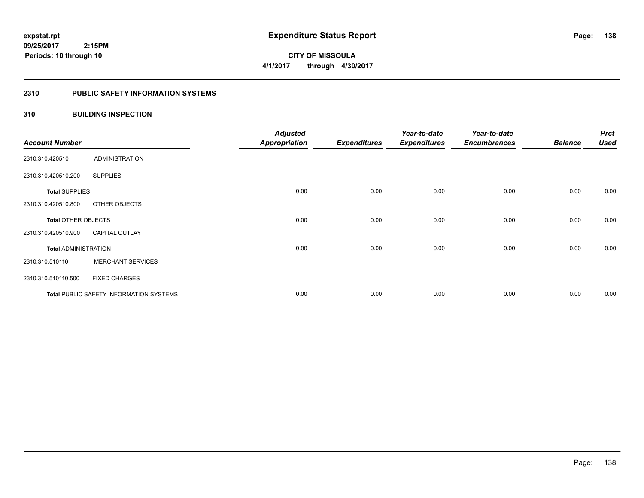## **2310 PUBLIC SAFETY INFORMATION SYSTEMS**

## **310 BUILDING INSPECTION**

| <b>Account Number</b>       |                                                | <b>Adjusted</b><br><b>Appropriation</b> | <b>Expenditures</b> | Year-to-date<br><b>Expenditures</b> | Year-to-date<br><b>Encumbrances</b> | <b>Balance</b> | <b>Prct</b><br><b>Used</b> |
|-----------------------------|------------------------------------------------|-----------------------------------------|---------------------|-------------------------------------|-------------------------------------|----------------|----------------------------|
| 2310.310.420510             | <b>ADMINISTRATION</b>                          |                                         |                     |                                     |                                     |                |                            |
| 2310.310.420510.200         | <b>SUPPLIES</b>                                |                                         |                     |                                     |                                     |                |                            |
| <b>Total SUPPLIES</b>       |                                                | 0.00                                    | 0.00                | 0.00                                | 0.00                                | 0.00           | 0.00                       |
| 2310.310.420510.800         | OTHER OBJECTS                                  |                                         |                     |                                     |                                     |                |                            |
| <b>Total OTHER OBJECTS</b>  |                                                | 0.00                                    | 0.00                | 0.00                                | 0.00                                | 0.00           | 0.00                       |
| 2310.310.420510.900         | <b>CAPITAL OUTLAY</b>                          |                                         |                     |                                     |                                     |                |                            |
| <b>Total ADMINISTRATION</b> |                                                | 0.00                                    | 0.00                | 0.00                                | 0.00                                | 0.00           | 0.00                       |
| 2310.310.510110             | <b>MERCHANT SERVICES</b>                       |                                         |                     |                                     |                                     |                |                            |
| 2310.310.510110.500         | <b>FIXED CHARGES</b>                           |                                         |                     |                                     |                                     |                |                            |
|                             | <b>Total PUBLIC SAFETY INFORMATION SYSTEMS</b> | 0.00                                    | 0.00                | 0.00                                | 0.00                                | 0.00           | 0.00                       |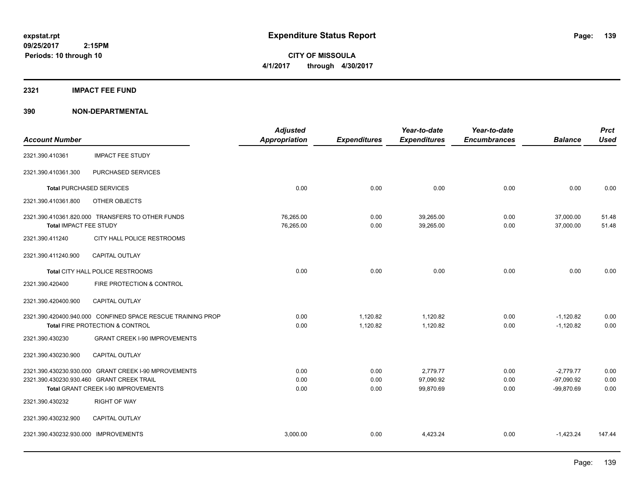**CITY OF MISSOULA 4/1/2017 through 4/30/2017**

#### **2321 IMPACT FEE FUND**

|                                      |                                                             | <b>Adjusted</b>      |                     | Year-to-date        | Year-to-date        |                | <b>Prct</b> |
|--------------------------------------|-------------------------------------------------------------|----------------------|---------------------|---------------------|---------------------|----------------|-------------|
| <b>Account Number</b>                |                                                             | <b>Appropriation</b> | <b>Expenditures</b> | <b>Expenditures</b> | <b>Encumbrances</b> | <b>Balance</b> | <b>Used</b> |
| 2321.390.410361                      | <b>IMPACT FEE STUDY</b>                                     |                      |                     |                     |                     |                |             |
| 2321.390.410361.300                  | PURCHASED SERVICES                                          |                      |                     |                     |                     |                |             |
|                                      | <b>Total PURCHASED SERVICES</b>                             | 0.00                 | 0.00                | 0.00                | 0.00                | 0.00           | 0.00        |
| 2321.390.410361.800                  | OTHER OBJECTS                                               |                      |                     |                     |                     |                |             |
|                                      | 2321.390.410361.820.000 TRANSFERS TO OTHER FUNDS            | 76,265.00            | 0.00                | 39,265.00           | 0.00                | 37,000.00      | 51.48       |
| Total IMPACT FEE STUDY               |                                                             | 76,265.00            | 0.00                | 39,265.00           | 0.00                | 37,000.00      | 51.48       |
| 2321.390.411240                      | CITY HALL POLICE RESTROOMS                                  |                      |                     |                     |                     |                |             |
| 2321.390.411240.900                  | <b>CAPITAL OUTLAY</b>                                       |                      |                     |                     |                     |                |             |
|                                      | Total CITY HALL POLICE RESTROOMS                            | 0.00                 | 0.00                | 0.00                | 0.00                | 0.00           | 0.00        |
| 2321.390.420400                      | FIRE PROTECTION & CONTROL                                   |                      |                     |                     |                     |                |             |
| 2321.390.420400.900                  | <b>CAPITAL OUTLAY</b>                                       |                      |                     |                     |                     |                |             |
|                                      | 2321.390.420400.940.000 CONFINED SPACE RESCUE TRAINING PROP | 0.00                 | 1,120.82            | 1,120.82            | 0.00                | $-1,120.82$    | 0.00        |
|                                      | Total FIRE PROTECTION & CONTROL                             | 0.00                 | 1.120.82            | 1.120.82            | 0.00                | $-1.120.82$    | 0.00        |
| 2321.390.430230                      | <b>GRANT CREEK I-90 IMPROVEMENTS</b>                        |                      |                     |                     |                     |                |             |
| 2321.390.430230.900                  | <b>CAPITAL OUTLAY</b>                                       |                      |                     |                     |                     |                |             |
|                                      | 2321.390.430230.930.000 GRANT CREEK I-90 MPROVEMENTS        | 0.00                 | 0.00                | 2,779.77            | 0.00                | $-2,779.77$    | 0.00        |
|                                      | 2321.390.430230.930.460 GRANT CREEK TRAIL                   | 0.00                 | 0.00                | 97,090.92           | 0.00                | $-97,090.92$   | 0.00        |
|                                      | Total GRANT CREEK I-90 IMPROVEMENTS                         | 0.00                 | 0.00                | 99,870.69           | 0.00                | $-99,870.69$   | 0.00        |
| 2321.390.430232                      | <b>RIGHT OF WAY</b>                                         |                      |                     |                     |                     |                |             |
| 2321.390.430232.900                  | <b>CAPITAL OUTLAY</b>                                       |                      |                     |                     |                     |                |             |
| 2321.390.430232.930.000 IMPROVEMENTS |                                                             | 3,000.00             | 0.00                | 4,423.24            | 0.00                | $-1,423.24$    | 147.44      |
|                                      |                                                             |                      |                     |                     |                     |                |             |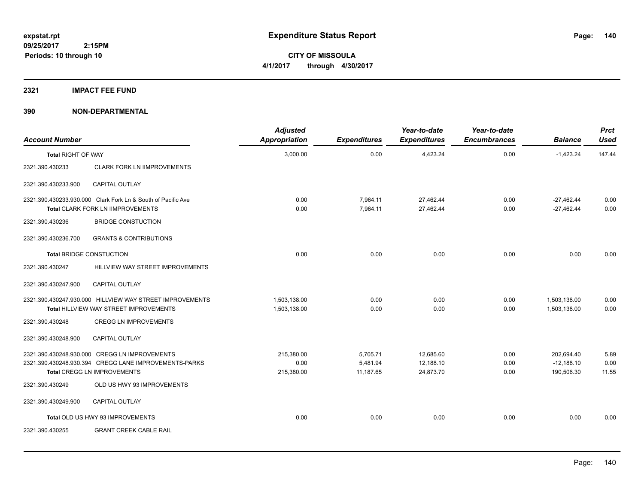## **2321 IMPACT FEE FUND**

| <b>Account Number</b>     |                                                                                                   | <b>Adjusted</b><br>Appropriation | <b>Expenditures</b>  | Year-to-date<br><b>Expenditures</b> | Year-to-date<br><b>Encumbrances</b> | <b>Balance</b>               | <b>Prct</b><br><b>Used</b> |
|---------------------------|---------------------------------------------------------------------------------------------------|----------------------------------|----------------------|-------------------------------------|-------------------------------------|------------------------------|----------------------------|
| <b>Total RIGHT OF WAY</b> |                                                                                                   | 3,000.00                         | 0.00                 | 4,423.24                            | 0.00                                | $-1,423.24$                  | 147.44                     |
| 2321.390.430233           | <b>CLARK FORK LN IIMPROVEMENTS</b>                                                                |                                  |                      |                                     |                                     |                              |                            |
| 2321.390.430233.900       | <b>CAPITAL OUTLAY</b>                                                                             |                                  |                      |                                     |                                     |                              |                            |
|                           | 2321.390.430233.930.000 Clark Fork Ln & South of Pacific Ave<br>Total CLARK FORK LN IIMPROVEMENTS | 0.00<br>0.00                     | 7,964.11<br>7,964.11 | 27,462.44<br>27,462.44              | 0.00<br>0.00                        | $-27,462.44$<br>$-27,462.44$ | 0.00<br>0.00               |
| 2321.390.430236           | <b>BRIDGE CONSTUCTION</b>                                                                         |                                  |                      |                                     |                                     |                              |                            |
| 2321.390.430236.700       | <b>GRANTS &amp; CONTRIBUTIONS</b>                                                                 |                                  |                      |                                     |                                     |                              |                            |
|                           | <b>Total BRIDGE CONSTUCTION</b>                                                                   | 0.00                             | 0.00                 | 0.00                                | 0.00                                | 0.00                         | 0.00                       |
| 2321.390.430247           | HILLVIEW WAY STREET IMPROVEMENTS                                                                  |                                  |                      |                                     |                                     |                              |                            |
| 2321.390.430247.900       | <b>CAPITAL OUTLAY</b>                                                                             |                                  |                      |                                     |                                     |                              |                            |
|                           | 2321.390.430247.930.000 HILLVIEW WAY STREET IMPROVEMENTS                                          | 1,503,138.00                     | 0.00                 | 0.00                                | 0.00                                | 1,503,138.00                 | 0.00                       |
|                           | <b>Total HILLVIEW WAY STREET IMPROVEMENTS</b>                                                     | 1,503,138.00                     | 0.00                 | 0.00                                | 0.00                                | 1,503,138.00                 | 0.00                       |
| 2321.390.430248           | <b>CREGG LN IMPROVEMENTS</b>                                                                      |                                  |                      |                                     |                                     |                              |                            |
| 2321.390.430248.900       | <b>CAPITAL OUTLAY</b>                                                                             |                                  |                      |                                     |                                     |                              |                            |
|                           | 2321.390.430248.930.000 CREGG LN IMPROVEMENTS                                                     | 215,380.00                       | 5,705.71             | 12,685.60                           | 0.00                                | 202,694.40                   | 5.89                       |
|                           | 2321.390.430248.930.394 CREGG LANE IMPROVEMENTS-PARKS                                             | 0.00                             | 5,481.94             | 12,188.10                           | 0.00                                | $-12,188.10$                 | 0.00                       |
|                           | <b>Total CREGG LN IMPROVEMENTS</b>                                                                | 215,380.00                       | 11,187.65            | 24,873.70                           | 0.00                                | 190,506.30                   | 11.55                      |
| 2321.390.430249           | OLD US HWY 93 IMPROVEMENTS                                                                        |                                  |                      |                                     |                                     |                              |                            |
| 2321.390.430249.900       | <b>CAPITAL OUTLAY</b>                                                                             |                                  |                      |                                     |                                     |                              |                            |
|                           | Total OLD US HWY 93 IMPROVEMENTS                                                                  | 0.00                             | 0.00                 | 0.00                                | 0.00                                | 0.00                         | 0.00                       |
| 2321.390.430255           | <b>GRANT CREEK CABLE RAIL</b>                                                                     |                                  |                      |                                     |                                     |                              |                            |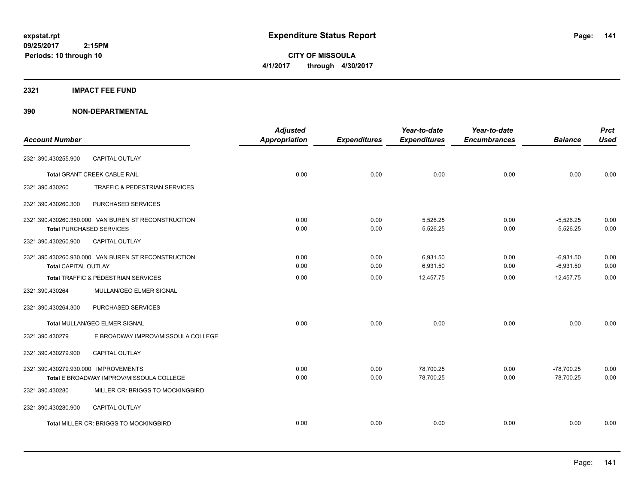**CITY OF MISSOULA 4/1/2017 through 4/30/2017**

## **2321 IMPACT FEE FUND**

|                                      |                                                     | <b>Adjusted</b>      |                     | Year-to-date        | Year-to-date        |                | <b>Prct</b> |
|--------------------------------------|-----------------------------------------------------|----------------------|---------------------|---------------------|---------------------|----------------|-------------|
| <b>Account Number</b>                |                                                     | <b>Appropriation</b> | <b>Expenditures</b> | <b>Expenditures</b> | <b>Encumbrances</b> | <b>Balance</b> | <b>Used</b> |
| 2321.390.430255.900                  | <b>CAPITAL OUTLAY</b>                               |                      |                     |                     |                     |                |             |
|                                      | <b>Total GRANT CREEK CABLE RAIL</b>                 | 0.00                 | 0.00                | 0.00                | 0.00                | 0.00           | 0.00        |
| 2321.390.430260                      | <b>TRAFFIC &amp; PEDESTRIAN SERVICES</b>            |                      |                     |                     |                     |                |             |
| 2321.390.430260.300                  | PURCHASED SERVICES                                  |                      |                     |                     |                     |                |             |
|                                      | 2321.390.430260.350.000 VAN BUREN ST RECONSTRUCTION | 0.00                 | 0.00                | 5,526.25            | 0.00                | $-5,526.25$    | 0.00        |
|                                      | <b>Total PURCHASED SERVICES</b>                     | 0.00                 | 0.00                | 5,526.25            | 0.00                | $-5,526.25$    | 0.00        |
| 2321.390.430260.900                  | <b>CAPITAL OUTLAY</b>                               |                      |                     |                     |                     |                |             |
|                                      | 2321.390.430260.930.000 VAN BUREN ST RECONSTRUCTION | 0.00                 | 0.00                | 6.931.50            | 0.00                | $-6.931.50$    | 0.00        |
| <b>Total CAPITAL OUTLAY</b>          |                                                     | 0.00                 | 0.00                | 6,931.50            | 0.00                | $-6,931.50$    | 0.00        |
|                                      | Total TRAFFIC & PEDESTRIAN SERVICES                 | 0.00                 | 0.00                | 12,457.75           | 0.00                | $-12.457.75$   | 0.00        |
| 2321.390.430264                      | MULLAN/GEO ELMER SIGNAL                             |                      |                     |                     |                     |                |             |
| 2321.390.430264.300                  | PURCHASED SERVICES                                  |                      |                     |                     |                     |                |             |
|                                      | Total MULLAN/GEO ELMER SIGNAL                       | 0.00                 | 0.00                | 0.00                | 0.00                | 0.00           | 0.00        |
| 2321.390.430279                      | E BROADWAY IMPROV/MISSOULA COLLEGE                  |                      |                     |                     |                     |                |             |
| 2321.390.430279.900                  | <b>CAPITAL OUTLAY</b>                               |                      |                     |                     |                     |                |             |
| 2321.390.430279.930.000 IMPROVEMENTS |                                                     | 0.00                 | 0.00                | 78,700.25           | 0.00                | $-78,700.25$   | 0.00        |
|                                      | Total E BROADWAY IMPROV/MISSOULA COLLEGE            | 0.00                 | 0.00                | 78,700.25           | 0.00                | $-78.700.25$   | 0.00        |
| 2321.390.430280                      | MILLER CR: BRIGGS TO MOCKINGBIRD                    |                      |                     |                     |                     |                |             |
| 2321.390.430280.900                  | <b>CAPITAL OUTLAY</b>                               |                      |                     |                     |                     |                |             |
|                                      | Total MILLER CR: BRIGGS TO MOCKINGBIRD              | 0.00                 | 0.00                | 0.00                | 0.00                | 0.00           | 0.00        |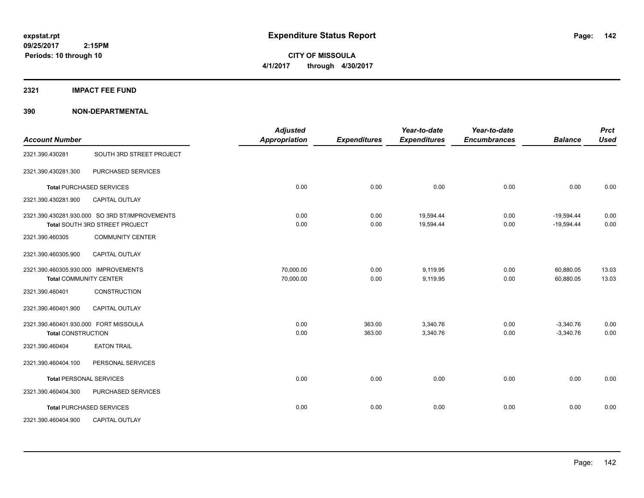**CITY OF MISSOULA 4/1/2017 through 4/30/2017**

**2321 IMPACT FEE FUND**

| <b>Account Number</b>                                              |                                                                                  | <b>Adjusted</b><br><b>Appropriation</b> | <b>Expenditures</b> | Year-to-date<br><b>Expenditures</b> | Year-to-date<br><b>Encumbrances</b> | <b>Balance</b>               | <b>Prct</b><br><b>Used</b> |
|--------------------------------------------------------------------|----------------------------------------------------------------------------------|-----------------------------------------|---------------------|-------------------------------------|-------------------------------------|------------------------------|----------------------------|
| 2321.390.430281                                                    | SOUTH 3RD STREET PROJECT                                                         |                                         |                     |                                     |                                     |                              |                            |
| 2321.390.430281.300                                                | PURCHASED SERVICES                                                               |                                         |                     |                                     |                                     |                              |                            |
|                                                                    | <b>Total PURCHASED SERVICES</b>                                                  | 0.00                                    | 0.00                | 0.00                                | 0.00                                | 0.00                         | 0.00                       |
| 2321.390.430281.900                                                | <b>CAPITAL OUTLAY</b>                                                            |                                         |                     |                                     |                                     |                              |                            |
|                                                                    | 2321.390.430281.930.000 SO 3RD ST/IMPROVEMENTS<br>Total SOUTH 3RD STREET PROJECT | 0.00<br>0.00                            | 0.00<br>0.00        | 19,594.44<br>19,594.44              | 0.00<br>0.00                        | $-19,594.44$<br>$-19,594.44$ | 0.00<br>0.00               |
| 2321.390.460305                                                    | <b>COMMUNITY CENTER</b>                                                          |                                         |                     |                                     |                                     |                              |                            |
| 2321.390.460305.900                                                | <b>CAPITAL OUTLAY</b>                                                            |                                         |                     |                                     |                                     |                              |                            |
| 2321.390.460305.930.000 IMPROVEMENTS                               | <b>Total COMMUNITY CENTER</b>                                                    | 70,000.00<br>70,000.00                  | 0.00<br>0.00        | 9,119.95<br>9,119.95                | 0.00<br>0.00                        | 60,880.05<br>60,880.05       | 13.03<br>13.03             |
| 2321.390.460401                                                    | <b>CONSTRUCTION</b>                                                              |                                         |                     |                                     |                                     |                              |                            |
| 2321.390.460401.900                                                | <b>CAPITAL OUTLAY</b>                                                            |                                         |                     |                                     |                                     |                              |                            |
| 2321.390.460401.930.000 FORT MISSOULA<br><b>Total CONSTRUCTION</b> |                                                                                  | 0.00<br>0.00                            | 363.00<br>363.00    | 3,340.76<br>3,340.76                | 0.00<br>0.00                        | $-3,340.76$<br>$-3,340.76$   | 0.00<br>0.00               |
| 2321.390.460404                                                    | <b>EATON TRAIL</b>                                                               |                                         |                     |                                     |                                     |                              |                            |
| 2321.390.460404.100                                                | PERSONAL SERVICES                                                                |                                         |                     |                                     |                                     |                              |                            |
|                                                                    | <b>Total PERSONAL SERVICES</b>                                                   | 0.00                                    | 0.00                | 0.00                                | 0.00                                | 0.00                         | 0.00                       |
| 2321.390.460404.300                                                | PURCHASED SERVICES                                                               |                                         |                     |                                     |                                     |                              |                            |
|                                                                    | <b>Total PURCHASED SERVICES</b>                                                  | 0.00                                    | 0.00                | 0.00                                | 0.00                                | 0.00                         | 0.00                       |
| 2321.390.460404.900                                                | CAPITAL OUTLAY                                                                   |                                         |                     |                                     |                                     |                              |                            |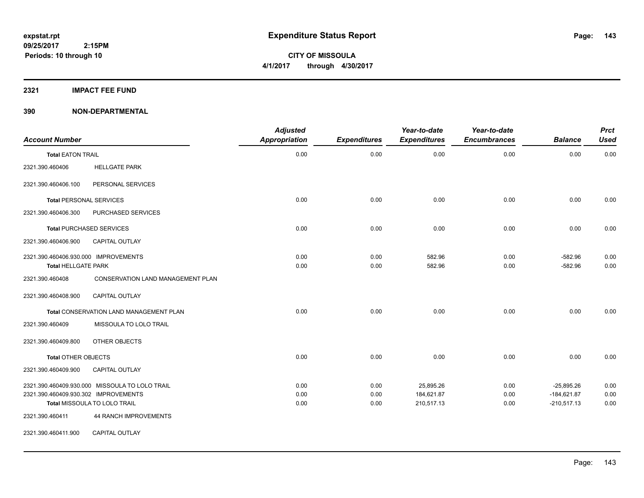**Periods: 10 through 10**

**CITY OF MISSOULA 4/1/2017 through 4/30/2017**

**2321 IMPACT FEE FUND**

| <b>Account Number</b>                                              |                                                                                | <b>Adjusted</b><br><b>Appropriation</b> | <b>Expenditures</b>  | Year-to-date<br><b>Expenditures</b>   | Year-to-date<br><b>Encumbrances</b> | <b>Balance</b>                                 | <b>Prct</b><br><b>Used</b> |
|--------------------------------------------------------------------|--------------------------------------------------------------------------------|-----------------------------------------|----------------------|---------------------------------------|-------------------------------------|------------------------------------------------|----------------------------|
| <b>Total EATON TRAIL</b>                                           |                                                                                | 0.00                                    | 0.00                 | 0.00                                  | 0.00                                | 0.00                                           | 0.00                       |
| 2321.390.460406                                                    | <b>HELLGATE PARK</b>                                                           |                                         |                      |                                       |                                     |                                                |                            |
| 2321.390.460406.100                                                | PERSONAL SERVICES                                                              |                                         |                      |                                       |                                     |                                                |                            |
|                                                                    | <b>Total PERSONAL SERVICES</b>                                                 | 0.00                                    | 0.00                 | 0.00                                  | 0.00                                | 0.00                                           | 0.00                       |
| 2321.390.460406.300                                                | PURCHASED SERVICES                                                             |                                         |                      |                                       |                                     |                                                |                            |
|                                                                    | <b>Total PURCHASED SERVICES</b>                                                | 0.00                                    | 0.00                 | 0.00                                  | 0.00                                | 0.00                                           | 0.00                       |
| 2321.390.460406.900                                                | <b>CAPITAL OUTLAY</b>                                                          |                                         |                      |                                       |                                     |                                                |                            |
| 2321.390.460406.930.000 IMPROVEMENTS<br><b>Total HELLGATE PARK</b> |                                                                                | 0.00<br>0.00                            | 0.00<br>0.00         | 582.96<br>582.96                      | 0.00<br>0.00                        | $-582.96$<br>$-582.96$                         | 0.00<br>0.00               |
| 2321.390.460408                                                    | <b>CONSERVATION LAND MANAGEMENT PLAN</b>                                       |                                         |                      |                                       |                                     |                                                |                            |
| 2321.390.460408.900                                                | CAPITAL OUTLAY                                                                 |                                         |                      |                                       |                                     |                                                |                            |
|                                                                    | Total CONSERVATION LAND MANAGEMENT PLAN                                        | 0.00                                    | 0.00                 | 0.00                                  | 0.00                                | 0.00                                           | 0.00                       |
| 2321.390.460409                                                    | MISSOULA TO LOLO TRAIL                                                         |                                         |                      |                                       |                                     |                                                |                            |
| 2321.390.460409.800                                                | OTHER OBJECTS                                                                  |                                         |                      |                                       |                                     |                                                |                            |
| <b>Total OTHER OBJECTS</b>                                         |                                                                                | 0.00                                    | 0.00                 | 0.00                                  | 0.00                                | 0.00                                           | 0.00                       |
| 2321.390.460409.900                                                | <b>CAPITAL OUTLAY</b>                                                          |                                         |                      |                                       |                                     |                                                |                            |
| 2321.390.460409.930.302 IMPROVEMENTS                               | 2321.390.460409.930.000 MISSOULA TO LOLO TRAIL<br>Total MISSOULA TO LOLO TRAIL | 0.00<br>0.00<br>0.00                    | 0.00<br>0.00<br>0.00 | 25,895.26<br>184.621.87<br>210,517.13 | 0.00<br>0.00<br>0.00                | $-25,895.26$<br>$-184,621.87$<br>$-210,517.13$ | 0.00<br>0.00<br>0.00       |
| 2321.390.460411                                                    | <b>44 RANCH IMPROVEMENTS</b>                                                   |                                         |                      |                                       |                                     |                                                |                            |
| 2321.390.460411.900                                                | <b>CAPITAL OUTLAY</b>                                                          |                                         |                      |                                       |                                     |                                                |                            |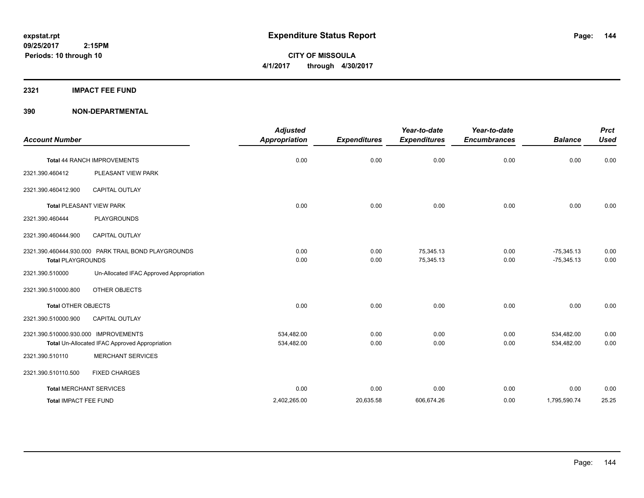**CITY OF MISSOULA 4/1/2017 through 4/30/2017**

#### **2321 IMPACT FEE FUND**

| <b>Account Number</b>                |                                                     | <b>Adjusted</b><br><b>Appropriation</b> | <b>Expenditures</b> | Year-to-date<br><b>Expenditures</b> | Year-to-date<br><b>Encumbrances</b> | <b>Balance</b>               | <b>Prct</b><br><b>Used</b> |
|--------------------------------------|-----------------------------------------------------|-----------------------------------------|---------------------|-------------------------------------|-------------------------------------|------------------------------|----------------------------|
|                                      | Total 44 RANCH IMPROVEMENTS                         | 0.00                                    | 0.00                | 0.00                                | 0.00                                | 0.00                         | 0.00                       |
| 2321.390.460412                      | PLEASANT VIEW PARK                                  |                                         |                     |                                     |                                     |                              |                            |
| 2321.390.460412.900                  | CAPITAL OUTLAY                                      |                                         |                     |                                     |                                     |                              |                            |
|                                      | <b>Total PLEASANT VIEW PARK</b>                     | 0.00                                    | 0.00                | 0.00                                | 0.00                                | 0.00                         | 0.00                       |
| 2321.390.460444                      | <b>PLAYGROUNDS</b>                                  |                                         |                     |                                     |                                     |                              |                            |
| 2321.390.460444.900                  | <b>CAPITAL OUTLAY</b>                               |                                         |                     |                                     |                                     |                              |                            |
| <b>Total PLAYGROUNDS</b>             | 2321.390.460444.930.000 PARK TRAIL BOND PLAYGROUNDS | 0.00<br>0.00                            | 0.00<br>0.00        | 75,345.13<br>75,345.13              | 0.00<br>0.00                        | $-75,345.13$<br>$-75,345.13$ | 0.00<br>0.00               |
| 2321.390.510000                      | Un-Allocated IFAC Approved Appropriation            |                                         |                     |                                     |                                     |                              |                            |
| 2321.390.510000.800                  | OTHER OBJECTS                                       |                                         |                     |                                     |                                     |                              |                            |
| <b>Total OTHER OBJECTS</b>           |                                                     | 0.00                                    | 0.00                | 0.00                                | 0.00                                | 0.00                         | 0.00                       |
| 2321.390.510000.900                  | <b>CAPITAL OUTLAY</b>                               |                                         |                     |                                     |                                     |                              |                            |
| 2321.390.510000.930.000 IMPROVEMENTS | Total Un-Allocated IFAC Approved Appropriation      | 534,482.00<br>534,482.00                | 0.00<br>0.00        | 0.00<br>0.00                        | 0.00<br>0.00                        | 534,482.00<br>534,482.00     | 0.00<br>0.00               |
| 2321.390.510110                      | <b>MERCHANT SERVICES</b>                            |                                         |                     |                                     |                                     |                              |                            |
| 2321.390.510110.500                  | <b>FIXED CHARGES</b>                                |                                         |                     |                                     |                                     |                              |                            |
|                                      | <b>Total MERCHANT SERVICES</b>                      | 0.00                                    | 0.00                | 0.00                                | 0.00                                | 0.00                         | 0.00                       |
| Total IMPACT FEE FUND                |                                                     | 2,402,265.00                            | 20,635.58           | 606,674.26                          | 0.00                                | 1,795,590.74                 | 25.25                      |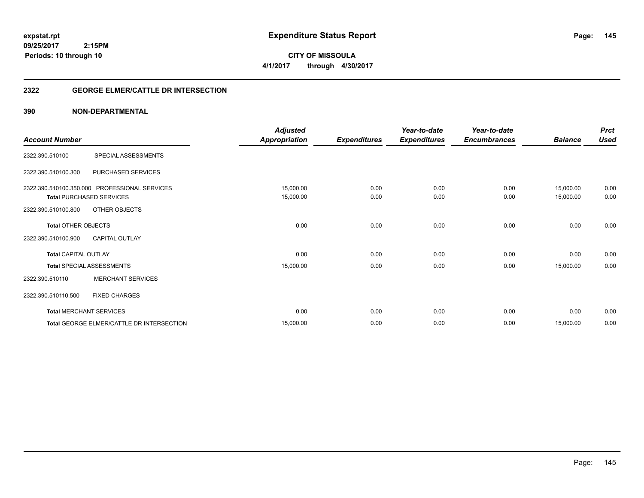**CITY OF MISSOULA 4/1/2017 through 4/30/2017**

### **2322 GEORGE ELMER/CATTLE DR INTERSECTION**

|                             |                                               | <b>Adjusted</b>      |                     | Year-to-date        | Year-to-date        |                | <b>Prct</b> |
|-----------------------------|-----------------------------------------------|----------------------|---------------------|---------------------|---------------------|----------------|-------------|
| <b>Account Number</b>       |                                               | <b>Appropriation</b> | <b>Expenditures</b> | <b>Expenditures</b> | <b>Encumbrances</b> | <b>Balance</b> | <b>Used</b> |
| 2322.390.510100             | SPECIAL ASSESSMENTS                           |                      |                     |                     |                     |                |             |
| 2322.390.510100.300         | PURCHASED SERVICES                            |                      |                     |                     |                     |                |             |
|                             | 2322.390.510100.350.000 PROFESSIONAL SERVICES | 15,000.00            | 0.00                | 0.00                | 0.00                | 15,000.00      | 0.00        |
|                             | <b>Total PURCHASED SERVICES</b>               | 15,000.00            | 0.00                | 0.00                | 0.00                | 15,000.00      | 0.00        |
| 2322.390.510100.800         | OTHER OBJECTS                                 |                      |                     |                     |                     |                |             |
| <b>Total OTHER OBJECTS</b>  |                                               | 0.00                 | 0.00                | 0.00                | 0.00                | 0.00           | 0.00        |
| 2322.390.510100.900         | <b>CAPITAL OUTLAY</b>                         |                      |                     |                     |                     |                |             |
| <b>Total CAPITAL OUTLAY</b> |                                               | 0.00                 | 0.00                | 0.00                | 0.00                | 0.00           | 0.00        |
|                             | <b>Total SPECIAL ASSESSMENTS</b>              | 15,000.00            | 0.00                | 0.00                | 0.00                | 15,000.00      | 0.00        |
| 2322.390.510110             | <b>MERCHANT SERVICES</b>                      |                      |                     |                     |                     |                |             |
| 2322.390.510110.500         | <b>FIXED CHARGES</b>                          |                      |                     |                     |                     |                |             |
|                             | <b>Total MERCHANT SERVICES</b>                | 0.00                 | 0.00                | 0.00                | 0.00                | 0.00           | 0.00        |
|                             | Total GEORGE ELMER/CATTLE DR INTERSECTION     | 15,000.00            | 0.00                | 0.00                | 0.00                | 15,000.00      | 0.00        |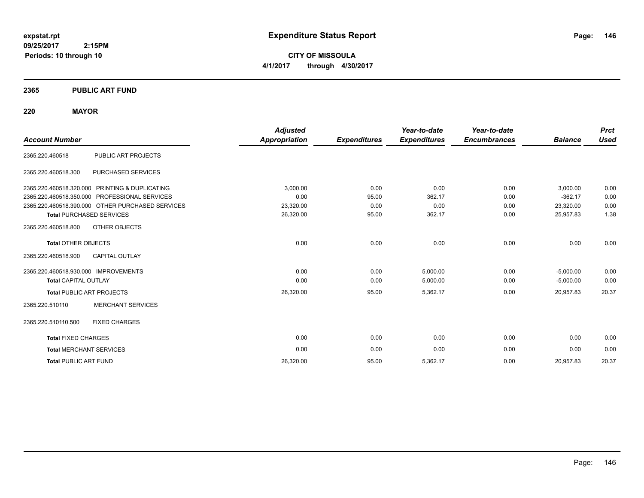**CITY OF MISSOULA 4/1/2017 through 4/30/2017**

### **2365 PUBLIC ART FUND**

### **220 MAYOR**

|                                      |                                                  | <b>Adjusted</b>      |                     | Year-to-date        | Year-to-date        |                | <b>Prct</b> |
|--------------------------------------|--------------------------------------------------|----------------------|---------------------|---------------------|---------------------|----------------|-------------|
| <b>Account Number</b>                |                                                  | <b>Appropriation</b> | <b>Expenditures</b> | <b>Expenditures</b> | <b>Encumbrances</b> | <b>Balance</b> | <b>Used</b> |
| 2365.220.460518                      | PUBLIC ART PROJECTS                              |                      |                     |                     |                     |                |             |
| 2365.220.460518.300                  | PURCHASED SERVICES                               |                      |                     |                     |                     |                |             |
|                                      | 2365.220.460518.320.000 PRINTING & DUPLICATING   | 3,000.00             | 0.00                | 0.00                | 0.00                | 3,000.00       | 0.00        |
|                                      | 2365.220.460518.350.000 PROFESSIONAL SERVICES    | 0.00                 | 95.00               | 362.17              | 0.00                | $-362.17$      | 0.00        |
|                                      | 2365.220.460518.390.000 OTHER PURCHASED SERVICES | 23,320.00            | 0.00                | 0.00                | 0.00                | 23,320.00      | 0.00        |
|                                      | <b>Total PURCHASED SERVICES</b>                  | 26,320.00            | 95.00               | 362.17              | 0.00                | 25,957.83      | 1.38        |
| 2365.220.460518.800                  | OTHER OBJECTS                                    |                      |                     |                     |                     |                |             |
| <b>Total OTHER OBJECTS</b>           |                                                  | 0.00                 | 0.00                | 0.00                | 0.00                | 0.00           | 0.00        |
| 2365.220.460518.900                  | <b>CAPITAL OUTLAY</b>                            |                      |                     |                     |                     |                |             |
| 2365.220.460518.930.000 IMPROVEMENTS |                                                  | 0.00                 | 0.00                | 5,000.00            | 0.00                | $-5,000.00$    | 0.00        |
| <b>Total CAPITAL OUTLAY</b>          |                                                  | 0.00                 | 0.00                | 5,000.00            | 0.00                | $-5,000.00$    | 0.00        |
|                                      | <b>Total PUBLIC ART PROJECTS</b>                 | 26,320.00            | 95.00               | 5,362.17            | 0.00                | 20,957.83      | 20.37       |
| 2365.220.510110                      | <b>MERCHANT SERVICES</b>                         |                      |                     |                     |                     |                |             |
| 2365.220.510110.500                  | <b>FIXED CHARGES</b>                             |                      |                     |                     |                     |                |             |
| <b>Total FIXED CHARGES</b>           |                                                  | 0.00                 | 0.00                | 0.00                | 0.00                | 0.00           | 0.00        |
| <b>Total MERCHANT SERVICES</b>       |                                                  | 0.00                 | 0.00                | 0.00                | 0.00                | 0.00           | 0.00        |
| <b>Total PUBLIC ART FUND</b>         |                                                  | 26,320.00            | 95.00               | 5,362.17            | 0.00                | 20,957.83      | 20.37       |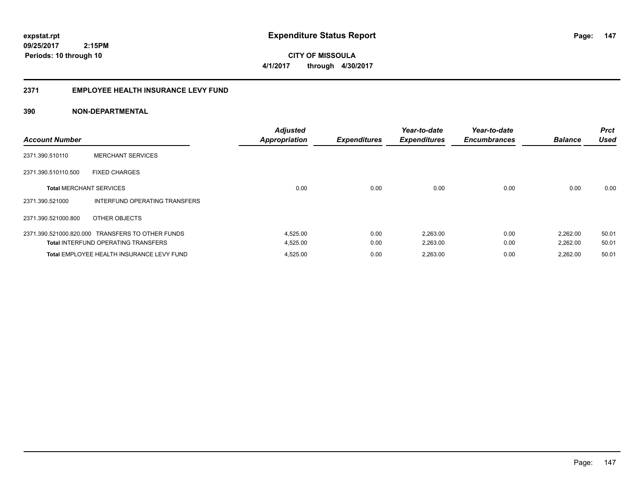**09/25/2017 2:15PM Periods: 10 through 10**

**CITY OF MISSOULA 4/1/2017 through 4/30/2017**

#### **2371 EMPLOYEE HEALTH INSURANCE LEVY FUND**

| <b>Account Number</b>          |                                                  | <b>Adjusted</b><br><b>Appropriation</b> | <b>Expenditures</b> | Year-to-date<br><b>Expenditures</b> | Year-to-date<br><b>Encumbrances</b> | <b>Balance</b> | <b>Prct</b><br><b>Used</b> |
|--------------------------------|--------------------------------------------------|-----------------------------------------|---------------------|-------------------------------------|-------------------------------------|----------------|----------------------------|
| 2371.390.510110                | <b>MERCHANT SERVICES</b>                         |                                         |                     |                                     |                                     |                |                            |
| 2371.390.510110.500            | <b>FIXED CHARGES</b>                             |                                         |                     |                                     |                                     |                |                            |
| <b>Total MERCHANT SERVICES</b> |                                                  | 0.00                                    | 0.00                | 0.00                                | 0.00                                | 0.00           | 0.00                       |
| 2371.390.521000                | INTERFUND OPERATING TRANSFERS                    |                                         |                     |                                     |                                     |                |                            |
| 2371.390.521000.800            | OTHER OBJECTS                                    |                                         |                     |                                     |                                     |                |                            |
|                                | 2371.390.521000.820.000 TRANSFERS TO OTHER FUNDS | 4,525.00                                | 0.00                | 2,263.00                            | 0.00                                | 2,262.00       | 50.01                      |
|                                | <b>Total INTERFUND OPERATING TRANSFERS</b>       | 4,525.00                                | 0.00                | 2,263.00                            | 0.00                                | 2,262.00       | 50.01                      |
|                                | Total EMPLOYEE HEALTH INSURANCE LEVY FUND        | 4,525.00                                | 0.00                | 2,263.00                            | 0.00                                | 2.262.00       | 50.01                      |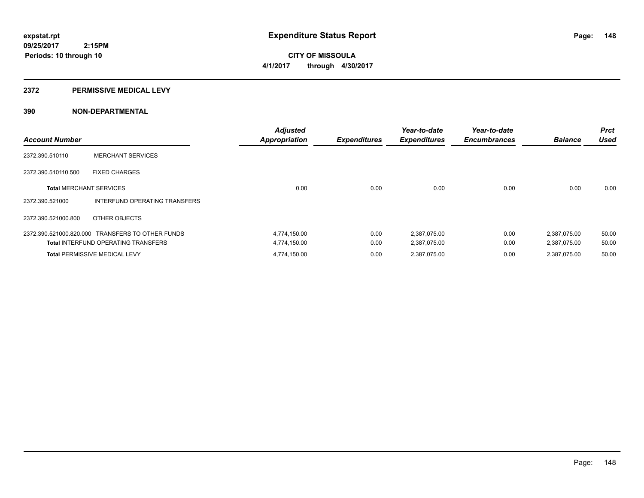**CITY OF MISSOULA 4/1/2017 through 4/30/2017**

#### **2372 PERMISSIVE MEDICAL LEVY**

| <b>Account Number</b>          |                                                  | <b>Adjusted</b><br><b>Appropriation</b> | <b>Expenditures</b> | Year-to-date<br><b>Expenditures</b> | Year-to-date<br><b>Encumbrances</b> | <b>Balance</b> | <b>Prct</b><br><b>Used</b> |
|--------------------------------|--------------------------------------------------|-----------------------------------------|---------------------|-------------------------------------|-------------------------------------|----------------|----------------------------|
| 2372.390.510110                | <b>MERCHANT SERVICES</b>                         |                                         |                     |                                     |                                     |                |                            |
| 2372.390.510110.500            | <b>FIXED CHARGES</b>                             |                                         |                     |                                     |                                     |                |                            |
| <b>Total MERCHANT SERVICES</b> |                                                  | 0.00                                    | 0.00                | 0.00                                | 0.00                                | 0.00           | 0.00                       |
| 2372.390.521000                | INTERFUND OPERATING TRANSFERS                    |                                         |                     |                                     |                                     |                |                            |
| 2372.390.521000.800            | OTHER OBJECTS                                    |                                         |                     |                                     |                                     |                |                            |
|                                | 2372.390.521000.820.000 TRANSFERS TO OTHER FUNDS | 4,774,150.00                            | 0.00                | 2,387,075.00                        | 0.00                                | 2,387,075.00   | 50.00                      |
|                                | <b>Total INTERFUND OPERATING TRANSFERS</b>       | 4,774,150.00                            | 0.00                | 2,387,075.00                        | 0.00                                | 2,387,075.00   | 50.00                      |
|                                | <b>Total PERMISSIVE MEDICAL LEVY</b>             | 4,774,150.00                            | 0.00                | 2.387.075.00                        | 0.00                                | 2.387.075.00   | 50.00                      |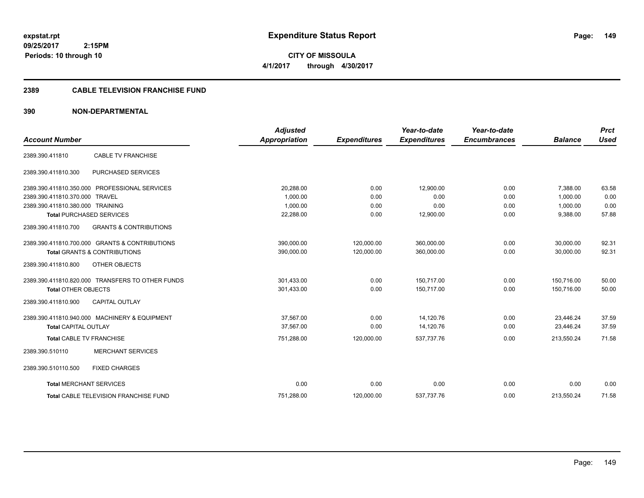**expstat.rpt Expenditure Status Report** 

**09/25/2017 2:15PM Periods: 10 through 10**

**CITY OF MISSOULA 4/1/2017 through 4/30/2017**

#### **2389 CABLE TELEVISION FRANCHISE FUND**

|                                  |                                                  | <b>Adjusted</b>      |                     | Year-to-date        | Year-to-date        |                | <b>Prct</b> |
|----------------------------------|--------------------------------------------------|----------------------|---------------------|---------------------|---------------------|----------------|-------------|
| <b>Account Number</b>            |                                                  | <b>Appropriation</b> | <b>Expenditures</b> | <b>Expenditures</b> | <b>Encumbrances</b> | <b>Balance</b> | <b>Used</b> |
| 2389.390.411810                  | <b>CABLE TV FRANCHISE</b>                        |                      |                     |                     |                     |                |             |
| 2389.390.411810.300              | PURCHASED SERVICES                               |                      |                     |                     |                     |                |             |
|                                  | 2389.390.411810.350.000 PROFESSIONAL SERVICES    | 20,288.00            | 0.00                | 12,900.00           | 0.00                | 7,388.00       | 63.58       |
| 2389.390.411810.370.000 TRAVEL   |                                                  | 1,000.00             | 0.00                | 0.00                | 0.00                | 1.000.00       | 0.00        |
| 2389.390.411810.380.000 TRAINING |                                                  | 1,000.00             | 0.00                | 0.00                | 0.00                | 1,000.00       | 0.00        |
|                                  | <b>Total PURCHASED SERVICES</b>                  | 22,288.00            | 0.00                | 12,900.00           | 0.00                | 9,388.00       | 57.88       |
| 2389.390.411810.700              | <b>GRANTS &amp; CONTRIBUTIONS</b>                |                      |                     |                     |                     |                |             |
|                                  | 2389.390.411810.700.000 GRANTS & CONTRIBUTIONS   | 390,000.00           | 120,000.00          | 360,000.00          | 0.00                | 30,000.00      | 92.31       |
|                                  | <b>Total GRANTS &amp; CONTRIBUTIONS</b>          | 390,000.00           | 120,000.00          | 360,000.00          | 0.00                | 30,000.00      | 92.31       |
| 2389.390.411810.800              | <b>OTHER OBJECTS</b>                             |                      |                     |                     |                     |                |             |
|                                  | 2389.390.411810.820.000 TRANSFERS TO OTHER FUNDS | 301,433.00           | 0.00                | 150,717.00          | 0.00                | 150,716.00     | 50.00       |
| <b>Total OTHER OBJECTS</b>       |                                                  | 301,433.00           | 0.00                | 150.717.00          | 0.00                | 150.716.00     | 50.00       |
| 2389.390.411810.900              | CAPITAL OUTLAY                                   |                      |                     |                     |                     |                |             |
|                                  | 2389.390.411810.940.000 MACHINERY & EQUIPMENT    | 37,567.00            | 0.00                | 14,120.76           | 0.00                | 23,446.24      | 37.59       |
| <b>Total CAPITAL OUTLAY</b>      |                                                  | 37,567.00            | 0.00                | 14,120.76           | 0.00                | 23,446.24      | 37.59       |
| <b>Total CABLE TV FRANCHISE</b>  |                                                  | 751,288.00           | 120,000.00          | 537,737.76          | 0.00                | 213,550.24     | 71.58       |
| 2389.390.510110                  | <b>MERCHANT SERVICES</b>                         |                      |                     |                     |                     |                |             |
| 2389.390.510110.500              | <b>FIXED CHARGES</b>                             |                      |                     |                     |                     |                |             |
| <b>Total MERCHANT SERVICES</b>   |                                                  | 0.00                 | 0.00                | 0.00                | 0.00                | 0.00           | 0.00        |
|                                  | Total CABLE TELEVISION FRANCHISE FUND            | 751,288.00           | 120,000.00          | 537,737.76          | 0.00                | 213,550.24     | 71.58       |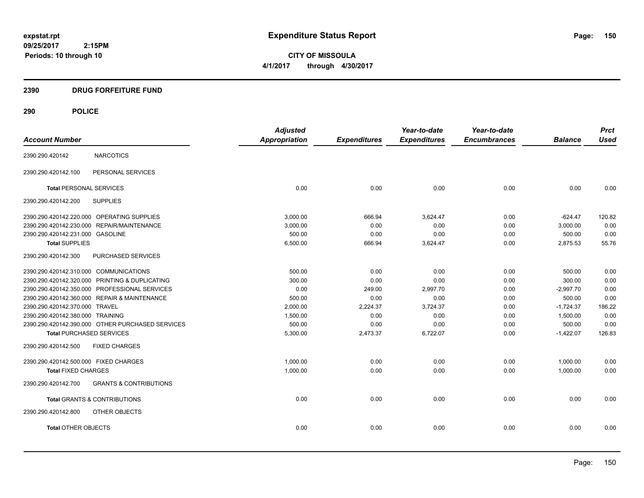**CITY OF MISSOULA 4/1/2017 through 4/30/2017**

# **2390 DRUG FORFEITURE FUND**

|                                        |                                                  | <b>Adjusted</b>      |                     | Year-to-date        | Year-to-date        |                | <b>Prct</b> |
|----------------------------------------|--------------------------------------------------|----------------------|---------------------|---------------------|---------------------|----------------|-------------|
| <b>Account Number</b>                  |                                                  | <b>Appropriation</b> | <b>Expenditures</b> | <b>Expenditures</b> | <b>Encumbrances</b> | <b>Balance</b> | <b>Used</b> |
| 2390.290.420142                        | <b>NARCOTICS</b>                                 |                      |                     |                     |                     |                |             |
| 2390.290.420142.100                    | PERSONAL SERVICES                                |                      |                     |                     |                     |                |             |
| <b>Total PERSONAL SERVICES</b>         |                                                  | 0.00                 | 0.00                | 0.00                | 0.00                | 0.00           | 0.00        |
| 2390.290.420142.200                    | <b>SUPPLIES</b>                                  |                      |                     |                     |                     |                |             |
|                                        | 2390.290.420142.220.000 OPERATING SUPPLIES       | 3.000.00             | 666.94              | 3,624.47            | 0.00                | $-624.47$      | 120.82      |
|                                        | 2390.290.420142.230.000 REPAIR/MAINTENANCE       | 3,000.00             | 0.00                | 0.00                | 0.00                | 3,000.00       | 0.00        |
| 2390.290.420142.231.000 GASOLINE       |                                                  | 500.00               | 0.00                | 0.00                | 0.00                | 500.00         | 0.00        |
| <b>Total SUPPLIES</b>                  |                                                  | 6,500.00             | 666.94              | 3,624.47            | 0.00                | 2,875.53       | 55.76       |
| 2390.290.420142.300                    | PURCHASED SERVICES                               |                      |                     |                     |                     |                |             |
| 2390.290.420142.310.000 COMMUNICATIONS |                                                  | 500.00               | 0.00                | 0.00                | 0.00                | 500.00         | 0.00        |
|                                        | 2390.290.420142.320.000 PRINTING & DUPLICATING   | 300.00               | 0.00                | 0.00                | 0.00                | 300.00         | 0.00        |
|                                        | 2390.290.420142.350.000 PROFESSIONAL SERVICES    | 0.00                 | 249.00              | 2,997.70            | 0.00                | $-2,997.70$    | 0.00        |
|                                        | 2390.290.420142.360.000 REPAIR & MAINTENANCE     | 500.00               | 0.00                | 0.00                | 0.00                | 500.00         | 0.00        |
| 2390.290.420142.370.000 TRAVEL         |                                                  | 2,000.00             | 2,224.37            | 3,724.37            | 0.00                | $-1,724.37$    | 186.22      |
| 2390.290.420142.380.000 TRAINING       |                                                  | 1,500.00             | 0.00                | 0.00                | 0.00                | 1,500.00       | 0.00        |
|                                        | 2390.290.420142.390.000 OTHER PURCHASED SERVICES | 500.00               | 0.00                | 0.00                | 0.00                | 500.00         | 0.00        |
| <b>Total PURCHASED SERVICES</b>        |                                                  | 5,300.00             | 2,473.37            | 6,722.07            | 0.00                | $-1,422.07$    | 126.83      |
| 2390.290.420142.500                    | <b>FIXED CHARGES</b>                             |                      |                     |                     |                     |                |             |
| 2390.290.420142.500.000 FIXED CHARGES  |                                                  | 1,000.00             | 0.00                | 0.00                | 0.00                | 1,000.00       | 0.00        |
| <b>Total FIXED CHARGES</b>             |                                                  | 1,000.00             | 0.00                | 0.00                | 0.00                | 1,000.00       | 0.00        |
| 2390.290.420142.700                    | <b>GRANTS &amp; CONTRIBUTIONS</b>                |                      |                     |                     |                     |                |             |
|                                        | <b>Total GRANTS &amp; CONTRIBUTIONS</b>          | 0.00                 | 0.00                | 0.00                | 0.00                | 0.00           | 0.00        |
| 2390.290.420142.800                    | OTHER OBJECTS                                    |                      |                     |                     |                     |                |             |
| <b>Total OTHER OBJECTS</b>             |                                                  | 0.00                 | 0.00                | 0.00                | 0.00                | 0.00           | 0.00        |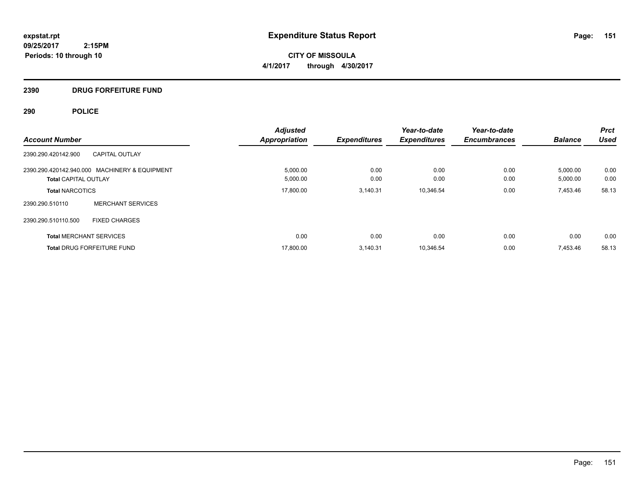**CITY OF MISSOULA 4/1/2017 through 4/30/2017**

# **2390 DRUG FORFEITURE FUND**

| <b>Account Number</b>                                                        | <b>Adjusted</b><br><b>Appropriation</b> | <b>Expenditures</b> | Year-to-date<br><b>Expenditures</b> | Year-to-date<br><b>Encumbrances</b> | <b>Balance</b>       | <b>Prct</b><br><b>Used</b> |
|------------------------------------------------------------------------------|-----------------------------------------|---------------------|-------------------------------------|-------------------------------------|----------------------|----------------------------|
| 2390.290.420142.900<br><b>CAPITAL OUTLAY</b>                                 |                                         |                     |                                     |                                     |                      |                            |
| 2390.290.420142.940.000 MACHINERY & EQUIPMENT<br><b>Total CAPITAL OUTLAY</b> | 5,000.00<br>5,000.00                    | 0.00<br>0.00        | 0.00<br>0.00                        | 0.00<br>0.00                        | 5,000.00<br>5,000.00 | 0.00<br>0.00               |
| <b>Total NARCOTICS</b>                                                       | 17.800.00                               | 3.140.31            | 10.346.54                           | 0.00                                | 7,453.46             | 58.13                      |
| <b>MERCHANT SERVICES</b><br>2390.290.510110                                  |                                         |                     |                                     |                                     |                      |                            |
| 2390.290.510110.500<br><b>FIXED CHARGES</b>                                  |                                         |                     |                                     |                                     |                      |                            |
| <b>Total MERCHANT SERVICES</b>                                               | 0.00                                    | 0.00                | 0.00                                | 0.00                                | 0.00                 | 0.00                       |
| <b>Total DRUG FORFEITURE FUND</b>                                            | 17,800.00                               | 3,140.31            | 10,346.54                           | 0.00                                | 7,453.46             | 58.13                      |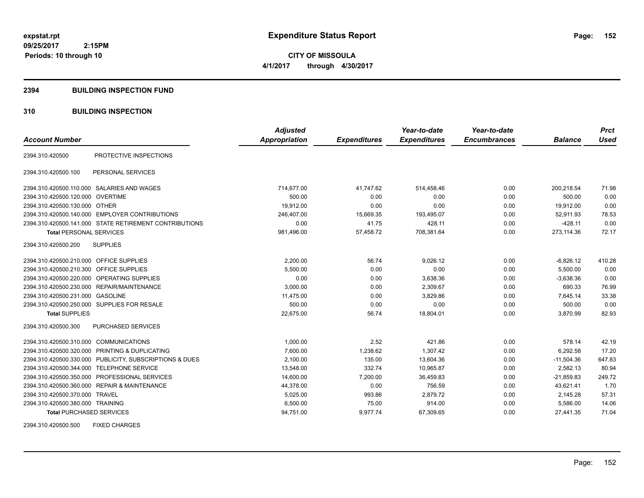**CITY OF MISSOULA 4/1/2017 through 4/30/2017**

#### **2394 BUILDING INSPECTION FUND**

### **310 BUILDING INSPECTION**

|                                           |                                                         | <b>Adjusted</b>      |                     | Year-to-date        | Year-to-date        |                | <b>Prct</b> |
|-------------------------------------------|---------------------------------------------------------|----------------------|---------------------|---------------------|---------------------|----------------|-------------|
| <b>Account Number</b>                     |                                                         | <b>Appropriation</b> | <b>Expenditures</b> | <b>Expenditures</b> | <b>Encumbrances</b> | <b>Balance</b> | <b>Used</b> |
| 2394.310.420500                           | PROTECTIVE INSPECTIONS                                  |                      |                     |                     |                     |                |             |
| 2394.310.420500.100                       | PERSONAL SERVICES                                       |                      |                     |                     |                     |                |             |
|                                           | 2394.310.420500.110.000 SALARIES AND WAGES              | 714,677.00           | 41,747.62           | 514,458.46          | 0.00                | 200,218.54     | 71.98       |
| 2394.310.420500.120.000 OVERTIME          |                                                         | 500.00               | 0.00                | 0.00                | 0.00                | 500.00         | 0.00        |
| 2394.310.420500.130.000 OTHER             |                                                         | 19.912.00            | 0.00                | 0.00                | 0.00                | 19.912.00      | 0.00        |
|                                           | 2394.310.420500.140.000 EMPLOYER CONTRIBUTIONS          | 246,407.00           | 15,669.35           | 193,495.07          | 0.00                | 52,911.93      | 78.53       |
|                                           | 2394.310.420500.141.000 STATE RETIREMENT CONTRIBUTIONS  | 0.00                 | 41.75               | 428.11              | 0.00                | $-428.11$      | 0.00        |
| <b>Total PERSONAL SERVICES</b>            |                                                         | 981,496.00           | 57,458.72           | 708,381.64          | 0.00                | 273,114.36     | 72.17       |
| 2394.310.420500.200                       | <b>SUPPLIES</b>                                         |                      |                     |                     |                     |                |             |
| 2394.310.420500.210.000 OFFICE SUPPLIES   |                                                         | 2,200.00             | 56.74               | 9,026.12            | 0.00                | $-6,826.12$    | 410.28      |
| 2394.310.420500.210.300 OFFICE SUPPLIES   |                                                         | 5.500.00             | 0.00                | 0.00                | 0.00                | 5.500.00       | 0.00        |
|                                           | 2394.310.420500.220.000 OPERATING SUPPLIES              | 0.00                 | 0.00                | 3,638.36            | 0.00                | $-3,638.36$    | 0.00        |
|                                           | 2394.310.420500.230.000 REPAIR/MAINTENANCE              | 3,000.00             | 0.00                | 2,309.67            | 0.00                | 690.33         | 76.99       |
| 2394.310.420500.231.000 GASOLINE          |                                                         | 11,475.00            | 0.00                | 3,829.86            | 0.00                | 7,645.14       | 33.38       |
|                                           | 2394.310.420500.250.000 SUPPLIES FOR RESALE             | 500.00               | 0.00                | 0.00                | 0.00                | 500.00         | 0.00        |
| <b>Total SUPPLIES</b>                     |                                                         | 22,675.00            | 56.74               | 18,804.01           | 0.00                | 3,870.99       | 82.93       |
| 2394.310.420500.300                       | PURCHASED SERVICES                                      |                      |                     |                     |                     |                |             |
| 2394.310.420500.310.000 COMMUNICATIONS    |                                                         | 1,000.00             | 2.52                | 421.86              | 0.00                | 578.14         | 42.19       |
|                                           | 2394.310.420500.320.000 PRINTING & DUPLICATING          | 7,600.00             | 1,238.62            | 1,307.42            | 0.00                | 6,292.58       | 17.20       |
|                                           | 2394.310.420500.330.000 PUBLICITY, SUBSCRIPTIONS & DUES | 2,100.00             | 135.00              | 13,604.36           | 0.00                | $-11,504.36$   | 647.83      |
| 2394.310.420500.344.000 TELEPHONE SERVICE |                                                         | 13.548.00            | 332.74              | 10.965.87           | 0.00                | 2.582.13       | 80.94       |
|                                           | 2394.310.420500.350.000 PROFESSIONAL SERVICES           | 14,600.00            | 7,200.00            | 36,459.83           | 0.00                | $-21,859.83$   | 249.72      |
|                                           | 2394.310.420500.360.000 REPAIR & MAINTENANCE            | 44,378.00            | 0.00                | 756.59              | 0.00                | 43,621.41      | 1.70        |
| 2394.310.420500.370.000 TRAVEL            |                                                         | 5,025.00             | 993.86              | 2,879.72            | 0.00                | 2,145.28       | 57.31       |
| 2394.310.420500.380.000 TRAINING          |                                                         | 6,500.00             | 75.00               | 914.00              | 0.00                | 5.586.00       | 14.06       |
| <b>Total PURCHASED SERVICES</b>           |                                                         | 94,751.00            | 9,977.74            | 67,309.65           | 0.00                | 27,441.35      | 71.04       |

2394.310.420500.500 FIXED CHARGES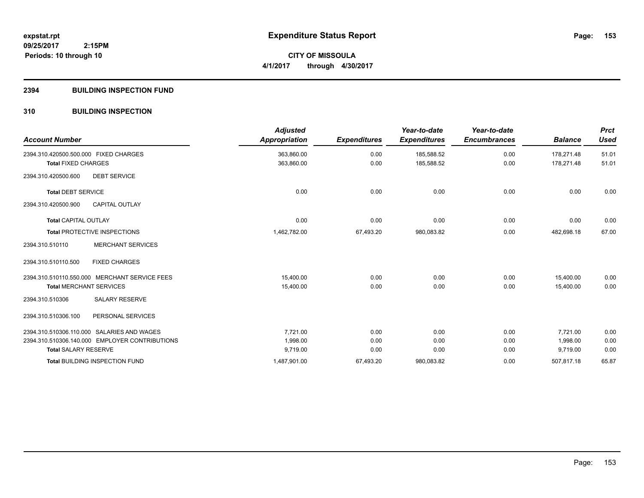**CITY OF MISSOULA 4/1/2017 through 4/30/2017**

### **2394 BUILDING INSPECTION FUND**

### **310 BUILDING INSPECTION**

| <b>Account Number</b>                          | <b>Adjusted</b><br><b>Appropriation</b> | <b>Expenditures</b> | Year-to-date<br><b>Expenditures</b> | Year-to-date<br><b>Encumbrances</b> | <b>Balance</b> | <b>Prct</b><br><b>Used</b> |
|------------------------------------------------|-----------------------------------------|---------------------|-------------------------------------|-------------------------------------|----------------|----------------------------|
| 2394.310.420500.500.000 FIXED CHARGES          | 363,860.00                              | 0.00                | 185,588.52                          | 0.00                                | 178.271.48     | 51.01                      |
| <b>Total FIXED CHARGES</b>                     | 363,860.00                              | 0.00                | 185,588.52                          | 0.00                                | 178.271.48     | 51.01                      |
| <b>DEBT SERVICE</b><br>2394.310.420500.600     |                                         |                     |                                     |                                     |                |                            |
| <b>Total DEBT SERVICE</b>                      | 0.00                                    | 0.00                | 0.00                                | 0.00                                | 0.00           | 0.00                       |
| 2394.310.420500.900<br><b>CAPITAL OUTLAY</b>   |                                         |                     |                                     |                                     |                |                            |
| <b>Total CAPITAL OUTLAY</b>                    | 0.00                                    | 0.00                | 0.00                                | 0.00                                | 0.00           | 0.00                       |
| <b>Total PROTECTIVE INSPECTIONS</b>            | 1,462,782.00                            | 67,493.20           | 980,083.82                          | 0.00                                | 482,698.18     | 67.00                      |
| <b>MERCHANT SERVICES</b><br>2394.310.510110    |                                         |                     |                                     |                                     |                |                            |
| <b>FIXED CHARGES</b><br>2394.310.510110.500    |                                         |                     |                                     |                                     |                |                            |
| 2394.310.510110.550.000 MERCHANT SERVICE FEES  | 15,400.00                               | 0.00                | 0.00                                | 0.00                                | 15,400.00      | 0.00                       |
| <b>Total MERCHANT SERVICES</b>                 | 15,400.00                               | 0.00                | 0.00                                | 0.00                                | 15,400.00      | 0.00                       |
| <b>SALARY RESERVE</b><br>2394.310.510306       |                                         |                     |                                     |                                     |                |                            |
| 2394.310.510306.100<br>PERSONAL SERVICES       |                                         |                     |                                     |                                     |                |                            |
| 2394.310.510306.110.000 SALARIES AND WAGES     | 7,721.00                                | 0.00                | 0.00                                | 0.00                                | 7,721.00       | 0.00                       |
| 2394.310.510306.140.000 EMPLOYER CONTRIBUTIONS | 1,998.00                                | 0.00                | 0.00                                | 0.00                                | 1,998.00       | 0.00                       |
| <b>Total SALARY RESERVE</b>                    | 9,719.00                                | 0.00                | 0.00                                | 0.00                                | 9,719.00       | 0.00                       |
| <b>Total BUILDING INSPECTION FUND</b>          | 1,487,901.00                            | 67,493.20           | 980,083.82                          | 0.00                                | 507,817.18     | 65.87                      |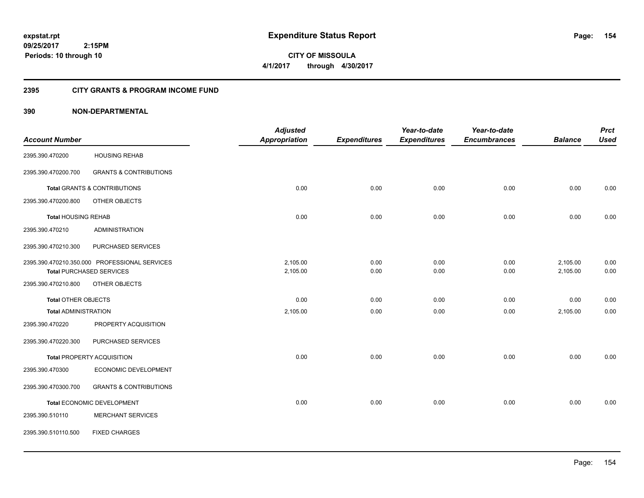**CITY OF MISSOULA 4/1/2017 through 4/30/2017**

### **2395 CITY GRANTS & PROGRAM INCOME FUND**

|                             |                                               | <b>Adjusted</b>      |                     | Year-to-date        | Year-to-date        |                | <b>Prct</b> |
|-----------------------------|-----------------------------------------------|----------------------|---------------------|---------------------|---------------------|----------------|-------------|
| <b>Account Number</b>       |                                               | <b>Appropriation</b> | <b>Expenditures</b> | <b>Expenditures</b> | <b>Encumbrances</b> | <b>Balance</b> | <b>Used</b> |
| 2395.390.470200             | <b>HOUSING REHAB</b>                          |                      |                     |                     |                     |                |             |
| 2395.390.470200.700         | <b>GRANTS &amp; CONTRIBUTIONS</b>             |                      |                     |                     |                     |                |             |
|                             | <b>Total GRANTS &amp; CONTRIBUTIONS</b>       | 0.00                 | 0.00                | 0.00                | 0.00                | 0.00           | 0.00        |
| 2395.390.470200.800         | OTHER OBJECTS                                 |                      |                     |                     |                     |                |             |
| <b>Total HOUSING REHAB</b>  |                                               | 0.00                 | 0.00                | 0.00                | 0.00                | 0.00           | 0.00        |
| 2395.390.470210             | <b>ADMINISTRATION</b>                         |                      |                     |                     |                     |                |             |
| 2395.390.470210.300         | PURCHASED SERVICES                            |                      |                     |                     |                     |                |             |
|                             | 2395.390.470210.350.000 PROFESSIONAL SERVICES | 2,105.00             | 0.00                | 0.00                | 0.00                | 2,105.00       | 0.00        |
|                             | <b>Total PURCHASED SERVICES</b>               | 2,105.00             | 0.00                | 0.00                | 0.00                | 2,105.00       | 0.00        |
| 2395.390.470210.800         | OTHER OBJECTS                                 |                      |                     |                     |                     |                |             |
| <b>Total OTHER OBJECTS</b>  |                                               | 0.00                 | 0.00                | 0.00                | 0.00                | 0.00           | 0.00        |
| <b>Total ADMINISTRATION</b> |                                               | 2,105.00             | 0.00                | 0.00                | 0.00                | 2,105.00       | 0.00        |
| 2395.390.470220             | PROPERTY ACQUISITION                          |                      |                     |                     |                     |                |             |
| 2395.390.470220.300         | PURCHASED SERVICES                            |                      |                     |                     |                     |                |             |
|                             | <b>Total PROPERTY ACQUISITION</b>             | 0.00                 | 0.00                | 0.00                | 0.00                | 0.00           | 0.00        |
| 2395.390.470300             | ECONOMIC DEVELOPMENT                          |                      |                     |                     |                     |                |             |
| 2395.390.470300.700         | <b>GRANTS &amp; CONTRIBUTIONS</b>             |                      |                     |                     |                     |                |             |
|                             | Total ECONOMIC DEVELOPMENT                    | 0.00                 | 0.00                | 0.00                | 0.00                | 0.00           | 0.00        |
| 2395.390.510110             | <b>MERCHANT SERVICES</b>                      |                      |                     |                     |                     |                |             |
| 2395.390.510110.500         | <b>FIXED CHARGES</b>                          |                      |                     |                     |                     |                |             |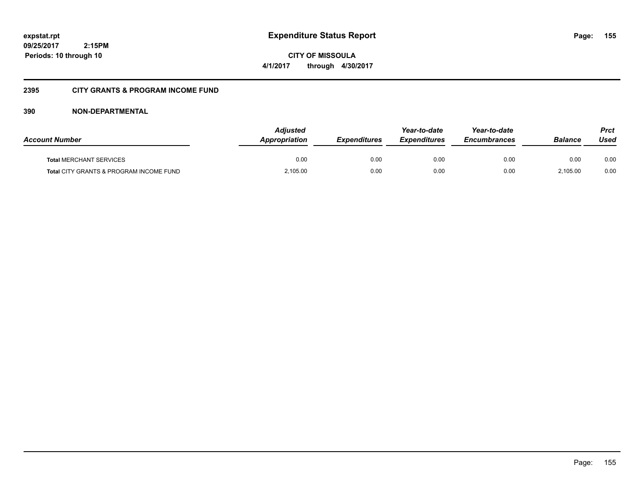**CITY OF MISSOULA 4/1/2017 through 4/30/2017**

### **2395 CITY GRANTS & PROGRAM INCOME FUND**

| <b>Account Number</b>                   | <b>Adjusted</b><br><b>Appropriation</b> | <b>Expenditures</b> | Year-to-date<br><b>Expenditures</b> | Year-to-date<br><b>Encumbrances</b> | <b>Balance</b> | <b>Prct</b><br>Used |
|-----------------------------------------|-----------------------------------------|---------------------|-------------------------------------|-------------------------------------|----------------|---------------------|
| <b>Total MERCHANT SERVICES</b>          | 0.00                                    | 0.00                | 0.00                                | 0.00                                | 0.00           | 0.00                |
| Total CITY GRANTS & PROGRAM INCOME FUND | 2,105.00                                | 0.00                | 0.00                                | 0.00                                | 2.105.00       | 0.00                |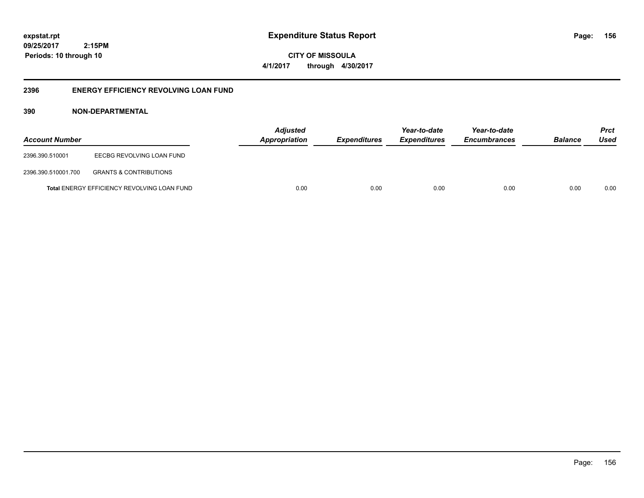**09/25/2017 2:15PM Periods: 10 through 10**

**CITY OF MISSOULA 4/1/2017 through 4/30/2017**

### **2396 ENERGY EFFICIENCY REVOLVING LOAN FUND**

| <b>Account Number</b> |                                             | <b>Adjusted</b><br>Appropriation | <b>Expenditures</b> | Year-to-date<br><b>Expenditures</b> | Year-to-date<br><b>Encumbrances</b> | <b>Balance</b> | <b>Prct</b><br>Used |
|-----------------------|---------------------------------------------|----------------------------------|---------------------|-------------------------------------|-------------------------------------|----------------|---------------------|
| 2396.390.510001       | EECBG REVOLVING LOAN FUND                   |                                  |                     |                                     |                                     |                |                     |
| 2396.390.510001.700   | <b>GRANTS &amp; CONTRIBUTIONS</b>           |                                  |                     |                                     |                                     |                |                     |
|                       | Total ENERGY EFFICIENCY REVOLVING LOAN FUND | 0.00                             | 0.00                | 0.00                                | 0.00                                | 0.00           | 0.00                |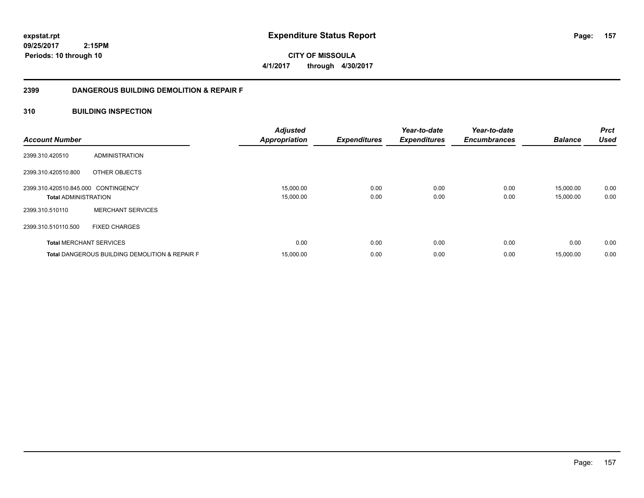**09/25/2017 2:15PM Periods: 10 through 10**

**CITY OF MISSOULA 4/1/2017 through 4/30/2017**

### **2399 DANGEROUS BUILDING DEMOLITION & REPAIR F**

### **310 BUILDING INSPECTION**

| <b>Account Number</b>                                              |                                                           | <b>Adjusted</b><br><b>Appropriation</b> | <b>Expenditures</b> | Year-to-date<br><b>Expenditures</b> | Year-to-date<br><b>Encumbrances</b> | <b>Balance</b>         | <b>Prct</b><br><b>Used</b> |
|--------------------------------------------------------------------|-----------------------------------------------------------|-----------------------------------------|---------------------|-------------------------------------|-------------------------------------|------------------------|----------------------------|
| 2399.310.420510                                                    | ADMINISTRATION                                            |                                         |                     |                                     |                                     |                        |                            |
| 2399.310.420510.800                                                | OTHER OBJECTS                                             |                                         |                     |                                     |                                     |                        |                            |
| 2399.310.420510.845.000 CONTINGENCY<br><b>Total ADMINISTRATION</b> |                                                           | 15,000.00<br>15,000.00                  | 0.00<br>0.00        | 0.00<br>0.00                        | 0.00<br>0.00                        | 15,000.00<br>15,000.00 | 0.00<br>0.00               |
| 2399.310.510110                                                    | <b>MERCHANT SERVICES</b>                                  |                                         |                     |                                     |                                     |                        |                            |
| 2399.310.510110.500                                                | <b>FIXED CHARGES</b>                                      |                                         |                     |                                     |                                     |                        |                            |
| <b>Total MERCHANT SERVICES</b>                                     |                                                           | 0.00                                    | 0.00                | 0.00                                | 0.00                                | 0.00                   | 0.00                       |
|                                                                    | <b>Total DANGEROUS BUILDING DEMOLITION &amp; REPAIR F</b> | 15,000.00                               | 0.00                | 0.00                                | 0.00                                | 15,000.00              | 0.00                       |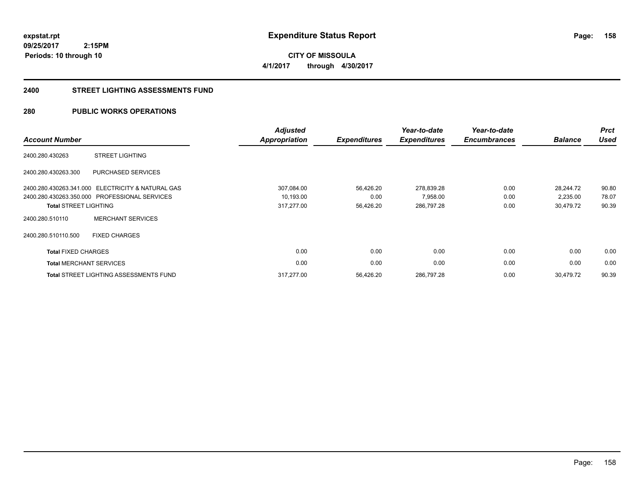**09/25/2017 2:15PM Periods: 10 through 10**

**CITY OF MISSOULA 4/1/2017 through 4/30/2017**

#### **2400 STREET LIGHTING ASSESSMENTS FUND**

### **280 PUBLIC WORKS OPERATIONS**

| <b>Account Number</b>          |                                               | <b>Adjusted</b><br><b>Appropriation</b> | <b>Expenditures</b> | Year-to-date<br><b>Expenditures</b> | Year-to-date<br><b>Encumbrances</b> | <b>Balance</b> | <b>Prct</b><br><b>Used</b> |
|--------------------------------|-----------------------------------------------|-----------------------------------------|---------------------|-------------------------------------|-------------------------------------|----------------|----------------------------|
| 2400.280.430263                | <b>STREET LIGHTING</b>                        |                                         |                     |                                     |                                     |                |                            |
| 2400.280.430263.300            | PURCHASED SERVICES                            |                                         |                     |                                     |                                     |                |                            |
| 2400.280.430263.341.000        | <b>ELECTRICITY &amp; NATURAL GAS</b>          | 307,084.00                              | 56,426.20           | 278,839.28                          | 0.00                                | 28,244.72      | 90.80                      |
|                                | 2400.280.430263.350.000 PROFESSIONAL SERVICES | 10,193.00                               | 0.00                | 7,958.00                            | 0.00                                | 2,235.00       | 78.07                      |
| <b>Total STREET LIGHTING</b>   |                                               | 317,277.00                              | 56,426.20           | 286,797.28                          | 0.00                                | 30,479.72      | 90.39                      |
| 2400.280.510110                | <b>MERCHANT SERVICES</b>                      |                                         |                     |                                     |                                     |                |                            |
| 2400.280.510110.500            | <b>FIXED CHARGES</b>                          |                                         |                     |                                     |                                     |                |                            |
| <b>Total FIXED CHARGES</b>     |                                               | 0.00                                    | 0.00                | 0.00                                | 0.00                                | 0.00           | 0.00                       |
| <b>Total MERCHANT SERVICES</b> |                                               | 0.00                                    | 0.00                | 0.00                                | 0.00                                | 0.00           | 0.00                       |
|                                | <b>Total STREET LIGHTING ASSESSMENTS FUND</b> | 317.277.00                              | 56,426.20           | 286,797.28                          | 0.00                                | 30,479.72      | 90.39                      |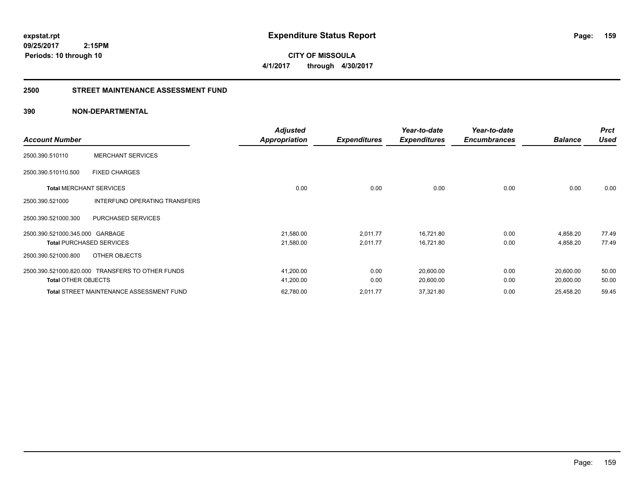**CITY OF MISSOULA 4/1/2017 through 4/30/2017**

#### **2500 STREET MAINTENANCE ASSESSMENT FUND**

| <b>Account Number</b>           |                                                  | <b>Adjusted</b><br><b>Appropriation</b> | <b>Expenditures</b> | Year-to-date<br><b>Expenditures</b> | Year-to-date<br><b>Encumbrances</b> | <b>Balance</b> | <b>Prct</b><br>Used |
|---------------------------------|--------------------------------------------------|-----------------------------------------|---------------------|-------------------------------------|-------------------------------------|----------------|---------------------|
| 2500.390.510110                 | <b>MERCHANT SERVICES</b>                         |                                         |                     |                                     |                                     |                |                     |
| 2500.390.510110.500             | <b>FIXED CHARGES</b>                             |                                         |                     |                                     |                                     |                |                     |
| <b>Total MERCHANT SERVICES</b>  |                                                  | 0.00                                    | 0.00                | 0.00                                | 0.00                                | 0.00           | 0.00                |
| 2500.390.521000                 | INTERFUND OPERATING TRANSFERS                    |                                         |                     |                                     |                                     |                |                     |
| 2500.390.521000.300             | PURCHASED SERVICES                               |                                         |                     |                                     |                                     |                |                     |
| 2500.390.521000.345.000 GARBAGE |                                                  | 21,580.00                               | 2,011.77            | 16,721.80                           | 0.00                                | 4,858.20       | 77.49               |
|                                 | <b>Total PURCHASED SERVICES</b>                  | 21,580.00                               | 2,011.77            | 16,721.80                           | 0.00                                | 4,858.20       | 77.49               |
| 2500.390.521000.800             | OTHER OBJECTS                                    |                                         |                     |                                     |                                     |                |                     |
|                                 | 2500.390.521000.820.000 TRANSFERS TO OTHER FUNDS | 41,200.00                               | 0.00                | 20,600.00                           | 0.00                                | 20,600.00      | 50.00               |
| <b>Total OTHER OBJECTS</b>      |                                                  | 41,200.00                               | 0.00                | 20,600.00                           | 0.00                                | 20,600.00      | 50.00               |
|                                 | <b>Total STREET MAINTENANCE ASSESSMENT FUND</b>  | 62,780.00                               | 2,011.77            | 37,321.80                           | 0.00                                | 25,458.20      | 59.45               |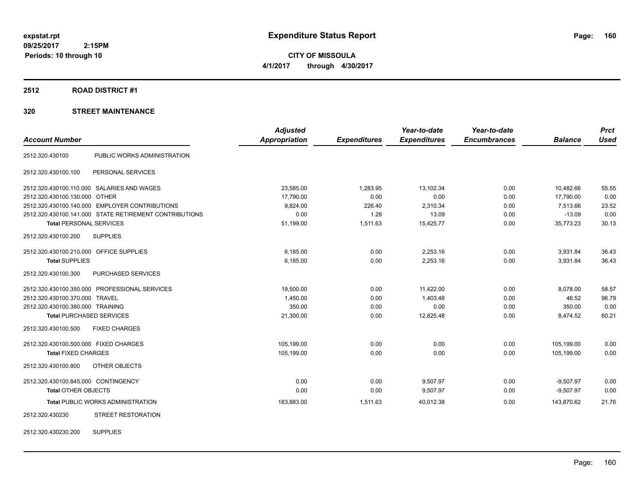**CITY OF MISSOULA 4/1/2017 through 4/30/2017**

#### **2512 ROAD DISTRICT #1**

### **320 STREET MAINTENANCE**

|                                         |                                                        | <b>Adjusted</b>      |                     | Year-to-date        | Year-to-date        |                | <b>Prct</b> |
|-----------------------------------------|--------------------------------------------------------|----------------------|---------------------|---------------------|---------------------|----------------|-------------|
| <b>Account Number</b>                   |                                                        | <b>Appropriation</b> | <b>Expenditures</b> | <b>Expenditures</b> | <b>Encumbrances</b> | <b>Balance</b> | <b>Used</b> |
| 2512.320.430100                         | PUBLIC WORKS ADMINISTRATION                            |                      |                     |                     |                     |                |             |
| 2512.320.430100.100                     | PERSONAL SERVICES                                      |                      |                     |                     |                     |                |             |
|                                         | 2512.320.430100.110.000 SALARIES AND WAGES             | 23,585.00            | 1,283.95            | 13,102.34           | 0.00                | 10,482.66      | 55.55       |
| 2512.320.430100.130.000 OTHER           |                                                        | 17,790.00            | 0.00                | 0.00                | 0.00                | 17,790.00      | 0.00        |
|                                         | 2512.320.430100.140.000 EMPLOYER CONTRIBUTIONS         | 9,824.00             | 226.40              | 2,310.34            | 0.00                | 7,513.66       | 23.52       |
|                                         | 2512.320.430100.141.000 STATE RETIREMENT CONTRIBUTIONS | 0.00                 | 1.28                | 13.09               | 0.00                | $-13.09$       | 0.00        |
| <b>Total PERSONAL SERVICES</b>          |                                                        | 51,199.00            | 1,511.63            | 15,425.77           | 0.00                | 35,773.23      | 30.13       |
| 2512.320.430100.200                     | <b>SUPPLIES</b>                                        |                      |                     |                     |                     |                |             |
| 2512.320.430100.210.000 OFFICE SUPPLIES |                                                        | 6,185.00             | 0.00                | 2,253.16            | 0.00                | 3,931.84       | 36.43       |
| <b>Total SUPPLIES</b>                   |                                                        | 6.185.00             | 0.00                | 2,253.16            | 0.00                | 3,931.84       | 36.43       |
| 2512.320.430100.300                     | PURCHASED SERVICES                                     |                      |                     |                     |                     |                |             |
|                                         | 2512.320.430100.350.000 PROFESSIONAL SERVICES          | 19,500.00            | 0.00                | 11,422.00           | 0.00                | 8,078.00       | 58.57       |
| 2512.320.430100.370.000 TRAVEL          |                                                        | 1,450.00             | 0.00                | 1,403.48            | 0.00                | 46.52          | 96.79       |
| 2512.320.430100.380.000 TRAINING        |                                                        | 350.00               | 0.00                | 0.00                | 0.00                | 350.00         | 0.00        |
|                                         | <b>Total PURCHASED SERVICES</b>                        | 21,300.00            | 0.00                | 12,825.48           | 0.00                | 8,474.52       | 60.21       |
| 2512.320.430100.500                     | <b>FIXED CHARGES</b>                                   |                      |                     |                     |                     |                |             |
| 2512.320.430100.500.000 FIXED CHARGES   |                                                        | 105,199.00           | 0.00                | 0.00                | 0.00                | 105,199.00     | 0.00        |
| <b>Total FIXED CHARGES</b>              |                                                        | 105,199.00           | 0.00                | 0.00                | 0.00                | 105,199.00     | 0.00        |
| 2512.320.430100.800                     | <b>OTHER OBJECTS</b>                                   |                      |                     |                     |                     |                |             |
| 2512.320.430100.845.000 CONTINGENCY     |                                                        | 0.00                 | 0.00                | 9,507.97            | 0.00                | $-9,507.97$    | 0.00        |
| <b>Total OTHER OBJECTS</b>              |                                                        | 0.00                 | 0.00                | 9,507.97            | 0.00                | $-9,507.97$    | 0.00        |
|                                         | <b>Total PUBLIC WORKS ADMINISTRATION</b>               | 183,883.00           | 1,511.63            | 40,012.38           | 0.00                | 143,870.62     | 21.76       |
| 2512.320.430230                         | <b>STREET RESTORATION</b>                              |                      |                     |                     |                     |                |             |
|                                         |                                                        |                      |                     |                     |                     |                |             |

2512.320.430230.200 SUPPLIES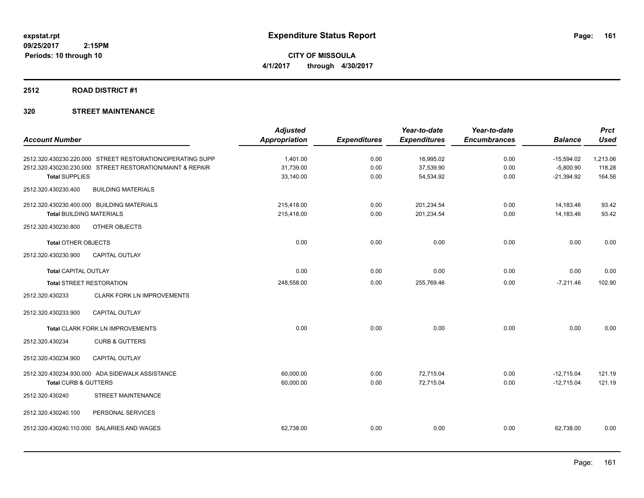**CITY OF MISSOULA 4/1/2017 through 4/30/2017**

#### **2512 ROAD DISTRICT #1**

|                                                           | <b>Adjusted</b>      |                     | Year-to-date        | Year-to-date        |                | <b>Prct</b> |
|-----------------------------------------------------------|----------------------|---------------------|---------------------|---------------------|----------------|-------------|
| <b>Account Number</b>                                     | <b>Appropriation</b> | <b>Expenditures</b> | <b>Expenditures</b> | <b>Encumbrances</b> | <b>Balance</b> | <b>Used</b> |
| 2512.320.430230.220.000 STREET RESTORATION/OPERATING SUPP | 1.401.00             | 0.00                | 16,995.02           | 0.00                | $-15,594.02$   | 1,213.06    |
| 2512.320.430230.230.000 STREET RESTORATION/MAINT & REPAIR | 31,739.00            | 0.00                | 37,539.90           | 0.00                | $-5,800.90$    | 118.28      |
| <b>Total SUPPLIES</b>                                     | 33,140.00            | 0.00                | 54,534.92           | 0.00                | $-21,394.92$   | 164.56      |
| 2512.320.430230.400<br><b>BUILDING MATERIALS</b>          |                      |                     |                     |                     |                |             |
| 2512.320.430230.400.000 BUILDING MATERIALS                | 215,418.00           | 0.00                | 201,234.54          | 0.00                | 14,183.46      | 93.42       |
| <b>Total BUILDING MATERIALS</b>                           | 215,418.00           | 0.00                | 201,234.54          | 0.00                | 14,183.46      | 93.42       |
| 2512.320.430230.800<br>OTHER OBJECTS                      |                      |                     |                     |                     |                |             |
| <b>Total OTHER OBJECTS</b>                                | 0.00                 | 0.00                | 0.00                | 0.00                | 0.00           | 0.00        |
| 2512.320.430230.900<br><b>CAPITAL OUTLAY</b>              |                      |                     |                     |                     |                |             |
| <b>Total CAPITAL OUTLAY</b>                               | 0.00                 | 0.00                | 0.00                | 0.00                | 0.00           | 0.00        |
| <b>Total STREET RESTORATION</b>                           | 248,558.00           | 0.00                | 255,769.46          | 0.00                | $-7,211.46$    | 102.90      |
| 2512.320.430233<br><b>CLARK FORK LN IMPROVEMENTS</b>      |                      |                     |                     |                     |                |             |
| CAPITAL OUTLAY<br>2512.320.430233.900                     |                      |                     |                     |                     |                |             |
| Total CLARK FORK LN IMPROVEMENTS                          | 0.00                 | 0.00                | 0.00                | 0.00                | 0.00           | 0.00        |
| <b>CURB &amp; GUTTERS</b><br>2512.320.430234              |                      |                     |                     |                     |                |             |
| <b>CAPITAL OUTLAY</b><br>2512.320.430234.900              |                      |                     |                     |                     |                |             |
| 2512.320.430234.930.000 ADA SIDEWALK ASSISTANCE           | 60,000.00            | 0.00                | 72,715.04           | 0.00                | $-12,715.04$   | 121.19      |
| Total CURB & GUTTERS                                      | 60,000.00            | 0.00                | 72,715.04           | 0.00                | $-12,715.04$   | 121.19      |
| <b>STREET MAINTENANCE</b><br>2512.320.430240              |                      |                     |                     |                     |                |             |
| 2512.320.430240.100<br>PERSONAL SERVICES                  |                      |                     |                     |                     |                |             |
| SALARIES AND WAGES<br>2512.320.430240.110.000             | 62,738.00            | 0.00                | 0.00                | 0.00                | 62,738.00      | 0.00        |
|                                                           |                      |                     |                     |                     |                |             |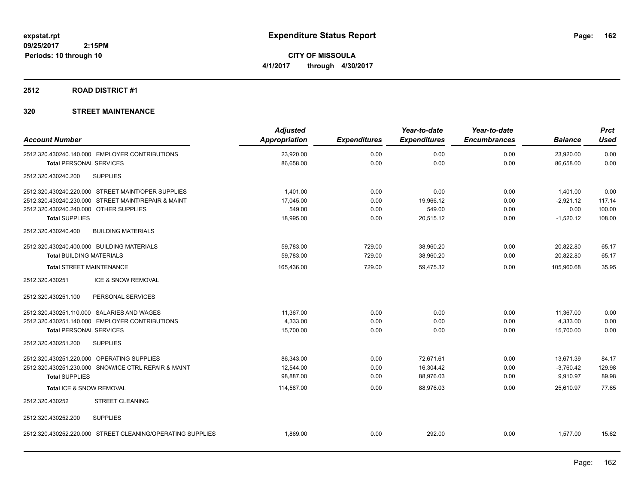**CITY OF MISSOULA 4/1/2017 through 4/30/2017**

#### **2512 ROAD DISTRICT #1**

| <b>Account Number</b>                                      | <b>Adjusted</b><br>Appropriation | <b>Expenditures</b> | Year-to-date<br><b>Expenditures</b> | Year-to-date<br><b>Encumbrances</b> | <b>Balance</b> | <b>Prct</b><br><b>Used</b> |
|------------------------------------------------------------|----------------------------------|---------------------|-------------------------------------|-------------------------------------|----------------|----------------------------|
| 2512.320.430240.140.000 EMPLOYER CONTRIBUTIONS             | 23,920.00                        | 0.00                | 0.00                                | 0.00                                | 23,920.00      | 0.00                       |
| <b>Total PERSONAL SERVICES</b>                             | 86,658.00                        | 0.00                | 0.00                                | 0.00                                | 86,658.00      | 0.00                       |
| <b>SUPPLIES</b><br>2512.320.430240.200                     |                                  |                     |                                     |                                     |                |                            |
| 2512.320.430240.220.000 STREET MAINT/OPER SUPPLIES         | 1,401.00                         | 0.00                | 0.00                                | 0.00                                | 1,401.00       | 0.00                       |
| 2512.320.430240.230.000 STREET MAINT/REPAIR & MAINT        | 17,045.00                        | 0.00                | 19,966.12                           | 0.00                                | $-2,921.12$    | 117.14                     |
| 2512.320.430240.240.000 OTHER SUPPLIES                     | 549.00                           | 0.00                | 549.00                              | 0.00                                | 0.00           | 100.00                     |
| <b>Total SUPPLIES</b>                                      | 18,995.00                        | 0.00                | 20,515.12                           | 0.00                                | $-1,520.12$    | 108.00                     |
| 2512.320.430240.400<br><b>BUILDING MATERIALS</b>           |                                  |                     |                                     |                                     |                |                            |
| 2512.320.430240.400.000 BUILDING MATERIALS                 | 59,783.00                        | 729.00              | 38,960.20                           | 0.00                                | 20,822.80      | 65.17                      |
| <b>Total BUILDING MATERIALS</b>                            | 59,783.00                        | 729.00              | 38,960.20                           | 0.00                                | 20,822.80      | 65.17                      |
| <b>Total STREET MAINTENANCE</b>                            | 165,436.00                       | 729.00              | 59,475.32                           | 0.00                                | 105,960.68     | 35.95                      |
| ICE & SNOW REMOVAL<br>2512.320.430251                      |                                  |                     |                                     |                                     |                |                            |
| 2512.320.430251.100<br>PERSONAL SERVICES                   |                                  |                     |                                     |                                     |                |                            |
| 2512.320.430251.110.000 SALARIES AND WAGES                 | 11,367.00                        | 0.00                | 0.00                                | 0.00                                | 11,367.00      | 0.00                       |
| 2512.320.430251.140.000 EMPLOYER CONTRIBUTIONS             | 4,333.00                         | 0.00                | 0.00                                | 0.00                                | 4,333.00       | 0.00                       |
| <b>Total PERSONAL SERVICES</b>                             | 15,700.00                        | 0.00                | 0.00                                | 0.00                                | 15,700.00      | 0.00                       |
| 2512.320.430251.200<br><b>SUPPLIES</b>                     |                                  |                     |                                     |                                     |                |                            |
| 2512.320.430251.220.000 OPERATING SUPPLIES                 | 86,343.00                        | 0.00                | 72,671.61                           | 0.00                                | 13,671.39      | 84.17                      |
| 2512.320.430251.230.000 SNOW/ICE CTRL REPAIR & MAINT       | 12,544.00                        | 0.00                | 16,304.42                           | 0.00                                | $-3,760.42$    | 129.98                     |
| <b>Total SUPPLIES</b>                                      | 98.887.00                        | 0.00                | 88,976.03                           | 0.00                                | 9,910.97       | 89.98                      |
| Total ICE & SNOW REMOVAL                                   | 114,587.00                       | 0.00                | 88,976.03                           | 0.00                                | 25,610.97      | 77.65                      |
| 2512.320.430252<br><b>STREET CLEANING</b>                  |                                  |                     |                                     |                                     |                |                            |
| 2512.320.430252.200<br><b>SUPPLIES</b>                     |                                  |                     |                                     |                                     |                |                            |
| 2512.320.430252.220.000 STREET CLEANING/OPERATING SUPPLIES | 1,869.00                         | 0.00                | 292.00                              | 0.00                                | 1,577.00       | 15.62                      |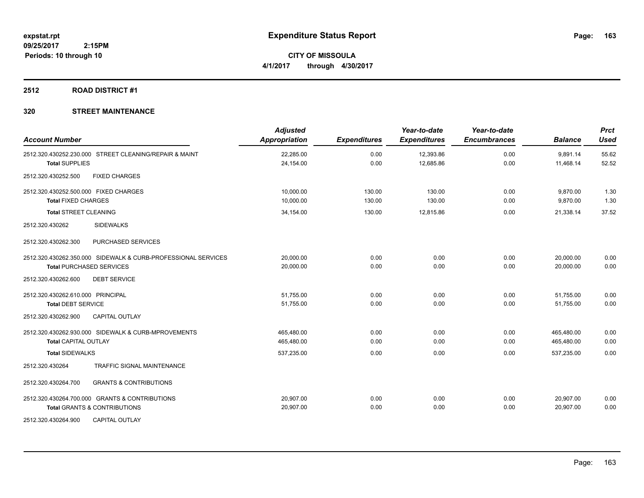**CITY OF MISSOULA 4/1/2017 through 4/30/2017**

### **2512 ROAD DISTRICT #1**

| <b>Account Number</b>                                         | <b>Adjusted</b><br><b>Appropriation</b> | <b>Expenditures</b> | Year-to-date<br><b>Expenditures</b> | Year-to-date<br><b>Encumbrances</b> | <b>Balance</b> | <b>Prct</b><br><b>Used</b> |
|---------------------------------------------------------------|-----------------------------------------|---------------------|-------------------------------------|-------------------------------------|----------------|----------------------------|
| 2512.320.430252.230.000 STREET CLEANING/REPAIR & MAINT        | 22,285.00                               | 0.00                | 12,393.86                           | 0.00                                | 9,891.14       | 55.62                      |
| <b>Total SUPPLIES</b>                                         | 24,154.00                               | 0.00                | 12,685.86                           | 0.00                                | 11,468.14      | 52.52                      |
| <b>FIXED CHARGES</b><br>2512.320.430252.500                   |                                         |                     |                                     |                                     |                |                            |
| 2512.320.430252.500.000 FIXED CHARGES                         | 10,000.00                               | 130.00              | 130.00                              | 0.00                                | 9,870.00       | 1.30                       |
| <b>Total FIXED CHARGES</b>                                    | 10,000.00                               | 130.00              | 130.00                              | 0.00                                | 9,870.00       | 1.30                       |
| <b>Total STREET CLEANING</b>                                  | 34,154.00                               | 130.00              | 12.815.86                           | 0.00                                | 21,338.14      | 37.52                      |
| 2512.320.430262<br><b>SIDEWALKS</b>                           |                                         |                     |                                     |                                     |                |                            |
| PURCHASED SERVICES<br>2512.320.430262.300                     |                                         |                     |                                     |                                     |                |                            |
| 2512.320.430262.350.000 SIDEWALK & CURB-PROFESSIONAL SERVICES | 20,000.00                               | 0.00                | 0.00                                | 0.00                                | 20,000.00      | 0.00                       |
| <b>Total PURCHASED SERVICES</b>                               | 20,000.00                               | 0.00                | 0.00                                | 0.00                                | 20,000.00      | 0.00                       |
| <b>DEBT SERVICE</b><br>2512.320.430262.600                    |                                         |                     |                                     |                                     |                |                            |
| 2512.320.430262.610.000 PRINCIPAL                             | 51,755.00                               | 0.00                | 0.00                                | 0.00                                | 51,755.00      | 0.00                       |
| <b>Total DEBT SERVICE</b>                                     | 51,755.00                               | 0.00                | 0.00                                | 0.00                                | 51,755.00      | 0.00                       |
| <b>CAPITAL OUTLAY</b><br>2512.320.430262.900                  |                                         |                     |                                     |                                     |                |                            |
| 2512.320.430262.930.000 SIDEWALK & CURB-MPROVEMENTS           | 465,480.00                              | 0.00                | 0.00                                | 0.00                                | 465,480.00     | 0.00                       |
| <b>Total CAPITAL OUTLAY</b>                                   | 465,480.00                              | 0.00                | 0.00                                | 0.00                                | 465,480.00     | 0.00                       |
| <b>Total SIDEWALKS</b>                                        | 537,235.00                              | 0.00                | 0.00                                | 0.00                                | 537,235.00     | 0.00                       |
| 2512.320.430264<br><b>TRAFFIC SIGNAL MAINTENANCE</b>          |                                         |                     |                                     |                                     |                |                            |
| <b>GRANTS &amp; CONTRIBUTIONS</b><br>2512.320.430264.700      |                                         |                     |                                     |                                     |                |                            |
| 2512.320.430264.700.000 GRANTS & CONTRIBUTIONS                | 20,907.00                               | 0.00                | 0.00                                | 0.00                                | 20,907.00      | 0.00                       |
| <b>Total GRANTS &amp; CONTRIBUTIONS</b>                       | 20,907.00                               | 0.00                | 0.00                                | 0.00                                | 20,907.00      | 0.00                       |
| 2512.320.430264.900<br><b>CAPITAL OUTLAY</b>                  |                                         |                     |                                     |                                     |                |                            |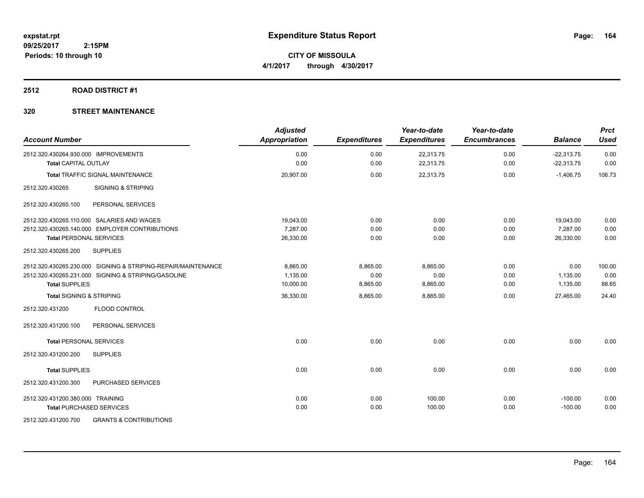**CITY OF MISSOULA 4/1/2017 through 4/30/2017**

### **2512 ROAD DISTRICT #1**

| <b>Account Number</b>                                         | <b>Adjusted</b><br>Appropriation | <b>Expenditures</b> | Year-to-date<br><b>Expenditures</b> | Year-to-date<br><b>Encumbrances</b> | <b>Balance</b> | <b>Prct</b><br><b>Used</b> |
|---------------------------------------------------------------|----------------------------------|---------------------|-------------------------------------|-------------------------------------|----------------|----------------------------|
| 2512.320.430264.930.000 IMPROVEMENTS                          | 0.00                             | 0.00                | 22,313.75                           | 0.00                                | $-22,313.75$   | 0.00                       |
| <b>Total CAPITAL OUTLAY</b>                                   | 0.00                             | 0.00                | 22,313.75                           | 0.00                                | $-22,313.75$   | 0.00                       |
| <b>Total TRAFFIC SIGNAL MAINTENANCE</b>                       | 20,907.00                        | 0.00                | 22,313.75                           | 0.00                                | $-1,406.75$    | 106.73                     |
| <b>SIGNING &amp; STRIPING</b><br>2512.320.430265              |                                  |                     |                                     |                                     |                |                            |
| PERSONAL SERVICES<br>2512.320.430265.100                      |                                  |                     |                                     |                                     |                |                            |
| 2512.320.430265.110.000 SALARIES AND WAGES                    | 19,043.00                        | 0.00                | 0.00                                | 0.00                                | 19,043.00      | 0.00                       |
| 2512.320.430265.140.000 EMPLOYER CONTRIBUTIONS                | 7.287.00                         | 0.00                | 0.00                                | 0.00                                | 7.287.00       | 0.00                       |
| <b>Total PERSONAL SERVICES</b>                                | 26,330.00                        | 0.00                | 0.00                                | 0.00                                | 26,330.00      | 0.00                       |
| <b>SUPPLIES</b><br>2512.320.430265.200                        |                                  |                     |                                     |                                     |                |                            |
| 2512.320.430265.230.000 SIGNING & STRIPING-REPAIR/MAINTENANCE | 8,865.00                         | 8,865.00            | 8.865.00                            | 0.00                                | 0.00           | 100.00                     |
| 2512.320.430265.231.000 SIGNING & STRIPING/GASOLINE           | 1.135.00                         | 0.00                | 0.00                                | 0.00                                | 1.135.00       | 0.00                       |
| <b>Total SUPPLIES</b>                                         | 10,000.00                        | 8,865.00            | 8,865.00                            | 0.00                                | 1,135.00       | 88.65                      |
| <b>Total SIGNING &amp; STRIPING</b>                           | 36,330.00                        | 8,865.00            | 8,865.00                            | 0.00                                | 27,465.00      | 24.40                      |
| FLOOD CONTROL<br>2512.320.431200                              |                                  |                     |                                     |                                     |                |                            |
| 2512.320.431200.100<br>PERSONAL SERVICES                      |                                  |                     |                                     |                                     |                |                            |
| <b>Total PERSONAL SERVICES</b>                                | 0.00                             | 0.00                | 0.00                                | 0.00                                | 0.00           | 0.00                       |
| 2512.320.431200.200<br><b>SUPPLIES</b>                        |                                  |                     |                                     |                                     |                |                            |
| <b>Total SUPPLIES</b>                                         | 0.00                             | 0.00                | 0.00                                | 0.00                                | 0.00           | 0.00                       |
| PURCHASED SERVICES<br>2512.320.431200.300                     |                                  |                     |                                     |                                     |                |                            |
| 2512.320.431200.380.000 TRAINING                              | 0.00                             | 0.00                | 100.00                              | 0.00                                | $-100.00$      | 0.00                       |
| <b>Total PURCHASED SERVICES</b>                               | 0.00                             | 0.00                | 100.00                              | 0.00                                | $-100.00$      | 0.00                       |
| 2512.320.431200.700<br><b>GRANTS &amp; CONTRIBUTIONS</b>      |                                  |                     |                                     |                                     |                |                            |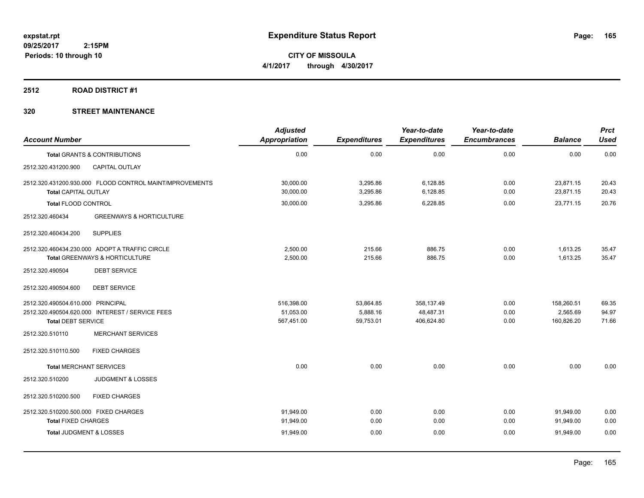**CITY OF MISSOULA 4/1/2017 through 4/30/2017**

#### **2512 ROAD DISTRICT #1**

| <b>Account Number</b>                                               |                                                                                  | <b>Adjusted</b><br>Appropriation      | <b>Expenditures</b>                | Year-to-date<br><b>Expenditures</b>   | Year-to-date<br><b>Encumbrances</b> | <b>Balance</b>                       | <b>Prct</b><br><b>Used</b> |
|---------------------------------------------------------------------|----------------------------------------------------------------------------------|---------------------------------------|------------------------------------|---------------------------------------|-------------------------------------|--------------------------------------|----------------------------|
|                                                                     | <b>Total GRANTS &amp; CONTRIBUTIONS</b>                                          | 0.00                                  | 0.00                               | 0.00                                  | 0.00                                | 0.00                                 | 0.00                       |
| 2512.320.431200.900                                                 | <b>CAPITAL OUTLAY</b>                                                            |                                       |                                    |                                       |                                     |                                      |                            |
| <b>Total CAPITAL OUTLAY</b>                                         | 2512.320.431200.930.000 FLOOD CONTROL MAINT/MPROVEMENTS                          | 30,000.00<br>30,000.00                | 3,295.86<br>3,295.86               | 6,128.85<br>6,128.85                  | 0.00<br>0.00                        | 23,871.15<br>23,871.15               | 20.43<br>20.43             |
| <b>Total FLOOD CONTROL</b>                                          |                                                                                  | 30,000.00                             | 3,295.86                           | 6,228.85                              | 0.00                                | 23,771.15                            | 20.76                      |
| 2512.320.460434                                                     | <b>GREENWAYS &amp; HORTICULTURE</b>                                              |                                       |                                    |                                       |                                     |                                      |                            |
| 2512.320.460434.200                                                 | <b>SUPPLIES</b>                                                                  |                                       |                                    |                                       |                                     |                                      |                            |
|                                                                     | 2512.320.460434.230.000 ADOPT A TRAFFIC CIRCLE<br>Total GREENWAYS & HORTICULTURE | 2,500.00<br>2,500.00                  | 215.66<br>215.66                   | 886.75<br>886.75                      | 0.00<br>0.00                        | 1,613.25<br>1,613.25                 | 35.47<br>35.47             |
| 2512.320.490504                                                     | <b>DEBT SERVICE</b>                                                              |                                       |                                    |                                       |                                     |                                      |                            |
| 2512.320.490504.600                                                 | <b>DEBT SERVICE</b>                                                              |                                       |                                    |                                       |                                     |                                      |                            |
| 2512.320.490504.610.000 PRINCIPAL<br><b>Total DEBT SERVICE</b>      | 2512.320.490504.620.000 INTEREST / SERVICE FEES                                  | 516,398.00<br>51,053.00<br>567,451.00 | 53,864.85<br>5,888.16<br>59,753.01 | 358,137.49<br>48,487.31<br>406,624.80 | 0.00<br>0.00<br>0.00                | 158,260.51<br>2,565.69<br>160,826.20 | 69.35<br>94.97<br>71.66    |
| 2512.320.510110                                                     | <b>MERCHANT SERVICES</b>                                                         |                                       |                                    |                                       |                                     |                                      |                            |
| 2512.320.510110.500                                                 | <b>FIXED CHARGES</b>                                                             |                                       |                                    |                                       |                                     |                                      |                            |
| <b>Total MERCHANT SERVICES</b>                                      |                                                                                  | 0.00                                  | 0.00                               | 0.00                                  | 0.00                                | 0.00                                 | 0.00                       |
| 2512.320.510200                                                     | <b>JUDGMENT &amp; LOSSES</b>                                                     |                                       |                                    |                                       |                                     |                                      |                            |
| 2512.320.510200.500                                                 | <b>FIXED CHARGES</b>                                                             |                                       |                                    |                                       |                                     |                                      |                            |
| 2512.320.510200.500.000 FIXED CHARGES<br><b>Total FIXED CHARGES</b> |                                                                                  | 91,949.00<br>91,949.00                | 0.00<br>0.00                       | 0.00<br>0.00                          | 0.00<br>0.00                        | 91,949.00<br>91,949.00               | 0.00<br>0.00               |
| Total JUDGMENT & LOSSES                                             |                                                                                  | 91,949.00                             | 0.00                               | 0.00                                  | 0.00                                | 91,949.00                            | 0.00                       |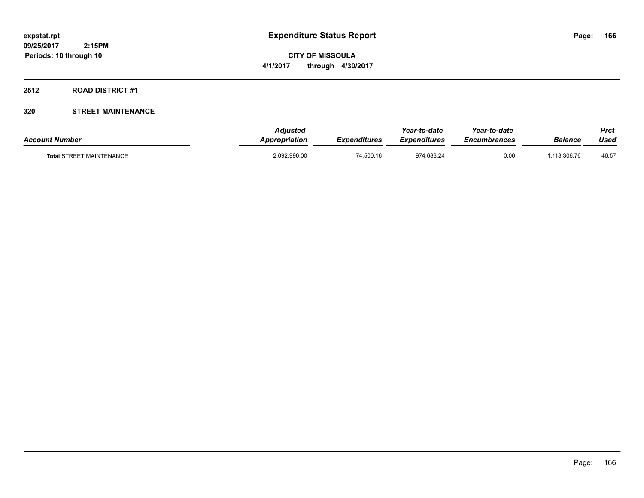**CITY OF MISSOULA 4/1/2017 through 4/30/2017**

#### **2512 ROAD DISTRICT #1**

| <b>Account Number</b>           | <b>Adjusted</b><br>Appropriation | <b>Expenditures</b> | Year-to-date<br><b>Expenditures</b> | Year-to-date<br><i><b>Encumbrances</b></i> | Balance     | <b>Prct</b><br>Used |
|---------------------------------|----------------------------------|---------------------|-------------------------------------|--------------------------------------------|-------------|---------------------|
| <b>Total STREET MAINTENANCE</b> | 2,092,990.00                     | 74,500.16           | 974,683.24                          | 0.00                                       | ,118,306.76 | 46.57               |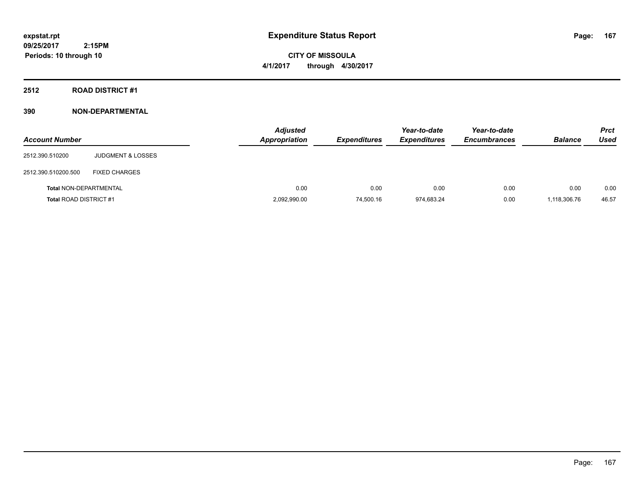**CITY OF MISSOULA 4/1/2017 through 4/30/2017**

**2512 ROAD DISTRICT #1**

| <b>Account Number</b>         |                              | <b>Adjusted</b><br>Appropriation | <b>Expenditures</b> | Year-to-date<br><b>Expenditures</b> | Year-to-date<br><b>Encumbrances</b> | <b>Balance</b> | <b>Prct</b><br><b>Used</b> |
|-------------------------------|------------------------------|----------------------------------|---------------------|-------------------------------------|-------------------------------------|----------------|----------------------------|
| 2512.390.510200               | <b>JUDGMENT &amp; LOSSES</b> |                                  |                     |                                     |                                     |                |                            |
| 2512.390.510200.500           | <b>FIXED CHARGES</b>         |                                  |                     |                                     |                                     |                |                            |
| Total NON-DEPARTMENTAL        |                              | 0.00                             | 0.00                | 0.00                                | 0.00                                | 0.00           | 0.00                       |
| <b>Total ROAD DISTRICT #1</b> |                              | 2,092,990.00                     | 74,500.16           | 974,683.24                          | 0.00                                | 1,118,306.76   | 46.57                      |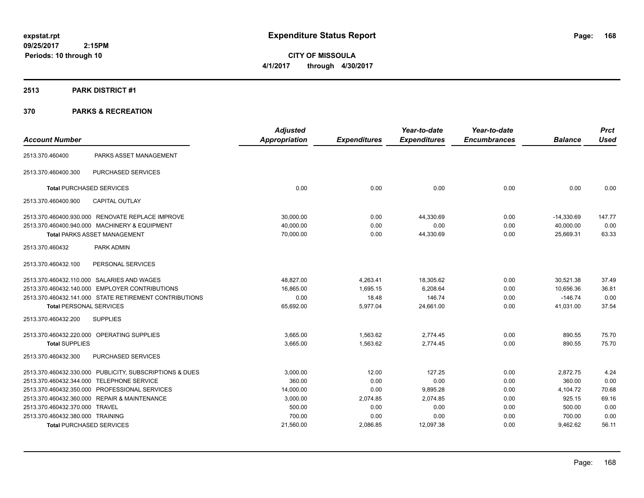**CITY OF MISSOULA 4/1/2017 through 4/30/2017**

#### **2513 PARK DISTRICT #1**

|                                  |                                                         | <b>Adjusted</b> |                     | Year-to-date        | Year-to-date        |                | <b>Prct</b> |
|----------------------------------|---------------------------------------------------------|-----------------|---------------------|---------------------|---------------------|----------------|-------------|
| <b>Account Number</b>            |                                                         | Appropriation   | <b>Expenditures</b> | <b>Expenditures</b> | <b>Encumbrances</b> | <b>Balance</b> | <b>Used</b> |
| 2513.370.460400                  | PARKS ASSET MANAGEMENT                                  |                 |                     |                     |                     |                |             |
| 2513.370.460400.300              | <b>PURCHASED SERVICES</b>                               |                 |                     |                     |                     |                |             |
| <b>Total PURCHASED SERVICES</b>  |                                                         | 0.00            | 0.00                | 0.00                | 0.00                | 0.00           | 0.00        |
| 2513.370.460400.900              | <b>CAPITAL OUTLAY</b>                                   |                 |                     |                     |                     |                |             |
|                                  | 2513.370.460400.930.000 RENOVATE REPLACE IMPROVE        | 30,000.00       | 0.00                | 44,330.69           | 0.00                | $-14,330.69$   | 147.77      |
|                                  | 2513.370.460400.940.000 MACHINERY & EQUIPMENT           | 40.000.00       | 0.00                | 0.00                | 0.00                | 40,000.00      | 0.00        |
|                                  | <b>Total PARKS ASSET MANAGEMENT</b>                     | 70,000.00       | 0.00                | 44,330.69           | 0.00                | 25,669.31      | 63.33       |
| 2513.370.460432                  | PARK ADMIN                                              |                 |                     |                     |                     |                |             |
| 2513.370.460432.100              | PERSONAL SERVICES                                       |                 |                     |                     |                     |                |             |
|                                  | 2513.370.460432.110.000 SALARIES AND WAGES              | 48,827.00       | 4,263.41            | 18,305.62           | 0.00                | 30,521.38      | 37.49       |
|                                  | 2513.370.460432.140.000 EMPLOYER CONTRIBUTIONS          | 16,865.00       | 1,695.15            | 6,208.64            | 0.00                | 10,656.36      | 36.81       |
|                                  | 2513.370.460432.141.000 STATE RETIREMENT CONTRIBUTIONS  | 0.00            | 18.48               | 146.74              | 0.00                | $-146.74$      | 0.00        |
| <b>Total PERSONAL SERVICES</b>   |                                                         | 65,692.00       | 5,977.04            | 24,661.00           | 0.00                | 41,031.00      | 37.54       |
| 2513.370.460432.200              | <b>SUPPLIES</b>                                         |                 |                     |                     |                     |                |             |
|                                  | 2513.370.460432.220.000 OPERATING SUPPLIES              | 3,665.00        | 1,563.62            | 2,774.45            | 0.00                | 890.55         | 75.70       |
| <b>Total SUPPLIES</b>            |                                                         | 3,665.00        | 1,563.62            | 2,774.45            | 0.00                | 890.55         | 75.70       |
| 2513.370.460432.300              | PURCHASED SERVICES                                      |                 |                     |                     |                     |                |             |
|                                  | 2513.370.460432.330.000 PUBLICITY, SUBSCRIPTIONS & DUES | 3,000.00        | 12.00               | 127.25              | 0.00                | 2,872.75       | 4.24        |
|                                  | 2513.370.460432.344.000 TELEPHONE SERVICE               | 360.00          | 0.00                | 0.00                | 0.00                | 360.00         | 0.00        |
|                                  | 2513.370.460432.350.000 PROFESSIONAL SERVICES           | 14,000.00       | 0.00                | 9,895.28            | 0.00                | 4,104.72       | 70.68       |
|                                  | 2513.370.460432.360.000 REPAIR & MAINTENANCE            | 3,000.00        | 2,074.85            | 2,074.85            | 0.00                | 925.15         | 69.16       |
| 2513.370.460432.370.000 TRAVEL   |                                                         | 500.00          | 0.00                | 0.00                | 0.00                | 500.00         | 0.00        |
| 2513.370.460432.380.000 TRAINING |                                                         | 700.00          | 0.00                | 0.00                | 0.00                | 700.00         | 0.00        |
|                                  | <b>Total PURCHASED SERVICES</b>                         | 21,560.00       | 2,086.85            | 12,097.38           | 0.00                | 9,462.62       | 56.11       |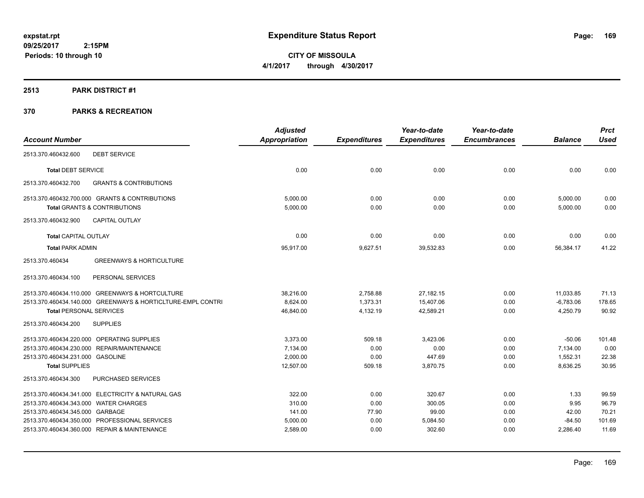**CITY OF MISSOULA 4/1/2017 through 4/30/2017**

#### **2513 PARK DISTRICT #1**

|                                                             | <b>Adjusted</b> |                     | Year-to-date        | Year-to-date        |                | <b>Prct</b> |
|-------------------------------------------------------------|-----------------|---------------------|---------------------|---------------------|----------------|-------------|
| <b>Account Number</b>                                       | Appropriation   | <b>Expenditures</b> | <b>Expenditures</b> | <b>Encumbrances</b> | <b>Balance</b> | <b>Used</b> |
| <b>DEBT SERVICE</b><br>2513.370.460432.600                  |                 |                     |                     |                     |                |             |
| <b>Total DEBT SERVICE</b>                                   | 0.00            | 0.00                | 0.00                | 0.00                | 0.00           | 0.00        |
| 2513.370.460432.700<br><b>GRANTS &amp; CONTRIBUTIONS</b>    |                 |                     |                     |                     |                |             |
| 2513.370.460432.700.000 GRANTS & CONTRIBUTIONS              | 5,000.00        | 0.00                | 0.00                | 0.00                | 5,000.00       | 0.00        |
| <b>Total GRANTS &amp; CONTRIBUTIONS</b>                     | 5,000.00        | 0.00                | 0.00                | 0.00                | 5,000.00       | 0.00        |
| <b>CAPITAL OUTLAY</b><br>2513.370.460432.900                |                 |                     |                     |                     |                |             |
| <b>Total CAPITAL OUTLAY</b>                                 | 0.00            | 0.00                | 0.00                | 0.00                | 0.00           | 0.00        |
| <b>Total PARK ADMIN</b>                                     | 95,917.00       | 9,627.51            | 39,532.83           | 0.00                | 56,384.17      | 41.22       |
| 2513.370.460434<br><b>GREENWAYS &amp; HORTICULTURE</b>      |                 |                     |                     |                     |                |             |
| PERSONAL SERVICES<br>2513.370.460434.100                    |                 |                     |                     |                     |                |             |
| 2513.370.460434.110.000 GREENWAYS & HORTCULTURE             | 38,216.00       | 2,758.88            | 27,182.15           | 0.00                | 11,033.85      | 71.13       |
| 2513.370.460434.140.000 GREENWAYS & HORTICLTURE-EMPL CONTRI | 8,624.00        | 1,373.31            | 15,407.06           | 0.00                | $-6,783.06$    | 178.65      |
| <b>Total PERSONAL SERVICES</b>                              | 46,840.00       | 4,132.19            | 42,589.21           | 0.00                | 4,250.79       | 90.92       |
| <b>SUPPLIES</b><br>2513.370.460434.200                      |                 |                     |                     |                     |                |             |
| 2513.370.460434.220.000 OPERATING SUPPLIES                  | 3,373.00        | 509.18              | 3,423.06            | 0.00                | $-50.06$       | 101.48      |
| 2513.370.460434.230.000 REPAIR/MAINTENANCE                  | 7,134.00        | 0.00                | 0.00                | 0.00                | 7,134.00       | 0.00        |
| 2513.370.460434.231.000 GASOLINE                            | 2,000.00        | 0.00                | 447.69              | 0.00                | 1,552.31       | 22.38       |
| <b>Total SUPPLIES</b>                                       | 12,507.00       | 509.18              | 3,870.75            | 0.00                | 8,636.25       | 30.95       |
| 2513.370.460434.300<br>PURCHASED SERVICES                   |                 |                     |                     |                     |                |             |
| 2513.370.460434.341.000 ELECTRICITY & NATURAL GAS           | 322.00          | 0.00                | 320.67              | 0.00                | 1.33           | 99.59       |
| 2513.370.460434.343.000 WATER CHARGES                       | 310.00          | 0.00                | 300.05              | 0.00                | 9.95           | 96.79       |
| 2513.370.460434.345.000 GARBAGE                             | 141.00          | 77.90               | 99.00               | 0.00                | 42.00          | 70.21       |
| 2513.370.460434.350.000 PROFESSIONAL SERVICES               | 5,000.00        | 0.00                | 5,084.50            | 0.00                | $-84.50$       | 101.69      |
| 2513.370.460434.360.000 REPAIR & MAINTENANCE                | 2,589.00        | 0.00                | 302.60              | 0.00                | 2,286.40       | 11.69       |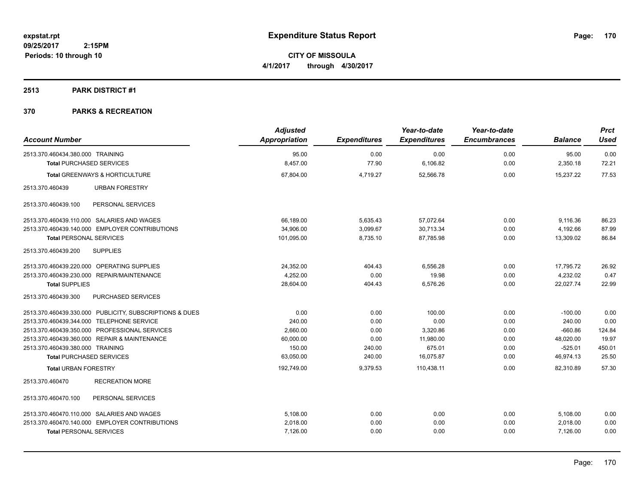**CITY OF MISSOULA 4/1/2017 through 4/30/2017**

#### **2513 PARK DISTRICT #1**

| <b>Account Number</b>                                   | <b>Adjusted</b><br>Appropriation | <b>Expenditures</b> | Year-to-date<br><b>Expenditures</b> | Year-to-date<br><b>Encumbrances</b> | <b>Balance</b> | <b>Prct</b><br><b>Used</b> |
|---------------------------------------------------------|----------------------------------|---------------------|-------------------------------------|-------------------------------------|----------------|----------------------------|
| 2513.370.460434.380.000 TRAINING                        | 95.00                            | 0.00                | 0.00                                | 0.00                                | 95.00          | 0.00                       |
| <b>Total PURCHASED SERVICES</b>                         | 8,457.00                         | 77.90               | 6,106.82                            | 0.00                                | 2,350.18       | 72.21                      |
| <b>Total GREENWAYS &amp; HORTICULTURE</b>               | 67,804.00                        | 4,719.27            | 52,566.78                           | 0.00                                | 15,237.22      | 77.53                      |
| 2513.370.460439<br><b>URBAN FORESTRY</b>                |                                  |                     |                                     |                                     |                |                            |
| 2513.370.460439.100<br>PERSONAL SERVICES                |                                  |                     |                                     |                                     |                |                            |
| 2513.370.460439.110.000 SALARIES AND WAGES              | 66,189.00                        | 5,635.43            | 57,072.64                           | 0.00                                | 9,116.36       | 86.23                      |
| 2513.370.460439.140.000 EMPLOYER CONTRIBUTIONS          | 34,906.00                        | 3,099.67            | 30,713.34                           | 0.00                                | 4,192.66       | 87.99                      |
| <b>Total PERSONAL SERVICES</b>                          | 101,095.00                       | 8,735.10            | 87,785.98                           | 0.00                                | 13,309.02      | 86.84                      |
| <b>SUPPLIES</b><br>2513.370.460439.200                  |                                  |                     |                                     |                                     |                |                            |
| 2513.370.460439.220.000 OPERATING SUPPLIES              | 24.352.00                        | 404.43              | 6.556.28                            | 0.00                                | 17.795.72      | 26.92                      |
| 2513.370.460439.230.000<br>REPAIR/MAINTENANCE           | 4,252.00                         | 0.00                | 19.98                               | 0.00                                | 4,232.02       | 0.47                       |
| <b>Total SUPPLIES</b>                                   | 28,604.00                        | 404.43              | 6,576.26                            | 0.00                                | 22,027.74      | 22.99                      |
| PURCHASED SERVICES<br>2513.370.460439.300               |                                  |                     |                                     |                                     |                |                            |
| 2513.370.460439.330.000 PUBLICITY, SUBSCRIPTIONS & DUES | 0.00                             | 0.00                | 100.00                              | 0.00                                | $-100.00$      | 0.00                       |
| 2513.370.460439.344.000 TELEPHONE SERVICE               | 240.00                           | 0.00                | 0.00                                | 0.00                                | 240.00         | 0.00                       |
| 2513.370.460439.350.000 PROFESSIONAL SERVICES           | 2,660.00                         | 0.00                | 3,320.86                            | 0.00                                | $-660.86$      | 124.84                     |
| 2513.370.460439.360.000 REPAIR & MAINTENANCE            | 60,000.00                        | 0.00                | 11,980.00                           | 0.00                                | 48,020.00      | 19.97                      |
| 2513.370.460439.380.000 TRAINING                        | 150.00                           | 240.00              | 675.01                              | 0.00                                | $-525.01$      | 450.01                     |
| <b>Total PURCHASED SERVICES</b>                         | 63,050.00                        | 240.00              | 16,075.87                           | 0.00                                | 46,974.13      | 25.50                      |
| <b>Total URBAN FORESTRY</b>                             | 192,749.00                       | 9,379.53            | 110.438.11                          | 0.00                                | 82.310.89      | 57.30                      |
| <b>RECREATION MORE</b><br>2513.370.460470               |                                  |                     |                                     |                                     |                |                            |
| 2513.370.460470.100<br>PERSONAL SERVICES                |                                  |                     |                                     |                                     |                |                            |
| 2513.370.460470.110.000 SALARIES AND WAGES              | 5,108.00                         | 0.00                | 0.00                                | 0.00                                | 5,108.00       | 0.00                       |
| 2513.370.460470.140.000 EMPLOYER CONTRIBUTIONS          | 2,018.00                         | 0.00                | 0.00                                | 0.00                                | 2,018.00       | 0.00                       |
| <b>Total PERSONAL SERVICES</b>                          | 7,126.00                         | 0.00                | 0.00                                | 0.00                                | 7,126.00       | 0.00                       |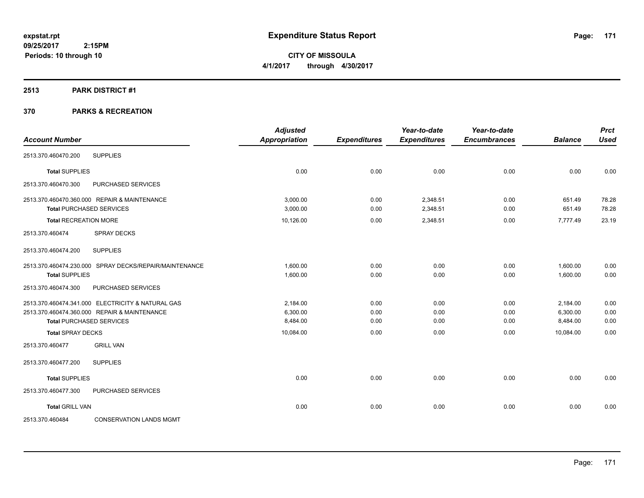**CITY OF MISSOULA 4/1/2017 through 4/30/2017**

#### **2513 PARK DISTRICT #1**

| <b>Account Number</b>        |                                                        | <b>Adjusted</b><br><b>Appropriation</b> | <b>Expenditures</b> | Year-to-date<br><b>Expenditures</b> | Year-to-date<br><b>Encumbrances</b> | <b>Balance</b> | <b>Prct</b><br><b>Used</b> |
|------------------------------|--------------------------------------------------------|-----------------------------------------|---------------------|-------------------------------------|-------------------------------------|----------------|----------------------------|
| 2513.370.460470.200          | <b>SUPPLIES</b>                                        |                                         |                     |                                     |                                     |                |                            |
| <b>Total SUPPLIES</b>        |                                                        | 0.00                                    | 0.00                | 0.00                                | 0.00                                | 0.00           | 0.00                       |
| 2513.370.460470.300          | PURCHASED SERVICES                                     |                                         |                     |                                     |                                     |                |                            |
|                              | 2513.370.460470.360.000 REPAIR & MAINTENANCE           | 3.000.00                                | 0.00                | 2,348.51                            | 0.00                                | 651.49         | 78.28                      |
|                              | <b>Total PURCHASED SERVICES</b>                        | 3,000.00                                | 0.00                | 2,348.51                            | 0.00                                | 651.49         | 78.28                      |
| <b>Total RECREATION MORE</b> |                                                        | 10,126.00                               | 0.00                | 2,348.51                            | 0.00                                | 7,777.49       | 23.19                      |
| 2513.370.460474              | <b>SPRAY DECKS</b>                                     |                                         |                     |                                     |                                     |                |                            |
| 2513.370.460474.200          | <b>SUPPLIES</b>                                        |                                         |                     |                                     |                                     |                |                            |
|                              | 2513.370.460474.230.000 SPRAY DECKS/REPAIR/MAINTENANCE | 1,600.00                                | 0.00                | 0.00                                | 0.00                                | 1,600.00       | 0.00                       |
| <b>Total SUPPLIES</b>        |                                                        | 1,600.00                                | 0.00                | 0.00                                | 0.00                                | 1,600.00       | 0.00                       |
| 2513.370.460474.300          | PURCHASED SERVICES                                     |                                         |                     |                                     |                                     |                |                            |
|                              | 2513.370.460474.341.000 ELECTRICITY & NATURAL GAS      | 2,184.00                                | 0.00                | 0.00                                | 0.00                                | 2,184.00       | 0.00                       |
|                              | 2513.370.460474.360.000 REPAIR & MAINTENANCE           | 6,300.00                                | 0.00                | 0.00                                | 0.00                                | 6,300.00       | 0.00                       |
|                              | <b>Total PURCHASED SERVICES</b>                        | 8,484.00                                | 0.00                | 0.00                                | 0.00                                | 8,484.00       | 0.00                       |
| <b>Total SPRAY DECKS</b>     |                                                        | 10,084.00                               | 0.00                | 0.00                                | 0.00                                | 10.084.00      | 0.00                       |
| 2513.370.460477              | <b>GRILL VAN</b>                                       |                                         |                     |                                     |                                     |                |                            |
| 2513.370.460477.200          | <b>SUPPLIES</b>                                        |                                         |                     |                                     |                                     |                |                            |
| <b>Total SUPPLIES</b>        |                                                        | 0.00                                    | 0.00                | 0.00                                | 0.00                                | 0.00           | 0.00                       |
| 2513.370.460477.300          | PURCHASED SERVICES                                     |                                         |                     |                                     |                                     |                |                            |
| <b>Total GRILL VAN</b>       |                                                        | 0.00                                    | 0.00                | 0.00                                | 0.00                                | 0.00           | 0.00                       |
| 2513.370.460484              | <b>CONSERVATION LANDS MGMT</b>                         |                                         |                     |                                     |                                     |                |                            |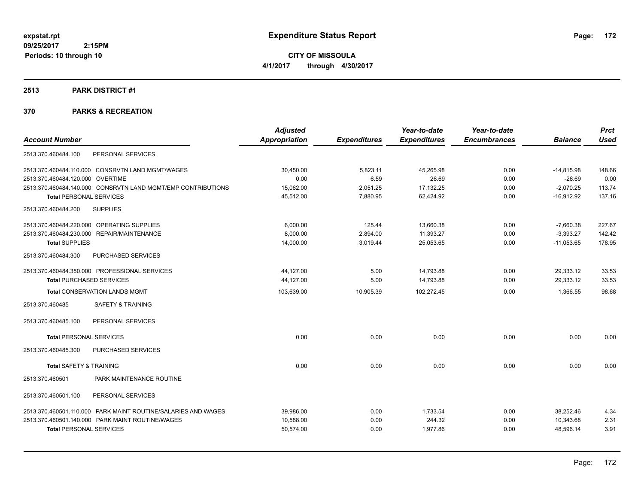**CITY OF MISSOULA 4/1/2017 through 4/30/2017**

#### **2513 PARK DISTRICT #1**

|                                                               | <b>Adjusted</b>      |                     | Year-to-date        | Year-to-date        |                | <b>Prct</b> |
|---------------------------------------------------------------|----------------------|---------------------|---------------------|---------------------|----------------|-------------|
| <b>Account Number</b>                                         | <b>Appropriation</b> | <b>Expenditures</b> | <b>Expenditures</b> | <b>Encumbrances</b> | <b>Balance</b> | <b>Used</b> |
| PERSONAL SERVICES<br>2513.370.460484.100                      |                      |                     |                     |                     |                |             |
| 2513.370.460484.110.000 CONSRVTN LAND MGMT/WAGES              | 30,450.00            | 5,823.11            | 45,265.98           | 0.00                | $-14,815.98$   | 148.66      |
| 2513.370.460484.120.000 OVERTIME                              | 0.00                 | 6.59                | 26.69               | 0.00                | $-26.69$       | 0.00        |
| 2513.370.460484.140.000 CONSRVTN LAND MGMT/EMP CONTRIBUTIONS  | 15,062.00            | 2,051.25            | 17,132.25           | 0.00                | $-2,070.25$    | 113.74      |
| <b>Total PERSONAL SERVICES</b>                                | 45,512.00            | 7,880.95            | 62,424.92           | 0.00                | $-16,912.92$   | 137.16      |
| <b>SUPPLIES</b><br>2513.370.460484.200                        |                      |                     |                     |                     |                |             |
| 2513.370.460484.220.000 OPERATING SUPPLIES                    | 6,000.00             | 125.44              | 13,660.38           | 0.00                | $-7,660.38$    | 227.67      |
| 2513.370.460484.230.000 REPAIR/MAINTENANCE                    | 8,000.00             | 2,894.00            | 11,393.27           | 0.00                | $-3,393.27$    | 142.42      |
| <b>Total SUPPLIES</b>                                         | 14,000.00            | 3,019.44            | 25,053.65           | 0.00                | $-11,053.65$   | 178.95      |
| <b>PURCHASED SERVICES</b><br>2513.370.460484.300              |                      |                     |                     |                     |                |             |
| 2513.370.460484.350.000 PROFESSIONAL SERVICES                 | 44,127.00            | 5.00                | 14,793.88           | 0.00                | 29,333.12      | 33.53       |
| <b>Total PURCHASED SERVICES</b>                               | 44,127.00            | 5.00                | 14,793.88           | 0.00                | 29,333.12      | 33.53       |
| <b>Total CONSERVATION LANDS MGMT</b>                          | 103,639.00           | 10,905.39           | 102,272.45          | 0.00                | 1,366.55       | 98.68       |
| <b>SAFETY &amp; TRAINING</b><br>2513.370.460485               |                      |                     |                     |                     |                |             |
| PERSONAL SERVICES<br>2513.370.460485.100                      |                      |                     |                     |                     |                |             |
| <b>Total PERSONAL SERVICES</b>                                | 0.00                 | 0.00                | 0.00                | 0.00                | 0.00           | 0.00        |
| 2513.370.460485.300<br><b>PURCHASED SERVICES</b>              |                      |                     |                     |                     |                |             |
| <b>Total SAFETY &amp; TRAINING</b>                            | 0.00                 | 0.00                | 0.00                | 0.00                | 0.00           | 0.00        |
| PARK MAINTENANCE ROUTINE<br>2513.370.460501                   |                      |                     |                     |                     |                |             |
| 2513.370.460501.100<br>PERSONAL SERVICES                      |                      |                     |                     |                     |                |             |
| 2513.370.460501.110.000 PARK MAINT ROUTINE/SALARIES AND WAGES | 39,986.00            | 0.00                | 1,733.54            | 0.00                | 38.252.46      | 4.34        |
| 2513.370.460501.140.000 PARK MAINT ROUTINE/WAGES              | 10.588.00            | 0.00                | 244.32              | 0.00                | 10.343.68      | 2.31        |
| <b>Total PERSONAL SERVICES</b>                                | 50,574.00            | 0.00                | 1,977.86            | 0.00                | 48,596.14      | 3.91        |
|                                                               |                      |                     |                     |                     |                |             |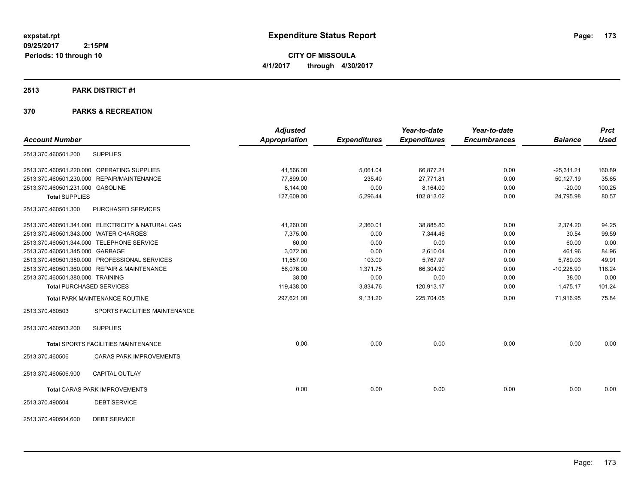**CITY OF MISSOULA 4/1/2017 through 4/30/2017**

#### **2513 PARK DISTRICT #1**

|                                                   | <b>Adjusted</b>      |                     | Year-to-date        | Year-to-date        |                | <b>Prct</b> |
|---------------------------------------------------|----------------------|---------------------|---------------------|---------------------|----------------|-------------|
| <b>Account Number</b>                             | <b>Appropriation</b> | <b>Expenditures</b> | <b>Expenditures</b> | <b>Encumbrances</b> | <b>Balance</b> | <b>Used</b> |
| <b>SUPPLIES</b><br>2513.370.460501.200            |                      |                     |                     |                     |                |             |
| 2513.370.460501.220.000 OPERATING SUPPLIES        | 41,566.00            | 5,061.04            | 66,877.21           | 0.00                | $-25,311.21$   | 160.89      |
| 2513.370.460501.230.000 REPAIR/MAINTENANCE        | 77,899.00            | 235.40              | 27,771.81           | 0.00                | 50,127.19      | 35.65       |
| 2513.370.460501.231.000 GASOLINE                  | 8,144.00             | 0.00                | 8,164.00            | 0.00                | $-20.00$       | 100.25      |
| <b>Total SUPPLIES</b>                             | 127,609.00           | 5,296.44            | 102,813.02          | 0.00                | 24,795.98      | 80.57       |
| 2513.370.460501.300<br>PURCHASED SERVICES         |                      |                     |                     |                     |                |             |
| 2513.370.460501.341.000 ELECTRICITY & NATURAL GAS | 41,260.00            | 2,360.01            | 38,885.80           | 0.00                | 2,374.20       | 94.25       |
| 2513.370.460501.343.000 WATER CHARGES             | 7.375.00             | 0.00                | 7.344.46            | 0.00                | 30.54          | 99.59       |
| 2513.370.460501.344.000 TELEPHONE SERVICE         | 60.00                | 0.00                | 0.00                | 0.00                | 60.00          | 0.00        |
| 2513.370.460501.345.000 GARBAGE                   | 3,072.00             | 0.00                | 2,610.04            | 0.00                | 461.96         | 84.96       |
| 2513.370.460501.350.000 PROFESSIONAL SERVICES     | 11,557.00            | 103.00              | 5,767.97            | 0.00                | 5,789.03       | 49.91       |
| 2513.370.460501.360.000 REPAIR & MAINTENANCE      | 56.076.00            | 1,371.75            | 66,304.90           | 0.00                | $-10.228.90$   | 118.24      |
| 2513.370.460501.380.000 TRAINING                  | 38.00                | 0.00                | 0.00                | 0.00                | 38.00          | 0.00        |
| <b>Total PURCHASED SERVICES</b>                   | 119,438.00           | 3,834.76            | 120,913.17          | 0.00                | $-1,475.17$    | 101.24      |
| Total PARK MAINTENANCE ROUTINE                    | 297,621.00           | 9,131.20            | 225,704.05          | 0.00                | 71,916.95      | 75.84       |
| SPORTS FACILITIES MAINTENANCE<br>2513.370.460503  |                      |                     |                     |                     |                |             |
| 2513.370.460503.200<br><b>SUPPLIES</b>            |                      |                     |                     |                     |                |             |
| Total SPORTS FACILITIES MAINTENANCE               | 0.00                 | 0.00                | 0.00                | 0.00                | 0.00           | 0.00        |
| <b>CARAS PARK IMPROVEMENTS</b><br>2513.370.460506 |                      |                     |                     |                     |                |             |
| 2513.370.460506.900<br><b>CAPITAL OUTLAY</b>      |                      |                     |                     |                     |                |             |
| <b>Total CARAS PARK IMPROVEMENTS</b>              | 0.00                 | 0.00                | 0.00                | 0.00                | 0.00           | 0.00        |
| <b>DEBT SERVICE</b><br>2513.370.490504            |                      |                     |                     |                     |                |             |
| <b>DEBT SERVICE</b><br>2513.370.490504.600        |                      |                     |                     |                     |                |             |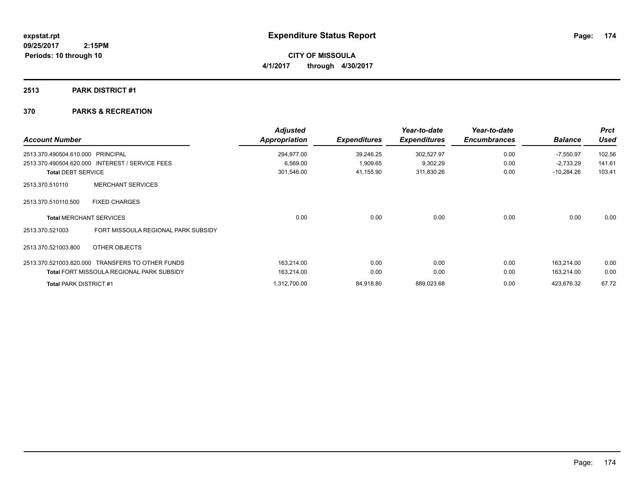**CITY OF MISSOULA 4/1/2017 through 4/30/2017**

### **2513 PARK DISTRICT #1**

### **370 PARKS & RECREATION**

 **2:15PM**

| <b>Account Number</b>             |                                                  | <b>Adjusted</b><br>Appropriation | <b>Expenditures</b> | Year-to-date<br><b>Expenditures</b> | Year-to-date<br><b>Encumbrances</b> | <b>Balance</b> | <b>Prct</b><br><b>Used</b> |
|-----------------------------------|--------------------------------------------------|----------------------------------|---------------------|-------------------------------------|-------------------------------------|----------------|----------------------------|
| 2513.370.490504.610.000 PRINCIPAL |                                                  | 294,977.00                       | 39,246.25           | 302,527.97                          | 0.00                                | $-7,550.97$    | 102.56                     |
|                                   | 2513.370.490504.620.000 INTEREST / SERVICE FEES  | 6,569.00                         | 1,909.65            | 9,302.29                            | 0.00                                | $-2,733.29$    | 141.61                     |
| <b>Total DEBT SERVICE</b>         |                                                  | 301,546.00                       | 41,155.90           | 311,830.26                          | 0.00                                | $-10,284.26$   | 103.41                     |
| 2513.370.510110                   | <b>MERCHANT SERVICES</b>                         |                                  |                     |                                     |                                     |                |                            |
| 2513.370.510110.500               | <b>FIXED CHARGES</b>                             |                                  |                     |                                     |                                     |                |                            |
|                                   | <b>Total MERCHANT SERVICES</b>                   | 0.00                             | 0.00                | 0.00                                | 0.00                                | 0.00           | 0.00                       |
| 2513.370.521003                   | FORT MISSOULA REGIONAL PARK SUBSIDY              |                                  |                     |                                     |                                     |                |                            |
| 2513.370.521003.800               | OTHER OBJECTS                                    |                                  |                     |                                     |                                     |                |                            |
|                                   | 2513.370.521003.820.000 TRANSFERS TO OTHER FUNDS | 163,214.00                       | 0.00                | 0.00                                | 0.00                                | 163.214.00     | 0.00                       |
|                                   | <b>Total FORT MISSOULA REGIONAL PARK SUBSIDY</b> | 163,214.00                       | 0.00                | 0.00                                | 0.00                                | 163,214.00     | 0.00                       |
| <b>Total PARK DISTRICT #1</b>     |                                                  | 1,312,700.00                     | 84,918.80           | 889,023.68                          | 0.00                                | 423,676.32     | 67.72                      |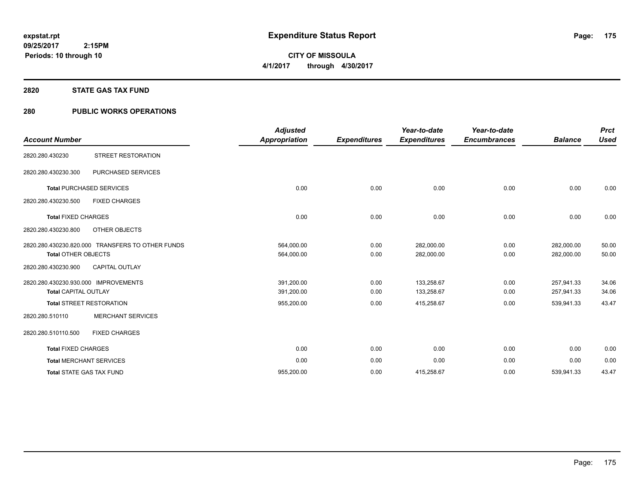**09/25/2017 2:15PM Periods: 10 through 10**

# **CITY OF MISSOULA 4/1/2017 through 4/30/2017**

#### **2820 STATE GAS TAX FUND**

### **280 PUBLIC WORKS OPERATIONS**

| <b>Account Number</b>                                               |                                                  | <b>Adjusted</b><br><b>Appropriation</b> | <b>Expenditures</b> | Year-to-date<br><b>Expenditures</b> | Year-to-date<br><b>Encumbrances</b> | <b>Balance</b>           | <b>Prct</b><br><b>Used</b> |
|---------------------------------------------------------------------|--------------------------------------------------|-----------------------------------------|---------------------|-------------------------------------|-------------------------------------|--------------------------|----------------------------|
| 2820.280.430230                                                     | STREET RESTORATION                               |                                         |                     |                                     |                                     |                          |                            |
| 2820.280.430230.300                                                 | PURCHASED SERVICES                               |                                         |                     |                                     |                                     |                          |                            |
|                                                                     | <b>Total PURCHASED SERVICES</b>                  | 0.00                                    | 0.00                | 0.00                                | 0.00                                | 0.00                     | 0.00                       |
| 2820.280.430230.500                                                 | <b>FIXED CHARGES</b>                             |                                         |                     |                                     |                                     |                          |                            |
| <b>Total FIXED CHARGES</b>                                          |                                                  | 0.00                                    | 0.00                | 0.00                                | 0.00                                | 0.00                     | 0.00                       |
| 2820.280.430230.800                                                 | OTHER OBJECTS                                    |                                         |                     |                                     |                                     |                          |                            |
| <b>Total OTHER OBJECTS</b>                                          | 2820.280.430230.820.000 TRANSFERS TO OTHER FUNDS | 564,000.00<br>564,000.00                | 0.00<br>0.00        | 282,000.00<br>282,000.00            | 0.00<br>0.00                        | 282,000.00<br>282.000.00 | 50.00<br>50.00             |
| 2820.280.430230.900                                                 | <b>CAPITAL OUTLAY</b>                            |                                         |                     |                                     |                                     |                          |                            |
| 2820.280.430230.930.000 IMPROVEMENTS<br><b>Total CAPITAL OUTLAY</b> |                                                  | 391,200.00<br>391,200.00                | 0.00<br>0.00        | 133,258.67<br>133,258.67            | 0.00<br>0.00                        | 257,941.33<br>257,941.33 | 34.06<br>34.06             |
|                                                                     | <b>Total STREET RESTORATION</b>                  | 955,200.00                              | 0.00                | 415,258.67                          | 0.00                                | 539,941.33               | 43.47                      |
| 2820.280.510110                                                     | <b>MERCHANT SERVICES</b>                         |                                         |                     |                                     |                                     |                          |                            |
| 2820.280.510110.500                                                 | <b>FIXED CHARGES</b>                             |                                         |                     |                                     |                                     |                          |                            |
| <b>Total FIXED CHARGES</b>                                          |                                                  | 0.00                                    | 0.00                | 0.00                                | 0.00                                | 0.00                     | 0.00                       |
| <b>Total MERCHANT SERVICES</b>                                      |                                                  | 0.00                                    | 0.00                | 0.00                                | 0.00                                | 0.00                     | 0.00                       |
| <b>Total STATE GAS TAX FUND</b>                                     |                                                  | 955,200.00                              | 0.00                | 415,258.67                          | 0.00                                | 539,941.33               | 43.47                      |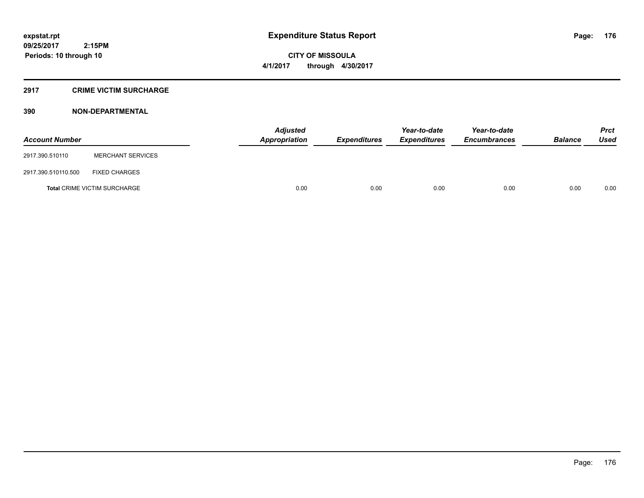**CITY OF MISSOULA 4/1/2017 through 4/30/2017**

#### **2917 CRIME VICTIM SURCHARGE**

| <b>Account Number</b> |                                     | <b>Adjusted</b><br><b>Appropriation</b> | <b>Expenditures</b> | Year-to-date<br><b>Expenditures</b> | Year-to-date<br><b>Encumbrances</b> | <b>Balance</b> | Prct<br><b>Used</b> |
|-----------------------|-------------------------------------|-----------------------------------------|---------------------|-------------------------------------|-------------------------------------|----------------|---------------------|
| 2917.390.510110       | <b>MERCHANT SERVICES</b>            |                                         |                     |                                     |                                     |                |                     |
| 2917.390.510110.500   | <b>FIXED CHARGES</b>                |                                         |                     |                                     |                                     |                |                     |
|                       | <b>Total CRIME VICTIM SURCHARGE</b> | 0.00                                    | 0.00                | 0.00                                | 0.00                                | 0.00           | 0.00                |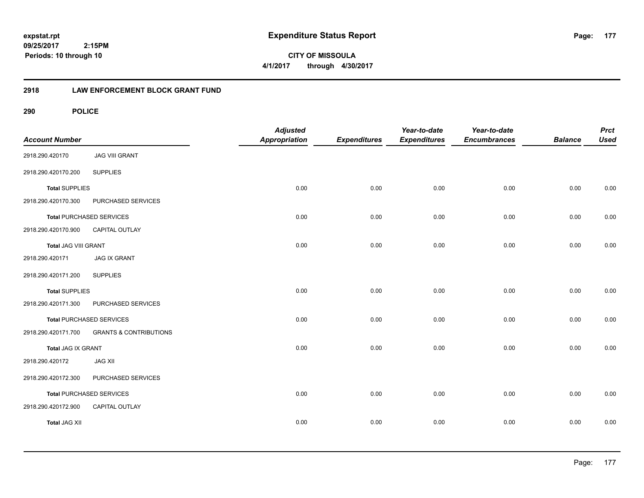**09/25/2017 2:15PM Periods: 10 through 10**

**CITY OF MISSOULA 4/1/2017 through 4/30/2017**

### **2918 LAW ENFORCEMENT BLOCK GRANT FUND**

| <b>Account Number</b> |                                   | <b>Adjusted</b><br>Appropriation | <b>Expenditures</b> | Year-to-date<br><b>Expenditures</b> | Year-to-date<br><b>Encumbrances</b> | <b>Balance</b> | <b>Prct</b><br><b>Used</b> |
|-----------------------|-----------------------------------|----------------------------------|---------------------|-------------------------------------|-------------------------------------|----------------|----------------------------|
| 2918.290.420170       | <b>JAG VIII GRANT</b>             |                                  |                     |                                     |                                     |                |                            |
| 2918.290.420170.200   | <b>SUPPLIES</b>                   |                                  |                     |                                     |                                     |                |                            |
| <b>Total SUPPLIES</b> |                                   | 0.00                             | 0.00                | 0.00                                | 0.00                                | 0.00           | 0.00                       |
| 2918.290.420170.300   | PURCHASED SERVICES                |                                  |                     |                                     |                                     |                |                            |
|                       | <b>Total PURCHASED SERVICES</b>   | 0.00                             | 0.00                | 0.00                                | 0.00                                | 0.00           | 0.00                       |
| 2918.290.420170.900   | CAPITAL OUTLAY                    |                                  |                     |                                     |                                     |                |                            |
| Total JAG VIII GRANT  |                                   | 0.00                             | 0.00                | 0.00                                | 0.00                                | 0.00           | 0.00                       |
| 2918.290.420171       | <b>JAG IX GRANT</b>               |                                  |                     |                                     |                                     |                |                            |
| 2918.290.420171.200   | <b>SUPPLIES</b>                   |                                  |                     |                                     |                                     |                |                            |
| <b>Total SUPPLIES</b> |                                   | 0.00                             | 0.00                | 0.00                                | 0.00                                | 0.00           | 0.00                       |
| 2918.290.420171.300   | PURCHASED SERVICES                |                                  |                     |                                     |                                     |                |                            |
|                       | <b>Total PURCHASED SERVICES</b>   | 0.00                             | 0.00                | 0.00                                | 0.00                                | 0.00           | 0.00                       |
| 2918.290.420171.700   | <b>GRANTS &amp; CONTRIBUTIONS</b> |                                  |                     |                                     |                                     |                |                            |
| Total JAG IX GRANT    |                                   | 0.00                             | 0.00                | 0.00                                | 0.00                                | 0.00           | 0.00                       |
| 2918.290.420172       | <b>JAG XII</b>                    |                                  |                     |                                     |                                     |                |                            |
| 2918.290.420172.300   | PURCHASED SERVICES                |                                  |                     |                                     |                                     |                |                            |
|                       | <b>Total PURCHASED SERVICES</b>   | 0.00                             | 0.00                | 0.00                                | 0.00                                | 0.00           | 0.00                       |
| 2918.290.420172.900   | CAPITAL OUTLAY                    |                                  |                     |                                     |                                     |                |                            |
| <b>Total JAG XII</b>  |                                   | 0.00                             | 0.00                | 0.00                                | 0.00                                | 0.00           | 0.00                       |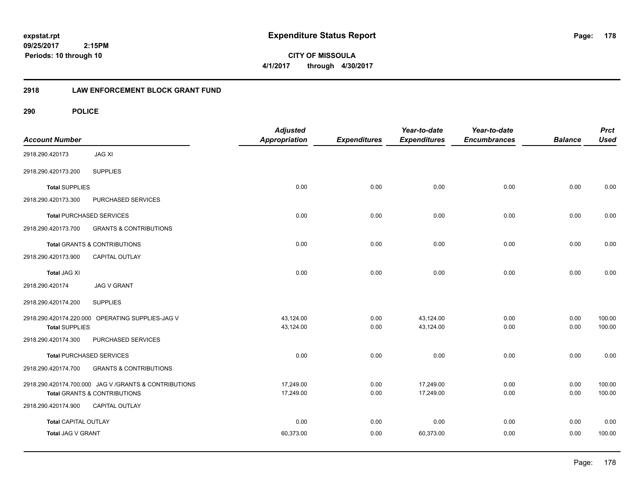**CITY OF MISSOULA 4/1/2017 through 4/30/2017**

### **2918 LAW ENFORCEMENT BLOCK GRANT FUND**

| <b>Account Number</b>       |                                                        | <b>Adjusted</b><br><b>Appropriation</b> | <b>Expenditures</b> | Year-to-date<br><b>Expenditures</b> | Year-to-date<br><b>Encumbrances</b> | <b>Balance</b> | <b>Prct</b><br><b>Used</b> |
|-----------------------------|--------------------------------------------------------|-----------------------------------------|---------------------|-------------------------------------|-------------------------------------|----------------|----------------------------|
| 2918.290.420173             | <b>JAG XI</b>                                          |                                         |                     |                                     |                                     |                |                            |
| 2918.290.420173.200         | <b>SUPPLIES</b>                                        |                                         |                     |                                     |                                     |                |                            |
| <b>Total SUPPLIES</b>       |                                                        | 0.00                                    | 0.00                | 0.00                                | 0.00                                | 0.00           | 0.00                       |
| 2918.290.420173.300         | PURCHASED SERVICES                                     |                                         |                     |                                     |                                     |                |                            |
|                             | <b>Total PURCHASED SERVICES</b>                        | 0.00                                    | 0.00                | 0.00                                | 0.00                                | 0.00           | 0.00                       |
| 2918.290.420173.700         | <b>GRANTS &amp; CONTRIBUTIONS</b>                      |                                         |                     |                                     |                                     |                |                            |
|                             | Total GRANTS & CONTRIBUTIONS                           | 0.00                                    | 0.00                | 0.00                                | 0.00                                | 0.00           | 0.00                       |
| 2918.290.420173.900         | <b>CAPITAL OUTLAY</b>                                  |                                         |                     |                                     |                                     |                |                            |
| <b>Total JAG XI</b>         |                                                        | 0.00                                    | 0.00                | 0.00                                | 0.00                                | 0.00           | 0.00                       |
| 2918.290.420174             | <b>JAG V GRANT</b>                                     |                                         |                     |                                     |                                     |                |                            |
| 2918.290.420174.200         | <b>SUPPLIES</b>                                        |                                         |                     |                                     |                                     |                |                            |
|                             | 2918.290.420174.220.000 OPERATING SUPPLIES-JAG V       | 43,124.00                               | 0.00                | 43,124.00                           | 0.00                                | 0.00           | 100.00                     |
| <b>Total SUPPLIES</b>       |                                                        | 43,124.00                               | 0.00                | 43,124.00                           | 0.00                                | 0.00           | 100.00                     |
| 2918.290.420174.300         | PURCHASED SERVICES                                     |                                         |                     |                                     |                                     |                |                            |
|                             | <b>Total PURCHASED SERVICES</b>                        | 0.00                                    | 0.00                | 0.00                                | 0.00                                | 0.00           | 0.00                       |
| 2918.290.420174.700         | <b>GRANTS &amp; CONTRIBUTIONS</b>                      |                                         |                     |                                     |                                     |                |                            |
|                             | 2918.290.420174.700.000 JAG V / GRANTS & CONTRIBUTIONS | 17,249.00                               | 0.00                | 17,249.00                           | 0.00                                | 0.00           | 100.00                     |
|                             | <b>Total GRANTS &amp; CONTRIBUTIONS</b>                | 17,249.00                               | 0.00                | 17,249.00                           | 0.00                                | 0.00           | 100.00                     |
| 2918.290.420174.900         | <b>CAPITAL OUTLAY</b>                                  |                                         |                     |                                     |                                     |                |                            |
| <b>Total CAPITAL OUTLAY</b> |                                                        | 0.00                                    | 0.00                | 0.00                                | 0.00                                | 0.00           | 0.00                       |
| Total JAG V GRANT           |                                                        | 60,373.00                               | 0.00                | 60,373.00                           | 0.00                                | 0.00           | 100.00                     |
|                             |                                                        |                                         |                     |                                     |                                     |                |                            |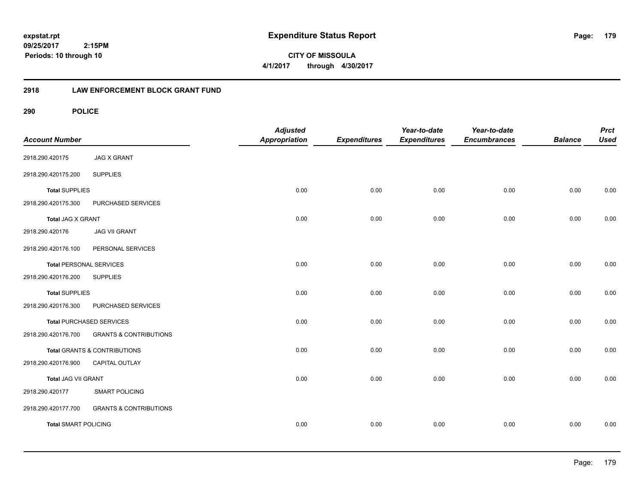**CITY OF MISSOULA 4/1/2017 through 4/30/2017**

### **2918 LAW ENFORCEMENT BLOCK GRANT FUND**

| <b>Account Number</b>          |                                         | <b>Adjusted</b><br><b>Appropriation</b> | <b>Expenditures</b> | Year-to-date<br><b>Expenditures</b> | Year-to-date<br><b>Encumbrances</b> | <b>Balance</b> | <b>Prct</b><br><b>Used</b> |
|--------------------------------|-----------------------------------------|-----------------------------------------|---------------------|-------------------------------------|-------------------------------------|----------------|----------------------------|
| 2918.290.420175                | <b>JAG X GRANT</b>                      |                                         |                     |                                     |                                     |                |                            |
| 2918.290.420175.200            | <b>SUPPLIES</b>                         |                                         |                     |                                     |                                     |                |                            |
| <b>Total SUPPLIES</b>          |                                         | 0.00                                    | 0.00                | 0.00                                | 0.00                                | 0.00           | 0.00                       |
| 2918.290.420175.300            | PURCHASED SERVICES                      |                                         |                     |                                     |                                     |                |                            |
| <b>Total JAG X GRANT</b>       |                                         | 0.00                                    | 0.00                | 0.00                                | 0.00                                | 0.00           | 0.00                       |
| 2918.290.420176                | <b>JAG VII GRANT</b>                    |                                         |                     |                                     |                                     |                |                            |
| 2918.290.420176.100            | PERSONAL SERVICES                       |                                         |                     |                                     |                                     |                |                            |
| <b>Total PERSONAL SERVICES</b> |                                         | 0.00                                    | 0.00                | 0.00                                | 0.00                                | 0.00           | 0.00                       |
| 2918.290.420176.200            | <b>SUPPLIES</b>                         |                                         |                     |                                     |                                     |                |                            |
| <b>Total SUPPLIES</b>          |                                         | 0.00                                    | 0.00                | 0.00                                | 0.00                                | 0.00           | 0.00                       |
| 2918.290.420176.300            | PURCHASED SERVICES                      |                                         |                     |                                     |                                     |                |                            |
|                                | Total PURCHASED SERVICES                | 0.00                                    | 0.00                | 0.00                                | 0.00                                | 0.00           | 0.00                       |
| 2918.290.420176.700            | <b>GRANTS &amp; CONTRIBUTIONS</b>       |                                         |                     |                                     |                                     |                |                            |
|                                | <b>Total GRANTS &amp; CONTRIBUTIONS</b> | 0.00                                    | 0.00                | 0.00                                | 0.00                                | 0.00           | 0.00                       |
| 2918.290.420176.900            | CAPITAL OUTLAY                          |                                         |                     |                                     |                                     |                |                            |
| <b>Total JAG VII GRANT</b>     |                                         | 0.00                                    | 0.00                | 0.00                                | 0.00                                | 0.00           | 0.00                       |
| 2918.290.420177                | <b>SMART POLICING</b>                   |                                         |                     |                                     |                                     |                |                            |
| 2918.290.420177.700            | <b>GRANTS &amp; CONTRIBUTIONS</b>       |                                         |                     |                                     |                                     |                |                            |
| <b>Total SMART POLICING</b>    |                                         | 0.00                                    | 0.00                | 0.00                                | 0.00                                | 0.00           | 0.00                       |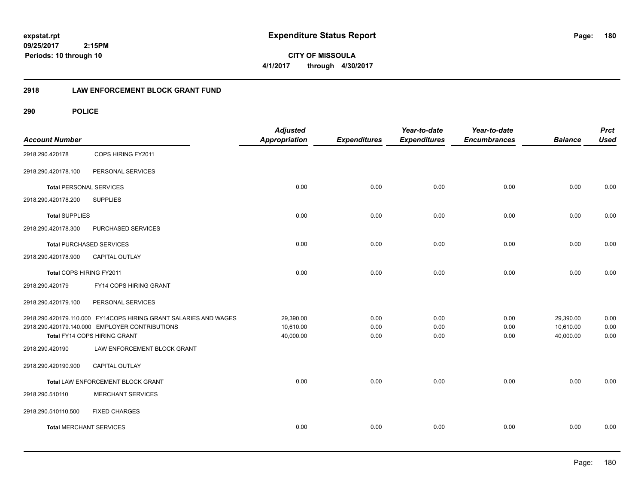**CITY OF MISSOULA 4/1/2017 through 4/30/2017**

### **2918 LAW ENFORCEMENT BLOCK GRANT FUND**

| <b>Account Number</b>          |                                                                  | <b>Adjusted</b><br><b>Appropriation</b> | <b>Expenditures</b> | Year-to-date<br><b>Expenditures</b> | Year-to-date<br><b>Encumbrances</b> | <b>Balance</b> | <b>Prct</b><br><b>Used</b> |
|--------------------------------|------------------------------------------------------------------|-----------------------------------------|---------------------|-------------------------------------|-------------------------------------|----------------|----------------------------|
| 2918.290.420178                | COPS HIRING FY2011                                               |                                         |                     |                                     |                                     |                |                            |
| 2918.290.420178.100            | PERSONAL SERVICES                                                |                                         |                     |                                     |                                     |                |                            |
| <b>Total PERSONAL SERVICES</b> |                                                                  | 0.00                                    | 0.00                | 0.00                                | 0.00                                | 0.00           | 0.00                       |
| 2918.290.420178.200            | <b>SUPPLIES</b>                                                  |                                         |                     |                                     |                                     |                |                            |
| <b>Total SUPPLIES</b>          |                                                                  | 0.00                                    | 0.00                | 0.00                                | 0.00                                | 0.00           | 0.00                       |
| 2918.290.420178.300            | PURCHASED SERVICES                                               |                                         |                     |                                     |                                     |                |                            |
|                                | <b>Total PURCHASED SERVICES</b>                                  | 0.00                                    | 0.00                | 0.00                                | 0.00                                | 0.00           | 0.00                       |
| 2918.290.420178.900            | <b>CAPITAL OUTLAY</b>                                            |                                         |                     |                                     |                                     |                |                            |
| Total COPS HIRING FY2011       |                                                                  | 0.00                                    | 0.00                | 0.00                                | 0.00                                | 0.00           | 0.00                       |
| 2918.290.420179                | FY14 COPS HIRING GRANT                                           |                                         |                     |                                     |                                     |                |                            |
| 2918.290.420179.100            | PERSONAL SERVICES                                                |                                         |                     |                                     |                                     |                |                            |
|                                | 2918.290.420179.110.000 FY14COPS HIRING GRANT SALARIES AND WAGES | 29,390.00                               | 0.00                | 0.00                                | 0.00                                | 29,390.00      | 0.00                       |
|                                | 2918.290.420179.140.000 EMPLOYER CONTRIBUTIONS                   | 10,610.00                               | 0.00                | 0.00                                | 0.00                                | 10,610.00      | 0.00                       |
|                                | Total FY14 COPS HIRING GRANT                                     | 40,000.00                               | 0.00                | 0.00                                | 0.00                                | 40,000.00      | 0.00                       |
| 2918.290.420190                | LAW ENFORCEMENT BLOCK GRANT                                      |                                         |                     |                                     |                                     |                |                            |
| 2918.290.420190.900            | CAPITAL OUTLAY                                                   |                                         |                     |                                     |                                     |                |                            |
|                                | Total LAW ENFORCEMENT BLOCK GRANT                                | 0.00                                    | 0.00                | 0.00                                | 0.00                                | 0.00           | 0.00                       |
| 2918.290.510110                | <b>MERCHANT SERVICES</b>                                         |                                         |                     |                                     |                                     |                |                            |
| 2918.290.510110.500            | <b>FIXED CHARGES</b>                                             |                                         |                     |                                     |                                     |                |                            |
| <b>Total MERCHANT SERVICES</b> |                                                                  | 0.00                                    | 0.00                | 0.00                                | 0.00                                | 0.00           | 0.00                       |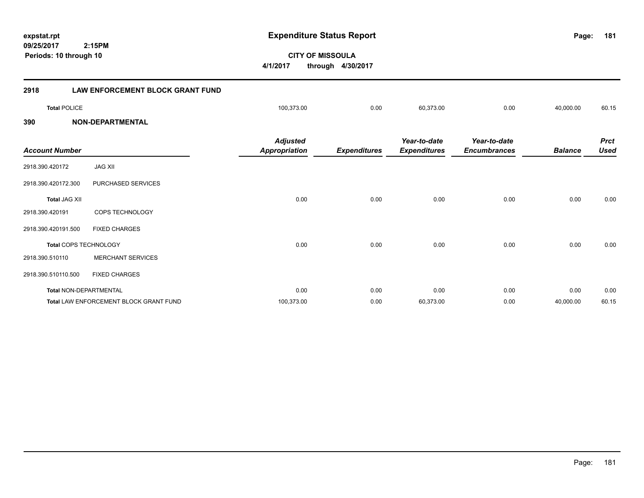**09/25/2017 CITY OF MISSOULA 2:15PM 4/1/2017 through 4/30/2017 Periods: 10 through 10 2918 LAW ENFORCEMENT BLOCK GRANT FUND Total** POLICE 100,373.00 0.00 60,373.00 0.00 40,000.00 60.15 **390 NON-DEPARTMENTAL** *Prct Balance Used Year-to-date Encumbrances Year-to-date Expenditures Expenditures Adjusted Account Number Appropriation* 2918.390.420172 JAG XII 2918.390.420172.300 PURCHASED SERVICES **Total** JAG XII 0.00 0.00 0.00 0.00 0.00 0.00 2918.390.420191 COPS TECHNOLOGY 2918.390.420191.500 FIXED CHARGES **Total** COPS TECHNOLOGY 0.00 0.00 0.00 0.00 0.00 0.00 2918.390.510110 MERCHANT SERVICES

**expstat.rpt Expenditure Status Report Page:**

2918.390.510110.500 FIXED CHARGES **Total** NON-DEPARTMENTAL 0.00 0.00 0.00 0.00 0.00 0.00 **Total** LAW ENFORCEMENT BLOCK GRANT FUND 100,373.00 0.00 60,373.00 0.00 40,000.00 60.15

**181**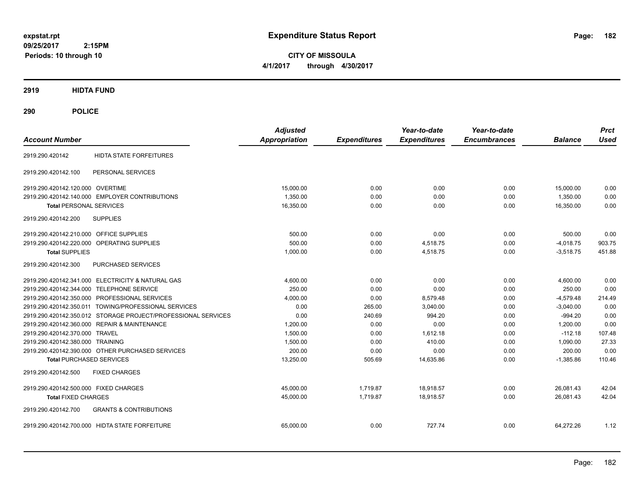**CITY OF MISSOULA 4/1/2017 through 4/30/2017**

**2919 HIDTA FUND**

**290 POLICE**

| <b>Account Number</b>                                         | <b>Adjusted</b><br><b>Appropriation</b> | <b>Expenditures</b> | Year-to-date<br><b>Expenditures</b> | Year-to-date<br><b>Encumbrances</b> | <b>Balance</b> | <b>Prct</b><br><b>Used</b> |
|---------------------------------------------------------------|-----------------------------------------|---------------------|-------------------------------------|-------------------------------------|----------------|----------------------------|
| <b>HIDTA STATE FORFEITURES</b><br>2919.290.420142             |                                         |                     |                                     |                                     |                |                            |
| 2919.290.420142.100<br>PERSONAL SERVICES                      |                                         |                     |                                     |                                     |                |                            |
| 2919.290.420142.120.000 OVERTIME                              | 15.000.00                               | 0.00                | 0.00                                | 0.00                                | 15,000.00      | 0.00                       |
| 2919.290.420142.140.000 EMPLOYER CONTRIBUTIONS                | 1.350.00                                | 0.00                | 0.00                                | 0.00                                | 1.350.00       | 0.00                       |
| <b>Total PERSONAL SERVICES</b>                                | 16,350.00                               | 0.00                | 0.00                                | 0.00                                | 16,350.00      | 0.00                       |
| 2919.290.420142.200<br><b>SUPPLIES</b>                        |                                         |                     |                                     |                                     |                |                            |
| 2919.290.420142.210.000 OFFICE SUPPLIES                       | 500.00                                  | 0.00                | 0.00                                | 0.00                                | 500.00         | 0.00                       |
| 2919.290.420142.220.000<br>OPERATING SUPPLIES                 | 500.00                                  | 0.00                | 4,518.75                            | 0.00                                | $-4,018.75$    | 903.75                     |
| <b>Total SUPPLIES</b>                                         | 1.000.00                                | 0.00                | 4.518.75                            | 0.00                                | $-3,518.75$    | 451.88                     |
| PURCHASED SERVICES<br>2919.290.420142.300                     |                                         |                     |                                     |                                     |                |                            |
| 2919.290.420142.341.000 ELECTRICITY & NATURAL GAS             | 4,600.00                                | 0.00                | 0.00                                | 0.00                                | 4,600.00       | 0.00                       |
| 2919.290.420142.344.000 TELEPHONE SERVICE                     | 250.00                                  | 0.00                | 0.00                                | 0.00                                | 250.00         | 0.00                       |
| 2919.290.420142.350.000 PROFESSIONAL SERVICES                 | 4,000.00                                | 0.00                | 8,579.48                            | 0.00                                | $-4,579.48$    | 214.49                     |
| 2919.290.420142.350.011 TOWING/PROFESSIONAL SERVICES          | 0.00                                    | 265.00              | 3,040.00                            | 0.00                                | $-3,040.00$    | 0.00                       |
| 2919.290.420142.350.012 STORAGE PROJECT/PROFESSIONAL SERVICES | 0.00                                    | 240.69              | 994.20                              | 0.00                                | $-994.20$      | 0.00                       |
| 2919.290.420142.360.000 REPAIR & MAINTENANCE                  | 1,200.00                                | 0.00                | 0.00                                | 0.00                                | 1,200.00       | 0.00                       |
| 2919.290.420142.370.000 TRAVEL                                | 1.500.00                                | 0.00                | 1.612.18                            | 0.00                                | $-112.18$      | 107.48                     |
| 2919.290.420142.380.000 TRAINING                              | 1,500.00                                | 0.00                | 410.00                              | 0.00                                | 1.090.00       | 27.33                      |
| 2919.290.420142.390.000 OTHER PURCHASED SERVICES              | 200.00                                  | 0.00                | 0.00                                | 0.00                                | 200.00         | 0.00                       |
| <b>Total PURCHASED SERVICES</b>                               | 13,250.00                               | 505.69              | 14,635.86                           | 0.00                                | $-1,385.86$    | 110.46                     |
| 2919.290.420142.500<br><b>FIXED CHARGES</b>                   |                                         |                     |                                     |                                     |                |                            |
| 2919.290.420142.500.000 FIXED CHARGES                         | 45,000.00                               | 1,719.87            | 18,918.57                           | 0.00                                | 26.081.43      | 42.04                      |
| <b>Total FIXED CHARGES</b>                                    | 45,000.00                               | 1,719.87            | 18,918.57                           | 0.00                                | 26,081.43      | 42.04                      |
| 2919.290.420142.700<br><b>GRANTS &amp; CONTRIBUTIONS</b>      |                                         |                     |                                     |                                     |                |                            |
| 2919.290.420142.700.000 HIDTA STATE FORFEITURE                | 65,000.00                               | 0.00                | 727.74                              | 0.00                                | 64,272.26      | 1.12                       |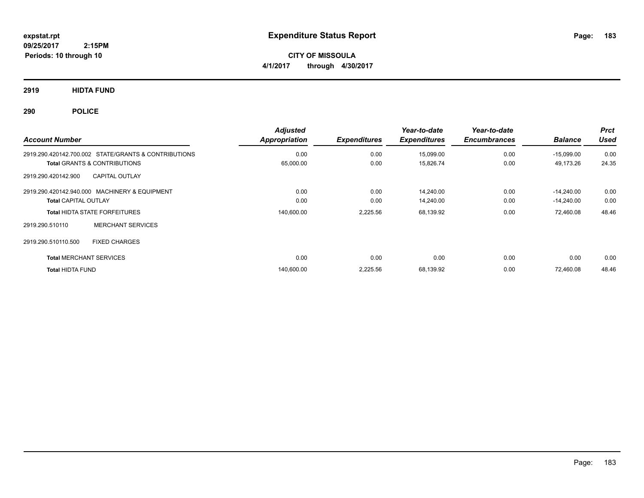**CITY OF MISSOULA 4/1/2017 through 4/30/2017**

**2919 HIDTA FUND**

**290 POLICE**

| <b>Account Number</b>                                | <b>Adjusted</b><br>Appropriation | <b>Expenditures</b> | Year-to-date<br><b>Expenditures</b> | Year-to-date<br><b>Encumbrances</b> | <b>Balance</b> | <b>Prct</b><br><b>Used</b> |
|------------------------------------------------------|----------------------------------|---------------------|-------------------------------------|-------------------------------------|----------------|----------------------------|
| 2919.290.420142.700.002 STATE/GRANTS & CONTRIBUTIONS | 0.00                             | 0.00                | 15,099.00                           | 0.00                                | $-15,099.00$   | 0.00                       |
| <b>Total GRANTS &amp; CONTRIBUTIONS</b>              | 65,000.00                        | 0.00                | 15,826.74                           | 0.00                                | 49,173.26      | 24.35                      |
| <b>CAPITAL OUTLAY</b><br>2919.290.420142.900         |                                  |                     |                                     |                                     |                |                            |
| 2919.290.420142.940.000 MACHINERY & EQUIPMENT        | 0.00                             | 0.00                | 14,240.00                           | 0.00                                | $-14.240.00$   | 0.00                       |
| <b>Total CAPITAL OUTLAY</b>                          | 0.00                             | 0.00                | 14,240.00                           | 0.00                                | $-14,240.00$   | 0.00                       |
| <b>Total HIDTA STATE FORFEITURES</b>                 | 140,600.00                       | 2,225.56            | 68,139.92                           | 0.00                                | 72,460.08      | 48.46                      |
| <b>MERCHANT SERVICES</b><br>2919.290.510110          |                                  |                     |                                     |                                     |                |                            |
| 2919.290.510110.500<br><b>FIXED CHARGES</b>          |                                  |                     |                                     |                                     |                |                            |
| <b>Total MERCHANT SERVICES</b>                       | 0.00                             | 0.00                | 0.00                                | 0.00                                | 0.00           | 0.00                       |
| <b>Total HIDTA FUND</b>                              | 140,600.00                       | 2,225.56            | 68,139.92                           | 0.00                                | 72,460.08      | 48.46                      |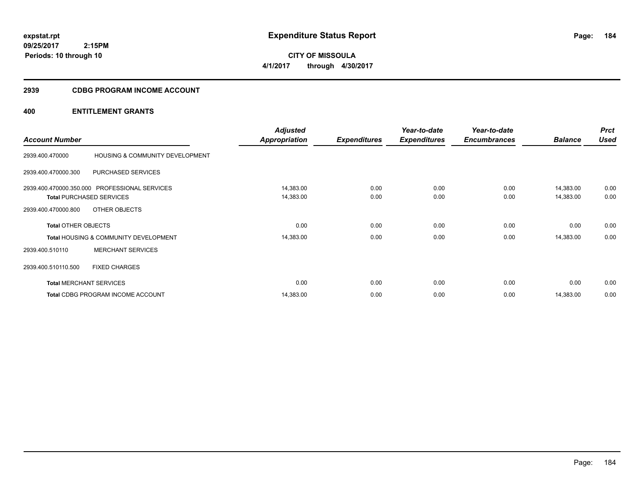**CITY OF MISSOULA 4/1/2017 through 4/30/2017**

## **2939 CDBG PROGRAM INCOME ACCOUNT**

|                            |                                                  | <b>Adjusted</b>      |                     | Year-to-date        | Year-to-date        |                | <b>Prct</b> |
|----------------------------|--------------------------------------------------|----------------------|---------------------|---------------------|---------------------|----------------|-------------|
| <b>Account Number</b>      |                                                  | <b>Appropriation</b> | <b>Expenditures</b> | <b>Expenditures</b> | <b>Encumbrances</b> | <b>Balance</b> | <b>Used</b> |
| 2939.400.470000            | HOUSING & COMMUNITY DEVELOPMENT                  |                      |                     |                     |                     |                |             |
| 2939.400.470000.300        | PURCHASED SERVICES                               |                      |                     |                     |                     |                |             |
| 2939.400.470000.350.000    | <b>PROFESSIONAL SERVICES</b>                     | 14,383.00            | 0.00                | 0.00                | 0.00                | 14,383.00      | 0.00        |
|                            | <b>Total PURCHASED SERVICES</b>                  | 14,383.00            | 0.00                | 0.00                | 0.00                | 14,383.00      | 0.00        |
| 2939.400.470000.800        | OTHER OBJECTS                                    |                      |                     |                     |                     |                |             |
| <b>Total OTHER OBJECTS</b> |                                                  | 0.00                 | 0.00                | 0.00                | 0.00                | 0.00           | 0.00        |
|                            | <b>Total HOUSING &amp; COMMUNITY DEVELOPMENT</b> | 14,383.00            | 0.00                | 0.00                | 0.00                | 14,383.00      | 0.00        |
| 2939.400.510110            | <b>MERCHANT SERVICES</b>                         |                      |                     |                     |                     |                |             |
| 2939.400.510110.500        | <b>FIXED CHARGES</b>                             |                      |                     |                     |                     |                |             |
|                            | <b>Total MERCHANT SERVICES</b>                   | 0.00                 | 0.00                | 0.00                | 0.00                | 0.00           | 0.00        |
|                            | <b>Total CDBG PROGRAM INCOME ACCOUNT</b>         | 14,383.00            | 0.00                | 0.00                | 0.00                | 14,383.00      | 0.00        |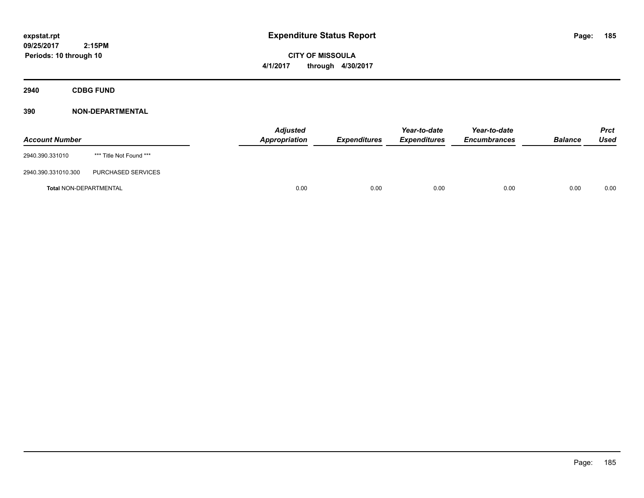**CITY OF MISSOULA 4/1/2017 through 4/30/2017**

**2940 CDBG FUND**

| <b>Account Number</b>         |                         | <b>Adjusted</b><br>Appropriation | <b>Expenditures</b> | Year-to-date<br><b>Expenditures</b> | Year-to-date<br><b>Encumbrances</b> | <b>Balance</b> | <b>Prct</b><br>Used |
|-------------------------------|-------------------------|----------------------------------|---------------------|-------------------------------------|-------------------------------------|----------------|---------------------|
| 2940.390.331010               | *** Title Not Found *** |                                  |                     |                                     |                                     |                |                     |
| 2940.390.331010.300           | PURCHASED SERVICES      |                                  |                     |                                     |                                     |                |                     |
| <b>Total NON-DEPARTMENTAL</b> |                         | 0.00                             | 0.00                | 0.00                                | 0.00                                | 0.00           | 0.00                |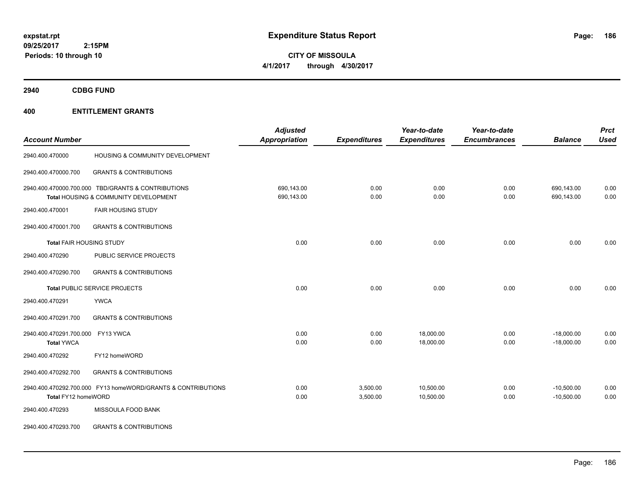**CITY OF MISSOULA 4/1/2017 through 4/30/2017**

**2940 CDBG FUND**

| <b>Account Number</b>                        |                                                                                             | <b>Adjusted</b><br><b>Appropriation</b> | <b>Expenditures</b>  | Year-to-date<br><b>Expenditures</b> | Year-to-date<br><b>Encumbrances</b> | <b>Balance</b>               | <b>Prct</b><br><b>Used</b> |
|----------------------------------------------|---------------------------------------------------------------------------------------------|-----------------------------------------|----------------------|-------------------------------------|-------------------------------------|------------------------------|----------------------------|
| 2940.400.470000                              | HOUSING & COMMUNITY DEVELOPMENT                                                             |                                         |                      |                                     |                                     |                              |                            |
| 2940.400.470000.700                          | <b>GRANTS &amp; CONTRIBUTIONS</b>                                                           |                                         |                      |                                     |                                     |                              |                            |
|                                              | 2940.400.470000.700.000 TBD/GRANTS & CONTRIBUTIONS<br>Total HOUSING & COMMUNITY DEVELOPMENT | 690,143.00<br>690,143.00                | 0.00<br>0.00         | 0.00<br>0.00                        | 0.00<br>0.00                        | 690,143.00<br>690,143.00     | 0.00<br>0.00               |
| 2940.400.470001                              | <b>FAIR HOUSING STUDY</b>                                                                   |                                         |                      |                                     |                                     |                              |                            |
| 2940.400.470001.700                          | <b>GRANTS &amp; CONTRIBUTIONS</b>                                                           |                                         |                      |                                     |                                     |                              |                            |
| <b>Total FAIR HOUSING STUDY</b>              |                                                                                             | 0.00                                    | 0.00                 | 0.00                                | 0.00                                | 0.00                         | 0.00                       |
| 2940.400.470290                              | PUBLIC SERVICE PROJECTS                                                                     |                                         |                      |                                     |                                     |                              |                            |
| 2940.400.470290.700                          | <b>GRANTS &amp; CONTRIBUTIONS</b>                                                           |                                         |                      |                                     |                                     |                              |                            |
|                                              | Total PUBLIC SERVICE PROJECTS                                                               | 0.00                                    | 0.00                 | 0.00                                | 0.00                                | 0.00                         | 0.00                       |
| 2940.400.470291                              | <b>YWCA</b>                                                                                 |                                         |                      |                                     |                                     |                              |                            |
| 2940.400.470291.700                          | <b>GRANTS &amp; CONTRIBUTIONS</b>                                                           |                                         |                      |                                     |                                     |                              |                            |
| 2940.400.470291.700.000<br><b>Total YWCA</b> | FY13 YWCA                                                                                   | 0.00<br>0.00                            | 0.00<br>0.00         | 18,000.00<br>18,000.00              | 0.00<br>0.00                        | $-18,000.00$<br>$-18,000.00$ | 0.00<br>0.00               |
| 2940.400.470292                              | FY12 homeWORD                                                                               |                                         |                      |                                     |                                     |                              |                            |
| 2940.400.470292.700                          | <b>GRANTS &amp; CONTRIBUTIONS</b>                                                           |                                         |                      |                                     |                                     |                              |                            |
| Total FY12 homeWORD                          | 2940.400.470292.700.000 FY13 homeWORD/GRANTS & CONTRIBUTIONS                                | 0.00<br>0.00                            | 3,500.00<br>3,500.00 | 10,500.00<br>10,500.00              | 0.00<br>0.00                        | $-10,500.00$<br>$-10,500.00$ | 0.00<br>0.00               |
| 2940.400.470293                              | MISSOULA FOOD BANK                                                                          |                                         |                      |                                     |                                     |                              |                            |
| 2940.400.470293.700                          | <b>GRANTS &amp; CONTRIBUTIONS</b>                                                           |                                         |                      |                                     |                                     |                              |                            |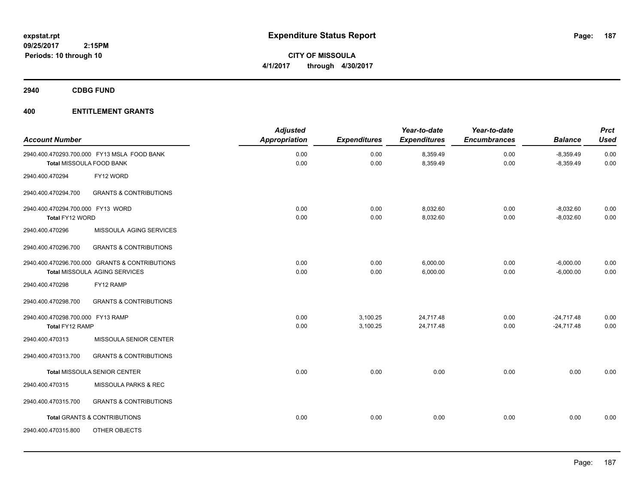**CITY OF MISSOULA 4/1/2017 through 4/30/2017**

**2940 CDBG FUND**

| <b>Account Number</b>                                |                                                                                 | <b>Adjusted</b><br>Appropriation | <b>Expenditures</b>  | Year-to-date<br><b>Expenditures</b> | Year-to-date<br><b>Encumbrances</b> | <b>Balance</b>               | <b>Prct</b><br><b>Used</b> |
|------------------------------------------------------|---------------------------------------------------------------------------------|----------------------------------|----------------------|-------------------------------------|-------------------------------------|------------------------------|----------------------------|
|                                                      | 2940.400.470293.700.000 FY13 MSLA FOOD BANK<br>Total MISSOULA FOOD BANK         | 0.00<br>0.00                     | 0.00<br>0.00         | 8,359.49<br>8,359.49                | 0.00<br>0.00                        | $-8,359.49$<br>$-8,359.49$   | 0.00<br>0.00               |
| 2940.400.470294                                      | FY12 WORD                                                                       |                                  |                      |                                     |                                     |                              |                            |
| 2940.400.470294.700                                  | <b>GRANTS &amp; CONTRIBUTIONS</b>                                               |                                  |                      |                                     |                                     |                              |                            |
| 2940.400.470294.700.000 FY13 WORD<br>Total FY12 WORD |                                                                                 | 0.00<br>0.00                     | 0.00<br>0.00         | 8,032.60<br>8,032.60                | 0.00<br>0.00                        | $-8,032.60$<br>$-8,032.60$   | 0.00<br>0.00               |
| 2940.400.470296                                      | MISSOULA AGING SERVICES                                                         |                                  |                      |                                     |                                     |                              |                            |
| 2940.400.470296.700                                  | <b>GRANTS &amp; CONTRIBUTIONS</b>                                               |                                  |                      |                                     |                                     |                              |                            |
|                                                      | 2940.400.470296.700.000 GRANTS & CONTRIBUTIONS<br>Total MISSOULA AGING SERVICES | 0.00<br>0.00                     | 0.00<br>0.00         | 6,000.00<br>6,000.00                | 0.00<br>0.00                        | $-6,000.00$<br>$-6,000.00$   | 0.00<br>0.00               |
| 2940.400.470298                                      | FY12 RAMP                                                                       |                                  |                      |                                     |                                     |                              |                            |
| 2940.400.470298.700                                  | <b>GRANTS &amp; CONTRIBUTIONS</b>                                               |                                  |                      |                                     |                                     |                              |                            |
| 2940.400.470298.700.000 FY13 RAMP<br>Total FY12 RAMP |                                                                                 | 0.00<br>0.00                     | 3,100.25<br>3,100.25 | 24,717.48<br>24,717.48              | 0.00<br>0.00                        | $-24,717.48$<br>$-24,717.48$ | 0.00<br>0.00               |
| 2940.400.470313                                      | MISSOULA SENIOR CENTER                                                          |                                  |                      |                                     |                                     |                              |                            |
| 2940.400.470313.700                                  | <b>GRANTS &amp; CONTRIBUTIONS</b>                                               |                                  |                      |                                     |                                     |                              |                            |
|                                                      | Total MISSOULA SENIOR CENTER                                                    | 0.00                             | 0.00                 | 0.00                                | 0.00                                | 0.00                         | 0.00                       |
| 2940.400.470315                                      | MISSOULA PARKS & REC                                                            |                                  |                      |                                     |                                     |                              |                            |
| 2940.400.470315.700                                  | <b>GRANTS &amp; CONTRIBUTIONS</b>                                               |                                  |                      |                                     |                                     |                              |                            |
|                                                      | <b>Total GRANTS &amp; CONTRIBUTIONS</b>                                         | 0.00                             | 0.00                 | 0.00                                | 0.00                                | 0.00                         | 0.00                       |
| 2940.400.470315.800                                  | OTHER OBJECTS                                                                   |                                  |                      |                                     |                                     |                              |                            |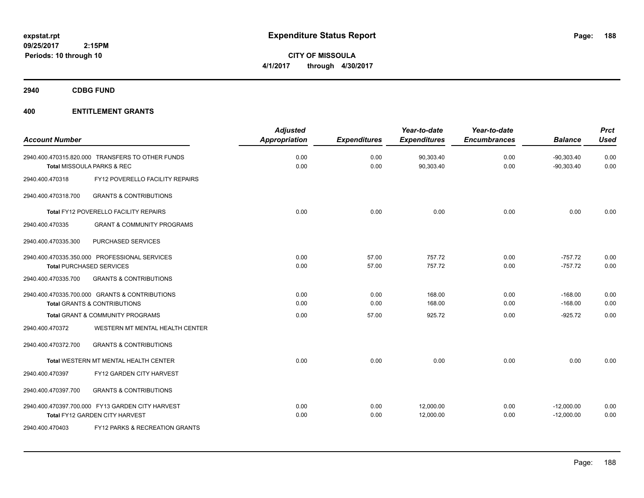**CITY OF MISSOULA 4/1/2017 through 4/30/2017**

**2940 CDBG FUND**

|                       |                                                  | <b>Adjusted</b>      |                     | Year-to-date        | Year-to-date        |                | <b>Prct</b> |
|-----------------------|--------------------------------------------------|----------------------|---------------------|---------------------|---------------------|----------------|-------------|
| <b>Account Number</b> |                                                  | <b>Appropriation</b> | <b>Expenditures</b> | <b>Expenditures</b> | <b>Encumbrances</b> | <b>Balance</b> | <b>Used</b> |
|                       | 2940.400.470315.820.000 TRANSFERS TO OTHER FUNDS | 0.00                 | 0.00                | 90,303.40           | 0.00                | $-90,303.40$   | 0.00        |
|                       | <b>Total MISSOULA PARKS &amp; REC</b>            | 0.00                 | 0.00                | 90,303.40           | 0.00                | $-90,303.40$   | 0.00        |
| 2940.400.470318       | FY12 POVERELLO FACILITY REPAIRS                  |                      |                     |                     |                     |                |             |
| 2940.400.470318.700   | <b>GRANTS &amp; CONTRIBUTIONS</b>                |                      |                     |                     |                     |                |             |
|                       | <b>Total FY12 POVERELLO FACILITY REPAIRS</b>     | 0.00                 | 0.00                | 0.00                | 0.00                | 0.00           | 0.00        |
| 2940.400.470335       | <b>GRANT &amp; COMMUNITY PROGRAMS</b>            |                      |                     |                     |                     |                |             |
| 2940.400.470335.300   | PURCHASED SERVICES                               |                      |                     |                     |                     |                |             |
|                       | 2940.400.470335.350.000 PROFESSIONAL SERVICES    | 0.00                 | 57.00               | 757.72              | 0.00                | $-757.72$      | 0.00        |
|                       | <b>Total PURCHASED SERVICES</b>                  | 0.00                 | 57.00               | 757.72              | 0.00                | $-757.72$      | 0.00        |
| 2940.400.470335.700   | <b>GRANTS &amp; CONTRIBUTIONS</b>                |                      |                     |                     |                     |                |             |
|                       | 2940.400.470335.700.000 GRANTS & CONTRIBUTIONS   | 0.00                 | 0.00                | 168.00              | 0.00                | $-168.00$      | 0.00        |
|                       | <b>Total GRANTS &amp; CONTRIBUTIONS</b>          | 0.00                 | 0.00                | 168.00              | 0.00                | $-168.00$      | 0.00        |
|                       | Total GRANT & COMMUNITY PROGRAMS                 | 0.00                 | 57.00               | 925.72              | 0.00                | $-925.72$      | 0.00        |
| 2940.400.470372       | WESTERN MT MENTAL HEALTH CENTER                  |                      |                     |                     |                     |                |             |
| 2940.400.470372.700   | <b>GRANTS &amp; CONTRIBUTIONS</b>                |                      |                     |                     |                     |                |             |
|                       | <b>Total WESTERN MT MENTAL HEALTH CENTER</b>     | 0.00                 | 0.00                | 0.00                | 0.00                | 0.00           | 0.00        |
| 2940.400.470397       | FY12 GARDEN CITY HARVEST                         |                      |                     |                     |                     |                |             |
| 2940.400.470397.700   | <b>GRANTS &amp; CONTRIBUTIONS</b>                |                      |                     |                     |                     |                |             |
|                       | 2940.400.470397.700.000 FY13 GARDEN CITY HARVEST | 0.00                 | 0.00                | 12,000.00           | 0.00                | $-12,000.00$   | 0.00        |
|                       | Total FY12 GARDEN CITY HARVEST                   | 0.00                 | 0.00                | 12,000.00           | 0.00                | $-12,000.00$   | 0.00        |
| 2940.400.470403       | FY12 PARKS & RECREATION GRANTS                   |                      |                     |                     |                     |                |             |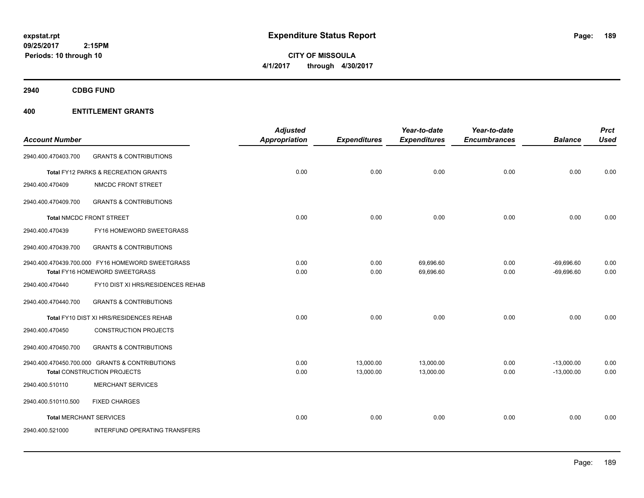**CITY OF MISSOULA 4/1/2017 through 4/30/2017**

**2940 CDBG FUND**

| <b>Account Number</b>          |                                                  | <b>Adjusted</b><br>Appropriation | <b>Expenditures</b> | Year-to-date<br><b>Expenditures</b> | Year-to-date<br><b>Encumbrances</b> | <b>Balance</b> | <b>Prct</b><br><b>Used</b> |
|--------------------------------|--------------------------------------------------|----------------------------------|---------------------|-------------------------------------|-------------------------------------|----------------|----------------------------|
| 2940.400.470403.700            | <b>GRANTS &amp; CONTRIBUTIONS</b>                |                                  |                     |                                     |                                     |                |                            |
|                                | Total FY12 PARKS & RECREATION GRANTS             | 0.00                             | 0.00                | 0.00                                | 0.00                                | 0.00           | 0.00                       |
| 2940.400.470409                | NMCDC FRONT STREET                               |                                  |                     |                                     |                                     |                |                            |
| 2940.400.470409.700            | <b>GRANTS &amp; CONTRIBUTIONS</b>                |                                  |                     |                                     |                                     |                |                            |
|                                | <b>Total NMCDC FRONT STREET</b>                  | 0.00                             | 0.00                | 0.00                                | 0.00                                | 0.00           | 0.00                       |
| 2940.400.470439                | FY16 HOMEWORD SWEETGRASS                         |                                  |                     |                                     |                                     |                |                            |
| 2940.400.470439.700            | <b>GRANTS &amp; CONTRIBUTIONS</b>                |                                  |                     |                                     |                                     |                |                            |
|                                | 2940.400.470439.700.000 FY16 HOMEWORD SWEETGRASS | 0.00                             | 0.00                | 69,696.60                           | 0.00                                | $-69,696.60$   | 0.00                       |
|                                | Total FY16 HOMEWORD SWEETGRASS                   | 0.00                             | 0.00                | 69,696.60                           | 0.00                                | $-69,696.60$   | 0.00                       |
| 2940.400.470440                | FY10 DIST XI HRS/RESIDENCES REHAB                |                                  |                     |                                     |                                     |                |                            |
| 2940.400.470440.700            | <b>GRANTS &amp; CONTRIBUTIONS</b>                |                                  |                     |                                     |                                     |                |                            |
|                                | Total FY10 DIST XI HRS/RESIDENCES REHAB          | 0.00                             | 0.00                | 0.00                                | 0.00                                | 0.00           | 0.00                       |
| 2940.400.470450                | <b>CONSTRUCTION PROJECTS</b>                     |                                  |                     |                                     |                                     |                |                            |
| 2940.400.470450.700            | <b>GRANTS &amp; CONTRIBUTIONS</b>                |                                  |                     |                                     |                                     |                |                            |
|                                | 2940.400.470450.700.000 GRANTS & CONTRIBUTIONS   | 0.00                             | 13,000.00           | 13,000.00                           | 0.00                                | $-13,000.00$   | 0.00                       |
|                                | Total CONSTRUCTION PROJECTS                      | 0.00                             | 13,000.00           | 13,000.00                           | 0.00                                | $-13,000.00$   | 0.00                       |
| 2940.400.510110                | <b>MERCHANT SERVICES</b>                         |                                  |                     |                                     |                                     |                |                            |
| 2940.400.510110.500            | <b>FIXED CHARGES</b>                             |                                  |                     |                                     |                                     |                |                            |
| <b>Total MERCHANT SERVICES</b> |                                                  | 0.00                             | 0.00                | 0.00                                | 0.00                                | 0.00           | 0.00                       |
| 2940.400.521000                | INTERFUND OPERATING TRANSFERS                    |                                  |                     |                                     |                                     |                |                            |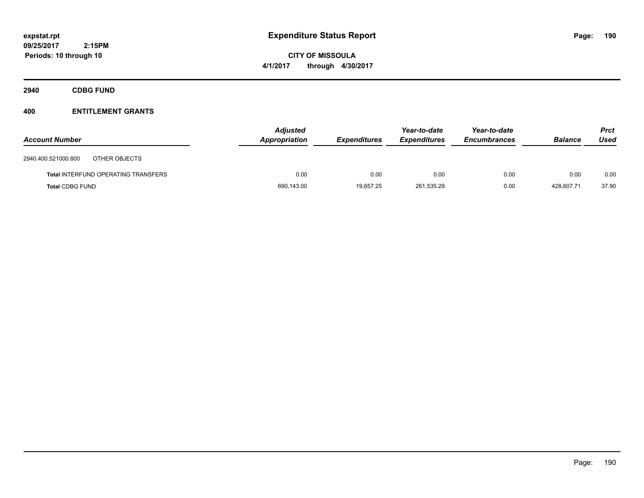**CITY OF MISSOULA 4/1/2017 through 4/30/2017**

**2940 CDBG FUND**

| <b>Account Number</b>  |                                            | <b>Adjusted</b><br>Appropriation | <b>Expenditures</b> | Year-to-date<br><b>Expenditures</b> | Year-to-date<br><b>Encumbrances</b> | <b>Balance</b> | <b>Prct</b><br>Used |
|------------------------|--------------------------------------------|----------------------------------|---------------------|-------------------------------------|-------------------------------------|----------------|---------------------|
| 2940.400.521000.800    | OTHER OBJECTS                              |                                  |                     |                                     |                                     |                |                     |
|                        | <b>Total INTERFUND OPERATING TRANSFERS</b> | 0.00                             | 0.00                | 0.00                                | 0.00                                | 0.00           | 0.00                |
| <b>Total CDBG FUND</b> |                                            | 690,143.00                       | 19.657.25           | 261,535.29                          | 0.00                                | 428.607.71     | 37.90               |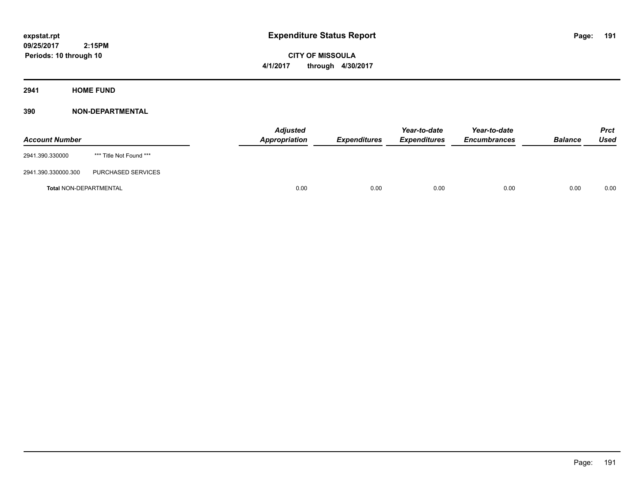**CITY OF MISSOULA 4/1/2017 through 4/30/2017**

**2941 HOME FUND**

| <b>Account Number</b>         |                         | <b>Adjusted</b><br>Appropriation | <b>Expenditures</b> | Year-to-date<br><b>Expenditures</b> | Year-to-date<br><b>Encumbrances</b> | <b>Balance</b> | <b>Prct</b><br>Used |
|-------------------------------|-------------------------|----------------------------------|---------------------|-------------------------------------|-------------------------------------|----------------|---------------------|
| 2941.390.330000               | *** Title Not Found *** |                                  |                     |                                     |                                     |                |                     |
| 2941.390.330000.300           | PURCHASED SERVICES      |                                  |                     |                                     |                                     |                |                     |
| <b>Total NON-DEPARTMENTAL</b> |                         | 0.00                             | 0.00                | 0.00                                | 0.00                                | 0.00           | 0.00                |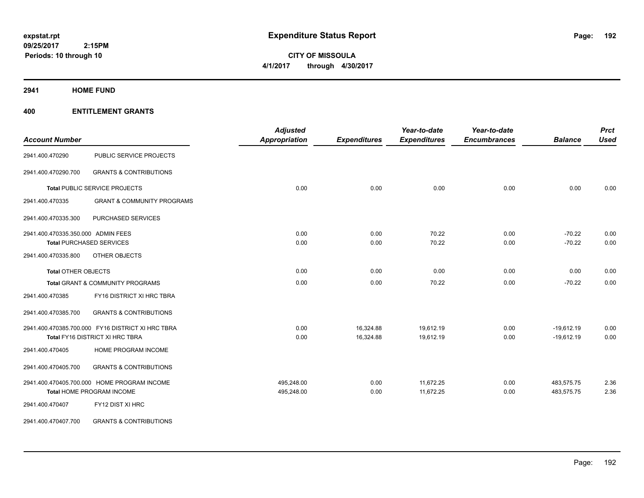**CITY OF MISSOULA 4/1/2017 through 4/30/2017**

**2941 HOME FUND**

| <b>Account Number</b>              |                                                   | <b>Adjusted</b><br><b>Appropriation</b> | <b>Expenditures</b> | Year-to-date<br><b>Expenditures</b> | Year-to-date<br><b>Encumbrances</b> | <b>Balance</b> | <b>Prct</b><br><b>Used</b> |
|------------------------------------|---------------------------------------------------|-----------------------------------------|---------------------|-------------------------------------|-------------------------------------|----------------|----------------------------|
| 2941.400.470290                    | PUBLIC SERVICE PROJECTS                           |                                         |                     |                                     |                                     |                |                            |
| 2941.400.470290.700                | <b>GRANTS &amp; CONTRIBUTIONS</b>                 |                                         |                     |                                     |                                     |                |                            |
|                                    | Total PUBLIC SERVICE PROJECTS                     | 0.00                                    | 0.00                | 0.00                                | 0.00                                | 0.00           | 0.00                       |
| 2941.400.470335                    | <b>GRANT &amp; COMMUNITY PROGRAMS</b>             |                                         |                     |                                     |                                     |                |                            |
| 2941.400.470335.300                | PURCHASED SERVICES                                |                                         |                     |                                     |                                     |                |                            |
| 2941.400.470335.350.000 ADMIN FEES |                                                   | 0.00                                    | 0.00                | 70.22                               | 0.00                                | $-70.22$       | 0.00                       |
|                                    | <b>Total PURCHASED SERVICES</b>                   | 0.00                                    | 0.00                | 70.22                               | 0.00                                | $-70.22$       | 0.00                       |
| 2941.400.470335.800                | OTHER OBJECTS                                     |                                         |                     |                                     |                                     |                |                            |
| <b>Total OTHER OBJECTS</b>         |                                                   | 0.00                                    | 0.00                | 0.00                                | 0.00                                | 0.00           | 0.00                       |
|                                    | Total GRANT & COMMUNITY PROGRAMS                  | 0.00                                    | 0.00                | 70.22                               | 0.00                                | $-70.22$       | 0.00                       |
| 2941.400.470385                    | FY16 DISTRICT XI HRC TBRA                         |                                         |                     |                                     |                                     |                |                            |
| 2941.400.470385.700                | <b>GRANTS &amp; CONTRIBUTIONS</b>                 |                                         |                     |                                     |                                     |                |                            |
|                                    | 2941.400.470385.700.000 FY16 DISTRICT XI HRC TBRA | 0.00                                    | 16,324.88           | 19,612.19                           | 0.00                                | $-19,612.19$   | 0.00                       |
|                                    | Total FY16 DISTRICT XI HRC TBRA                   | 0.00                                    | 16,324.88           | 19,612.19                           | 0.00                                | $-19,612.19$   | 0.00                       |
| 2941.400.470405                    | HOME PROGRAM INCOME                               |                                         |                     |                                     |                                     |                |                            |
| 2941.400.470405.700                | <b>GRANTS &amp; CONTRIBUTIONS</b>                 |                                         |                     |                                     |                                     |                |                            |
|                                    | 2941.400.470405.700.000 HOME PROGRAM INCOME       | 495,248.00                              | 0.00                | 11,672.25                           | 0.00                                | 483,575.75     | 2.36                       |
|                                    | Total HOME PROGRAM INCOME                         | 495,248.00                              | 0.00                | 11,672.25                           | 0.00                                | 483,575.75     | 2.36                       |
| 2941.400.470407                    | FY12 DIST XI HRC                                  |                                         |                     |                                     |                                     |                |                            |
| 2941.400.470407.700                | <b>GRANTS &amp; CONTRIBUTIONS</b>                 |                                         |                     |                                     |                                     |                |                            |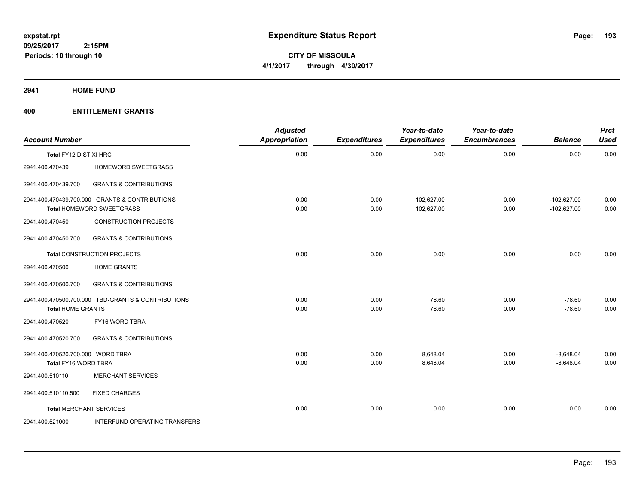**Periods: 10 through 10**

**CITY OF MISSOULA 4/1/2017 through 4/30/2017**

**2941 HOME FUND**

| <b>Account Number</b>                                     |                                                           | <b>Adjusted</b><br>Appropriation | <b>Expenditures</b> | Year-to-date<br><b>Expenditures</b> | Year-to-date<br><b>Encumbrances</b> | <b>Balance</b>             | <b>Prct</b><br><b>Used</b> |
|-----------------------------------------------------------|-----------------------------------------------------------|----------------------------------|---------------------|-------------------------------------|-------------------------------------|----------------------------|----------------------------|
| Total FY12 DIST XI HRC                                    |                                                           | 0.00                             | 0.00                | 0.00                                | 0.00                                | 0.00                       | 0.00                       |
| 2941.400.470439                                           | <b>HOMEWORD SWEETGRASS</b>                                |                                  |                     |                                     |                                     |                            |                            |
| 2941.400.470439.700                                       | <b>GRANTS &amp; CONTRIBUTIONS</b>                         |                                  |                     |                                     |                                     |                            |                            |
|                                                           | 2941.400.470439.700.000 GRANTS & CONTRIBUTIONS            | 0.00                             | 0.00                | 102,627.00                          | 0.00                                | $-102,627.00$              | 0.00                       |
| 2941.400.470450                                           | Total HOMEWORD SWEETGRASS<br><b>CONSTRUCTION PROJECTS</b> | 0.00                             | 0.00                | 102,627.00                          | 0.00                                | $-102,627.00$              | 0.00                       |
| 2941.400.470450.700                                       | <b>GRANTS &amp; CONTRIBUTIONS</b>                         |                                  |                     |                                     |                                     |                            |                            |
|                                                           | <b>Total CONSTRUCTION PROJECTS</b>                        | 0.00                             | 0.00                | 0.00                                | 0.00                                | 0.00                       | 0.00                       |
| 2941.400.470500                                           | <b>HOME GRANTS</b>                                        |                                  |                     |                                     |                                     |                            |                            |
| 2941.400.470500.700                                       | <b>GRANTS &amp; CONTRIBUTIONS</b>                         |                                  |                     |                                     |                                     |                            |                            |
| <b>Total HOME GRANTS</b>                                  | 2941.400.470500.700.000 TBD-GRANTS & CONTRIBUTIONS        | 0.00<br>0.00                     | 0.00<br>0.00        | 78.60<br>78.60                      | 0.00<br>0.00                        | $-78.60$<br>$-78.60$       | 0.00<br>0.00               |
| 2941.400.470520                                           | FY16 WORD TBRA                                            |                                  |                     |                                     |                                     |                            |                            |
| 2941.400.470520.700                                       | <b>GRANTS &amp; CONTRIBUTIONS</b>                         |                                  |                     |                                     |                                     |                            |                            |
| 2941.400.470520.700.000 WORD TBRA<br>Total FY16 WORD TBRA |                                                           | 0.00<br>0.00                     | 0.00<br>0.00        | 8,648.04<br>8,648.04                | 0.00<br>0.00                        | $-8,648.04$<br>$-8,648.04$ | 0.00<br>0.00               |
| 2941.400.510110                                           | <b>MERCHANT SERVICES</b>                                  |                                  |                     |                                     |                                     |                            |                            |
| 2941.400.510110.500                                       | <b>FIXED CHARGES</b>                                      |                                  |                     |                                     |                                     |                            |                            |
| <b>Total MERCHANT SERVICES</b>                            |                                                           | 0.00                             | 0.00                | 0.00                                | 0.00                                | 0.00                       | 0.00                       |
| 2941.400.521000                                           | INTERFUND OPERATING TRANSFERS                             |                                  |                     |                                     |                                     |                            |                            |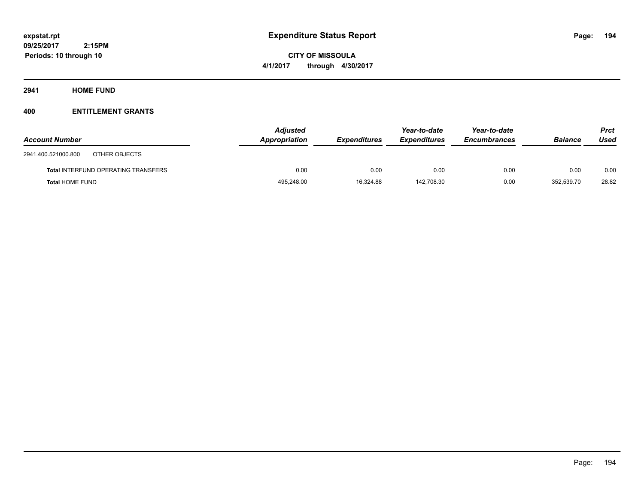**CITY OF MISSOULA 4/1/2017 through 4/30/2017**

**2941 HOME FUND**

| <b>Account Number</b>                      | <b>Adjusted</b><br>Appropriation | <b>Expenditures</b> | Year-to-date<br><b>Expenditures</b> | Year-to-date<br><b>Encumbrances</b> | <b>Balance</b> | <b>Prct</b><br>Used |
|--------------------------------------------|----------------------------------|---------------------|-------------------------------------|-------------------------------------|----------------|---------------------|
| OTHER OBJECTS<br>2941.400.521000.800       |                                  |                     |                                     |                                     |                |                     |
| <b>Total INTERFUND OPERATING TRANSFERS</b> | 0.00                             | 0.00                | 0.00                                | 0.00                                | 0.00           | 0.00                |
| <b>Total HOME FUND</b>                     | 495,248.00                       | 16,324.88           | 142.708.30                          | 0.00                                | 352.539.70     | 28.82               |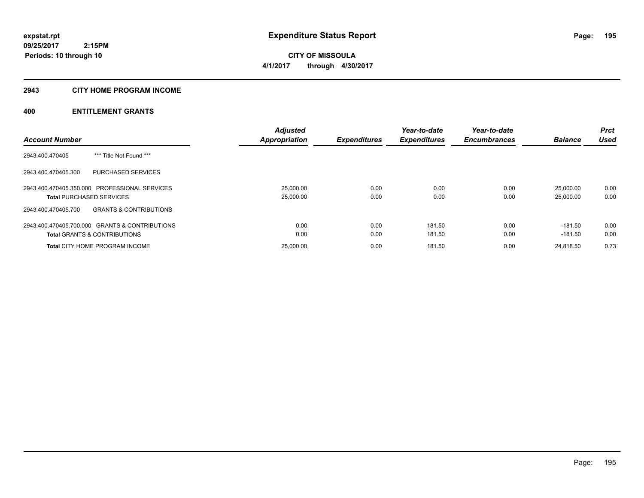## **2943 CITY HOME PROGRAM INCOME**

|                                                          | <b>Adjusted</b>      |                     | Year-to-date        | Year-to-date        |                | <b>Prct</b> |
|----------------------------------------------------------|----------------------|---------------------|---------------------|---------------------|----------------|-------------|
| <b>Account Number</b>                                    | <b>Appropriation</b> | <b>Expenditures</b> | <b>Expenditures</b> | <b>Encumbrances</b> | <b>Balance</b> | <b>Used</b> |
| *** Title Not Found ***<br>2943.400.470405               |                      |                     |                     |                     |                |             |
| PURCHASED SERVICES<br>2943.400.470405.300                |                      |                     |                     |                     |                |             |
| 2943.400.470405.350.000 PROFESSIONAL SERVICES            | 25,000.00            | 0.00                | 0.00                | 0.00                | 25,000.00      | 0.00        |
| <b>Total PURCHASED SERVICES</b>                          | 25,000.00            | 0.00                | 0.00                | 0.00                | 25,000.00      | 0.00        |
| <b>GRANTS &amp; CONTRIBUTIONS</b><br>2943.400.470405.700 |                      |                     |                     |                     |                |             |
| 2943.400.470405.700.000 GRANTS & CONTRIBUTIONS           | 0.00                 | 0.00                | 181.50              | 0.00                | $-181.50$      | 0.00        |
| <b>Total GRANTS &amp; CONTRIBUTIONS</b>                  | 0.00                 | 0.00                | 181.50              | 0.00                | $-181.50$      | 0.00        |
| <b>Total CITY HOME PROGRAM INCOME</b>                    | 25.000.00            | 0.00                | 181.50              | 0.00                | 24.818.50      | 0.73        |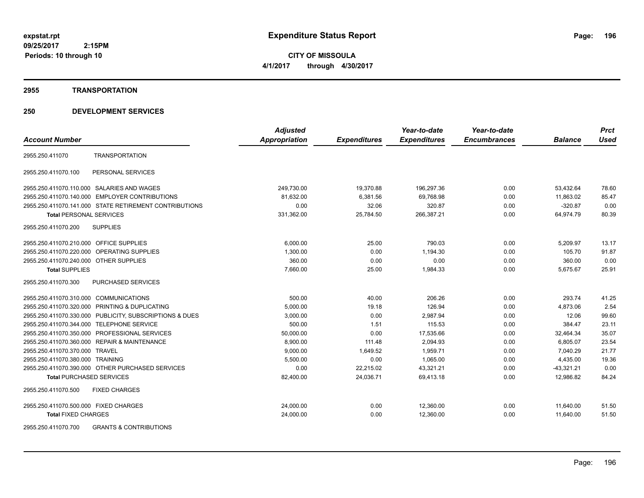**CITY OF MISSOULA 4/1/2017 through 4/30/2017**

#### **2955 TRANSPORTATION**

|                                                          | <b>Adjusted</b> |                     | Year-to-date        | Year-to-date        |                | <b>Prct</b> |
|----------------------------------------------------------|-----------------|---------------------|---------------------|---------------------|----------------|-------------|
| <b>Account Number</b>                                    | Appropriation   | <b>Expenditures</b> | <b>Expenditures</b> | <b>Encumbrances</b> | <b>Balance</b> | <b>Used</b> |
| <b>TRANSPORTATION</b><br>2955.250.411070                 |                 |                     |                     |                     |                |             |
| PERSONAL SERVICES<br>2955.250.411070.100                 |                 |                     |                     |                     |                |             |
| 2955.250.411070.110.000 SALARIES AND WAGES               | 249,730.00      | 19,370.88           | 196,297.36          | 0.00                | 53,432.64      | 78.60       |
| 2955.250.411070.140.000 EMPLOYER CONTRIBUTIONS           | 81,632.00       | 6,381.56            | 69,768.98           | 0.00                | 11,863.02      | 85.47       |
| 2955.250.411070.141.000 STATE RETIREMENT CONTRIBUTIONS   | 0.00            | 32.06               | 320.87              | 0.00                | $-320.87$      | 0.00        |
| <b>Total PERSONAL SERVICES</b>                           | 331,362.00      | 25.784.50           | 266,387.21          | 0.00                | 64.974.79      | 80.39       |
| 2955.250.411070.200<br><b>SUPPLIES</b>                   |                 |                     |                     |                     |                |             |
| 2955.250.411070.210.000 OFFICE SUPPLIES                  | 6.000.00        | 25.00               | 790.03              | 0.00                | 5,209.97       | 13.17       |
| 2955.250.411070.220.000 OPERATING SUPPLIES               | 1,300.00        | 0.00                | 1,194.30            | 0.00                | 105.70         | 91.87       |
| 2955.250.411070.240.000 OTHER SUPPLIES                   | 360.00          | 0.00                | 0.00                | 0.00                | 360.00         | 0.00        |
| <b>Total SUPPLIES</b>                                    | 7,660.00        | 25.00               | 1,984.33            | 0.00                | 5,675.67       | 25.91       |
| 2955.250.411070.300<br><b>PURCHASED SERVICES</b>         |                 |                     |                     |                     |                |             |
| 2955.250.411070.310.000 COMMUNICATIONS                   | 500.00          | 40.00               | 206.26              | 0.00                | 293.74         | 41.25       |
| 2955.250.411070.320.000 PRINTING & DUPLICATING           | 5,000.00        | 19.18               | 126.94              | 0.00                | 4,873.06       | 2.54        |
| 2955.250.411070.330.000 PUBLICITY, SUBSCRIPTIONS & DUES  | 3,000.00        | 0.00                | 2,987.94            | 0.00                | 12.06          | 99.60       |
| 2955.250.411070.344.000 TELEPHONE SERVICE                | 500.00          | 1.51                | 115.53              | 0.00                | 384.47         | 23.11       |
| 2955.250.411070.350.000 PROFESSIONAL SERVICES            | 50,000.00       | 0.00                | 17,535.66           | 0.00                | 32,464.34      | 35.07       |
| 2955.250.411070.360.000 REPAIR & MAINTENANCE             | 8,900.00        | 111.48              | 2,094.93            | 0.00                | 6,805.07       | 23.54       |
| 2955.250.411070.370.000 TRAVEL                           | 9,000.00        | 1,649.52            | 1,959.71            | 0.00                | 7,040.29       | 21.77       |
| 2955.250.411070.380.000 TRAINING                         | 5,500.00        | 0.00                | 1,065.00            | 0.00                | 4,435.00       | 19.36       |
| 2955.250.411070.390.000 OTHER PURCHASED SERVICES         | 0.00            | 22,215.02           | 43,321.21           | 0.00                | $-43,321.21$   | 0.00        |
| <b>Total PURCHASED SERVICES</b>                          | 82,400.00       | 24,036.71           | 69,413.18           | 0.00                | 12.986.82      | 84.24       |
| <b>FIXED CHARGES</b><br>2955.250.411070.500              |                 |                     |                     |                     |                |             |
| 2955.250.411070.500.000 FIXED CHARGES                    | 24,000.00       | 0.00                | 12,360.00           | 0.00                | 11,640.00      | 51.50       |
| <b>Total FIXED CHARGES</b>                               | 24,000.00       | 0.00                | 12,360.00           | 0.00                | 11,640.00      | 51.50       |
| 2955.250.411070.700<br><b>GRANTS &amp; CONTRIBUTIONS</b> |                 |                     |                     |                     |                |             |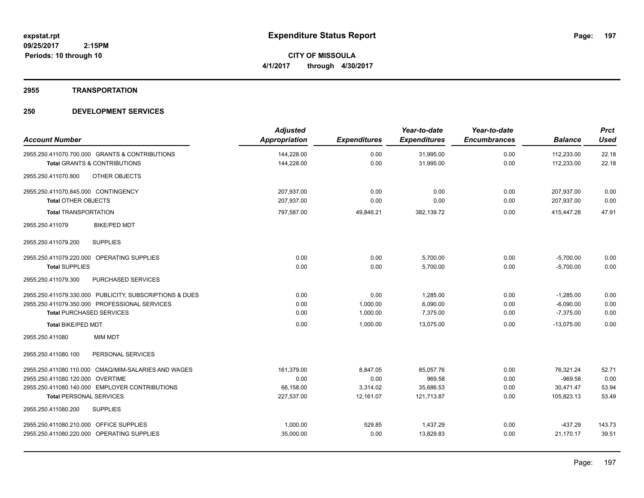#### **2955 TRANSPORTATION**

| <b>Account Number</b>                                   | <b>Adjusted</b><br><b>Appropriation</b> | <b>Expenditures</b> | Year-to-date<br><b>Expenditures</b> | Year-to-date<br><b>Encumbrances</b> | <b>Balance</b> | <b>Prct</b><br><b>Used</b> |
|---------------------------------------------------------|-----------------------------------------|---------------------|-------------------------------------|-------------------------------------|----------------|----------------------------|
|                                                         |                                         |                     |                                     |                                     |                |                            |
| 2955.250.411070.700.000 GRANTS & CONTRIBUTIONS          | 144,228.00                              | 0.00                | 31,995.00                           | 0.00                                | 112,233.00     | 22.18                      |
| <b>Total GRANTS &amp; CONTRIBUTIONS</b>                 | 144,228.00                              | 0.00                | 31,995.00                           | 0.00                                | 112,233.00     | 22.18                      |
| 2955.250.411070.800<br>OTHER OBJECTS                    |                                         |                     |                                     |                                     |                |                            |
| 2955.250.411070.845.000 CONTINGENCY                     | 207,937.00                              | 0.00                | 0.00                                | 0.00                                | 207,937.00     | 0.00                       |
| <b>Total OTHER OBJECTS</b>                              | 207,937.00                              | 0.00                | 0.00                                | 0.00                                | 207,937.00     | 0.00                       |
| <b>Total TRANSPORTATION</b>                             | 797,587.00                              | 49,846.21           | 382,139.72                          | 0.00                                | 415,447.28     | 47.91                      |
| <b>BIKE/PED MDT</b><br>2955.250.411079                  |                                         |                     |                                     |                                     |                |                            |
| <b>SUPPLIES</b><br>2955.250.411079.200                  |                                         |                     |                                     |                                     |                |                            |
| 2955.250.411079.220.000 OPERATING SUPPLIES              | 0.00                                    | 0.00                | 5,700.00                            | 0.00                                | $-5,700.00$    | 0.00                       |
| <b>Total SUPPLIES</b>                                   | 0.00                                    | 0.00                | 5,700.00                            | 0.00                                | $-5,700.00$    | 0.00                       |
| 2955.250.411079.300<br>PURCHASED SERVICES               |                                         |                     |                                     |                                     |                |                            |
| 2955.250.411079.330.000 PUBLICITY, SUBSCRIPTIONS & DUES | 0.00                                    | 0.00                | 1,285.00                            | 0.00                                | $-1,285.00$    | 0.00                       |
| 2955.250.411079.350.000 PROFESSIONAL SERVICES           | 0.00                                    | 1,000.00            | 6,090.00                            | 0.00                                | $-6,090.00$    | 0.00                       |
| <b>Total PURCHASED SERVICES</b>                         | 0.00                                    | 1,000.00            | 7,375.00                            | 0.00                                | $-7,375.00$    | 0.00                       |
| <b>Total BIKE/PED MDT</b>                               | 0.00                                    | 1,000.00            | 13,075.00                           | 0.00                                | $-13,075.00$   | 0.00                       |
| <b>MIM MDT</b><br>2955.250.411080                       |                                         |                     |                                     |                                     |                |                            |
| PERSONAL SERVICES<br>2955.250.411080.100                |                                         |                     |                                     |                                     |                |                            |
| 2955.250.411080.110.000 CMAQ/MIM-SALARIES AND WAGES     | 161.379.00                              | 8.847.05            | 85.057.76                           | 0.00                                | 76.321.24      | 52.71                      |
| 2955.250.411080.120.000 OVERTIME                        | 0.00                                    | 0.00                | 969.58                              | 0.00                                | $-969.58$      | 0.00                       |
| 2955.250.411080.140.000 EMPLOYER CONTRIBUTIONS          | 66,158.00                               | 3,314.02            | 35,686.53                           | 0.00                                | 30,471.47      | 53.94                      |
| <b>Total PERSONAL SERVICES</b>                          | 227,537.00                              | 12,161.07           | 121,713.87                          | 0.00                                | 105,823.13     | 53.49                      |
| 2955.250.411080.200<br><b>SUPPLIES</b>                  |                                         |                     |                                     |                                     |                |                            |
| 2955.250.411080.210.000 OFFICE SUPPLIES                 | 1,000.00                                | 529.85              | 1,437.29                            | 0.00                                | $-437.29$      | 143.73                     |
| 2955.250.411080.220.000 OPERATING SUPPLIES              | 35,000.00                               | 0.00                | 13,829.83                           | 0.00                                | 21,170.17      | 39.51                      |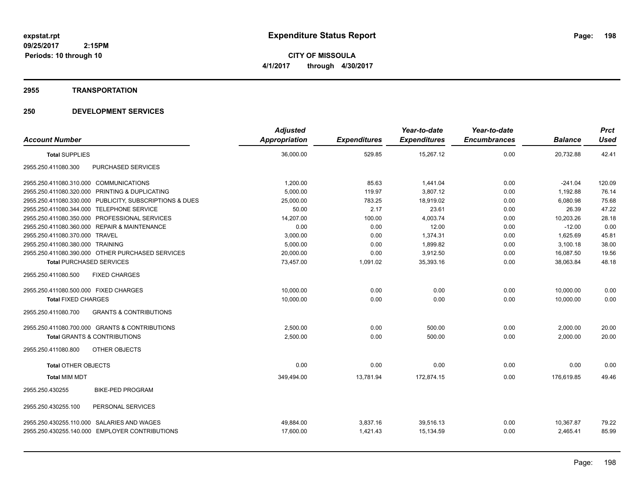**CITY OF MISSOULA 4/1/2017 through 4/30/2017**

#### **2955 TRANSPORTATION**

|                                                          | <b>Adjusted</b> |                     | Year-to-date        | Year-to-date        |                | <b>Prct</b> |
|----------------------------------------------------------|-----------------|---------------------|---------------------|---------------------|----------------|-------------|
| <b>Account Number</b>                                    | Appropriation   | <b>Expenditures</b> | <b>Expenditures</b> | <b>Encumbrances</b> | <b>Balance</b> | <b>Used</b> |
| <b>Total SUPPLIES</b>                                    | 36,000.00       | 529.85              | 15,267.12           | 0.00                | 20,732.88      | 42.41       |
| <b>PURCHASED SERVICES</b><br>2955.250.411080.300         |                 |                     |                     |                     |                |             |
| 2955.250.411080.310.000 COMMUNICATIONS                   | 1,200.00        | 85.63               | 1,441.04            | 0.00                | $-241.04$      | 120.09      |
| 2955.250.411080.320.000<br>PRINTING & DUPLICATING        | 5,000.00        | 119.97              | 3,807.12            | 0.00                | 1,192.88       | 76.14       |
| 2955.250.411080.330.000 PUBLICITY, SUBSCRIPTIONS & DUES  | 25,000.00       | 783.25              | 18,919.02           | 0.00                | 6,080.98       | 75.68       |
| 2955.250.411080.344.000 TELEPHONE SERVICE                | 50.00           | 2.17                | 23.61               | 0.00                | 26.39          | 47.22       |
| PROFESSIONAL SERVICES<br>2955.250.411080.350.000         | 14,207.00       | 100.00              | 4,003.74            | 0.00                | 10,203.26      | 28.18       |
| 2955.250.411080.360.000 REPAIR & MAINTENANCE             | 0.00            | 0.00                | 12.00               | 0.00                | $-12.00$       | 0.00        |
| 2955.250.411080.370.000 TRAVEL                           | 3,000.00        | 0.00                | 1,374.31            | 0.00                | 1,625.69       | 45.81       |
| 2955.250.411080.380.000 TRAINING                         | 5,000.00        | 0.00                | 1,899.82            | 0.00                | 3,100.18       | 38.00       |
| 2955.250.411080.390.000 OTHER PURCHASED SERVICES         | 20,000.00       | 0.00                | 3,912.50            | 0.00                | 16,087.50      | 19.56       |
| <b>Total PURCHASED SERVICES</b>                          | 73,457.00       | 1,091.02            | 35,393.16           | 0.00                | 38,063.84      | 48.18       |
| 2955.250.411080.500<br><b>FIXED CHARGES</b>              |                 |                     |                     |                     |                |             |
| 2955.250.411080.500.000 FIXED CHARGES                    | 10,000.00       | 0.00                | 0.00                | 0.00                | 10,000.00      | 0.00        |
| <b>Total FIXED CHARGES</b>                               | 10.000.00       | 0.00                | 0.00                | 0.00                | 10.000.00      | 0.00        |
| 2955.250.411080.700<br><b>GRANTS &amp; CONTRIBUTIONS</b> |                 |                     |                     |                     |                |             |
| 2955.250.411080.700.000 GRANTS & CONTRIBUTIONS           | 2,500.00        | 0.00                | 500.00              | 0.00                | 2,000.00       | 20.00       |
| <b>Total GRANTS &amp; CONTRIBUTIONS</b>                  | 2,500.00        | 0.00                | 500.00              | 0.00                | 2,000.00       | 20.00       |
| 2955.250.411080.800<br>OTHER OBJECTS                     |                 |                     |                     |                     |                |             |
| <b>Total OTHER OBJECTS</b>                               | 0.00            | 0.00                | 0.00                | 0.00                | 0.00           | 0.00        |
| <b>Total MIM MDT</b>                                     | 349,494.00      | 13.781.94           | 172,874.15          | 0.00                | 176.619.85     | 49.46       |
| <b>BIKE-PED PROGRAM</b><br>2955.250.430255               |                 |                     |                     |                     |                |             |
| 2955.250.430255.100<br>PERSONAL SERVICES                 |                 |                     |                     |                     |                |             |
| 2955.250.430255.110.000 SALARIES AND WAGES               | 49,884.00       | 3,837.16            | 39,516.13           | 0.00                | 10,367.87      | 79.22       |
| 2955.250.430255.140.000 EMPLOYER CONTRIBUTIONS           | 17,600.00       | 1,421.43            | 15,134.59           | 0.00                | 2,465.41       | 85.99       |
|                                                          |                 |                     |                     |                     |                |             |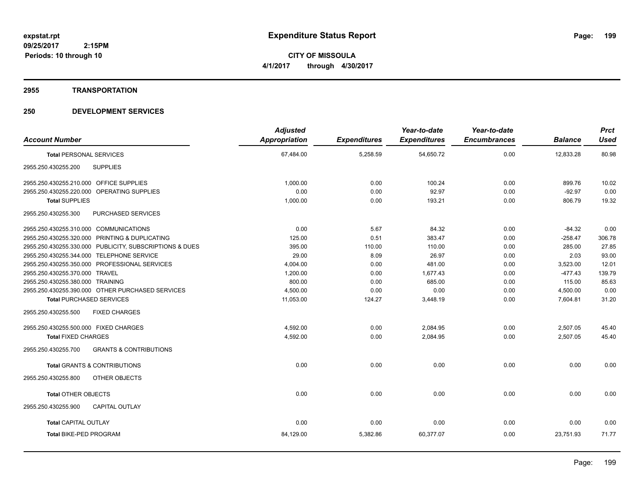**CITY OF MISSOULA 4/1/2017 through 4/30/2017**

#### **2955 TRANSPORTATION**

| <b>Adjusted</b> |                      | Year-to-date        | Year-to-date        |                     | <b>Prct</b><br><b>Used</b> |
|-----------------|----------------------|---------------------|---------------------|---------------------|----------------------------|
|                 |                      |                     |                     |                     |                            |
| 67,484.00       | 5,258.59             | 54,650.72           | 0.00                | 12.833.28           | 80.98                      |
|                 |                      |                     |                     |                     |                            |
| 1,000.00        | 0.00                 | 100.24              | 0.00                | 899.76              | 10.02                      |
| 0.00            | 0.00                 | 92.97               | 0.00                | $-92.97$            | 0.00                       |
| 1,000.00        | 0.00                 | 193.21              | 0.00                | 806.79              | 19.32                      |
|                 |                      |                     |                     |                     |                            |
| 0.00            | 5.67                 | 84.32               | 0.00                | $-84.32$            | 0.00                       |
| 125.00          | 0.51                 | 383.47              | 0.00                | $-258.47$           | 306.78                     |
| 395.00          | 110.00               | 110.00              | 0.00                | 285.00              | 27.85                      |
| 29.00           | 8.09                 | 26.97               | 0.00                | 2.03                | 93.00                      |
| 4,004.00        | 0.00                 | 481.00              | 0.00                | 3,523.00            | 12.01                      |
| 1,200.00        | 0.00                 | 1.677.43            | 0.00                | $-477.43$           | 139.79                     |
| 800.00          | 0.00                 | 685.00              | 0.00                | 115.00              | 85.63                      |
| 4,500.00        | 0.00                 | 0.00                | 0.00                | 4,500.00            | 0.00                       |
| 11,053.00       | 124.27               | 3,448.19            | 0.00                | 7,604.81            | 31.20                      |
|                 |                      |                     |                     |                     |                            |
| 4,592.00        | 0.00                 | 2,084.95            | 0.00                | 2,507.05            | 45.40                      |
| 4.592.00        | 0.00                 | 2.084.95            | 0.00                | 2.507.05            | 45.40                      |
|                 |                      |                     |                     |                     |                            |
| 0.00            | 0.00                 | 0.00                | 0.00                | 0.00                | 0.00                       |
|                 |                      |                     |                     |                     |                            |
| 0.00            | 0.00                 | 0.00                | 0.00                | 0.00                | 0.00                       |
|                 |                      |                     |                     |                     |                            |
| 0.00            | 0.00                 | 0.00                | 0.00                | 0.00                | 0.00                       |
| 84,129.00       | 5,382.86             | 60,377.07           | 0.00                | 23.751.93           | 71.77                      |
|                 | <b>Appropriation</b> | <b>Expenditures</b> | <b>Expenditures</b> | <b>Encumbrances</b> | <b>Balance</b>             |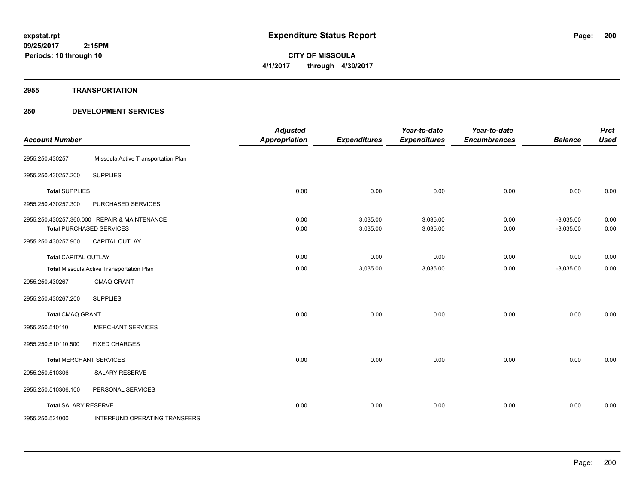#### **2955 TRANSPORTATION**

| <b>Account Number</b>       |                                                                                 | <b>Adjusted</b><br><b>Appropriation</b> | <b>Expenditures</b>  | Year-to-date<br><b>Expenditures</b> | Year-to-date<br><b>Encumbrances</b> | <b>Balance</b>             | <b>Prct</b><br><b>Used</b> |
|-----------------------------|---------------------------------------------------------------------------------|-----------------------------------------|----------------------|-------------------------------------|-------------------------------------|----------------------------|----------------------------|
| 2955.250.430257             | Missoula Active Transportation Plan                                             |                                         |                      |                                     |                                     |                            |                            |
| 2955.250.430257.200         | <b>SUPPLIES</b>                                                                 |                                         |                      |                                     |                                     |                            |                            |
| <b>Total SUPPLIES</b>       |                                                                                 | 0.00                                    | 0.00                 | 0.00                                | 0.00                                | 0.00                       | 0.00                       |
| 2955.250.430257.300         | PURCHASED SERVICES                                                              |                                         |                      |                                     |                                     |                            |                            |
|                             | 2955.250.430257.360.000 REPAIR & MAINTENANCE<br><b>Total PURCHASED SERVICES</b> | 0.00<br>0.00                            | 3,035.00<br>3,035.00 | 3,035.00<br>3,035.00                | 0.00<br>0.00                        | $-3,035.00$<br>$-3,035.00$ | 0.00<br>0.00               |
| 2955.250.430257.900         | CAPITAL OUTLAY                                                                  |                                         |                      |                                     |                                     |                            |                            |
| <b>Total CAPITAL OUTLAY</b> |                                                                                 | 0.00                                    | 0.00                 | 0.00                                | 0.00                                | 0.00                       | 0.00                       |
|                             | <b>Total Missoula Active Transportation Plan</b>                                | 0.00                                    | 3,035.00             | 3,035.00                            | 0.00                                | $-3,035.00$                | 0.00                       |
| 2955.250.430267             | <b>CMAQ GRANT</b>                                                               |                                         |                      |                                     |                                     |                            |                            |
| 2955.250.430267.200         | <b>SUPPLIES</b>                                                                 |                                         |                      |                                     |                                     |                            |                            |
| <b>Total CMAQ GRANT</b>     |                                                                                 | 0.00                                    | 0.00                 | 0.00                                | 0.00                                | 0.00                       | 0.00                       |
| 2955.250.510110             | <b>MERCHANT SERVICES</b>                                                        |                                         |                      |                                     |                                     |                            |                            |
| 2955.250.510110.500         | <b>FIXED CHARGES</b>                                                            |                                         |                      |                                     |                                     |                            |                            |
|                             | <b>Total MERCHANT SERVICES</b>                                                  | 0.00                                    | 0.00                 | 0.00                                | 0.00                                | 0.00                       | 0.00                       |
| 2955.250.510306             | SALARY RESERVE                                                                  |                                         |                      |                                     |                                     |                            |                            |
| 2955.250.510306.100         | PERSONAL SERVICES                                                               |                                         |                      |                                     |                                     |                            |                            |
| <b>Total SALARY RESERVE</b> |                                                                                 | 0.00                                    | 0.00                 | 0.00                                | 0.00                                | 0.00                       | 0.00                       |
| 2955.250.521000             | <b>INTERFUND OPERATING TRANSFERS</b>                                            |                                         |                      |                                     |                                     |                            |                            |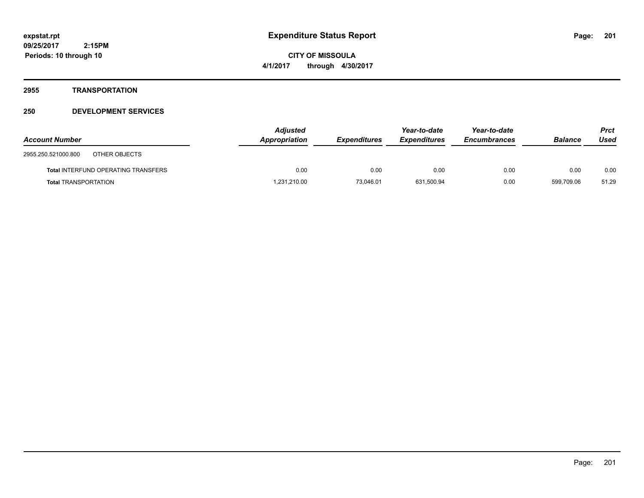**CITY OF MISSOULA 4/1/2017 through 4/30/2017**

#### **2955 TRANSPORTATION**

| <b>Account Number</b>                      | <b>Adjusted</b><br>Appropriation | <b>Expenditures</b> | Year-to-date<br><b>Expenditures</b> | Year-to-date<br><b>Encumbrances</b> | <b>Balance</b> | <b>Prct</b><br>Used |
|--------------------------------------------|----------------------------------|---------------------|-------------------------------------|-------------------------------------|----------------|---------------------|
| 2955.250.521000.800<br>OTHER OBJECTS       |                                  |                     |                                     |                                     |                |                     |
| <b>Total INTERFUND OPERATING TRANSFERS</b> | 0.00                             | 0.00                | 0.00                                | 0.00                                | 0.00           | 0.00                |
| <b>Total TRANSPORTATION</b>                | 1,231,210.00                     | 73.046.01           | 631,500.94                          | 0.00                                | 599.709.06     | 51.29               |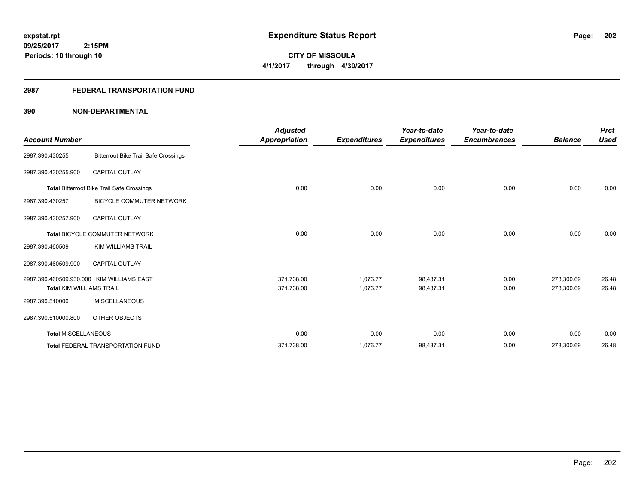## **2987 FEDERAL TRANSPORTATION FUND**

| <b>Account Number</b>           |                                                   | <b>Adjusted</b><br><b>Appropriation</b> | <b>Expenditures</b> | Year-to-date<br><b>Expenditures</b> | Year-to-date<br><b>Encumbrances</b> | <b>Balance</b> | <b>Prct</b><br><b>Used</b> |
|---------------------------------|---------------------------------------------------|-----------------------------------------|---------------------|-------------------------------------|-------------------------------------|----------------|----------------------------|
| 2987.390.430255                 | <b>Bitterroot Bike Trail Safe Crossings</b>       |                                         |                     |                                     |                                     |                |                            |
| 2987.390.430255.900             | <b>CAPITAL OUTLAY</b>                             |                                         |                     |                                     |                                     |                |                            |
|                                 | <b>Total Bitterroot Bike Trail Safe Crossings</b> | 0.00                                    | 0.00                | 0.00                                | 0.00                                | 0.00           | 0.00                       |
| 2987.390.430257                 | <b>BICYCLE COMMUTER NETWORK</b>                   |                                         |                     |                                     |                                     |                |                            |
| 2987.390.430257.900             | CAPITAL OUTLAY                                    |                                         |                     |                                     |                                     |                |                            |
|                                 | <b>Total BICYCLE COMMUTER NETWORK</b>             | 0.00                                    | 0.00                | 0.00                                | 0.00                                | 0.00           | 0.00                       |
| 2987.390.460509                 | <b>KIM WILLIAMS TRAIL</b>                         |                                         |                     |                                     |                                     |                |                            |
| 2987.390.460509.900             | CAPITAL OUTLAY                                    |                                         |                     |                                     |                                     |                |                            |
|                                 | 2987.390.460509.930.000 KIM WILLIAMS EAST         | 371,738.00                              | 1,076.77            | 98,437.31                           | 0.00                                | 273,300.69     | 26.48                      |
| <b>Total KIM WILLIAMS TRAIL</b> |                                                   | 371,738.00                              | 1,076.77            | 98,437.31                           | 0.00                                | 273,300.69     | 26.48                      |
| 2987.390.510000                 | <b>MISCELLANEOUS</b>                              |                                         |                     |                                     |                                     |                |                            |
| 2987.390.510000.800             | OTHER OBJECTS                                     |                                         |                     |                                     |                                     |                |                            |
| <b>Total MISCELLANEOUS</b>      |                                                   | 0.00                                    | 0.00                | 0.00                                | 0.00                                | 0.00           | 0.00                       |
|                                 | <b>Total FEDERAL TRANSPORTATION FUND</b>          | 371,738.00                              | 1,076.77            | 98,437.31                           | 0.00                                | 273,300.69     | 26.48                      |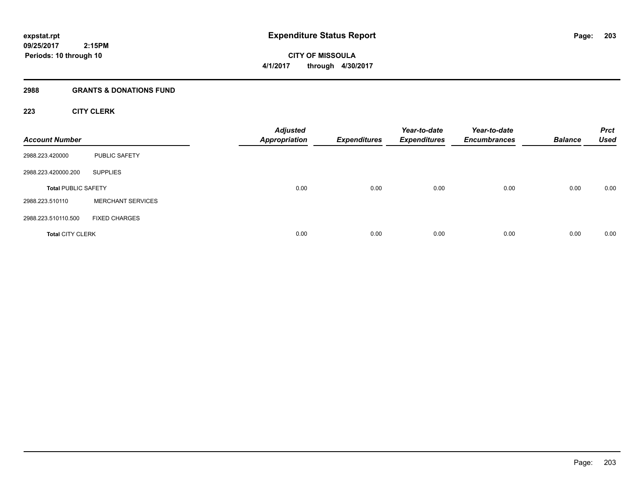## **2988 GRANTS & DONATIONS FUND**

## **223 CITY CLERK**

| <b>Account Number</b>      |                          | <b>Adjusted</b><br><b>Appropriation</b> | <b>Expenditures</b> | Year-to-date<br><b>Expenditures</b> | Year-to-date<br><b>Encumbrances</b> | <b>Balance</b> | <b>Prct</b><br><b>Used</b> |
|----------------------------|--------------------------|-----------------------------------------|---------------------|-------------------------------------|-------------------------------------|----------------|----------------------------|
| 2988.223.420000            | <b>PUBLIC SAFETY</b>     |                                         |                     |                                     |                                     |                |                            |
| 2988.223.420000.200        | <b>SUPPLIES</b>          |                                         |                     |                                     |                                     |                |                            |
| <b>Total PUBLIC SAFETY</b> |                          | 0.00                                    | 0.00                | 0.00                                | 0.00                                | 0.00           | 0.00                       |
| 2988.223.510110            | <b>MERCHANT SERVICES</b> |                                         |                     |                                     |                                     |                |                            |
| 2988.223.510110.500        | <b>FIXED CHARGES</b>     |                                         |                     |                                     |                                     |                |                            |
| <b>Total CITY CLERK</b>    |                          | 0.00                                    | 0.00                | 0.00                                | 0.00                                | 0.00           | 0.00                       |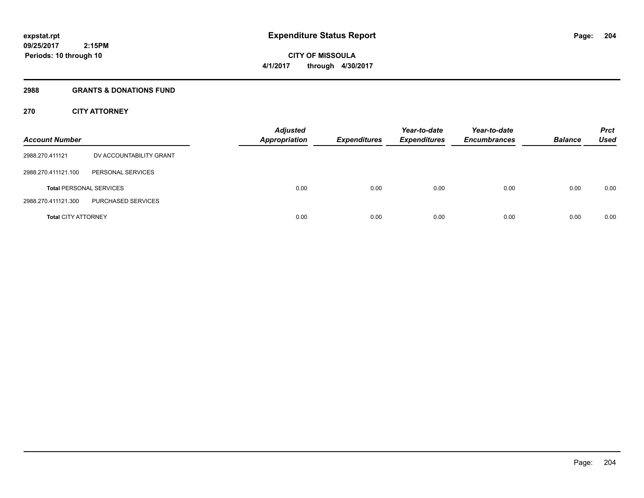**Periods: 10 through 10**

**CITY OF MISSOULA 4/1/2017 through 4/30/2017**

#### **2988 GRANTS & DONATIONS FUND**

 **2:15PM**

## **270 CITY ATTORNEY**

| <b>Account Number</b>          |                         | <b>Adjusted</b><br><b>Appropriation</b> | <b>Expenditures</b> | Year-to-date<br><b>Expenditures</b> | Year-to-date<br><b>Encumbrances</b> | <b>Balance</b> | <b>Prct</b><br>Used |
|--------------------------------|-------------------------|-----------------------------------------|---------------------|-------------------------------------|-------------------------------------|----------------|---------------------|
| 2988.270.411121                | DV ACCOUNTABILITY GRANT |                                         |                     |                                     |                                     |                |                     |
| 2988.270.411121.100            | PERSONAL SERVICES       |                                         |                     |                                     |                                     |                |                     |
| <b>Total PERSONAL SERVICES</b> |                         | 0.00                                    | 0.00                | 0.00                                | 0.00                                | 0.00           | 0.00                |
| 2988.270.411121.300            | PURCHASED SERVICES      |                                         |                     |                                     |                                     |                |                     |
| <b>Total CITY ATTORNEY</b>     |                         | 0.00                                    | 0.00                | 0.00                                | 0.00                                | 0.00           | 0.00                |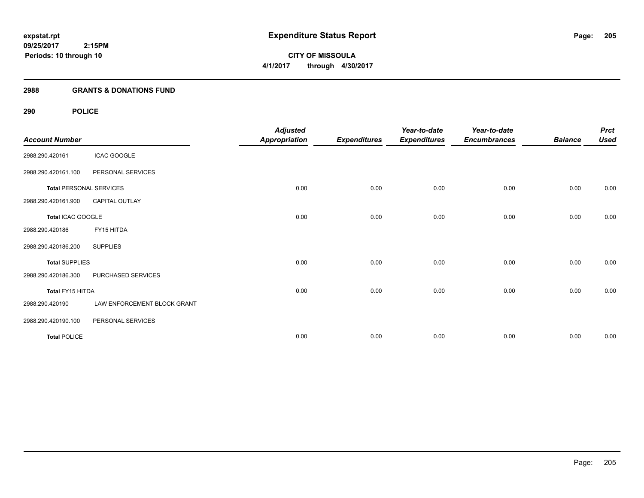## **2988 GRANTS & DONATIONS FUND**

## **290 POLICE**

| <b>Account Number</b> |                                | <b>Adjusted</b><br><b>Appropriation</b> | <b>Expenditures</b> | Year-to-date<br><b>Expenditures</b> | Year-to-date<br><b>Encumbrances</b> | <b>Balance</b> | <b>Prct</b><br><b>Used</b> |
|-----------------------|--------------------------------|-----------------------------------------|---------------------|-------------------------------------|-------------------------------------|----------------|----------------------------|
| 2988.290.420161       | <b>ICAC GOOGLE</b>             |                                         |                     |                                     |                                     |                |                            |
| 2988.290.420161.100   | PERSONAL SERVICES              |                                         |                     |                                     |                                     |                |                            |
|                       | <b>Total PERSONAL SERVICES</b> | 0.00                                    | 0.00                | 0.00                                | 0.00                                | 0.00           | 0.00                       |
| 2988.290.420161.900   | CAPITAL OUTLAY                 |                                         |                     |                                     |                                     |                |                            |
| Total ICAC GOOGLE     |                                | 0.00                                    | 0.00                | 0.00                                | 0.00                                | 0.00           | 0.00                       |
| 2988.290.420186       | FY15 HITDA                     |                                         |                     |                                     |                                     |                |                            |
| 2988.290.420186.200   | <b>SUPPLIES</b>                |                                         |                     |                                     |                                     |                |                            |
| <b>Total SUPPLIES</b> |                                | 0.00                                    | 0.00                | 0.00                                | 0.00                                | 0.00           | 0.00                       |
| 2988.290.420186.300   | PURCHASED SERVICES             |                                         |                     |                                     |                                     |                |                            |
| Total FY15 HITDA      |                                | 0.00                                    | 0.00                | 0.00                                | 0.00                                | 0.00           | 0.00                       |
| 2988.290.420190       | LAW ENFORCEMENT BLOCK GRANT    |                                         |                     |                                     |                                     |                |                            |
| 2988.290.420190.100   | PERSONAL SERVICES              |                                         |                     |                                     |                                     |                |                            |
| <b>Total POLICE</b>   |                                | 0.00                                    | 0.00                | 0.00                                | 0.00                                | 0.00           | 0.00                       |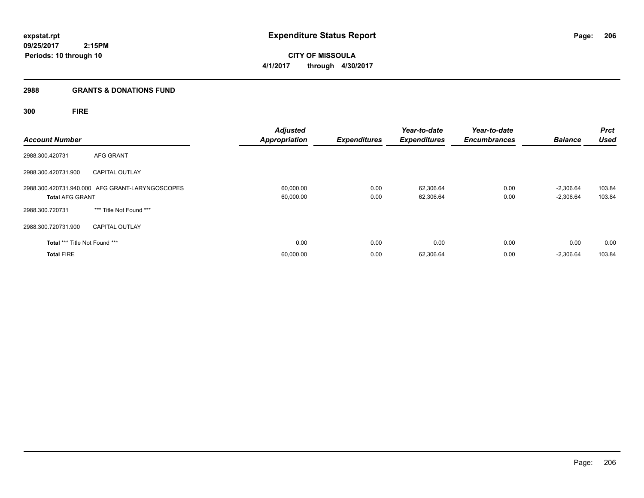## **2988 GRANTS & DONATIONS FUND**

# **300 FIRE**

| <b>Account Number</b>         |                                                 | <b>Adjusted</b><br><b>Appropriation</b> | <b>Expenditures</b> | Year-to-date<br><b>Expenditures</b> | Year-to-date<br><b>Encumbrances</b> | <b>Balance</b>             | <b>Prct</b><br><b>Used</b> |
|-------------------------------|-------------------------------------------------|-----------------------------------------|---------------------|-------------------------------------|-------------------------------------|----------------------------|----------------------------|
| 2988.300.420731               | AFG GRANT                                       |                                         |                     |                                     |                                     |                            |                            |
| 2988.300.420731.900           | <b>CAPITAL OUTLAY</b>                           |                                         |                     |                                     |                                     |                            |                            |
| <b>Total AFG GRANT</b>        | 2988.300.420731.940.000 AFG GRANT-LARYNGOSCOPES | 60,000.00<br>60,000.00                  | 0.00<br>0.00        | 62,306.64<br>62,306.64              | 0.00<br>0.00                        | $-2,306.64$<br>$-2,306.64$ | 103.84<br>103.84           |
| 2988.300.720731               | *** Title Not Found ***                         |                                         |                     |                                     |                                     |                            |                            |
| 2988.300.720731.900           | <b>CAPITAL OUTLAY</b>                           |                                         |                     |                                     |                                     |                            |                            |
| Total *** Title Not Found *** |                                                 | 0.00                                    | 0.00                | 0.00                                | 0.00                                | 0.00                       | 0.00                       |
| <b>Total FIRE</b>             |                                                 | 60,000.00                               | 0.00                | 62,306.64                           | 0.00                                | $-2,306.64$                | 103.84                     |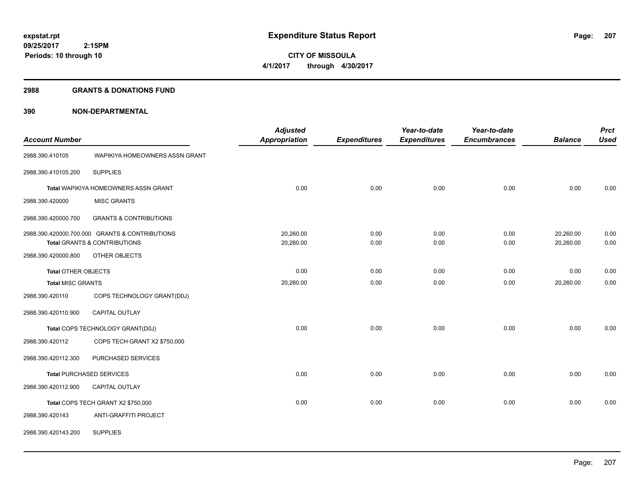#### **2988 GRANTS & DONATIONS FUND**

| <b>Account Number</b>      |                                                                                           | <b>Adjusted</b><br><b>Appropriation</b> | <b>Expenditures</b> | Year-to-date<br><b>Expenditures</b> | Year-to-date<br><b>Encumbrances</b> | <b>Balance</b>         | <b>Prct</b><br><b>Used</b> |
|----------------------------|-------------------------------------------------------------------------------------------|-----------------------------------------|---------------------|-------------------------------------|-------------------------------------|------------------------|----------------------------|
| 2988.390.410105            | WAPIKIYA HOMEOWNERS ASSN GRANT                                                            |                                         |                     |                                     |                                     |                        |                            |
| 2988.390.410105.200        | <b>SUPPLIES</b>                                                                           |                                         |                     |                                     |                                     |                        |                            |
|                            | Total WAPIKIYA HOMEOWNERS ASSN GRANT                                                      | 0.00                                    | 0.00                | 0.00                                | 0.00                                | 0.00                   | 0.00                       |
| 2988.390.420000            | <b>MISC GRANTS</b>                                                                        |                                         |                     |                                     |                                     |                        |                            |
| 2988.390.420000.700        | <b>GRANTS &amp; CONTRIBUTIONS</b>                                                         |                                         |                     |                                     |                                     |                        |                            |
|                            | 2988.390.420000.700.000 GRANTS & CONTRIBUTIONS<br><b>Total GRANTS &amp; CONTRIBUTIONS</b> | 20,260.00<br>20,260.00                  | 0.00<br>0.00        | 0.00<br>0.00                        | 0.00<br>0.00                        | 20,260.00<br>20,260.00 | 0.00<br>0.00               |
| 2988.390.420000.800        | OTHER OBJECTS                                                                             |                                         |                     |                                     |                                     |                        |                            |
| <b>Total OTHER OBJECTS</b> |                                                                                           | 0.00                                    | 0.00                | 0.00                                | 0.00                                | 0.00                   | 0.00                       |
| <b>Total MISC GRANTS</b>   |                                                                                           | 20,260.00                               | 0.00                | 0.00                                | 0.00                                | 20,260.00              | 0.00                       |
| 2988.390.420110            | COPS TECHNOLOGY GRANT(D0J)                                                                |                                         |                     |                                     |                                     |                        |                            |
| 2988.390.420110.900        | CAPITAL OUTLAY                                                                            |                                         |                     |                                     |                                     |                        |                            |
|                            | Total COPS TECHNOLOGY GRANT(D0J)                                                          | 0.00                                    | 0.00                | 0.00                                | 0.00                                | 0.00                   | 0.00                       |
| 2988.390.420112            | COPS TECH GRANT X2 \$750,000                                                              |                                         |                     |                                     |                                     |                        |                            |
| 2988.390.420112.300        | PURCHASED SERVICES                                                                        |                                         |                     |                                     |                                     |                        |                            |
|                            | <b>Total PURCHASED SERVICES</b>                                                           | 0.00                                    | 0.00                | 0.00                                | 0.00                                | 0.00                   | 0.00                       |
| 2988.390.420112.900        | CAPITAL OUTLAY                                                                            |                                         |                     |                                     |                                     |                        |                            |
|                            | Total COPS TECH GRANT X2 \$750,000                                                        | 0.00                                    | 0.00                | 0.00                                | 0.00                                | 0.00                   | 0.00                       |
| 2988.390.420143            | ANTI-GRAFFITI PROJECT                                                                     |                                         |                     |                                     |                                     |                        |                            |
| 2988.390.420143.200        | <b>SUPPLIES</b>                                                                           |                                         |                     |                                     |                                     |                        |                            |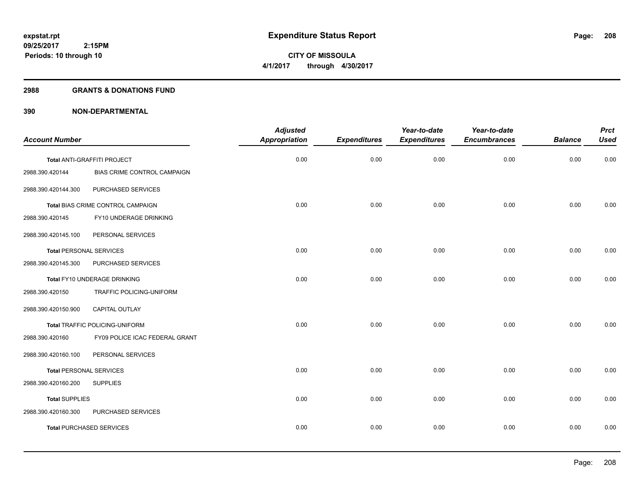#### **2988 GRANTS & DONATIONS FUND**

|                                |                                   | <b>Adjusted</b>      |                     | Year-to-date        | Year-to-date        |                | <b>Prct</b> |
|--------------------------------|-----------------------------------|----------------------|---------------------|---------------------|---------------------|----------------|-------------|
| <b>Account Number</b>          |                                   | <b>Appropriation</b> | <b>Expenditures</b> | <b>Expenditures</b> | <b>Encumbrances</b> | <b>Balance</b> | <b>Used</b> |
|                                | Total ANTI-GRAFFITI PROJECT       | 0.00                 | 0.00                | 0.00                | 0.00                | 0.00           | 0.00        |
| 2988.390.420144                | BIAS CRIME CONTROL CAMPAIGN       |                      |                     |                     |                     |                |             |
| 2988.390.420144.300            | PURCHASED SERVICES                |                      |                     |                     |                     |                |             |
|                                | Total BIAS CRIME CONTROL CAMPAIGN | 0.00                 | 0.00                | 0.00                | 0.00                | 0.00           | 0.00        |
| 2988.390.420145                | FY10 UNDERAGE DRINKING            |                      |                     |                     |                     |                |             |
| 2988.390.420145.100            | PERSONAL SERVICES                 |                      |                     |                     |                     |                |             |
| <b>Total PERSONAL SERVICES</b> |                                   | 0.00                 | 0.00                | 0.00                | 0.00                | 0.00           | 0.00        |
| 2988.390.420145.300            | PURCHASED SERVICES                |                      |                     |                     |                     |                |             |
|                                | Total FY10 UNDERAGE DRINKING      | 0.00                 | 0.00                | 0.00                | 0.00                | 0.00           | 0.00        |
| 2988.390.420150                | TRAFFIC POLICING-UNIFORM          |                      |                     |                     |                     |                |             |
| 2988.390.420150.900            | <b>CAPITAL OUTLAY</b>             |                      |                     |                     |                     |                |             |
|                                | Total TRAFFIC POLICING-UNIFORM    | 0.00                 | 0.00                | 0.00                | 0.00                | 0.00           | 0.00        |
| 2988.390.420160                | FY09 POLICE ICAC FEDERAL GRANT    |                      |                     |                     |                     |                |             |
| 2988.390.420160.100            | PERSONAL SERVICES                 |                      |                     |                     |                     |                |             |
| <b>Total PERSONAL SERVICES</b> |                                   | 0.00                 | 0.00                | 0.00                | 0.00                | 0.00           | 0.00        |
| 2988.390.420160.200            | <b>SUPPLIES</b>                   |                      |                     |                     |                     |                |             |
| <b>Total SUPPLIES</b>          |                                   | 0.00                 | 0.00                | 0.00                | 0.00                | 0.00           | 0.00        |
| 2988.390.420160.300            | PURCHASED SERVICES                |                      |                     |                     |                     |                |             |
|                                | <b>Total PURCHASED SERVICES</b>   | 0.00                 | 0.00                | 0.00                | 0.00                | 0.00           | 0.00        |
|                                |                                   |                      |                     |                     |                     |                |             |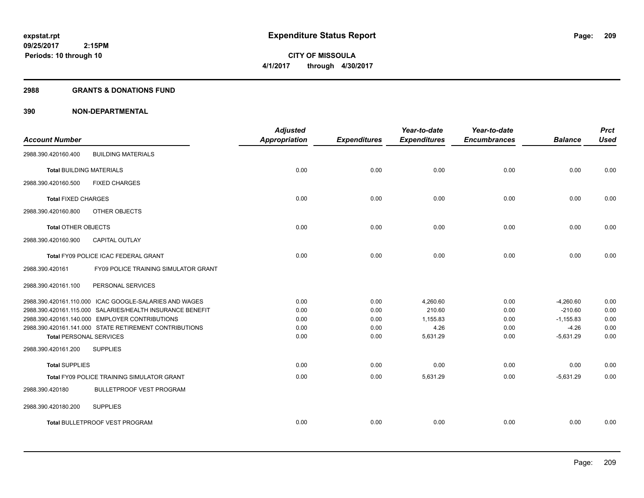**Periods: 10 through 10**

**CITY OF MISSOULA 4/1/2017 through 4/30/2017**

#### **2988 GRANTS & DONATIONS FUND**

 **2:15PM**

| <b>Account Number</b>           |                                                           | <b>Adjusted</b><br><b>Appropriation</b> | <b>Expenditures</b> | Year-to-date<br><b>Expenditures</b> | Year-to-date<br><b>Encumbrances</b> | <b>Balance</b> | <b>Prct</b><br><b>Used</b> |
|---------------------------------|-----------------------------------------------------------|-----------------------------------------|---------------------|-------------------------------------|-------------------------------------|----------------|----------------------------|
|                                 |                                                           |                                         |                     |                                     |                                     |                |                            |
| 2988.390.420160.400             | <b>BUILDING MATERIALS</b>                                 |                                         |                     |                                     |                                     |                |                            |
| <b>Total BUILDING MATERIALS</b> |                                                           | 0.00                                    | 0.00                | 0.00                                | 0.00                                | 0.00           | 0.00                       |
| 2988.390.420160.500             | <b>FIXED CHARGES</b>                                      |                                         |                     |                                     |                                     |                |                            |
| <b>Total FIXED CHARGES</b>      |                                                           | 0.00                                    | 0.00                | 0.00                                | 0.00                                | 0.00           | 0.00                       |
| 2988.390.420160.800             | OTHER OBJECTS                                             |                                         |                     |                                     |                                     |                |                            |
| <b>Total OTHER OBJECTS</b>      |                                                           | 0.00                                    | 0.00                | 0.00                                | 0.00                                | 0.00           | 0.00                       |
| 2988.390.420160.900             | CAPITAL OUTLAY                                            |                                         |                     |                                     |                                     |                |                            |
|                                 | Total FY09 POLICE ICAC FEDERAL GRANT                      | 0.00                                    | 0.00                | 0.00                                | 0.00                                | 0.00           | 0.00                       |
| 2988.390.420161                 | FY09 POLICE TRAINING SIMULATOR GRANT                      |                                         |                     |                                     |                                     |                |                            |
| 2988.390.420161.100             | PERSONAL SERVICES                                         |                                         |                     |                                     |                                     |                |                            |
|                                 | 2988.390.420161.110.000 ICAC GOOGLE-SALARIES AND WAGES    | 0.00                                    | 0.00                | 4,260.60                            | 0.00                                | $-4,260.60$    | 0.00                       |
|                                 | 2988.390.420161.115.000 SALARIES/HEALTH INSURANCE BENEFIT | 0.00                                    | 0.00                | 210.60                              | 0.00                                | $-210.60$      | 0.00                       |
|                                 | 2988.390.420161.140.000 EMPLOYER CONTRIBUTIONS            | 0.00                                    | 0.00                | 1,155.83                            | 0.00                                | $-1,155.83$    | 0.00                       |
|                                 | 2988.390.420161.141.000 STATE RETIREMENT CONTRIBUTIONS    | 0.00                                    | 0.00                | 4.26                                | 0.00                                | $-4.26$        | 0.00                       |
| <b>Total PERSONAL SERVICES</b>  |                                                           | 0.00                                    | 0.00                | 5,631.29                            | 0.00                                | $-5,631.29$    | 0.00                       |
| 2988.390.420161.200             | <b>SUPPLIES</b>                                           |                                         |                     |                                     |                                     |                |                            |
| <b>Total SUPPLIES</b>           |                                                           | 0.00                                    | 0.00                | 0.00                                | 0.00                                | 0.00           | 0.00                       |
|                                 | Total FY09 POLICE TRAINING SIMULATOR GRANT                | 0.00                                    | 0.00                | 5,631.29                            | 0.00                                | $-5,631.29$    | 0.00                       |
| 2988.390.420180                 | <b>BULLETPROOF VEST PROGRAM</b>                           |                                         |                     |                                     |                                     |                |                            |
| 2988.390.420180.200             | <b>SUPPLIES</b>                                           |                                         |                     |                                     |                                     |                |                            |
|                                 | Total BULLETPROOF VEST PROGRAM                            | 0.00                                    | 0.00                | 0.00                                | 0.00                                | 0.00           | 0.00                       |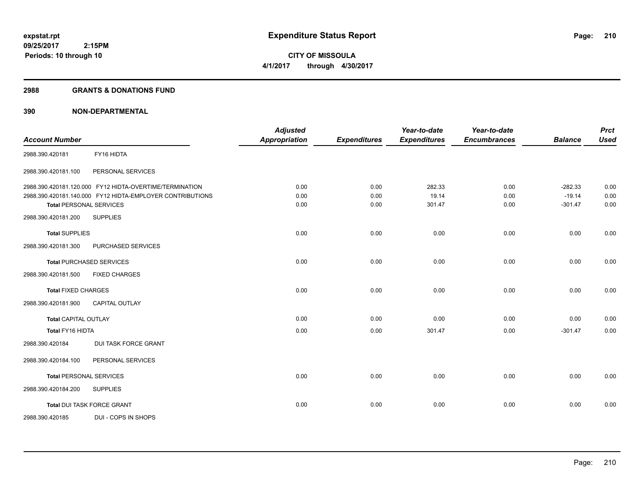**210**

**09/25/2017 2:15PM Periods: 10 through 10**

**CITY OF MISSOULA 4/1/2017 through 4/30/2017**

#### **2988 GRANTS & DONATIONS FUND**

| <b>Account Number</b>                                     | <b>Adjusted</b><br><b>Appropriation</b> |                     | Year-to-date        | Year-to-date        | <b>Balance</b> | <b>Prct</b><br><b>Used</b> |
|-----------------------------------------------------------|-----------------------------------------|---------------------|---------------------|---------------------|----------------|----------------------------|
|                                                           |                                         | <b>Expenditures</b> | <b>Expenditures</b> | <b>Encumbrances</b> |                |                            |
| FY16 HIDTA<br>2988.390.420181                             |                                         |                     |                     |                     |                |                            |
| PERSONAL SERVICES<br>2988.390.420181.100                  |                                         |                     |                     |                     |                |                            |
| 2988.390.420181.120.000 FY12 HIDTA-OVERTIME/TERMINATION   | 0.00                                    | 0.00                | 282.33              | 0.00                | $-282.33$      | 0.00                       |
| 2988.390.420181.140.000 FY12 HIDTA-EMPLOYER CONTRIBUTIONS | 0.00                                    | 0.00                | 19.14               | 0.00                | $-19.14$       | 0.00                       |
| <b>Total PERSONAL SERVICES</b>                            | 0.00                                    | 0.00                | 301.47              | 0.00                | $-301.47$      | 0.00                       |
| <b>SUPPLIES</b><br>2988.390.420181.200                    |                                         |                     |                     |                     |                |                            |
| <b>Total SUPPLIES</b>                                     | 0.00                                    | 0.00                | 0.00                | 0.00                | 0.00           | 0.00                       |
| 2988.390.420181.300<br>PURCHASED SERVICES                 |                                         |                     |                     |                     |                |                            |
| <b>Total PURCHASED SERVICES</b>                           | 0.00                                    | 0.00                | 0.00                | 0.00                | 0.00           | 0.00                       |
| <b>FIXED CHARGES</b><br>2988.390.420181.500               |                                         |                     |                     |                     |                |                            |
| <b>Total FIXED CHARGES</b>                                | 0.00                                    | 0.00                | 0.00                | 0.00                | 0.00           | 0.00                       |
| 2988.390.420181.900<br><b>CAPITAL OUTLAY</b>              |                                         |                     |                     |                     |                |                            |
| <b>Total CAPITAL OUTLAY</b>                               | 0.00                                    | 0.00                | 0.00                | 0.00                | 0.00           | 0.00                       |
| <b>Total FY16 HIDTA</b>                                   | 0.00                                    | 0.00                | 301.47              | 0.00                | $-301.47$      | 0.00                       |
| <b>DUI TASK FORCE GRANT</b><br>2988.390.420184            |                                         |                     |                     |                     |                |                            |
| PERSONAL SERVICES<br>2988.390.420184.100                  |                                         |                     |                     |                     |                |                            |
| <b>Total PERSONAL SERVICES</b>                            | 0.00                                    | 0.00                | 0.00                | 0.00                | 0.00           | 0.00                       |
| 2988.390.420184.200<br><b>SUPPLIES</b>                    |                                         |                     |                     |                     |                |                            |
| <b>Total DUI TASK FORCE GRANT</b>                         | 0.00                                    | 0.00                | 0.00                | 0.00                | 0.00           | 0.00                       |
| DUI - COPS IN SHOPS<br>2988.390.420185                    |                                         |                     |                     |                     |                |                            |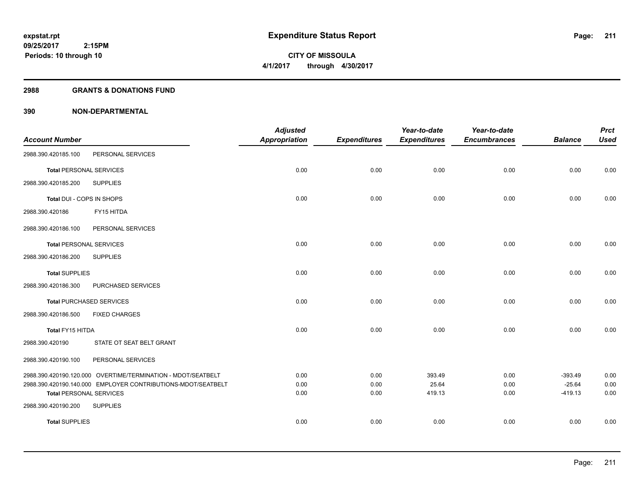#### **2988 GRANTS & DONATIONS FUND**

|                                |                                                              | <b>Adjusted</b>      |                     | Year-to-date        | Year-to-date        |                       | <b>Prct</b>  |
|--------------------------------|--------------------------------------------------------------|----------------------|---------------------|---------------------|---------------------|-----------------------|--------------|
| <b>Account Number</b>          |                                                              | <b>Appropriation</b> | <b>Expenditures</b> | <b>Expenditures</b> | <b>Encumbrances</b> | <b>Balance</b>        | <b>Used</b>  |
| 2988.390.420185.100            | PERSONAL SERVICES                                            |                      |                     |                     |                     |                       |              |
| <b>Total PERSONAL SERVICES</b> |                                                              | 0.00                 | 0.00                | 0.00                | 0.00                | 0.00                  | 0.00         |
| 2988.390.420185.200            | <b>SUPPLIES</b>                                              |                      |                     |                     |                     |                       |              |
| Total DUI - COPS IN SHOPS      |                                                              | 0.00                 | 0.00                | 0.00                | 0.00                | 0.00                  | 0.00         |
| 2988.390.420186                | FY15 HITDA                                                   |                      |                     |                     |                     |                       |              |
| 2988.390.420186.100            | PERSONAL SERVICES                                            |                      |                     |                     |                     |                       |              |
| <b>Total PERSONAL SERVICES</b> |                                                              | 0.00                 | 0.00                | 0.00                | 0.00                | 0.00                  | 0.00         |
| 2988.390.420186.200            | <b>SUPPLIES</b>                                              |                      |                     |                     |                     |                       |              |
| <b>Total SUPPLIES</b>          |                                                              | 0.00                 | 0.00                | 0.00                | 0.00                | 0.00                  | 0.00         |
| 2988.390.420186.300            | PURCHASED SERVICES                                           |                      |                     |                     |                     |                       |              |
|                                | <b>Total PURCHASED SERVICES</b>                              | 0.00                 | 0.00                | 0.00                | 0.00                | 0.00                  | 0.00         |
| 2988.390.420186.500            | <b>FIXED CHARGES</b>                                         |                      |                     |                     |                     |                       |              |
| Total FY15 HITDA               |                                                              | 0.00                 | 0.00                | 0.00                | 0.00                | 0.00                  | 0.00         |
| 2988.390.420190                | STATE OT SEAT BELT GRANT                                     |                      |                     |                     |                     |                       |              |
| 2988.390.420190.100            | PERSONAL SERVICES                                            |                      |                     |                     |                     |                       |              |
|                                | 2988.390.420190.120.000 OVERTIME/TERMINATION - MDOT/SEATBELT | 0.00                 | 0.00                | 393.49              | 0.00                | $-393.49$             | 0.00         |
| <b>Total PERSONAL SERVICES</b> | 2988.390.420190.140.000 EMPLOYER CONTRIBUTIONS-MDOT/SEATBELT | 0.00<br>0.00         | 0.00<br>0.00        | 25.64<br>419.13     | 0.00<br>0.00        | $-25.64$<br>$-419.13$ | 0.00<br>0.00 |
| 2988.390.420190.200            | <b>SUPPLIES</b>                                              |                      |                     |                     |                     |                       |              |
| <b>Total SUPPLIES</b>          |                                                              | 0.00                 | 0.00                | 0.00                | 0.00                | 0.00                  | 0.00         |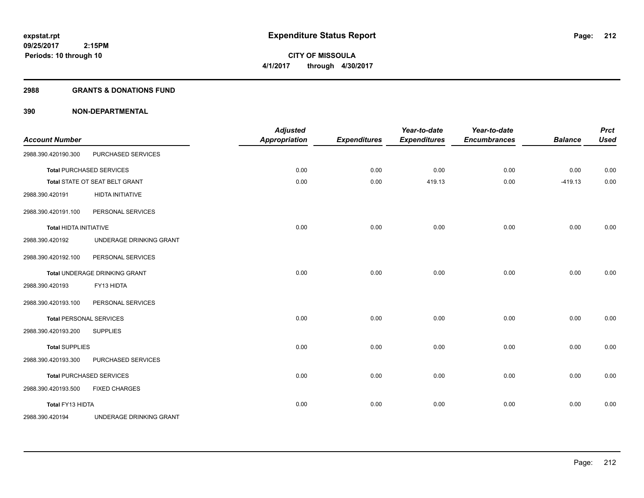#### **2988 GRANTS & DONATIONS FUND**

| <b>Account Number</b>         |                                 | <b>Adjusted</b><br><b>Appropriation</b> | <b>Expenditures</b> | Year-to-date<br><b>Expenditures</b> | Year-to-date<br><b>Encumbrances</b> | <b>Balance</b> | <b>Prct</b><br><b>Used</b> |
|-------------------------------|---------------------------------|-----------------------------------------|---------------------|-------------------------------------|-------------------------------------|----------------|----------------------------|
| 2988.390.420190.300           | PURCHASED SERVICES              |                                         |                     |                                     |                                     |                |                            |
|                               | <b>Total PURCHASED SERVICES</b> | 0.00                                    | 0.00                | 0.00                                | 0.00                                | 0.00           | 0.00                       |
|                               | Total STATE OT SEAT BELT GRANT  | 0.00                                    | 0.00                | 419.13                              | 0.00                                | $-419.13$      | 0.00                       |
| 2988.390.420191               | <b>HIDTA INITIATIVE</b>         |                                         |                     |                                     |                                     |                |                            |
| 2988.390.420191.100           | PERSONAL SERVICES               |                                         |                     |                                     |                                     |                |                            |
| <b>Total HIDTA INITIATIVE</b> |                                 | 0.00                                    | 0.00                | 0.00                                | 0.00                                | 0.00           | 0.00                       |
| 2988.390.420192               | UNDERAGE DRINKING GRANT         |                                         |                     |                                     |                                     |                |                            |
| 2988.390.420192.100           | PERSONAL SERVICES               |                                         |                     |                                     |                                     |                |                            |
|                               | Total UNDERAGE DRINKING GRANT   | 0.00                                    | 0.00                | 0.00                                | 0.00                                | 0.00           | 0.00                       |
| 2988.390.420193               | FY13 HIDTA                      |                                         |                     |                                     |                                     |                |                            |
| 2988.390.420193.100           | PERSONAL SERVICES               |                                         |                     |                                     |                                     |                |                            |
|                               | <b>Total PERSONAL SERVICES</b>  | 0.00                                    | 0.00                | 0.00                                | 0.00                                | 0.00           | 0.00                       |
| 2988.390.420193.200           | <b>SUPPLIES</b>                 |                                         |                     |                                     |                                     |                |                            |
| <b>Total SUPPLIES</b>         |                                 | 0.00                                    | 0.00                | 0.00                                | 0.00                                | 0.00           | 0.00                       |
| 2988.390.420193.300           | PURCHASED SERVICES              |                                         |                     |                                     |                                     |                |                            |
|                               | <b>Total PURCHASED SERVICES</b> | 0.00                                    | 0.00                | 0.00                                | 0.00                                | 0.00           | 0.00                       |
| 2988.390.420193.500           | <b>FIXED CHARGES</b>            |                                         |                     |                                     |                                     |                |                            |
| Total FY13 HIDTA              |                                 | 0.00                                    | 0.00                | 0.00                                | 0.00                                | 0.00           | 0.00                       |
| 2988.390.420194               | UNDERAGE DRINKING GRANT         |                                         |                     |                                     |                                     |                |                            |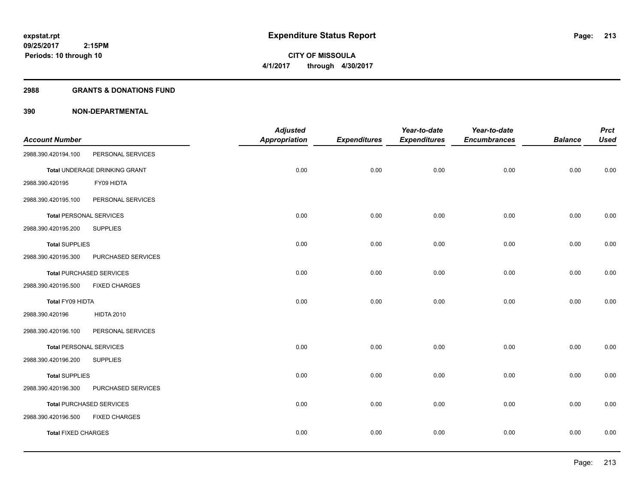**Periods: 10 through 10**

**CITY OF MISSOULA 4/1/2017 through 4/30/2017**

#### **2988 GRANTS & DONATIONS FUND**

|                                |                                 | <b>Adjusted</b> |                     | Year-to-date        | Year-to-date        |                | <b>Prct</b> |
|--------------------------------|---------------------------------|-----------------|---------------------|---------------------|---------------------|----------------|-------------|
| <b>Account Number</b>          |                                 | Appropriation   | <b>Expenditures</b> | <b>Expenditures</b> | <b>Encumbrances</b> | <b>Balance</b> | <b>Used</b> |
| 2988.390.420194.100            | PERSONAL SERVICES               |                 |                     |                     |                     |                |             |
|                                | Total UNDERAGE DRINKING GRANT   | 0.00            | 0.00                | 0.00                | 0.00                | 0.00           | 0.00        |
| 2988.390.420195                | FY09 HIDTA                      |                 |                     |                     |                     |                |             |
| 2988.390.420195.100            | PERSONAL SERVICES               |                 |                     |                     |                     |                |             |
| <b>Total PERSONAL SERVICES</b> |                                 | 0.00            | 0.00                | 0.00                | 0.00                | 0.00           | 0.00        |
| 2988.390.420195.200            | <b>SUPPLIES</b>                 |                 |                     |                     |                     |                |             |
| <b>Total SUPPLIES</b>          |                                 | 0.00            | 0.00                | 0.00                | 0.00                | 0.00           | 0.00        |
| 2988.390.420195.300            | PURCHASED SERVICES              |                 |                     |                     |                     |                |             |
|                                | <b>Total PURCHASED SERVICES</b> | 0.00            | 0.00                | 0.00                | 0.00                | 0.00           | 0.00        |
| 2988.390.420195.500            | <b>FIXED CHARGES</b>            |                 |                     |                     |                     |                |             |
| Total FY09 HIDTA               |                                 | 0.00            | 0.00                | 0.00                | 0.00                | 0.00           | 0.00        |
| 2988.390.420196                | <b>HIDTA 2010</b>               |                 |                     |                     |                     |                |             |
| 2988.390.420196.100            | PERSONAL SERVICES               |                 |                     |                     |                     |                |             |
| <b>Total PERSONAL SERVICES</b> |                                 | 0.00            | 0.00                | 0.00                | 0.00                | 0.00           | 0.00        |
| 2988.390.420196.200            | <b>SUPPLIES</b>                 |                 |                     |                     |                     |                |             |
| <b>Total SUPPLIES</b>          |                                 | 0.00            | 0.00                | 0.00                | 0.00                | 0.00           | 0.00        |
| 2988.390.420196.300            | PURCHASED SERVICES              |                 |                     |                     |                     |                |             |
|                                | <b>Total PURCHASED SERVICES</b> | 0.00            | 0.00                | 0.00                | 0.00                | 0.00           | 0.00        |
| 2988.390.420196.500            | <b>FIXED CHARGES</b>            |                 |                     |                     |                     |                |             |
| <b>Total FIXED CHARGES</b>     |                                 | 0.00            | 0.00                | 0.00                | 0.00                | 0.00           | 0.00        |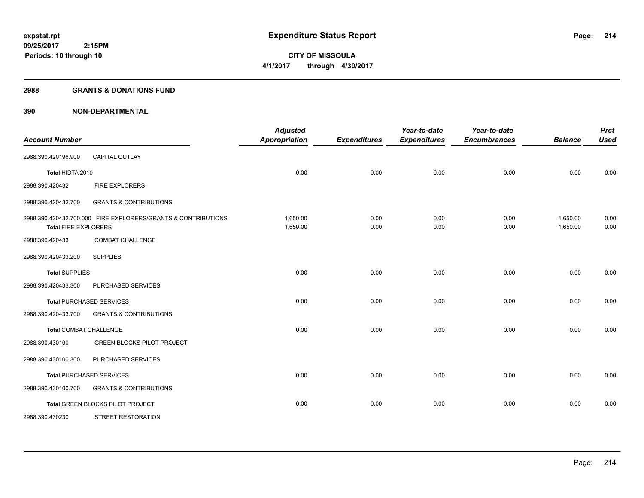**Periods: 10 through 10**

**CITY OF MISSOULA 4/1/2017 through 4/30/2017**

#### **2988 GRANTS & DONATIONS FUND**

| <b>Account Number</b>         |                                                               | <b>Adjusted</b><br><b>Appropriation</b> | <b>Expenditures</b> | Year-to-date<br><b>Expenditures</b> | Year-to-date<br><b>Encumbrances</b> | <b>Balance</b>       | <b>Prct</b><br><b>Used</b> |
|-------------------------------|---------------------------------------------------------------|-----------------------------------------|---------------------|-------------------------------------|-------------------------------------|----------------------|----------------------------|
| 2988.390.420196.900           | <b>CAPITAL OUTLAY</b>                                         |                                         |                     |                                     |                                     |                      |                            |
| Total HIDTA 2010              |                                                               | 0.00                                    | 0.00                | 0.00                                | 0.00                                | 0.00                 | 0.00                       |
| 2988.390.420432               | FIRE EXPLORERS                                                |                                         |                     |                                     |                                     |                      |                            |
| 2988.390.420432.700           | <b>GRANTS &amp; CONTRIBUTIONS</b>                             |                                         |                     |                                     |                                     |                      |                            |
| <b>Total FIRE EXPLORERS</b>   | 2988.390.420432.700.000 FIRE EXPLORERS/GRANTS & CONTRIBUTIONS | 1,650.00<br>1,650.00                    | 0.00<br>0.00        | 0.00<br>0.00                        | 0.00<br>0.00                        | 1,650.00<br>1,650.00 | 0.00<br>0.00               |
| 2988.390.420433               | <b>COMBAT CHALLENGE</b>                                       |                                         |                     |                                     |                                     |                      |                            |
| 2988.390.420433.200           | <b>SUPPLIES</b>                                               |                                         |                     |                                     |                                     |                      |                            |
| <b>Total SUPPLIES</b>         |                                                               | 0.00                                    | 0.00                | 0.00                                | 0.00                                | 0.00                 | 0.00                       |
| 2988.390.420433.300           | PURCHASED SERVICES                                            |                                         |                     |                                     |                                     |                      |                            |
|                               | <b>Total PURCHASED SERVICES</b>                               | 0.00                                    | 0.00                | 0.00                                | 0.00                                | 0.00                 | 0.00                       |
| 2988.390.420433.700           | <b>GRANTS &amp; CONTRIBUTIONS</b>                             |                                         |                     |                                     |                                     |                      |                            |
| <b>Total COMBAT CHALLENGE</b> |                                                               | 0.00                                    | 0.00                | 0.00                                | 0.00                                | 0.00                 | 0.00                       |
| 2988.390.430100               | <b>GREEN BLOCKS PILOT PROJECT</b>                             |                                         |                     |                                     |                                     |                      |                            |
| 2988.390.430100.300           | PURCHASED SERVICES                                            |                                         |                     |                                     |                                     |                      |                            |
|                               | <b>Total PURCHASED SERVICES</b>                               | 0.00                                    | 0.00                | 0.00                                | 0.00                                | 0.00                 | 0.00                       |
| 2988.390.430100.700           | <b>GRANTS &amp; CONTRIBUTIONS</b>                             |                                         |                     |                                     |                                     |                      |                            |
|                               | Total GREEN BLOCKS PILOT PROJECT                              | 0.00                                    | 0.00                | 0.00                                | 0.00                                | 0.00                 | 0.00                       |
| 2988.390.430230               | <b>STREET RESTORATION</b>                                     |                                         |                     |                                     |                                     |                      |                            |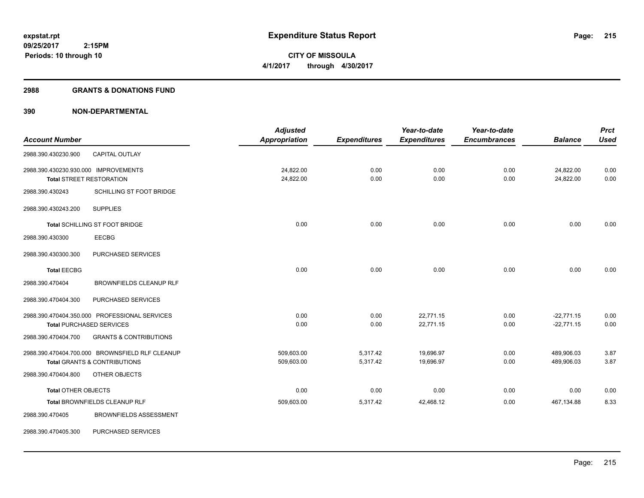#### **2988 GRANTS & DONATIONS FUND**

|                                      |                                                 | <b>Adjusted</b>      |                     | Year-to-date        | Year-to-date        |                | <b>Prct</b> |
|--------------------------------------|-------------------------------------------------|----------------------|---------------------|---------------------|---------------------|----------------|-------------|
| <b>Account Number</b>                |                                                 | <b>Appropriation</b> | <b>Expenditures</b> | <b>Expenditures</b> | <b>Encumbrances</b> | <b>Balance</b> | <b>Used</b> |
| 2988.390.430230.900                  | <b>CAPITAL OUTLAY</b>                           |                      |                     |                     |                     |                |             |
| 2988.390.430230.930.000 IMPROVEMENTS |                                                 | 24,822.00            | 0.00                | 0.00                | 0.00                | 24,822.00      | 0.00        |
|                                      | <b>Total STREET RESTORATION</b>                 | 24,822.00            | 0.00                | 0.00                | 0.00                | 24,822.00      | 0.00        |
| 2988.390.430243                      | SCHILLING ST FOOT BRIDGE                        |                      |                     |                     |                     |                |             |
| 2988.390.430243.200                  | <b>SUPPLIES</b>                                 |                      |                     |                     |                     |                |             |
|                                      | Total SCHILLING ST FOOT BRIDGE                  | 0.00                 | 0.00                | 0.00                | 0.00                | 0.00           | 0.00        |
| 2988.390.430300                      | <b>EECBG</b>                                    |                      |                     |                     |                     |                |             |
| 2988.390.430300.300                  | PURCHASED SERVICES                              |                      |                     |                     |                     |                |             |
| <b>Total EECBG</b>                   |                                                 | 0.00                 | 0.00                | 0.00                | 0.00                | 0.00           | 0.00        |
| 2988.390.470404                      | <b>BROWNFIELDS CLEANUP RLF</b>                  |                      |                     |                     |                     |                |             |
| 2988.390.470404.300                  | PURCHASED SERVICES                              |                      |                     |                     |                     |                |             |
|                                      | 2988.390.470404.350.000 PROFESSIONAL SERVICES   | 0.00                 | 0.00                | 22,771.15           | 0.00                | $-22,771.15$   | 0.00        |
|                                      | <b>Total PURCHASED SERVICES</b>                 | 0.00                 | 0.00                | 22,771.15           | 0.00                | $-22,771.15$   | 0.00        |
| 2988.390.470404.700                  | <b>GRANTS &amp; CONTRIBUTIONS</b>               |                      |                     |                     |                     |                |             |
|                                      | 2988.390.470404.700.000 BROWNSFIELD RLF CLEANUP | 509,603.00           | 5,317.42            | 19,696.97           | 0.00                | 489,906.03     | 3.87        |
|                                      | <b>Total GRANTS &amp; CONTRIBUTIONS</b>         | 509,603.00           | 5,317.42            | 19,696.97           | 0.00                | 489,906.03     | 3.87        |
| 2988.390.470404.800                  | OTHER OBJECTS                                   |                      |                     |                     |                     |                |             |
| <b>Total OTHER OBJECTS</b>           |                                                 | 0.00                 | 0.00                | 0.00                | 0.00                | 0.00           | 0.00        |
|                                      | Total BROWNFIELDS CLEANUP RLF                   | 509,603.00           | 5,317.42            | 42,468.12           | 0.00                | 467,134.88     | 8.33        |
| 2988.390.470405                      | <b>BROWNFIELDS ASSESSMENT</b>                   |                      |                     |                     |                     |                |             |
| 2988.390.470405.300                  | PURCHASED SERVICES                              |                      |                     |                     |                     |                |             |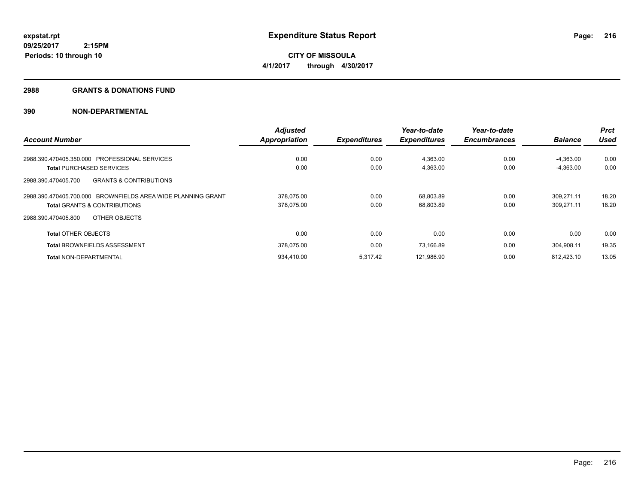**Periods: 10 through 10**

**CITY OF MISSOULA 4/1/2017 through 4/30/2017**

#### **2988 GRANTS & DONATIONS FUND**

|                                                              | <b>Adjusted</b>      |                     | Year-to-date        | Year-to-date        |                | <b>Prct</b> |
|--------------------------------------------------------------|----------------------|---------------------|---------------------|---------------------|----------------|-------------|
| <b>Account Number</b>                                        | <b>Appropriation</b> | <b>Expenditures</b> | <b>Expenditures</b> | <b>Encumbrances</b> | <b>Balance</b> | <b>Used</b> |
| 2988.390.470405.350.000 PROFESSIONAL SERVICES                | 0.00                 | 0.00                | 4,363.00            | 0.00                | $-4.363.00$    | 0.00        |
| <b>Total PURCHASED SERVICES</b>                              | 0.00                 | 0.00                | 4,363.00            | 0.00                | $-4.363.00$    | 0.00        |
| <b>GRANTS &amp; CONTRIBUTIONS</b><br>2988.390.470405.700     |                      |                     |                     |                     |                |             |
| 2988.390.470405.700.000 BROWNFIELDS AREA WIDE PLANNING GRANT | 378.075.00           | 0.00                | 68,803.89           | 0.00                | 309.271.11     | 18.20       |
| <b>Total GRANTS &amp; CONTRIBUTIONS</b>                      | 378,075.00           | 0.00                | 68,803.89           | 0.00                | 309,271.11     | 18.20       |
| OTHER OBJECTS<br>2988.390.470405.800                         |                      |                     |                     |                     |                |             |
| <b>Total OTHER OBJECTS</b>                                   | 0.00                 | 0.00                | 0.00                | 0.00                | 0.00           | 0.00        |
| <b>Total BROWNFIELDS ASSESSMENT</b>                          | 378,075.00           | 0.00                | 73.166.89           | 0.00                | 304.908.11     | 19.35       |
| <b>Total NON-DEPARTMENTAL</b>                                | 934.410.00           | 5.317.42            | 121.986.90          | 0.00                | 812.423.10     | 13.05       |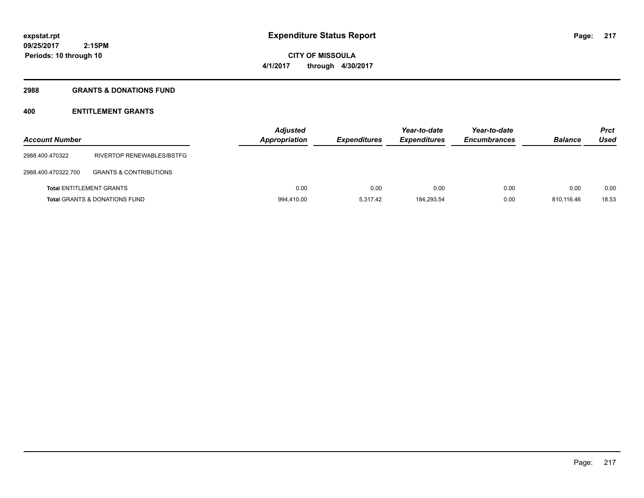**Periods: 10 through 10**

**CITY OF MISSOULA 4/1/2017 through 4/30/2017**

### **2988 GRANTS & DONATIONS FUND**

# **400 ENTITLEMENT GRANTS**

| <b>Account Number</b> |                                          | <b>Adjusted</b><br><b>Appropriation</b> | <b>Expenditures</b> | Year-to-date<br><b>Expenditures</b> | Year-to-date<br><b>Encumbrances</b> | <b>Balance</b> | <b>Prct</b><br>Used |
|-----------------------|------------------------------------------|-----------------------------------------|---------------------|-------------------------------------|-------------------------------------|----------------|---------------------|
| 2988.400.470322       | RIVERTOP RENEWABLES/BSTFG                |                                         |                     |                                     |                                     |                |                     |
| 2988.400.470322.700   | <b>GRANTS &amp; CONTRIBUTIONS</b>        |                                         |                     |                                     |                                     |                |                     |
|                       | <b>Total ENTITLEMENT GRANTS</b>          | 0.00                                    | 0.00                | 0.00                                | 0.00                                | 0.00           | 0.00                |
|                       | <b>Total GRANTS &amp; DONATIONS FUND</b> | 994,410.00                              | 5.317.42            | 184.293.54                          | 0.00                                | 810.116.46     | 18.53               |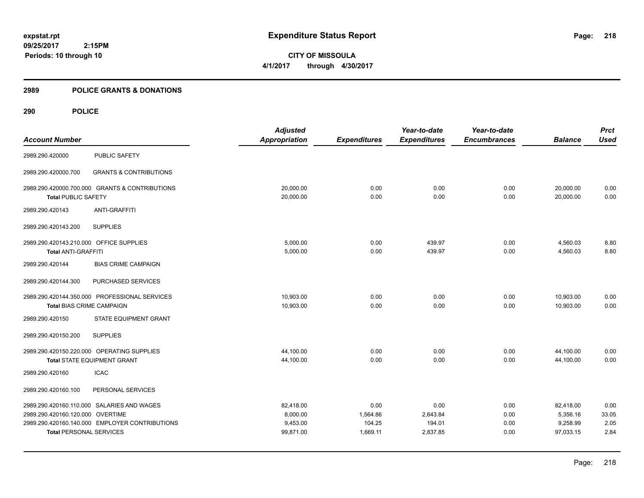**CITY OF MISSOULA 4/1/2017 through 4/30/2017**

# **2989 POLICE GRANTS & DONATIONS**

|                                         |                                                | <b>Adjusted</b>      |                     | Year-to-date        | Year-to-date        |                | <b>Prct</b> |
|-----------------------------------------|------------------------------------------------|----------------------|---------------------|---------------------|---------------------|----------------|-------------|
| <b>Account Number</b>                   |                                                | <b>Appropriation</b> | <b>Expenditures</b> | <b>Expenditures</b> | <b>Encumbrances</b> | <b>Balance</b> | <b>Used</b> |
| 2989.290.420000                         | <b>PUBLIC SAFETY</b>                           |                      |                     |                     |                     |                |             |
| 2989.290.420000.700                     | <b>GRANTS &amp; CONTRIBUTIONS</b>              |                      |                     |                     |                     |                |             |
|                                         | 2989.290.420000.700.000 GRANTS & CONTRIBUTIONS | 20,000.00            | 0.00                | 0.00                | 0.00                | 20,000.00      | 0.00        |
| <b>Total PUBLIC SAFETY</b>              |                                                | 20,000.00            | 0.00                | 0.00                | 0.00                | 20,000.00      | 0.00        |
| 2989.290.420143                         | <b>ANTI-GRAFFITI</b>                           |                      |                     |                     |                     |                |             |
| 2989.290.420143.200                     | <b>SUPPLIES</b>                                |                      |                     |                     |                     |                |             |
| 2989.290.420143.210.000 OFFICE SUPPLIES |                                                | 5,000.00             | 0.00                | 439.97              | 0.00                | 4,560.03       | 8.80        |
| <b>Total ANTI-GRAFFITI</b>              |                                                | 5,000.00             | 0.00                | 439.97              | 0.00                | 4,560.03       | 8.80        |
| 2989.290.420144                         | <b>BIAS CRIME CAMPAIGN</b>                     |                      |                     |                     |                     |                |             |
| 2989.290.420144.300                     | PURCHASED SERVICES                             |                      |                     |                     |                     |                |             |
|                                         | 2989.290.420144.350.000 PROFESSIONAL SERVICES  | 10,903.00            | 0.00                | 0.00                | 0.00                | 10,903.00      | 0.00        |
| <b>Total BIAS CRIME CAMPAIGN</b>        |                                                | 10,903.00            | 0.00                | 0.00                | 0.00                | 10,903.00      | 0.00        |
| 2989.290.420150                         | STATE EQUIPMENT GRANT                          |                      |                     |                     |                     |                |             |
| 2989.290.420150.200                     | <b>SUPPLIES</b>                                |                      |                     |                     |                     |                |             |
|                                         | 2989.290.420150.220.000 OPERATING SUPPLIES     | 44,100.00            | 0.00                | 0.00                | 0.00                | 44,100.00      | 0.00        |
|                                         | <b>Total STATE EQUIPMENT GRANT</b>             | 44,100.00            | 0.00                | 0.00                | 0.00                | 44,100.00      | 0.00        |
| 2989.290.420160                         | <b>ICAC</b>                                    |                      |                     |                     |                     |                |             |
| 2989.290.420160.100                     | PERSONAL SERVICES                              |                      |                     |                     |                     |                |             |
|                                         | 2989.290.420160.110.000 SALARIES AND WAGES     | 82,418.00            | 0.00                | 0.00                | 0.00                | 82,418.00      | 0.00        |
| 2989.290.420160.120.000 OVERTIME        |                                                | 8,000.00             | 1,564.86            | 2,643.84            | 0.00                | 5,356.16       | 33.05       |
|                                         | 2989.290.420160.140.000 EMPLOYER CONTRIBUTIONS | 9,453.00             | 104.25              | 194.01              | 0.00                | 9,258.99       | 2.05        |
| <b>Total PERSONAL SERVICES</b>          |                                                | 99,871.00            | 1,669.11            | 2,837.85            | 0.00                | 97,033.15      | 2.84        |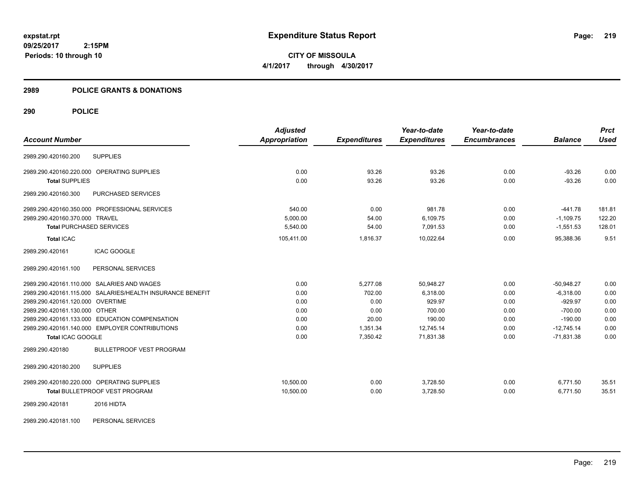**CITY OF MISSOULA 4/1/2017 through 4/30/2017**

# **2989 POLICE GRANTS & DONATIONS**

# **290 POLICE**

|                                                           | <b>Adjusted</b>      |                     | Year-to-date        | Year-to-date        |                | <b>Prct</b> |
|-----------------------------------------------------------|----------------------|---------------------|---------------------|---------------------|----------------|-------------|
| <b>Account Number</b>                                     | <b>Appropriation</b> | <b>Expenditures</b> | <b>Expenditures</b> | <b>Encumbrances</b> | <b>Balance</b> | Used        |
| <b>SUPPLIES</b><br>2989.290.420160.200                    |                      |                     |                     |                     |                |             |
| 2989.290.420160.220.000 OPERATING SUPPLIES                | 0.00                 | 93.26               | 93.26               | 0.00                | $-93.26$       | 0.00        |
| <b>Total SUPPLIES</b>                                     | 0.00                 | 93.26               | 93.26               | 0.00                | $-93.26$       | 0.00        |
| PURCHASED SERVICES<br>2989.290.420160.300                 |                      |                     |                     |                     |                |             |
| 2989.290.420160.350.000 PROFESSIONAL SERVICES             | 540.00               | 0.00                | 981.78              | 0.00                | $-441.78$      | 181.81      |
| 2989.290.420160.370.000 TRAVEL                            | 5,000.00             | 54.00               | 6,109.75            | 0.00                | $-1,109.75$    | 122.20      |
| <b>Total PURCHASED SERVICES</b>                           | 5,540.00             | 54.00               | 7,091.53            | 0.00                | $-1,551.53$    | 128.01      |
| <b>Total ICAC</b>                                         | 105,411.00           | 1,816.37            | 10,022.64           | 0.00                | 95,388.36      | 9.51        |
| 2989.290.420161<br><b>ICAC GOOGLE</b>                     |                      |                     |                     |                     |                |             |
| PERSONAL SERVICES<br>2989.290.420161.100                  |                      |                     |                     |                     |                |             |
| 2989.290.420161.110.000 SALARIES AND WAGES                | 0.00                 | 5,277.08            | 50,948.27           | 0.00                | $-50.948.27$   | 0.00        |
| 2989.290.420161.115.000 SALARIES/HEALTH INSURANCE BENEFIT | 0.00                 | 702.00              | 6,318.00            | 0.00                | $-6,318.00$    | 0.00        |
| 2989.290.420161.120.000 OVERTIME                          | 0.00                 | 0.00                | 929.97              | 0.00                | $-929.97$      | 0.00        |
| 2989.290.420161.130.000 OTHER                             | 0.00                 | 0.00                | 700.00              | 0.00                | $-700.00$      | 0.00        |
| 2989.290.420161.133.000 EDUCATION COMPENSATION            | 0.00                 | 20.00               | 190.00              | 0.00                | $-190.00$      | 0.00        |
| 2989.290.420161.140.000 EMPLOYER CONTRIBUTIONS            | 0.00                 | 1,351.34            | 12,745.14           | 0.00                | $-12,745.14$   | 0.00        |
| <b>Total ICAC GOOGLE</b>                                  | 0.00                 | 7,350.42            | 71,831.38           | 0.00                | $-71,831.38$   | 0.00        |
| <b>BULLETPROOF VEST PROGRAM</b><br>2989.290.420180        |                      |                     |                     |                     |                |             |
| 2989.290.420180.200<br><b>SUPPLIES</b>                    |                      |                     |                     |                     |                |             |
| 2989.290.420180.220.000 OPERATING SUPPLIES                | 10,500.00            | 0.00                | 3,728.50            | 0.00                | 6,771.50       | 35.51       |
| Total BULLETPROOF VEST PROGRAM                            | 10,500.00            | 0.00                | 3,728.50            | 0.00                | 6,771.50       | 35.51       |
| 2989.290.420181<br>2016 HIDTA                             |                      |                     |                     |                     |                |             |

2989.290.420181.100 PERSONAL SERVICES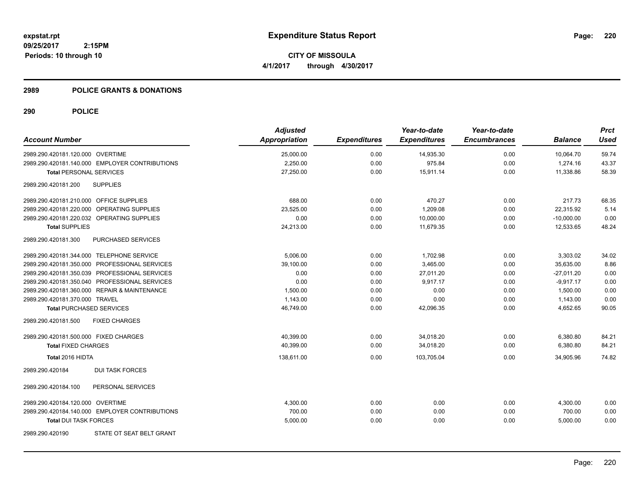**CITY OF MISSOULA 4/1/2017 through 4/30/2017**

### **2989 POLICE GRANTS & DONATIONS**

| <b>Account Number</b>                   |                                                | <b>Adjusted</b><br><b>Appropriation</b> | <b>Expenditures</b> | Year-to-date<br><b>Expenditures</b> | Year-to-date<br><b>Encumbrances</b> | <b>Balance</b> | <b>Prct</b><br><b>Used</b> |
|-----------------------------------------|------------------------------------------------|-----------------------------------------|---------------------|-------------------------------------|-------------------------------------|----------------|----------------------------|
| 2989.290.420181.120.000 OVERTIME        |                                                | 25,000.00                               | 0.00                | 14,935.30                           | 0.00                                | 10,064.70      | 59.74                      |
|                                         | 2989.290.420181.140.000 EMPLOYER CONTRIBUTIONS | 2,250.00                                | 0.00                | 975.84                              | 0.00                                | 1,274.16       | 43.37                      |
| <b>Total PERSONAL SERVICES</b>          |                                                | 27,250.00                               | 0.00                | 15,911.14                           | 0.00                                | 11,338.86      | 58.39                      |
| 2989.290.420181.200                     | <b>SUPPLIES</b>                                |                                         |                     |                                     |                                     |                |                            |
| 2989.290.420181.210.000 OFFICE SUPPLIES |                                                | 688.00                                  | 0.00                | 470.27                              | 0.00                                | 217.73         | 68.35                      |
|                                         | 2989.290.420181.220.000 OPERATING SUPPLIES     | 23,525.00                               | 0.00                | 1,209.08                            | 0.00                                | 22,315.92      | 5.14                       |
|                                         | 2989.290.420181.220.032 OPERATING SUPPLIES     | 0.00                                    | 0.00                | 10,000.00                           | 0.00                                | $-10,000.00$   | 0.00                       |
| <b>Total SUPPLIES</b>                   |                                                | 24,213.00                               | 0.00                | 11,679.35                           | 0.00                                | 12,533.65      | 48.24                      |
| 2989.290.420181.300                     | <b>PURCHASED SERVICES</b>                      |                                         |                     |                                     |                                     |                |                            |
|                                         | 2989.290.420181.344.000 TELEPHONE SERVICE      | 5,006.00                                | 0.00                | 1,702.98                            | 0.00                                | 3,303.02       | 34.02                      |
|                                         | 2989.290.420181.350.000 PROFESSIONAL SERVICES  | 39,100.00                               | 0.00                | 3,465.00                            | 0.00                                | 35,635.00      | 8.86                       |
|                                         | 2989.290.420181.350.039 PROFESSIONAL SERVICES  | 0.00                                    | 0.00                | 27,011.20                           | 0.00                                | $-27,011.20$   | 0.00                       |
|                                         | 2989.290.420181.350.040 PROFESSIONAL SERVICES  | 0.00                                    | 0.00                | 9,917.17                            | 0.00                                | $-9,917.17$    | 0.00                       |
|                                         | 2989.290.420181.360.000 REPAIR & MAINTENANCE   | 1,500.00                                | 0.00                | 0.00                                | 0.00                                | 1,500.00       | 0.00                       |
| 2989.290.420181.370.000 TRAVEL          |                                                | 1,143.00                                | 0.00                | 0.00                                | 0.00                                | 1,143.00       | 0.00                       |
| <b>Total PURCHASED SERVICES</b>         |                                                | 46,749.00                               | 0.00                | 42.096.35                           | 0.00                                | 4.652.65       | 90.05                      |
| 2989.290.420181.500                     | <b>FIXED CHARGES</b>                           |                                         |                     |                                     |                                     |                |                            |
| 2989.290.420181.500.000 FIXED CHARGES   |                                                | 40,399.00                               | 0.00                | 34,018.20                           | 0.00                                | 6,380.80       | 84.21                      |
| <b>Total FIXED CHARGES</b>              |                                                | 40,399.00                               | 0.00                | 34,018.20                           | 0.00                                | 6,380.80       | 84.21                      |
| Total 2016 HIDTA                        |                                                | 138,611.00                              | 0.00                | 103,705.04                          | 0.00                                | 34,905.96      | 74.82                      |
| 2989.290.420184                         | <b>DUI TASK FORCES</b>                         |                                         |                     |                                     |                                     |                |                            |
| 2989.290.420184.100                     | PERSONAL SERVICES                              |                                         |                     |                                     |                                     |                |                            |
| 2989.290.420184.120.000 OVERTIME        |                                                | 4,300.00                                | 0.00                | 0.00                                | 0.00                                | 4,300.00       | 0.00                       |
|                                         | 2989.290.420184.140.000 EMPLOYER CONTRIBUTIONS | 700.00                                  | 0.00                | 0.00                                | 0.00                                | 700.00         | 0.00                       |
| <b>Total DUI TASK FORCES</b>            |                                                | 5,000.00                                | 0.00                | 0.00                                | 0.00                                | 5,000.00       | 0.00                       |
| 2989.290.420190                         | STATE OT SEAT BELT GRANT                       |                                         |                     |                                     |                                     |                |                            |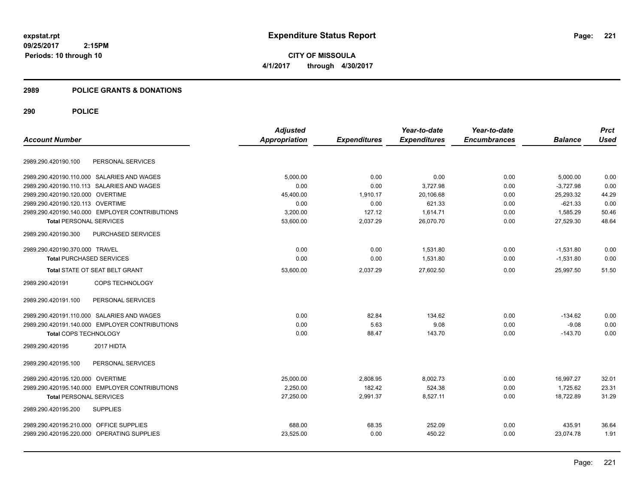**CITY OF MISSOULA 4/1/2017 through 4/30/2017**

### **2989 POLICE GRANTS & DONATIONS**

|                                                | <b>Adjusted</b> |                     | Year-to-date        | Year-to-date        |                | <b>Prct</b> |
|------------------------------------------------|-----------------|---------------------|---------------------|---------------------|----------------|-------------|
| <b>Account Number</b>                          | Appropriation   | <b>Expenditures</b> | <b>Expenditures</b> | <b>Encumbrances</b> | <b>Balance</b> | <b>Used</b> |
|                                                |                 |                     |                     |                     |                |             |
| 2989.290.420190.100<br>PERSONAL SERVICES       |                 |                     |                     |                     |                |             |
| 2989.290.420190.110.000 SALARIES AND WAGES     | 5,000.00        | 0.00                | 0.00                | 0.00                | 5,000.00       | 0.00        |
| 2989.290.420190.110.113 SALARIES AND WAGES     | 0.00            | 0.00                | 3,727.98            | 0.00                | $-3,727.98$    | 0.00        |
| 2989.290.420190.120.000 OVERTIME               | 45,400.00       | 1,910.17            | 20,106.68           | 0.00                | 25,293.32      | 44.29       |
| 2989.290.420190.120.113 OVERTIME               | 0.00            | 0.00                | 621.33              | 0.00                | $-621.33$      | 0.00        |
| 2989.290.420190.140.000 EMPLOYER CONTRIBUTIONS | 3,200.00        | 127.12              | 1,614.71            | 0.00                | 1,585.29       | 50.46       |
| <b>Total PERSONAL SERVICES</b>                 | 53,600.00       | 2,037.29            | 26,070.70           | 0.00                | 27,529.30      | 48.64       |
| 2989.290.420190.300<br>PURCHASED SERVICES      |                 |                     |                     |                     |                |             |
| 2989.290.420190.370.000 TRAVEL                 | 0.00            | 0.00                | 1,531.80            | 0.00                | $-1,531.80$    | 0.00        |
| <b>Total PURCHASED SERVICES</b>                | 0.00            | 0.00                | 1,531.80            | 0.00                | $-1,531.80$    | 0.00        |
| Total STATE OT SEAT BELT GRANT                 | 53,600.00       | 2,037.29            | 27,602.50           | 0.00                | 25,997.50      | 51.50       |
| COPS TECHNOLOGY<br>2989.290.420191             |                 |                     |                     |                     |                |             |
| PERSONAL SERVICES<br>2989.290.420191.100       |                 |                     |                     |                     |                |             |
| 2989.290.420191.110.000 SALARIES AND WAGES     | 0.00            | 82.84               | 134.62              | 0.00                | $-134.62$      | 0.00        |
| 2989.290.420191.140.000 EMPLOYER CONTRIBUTIONS | 0.00            | 5.63                | 9.08                | 0.00                | $-9.08$        | 0.00        |
| <b>Total COPS TECHNOLOGY</b>                   | 0.00            | 88.47               | 143.70              | 0.00                | $-143.70$      | 0.00        |
| 2989.290.420195<br>2017 HIDTA                  |                 |                     |                     |                     |                |             |
| 2989.290.420195.100<br>PERSONAL SERVICES       |                 |                     |                     |                     |                |             |
| 2989.290.420195.120.000 OVERTIME               | 25,000.00       | 2,808.95            | 8,002.73            | 0.00                | 16.997.27      | 32.01       |
| 2989.290.420195.140.000 EMPLOYER CONTRIBUTIONS | 2,250.00        | 182.42              | 524.38              | 0.00                | 1,725.62       | 23.31       |
| <b>Total PERSONAL SERVICES</b>                 | 27,250.00       | 2,991.37            | 8,527.11            | 0.00                | 18,722.89      | 31.29       |
| 2989.290.420195.200<br><b>SUPPLIES</b>         |                 |                     |                     |                     |                |             |
| 2989.290.420195.210.000 OFFICE SUPPLIES        | 688.00          | 68.35               | 252.09              | 0.00                | 435.91         | 36.64       |
| 2989.290.420195.220.000 OPERATING SUPPLIES     | 23,525.00       | 0.00                | 450.22              | 0.00                | 23,074.78      | 1.91        |
|                                                |                 |                     |                     |                     |                |             |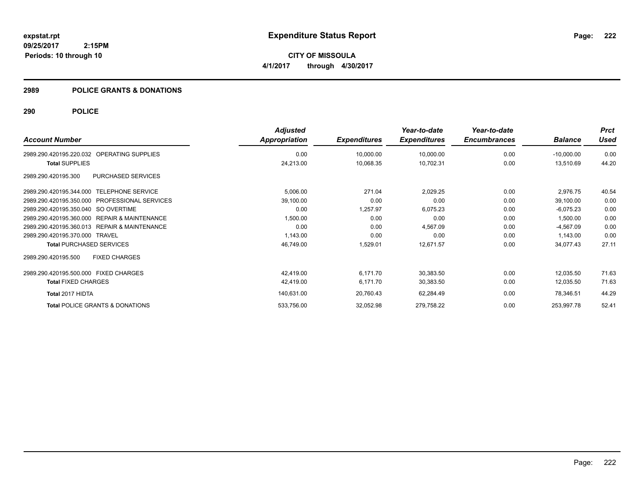**CITY OF MISSOULA 4/1/2017 through 4/30/2017**

### **2989 POLICE GRANTS & DONATIONS**

| <b>Account Number</b>                                   | <b>Adjusted</b><br>Appropriation | <b>Expenditures</b> | Year-to-date<br><b>Expenditures</b> | Year-to-date<br><b>Encumbrances</b> | <b>Balance</b> | <b>Prct</b><br>Used |
|---------------------------------------------------------|----------------------------------|---------------------|-------------------------------------|-------------------------------------|----------------|---------------------|
|                                                         |                                  |                     |                                     |                                     |                |                     |
| OPERATING SUPPLIES<br>2989.290.420195.220.032           | 0.00                             | 10,000.00           | 10,000.00                           | 0.00                                | $-10,000.00$   | 0.00                |
| <b>Total SUPPLIES</b>                                   | 24,213.00                        | 10,068.35           | 10,702.31                           | 0.00                                | 13,510.69      | 44.20               |
| PURCHASED SERVICES<br>2989.290.420195.300               |                                  |                     |                                     |                                     |                |                     |
| 2989.290.420195.344.000 TELEPHONE SERVICE               | 5,006.00                         | 271.04              | 2,029.25                            | 0.00                                | 2,976.75       | 40.54               |
| 2989.290.420195.350.000<br><b>PROFESSIONAL SERVICES</b> | 39,100.00                        | 0.00                | 0.00                                | 0.00                                | 39,100.00      | 0.00                |
| 2989.290.420195.350.040 SO OVERTIME                     | 0.00                             | 1.257.97            | 6,075.23                            | 0.00                                | $-6,075.23$    | 0.00                |
| 2989.290.420195.360.000 REPAIR & MAINTENANCE            | 1,500.00                         | 0.00                | 0.00                                | 0.00                                | 1,500.00       | 0.00                |
| 2989.290.420195.360.013 REPAIR & MAINTENANCE            | 0.00                             | 0.00                | 4,567.09                            | 0.00                                | $-4,567.09$    | 0.00                |
| 2989.290.420195.370.000 TRAVEL                          | 1,143.00                         | 0.00                | 0.00                                | 0.00                                | 1,143.00       | 0.00                |
| <b>Total PURCHASED SERVICES</b>                         | 46,749.00                        | 1,529.01            | 12,671.57                           | 0.00                                | 34,077.43      | 27.11               |
| <b>FIXED CHARGES</b><br>2989.290.420195.500             |                                  |                     |                                     |                                     |                |                     |
| 2989.290.420195.500.000<br><b>FIXED CHARGES</b>         | 42.419.00                        | 6,171.70            | 30.383.50                           | 0.00                                | 12,035.50      | 71.63               |
| <b>Total FIXED CHARGES</b>                              | 42,419.00                        | 6,171.70            | 30,383.50                           | 0.00                                | 12,035.50      | 71.63               |
| Total 2017 HIDTA                                        | 140,631.00                       | 20,760.43           | 62,284.49                           | 0.00                                | 78,346.51      | 44.29               |
| <b>Total POLICE GRANTS &amp; DONATIONS</b>              | 533,756.00                       | 32,052.98           | 279,758.22                          | 0.00                                | 253,997.78     | 52.41               |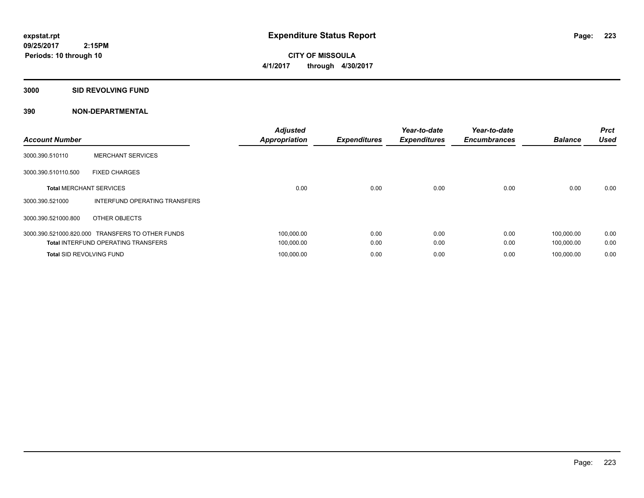**CITY OF MISSOULA 4/1/2017 through 4/30/2017**

**3000 SID REVOLVING FUND**

| <b>Account Number</b>           |                                                  | <b>Adjusted</b><br><b>Appropriation</b> | <b>Expenditures</b> | Year-to-date<br><b>Expenditures</b> | Year-to-date<br><b>Encumbrances</b> | <b>Balance</b> | <b>Prct</b><br><b>Used</b> |
|---------------------------------|--------------------------------------------------|-----------------------------------------|---------------------|-------------------------------------|-------------------------------------|----------------|----------------------------|
| 3000.390.510110                 | <b>MERCHANT SERVICES</b>                         |                                         |                     |                                     |                                     |                |                            |
| 3000.390.510110.500             | <b>FIXED CHARGES</b>                             |                                         |                     |                                     |                                     |                |                            |
| <b>Total MERCHANT SERVICES</b>  |                                                  | 0.00                                    | 0.00                | 0.00                                | 0.00                                | 0.00           | 0.00                       |
| 3000.390.521000                 | INTERFUND OPERATING TRANSFERS                    |                                         |                     |                                     |                                     |                |                            |
| 3000.390.521000.800             | OTHER OBJECTS                                    |                                         |                     |                                     |                                     |                |                            |
|                                 | 3000.390.521000.820.000 TRANSFERS TO OTHER FUNDS | 100,000.00                              | 0.00                | 0.00                                | 0.00                                | 100,000.00     | 0.00                       |
|                                 | <b>Total INTERFUND OPERATING TRANSFERS</b>       | 100,000.00                              | 0.00                | 0.00                                | 0.00                                | 100,000.00     | 0.00                       |
| <b>Total SID REVOLVING FUND</b> |                                                  | 100,000.00                              | 0.00                | 0.00                                | 0.00                                | 100.000.00     | 0.00                       |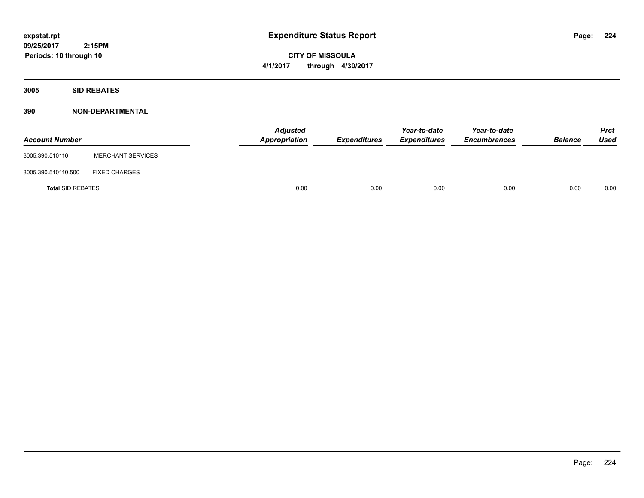**CITY OF MISSOULA 4/1/2017 through 4/30/2017**

**3005 SID REBATES**

| <b>Account Number</b>    |                          | <b>Adjusted</b><br>Appropriation | Expenditures | Year-to-date<br><b>Expenditures</b> | Year-to-date<br><b>Encumbrances</b> | <b>Balance</b> | <b>Prct</b><br>Used |
|--------------------------|--------------------------|----------------------------------|--------------|-------------------------------------|-------------------------------------|----------------|---------------------|
| 3005.390.510110          | <b>MERCHANT SERVICES</b> |                                  |              |                                     |                                     |                |                     |
| 3005.390.510110.500      | <b>FIXED CHARGES</b>     |                                  |              |                                     |                                     |                |                     |
| <b>Total SID REBATES</b> |                          | 0.00                             | 0.00         | 0.00                                | 0.00                                | 0.00           | 0.00                |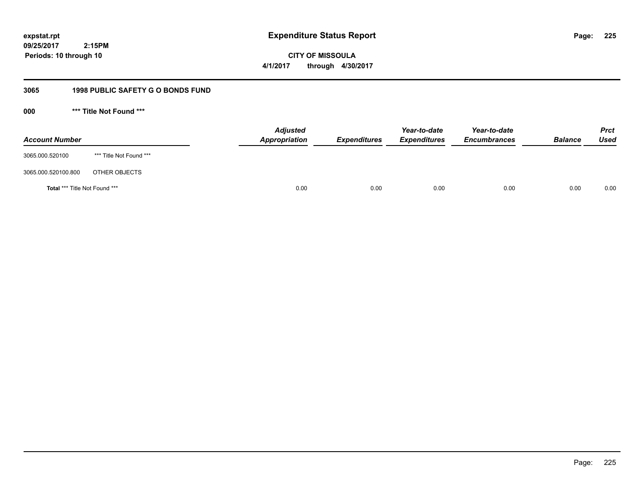**CITY OF MISSOULA 4/1/2017 through 4/30/2017**

# **3065 1998 PUBLIC SAFETY G O BONDS FUND**

**000 \*\*\* Title Not Found \*\*\***

| <b>Account Number</b>         |                         | <b>Adjusted</b><br>Appropriation | <b>Expenditures</b> | Year-to-date<br><b>Expenditures</b> | Year-to-date<br><b>Encumbrances</b> | <b>Balance</b> | <b>Prct</b><br>Used |
|-------------------------------|-------------------------|----------------------------------|---------------------|-------------------------------------|-------------------------------------|----------------|---------------------|
| 3065.000.520100               | *** Title Not Found *** |                                  |                     |                                     |                                     |                |                     |
| 3065.000.520100.800           | OTHER OBJECTS           |                                  |                     |                                     |                                     |                |                     |
| Total *** Title Not Found *** |                         | 0.00                             | 0.00                | 0.00                                | 0.00                                | 0.00           | 0.00                |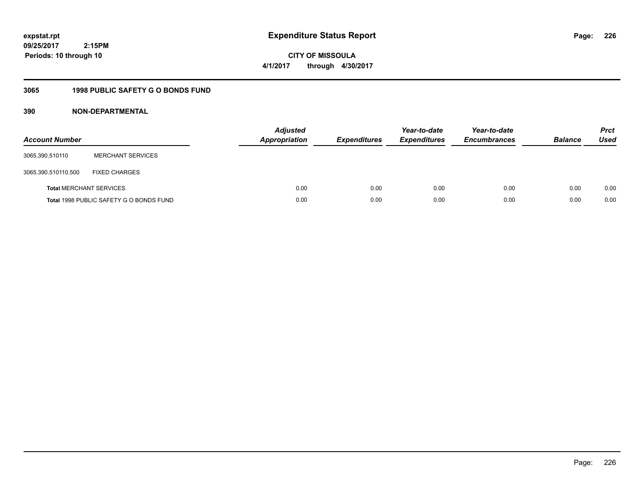**CITY OF MISSOULA 4/1/2017 through 4/30/2017**

# **3065 1998 PUBLIC SAFETY G O BONDS FUND**

| <b>Account Number</b>          |                                         | <b>Adjusted</b><br><b>Appropriation</b> | <b>Expenditures</b> | Year-to-date<br><b>Expenditures</b> | Year-to-date<br><b>Encumbrances</b> | <b>Balance</b> | <b>Prct</b><br><b>Used</b> |
|--------------------------------|-----------------------------------------|-----------------------------------------|---------------------|-------------------------------------|-------------------------------------|----------------|----------------------------|
| 3065.390.510110                | <b>MERCHANT SERVICES</b>                |                                         |                     |                                     |                                     |                |                            |
| 3065.390.510110.500            | <b>FIXED CHARGES</b>                    |                                         |                     |                                     |                                     |                |                            |
| <b>Total MERCHANT SERVICES</b> |                                         | 0.00                                    | 0.00                | 0.00                                | 0.00                                | 0.00           | 0.00                       |
|                                | Total 1998 PUBLIC SAFETY G O BONDS FUND | 0.00                                    | 0.00                | 0.00                                | 0.00                                | 0.00           | 0.00                       |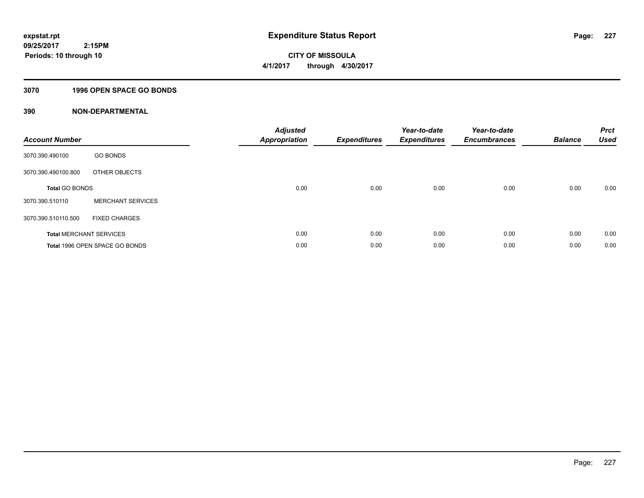**Periods: 10 through 10**

**CITY OF MISSOULA 4/1/2017 through 4/30/2017**

# **3070 1996 OPEN SPACE GO BONDS**

| <b>Account Number</b>          |                                | <b>Adjusted</b><br><b>Appropriation</b> | <b>Expenditures</b> | Year-to-date<br><b>Expenditures</b> | Year-to-date<br><b>Encumbrances</b> | <b>Balance</b> | <b>Prct</b><br><b>Used</b> |
|--------------------------------|--------------------------------|-----------------------------------------|---------------------|-------------------------------------|-------------------------------------|----------------|----------------------------|
| 3070.390.490100                | <b>GO BONDS</b>                |                                         |                     |                                     |                                     |                |                            |
| 3070.390.490100.800            | OTHER OBJECTS                  |                                         |                     |                                     |                                     |                |                            |
| <b>Total GO BONDS</b>          |                                | 0.00                                    | 0.00                | 0.00                                | 0.00                                | 0.00           | 0.00                       |
| 3070.390.510110                | <b>MERCHANT SERVICES</b>       |                                         |                     |                                     |                                     |                |                            |
| 3070.390.510110.500            | <b>FIXED CHARGES</b>           |                                         |                     |                                     |                                     |                |                            |
| <b>Total MERCHANT SERVICES</b> |                                | 0.00                                    | 0.00                | 0.00                                | 0.00                                | 0.00           | 0.00                       |
|                                | Total 1996 OPEN SPACE GO BONDS | 0.00                                    | 0.00                | 0.00                                | 0.00                                | 0.00           | 0.00                       |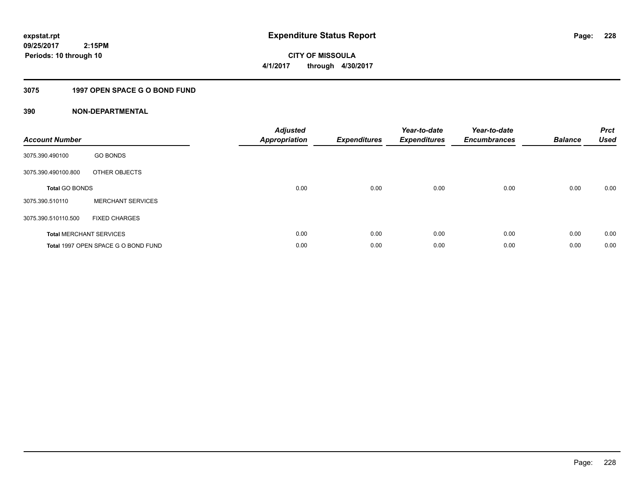**CITY OF MISSOULA 4/1/2017 through 4/30/2017**

# **3075 1997 OPEN SPACE G O BOND FUND**

| <b>Account Number</b> |                                     | <b>Adjusted</b><br>Appropriation | <b>Expenditures</b> | Year-to-date<br><b>Expenditures</b> | Year-to-date<br><b>Encumbrances</b> | <b>Balance</b> | <b>Prct</b><br><b>Used</b> |
|-----------------------|-------------------------------------|----------------------------------|---------------------|-------------------------------------|-------------------------------------|----------------|----------------------------|
| 3075.390.490100       | <b>GO BONDS</b>                     |                                  |                     |                                     |                                     |                |                            |
| 3075.390.490100.800   | OTHER OBJECTS                       |                                  |                     |                                     |                                     |                |                            |
| <b>Total GO BONDS</b> |                                     | 0.00                             | 0.00                | 0.00                                | 0.00                                | 0.00           | 0.00                       |
| 3075.390.510110       | <b>MERCHANT SERVICES</b>            |                                  |                     |                                     |                                     |                |                            |
| 3075.390.510110.500   | <b>FIXED CHARGES</b>                |                                  |                     |                                     |                                     |                |                            |
|                       | <b>Total MERCHANT SERVICES</b>      | 0.00                             | 0.00                | 0.00                                | 0.00                                | 0.00           | 0.00                       |
|                       | Total 1997 OPEN SPACE G O BOND FUND | 0.00                             | 0.00                | 0.00                                | 0.00                                | 0.00           | 0.00                       |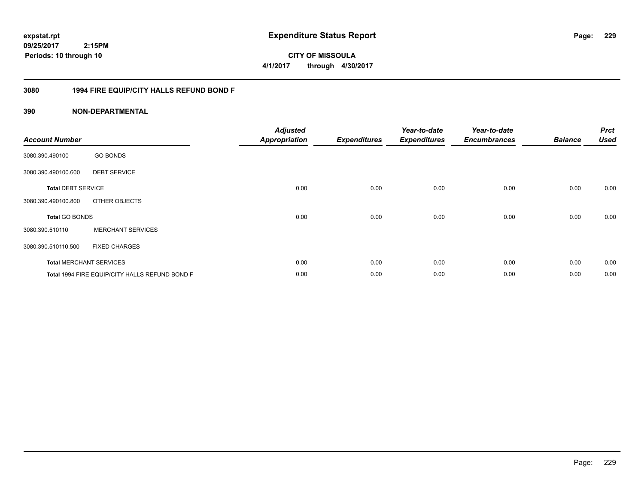**CITY OF MISSOULA 4/1/2017 through 4/30/2017**

# **3080 1994 FIRE EQUIP/CITY HALLS REFUND BOND F**

| <b>Account Number</b>     |                                                | <b>Adjusted</b><br><b>Appropriation</b> | <b>Expenditures</b> | Year-to-date<br><b>Expenditures</b> | Year-to-date<br><b>Encumbrances</b> | <b>Balance</b> | <b>Prct</b><br><b>Used</b> |
|---------------------------|------------------------------------------------|-----------------------------------------|---------------------|-------------------------------------|-------------------------------------|----------------|----------------------------|
| 3080.390.490100           | <b>GO BONDS</b>                                |                                         |                     |                                     |                                     |                |                            |
| 3080.390.490100.600       | <b>DEBT SERVICE</b>                            |                                         |                     |                                     |                                     |                |                            |
| <b>Total DEBT SERVICE</b> |                                                | 0.00                                    | 0.00                | 0.00                                | 0.00                                | 0.00           | 0.00                       |
| 3080.390.490100.800       | OTHER OBJECTS                                  |                                         |                     |                                     |                                     |                |                            |
| <b>Total GO BONDS</b>     |                                                | 0.00                                    | 0.00                | 0.00                                | 0.00                                | 0.00           | 0.00                       |
| 3080.390.510110           | <b>MERCHANT SERVICES</b>                       |                                         |                     |                                     |                                     |                |                            |
| 3080.390.510110.500       | <b>FIXED CHARGES</b>                           |                                         |                     |                                     |                                     |                |                            |
|                           | <b>Total MERCHANT SERVICES</b>                 | 0.00                                    | 0.00                | 0.00                                | 0.00                                | 0.00           | 0.00                       |
|                           | Total 1994 FIRE EQUIP/CITY HALLS REFUND BOND F | 0.00                                    | 0.00                | 0.00                                | 0.00                                | 0.00           | 0.00                       |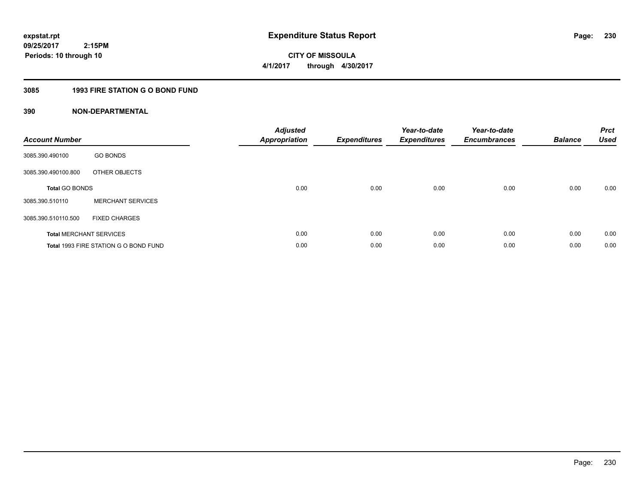**230**

**09/25/2017 2:15PM Periods: 10 through 10**

# **CITY OF MISSOULA 4/1/2017 through 4/30/2017**

# **3085 1993 FIRE STATION G O BOND FUND**

| <b>Account Number</b> |                                       | <b>Adjusted</b><br>Appropriation | <b>Expenditures</b> | Year-to-date<br><b>Expenditures</b> | Year-to-date<br><b>Encumbrances</b> | <b>Balance</b> | <b>Prct</b><br><b>Used</b> |
|-----------------------|---------------------------------------|----------------------------------|---------------------|-------------------------------------|-------------------------------------|----------------|----------------------------|
| 3085.390.490100       | <b>GO BONDS</b>                       |                                  |                     |                                     |                                     |                |                            |
| 3085.390.490100.800   | OTHER OBJECTS                         |                                  |                     |                                     |                                     |                |                            |
| <b>Total GO BONDS</b> |                                       | 0.00                             | 0.00                | 0.00                                | 0.00                                | 0.00           | 0.00                       |
| 3085.390.510110       | <b>MERCHANT SERVICES</b>              |                                  |                     |                                     |                                     |                |                            |
| 3085.390.510110.500   | <b>FIXED CHARGES</b>                  |                                  |                     |                                     |                                     |                |                            |
|                       | <b>Total MERCHANT SERVICES</b>        | 0.00                             | 0.00                | 0.00                                | 0.00                                | 0.00           | 0.00                       |
|                       | Total 1993 FIRE STATION G O BOND FUND | 0.00                             | 0.00                | 0.00                                | 0.00                                | 0.00           | 0.00                       |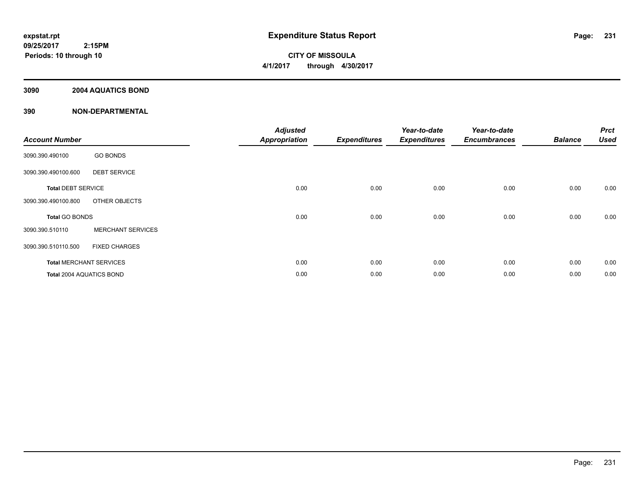**CITY OF MISSOULA 4/1/2017 through 4/30/2017**

# **3090 2004 AQUATICS BOND**

| <b>Account Number</b>          |                          | <b>Adjusted</b><br><b>Appropriation</b> | <b>Expenditures</b> | Year-to-date<br><b>Expenditures</b> | Year-to-date<br><b>Encumbrances</b> | <b>Balance</b> | <b>Prct</b><br><b>Used</b> |
|--------------------------------|--------------------------|-----------------------------------------|---------------------|-------------------------------------|-------------------------------------|----------------|----------------------------|
| 3090.390.490100                | <b>GO BONDS</b>          |                                         |                     |                                     |                                     |                |                            |
| 3090.390.490100.600            | <b>DEBT SERVICE</b>      |                                         |                     |                                     |                                     |                |                            |
| <b>Total DEBT SERVICE</b>      |                          | 0.00                                    | 0.00                | 0.00                                | 0.00                                | 0.00           | 0.00                       |
| 3090.390.490100.800            | OTHER OBJECTS            |                                         |                     |                                     |                                     |                |                            |
| Total GO BONDS                 |                          | 0.00                                    | 0.00                | 0.00                                | 0.00                                | 0.00           | 0.00                       |
| 3090.390.510110                | <b>MERCHANT SERVICES</b> |                                         |                     |                                     |                                     |                |                            |
| 3090.390.510110.500            | <b>FIXED CHARGES</b>     |                                         |                     |                                     |                                     |                |                            |
| <b>Total MERCHANT SERVICES</b> |                          | 0.00                                    | 0.00                | 0.00                                | 0.00                                | 0.00           | 0.00                       |
| Total 2004 AQUATICS BOND       |                          | 0.00                                    | 0.00                | 0.00                                | 0.00                                | 0.00           | 0.00                       |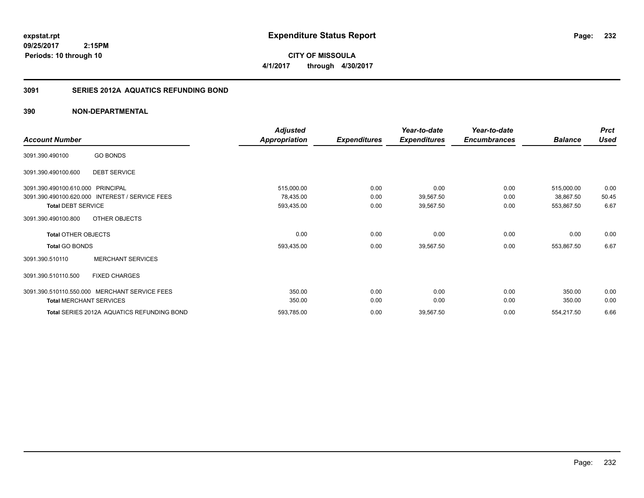**CITY OF MISSOULA 4/1/2017 through 4/30/2017**

# **3091 SERIES 2012A AQUATICS REFUNDING BOND**

|                                                           | <b>Adjusted</b>      |                     | Year-to-date        | Year-to-date        |                | <b>Prct</b> |
|-----------------------------------------------------------|----------------------|---------------------|---------------------|---------------------|----------------|-------------|
| <b>Account Number</b>                                     | <b>Appropriation</b> | <b>Expenditures</b> | <b>Expenditures</b> | <b>Encumbrances</b> | <b>Balance</b> | <b>Used</b> |
| <b>GO BONDS</b><br>3091.390.490100                        |                      |                     |                     |                     |                |             |
| <b>DEBT SERVICE</b><br>3091.390.490100.600                |                      |                     |                     |                     |                |             |
| 3091.390.490100.610.000<br>PRINCIPAL                      | 515,000.00           | 0.00                | 0.00                | 0.00                | 515,000.00     | 0.00        |
| 3091.390.490100.620.000<br><b>INTEREST / SERVICE FEES</b> | 78,435.00            | 0.00                | 39,567.50           | 0.00                | 38,867.50      | 50.45       |
| <b>Total DEBT SERVICE</b>                                 | 593,435.00           | 0.00                | 39,567.50           | 0.00                | 553,867.50     | 6.67        |
| OTHER OBJECTS<br>3091.390.490100.800                      |                      |                     |                     |                     |                |             |
| <b>Total OTHER OBJECTS</b>                                | 0.00                 | 0.00                | 0.00                | 0.00                | 0.00           | 0.00        |
| <b>Total GO BONDS</b>                                     | 593,435.00           | 0.00                | 39,567.50           | 0.00                | 553,867.50     | 6.67        |
| <b>MERCHANT SERVICES</b><br>3091.390.510110               |                      |                     |                     |                     |                |             |
| <b>FIXED CHARGES</b><br>3091.390.510110.500               |                      |                     |                     |                     |                |             |
| MERCHANT SERVICE FEES<br>3091.390.510110.550.000          | 350.00               | 0.00                | 0.00                | 0.00                | 350.00         | 0.00        |
| <b>Total MERCHANT SERVICES</b>                            | 350.00               | 0.00                | 0.00                | 0.00                | 350.00         | 0.00        |
| Total SERIES 2012A AQUATICS REFUNDING BOND                | 593,785.00           | 0.00                | 39,567.50           | 0.00                | 554,217.50     | 6.66        |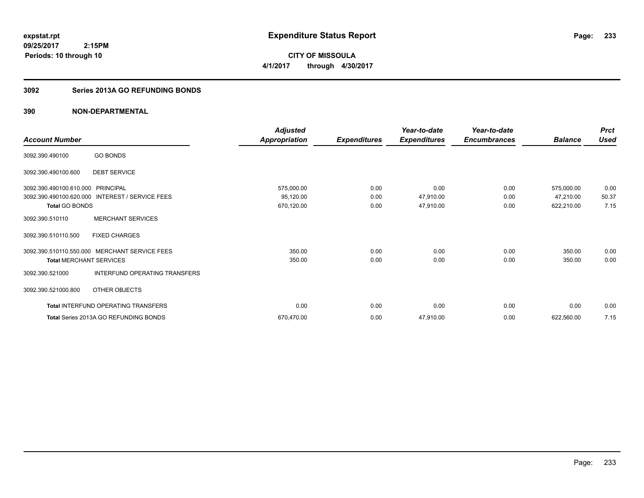**CITY OF MISSOULA 4/1/2017 through 4/30/2017**

# **3092 Series 2013A GO REFUNDING BONDS**

|                                   |                                                 | <b>Adjusted</b>      |                     | Year-to-date        | Year-to-date        |                | <b>Prct</b> |
|-----------------------------------|-------------------------------------------------|----------------------|---------------------|---------------------|---------------------|----------------|-------------|
| <b>Account Number</b>             |                                                 | <b>Appropriation</b> | <b>Expenditures</b> | <b>Expenditures</b> | <b>Encumbrances</b> | <b>Balance</b> | Used        |
| 3092.390.490100                   | <b>GO BONDS</b>                                 |                      |                     |                     |                     |                |             |
| 3092.390.490100.600               | <b>DEBT SERVICE</b>                             |                      |                     |                     |                     |                |             |
| 3092.390.490100.610.000 PRINCIPAL |                                                 | 575,000.00           | 0.00                | 0.00                | 0.00                | 575,000.00     | 0.00        |
|                                   | 3092.390.490100.620.000 INTEREST / SERVICE FEES | 95,120.00            | 0.00                | 47,910.00           | 0.00                | 47,210.00      | 50.37       |
| <b>Total GO BONDS</b>             |                                                 | 670,120.00           | 0.00                | 47,910.00           | 0.00                | 622,210.00     | 7.15        |
| 3092.390.510110                   | <b>MERCHANT SERVICES</b>                        |                      |                     |                     |                     |                |             |
| 3092.390.510110.500               | <b>FIXED CHARGES</b>                            |                      |                     |                     |                     |                |             |
| 3092.390.510110.550.000           | MERCHANT SERVICE FEES                           | 350.00               | 0.00                | 0.00                | 0.00                | 350.00         | 0.00        |
| <b>Total MERCHANT SERVICES</b>    |                                                 | 350.00               | 0.00                | 0.00                | 0.00                | 350.00         | 0.00        |
| 3092.390.521000                   | INTERFUND OPERATING TRANSFERS                   |                      |                     |                     |                     |                |             |
| 3092.390.521000.800               | OTHER OBJECTS                                   |                      |                     |                     |                     |                |             |
|                                   | <b>Total INTERFUND OPERATING TRANSFERS</b>      | 0.00                 | 0.00                | 0.00                | 0.00                | 0.00           | 0.00        |
|                                   | Total Series 2013A GO REFUNDING BONDS           | 670,470.00           | 0.00                | 47,910.00           | 0.00                | 622,560.00     | 7.15        |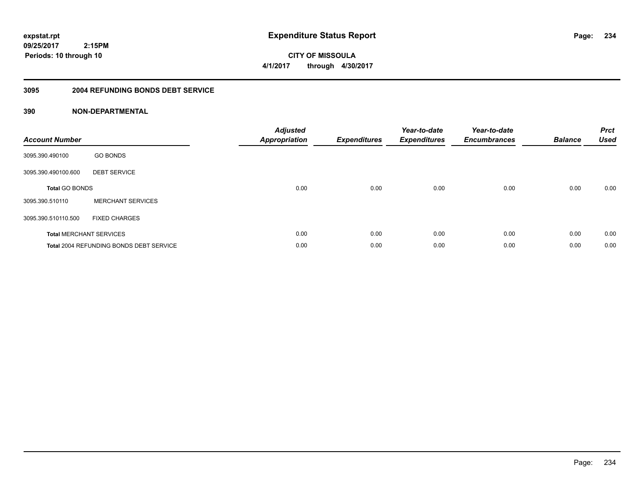**234**

**09/25/2017 2:15PM Periods: 10 through 10**

**CITY OF MISSOULA 4/1/2017 through 4/30/2017**

### **3095 2004 REFUNDING BONDS DEBT SERVICE**

| <b>Account Number</b> |                                                | <b>Adjusted</b><br>Appropriation | <b>Expenditures</b> | Year-to-date<br><b>Expenditures</b> | Year-to-date<br><b>Encumbrances</b> | <b>Balance</b> | <b>Prct</b><br><b>Used</b> |
|-----------------------|------------------------------------------------|----------------------------------|---------------------|-------------------------------------|-------------------------------------|----------------|----------------------------|
| 3095.390.490100       | <b>GO BONDS</b>                                |                                  |                     |                                     |                                     |                |                            |
| 3095.390.490100.600   | <b>DEBT SERVICE</b>                            |                                  |                     |                                     |                                     |                |                            |
| <b>Total GO BONDS</b> |                                                | 0.00                             | 0.00                | 0.00                                | 0.00                                | 0.00           | 0.00                       |
| 3095.390.510110       | <b>MERCHANT SERVICES</b>                       |                                  |                     |                                     |                                     |                |                            |
| 3095.390.510110.500   | <b>FIXED CHARGES</b>                           |                                  |                     |                                     |                                     |                |                            |
|                       | <b>Total MERCHANT SERVICES</b>                 | 0.00                             | 0.00                | 0.00                                | 0.00                                | 0.00           | 0.00                       |
|                       | <b>Total 2004 REFUNDING BONDS DEBT SERVICE</b> | 0.00                             | 0.00                | 0.00                                | 0.00                                | 0.00           | 0.00                       |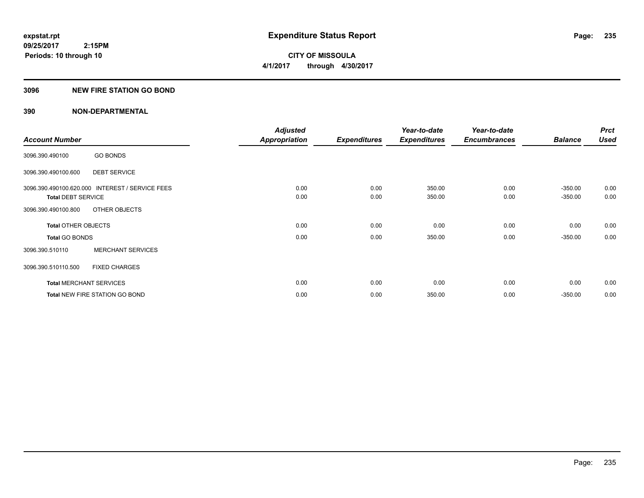**CITY OF MISSOULA 4/1/2017 through 4/30/2017**

# **3096 NEW FIRE STATION GO BOND**

|                                |                                                 | <b>Adjusted</b>      |                     | Year-to-date        | Year-to-date        |                | <b>Prct</b> |
|--------------------------------|-------------------------------------------------|----------------------|---------------------|---------------------|---------------------|----------------|-------------|
| <b>Account Number</b>          |                                                 | <b>Appropriation</b> | <b>Expenditures</b> | <b>Expenditures</b> | <b>Encumbrances</b> | <b>Balance</b> | <b>Used</b> |
| 3096.390.490100                | <b>GO BONDS</b>                                 |                      |                     |                     |                     |                |             |
| 3096.390.490100.600            | <b>DEBT SERVICE</b>                             |                      |                     |                     |                     |                |             |
|                                | 3096.390.490100.620.000 INTEREST / SERVICE FEES | 0.00                 | 0.00                | 350.00              | 0.00                | $-350.00$      | 0.00        |
| <b>Total DEBT SERVICE</b>      |                                                 | 0.00                 | 0.00                | 350.00              | 0.00                | $-350.00$      | 0.00        |
| 3096.390.490100.800            | OTHER OBJECTS                                   |                      |                     |                     |                     |                |             |
| <b>Total OTHER OBJECTS</b>     |                                                 | 0.00                 | 0.00                | 0.00                | 0.00                | 0.00           | 0.00        |
| Total GO BONDS                 |                                                 | 0.00                 | 0.00                | 350.00              | 0.00                | $-350.00$      | 0.00        |
| 3096.390.510110                | <b>MERCHANT SERVICES</b>                        |                      |                     |                     |                     |                |             |
| 3096.390.510110.500            | <b>FIXED CHARGES</b>                            |                      |                     |                     |                     |                |             |
| <b>Total MERCHANT SERVICES</b> |                                                 | 0.00                 | 0.00                | 0.00                | 0.00                | 0.00           | 0.00        |
|                                | <b>Total NEW FIRE STATION GO BOND</b>           | 0.00                 | 0.00                | 350.00              | 0.00                | $-350.00$      | 0.00        |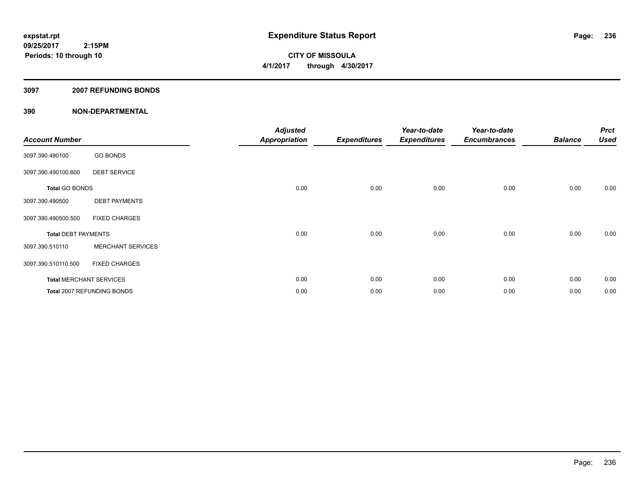**CITY OF MISSOULA 4/1/2017 through 4/30/2017**

# **3097 2007 REFUNDING BONDS**

| <b>Account Number</b>      |                                | <b>Adjusted</b><br><b>Appropriation</b> | <b>Expenditures</b> | Year-to-date<br><b>Expenditures</b> | Year-to-date<br><b>Encumbrances</b> | <b>Balance</b> | <b>Prct</b><br><b>Used</b> |
|----------------------------|--------------------------------|-----------------------------------------|---------------------|-------------------------------------|-------------------------------------|----------------|----------------------------|
| 3097.390.490100            | <b>GO BONDS</b>                |                                         |                     |                                     |                                     |                |                            |
| 3097.390.490100.600        | <b>DEBT SERVICE</b>            |                                         |                     |                                     |                                     |                |                            |
| <b>Total GO BONDS</b>      |                                | 0.00                                    | 0.00                | 0.00                                | 0.00                                | 0.00           | 0.00                       |
| 3097.390.490500            | <b>DEBT PAYMENTS</b>           |                                         |                     |                                     |                                     |                |                            |
| 3097.390.490500.500        | <b>FIXED CHARGES</b>           |                                         |                     |                                     |                                     |                |                            |
| <b>Total DEBT PAYMENTS</b> |                                | 0.00                                    | 0.00                | 0.00                                | 0.00                                | 0.00           | 0.00                       |
| 3097.390.510110            | <b>MERCHANT SERVICES</b>       |                                         |                     |                                     |                                     |                |                            |
| 3097.390.510110.500        | <b>FIXED CHARGES</b>           |                                         |                     |                                     |                                     |                |                            |
|                            | <b>Total MERCHANT SERVICES</b> | 0.00                                    | 0.00                | 0.00                                | 0.00                                | 0.00           | 0.00                       |
|                            | Total 2007 REFUNDING BONDS     | 0.00                                    | 0.00                | 0.00                                | 0.00                                | 0.00           | 0.00                       |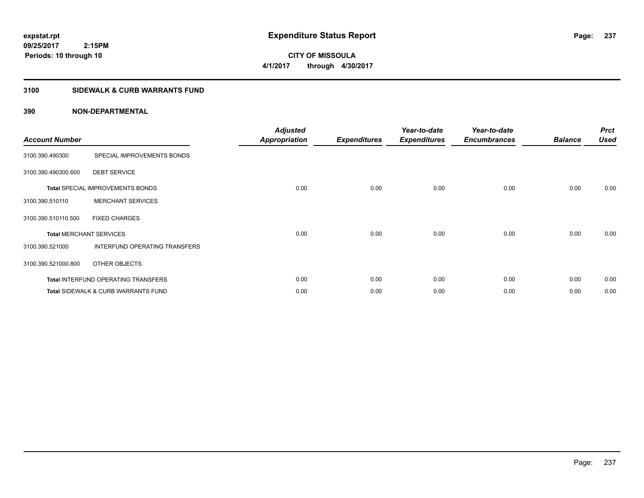**CITY OF MISSOULA 4/1/2017 through 4/30/2017**

# **3100 SIDEWALK & CURB WARRANTS FUND**

| <b>Account Number</b>          |                                                | <b>Adjusted</b><br><b>Appropriation</b> | <b>Expenditures</b> | Year-to-date<br><b>Expenditures</b> | Year-to-date<br><b>Encumbrances</b> | <b>Balance</b> | <b>Prct</b><br><b>Used</b> |
|--------------------------------|------------------------------------------------|-----------------------------------------|---------------------|-------------------------------------|-------------------------------------|----------------|----------------------------|
| 3100.390.490300                | SPECIAL IMPROVEMENTS BONDS                     |                                         |                     |                                     |                                     |                |                            |
| 3100.390.490300.600            | <b>DEBT SERVICE</b>                            |                                         |                     |                                     |                                     |                |                            |
|                                | <b>Total SPECIAL IMPROVEMENTS BONDS</b>        | 0.00                                    | 0.00                | 0.00                                | 0.00                                | 0.00           | 0.00                       |
| 3100.390.510110                | <b>MERCHANT SERVICES</b>                       |                                         |                     |                                     |                                     |                |                            |
| 3100.390.510110.500            | <b>FIXED CHARGES</b>                           |                                         |                     |                                     |                                     |                |                            |
| <b>Total MERCHANT SERVICES</b> |                                                | 0.00                                    | 0.00                | 0.00                                | 0.00                                | 0.00           | 0.00                       |
| 3100.390.521000                | INTERFUND OPERATING TRANSFERS                  |                                         |                     |                                     |                                     |                |                            |
| 3100.390.521000.800            | OTHER OBJECTS                                  |                                         |                     |                                     |                                     |                |                            |
|                                | <b>Total INTERFUND OPERATING TRANSFERS</b>     | 0.00                                    | 0.00                | 0.00                                | 0.00                                | 0.00           | 0.00                       |
|                                | <b>Total SIDEWALK &amp; CURB WARRANTS FUND</b> | 0.00                                    | 0.00                | 0.00                                | 0.00                                | 0.00           | 0.00                       |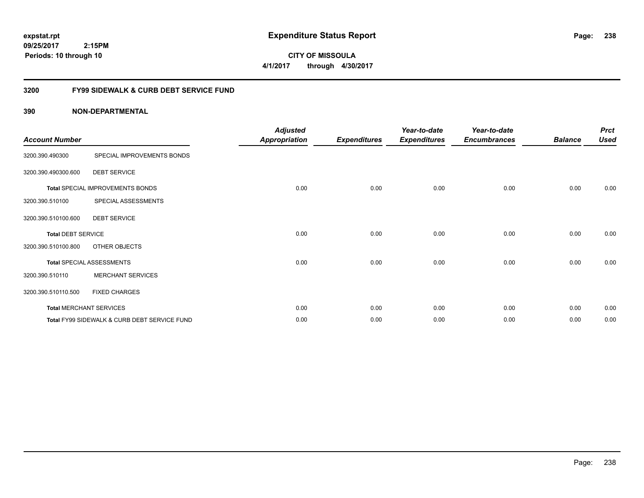**CITY OF MISSOULA 4/1/2017 through 4/30/2017**

# **3200 FY99 SIDEWALK & CURB DEBT SERVICE FUND**

| <b>Account Number</b>     |                                              | <b>Adjusted</b><br><b>Appropriation</b> | <b>Expenditures</b> | Year-to-date<br><b>Expenditures</b> | Year-to-date<br><b>Encumbrances</b> | <b>Balance</b> | <b>Prct</b><br><b>Used</b> |
|---------------------------|----------------------------------------------|-----------------------------------------|---------------------|-------------------------------------|-------------------------------------|----------------|----------------------------|
| 3200.390.490300           | SPECIAL IMPROVEMENTS BONDS                   |                                         |                     |                                     |                                     |                |                            |
| 3200.390.490300.600       | <b>DEBT SERVICE</b>                          |                                         |                     |                                     |                                     |                |                            |
|                           | Total SPECIAL IMPROVEMENTS BONDS             | 0.00                                    | 0.00                | 0.00                                | 0.00                                | 0.00           | 0.00                       |
| 3200.390.510100           | SPECIAL ASSESSMENTS                          |                                         |                     |                                     |                                     |                |                            |
| 3200.390.510100.600       | <b>DEBT SERVICE</b>                          |                                         |                     |                                     |                                     |                |                            |
| <b>Total DEBT SERVICE</b> |                                              | 0.00                                    | 0.00                | 0.00                                | 0.00                                | 0.00           | 0.00                       |
| 3200.390.510100.800       | OTHER OBJECTS                                |                                         |                     |                                     |                                     |                |                            |
|                           | <b>Total SPECIAL ASSESSMENTS</b>             | 0.00                                    | 0.00                | 0.00                                | 0.00                                | 0.00           | 0.00                       |
| 3200.390.510110           | <b>MERCHANT SERVICES</b>                     |                                         |                     |                                     |                                     |                |                            |
| 3200.390.510110.500       | <b>FIXED CHARGES</b>                         |                                         |                     |                                     |                                     |                |                            |
|                           | <b>Total MERCHANT SERVICES</b>               | 0.00                                    | 0.00                | 0.00                                | 0.00                                | 0.00           | 0.00                       |
|                           | Total FY99 SIDEWALK & CURB DEBT SERVICE FUND | 0.00                                    | 0.00                | 0.00                                | 0.00                                | 0.00           | 0.00                       |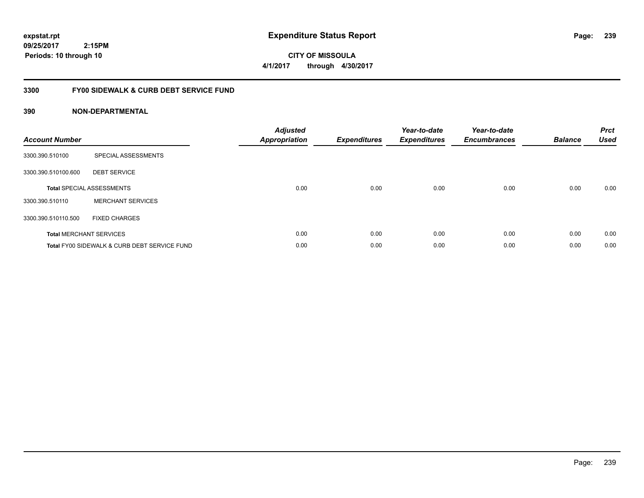**CITY OF MISSOULA 4/1/2017 through 4/30/2017**

# **3300 FY00 SIDEWALK & CURB DEBT SERVICE FUND**

| <b>Account Number</b> |                                              | <b>Adjusted</b><br>Appropriation | <b>Expenditures</b> | Year-to-date<br><b>Expenditures</b> | Year-to-date<br><b>Encumbrances</b> | <b>Balance</b> | <b>Prct</b><br><b>Used</b> |
|-----------------------|----------------------------------------------|----------------------------------|---------------------|-------------------------------------|-------------------------------------|----------------|----------------------------|
| 3300.390.510100       | SPECIAL ASSESSMENTS                          |                                  |                     |                                     |                                     |                |                            |
| 3300.390.510100.600   | <b>DEBT SERVICE</b>                          |                                  |                     |                                     |                                     |                |                            |
|                       | <b>Total SPECIAL ASSESSMENTS</b>             | 0.00                             | 0.00                | 0.00                                | 0.00                                | 0.00           | 0.00                       |
| 3300.390.510110       | <b>MERCHANT SERVICES</b>                     |                                  |                     |                                     |                                     |                |                            |
| 3300.390.510110.500   | <b>FIXED CHARGES</b>                         |                                  |                     |                                     |                                     |                |                            |
|                       | <b>Total MERCHANT SERVICES</b>               | 0.00                             | 0.00                | 0.00                                | 0.00                                | 0.00           | 0.00                       |
|                       | Total FY00 SIDEWALK & CURB DEBT SERVICE FUND | 0.00                             | 0.00                | 0.00                                | 0.00                                | 0.00           | 0.00                       |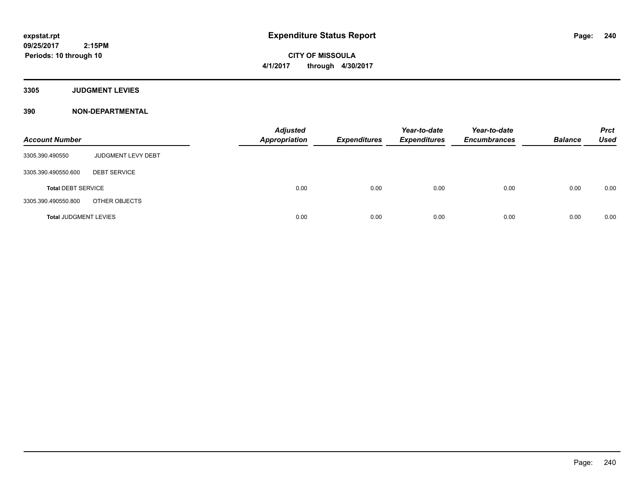**CITY OF MISSOULA 4/1/2017 through 4/30/2017**

**3305 JUDGMENT LEVIES**

| <b>Account Number</b>        |                     | <b>Adjusted</b><br><b>Appropriation</b> | <b>Expenditures</b> | Year-to-date<br><b>Expenditures</b> | Year-to-date<br><b>Encumbrances</b> | <b>Balance</b> | <b>Prct</b><br><b>Used</b> |
|------------------------------|---------------------|-----------------------------------------|---------------------|-------------------------------------|-------------------------------------|----------------|----------------------------|
| 3305.390.490550              | JUDGMENT LEVY DEBT  |                                         |                     |                                     |                                     |                |                            |
| 3305.390.490550.600          | <b>DEBT SERVICE</b> |                                         |                     |                                     |                                     |                |                            |
| <b>Total DEBT SERVICE</b>    |                     | 0.00                                    | 0.00                | 0.00                                | 0.00                                | 0.00           | 0.00                       |
| 3305.390.490550.800          | OTHER OBJECTS       |                                         |                     |                                     |                                     |                |                            |
| <b>Total JUDGMENT LEVIES</b> |                     | 0.00                                    | 0.00                | 0.00                                | 0.00                                | 0.00           | 0.00                       |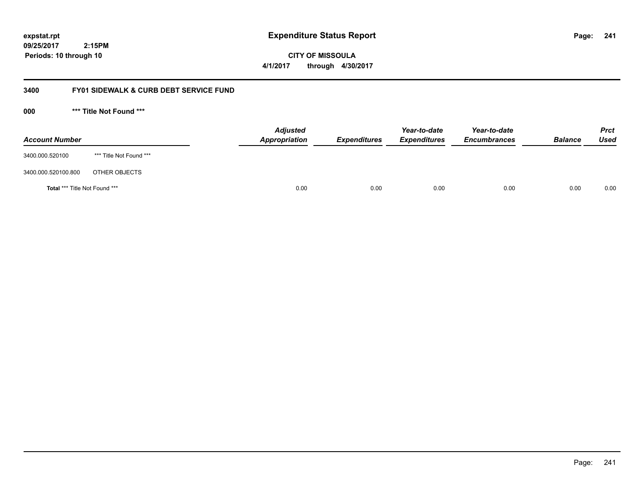**CITY OF MISSOULA 4/1/2017 through 4/30/2017**

# **3400 FY01 SIDEWALK & CURB DEBT SERVICE FUND**

**000 \*\*\* Title Not Found \*\*\***

| <b>Account Number</b>         |                         | <b>Adjusted</b><br>Appropriation | <b>Expenditures</b> | Year-to-date<br><b>Expenditures</b> | Year-to-date<br><b>Encumbrances</b> | <b>Balance</b> | Prct<br><b>Used</b> |
|-------------------------------|-------------------------|----------------------------------|---------------------|-------------------------------------|-------------------------------------|----------------|---------------------|
| 3400.000.520100               | *** Title Not Found *** |                                  |                     |                                     |                                     |                |                     |
| 3400.000.520100.800           | OTHER OBJECTS           |                                  |                     |                                     |                                     |                |                     |
| Total *** Title Not Found *** |                         | 0.00                             | 0.00                | 0.00                                | 0.00                                | 0.00           | 0.00                |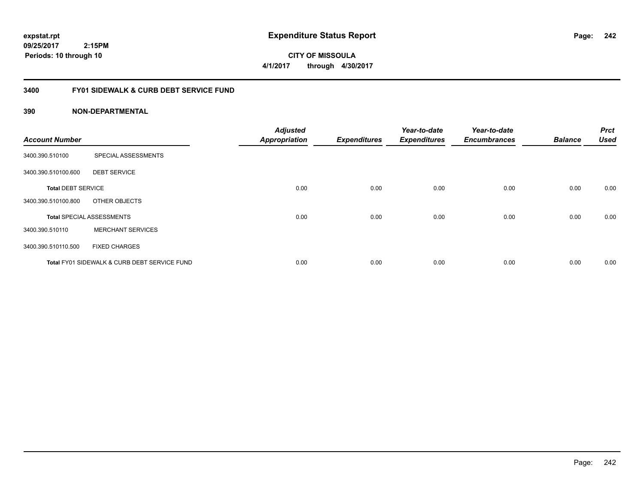**CITY OF MISSOULA 4/1/2017 through 4/30/2017**

# **3400 FY01 SIDEWALK & CURB DEBT SERVICE FUND**

| <b>Account Number</b>     |                                              | <b>Adjusted</b><br><b>Appropriation</b> | <b>Expenditures</b> | Year-to-date<br><b>Expenditures</b> | Year-to-date<br><b>Encumbrances</b> | <b>Balance</b> | <b>Prct</b><br><b>Used</b> |
|---------------------------|----------------------------------------------|-----------------------------------------|---------------------|-------------------------------------|-------------------------------------|----------------|----------------------------|
| 3400.390.510100           | SPECIAL ASSESSMENTS                          |                                         |                     |                                     |                                     |                |                            |
| 3400.390.510100.600       | <b>DEBT SERVICE</b>                          |                                         |                     |                                     |                                     |                |                            |
| <b>Total DEBT SERVICE</b> |                                              | 0.00                                    | 0.00                | 0.00                                | 0.00                                | 0.00           | 0.00                       |
| 3400.390.510100.800       | OTHER OBJECTS                                |                                         |                     |                                     |                                     |                |                            |
|                           | <b>Total SPECIAL ASSESSMENTS</b>             | 0.00                                    | 0.00                | 0.00                                | 0.00                                | 0.00           | 0.00                       |
| 3400.390.510110           | <b>MERCHANT SERVICES</b>                     |                                         |                     |                                     |                                     |                |                            |
| 3400.390.510110.500       | <b>FIXED CHARGES</b>                         |                                         |                     |                                     |                                     |                |                            |
|                           | Total FY01 SIDEWALK & CURB DEBT SERVICE FUND | 0.00                                    | 0.00                | 0.00                                | 0.00                                | 0.00           | 0.00                       |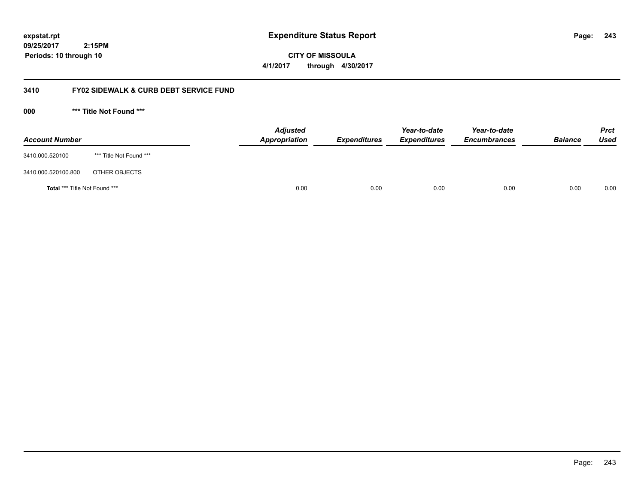**CITY OF MISSOULA 4/1/2017 through 4/30/2017**

# **3410 FY02 SIDEWALK & CURB DEBT SERVICE FUND**

**000 \*\*\* Title Not Found \*\*\***

| <b>Account Number</b>         |                         | <b>Adjusted</b><br><b>Appropriation</b> | <b>Expenditures</b> | Year-to-date<br><b>Expenditures</b> | Year-to-date<br><b>Encumbrances</b> | <b>Balance</b> | <b>Prct</b><br>Used |
|-------------------------------|-------------------------|-----------------------------------------|---------------------|-------------------------------------|-------------------------------------|----------------|---------------------|
| 3410.000.520100               | *** Title Not Found *** |                                         |                     |                                     |                                     |                |                     |
| 3410.000.520100.800           | OTHER OBJECTS           |                                         |                     |                                     |                                     |                |                     |
| Total *** Title Not Found *** |                         | 0.00                                    | 0.00                | 0.00                                | 0.00                                | 0.00           | 0.00                |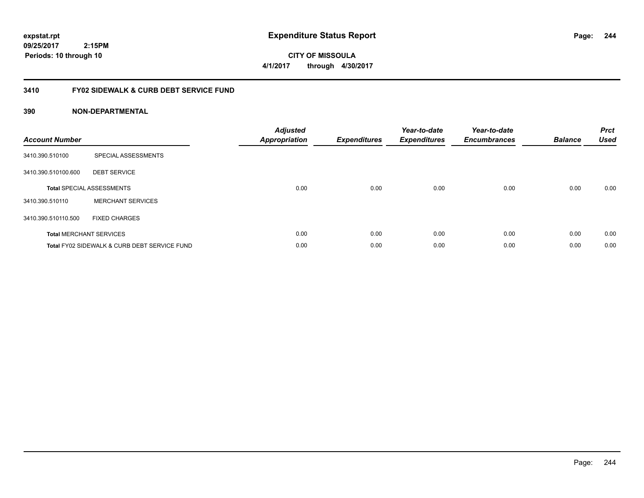**244**

**09/25/2017 2:15PM Periods: 10 through 10**

**CITY OF MISSOULA 4/1/2017 through 4/30/2017**

# **3410 FY02 SIDEWALK & CURB DEBT SERVICE FUND**

| <b>Account Number</b> |                                              | <b>Adjusted</b><br>Appropriation | <b>Expenditures</b> | Year-to-date<br><b>Expenditures</b> | Year-to-date<br><b>Encumbrances</b> | <b>Balance</b> | <b>Prct</b><br><b>Used</b> |
|-----------------------|----------------------------------------------|----------------------------------|---------------------|-------------------------------------|-------------------------------------|----------------|----------------------------|
| 3410.390.510100       | SPECIAL ASSESSMENTS                          |                                  |                     |                                     |                                     |                |                            |
| 3410.390.510100.600   | <b>DEBT SERVICE</b>                          |                                  |                     |                                     |                                     |                |                            |
|                       | <b>Total SPECIAL ASSESSMENTS</b>             | 0.00                             | 0.00                | 0.00                                | 0.00                                | 0.00           | 0.00                       |
| 3410.390.510110       | <b>MERCHANT SERVICES</b>                     |                                  |                     |                                     |                                     |                |                            |
| 3410.390.510110.500   | <b>FIXED CHARGES</b>                         |                                  |                     |                                     |                                     |                |                            |
|                       | <b>Total MERCHANT SERVICES</b>               | 0.00                             | 0.00                | 0.00                                | 0.00                                | 0.00           | 0.00                       |
|                       | Total FY02 SIDEWALK & CURB DEBT SERVICE FUND | 0.00                             | 0.00                | 0.00                                | 0.00                                | 0.00           | 0.00                       |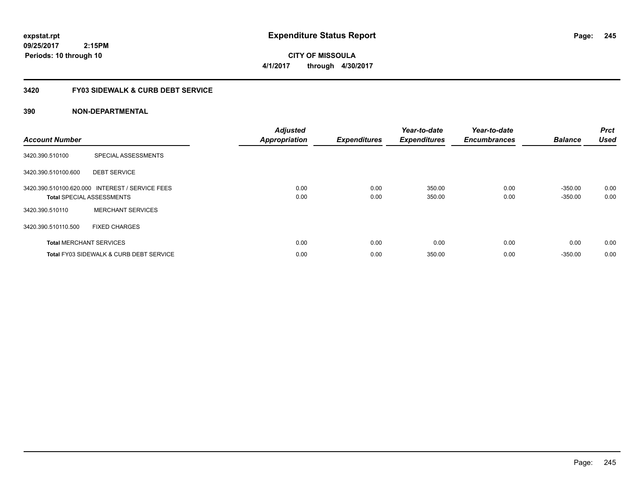**CITY OF MISSOULA 4/1/2017 through 4/30/2017**

# **3420 FY03 SIDEWALK & CURB DEBT SERVICE**

| <b>Account Number</b> |                                                                                     | <b>Adjusted</b><br><b>Appropriation</b> | <b>Expenditures</b> | Year-to-date<br><b>Expenditures</b> | Year-to-date<br><b>Encumbrances</b> | <b>Balance</b>         | <b>Prct</b><br><b>Used</b> |
|-----------------------|-------------------------------------------------------------------------------------|-----------------------------------------|---------------------|-------------------------------------|-------------------------------------|------------------------|----------------------------|
| 3420.390.510100       | SPECIAL ASSESSMENTS                                                                 |                                         |                     |                                     |                                     |                        |                            |
| 3420.390.510100.600   | <b>DEBT SERVICE</b>                                                                 |                                         |                     |                                     |                                     |                        |                            |
|                       | 3420.390.510100.620.000 INTEREST / SERVICE FEES<br><b>Total SPECIAL ASSESSMENTS</b> | 0.00<br>0.00                            | 0.00<br>0.00        | 350.00<br>350.00                    | 0.00<br>0.00                        | $-350.00$<br>$-350.00$ | 0.00<br>0.00               |
| 3420.390.510110       | <b>MERCHANT SERVICES</b>                                                            |                                         |                     |                                     |                                     |                        |                            |
| 3420.390.510110.500   | <b>FIXED CHARGES</b>                                                                |                                         |                     |                                     |                                     |                        |                            |
|                       | <b>Total MERCHANT SERVICES</b>                                                      | 0.00                                    | 0.00                | 0.00                                | 0.00                                | 0.00                   | 0.00                       |
|                       | <b>Total FY03 SIDEWALK &amp; CURB DEBT SERVICE</b>                                  | 0.00                                    | 0.00                | 350.00                              | 0.00                                | $-350.00$              | 0.00                       |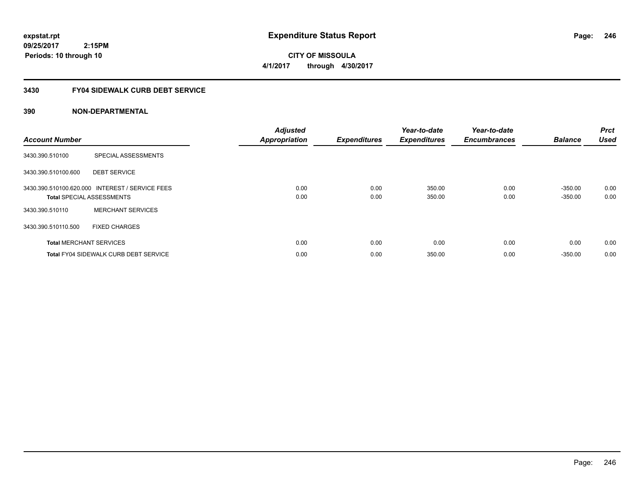**CITY OF MISSOULA 4/1/2017 through 4/30/2017**

# **3430 FY04 SIDEWALK CURB DEBT SERVICE**

| <b>Account Number</b> |                                                                                     | <b>Adjusted</b><br><b>Appropriation</b> | <b>Expenditures</b> | Year-to-date<br><b>Expenditures</b> | Year-to-date<br><b>Encumbrances</b> | <b>Balance</b>         | <b>Prct</b><br><b>Used</b> |
|-----------------------|-------------------------------------------------------------------------------------|-----------------------------------------|---------------------|-------------------------------------|-------------------------------------|------------------------|----------------------------|
| 3430.390.510100       | SPECIAL ASSESSMENTS                                                                 |                                         |                     |                                     |                                     |                        |                            |
| 3430.390.510100.600   | <b>DEBT SERVICE</b>                                                                 |                                         |                     |                                     |                                     |                        |                            |
|                       | 3430.390.510100.620.000 INTEREST / SERVICE FEES<br><b>Total SPECIAL ASSESSMENTS</b> | 0.00<br>0.00                            | 0.00<br>0.00        | 350.00<br>350.00                    | 0.00<br>0.00                        | $-350.00$<br>$-350.00$ | 0.00<br>0.00               |
| 3430.390.510110       | <b>MERCHANT SERVICES</b>                                                            |                                         |                     |                                     |                                     |                        |                            |
| 3430.390.510110.500   | <b>FIXED CHARGES</b>                                                                |                                         |                     |                                     |                                     |                        |                            |
|                       | <b>Total MERCHANT SERVICES</b>                                                      | 0.00                                    | 0.00                | 0.00                                | 0.00                                | 0.00                   | 0.00                       |
|                       | <b>Total FY04 SIDEWALK CURB DEBT SERVICE</b>                                        | 0.00                                    | 0.00                | 350.00                              | 0.00                                | $-350.00$              | 0.00                       |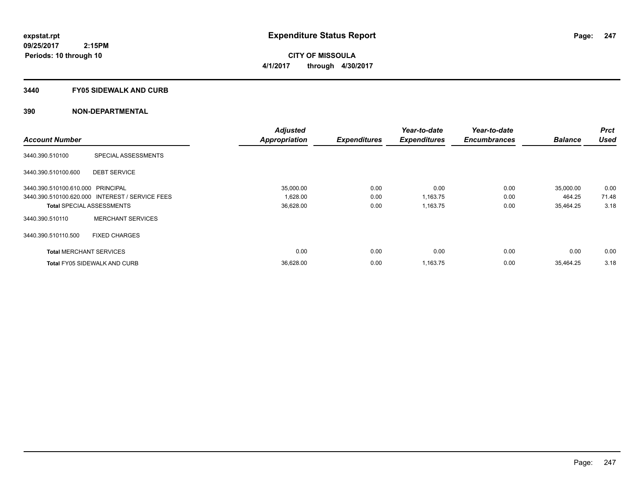**CITY OF MISSOULA 4/1/2017 through 4/30/2017**

### **3440 FY05 SIDEWALK AND CURB**

|                                   |                                                 | <b>Adjusted</b>      |                     | Year-to-date        | Year-to-date        |                | <b>Prct</b> |
|-----------------------------------|-------------------------------------------------|----------------------|---------------------|---------------------|---------------------|----------------|-------------|
| <b>Account Number</b>             |                                                 | <b>Appropriation</b> | <b>Expenditures</b> | <b>Expenditures</b> | <b>Encumbrances</b> | <b>Balance</b> | <b>Used</b> |
| 3440.390.510100                   | SPECIAL ASSESSMENTS                             |                      |                     |                     |                     |                |             |
| 3440.390.510100.600               | <b>DEBT SERVICE</b>                             |                      |                     |                     |                     |                |             |
| 3440.390.510100.610.000 PRINCIPAL |                                                 | 35,000.00            | 0.00                | 0.00                | 0.00                | 35,000.00      | 0.00        |
|                                   | 3440.390.510100.620.000 INTEREST / SERVICE FEES | 1,628.00             | 0.00                | 1,163.75            | 0.00                | 464.25         | 71.48       |
| <b>Total SPECIAL ASSESSMENTS</b>  |                                                 | 36,628.00            | 0.00                | 1,163.75            | 0.00                | 35,464.25      | 3.18        |
| 3440.390.510110                   | <b>MERCHANT SERVICES</b>                        |                      |                     |                     |                     |                |             |
| 3440.390.510110.500               | <b>FIXED CHARGES</b>                            |                      |                     |                     |                     |                |             |
| <b>Total MERCHANT SERVICES</b>    |                                                 | 0.00                 | 0.00                | 0.00                | 0.00                | 0.00           | 0.00        |
|                                   | <b>Total FY05 SIDEWALK AND CURB</b>             | 36,628.00            | 0.00                | 1,163.75            | 0.00                | 35,464.25      | 3.18        |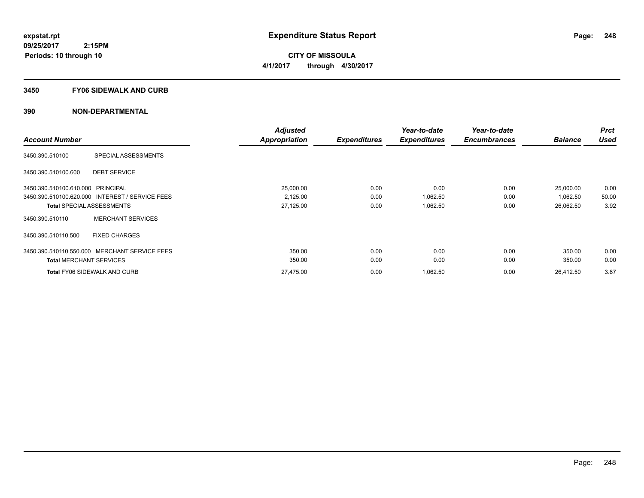**CITY OF MISSOULA 4/1/2017 through 4/30/2017**

### **3450 FY06 SIDEWALK AND CURB**

|                                                 |                            | <b>Adjusted</b>      |                     | Year-to-date        | Year-to-date        |                | <b>Prct</b> |
|-------------------------------------------------|----------------------------|----------------------|---------------------|---------------------|---------------------|----------------|-------------|
| <b>Account Number</b>                           |                            | <b>Appropriation</b> | <b>Expenditures</b> | <b>Expenditures</b> | <b>Encumbrances</b> | <b>Balance</b> | <b>Used</b> |
| 3450.390.510100                                 | <b>SPECIAL ASSESSMENTS</b> |                      |                     |                     |                     |                |             |
| 3450.390.510100.600                             | <b>DEBT SERVICE</b>        |                      |                     |                     |                     |                |             |
| 3450.390.510100.610.000 PRINCIPAL               |                            | 25,000.00            | 0.00                | 0.00                | 0.00                | 25,000.00      | 0.00        |
| 3450.390.510100.620.000 INTEREST / SERVICE FEES |                            | 2,125.00             | 0.00                | 1,062.50            | 0.00                | 1,062.50       | 50.00       |
| <b>Total SPECIAL ASSESSMENTS</b>                |                            | 27,125.00            | 0.00                | 1,062.50            | 0.00                | 26,062.50      | 3.92        |
| 3450.390.510110                                 | <b>MERCHANT SERVICES</b>   |                      |                     |                     |                     |                |             |
| 3450.390.510110.500                             | <b>FIXED CHARGES</b>       |                      |                     |                     |                     |                |             |
| 3450.390.510110.550.000 MERCHANT SERVICE FEES   |                            | 350.00               | 0.00                | 0.00                | 0.00                | 350.00         | 0.00        |
| <b>Total MERCHANT SERVICES</b>                  |                            | 350.00               | 0.00                | 0.00                | 0.00                | 350.00         | 0.00        |
| <b>Total FY06 SIDEWALK AND CURB</b>             |                            | 27,475.00            | 0.00                | 1,062.50            | 0.00                | 26,412.50      | 3.87        |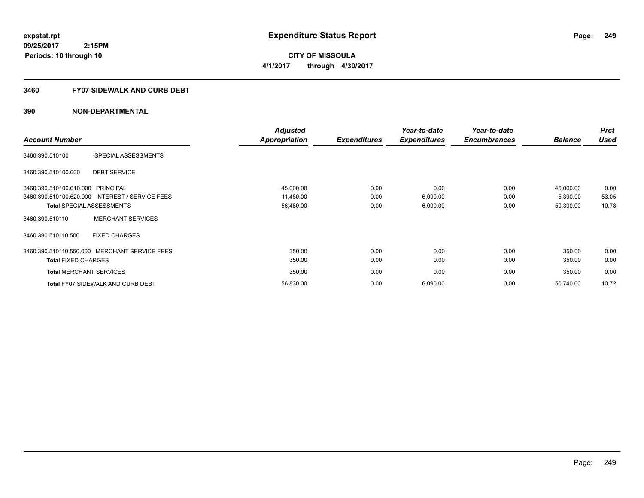**249**

**09/25/2017 2:15PM Periods: 10 through 10**

**CITY OF MISSOULA 4/1/2017 through 4/30/2017**

# **3460 FY07 SIDEWALK AND CURB DEBT**

|                                   |                                                 | <b>Adjusted</b>      |                     | Year-to-date        | Year-to-date        |                | <b>Prct</b> |
|-----------------------------------|-------------------------------------------------|----------------------|---------------------|---------------------|---------------------|----------------|-------------|
| <b>Account Number</b>             |                                                 | <b>Appropriation</b> | <b>Expenditures</b> | <b>Expenditures</b> | <b>Encumbrances</b> | <b>Balance</b> | <b>Used</b> |
| 3460.390.510100                   | SPECIAL ASSESSMENTS                             |                      |                     |                     |                     |                |             |
| 3460.390.510100.600               | <b>DEBT SERVICE</b>                             |                      |                     |                     |                     |                |             |
| 3460.390.510100.610.000 PRINCIPAL |                                                 | 45,000.00            | 0.00                | 0.00                | 0.00                | 45,000.00      | 0.00        |
|                                   | 3460.390.510100.620.000 INTEREST / SERVICE FEES | 11,480.00            | 0.00                | 6,090.00            | 0.00                | 5,390.00       | 53.05       |
| <b>Total SPECIAL ASSESSMENTS</b>  |                                                 | 56,480.00            | 0.00                | 6,090.00            | 0.00                | 50,390.00      | 10.78       |
| 3460.390.510110                   | <b>MERCHANT SERVICES</b>                        |                      |                     |                     |                     |                |             |
| 3460.390.510110.500               | <b>FIXED CHARGES</b>                            |                      |                     |                     |                     |                |             |
|                                   | 3460.390.510110.550.000 MERCHANT SERVICE FEES   | 350.00               | 0.00                | 0.00                | 0.00                | 350.00         | 0.00        |
| <b>Total FIXED CHARGES</b>        |                                                 | 350.00               | 0.00                | 0.00                | 0.00                | 350.00         | 0.00        |
| <b>Total MERCHANT SERVICES</b>    |                                                 | 350.00               | 0.00                | 0.00                | 0.00                | 350.00         | 0.00        |
|                                   | <b>Total FY07 SIDEWALK AND CURB DEBT</b>        | 56,830.00            | 0.00                | 6,090.00            | 0.00                | 50,740.00      | 10.72       |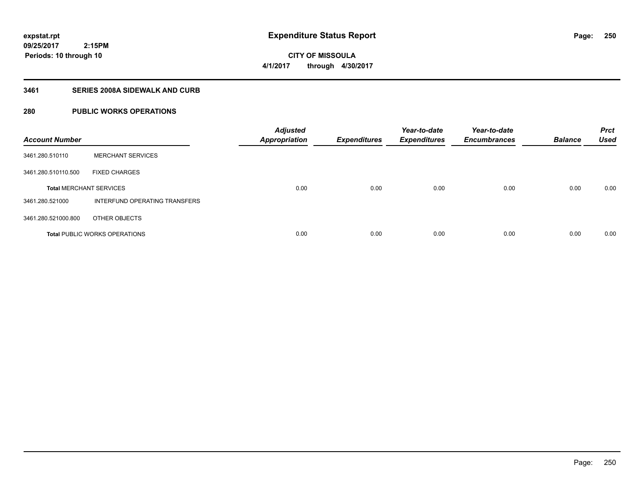**250**

**09/25/2017 2:15PM Periods: 10 through 10**

**CITY OF MISSOULA 4/1/2017 through 4/30/2017**

# **3461 SERIES 2008A SIDEWALK AND CURB**

# **280 PUBLIC WORKS OPERATIONS**

| <b>Account Number</b>          |                                      | <b>Adjusted</b><br><b>Appropriation</b> | <b>Expenditures</b> | Year-to-date<br><b>Expenditures</b> | Year-to-date<br><b>Encumbrances</b> | <b>Balance</b> | <b>Prct</b><br><b>Used</b> |
|--------------------------------|--------------------------------------|-----------------------------------------|---------------------|-------------------------------------|-------------------------------------|----------------|----------------------------|
| 3461.280.510110                | <b>MERCHANT SERVICES</b>             |                                         |                     |                                     |                                     |                |                            |
| 3461.280.510110.500            | <b>FIXED CHARGES</b>                 |                                         |                     |                                     |                                     |                |                            |
| <b>Total MERCHANT SERVICES</b> |                                      | 0.00                                    | 0.00                | 0.00                                | 0.00                                | 0.00           | 0.00                       |
| 3461.280.521000                | INTERFUND OPERATING TRANSFERS        |                                         |                     |                                     |                                     |                |                            |
| 3461.280.521000.800            | OTHER OBJECTS                        |                                         |                     |                                     |                                     |                |                            |
|                                | <b>Total PUBLIC WORKS OPERATIONS</b> | 0.00                                    | 0.00                | 0.00                                | 0.00                                | 0.00           | 0.00                       |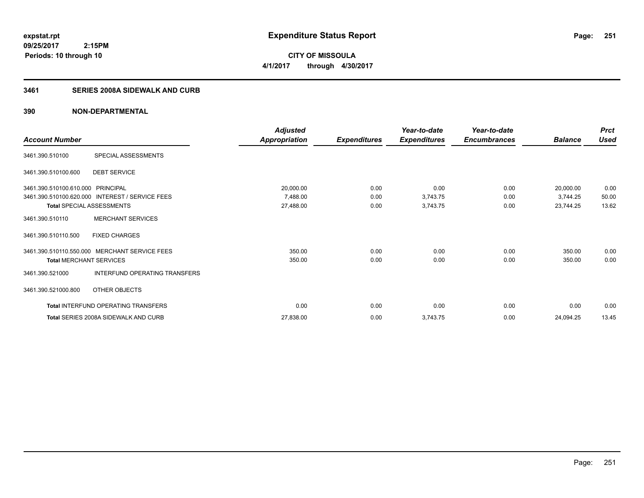**CITY OF MISSOULA 4/1/2017 through 4/30/2017**

# **3461 SERIES 2008A SIDEWALK AND CURB**

|                                   |                                                 | <b>Adjusted</b> |                     | Year-to-date        | Year-to-date        |                | <b>Prct</b> |
|-----------------------------------|-------------------------------------------------|-----------------|---------------------|---------------------|---------------------|----------------|-------------|
| <b>Account Number</b>             |                                                 | Appropriation   | <b>Expenditures</b> | <b>Expenditures</b> | <b>Encumbrances</b> | <b>Balance</b> | <b>Used</b> |
| 3461.390.510100                   | SPECIAL ASSESSMENTS                             |                 |                     |                     |                     |                |             |
| 3461.390.510100.600               | <b>DEBT SERVICE</b>                             |                 |                     |                     |                     |                |             |
| 3461.390.510100.610.000 PRINCIPAL |                                                 | 20,000.00       | 0.00                | 0.00                | 0.00                | 20,000.00      | 0.00        |
|                                   | 3461.390.510100.620.000 INTEREST / SERVICE FEES | 7,488.00        | 0.00                | 3,743.75            | 0.00                | 3,744.25       | 50.00       |
| <b>Total SPECIAL ASSESSMENTS</b>  |                                                 | 27,488.00       | 0.00                | 3,743.75            | 0.00                | 23,744.25      | 13.62       |
| 3461.390.510110                   | <b>MERCHANT SERVICES</b>                        |                 |                     |                     |                     |                |             |
| 3461.390.510110.500               | <b>FIXED CHARGES</b>                            |                 |                     |                     |                     |                |             |
|                                   | 3461.390.510110.550.000 MERCHANT SERVICE FEES   | 350.00          | 0.00                | 0.00                | 0.00                | 350.00         | 0.00        |
| <b>Total MERCHANT SERVICES</b>    |                                                 | 350.00          | 0.00                | 0.00                | 0.00                | 350.00         | 0.00        |
| 3461.390.521000                   | <b>INTERFUND OPERATING TRANSFERS</b>            |                 |                     |                     |                     |                |             |
| 3461.390.521000.800               | OTHER OBJECTS                                   |                 |                     |                     |                     |                |             |
|                                   | Total INTERFUND OPERATING TRANSFERS             | 0.00            | 0.00                | 0.00                | 0.00                | 0.00           | 0.00        |
|                                   | Total SERIES 2008A SIDEWALK AND CURB            | 27,838.00       | 0.00                | 3,743.75            | 0.00                | 24,094.25      | 13.45       |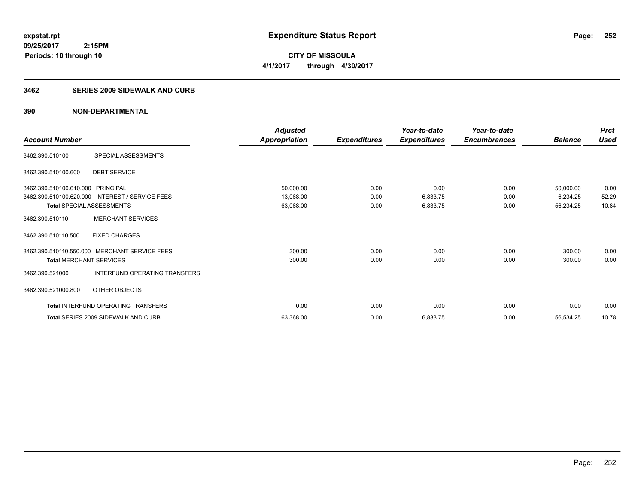**CITY OF MISSOULA 4/1/2017 through 4/30/2017**

### **3462 SERIES 2009 SIDEWALK AND CURB**

|                                   |                                                 | <b>Adjusted</b>      |                     | Year-to-date        | Year-to-date        |                | <b>Prct</b> |
|-----------------------------------|-------------------------------------------------|----------------------|---------------------|---------------------|---------------------|----------------|-------------|
| <b>Account Number</b>             |                                                 | <b>Appropriation</b> | <b>Expenditures</b> | <b>Expenditures</b> | <b>Encumbrances</b> | <b>Balance</b> | <b>Used</b> |
| 3462.390.510100                   | SPECIAL ASSESSMENTS                             |                      |                     |                     |                     |                |             |
| 3462.390.510100.600               | <b>DEBT SERVICE</b>                             |                      |                     |                     |                     |                |             |
| 3462.390.510100.610.000 PRINCIPAL |                                                 | 50,000.00            | 0.00                | 0.00                | 0.00                | 50,000.00      | 0.00        |
|                                   | 3462.390.510100.620.000 INTEREST / SERVICE FEES | 13,068.00            | 0.00                | 6,833.75            | 0.00                | 6,234.25       | 52.29       |
| Total SPECIAL ASSESSMENTS         |                                                 | 63,068.00            | 0.00                | 6,833.75            | 0.00                | 56,234.25      | 10.84       |
| 3462.390.510110                   | <b>MERCHANT SERVICES</b>                        |                      |                     |                     |                     |                |             |
| 3462.390.510110.500               | <b>FIXED CHARGES</b>                            |                      |                     |                     |                     |                |             |
|                                   | 3462.390.510110.550.000 MERCHANT SERVICE FEES   | 300.00               | 0.00                | 0.00                | 0.00                | 300.00         | 0.00        |
| <b>Total MERCHANT SERVICES</b>    |                                                 | 300.00               | 0.00                | 0.00                | 0.00                | 300.00         | 0.00        |
| 3462.390.521000                   | INTERFUND OPERATING TRANSFERS                   |                      |                     |                     |                     |                |             |
| 3462.390.521000.800               | OTHER OBJECTS                                   |                      |                     |                     |                     |                |             |
|                                   | <b>Total INTERFUND OPERATING TRANSFERS</b>      | 0.00                 | 0.00                | 0.00                | 0.00                | 0.00           | 0.00        |
|                                   | Total SERIES 2009 SIDEWALK AND CURB             | 63,368.00            | 0.00                | 6,833.75            | 0.00                | 56,534.25      | 10.78       |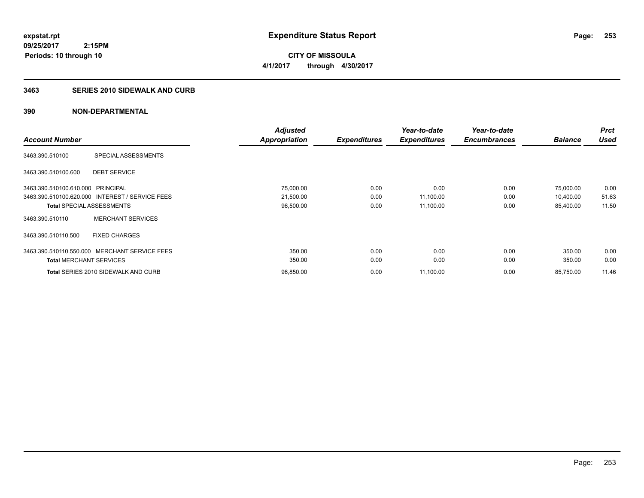**CITY OF MISSOULA 4/1/2017 through 4/30/2017**

## **3463 SERIES 2010 SIDEWALK AND CURB**

|                                   |                                                 | <b>Adjusted</b>      |                     | Year-to-date        | Year-to-date        |                | <b>Prct</b> |
|-----------------------------------|-------------------------------------------------|----------------------|---------------------|---------------------|---------------------|----------------|-------------|
| <b>Account Number</b>             |                                                 | <b>Appropriation</b> | <b>Expenditures</b> | <b>Expenditures</b> | <b>Encumbrances</b> | <b>Balance</b> | <b>Used</b> |
| 3463.390.510100                   | SPECIAL ASSESSMENTS                             |                      |                     |                     |                     |                |             |
| 3463.390.510100.600               | <b>DEBT SERVICE</b>                             |                      |                     |                     |                     |                |             |
| 3463.390.510100.610.000 PRINCIPAL |                                                 | 75,000.00            | 0.00                | 0.00                | 0.00                | 75,000.00      | 0.00        |
|                                   | 3463.390.510100.620.000 INTEREST / SERVICE FEES | 21,500.00            | 0.00                | 11,100.00           | 0.00                | 10,400.00      | 51.63       |
| <b>Total SPECIAL ASSESSMENTS</b>  |                                                 | 96,500.00            | 0.00                | 11,100.00           | 0.00                | 85,400.00      | 11.50       |
| 3463.390.510110                   | <b>MERCHANT SERVICES</b>                        |                      |                     |                     |                     |                |             |
| 3463.390.510110.500               | <b>FIXED CHARGES</b>                            |                      |                     |                     |                     |                |             |
|                                   | 3463.390.510110.550.000 MERCHANT SERVICE FEES   | 350.00               | 0.00                | 0.00                | 0.00                | 350.00         | 0.00        |
| <b>Total MERCHANT SERVICES</b>    |                                                 | 350.00               | 0.00                | 0.00                | 0.00                | 350.00         | 0.00        |
|                                   | Total SERIES 2010 SIDEWALK AND CURB             | 96,850.00            | 0.00                | 11,100.00           | 0.00                | 85,750.00      | 11.46       |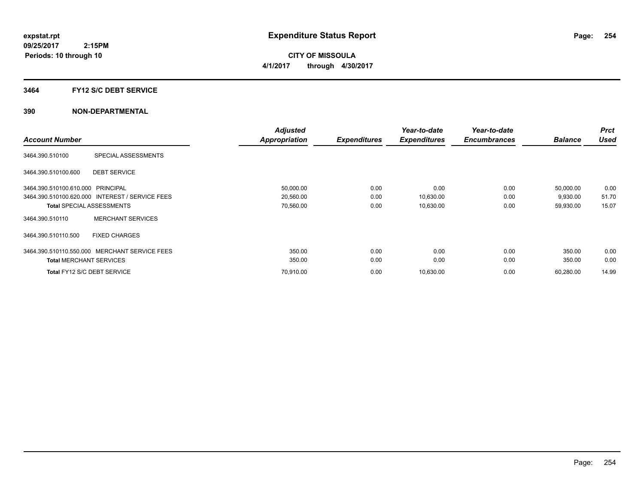## **3464 FY12 S/C DEBT SERVICE**

|                                                 | <b>Adjusted</b> |                     | Year-to-date        | Year-to-date        |                | <b>Prct</b> |
|-------------------------------------------------|-----------------|---------------------|---------------------|---------------------|----------------|-------------|
| <b>Account Number</b>                           | Appropriation   | <b>Expenditures</b> | <b>Expenditures</b> | <b>Encumbrances</b> | <b>Balance</b> | <b>Used</b> |
| SPECIAL ASSESSMENTS<br>3464.390.510100          |                 |                     |                     |                     |                |             |
| 3464.390.510100.600<br><b>DEBT SERVICE</b>      |                 |                     |                     |                     |                |             |
| 3464.390.510100.610.000 PRINCIPAL               | 50,000.00       | 0.00                | 0.00                | 0.00                | 50,000.00      | 0.00        |
| 3464.390.510100.620.000 INTEREST / SERVICE FEES | 20,560.00       | 0.00                | 10,630.00           | 0.00                | 9,930.00       | 51.70       |
| <b>Total SPECIAL ASSESSMENTS</b>                | 70,560.00       | 0.00                | 10,630.00           | 0.00                | 59,930.00      | 15.07       |
| <b>MERCHANT SERVICES</b><br>3464.390.510110     |                 |                     |                     |                     |                |             |
| <b>FIXED CHARGES</b><br>3464.390.510110.500     |                 |                     |                     |                     |                |             |
| 3464.390.510110.550.000 MERCHANT SERVICE FEES   | 350.00          | 0.00                | 0.00                | 0.00                | 350.00         | 0.00        |
| <b>Total MERCHANT SERVICES</b>                  | 350.00          | 0.00                | 0.00                | 0.00                | 350.00         | 0.00        |
| Total FY12 S/C DEBT SERVICE                     | 70,910.00       | 0.00                | 10,630.00           | 0.00                | 60,280.00      | 14.99       |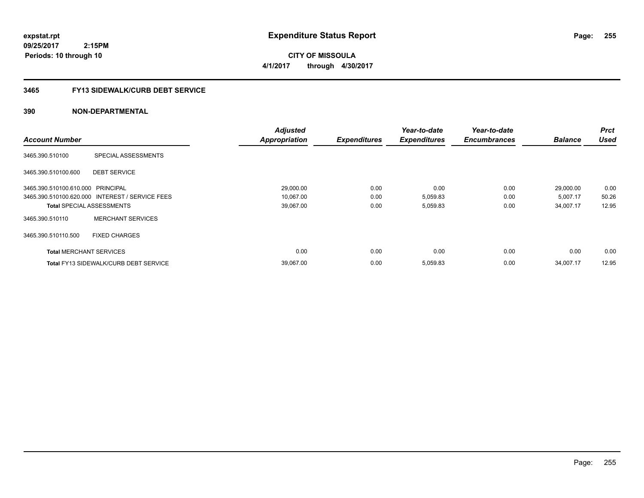**expstat.rpt Expenditure Status Report** 

**09/25/2017 2:15PM Periods: 10 through 10**

**CITY OF MISSOULA 4/1/2017 through 4/30/2017**

## **3465 FY13 SIDEWALK/CURB DEBT SERVICE**

|                                   |                                                 | <b>Adjusted</b>      |                     | Year-to-date        | Year-to-date        |                | <b>Prct</b> |
|-----------------------------------|-------------------------------------------------|----------------------|---------------------|---------------------|---------------------|----------------|-------------|
| <b>Account Number</b>             |                                                 | <b>Appropriation</b> | <b>Expenditures</b> | <b>Expenditures</b> | <b>Encumbrances</b> | <b>Balance</b> | <b>Used</b> |
| 3465.390.510100                   | SPECIAL ASSESSMENTS                             |                      |                     |                     |                     |                |             |
| 3465.390.510100.600               | <b>DEBT SERVICE</b>                             |                      |                     |                     |                     |                |             |
| 3465.390.510100.610.000 PRINCIPAL |                                                 | 29,000.00            | 0.00                | 0.00                | 0.00                | 29,000.00      | 0.00        |
|                                   | 3465.390.510100.620.000 INTEREST / SERVICE FEES | 10,067.00            | 0.00                | 5,059.83            | 0.00                | 5,007.17       | 50.26       |
| <b>Total SPECIAL ASSESSMENTS</b>  |                                                 | 39,067.00            | 0.00                | 5,059.83            | 0.00                | 34,007.17      | 12.95       |
| 3465.390.510110                   | <b>MERCHANT SERVICES</b>                        |                      |                     |                     |                     |                |             |
| 3465.390.510110.500               | <b>FIXED CHARGES</b>                            |                      |                     |                     |                     |                |             |
| <b>Total MERCHANT SERVICES</b>    |                                                 | 0.00                 | 0.00                | 0.00                | 0.00                | 0.00           | 0.00        |
|                                   | <b>Total FY13 SIDEWALK/CURB DEBT SERVICE</b>    | 39,067.00            | 0.00                | 5,059.83            | 0.00                | 34,007.17      | 12.95       |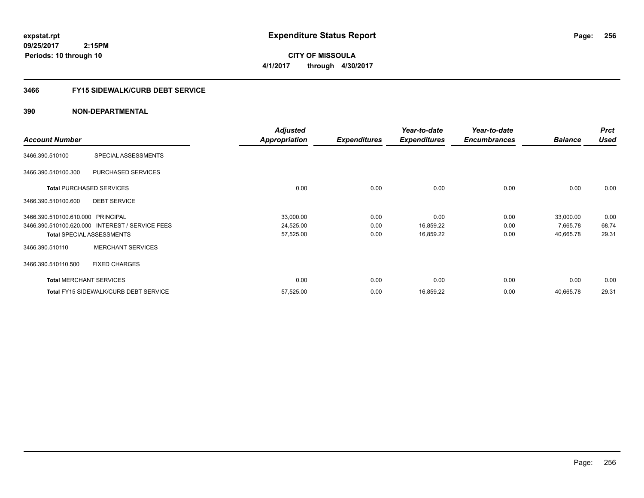**expstat.rpt Expenditure Status Report** 

**09/25/2017 2:15PM Periods: 10 through 10**

**CITY OF MISSOULA 4/1/2017 through 4/30/2017**

## **3466 FY15 SIDEWALK/CURB DEBT SERVICE**

|                                   |                                                 | <b>Adjusted</b>      |                     | Year-to-date        | Year-to-date        |                | <b>Prct</b> |
|-----------------------------------|-------------------------------------------------|----------------------|---------------------|---------------------|---------------------|----------------|-------------|
| <b>Account Number</b>             |                                                 | <b>Appropriation</b> | <b>Expenditures</b> | <b>Expenditures</b> | <b>Encumbrances</b> | <b>Balance</b> | <b>Used</b> |
| 3466.390.510100                   | SPECIAL ASSESSMENTS                             |                      |                     |                     |                     |                |             |
| 3466.390.510100.300               | PURCHASED SERVICES                              |                      |                     |                     |                     |                |             |
|                                   | <b>Total PURCHASED SERVICES</b>                 | 0.00                 | 0.00                | 0.00                | 0.00                | 0.00           | 0.00        |
| 3466.390.510100.600               | <b>DEBT SERVICE</b>                             |                      |                     |                     |                     |                |             |
| 3466.390.510100.610.000 PRINCIPAL |                                                 | 33,000.00            | 0.00                | 0.00                | 0.00                | 33,000.00      | 0.00        |
|                                   | 3466.390.510100.620.000 INTEREST / SERVICE FEES | 24,525.00            | 0.00                | 16,859.22           | 0.00                | 7,665.78       | 68.74       |
|                                   | <b>Total SPECIAL ASSESSMENTS</b>                | 57,525.00            | 0.00                | 16,859.22           | 0.00                | 40,665.78      | 29.31       |
| 3466.390.510110                   | <b>MERCHANT SERVICES</b>                        |                      |                     |                     |                     |                |             |
| 3466.390.510110.500               | <b>FIXED CHARGES</b>                            |                      |                     |                     |                     |                |             |
|                                   | <b>Total MERCHANT SERVICES</b>                  | 0.00                 | 0.00                | 0.00                | 0.00                | 0.00           | 0.00        |
|                                   | <b>Total FY15 SIDEWALK/CURB DEBT SERVICE</b>    | 57,525.00            | 0.00                | 16,859.22           | 0.00                | 40,665.78      | 29.31       |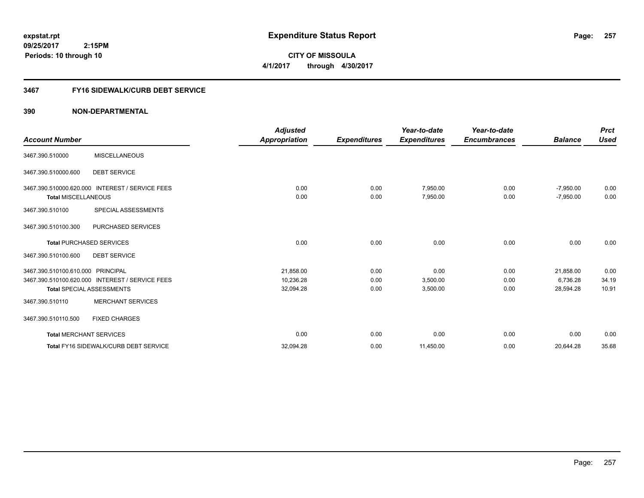**expstat.rpt Expenditure Status Report** 

**09/25/2017 2:15PM Periods: 10 through 10**

**CITY OF MISSOULA 4/1/2017 through 4/30/2017**

# **3467 FY16 SIDEWALK/CURB DEBT SERVICE**

|                                   |                                                 | <b>Adjusted</b>      |                     | Year-to-date        | Year-to-date        |                | <b>Prct</b> |
|-----------------------------------|-------------------------------------------------|----------------------|---------------------|---------------------|---------------------|----------------|-------------|
| <b>Account Number</b>             |                                                 | <b>Appropriation</b> | <b>Expenditures</b> | <b>Expenditures</b> | <b>Encumbrances</b> | <b>Balance</b> | <b>Used</b> |
| 3467.390.510000                   | <b>MISCELLANEOUS</b>                            |                      |                     |                     |                     |                |             |
| 3467.390.510000.600               | <b>DEBT SERVICE</b>                             |                      |                     |                     |                     |                |             |
|                                   | 3467.390.510000.620.000 INTEREST / SERVICE FEES | 0.00                 | 0.00                | 7,950.00            | 0.00                | $-7,950.00$    | 0.00        |
| <b>Total MISCELLANEOUS</b>        |                                                 | 0.00                 | 0.00                | 7,950.00            | 0.00                | $-7,950.00$    | 0.00        |
| 3467.390.510100                   | SPECIAL ASSESSMENTS                             |                      |                     |                     |                     |                |             |
| 3467.390.510100.300               | <b>PURCHASED SERVICES</b>                       |                      |                     |                     |                     |                |             |
|                                   | <b>Total PURCHASED SERVICES</b>                 | 0.00                 | 0.00                | 0.00                | 0.00                | 0.00           | 0.00        |
| 3467.390.510100.600               | <b>DEBT SERVICE</b>                             |                      |                     |                     |                     |                |             |
| 3467.390.510100.610.000 PRINCIPAL |                                                 | 21,858.00            | 0.00                | 0.00                | 0.00                | 21,858.00      | 0.00        |
|                                   | 3467.390.510100.620.000 INTEREST / SERVICE FEES | 10,236.28            | 0.00                | 3,500.00            | 0.00                | 6,736.28       | 34.19       |
|                                   | <b>Total SPECIAL ASSESSMENTS</b>                | 32,094.28            | 0.00                | 3,500.00            | 0.00                | 28,594.28      | 10.91       |
| 3467.390.510110                   | <b>MERCHANT SERVICES</b>                        |                      |                     |                     |                     |                |             |
| 3467.390.510110.500               | <b>FIXED CHARGES</b>                            |                      |                     |                     |                     |                |             |
| <b>Total MERCHANT SERVICES</b>    |                                                 | 0.00                 | 0.00                | 0.00                | 0.00                | 0.00           | 0.00        |
|                                   | Total FY16 SIDEWALK/CURB DEBT SERVICE           | 32,094.28            | 0.00                | 11,450.00           | 0.00                | 20,644.28      | 35.68       |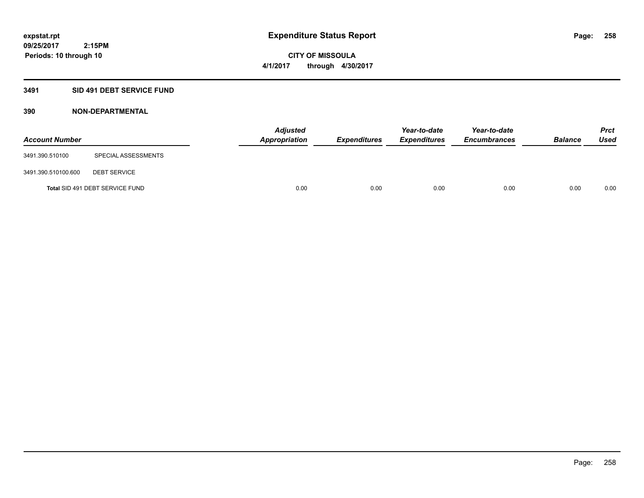## **3491 SID 491 DEBT SERVICE FUND**

| <b>Account Number</b> |                                 | <b>Adjusted</b><br><b>Appropriation</b> | <b>Expenditures</b> | Year-to-date<br><b>Expenditures</b> | Year-to-date<br><b>Encumbrances</b> | <b>Balance</b> | Prct<br><b>Used</b> |
|-----------------------|---------------------------------|-----------------------------------------|---------------------|-------------------------------------|-------------------------------------|----------------|---------------------|
| 3491.390.510100       | SPECIAL ASSESSMENTS             |                                         |                     |                                     |                                     |                |                     |
| 3491.390.510100.600   | <b>DEBT SERVICE</b>             |                                         |                     |                                     |                                     |                |                     |
|                       | Total SID 491 DEBT SERVICE FUND | 0.00                                    | 0.00                | 0.00                                | 0.00                                | 0.00           | 0.00                |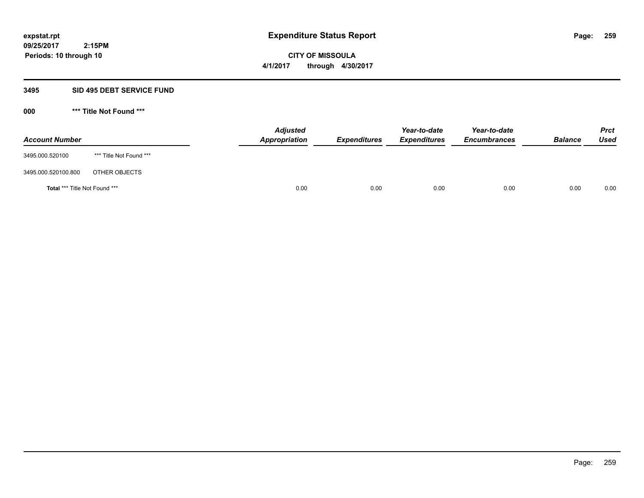**CITY OF MISSOULA 4/1/2017 through 4/30/2017**

## **3495 SID 495 DEBT SERVICE FUND**

| <b>Account Number</b>                |                         | <b>Adjusted</b><br>Appropriation | <b>Expenditures</b> | Year-to-date<br><b>Expenditures</b> | Year-to-date<br><b>Encumbrances</b> | <b>Balance</b> | <b>Prct</b><br><b>Used</b> |
|--------------------------------------|-------------------------|----------------------------------|---------------------|-------------------------------------|-------------------------------------|----------------|----------------------------|
| 3495.000.520100                      | *** Title Not Found *** |                                  |                     |                                     |                                     |                |                            |
| 3495.000.520100.800                  | OTHER OBJECTS           |                                  |                     |                                     |                                     |                |                            |
| <b>Total *** Title Not Found ***</b> |                         |                                  | 0.00<br>0.00        | 0.00                                | 0.00                                | 0.00           | 0.00                       |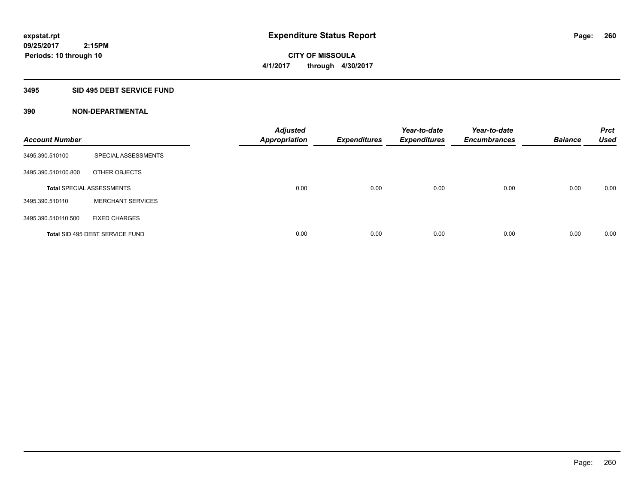## **3495 SID 495 DEBT SERVICE FUND**

| <b>Account Number</b> |                                  | <b>Adjusted</b><br><b>Appropriation</b> | <b>Expenditures</b> | Year-to-date<br><b>Expenditures</b> | Year-to-date<br><b>Encumbrances</b> | <b>Balance</b> | <b>Prct</b><br><b>Used</b> |
|-----------------------|----------------------------------|-----------------------------------------|---------------------|-------------------------------------|-------------------------------------|----------------|----------------------------|
| 3495.390.510100       | SPECIAL ASSESSMENTS              |                                         |                     |                                     |                                     |                |                            |
| 3495.390.510100.800   | OTHER OBJECTS                    |                                         |                     |                                     |                                     |                |                            |
|                       | <b>Total SPECIAL ASSESSMENTS</b> | 0.00                                    | 0.00                | 0.00                                | 0.00                                | 0.00           | 0.00                       |
| 3495.390.510110       | <b>MERCHANT SERVICES</b>         |                                         |                     |                                     |                                     |                |                            |
| 3495.390.510110.500   | <b>FIXED CHARGES</b>             |                                         |                     |                                     |                                     |                |                            |
|                       | Total SID 495 DEBT SERVICE FUND  | 0.00                                    | 0.00                | 0.00                                | 0.00                                | 0.00           | 0.00                       |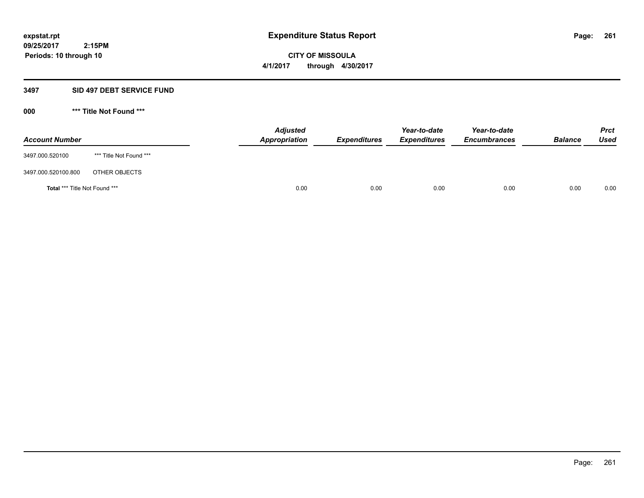# **CITY OF MISSOULA 4/1/2017 through 4/30/2017**

# **3497 SID 497 DEBT SERVICE FUND**

| <b>Account Number</b>         |                         | <b>Adjusted</b><br>Appropriation | <b>Expenditures</b> | Year-to-date<br><b>Expenditures</b> | Year-to-date<br><b>Encumbrances</b> | <b>Balance</b> | <b>Prct</b><br>Used |
|-------------------------------|-------------------------|----------------------------------|---------------------|-------------------------------------|-------------------------------------|----------------|---------------------|
| 3497.000.520100               | *** Title Not Found *** |                                  |                     |                                     |                                     |                |                     |
| 3497.000.520100.800           | OTHER OBJECTS           |                                  |                     |                                     |                                     |                |                     |
| Total *** Title Not Found *** |                         | 0.00                             | 0.00                | 0.00                                | 0.00                                | 0.00           | 0.00                |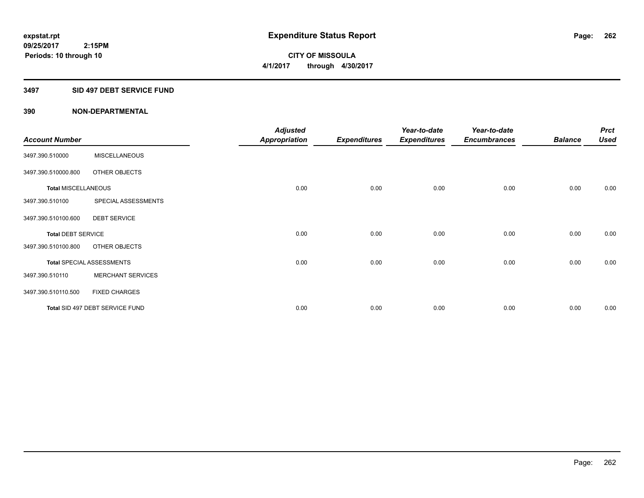**CITY OF MISSOULA 4/1/2017 through 4/30/2017**

## **3497 SID 497 DEBT SERVICE FUND**

|                            |                                  | <b>Adjusted</b>      |                     | Year-to-date        | Year-to-date        |                | <b>Prct</b> |
|----------------------------|----------------------------------|----------------------|---------------------|---------------------|---------------------|----------------|-------------|
| <b>Account Number</b>      |                                  | <b>Appropriation</b> | <b>Expenditures</b> | <b>Expenditures</b> | <b>Encumbrances</b> | <b>Balance</b> | <b>Used</b> |
| 3497.390.510000            | <b>MISCELLANEOUS</b>             |                      |                     |                     |                     |                |             |
| 3497.390.510000.800        | OTHER OBJECTS                    |                      |                     |                     |                     |                |             |
| <b>Total MISCELLANEOUS</b> |                                  | 0.00                 | 0.00                | 0.00                | 0.00                | 0.00           | 0.00        |
| 3497.390.510100            | SPECIAL ASSESSMENTS              |                      |                     |                     |                     |                |             |
| 3497.390.510100.600        | <b>DEBT SERVICE</b>              |                      |                     |                     |                     |                |             |
| <b>Total DEBT SERVICE</b>  |                                  | 0.00                 | 0.00                | 0.00                | 0.00                | 0.00           | 0.00        |
| 3497.390.510100.800        | OTHER OBJECTS                    |                      |                     |                     |                     |                |             |
|                            | <b>Total SPECIAL ASSESSMENTS</b> | 0.00                 | 0.00                | 0.00                | 0.00                | 0.00           | 0.00        |
| 3497.390.510110            | <b>MERCHANT SERVICES</b>         |                      |                     |                     |                     |                |             |
| 3497.390.510110.500        | <b>FIXED CHARGES</b>             |                      |                     |                     |                     |                |             |
|                            | Total SID 497 DEBT SERVICE FUND  | 0.00                 | 0.00                | 0.00                | 0.00                | 0.00           | 0.00        |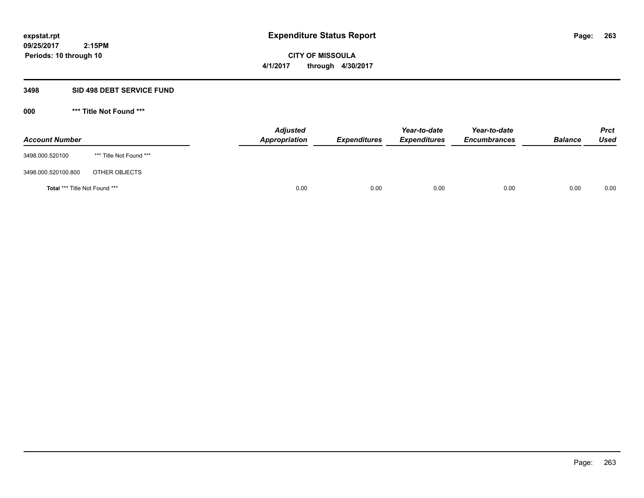**CITY OF MISSOULA 4/1/2017 through 4/30/2017**

## **3498 SID 498 DEBT SERVICE FUND**

| <b>Account Number</b>         |                         | <b>Adjusted</b><br>Appropriation | <b>Expenditures</b> | Year-to-date<br><b>Expenditures</b> | Year-to-date<br><b>Encumbrances</b> | <b>Balance</b> | <b>Prct</b><br><b>Used</b> |
|-------------------------------|-------------------------|----------------------------------|---------------------|-------------------------------------|-------------------------------------|----------------|----------------------------|
| 3498.000.520100               | *** Title Not Found *** |                                  |                     |                                     |                                     |                |                            |
| 3498.000.520100.800           | OTHER OBJECTS           |                                  |                     |                                     |                                     |                |                            |
| Total *** Title Not Found *** |                         | 0.00                             | 0.00                | 0.00                                | 0.00                                | 0.00           | 0.00                       |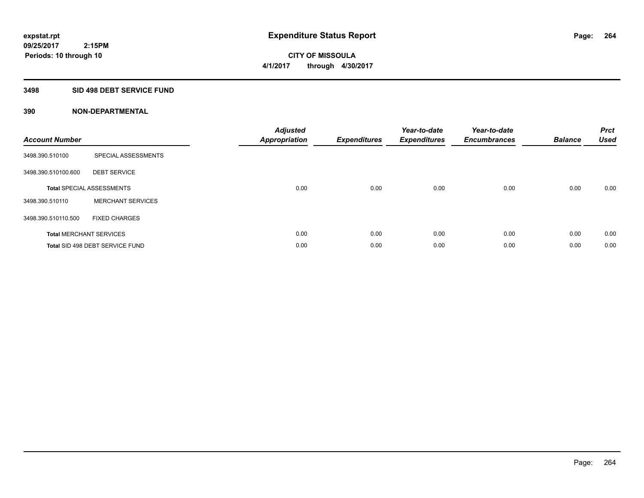**CITY OF MISSOULA 4/1/2017 through 4/30/2017**

## **3498 SID 498 DEBT SERVICE FUND**

 **2:15PM**

| <b>Account Number</b> |                                  | <b>Adjusted</b><br>Appropriation | <b>Expenditures</b> | Year-to-date<br><b>Expenditures</b> | Year-to-date<br><b>Encumbrances</b> | <b>Balance</b> | <b>Prct</b><br><b>Used</b> |
|-----------------------|----------------------------------|----------------------------------|---------------------|-------------------------------------|-------------------------------------|----------------|----------------------------|
| 3498.390.510100       | <b>SPECIAL ASSESSMENTS</b>       |                                  |                     |                                     |                                     |                |                            |
| 3498.390.510100.600   | <b>DEBT SERVICE</b>              |                                  |                     |                                     |                                     |                |                            |
|                       | <b>Total SPECIAL ASSESSMENTS</b> | 0.00                             | 0.00                | 0.00                                | 0.00                                | 0.00           | 0.00                       |
| 3498.390.510110       | <b>MERCHANT SERVICES</b>         |                                  |                     |                                     |                                     |                |                            |
| 3498.390.510110.500   | <b>FIXED CHARGES</b>             |                                  |                     |                                     |                                     |                |                            |
|                       | <b>Total MERCHANT SERVICES</b>   | 0.00                             | 0.00                | 0.00                                | 0.00                                | 0.00           | 0.00                       |
|                       | Total SID 498 DEBT SERVICE FUND  | 0.00                             | 0.00                | 0.00                                | 0.00                                | 0.00           | 0.00                       |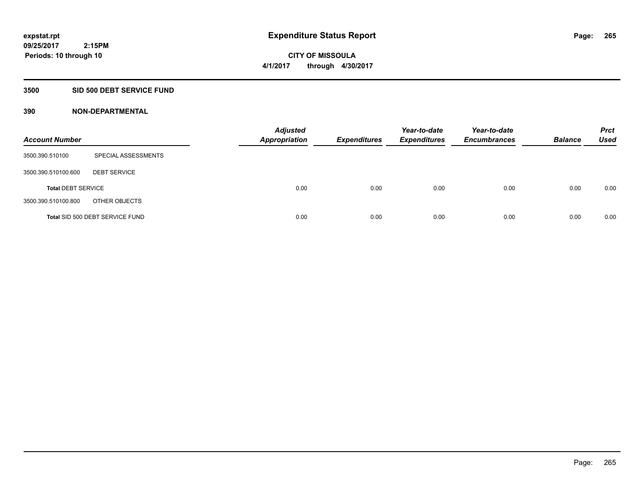**CITY OF MISSOULA 4/1/2017 through 4/30/2017**

## **3500 SID 500 DEBT SERVICE FUND**

| <b>Account Number</b>     |                                 | <b>Adjusted</b><br><b>Appropriation</b> | <b>Expenditures</b> | Year-to-date<br><b>Expenditures</b> | Year-to-date<br><b>Encumbrances</b> | <b>Balance</b> | <b>Prct</b><br>Used |
|---------------------------|---------------------------------|-----------------------------------------|---------------------|-------------------------------------|-------------------------------------|----------------|---------------------|
| 3500.390.510100           | SPECIAL ASSESSMENTS             |                                         |                     |                                     |                                     |                |                     |
| 3500.390.510100.600       | <b>DEBT SERVICE</b>             |                                         |                     |                                     |                                     |                |                     |
| <b>Total DEBT SERVICE</b> |                                 | 0.00                                    | 0.00                | 0.00                                | 0.00                                | 0.00           | 0.00                |
| 3500.390.510100.800       | OTHER OBJECTS                   |                                         |                     |                                     |                                     |                |                     |
|                           | Total SID 500 DEBT SERVICE FUND | 0.00                                    | 0.00                | 0.00                                | 0.00                                | 0.00           | 0.00                |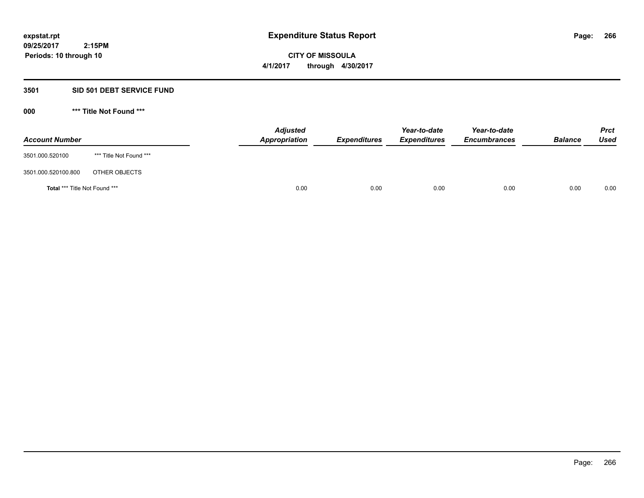**CITY OF MISSOULA 4/1/2017 through 4/30/2017**

## **3501 SID 501 DEBT SERVICE FUND**

| <b>Account Number</b>         |                         | <b>Adjusted</b><br>Appropriation | <b>Expenditures</b> | Year-to-date<br><b>Expenditures</b> | Year-to-date<br><b>Encumbrances</b> | <b>Balance</b> | <b>Prct</b><br><b>Used</b> |
|-------------------------------|-------------------------|----------------------------------|---------------------|-------------------------------------|-------------------------------------|----------------|----------------------------|
| 3501.000.520100               | *** Title Not Found *** |                                  |                     |                                     |                                     |                |                            |
| 3501.000.520100.800           | OTHER OBJECTS           |                                  |                     |                                     |                                     |                |                            |
| Total *** Title Not Found *** |                         | 0.00                             | 0.00                | 0.00                                | 0.00                                | 0.00           | 0.00                       |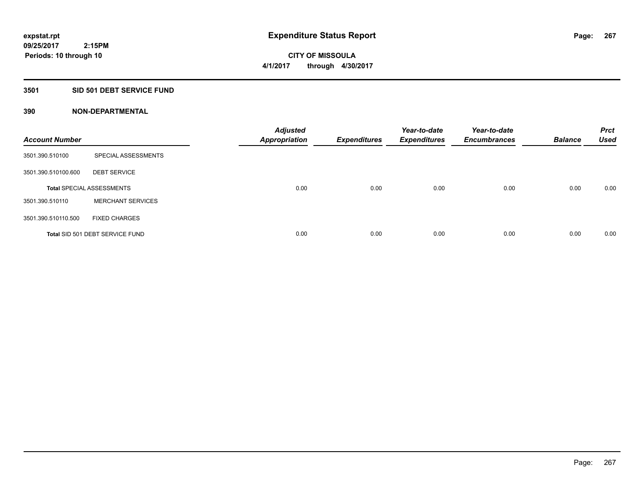## **3501 SID 501 DEBT SERVICE FUND**

| <b>Account Number</b> |                                  | <b>Adjusted</b><br><b>Appropriation</b> | <b>Expenditures</b> | Year-to-date<br><b>Expenditures</b> | Year-to-date<br><b>Encumbrances</b> | <b>Balance</b> | <b>Prct</b><br><b>Used</b> |
|-----------------------|----------------------------------|-----------------------------------------|---------------------|-------------------------------------|-------------------------------------|----------------|----------------------------|
| 3501.390.510100       | <b>SPECIAL ASSESSMENTS</b>       |                                         |                     |                                     |                                     |                |                            |
| 3501.390.510100.600   | <b>DEBT SERVICE</b>              |                                         |                     |                                     |                                     |                |                            |
|                       | <b>Total SPECIAL ASSESSMENTS</b> | 0.00                                    | 0.00                | 0.00                                | 0.00                                | 0.00           | 0.00                       |
| 3501.390.510110       | <b>MERCHANT SERVICES</b>         |                                         |                     |                                     |                                     |                |                            |
| 3501.390.510110.500   | <b>FIXED CHARGES</b>             |                                         |                     |                                     |                                     |                |                            |
|                       | Total SID 501 DEBT SERVICE FUND  | 0.00                                    | 0.00                | 0.00                                | 0.00                                | 0.00           | 0.00                       |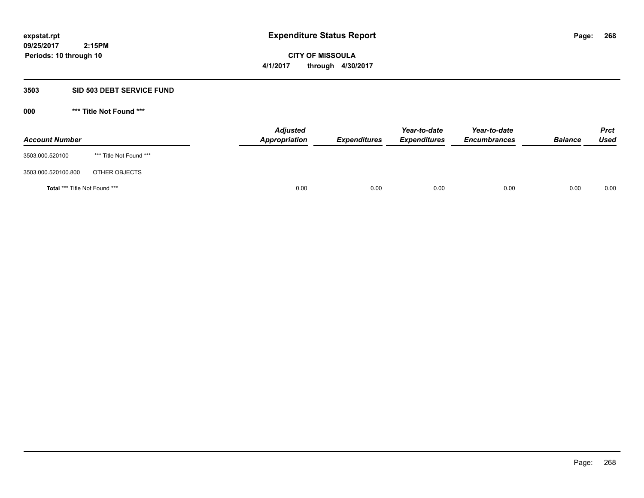**CITY OF MISSOULA 4/1/2017 through 4/30/2017**

## **3503 SID 503 DEBT SERVICE FUND**

| <b>Account Number</b>                |                         | <b>Adjusted</b><br>Appropriation | <b>Expenditures</b> | Year-to-date<br><b>Expenditures</b> | Year-to-date<br><b>Encumbrances</b> | <b>Balance</b> | <b>Prct</b><br><b>Used</b> |
|--------------------------------------|-------------------------|----------------------------------|---------------------|-------------------------------------|-------------------------------------|----------------|----------------------------|
| 3503.000.520100                      | *** Title Not Found *** |                                  |                     |                                     |                                     |                |                            |
| 3503.000.520100.800                  | OTHER OBJECTS           |                                  |                     |                                     |                                     |                |                            |
| <b>Total *** Title Not Found ***</b> |                         | 0.00                             | 0.00                | 0.00                                | 0.00                                | 0.00           | 0.00                       |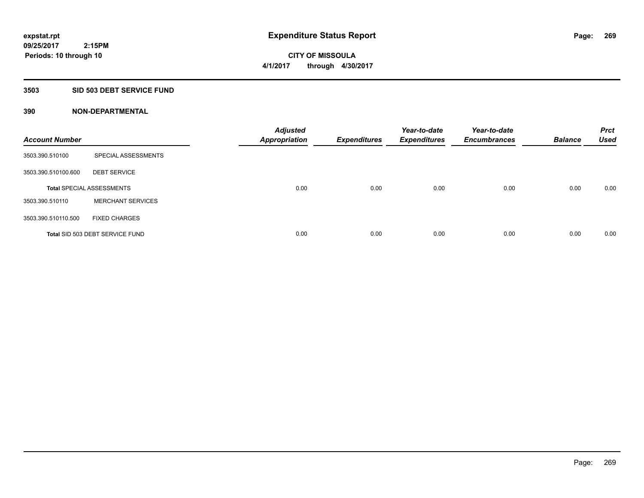## **3503 SID 503 DEBT SERVICE FUND**

| <b>Account Number</b> |                                  | <b>Adjusted</b><br><b>Appropriation</b> | <b>Expenditures</b> | Year-to-date<br><b>Expenditures</b> | Year-to-date<br><b>Encumbrances</b> | <b>Balance</b> | <b>Prct</b><br><b>Used</b> |
|-----------------------|----------------------------------|-----------------------------------------|---------------------|-------------------------------------|-------------------------------------|----------------|----------------------------|
| 3503.390.510100       | SPECIAL ASSESSMENTS              |                                         |                     |                                     |                                     |                |                            |
| 3503.390.510100.600   | <b>DEBT SERVICE</b>              |                                         |                     |                                     |                                     |                |                            |
|                       | <b>Total SPECIAL ASSESSMENTS</b> | 0.00                                    | 0.00                | 0.00                                | 0.00                                | 0.00           | 0.00                       |
| 3503.390.510110       | <b>MERCHANT SERVICES</b>         |                                         |                     |                                     |                                     |                |                            |
| 3503.390.510110.500   | <b>FIXED CHARGES</b>             |                                         |                     |                                     |                                     |                |                            |
|                       | Total SID 503 DEBT SERVICE FUND  | 0.00                                    | 0.00                | 0.00                                | 0.00                                | 0.00           | 0.00                       |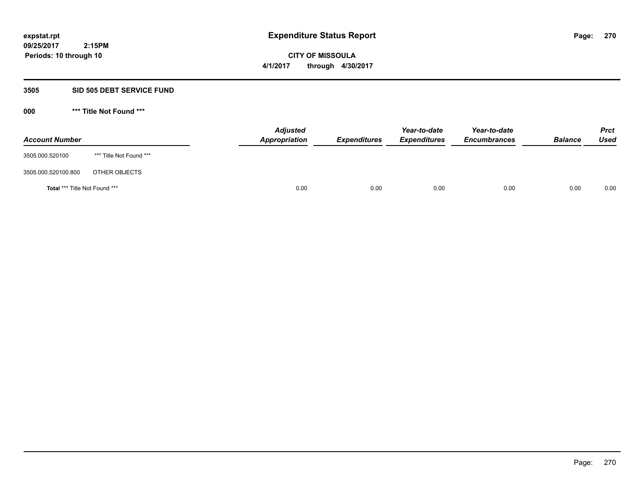# **CITY OF MISSOULA 4/1/2017 through 4/30/2017**

## **3505 SID 505 DEBT SERVICE FUND**

| <b>Account Number</b>         |                         | <b>Adjusted</b><br>Appropriation | <b>Expenditures</b> | Year-to-date<br><b>Expenditures</b> | Year-to-date<br><b>Encumbrances</b> | <b>Balance</b> | <b>Prct</b><br>Used |
|-------------------------------|-------------------------|----------------------------------|---------------------|-------------------------------------|-------------------------------------|----------------|---------------------|
| 3505.000.520100               | *** Title Not Found *** |                                  |                     |                                     |                                     |                |                     |
| 3505.000.520100.800           | OTHER OBJECTS           |                                  |                     |                                     |                                     |                |                     |
| Total *** Title Not Found *** |                         | 0.00                             | 0.00                | 0.00                                | 0.00                                | 0.00           | 0.00                |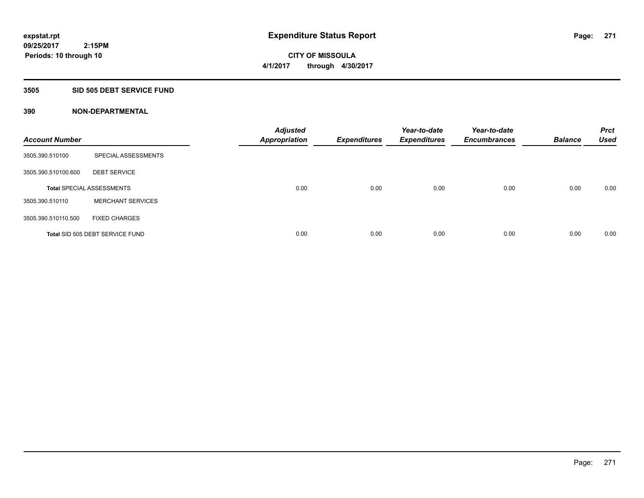## **3505 SID 505 DEBT SERVICE FUND**

| <b>Account Number</b> |                                  | <b>Adjusted</b><br><b>Appropriation</b> | <b>Expenditures</b> | Year-to-date<br><b>Expenditures</b> | Year-to-date<br><b>Encumbrances</b> | <b>Balance</b> | <b>Prct</b><br><b>Used</b> |
|-----------------------|----------------------------------|-----------------------------------------|---------------------|-------------------------------------|-------------------------------------|----------------|----------------------------|
| 3505.390.510100       | <b>SPECIAL ASSESSMENTS</b>       |                                         |                     |                                     |                                     |                |                            |
| 3505.390.510100.600   | <b>DEBT SERVICE</b>              |                                         |                     |                                     |                                     |                |                            |
|                       | <b>Total SPECIAL ASSESSMENTS</b> | 0.00                                    | 0.00                | 0.00                                | 0.00                                | 0.00           | 0.00                       |
| 3505.390.510110       | <b>MERCHANT SERVICES</b>         |                                         |                     |                                     |                                     |                |                            |
| 3505.390.510110.500   | <b>FIXED CHARGES</b>             |                                         |                     |                                     |                                     |                |                            |
|                       | Total SID 505 DEBT SERVICE FUND  | 0.00                                    | 0.00                | 0.00                                | 0.00                                | 0.00           | 0.00                       |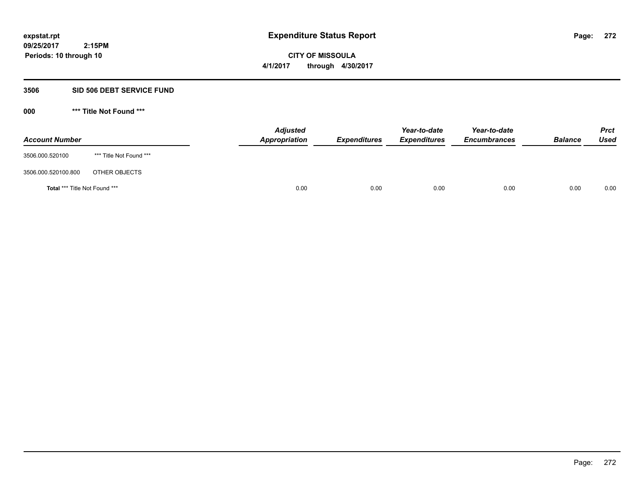# **CITY OF MISSOULA 4/1/2017 through 4/30/2017**

## **3506 SID 506 DEBT SERVICE FUND**

| <b>Account Number</b>         |                         | <b>Adjusted</b><br>Appropriation | <b>Expenditures</b> | Year-to-date<br><b>Expenditures</b> | Year-to-date<br><b>Encumbrances</b> | <b>Balance</b> | <b>Prct</b><br>Used |
|-------------------------------|-------------------------|----------------------------------|---------------------|-------------------------------------|-------------------------------------|----------------|---------------------|
| 3506.000.520100               | *** Title Not Found *** |                                  |                     |                                     |                                     |                |                     |
| 3506.000.520100.800           | OTHER OBJECTS           |                                  |                     |                                     |                                     |                |                     |
| Total *** Title Not Found *** |                         | 0.00                             | 0.00                | 0.00                                | 0.00                                | 0.00           | 0.00                |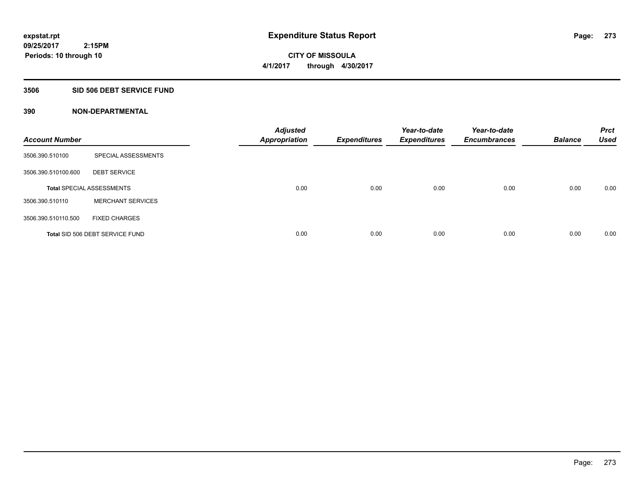## **3506 SID 506 DEBT SERVICE FUND**

| <b>Account Number</b> |                                  | <b>Adjusted</b><br><b>Appropriation</b> | <b>Expenditures</b> | Year-to-date<br><b>Expenditures</b> | Year-to-date<br><b>Encumbrances</b> | <b>Balance</b> | <b>Prct</b><br><b>Used</b> |
|-----------------------|----------------------------------|-----------------------------------------|---------------------|-------------------------------------|-------------------------------------|----------------|----------------------------|
| 3506.390.510100       | SPECIAL ASSESSMENTS              |                                         |                     |                                     |                                     |                |                            |
| 3506.390.510100.600   | <b>DEBT SERVICE</b>              |                                         |                     |                                     |                                     |                |                            |
|                       | <b>Total SPECIAL ASSESSMENTS</b> | 0.00                                    | 0.00                | 0.00                                | 0.00                                | 0.00           | 0.00                       |
| 3506.390.510110       | <b>MERCHANT SERVICES</b>         |                                         |                     |                                     |                                     |                |                            |
| 3506.390.510110.500   | <b>FIXED CHARGES</b>             |                                         |                     |                                     |                                     |                |                            |
|                       | Total SID 506 DEBT SERVICE FUND  | 0.00                                    | 0.00                | 0.00                                | 0.00                                | 0.00           | 0.00                       |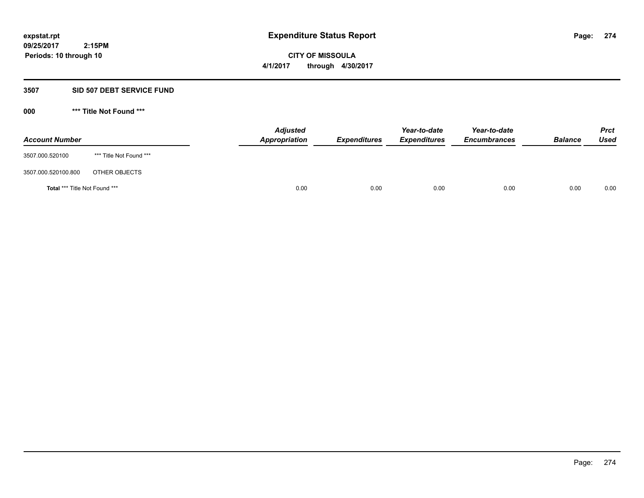# **CITY OF MISSOULA 4/1/2017 through 4/30/2017**

## **3507 SID 507 DEBT SERVICE FUND**

| <b>Account Number</b>         |                         | <b>Adjusted</b><br>Appropriation | <b>Expenditures</b> | Year-to-date<br><b>Expenditures</b> | Year-to-date<br><b>Encumbrances</b> | <b>Balance</b> | <b>Prct</b><br>Used |
|-------------------------------|-------------------------|----------------------------------|---------------------|-------------------------------------|-------------------------------------|----------------|---------------------|
| 3507.000.520100               | *** Title Not Found *** |                                  |                     |                                     |                                     |                |                     |
| 3507.000.520100.800           | OTHER OBJECTS           |                                  |                     |                                     |                                     |                |                     |
| Total *** Title Not Found *** |                         | 0.00                             | 0.00                | 0.00                                | 0.00                                | 0.00           | 0.00                |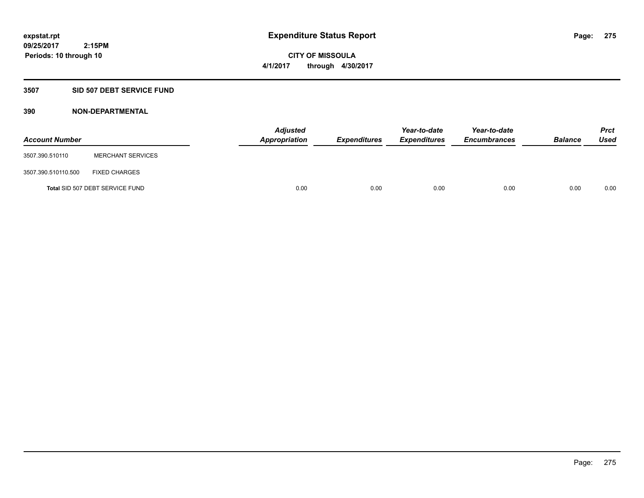**CITY OF MISSOULA 4/1/2017 through 4/30/2017**

## **3507 SID 507 DEBT SERVICE FUND**

| <b>Account Number</b> |                                 | <b>Adjusted</b><br><b>Appropriation</b> | <b>Expenditures</b> | Year-to-date<br><b>Expenditures</b> | Year-to-date<br><b>Encumbrances</b> | <b>Balance</b> | <b>Prct</b><br><b>Used</b> |
|-----------------------|---------------------------------|-----------------------------------------|---------------------|-------------------------------------|-------------------------------------|----------------|----------------------------|
| 3507.390.510110       | <b>MERCHANT SERVICES</b>        |                                         |                     |                                     |                                     |                |                            |
| 3507.390.510110.500   | <b>FIXED CHARGES</b>            |                                         |                     |                                     |                                     |                |                            |
|                       | Total SID 507 DEBT SERVICE FUND | 0.00                                    | 0.00                | 0.00                                | 0.00                                | 0.00           | 0.00                       |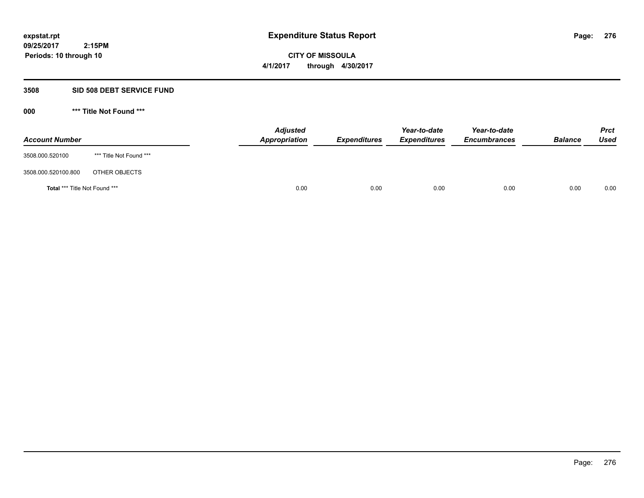# **CITY OF MISSOULA 4/1/2017 through 4/30/2017**

## **3508 SID 508 DEBT SERVICE FUND**

| <b>Account Number</b>         |                         | <b>Adjusted</b><br>Appropriation | <b>Expenditures</b> | Year-to-date<br><b>Expenditures</b> | Year-to-date<br><b>Encumbrances</b> | <b>Balance</b> | <b>Prct</b><br>Used |
|-------------------------------|-------------------------|----------------------------------|---------------------|-------------------------------------|-------------------------------------|----------------|---------------------|
| 3508.000.520100               | *** Title Not Found *** |                                  |                     |                                     |                                     |                |                     |
| 3508.000.520100.800           | OTHER OBJECTS           |                                  |                     |                                     |                                     |                |                     |
| Total *** Title Not Found *** |                         | 0.00                             | 0.00                | 0.00                                | 0.00                                | 0.00           | 0.00                |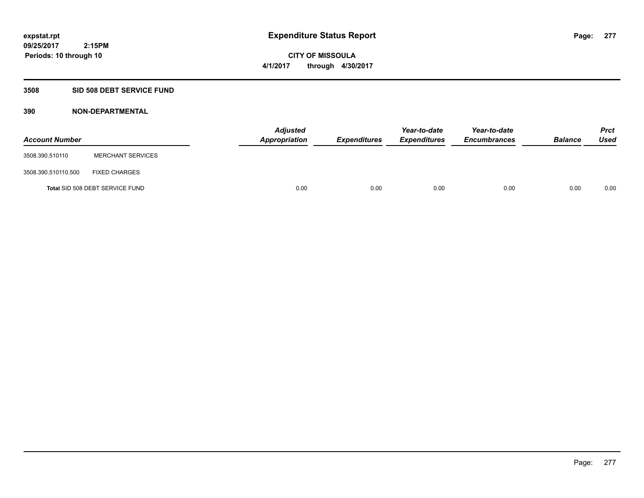**CITY OF MISSOULA 4/1/2017 through 4/30/2017**

## **3508 SID 508 DEBT SERVICE FUND**

| <b>Account Number</b> |                                 | <b>Adjusted</b><br><b>Appropriation</b> | <b>Expenditures</b> | Year-to-date<br><b>Expenditures</b> | Year-to-date<br><b>Encumbrances</b> | <b>Balance</b> | Prct<br><b>Used</b> |
|-----------------------|---------------------------------|-----------------------------------------|---------------------|-------------------------------------|-------------------------------------|----------------|---------------------|
| 3508.390.510110       | <b>MERCHANT SERVICES</b>        |                                         |                     |                                     |                                     |                |                     |
| 3508.390.510110.500   | <b>FIXED CHARGES</b>            |                                         |                     |                                     |                                     |                |                     |
|                       | Total SID 508 DEBT SERVICE FUND | 0.00                                    | 0.00                | 0.00                                | 0.00                                | 0.00           | 0.00                |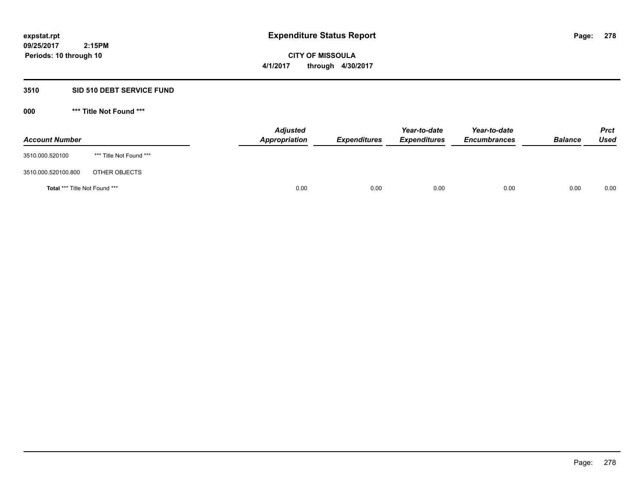**CITY OF MISSOULA 4/1/2017 through 4/30/2017**

## **3510 SID 510 DEBT SERVICE FUND**

 **2:15PM**

| <b>Account Number</b>         |                         | <b>Adjusted</b><br>Appropriation | <b>Expenditures</b> | Year-to-date<br><b>Expenditures</b> | Year-to-date<br><b>Encumbrances</b> | <b>Balance</b> | <b>Prct</b><br>Used |
|-------------------------------|-------------------------|----------------------------------|---------------------|-------------------------------------|-------------------------------------|----------------|---------------------|
| 3510.000.520100               | *** Title Not Found *** |                                  |                     |                                     |                                     |                |                     |
| 3510.000.520100.800           | OTHER OBJECTS           |                                  |                     |                                     |                                     |                |                     |
| Total *** Title Not Found *** |                         | 0.00                             | 0.00                | 0.00                                | 0.00                                | 0.00           | 0.00                |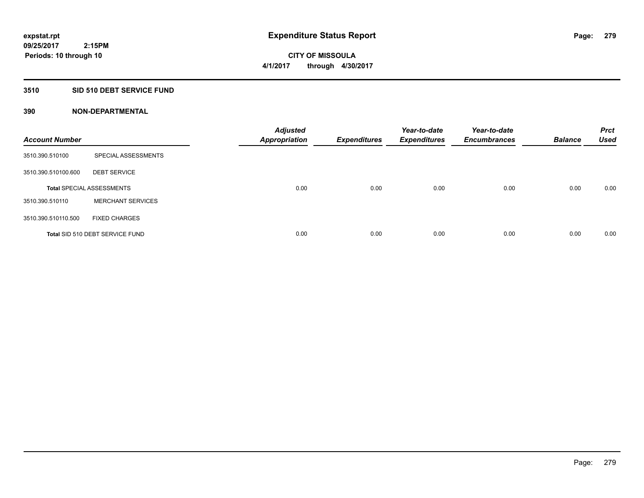## **3510 SID 510 DEBT SERVICE FUND**

| <b>Account Number</b> |                                  | <b>Adjusted</b><br><b>Appropriation</b> | <b>Expenditures</b> | Year-to-date<br><b>Expenditures</b> | Year-to-date<br><b>Encumbrances</b> | <b>Balance</b> | <b>Prct</b><br><b>Used</b> |
|-----------------------|----------------------------------|-----------------------------------------|---------------------|-------------------------------------|-------------------------------------|----------------|----------------------------|
| 3510.390.510100       | SPECIAL ASSESSMENTS              |                                         |                     |                                     |                                     |                |                            |
| 3510.390.510100.600   | <b>DEBT SERVICE</b>              |                                         |                     |                                     |                                     |                |                            |
|                       | <b>Total SPECIAL ASSESSMENTS</b> | 0.00                                    | 0.00                | 0.00                                | 0.00                                | 0.00           | 0.00                       |
| 3510.390.510110       | <b>MERCHANT SERVICES</b>         |                                         |                     |                                     |                                     |                |                            |
| 3510.390.510110.500   | <b>FIXED CHARGES</b>             |                                         |                     |                                     |                                     |                |                            |
|                       | Total SID 510 DEBT SERVICE FUND  | 0.00                                    | 0.00                | 0.00                                | 0.00                                | 0.00           | 0.00                       |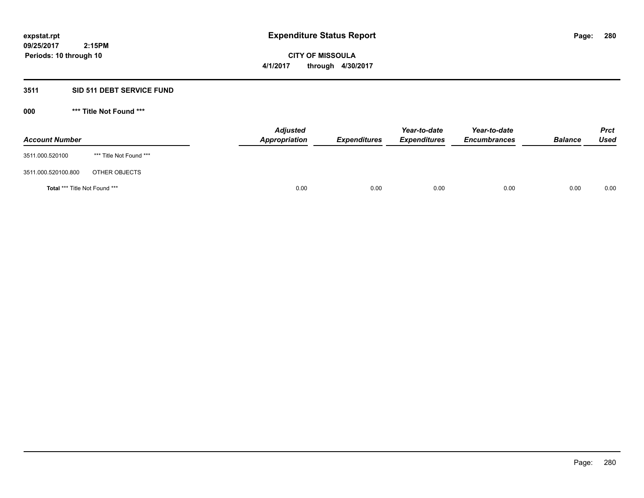**CITY OF MISSOULA 4/1/2017 through 4/30/2017**

# **3511 SID 511 DEBT SERVICE FUND**

| <b>Account Number</b>         |                         | <b>Adjusted</b><br>Appropriation | <b>Expenditures</b> | Year-to-date<br><b>Expenditures</b> | Year-to-date<br><b>Encumbrances</b> | <b>Balance</b> | <b>Prct</b><br>Used |
|-------------------------------|-------------------------|----------------------------------|---------------------|-------------------------------------|-------------------------------------|----------------|---------------------|
| 3511.000.520100               | *** Title Not Found *** |                                  |                     |                                     |                                     |                |                     |
| 3511.000.520100.800           | OTHER OBJECTS           |                                  |                     |                                     |                                     |                |                     |
| Total *** Title Not Found *** |                         | 0.00                             | 0.00                | 0.00                                | 0.00                                | 0.00           | 0.00                |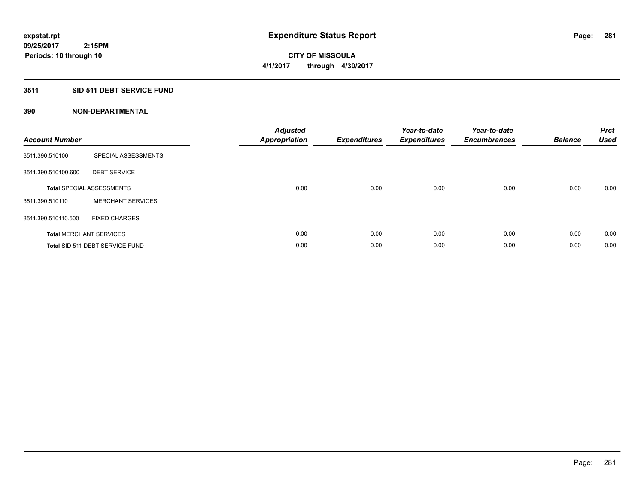# **3511 SID 511 DEBT SERVICE FUND**

| <b>Account Number</b> |                                  | <b>Adjusted</b><br>Appropriation | <b>Expenditures</b> | Year-to-date<br><b>Expenditures</b> | Year-to-date<br><b>Encumbrances</b> | <b>Balance</b> | <b>Prct</b><br><b>Used</b> |
|-----------------------|----------------------------------|----------------------------------|---------------------|-------------------------------------|-------------------------------------|----------------|----------------------------|
| 3511.390.510100       | SPECIAL ASSESSMENTS              |                                  |                     |                                     |                                     |                |                            |
| 3511.390.510100.600   | <b>DEBT SERVICE</b>              |                                  |                     |                                     |                                     |                |                            |
|                       | <b>Total SPECIAL ASSESSMENTS</b> | 0.00                             | 0.00                | 0.00                                | 0.00                                | 0.00           | 0.00                       |
| 3511.390.510110       | <b>MERCHANT SERVICES</b>         |                                  |                     |                                     |                                     |                |                            |
| 3511.390.510110.500   | <b>FIXED CHARGES</b>             |                                  |                     |                                     |                                     |                |                            |
|                       | <b>Total MERCHANT SERVICES</b>   | 0.00                             | 0.00                | 0.00                                | 0.00                                | 0.00           | 0.00                       |
|                       | Total SID 511 DEBT SERVICE FUND  | 0.00                             | 0.00                | 0.00                                | 0.00                                | 0.00           | 0.00                       |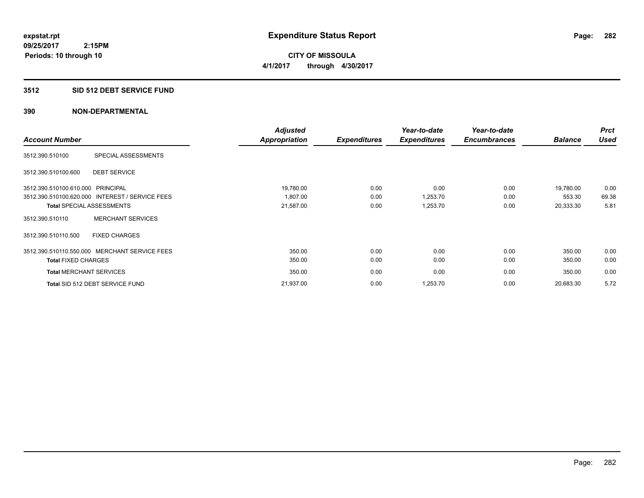**282**

**09/25/2017 2:15PM Periods: 10 through 10**

**CITY OF MISSOULA 4/1/2017 through 4/30/2017**

## **3512 SID 512 DEBT SERVICE FUND**

|                                   |                                                 | <b>Adjusted</b>      |                     | Year-to-date        | Year-to-date        |                | <b>Prct</b> |
|-----------------------------------|-------------------------------------------------|----------------------|---------------------|---------------------|---------------------|----------------|-------------|
| <b>Account Number</b>             |                                                 | <b>Appropriation</b> | <b>Expenditures</b> | <b>Expenditures</b> | <b>Encumbrances</b> | <b>Balance</b> | <b>Used</b> |
| 3512.390.510100                   | SPECIAL ASSESSMENTS                             |                      |                     |                     |                     |                |             |
| 3512.390.510100.600               | <b>DEBT SERVICE</b>                             |                      |                     |                     |                     |                |             |
| 3512.390.510100.610.000 PRINCIPAL |                                                 | 19,780.00            | 0.00                | 0.00                | 0.00                | 19,780.00      | 0.00        |
|                                   | 3512.390.510100.620.000 INTEREST / SERVICE FEES | 1,807.00             | 0.00                | 1,253.70            | 0.00                | 553.30         | 69.38       |
|                                   | <b>Total SPECIAL ASSESSMENTS</b>                | 21,587.00            | 0.00                | 1,253.70            | 0.00                | 20,333.30      | 5.81        |
| 3512.390.510110                   | <b>MERCHANT SERVICES</b>                        |                      |                     |                     |                     |                |             |
| 3512.390.510110.500               | <b>FIXED CHARGES</b>                            |                      |                     |                     |                     |                |             |
|                                   | 3512.390.510110.550.000 MERCHANT SERVICE FEES   | 350.00               | 0.00                | 0.00                | 0.00                | 350.00         | 0.00        |
| <b>Total FIXED CHARGES</b>        |                                                 | 350.00               | 0.00                | 0.00                | 0.00                | 350.00         | 0.00        |
| <b>Total MERCHANT SERVICES</b>    |                                                 | 350.00               | 0.00                | 0.00                | 0.00                | 350.00         | 0.00        |
|                                   | Total SID 512 DEBT SERVICE FUND                 | 21,937.00            | 0.00                | 1,253.70            | 0.00                | 20,683.30      | 5.72        |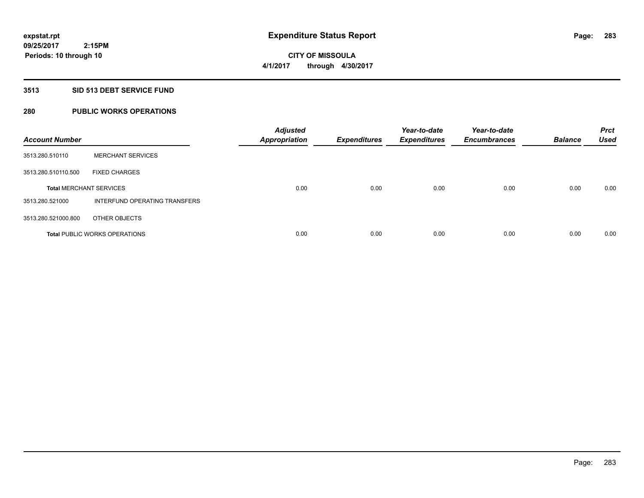# **CITY OF MISSOULA 4/1/2017 through 4/30/2017**

## **3513 SID 513 DEBT SERVICE FUND**

# **280 PUBLIC WORKS OPERATIONS**

| <b>Account Number</b>          |                                      | <b>Adjusted</b><br><b>Appropriation</b> | <b>Expenditures</b> | Year-to-date<br><b>Expenditures</b> | Year-to-date<br><b>Encumbrances</b> | <b>Balance</b> | <b>Prct</b><br><b>Used</b> |
|--------------------------------|--------------------------------------|-----------------------------------------|---------------------|-------------------------------------|-------------------------------------|----------------|----------------------------|
| 3513.280.510110                | <b>MERCHANT SERVICES</b>             |                                         |                     |                                     |                                     |                |                            |
| 3513.280.510110.500            | <b>FIXED CHARGES</b>                 |                                         |                     |                                     |                                     |                |                            |
| <b>Total MERCHANT SERVICES</b> |                                      | 0.00                                    | 0.00                | 0.00                                | 0.00                                | 0.00           | 0.00                       |
| 3513.280.521000                | INTERFUND OPERATING TRANSFERS        |                                         |                     |                                     |                                     |                |                            |
| 3513.280.521000.800            | OTHER OBJECTS                        |                                         |                     |                                     |                                     |                |                            |
|                                | <b>Total PUBLIC WORKS OPERATIONS</b> | 0.00                                    | 0.00                | 0.00                                | 0.00                                | 0.00           | 0.00                       |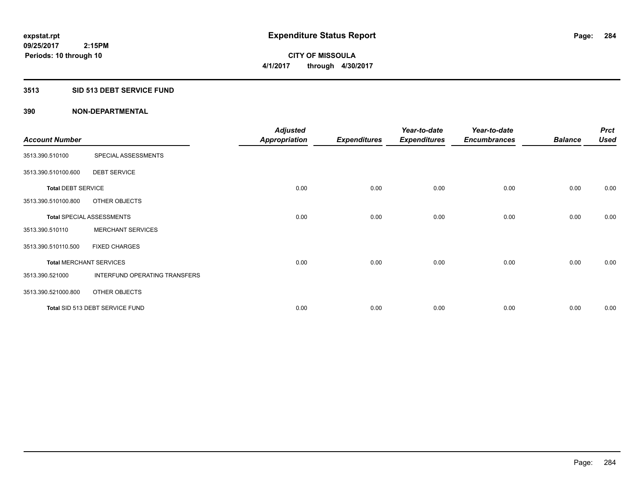## **3513 SID 513 DEBT SERVICE FUND**

| <b>Account Number</b>     |                                  | <b>Adjusted</b><br><b>Appropriation</b> | <b>Expenditures</b> | Year-to-date<br><b>Expenditures</b> | Year-to-date<br><b>Encumbrances</b> | <b>Balance</b> | <b>Prct</b><br><b>Used</b> |
|---------------------------|----------------------------------|-----------------------------------------|---------------------|-------------------------------------|-------------------------------------|----------------|----------------------------|
| 3513.390.510100           | SPECIAL ASSESSMENTS              |                                         |                     |                                     |                                     |                |                            |
| 3513.390.510100.600       | <b>DEBT SERVICE</b>              |                                         |                     |                                     |                                     |                |                            |
| <b>Total DEBT SERVICE</b> |                                  | 0.00                                    | 0.00                | 0.00                                | 0.00                                | 0.00           | 0.00                       |
| 3513.390.510100.800       | OTHER OBJECTS                    |                                         |                     |                                     |                                     |                |                            |
|                           | <b>Total SPECIAL ASSESSMENTS</b> | 0.00                                    | 0.00                | 0.00                                | 0.00                                | 0.00           | 0.00                       |
| 3513.390.510110           | <b>MERCHANT SERVICES</b>         |                                         |                     |                                     |                                     |                |                            |
| 3513.390.510110.500       | <b>FIXED CHARGES</b>             |                                         |                     |                                     |                                     |                |                            |
|                           | <b>Total MERCHANT SERVICES</b>   | 0.00                                    | 0.00                | 0.00                                | 0.00                                | 0.00           | 0.00                       |
| 3513.390.521000           | INTERFUND OPERATING TRANSFERS    |                                         |                     |                                     |                                     |                |                            |
| 3513.390.521000.800       | OTHER OBJECTS                    |                                         |                     |                                     |                                     |                |                            |
|                           | Total SID 513 DEBT SERVICE FUND  | 0.00                                    | 0.00                | 0.00                                | 0.00                                | 0.00           | 0.00                       |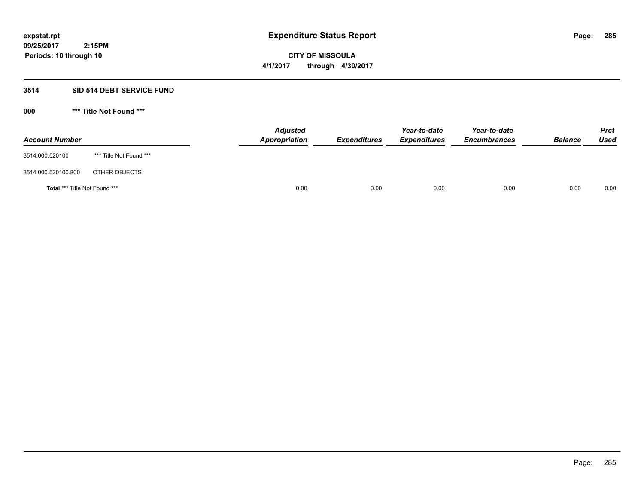**CITY OF MISSOULA 4/1/2017 through 4/30/2017**

#### **3514 SID 514 DEBT SERVICE FUND**

 **2:15PM**

| <b>Account Number</b>         |                         | <b>Adjusted</b><br>Appropriation | <b>Expenditures</b> | Year-to-date<br><b>Expenditures</b> | Year-to-date<br><b>Encumbrances</b> | <b>Balance</b> | <b>Prct</b><br>Used |
|-------------------------------|-------------------------|----------------------------------|---------------------|-------------------------------------|-------------------------------------|----------------|---------------------|
| 3514.000.520100               | *** Title Not Found *** |                                  |                     |                                     |                                     |                |                     |
| 3514.000.520100.800           | OTHER OBJECTS           |                                  |                     |                                     |                                     |                |                     |
| Total *** Title Not Found *** |                         | 0.00                             | 0.00                | 0.00                                | 0.00                                | 0.00           | 0.00                |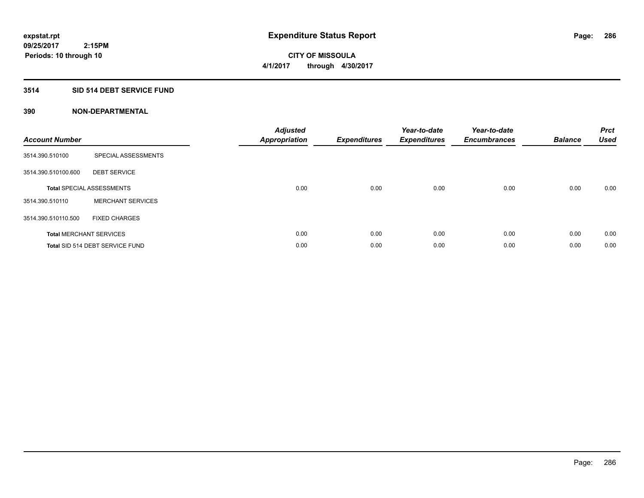# **3514 SID 514 DEBT SERVICE FUND**

| <b>Account Number</b> |                                  | <b>Adjusted</b><br>Appropriation | <b>Expenditures</b> | Year-to-date<br><b>Expenditures</b> | Year-to-date<br><b>Encumbrances</b> | <b>Balance</b> | <b>Prct</b><br><b>Used</b> |
|-----------------------|----------------------------------|----------------------------------|---------------------|-------------------------------------|-------------------------------------|----------------|----------------------------|
| 3514.390.510100       | SPECIAL ASSESSMENTS              |                                  |                     |                                     |                                     |                |                            |
| 3514.390.510100.600   | <b>DEBT SERVICE</b>              |                                  |                     |                                     |                                     |                |                            |
|                       | <b>Total SPECIAL ASSESSMENTS</b> | 0.00                             | 0.00                | 0.00                                | 0.00                                | 0.00           | 0.00                       |
| 3514.390.510110       | <b>MERCHANT SERVICES</b>         |                                  |                     |                                     |                                     |                |                            |
| 3514.390.510110.500   | <b>FIXED CHARGES</b>             |                                  |                     |                                     |                                     |                |                            |
|                       | <b>Total MERCHANT SERVICES</b>   | 0.00                             | 0.00                | 0.00                                | 0.00                                | 0.00           | 0.00                       |
|                       | Total SID 514 DEBT SERVICE FUND  | 0.00                             | 0.00                | 0.00                                | 0.00                                | 0.00           | 0.00                       |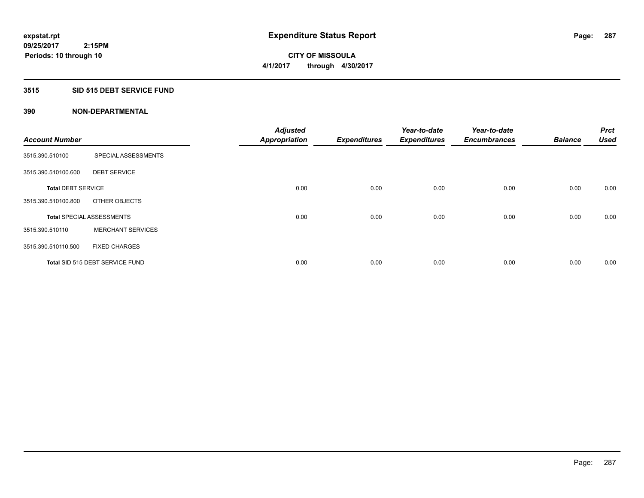## **3515 SID 515 DEBT SERVICE FUND**

| <b>Account Number</b>     |                                  | <b>Adjusted</b><br><b>Appropriation</b> | <b>Expenditures</b> | Year-to-date<br><b>Expenditures</b> | Year-to-date<br><b>Encumbrances</b> | <b>Balance</b> | <b>Prct</b><br><b>Used</b> |
|---------------------------|----------------------------------|-----------------------------------------|---------------------|-------------------------------------|-------------------------------------|----------------|----------------------------|
|                           |                                  |                                         |                     |                                     |                                     |                |                            |
| 3515.390.510100           | SPECIAL ASSESSMENTS              |                                         |                     |                                     |                                     |                |                            |
| 3515.390.510100.600       | <b>DEBT SERVICE</b>              |                                         |                     |                                     |                                     |                |                            |
| <b>Total DEBT SERVICE</b> |                                  | 0.00                                    | 0.00                | 0.00                                | 0.00                                | 0.00           | 0.00                       |
| 3515.390.510100.800       | OTHER OBJECTS                    |                                         |                     |                                     |                                     |                |                            |
|                           | <b>Total SPECIAL ASSESSMENTS</b> | 0.00                                    | 0.00                | 0.00                                | 0.00                                | 0.00           | 0.00                       |
| 3515.390.510110           | <b>MERCHANT SERVICES</b>         |                                         |                     |                                     |                                     |                |                            |
| 3515.390.510110.500       | <b>FIXED CHARGES</b>             |                                         |                     |                                     |                                     |                |                            |
|                           | Total SID 515 DEBT SERVICE FUND  | 0.00                                    | 0.00                | 0.00                                | 0.00                                | 0.00           | 0.00                       |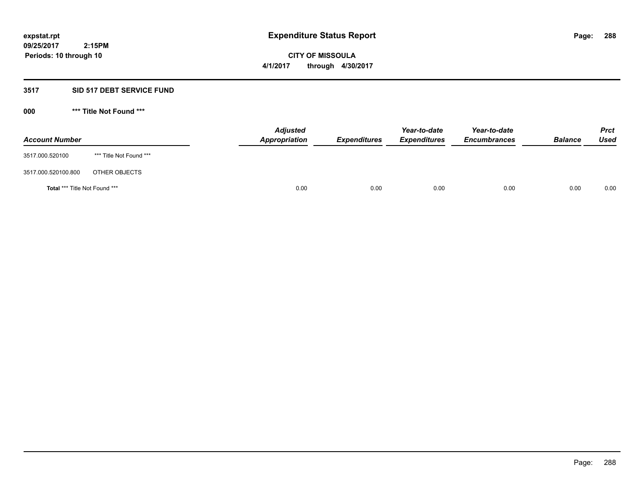**CITY OF MISSOULA 4/1/2017 through 4/30/2017**

## **3517 SID 517 DEBT SERVICE FUND**

 **2:15PM**

| <b>Account Number</b>         |                         | <b>Adjusted</b><br>Appropriation | <b>Expenditures</b> | Year-to-date<br><b>Expenditures</b> | Year-to-date<br><b>Encumbrances</b> | <b>Balance</b> | <b>Prct</b><br>Used |
|-------------------------------|-------------------------|----------------------------------|---------------------|-------------------------------------|-------------------------------------|----------------|---------------------|
| 3517.000.520100               | *** Title Not Found *** |                                  |                     |                                     |                                     |                |                     |
| 3517.000.520100.800           | OTHER OBJECTS           |                                  |                     |                                     |                                     |                |                     |
| Total *** Title Not Found *** |                         | 0.00                             | 0.00                | 0.00                                | 0.00                                | 0.00           | 0.00                |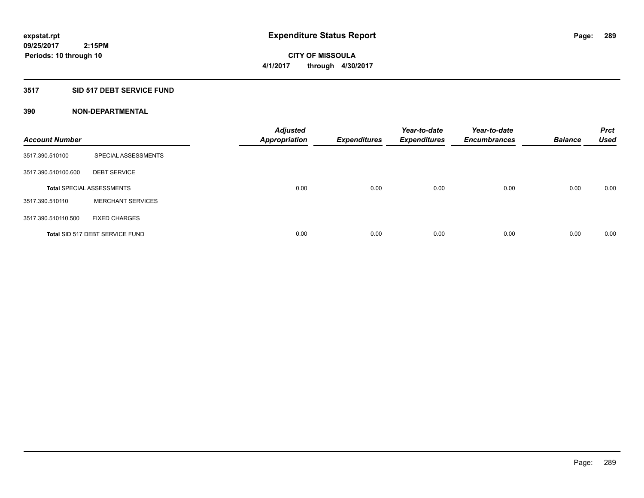**CITY OF MISSOULA 4/1/2017 through 4/30/2017**

#### **3517 SID 517 DEBT SERVICE FUND**

| <b>Account Number</b> |                                  | <b>Adjusted</b><br><b>Appropriation</b> | <b>Expenditures</b> | Year-to-date<br><b>Expenditures</b> | Year-to-date<br><b>Encumbrances</b> | <b>Balance</b> | <b>Prct</b><br><b>Used</b> |
|-----------------------|----------------------------------|-----------------------------------------|---------------------|-------------------------------------|-------------------------------------|----------------|----------------------------|
| 3517.390.510100       | SPECIAL ASSESSMENTS              |                                         |                     |                                     |                                     |                |                            |
| 3517.390.510100.600   | <b>DEBT SERVICE</b>              |                                         |                     |                                     |                                     |                |                            |
|                       | <b>Total SPECIAL ASSESSMENTS</b> | 0.00                                    | 0.00                | 0.00                                | 0.00                                | 0.00           | 0.00                       |
| 3517.390.510110       | <b>MERCHANT SERVICES</b>         |                                         |                     |                                     |                                     |                |                            |
| 3517.390.510110.500   | <b>FIXED CHARGES</b>             |                                         |                     |                                     |                                     |                |                            |
|                       | Total SID 517 DEBT SERVICE FUND  | 0.00                                    | 0.00                | 0.00                                | 0.00                                | 0.00           | 0.00                       |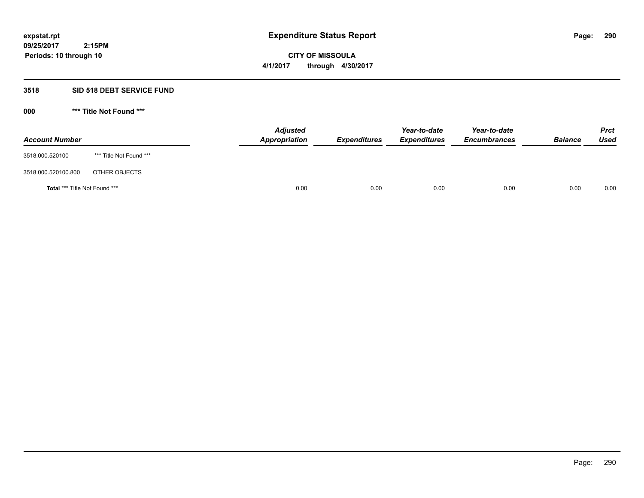**CITY OF MISSOULA 4/1/2017 through 4/30/2017**

# **3518 SID 518 DEBT SERVICE FUND**

**000 \*\*\* Title Not Found \*\*\***

| <b>Account Number</b>         |                         | <b>Adjusted</b><br>Appropriation | <b>Expenditures</b> | Year-to-date<br><b>Expenditures</b> | Year-to-date<br><b>Encumbrances</b> | <b>Balance</b> | <b>Prct</b><br>Used |
|-------------------------------|-------------------------|----------------------------------|---------------------|-------------------------------------|-------------------------------------|----------------|---------------------|
| 3518.000.520100               | *** Title Not Found *** |                                  |                     |                                     |                                     |                |                     |
| 3518.000.520100.800           | OTHER OBJECTS           |                                  |                     |                                     |                                     |                |                     |
| Total *** Title Not Found *** |                         | 0.00                             | 0.00                | 0.00                                | 0.00                                | 0.00           | 0.00                |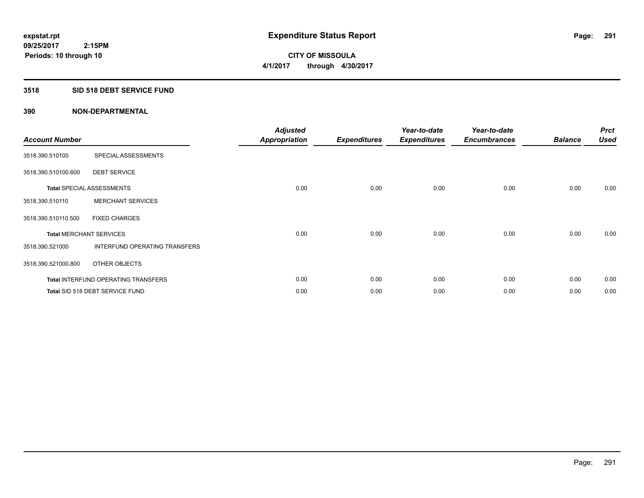**CITY OF MISSOULA 4/1/2017 through 4/30/2017**

#### **3518 SID 518 DEBT SERVICE FUND**

| <b>Account Number</b>          |                                     | <b>Adjusted</b><br><b>Appropriation</b> | <b>Expenditures</b> | Year-to-date<br><b>Expenditures</b> | Year-to-date<br><b>Encumbrances</b> | <b>Balance</b> | <b>Prct</b><br><b>Used</b> |
|--------------------------------|-------------------------------------|-----------------------------------------|---------------------|-------------------------------------|-------------------------------------|----------------|----------------------------|
| 3518.390.510100                | SPECIAL ASSESSMENTS                 |                                         |                     |                                     |                                     |                |                            |
| 3518.390.510100.600            | <b>DEBT SERVICE</b>                 |                                         |                     |                                     |                                     |                |                            |
|                                | <b>Total SPECIAL ASSESSMENTS</b>    | 0.00                                    | 0.00                | 0.00                                | 0.00                                | 0.00           | 0.00                       |
| 3518.390.510110                | <b>MERCHANT SERVICES</b>            |                                         |                     |                                     |                                     |                |                            |
| 3518.390.510110.500            | <b>FIXED CHARGES</b>                |                                         |                     |                                     |                                     |                |                            |
| <b>Total MERCHANT SERVICES</b> |                                     | 0.00                                    | 0.00                | 0.00                                | 0.00                                | 0.00           | 0.00                       |
| 3518.390.521000                | INTERFUND OPERATING TRANSFERS       |                                         |                     |                                     |                                     |                |                            |
| 3518.390.521000.800            | OTHER OBJECTS                       |                                         |                     |                                     |                                     |                |                            |
|                                | Total INTERFUND OPERATING TRANSFERS | 0.00                                    | 0.00                | 0.00                                | 0.00                                | 0.00           | 0.00                       |
|                                | Total SID 518 DEBT SERVICE FUND     | 0.00                                    | 0.00                | 0.00                                | 0.00                                | 0.00           | 0.00                       |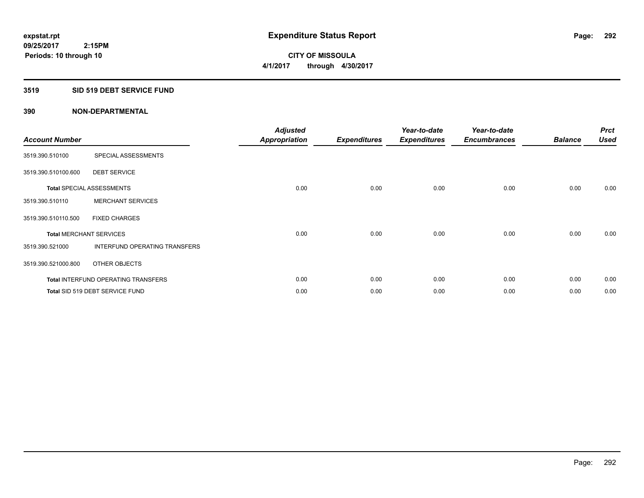**CITY OF MISSOULA 4/1/2017 through 4/30/2017**

# **3519 SID 519 DEBT SERVICE FUND**

| <b>Account Number</b> |                                            | <b>Adjusted</b><br>Appropriation | <b>Expenditures</b> | Year-to-date<br><b>Expenditures</b> | Year-to-date<br><b>Encumbrances</b> | <b>Balance</b> | <b>Prct</b><br><b>Used</b> |
|-----------------------|--------------------------------------------|----------------------------------|---------------------|-------------------------------------|-------------------------------------|----------------|----------------------------|
| 3519.390.510100       | SPECIAL ASSESSMENTS                        |                                  |                     |                                     |                                     |                |                            |
| 3519.390.510100.600   | <b>DEBT SERVICE</b>                        |                                  |                     |                                     |                                     |                |                            |
|                       | <b>Total SPECIAL ASSESSMENTS</b>           | 0.00                             | 0.00                | 0.00                                | 0.00                                | 0.00           | 0.00                       |
| 3519.390.510110       | <b>MERCHANT SERVICES</b>                   |                                  |                     |                                     |                                     |                |                            |
| 3519.390.510110.500   | <b>FIXED CHARGES</b>                       |                                  |                     |                                     |                                     |                |                            |
|                       | <b>Total MERCHANT SERVICES</b>             | 0.00                             | 0.00                | 0.00                                | 0.00                                | 0.00           | 0.00                       |
| 3519.390.521000       | INTERFUND OPERATING TRANSFERS              |                                  |                     |                                     |                                     |                |                            |
| 3519.390.521000.800   | OTHER OBJECTS                              |                                  |                     |                                     |                                     |                |                            |
|                       | <b>Total INTERFUND OPERATING TRANSFERS</b> | 0.00                             | 0.00                | 0.00                                | 0.00                                | 0.00           | 0.00                       |
|                       | Total SID 519 DEBT SERVICE FUND            | 0.00                             | 0.00                | 0.00                                | 0.00                                | 0.00           | 0.00                       |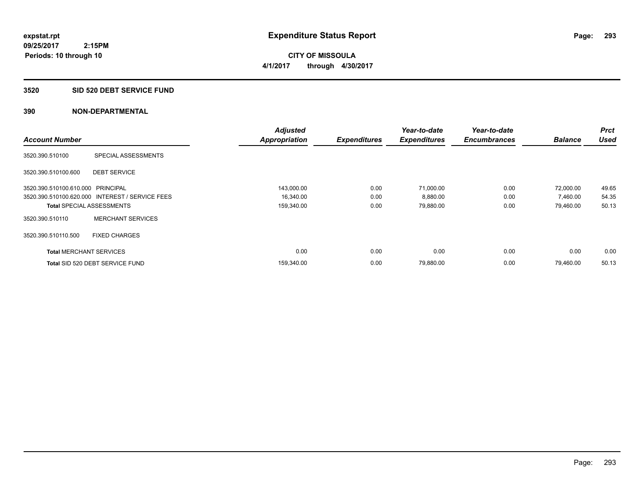**CITY OF MISSOULA 4/1/2017 through 4/30/2017**

#### **3520 SID 520 DEBT SERVICE FUND**

|                                   |                                                 | <b>Adjusted</b>      |                     | Year-to-date        | Year-to-date        |                | <b>Prct</b> |
|-----------------------------------|-------------------------------------------------|----------------------|---------------------|---------------------|---------------------|----------------|-------------|
| <b>Account Number</b>             |                                                 | <b>Appropriation</b> | <b>Expenditures</b> | <b>Expenditures</b> | <b>Encumbrances</b> | <b>Balance</b> | <b>Used</b> |
| 3520.390.510100                   | SPECIAL ASSESSMENTS                             |                      |                     |                     |                     |                |             |
| 3520.390.510100.600               | <b>DEBT SERVICE</b>                             |                      |                     |                     |                     |                |             |
| 3520.390.510100.610.000 PRINCIPAL |                                                 | 143,000.00           | 0.00                | 71.000.00           | 0.00                | 72,000.00      | 49.65       |
|                                   | 3520.390.510100.620.000 INTEREST / SERVICE FEES | 16,340.00            | 0.00                | 8,880.00            | 0.00                | 7,460.00       | 54.35       |
| <b>Total SPECIAL ASSESSMENTS</b>  |                                                 | 159,340.00           | 0.00                | 79,880.00           | 0.00                | 79,460.00      | 50.13       |
| 3520.390.510110                   | <b>MERCHANT SERVICES</b>                        |                      |                     |                     |                     |                |             |
| 3520.390.510110.500               | <b>FIXED CHARGES</b>                            |                      |                     |                     |                     |                |             |
| <b>Total MERCHANT SERVICES</b>    |                                                 | 0.00                 | 0.00                | 0.00                | 0.00                | 0.00           | 0.00        |
|                                   | Total SID 520 DEBT SERVICE FUND                 | 159,340.00           | 0.00                | 79,880.00           | 0.00                | 79.460.00      | 50.13       |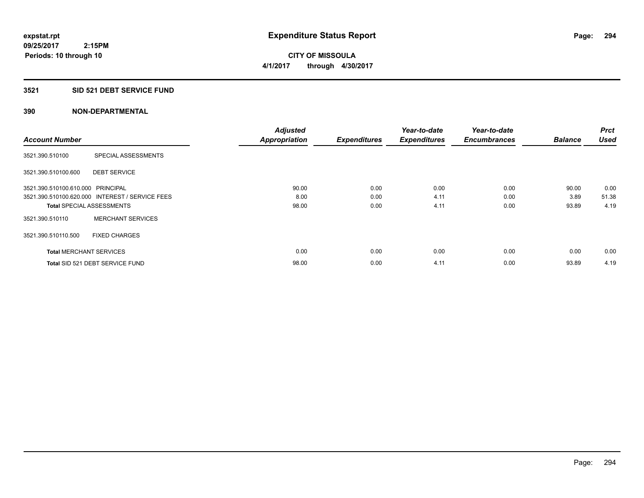**CITY OF MISSOULA 4/1/2017 through 4/30/2017**

#### **3521 SID 521 DEBT SERVICE FUND**

|                                   |                                                 | <b>Adjusted</b>      |                     | Year-to-date        | Year-to-date        |                | <b>Prct</b> |
|-----------------------------------|-------------------------------------------------|----------------------|---------------------|---------------------|---------------------|----------------|-------------|
| <b>Account Number</b>             |                                                 | <b>Appropriation</b> | <b>Expenditures</b> | <b>Expenditures</b> | <b>Encumbrances</b> | <b>Balance</b> | <b>Used</b> |
| 3521.390.510100                   | SPECIAL ASSESSMENTS                             |                      |                     |                     |                     |                |             |
| 3521.390.510100.600               | <b>DEBT SERVICE</b>                             |                      |                     |                     |                     |                |             |
| 3521.390.510100.610.000 PRINCIPAL |                                                 | 90.00                | 0.00                | 0.00                | 0.00                | 90.00          | 0.00        |
|                                   | 3521.390.510100.620.000 INTEREST / SERVICE FEES | 8.00                 | 0.00                | 4.11                | 0.00                | 3.89           | 51.38       |
| <b>Total SPECIAL ASSESSMENTS</b>  |                                                 | 98.00                | 0.00                | 4.11                | 0.00                | 93.89          | 4.19        |
| 3521.390.510110                   | <b>MERCHANT SERVICES</b>                        |                      |                     |                     |                     |                |             |
| 3521.390.510110.500               | <b>FIXED CHARGES</b>                            |                      |                     |                     |                     |                |             |
| <b>Total MERCHANT SERVICES</b>    |                                                 | 0.00                 | 0.00                | 0.00                | 0.00                | 0.00           | 0.00        |
|                                   | Total SID 521 DEBT SERVICE FUND                 | 98.00                | 0.00                | 4.11                | 0.00                | 93.89          | 4.19        |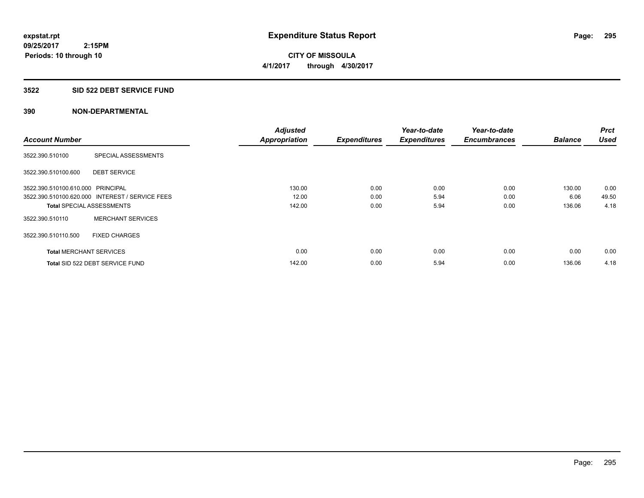**295**

**09/25/2017 2:15PM Periods: 10 through 10**

**CITY OF MISSOULA 4/1/2017 through 4/30/2017**

#### **3522 SID 522 DEBT SERVICE FUND**

|                                   |                                                 | <b>Adjusted</b>      |                     | Year-to-date        | Year-to-date        |                | <b>Prct</b> |
|-----------------------------------|-------------------------------------------------|----------------------|---------------------|---------------------|---------------------|----------------|-------------|
| <b>Account Number</b>             |                                                 | <b>Appropriation</b> | <b>Expenditures</b> | <b>Expenditures</b> | <b>Encumbrances</b> | <b>Balance</b> | <b>Used</b> |
| 3522.390.510100                   | SPECIAL ASSESSMENTS                             |                      |                     |                     |                     |                |             |
| 3522.390.510100.600               | <b>DEBT SERVICE</b>                             |                      |                     |                     |                     |                |             |
| 3522.390.510100.610.000 PRINCIPAL |                                                 | 130.00               | 0.00                | 0.00                | 0.00                | 130.00         | 0.00        |
|                                   | 3522.390.510100.620.000 INTEREST / SERVICE FEES | 12.00                | 0.00                | 5.94                | 0.00                | 6.06           | 49.50       |
| <b>Total SPECIAL ASSESSMENTS</b>  |                                                 | 142.00               | 0.00                | 5.94                | 0.00                | 136.06         | 4.18        |
| 3522.390.510110                   | <b>MERCHANT SERVICES</b>                        |                      |                     |                     |                     |                |             |
| 3522.390.510110.500               | <b>FIXED CHARGES</b>                            |                      |                     |                     |                     |                |             |
| <b>Total MERCHANT SERVICES</b>    |                                                 | 0.00                 | 0.00                | 0.00                | 0.00                | 0.00           | 0.00        |
|                                   | Total SID 522 DEBT SERVICE FUND                 | 142.00               | 0.00                | 5.94                | 0.00                | 136.06         | 4.18        |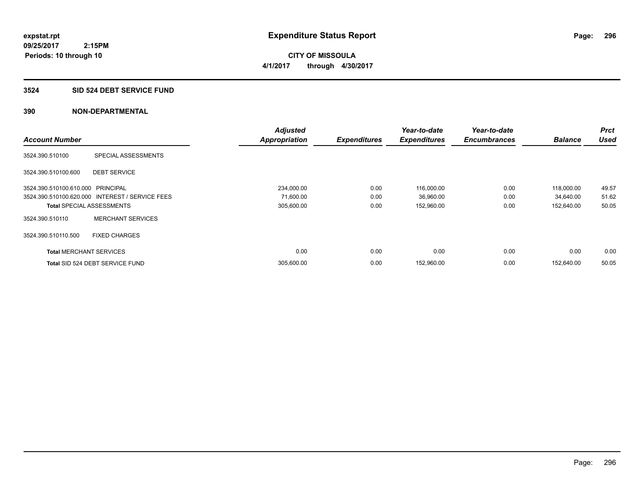**CITY OF MISSOULA 4/1/2017 through 4/30/2017**

#### **3524 SID 524 DEBT SERVICE FUND**

| <b>Account Number</b>             |                                                 | <b>Adjusted</b><br><b>Appropriation</b> | <b>Expenditures</b> | Year-to-date<br><b>Expenditures</b> | Year-to-date<br><b>Encumbrances</b> | <b>Balance</b> | <b>Prct</b><br><b>Used</b> |
|-----------------------------------|-------------------------------------------------|-----------------------------------------|---------------------|-------------------------------------|-------------------------------------|----------------|----------------------------|
| 3524.390.510100                   | SPECIAL ASSESSMENTS                             |                                         |                     |                                     |                                     |                |                            |
| 3524.390.510100.600               | <b>DEBT SERVICE</b>                             |                                         |                     |                                     |                                     |                |                            |
| 3524.390.510100.610.000 PRINCIPAL |                                                 | 234,000.00                              | 0.00                | 116,000.00                          | 0.00                                | 118.000.00     | 49.57                      |
|                                   | 3524.390.510100.620.000 INTEREST / SERVICE FEES | 71,600.00                               | 0.00                | 36,960.00                           | 0.00                                | 34,640.00      | 51.62                      |
| <b>Total SPECIAL ASSESSMENTS</b>  |                                                 | 305,600.00                              | 0.00                | 152,960.00                          | 0.00                                | 152,640.00     | 50.05                      |
| 3524.390.510110                   | <b>MERCHANT SERVICES</b>                        |                                         |                     |                                     |                                     |                |                            |
| 3524.390.510110.500               | <b>FIXED CHARGES</b>                            |                                         |                     |                                     |                                     |                |                            |
| <b>Total MERCHANT SERVICES</b>    |                                                 | 0.00                                    | 0.00                | 0.00                                | 0.00                                | 0.00           | 0.00                       |
|                                   | Total SID 524 DEBT SERVICE FUND                 | 305,600.00                              | 0.00                | 152,960.00                          | 0.00                                | 152.640.00     | 50.05                      |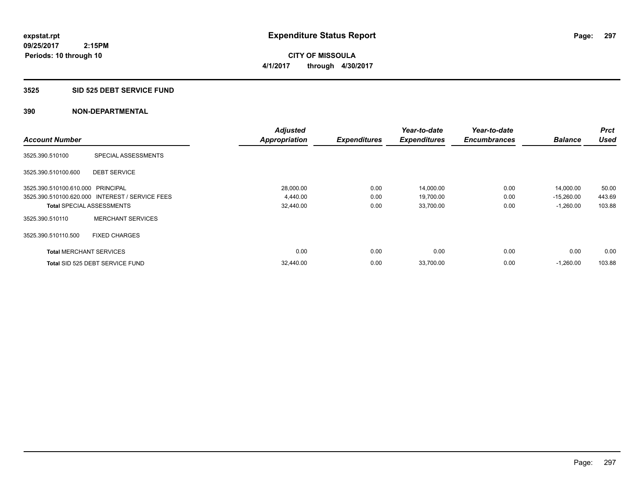**297**

**09/25/2017 2:15PM Periods: 10 through 10**

**CITY OF MISSOULA 4/1/2017 through 4/30/2017**

#### **3525 SID 525 DEBT SERVICE FUND**

|                                   |                                                 | <b>Adjusted</b>      |                     | Year-to-date        | Year-to-date        |                | <b>Prct</b> |
|-----------------------------------|-------------------------------------------------|----------------------|---------------------|---------------------|---------------------|----------------|-------------|
| <b>Account Number</b>             |                                                 | <b>Appropriation</b> | <b>Expenditures</b> | <b>Expenditures</b> | <b>Encumbrances</b> | <b>Balance</b> | <b>Used</b> |
| 3525.390.510100                   | SPECIAL ASSESSMENTS                             |                      |                     |                     |                     |                |             |
| 3525.390.510100.600               | <b>DEBT SERVICE</b>                             |                      |                     |                     |                     |                |             |
| 3525.390.510100.610.000 PRINCIPAL |                                                 | 28,000.00            | 0.00                | 14,000.00           | 0.00                | 14,000.00      | 50.00       |
|                                   | 3525.390.510100.620.000 INTEREST / SERVICE FEES | 4,440.00             | 0.00                | 19,700.00           | 0.00                | $-15,260.00$   | 443.69      |
| <b>Total SPECIAL ASSESSMENTS</b>  |                                                 | 32,440.00            | 0.00                | 33,700.00           | 0.00                | $-1,260.00$    | 103.88      |
| 3525.390.510110                   | <b>MERCHANT SERVICES</b>                        |                      |                     |                     |                     |                |             |
| 3525.390.510110.500               | <b>FIXED CHARGES</b>                            |                      |                     |                     |                     |                |             |
| <b>Total MERCHANT SERVICES</b>    |                                                 | 0.00                 | 0.00                | 0.00                | 0.00                | 0.00           | 0.00        |
|                                   | Total SID 525 DEBT SERVICE FUND                 | 32,440.00            | 0.00                | 33,700.00           | 0.00                | $-1,260.00$    | 103.88      |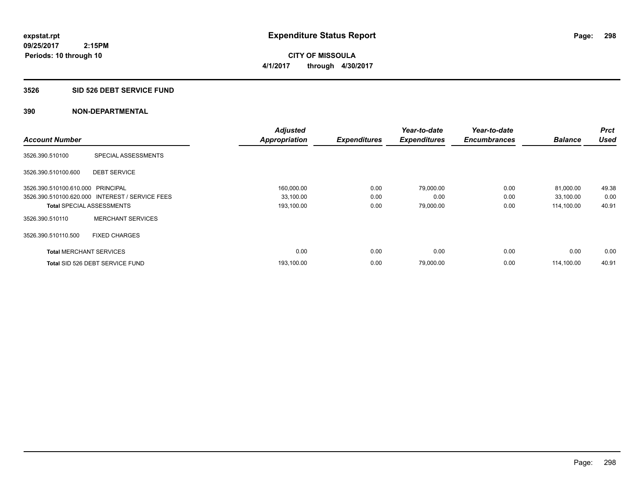**CITY OF MISSOULA 4/1/2017 through 4/30/2017**

#### **3526 SID 526 DEBT SERVICE FUND**

|                                   |                                                 | <b>Adjusted</b>      |                     | Year-to-date        | Year-to-date        |                | <b>Prct</b> |
|-----------------------------------|-------------------------------------------------|----------------------|---------------------|---------------------|---------------------|----------------|-------------|
| <b>Account Number</b>             |                                                 | <b>Appropriation</b> | <b>Expenditures</b> | <b>Expenditures</b> | <b>Encumbrances</b> | <b>Balance</b> | Used        |
| 3526.390.510100                   | SPECIAL ASSESSMENTS                             |                      |                     |                     |                     |                |             |
| 3526.390.510100.600               | <b>DEBT SERVICE</b>                             |                      |                     |                     |                     |                |             |
| 3526.390.510100.610.000 PRINCIPAL |                                                 | 160,000.00           | 0.00                | 79,000.00           | 0.00                | 81,000.00      | 49.38       |
|                                   | 3526.390.510100.620.000 INTEREST / SERVICE FEES | 33,100.00            | 0.00                | 0.00                | 0.00                | 33,100.00      | 0.00        |
| <b>Total SPECIAL ASSESSMENTS</b>  |                                                 | 193,100.00           | 0.00                | 79,000.00           | 0.00                | 114,100.00     | 40.91       |
| 3526.390.510110                   | <b>MERCHANT SERVICES</b>                        |                      |                     |                     |                     |                |             |
| 3526.390.510110.500               | <b>FIXED CHARGES</b>                            |                      |                     |                     |                     |                |             |
| <b>Total MERCHANT SERVICES</b>    |                                                 | 0.00                 | 0.00                | 0.00                | 0.00                | 0.00           | 0.00        |
|                                   | Total SID 526 DEBT SERVICE FUND                 | 193,100.00           | 0.00                | 79,000.00           | 0.00                | 114.100.00     | 40.91       |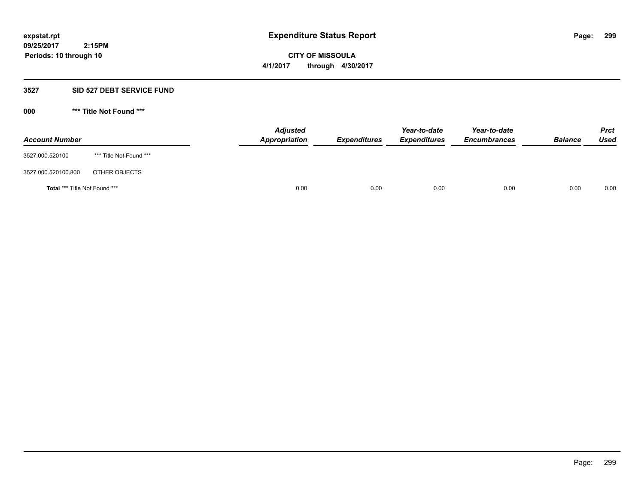# **CITY OF MISSOULA 4/1/2017 through 4/30/2017**

# **3527 SID 527 DEBT SERVICE FUND**

**000 \*\*\* Title Not Found \*\*\***

| <b>Account Number</b>         |                         | <b>Adjusted</b><br>Appropriation | <b>Expenditures</b> | Year-to-date<br><b>Expenditures</b> | Year-to-date<br><b>Encumbrances</b> | <b>Balance</b> | <b>Prct</b><br>Used |
|-------------------------------|-------------------------|----------------------------------|---------------------|-------------------------------------|-------------------------------------|----------------|---------------------|
| 3527.000.520100               | *** Title Not Found *** |                                  |                     |                                     |                                     |                |                     |
| 3527.000.520100.800           | OTHER OBJECTS           |                                  |                     |                                     |                                     |                |                     |
| Total *** Title Not Found *** |                         | 0.00                             | 0.00                | 0.00                                | 0.00                                | 0.00           | 0.00                |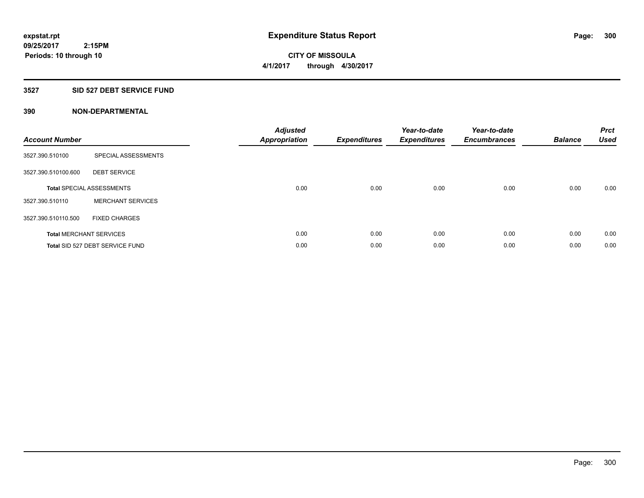**Periods: 10 through 10**

**CITY OF MISSOULA 4/1/2017 through 4/30/2017**

#### **3527 SID 527 DEBT SERVICE FUND**

| <b>Account Number</b> |                                  | <b>Adjusted</b><br><b>Appropriation</b> | <b>Expenditures</b> | Year-to-date<br><b>Expenditures</b> | Year-to-date<br><b>Encumbrances</b> | <b>Balance</b> | <b>Prct</b><br><b>Used</b> |
|-----------------------|----------------------------------|-----------------------------------------|---------------------|-------------------------------------|-------------------------------------|----------------|----------------------------|
| 3527.390.510100       | SPECIAL ASSESSMENTS              |                                         |                     |                                     |                                     |                |                            |
| 3527.390.510100.600   | <b>DEBT SERVICE</b>              |                                         |                     |                                     |                                     |                |                            |
|                       | <b>Total SPECIAL ASSESSMENTS</b> | 0.00                                    | 0.00                | 0.00                                | 0.00                                | 0.00           | 0.00                       |
| 3527.390.510110       | <b>MERCHANT SERVICES</b>         |                                         |                     |                                     |                                     |                |                            |
| 3527.390.510110.500   | <b>FIXED CHARGES</b>             |                                         |                     |                                     |                                     |                |                            |
|                       | <b>Total MERCHANT SERVICES</b>   | 0.00                                    | 0.00                | 0.00                                | 0.00                                | 0.00           | 0.00                       |
|                       | Total SID 527 DEBT SERVICE FUND  | 0.00                                    | 0.00                | 0.00                                | 0.00                                | 0.00           | 0.00                       |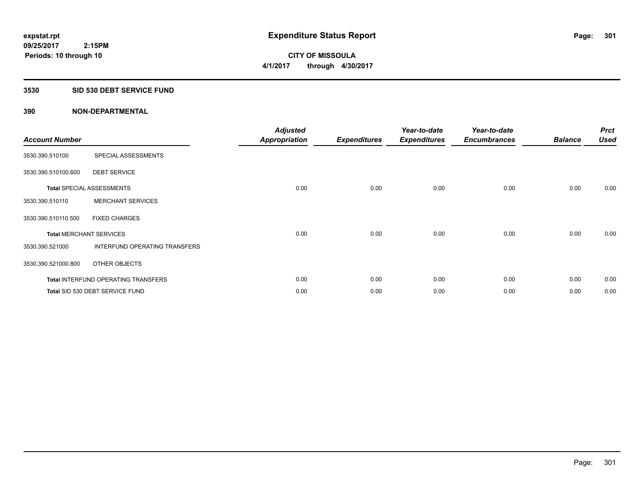**CITY OF MISSOULA 4/1/2017 through 4/30/2017**

# **3530 SID 530 DEBT SERVICE FUND**

| <b>Account Number</b>          |                                            | <b>Adjusted</b><br><b>Appropriation</b> | <b>Expenditures</b> | Year-to-date<br><b>Expenditures</b> | Year-to-date<br><b>Encumbrances</b> | <b>Balance</b> | <b>Prct</b><br><b>Used</b> |
|--------------------------------|--------------------------------------------|-----------------------------------------|---------------------|-------------------------------------|-------------------------------------|----------------|----------------------------|
| 3530.390.510100                | SPECIAL ASSESSMENTS                        |                                         |                     |                                     |                                     |                |                            |
| 3530.390.510100.600            | <b>DEBT SERVICE</b>                        |                                         |                     |                                     |                                     |                |                            |
|                                | <b>Total SPECIAL ASSESSMENTS</b>           | 0.00                                    | 0.00                | 0.00                                | 0.00                                | 0.00           | 0.00                       |
| 3530.390.510110                | <b>MERCHANT SERVICES</b>                   |                                         |                     |                                     |                                     |                |                            |
| 3530.390.510110.500            | <b>FIXED CHARGES</b>                       |                                         |                     |                                     |                                     |                |                            |
| <b>Total MERCHANT SERVICES</b> |                                            | 0.00                                    | 0.00                | 0.00                                | 0.00                                | 0.00           | 0.00                       |
| 3530.390.521000                | INTERFUND OPERATING TRANSFERS              |                                         |                     |                                     |                                     |                |                            |
| 3530.390.521000.800            | OTHER OBJECTS                              |                                         |                     |                                     |                                     |                |                            |
|                                | <b>Total INTERFUND OPERATING TRANSFERS</b> | 0.00                                    | 0.00                | 0.00                                | 0.00                                | 0.00           | 0.00                       |
|                                | Total SID 530 DEBT SERVICE FUND            | 0.00                                    | 0.00                | 0.00                                | 0.00                                | 0.00           | 0.00                       |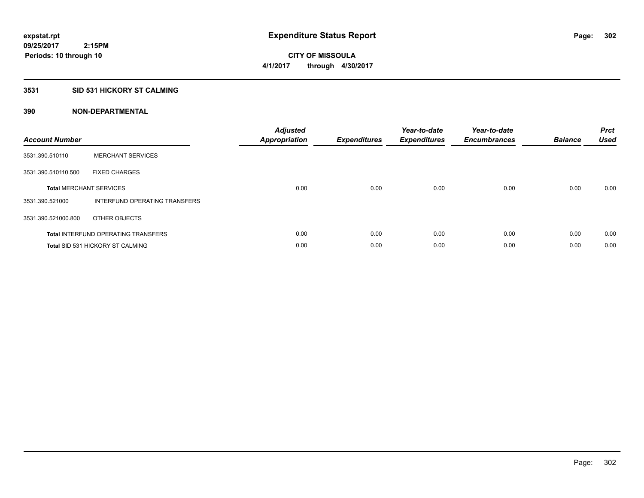**CITY OF MISSOULA 4/1/2017 through 4/30/2017**

# **3531 SID 531 HICKORY ST CALMING**

| <b>Account Number</b> |                                            | <b>Adjusted</b><br>Appropriation | <b>Expenditures</b> | Year-to-date<br><b>Expenditures</b> | Year-to-date<br><b>Encumbrances</b> | <b>Balance</b> | <b>Prct</b><br><b>Used</b> |
|-----------------------|--------------------------------------------|----------------------------------|---------------------|-------------------------------------|-------------------------------------|----------------|----------------------------|
| 3531.390.510110       | <b>MERCHANT SERVICES</b>                   |                                  |                     |                                     |                                     |                |                            |
| 3531.390.510110.500   | <b>FIXED CHARGES</b>                       |                                  |                     |                                     |                                     |                |                            |
|                       | <b>Total MERCHANT SERVICES</b>             | 0.00                             | 0.00                | 0.00                                | 0.00                                | 0.00           | 0.00                       |
| 3531.390.521000       | INTERFUND OPERATING TRANSFERS              |                                  |                     |                                     |                                     |                |                            |
| 3531.390.521000.800   | OTHER OBJECTS                              |                                  |                     |                                     |                                     |                |                            |
|                       | <b>Total INTERFUND OPERATING TRANSFERS</b> | 0.00                             | 0.00                | 0.00                                | 0.00                                | 0.00           | 0.00                       |
|                       | <b>Total SID 531 HICKORY ST CALMING</b>    | 0.00                             | 0.00                | 0.00                                | 0.00                                | 0.00           | 0.00                       |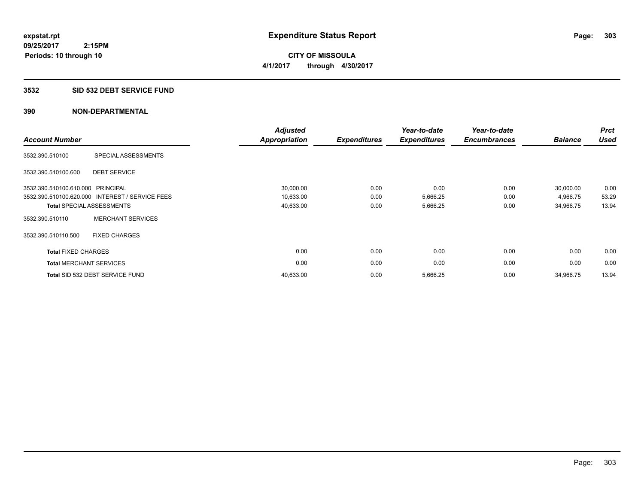**CITY OF MISSOULA 4/1/2017 through 4/30/2017**

#### **3532 SID 532 DEBT SERVICE FUND**

| <b>Account Number</b>             |                                                 | <b>Adjusted</b><br><b>Appropriation</b> | <b>Expenditures</b> | Year-to-date<br><b>Expenditures</b> | Year-to-date<br><b>Encumbrances</b> | <b>Balance</b> | <b>Prct</b><br><b>Used</b> |
|-----------------------------------|-------------------------------------------------|-----------------------------------------|---------------------|-------------------------------------|-------------------------------------|----------------|----------------------------|
| 3532.390.510100                   | SPECIAL ASSESSMENTS                             |                                         |                     |                                     |                                     |                |                            |
| 3532.390.510100.600               | <b>DEBT SERVICE</b>                             |                                         |                     |                                     |                                     |                |                            |
| 3532.390.510100.610.000 PRINCIPAL |                                                 | 30,000.00                               | 0.00                | 0.00                                | 0.00                                | 30,000.00      | 0.00                       |
|                                   | 3532.390.510100.620.000 INTEREST / SERVICE FEES | 10,633.00                               | 0.00                | 5,666.25                            | 0.00                                | 4,966.75       | 53.29                      |
| <b>Total SPECIAL ASSESSMENTS</b>  |                                                 | 40,633.00                               | 0.00                | 5,666.25                            | 0.00                                | 34,966.75      | 13.94                      |
| 3532.390.510110                   | <b>MERCHANT SERVICES</b>                        |                                         |                     |                                     |                                     |                |                            |
| 3532.390.510110.500               | <b>FIXED CHARGES</b>                            |                                         |                     |                                     |                                     |                |                            |
| <b>Total FIXED CHARGES</b>        |                                                 | 0.00                                    | 0.00                | 0.00                                | 0.00                                | 0.00           | 0.00                       |
| <b>Total MERCHANT SERVICES</b>    |                                                 | 0.00                                    | 0.00                | 0.00                                | 0.00                                | 0.00           | 0.00                       |
|                                   | Total SID 532 DEBT SERVICE FUND                 | 40,633.00                               | 0.00                | 5,666.25                            | 0.00                                | 34,966.75      | 13.94                      |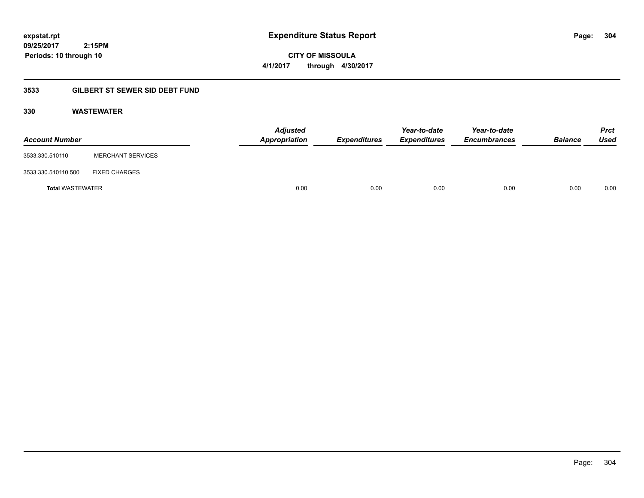**CITY OF MISSOULA 4/1/2017 through 4/30/2017**

# **3533 GILBERT ST SEWER SID DEBT FUND**

# **330 WASTEWATER**

| <b>Account Number</b>   |                          | <b>Adjusted</b><br>Appropriation | <b>Expenditures</b> | Year-to-date<br><b>Expenditures</b> | Year-to-date<br><b>Encumbrances</b> | <b>Balance</b> | <b>Prct</b><br>Used |
|-------------------------|--------------------------|----------------------------------|---------------------|-------------------------------------|-------------------------------------|----------------|---------------------|
| 3533.330.510110         | <b>MERCHANT SERVICES</b> |                                  |                     |                                     |                                     |                |                     |
| 3533.330.510110.500     | <b>FIXED CHARGES</b>     |                                  |                     |                                     |                                     |                |                     |
| <b>Total WASTEWATER</b> |                          | 0.00                             | 0.00                | 0.00                                | 0.00                                | 0.00           | 0.00                |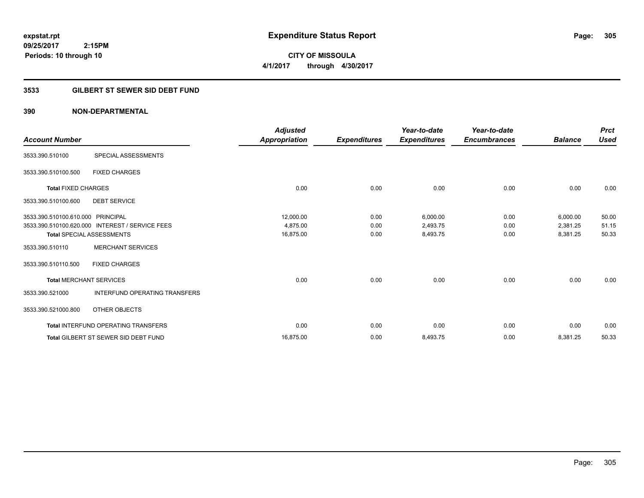**305**

**09/25/2017 2:15PM Periods: 10 through 10**

**CITY OF MISSOULA 4/1/2017 through 4/30/2017**

# **3533 GILBERT ST SEWER SID DEBT FUND**

| <b>Account Number</b>             |                                                 | <b>Adjusted</b><br>Appropriation | <b>Expenditures</b> | Year-to-date<br><b>Expenditures</b> | Year-to-date<br><b>Encumbrances</b> | <b>Balance</b> | <b>Prct</b><br>Used |
|-----------------------------------|-------------------------------------------------|----------------------------------|---------------------|-------------------------------------|-------------------------------------|----------------|---------------------|
| 3533.390.510100                   | SPECIAL ASSESSMENTS                             |                                  |                     |                                     |                                     |                |                     |
| 3533.390.510100.500               | <b>FIXED CHARGES</b>                            |                                  |                     |                                     |                                     |                |                     |
| <b>Total FIXED CHARGES</b>        |                                                 | 0.00                             | 0.00                | 0.00                                | 0.00                                | 0.00           | 0.00                |
| 3533.390.510100.600               | <b>DEBT SERVICE</b>                             |                                  |                     |                                     |                                     |                |                     |
| 3533.390.510100.610.000 PRINCIPAL |                                                 | 12,000.00                        | 0.00                | 6,000.00                            | 0.00                                | 6,000.00       | 50.00               |
|                                   | 3533.390.510100.620.000 INTEREST / SERVICE FEES | 4,875.00                         | 0.00                | 2,493.75                            | 0.00                                | 2,381.25       | 51.15               |
|                                   | <b>Total SPECIAL ASSESSMENTS</b>                | 16,875.00                        | 0.00                | 8,493.75                            | 0.00                                | 8,381.25       | 50.33               |
| 3533.390.510110                   | <b>MERCHANT SERVICES</b>                        |                                  |                     |                                     |                                     |                |                     |
| 3533.390.510110.500               | <b>FIXED CHARGES</b>                            |                                  |                     |                                     |                                     |                |                     |
| <b>Total MERCHANT SERVICES</b>    |                                                 | 0.00                             | 0.00                | 0.00                                | 0.00                                | 0.00           | 0.00                |
| 3533.390.521000                   | <b>INTERFUND OPERATING TRANSFERS</b>            |                                  |                     |                                     |                                     |                |                     |
| 3533.390.521000.800               | OTHER OBJECTS                                   |                                  |                     |                                     |                                     |                |                     |
|                                   | <b>Total INTERFUND OPERATING TRANSFERS</b>      | 0.00                             | 0.00                | 0.00                                | 0.00                                | 0.00           | 0.00                |
|                                   | <b>Total GILBERT ST SEWER SID DEBT FUND</b>     | 16,875.00                        | 0.00                | 8,493.75                            | 0.00                                | 8,381.25       | 50.33               |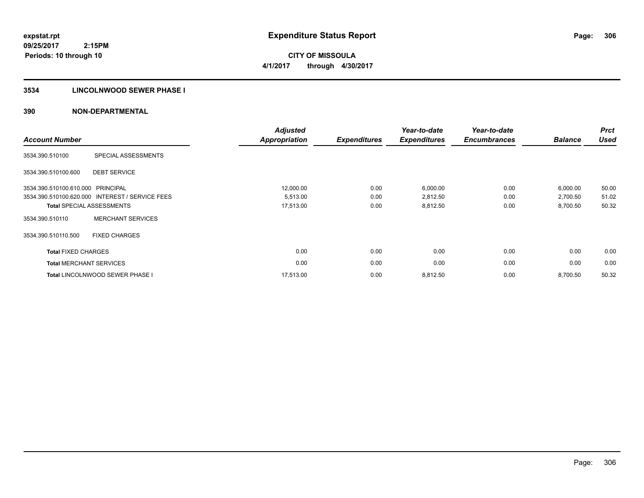**306**

**09/25/2017 2:15PM Periods: 10 through 10**

**CITY OF MISSOULA 4/1/2017 through 4/30/2017**

# **3534 LINCOLNWOOD SEWER PHASE I**

| <b>Account Number</b>          |                                                 | <b>Adjusted</b><br>Appropriation | <b>Expenditures</b> | Year-to-date<br><b>Expenditures</b> | Year-to-date<br><b>Encumbrances</b> | <b>Balance</b> | <b>Prct</b><br><b>Used</b> |
|--------------------------------|-------------------------------------------------|----------------------------------|---------------------|-------------------------------------|-------------------------------------|----------------|----------------------------|
| 3534.390.510100                | SPECIAL ASSESSMENTS                             |                                  |                     |                                     |                                     |                |                            |
| 3534.390.510100.600            | <b>DEBT SERVICE</b>                             |                                  |                     |                                     |                                     |                |                            |
| 3534.390.510100.610.000        | <b>PRINCIPAL</b>                                | 12,000.00                        | 0.00                | 6,000.00                            | 0.00                                | 6,000.00       | 50.00                      |
|                                | 3534.390.510100.620.000 INTEREST / SERVICE FEES | 5,513.00                         | 0.00                | 2,812.50                            | 0.00                                | 2,700.50       | 51.02                      |
|                                | <b>Total SPECIAL ASSESSMENTS</b>                | 17,513.00                        | 0.00                | 8,812.50                            | 0.00                                | 8,700.50       | 50.32                      |
| 3534.390.510110                | <b>MERCHANT SERVICES</b>                        |                                  |                     |                                     |                                     |                |                            |
| 3534.390.510110.500            | <b>FIXED CHARGES</b>                            |                                  |                     |                                     |                                     |                |                            |
| <b>Total FIXED CHARGES</b>     |                                                 | 0.00                             | 0.00                | 0.00                                | 0.00                                | 0.00           | 0.00                       |
| <b>Total MERCHANT SERVICES</b> |                                                 | 0.00                             | 0.00                | 0.00                                | 0.00                                | 0.00           | 0.00                       |
|                                | Total LINCOLNWOOD SEWER PHASE I                 | 17,513.00                        | 0.00                | 8,812.50                            | 0.00                                | 8,700.50       | 50.32                      |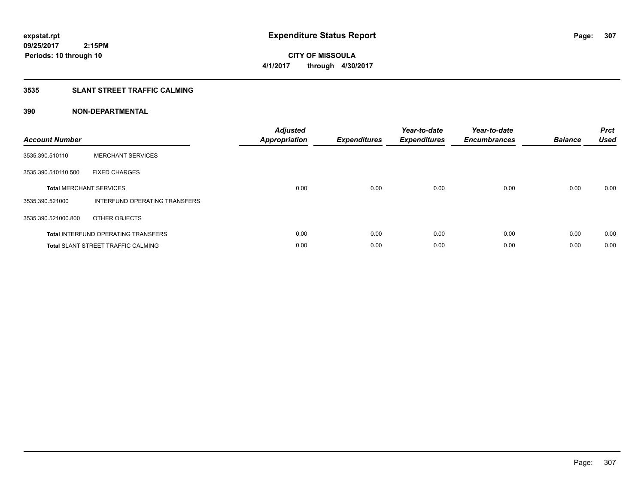**CITY OF MISSOULA 4/1/2017 through 4/30/2017**

# **3535 SLANT STREET TRAFFIC CALMING**

| <b>Account Number</b> |                                            | <b>Adjusted</b><br>Appropriation | <b>Expenditures</b> | Year-to-date<br><b>Expenditures</b> | Year-to-date<br><b>Encumbrances</b> | <b>Balance</b> | <b>Prct</b><br><b>Used</b> |
|-----------------------|--------------------------------------------|----------------------------------|---------------------|-------------------------------------|-------------------------------------|----------------|----------------------------|
| 3535.390.510110       | <b>MERCHANT SERVICES</b>                   |                                  |                     |                                     |                                     |                |                            |
| 3535.390.510110.500   | <b>FIXED CHARGES</b>                       |                                  |                     |                                     |                                     |                |                            |
|                       | <b>Total MERCHANT SERVICES</b>             | 0.00                             | 0.00                | 0.00                                | 0.00                                | 0.00           | 0.00                       |
| 3535.390.521000       | INTERFUND OPERATING TRANSFERS              |                                  |                     |                                     |                                     |                |                            |
| 3535.390.521000.800   | OTHER OBJECTS                              |                                  |                     |                                     |                                     |                |                            |
|                       | <b>Total INTERFUND OPERATING TRANSFERS</b> | 0.00                             | 0.00                | 0.00                                | 0.00                                | 0.00           | 0.00                       |
|                       | <b>Total SLANT STREET TRAFFIC CALMING</b>  | 0.00                             | 0.00                | 0.00                                | 0.00                                | 0.00           | 0.00                       |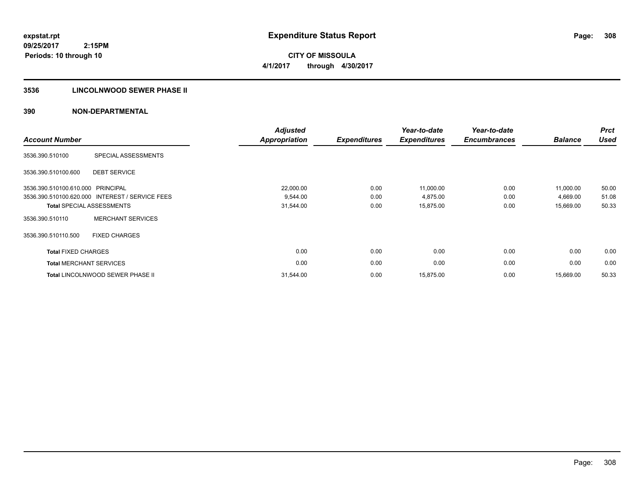**CITY OF MISSOULA 4/1/2017 through 4/30/2017**

#### **3536 LINCOLNWOOD SEWER PHASE II**

| <b>Account Number</b>             |                                                 | <b>Adjusted</b><br><b>Appropriation</b> | <b>Expenditures</b> | Year-to-date<br><b>Expenditures</b> | Year-to-date<br><b>Encumbrances</b> | <b>Balance</b> | <b>Prct</b><br><b>Used</b> |
|-----------------------------------|-------------------------------------------------|-----------------------------------------|---------------------|-------------------------------------|-------------------------------------|----------------|----------------------------|
| 3536.390.510100                   | SPECIAL ASSESSMENTS                             |                                         |                     |                                     |                                     |                |                            |
| 3536.390.510100.600               | <b>DEBT SERVICE</b>                             |                                         |                     |                                     |                                     |                |                            |
| 3536.390.510100.610.000 PRINCIPAL |                                                 | 22,000.00                               | 0.00                | 11,000.00                           | 0.00                                | 11,000.00      | 50.00                      |
|                                   | 3536.390.510100.620.000 INTEREST / SERVICE FEES | 9,544.00                                | 0.00                | 4,875.00                            | 0.00                                | 4,669.00       | 51.08                      |
|                                   | <b>Total SPECIAL ASSESSMENTS</b>                | 31,544.00                               | 0.00                | 15,875.00                           | 0.00                                | 15,669.00      | 50.33                      |
| 3536.390.510110                   | <b>MERCHANT SERVICES</b>                        |                                         |                     |                                     |                                     |                |                            |
| 3536.390.510110.500               | <b>FIXED CHARGES</b>                            |                                         |                     |                                     |                                     |                |                            |
| <b>Total FIXED CHARGES</b>        |                                                 | 0.00                                    | 0.00                | 0.00                                | 0.00                                | 0.00           | 0.00                       |
| <b>Total MERCHANT SERVICES</b>    |                                                 | 0.00                                    | 0.00                | 0.00                                | 0.00                                | 0.00           | 0.00                       |
|                                   | Total LINCOLNWOOD SEWER PHASE II                | 31,544.00                               | 0.00                | 15,875.00                           | 0.00                                | 15,669.00      | 50.33                      |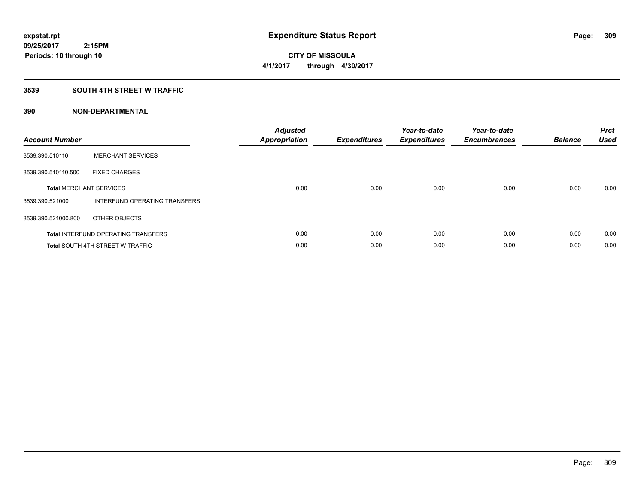# **CITY OF MISSOULA 4/1/2017 through 4/30/2017**

# **3539 SOUTH 4TH STREET W TRAFFIC**

| <b>Account Number</b> |                                            | <b>Adjusted</b><br>Appropriation | <b>Expenditures</b> | Year-to-date<br><b>Expenditures</b> | Year-to-date<br><b>Encumbrances</b> | <b>Balance</b> | <b>Prct</b><br><b>Used</b> |
|-----------------------|--------------------------------------------|----------------------------------|---------------------|-------------------------------------|-------------------------------------|----------------|----------------------------|
| 3539.390.510110       | <b>MERCHANT SERVICES</b>                   |                                  |                     |                                     |                                     |                |                            |
| 3539.390.510110.500   | <b>FIXED CHARGES</b>                       |                                  |                     |                                     |                                     |                |                            |
|                       | <b>Total MERCHANT SERVICES</b>             | 0.00                             | 0.00                | 0.00                                | 0.00                                | 0.00           | 0.00                       |
| 3539.390.521000       | INTERFUND OPERATING TRANSFERS              |                                  |                     |                                     |                                     |                |                            |
| 3539.390.521000.800   | OTHER OBJECTS                              |                                  |                     |                                     |                                     |                |                            |
|                       | <b>Total INTERFUND OPERATING TRANSFERS</b> | 0.00                             | 0.00                | 0.00                                | 0.00                                | 0.00           | 0.00                       |
|                       | <b>Total SOUTH 4TH STREET W TRAFFIC</b>    | 0.00                             | 0.00                | 0.00                                | 0.00                                | 0.00           | 0.00                       |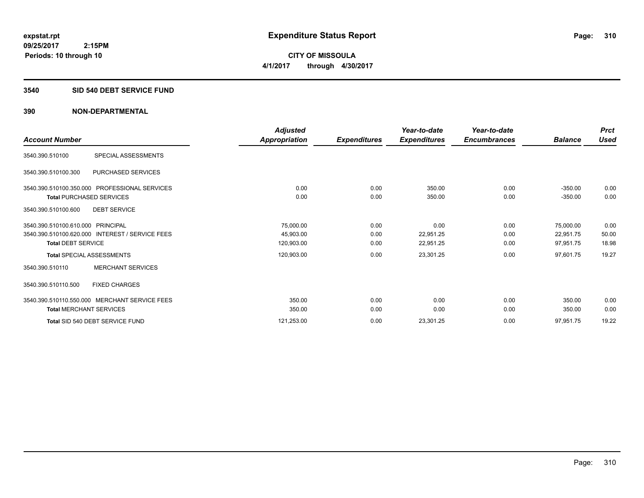**310**

**09/25/2017 2:15PM Periods: 10 through 10**

**CITY OF MISSOULA 4/1/2017 through 4/30/2017**

#### **3540 SID 540 DEBT SERVICE FUND**

|                                                 | Adjusted      |                     | Year-to-date        | Year-to-date        |                | <b>Prct</b> |
|-------------------------------------------------|---------------|---------------------|---------------------|---------------------|----------------|-------------|
| <b>Account Number</b>                           | Appropriation | <b>Expenditures</b> | <b>Expenditures</b> | <b>Encumbrances</b> | <b>Balance</b> | <b>Used</b> |
| SPECIAL ASSESSMENTS<br>3540.390.510100          |               |                     |                     |                     |                |             |
| PURCHASED SERVICES<br>3540.390.510100.300       |               |                     |                     |                     |                |             |
| 3540.390.510100.350.000 PROFESSIONAL SERVICES   | 0.00          | 0.00                | 350.00              | 0.00                | $-350.00$      | 0.00        |
| <b>Total PURCHASED SERVICES</b>                 | 0.00          | 0.00                | 350.00              | 0.00                | $-350.00$      | 0.00        |
| 3540.390.510100.600<br><b>DEBT SERVICE</b>      |               |                     |                     |                     |                |             |
| 3540.390.510100.610.000 PRINCIPAL               | 75,000.00     | 0.00                | 0.00                | 0.00                | 75,000.00      | 0.00        |
| 3540.390.510100.620.000 INTEREST / SERVICE FEES | 45,903.00     | 0.00                | 22,951.25           | 0.00                | 22,951.75      | 50.00       |
| <b>Total DEBT SERVICE</b>                       | 120,903.00    | 0.00                | 22,951.25           | 0.00                | 97,951.75      | 18.98       |
| <b>Total SPECIAL ASSESSMENTS</b>                | 120,903.00    | 0.00                | 23,301.25           | 0.00                | 97,601.75      | 19.27       |
| <b>MERCHANT SERVICES</b><br>3540.390.510110     |               |                     |                     |                     |                |             |
| 3540.390.510110.500<br><b>FIXED CHARGES</b>     |               |                     |                     |                     |                |             |
| 3540.390.510110.550.000 MERCHANT SERVICE FEES   | 350.00        | 0.00                | 0.00                | 0.00                | 350.00         | 0.00        |
| <b>Total MERCHANT SERVICES</b>                  | 350.00        | 0.00                | 0.00                | 0.00                | 350.00         | 0.00        |
| Total SID 540 DEBT SERVICE FUND                 | 121,253.00    | 0.00                | 23,301.25           | 0.00                | 97,951.75      | 19.22       |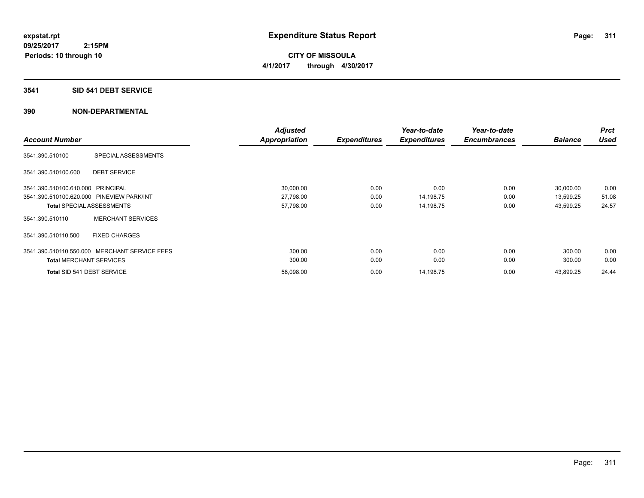**CITY OF MISSOULA 4/1/2017 through 4/30/2017**

#### **3541 SID 541 DEBT SERVICE**

| <b>Account Number</b>             |                                               | <b>Adjusted</b><br><b>Appropriation</b> | <b>Expenditures</b> | Year-to-date<br><b>Expenditures</b> | Year-to-date<br><b>Encumbrances</b> | <b>Balance</b> | <b>Prct</b><br><b>Used</b> |
|-----------------------------------|-----------------------------------------------|-----------------------------------------|---------------------|-------------------------------------|-------------------------------------|----------------|----------------------------|
| 3541.390.510100                   | SPECIAL ASSESSMENTS                           |                                         |                     |                                     |                                     |                |                            |
| 3541.390.510100.600               | <b>DEBT SERVICE</b>                           |                                         |                     |                                     |                                     |                |                            |
| 3541.390.510100.610.000 PRINCIPAL |                                               | 30,000.00                               | 0.00                | 0.00                                | 0.00                                | 30,000.00      | 0.00                       |
|                                   | 3541.390.510100.620.000 PINEVIEW PARK/INT     | 27,798.00                               | 0.00                | 14,198.75                           | 0.00                                | 13,599.25      | 51.08                      |
|                                   | <b>Total SPECIAL ASSESSMENTS</b>              | 57,798.00                               | 0.00                | 14,198.75                           | 0.00                                | 43,599.25      | 24.57                      |
| 3541.390.510110                   | <b>MERCHANT SERVICES</b>                      |                                         |                     |                                     |                                     |                |                            |
| 3541.390.510110.500               | <b>FIXED CHARGES</b>                          |                                         |                     |                                     |                                     |                |                            |
|                                   | 3541.390.510110.550.000 MERCHANT SERVICE FEES | 300.00                                  | 0.00                | 0.00                                | 0.00                                | 300.00         | 0.00                       |
| <b>Total MERCHANT SERVICES</b>    |                                               | 300.00                                  | 0.00                | 0.00                                | 0.00                                | 300.00         | 0.00                       |
| Total SID 541 DEBT SERVICE        |                                               | 58,098.00                               | 0.00                | 14,198.75                           | 0.00                                | 43,899.25      | 24.44                      |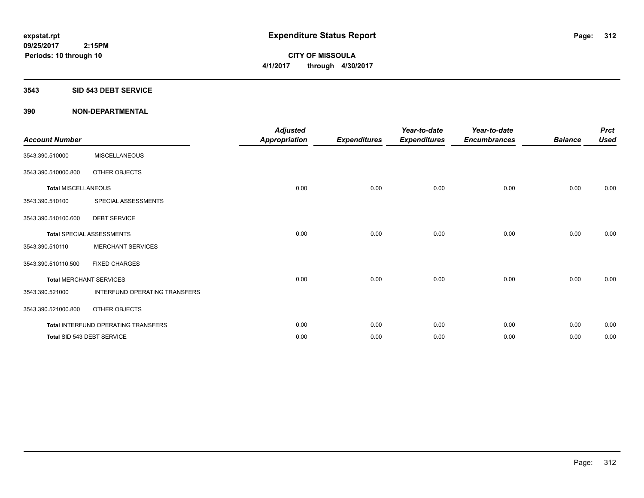**CITY OF MISSOULA 4/1/2017 through 4/30/2017**

#### **3543 SID 543 DEBT SERVICE**

| <b>Account Number</b>      |                                     | <b>Adjusted</b><br><b>Appropriation</b> | <b>Expenditures</b> | Year-to-date<br><b>Expenditures</b> | Year-to-date<br><b>Encumbrances</b> | <b>Balance</b> | <b>Prct</b><br><b>Used</b> |
|----------------------------|-------------------------------------|-----------------------------------------|---------------------|-------------------------------------|-------------------------------------|----------------|----------------------------|
| 3543.390.510000            | <b>MISCELLANEOUS</b>                |                                         |                     |                                     |                                     |                |                            |
| 3543.390.510000.800        | OTHER OBJECTS                       |                                         |                     |                                     |                                     |                |                            |
| <b>Total MISCELLANEOUS</b> |                                     | 0.00                                    | 0.00                | 0.00                                | 0.00                                | 0.00           | 0.00                       |
| 3543.390.510100            | SPECIAL ASSESSMENTS                 |                                         |                     |                                     |                                     |                |                            |
| 3543.390.510100.600        | <b>DEBT SERVICE</b>                 |                                         |                     |                                     |                                     |                |                            |
|                            | <b>Total SPECIAL ASSESSMENTS</b>    | 0.00                                    | 0.00                | 0.00                                | 0.00                                | 0.00           | 0.00                       |
| 3543.390.510110            | <b>MERCHANT SERVICES</b>            |                                         |                     |                                     |                                     |                |                            |
| 3543.390.510110.500        | <b>FIXED CHARGES</b>                |                                         |                     |                                     |                                     |                |                            |
|                            | <b>Total MERCHANT SERVICES</b>      | 0.00                                    | 0.00                | 0.00                                | 0.00                                | 0.00           | 0.00                       |
| 3543.390.521000            | INTERFUND OPERATING TRANSFERS       |                                         |                     |                                     |                                     |                |                            |
| 3543.390.521000.800        | OTHER OBJECTS                       |                                         |                     |                                     |                                     |                |                            |
|                            | Total INTERFUND OPERATING TRANSFERS | 0.00                                    | 0.00                | 0.00                                | 0.00                                | 0.00           | 0.00                       |
|                            | Total SID 543 DEBT SERVICE          | 0.00                                    | 0.00                | 0.00                                | 0.00                                | 0.00           | 0.00                       |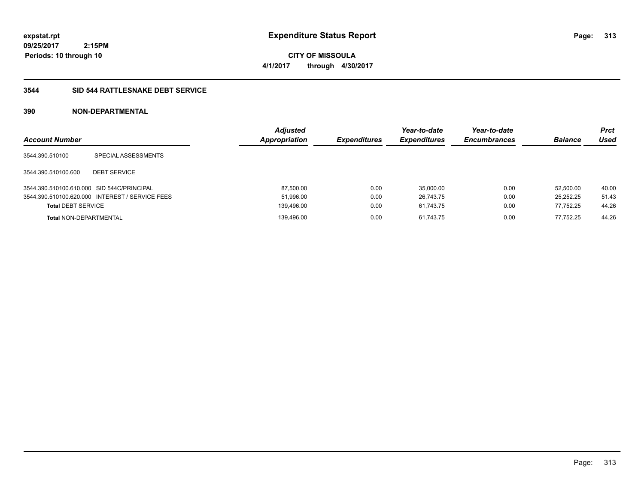**CITY OF MISSOULA 4/1/2017 through 4/30/2017**

# **3544 SID 544 RATTLESNAKE DEBT SERVICE**

| <b>Account Number</b>                      |                                                 | <b>Adjusted</b><br>Appropriation | <b>Expenditures</b> | Year-to-date<br><b>Expenditures</b> | Year-to-date<br><b>Encumbrances</b> | <b>Balance</b> | <b>Prct</b><br>Used |
|--------------------------------------------|-------------------------------------------------|----------------------------------|---------------------|-------------------------------------|-------------------------------------|----------------|---------------------|
| 3544.390.510100                            | SPECIAL ASSESSMENTS                             |                                  |                     |                                     |                                     |                |                     |
| 3544.390.510100.600                        | <b>DEBT SERVICE</b>                             |                                  |                     |                                     |                                     |                |                     |
| 3544.390.510100.610.000 SID 544C/PRINCIPAL |                                                 | 87,500.00                        | 0.00                | 35,000.00                           | 0.00                                | 52.500.00      | 40.00               |
|                                            | 3544.390.510100.620.000 INTEREST / SERVICE FEES | 51,996.00                        | 0.00                | 26.743.75                           | 0.00                                | 25.252.25      | 51.43               |
| <b>Total DEBT SERVICE</b>                  |                                                 | 139,496.00                       | 0.00                | 61.743.75                           | 0.00                                | 77,752.25      | 44.26               |
| <b>Total NON-DEPARTMENTAL</b>              |                                                 | 139.496.00                       | 0.00                | 61.743.75                           | 0.00                                | 77.752.25      | 44.26               |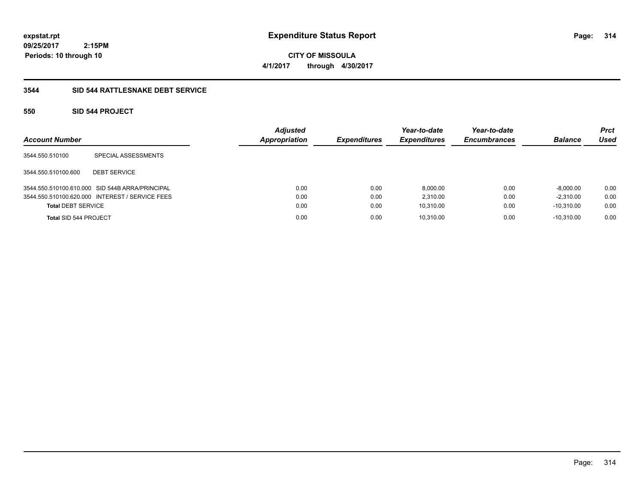**CITY OF MISSOULA 4/1/2017 through 4/30/2017**

# **3544 SID 544 RATTLESNAKE DEBT SERVICE**

# **550 SID 544 PROJECT**

| <b>Account Number</b>     |                                                 | <b>Adjusted</b><br><b>Appropriation</b> | <b>Expenditures</b> | Year-to-date<br><b>Expenditures</b> | Year-to-date<br><b>Encumbrances</b> | <b>Balance</b> | <b>Prct</b><br>Used |
|---------------------------|-------------------------------------------------|-----------------------------------------|---------------------|-------------------------------------|-------------------------------------|----------------|---------------------|
| 3544.550.510100           | SPECIAL ASSESSMENTS                             |                                         |                     |                                     |                                     |                |                     |
| 3544.550.510100.600       | <b>DEBT SERVICE</b>                             |                                         |                     |                                     |                                     |                |                     |
|                           | 3544.550.510100.610.000 SID 544B ARRA/PRINCIPAL | 0.00                                    | 0.00                | 8,000.00                            | 0.00                                | $-8,000.00$    | 0.00                |
|                           | 3544.550.510100.620.000 INTEREST / SERVICE FEES | 0.00                                    | 0.00                | 2.310.00                            | 0.00                                | $-2.310.00$    | 0.00                |
| <b>Total DEBT SERVICE</b> |                                                 | 0.00                                    | 0.00                | 10,310.00                           | 0.00                                | $-10.310.00$   | 0.00                |
| Total SID 544 PROJECT     |                                                 | 0.00                                    | 0.00                | 10,310.00                           | 0.00                                | $-10.310.00$   | 0.00                |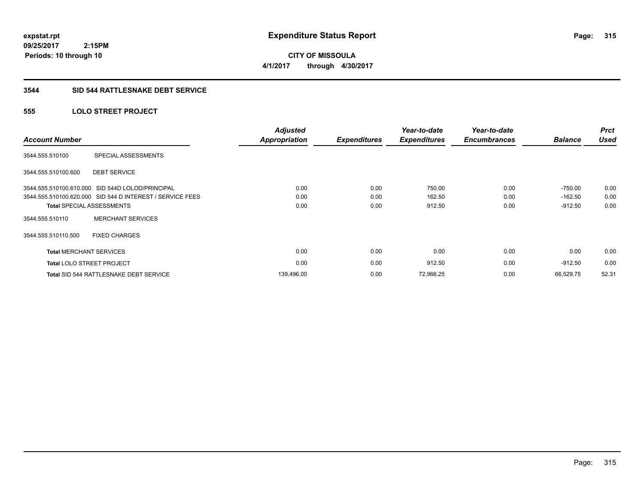**CITY OF MISSOULA 4/1/2017 through 4/30/2017**

#### **3544 SID 544 RATTLESNAKE DEBT SERVICE**

# **555 LOLO STREET PROJECT**

| <b>Account Number</b>          |                                                           | <b>Adjusted</b><br><b>Appropriation</b> | <b>Expenditures</b> | Year-to-date<br><b>Expenditures</b> | Year-to-date<br><b>Encumbrances</b> | <b>Balance</b> | <b>Prct</b><br><b>Used</b> |
|--------------------------------|-----------------------------------------------------------|-----------------------------------------|---------------------|-------------------------------------|-------------------------------------|----------------|----------------------------|
| 3544.555.510100                | SPECIAL ASSESSMENTS                                       |                                         |                     |                                     |                                     |                |                            |
| 3544.555.510100.600            | <b>DEBT SERVICE</b>                                       |                                         |                     |                                     |                                     |                |                            |
|                                | 3544.555.510100.610.000 SID 544D LOLOD/PRINCIPAL          | 0.00                                    | 0.00                | 750.00                              | 0.00                                | $-750.00$      | 0.00                       |
|                                | 3544.555.510100.620.000 SID 544 D INTEREST / SERVICE FEES | 0.00                                    | 0.00                | 162.50                              | 0.00                                | $-162.50$      | 0.00                       |
|                                | <b>Total SPECIAL ASSESSMENTS</b>                          | 0.00                                    | 0.00                | 912.50                              | 0.00                                | $-912.50$      | 0.00                       |
| 3544.555.510110                | <b>MERCHANT SERVICES</b>                                  |                                         |                     |                                     |                                     |                |                            |
| 3544.555.510110.500            | <b>FIXED CHARGES</b>                                      |                                         |                     |                                     |                                     |                |                            |
| <b>Total MERCHANT SERVICES</b> |                                                           | 0.00                                    | 0.00                | 0.00                                | 0.00                                | 0.00           | 0.00                       |
|                                | <b>Total LOLO STREET PROJECT</b>                          | 0.00                                    | 0.00                | 912.50                              | 0.00                                | $-912.50$      | 0.00                       |
|                                | Total SID 544 RATTLESNAKE DEBT SERVICE                    | 139,496.00                              | 0.00                | 72,966.25                           | 0.00                                | 66.529.75      | 52.31                      |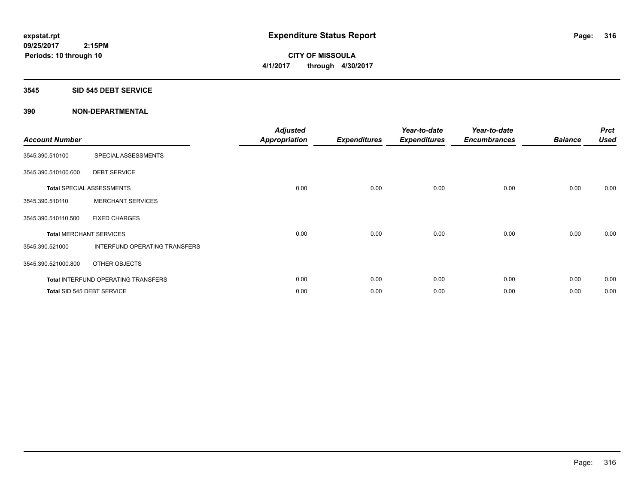**CITY OF MISSOULA 4/1/2017 through 4/30/2017**

#### **3545 SID 545 DEBT SERVICE**

| <b>Account Number</b> |                                            | <b>Adjusted</b><br><b>Appropriation</b> | <b>Expenditures</b> | Year-to-date<br><b>Expenditures</b> | Year-to-date<br><b>Encumbrances</b> | <b>Balance</b> | <b>Prct</b><br><b>Used</b> |
|-----------------------|--------------------------------------------|-----------------------------------------|---------------------|-------------------------------------|-------------------------------------|----------------|----------------------------|
| 3545.390.510100       | SPECIAL ASSESSMENTS                        |                                         |                     |                                     |                                     |                |                            |
| 3545.390.510100.600   | <b>DEBT SERVICE</b>                        |                                         |                     |                                     |                                     |                |                            |
|                       | <b>Total SPECIAL ASSESSMENTS</b>           | 0.00                                    | 0.00                | 0.00                                | 0.00                                | 0.00           | 0.00                       |
| 3545.390.510110       | <b>MERCHANT SERVICES</b>                   |                                         |                     |                                     |                                     |                |                            |
| 3545.390.510110.500   | <b>FIXED CHARGES</b>                       |                                         |                     |                                     |                                     |                |                            |
|                       | <b>Total MERCHANT SERVICES</b>             | 0.00                                    | 0.00                | 0.00                                | 0.00                                | 0.00           | 0.00                       |
| 3545.390.521000       | INTERFUND OPERATING TRANSFERS              |                                         |                     |                                     |                                     |                |                            |
| 3545.390.521000.800   | OTHER OBJECTS                              |                                         |                     |                                     |                                     |                |                            |
|                       | <b>Total INTERFUND OPERATING TRANSFERS</b> | 0.00                                    | 0.00                | 0.00                                | 0.00                                | 0.00           | 0.00                       |
|                       | Total SID 545 DEBT SERVICE                 | 0.00                                    | 0.00                | 0.00                                | 0.00                                | 0.00           | 0.00                       |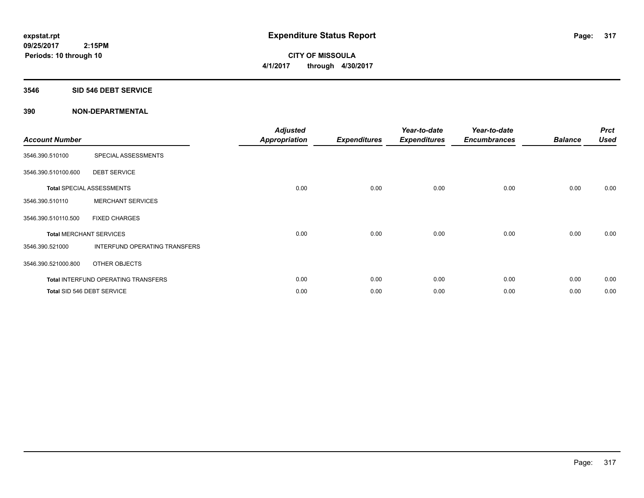**CITY OF MISSOULA 4/1/2017 through 4/30/2017**

#### **3546 SID 546 DEBT SERVICE**

| <b>Account Number</b> |                                            | <b>Adjusted</b><br><b>Appropriation</b> | <b>Expenditures</b> | Year-to-date<br><b>Expenditures</b> | Year-to-date<br><b>Encumbrances</b> | <b>Balance</b> | <b>Prct</b><br><b>Used</b> |
|-----------------------|--------------------------------------------|-----------------------------------------|---------------------|-------------------------------------|-------------------------------------|----------------|----------------------------|
| 3546.390.510100       | SPECIAL ASSESSMENTS                        |                                         |                     |                                     |                                     |                |                            |
| 3546.390.510100.600   | <b>DEBT SERVICE</b>                        |                                         |                     |                                     |                                     |                |                            |
|                       | <b>Total SPECIAL ASSESSMENTS</b>           | 0.00                                    | 0.00                | 0.00                                | 0.00                                | 0.00           | 0.00                       |
| 3546.390.510110       | <b>MERCHANT SERVICES</b>                   |                                         |                     |                                     |                                     |                |                            |
| 3546.390.510110.500   | <b>FIXED CHARGES</b>                       |                                         |                     |                                     |                                     |                |                            |
|                       | <b>Total MERCHANT SERVICES</b>             | 0.00                                    | 0.00                | 0.00                                | 0.00                                | 0.00           | 0.00                       |
| 3546.390.521000       | <b>INTERFUND OPERATING TRANSFERS</b>       |                                         |                     |                                     |                                     |                |                            |
| 3546.390.521000.800   | OTHER OBJECTS                              |                                         |                     |                                     |                                     |                |                            |
|                       | <b>Total INTERFUND OPERATING TRANSFERS</b> | 0.00                                    | 0.00                | 0.00                                | 0.00                                | 0.00           | 0.00                       |
|                       | Total SID 546 DEBT SERVICE                 | 0.00                                    | 0.00                | 0.00                                | 0.00                                | 0.00           | 0.00                       |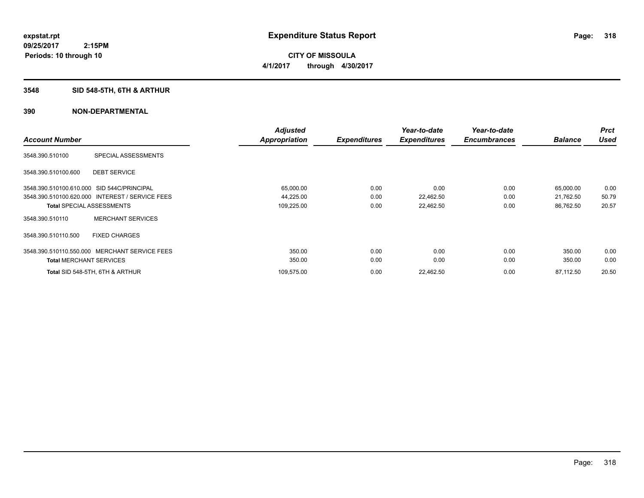**318**

**09/25/2017 2:15PM Periods: 10 through 10**

# **CITY OF MISSOULA 4/1/2017 through 4/30/2017**

# **3548 SID 548-5TH, 6TH & ARTHUR**

|                                            |                                                 | <b>Adjusted</b>      |                     | Year-to-date        | Year-to-date        |                | <b>Prct</b> |
|--------------------------------------------|-------------------------------------------------|----------------------|---------------------|---------------------|---------------------|----------------|-------------|
| <b>Account Number</b>                      |                                                 | <b>Appropriation</b> | <b>Expenditures</b> | <b>Expenditures</b> | <b>Encumbrances</b> | <b>Balance</b> | <b>Used</b> |
| 3548.390.510100                            | SPECIAL ASSESSMENTS                             |                      |                     |                     |                     |                |             |
| 3548.390.510100.600                        | <b>DEBT SERVICE</b>                             |                      |                     |                     |                     |                |             |
| 3548.390.510100.610.000 SID 544C/PRINCIPAL |                                                 | 65,000.00            | 0.00                | 0.00                | 0.00                | 65,000.00      | 0.00        |
|                                            | 3548.390.510100.620.000 INTEREST / SERVICE FEES | 44,225.00            | 0.00                | 22,462.50           | 0.00                | 21,762.50      | 50.79       |
| <b>Total SPECIAL ASSESSMENTS</b>           |                                                 | 109,225.00           | 0.00                | 22,462.50           | 0.00                | 86,762.50      | 20.57       |
| 3548.390.510110                            | <b>MERCHANT SERVICES</b>                        |                      |                     |                     |                     |                |             |
| 3548.390.510110.500                        | <b>FIXED CHARGES</b>                            |                      |                     |                     |                     |                |             |
|                                            | 3548.390.510110.550.000 MERCHANT SERVICE FEES   | 350.00               | 0.00                | 0.00                | 0.00                | 350.00         | 0.00        |
| <b>Total MERCHANT SERVICES</b>             |                                                 | 350.00               | 0.00                | 0.00                | 0.00                | 350.00         | 0.00        |
|                                            | Total SID 548-5TH, 6TH & ARTHUR                 | 109,575.00           | 0.00                | 22,462.50           | 0.00                | 87,112.50      | 20.50       |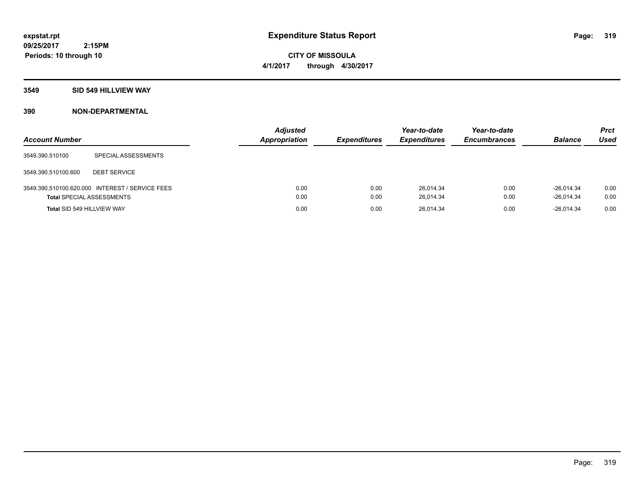**CITY OF MISSOULA 4/1/2017 through 4/30/2017**

#### **3549 SID 549 HILLVIEW WAY**

| <b>Account Number</b>            |                                                 | <b>Adjusted</b><br>Appropriation | <b>Expenditures</b> | Year-to-date<br><b>Expenditures</b> | Year-to-date<br><b>Encumbrances</b> | <b>Balance</b>               | <b>Prct</b><br>Used |
|----------------------------------|-------------------------------------------------|----------------------------------|---------------------|-------------------------------------|-------------------------------------|------------------------------|---------------------|
| 3549.390.510100                  | SPECIAL ASSESSMENTS                             |                                  |                     |                                     |                                     |                              |                     |
| 3549.390.510100.600              | <b>DEBT SERVICE</b>                             |                                  |                     |                                     |                                     |                              |                     |
| <b>Total SPECIAL ASSESSMENTS</b> | 3549.390.510100.620.000 INTEREST / SERVICE FEES | 0.00<br>0.00                     | 0.00<br>0.00        | 26.014.34<br>26,014.34              | 0.00<br>0.00                        | $-26.014.34$<br>$-26,014.34$ | 0.00<br>0.00        |
| Total SID 549 HILLVIEW WAY       |                                                 | 0.00                             | 0.00                | 26,014.34                           | 0.00                                | $-26.014.34$                 | 0.00                |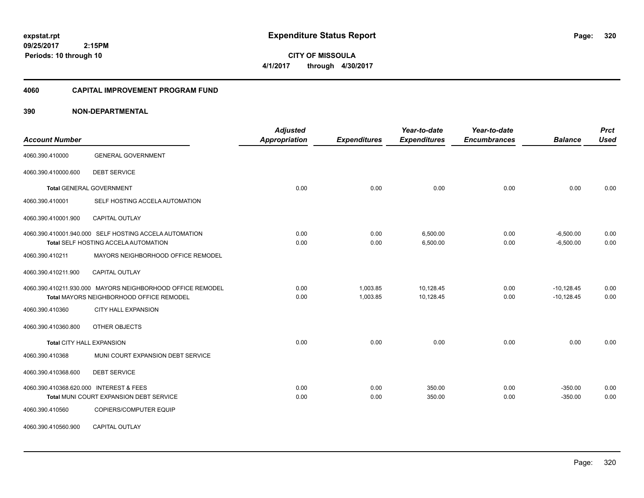**CITY OF MISSOULA 4/1/2017 through 4/30/2017**

#### **4060 CAPITAL IMPROVEMENT PROGRAM FUND**

| <b>Account Number</b>                   |                                                                                                        | <b>Adjusted</b><br>Appropriation | <b>Expenditures</b>  | Year-to-date<br><b>Expenditures</b> | Year-to-date<br><b>Encumbrances</b> | <b>Balance</b>               | <b>Prct</b><br><b>Used</b> |
|-----------------------------------------|--------------------------------------------------------------------------------------------------------|----------------------------------|----------------------|-------------------------------------|-------------------------------------|------------------------------|----------------------------|
| 4060.390.410000                         | <b>GENERAL GOVERNMENT</b>                                                                              |                                  |                      |                                     |                                     |                              |                            |
| 4060.390.410000.600                     | <b>DEBT SERVICE</b>                                                                                    |                                  |                      |                                     |                                     |                              |                            |
|                                         | <b>Total GENERAL GOVERNMENT</b>                                                                        | 0.00                             | 0.00                 | 0.00                                | 0.00                                | 0.00                         | 0.00                       |
| 4060.390.410001                         | SELF HOSTING ACCELA AUTOMATION                                                                         |                                  |                      |                                     |                                     |                              |                            |
| 4060.390.410001.900                     | CAPITAL OUTLAY                                                                                         |                                  |                      |                                     |                                     |                              |                            |
|                                         | 4060.390.410001.940.000 SELF HOSTING ACCELA AUTOMATION<br>Total SELF HOSTING ACCELA AUTOMATION         | 0.00<br>0.00                     | 0.00<br>0.00         | 6,500.00<br>6,500.00                | 0.00<br>0.00                        | $-6,500.00$<br>$-6,500.00$   | 0.00<br>0.00               |
| 4060.390.410211                         | MAYORS NEIGHBORHOOD OFFICE REMODEL                                                                     |                                  |                      |                                     |                                     |                              |                            |
| 4060.390.410211.900                     | <b>CAPITAL OUTLAY</b>                                                                                  |                                  |                      |                                     |                                     |                              |                            |
|                                         | 4060.390.410211.930.000 MAYORS NEIGHBORHOOD OFFICE REMODEL<br>Total MAYORS NEIGHBORHOOD OFFICE REMODEL | 0.00<br>0.00                     | 1,003.85<br>1,003.85 | 10,128.45<br>10,128.45              | 0.00<br>0.00                        | $-10,128.45$<br>$-10,128.45$ | 0.00<br>0.00               |
| 4060.390.410360                         | <b>CITY HALL EXPANSION</b>                                                                             |                                  |                      |                                     |                                     |                              |                            |
| 4060.390.410360.800                     | OTHER OBJECTS                                                                                          |                                  |                      |                                     |                                     |                              |                            |
| <b>Total CITY HALL EXPANSION</b>        |                                                                                                        | 0.00                             | 0.00                 | 0.00                                | 0.00                                | 0.00                         | 0.00                       |
| 4060.390.410368                         | MUNI COURT EXPANSION DEBT SERVICE                                                                      |                                  |                      |                                     |                                     |                              |                            |
| 4060.390.410368.600                     | <b>DEBT SERVICE</b>                                                                                    |                                  |                      |                                     |                                     |                              |                            |
| 4060.390.410368.620.000 INTEREST & FEES | Total MUNI COURT EXPANSION DEBT SERVICE                                                                | 0.00<br>0.00                     | 0.00<br>0.00         | 350.00<br>350.00                    | 0.00<br>0.00                        | $-350.00$<br>$-350.00$       | 0.00<br>0.00               |
| 4060.390.410560                         | COPIERS/COMPUTER EQUIP                                                                                 |                                  |                      |                                     |                                     |                              |                            |
| 4060.390.410560.900                     | CAPITAL OUTLAY                                                                                         |                                  |                      |                                     |                                     |                              |                            |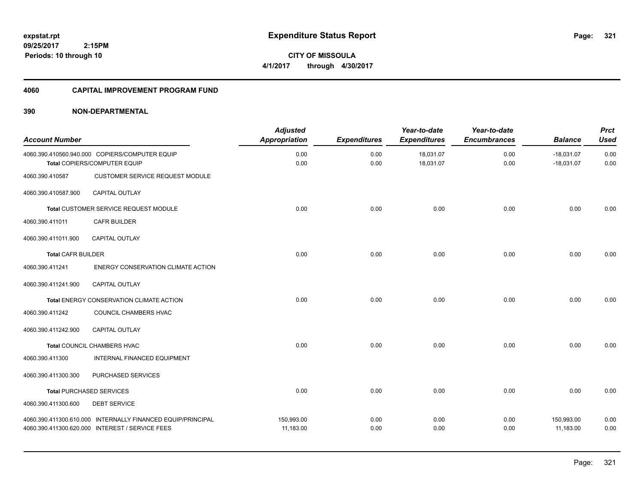**321**

**09/25/2017 2:15PM Periods: 10 through 10**

**CITY OF MISSOULA 4/1/2017 through 4/30/2017**

#### **4060 CAPITAL IMPROVEMENT PROGRAM FUND**

| <b>Account Number</b>     |                                                                                                                | <b>Adjusted</b><br><b>Appropriation</b> | <b>Expenditures</b> | Year-to-date<br><b>Expenditures</b> | Year-to-date<br><b>Encumbrances</b> | <b>Balance</b>               | <b>Prct</b><br><b>Used</b> |
|---------------------------|----------------------------------------------------------------------------------------------------------------|-----------------------------------------|---------------------|-------------------------------------|-------------------------------------|------------------------------|----------------------------|
|                           | 4060.390.410560.940.000 COPIERS/COMPUTER EQUIP<br>Total COPIERS/COMPUTER EQUIP                                 | 0.00<br>0.00                            | 0.00<br>0.00        | 18,031.07<br>18,031.07              | 0.00<br>0.00                        | $-18,031.07$<br>$-18,031.07$ | 0.00<br>0.00               |
| 4060.390.410587           | <b>CUSTOMER SERVICE REQUEST MODULE</b>                                                                         |                                         |                     |                                     |                                     |                              |                            |
| 4060.390.410587.900       | CAPITAL OUTLAY                                                                                                 |                                         |                     |                                     |                                     |                              |                            |
|                           | Total CUSTOMER SERVICE REQUEST MODULE                                                                          | 0.00                                    | 0.00                | 0.00                                | 0.00                                | 0.00                         | 0.00                       |
| 4060.390.411011           | <b>CAFR BUILDER</b>                                                                                            |                                         |                     |                                     |                                     |                              |                            |
| 4060.390.411011.900       | <b>CAPITAL OUTLAY</b>                                                                                          |                                         |                     |                                     |                                     |                              |                            |
| <b>Total CAFR BUILDER</b> |                                                                                                                | 0.00                                    | 0.00                | 0.00                                | 0.00                                | 0.00                         | 0.00                       |
| 4060.390.411241           | ENERGY CONSERVATION CLIMATE ACTION                                                                             |                                         |                     |                                     |                                     |                              |                            |
| 4060.390.411241.900       | CAPITAL OUTLAY                                                                                                 |                                         |                     |                                     |                                     |                              |                            |
|                           | Total ENERGY CONSERVATION CLIMATE ACTION                                                                       | 0.00                                    | 0.00                | 0.00                                | 0.00                                | 0.00                         | 0.00                       |
| 4060.390.411242           | COUNCIL CHAMBERS HVAC                                                                                          |                                         |                     |                                     |                                     |                              |                            |
| 4060.390.411242.900       | CAPITAL OUTLAY                                                                                                 |                                         |                     |                                     |                                     |                              |                            |
|                           | <b>Total COUNCIL CHAMBERS HVAC</b>                                                                             | 0.00                                    | 0.00                | 0.00                                | 0.00                                | 0.00                         | 0.00                       |
| 4060.390.411300           | INTERNAL FINANCED EQUIPMENT                                                                                    |                                         |                     |                                     |                                     |                              |                            |
| 4060.390.411300.300       | PURCHASED SERVICES                                                                                             |                                         |                     |                                     |                                     |                              |                            |
|                           | <b>Total PURCHASED SERVICES</b>                                                                                | 0.00                                    | 0.00                | 0.00                                | 0.00                                | 0.00                         | 0.00                       |
| 4060.390.411300.600       | <b>DEBT SERVICE</b>                                                                                            |                                         |                     |                                     |                                     |                              |                            |
|                           | 4060.390.411300.610.000 INTERNALLY FINANCED EQUIP/PRINCIPAL<br>4060.390.411300.620.000 INTEREST / SERVICE FEES | 150,993.00<br>11,183.00                 | 0.00<br>0.00        | 0.00<br>0.00                        | 0.00<br>0.00                        | 150,993.00<br>11,183.00      | 0.00<br>0.00               |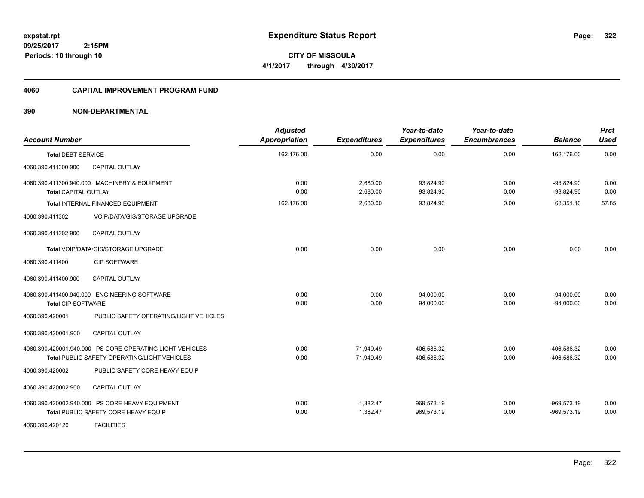**CITY OF MISSOULA 4/1/2017 through 4/30/2017**

#### **4060 CAPITAL IMPROVEMENT PROGRAM FUND**

| <b>Account Number</b>       |                                                          | <b>Adjusted</b><br><b>Appropriation</b> | <b>Expenditures</b>  | Year-to-date<br><b>Expenditures</b> | Year-to-date<br><b>Encumbrances</b> | <b>Balance</b>               | <b>Prct</b><br><b>Used</b> |
|-----------------------------|----------------------------------------------------------|-----------------------------------------|----------------------|-------------------------------------|-------------------------------------|------------------------------|----------------------------|
| <b>Total DEBT SERVICE</b>   |                                                          | 162,176.00                              | 0.00                 | 0.00                                | 0.00                                | 162.176.00                   | 0.00                       |
| 4060.390.411300.900         | CAPITAL OUTLAY                                           |                                         |                      |                                     |                                     |                              |                            |
| <b>Total CAPITAL OUTLAY</b> | 4060.390.411300.940.000 MACHINERY & EQUIPMENT            | 0.00<br>0.00                            | 2,680.00<br>2,680.00 | 93,824.90<br>93,824.90              | 0.00<br>0.00                        | $-93,824.90$<br>$-93,824.90$ | 0.00<br>0.00               |
|                             | Total INTERNAL FINANCED EQUIPMENT                        | 162,176.00                              | 2,680.00             | 93,824.90                           | 0.00                                | 68,351.10                    | 57.85                      |
| 4060.390.411302             | <b>VOIP/DATA/GIS/STORAGE UPGRADE</b>                     |                                         |                      |                                     |                                     |                              |                            |
| 4060.390.411302.900         | <b>CAPITAL OUTLAY</b>                                    |                                         |                      |                                     |                                     |                              |                            |
|                             | Total VOIP/DATA/GIS/STORAGE UPGRADE                      | 0.00                                    | 0.00                 | 0.00                                | 0.00                                | 0.00                         | 0.00                       |
| 4060.390.411400             | <b>CIP SOFTWARE</b>                                      |                                         |                      |                                     |                                     |                              |                            |
| 4060.390.411400.900         | <b>CAPITAL OUTLAY</b>                                    |                                         |                      |                                     |                                     |                              |                            |
|                             | 4060.390.411400.940.000 ENGINEERING SOFTWARE             | 0.00                                    | 0.00                 | 94.000.00                           | 0.00                                | $-94.000.00$                 | 0.00                       |
| <b>Total CIP SOFTWARE</b>   |                                                          | 0.00                                    | 0.00                 | 94,000.00                           | 0.00                                | $-94,000.00$                 | 0.00                       |
| 4060.390.420001             | PUBLIC SAFETY OPERATING/LIGHT VEHICLES                   |                                         |                      |                                     |                                     |                              |                            |
| 4060.390.420001.900         | <b>CAPITAL OUTLAY</b>                                    |                                         |                      |                                     |                                     |                              |                            |
|                             | 4060.390.420001.940.000 PS CORE OPERATING LIGHT VEHICLES | 0.00                                    | 71,949.49            | 406.586.32                          | 0.00                                | -406.586.32                  | 0.00                       |
|                             | <b>Total PUBLIC SAFETY OPERATING/LIGHT VEHICLES</b>      | 0.00                                    | 71,949.49            | 406,586.32                          | 0.00                                | -406,586.32                  | 0.00                       |
| 4060.390.420002             | PUBLIC SAFETY CORE HEAVY EQUIP                           |                                         |                      |                                     |                                     |                              |                            |
| 4060.390.420002.900         | <b>CAPITAL OUTLAY</b>                                    |                                         |                      |                                     |                                     |                              |                            |
|                             | 4060.390.420002.940.000 PS CORE HEAVY EQUIPMENT          | 0.00                                    | 1,382.47             | 969,573.19                          | 0.00                                | $-969,573.19$                | 0.00                       |
|                             | Total PUBLIC SAFETY CORE HEAVY EQUIP                     | 0.00                                    | 1,382.47             | 969,573.19                          | 0.00                                | $-969,573.19$                | 0.00                       |
| 4060.390.420120             | <b>FACILITIES</b>                                        |                                         |                      |                                     |                                     |                              |                            |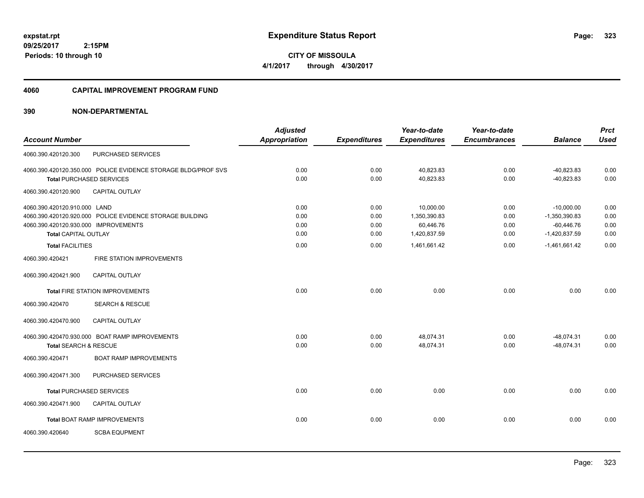**CITY OF MISSOULA 4/1/2017 through 4/30/2017**

#### **4060 CAPITAL IMPROVEMENT PROGRAM FUND**

|                                                               | <b>Adjusted</b>                                                     |                     | Year-to-date        | Year-to-date              |                 | <b>Prct</b>                     |
|---------------------------------------------------------------|---------------------------------------------------------------------|---------------------|---------------------|---------------------------|-----------------|---------------------------------|
|                                                               | <b>Appropriation</b>                                                | <b>Expenditures</b> | <b>Expenditures</b> | <b>Encumbrances</b>       | <b>Balance</b>  | <b>Used</b>                     |
| PURCHASED SERVICES                                            |                                                                     |                     |                     |                           |                 |                                 |
| 4060.390.420120.350.000 POLICE EVIDENCE STORAGE BLDG/PROF SVS | 0.00                                                                | 0.00                | 40,823.83           | 0.00                      | $-40,823.83$    | 0.00                            |
| <b>Total PURCHASED SERVICES</b>                               | 0.00                                                                | 0.00                | 40,823.83           | 0.00                      | $-40,823.83$    | 0.00                            |
| <b>CAPITAL OUTLAY</b>                                         |                                                                     |                     |                     |                           |                 |                                 |
| 4060.390.420120.910.000 LAND                                  | 0.00                                                                | 0.00                | 10,000.00           | 0.00                      | $-10,000.00$    | 0.00                            |
| 4060.390.420120.920.000 POLICE EVIDENCE STORAGE BUILDING      | 0.00                                                                | 0.00                | 1,350,390.83        | 0.00                      | $-1,350,390.83$ | 0.00                            |
|                                                               |                                                                     |                     |                     |                           |                 | 0.00                            |
|                                                               |                                                                     |                     |                     |                           |                 | 0.00                            |
| <b>Total FACILITIES</b>                                       | 0.00                                                                | 0.00                | 1,461,661.42        | 0.00                      | $-1,461,661.42$ | 0.00                            |
| FIRE STATION IMPROVEMENTS                                     |                                                                     |                     |                     |                           |                 |                                 |
| <b>CAPITAL OUTLAY</b>                                         |                                                                     |                     |                     |                           |                 |                                 |
| <b>Total FIRE STATION IMPROVEMENTS</b>                        | 0.00                                                                | 0.00                | 0.00                | 0.00                      | 0.00            | 0.00                            |
| <b>SEARCH &amp; RESCUE</b>                                    |                                                                     |                     |                     |                           |                 |                                 |
| CAPITAL OUTLAY                                                |                                                                     |                     |                     |                           |                 |                                 |
| 4060.390.420470.930.000 BOAT RAMP IMPROVEMENTS                | 0.00                                                                | 0.00                | 48,074.31           | 0.00                      | $-48,074.31$    | 0.00                            |
| Total SEARCH & RESCUE                                         | 0.00                                                                | 0.00                | 48,074.31           | 0.00                      | $-48,074.31$    | 0.00                            |
| <b>BOAT RAMP IMPROVEMENTS</b>                                 |                                                                     |                     |                     |                           |                 |                                 |
| PURCHASED SERVICES                                            |                                                                     |                     |                     |                           |                 |                                 |
| <b>Total PURCHASED SERVICES</b>                               | 0.00                                                                | 0.00                | 0.00                | 0.00                      | 0.00            | 0.00                            |
| <b>CAPITAL OUTLAY</b>                                         |                                                                     |                     |                     |                           |                 |                                 |
| <b>Total BOAT RAMP IMPROVEMENTS</b>                           | 0.00                                                                | 0.00                | 0.00                | 0.00                      | 0.00            | 0.00                            |
| <b>SCBA EQUPMENT</b>                                          |                                                                     |                     |                     |                           |                 |                                 |
|                                                               | 4060.390.420120.930.000 IMPROVEMENTS<br><b>Total CAPITAL OUTLAY</b> | 0.00<br>0.00        | 0.00<br>0.00        | 60,446.76<br>1,420,837.59 | 0.00<br>0.00    | $-60,446.76$<br>$-1,420,837.59$ |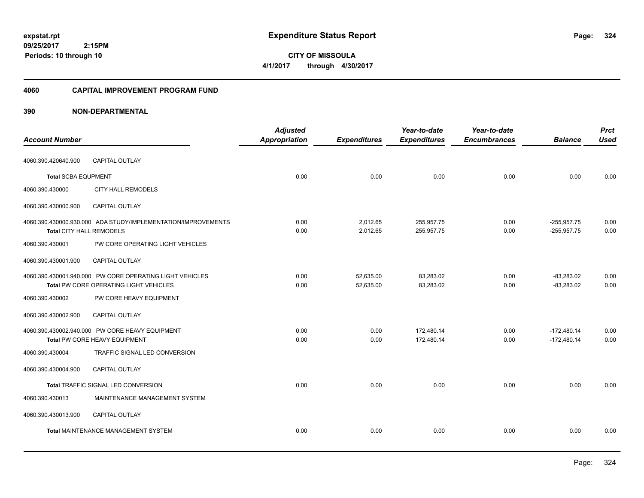**CITY OF MISSOULA 4/1/2017 through 4/30/2017**

#### **4060 CAPITAL IMPROVEMENT PROGRAM FUND**

|                            |                                                                                                    | <b>Adjusted</b> |                        | Year-to-date             | Year-to-date        |                                | <b>Prct</b>  |
|----------------------------|----------------------------------------------------------------------------------------------------|-----------------|------------------------|--------------------------|---------------------|--------------------------------|--------------|
| <b>Account Number</b>      |                                                                                                    | Appropriation   | <b>Expenditures</b>    | <b>Expenditures</b>      | <b>Encumbrances</b> | <b>Balance</b>                 | <b>Used</b>  |
| 4060.390.420640.900        | CAPITAL OUTLAY                                                                                     |                 |                        |                          |                     |                                |              |
| <b>Total SCBA EQUPMENT</b> |                                                                                                    | 0.00            | 0.00                   | 0.00                     | 0.00                | 0.00                           | 0.00         |
| 4060.390.430000            | <b>CITY HALL REMODELS</b>                                                                          |                 |                        |                          |                     |                                |              |
| 4060.390.430000.900        | <b>CAPITAL OUTLAY</b>                                                                              |                 |                        |                          |                     |                                |              |
| Total CITY HALL REMODELS   | 4060.390.430000.930.000 ADA STUDY/IMPLEMENTATION/IMPROVEMENTS                                      | 0.00<br>0.00    | 2,012.65<br>2,012.65   | 255,957.75<br>255,957.75 | 0.00<br>0.00        | $-255,957.75$<br>$-255,957.75$ | 0.00<br>0.00 |
| 4060.390.430001            | PW CORE OPERATING LIGHT VEHICLES                                                                   |                 |                        |                          |                     |                                |              |
| 4060.390.430001.900        | <b>CAPITAL OUTLAY</b>                                                                              |                 |                        |                          |                     |                                |              |
|                            | 4060.390.430001.940.000 PW CORE OPERATING LIGHT VEHICLES<br>Total PW CORE OPERATING LIGHT VEHICLES | 0.00<br>0.00    | 52,635.00<br>52,635.00 | 83,283.02<br>83,283.02   | 0.00<br>0.00        | $-83,283.02$<br>$-83,283.02$   | 0.00<br>0.00 |
| 4060.390.430002            | PW CORE HEAVY EQUIPMENT                                                                            |                 |                        |                          |                     |                                |              |
| 4060.390.430002.900        | CAPITAL OUTLAY                                                                                     |                 |                        |                          |                     |                                |              |
|                            | 4060.390.430002.940.000 PW CORE HEAVY EQUIPMENT<br>Total PW CORE HEAVY EQUIPMENT                   | 0.00<br>0.00    | 0.00<br>0.00           | 172,480.14<br>172.480.14 | 0.00<br>0.00        | $-172,480.14$<br>$-172.480.14$ | 0.00<br>0.00 |
| 4060.390.430004            | TRAFFIC SIGNAL LED CONVERSION                                                                      |                 |                        |                          |                     |                                |              |
| 4060.390.430004.900        | CAPITAL OUTLAY                                                                                     |                 |                        |                          |                     |                                |              |
|                            | Total TRAFFIC SIGNAL LED CONVERSION                                                                | 0.00            | 0.00                   | 0.00                     | 0.00                | 0.00                           | 0.00         |
| 4060.390.430013            | MAINTENANCE MANAGEMENT SYSTEM                                                                      |                 |                        |                          |                     |                                |              |
| 4060.390.430013.900        | <b>CAPITAL OUTLAY</b>                                                                              |                 |                        |                          |                     |                                |              |
|                            | <b>Total MAINTENANCE MANAGEMENT SYSTEM</b>                                                         | 0.00            | 0.00                   | 0.00                     | 0.00                | 0.00                           | 0.00         |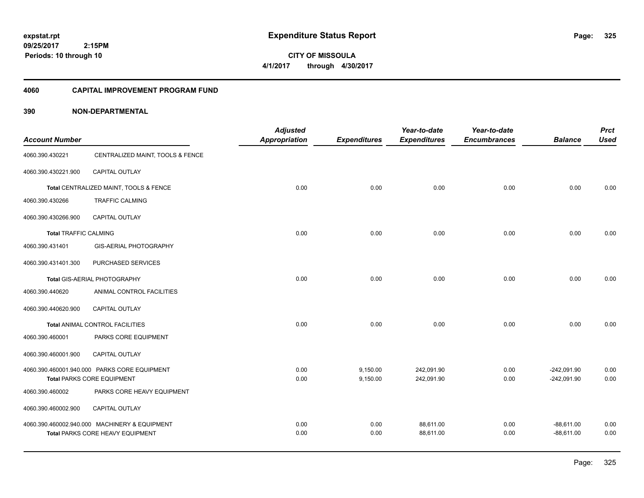**CITY OF MISSOULA 4/1/2017 through 4/30/2017**

### **4060 CAPITAL IMPROVEMENT PROGRAM FUND**

| <b>Account Number</b>        |                                                                                   | <b>Adjusted</b><br>Appropriation | <b>Expenditures</b>  | Year-to-date<br><b>Expenditures</b> | Year-to-date<br><b>Encumbrances</b> | <b>Balance</b>                 | <b>Prct</b><br><b>Used</b> |
|------------------------------|-----------------------------------------------------------------------------------|----------------------------------|----------------------|-------------------------------------|-------------------------------------|--------------------------------|----------------------------|
| 4060.390.430221              | CENTRALIZED MAINT, TOOLS & FENCE                                                  |                                  |                      |                                     |                                     |                                |                            |
| 4060.390.430221.900          | CAPITAL OUTLAY                                                                    |                                  |                      |                                     |                                     |                                |                            |
|                              | Total CENTRALIZED MAINT, TOOLS & FENCE                                            | 0.00                             | 0.00                 | 0.00                                | 0.00                                | 0.00                           | 0.00                       |
| 4060.390.430266              | <b>TRAFFIC CALMING</b>                                                            |                                  |                      |                                     |                                     |                                |                            |
| 4060.390.430266.900          | <b>CAPITAL OUTLAY</b>                                                             |                                  |                      |                                     |                                     |                                |                            |
| <b>Total TRAFFIC CALMING</b> |                                                                                   | 0.00                             | 0.00                 | 0.00                                | 0.00                                | 0.00                           | 0.00                       |
| 4060.390.431401              | GIS-AERIAL PHOTOGRAPHY                                                            |                                  |                      |                                     |                                     |                                |                            |
| 4060.390.431401.300          | PURCHASED SERVICES                                                                |                                  |                      |                                     |                                     |                                |                            |
|                              | Total GIS-AERIAL PHOTOGRAPHY                                                      | 0.00                             | 0.00                 | 0.00                                | 0.00                                | 0.00                           | 0.00                       |
| 4060.390.440620              | ANIMAL CONTROL FACILITIES                                                         |                                  |                      |                                     |                                     |                                |                            |
| 4060.390.440620.900          | <b>CAPITAL OUTLAY</b>                                                             |                                  |                      |                                     |                                     |                                |                            |
|                              | <b>Total ANIMAL CONTROL FACILITIES</b>                                            | 0.00                             | 0.00                 | 0.00                                | 0.00                                | 0.00                           | 0.00                       |
| 4060.390.460001              | PARKS CORE EQUIPMENT                                                              |                                  |                      |                                     |                                     |                                |                            |
| 4060.390.460001.900          | CAPITAL OUTLAY                                                                    |                                  |                      |                                     |                                     |                                |                            |
|                              | 4060.390.460001.940.000 PARKS CORE EQUIPMENT<br>Total PARKS CORE EQUIPMENT        | 0.00<br>0.00                     | 9,150.00<br>9,150.00 | 242,091.90<br>242,091.90            | 0.00<br>0.00                        | $-242,091.90$<br>$-242,091.90$ | 0.00<br>0.00               |
| 4060.390.460002              | PARKS CORE HEAVY EQUIPMENT                                                        |                                  |                      |                                     |                                     |                                |                            |
| 4060.390.460002.900          | CAPITAL OUTLAY                                                                    |                                  |                      |                                     |                                     |                                |                            |
|                              | 4060.390.460002.940.000 MACHINERY & EQUIPMENT<br>Total PARKS CORE HEAVY EQUIPMENT | 0.00<br>0.00                     | 0.00<br>0.00         | 88,611.00<br>88,611.00              | 0.00<br>0.00                        | $-88,611.00$<br>$-88,611.00$   | 0.00<br>0.00               |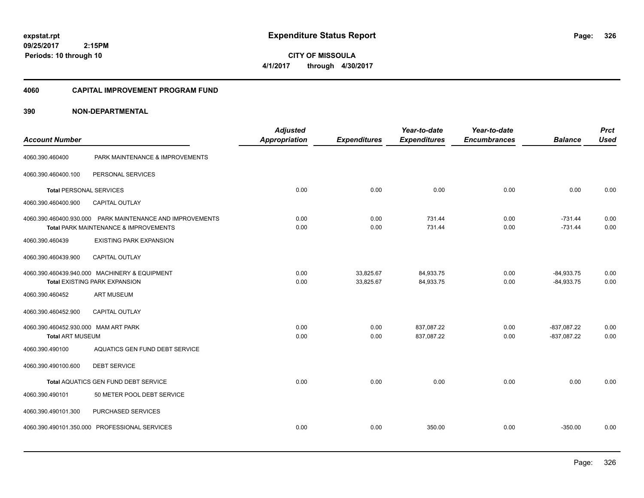**CITY OF MISSOULA 4/1/2017 through 4/30/2017**

### **4060 CAPITAL IMPROVEMENT PROGRAM FUND**

| <b>Account Number</b>                |                                                                                                    | <b>Adjusted</b><br><b>Appropriation</b> | <b>Expenditures</b>    | Year-to-date<br><b>Expenditures</b> | Year-to-date<br><b>Encumbrances</b> | <b>Balance</b>               | <b>Prct</b><br><b>Used</b> |
|--------------------------------------|----------------------------------------------------------------------------------------------------|-----------------------------------------|------------------------|-------------------------------------|-------------------------------------|------------------------------|----------------------------|
| 4060.390.460400                      | PARK MAINTENANCE & IMPROVEMENTS                                                                    |                                         |                        |                                     |                                     |                              |                            |
| 4060.390.460400.100                  | PERSONAL SERVICES                                                                                  |                                         |                        |                                     |                                     |                              |                            |
| <b>Total PERSONAL SERVICES</b>       |                                                                                                    | 0.00                                    | 0.00                   | 0.00                                | 0.00                                | 0.00                         | 0.00                       |
| 4060.390.460400.900                  | CAPITAL OUTLAY                                                                                     |                                         |                        |                                     |                                     |                              |                            |
|                                      | 4060.390.460400.930.000 PARK MAINTENANCE AND IMPROVEMENTS<br>Total PARK MAINTENANCE & IMPROVEMENTS | 0.00<br>0.00                            | 0.00<br>0.00           | 731.44<br>731.44                    | 0.00<br>0.00                        | $-731.44$<br>$-731.44$       | 0.00<br>0.00               |
| 4060.390.460439                      | <b>EXISTING PARK EXPANSION</b>                                                                     |                                         |                        |                                     |                                     |                              |                            |
| 4060.390.460439.900                  | <b>CAPITAL OUTLAY</b>                                                                              |                                         |                        |                                     |                                     |                              |                            |
|                                      | 4060.390.460439.940.000 MACHINERY & EQUIPMENT<br><b>Total EXISTING PARK EXPANSION</b>              | 0.00<br>0.00                            | 33,825.67<br>33,825.67 | 84,933.75<br>84,933.75              | 0.00<br>0.00                        | $-84,933.75$<br>$-84,933.75$ | 0.00<br>0.00               |
| 4060.390.460452                      | <b>ART MUSEUM</b>                                                                                  |                                         |                        |                                     |                                     |                              |                            |
| 4060.390.460452.900                  | CAPITAL OUTLAY                                                                                     |                                         |                        |                                     |                                     |                              |                            |
| 4060.390.460452.930.000 MAM ART PARK |                                                                                                    | 0.00                                    | 0.00                   | 837,087.22                          | 0.00                                | $-837,087.22$                | 0.00                       |
| Total ART MUSEUM                     |                                                                                                    | 0.00                                    | 0.00                   | 837,087.22                          | 0.00                                | $-837,087.22$                | 0.00                       |
| 4060.390.490100                      | AQUATICS GEN FUND DEBT SERVICE                                                                     |                                         |                        |                                     |                                     |                              |                            |
| 4060.390.490100.600                  | <b>DEBT SERVICE</b>                                                                                |                                         |                        |                                     |                                     |                              |                            |
|                                      | Total AQUATICS GEN FUND DEBT SERVICE                                                               | 0.00                                    | 0.00                   | 0.00                                | 0.00                                | 0.00                         | 0.00                       |
| 4060.390.490101                      | 50 METER POOL DEBT SERVICE                                                                         |                                         |                        |                                     |                                     |                              |                            |
| 4060.390.490101.300                  | PURCHASED SERVICES                                                                                 |                                         |                        |                                     |                                     |                              |                            |
|                                      | 4060.390.490101.350.000 PROFESSIONAL SERVICES                                                      | 0.00                                    | 0.00                   | 350.00                              | 0.00                                | $-350.00$                    | 0.00                       |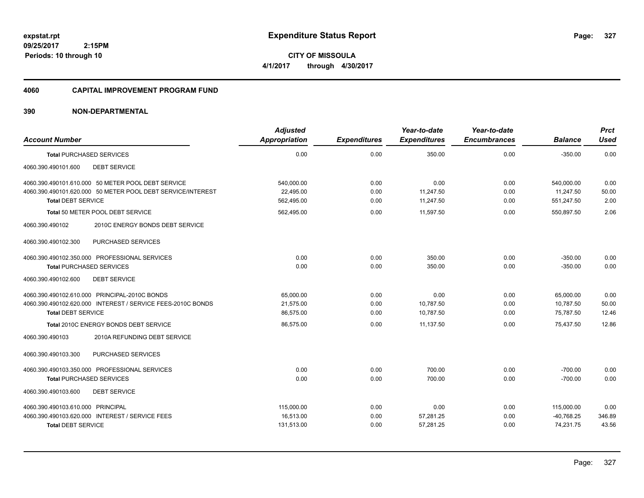**09/25/2017 2:15PM Periods: 10 through 10**

**CITY OF MISSOULA 4/1/2017 through 4/30/2017**

### **4060 CAPITAL IMPROVEMENT PROGRAM FUND**

| <b>Account Number</b>                                                                                                                          | <b>Adjusted</b><br><b>Appropriation</b> | <b>Expenditures</b>  | Year-to-date<br><b>Expenditures</b> | Year-to-date<br><b>Encumbrances</b> | <b>Balance</b>                        | <b>Prct</b><br><b>Used</b> |
|------------------------------------------------------------------------------------------------------------------------------------------------|-----------------------------------------|----------------------|-------------------------------------|-------------------------------------|---------------------------------------|----------------------------|
| <b>Total PURCHASED SERVICES</b>                                                                                                                | 0.00                                    | 0.00                 | 350.00                              | 0.00                                | $-350.00$                             | 0.00                       |
| <b>DEBT SERVICE</b><br>4060.390.490101.600                                                                                                     |                                         |                      |                                     |                                     |                                       |                            |
| 4060.390.490101.610.000 50 METER POOL DEBT SERVICE<br>4060.390.490101.620.000 50 METER POOL DEBT SERVICE/INTEREST<br><b>Total DEBT SERVICE</b> | 540,000.00<br>22.495.00<br>562,495.00   | 0.00<br>0.00<br>0.00 | 0.00<br>11,247.50<br>11,247.50      | 0.00<br>0.00<br>0.00                | 540,000.00<br>11,247.50<br>551,247.50 | 0.00<br>50.00<br>2.00      |
| Total 50 METER POOL DEBT SERVICE                                                                                                               | 562,495.00                              | 0.00                 | 11,597.50                           | 0.00                                | 550,897.50                            | 2.06                       |
| 4060.390.490102<br>2010C ENERGY BONDS DEBT SERVICE<br>PURCHASED SERVICES<br>4060.390.490102.300                                                |                                         |                      |                                     |                                     |                                       |                            |
| 4060.390.490102.350.000 PROFESSIONAL SERVICES                                                                                                  | 0.00                                    | 0.00                 | 350.00                              | 0.00                                | $-350.00$                             | 0.00                       |
| <b>Total PURCHASED SERVICES</b>                                                                                                                | 0.00                                    | 0.00                 | 350.00                              | 0.00                                | $-350.00$                             | 0.00                       |
| <b>DEBT SERVICE</b><br>4060.390.490102.600                                                                                                     |                                         |                      |                                     |                                     |                                       |                            |
| 4060.390.490102.610.000 PRINCIPAL-2010C BONDS                                                                                                  | 65,000.00                               | 0.00                 | 0.00                                | 0.00                                | 65,000.00                             | 0.00                       |
| 4060.390.490102.620.000 INTEREST / SERVICE FEES-2010C BONDS                                                                                    | 21,575.00                               | 0.00                 | 10,787.50                           | 0.00                                | 10,787.50                             | 50.00                      |
| <b>Total DEBT SERVICE</b>                                                                                                                      | 86,575.00                               | 0.00                 | 10,787.50                           | 0.00                                | 75,787.50                             | 12.46                      |
| Total 2010C ENERGY BONDS DEBT SERVICE                                                                                                          | 86,575.00                               | 0.00                 | 11.137.50                           | 0.00                                | 75.437.50                             | 12.86                      |
| 2010A REFUNDING DEBT SERVICE<br>4060.390.490103                                                                                                |                                         |                      |                                     |                                     |                                       |                            |
| 4060.390.490103.300<br>PURCHASED SERVICES                                                                                                      |                                         |                      |                                     |                                     |                                       |                            |
| 4060.390.490103.350.000 PROFESSIONAL SERVICES                                                                                                  | 0.00                                    | 0.00                 | 700.00                              | 0.00                                | $-700.00$                             | 0.00                       |
| <b>Total PURCHASED SERVICES</b>                                                                                                                | 0.00                                    | 0.00                 | 700.00                              | 0.00                                | $-700.00$                             | 0.00                       |
| 4060.390.490103.600<br><b>DEBT SERVICE</b>                                                                                                     |                                         |                      |                                     |                                     |                                       |                            |
| 4060.390.490103.610.000 PRINCIPAL                                                                                                              | 115,000.00                              | 0.00                 | 0.00                                | 0.00                                | 115,000.00                            | 0.00                       |
| 4060.390.490103.620.000 INTEREST / SERVICE FEES                                                                                                | 16,513.00                               | 0.00                 | 57,281.25                           | 0.00                                | $-40,768.25$                          | 346.89                     |
| <b>Total DEBT SERVICE</b>                                                                                                                      | 131,513.00                              | 0.00                 | 57,281.25                           | 0.00                                | 74,231.75                             | 43.56                      |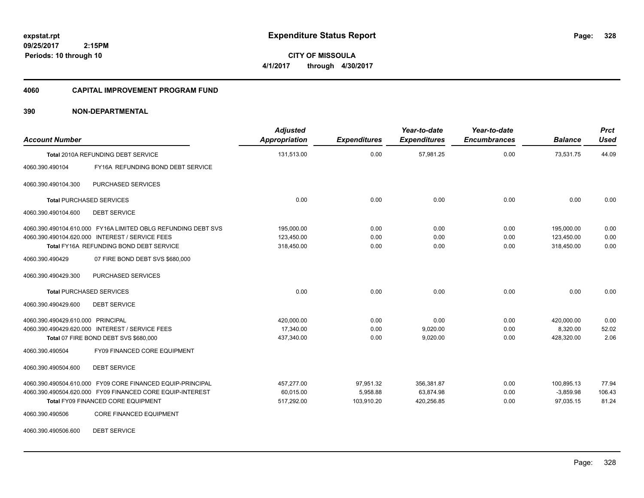**CITY OF MISSOULA 4/1/2017 through 4/30/2017**

### **4060 CAPITAL IMPROVEMENT PROGRAM FUND**

### **390 NON-DEPARTMENTAL**

| <b>Account Number</b>             |                                                               | <b>Adjusted</b><br><b>Appropriation</b> | <b>Expenditures</b> | Year-to-date<br><b>Expenditures</b> | Year-to-date<br><b>Encumbrances</b> | <b>Balance</b> | <b>Prct</b><br><b>Used</b> |
|-----------------------------------|---------------------------------------------------------------|-----------------------------------------|---------------------|-------------------------------------|-------------------------------------|----------------|----------------------------|
|                                   | Total 2010A REFUNDING DEBT SERVICE                            | 131,513.00                              | 0.00                | 57,981.25                           | 0.00                                | 73,531.75      | 44.09                      |
| 4060.390.490104                   | FY16A REFUNDING BOND DEBT SERVICE                             |                                         |                     |                                     |                                     |                |                            |
| 4060.390.490104.300               | PURCHASED SERVICES                                            |                                         |                     |                                     |                                     |                |                            |
| <b>Total PURCHASED SERVICES</b>   |                                                               | 0.00                                    | 0.00                | 0.00                                | 0.00                                | 0.00           | 0.00                       |
| 4060.390.490104.600               | <b>DEBT SERVICE</b>                                           |                                         |                     |                                     |                                     |                |                            |
|                                   | 4060.390.490104.610.000 FY16A LIMITED OBLG REFUNDING DEBT SVS | 195,000.00                              | 0.00                | 0.00                                | 0.00                                | 195,000.00     | 0.00                       |
|                                   | 4060.390.490104.620.000 INTEREST / SERVICE FEES               | 123,450.00                              | 0.00                | 0.00                                | 0.00                                | 123,450.00     | 0.00                       |
|                                   | Total FY16A REFUNDING BOND DEBT SERVICE                       | 318,450.00                              | 0.00                | 0.00                                | 0.00                                | 318,450.00     | 0.00                       |
| 4060.390.490429                   | 07 FIRE BOND DEBT SVS \$680,000                               |                                         |                     |                                     |                                     |                |                            |
| 4060.390.490429.300               | PURCHASED SERVICES                                            |                                         |                     |                                     |                                     |                |                            |
| <b>Total PURCHASED SERVICES</b>   |                                                               | 0.00                                    | 0.00                | 0.00                                | 0.00                                | 0.00           | 0.00                       |
| 4060.390.490429.600               | <b>DEBT SERVICE</b>                                           |                                         |                     |                                     |                                     |                |                            |
| 4060.390.490429.610.000 PRINCIPAL |                                                               | 420,000.00                              | 0.00                | 0.00                                | 0.00                                | 420,000.00     | 0.00                       |
|                                   | 4060.390.490429.620.000 INTEREST / SERVICE FEES               | 17,340.00                               | 0.00                | 9,020.00                            | 0.00                                | 8,320.00       | 52.02                      |
|                                   | Total 07 FIRE BOND DEBT SVS \$680,000                         | 437,340.00                              | 0.00                | 9,020.00                            | 0.00                                | 428,320.00     | 2.06                       |
| 4060.390.490504                   | <b>FY09 FINANCED CORE EQUIPMENT</b>                           |                                         |                     |                                     |                                     |                |                            |
| 4060.390.490504.600               | <b>DEBT SERVICE</b>                                           |                                         |                     |                                     |                                     |                |                            |
|                                   | 4060.390.490504.610.000 FY09 CORE FINANCED EQUIP-PRINCIPAL    | 457,277.00                              | 97,951.32           | 356,381.87                          | 0.00                                | 100,895.13     | 77.94                      |
|                                   | 4060.390.490504.620.000 FY09 FINANCED CORE EQUIP-INTEREST     | 60,015.00                               | 5,958.88            | 63,874.98                           | 0.00                                | $-3,859.98$    | 106.43                     |
|                                   | Total FY09 FINANCED CORE EQUIPMENT                            | 517,292.00                              | 103,910.20          | 420,256.85                          | 0.00                                | 97,035.15      | 81.24                      |
| 4060.390.490506                   | <b>CORE FINANCED EQUIPMENT</b>                                |                                         |                     |                                     |                                     |                |                            |

4060.390.490506.600 DEBT SERVICE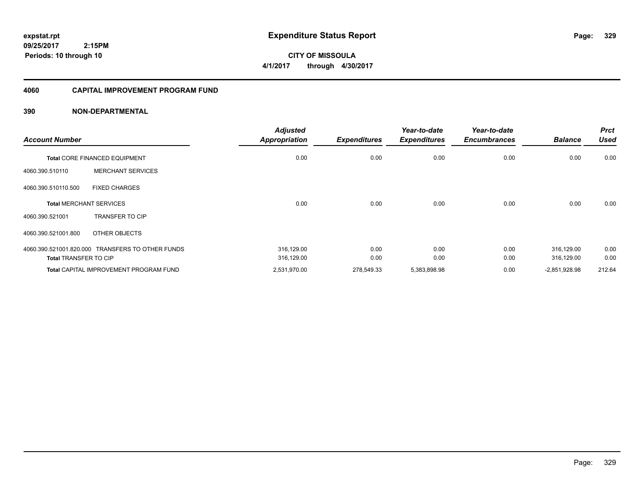**CITY OF MISSOULA 4/1/2017 through 4/30/2017**

### **4060 CAPITAL IMPROVEMENT PROGRAM FUND**

| <b>Account Number</b>        |                                                  | <b>Adjusted</b><br><b>Appropriation</b> | <b>Expenditures</b> | Year-to-date<br><b>Expenditures</b> | Year-to-date<br><b>Encumbrances</b> | <b>Balance</b>  | <b>Prct</b><br><b>Used</b> |
|------------------------------|--------------------------------------------------|-----------------------------------------|---------------------|-------------------------------------|-------------------------------------|-----------------|----------------------------|
|                              | <b>Total CORE FINANCED EQUIPMENT</b>             | 0.00                                    | 0.00                | 0.00                                | 0.00                                | 0.00            | 0.00                       |
| 4060.390.510110              | <b>MERCHANT SERVICES</b>                         |                                         |                     |                                     |                                     |                 |                            |
| 4060.390.510110.500          | <b>FIXED CHARGES</b>                             |                                         |                     |                                     |                                     |                 |                            |
|                              | <b>Total MERCHANT SERVICES</b>                   | 0.00                                    | 0.00                | 0.00                                | 0.00                                | 0.00            | 0.00                       |
| 4060.390.521001              | <b>TRANSFER TO CIP</b>                           |                                         |                     |                                     |                                     |                 |                            |
| 4060.390.521001.800          | OTHER OBJECTS                                    |                                         |                     |                                     |                                     |                 |                            |
|                              | 4060.390.521001.820.000 TRANSFERS TO OTHER FUNDS | 316,129.00                              | 0.00                | 0.00                                | 0.00                                | 316,129.00      | 0.00                       |
| <b>Total TRANSFER TO CIP</b> |                                                  | 316,129.00                              | 0.00                | 0.00                                | 0.00                                | 316,129.00      | 0.00                       |
|                              | <b>Total CAPITAL IMPROVEMENT PROGRAM FUND</b>    | 2,531,970.00                            | 278,549.33          | 5,383,898.98                        | 0.00                                | $-2,851,928.98$ | 212.64                     |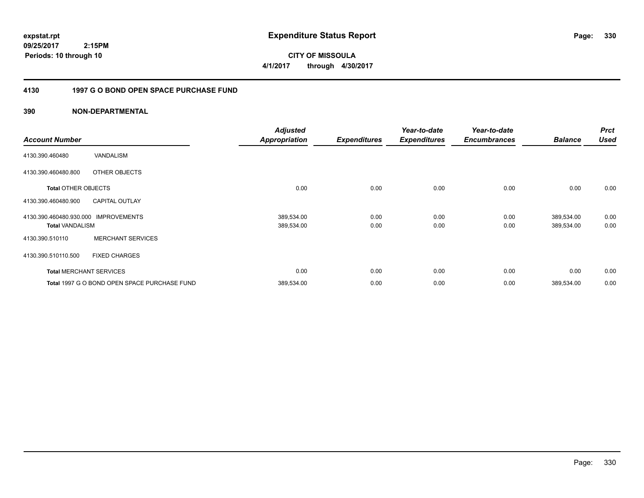**CITY OF MISSOULA 4/1/2017 through 4/30/2017**

### **4130 1997 G O BOND OPEN SPACE PURCHASE FUND**

| <b>Account Number</b>                             |                                              | <b>Adjusted</b><br><b>Appropriation</b> | <b>Expenditures</b> | Year-to-date<br><b>Expenditures</b> | Year-to-date<br><b>Encumbrances</b> | <b>Balance</b>           | <b>Prct</b><br><b>Used</b> |
|---------------------------------------------------|----------------------------------------------|-----------------------------------------|---------------------|-------------------------------------|-------------------------------------|--------------------------|----------------------------|
| 4130.390.460480                                   | <b>VANDALISM</b>                             |                                         |                     |                                     |                                     |                          |                            |
| 4130.390.460480.800                               | OTHER OBJECTS                                |                                         |                     |                                     |                                     |                          |                            |
| <b>Total OTHER OBJECTS</b>                        |                                              | 0.00                                    | 0.00                | 0.00                                | 0.00                                | 0.00                     | 0.00                       |
| 4130.390.460480.900                               | <b>CAPITAL OUTLAY</b>                        |                                         |                     |                                     |                                     |                          |                            |
| 4130.390.460480.930.000<br><b>Total VANDALISM</b> | <b>IMPROVEMENTS</b>                          | 389,534.00<br>389,534.00                | 0.00<br>0.00        | 0.00<br>0.00                        | 0.00<br>0.00                        | 389,534.00<br>389,534.00 | 0.00<br>0.00               |
| 4130.390.510110                                   | <b>MERCHANT SERVICES</b>                     |                                         |                     |                                     |                                     |                          |                            |
| 4130.390.510110.500                               | <b>FIXED CHARGES</b>                         |                                         |                     |                                     |                                     |                          |                            |
|                                                   | <b>Total MERCHANT SERVICES</b>               | 0.00                                    | 0.00                | 0.00                                | 0.00                                | 0.00                     | 0.00                       |
|                                                   | Total 1997 G O BOND OPEN SPACE PURCHASE FUND | 389,534.00                              | 0.00                | 0.00                                | 0.00                                | 389,534.00               | 0.00                       |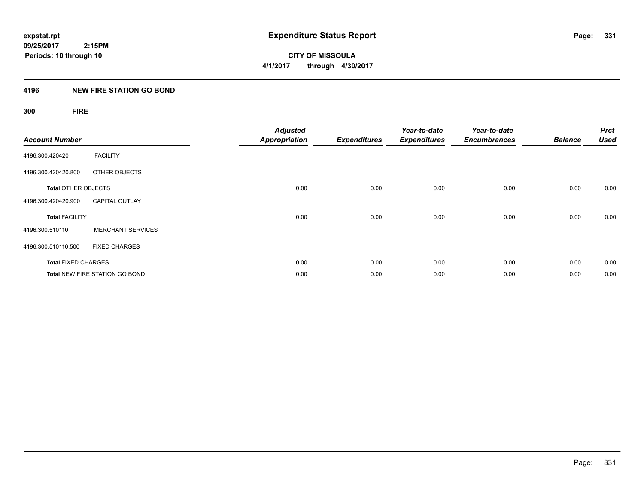### **4196 NEW FIRE STATION GO BOND**

## **300 FIRE**

| <b>Account Number</b>      |                                       | <b>Adjusted</b><br><b>Appropriation</b> | <b>Expenditures</b> | Year-to-date<br><b>Expenditures</b> | Year-to-date<br><b>Encumbrances</b> | <b>Balance</b> | <b>Prct</b><br><b>Used</b> |
|----------------------------|---------------------------------------|-----------------------------------------|---------------------|-------------------------------------|-------------------------------------|----------------|----------------------------|
| 4196.300.420420            | <b>FACILITY</b>                       |                                         |                     |                                     |                                     |                |                            |
| 4196.300.420420.800        | OTHER OBJECTS                         |                                         |                     |                                     |                                     |                |                            |
| <b>Total OTHER OBJECTS</b> |                                       | 0.00                                    | 0.00                | 0.00                                | 0.00                                | 0.00           | 0.00                       |
| 4196.300.420420.900        | <b>CAPITAL OUTLAY</b>                 |                                         |                     |                                     |                                     |                |                            |
| <b>Total FACILITY</b>      |                                       | 0.00                                    | 0.00                | 0.00                                | 0.00                                | 0.00           | 0.00                       |
| 4196.300.510110            | <b>MERCHANT SERVICES</b>              |                                         |                     |                                     |                                     |                |                            |
| 4196.300.510110.500        | <b>FIXED CHARGES</b>                  |                                         |                     |                                     |                                     |                |                            |
| <b>Total FIXED CHARGES</b> |                                       | 0.00                                    | 0.00                | 0.00                                | 0.00                                | 0.00           | 0.00                       |
|                            | <b>Total NEW FIRE STATION GO BOND</b> | 0.00                                    | 0.00                | 0.00                                | 0.00                                | 0.00           | 0.00                       |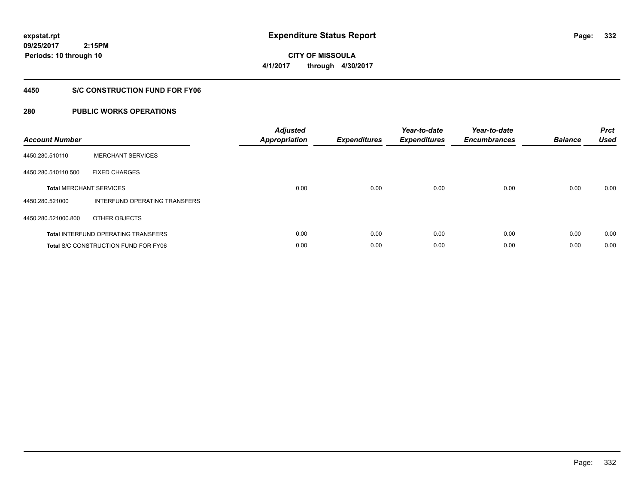**09/25/2017 2:15PM Periods: 10 through 10**

**CITY OF MISSOULA 4/1/2017 through 4/30/2017**

### **4450 S/C CONSTRUCTION FUND FOR FY06**

| <b>Account Number</b> |                                             | <b>Adjusted</b><br><b>Appropriation</b> | <b>Expenditures</b> | Year-to-date<br><b>Expenditures</b> | Year-to-date<br><b>Encumbrances</b> | <b>Balance</b> | <b>Prct</b><br><b>Used</b> |
|-----------------------|---------------------------------------------|-----------------------------------------|---------------------|-------------------------------------|-------------------------------------|----------------|----------------------------|
| 4450.280.510110       | <b>MERCHANT SERVICES</b>                    |                                         |                     |                                     |                                     |                |                            |
| 4450.280.510110.500   | <b>FIXED CHARGES</b>                        |                                         |                     |                                     |                                     |                |                            |
|                       | <b>Total MERCHANT SERVICES</b>              | 0.00                                    | 0.00                | 0.00                                | 0.00                                | 0.00           | 0.00                       |
| 4450.280.521000       | INTERFUND OPERATING TRANSFERS               |                                         |                     |                                     |                                     |                |                            |
| 4450.280.521000.800   | OTHER OBJECTS                               |                                         |                     |                                     |                                     |                |                            |
|                       | <b>Total INTERFUND OPERATING TRANSFERS</b>  | 0.00                                    | 0.00                | 0.00                                | 0.00                                | 0.00           | 0.00                       |
|                       | <b>Total S/C CONSTRUCTION FUND FOR FY06</b> | 0.00                                    | 0.00                | 0.00                                | 0.00                                | 0.00           | 0.00                       |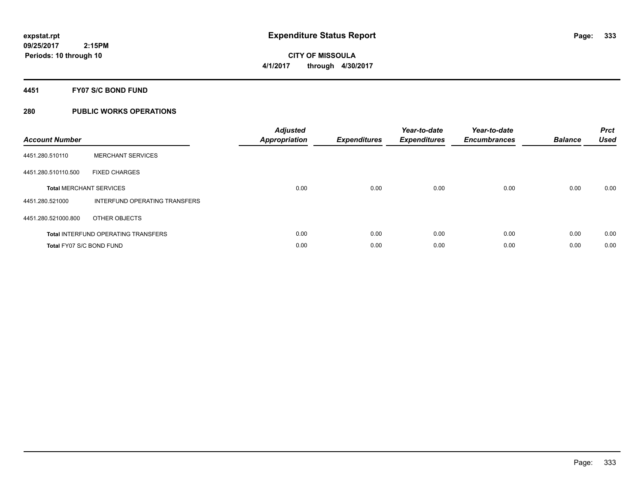**4451 FY07 S/C BOND FUND**

| <b>Account Number</b>    |                                            | <b>Adjusted</b><br>Appropriation | <b>Expenditures</b> | Year-to-date<br><b>Expenditures</b> | Year-to-date<br><b>Encumbrances</b> | <b>Balance</b> | <b>Prct</b><br><b>Used</b> |
|--------------------------|--------------------------------------------|----------------------------------|---------------------|-------------------------------------|-------------------------------------|----------------|----------------------------|
| 4451.280.510110          | <b>MERCHANT SERVICES</b>                   |                                  |                     |                                     |                                     |                |                            |
| 4451.280.510110.500      | <b>FIXED CHARGES</b>                       |                                  |                     |                                     |                                     |                |                            |
|                          | <b>Total MERCHANT SERVICES</b>             | 0.00                             | 0.00                | 0.00                                | 0.00                                | 0.00           | 0.00                       |
| 4451.280.521000          | INTERFUND OPERATING TRANSFERS              |                                  |                     |                                     |                                     |                |                            |
| 4451.280.521000.800      | OTHER OBJECTS                              |                                  |                     |                                     |                                     |                |                            |
|                          | <b>Total INTERFUND OPERATING TRANSFERS</b> | 0.00                             | 0.00                | 0.00                                | 0.00                                | 0.00           | 0.00                       |
| Total FY07 S/C BOND FUND |                                            | 0.00                             | 0.00                | 0.00                                | 0.00                                | 0.00           | 0.00                       |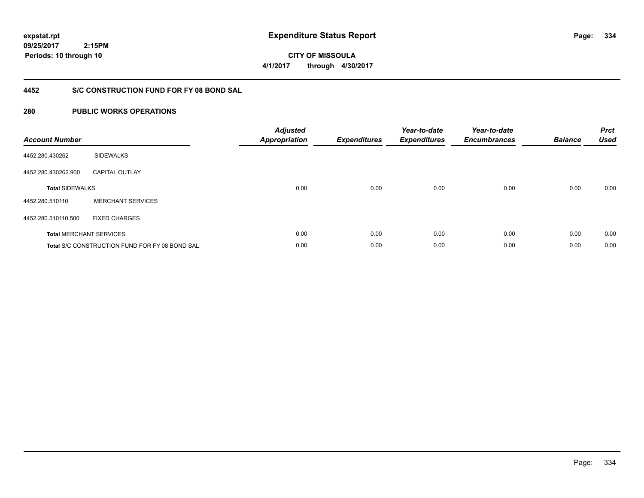**09/25/2017 2:15PM Periods: 10 through 10**

**CITY OF MISSOULA 4/1/2017 through 4/30/2017**

### **4452 S/C CONSTRUCTION FUND FOR FY 08 BOND SAL**

| <b>Account Number</b>  |                                                       | <b>Adjusted</b><br><b>Appropriation</b> | <b>Expenditures</b> | Year-to-date<br><b>Expenditures</b> | Year-to-date<br><b>Encumbrances</b> | <b>Balance</b> | <b>Prct</b><br><b>Used</b> |
|------------------------|-------------------------------------------------------|-----------------------------------------|---------------------|-------------------------------------|-------------------------------------|----------------|----------------------------|
| 4452.280.430262        | <b>SIDEWALKS</b>                                      |                                         |                     |                                     |                                     |                |                            |
| 4452.280.430262.900    | <b>CAPITAL OUTLAY</b>                                 |                                         |                     |                                     |                                     |                |                            |
| <b>Total SIDEWALKS</b> |                                                       | 0.00                                    | 0.00                | 0.00                                | 0.00                                | 0.00           | 0.00                       |
| 4452.280.510110        | <b>MERCHANT SERVICES</b>                              |                                         |                     |                                     |                                     |                |                            |
| 4452.280.510110.500    | <b>FIXED CHARGES</b>                                  |                                         |                     |                                     |                                     |                |                            |
|                        | <b>Total MERCHANT SERVICES</b>                        | 0.00                                    | 0.00                | 0.00                                | 0.00                                | 0.00           | 0.00                       |
|                        | <b>Total S/C CONSTRUCTION FUND FOR FY 08 BOND SAL</b> | 0.00                                    | 0.00                | 0.00                                | 0.00                                | 0.00           | 0.00                       |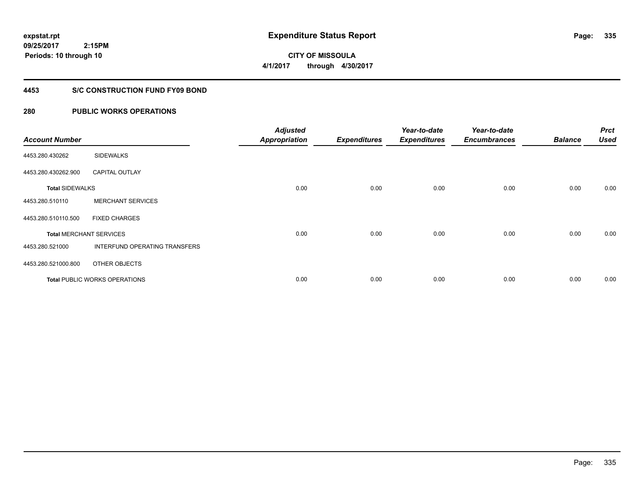**09/25/2017 2:15PM Periods: 10 through 10**

# **CITY OF MISSOULA 4/1/2017 through 4/30/2017**

### **4453 S/C CONSTRUCTION FUND FY09 BOND**

| <b>Account Number</b>  |                                      | <b>Adjusted</b><br><b>Appropriation</b> | <b>Expenditures</b> | Year-to-date<br><b>Expenditures</b> | Year-to-date<br><b>Encumbrances</b> | <b>Balance</b> | <b>Prct</b><br><b>Used</b> |
|------------------------|--------------------------------------|-----------------------------------------|---------------------|-------------------------------------|-------------------------------------|----------------|----------------------------|
| 4453.280.430262        | <b>SIDEWALKS</b>                     |                                         |                     |                                     |                                     |                |                            |
| 4453.280.430262.900    | <b>CAPITAL OUTLAY</b>                |                                         |                     |                                     |                                     |                |                            |
| <b>Total SIDEWALKS</b> |                                      | 0.00                                    | 0.00                | 0.00                                | 0.00                                | 0.00           | 0.00                       |
| 4453.280.510110        | <b>MERCHANT SERVICES</b>             |                                         |                     |                                     |                                     |                |                            |
| 4453.280.510110.500    | <b>FIXED CHARGES</b>                 |                                         |                     |                                     |                                     |                |                            |
|                        | <b>Total MERCHANT SERVICES</b>       | 0.00                                    | 0.00                | 0.00                                | 0.00                                | 0.00           | 0.00                       |
| 4453.280.521000        | INTERFUND OPERATING TRANSFERS        |                                         |                     |                                     |                                     |                |                            |
| 4453.280.521000.800    | OTHER OBJECTS                        |                                         |                     |                                     |                                     |                |                            |
|                        | <b>Total PUBLIC WORKS OPERATIONS</b> | 0.00                                    | 0.00                | 0.00                                | 0.00                                | 0.00           | 0.00                       |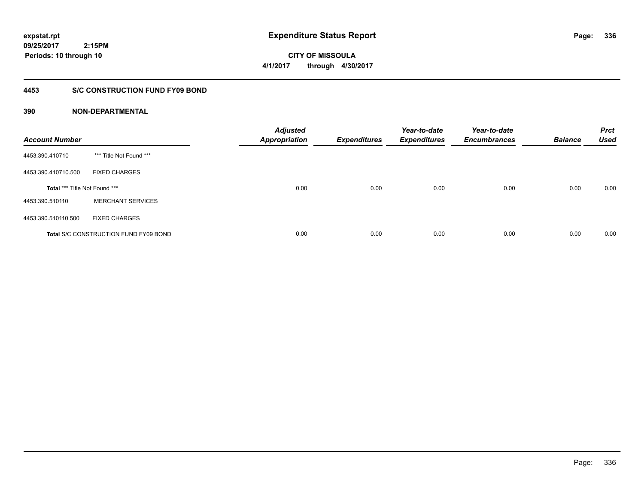**CITY OF MISSOULA 4/1/2017 through 4/30/2017**

### **4453 S/C CONSTRUCTION FUND FY09 BOND**

| <b>Account Number</b>         |                                              | <b>Adjusted</b><br><b>Appropriation</b> | <b>Expenditures</b> | Year-to-date<br><b>Expenditures</b> | Year-to-date<br><b>Encumbrances</b> | <b>Balance</b> | <b>Prct</b><br><b>Used</b> |
|-------------------------------|----------------------------------------------|-----------------------------------------|---------------------|-------------------------------------|-------------------------------------|----------------|----------------------------|
| 4453.390.410710               | *** Title Not Found ***                      |                                         |                     |                                     |                                     |                |                            |
| 4453.390.410710.500           | <b>FIXED CHARGES</b>                         |                                         |                     |                                     |                                     |                |                            |
| Total *** Title Not Found *** |                                              | 0.00                                    | 0.00                | 0.00                                | 0.00                                | 0.00           | 0.00                       |
| 4453.390.510110               | <b>MERCHANT SERVICES</b>                     |                                         |                     |                                     |                                     |                |                            |
| 4453.390.510110.500           | <b>FIXED CHARGES</b>                         |                                         |                     |                                     |                                     |                |                            |
|                               | <b>Total S/C CONSTRUCTION FUND FY09 BOND</b> | 0.00                                    | 0.00                | 0.00                                | 0.00                                | 0.00           | 0.00                       |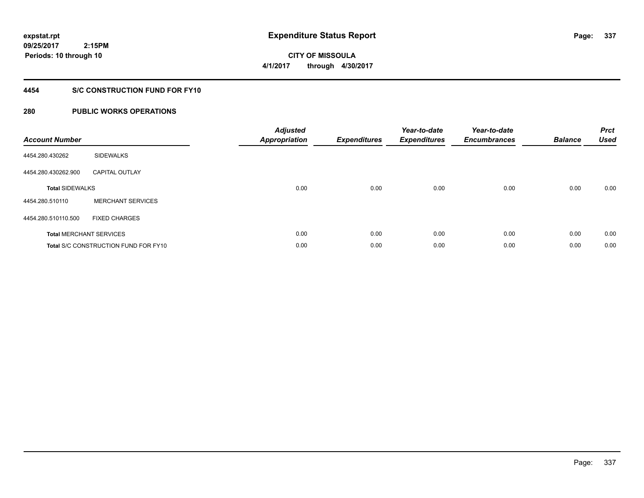**09/25/2017 2:15PM Periods: 10 through 10**

**CITY OF MISSOULA 4/1/2017 through 4/30/2017**

### **4454 S/C CONSTRUCTION FUND FOR FY10**

| <b>Account Number</b>  |                                             | <b>Adjusted</b><br><b>Appropriation</b> | <b>Expenditures</b> | Year-to-date<br><b>Expenditures</b> | Year-to-date<br><b>Encumbrances</b> | <b>Balance</b> | <b>Prct</b><br><b>Used</b> |
|------------------------|---------------------------------------------|-----------------------------------------|---------------------|-------------------------------------|-------------------------------------|----------------|----------------------------|
| 4454.280.430262        | <b>SIDEWALKS</b>                            |                                         |                     |                                     |                                     |                |                            |
| 4454.280.430262.900    | <b>CAPITAL OUTLAY</b>                       |                                         |                     |                                     |                                     |                |                            |
| <b>Total SIDEWALKS</b> |                                             | 0.00                                    | 0.00                | 0.00                                | 0.00                                | 0.00           | 0.00                       |
| 4454.280.510110        | <b>MERCHANT SERVICES</b>                    |                                         |                     |                                     |                                     |                |                            |
| 4454.280.510110.500    | <b>FIXED CHARGES</b>                        |                                         |                     |                                     |                                     |                |                            |
|                        | <b>Total MERCHANT SERVICES</b>              | 0.00                                    | 0.00                | 0.00                                | 0.00                                | 0.00           | 0.00                       |
|                        | <b>Total S/C CONSTRUCTION FUND FOR FY10</b> | 0.00                                    | 0.00                | 0.00                                | 0.00                                | 0.00           | 0.00                       |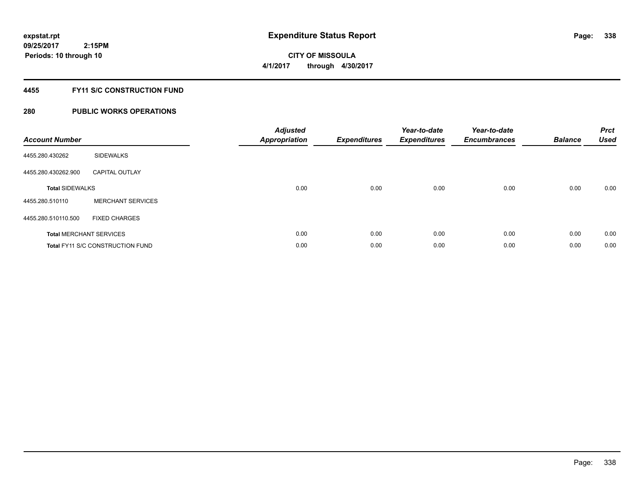**Periods: 10 through 10**

**CITY OF MISSOULA 4/1/2017 through 4/30/2017**

### **4455 FY11 S/C CONSTRUCTION FUND**

### **280 PUBLIC WORKS OPERATIONS**

 **2:15PM**

| <b>Account Number</b>  |                                         | <b>Adjusted</b><br><b>Appropriation</b> | <b>Expenditures</b> | Year-to-date<br><b>Expenditures</b> | Year-to-date<br><b>Encumbrances</b> | <b>Balance</b> | <b>Prct</b><br><b>Used</b> |
|------------------------|-----------------------------------------|-----------------------------------------|---------------------|-------------------------------------|-------------------------------------|----------------|----------------------------|
| 4455.280.430262        | <b>SIDEWALKS</b>                        |                                         |                     |                                     |                                     |                |                            |
| 4455.280.430262.900    | <b>CAPITAL OUTLAY</b>                   |                                         |                     |                                     |                                     |                |                            |
| <b>Total SIDEWALKS</b> |                                         | 0.00                                    | 0.00                | 0.00                                | 0.00                                | 0.00           | 0.00                       |
| 4455.280.510110        | <b>MERCHANT SERVICES</b>                |                                         |                     |                                     |                                     |                |                            |
| 4455.280.510110.500    | <b>FIXED CHARGES</b>                    |                                         |                     |                                     |                                     |                |                            |
|                        | <b>Total MERCHANT SERVICES</b>          | 0.00                                    | 0.00                | 0.00                                | 0.00                                | 0.00           | 0.00                       |
|                        | <b>Total FY11 S/C CONSTRUCTION FUND</b> | 0.00                                    | 0.00                | 0.00                                | 0.00                                | 0.00           | 0.00                       |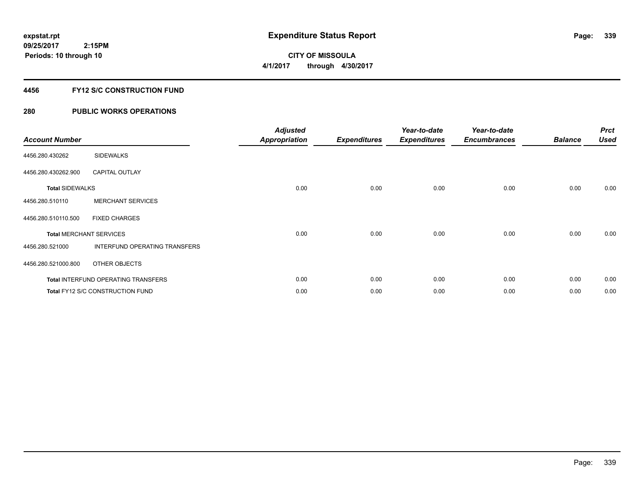**CITY OF MISSOULA 4/1/2017 through 4/30/2017**

### **4456 FY12 S/C CONSTRUCTION FUND**

| <b>Account Number</b>          |                                     | <b>Adjusted</b><br><b>Appropriation</b> | <b>Expenditures</b> | Year-to-date<br><b>Expenditures</b> | Year-to-date<br><b>Encumbrances</b> | <b>Balance</b> | <b>Prct</b><br><b>Used</b> |
|--------------------------------|-------------------------------------|-----------------------------------------|---------------------|-------------------------------------|-------------------------------------|----------------|----------------------------|
| 4456.280.430262                | <b>SIDEWALKS</b>                    |                                         |                     |                                     |                                     |                |                            |
| 4456.280.430262.900            | <b>CAPITAL OUTLAY</b>               |                                         |                     |                                     |                                     |                |                            |
| <b>Total SIDEWALKS</b>         |                                     | 0.00                                    | 0.00                | 0.00                                | 0.00                                | 0.00           | 0.00                       |
| 4456.280.510110                | <b>MERCHANT SERVICES</b>            |                                         |                     |                                     |                                     |                |                            |
| 4456.280.510110.500            | <b>FIXED CHARGES</b>                |                                         |                     |                                     |                                     |                |                            |
| <b>Total MERCHANT SERVICES</b> |                                     | 0.00                                    | 0.00                | 0.00                                | 0.00                                | 0.00           | 0.00                       |
| 4456.280.521000                | INTERFUND OPERATING TRANSFERS       |                                         |                     |                                     |                                     |                |                            |
| 4456.280.521000.800            | OTHER OBJECTS                       |                                         |                     |                                     |                                     |                |                            |
|                                | Total INTERFUND OPERATING TRANSFERS | 0.00                                    | 0.00                | 0.00                                | 0.00                                | 0.00           | 0.00                       |
|                                | Total FY12 S/C CONSTRUCTION FUND    | 0.00                                    | 0.00                | 0.00                                | 0.00                                | 0.00           | 0.00                       |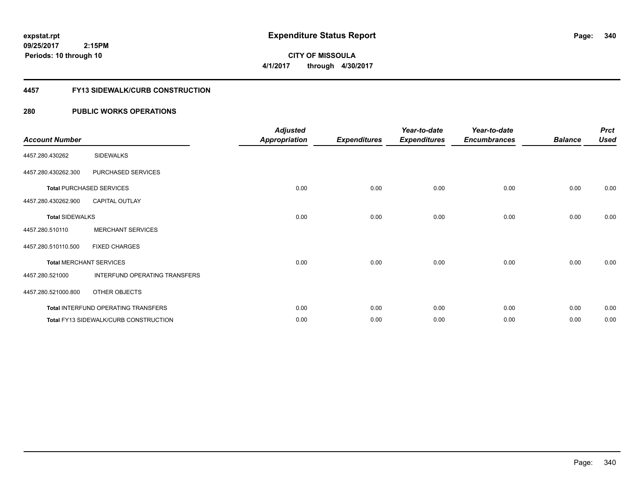**09/25/2017 2:15PM Periods: 10 through 10**

**CITY OF MISSOULA 4/1/2017 through 4/30/2017**

### **4457 FY13 SIDEWALK/CURB CONSTRUCTION**

| <b>Account Number</b>  |                                       | <b>Adjusted</b><br><b>Appropriation</b> | <b>Expenditures</b> | Year-to-date<br><b>Expenditures</b> | Year-to-date<br><b>Encumbrances</b> | <b>Balance</b> | <b>Prct</b><br><b>Used</b> |
|------------------------|---------------------------------------|-----------------------------------------|---------------------|-------------------------------------|-------------------------------------|----------------|----------------------------|
| 4457.280.430262        | <b>SIDEWALKS</b>                      |                                         |                     |                                     |                                     |                |                            |
| 4457.280.430262.300    | PURCHASED SERVICES                    |                                         |                     |                                     |                                     |                |                            |
|                        | <b>Total PURCHASED SERVICES</b>       | 0.00                                    | 0.00                | 0.00                                | 0.00                                | 0.00           | 0.00                       |
| 4457.280.430262.900    | <b>CAPITAL OUTLAY</b>                 |                                         |                     |                                     |                                     |                |                            |
| <b>Total SIDEWALKS</b> |                                       | 0.00                                    | 0.00                | 0.00                                | 0.00                                | 0.00           | 0.00                       |
| 4457.280.510110        | <b>MERCHANT SERVICES</b>              |                                         |                     |                                     |                                     |                |                            |
| 4457.280.510110.500    | <b>FIXED CHARGES</b>                  |                                         |                     |                                     |                                     |                |                            |
|                        | <b>Total MERCHANT SERVICES</b>        | 0.00                                    | 0.00                | 0.00                                | 0.00                                | 0.00           | 0.00                       |
| 4457.280.521000        | INTERFUND OPERATING TRANSFERS         |                                         |                     |                                     |                                     |                |                            |
| 4457.280.521000.800    | OTHER OBJECTS                         |                                         |                     |                                     |                                     |                |                            |
|                        | Total INTERFUND OPERATING TRANSFERS   | 0.00                                    | 0.00                | 0.00                                | 0.00                                | 0.00           | 0.00                       |
|                        | Total FY13 SIDEWALK/CURB CONSTRUCTION | 0.00                                    | 0.00                | 0.00                                | 0.00                                | 0.00           | 0.00                       |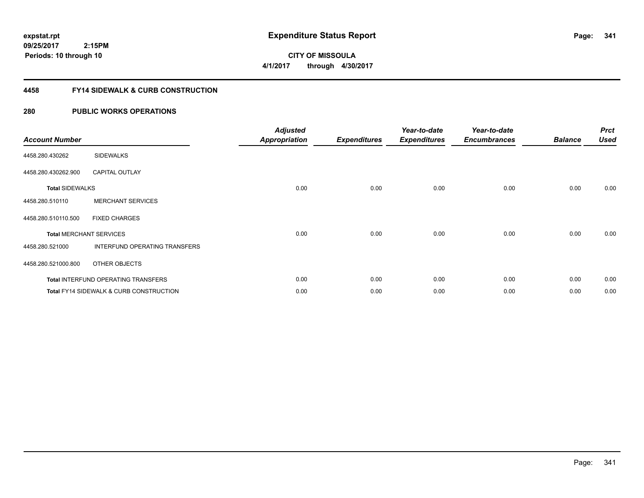**CITY OF MISSOULA 4/1/2017 through 4/30/2017**

### **4458 FY14 SIDEWALK & CURB CONSTRUCTION**

| <b>Account Number</b>  |                                                    | <b>Adjusted</b><br><b>Appropriation</b> | <b>Expenditures</b> | Year-to-date<br><b>Expenditures</b> | Year-to-date<br><b>Encumbrances</b> | <b>Balance</b> | <b>Prct</b><br><b>Used</b> |
|------------------------|----------------------------------------------------|-----------------------------------------|---------------------|-------------------------------------|-------------------------------------|----------------|----------------------------|
| 4458.280.430262        | <b>SIDEWALKS</b>                                   |                                         |                     |                                     |                                     |                |                            |
| 4458.280.430262.900    | <b>CAPITAL OUTLAY</b>                              |                                         |                     |                                     |                                     |                |                            |
| <b>Total SIDEWALKS</b> |                                                    | 0.00                                    | 0.00                | 0.00                                | 0.00                                | 0.00           | 0.00                       |
| 4458.280.510110        | <b>MERCHANT SERVICES</b>                           |                                         |                     |                                     |                                     |                |                            |
| 4458.280.510110.500    | <b>FIXED CHARGES</b>                               |                                         |                     |                                     |                                     |                |                            |
|                        | <b>Total MERCHANT SERVICES</b>                     | 0.00                                    | 0.00                | 0.00                                | 0.00                                | 0.00           | 0.00                       |
| 4458.280.521000        | INTERFUND OPERATING TRANSFERS                      |                                         |                     |                                     |                                     |                |                            |
| 4458.280.521000.800    | OTHER OBJECTS                                      |                                         |                     |                                     |                                     |                |                            |
|                        | <b>Total INTERFUND OPERATING TRANSFERS</b>         | 0.00                                    | 0.00                | 0.00                                | 0.00                                | 0.00           | 0.00                       |
|                        | <b>Total FY14 SIDEWALK &amp; CURB CONSTRUCTION</b> | 0.00                                    | 0.00                | 0.00                                | 0.00                                | 0.00           | 0.00                       |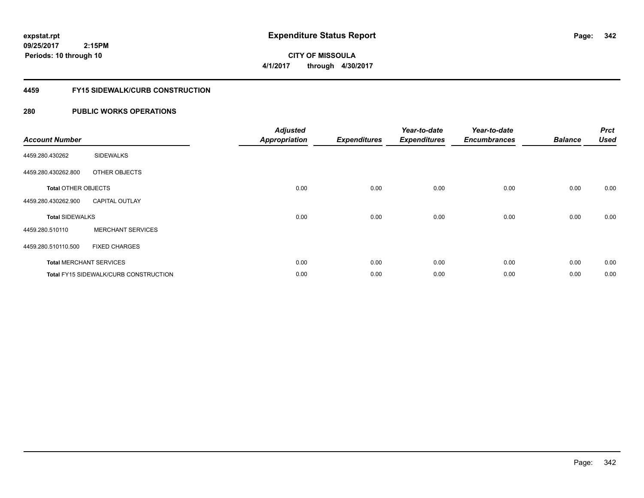**09/25/2017 2:15PM Periods: 10 through 10**

# **CITY OF MISSOULA 4/1/2017 through 4/30/2017**

### **4459 FY15 SIDEWALK/CURB CONSTRUCTION**

| <b>Account Number</b>      |                                              | <b>Adjusted</b><br><b>Appropriation</b> | <b>Expenditures</b> | Year-to-date<br><b>Expenditures</b> | Year-to-date<br><b>Encumbrances</b> | <b>Balance</b> | <b>Prct</b><br><b>Used</b> |
|----------------------------|----------------------------------------------|-----------------------------------------|---------------------|-------------------------------------|-------------------------------------|----------------|----------------------------|
| 4459.280.430262            | <b>SIDEWALKS</b>                             |                                         |                     |                                     |                                     |                |                            |
| 4459.280.430262.800        | OTHER OBJECTS                                |                                         |                     |                                     |                                     |                |                            |
| <b>Total OTHER OBJECTS</b> |                                              | 0.00                                    | 0.00                | 0.00                                | 0.00                                | 0.00           | 0.00                       |
| 4459.280.430262.900        | <b>CAPITAL OUTLAY</b>                        |                                         |                     |                                     |                                     |                |                            |
| <b>Total SIDEWALKS</b>     |                                              | 0.00                                    | 0.00                | 0.00                                | 0.00                                | 0.00           | 0.00                       |
| 4459.280.510110            | <b>MERCHANT SERVICES</b>                     |                                         |                     |                                     |                                     |                |                            |
| 4459.280.510110.500        | <b>FIXED CHARGES</b>                         |                                         |                     |                                     |                                     |                |                            |
|                            | <b>Total MERCHANT SERVICES</b>               | 0.00                                    | 0.00                | 0.00                                | 0.00                                | 0.00           | 0.00                       |
|                            | <b>Total FY15 SIDEWALK/CURB CONSTRUCTION</b> | 0.00                                    | 0.00                | 0.00                                | 0.00                                | 0.00           | 0.00                       |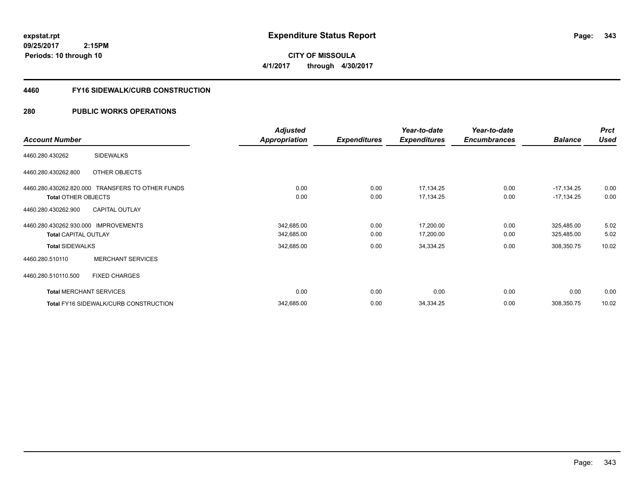**CITY OF MISSOULA 4/1/2017 through 4/30/2017**

### **4460 FY16 SIDEWALK/CURB CONSTRUCTION**

|                                                  | <b>Adjusted</b>      |                     | Year-to-date        | Year-to-date        |                | <b>Prct</b> |
|--------------------------------------------------|----------------------|---------------------|---------------------|---------------------|----------------|-------------|
| <b>Account Number</b>                            | <b>Appropriation</b> | <b>Expenditures</b> | <b>Expenditures</b> | <b>Encumbrances</b> | <b>Balance</b> | <b>Used</b> |
| <b>SIDEWALKS</b><br>4460.280.430262              |                      |                     |                     |                     |                |             |
| 4460.280.430262.800<br>OTHER OBJECTS             |                      |                     |                     |                     |                |             |
| 4460.280.430262.820.000 TRANSFERS TO OTHER FUNDS | 0.00                 | 0.00                | 17,134.25           | 0.00                | $-17,134.25$   | 0.00        |
| <b>Total OTHER OBJECTS</b>                       | 0.00                 | 0.00                | 17,134.25           | 0.00                | $-17,134.25$   | 0.00        |
| 4460.280.430262.900<br><b>CAPITAL OUTLAY</b>     |                      |                     |                     |                     |                |             |
| 4460.280.430262.930.000 IMPROVEMENTS             | 342,685.00           | 0.00                | 17,200.00           | 0.00                | 325,485.00     | 5.02        |
| <b>Total CAPITAL OUTLAY</b>                      | 342,685.00           | 0.00                | 17,200.00           | 0.00                | 325,485.00     | 5.02        |
| <b>Total SIDEWALKS</b>                           | 342,685.00           | 0.00                | 34,334.25           | 0.00                | 308,350.75     | 10.02       |
| <b>MERCHANT SERVICES</b><br>4460.280.510110      |                      |                     |                     |                     |                |             |
| 4460.280.510110.500<br><b>FIXED CHARGES</b>      |                      |                     |                     |                     |                |             |
| <b>Total MERCHANT SERVICES</b>                   | 0.00                 | 0.00                | 0.00                | 0.00                | 0.00           | 0.00        |
| Total FY16 SIDEWALK/CURB CONSTRUCTION            | 342,685.00           | 0.00                | 34,334.25           | 0.00                | 308,350.75     | 10.02       |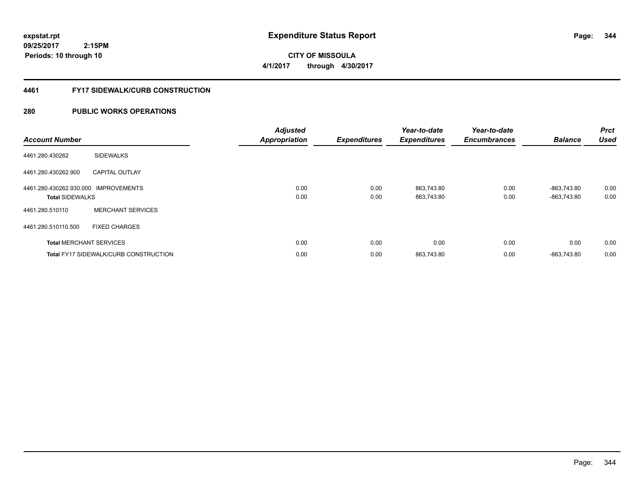**09/25/2017 2:15PM Periods: 10 through 10**

**CITY OF MISSOULA 4/1/2017 through 4/30/2017**

### **4461 FY17 SIDEWALK/CURB CONSTRUCTION**

| <b>Account Number</b>                                          |                                              | <b>Adjusted</b><br><b>Appropriation</b> | <b>Expenditures</b> | Year-to-date<br><b>Expenditures</b> | Year-to-date<br><b>Encumbrances</b> | <b>Balance</b>             | <b>Prct</b><br><b>Used</b> |
|----------------------------------------------------------------|----------------------------------------------|-----------------------------------------|---------------------|-------------------------------------|-------------------------------------|----------------------------|----------------------------|
| 4461.280.430262                                                | <b>SIDEWALKS</b>                             |                                         |                     |                                     |                                     |                            |                            |
| 4461.280.430262.900                                            | <b>CAPITAL OUTLAY</b>                        |                                         |                     |                                     |                                     |                            |                            |
| 4461.280.430262.930.000 IMPROVEMENTS<br><b>Total SIDEWALKS</b> |                                              | 0.00<br>0.00                            | 0.00<br>0.00        | 863,743.80<br>863,743.80            | 0.00<br>0.00                        | -863,743.80<br>-863,743.80 | 0.00<br>0.00               |
| 4461.280.510110                                                | <b>MERCHANT SERVICES</b>                     |                                         |                     |                                     |                                     |                            |                            |
| 4461.280.510110.500                                            | <b>FIXED CHARGES</b>                         |                                         |                     |                                     |                                     |                            |                            |
|                                                                | <b>Total MERCHANT SERVICES</b>               | 0.00                                    | 0.00                | 0.00                                | 0.00                                | 0.00                       | 0.00                       |
|                                                                | <b>Total FY17 SIDEWALK/CURB CONSTRUCTION</b> | 0.00                                    | 0.00                | 863,743.80                          | 0.00                                | -863,743.80                | 0.00                       |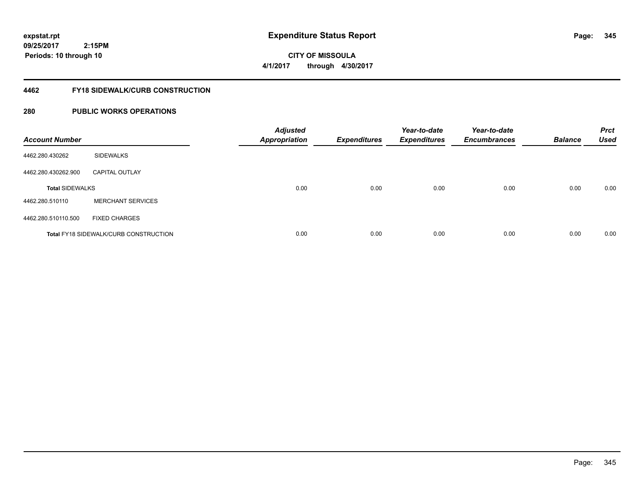**09/25/2017 2:15PM Periods: 10 through 10**

**CITY OF MISSOULA 4/1/2017 through 4/30/2017**

### **4462 FY18 SIDEWALK/CURB CONSTRUCTION**

| <b>Account Number</b>  |                                              | <b>Adjusted</b><br><b>Appropriation</b> | <b>Expenditures</b> | Year-to-date<br><b>Expenditures</b> | Year-to-date<br><b>Encumbrances</b> | <b>Balance</b> | <b>Prct</b><br><b>Used</b> |
|------------------------|----------------------------------------------|-----------------------------------------|---------------------|-------------------------------------|-------------------------------------|----------------|----------------------------|
| 4462.280.430262        | <b>SIDEWALKS</b>                             |                                         |                     |                                     |                                     |                |                            |
| 4462.280.430262.900    | <b>CAPITAL OUTLAY</b>                        |                                         |                     |                                     |                                     |                |                            |
| <b>Total SIDEWALKS</b> |                                              | 0.00                                    | 0.00                | 0.00                                | 0.00                                | 0.00           | 0.00                       |
| 4462.280.510110        | <b>MERCHANT SERVICES</b>                     |                                         |                     |                                     |                                     |                |                            |
| 4462.280.510110.500    | <b>FIXED CHARGES</b>                         |                                         |                     |                                     |                                     |                |                            |
|                        | <b>Total FY18 SIDEWALK/CURB CONSTRUCTION</b> | 0.00                                    | 0.00                | 0.00                                | 0.00                                | 0.00           | 0.00                       |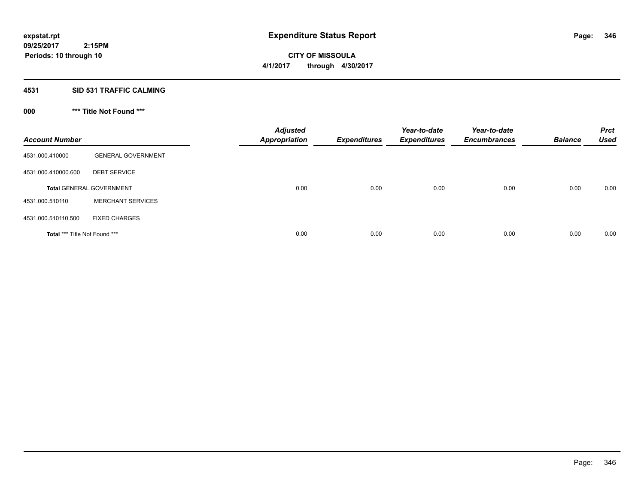**09/25/2017 2:15PM Periods: 10 through 10**

**CITY OF MISSOULA 4/1/2017 through 4/30/2017**

### **4531 SID 531 TRAFFIC CALMING**

**000 \*\*\* Title Not Found \*\*\***

| <b>Account Number</b>                |                                 | <b>Adjusted</b><br><b>Appropriation</b> | <b>Expenditures</b> | Year-to-date<br><b>Expenditures</b> | Year-to-date<br><b>Encumbrances</b> | <b>Balance</b> | <b>Prct</b><br><b>Used</b> |
|--------------------------------------|---------------------------------|-----------------------------------------|---------------------|-------------------------------------|-------------------------------------|----------------|----------------------------|
| 4531.000.410000                      | <b>GENERAL GOVERNMENT</b>       |                                         |                     |                                     |                                     |                |                            |
| 4531.000.410000.600                  | <b>DEBT SERVICE</b>             |                                         |                     |                                     |                                     |                |                            |
|                                      | <b>Total GENERAL GOVERNMENT</b> | 0.00                                    | 0.00                | 0.00                                | 0.00                                | 0.00           | 0.00                       |
| 4531.000.510110                      | <b>MERCHANT SERVICES</b>        |                                         |                     |                                     |                                     |                |                            |
| 4531.000.510110.500                  | <b>FIXED CHARGES</b>            |                                         |                     |                                     |                                     |                |                            |
| <b>Total *** Title Not Found ***</b> |                                 | 0.00                                    | 0.00                | 0.00                                | 0.00                                | 0.00           | 0.00                       |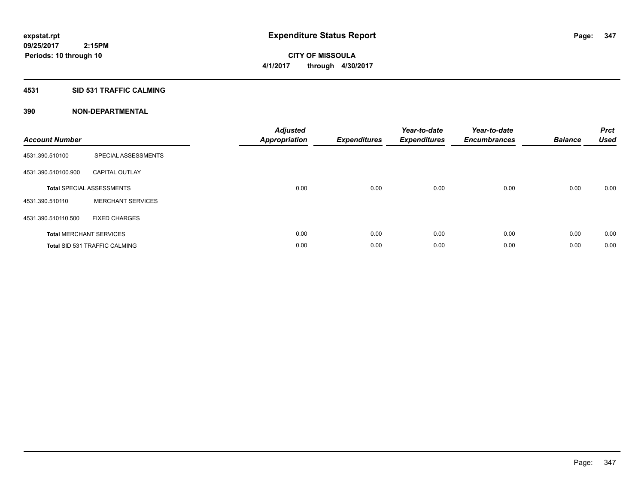### **4531 SID 531 TRAFFIC CALMING**

| <b>Account Number</b> |                                      | <b>Adjusted</b><br>Appropriation | <b>Expenditures</b> | Year-to-date<br><b>Expenditures</b> | Year-to-date<br><b>Encumbrances</b> | <b>Balance</b> | <b>Prct</b><br><b>Used</b> |
|-----------------------|--------------------------------------|----------------------------------|---------------------|-------------------------------------|-------------------------------------|----------------|----------------------------|
| 4531.390.510100       | SPECIAL ASSESSMENTS                  |                                  |                     |                                     |                                     |                |                            |
| 4531.390.510100.900   | <b>CAPITAL OUTLAY</b>                |                                  |                     |                                     |                                     |                |                            |
|                       | <b>Total SPECIAL ASSESSMENTS</b>     | 0.00                             | 0.00                | 0.00                                | 0.00                                | 0.00           | 0.00                       |
| 4531.390.510110       | <b>MERCHANT SERVICES</b>             |                                  |                     |                                     |                                     |                |                            |
| 4531.390.510110.500   | <b>FIXED CHARGES</b>                 |                                  |                     |                                     |                                     |                |                            |
|                       | <b>Total MERCHANT SERVICES</b>       | 0.00                             | 0.00                | 0.00                                | 0.00                                | 0.00           | 0.00                       |
|                       | <b>Total SID 531 TRAFFIC CALMING</b> | 0.00                             | 0.00                | 0.00                                | 0.00                                | 0.00           | 0.00                       |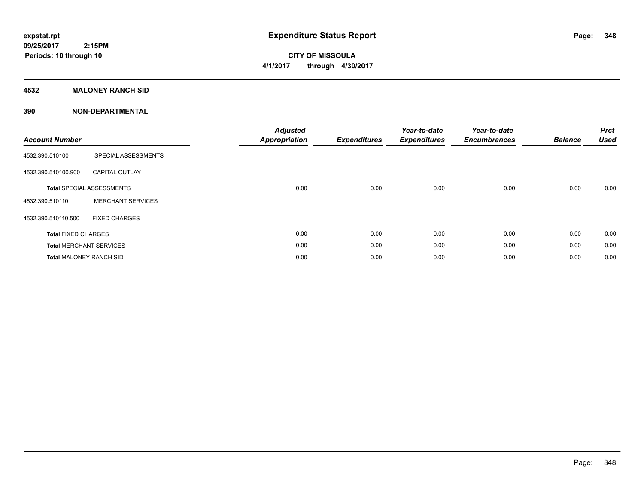**CITY OF MISSOULA 4/1/2017 through 4/30/2017**

### **4532 MALONEY RANCH SID**

| <b>Account Number</b>          |                                  | <b>Adjusted</b><br><b>Appropriation</b> | <b>Expenditures</b> | Year-to-date<br><b>Expenditures</b> | Year-to-date<br><b>Encumbrances</b> | <b>Balance</b> | <b>Prct</b><br><b>Used</b> |
|--------------------------------|----------------------------------|-----------------------------------------|---------------------|-------------------------------------|-------------------------------------|----------------|----------------------------|
| 4532.390.510100                | SPECIAL ASSESSMENTS              |                                         |                     |                                     |                                     |                |                            |
| 4532.390.510100.900            | <b>CAPITAL OUTLAY</b>            |                                         |                     |                                     |                                     |                |                            |
|                                | <b>Total SPECIAL ASSESSMENTS</b> | 0.00                                    | 0.00                | 0.00                                | 0.00                                | 0.00           | 0.00                       |
| 4532.390.510110                | <b>MERCHANT SERVICES</b>         |                                         |                     |                                     |                                     |                |                            |
| 4532.390.510110.500            | <b>FIXED CHARGES</b>             |                                         |                     |                                     |                                     |                |                            |
| <b>Total FIXED CHARGES</b>     |                                  | 0.00                                    | 0.00                | 0.00                                | 0.00                                | 0.00           | 0.00                       |
|                                | <b>Total MERCHANT SERVICES</b>   | 0.00                                    | 0.00                | 0.00                                | 0.00                                | 0.00           | 0.00                       |
| <b>Total MALONEY RANCH SID</b> |                                  | 0.00                                    | 0.00                | 0.00                                | 0.00                                | 0.00           | 0.00                       |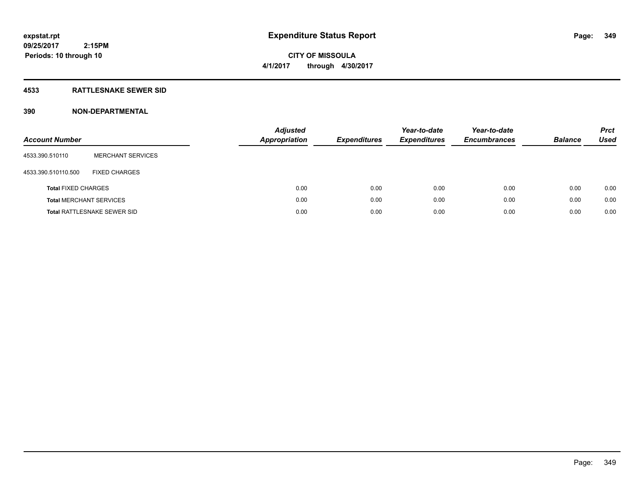# **CITY OF MISSOULA 4/1/2017 through 4/30/2017**

### **4533 RATTLESNAKE SEWER SID**

| <b>Account Number</b>          |                                    | <b>Adjusted</b><br>Appropriation | <b>Expenditures</b> | Year-to-date<br><b>Expenditures</b> | Year-to-date<br><b>Encumbrances</b> | <b>Balance</b> | <b>Prct</b><br>Used |
|--------------------------------|------------------------------------|----------------------------------|---------------------|-------------------------------------|-------------------------------------|----------------|---------------------|
| 4533.390.510110                | <b>MERCHANT SERVICES</b>           |                                  |                     |                                     |                                     |                |                     |
| 4533.390.510110.500            | <b>FIXED CHARGES</b>               |                                  |                     |                                     |                                     |                |                     |
| <b>Total FIXED CHARGES</b>     |                                    | 0.00                             | 0.00                | 0.00                                | 0.00                                | 0.00           | 0.00                |
| <b>Total MERCHANT SERVICES</b> |                                    | 0.00                             | 0.00                | 0.00                                | 0.00                                | 0.00           | 0.00                |
|                                | <b>Total RATTLESNAKE SEWER SID</b> | 0.00                             | 0.00                | 0.00                                | 0.00                                | 0.00           | 0.00                |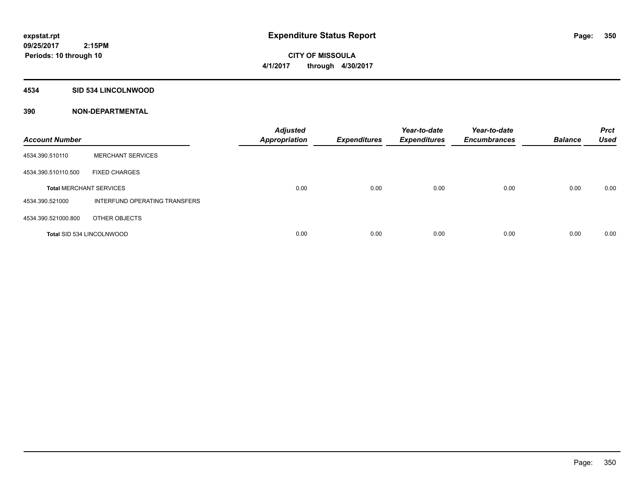**Periods: 10 through 10**

**CITY OF MISSOULA 4/1/2017 through 4/30/2017**

### **4534 SID 534 LINCOLNWOOD**

| <b>Account Number</b>            |                               | <b>Adjusted</b><br><b>Appropriation</b> | <b>Expenditures</b> | Year-to-date<br><b>Expenditures</b> | Year-to-date<br><b>Encumbrances</b> | <b>Balance</b> | <b>Prct</b><br><b>Used</b> |
|----------------------------------|-------------------------------|-----------------------------------------|---------------------|-------------------------------------|-------------------------------------|----------------|----------------------------|
| 4534.390.510110                  | <b>MERCHANT SERVICES</b>      |                                         |                     |                                     |                                     |                |                            |
| 4534.390.510110.500              | <b>FIXED CHARGES</b>          |                                         |                     |                                     |                                     |                |                            |
| <b>Total MERCHANT SERVICES</b>   |                               | 0.00                                    | 0.00                | 0.00                                | 0.00                                | 0.00           | 0.00                       |
| 4534.390.521000                  | INTERFUND OPERATING TRANSFERS |                                         |                     |                                     |                                     |                |                            |
| 4534.390.521000.800              | OTHER OBJECTS                 |                                         |                     |                                     |                                     |                |                            |
| <b>Total SID 534 LINCOLNWOOD</b> |                               | 0.00                                    | 0.00                | 0.00                                | 0.00                                | 0.00           | 0.00                       |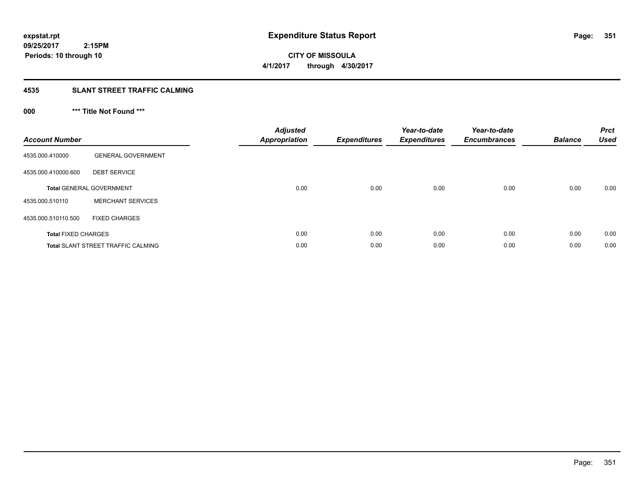**CITY OF MISSOULA 4/1/2017 through 4/30/2017**

### **4535 SLANT STREET TRAFFIC CALMING**

## **000 \*\*\* Title Not Found \*\*\***

| <b>Account Number</b>      |                                           | <b>Adjusted</b><br>Appropriation | <b>Expenditures</b> | Year-to-date<br><b>Expenditures</b> | Year-to-date<br><b>Encumbrances</b> | <b>Balance</b> | <b>Prct</b><br><b>Used</b> |
|----------------------------|-------------------------------------------|----------------------------------|---------------------|-------------------------------------|-------------------------------------|----------------|----------------------------|
| 4535.000.410000            | <b>GENERAL GOVERNMENT</b>                 |                                  |                     |                                     |                                     |                |                            |
| 4535.000.410000.600        | <b>DEBT SERVICE</b>                       |                                  |                     |                                     |                                     |                |                            |
|                            | <b>Total GENERAL GOVERNMENT</b>           | 0.00                             | 0.00                | 0.00                                | 0.00                                | 0.00           | 0.00                       |
| 4535.000.510110            | <b>MERCHANT SERVICES</b>                  |                                  |                     |                                     |                                     |                |                            |
| 4535.000.510110.500        | <b>FIXED CHARGES</b>                      |                                  |                     |                                     |                                     |                |                            |
| <b>Total FIXED CHARGES</b> |                                           | 0.00                             | 0.00                | 0.00                                | 0.00                                | 0.00           | 0.00                       |
|                            | <b>Total SLANT STREET TRAFFIC CALMING</b> | 0.00                             | 0.00                | 0.00                                | 0.00                                | 0.00           | 0.00                       |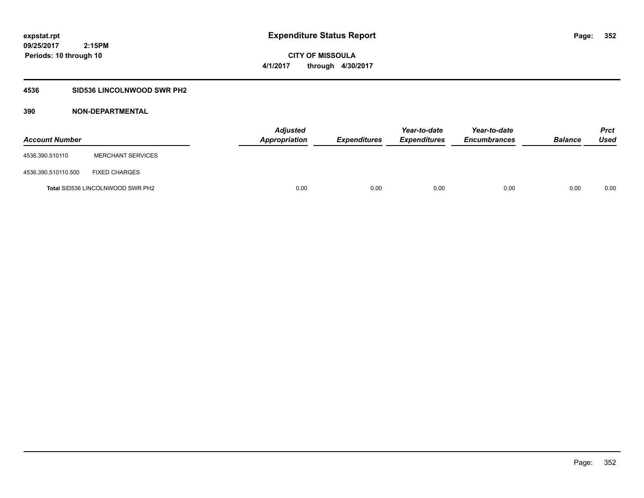### **4536 SID536 LINCOLNWOOD SWR PH2**

| <b>Account Number</b> |                                         | <b>Adjusted</b><br><b>Appropriation</b> | <b>Expenditures</b> | Year-to-date<br><i><b>Expenditures</b></i> | Year-to-date<br><b>Encumbrances</b> | <b>Balance</b> | <b>Prct</b><br>Used |
|-----------------------|-----------------------------------------|-----------------------------------------|---------------------|--------------------------------------------|-------------------------------------|----------------|---------------------|
| 4536.390.510110       | <b>MERCHANT SERVICES</b>                |                                         |                     |                                            |                                     |                |                     |
| 4536.390.510110.500   | <b>FIXED CHARGES</b>                    |                                         |                     |                                            |                                     |                |                     |
|                       | <b>Total SID536 LINCOLNWOOD SWR PH2</b> | 0.00                                    | 0.00                | 0.00                                       | 0.00                                | 0.00           | 0.00                |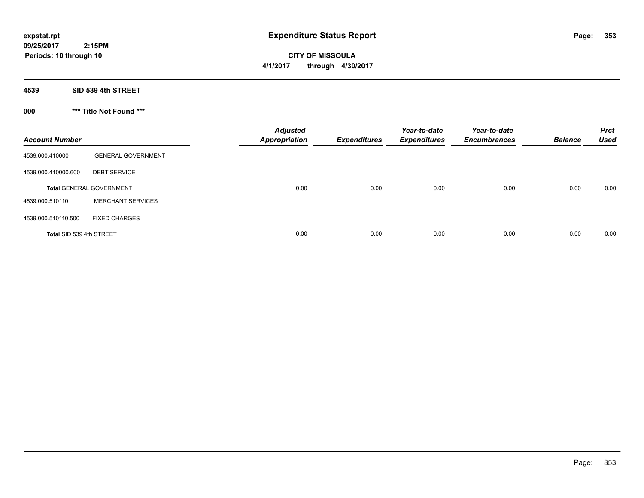**CITY OF MISSOULA 4/1/2017 through 4/30/2017**

**4539 SID 539 4th STREET**

**000 \*\*\* Title Not Found \*\*\***

| <b>Account Number</b>    |                                 | <b>Adjusted</b><br><b>Appropriation</b> | <b>Expenditures</b> | Year-to-date<br><b>Expenditures</b> | Year-to-date<br><b>Encumbrances</b> | <b>Balance</b> | <b>Prct</b><br><b>Used</b> |
|--------------------------|---------------------------------|-----------------------------------------|---------------------|-------------------------------------|-------------------------------------|----------------|----------------------------|
| 4539.000.410000          | <b>GENERAL GOVERNMENT</b>       |                                         |                     |                                     |                                     |                |                            |
| 4539.000.410000.600      | <b>DEBT SERVICE</b>             |                                         |                     |                                     |                                     |                |                            |
|                          | <b>Total GENERAL GOVERNMENT</b> | 0.00                                    | 0.00                | 0.00                                | 0.00                                | 0.00           | 0.00                       |
| 4539.000.510110          | <b>MERCHANT SERVICES</b>        |                                         |                     |                                     |                                     |                |                            |
| 4539.000.510110.500      | <b>FIXED CHARGES</b>            |                                         |                     |                                     |                                     |                |                            |
| Total SID 539 4th STREET |                                 | 0.00                                    | 0.00                | 0.00                                | 0.00                                | 0.00           | 0.00                       |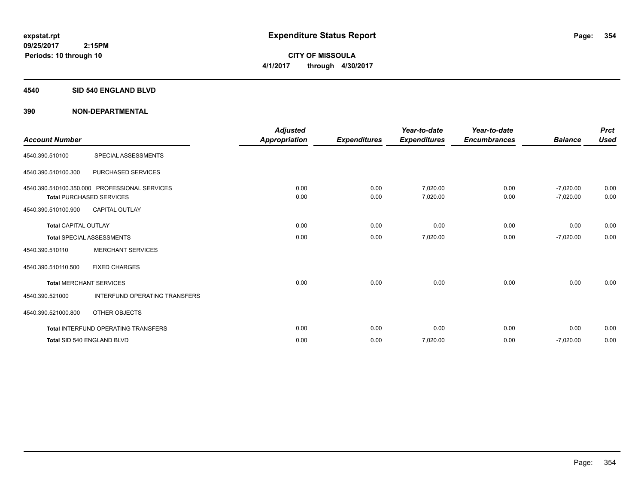### **4540 SID 540 ENGLAND BLVD**

| <b>Account Number</b>       |                                                                                  | <b>Adjusted</b><br><b>Appropriation</b> | <b>Expenditures</b> | Year-to-date<br><b>Expenditures</b> | Year-to-date<br><b>Encumbrances</b> | <b>Balance</b>             | <b>Prct</b><br><b>Used</b> |
|-----------------------------|----------------------------------------------------------------------------------|-----------------------------------------|---------------------|-------------------------------------|-------------------------------------|----------------------------|----------------------------|
| 4540.390.510100             | SPECIAL ASSESSMENTS                                                              |                                         |                     |                                     |                                     |                            |                            |
| 4540.390.510100.300         | PURCHASED SERVICES                                                               |                                         |                     |                                     |                                     |                            |                            |
|                             | 4540.390.510100.350.000 PROFESSIONAL SERVICES<br><b>Total PURCHASED SERVICES</b> | 0.00<br>0.00                            | 0.00<br>0.00        | 7,020.00<br>7,020.00                | 0.00<br>0.00                        | $-7,020.00$<br>$-7,020.00$ | 0.00<br>0.00               |
| 4540.390.510100.900         | <b>CAPITAL OUTLAY</b>                                                            |                                         |                     |                                     |                                     |                            |                            |
| <b>Total CAPITAL OUTLAY</b> |                                                                                  | 0.00                                    | 0.00                | 0.00                                | 0.00                                | 0.00                       | 0.00                       |
|                             | <b>Total SPECIAL ASSESSMENTS</b>                                                 | 0.00                                    | 0.00                | 7,020.00                            | 0.00                                | $-7,020.00$                | 0.00                       |
| 4540.390.510110             | <b>MERCHANT SERVICES</b>                                                         |                                         |                     |                                     |                                     |                            |                            |
| 4540.390.510110.500         | <b>FIXED CHARGES</b>                                                             |                                         |                     |                                     |                                     |                            |                            |
|                             | <b>Total MERCHANT SERVICES</b>                                                   | 0.00                                    | 0.00                | 0.00                                | 0.00                                | 0.00                       | 0.00                       |
| 4540.390.521000             | <b>INTERFUND OPERATING TRANSFERS</b>                                             |                                         |                     |                                     |                                     |                            |                            |
| 4540.390.521000.800         | OTHER OBJECTS                                                                    |                                         |                     |                                     |                                     |                            |                            |
|                             | <b>Total INTERFUND OPERATING TRANSFERS</b>                                       | 0.00                                    | 0.00                | 0.00                                | 0.00                                | 0.00                       | 0.00                       |
|                             | Total SID 540 ENGLAND BLVD                                                       | 0.00                                    | 0.00                | 7,020.00                            | 0.00                                | $-7,020.00$                | 0.00                       |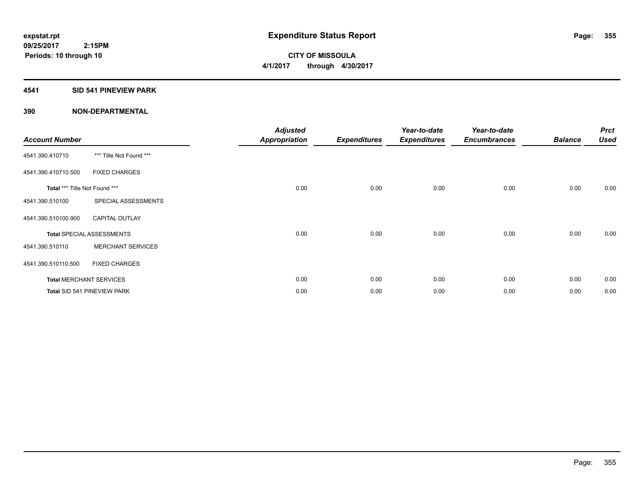### **4541 SID 541 PINEVIEW PARK**

| <b>Account Number</b>         |                                  | <b>Adjusted</b><br><b>Appropriation</b> | <b>Expenditures</b> | Year-to-date<br><b>Expenditures</b> | Year-to-date<br><b>Encumbrances</b> | <b>Balance</b> | <b>Prct</b><br><b>Used</b> |
|-------------------------------|----------------------------------|-----------------------------------------|---------------------|-------------------------------------|-------------------------------------|----------------|----------------------------|
| 4541.390.410710               | *** Title Not Found ***          |                                         |                     |                                     |                                     |                |                            |
| 4541.390.410710.500           | <b>FIXED CHARGES</b>             |                                         |                     |                                     |                                     |                |                            |
| Total *** Title Not Found *** |                                  | 0.00                                    | 0.00                | 0.00                                | 0.00                                | 0.00           | 0.00                       |
| 4541.390.510100               | SPECIAL ASSESSMENTS              |                                         |                     |                                     |                                     |                |                            |
| 4541.390.510100.900           | <b>CAPITAL OUTLAY</b>            |                                         |                     |                                     |                                     |                |                            |
|                               | <b>Total SPECIAL ASSESSMENTS</b> | 0.00                                    | 0.00                | 0.00                                | 0.00                                | 0.00           | 0.00                       |
| 4541.390.510110               | <b>MERCHANT SERVICES</b>         |                                         |                     |                                     |                                     |                |                            |
| 4541.390.510110.500           | <b>FIXED CHARGES</b>             |                                         |                     |                                     |                                     |                |                            |
|                               | <b>Total MERCHANT SERVICES</b>   | 0.00                                    | 0.00                | 0.00                                | 0.00                                | 0.00           | 0.00                       |
|                               | Total SID 541 PINEVIEW PARK      | 0.00                                    | 0.00                | 0.00                                | 0.00                                | 0.00           | 0.00                       |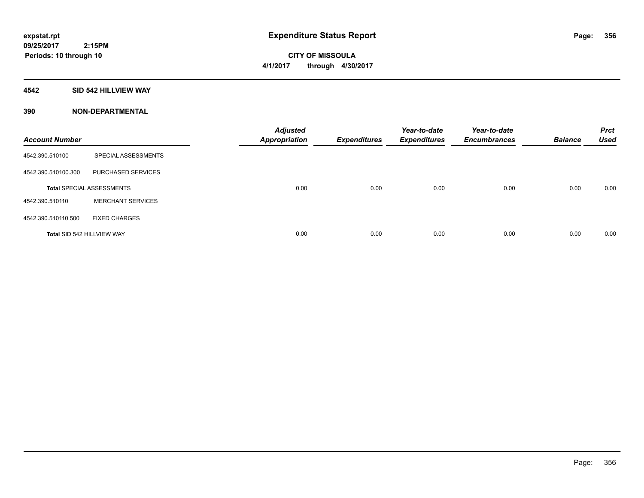### **4542 SID 542 HILLVIEW WAY**

| <b>Account Number</b>      |                                  | <b>Adjusted</b><br><b>Appropriation</b> | <b>Expenditures</b> | Year-to-date<br><b>Expenditures</b> | Year-to-date<br><b>Encumbrances</b> | <b>Balance</b> | <b>Prct</b><br><b>Used</b> |
|----------------------------|----------------------------------|-----------------------------------------|---------------------|-------------------------------------|-------------------------------------|----------------|----------------------------|
| 4542.390.510100            | SPECIAL ASSESSMENTS              |                                         |                     |                                     |                                     |                |                            |
| 4542.390.510100.300        | PURCHASED SERVICES               |                                         |                     |                                     |                                     |                |                            |
|                            | <b>Total SPECIAL ASSESSMENTS</b> | 0.00                                    | 0.00                | 0.00                                | 0.00                                | 0.00           | 0.00                       |
| 4542.390.510110            | <b>MERCHANT SERVICES</b>         |                                         |                     |                                     |                                     |                |                            |
| 4542.390.510110.500        | <b>FIXED CHARGES</b>             |                                         |                     |                                     |                                     |                |                            |
| Total SID 542 HILLVIEW WAY |                                  | 0.00                                    | 0.00                | 0.00                                | 0.00                                | 0.00           | 0.00                       |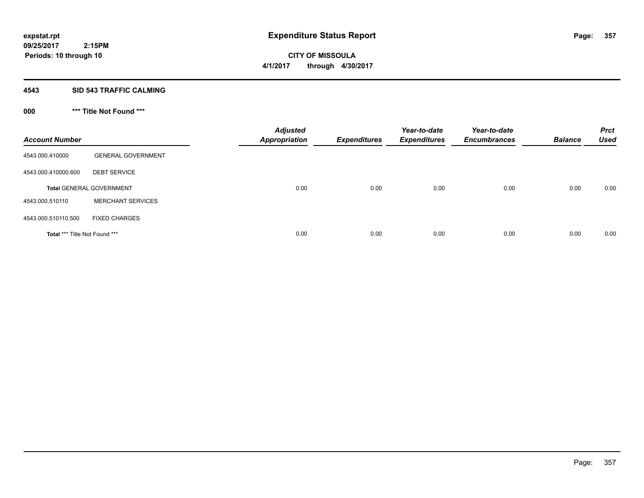### **4543 SID 543 TRAFFIC CALMING**

## **000 \*\*\* Title Not Found \*\*\***

| <b>Account Number</b>         |                                 | <b>Adjusted</b><br><b>Appropriation</b> | <b>Expenditures</b> | Year-to-date<br><b>Expenditures</b> | Year-to-date<br><b>Encumbrances</b> | <b>Balance</b> | <b>Prct</b><br><b>Used</b> |
|-------------------------------|---------------------------------|-----------------------------------------|---------------------|-------------------------------------|-------------------------------------|----------------|----------------------------|
| 4543.000.410000               | <b>GENERAL GOVERNMENT</b>       |                                         |                     |                                     |                                     |                |                            |
| 4543.000.410000.600           | <b>DEBT SERVICE</b>             |                                         |                     |                                     |                                     |                |                            |
|                               | <b>Total GENERAL GOVERNMENT</b> | 0.00                                    | 0.00                | 0.00                                | 0.00                                | 0.00           | 0.00                       |
| 4543.000.510110               | <b>MERCHANT SERVICES</b>        |                                         |                     |                                     |                                     |                |                            |
| 4543.000.510110.500           | <b>FIXED CHARGES</b>            |                                         |                     |                                     |                                     |                |                            |
| Total *** Title Not Found *** |                                 | 0.00                                    | 0.00                | 0.00                                | 0.00                                | 0.00           | 0.00                       |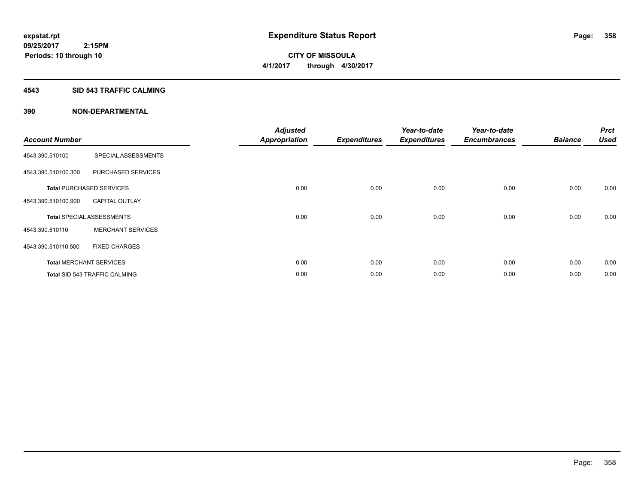### **4543 SID 543 TRAFFIC CALMING**

| <b>Account Number</b> |                                      | <b>Adjusted</b><br><b>Appropriation</b> | <b>Expenditures</b> | Year-to-date<br><b>Expenditures</b> | Year-to-date<br><b>Encumbrances</b> | <b>Balance</b> | <b>Prct</b><br><b>Used</b> |
|-----------------------|--------------------------------------|-----------------------------------------|---------------------|-------------------------------------|-------------------------------------|----------------|----------------------------|
| 4543.390.510100       | SPECIAL ASSESSMENTS                  |                                         |                     |                                     |                                     |                |                            |
| 4543.390.510100.300   | PURCHASED SERVICES                   |                                         |                     |                                     |                                     |                |                            |
|                       | <b>Total PURCHASED SERVICES</b>      | 0.00                                    | 0.00                | 0.00                                | 0.00                                | 0.00           | 0.00                       |
| 4543.390.510100.900   | <b>CAPITAL OUTLAY</b>                |                                         |                     |                                     |                                     |                |                            |
|                       | <b>Total SPECIAL ASSESSMENTS</b>     | 0.00                                    | 0.00                | 0.00                                | 0.00                                | 0.00           | 0.00                       |
| 4543.390.510110       | <b>MERCHANT SERVICES</b>             |                                         |                     |                                     |                                     |                |                            |
| 4543.390.510110.500   | <b>FIXED CHARGES</b>                 |                                         |                     |                                     |                                     |                |                            |
|                       | <b>Total MERCHANT SERVICES</b>       | 0.00                                    | 0.00                | 0.00                                | 0.00                                | 0.00           | 0.00                       |
|                       | <b>Total SID 543 TRAFFIC CALMING</b> | 0.00                                    | 0.00                | 0.00                                | 0.00                                | 0.00           | 0.00                       |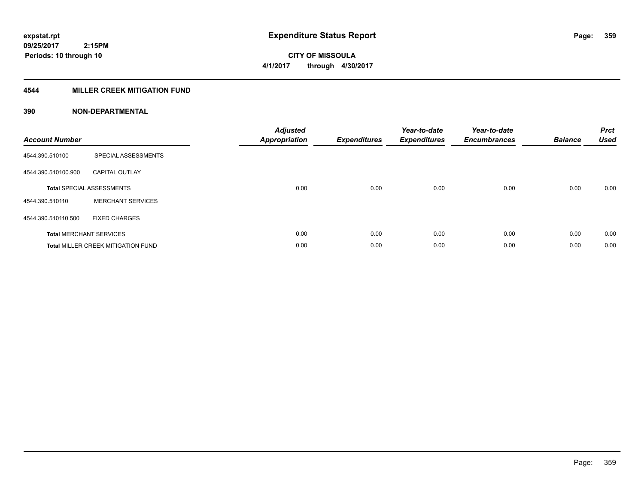### **4544 MILLER CREEK MITIGATION FUND**

| <b>Account Number</b> |                                           | <b>Adjusted</b><br>Appropriation | <b>Expenditures</b> | Year-to-date<br><b>Expenditures</b> | Year-to-date<br><b>Encumbrances</b> | <b>Balance</b> | <b>Prct</b><br><b>Used</b> |
|-----------------------|-------------------------------------------|----------------------------------|---------------------|-------------------------------------|-------------------------------------|----------------|----------------------------|
| 4544.390.510100       | SPECIAL ASSESSMENTS                       |                                  |                     |                                     |                                     |                |                            |
| 4544.390.510100.900   | <b>CAPITAL OUTLAY</b>                     |                                  |                     |                                     |                                     |                |                            |
|                       | <b>Total SPECIAL ASSESSMENTS</b>          | 0.00                             | 0.00                | 0.00                                | 0.00                                | 0.00           | 0.00                       |
| 4544.390.510110       | <b>MERCHANT SERVICES</b>                  |                                  |                     |                                     |                                     |                |                            |
| 4544.390.510110.500   | <b>FIXED CHARGES</b>                      |                                  |                     |                                     |                                     |                |                            |
|                       | <b>Total MERCHANT SERVICES</b>            | 0.00                             | 0.00                | 0.00                                | 0.00                                | 0.00           | 0.00                       |
|                       | <b>Total MILLER CREEK MITIGATION FUND</b> | 0.00                             | 0.00                | 0.00                                | 0.00                                | 0.00           | 0.00                       |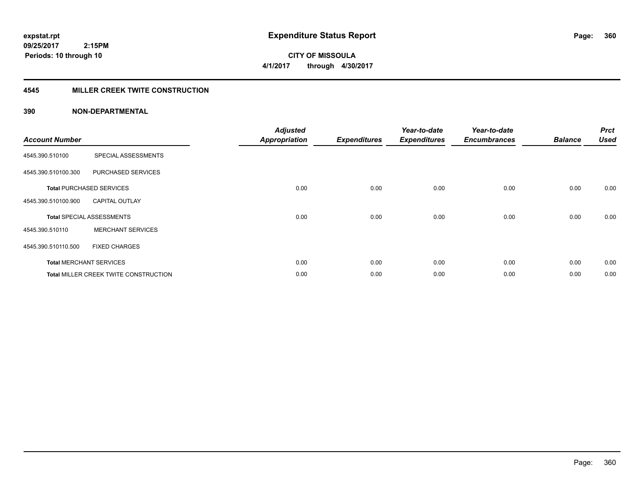**CITY OF MISSOULA 4/1/2017 through 4/30/2017**

### **4545 MILLER CREEK TWITE CONSTRUCTION**

| <b>Account Number</b> |                                       | <b>Adjusted</b><br><b>Appropriation</b> | <b>Expenditures</b> | Year-to-date<br><b>Expenditures</b> | Year-to-date<br><b>Encumbrances</b> | <b>Balance</b> | <b>Prct</b><br><b>Used</b> |
|-----------------------|---------------------------------------|-----------------------------------------|---------------------|-------------------------------------|-------------------------------------|----------------|----------------------------|
| 4545.390.510100       | SPECIAL ASSESSMENTS                   |                                         |                     |                                     |                                     |                |                            |
| 4545.390.510100.300   | PURCHASED SERVICES                    |                                         |                     |                                     |                                     |                |                            |
|                       | <b>Total PURCHASED SERVICES</b>       | 0.00                                    | 0.00                | 0.00                                | 0.00                                | 0.00           | 0.00                       |
| 4545.390.510100.900   | <b>CAPITAL OUTLAY</b>                 |                                         |                     |                                     |                                     |                |                            |
|                       | <b>Total SPECIAL ASSESSMENTS</b>      | 0.00                                    | 0.00                | 0.00                                | 0.00                                | 0.00           | 0.00                       |
| 4545.390.510110       | <b>MERCHANT SERVICES</b>              |                                         |                     |                                     |                                     |                |                            |
| 4545.390.510110.500   | <b>FIXED CHARGES</b>                  |                                         |                     |                                     |                                     |                |                            |
|                       | <b>Total MERCHANT SERVICES</b>        | 0.00                                    | 0.00                | 0.00                                | 0.00                                | 0.00           | 0.00                       |
|                       | Total MILLER CREEK TWITE CONSTRUCTION | 0.00                                    | 0.00                | 0.00                                | 0.00                                | 0.00           | 0.00                       |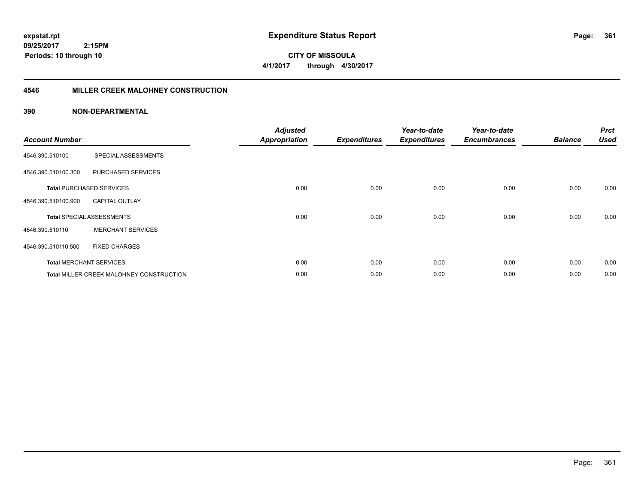**09/25/2017 2:15PM Periods: 10 through 10**

**CITY OF MISSOULA 4/1/2017 through 4/30/2017**

#### **4546 MILLER CREEK MALOHNEY CONSTRUCTION**

| <b>Account Number</b> |                                                 | <b>Adjusted</b><br><b>Appropriation</b> | <b>Expenditures</b> | Year-to-date<br><b>Expenditures</b> | Year-to-date<br><b>Encumbrances</b> | <b>Balance</b> | <b>Prct</b><br><b>Used</b> |
|-----------------------|-------------------------------------------------|-----------------------------------------|---------------------|-------------------------------------|-------------------------------------|----------------|----------------------------|
| 4546.390.510100       | SPECIAL ASSESSMENTS                             |                                         |                     |                                     |                                     |                |                            |
| 4546.390.510100.300   | PURCHASED SERVICES                              |                                         |                     |                                     |                                     |                |                            |
|                       | <b>Total PURCHASED SERVICES</b>                 | 0.00                                    | 0.00                | 0.00                                | 0.00                                | 0.00           | 0.00                       |
| 4546.390.510100.900   | <b>CAPITAL OUTLAY</b>                           |                                         |                     |                                     |                                     |                |                            |
|                       | <b>Total SPECIAL ASSESSMENTS</b>                | 0.00                                    | 0.00                | 0.00                                | 0.00                                | 0.00           | 0.00                       |
| 4546.390.510110       | <b>MERCHANT SERVICES</b>                        |                                         |                     |                                     |                                     |                |                            |
| 4546.390.510110.500   | <b>FIXED CHARGES</b>                            |                                         |                     |                                     |                                     |                |                            |
|                       | <b>Total MERCHANT SERVICES</b>                  | 0.00                                    | 0.00                | 0.00                                | 0.00                                | 0.00           | 0.00                       |
|                       | <b>Total MILLER CREEK MALOHNEY CONSTRUCTION</b> | 0.00                                    | 0.00                | 0.00                                | 0.00                                | 0.00           | 0.00                       |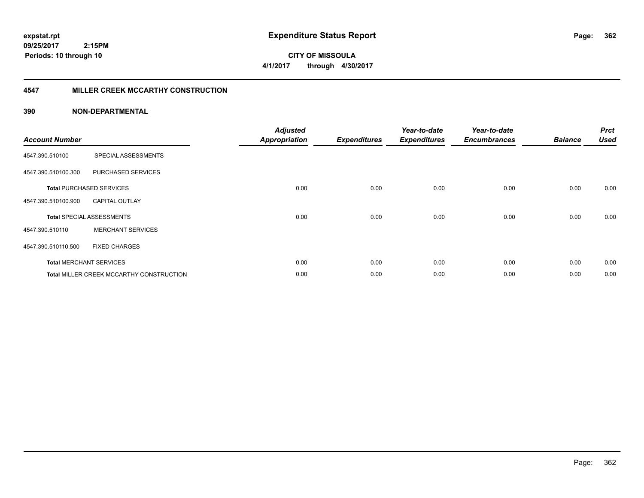**09/25/2017 2:15PM Periods: 10 through 10**

**CITY OF MISSOULA 4/1/2017 through 4/30/2017**

### **4547 MILLER CREEK MCCARTHY CONSTRUCTION**

| <b>Account Number</b> |                                                 | <b>Adjusted</b><br><b>Appropriation</b> | <b>Expenditures</b> | Year-to-date<br><b>Expenditures</b> | Year-to-date<br><b>Encumbrances</b> | <b>Balance</b> | <b>Prct</b><br><b>Used</b> |
|-----------------------|-------------------------------------------------|-----------------------------------------|---------------------|-------------------------------------|-------------------------------------|----------------|----------------------------|
| 4547.390.510100       | SPECIAL ASSESSMENTS                             |                                         |                     |                                     |                                     |                |                            |
| 4547.390.510100.300   | PURCHASED SERVICES                              |                                         |                     |                                     |                                     |                |                            |
|                       | <b>Total PURCHASED SERVICES</b>                 | 0.00                                    | 0.00                | 0.00                                | 0.00                                | 0.00           | 0.00                       |
| 4547.390.510100.900   | <b>CAPITAL OUTLAY</b>                           |                                         |                     |                                     |                                     |                |                            |
|                       | <b>Total SPECIAL ASSESSMENTS</b>                | 0.00                                    | 0.00                | 0.00                                | 0.00                                | 0.00           | 0.00                       |
| 4547.390.510110       | <b>MERCHANT SERVICES</b>                        |                                         |                     |                                     |                                     |                |                            |
| 4547.390.510110.500   | <b>FIXED CHARGES</b>                            |                                         |                     |                                     |                                     |                |                            |
|                       | <b>Total MERCHANT SERVICES</b>                  | 0.00                                    | 0.00                | 0.00                                | 0.00                                | 0.00           | 0.00                       |
|                       | <b>Total MILLER CREEK MCCARTHY CONSTRUCTION</b> | 0.00                                    | 0.00                | 0.00                                | 0.00                                | 0.00           | 0.00                       |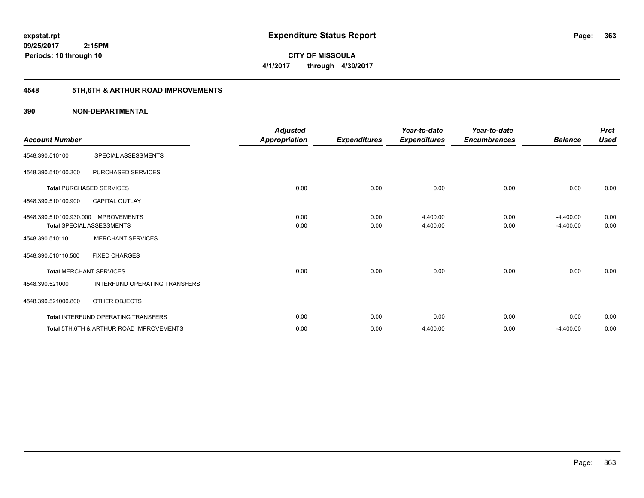**09/25/2017 2:15PM Periods: 10 through 10**

**CITY OF MISSOULA 4/1/2017 through 4/30/2017**

# **4548 5TH,6TH & ARTHUR ROAD IMPROVEMENTS**

| <b>Account Number</b>                |                                                     | <b>Adjusted</b><br><b>Appropriation</b> | <b>Expenditures</b> | Year-to-date<br><b>Expenditures</b> | Year-to-date<br><b>Encumbrances</b> | <b>Balance</b> | <b>Prct</b><br><b>Used</b> |
|--------------------------------------|-----------------------------------------------------|-----------------------------------------|---------------------|-------------------------------------|-------------------------------------|----------------|----------------------------|
| 4548.390.510100                      | SPECIAL ASSESSMENTS                                 |                                         |                     |                                     |                                     |                |                            |
| 4548.390.510100.300                  | PURCHASED SERVICES                                  |                                         |                     |                                     |                                     |                |                            |
|                                      | <b>Total PURCHASED SERVICES</b>                     | 0.00                                    | 0.00                | 0.00                                | 0.00                                | 0.00           | 0.00                       |
| 4548.390.510100.900                  | <b>CAPITAL OUTLAY</b>                               |                                         |                     |                                     |                                     |                |                            |
| 4548.390.510100.930.000 IMPROVEMENTS |                                                     | 0.00                                    | 0.00                | 4,400.00                            | 0.00                                | $-4,400.00$    | 0.00                       |
|                                      | <b>Total SPECIAL ASSESSMENTS</b>                    | 0.00                                    | 0.00                | 4,400.00                            | 0.00                                | $-4,400.00$    | 0.00                       |
| 4548.390.510110                      | <b>MERCHANT SERVICES</b>                            |                                         |                     |                                     |                                     |                |                            |
| 4548.390.510110.500                  | <b>FIXED CHARGES</b>                                |                                         |                     |                                     |                                     |                |                            |
|                                      | <b>Total MERCHANT SERVICES</b>                      | 0.00                                    | 0.00                | 0.00                                | 0.00                                | 0.00           | 0.00                       |
| 4548.390.521000                      | INTERFUND OPERATING TRANSFERS                       |                                         |                     |                                     |                                     |                |                            |
| 4548.390.521000.800                  | OTHER OBJECTS                                       |                                         |                     |                                     |                                     |                |                            |
|                                      | Total INTERFUND OPERATING TRANSFERS                 | 0.00                                    | 0.00                | 0.00                                | 0.00                                | 0.00           | 0.00                       |
|                                      | <b>Total 5TH.6TH &amp; ARTHUR ROAD IMPROVEMENTS</b> | 0.00                                    | 0.00                | 4,400.00                            | 0.00                                | $-4,400.00$    | 0.00                       |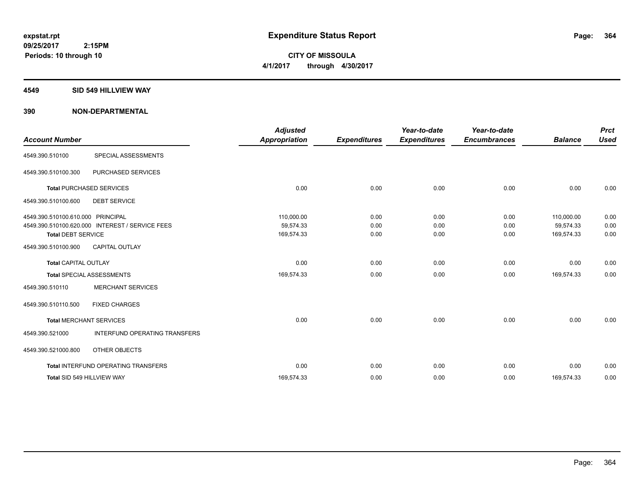**CITY OF MISSOULA 4/1/2017 through 4/30/2017**

#### **4549 SID 549 HILLVIEW WAY**

| <b>Account Number</b>                                          |                                                 | <b>Adjusted</b><br><b>Appropriation</b> | <b>Expenditures</b>  | Year-to-date<br><b>Expenditures</b> | Year-to-date<br><b>Encumbrances</b> | <b>Balance</b>                        | <b>Prct</b><br><b>Used</b> |
|----------------------------------------------------------------|-------------------------------------------------|-----------------------------------------|----------------------|-------------------------------------|-------------------------------------|---------------------------------------|----------------------------|
| 4549.390.510100                                                | SPECIAL ASSESSMENTS                             |                                         |                      |                                     |                                     |                                       |                            |
| 4549.390.510100.300                                            | PURCHASED SERVICES                              |                                         |                      |                                     |                                     |                                       |                            |
|                                                                | <b>Total PURCHASED SERVICES</b>                 | 0.00                                    | 0.00                 | 0.00                                | 0.00                                | 0.00                                  | 0.00                       |
| 4549.390.510100.600                                            | <b>DEBT SERVICE</b>                             |                                         |                      |                                     |                                     |                                       |                            |
| 4549.390.510100.610.000 PRINCIPAL<br><b>Total DEBT SERVICE</b> | 4549.390.510100.620.000 INTEREST / SERVICE FEES | 110,000.00<br>59,574.33<br>169,574.33   | 0.00<br>0.00<br>0.00 | 0.00<br>0.00<br>0.00                | 0.00<br>0.00<br>0.00                | 110,000.00<br>59.574.33<br>169,574.33 | 0.00<br>0.00<br>0.00       |
| 4549.390.510100.900                                            | <b>CAPITAL OUTLAY</b>                           |                                         |                      |                                     |                                     |                                       |                            |
| <b>Total CAPITAL OUTLAY</b>                                    |                                                 | 0.00                                    | 0.00                 | 0.00                                | 0.00                                | 0.00                                  | 0.00                       |
|                                                                | <b>Total SPECIAL ASSESSMENTS</b>                | 169,574.33                              | 0.00                 | 0.00                                | 0.00                                | 169,574.33                            | 0.00                       |
| 4549.390.510110                                                | MERCHANT SERVICES                               |                                         |                      |                                     |                                     |                                       |                            |
| 4549.390.510110.500                                            | <b>FIXED CHARGES</b>                            |                                         |                      |                                     |                                     |                                       |                            |
|                                                                | <b>Total MERCHANT SERVICES</b>                  | 0.00                                    | 0.00                 | 0.00                                | 0.00                                | 0.00                                  | 0.00                       |
| 4549.390.521000                                                | INTERFUND OPERATING TRANSFERS                   |                                         |                      |                                     |                                     |                                       |                            |
| 4549.390.521000.800                                            | OTHER OBJECTS                                   |                                         |                      |                                     |                                     |                                       |                            |
|                                                                | Total INTERFUND OPERATING TRANSFERS             | 0.00                                    | 0.00                 | 0.00                                | 0.00                                | 0.00                                  | 0.00                       |
|                                                                | Total SID 549 HILLVIEW WAY                      | 169,574.33                              | 0.00                 | 0.00                                | 0.00                                | 169,574.33                            | 0.00                       |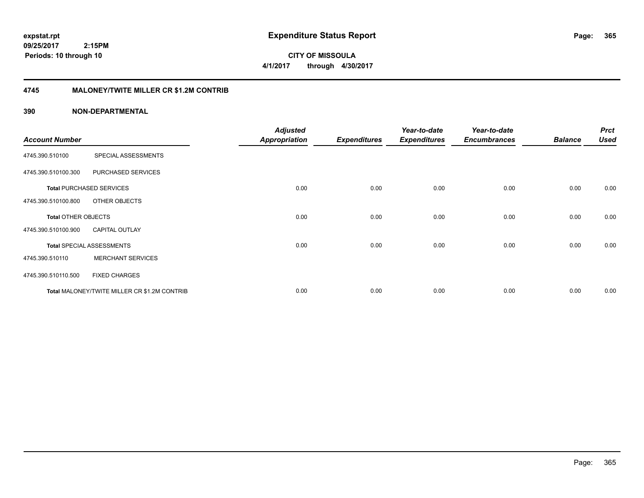**CITY OF MISSOULA 4/1/2017 through 4/30/2017**

## **4745 MALONEY/TWITE MILLER CR \$1.2M CONTRIB**

|                       |                                              | <b>Adjusted</b>      |                     | Year-to-date        | Year-to-date        |                | <b>Prct</b> |
|-----------------------|----------------------------------------------|----------------------|---------------------|---------------------|---------------------|----------------|-------------|
| <b>Account Number</b> |                                              | <b>Appropriation</b> | <b>Expenditures</b> | <b>Expenditures</b> | <b>Encumbrances</b> | <b>Balance</b> | <b>Used</b> |
| 4745.390.510100       | SPECIAL ASSESSMENTS                          |                      |                     |                     |                     |                |             |
| 4745.390.510100.300   | PURCHASED SERVICES                           |                      |                     |                     |                     |                |             |
|                       | <b>Total PURCHASED SERVICES</b>              | 0.00                 | 0.00                | 0.00                | 0.00                | 0.00           | 0.00        |
| 4745.390.510100.800   | OTHER OBJECTS                                |                      |                     |                     |                     |                |             |
| Total OTHER OBJECTS   |                                              | 0.00                 | 0.00                | 0.00                | 0.00                | 0.00           | 0.00        |
| 4745.390.510100.900   | <b>CAPITAL OUTLAY</b>                        |                      |                     |                     |                     |                |             |
|                       | <b>Total SPECIAL ASSESSMENTS</b>             | 0.00                 | 0.00                | 0.00                | 0.00                | 0.00           | 0.00        |
| 4745.390.510110       | <b>MERCHANT SERVICES</b>                     |                      |                     |                     |                     |                |             |
| 4745.390.510110.500   | <b>FIXED CHARGES</b>                         |                      |                     |                     |                     |                |             |
|                       | Total MALONEY/TWITE MILLER CR \$1.2M CONTRIB | 0.00                 | 0.00                | 0.00                | 0.00                | 0.00           | 0.00        |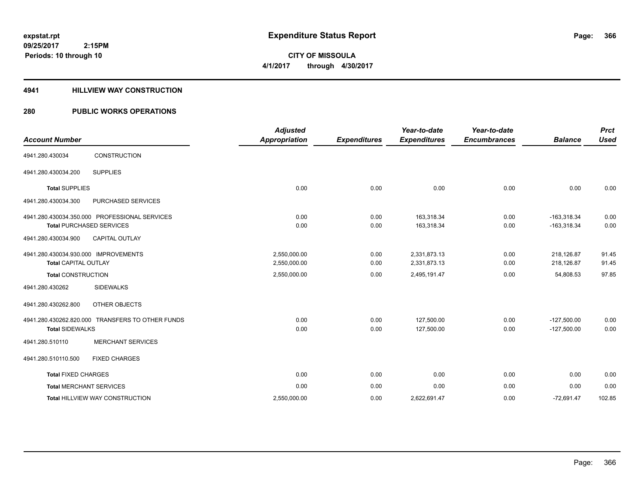# **CITY OF MISSOULA 4/1/2017 through 4/30/2017**

### **4941 HILLVIEW WAY CONSTRUCTION**

## **280 PUBLIC WORKS OPERATIONS**

| <b>Account Number</b>                                               |                                                                                  | <b>Adjusted</b><br><b>Appropriation</b> | <b>Expenditures</b> | Year-to-date<br><b>Expenditures</b> | Year-to-date<br><b>Encumbrances</b> | <b>Balance</b>                 | <b>Prct</b><br><b>Used</b> |
|---------------------------------------------------------------------|----------------------------------------------------------------------------------|-----------------------------------------|---------------------|-------------------------------------|-------------------------------------|--------------------------------|----------------------------|
| 4941.280.430034                                                     | <b>CONSTRUCTION</b>                                                              |                                         |                     |                                     |                                     |                                |                            |
| 4941.280.430034.200                                                 | <b>SUPPLIES</b>                                                                  |                                         |                     |                                     |                                     |                                |                            |
| <b>Total SUPPLIES</b>                                               |                                                                                  | 0.00                                    | 0.00                | 0.00                                | 0.00                                | 0.00                           | 0.00                       |
| 4941.280.430034.300                                                 | <b>PURCHASED SERVICES</b>                                                        |                                         |                     |                                     |                                     |                                |                            |
|                                                                     | 4941.280.430034.350.000 PROFESSIONAL SERVICES<br><b>Total PURCHASED SERVICES</b> | 0.00<br>0.00                            | 0.00<br>0.00        | 163,318.34<br>163,318.34            | 0.00<br>0.00                        | $-163,318.34$<br>$-163,318.34$ | 0.00<br>0.00               |
| 4941.280.430034.900                                                 | CAPITAL OUTLAY                                                                   |                                         |                     |                                     |                                     |                                |                            |
| 4941.280.430034.930.000 IMPROVEMENTS<br><b>Total CAPITAL OUTLAY</b> |                                                                                  | 2,550,000.00<br>2,550,000.00            | 0.00<br>0.00        | 2,331,873.13<br>2,331,873.13        | 0.00<br>0.00                        | 218,126.87<br>218,126.87       | 91.45<br>91.45             |
| <b>Total CONSTRUCTION</b>                                           |                                                                                  | 2,550,000.00                            | 0.00                | 2,495,191.47                        | 0.00                                | 54,808.53                      | 97.85                      |
| 4941.280.430262                                                     | <b>SIDEWALKS</b>                                                                 |                                         |                     |                                     |                                     |                                |                            |
| 4941.280.430262.800                                                 | OTHER OBJECTS                                                                    |                                         |                     |                                     |                                     |                                |                            |
| <b>Total SIDEWALKS</b>                                              | 4941.280.430262.820.000 TRANSFERS TO OTHER FUNDS                                 | 0.00<br>0.00                            | 0.00<br>0.00        | 127.500.00<br>127,500.00            | 0.00<br>0.00                        | $-127,500.00$<br>$-127,500.00$ | 0.00<br>0.00               |
| 4941.280.510110                                                     | <b>MERCHANT SERVICES</b>                                                         |                                         |                     |                                     |                                     |                                |                            |
| 4941.280.510110.500                                                 | <b>FIXED CHARGES</b>                                                             |                                         |                     |                                     |                                     |                                |                            |
| <b>Total FIXED CHARGES</b>                                          |                                                                                  | 0.00                                    | 0.00                | 0.00                                | 0.00                                | 0.00                           | 0.00                       |
|                                                                     | <b>Total MERCHANT SERVICES</b>                                                   | 0.00                                    | 0.00                | 0.00                                | 0.00                                | 0.00                           | 0.00                       |
|                                                                     | Total HILLVIEW WAY CONSTRUCTION                                                  | 2,550,000.00                            | 0.00                | 2,622,691.47                        | 0.00                                | $-72,691.47$                   | 102.85                     |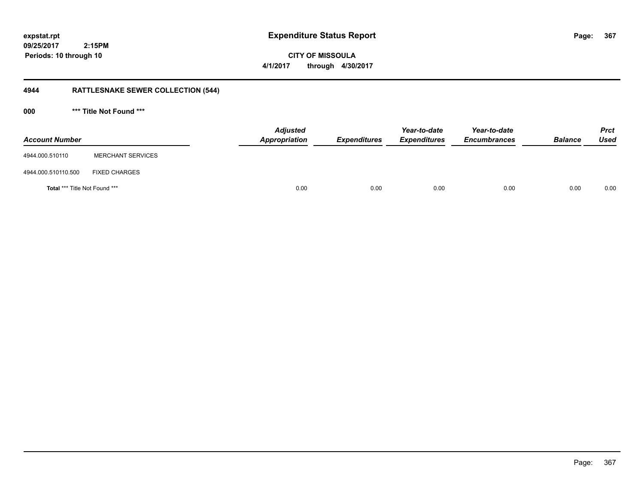**CITY OF MISSOULA 4/1/2017 through 4/30/2017**

# **4944 RATTLESNAKE SEWER COLLECTION (544)**

**000 \*\*\* Title Not Found \*\*\***

| <b>Account Number</b>         |                          | <b>Adjusted</b><br>Appropriation | <b>Expenditures</b> | Year-to-date<br><b>Expenditures</b> | Year-to-date<br><b>Encumbrances</b> | <b>Balance</b> | <b>Prct</b><br><b>Used</b> |
|-------------------------------|--------------------------|----------------------------------|---------------------|-------------------------------------|-------------------------------------|----------------|----------------------------|
| 4944.000.510110               | <b>MERCHANT SERVICES</b> |                                  |                     |                                     |                                     |                |                            |
| 4944.000.510110.500           | <b>FIXED CHARGES</b>     |                                  |                     |                                     |                                     |                |                            |
| Total *** Title Not Found *** |                          |                                  | 0.00<br>0.00        | 0.00                                | 0.00                                | 0.00           | 0.00                       |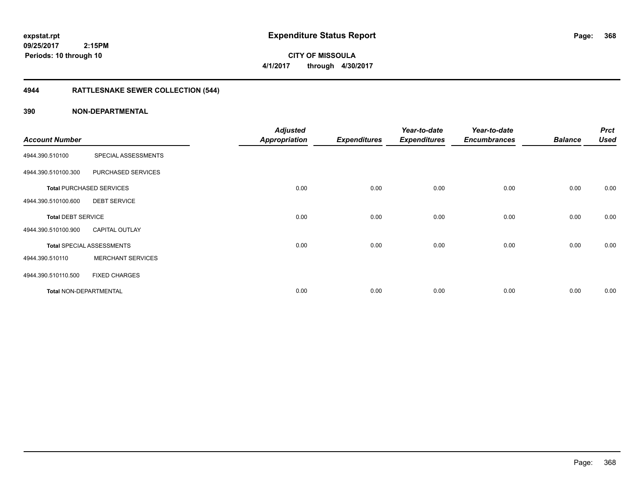# **CITY OF MISSOULA 4/1/2017 through 4/30/2017**

# **4944 RATTLESNAKE SEWER COLLECTION (544)**

|                           |                                  | <b>Adjusted</b>      |                     | Year-to-date        | Year-to-date        |                | <b>Prct</b> |
|---------------------------|----------------------------------|----------------------|---------------------|---------------------|---------------------|----------------|-------------|
| <b>Account Number</b>     |                                  | <b>Appropriation</b> | <b>Expenditures</b> | <b>Expenditures</b> | <b>Encumbrances</b> | <b>Balance</b> | <b>Used</b> |
| 4944.390.510100           | SPECIAL ASSESSMENTS              |                      |                     |                     |                     |                |             |
| 4944.390.510100.300       | PURCHASED SERVICES               |                      |                     |                     |                     |                |             |
|                           | <b>Total PURCHASED SERVICES</b>  | 0.00                 | 0.00                | 0.00                | 0.00                | 0.00           | 0.00        |
| 4944.390.510100.600       | <b>DEBT SERVICE</b>              |                      |                     |                     |                     |                |             |
| <b>Total DEBT SERVICE</b> |                                  | 0.00                 | 0.00                | 0.00                | 0.00                | 0.00           | 0.00        |
| 4944.390.510100.900       | <b>CAPITAL OUTLAY</b>            |                      |                     |                     |                     |                |             |
|                           | <b>Total SPECIAL ASSESSMENTS</b> | 0.00                 | 0.00                | 0.00                | 0.00                | 0.00           | 0.00        |
| 4944.390.510110           | <b>MERCHANT SERVICES</b>         |                      |                     |                     |                     |                |             |
| 4944.390.510110.500       | <b>FIXED CHARGES</b>             |                      |                     |                     |                     |                |             |
| Total NON-DEPARTMENTAL    |                                  | 0.00                 | 0.00                | 0.00                | 0.00                | 0.00           | 0.00        |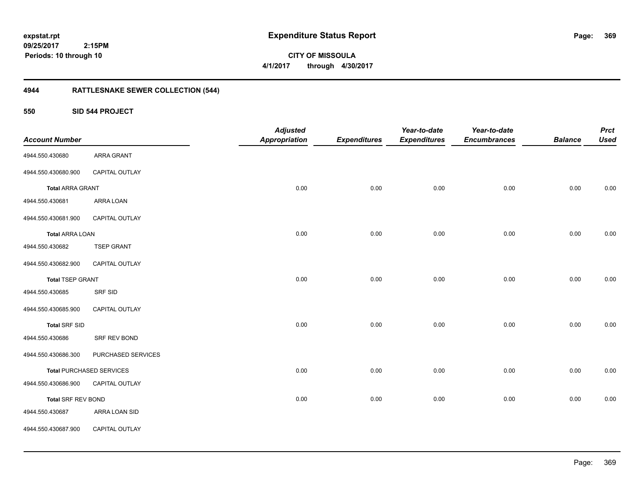**CITY OF MISSOULA 4/1/2017 through 4/30/2017**

# **4944 RATTLESNAKE SEWER COLLECTION (544)**

**550 SID 544 PROJECT**

| <b>Account Number</b>     |                                 | <b>Adjusted</b><br><b>Appropriation</b> | <b>Expenditures</b> | Year-to-date<br><b>Expenditures</b> | Year-to-date<br><b>Encumbrances</b> | <b>Balance</b> | <b>Prct</b><br><b>Used</b> |
|---------------------------|---------------------------------|-----------------------------------------|---------------------|-------------------------------------|-------------------------------------|----------------|----------------------------|
| 4944.550.430680           | <b>ARRA GRANT</b>               |                                         |                     |                                     |                                     |                |                            |
| 4944.550.430680.900       | CAPITAL OUTLAY                  |                                         |                     |                                     |                                     |                |                            |
|                           |                                 |                                         |                     |                                     |                                     |                |                            |
| <b>Total ARRA GRANT</b>   |                                 | 0.00                                    | 0.00                | 0.00                                | 0.00                                | 0.00           | 0.00                       |
| 4944.550.430681           | ARRA LOAN                       |                                         |                     |                                     |                                     |                |                            |
| 4944.550.430681.900       | CAPITAL OUTLAY                  |                                         |                     |                                     |                                     |                |                            |
| <b>Total ARRA LOAN</b>    |                                 | 0.00                                    | 0.00                | 0.00                                | 0.00                                | 0.00           | 0.00                       |
| 4944.550.430682           | <b>TSEP GRANT</b>               |                                         |                     |                                     |                                     |                |                            |
| 4944.550.430682.900       | CAPITAL OUTLAY                  |                                         |                     |                                     |                                     |                |                            |
| <b>Total TSEP GRANT</b>   |                                 | 0.00                                    | 0.00                | 0.00                                | 0.00                                | 0.00           | 0.00                       |
| 4944.550.430685           | SRF SID                         |                                         |                     |                                     |                                     |                |                            |
| 4944.550.430685.900       | CAPITAL OUTLAY                  |                                         |                     |                                     |                                     |                |                            |
| <b>Total SRF SID</b>      |                                 | 0.00                                    | 0.00                | 0.00                                | 0.00                                | 0.00           | 0.00                       |
| 4944.550.430686           | SRF REV BOND                    |                                         |                     |                                     |                                     |                |                            |
| 4944.550.430686.300       | PURCHASED SERVICES              |                                         |                     |                                     |                                     |                |                            |
|                           | <b>Total PURCHASED SERVICES</b> | 0.00                                    | 0.00                | 0.00                                | 0.00                                | 0.00           | $0.00\,$                   |
| 4944.550.430686.900       | CAPITAL OUTLAY                  |                                         |                     |                                     |                                     |                |                            |
| <b>Total SRF REV BOND</b> |                                 | 0.00                                    | 0.00                | 0.00                                | 0.00                                | 0.00           | 0.00                       |
| 4944.550.430687           | ARRA LOAN SID                   |                                         |                     |                                     |                                     |                |                            |
| 4944.550.430687.900       | CAPITAL OUTLAY                  |                                         |                     |                                     |                                     |                |                            |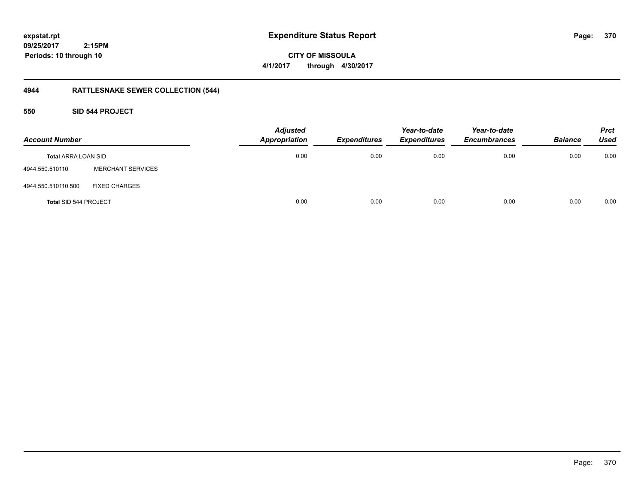**CITY OF MISSOULA 4/1/2017 through 4/30/2017**

# **4944 RATTLESNAKE SEWER COLLECTION (544)**

## **550 SID 544 PROJECT**

| <b>Account Number</b>        |                          | <b>Adjusted</b><br><b>Appropriation</b> | <b>Expenditures</b> | Year-to-date<br><b>Expenditures</b> | Year-to-date<br><b>Encumbrances</b> | <b>Balance</b> | <b>Prct</b><br><b>Used</b> |
|------------------------------|--------------------------|-----------------------------------------|---------------------|-------------------------------------|-------------------------------------|----------------|----------------------------|
| <b>Total ARRA LOAN SID</b>   |                          | 0.00                                    | 0.00                | 0.00                                | 0.00                                | 0.00           | 0.00                       |
| 4944.550.510110              | <b>MERCHANT SERVICES</b> |                                         |                     |                                     |                                     |                |                            |
| 4944.550.510110.500          | <b>FIXED CHARGES</b>     |                                         |                     |                                     |                                     |                |                            |
| <b>Total SID 544 PROJECT</b> |                          | 0.00                                    | 0.00                | 0.00                                | 0.00                                | 0.00           | 0.00                       |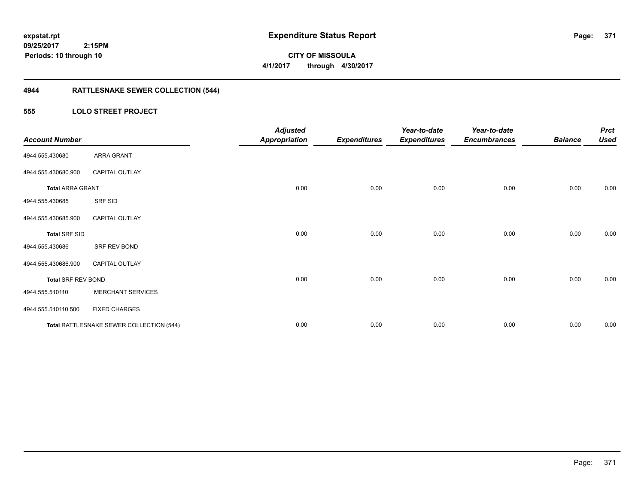**CITY OF MISSOULA 4/1/2017 through 4/30/2017**

# **4944 RATTLESNAKE SEWER COLLECTION (544)**

## **555 LOLO STREET PROJECT**

| <b>Account Number</b>     |                                          | <b>Adjusted</b><br><b>Appropriation</b> | <b>Expenditures</b> | Year-to-date<br><b>Expenditures</b> | Year-to-date<br><b>Encumbrances</b> | <b>Balance</b> | <b>Prct</b><br><b>Used</b> |
|---------------------------|------------------------------------------|-----------------------------------------|---------------------|-------------------------------------|-------------------------------------|----------------|----------------------------|
| 4944.555.430680           | <b>ARRA GRANT</b>                        |                                         |                     |                                     |                                     |                |                            |
| 4944.555.430680.900       | <b>CAPITAL OUTLAY</b>                    |                                         |                     |                                     |                                     |                |                            |
| <b>Total ARRA GRANT</b>   |                                          | 0.00                                    | 0.00                | 0.00                                | 0.00                                | 0.00           | 0.00                       |
| 4944.555.430685           | SRF SID                                  |                                         |                     |                                     |                                     |                |                            |
| 4944.555.430685.900       | <b>CAPITAL OUTLAY</b>                    |                                         |                     |                                     |                                     |                |                            |
| <b>Total SRF SID</b>      |                                          | 0.00                                    | 0.00                | 0.00                                | 0.00                                | 0.00           | 0.00                       |
| 4944.555.430686           | SRF REV BOND                             |                                         |                     |                                     |                                     |                |                            |
| 4944.555.430686.900       | <b>CAPITAL OUTLAY</b>                    |                                         |                     |                                     |                                     |                |                            |
| <b>Total SRF REV BOND</b> |                                          | 0.00                                    | 0.00                | 0.00                                | 0.00                                | 0.00           | 0.00                       |
| 4944.555.510110           | <b>MERCHANT SERVICES</b>                 |                                         |                     |                                     |                                     |                |                            |
| 4944.555.510110.500       | <b>FIXED CHARGES</b>                     |                                         |                     |                                     |                                     |                |                            |
|                           | Total RATTLESNAKE SEWER COLLECTION (544) | 0.00                                    | 0.00                | 0.00                                | 0.00                                | 0.00           | 0.00                       |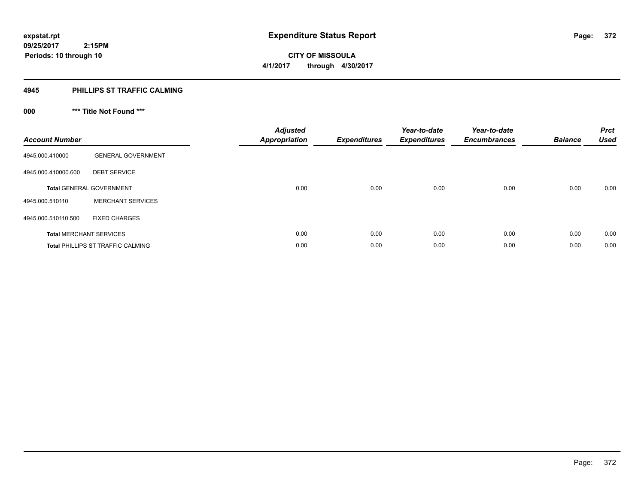**Periods: 10 through 10**

**CITY OF MISSOULA 4/1/2017 through 4/30/2017**

#### **4945 PHILLIPS ST TRAFFIC CALMING**

 **2:15PM**

# **000 \*\*\* Title Not Found \*\*\***

| <b>Account Number</b> |                                          | <b>Adjusted</b><br><b>Appropriation</b> | <b>Expenditures</b> | Year-to-date<br><b>Expenditures</b> | Year-to-date<br><b>Encumbrances</b> | <b>Balance</b> | <b>Prct</b><br><b>Used</b> |
|-----------------------|------------------------------------------|-----------------------------------------|---------------------|-------------------------------------|-------------------------------------|----------------|----------------------------|
| 4945.000.410000       | <b>GENERAL GOVERNMENT</b>                |                                         |                     |                                     |                                     |                |                            |
| 4945.000.410000.600   | <b>DEBT SERVICE</b>                      |                                         |                     |                                     |                                     |                |                            |
|                       | <b>Total GENERAL GOVERNMENT</b>          | 0.00                                    | 0.00                | 0.00                                | 0.00                                | 0.00           | 0.00                       |
| 4945.000.510110       | <b>MERCHANT SERVICES</b>                 |                                         |                     |                                     |                                     |                |                            |
| 4945.000.510110.500   | <b>FIXED CHARGES</b>                     |                                         |                     |                                     |                                     |                |                            |
|                       | <b>Total MERCHANT SERVICES</b>           | 0.00                                    | 0.00                | 0.00                                | 0.00                                | 0.00           | 0.00                       |
|                       | <b>Total PHILLIPS ST TRAFFIC CALMING</b> | 0.00                                    | 0.00                | 0.00                                | 0.00                                | 0.00           | 0.00                       |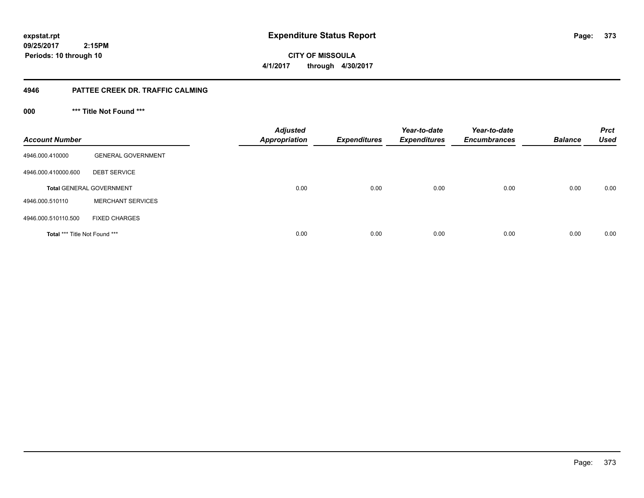**09/25/2017 2:15PM Periods: 10 through 10**

**CITY OF MISSOULA 4/1/2017 through 4/30/2017**

## **4946 PATTEE CREEK DR. TRAFFIC CALMING**

**000 \*\*\* Title Not Found \*\*\***

| <b>Account Number</b>                |                                 | <b>Adjusted</b><br><b>Appropriation</b> | <b>Expenditures</b> | Year-to-date<br><b>Expenditures</b> | Year-to-date<br><b>Encumbrances</b> | <b>Balance</b> | <b>Prct</b><br><b>Used</b> |
|--------------------------------------|---------------------------------|-----------------------------------------|---------------------|-------------------------------------|-------------------------------------|----------------|----------------------------|
| 4946.000.410000                      | <b>GENERAL GOVERNMENT</b>       |                                         |                     |                                     |                                     |                |                            |
| 4946.000.410000.600                  | <b>DEBT SERVICE</b>             |                                         |                     |                                     |                                     |                |                            |
|                                      | <b>Total GENERAL GOVERNMENT</b> | 0.00                                    | 0.00                | 0.00                                | 0.00                                | 0.00           | 0.00                       |
| 4946.000.510110                      | <b>MERCHANT SERVICES</b>        |                                         |                     |                                     |                                     |                |                            |
| 4946.000.510110.500                  | <b>FIXED CHARGES</b>            |                                         |                     |                                     |                                     |                |                            |
| <b>Total *** Title Not Found ***</b> |                                 | 0.00                                    | 0.00                | 0.00                                | 0.00                                | 0.00           | 0.00                       |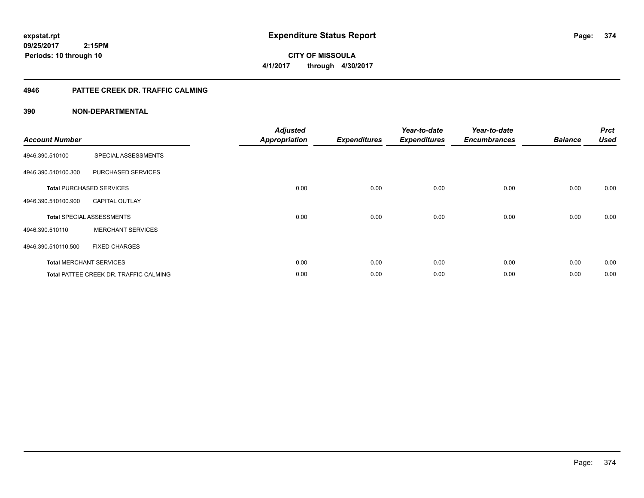**CITY OF MISSOULA 4/1/2017 through 4/30/2017**

## **4946 PATTEE CREEK DR. TRAFFIC CALMING**

| <b>Account Number</b> |                                               | <b>Adjusted</b><br><b>Appropriation</b> | <b>Expenditures</b> | Year-to-date<br><b>Expenditures</b> | Year-to-date<br><b>Encumbrances</b> | <b>Balance</b> | <b>Prct</b><br><b>Used</b> |
|-----------------------|-----------------------------------------------|-----------------------------------------|---------------------|-------------------------------------|-------------------------------------|----------------|----------------------------|
| 4946.390.510100       | SPECIAL ASSESSMENTS                           |                                         |                     |                                     |                                     |                |                            |
| 4946.390.510100.300   | PURCHASED SERVICES                            |                                         |                     |                                     |                                     |                |                            |
|                       | <b>Total PURCHASED SERVICES</b>               | 0.00                                    | 0.00                | 0.00                                | 0.00                                | 0.00           | 0.00                       |
| 4946.390.510100.900   | <b>CAPITAL OUTLAY</b>                         |                                         |                     |                                     |                                     |                |                            |
|                       | <b>Total SPECIAL ASSESSMENTS</b>              | 0.00                                    | 0.00                | 0.00                                | 0.00                                | 0.00           | 0.00                       |
| 4946.390.510110       | <b>MERCHANT SERVICES</b>                      |                                         |                     |                                     |                                     |                |                            |
| 4946.390.510110.500   | <b>FIXED CHARGES</b>                          |                                         |                     |                                     |                                     |                |                            |
|                       | <b>Total MERCHANT SERVICES</b>                | 0.00                                    | 0.00                | 0.00                                | 0.00                                | 0.00           | 0.00                       |
|                       | <b>Total PATTEE CREEK DR. TRAFFIC CALMING</b> | 0.00                                    | 0.00                | 0.00                                | 0.00                                | 0.00           | 0.00                       |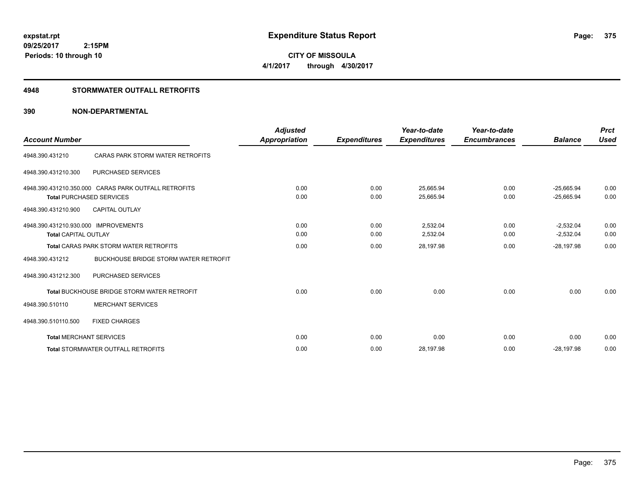**CITY OF MISSOULA 4/1/2017 through 4/30/2017**

## **4948 STORMWATER OUTFALL RETROFITS**

| <b>Account Number</b>                |                                                      | <b>Adjusted</b><br><b>Appropriation</b> | <b>Expenditures</b> | Year-to-date<br><b>Expenditures</b> | Year-to-date<br><b>Encumbrances</b> | <b>Balance</b> | <b>Prct</b><br><b>Used</b> |
|--------------------------------------|------------------------------------------------------|-----------------------------------------|---------------------|-------------------------------------|-------------------------------------|----------------|----------------------------|
|                                      |                                                      |                                         |                     |                                     |                                     |                |                            |
| 4948.390.431210                      | CARAS PARK STORM WATER RETROFITS                     |                                         |                     |                                     |                                     |                |                            |
| 4948.390.431210.300                  | <b>PURCHASED SERVICES</b>                            |                                         |                     |                                     |                                     |                |                            |
|                                      | 4948.390.431210.350.000 CARAS PARK OUTFALL RETROFITS | 0.00                                    | 0.00                | 25,665.94                           | 0.00                                | $-25,665.94$   | 0.00                       |
|                                      | <b>Total PURCHASED SERVICES</b>                      | 0.00                                    | 0.00                | 25,665.94                           | 0.00                                | $-25,665.94$   | 0.00                       |
| 4948.390.431210.900                  | <b>CAPITAL OUTLAY</b>                                |                                         |                     |                                     |                                     |                |                            |
| 4948.390.431210.930.000 IMPROVEMENTS |                                                      | 0.00                                    | 0.00                | 2,532.04                            | 0.00                                | $-2,532.04$    | 0.00                       |
| <b>Total CAPITAL OUTLAY</b>          |                                                      | 0.00                                    | 0.00                | 2,532.04                            | 0.00                                | $-2,532.04$    | 0.00                       |
|                                      | <b>Total CARAS PARK STORM WATER RETROFITS</b>        | 0.00                                    | 0.00                | 28,197.98                           | 0.00                                | $-28,197.98$   | 0.00                       |
| 4948.390.431212                      | <b>BUCKHOUSE BRIDGE STORM WATER RETROFIT</b>         |                                         |                     |                                     |                                     |                |                            |
| 4948.390.431212.300                  | <b>PURCHASED SERVICES</b>                            |                                         |                     |                                     |                                     |                |                            |
|                                      | <b>Total BUCKHOUSE BRIDGE STORM WATER RETROFIT</b>   | 0.00                                    | 0.00                | 0.00                                | 0.00                                | 0.00           | 0.00                       |
| 4948.390.510110                      | <b>MERCHANT SERVICES</b>                             |                                         |                     |                                     |                                     |                |                            |
| 4948.390.510110.500                  | <b>FIXED CHARGES</b>                                 |                                         |                     |                                     |                                     |                |                            |
|                                      | <b>Total MERCHANT SERVICES</b>                       | 0.00                                    | 0.00                | 0.00                                | 0.00                                | 0.00           | 0.00                       |
|                                      | <b>Total STORMWATER OUTFALL RETROFITS</b>            | 0.00                                    | 0.00                | 28,197.98                           | 0.00                                | $-28,197.98$   | 0.00                       |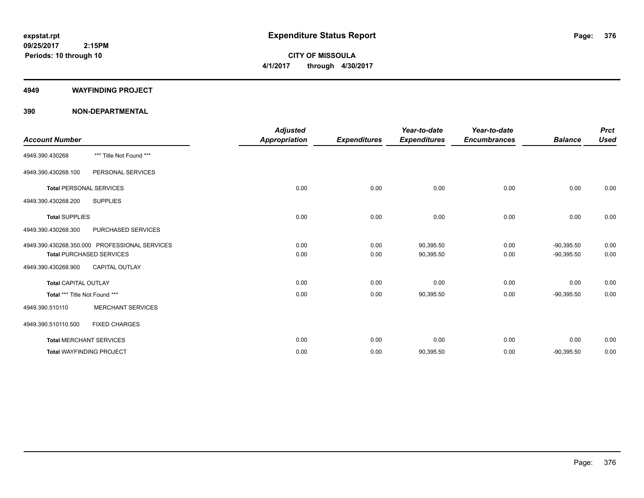**CITY OF MISSOULA 4/1/2017 through 4/30/2017**

#### **4949 WAYFINDING PROJECT**

|                                |                                               | <b>Adjusted</b>      |                     | Year-to-date        | Year-to-date        |                | <b>Prct</b> |
|--------------------------------|-----------------------------------------------|----------------------|---------------------|---------------------|---------------------|----------------|-------------|
| <b>Account Number</b>          |                                               | <b>Appropriation</b> | <b>Expenditures</b> | <b>Expenditures</b> | <b>Encumbrances</b> | <b>Balance</b> | <b>Used</b> |
| 4949.390.430268                | *** Title Not Found ***                       |                      |                     |                     |                     |                |             |
| 4949.390.430268.100            | PERSONAL SERVICES                             |                      |                     |                     |                     |                |             |
| <b>Total PERSONAL SERVICES</b> |                                               | 0.00                 | 0.00                | 0.00                | 0.00                | 0.00           | 0.00        |
| 4949.390.430268.200            | <b>SUPPLIES</b>                               |                      |                     |                     |                     |                |             |
| <b>Total SUPPLIES</b>          |                                               | 0.00                 | 0.00                | 0.00                | 0.00                | 0.00           | 0.00        |
| 4949.390.430268.300            | <b>PURCHASED SERVICES</b>                     |                      |                     |                     |                     |                |             |
|                                | 4949.390.430268.350.000 PROFESSIONAL SERVICES | 0.00                 | 0.00                | 90,395.50           | 0.00                | $-90,395.50$   | 0.00        |
|                                | <b>Total PURCHASED SERVICES</b>               | 0.00                 | 0.00                | 90,395.50           | 0.00                | $-90,395.50$   | 0.00        |
| 4949.390.430268.900            | <b>CAPITAL OUTLAY</b>                         |                      |                     |                     |                     |                |             |
| <b>Total CAPITAL OUTLAY</b>    |                                               | 0.00                 | 0.00                | 0.00                | 0.00                | 0.00           | 0.00        |
| Total *** Title Not Found ***  |                                               | 0.00                 | 0.00                | 90,395.50           | 0.00                | $-90,395.50$   | 0.00        |
| 4949.390.510110                | <b>MERCHANT SERVICES</b>                      |                      |                     |                     |                     |                |             |
| 4949.390.510110.500            | <b>FIXED CHARGES</b>                          |                      |                     |                     |                     |                |             |
|                                | <b>Total MERCHANT SERVICES</b>                | 0.00                 | 0.00                | 0.00                | 0.00                | 0.00           | 0.00        |
|                                | <b>Total WAYFINDING PROJECT</b>               | 0.00                 | 0.00                | 90,395.50           | 0.00                | $-90,395.50$   | 0.00        |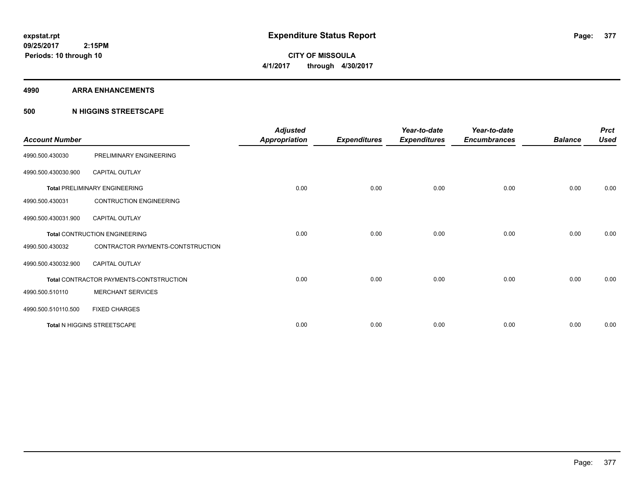**Periods: 10 through 10**

**CITY OF MISSOULA 4/1/2017 through 4/30/2017**

#### **4990 ARRA ENHANCEMENTS**

## **500 N HIGGINS STREETSCAPE**

| <b>Account Number</b> |                                         | <b>Adjusted</b><br><b>Appropriation</b> | <b>Expenditures</b> | Year-to-date<br><b>Expenditures</b> | Year-to-date<br><b>Encumbrances</b> | <b>Balance</b> | <b>Prct</b><br><b>Used</b> |
|-----------------------|-----------------------------------------|-----------------------------------------|---------------------|-------------------------------------|-------------------------------------|----------------|----------------------------|
| 4990.500.430030       | PRELIMINARY ENGINEERING                 |                                         |                     |                                     |                                     |                |                            |
| 4990.500.430030.900   | <b>CAPITAL OUTLAY</b>                   |                                         |                     |                                     |                                     |                |                            |
|                       | <b>Total PRELIMINARY ENGINEERING</b>    | 0.00                                    | 0.00                | 0.00                                | 0.00                                | 0.00           | 0.00                       |
| 4990.500.430031       | <b>CONTRUCTION ENGINEERING</b>          |                                         |                     |                                     |                                     |                |                            |
| 4990.500.430031.900   | <b>CAPITAL OUTLAY</b>                   |                                         |                     |                                     |                                     |                |                            |
|                       | <b>Total CONTRUCTION ENGINEERING</b>    | 0.00                                    | 0.00                | 0.00                                | 0.00                                | 0.00           | 0.00                       |
| 4990.500.430032       | CONTRACTOR PAYMENTS-CONTSTRUCTION       |                                         |                     |                                     |                                     |                |                            |
| 4990.500.430032.900   | <b>CAPITAL OUTLAY</b>                   |                                         |                     |                                     |                                     |                |                            |
|                       | Total CONTRACTOR PAYMENTS-CONTSTRUCTION | 0.00                                    | 0.00                | 0.00                                | 0.00                                | 0.00           | 0.00                       |
| 4990.500.510110       | <b>MERCHANT SERVICES</b>                |                                         |                     |                                     |                                     |                |                            |
| 4990.500.510110.500   | <b>FIXED CHARGES</b>                    |                                         |                     |                                     |                                     |                |                            |
|                       | Total N HIGGINS STREETSCAPE             | 0.00                                    | 0.00                | 0.00                                | 0.00                                | 0.00           | 0.00                       |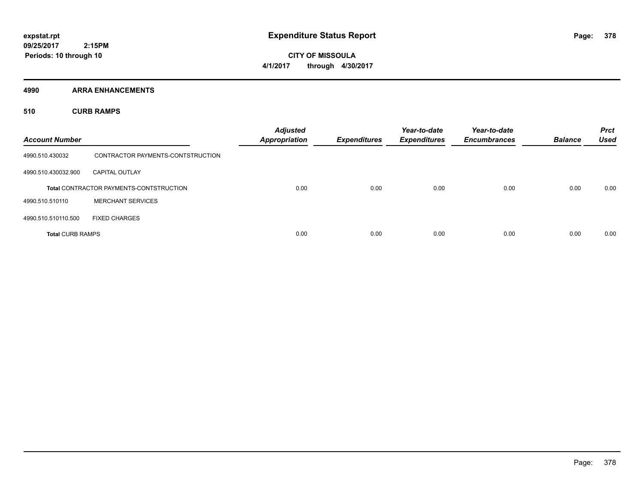**CITY OF MISSOULA 4/1/2017 through 4/30/2017**

**4990 ARRA ENHANCEMENTS**

**510 CURB RAMPS**

| <b>Account Number</b>   |                                                | <b>Adjusted</b><br><b>Appropriation</b> | <b>Expenditures</b> | Year-to-date<br><b>Expenditures</b> | Year-to-date<br><b>Encumbrances</b> | <b>Balance</b> | <b>Prct</b><br><b>Used</b> |
|-------------------------|------------------------------------------------|-----------------------------------------|---------------------|-------------------------------------|-------------------------------------|----------------|----------------------------|
| 4990.510.430032         | CONTRACTOR PAYMENTS-CONTSTRUCTION              |                                         |                     |                                     |                                     |                |                            |
| 4990.510.430032.900     | <b>CAPITAL OUTLAY</b>                          |                                         |                     |                                     |                                     |                |                            |
|                         | <b>Total CONTRACTOR PAYMENTS-CONTSTRUCTION</b> | 0.00                                    | 0.00                | 0.00                                | 0.00                                | 0.00           | 0.00                       |
| 4990.510.510110         | <b>MERCHANT SERVICES</b>                       |                                         |                     |                                     |                                     |                |                            |
| 4990.510.510110.500     | <b>FIXED CHARGES</b>                           |                                         |                     |                                     |                                     |                |                            |
| <b>Total CURB RAMPS</b> |                                                | 0.00                                    | 0.00                | 0.00                                | 0.00                                | 0.00           | 0.00                       |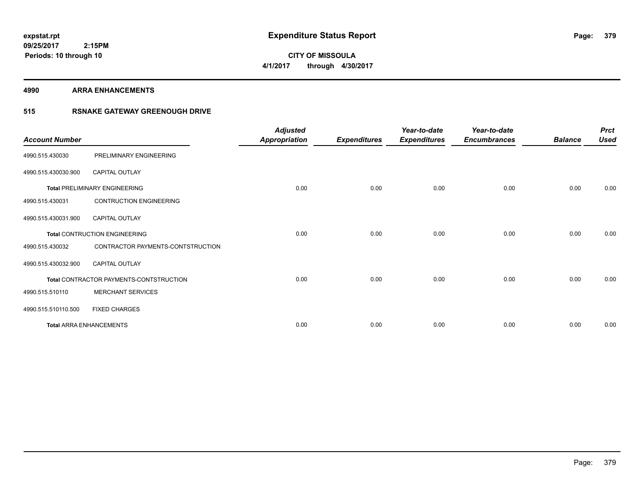**CITY OF MISSOULA 4/1/2017 through 4/30/2017**

#### **4990 ARRA ENHANCEMENTS**

## **515 RSNAKE GATEWAY GREENOUGH DRIVE**

| <b>Account Number</b> |                                         | <b>Adjusted</b><br><b>Appropriation</b> | <b>Expenditures</b> | Year-to-date<br><b>Expenditures</b> | Year-to-date<br><b>Encumbrances</b> | <b>Balance</b> | <b>Prct</b><br><b>Used</b> |
|-----------------------|-----------------------------------------|-----------------------------------------|---------------------|-------------------------------------|-------------------------------------|----------------|----------------------------|
| 4990.515.430030       | PRELIMINARY ENGINEERING                 |                                         |                     |                                     |                                     |                |                            |
| 4990.515.430030.900   | CAPITAL OUTLAY                          |                                         |                     |                                     |                                     |                |                            |
|                       | <b>Total PRELIMINARY ENGINEERING</b>    | 0.00                                    | 0.00                | 0.00                                | 0.00                                | 0.00           | 0.00                       |
| 4990.515.430031       | <b>CONTRUCTION ENGINEERING</b>          |                                         |                     |                                     |                                     |                |                            |
| 4990.515.430031.900   | <b>CAPITAL OUTLAY</b>                   |                                         |                     |                                     |                                     |                |                            |
|                       | <b>Total CONTRUCTION ENGINEERING</b>    | 0.00                                    | 0.00                | 0.00                                | 0.00                                | 0.00           | 0.00                       |
| 4990.515.430032       | CONTRACTOR PAYMENTS-CONTSTRUCTION       |                                         |                     |                                     |                                     |                |                            |
| 4990.515.430032.900   | <b>CAPITAL OUTLAY</b>                   |                                         |                     |                                     |                                     |                |                            |
|                       | Total CONTRACTOR PAYMENTS-CONTSTRUCTION | 0.00                                    | 0.00                | 0.00                                | 0.00                                | 0.00           | 0.00                       |
| 4990.515.510110       | <b>MERCHANT SERVICES</b>                |                                         |                     |                                     |                                     |                |                            |
| 4990.515.510110.500   | <b>FIXED CHARGES</b>                    |                                         |                     |                                     |                                     |                |                            |
|                       | <b>Total ARRA ENHANCEMENTS</b>          | 0.00                                    | 0.00                | 0.00                                | 0.00                                | 0.00           | 0.00                       |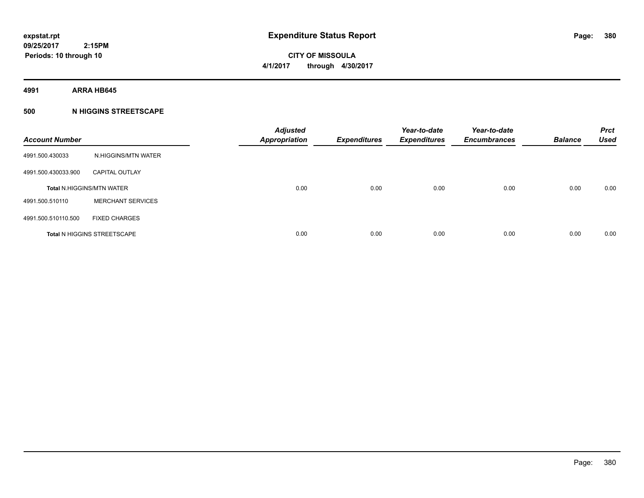**CITY OF MISSOULA 4/1/2017 through 4/30/2017**

**4991 ARRA HB645**

## **500 N HIGGINS STREETSCAPE**

| <b>Account Number</b> |                                    | <b>Adjusted</b><br><b>Appropriation</b> | <b>Expenditures</b> | Year-to-date<br><b>Expenditures</b> | Year-to-date<br><b>Encumbrances</b> | <b>Balance</b> | <b>Prct</b><br><b>Used</b> |
|-----------------------|------------------------------------|-----------------------------------------|---------------------|-------------------------------------|-------------------------------------|----------------|----------------------------|
| 4991.500.430033       | N.HIGGINS/MTN WATER                |                                         |                     |                                     |                                     |                |                            |
| 4991.500.430033.900   | <b>CAPITAL OUTLAY</b>              |                                         |                     |                                     |                                     |                |                            |
|                       | <b>Total N.HIGGINS/MTN WATER</b>   | 0.00                                    | 0.00                | 0.00                                | 0.00                                | 0.00           | 0.00                       |
| 4991.500.510110       | <b>MERCHANT SERVICES</b>           |                                         |                     |                                     |                                     |                |                            |
| 4991.500.510110.500   | <b>FIXED CHARGES</b>               |                                         |                     |                                     |                                     |                |                            |
|                       | <b>Total N HIGGINS STREETSCAPE</b> | 0.00                                    | 0.00                | 0.00                                | 0.00                                | 0.00           | 0.00                       |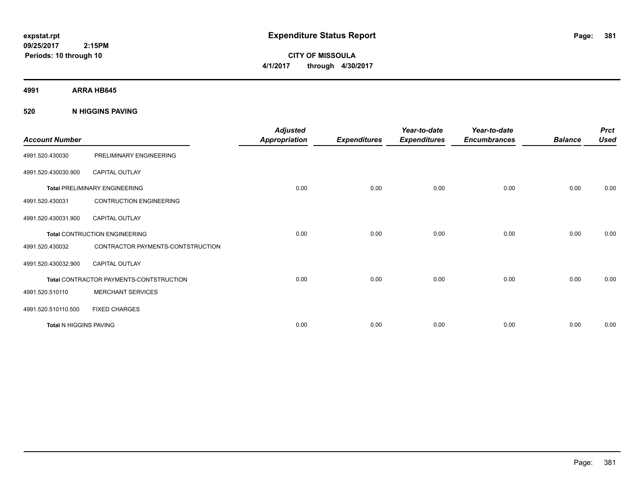**CITY OF MISSOULA 4/1/2017 through 4/30/2017**

**4991 ARRA HB645**

**520 N HIGGINS PAVING**

| <b>Account Number</b>  |                                         | <b>Adjusted</b><br><b>Appropriation</b> | <b>Expenditures</b> | Year-to-date<br><b>Expenditures</b> | Year-to-date<br><b>Encumbrances</b> | <b>Balance</b> | <b>Prct</b><br><b>Used</b> |
|------------------------|-----------------------------------------|-----------------------------------------|---------------------|-------------------------------------|-------------------------------------|----------------|----------------------------|
| 4991.520.430030        | PRELIMINARY ENGINEERING                 |                                         |                     |                                     |                                     |                |                            |
| 4991.520.430030.900    | <b>CAPITAL OUTLAY</b>                   |                                         |                     |                                     |                                     |                |                            |
|                        | <b>Total PRELIMINARY ENGINEERING</b>    | 0.00                                    | 0.00                | 0.00                                | 0.00                                | 0.00           | 0.00                       |
| 4991.520.430031        | <b>CONTRUCTION ENGINEERING</b>          |                                         |                     |                                     |                                     |                |                            |
| 4991.520.430031.900    | <b>CAPITAL OUTLAY</b>                   |                                         |                     |                                     |                                     |                |                            |
|                        | Total CONTRUCTION ENGINEERING           | 0.00                                    | 0.00                | 0.00                                | 0.00                                | 0.00           | 0.00                       |
| 4991.520.430032        | CONTRACTOR PAYMENTS-CONTSTRUCTION       |                                         |                     |                                     |                                     |                |                            |
| 4991.520.430032.900    | <b>CAPITAL OUTLAY</b>                   |                                         |                     |                                     |                                     |                |                            |
|                        | Total CONTRACTOR PAYMENTS-CONTSTRUCTION | 0.00                                    | 0.00                | 0.00                                | 0.00                                | 0.00           | 0.00                       |
| 4991.520.510110        | <b>MERCHANT SERVICES</b>                |                                         |                     |                                     |                                     |                |                            |
| 4991.520.510110.500    | <b>FIXED CHARGES</b>                    |                                         |                     |                                     |                                     |                |                            |
| Total N HIGGINS PAVING |                                         | 0.00                                    | 0.00                | 0.00                                | 0.00                                | 0.00           | 0.00                       |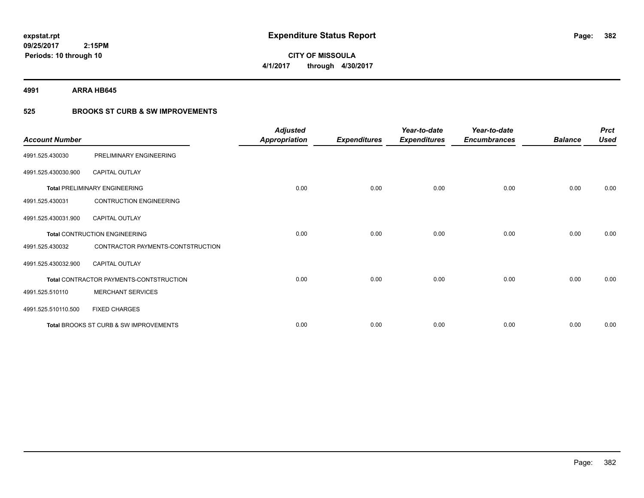**09/25/2017 2:15PM Periods: 10 through 10**

# **CITY OF MISSOULA 4/1/2017 through 4/30/2017**

**4991 ARRA HB645**

## **525 BROOKS ST CURB & SW IMPROVEMENTS**

| <b>Account Number</b> |                                         | <b>Adjusted</b><br><b>Appropriation</b> | <b>Expenditures</b> | Year-to-date<br><b>Expenditures</b> | Year-to-date<br><b>Encumbrances</b> | <b>Balance</b> | <b>Prct</b><br><b>Used</b> |
|-----------------------|-----------------------------------------|-----------------------------------------|---------------------|-------------------------------------|-------------------------------------|----------------|----------------------------|
| 4991.525.430030       | PRELIMINARY ENGINEERING                 |                                         |                     |                                     |                                     |                |                            |
| 4991.525.430030.900   | <b>CAPITAL OUTLAY</b>                   |                                         |                     |                                     |                                     |                |                            |
|                       | <b>Total PRELIMINARY ENGINEERING</b>    | 0.00                                    | 0.00                | 0.00                                | 0.00                                | 0.00           | 0.00                       |
| 4991.525.430031       | <b>CONTRUCTION ENGINEERING</b>          |                                         |                     |                                     |                                     |                |                            |
| 4991.525.430031.900   | <b>CAPITAL OUTLAY</b>                   |                                         |                     |                                     |                                     |                |                            |
|                       | <b>Total CONTRUCTION ENGINEERING</b>    | 0.00                                    | 0.00                | 0.00                                | 0.00                                | 0.00           | 0.00                       |
| 4991.525.430032       | CONTRACTOR PAYMENTS-CONTSTRUCTION       |                                         |                     |                                     |                                     |                |                            |
| 4991.525.430032.900   | <b>CAPITAL OUTLAY</b>                   |                                         |                     |                                     |                                     |                |                            |
|                       | Total CONTRACTOR PAYMENTS-CONTSTRUCTION | 0.00                                    | 0.00                | 0.00                                | 0.00                                | 0.00           | 0.00                       |
| 4991.525.510110       | <b>MERCHANT SERVICES</b>                |                                         |                     |                                     |                                     |                |                            |
| 4991.525.510110.500   | <b>FIXED CHARGES</b>                    |                                         |                     |                                     |                                     |                |                            |
|                       | Total BROOKS ST CURB & SW IMPROVEMENTS  | 0.00                                    | 0.00                | 0.00                                | 0.00                                | 0.00           | 0.00                       |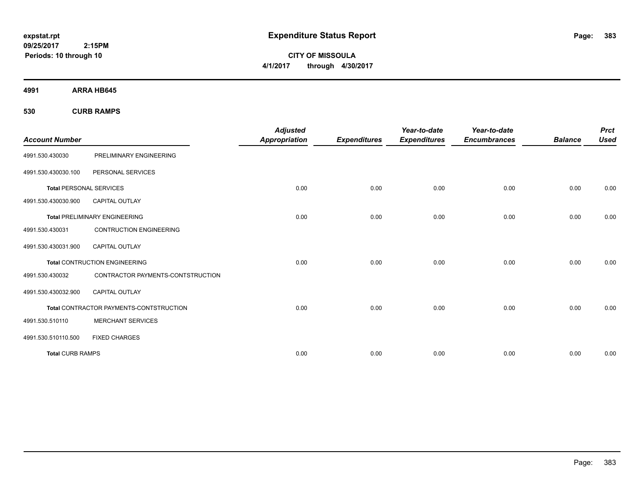**CITY OF MISSOULA 4/1/2017 through 4/30/2017**

**4991 ARRA HB645**

**530 CURB RAMPS**

| <b>Account Number</b>          |                                         | <b>Adjusted</b><br><b>Appropriation</b> | <b>Expenditures</b> | Year-to-date<br><b>Expenditures</b> | Year-to-date<br><b>Encumbrances</b> | <b>Balance</b> | <b>Prct</b><br><b>Used</b> |
|--------------------------------|-----------------------------------------|-----------------------------------------|---------------------|-------------------------------------|-------------------------------------|----------------|----------------------------|
| 4991.530.430030                | PRELIMINARY ENGINEERING                 |                                         |                     |                                     |                                     |                |                            |
| 4991.530.430030.100            | PERSONAL SERVICES                       |                                         |                     |                                     |                                     |                |                            |
| <b>Total PERSONAL SERVICES</b> |                                         | 0.00                                    | 0.00                | 0.00                                | 0.00                                | 0.00           | 0.00                       |
| 4991.530.430030.900            | <b>CAPITAL OUTLAY</b>                   |                                         |                     |                                     |                                     |                |                            |
|                                | <b>Total PRELIMINARY ENGINEERING</b>    | 0.00                                    | 0.00                | 0.00                                | 0.00                                | 0.00           | 0.00                       |
| 4991.530.430031                | <b>CONTRUCTION ENGINEERING</b>          |                                         |                     |                                     |                                     |                |                            |
| 4991.530.430031.900            | <b>CAPITAL OUTLAY</b>                   |                                         |                     |                                     |                                     |                |                            |
|                                | <b>Total CONTRUCTION ENGINEERING</b>    | 0.00                                    | 0.00                | 0.00                                | 0.00                                | 0.00           | 0.00                       |
| 4991.530.430032                | CONTRACTOR PAYMENTS-CONTSTRUCTION       |                                         |                     |                                     |                                     |                |                            |
| 4991.530.430032.900            | <b>CAPITAL OUTLAY</b>                   |                                         |                     |                                     |                                     |                |                            |
|                                | Total CONTRACTOR PAYMENTS-CONTSTRUCTION | 0.00                                    | 0.00                | 0.00                                | 0.00                                | 0.00           | 0.00                       |
| 4991.530.510110                | <b>MERCHANT SERVICES</b>                |                                         |                     |                                     |                                     |                |                            |
| 4991.530.510110.500            | <b>FIXED CHARGES</b>                    |                                         |                     |                                     |                                     |                |                            |
| <b>Total CURB RAMPS</b>        |                                         | 0.00                                    | 0.00                | 0.00                                | 0.00                                | 0.00           | 0.00                       |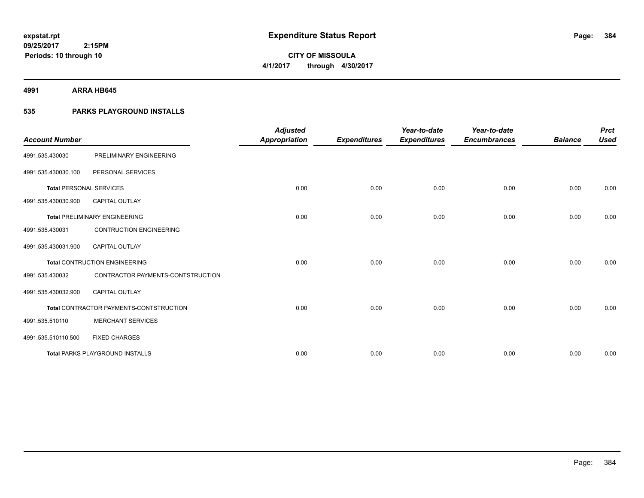**4991 ARRA HB645**

**Periods: 10 through 10**

## **535 PARKS PLAYGROUND INSTALLS**

 **2:15PM**

| <b>Account Number</b>          |                                         | <b>Adjusted</b> |                     | Year-to-date        | Year-to-date        |                | <b>Prct</b> |
|--------------------------------|-----------------------------------------|-----------------|---------------------|---------------------|---------------------|----------------|-------------|
|                                |                                         | Appropriation   | <b>Expenditures</b> | <b>Expenditures</b> | <b>Encumbrances</b> | <b>Balance</b> | <b>Used</b> |
| 4991.535.430030                | PRELIMINARY ENGINEERING                 |                 |                     |                     |                     |                |             |
| 4991.535.430030.100            | PERSONAL SERVICES                       |                 |                     |                     |                     |                |             |
| <b>Total PERSONAL SERVICES</b> |                                         | 0.00            | 0.00                | 0.00                | 0.00                | 0.00           | 0.00        |
| 4991.535.430030.900            | <b>CAPITAL OUTLAY</b>                   |                 |                     |                     |                     |                |             |
|                                | <b>Total PRELIMINARY ENGINEERING</b>    | 0.00            | 0.00                | 0.00                | 0.00                | 0.00           | 0.00        |
| 4991.535.430031                | <b>CONTRUCTION ENGINEERING</b>          |                 |                     |                     |                     |                |             |
| 4991.535.430031.900            | <b>CAPITAL OUTLAY</b>                   |                 |                     |                     |                     |                |             |
|                                | <b>Total CONTRUCTION ENGINEERING</b>    | 0.00            | 0.00                | 0.00                | 0.00                | 0.00           | 0.00        |
| 4991.535.430032                | CONTRACTOR PAYMENTS-CONTSTRUCTION       |                 |                     |                     |                     |                |             |
| 4991.535.430032.900            | <b>CAPITAL OUTLAY</b>                   |                 |                     |                     |                     |                |             |
|                                | Total CONTRACTOR PAYMENTS-CONTSTRUCTION | 0.00            | 0.00                | 0.00                | 0.00                | 0.00           | 0.00        |
| 4991.535.510110                | <b>MERCHANT SERVICES</b>                |                 |                     |                     |                     |                |             |
| 4991.535.510110.500            | <b>FIXED CHARGES</b>                    |                 |                     |                     |                     |                |             |
|                                | <b>Total PARKS PLAYGROUND INSTALLS</b>  | 0.00            | 0.00                | 0.00                | 0.00                | 0.00           | 0.00        |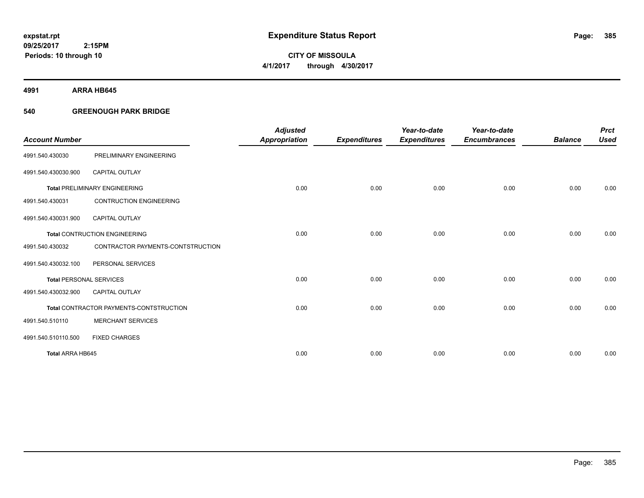**4991 ARRA HB645**

## **540 GREENOUGH PARK BRIDGE**

|                                |                                         | <b>Adjusted</b>      |                     | Year-to-date        | Year-to-date        |                | <b>Prct</b> |
|--------------------------------|-----------------------------------------|----------------------|---------------------|---------------------|---------------------|----------------|-------------|
| <b>Account Number</b>          |                                         | <b>Appropriation</b> | <b>Expenditures</b> | <b>Expenditures</b> | <b>Encumbrances</b> | <b>Balance</b> | <b>Used</b> |
| 4991.540.430030                | PRELIMINARY ENGINEERING                 |                      |                     |                     |                     |                |             |
| 4991.540.430030.900            | <b>CAPITAL OUTLAY</b>                   |                      |                     |                     |                     |                |             |
|                                | <b>Total PRELIMINARY ENGINEERING</b>    | 0.00                 | 0.00                | 0.00                | 0.00                | 0.00           | 0.00        |
| 4991.540.430031                | <b>CONTRUCTION ENGINEERING</b>          |                      |                     |                     |                     |                |             |
| 4991.540.430031.900            | <b>CAPITAL OUTLAY</b>                   |                      |                     |                     |                     |                |             |
|                                | <b>Total CONTRUCTION ENGINEERING</b>    | 0.00                 | 0.00                | 0.00                | 0.00                | 0.00           | 0.00        |
| 4991.540.430032                | CONTRACTOR PAYMENTS-CONTSTRUCTION       |                      |                     |                     |                     |                |             |
| 4991.540.430032.100            | PERSONAL SERVICES                       |                      |                     |                     |                     |                |             |
| <b>Total PERSONAL SERVICES</b> |                                         | 0.00                 | 0.00                | 0.00                | 0.00                | 0.00           | 0.00        |
| 4991.540.430032.900            | <b>CAPITAL OUTLAY</b>                   |                      |                     |                     |                     |                |             |
|                                | Total CONTRACTOR PAYMENTS-CONTSTRUCTION | 0.00                 | 0.00                | 0.00                | 0.00                | 0.00           | 0.00        |
| 4991.540.510110                | <b>MERCHANT SERVICES</b>                |                      |                     |                     |                     |                |             |
| 4991.540.510110.500            | <b>FIXED CHARGES</b>                    |                      |                     |                     |                     |                |             |
| <b>Total ARRA HB645</b>        |                                         | 0.00                 | 0.00                | 0.00                | 0.00                | 0.00           | 0.00        |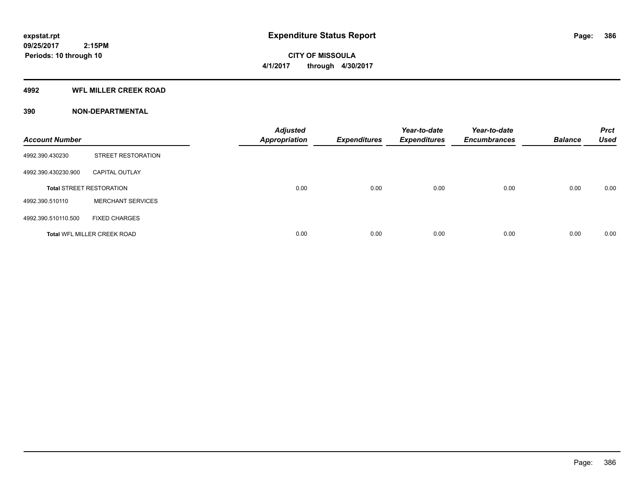#### **4992 WFL MILLER CREEK ROAD**

| <b>Account Number</b> |                                    | <b>Adjusted</b><br><b>Appropriation</b> | <b>Expenditures</b> | Year-to-date<br><b>Expenditures</b> | Year-to-date<br><b>Encumbrances</b> | <b>Balance</b> | <b>Prct</b><br><b>Used</b> |
|-----------------------|------------------------------------|-----------------------------------------|---------------------|-------------------------------------|-------------------------------------|----------------|----------------------------|
| 4992.390.430230       | STREET RESTORATION                 |                                         |                     |                                     |                                     |                |                            |
| 4992.390.430230.900   | <b>CAPITAL OUTLAY</b>              |                                         |                     |                                     |                                     |                |                            |
|                       | <b>Total STREET RESTORATION</b>    | 0.00                                    | 0.00                | 0.00                                | 0.00                                | 0.00           | 0.00                       |
| 4992.390.510110       | <b>MERCHANT SERVICES</b>           |                                         |                     |                                     |                                     |                |                            |
| 4992.390.510110.500   | <b>FIXED CHARGES</b>               |                                         |                     |                                     |                                     |                |                            |
|                       | <b>Total WFL MILLER CREEK ROAD</b> | 0.00                                    | 0.00                | 0.00                                | 0.00                                | 0.00           | 0.00                       |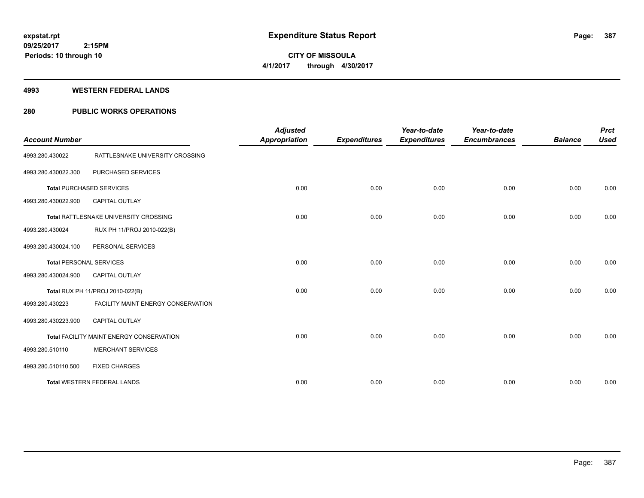**Periods: 10 through 10**

**CITY OF MISSOULA 4/1/2017 through 4/30/2017**

#### **4993 WESTERN FEDERAL LANDS**

 **2:15PM**

## **280 PUBLIC WORKS OPERATIONS**

| <b>Account Number</b>          |                                           | <b>Adjusted</b><br><b>Appropriation</b> | <b>Expenditures</b> | Year-to-date<br><b>Expenditures</b> | Year-to-date<br><b>Encumbrances</b> | <b>Balance</b> | <b>Prct</b><br><b>Used</b> |
|--------------------------------|-------------------------------------------|-----------------------------------------|---------------------|-------------------------------------|-------------------------------------|----------------|----------------------------|
| 4993.280.430022                | RATTLESNAKE UNIVERSITY CROSSING           |                                         |                     |                                     |                                     |                |                            |
| 4993.280.430022.300            | PURCHASED SERVICES                        |                                         |                     |                                     |                                     |                |                            |
|                                | <b>Total PURCHASED SERVICES</b>           | 0.00                                    | 0.00                | 0.00                                | 0.00                                | 0.00           | 0.00                       |
| 4993.280.430022.900            | <b>CAPITAL OUTLAY</b>                     |                                         |                     |                                     |                                     |                |                            |
|                                | Total RATTLESNAKE UNIVERSITY CROSSING     | 0.00                                    | 0.00                | 0.00                                | 0.00                                | 0.00           | 0.00                       |
| 4993.280.430024                | RUX PH 11/PROJ 2010-022(B)                |                                         |                     |                                     |                                     |                |                            |
| 4993.280.430024.100            | PERSONAL SERVICES                         |                                         |                     |                                     |                                     |                |                            |
| <b>Total PERSONAL SERVICES</b> |                                           | 0.00                                    | 0.00                | 0.00                                | 0.00                                | 0.00           | 0.00                       |
| 4993.280.430024.900            | <b>CAPITAL OUTLAY</b>                     |                                         |                     |                                     |                                     |                |                            |
|                                | Total RUX PH 11/PROJ 2010-022(B)          | 0.00                                    | 0.00                | 0.00                                | 0.00                                | 0.00           | 0.00                       |
| 4993.280.430223                | <b>FACILITY MAINT ENERGY CONSERVATION</b> |                                         |                     |                                     |                                     |                |                            |
| 4993.280.430223.900            | <b>CAPITAL OUTLAY</b>                     |                                         |                     |                                     |                                     |                |                            |
|                                | Total FACILITY MAINT ENERGY CONSERVATION  | 0.00                                    | 0.00                | 0.00                                | 0.00                                | 0.00           | 0.00                       |
| 4993.280.510110                | <b>MERCHANT SERVICES</b>                  |                                         |                     |                                     |                                     |                |                            |
| 4993.280.510110.500            | <b>FIXED CHARGES</b>                      |                                         |                     |                                     |                                     |                |                            |
|                                | <b>Total WESTERN FEDERAL LANDS</b>        | 0.00                                    | 0.00                | 0.00                                | 0.00                                | 0.00           | 0.00                       |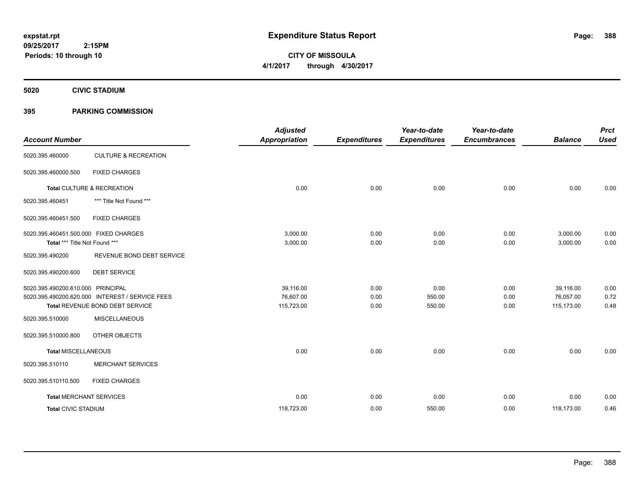**CITY OF MISSOULA 4/1/2017 through 4/30/2017**

**5020 CIVIC STADIUM**

## **395 PARKING COMMISSION**

| <b>Account Number</b>                                                  |                                                                                    | <b>Adjusted</b><br><b>Appropriation</b> | <b>Expenditures</b>  | Year-to-date<br><b>Expenditures</b> | Year-to-date<br><b>Encumbrances</b> | <b>Balance</b>                       | <b>Prct</b><br><b>Used</b> |
|------------------------------------------------------------------------|------------------------------------------------------------------------------------|-----------------------------------------|----------------------|-------------------------------------|-------------------------------------|--------------------------------------|----------------------------|
| 5020.395.460000                                                        | <b>CULTURE &amp; RECREATION</b>                                                    |                                         |                      |                                     |                                     |                                      |                            |
| 5020.395.460000.500                                                    | <b>FIXED CHARGES</b>                                                               |                                         |                      |                                     |                                     |                                      |                            |
|                                                                        | Total CULTURE & RECREATION                                                         | 0.00                                    | 0.00                 | 0.00                                | 0.00                                | 0.00                                 | 0.00                       |
| 5020.395.460451                                                        | *** Title Not Found ***                                                            |                                         |                      |                                     |                                     |                                      |                            |
| 5020.395.460451.500                                                    | <b>FIXED CHARGES</b>                                                               |                                         |                      |                                     |                                     |                                      |                            |
| 5020.395.460451.500.000 FIXED CHARGES<br>Total *** Title Not Found *** |                                                                                    | 3,000.00<br>3,000.00                    | 0.00<br>0.00         | 0.00<br>0.00                        | 0.00<br>0.00                        | 3,000.00<br>3,000.00                 | 0.00<br>0.00               |
| 5020.395.490200                                                        | REVENUE BOND DEBT SERVICE                                                          |                                         |                      |                                     |                                     |                                      |                            |
| 5020.395.490200.600                                                    | <b>DEBT SERVICE</b>                                                                |                                         |                      |                                     |                                     |                                      |                            |
| 5020.395.490200.610.000 PRINCIPAL                                      | 5020.395.490200.620.000 INTEREST / SERVICE FEES<br>Total REVENUE BOND DEBT SERVICE | 39,116.00<br>76,607.00<br>115,723.00    | 0.00<br>0.00<br>0.00 | 0.00<br>550.00<br>550.00            | 0.00<br>0.00<br>0.00                | 39,116.00<br>76,057.00<br>115,173.00 | 0.00<br>0.72<br>0.48       |
| 5020.395.510000                                                        | <b>MISCELLANEOUS</b>                                                               |                                         |                      |                                     |                                     |                                      |                            |
| 5020.395.510000.800                                                    | OTHER OBJECTS                                                                      |                                         |                      |                                     |                                     |                                      |                            |
| <b>Total MISCELLANEOUS</b>                                             |                                                                                    | 0.00                                    | 0.00                 | 0.00                                | 0.00                                | 0.00                                 | 0.00                       |
| 5020.395.510110                                                        | <b>MERCHANT SERVICES</b>                                                           |                                         |                      |                                     |                                     |                                      |                            |
| 5020.395.510110.500                                                    | <b>FIXED CHARGES</b>                                                               |                                         |                      |                                     |                                     |                                      |                            |
| <b>Total MERCHANT SERVICES</b>                                         |                                                                                    | 0.00                                    | 0.00                 | 0.00                                | 0.00                                | 0.00                                 | 0.00                       |
| <b>Total CIVIC STADIUM</b>                                             |                                                                                    | 118,723.00                              | 0.00                 | 550.00                              | 0.00                                | 118,173.00                           | 0.46                       |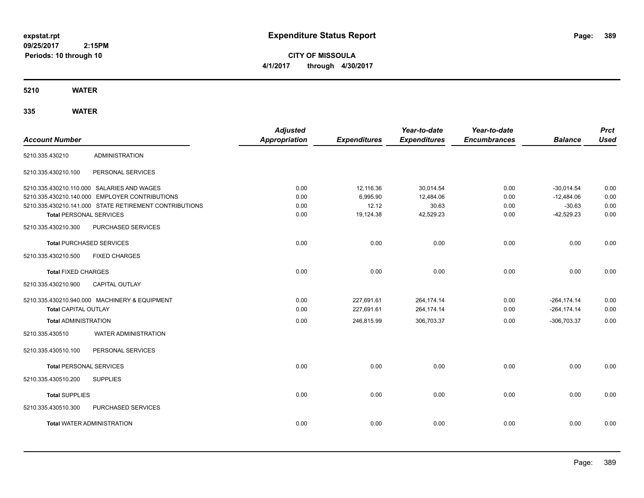**CITY OF MISSOULA 4/1/2017 through 4/30/2017**

**5210 WATER**

| <b>Account Number</b>          |                                                        | <b>Adjusted</b><br><b>Appropriation</b> | <b>Expenditures</b> | Year-to-date<br><b>Expenditures</b> | Year-to-date<br><b>Encumbrances</b> | <b>Balance</b> | <b>Prct</b><br><b>Used</b> |
|--------------------------------|--------------------------------------------------------|-----------------------------------------|---------------------|-------------------------------------|-------------------------------------|----------------|----------------------------|
| 5210.335.430210                | <b>ADMINISTRATION</b>                                  |                                         |                     |                                     |                                     |                |                            |
| 5210.335.430210.100            | PERSONAL SERVICES                                      |                                         |                     |                                     |                                     |                |                            |
|                                | 5210.335.430210.110.000 SALARIES AND WAGES             | 0.00                                    | 12,116.36           | 30,014.54                           | 0.00                                | $-30,014.54$   | 0.00                       |
|                                | 5210.335.430210.140.000 EMPLOYER CONTRIBUTIONS         | 0.00                                    | 6,995.90            | 12,484.06                           | 0.00                                | $-12,484.06$   | 0.00                       |
|                                | 5210.335.430210.141.000 STATE RETIREMENT CONTRIBUTIONS | 0.00                                    | 12.12               | 30.63                               | 0.00                                | $-30.63$       | 0.00                       |
| <b>Total PERSONAL SERVICES</b> |                                                        | 0.00                                    | 19,124.38           | 42,529.23                           | 0.00                                | $-42,529.23$   | 0.00                       |
| 5210.335.430210.300            | PURCHASED SERVICES                                     |                                         |                     |                                     |                                     |                |                            |
|                                | <b>Total PURCHASED SERVICES</b>                        | 0.00                                    | 0.00                | 0.00                                | 0.00                                | 0.00           | 0.00                       |
| 5210.335.430210.500            | <b>FIXED CHARGES</b>                                   |                                         |                     |                                     |                                     |                |                            |
| <b>Total FIXED CHARGES</b>     |                                                        | 0.00                                    | 0.00                | 0.00                                | 0.00                                | 0.00           | 0.00                       |
| 5210.335.430210.900            | <b>CAPITAL OUTLAY</b>                                  |                                         |                     |                                     |                                     |                |                            |
|                                | 5210.335.430210.940.000 MACHINERY & EQUIPMENT          | 0.00                                    | 227,691.61          | 264,174.14                          | 0.00                                | $-264, 174.14$ | 0.00                       |
| <b>Total CAPITAL OUTLAY</b>    |                                                        | 0.00                                    | 227,691.61          | 264,174.14                          | 0.00                                | $-264, 174.14$ | 0.00                       |
| <b>Total ADMINISTRATION</b>    |                                                        | 0.00                                    | 246,815.99          | 306,703.37                          | 0.00                                | $-306,703.37$  | 0.00                       |
| 5210.335.430510                | <b>WATER ADMINISTRATION</b>                            |                                         |                     |                                     |                                     |                |                            |
| 5210.335.430510.100            | PERSONAL SERVICES                                      |                                         |                     |                                     |                                     |                |                            |
| <b>Total PERSONAL SERVICES</b> |                                                        | 0.00                                    | 0.00                | 0.00                                | 0.00                                | 0.00           | 0.00                       |
| 5210.335.430510.200            | <b>SUPPLIES</b>                                        |                                         |                     |                                     |                                     |                |                            |
| <b>Total SUPPLIES</b>          |                                                        | 0.00                                    | 0.00                | 0.00                                | 0.00                                | 0.00           | 0.00                       |
| 5210.335.430510.300            | PURCHASED SERVICES                                     |                                         |                     |                                     |                                     |                |                            |
|                                | <b>Total WATER ADMINISTRATION</b>                      | 0.00                                    | 0.00                | 0.00                                | 0.00                                | 0.00           | 0.00                       |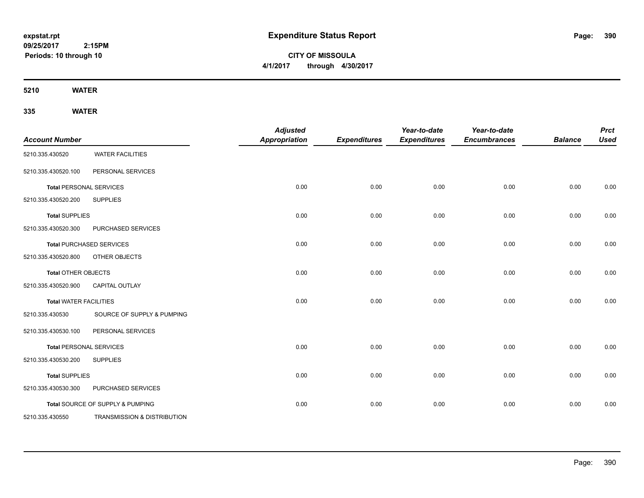**CITY OF MISSOULA 4/1/2017 through 4/30/2017**

**5210 WATER**

| <b>Account Number</b>         |                                  | <b>Adjusted</b><br><b>Appropriation</b> | <b>Expenditures</b> | Year-to-date<br><b>Expenditures</b> | Year-to-date<br><b>Encumbrances</b> | <b>Balance</b> | <b>Prct</b><br><b>Used</b> |
|-------------------------------|----------------------------------|-----------------------------------------|---------------------|-------------------------------------|-------------------------------------|----------------|----------------------------|
| 5210.335.430520               | <b>WATER FACILITIES</b>          |                                         |                     |                                     |                                     |                |                            |
| 5210.335.430520.100           | PERSONAL SERVICES                |                                         |                     |                                     |                                     |                |                            |
|                               | <b>Total PERSONAL SERVICES</b>   | 0.00                                    | 0.00                | 0.00                                | 0.00                                | 0.00           | 0.00                       |
| 5210.335.430520.200           | <b>SUPPLIES</b>                  |                                         |                     |                                     |                                     |                |                            |
| <b>Total SUPPLIES</b>         |                                  | 0.00                                    | 0.00                | 0.00                                | 0.00                                | 0.00           | 0.00                       |
| 5210.335.430520.300           | PURCHASED SERVICES               |                                         |                     |                                     |                                     |                |                            |
|                               | <b>Total PURCHASED SERVICES</b>  | 0.00                                    | 0.00                | 0.00                                | 0.00                                | 0.00           | 0.00                       |
| 5210.335.430520.800           | OTHER OBJECTS                    |                                         |                     |                                     |                                     |                |                            |
| <b>Total OTHER OBJECTS</b>    |                                  | 0.00                                    | 0.00                | 0.00                                | 0.00                                | 0.00           | 0.00                       |
| 5210.335.430520.900           | <b>CAPITAL OUTLAY</b>            |                                         |                     |                                     |                                     |                |                            |
| <b>Total WATER FACILITIES</b> |                                  | 0.00                                    | 0.00                | 0.00                                | 0.00                                | 0.00           | 0.00                       |
| 5210.335.430530               | SOURCE OF SUPPLY & PUMPING       |                                         |                     |                                     |                                     |                |                            |
| 5210.335.430530.100           | PERSONAL SERVICES                |                                         |                     |                                     |                                     |                |                            |
|                               | <b>Total PERSONAL SERVICES</b>   | 0.00                                    | 0.00                | 0.00                                | 0.00                                | 0.00           | 0.00                       |
| 5210.335.430530.200           | <b>SUPPLIES</b>                  |                                         |                     |                                     |                                     |                |                            |
| <b>Total SUPPLIES</b>         |                                  | 0.00                                    | 0.00                | 0.00                                | 0.00                                | 0.00           | 0.00                       |
| 5210.335.430530.300           | PURCHASED SERVICES               |                                         |                     |                                     |                                     |                |                            |
|                               | Total SOURCE OF SUPPLY & PUMPING | 0.00                                    | 0.00                | 0.00                                | 0.00                                | 0.00           | 0.00                       |
| 5210.335.430550               | TRANSMISSION & DISTRIBUTION      |                                         |                     |                                     |                                     |                |                            |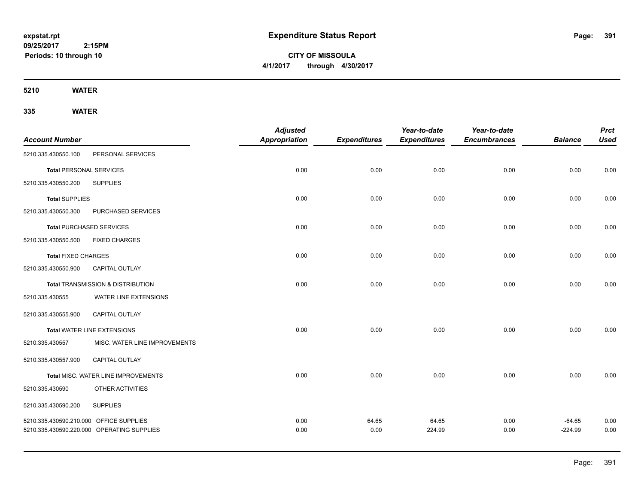**CITY OF MISSOULA 4/1/2017 through 4/30/2017**

**5210 WATER**

|                                         |                                            | <b>Adjusted</b>      |                     | Year-to-date        | Year-to-date        |                | <b>Prct</b> |
|-----------------------------------------|--------------------------------------------|----------------------|---------------------|---------------------|---------------------|----------------|-------------|
| <b>Account Number</b>                   |                                            | <b>Appropriation</b> | <b>Expenditures</b> | <b>Expenditures</b> | <b>Encumbrances</b> | <b>Balance</b> | <b>Used</b> |
| 5210.335.430550.100                     | PERSONAL SERVICES                          |                      |                     |                     |                     |                |             |
| <b>Total PERSONAL SERVICES</b>          |                                            | 0.00                 | 0.00                | 0.00                | 0.00                | 0.00           | 0.00        |
| 5210.335.430550.200                     | <b>SUPPLIES</b>                            |                      |                     |                     |                     |                |             |
| <b>Total SUPPLIES</b>                   |                                            | 0.00                 | 0.00                | 0.00                | 0.00                | 0.00           | 0.00        |
| 5210.335.430550.300                     | PURCHASED SERVICES                         |                      |                     |                     |                     |                |             |
| <b>Total PURCHASED SERVICES</b>         |                                            | 0.00                 | 0.00                | 0.00                | 0.00                | 0.00           | 0.00        |
| 5210.335.430550.500                     | <b>FIXED CHARGES</b>                       |                      |                     |                     |                     |                |             |
| <b>Total FIXED CHARGES</b>              |                                            | 0.00                 | 0.00                | 0.00                | 0.00                | 0.00           | 0.00        |
| 5210.335.430550.900                     | <b>CAPITAL OUTLAY</b>                      |                      |                     |                     |                     |                |             |
|                                         | Total TRANSMISSION & DISTRIBUTION          | 0.00                 | 0.00                | 0.00                | 0.00                | 0.00           | 0.00        |
| 5210.335.430555                         | WATER LINE EXTENSIONS                      |                      |                     |                     |                     |                |             |
| 5210.335.430555.900                     | <b>CAPITAL OUTLAY</b>                      |                      |                     |                     |                     |                |             |
|                                         | Total WATER LINE EXTENSIONS                | 0.00                 | 0.00                | 0.00                | 0.00                | 0.00           | 0.00        |
| 5210.335.430557                         | MISC. WATER LINE IMPROVEMENTS              |                      |                     |                     |                     |                |             |
| 5210.335.430557.900                     | <b>CAPITAL OUTLAY</b>                      |                      |                     |                     |                     |                |             |
|                                         | Total MISC. WATER LINE IMPROVEMENTS        | 0.00                 | 0.00                | 0.00                | 0.00                | 0.00           | 0.00        |
| 5210.335.430590                         | OTHER ACTIVITIES                           |                      |                     |                     |                     |                |             |
| 5210.335.430590.200                     | <b>SUPPLIES</b>                            |                      |                     |                     |                     |                |             |
| 5210.335.430590.210.000 OFFICE SUPPLIES |                                            | 0.00                 | 64.65               | 64.65               | 0.00                | $-64.65$       | 0.00        |
|                                         | 5210.335.430590.220.000 OPERATING SUPPLIES | 0.00                 | 0.00                | 224.99              | 0.00                | $-224.99$      | 0.00        |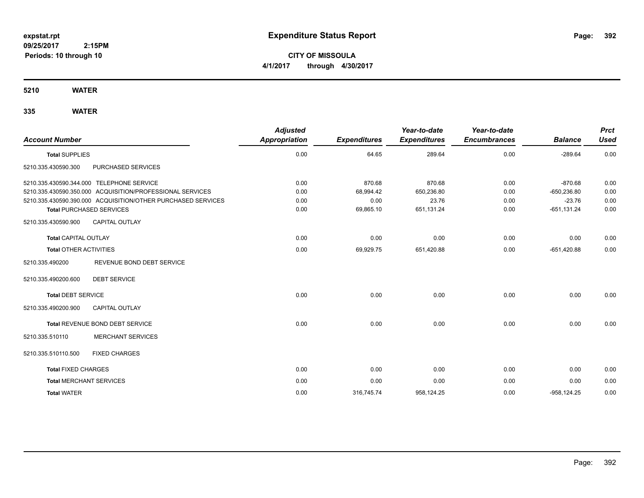**CITY OF MISSOULA 4/1/2017 through 4/30/2017**

**5210 WATER**

| <b>Account Number</b>          |                                                              | <b>Adjusted</b><br><b>Appropriation</b> | <b>Expenditures</b> | Year-to-date<br><b>Expenditures</b> | Year-to-date<br><b>Encumbrances</b> | <b>Balance</b> | <b>Prct</b><br><b>Used</b> |
|--------------------------------|--------------------------------------------------------------|-----------------------------------------|---------------------|-------------------------------------|-------------------------------------|----------------|----------------------------|
| <b>Total SUPPLIES</b>          |                                                              | 0.00                                    | 64.65               | 289.64                              | 0.00                                | $-289.64$      | 0.00                       |
| 5210.335.430590.300            | <b>PURCHASED SERVICES</b>                                    |                                         |                     |                                     |                                     |                |                            |
|                                | 5210.335.430590.344.000 TELEPHONE SERVICE                    | 0.00                                    | 870.68              | 870.68                              | 0.00                                | $-870.68$      | 0.00                       |
|                                | 5210.335.430590.350.000 ACQUISITION/PROFESSIONAL SERVICES    | 0.00                                    | 68,994.42           | 650,236.80                          | 0.00                                | $-650,236.80$  | 0.00                       |
|                                | 5210.335.430590.390.000 ACQUISITION/OTHER PURCHASED SERVICES | 0.00                                    | 0.00                | 23.76                               | 0.00                                | $-23.76$       | 0.00                       |
|                                | <b>Total PURCHASED SERVICES</b>                              | 0.00                                    | 69,865.10           | 651,131.24                          | 0.00                                | $-651, 131.24$ | 0.00                       |
| 5210.335.430590.900            | <b>CAPITAL OUTLAY</b>                                        |                                         |                     |                                     |                                     |                |                            |
| <b>Total CAPITAL OUTLAY</b>    |                                                              | 0.00                                    | 0.00                | 0.00                                | 0.00                                | 0.00           | 0.00                       |
| <b>Total OTHER ACTIVITIES</b>  |                                                              | 0.00                                    | 69,929.75           | 651,420.88                          | 0.00                                | $-651,420.88$  | 0.00                       |
| 5210.335.490200                | REVENUE BOND DEBT SERVICE                                    |                                         |                     |                                     |                                     |                |                            |
| 5210.335.490200.600            | <b>DEBT SERVICE</b>                                          |                                         |                     |                                     |                                     |                |                            |
| <b>Total DEBT SERVICE</b>      |                                                              | 0.00                                    | 0.00                | 0.00                                | 0.00                                | 0.00           | 0.00                       |
| 5210.335.490200.900            | <b>CAPITAL OUTLAY</b>                                        |                                         |                     |                                     |                                     |                |                            |
|                                | Total REVENUE BOND DEBT SERVICE                              | 0.00                                    | 0.00                | 0.00                                | 0.00                                | 0.00           | 0.00                       |
| 5210.335.510110                | <b>MERCHANT SERVICES</b>                                     |                                         |                     |                                     |                                     |                |                            |
| 5210.335.510110.500            | <b>FIXED CHARGES</b>                                         |                                         |                     |                                     |                                     |                |                            |
| <b>Total FIXED CHARGES</b>     |                                                              | 0.00                                    | 0.00                | 0.00                                | 0.00                                | 0.00           | 0.00                       |
| <b>Total MERCHANT SERVICES</b> |                                                              | 0.00                                    | 0.00                | 0.00                                | 0.00                                | 0.00           | 0.00                       |
| <b>Total WATER</b>             |                                                              | 0.00                                    | 316,745.74          | 958,124.25                          | 0.00                                | $-958, 124.25$ | 0.00                       |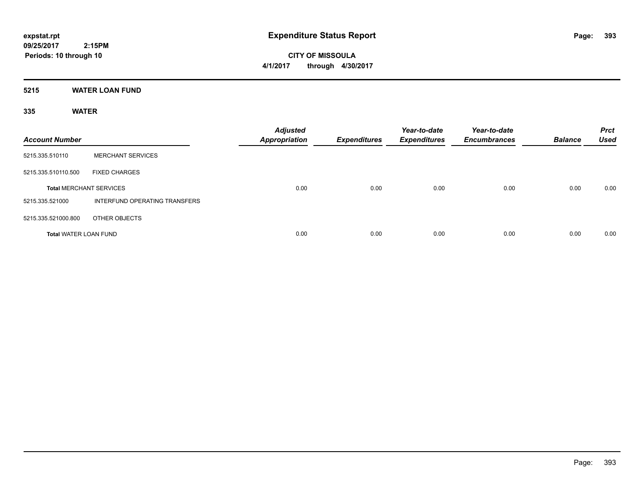**CITY OF MISSOULA 4/1/2017 through 4/30/2017**

**5215 WATER LOAN FUND**

| <b>Account Number</b>          |                               | <b>Adjusted</b><br><b>Appropriation</b> | <b>Expenditures</b> | Year-to-date<br><b>Expenditures</b> | Year-to-date<br><b>Encumbrances</b> | <b>Balance</b> | <b>Prct</b><br><b>Used</b> |
|--------------------------------|-------------------------------|-----------------------------------------|---------------------|-------------------------------------|-------------------------------------|----------------|----------------------------|
| 5215.335.510110                | <b>MERCHANT SERVICES</b>      |                                         |                     |                                     |                                     |                |                            |
| 5215.335.510110.500            | <b>FIXED CHARGES</b>          |                                         |                     |                                     |                                     |                |                            |
| <b>Total MERCHANT SERVICES</b> |                               | 0.00                                    | 0.00                | 0.00                                | 0.00                                | 0.00           | 0.00                       |
| 5215.335.521000                | INTERFUND OPERATING TRANSFERS |                                         |                     |                                     |                                     |                |                            |
| 5215.335.521000.800            | OTHER OBJECTS                 |                                         |                     |                                     |                                     |                |                            |
| <b>Total WATER LOAN FUND</b>   |                               | 0.00                                    | 0.00                | 0.00                                | 0.00                                | 0.00           | 0.00                       |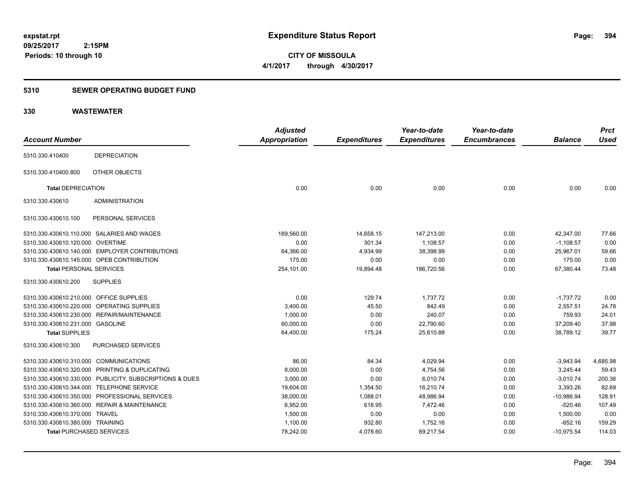**CITY OF MISSOULA 4/1/2017 through 4/30/2017**

## **5310 SEWER OPERATING BUDGET FUND**

## **330 WASTEWATER**

| <b>Account Number</b>                                   | <b>Adjusted</b><br><b>Appropriation</b> | <b>Expenditures</b> | Year-to-date<br><b>Expenditures</b> | Year-to-date<br><b>Encumbrances</b> | <b>Balance</b> | <b>Prct</b><br><b>Used</b> |
|---------------------------------------------------------|-----------------------------------------|---------------------|-------------------------------------|-------------------------------------|----------------|----------------------------|
| <b>DEPRECIATION</b><br>5310.330.410400                  |                                         |                     |                                     |                                     |                |                            |
| <b>OTHER OBJECTS</b><br>5310.330.410400.800             |                                         |                     |                                     |                                     |                |                            |
| <b>Total DEPRECIATION</b>                               | 0.00                                    | 0.00                | 0.00                                | 0.00                                | 0.00           | 0.00                       |
| <b>ADMINISTRATION</b><br>5310.330.430610                |                                         |                     |                                     |                                     |                |                            |
| 5310.330.430610.100<br>PERSONAL SERVICES                |                                         |                     |                                     |                                     |                |                            |
| 5310.330.430610.110.000 SALARIES AND WAGES              | 189,560.00                              | 14,658.15           | 147,213.00                          | 0.00                                | 42,347.00      | 77.66                      |
| 5310.330.430610.120.000 OVERTIME                        | 0.00                                    | 301.34              | 1,108.57                            | 0.00                                | $-1,108.57$    | 0.00                       |
| 5310.330.430610.140.000 EMPLOYER CONTRIBUTIONS          | 64,366.00                               | 4,934.99            | 38,398.99                           | 0.00                                | 25,967.01      | 59.66                      |
| 5310.330.430610.145.000 OPEB CONTRIBUTION               | 175.00                                  | 0.00                | 0.00                                | 0.00                                | 175.00         | 0.00                       |
| <b>Total PERSONAL SERVICES</b>                          | 254,101.00                              | 19,894.48           | 186,720.56                          | 0.00                                | 67,380.44      | 73.48                      |
| 5310.330.430610.200<br><b>SUPPLIES</b>                  |                                         |                     |                                     |                                     |                |                            |
| 5310.330.430610.210.000 OFFICE SUPPLIES                 | 0.00                                    | 129.74              | 1,737.72                            | 0.00                                | $-1,737.72$    | 0.00                       |
| 5310.330.430610.220.000 OPERATING SUPPLIES              | 3,400.00                                | 45.50               | 842.49                              | 0.00                                | 2,557.51       | 24.78                      |
| 5310.330.430610.230.000 REPAIR/MAINTENANCE              | 1,000.00                                | 0.00                | 240.07                              | 0.00                                | 759.93         | 24.01                      |
| 5310.330.430610.231.000 GASOLINE                        | 60,000.00                               | 0.00                | 22,790.60                           | 0.00                                | 37,209.40      | 37.98                      |
| <b>Total SUPPLIES</b>                                   | 64,400.00                               | 175.24              | 25,610.88                           | 0.00                                | 38,789.12      | 39.77                      |
| PURCHASED SERVICES<br>5310.330.430610.300               |                                         |                     |                                     |                                     |                |                            |
| 5310.330.430610.310.000 COMMUNICATIONS                  | 86.00                                   | 84.34               | 4,029.94                            | 0.00                                | $-3,943.94$    | 4,685.98                   |
| 5310.330.430610.320.000 PRINTING & DUPLICATING          | 8,000.00                                | 0.00                | 4,754.56                            | 0.00                                | 3,245.44       | 59.43                      |
| 5310.330.430610.330.000 PUBLICITY, SUBSCRIPTIONS & DUES | 3,000.00                                | 0.00                | 6,010.74                            | 0.00                                | $-3,010.74$    | 200.36                     |
| 5310.330.430610.344.000 TELEPHONE SERVICE               | 19,604.00                               | 1,354.50            | 16,210.74                           | 0.00                                | 3,393.26       | 82.69                      |
| 5310.330.430610.350.000 PROFESSIONAL SERVICES           | 38,000.00                               | 1,088.01            | 48,986.94                           | 0.00                                | $-10,986.94$   | 128.91                     |
| 5310.330.430610.360.000 REPAIR & MAINTENANCE            | 6.952.00                                | 618.95              | 7.472.46                            | 0.00                                | $-520.46$      | 107.49                     |
| 5310.330.430610.370.000 TRAVEL                          | 1,500.00                                | 0.00                | 0.00                                | 0.00                                | 1,500.00       | 0.00                       |
| 5310.330.430610.380.000 TRAINING                        | 1,100.00                                | 932.80              | 1,752.16                            | 0.00                                | $-652.16$      | 159.29                     |
| <b>Total PURCHASED SERVICES</b>                         | 78,242.00                               | 4,078.60            | 89,217.54                           | 0.00                                | $-10,975.54$   | 114.03                     |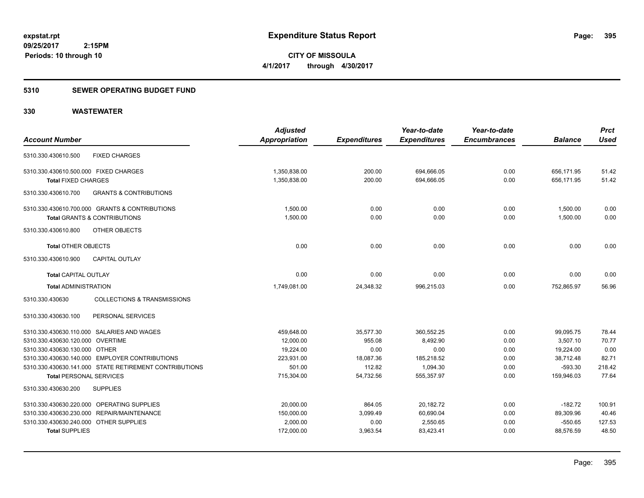**09/25/2017 2:15PM Periods: 10 through 10**

**CITY OF MISSOULA 4/1/2017 through 4/30/2017**

#### **5310 SEWER OPERATING BUDGET FUND**

## **330 WASTEWATER**

| <b>Account Number</b>                                               |                                                                                           | <b>Adjusted</b><br>Appropriation | <b>Expenditures</b> | Year-to-date<br><b>Expenditures</b> | Year-to-date<br><b>Encumbrances</b> | <b>Balance</b>           | <b>Prct</b><br>Used |
|---------------------------------------------------------------------|-------------------------------------------------------------------------------------------|----------------------------------|---------------------|-------------------------------------|-------------------------------------|--------------------------|---------------------|
| 5310.330.430610.500                                                 | <b>FIXED CHARGES</b>                                                                      |                                  |                     |                                     |                                     |                          |                     |
| 5310.330.430610.500.000 FIXED CHARGES<br><b>Total FIXED CHARGES</b> |                                                                                           | 1,350,838.00<br>1,350,838.00     | 200.00<br>200.00    | 694,666.05<br>694,666.05            | 0.00<br>0.00                        | 656,171.95<br>656,171.95 | 51.42<br>51.42      |
| 5310.330.430610.700                                                 | <b>GRANTS &amp; CONTRIBUTIONS</b>                                                         |                                  |                     |                                     |                                     |                          |                     |
|                                                                     | 5310.330.430610.700.000 GRANTS & CONTRIBUTIONS<br><b>Total GRANTS &amp; CONTRIBUTIONS</b> | 1.500.00<br>1,500.00             | 0.00<br>0.00        | 0.00<br>0.00                        | 0.00<br>0.00                        | 1,500.00<br>1,500.00     | 0.00<br>0.00        |
| 5310.330.430610.800                                                 | OTHER OBJECTS                                                                             |                                  |                     |                                     |                                     |                          |                     |
| <b>Total OTHER OBJECTS</b>                                          |                                                                                           | 0.00                             | 0.00                | 0.00                                | 0.00                                | 0.00                     | 0.00                |
| 5310.330.430610.900                                                 | <b>CAPITAL OUTLAY</b>                                                                     |                                  |                     |                                     |                                     |                          |                     |
| <b>Total CAPITAL OUTLAY</b>                                         |                                                                                           | 0.00                             | 0.00                | 0.00                                | 0.00                                | 0.00                     | 0.00                |
| <b>Total ADMINISTRATION</b>                                         |                                                                                           | 1,749,081.00                     | 24,348.32           | 996,215.03                          | 0.00                                | 752,865.97               | 56.96               |
| 5310.330.430630                                                     | <b>COLLECTIONS &amp; TRANSMISSIONS</b>                                                    |                                  |                     |                                     |                                     |                          |                     |
| 5310.330.430630.100                                                 | PERSONAL SERVICES                                                                         |                                  |                     |                                     |                                     |                          |                     |
|                                                                     | 5310.330.430630.110.000 SALARIES AND WAGES                                                | 459,648.00                       | 35,577.30           | 360,552.25                          | 0.00                                | 99,095.75                | 78.44               |
| 5310.330.430630.120.000 OVERTIME                                    |                                                                                           | 12,000.00                        | 955.08              | 8,492.90                            | 0.00                                | 3,507.10                 | 70.77               |
| 5310.330.430630.130.000 OTHER                                       |                                                                                           | 19,224.00                        | 0.00                | 0.00                                | 0.00                                | 19,224.00                | 0.00                |
|                                                                     | 5310.330.430630.140.000 EMPLOYER CONTRIBUTIONS                                            | 223,931.00                       | 18,087.36           | 185,218.52                          | 0.00                                | 38,712.48                | 82.71               |
|                                                                     | 5310.330.430630.141.000 STATE RETIREMENT CONTRIBUTIONS                                    | 501.00                           | 112.82              | 1,094.30                            | 0.00                                | $-593.30$                | 218.42              |
| <b>Total PERSONAL SERVICES</b>                                      |                                                                                           | 715,304.00                       | 54,732.56           | 555,357.97                          | 0.00                                | 159,946.03               | 77.64               |
| 5310.330.430630.200                                                 | <b>SUPPLIES</b>                                                                           |                                  |                     |                                     |                                     |                          |                     |
|                                                                     | 5310.330.430630.220.000 OPERATING SUPPLIES                                                | 20,000.00                        | 864.05              | 20,182.72                           | 0.00                                | $-182.72$                | 100.91              |
|                                                                     | 5310.330.430630.230.000 REPAIR/MAINTENANCE                                                | 150,000.00                       | 3,099.49            | 60,690.04                           | 0.00                                | 89,309.96                | 40.46               |
| 5310.330.430630.240.000 OTHER SUPPLIES                              |                                                                                           | 2,000.00                         | 0.00                | 2,550.65                            | 0.00                                | $-550.65$                | 127.53              |
| <b>Total SUPPLIES</b>                                               |                                                                                           | 172,000.00                       | 3,963.54            | 83,423.41                           | 0.00                                | 88,576.59                | 48.50               |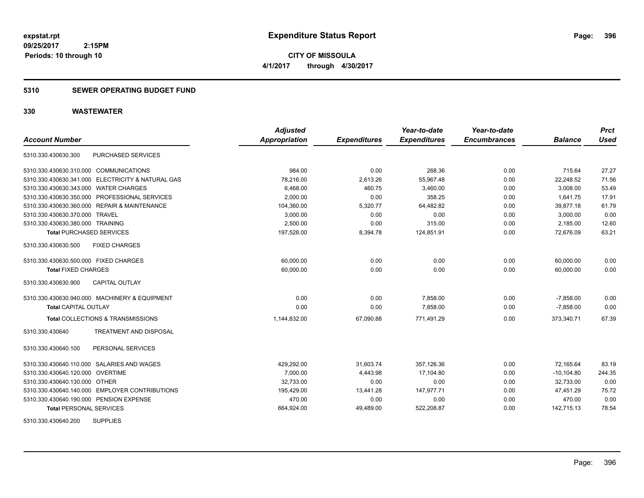### **5310 SEWER OPERATING BUDGET FUND**

## **330 WASTEWATER**

|                                                   | <b>Adjusted</b>      |                     | Year-to-date        | Year-to-date        |                | <b>Prct</b> |
|---------------------------------------------------|----------------------|---------------------|---------------------|---------------------|----------------|-------------|
| <b>Account Number</b>                             | <b>Appropriation</b> | <b>Expenditures</b> | <b>Expenditures</b> | <b>Encumbrances</b> | <b>Balance</b> | <b>Used</b> |
| <b>PURCHASED SERVICES</b><br>5310.330.430630.300  |                      |                     |                     |                     |                |             |
| 5310.330.430630.310.000 COMMUNICATIONS            | 984.00               | 0.00                | 268.36              | 0.00                | 715.64         | 27.27       |
| 5310.330.430630.341.000 ELECTRICITY & NATURAL GAS | 78,216.00            | 2,613.26            | 55,967.48           | 0.00                | 22,248.52      | 71.56       |
| 5310.330.430630.343.000 WATER CHARGES             | 6,468.00             | 460.75              | 3,460.00            | 0.00                | 3,008.00       | 53.49       |
| 5310.330.430630.350.000 PROFESSIONAL SERVICES     | 2,000.00             | 0.00                | 358.25              | 0.00                | 1,641.75       | 17.91       |
| 5310.330.430630.360.000 REPAIR & MAINTENANCE      | 104,360.00           | 5,320.77            | 64,482.82           | 0.00                | 39,877.18      | 61.79       |
| 5310.330.430630.370.000 TRAVEL                    | 3,000.00             | 0.00                | 0.00                | 0.00                | 3,000.00       | 0.00        |
| 5310.330.430630.380.000 TRAINING                  | 2,500.00             | 0.00                | 315.00              | 0.00                | 2,185.00       | 12.60       |
| <b>Total PURCHASED SERVICES</b>                   | 197,528.00           | 8,394.78            | 124,851.91          | 0.00                | 72.676.09      | 63.21       |
| 5310.330.430630.500<br><b>FIXED CHARGES</b>       |                      |                     |                     |                     |                |             |
| 5310.330.430630.500.000 FIXED CHARGES             | 60.000.00            | 0.00                | 0.00                | 0.00                | 60,000.00      | 0.00        |
| <b>Total FIXED CHARGES</b>                        | 60,000.00            | 0.00                | 0.00                | 0.00                | 60,000.00      | 0.00        |
| <b>CAPITAL OUTLAY</b><br>5310.330.430630.900      |                      |                     |                     |                     |                |             |
| 5310.330.430630.940.000 MACHINERY & EQUIPMENT     | 0.00                 | 0.00                | 7,858.00            | 0.00                | $-7,858.00$    | 0.00        |
| <b>Total CAPITAL OUTLAY</b>                       | 0.00                 | 0.00                | 7.858.00            | 0.00                | $-7.858.00$    | 0.00        |
| Total COLLECTIONS & TRANSMISSIONS                 | 1,144,832.00         | 67,090.88           | 771,491.29          | 0.00                | 373,340.71     | 67.39       |
| 5310.330.430640<br>TREATMENT AND DISPOSAL         |                      |                     |                     |                     |                |             |
| PERSONAL SERVICES<br>5310.330.430640.100          |                      |                     |                     |                     |                |             |
| 5310.330.430640.110.000 SALARIES AND WAGES        | 429.292.00           | 31,603.74           | 357.126.36          | 0.00                | 72.165.64      | 83.19       |
| 5310.330.430640.120.000 OVERTIME                  | 7,000.00             | 4,443.98            | 17,104.80           | 0.00                | $-10, 104.80$  | 244.35      |
| 5310.330.430640.130.000 OTHER                     | 32.733.00            | 0.00                | 0.00                | 0.00                | 32.733.00      | 0.00        |
| 5310.330.430640.140.000 EMPLOYER CONTRIBUTIONS    | 195,429.00           | 13,441.28           | 147,977.71          | 0.00                | 47.451.29      | 75.72       |
| 5310.330.430640.190.000 PENSION EXPENSE           | 470.00               | 0.00                | 0.00                | 0.00                | 470.00         | 0.00        |
| <b>Total PERSONAL SERVICES</b>                    | 664,924.00           | 49,489.00           | 522,208.87          | 0.00                | 142,715.13     | 78.54       |

5310.330.430640.200 SUPPLIES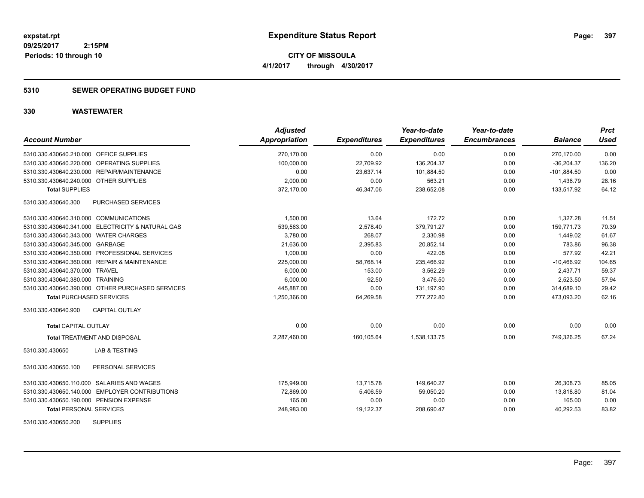# **5310 SEWER OPERATING BUDGET FUND**

| <b>Account Number</b>                             | <b>Adjusted</b><br><b>Appropriation</b> | <b>Expenditures</b> | Year-to-date<br><b>Expenditures</b> | Year-to-date<br><b>Encumbrances</b> | <b>Balance</b> | <b>Prct</b><br><b>Used</b> |
|---------------------------------------------------|-----------------------------------------|---------------------|-------------------------------------|-------------------------------------|----------------|----------------------------|
| 5310.330.430640.210.000 OFFICE SUPPLIES           | 270,170.00                              | 0.00                | 0.00                                | 0.00                                | 270,170.00     | 0.00                       |
| 5310.330.430640.220.000 OPERATING SUPPLIES        | 100,000.00                              | 22,709.92           | 136,204.37                          | 0.00                                | $-36,204.37$   | 136.20                     |
| 5310.330.430640.230.000 REPAIR/MAINTENANCE        | 0.00                                    | 23,637.14           | 101,884.50                          | 0.00                                | $-101,884.50$  | 0.00                       |
| 5310.330.430640.240.000 OTHER SUPPLIES            | 2,000.00                                | 0.00                | 563.21                              | 0.00                                | 1,436.79       | 28.16                      |
| <b>Total SUPPLIES</b>                             | 372,170.00                              | 46,347.06           | 238,652.08                          | 0.00                                | 133,517.92     | 64.12                      |
| PURCHASED SERVICES<br>5310.330.430640.300         |                                         |                     |                                     |                                     |                |                            |
| 5310.330.430640.310.000 COMMUNICATIONS            | 1,500.00                                | 13.64               | 172.72                              | 0.00                                | 1,327.28       | 11.51                      |
| 5310.330.430640.341.000 ELECTRICITY & NATURAL GAS | 539,563.00                              | 2,578.40            | 379,791.27                          | 0.00                                | 159,771.73     | 70.39                      |
| 5310.330.430640.343.000 WATER CHARGES             | 3,780.00                                | 268.07              | 2,330.98                            | 0.00                                | 1,449.02       | 61.67                      |
| 5310.330.430640.345.000 GARBAGE                   | 21,636.00                               | 2,395.83            | 20,852.14                           | 0.00                                | 783.86         | 96.38                      |
| 5310.330.430640.350.000 PROFESSIONAL SERVICES     | 1,000.00                                | 0.00                | 422.08                              | 0.00                                | 577.92         | 42.21                      |
| 5310.330.430640.360.000 REPAIR & MAINTENANCE      | 225,000.00                              | 58,768.14           | 235,466.92                          | 0.00                                | $-10,466.92$   | 104.65                     |
| 5310.330.430640.370.000 TRAVEL                    | 6,000.00                                | 153.00              | 3,562.29                            | 0.00                                | 2,437.71       | 59.37                      |
| 5310.330.430640.380.000 TRAINING                  | 6,000.00                                | 92.50               | 3,476.50                            | 0.00                                | 2,523.50       | 57.94                      |
| 5310.330.430640.390.000 OTHER PURCHASED SERVICES  | 445,887.00                              | 0.00                | 131,197.90                          | 0.00                                | 314,689.10     | 29.42                      |
| <b>Total PURCHASED SERVICES</b>                   | 1,250,366.00                            | 64,269.58           | 777,272.80                          | 0.00                                | 473,093.20     | 62.16                      |
| <b>CAPITAL OUTLAY</b><br>5310.330.430640.900      |                                         |                     |                                     |                                     |                |                            |
| <b>Total CAPITAL OUTLAY</b>                       | 0.00                                    | 0.00                | 0.00                                | 0.00                                | 0.00           | 0.00                       |
| <b>Total TREATMENT AND DISPOSAL</b>               | 2,287,460.00                            | 160,105.64          | 1,538,133.75                        | 0.00                                | 749,326.25     | 67.24                      |
| <b>LAB &amp; TESTING</b><br>5310.330.430650       |                                         |                     |                                     |                                     |                |                            |
| 5310.330.430650.100<br>PERSONAL SERVICES          |                                         |                     |                                     |                                     |                |                            |
| 5310.330.430650.110.000 SALARIES AND WAGES        | 175.949.00                              | 13,715.78           | 149,640.27                          | 0.00                                | 26.308.73      | 85.05                      |
| 5310.330.430650.140.000 EMPLOYER CONTRIBUTIONS    | 72,869.00                               | 5,406.59            | 59,050.20                           | 0.00                                | 13,818.80      | 81.04                      |
| 5310.330.430650.190.000 PENSION EXPENSE           | 165.00                                  | 0.00                | 0.00                                | 0.00                                | 165.00         | 0.00                       |
| <b>Total PERSONAL SERVICES</b>                    | 248,983.00                              | 19,122.37           | 208,690.47                          | 0.00                                | 40,292.53      | 83.82                      |
| <b>SUPPLIES</b><br>5310.330.430650.200            |                                         |                     |                                     |                                     |                |                            |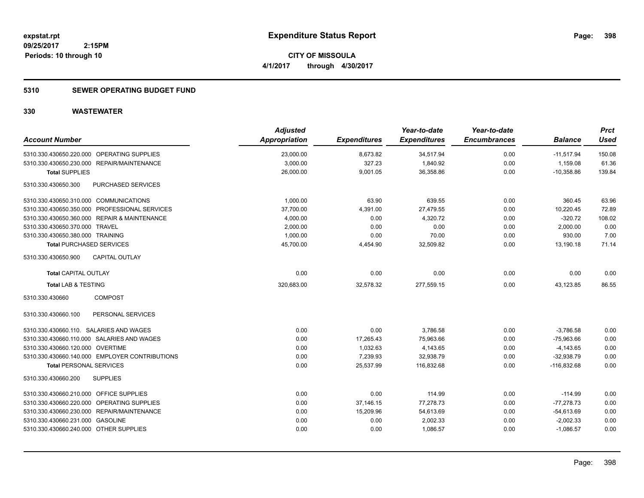# **5310 SEWER OPERATING BUDGET FUND**

| <b>Account Number</b>                          | <b>Adjusted</b><br><b>Appropriation</b> | <b>Expenditures</b> | Year-to-date<br><b>Expenditures</b> | Year-to-date<br><b>Encumbrances</b> | <b>Balance</b> | <b>Prct</b><br><b>Used</b> |
|------------------------------------------------|-----------------------------------------|---------------------|-------------------------------------|-------------------------------------|----------------|----------------------------|
| 5310.330.430650.220.000 OPERATING SUPPLIES     | 23,000.00                               | 8,673.82            | 34,517.94                           | 0.00                                | $-11,517.94$   | 150.08                     |
| 5310.330.430650.230.000 REPAIR/MAINTENANCE     | 3,000.00                                | 327.23              | 1,840.92                            | 0.00                                | 1,159.08       | 61.36                      |
| <b>Total SUPPLIES</b>                          | 26,000.00                               | 9,001.05            | 36,358.86                           | 0.00                                | $-10,358.86$   | 139.84                     |
| PURCHASED SERVICES<br>5310.330.430650.300      |                                         |                     |                                     |                                     |                |                            |
| 5310.330.430650.310.000 COMMUNICATIONS         | 1,000.00                                | 63.90               | 639.55                              | 0.00                                | 360.45         | 63.96                      |
| 5310.330.430650.350.000 PROFESSIONAL SERVICES  | 37,700.00                               | 4,391.00            | 27,479.55                           | 0.00                                | 10,220.45      | 72.89                      |
| 5310.330.430650.360.000 REPAIR & MAINTENANCE   | 4,000.00                                | 0.00                | 4,320.72                            | 0.00                                | $-320.72$      | 108.02                     |
| 5310.330.430650.370.000 TRAVEL                 | 2,000.00                                | 0.00                | 0.00                                | 0.00                                | 2,000.00       | 0.00                       |
| 5310.330.430650.380.000 TRAINING               | 1,000.00                                | 0.00                | 70.00                               | 0.00                                | 930.00         | 7.00                       |
| <b>Total PURCHASED SERVICES</b>                | 45,700.00                               | 4,454.90            | 32,509.82                           | 0.00                                | 13,190.18      | 71.14                      |
| <b>CAPITAL OUTLAY</b><br>5310.330.430650.900   |                                         |                     |                                     |                                     |                |                            |
| <b>Total CAPITAL OUTLAY</b>                    | 0.00                                    | 0.00                | 0.00                                | 0.00                                | 0.00           | 0.00                       |
| <b>Total LAB &amp; TESTING</b>                 | 320,683.00                              | 32,578.32           | 277,559.15                          | 0.00                                | 43,123.85      | 86.55                      |
| <b>COMPOST</b><br>5310.330.430660              |                                         |                     |                                     |                                     |                |                            |
| PERSONAL SERVICES<br>5310.330.430660.100       |                                         |                     |                                     |                                     |                |                            |
| 5310.330.430660.110. SALARIES AND WAGES        | 0.00                                    | 0.00                | 3,786.58                            | 0.00                                | $-3.786.58$    | 0.00                       |
| 5310.330.430660.110.000 SALARIES AND WAGES     | 0.00                                    | 17,265.43           | 75,963.66                           | 0.00                                | $-75,963.66$   | 0.00                       |
| 5310.330.430660.120.000 OVERTIME               | 0.00                                    | 1,032.63            | 4,143.65                            | 0.00                                | $-4,143.65$    | 0.00                       |
| 5310.330.430660.140.000 EMPLOYER CONTRIBUTIONS | 0.00                                    | 7,239.93            | 32,938.79                           | 0.00                                | $-32,938.79$   | 0.00                       |
| <b>Total PERSONAL SERVICES</b>                 | 0.00                                    | 25,537.99           | 116,832.68                          | 0.00                                | $-116,832.68$  | 0.00                       |
| <b>SUPPLIES</b><br>5310.330.430660.200         |                                         |                     |                                     |                                     |                |                            |
| 5310.330.430660.210.000 OFFICE SUPPLIES        | 0.00                                    | 0.00                | 114.99                              | 0.00                                | $-114.99$      | 0.00                       |
| 5310.330.430660.220.000 OPERATING SUPPLIES     | 0.00                                    | 37,146.15           | 77,278.73                           | 0.00                                | $-77,278.73$   | 0.00                       |
| 5310.330.430660.230.000 REPAIR/MAINTENANCE     | 0.00                                    | 15,209.96           | 54,613.69                           | 0.00                                | $-54,613.69$   | 0.00                       |
| 5310.330.430660.231.000 GASOLINE               | 0.00                                    | 0.00                | 2,002.33                            | 0.00                                | $-2,002.33$    | 0.00                       |
| 5310.330.430660.240.000 OTHER SUPPLIES         | 0.00                                    | 0.00                | 1,086.57                            | 0.00                                | $-1,086.57$    | 0.00                       |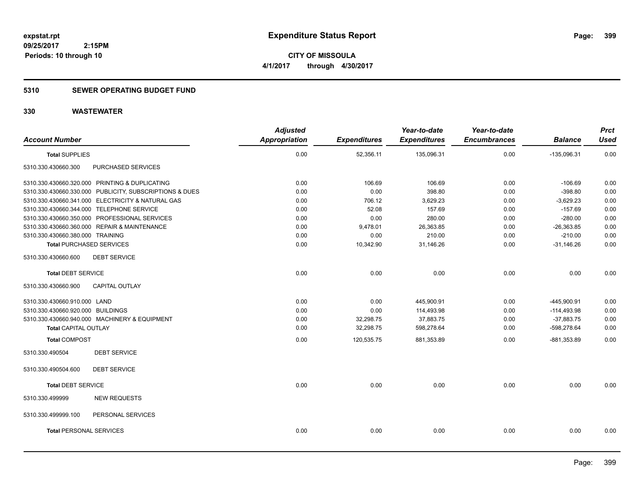# **5310 SEWER OPERATING BUDGET FUND**

|                                                         | <b>Adjusted</b> |                     | Year-to-date        | Year-to-date        |                | <b>Prct</b> |
|---------------------------------------------------------|-----------------|---------------------|---------------------|---------------------|----------------|-------------|
| <b>Account Number</b>                                   | Appropriation   | <b>Expenditures</b> | <b>Expenditures</b> | <b>Encumbrances</b> | <b>Balance</b> | <b>Used</b> |
| <b>Total SUPPLIES</b>                                   | 0.00            | 52,356.11           | 135,096.31          | 0.00                | $-135,096.31$  | 0.00        |
| 5310.330.430660.300<br>PURCHASED SERVICES               |                 |                     |                     |                     |                |             |
| 5310.330.430660.320.000 PRINTING & DUPLICATING          | 0.00            | 106.69              | 106.69              | 0.00                | $-106.69$      | 0.00        |
| 5310.330.430660.330.000 PUBLICITY, SUBSCRIPTIONS & DUES | 0.00            | 0.00                | 398.80              | 0.00                | $-398.80$      | 0.00        |
| 5310.330.430660.341.000 ELECTRICITY & NATURAL GAS       | 0.00            | 706.12              | 3.629.23            | 0.00                | $-3,629.23$    | 0.00        |
| 5310.330.430660.344.000 TELEPHONE SERVICE               | 0.00            | 52.08               | 157.69              | 0.00                | $-157.69$      | 0.00        |
| 5310.330.430660.350.000 PROFESSIONAL SERVICES           | 0.00            | 0.00                | 280.00              | 0.00                | $-280.00$      | 0.00        |
| 5310.330.430660.360.000 REPAIR & MAINTENANCE            | 0.00            | 9,478.01            | 26,363.85           | 0.00                | $-26,363.85$   | 0.00        |
| 5310.330.430660.380.000 TRAINING                        | 0.00            | 0.00                | 210.00              | 0.00                | $-210.00$      | 0.00        |
| <b>Total PURCHASED SERVICES</b>                         | 0.00            | 10,342.90           | 31,146.26           | 0.00                | $-31,146.26$   | 0.00        |
| 5310.330.430660.600<br><b>DEBT SERVICE</b>              |                 |                     |                     |                     |                |             |
| <b>Total DEBT SERVICE</b>                               | 0.00            | 0.00                | 0.00                | 0.00                | 0.00           | 0.00        |
| 5310.330.430660.900<br><b>CAPITAL OUTLAY</b>            |                 |                     |                     |                     |                |             |
| 5310.330.430660.910.000 LAND                            | 0.00            | 0.00                | 445,900.91          | 0.00                | -445,900.91    | 0.00        |
| 5310.330.430660.920.000 BUILDINGS                       | 0.00            | 0.00                | 114,493.98          | 0.00                | $-114,493.98$  | 0.00        |
| 5310.330.430660.940.000 MACHINERY & EQUIPMENT           | 0.00            | 32,298.75           | 37,883.75           | 0.00                | $-37,883.75$   | 0.00        |
| <b>Total CAPITAL OUTLAY</b>                             | 0.00            | 32,298.75           | 598,278.64          | 0.00                | -598,278.64    | 0.00        |
| <b>Total COMPOST</b>                                    | 0.00            | 120,535.75          | 881,353.89          | 0.00                | $-881,353.89$  | 0.00        |
| <b>DEBT SERVICE</b><br>5310.330.490504                  |                 |                     |                     |                     |                |             |
| 5310.330.490504.600<br><b>DEBT SERVICE</b>              |                 |                     |                     |                     |                |             |
| <b>Total DEBT SERVICE</b>                               | 0.00            | 0.00                | 0.00                | 0.00                | 0.00           | 0.00        |
| <b>NEW REQUESTS</b><br>5310.330.499999                  |                 |                     |                     |                     |                |             |
| 5310.330.499999.100<br>PERSONAL SERVICES                |                 |                     |                     |                     |                |             |
| <b>Total PERSONAL SERVICES</b>                          | 0.00            | 0.00                | 0.00                | 0.00                | 0.00           | 0.00        |
|                                                         |                 |                     |                     |                     |                |             |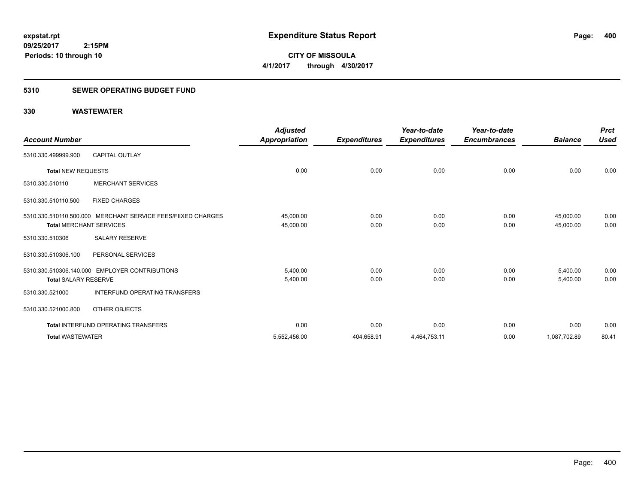# **5310 SEWER OPERATING BUDGET FUND**

 **2:15PM**

# **330 WASTEWATER**

**Periods: 10 through 10**

| <b>Account Number</b>          |                                                              | <b>Adjusted</b><br>Appropriation | <b>Expenditures</b> | Year-to-date<br><b>Expenditures</b> | Year-to-date<br><b>Encumbrances</b> | <b>Balance</b>         | <b>Prct</b><br><b>Used</b> |
|--------------------------------|--------------------------------------------------------------|----------------------------------|---------------------|-------------------------------------|-------------------------------------|------------------------|----------------------------|
| 5310.330.499999.900            | <b>CAPITAL OUTLAY</b>                                        |                                  |                     |                                     |                                     |                        |                            |
| <b>Total NEW REQUESTS</b>      |                                                              | 0.00                             | 0.00                | 0.00                                | 0.00                                | 0.00                   | 0.00                       |
| 5310.330.510110                | <b>MERCHANT SERVICES</b>                                     |                                  |                     |                                     |                                     |                        |                            |
| 5310.330.510110.500            | <b>FIXED CHARGES</b>                                         |                                  |                     |                                     |                                     |                        |                            |
| <b>Total MERCHANT SERVICES</b> | 5310.330.510110.500.000 MERCHANT SERVICE FEES/FIIXED CHARGES | 45,000.00<br>45,000.00           | 0.00<br>0.00        | 0.00<br>0.00                        | 0.00<br>0.00                        | 45,000.00<br>45.000.00 | 0.00<br>0.00               |
| 5310.330.510306                | <b>SALARY RESERVE</b>                                        |                                  |                     |                                     |                                     |                        |                            |
| 5310.330.510306.100            | PERSONAL SERVICES                                            |                                  |                     |                                     |                                     |                        |                            |
| <b>Total SALARY RESERVE</b>    | 5310.330.510306.140.000 EMPLOYER CONTRIBUTIONS               | 5,400.00<br>5,400.00             | 0.00<br>0.00        | 0.00<br>0.00                        | 0.00<br>0.00                        | 5,400.00<br>5,400.00   | 0.00<br>0.00               |
| 5310.330.521000                | <b>INTERFUND OPERATING TRANSFERS</b>                         |                                  |                     |                                     |                                     |                        |                            |
| 5310.330.521000.800            | OTHER OBJECTS                                                |                                  |                     |                                     |                                     |                        |                            |
|                                | <b>Total INTERFUND OPERATING TRANSFERS</b>                   | 0.00                             | 0.00                | 0.00                                | 0.00                                | 0.00                   | 0.00                       |
| <b>Total WASTEWATER</b>        |                                                              | 5,552,456.00                     | 404,658.91          | 4,464,753.11                        | 0.00                                | 1,087,702.89           | 80.41                      |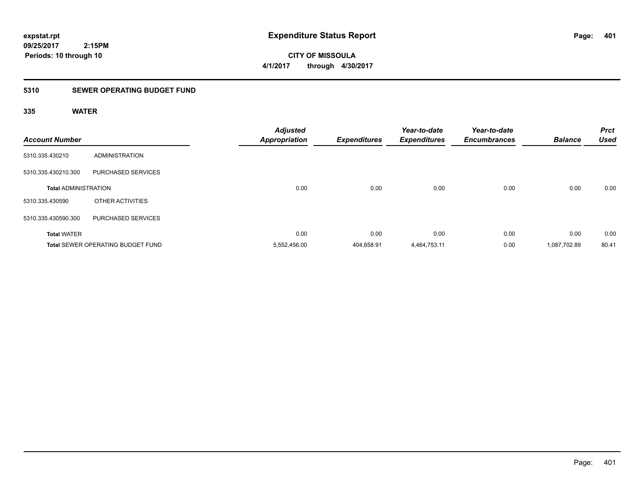**CITY OF MISSOULA 4/1/2017 through 4/30/2017**

# **5310 SEWER OPERATING BUDGET FUND**

# **335 WATER**

| <b>Account Number</b>       |                                          | <b>Adjusted</b><br><b>Appropriation</b> | <b>Expenditures</b> | Year-to-date<br><b>Expenditures</b> | Year-to-date<br><b>Encumbrances</b> | <b>Balance</b> | <b>Prct</b><br><b>Used</b> |
|-----------------------------|------------------------------------------|-----------------------------------------|---------------------|-------------------------------------|-------------------------------------|----------------|----------------------------|
| 5310.335.430210             | <b>ADMINISTRATION</b>                    |                                         |                     |                                     |                                     |                |                            |
| 5310.335.430210.300         | PURCHASED SERVICES                       |                                         |                     |                                     |                                     |                |                            |
| <b>Total ADMINISTRATION</b> |                                          | 0.00                                    | 0.00                | 0.00                                | 0.00                                | 0.00           | 0.00                       |
| 5310.335.430590             | OTHER ACTIVITIES                         |                                         |                     |                                     |                                     |                |                            |
| 5310.335.430590.300         | PURCHASED SERVICES                       |                                         |                     |                                     |                                     |                |                            |
| <b>Total WATER</b>          |                                          | 0.00                                    | 0.00                | 0.00                                | 0.00                                | 0.00           | 0.00                       |
|                             | <b>Total SEWER OPERATING BUDGET FUND</b> | 5,552,456.00                            | 404,658.91          | 4,464,753.11                        | 0.00                                | 1,087,702.89   | 80.41                      |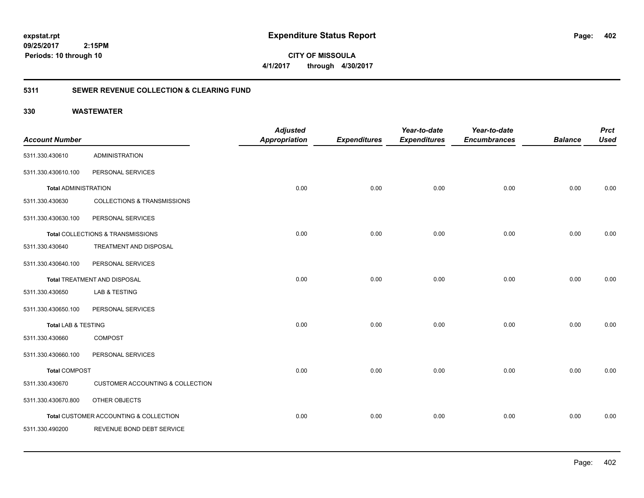**09/25/2017 2:15PM Periods: 10 through 10**

**CITY OF MISSOULA 4/1/2017 through 4/30/2017**

# **5311 SEWER REVENUE COLLECTION & CLEARING FUND**

| <b>Account Number</b>       |                                             | <b>Adjusted</b><br><b>Appropriation</b> | <b>Expenditures</b> | Year-to-date<br><b>Expenditures</b> | Year-to-date<br><b>Encumbrances</b> | <b>Balance</b> | <b>Prct</b><br><b>Used</b> |
|-----------------------------|---------------------------------------------|-----------------------------------------|---------------------|-------------------------------------|-------------------------------------|----------------|----------------------------|
| 5311.330.430610             | <b>ADMINISTRATION</b>                       |                                         |                     |                                     |                                     |                |                            |
| 5311.330.430610.100         | PERSONAL SERVICES                           |                                         |                     |                                     |                                     |                |                            |
| <b>Total ADMINISTRATION</b> |                                             | 0.00                                    | 0.00                | 0.00                                | 0.00                                | 0.00           | 0.00                       |
| 5311.330.430630             | <b>COLLECTIONS &amp; TRANSMISSIONS</b>      |                                         |                     |                                     |                                     |                |                            |
| 5311.330.430630.100         | PERSONAL SERVICES                           |                                         |                     |                                     |                                     |                |                            |
|                             | Total COLLECTIONS & TRANSMISSIONS           | 0.00                                    | 0.00                | 0.00                                | 0.00                                | 0.00           | 0.00                       |
| 5311.330.430640             | TREATMENT AND DISPOSAL                      |                                         |                     |                                     |                                     |                |                            |
| 5311.330.430640.100         | PERSONAL SERVICES                           |                                         |                     |                                     |                                     |                |                            |
|                             | Total TREATMENT AND DISPOSAL                | 0.00                                    | 0.00                | 0.00                                | 0.00                                | 0.00           | 0.00                       |
| 5311.330.430650             | <b>LAB &amp; TESTING</b>                    |                                         |                     |                                     |                                     |                |                            |
| 5311.330.430650.100         | PERSONAL SERVICES                           |                                         |                     |                                     |                                     |                |                            |
| Total LAB & TESTING         |                                             | 0.00                                    | 0.00                | 0.00                                | 0.00                                | 0.00           | 0.00                       |
| 5311.330.430660             | <b>COMPOST</b>                              |                                         |                     |                                     |                                     |                |                            |
| 5311.330.430660.100         | PERSONAL SERVICES                           |                                         |                     |                                     |                                     |                |                            |
| <b>Total COMPOST</b>        |                                             | 0.00                                    | 0.00                | 0.00                                | 0.00                                | 0.00           | 0.00                       |
| 5311.330.430670             | <b>CUSTOMER ACCOUNTING &amp; COLLECTION</b> |                                         |                     |                                     |                                     |                |                            |
| 5311.330.430670.800         | OTHER OBJECTS                               |                                         |                     |                                     |                                     |                |                            |
|                             | Total CUSTOMER ACCOUNTING & COLLECTION      | 0.00                                    | 0.00                | 0.00                                | 0.00                                | 0.00           | 0.00                       |
| 5311.330.490200             | REVENUE BOND DEBT SERVICE                   |                                         |                     |                                     |                                     |                |                            |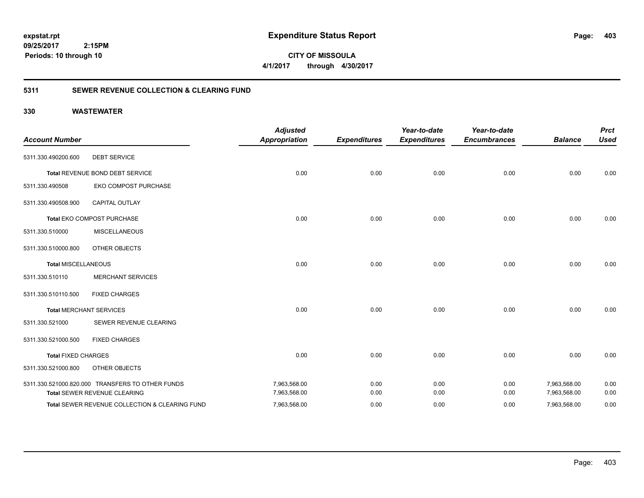**CITY OF MISSOULA 4/1/2017 through 4/30/2017**

# **5311 SEWER REVENUE COLLECTION & CLEARING FUND**

| <b>Account Number</b>      |                                                  | <b>Adjusted</b><br><b>Appropriation</b> | <b>Expenditures</b> | Year-to-date<br><b>Expenditures</b> | Year-to-date<br><b>Encumbrances</b> | <b>Balance</b> | <b>Prct</b><br><b>Used</b> |
|----------------------------|--------------------------------------------------|-----------------------------------------|---------------------|-------------------------------------|-------------------------------------|----------------|----------------------------|
| 5311.330.490200.600        | <b>DEBT SERVICE</b>                              |                                         |                     |                                     |                                     |                |                            |
|                            | Total REVENUE BOND DEBT SERVICE                  | 0.00                                    | 0.00                | 0.00                                | 0.00                                | 0.00           | 0.00                       |
| 5311.330.490508            | EKO COMPOST PURCHASE                             |                                         |                     |                                     |                                     |                |                            |
| 5311.330.490508.900        | <b>CAPITAL OUTLAY</b>                            |                                         |                     |                                     |                                     |                |                            |
|                            | Total EKO COMPOST PURCHASE                       | 0.00                                    | 0.00                | 0.00                                | 0.00                                | 0.00           | 0.00                       |
| 5311.330.510000            | <b>MISCELLANEOUS</b>                             |                                         |                     |                                     |                                     |                |                            |
| 5311.330.510000.800        | OTHER OBJECTS                                    |                                         |                     |                                     |                                     |                |                            |
| <b>Total MISCELLANEOUS</b> |                                                  | 0.00                                    | 0.00                | 0.00                                | 0.00                                | 0.00           | 0.00                       |
| 5311.330.510110            | <b>MERCHANT SERVICES</b>                         |                                         |                     |                                     |                                     |                |                            |
| 5311.330.510110.500        | <b>FIXED CHARGES</b>                             |                                         |                     |                                     |                                     |                |                            |
|                            | <b>Total MERCHANT SERVICES</b>                   | 0.00                                    | 0.00                | 0.00                                | 0.00                                | 0.00           | 0.00                       |
| 5311.330.521000            | SEWER REVENUE CLEARING                           |                                         |                     |                                     |                                     |                |                            |
| 5311.330.521000.500        | <b>FIXED CHARGES</b>                             |                                         |                     |                                     |                                     |                |                            |
| <b>Total FIXED CHARGES</b> |                                                  | 0.00                                    | 0.00                | 0.00                                | 0.00                                | 0.00           | 0.00                       |
| 5311.330.521000.800        | OTHER OBJECTS                                    |                                         |                     |                                     |                                     |                |                            |
|                            | 5311.330.521000.820.000 TRANSFERS TO OTHER FUNDS | 7,963,568.00                            | 0.00                | 0.00                                | 0.00                                | 7,963,568.00   | 0.00                       |
|                            | Total SEWER REVENUE CLEARING                     | 7,963,568.00                            | 0.00                | 0.00                                | 0.00                                | 7,963,568.00   | 0.00                       |
|                            | Total SEWER REVENUE COLLECTION & CLEARING FUND   | 7,963,568.00                            | 0.00                | 0.00                                | 0.00                                | 7,963,568.00   | 0.00                       |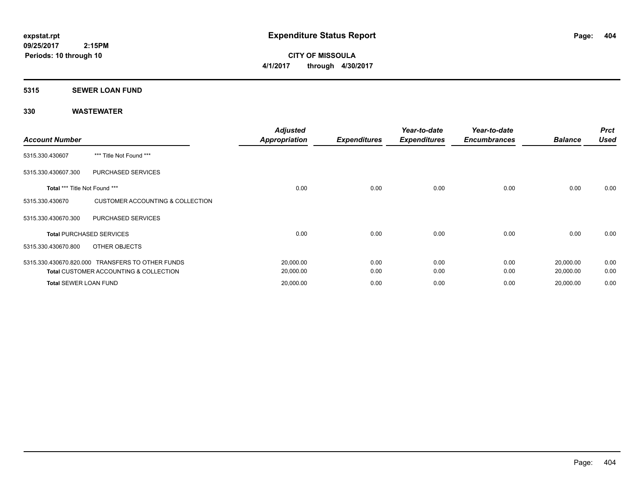**CITY OF MISSOULA 4/1/2017 through 4/30/2017**

### **5315 SEWER LOAN FUND**

| <b>Account Number</b>         |                                                   | <b>Adjusted</b><br><b>Appropriation</b> | <b>Expenditures</b> | Year-to-date<br><b>Expenditures</b> | Year-to-date<br><b>Encumbrances</b> | <b>Balance</b> | <b>Prct</b><br><b>Used</b> |
|-------------------------------|---------------------------------------------------|-----------------------------------------|---------------------|-------------------------------------|-------------------------------------|----------------|----------------------------|
| 5315.330.430607               | *** Title Not Found ***                           |                                         |                     |                                     |                                     |                |                            |
| 5315.330.430607.300           | PURCHASED SERVICES                                |                                         |                     |                                     |                                     |                |                            |
| Total *** Title Not Found *** |                                                   | 0.00                                    | 0.00                | 0.00                                | 0.00                                | 0.00           | 0.00                       |
| 5315.330.430670               | <b>CUSTOMER ACCOUNTING &amp; COLLECTION</b>       |                                         |                     |                                     |                                     |                |                            |
| 5315.330.430670.300           | <b>PURCHASED SERVICES</b>                         |                                         |                     |                                     |                                     |                |                            |
|                               | <b>Total PURCHASED SERVICES</b>                   | 0.00                                    | 0.00                | 0.00                                | 0.00                                | 0.00           | 0.00                       |
| 5315.330.430670.800           | OTHER OBJECTS                                     |                                         |                     |                                     |                                     |                |                            |
|                               | 5315.330.430670.820.000 TRANSFERS TO OTHER FUNDS  | 20,000.00                               | 0.00                | 0.00                                | 0.00                                | 20,000.00      | 0.00                       |
|                               | <b>Total CUSTOMER ACCOUNTING &amp; COLLECTION</b> | 20,000.00                               | 0.00                | 0.00                                | 0.00                                | 20,000.00      | 0.00                       |
| <b>Total SEWER LOAN FUND</b>  |                                                   | 20,000.00                               | 0.00                | 0.00                                | 0.00                                | 20,000.00      | 0.00                       |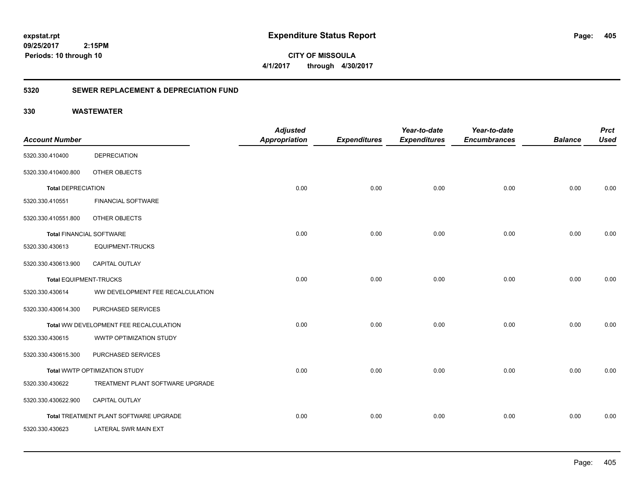**09/25/2017 2:15PM Periods: 10 through 10**

**CITY OF MISSOULA 4/1/2017 through 4/30/2017**

# **5320 SEWER REPLACEMENT & DEPRECIATION FUND**

|                                 |                                        | <b>Adjusted</b>      |                     | Year-to-date        | Year-to-date        |                | <b>Prct</b> |
|---------------------------------|----------------------------------------|----------------------|---------------------|---------------------|---------------------|----------------|-------------|
| <b>Account Number</b>           |                                        | <b>Appropriation</b> | <b>Expenditures</b> | <b>Expenditures</b> | <b>Encumbrances</b> | <b>Balance</b> | <b>Used</b> |
| 5320.330.410400                 | <b>DEPRECIATION</b>                    |                      |                     |                     |                     |                |             |
| 5320.330.410400.800             | OTHER OBJECTS                          |                      |                     |                     |                     |                |             |
| <b>Total DEPRECIATION</b>       |                                        | 0.00                 | 0.00                | 0.00                | 0.00                | 0.00           | 0.00        |
| 5320.330.410551                 | <b>FINANCIAL SOFTWARE</b>              |                      |                     |                     |                     |                |             |
| 5320.330.410551.800             | OTHER OBJECTS                          |                      |                     |                     |                     |                |             |
| <b>Total FINANCIAL SOFTWARE</b> |                                        | 0.00                 | 0.00                | 0.00                | 0.00                | 0.00           | 0.00        |
| 5320.330.430613                 | <b>EQUIPMENT-TRUCKS</b>                |                      |                     |                     |                     |                |             |
| 5320.330.430613.900             | <b>CAPITAL OUTLAY</b>                  |                      |                     |                     |                     |                |             |
| <b>Total EQUIPMENT-TRUCKS</b>   |                                        | 0.00                 | 0.00                | 0.00                | 0.00                | 0.00           | 0.00        |
| 5320.330.430614                 | WW DEVELOPMENT FEE RECALCULATION       |                      |                     |                     |                     |                |             |
| 5320.330.430614.300             | PURCHASED SERVICES                     |                      |                     |                     |                     |                |             |
|                                 | Total WW DEVELOPMENT FEE RECALCULATION | 0.00                 | 0.00                | 0.00                | 0.00                | 0.00           | 0.00        |
| 5320.330.430615                 | WWTP OPTIMIZATION STUDY                |                      |                     |                     |                     |                |             |
| 5320.330.430615.300             | PURCHASED SERVICES                     |                      |                     |                     |                     |                |             |
|                                 | Total WWTP OPTIMIZATION STUDY          | 0.00                 | 0.00                | 0.00                | 0.00                | 0.00           | 0.00        |
| 5320.330.430622                 | TREATMENT PLANT SOFTWARE UPGRADE       |                      |                     |                     |                     |                |             |
| 5320.330.430622.900             | <b>CAPITAL OUTLAY</b>                  |                      |                     |                     |                     |                |             |
|                                 | Total TREATMENT PLANT SOFTWARE UPGRADE | 0.00                 | 0.00                | 0.00                | 0.00                | 0.00           | 0.00        |
| 5320.330.430623                 | LATERAL SWR MAIN EXT                   |                      |                     |                     |                     |                |             |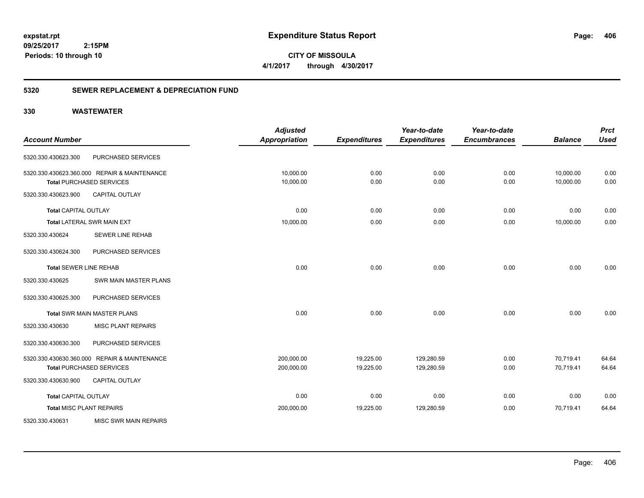**CITY OF MISSOULA 4/1/2017 through 4/30/2017**

# **5320 SEWER REPLACEMENT & DEPRECIATION FUND**

|                                 |                                              | <b>Adjusted</b>      |                     | Year-to-date        | Year-to-date        |                | <b>Prct</b> |
|---------------------------------|----------------------------------------------|----------------------|---------------------|---------------------|---------------------|----------------|-------------|
| <b>Account Number</b>           |                                              | <b>Appropriation</b> | <b>Expenditures</b> | <b>Expenditures</b> | <b>Encumbrances</b> | <b>Balance</b> | <b>Used</b> |
| 5320.330.430623.300             | PURCHASED SERVICES                           |                      |                     |                     |                     |                |             |
|                                 | 5320.330.430623.360.000 REPAIR & MAINTENANCE | 10,000.00            | 0.00                | 0.00                | 0.00                | 10,000.00      | 0.00        |
|                                 | <b>Total PURCHASED SERVICES</b>              | 10,000.00            | 0.00                | 0.00                | 0.00                | 10,000.00      | 0.00        |
| 5320.330.430623.900             | <b>CAPITAL OUTLAY</b>                        |                      |                     |                     |                     |                |             |
| <b>Total CAPITAL OUTLAY</b>     |                                              | 0.00                 | 0.00                | 0.00                | 0.00                | 0.00           | 0.00        |
|                                 | Total LATERAL SWR MAIN EXT                   | 10,000.00            | 0.00                | 0.00                | 0.00                | 10,000.00      | 0.00        |
| 5320.330.430624                 | <b>SEWER LINE REHAB</b>                      |                      |                     |                     |                     |                |             |
| 5320.330.430624.300             | PURCHASED SERVICES                           |                      |                     |                     |                     |                |             |
| <b>Total SEWER LINE REHAB</b>   |                                              | 0.00                 | 0.00                | 0.00                | 0.00                | 0.00           | 0.00        |
| 5320.330.430625                 | <b>SWR MAIN MASTER PLANS</b>                 |                      |                     |                     |                     |                |             |
| 5320.330.430625.300             | PURCHASED SERVICES                           |                      |                     |                     |                     |                |             |
|                                 | <b>Total SWR MAIN MASTER PLANS</b>           | 0.00                 | 0.00                | 0.00                | 0.00                | 0.00           | 0.00        |
| 5320.330.430630                 | <b>MISC PLANT REPAIRS</b>                    |                      |                     |                     |                     |                |             |
| 5320.330.430630.300             | PURCHASED SERVICES                           |                      |                     |                     |                     |                |             |
|                                 | 5320.330.430630.360.000 REPAIR & MAINTENANCE | 200,000.00           | 19,225.00           | 129,280.59          | 0.00                | 70,719.41      | 64.64       |
|                                 | <b>Total PURCHASED SERVICES</b>              | 200,000.00           | 19,225.00           | 129,280.59          | 0.00                | 70,719.41      | 64.64       |
| 5320.330.430630.900             | <b>CAPITAL OUTLAY</b>                        |                      |                     |                     |                     |                |             |
| <b>Total CAPITAL OUTLAY</b>     |                                              | 0.00                 | 0.00                | 0.00                | 0.00                | 0.00           | 0.00        |
| <b>Total MISC PLANT REPAIRS</b> |                                              | 200,000.00           | 19,225.00           | 129,280.59          | 0.00                | 70,719.41      | 64.64       |
| 5320.330.430631                 | <b>MISC SWR MAIN REPAIRS</b>                 |                      |                     |                     |                     |                |             |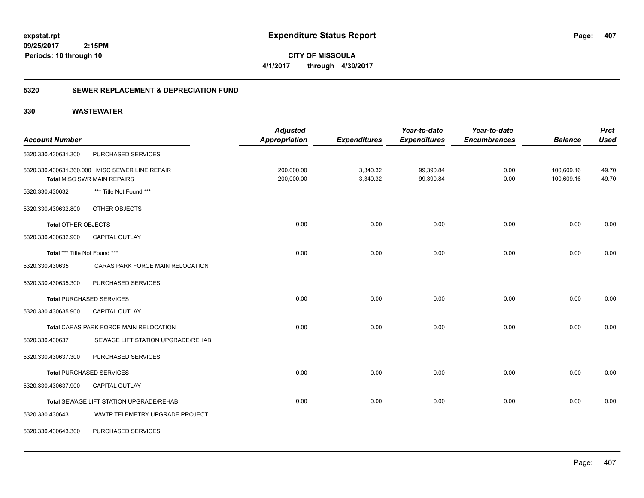**CITY OF MISSOULA 4/1/2017 through 4/30/2017**

# **5320 SEWER REPLACEMENT & DEPRECIATION FUND**

| <b>Account Number</b>         |                                                                                      | <b>Adjusted</b><br><b>Appropriation</b> | <b>Expenditures</b>  | Year-to-date<br><b>Expenditures</b> | Year-to-date<br><b>Encumbrances</b> | <b>Balance</b>           | <b>Prct</b><br><b>Used</b> |
|-------------------------------|--------------------------------------------------------------------------------------|-----------------------------------------|----------------------|-------------------------------------|-------------------------------------|--------------------------|----------------------------|
| 5320.330.430631.300           | PURCHASED SERVICES                                                                   |                                         |                      |                                     |                                     |                          |                            |
|                               | 5320.330.430631.360.000 MISC SEWER LINE REPAIR<br><b>Total MISC SWR MAIN REPAIRS</b> | 200,000.00<br>200,000.00                | 3,340.32<br>3,340.32 | 99,390.84<br>99,390.84              | 0.00<br>0.00                        | 100,609.16<br>100,609.16 | 49.70<br>49.70             |
| 5320.330.430632               | *** Title Not Found ***                                                              |                                         |                      |                                     |                                     |                          |                            |
| 5320.330.430632.800           | OTHER OBJECTS                                                                        |                                         |                      |                                     |                                     |                          |                            |
| <b>Total OTHER OBJECTS</b>    |                                                                                      | 0.00                                    | 0.00                 | 0.00                                | 0.00                                | 0.00                     | 0.00                       |
| 5320.330.430632.900           | <b>CAPITAL OUTLAY</b>                                                                |                                         |                      |                                     |                                     |                          |                            |
| Total *** Title Not Found *** |                                                                                      | 0.00                                    | 0.00                 | 0.00                                | 0.00                                | 0.00                     | 0.00                       |
| 5320.330.430635               | CARAS PARK FORCE MAIN RELOCATION                                                     |                                         |                      |                                     |                                     |                          |                            |
| 5320.330.430635.300           | PURCHASED SERVICES                                                                   |                                         |                      |                                     |                                     |                          |                            |
|                               | <b>Total PURCHASED SERVICES</b>                                                      | 0.00                                    | 0.00                 | 0.00                                | 0.00                                | 0.00                     | 0.00                       |
| 5320.330.430635.900           | CAPITAL OUTLAY                                                                       |                                         |                      |                                     |                                     |                          |                            |
|                               | Total CARAS PARK FORCE MAIN RELOCATION                                               | 0.00                                    | 0.00                 | 0.00                                | 0.00                                | 0.00                     | 0.00                       |
| 5320.330.430637               | SEWAGE LIFT STATION UPGRADE/REHAB                                                    |                                         |                      |                                     |                                     |                          |                            |
| 5320.330.430637.300           | PURCHASED SERVICES                                                                   |                                         |                      |                                     |                                     |                          |                            |
|                               | <b>Total PURCHASED SERVICES</b>                                                      | 0.00                                    | 0.00                 | 0.00                                | 0.00                                | 0.00                     | 0.00                       |
| 5320.330.430637.900           | <b>CAPITAL OUTLAY</b>                                                                |                                         |                      |                                     |                                     |                          |                            |
|                               | Total SEWAGE LIFT STATION UPGRADE/REHAB                                              | 0.00                                    | 0.00                 | 0.00                                | 0.00                                | 0.00                     | 0.00                       |
| 5320.330.430643               | WWTP TELEMETRY UPGRADE PROJECT                                                       |                                         |                      |                                     |                                     |                          |                            |
| 5320.330.430643.300           | PURCHASED SERVICES                                                                   |                                         |                      |                                     |                                     |                          |                            |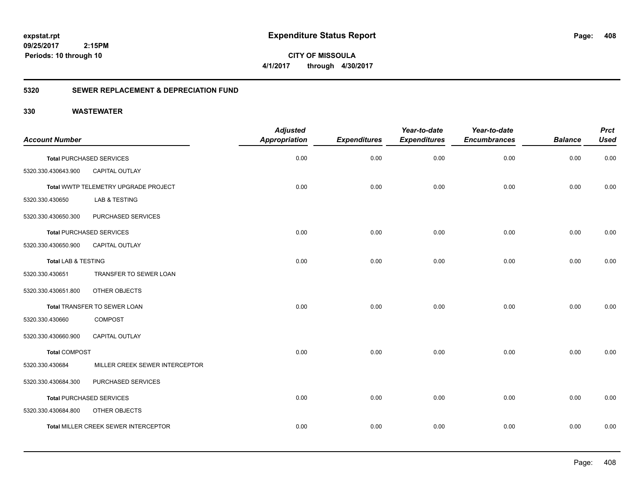**CITY OF MISSOULA 4/1/2017 through 4/30/2017**

# **5320 SEWER REPLACEMENT & DEPRECIATION FUND**

|                       |                                             | <b>Adjusted</b>      |                     | Year-to-date        | Year-to-date        |                | <b>Prct</b> |
|-----------------------|---------------------------------------------|----------------------|---------------------|---------------------|---------------------|----------------|-------------|
| <b>Account Number</b> |                                             | <b>Appropriation</b> | <b>Expenditures</b> | <b>Expenditures</b> | <b>Encumbrances</b> | <b>Balance</b> | <b>Used</b> |
|                       | <b>Total PURCHASED SERVICES</b>             | 0.00                 | 0.00                | 0.00                | 0.00                | 0.00           | 0.00        |
| 5320.330.430643.900   | CAPITAL OUTLAY                              |                      |                     |                     |                     |                |             |
|                       | Total WWTP TELEMETRY UPGRADE PROJECT        | 0.00                 | 0.00                | 0.00                | 0.00                | 0.00           | 0.00        |
| 5320.330.430650       | <b>LAB &amp; TESTING</b>                    |                      |                     |                     |                     |                |             |
| 5320.330.430650.300   | PURCHASED SERVICES                          |                      |                     |                     |                     |                |             |
|                       | <b>Total PURCHASED SERVICES</b>             | 0.00                 | 0.00                | 0.00                | 0.00                | 0.00           | 0.00        |
| 5320.330.430650.900   | <b>CAPITAL OUTLAY</b>                       |                      |                     |                     |                     |                |             |
| Total LAB & TESTING   |                                             | 0.00                 | 0.00                | 0.00                | 0.00                | 0.00           | 0.00        |
| 5320.330.430651       | TRANSFER TO SEWER LOAN                      |                      |                     |                     |                     |                |             |
| 5320.330.430651.800   | OTHER OBJECTS                               |                      |                     |                     |                     |                |             |
|                       | Total TRANSFER TO SEWER LOAN                | 0.00                 | 0.00                | 0.00                | 0.00                | 0.00           | 0.00        |
| 5320.330.430660       | <b>COMPOST</b>                              |                      |                     |                     |                     |                |             |
| 5320.330.430660.900   | <b>CAPITAL OUTLAY</b>                       |                      |                     |                     |                     |                |             |
| <b>Total COMPOST</b>  |                                             | 0.00                 | 0.00                | 0.00                | 0.00                | 0.00           | 0.00        |
| 5320.330.430684       | MILLER CREEK SEWER INTERCEPTOR              |                      |                     |                     |                     |                |             |
| 5320.330.430684.300   | PURCHASED SERVICES                          |                      |                     |                     |                     |                |             |
|                       | <b>Total PURCHASED SERVICES</b>             | 0.00                 | 0.00                | 0.00                | 0.00                | 0.00           | 0.00        |
| 5320.330.430684.800   | OTHER OBJECTS                               |                      |                     |                     |                     |                |             |
|                       | <b>Total MILLER CREEK SEWER INTERCEPTOR</b> | 0.00                 | 0.00                | 0.00                | 0.00                | 0.00           | 0.00        |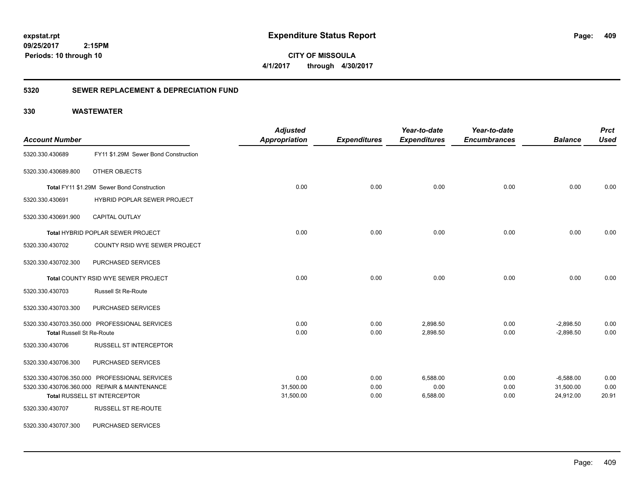**CITY OF MISSOULA 4/1/2017 through 4/30/2017**

# **5320 SEWER REPLACEMENT & DEPRECIATION FUND**

|                                  |                                               | <b>Adjusted</b> |                     | Year-to-date        | Year-to-date        |                | <b>Prct</b> |
|----------------------------------|-----------------------------------------------|-----------------|---------------------|---------------------|---------------------|----------------|-------------|
| <b>Account Number</b>            |                                               | Appropriation   | <b>Expenditures</b> | <b>Expenditures</b> | <b>Encumbrances</b> | <b>Balance</b> | <b>Used</b> |
| 5320.330.430689                  | FY11 \$1.29M Sewer Bond Construction          |                 |                     |                     |                     |                |             |
| 5320.330.430689.800              | OTHER OBJECTS                                 |                 |                     |                     |                     |                |             |
|                                  | Total FY11 \$1.29M Sewer Bond Construction    | 0.00            | 0.00                | 0.00                | 0.00                | 0.00           | 0.00        |
| 5320.330.430691                  | HYBRID POPLAR SEWER PROJECT                   |                 |                     |                     |                     |                |             |
| 5320.330.430691.900              | CAPITAL OUTLAY                                |                 |                     |                     |                     |                |             |
|                                  | <b>Total HYBRID POPLAR SEWER PROJECT</b>      | 0.00            | 0.00                | 0.00                | 0.00                | 0.00           | 0.00        |
| 5320.330.430702                  | COUNTY RSID WYE SEWER PROJECT                 |                 |                     |                     |                     |                |             |
| 5320.330.430702.300              | PURCHASED SERVICES                            |                 |                     |                     |                     |                |             |
|                                  | <b>Total COUNTY RSID WYE SEWER PROJECT</b>    | 0.00            | 0.00                | 0.00                | 0.00                | 0.00           | 0.00        |
| 5320.330.430703                  | <b>Russell St Re-Route</b>                    |                 |                     |                     |                     |                |             |
| 5320.330.430703.300              | PURCHASED SERVICES                            |                 |                     |                     |                     |                |             |
|                                  | 5320.330.430703.350.000 PROFESSIONAL SERVICES | 0.00            | 0.00                | 2,898.50            | 0.00                | $-2,898.50$    | 0.00        |
| <b>Total Russell St Re-Route</b> |                                               | 0.00            | 0.00                | 2,898.50            | 0.00                | $-2,898.50$    | 0.00        |
| 5320.330.430706                  | RUSSELL ST INTERCEPTOR                        |                 |                     |                     |                     |                |             |
| 5320.330.430706.300              | PURCHASED SERVICES                            |                 |                     |                     |                     |                |             |
|                                  | 5320.330.430706.350.000 PROFESSIONAL SERVICES | 0.00            | 0.00                | 6,588.00            | 0.00                | $-6,588.00$    | 0.00        |
|                                  | 5320.330.430706.360.000 REPAIR & MAINTENANCE  | 31,500.00       | 0.00                | 0.00                | 0.00                | 31,500.00      | 0.00        |
|                                  | <b>Total RUSSELL ST INTERCEPTOR</b>           | 31,500.00       | 0.00                | 6,588.00            | 0.00                | 24,912.00      | 20.91       |
| 5320.330.430707                  | <b>RUSSELL ST RE-ROUTE</b>                    |                 |                     |                     |                     |                |             |
| 5320.330.430707.300              | PURCHASED SERVICES                            |                 |                     |                     |                     |                |             |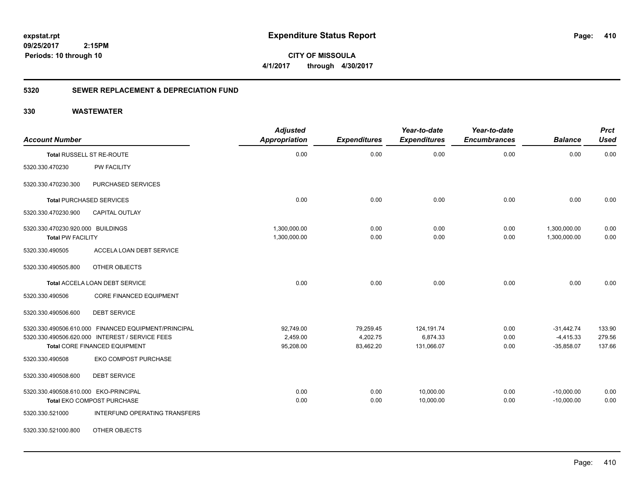**CITY OF MISSOULA 4/1/2017 through 4/30/2017**

# **5320 SEWER REPLACEMENT & DEPRECIATION FUND**

| <b>Account Number</b>                                         |                                                              | <b>Adjusted</b><br><b>Appropriation</b> | <b>Expenditures</b> | Year-to-date<br><b>Expenditures</b> | Year-to-date<br><b>Encumbrances</b> | <b>Balance</b>               | <b>Prct</b><br><b>Used</b> |
|---------------------------------------------------------------|--------------------------------------------------------------|-----------------------------------------|---------------------|-------------------------------------|-------------------------------------|------------------------------|----------------------------|
|                                                               | Total RUSSELL ST RE-ROUTE                                    | 0.00                                    | 0.00                | 0.00                                | 0.00                                | 0.00                         | 0.00                       |
| 5320.330.470230                                               | <b>PW FACILITY</b>                                           |                                         |                     |                                     |                                     |                              |                            |
| 5320.330.470230.300                                           | PURCHASED SERVICES                                           |                                         |                     |                                     |                                     |                              |                            |
|                                                               | <b>Total PURCHASED SERVICES</b>                              | 0.00                                    | 0.00                | 0.00                                | 0.00                                | 0.00                         | 0.00                       |
| 5320.330.470230.900                                           | CAPITAL OUTLAY                                               |                                         |                     |                                     |                                     |                              |                            |
| 5320.330.470230.920.000 BUILDINGS<br><b>Total PW FACILITY</b> |                                                              | 1,300,000.00<br>1,300,000.00            | 0.00<br>0.00        | 0.00<br>0.00                        | 0.00<br>0.00                        | 1,300,000.00<br>1,300,000.00 | 0.00<br>0.00               |
| 5320.330.490505                                               | ACCELA LOAN DEBT SERVICE                                     |                                         |                     |                                     |                                     |                              |                            |
| 5320.330.490505.800                                           | OTHER OBJECTS                                                |                                         |                     |                                     |                                     |                              |                            |
|                                                               | Total ACCELA LOAN DEBT SERVICE                               | 0.00                                    | 0.00                | 0.00                                | 0.00                                | 0.00                         | 0.00                       |
| 5320.330.490506                                               | CORE FINANCED EQUIPMENT                                      |                                         |                     |                                     |                                     |                              |                            |
| 5320.330.490506.600                                           | <b>DEBT SERVICE</b>                                          |                                         |                     |                                     |                                     |                              |                            |
|                                                               | 5320.330.490506.610.000 FINANCED EQUIPMENT/PRINCIPAL         | 92,749.00                               | 79,259.45           | 124,191.74                          | 0.00                                | $-31,442.74$                 | 133.90                     |
|                                                               | 5320.330.490506.620.000 INTEREST / SERVICE FEES              | 2,459.00                                | 4,202.75            | 6,874.33                            | 0.00                                | $-4,415.33$                  | 279.56                     |
| 5320.330.490508                                               | Total CORE FINANCED EQUIPMENT<br><b>EKO COMPOST PURCHASE</b> | 95,208.00                               | 83,462.20           | 131,066.07                          | 0.00                                | $-35,858.07$                 | 137.66                     |
| 5320.330.490508.600                                           | <b>DEBT SERVICE</b>                                          |                                         |                     |                                     |                                     |                              |                            |
| 5320.330.490508.610.000 EKO-PRINCIPAL                         |                                                              | 0.00                                    | 0.00                | 10,000.00                           | 0.00                                | $-10,000.00$                 | 0.00                       |
|                                                               | Total EKO COMPOST PURCHASE                                   | 0.00                                    | 0.00                | 10,000.00                           | 0.00                                | $-10,000.00$                 | 0.00                       |
| 5320.330.521000                                               | INTERFUND OPERATING TRANSFERS                                |                                         |                     |                                     |                                     |                              |                            |
| 5320.330.521000.800                                           | OTHER OBJECTS                                                |                                         |                     |                                     |                                     |                              |                            |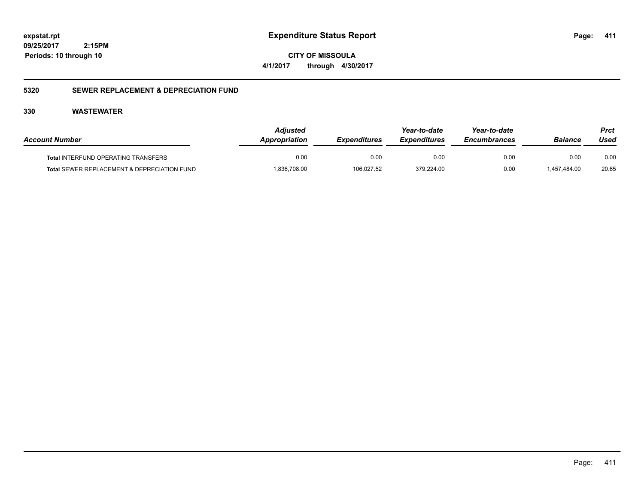**CITY OF MISSOULA 4/1/2017 through 4/30/2017**

# **5320 SEWER REPLACEMENT & DEPRECIATION FUND**

| <b>Account Number</b>                       | Adjusted<br>Appropriation | <i><b>Expenditures</b></i> | Year-to-date<br><i><b>Expenditures</b></i> | Year-to-date<br><b>Encumbrances</b> | <b>Balance</b> | Prct<br>Used |
|---------------------------------------------|---------------------------|----------------------------|--------------------------------------------|-------------------------------------|----------------|--------------|
| <b>Total INTERFUND OPERATING TRANSFERS</b>  | 0.00                      | 0.00                       | 0.00                                       | 0.00                                | 0.00           | 0.00         |
| Total SEWER REPLACEMENT & DEPRECIATION FUND | .836,708.00               | 106,027.52                 | 379,224.00                                 | 0.00                                | 1.457.484.00   | 20.65        |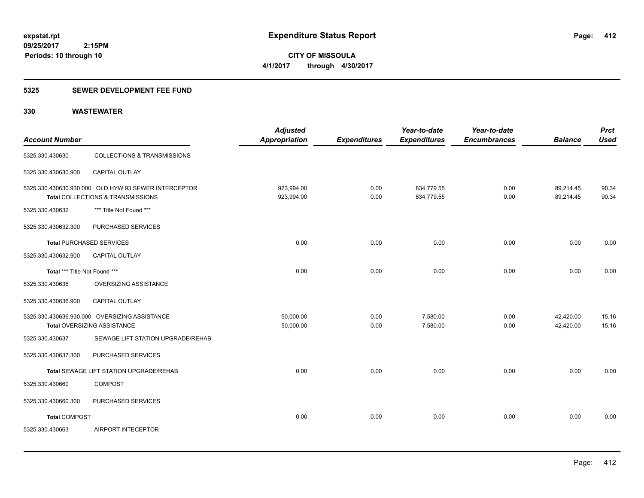**09/25/2017 2:15PM Periods: 10 through 10**

**CITY OF MISSOULA 4/1/2017 through 4/30/2017**

# **5325 SEWER DEVELOPMENT FEE FUND**

| <b>Account Number</b>         |                                                                                           | <b>Adjusted</b><br><b>Appropriation</b> | <b>Expenditures</b> | Year-to-date<br><b>Expenditures</b> | Year-to-date<br><b>Encumbrances</b> | <b>Balance</b>         | <b>Prct</b><br><b>Used</b> |
|-------------------------------|-------------------------------------------------------------------------------------------|-----------------------------------------|---------------------|-------------------------------------|-------------------------------------|------------------------|----------------------------|
| 5325.330.430630               | <b>COLLECTIONS &amp; TRANSMISSIONS</b>                                                    |                                         |                     |                                     |                                     |                        |                            |
| 5325.330.430630.900           | CAPITAL OUTLAY                                                                            |                                         |                     |                                     |                                     |                        |                            |
|                               | 5325.330.430630.930.000 OLD HYW 93 SEWER INTERCEPTOR<br>Total COLLECTIONS & TRANSMISSIONS | 923,994.00<br>923,994.00                | 0.00<br>0.00        | 834,779.55<br>834,779.55            | 0.00<br>0.00                        | 89,214.45<br>89,214.45 | 90.34<br>90.34             |
| 5325.330.430632               | *** Title Not Found ***                                                                   |                                         |                     |                                     |                                     |                        |                            |
| 5325.330.430632.300           | PURCHASED SERVICES                                                                        |                                         |                     |                                     |                                     |                        |                            |
|                               | <b>Total PURCHASED SERVICES</b>                                                           | 0.00                                    | 0.00                | 0.00                                | 0.00                                | 0.00                   | 0.00                       |
| 5325.330.430632.900           | <b>CAPITAL OUTLAY</b>                                                                     |                                         |                     |                                     |                                     |                        |                            |
| Total *** Title Not Found *** |                                                                                           | 0.00                                    | 0.00                | 0.00                                | 0.00                                | 0.00                   | 0.00                       |
| 5325.330.430636               | <b>OVERSIZING ASSISTANCE</b>                                                              |                                         |                     |                                     |                                     |                        |                            |
| 5325.330.430636.900           | CAPITAL OUTLAY                                                                            |                                         |                     |                                     |                                     |                        |                            |
|                               | 5325.330.430636.930.000 OVERSIZING ASSISTANCE<br>Total OVERSIZING ASSISTANCE              | 50,000.00<br>50,000.00                  | 0.00<br>0.00        | 7,580.00<br>7,580.00                | 0.00<br>0.00                        | 42,420.00<br>42,420.00 | 15.16<br>15.16             |
| 5325.330.430637               | SEWAGE LIFT STATION UPGRADE/REHAB                                                         |                                         |                     |                                     |                                     |                        |                            |
| 5325.330.430637.300           | PURCHASED SERVICES                                                                        |                                         |                     |                                     |                                     |                        |                            |
|                               | Total SEWAGE LIFT STATION UPGRADE/REHAB                                                   | 0.00                                    | 0.00                | 0.00                                | 0.00                                | 0.00                   | 0.00                       |
| 5325.330.430660               | <b>COMPOST</b>                                                                            |                                         |                     |                                     |                                     |                        |                            |
| 5325.330.430660.300           | PURCHASED SERVICES                                                                        |                                         |                     |                                     |                                     |                        |                            |
| <b>Total COMPOST</b>          |                                                                                           | 0.00                                    | 0.00                | 0.00                                | 0.00                                | 0.00                   | 0.00                       |
| 5325.330.430663               | AIRPORT INTECEPTOR                                                                        |                                         |                     |                                     |                                     |                        |                            |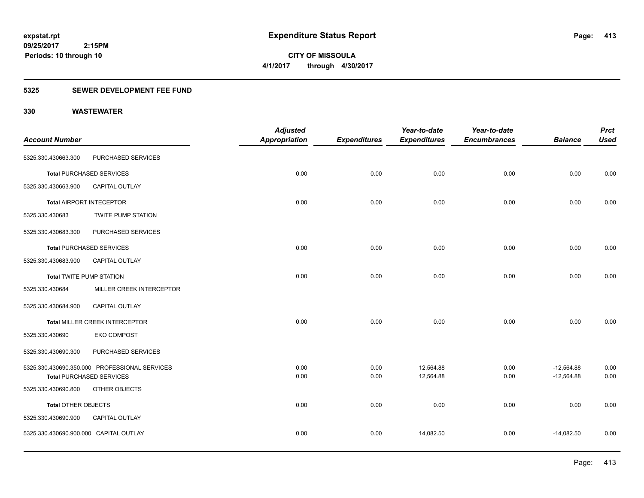**09/25/2017 2:15PM Periods: 10 through 10**

**CITY OF MISSOULA 4/1/2017 through 4/30/2017**

# **5325 SEWER DEVELOPMENT FEE FUND**

| <b>Account Number</b>                  |                                               | <b>Adjusted</b><br><b>Appropriation</b> | <b>Expenditures</b> | Year-to-date<br><b>Expenditures</b> | Year-to-date<br><b>Encumbrances</b> | <b>Balance</b> | <b>Prct</b><br><b>Used</b> |
|----------------------------------------|-----------------------------------------------|-----------------------------------------|---------------------|-------------------------------------|-------------------------------------|----------------|----------------------------|
| 5325.330.430663.300                    | PURCHASED SERVICES                            |                                         |                     |                                     |                                     |                |                            |
|                                        |                                               |                                         |                     |                                     |                                     |                |                            |
|                                        | <b>Total PURCHASED SERVICES</b>               | 0.00                                    | 0.00                | 0.00                                | 0.00                                | 0.00           | 0.00                       |
| 5325.330.430663.900                    | CAPITAL OUTLAY                                |                                         |                     |                                     |                                     |                |                            |
|                                        | <b>Total AIRPORT INTECEPTOR</b>               | 0.00                                    | 0.00                | 0.00                                | 0.00                                | 0.00           | 0.00                       |
| 5325.330.430683                        | <b>TWITE PUMP STATION</b>                     |                                         |                     |                                     |                                     |                |                            |
| 5325.330.430683.300                    | PURCHASED SERVICES                            |                                         |                     |                                     |                                     |                |                            |
|                                        | <b>Total PURCHASED SERVICES</b>               | 0.00                                    | 0.00                | 0.00                                | 0.00                                | 0.00           | 0.00                       |
| 5325.330.430683.900                    | <b>CAPITAL OUTLAY</b>                         |                                         |                     |                                     |                                     |                |                            |
| <b>Total TWITE PUMP STATION</b>        |                                               | 0.00                                    | 0.00                | 0.00                                | 0.00                                | 0.00           | 0.00                       |
| 5325.330.430684                        | MILLER CREEK INTERCEPTOR                      |                                         |                     |                                     |                                     |                |                            |
| 5325.330.430684.900                    | CAPITAL OUTLAY                                |                                         |                     |                                     |                                     |                |                            |
|                                        | Total MILLER CREEK INTERCEPTOR                | 0.00                                    | 0.00                | 0.00                                | 0.00                                | 0.00           | 0.00                       |
| 5325.330.430690                        | <b>EKO COMPOST</b>                            |                                         |                     |                                     |                                     |                |                            |
| 5325.330.430690.300                    | PURCHASED SERVICES                            |                                         |                     |                                     |                                     |                |                            |
|                                        | 5325.330.430690.350.000 PROFESSIONAL SERVICES | 0.00                                    | 0.00                | 12,564.88                           | 0.00                                | $-12,564.88$   | 0.00                       |
|                                        | <b>Total PURCHASED SERVICES</b>               | 0.00                                    | 0.00                | 12,564.88                           | 0.00                                | $-12,564.88$   | 0.00                       |
| 5325.330.430690.800                    | OTHER OBJECTS                                 |                                         |                     |                                     |                                     |                |                            |
| <b>Total OTHER OBJECTS</b>             |                                               | 0.00                                    | 0.00                | 0.00                                | 0.00                                | 0.00           | 0.00                       |
| 5325.330.430690.900                    | CAPITAL OUTLAY                                |                                         |                     |                                     |                                     |                |                            |
| 5325.330.430690.900.000 CAPITAL OUTLAY |                                               | 0.00                                    | 0.00                | 14,082.50                           | 0.00                                | $-14,082.50$   | 0.00                       |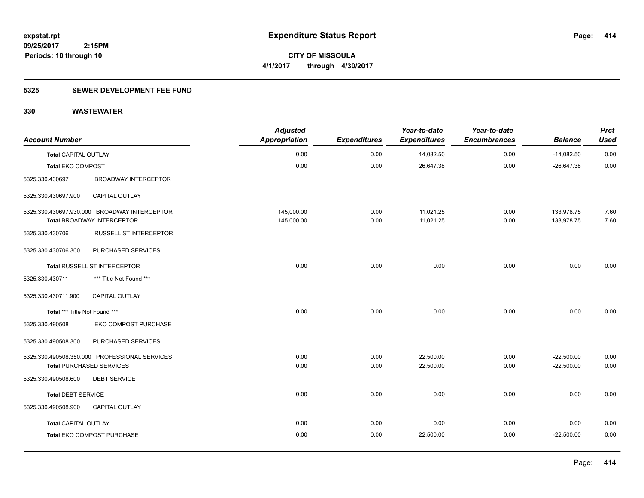# **5325 SEWER DEVELOPMENT FEE FUND**

| <b>Account Number</b>           |                                               | <b>Adjusted</b><br><b>Appropriation</b> | <b>Expenditures</b> | Year-to-date<br><b>Expenditures</b> | Year-to-date<br><b>Encumbrances</b> | <b>Balance</b> | <b>Prct</b><br><b>Used</b> |
|---------------------------------|-----------------------------------------------|-----------------------------------------|---------------------|-------------------------------------|-------------------------------------|----------------|----------------------------|
| <b>Total CAPITAL OUTLAY</b>     |                                               | 0.00                                    | 0.00                | 14,082.50                           | 0.00                                | $-14,082.50$   | 0.00                       |
| <b>Total EKO COMPOST</b>        |                                               | 0.00                                    | 0.00                | 26,647.38                           | 0.00                                | $-26,647.38$   | 0.00                       |
| 5325.330.430697                 | <b>BROADWAY INTERCEPTOR</b>                   |                                         |                     |                                     |                                     |                |                            |
| 5325.330.430697.900             | CAPITAL OUTLAY                                |                                         |                     |                                     |                                     |                |                            |
|                                 | 5325.330.430697.930.000 BROADWAY INTERCEPTOR  | 145,000.00                              | 0.00                | 11,021.25                           | 0.00                                | 133,978.75     | 7.60                       |
|                                 | <b>Total BROADWAY INTERCEPTOR</b>             | 145,000.00                              | 0.00                | 11,021.25                           | 0.00                                | 133,978.75     | 7.60                       |
| 5325.330.430706                 | <b>RUSSELL ST INTERCEPTOR</b>                 |                                         |                     |                                     |                                     |                |                            |
| 5325.330.430706.300             | PURCHASED SERVICES                            |                                         |                     |                                     |                                     |                |                            |
|                                 | Total RUSSELL ST INTERCEPTOR                  | 0.00                                    | 0.00                | 0.00                                | 0.00                                | 0.00           | 0.00                       |
| 5325.330.430711                 | *** Title Not Found ***                       |                                         |                     |                                     |                                     |                |                            |
| 5325.330.430711.900             | CAPITAL OUTLAY                                |                                         |                     |                                     |                                     |                |                            |
| Total *** Title Not Found ***   |                                               | 0.00                                    | 0.00                | 0.00                                | 0.00                                | 0.00           | 0.00                       |
| 5325.330.490508                 | EKO COMPOST PURCHASE                          |                                         |                     |                                     |                                     |                |                            |
| 5325.330.490508.300             | PURCHASED SERVICES                            |                                         |                     |                                     |                                     |                |                            |
|                                 | 5325.330.490508.350.000 PROFESSIONAL SERVICES | 0.00                                    | 0.00                | 22,500.00                           | 0.00                                | $-22,500.00$   | 0.00                       |
| <b>Total PURCHASED SERVICES</b> |                                               | 0.00                                    | 0.00                | 22,500.00                           | 0.00                                | $-22,500.00$   | 0.00                       |
| 5325.330.490508.600             | <b>DEBT SERVICE</b>                           |                                         |                     |                                     |                                     |                |                            |
| <b>Total DEBT SERVICE</b>       |                                               | 0.00                                    | 0.00                | 0.00                                | 0.00                                | 0.00           | 0.00                       |
| 5325.330.490508.900             | <b>CAPITAL OUTLAY</b>                         |                                         |                     |                                     |                                     |                |                            |
| <b>Total CAPITAL OUTLAY</b>     |                                               | 0.00                                    | 0.00                | 0.00                                | 0.00                                | 0.00           | 0.00                       |
|                                 | Total EKO COMPOST PURCHASE                    | 0.00                                    | 0.00                | 22,500.00                           | 0.00                                | $-22,500.00$   | 0.00                       |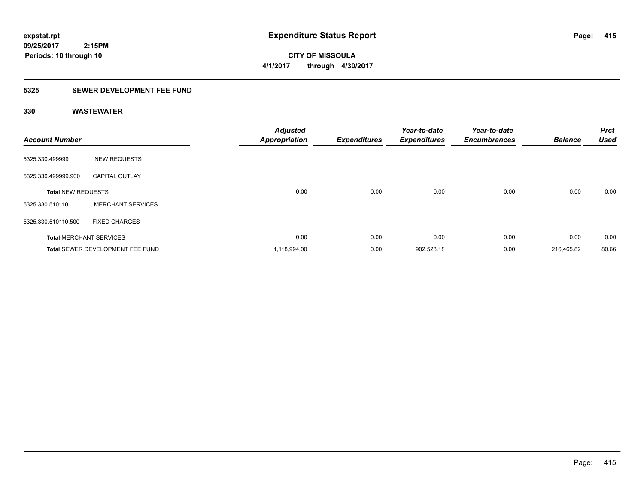**CITY OF MISSOULA 4/1/2017 through 4/30/2017**

# **5325 SEWER DEVELOPMENT FEE FUND**

| <b>Account Number</b>     |                                         | <b>Adjusted</b><br><b>Appropriation</b> | <b>Expenditures</b> | Year-to-date<br><b>Expenditures</b> | Year-to-date<br><b>Encumbrances</b> | <b>Balance</b> | <b>Prct</b><br><b>Used</b> |
|---------------------------|-----------------------------------------|-----------------------------------------|---------------------|-------------------------------------|-------------------------------------|----------------|----------------------------|
| 5325.330.499999           | <b>NEW REQUESTS</b>                     |                                         |                     |                                     |                                     |                |                            |
| 5325.330.499999.900       | <b>CAPITAL OUTLAY</b>                   |                                         |                     |                                     |                                     |                |                            |
| <b>Total NEW REQUESTS</b> |                                         | 0.00                                    | 0.00                | 0.00                                | 0.00                                | 0.00           | 0.00                       |
| 5325.330.510110           | <b>MERCHANT SERVICES</b>                |                                         |                     |                                     |                                     |                |                            |
| 5325.330.510110.500       | <b>FIXED CHARGES</b>                    |                                         |                     |                                     |                                     |                |                            |
|                           | <b>Total MERCHANT SERVICES</b>          | 0.00                                    | 0.00                | 0.00                                | 0.00                                | 0.00           | 0.00                       |
|                           | <b>Total SEWER DEVELOPMENT FEE FUND</b> | 1,118,994.00                            | 0.00                | 902,528.18                          | 0.00                                | 216,465.82     | 80.66                      |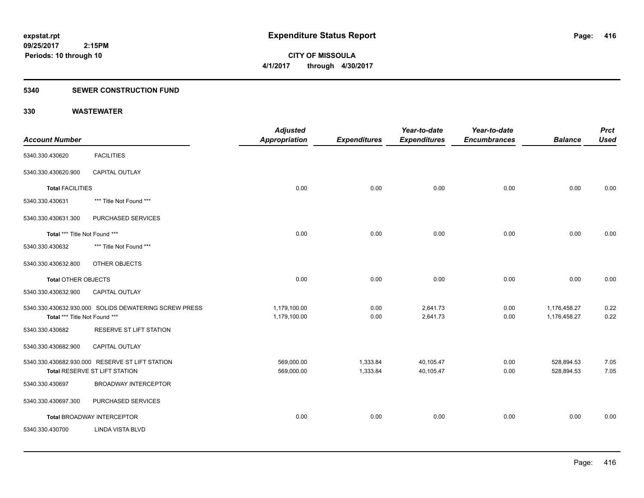**Periods: 10 through 10**

**CITY OF MISSOULA 4/1/2017 through 4/30/2017**

### **5340 SEWER CONSTRUCTION FUND**

| <b>Account Number</b>         |                                                                                  | <b>Adjusted</b><br>Appropriation | <b>Expenditures</b>  | Year-to-date<br><b>Expenditures</b> | Year-to-date<br><b>Encumbrances</b> | <b>Balance</b>               | <b>Prct</b><br><b>Used</b> |
|-------------------------------|----------------------------------------------------------------------------------|----------------------------------|----------------------|-------------------------------------|-------------------------------------|------------------------------|----------------------------|
| 5340.330.430620               | <b>FACILITIES</b>                                                                |                                  |                      |                                     |                                     |                              |                            |
| 5340.330.430620.900           | <b>CAPITAL OUTLAY</b>                                                            |                                  |                      |                                     |                                     |                              |                            |
| <b>Total FACILITIES</b>       |                                                                                  | 0.00                             | 0.00                 | 0.00                                | 0.00                                | 0.00                         | 0.00                       |
| 5340.330.430631               | *** Title Not Found ***                                                          |                                  |                      |                                     |                                     |                              |                            |
| 5340.330.430631.300           | PURCHASED SERVICES                                                               |                                  |                      |                                     |                                     |                              |                            |
| Total *** Title Not Found *** |                                                                                  | 0.00                             | 0.00                 | 0.00                                | 0.00                                | 0.00                         | 0.00                       |
| 5340.330.430632               | *** Title Not Found ***                                                          |                                  |                      |                                     |                                     |                              |                            |
| 5340.330.430632.800           | OTHER OBJECTS                                                                    |                                  |                      |                                     |                                     |                              |                            |
| <b>Total OTHER OBJECTS</b>    |                                                                                  | 0.00                             | 0.00                 | 0.00                                | 0.00                                | 0.00                         | 0.00                       |
| 5340.330.430632.900           | CAPITAL OUTLAY                                                                   |                                  |                      |                                     |                                     |                              |                            |
| Total *** Title Not Found *** | 5340.330.430632.930.000 SOLIDS DEWATERING SCREW PRESS                            | 1,179,100.00<br>1,179,100.00     | 0.00<br>0.00         | 2,641.73<br>2,641.73                | 0.00<br>0.00                        | 1,176,458.27<br>1,176,458.27 | 0.22<br>0.22               |
| 5340.330.430682               | RESERVE ST LIFT STATION                                                          |                                  |                      |                                     |                                     |                              |                            |
| 5340.330.430682.900           | <b>CAPITAL OUTLAY</b>                                                            |                                  |                      |                                     |                                     |                              |                            |
|                               | 5340.330.430682.930.000 RESERVE ST LIFT STATION<br>Total RESERVE ST LIFT STATION | 569,000.00<br>569,000.00         | 1,333.84<br>1,333.84 | 40,105.47<br>40,105.47              | 0.00<br>0.00                        | 528,894.53<br>528,894.53     | 7.05<br>7.05               |
| 5340.330.430697               | <b>BROADWAY INTERCEPTOR</b>                                                      |                                  |                      |                                     |                                     |                              |                            |
| 5340.330.430697.300           | PURCHASED SERVICES                                                               |                                  |                      |                                     |                                     |                              |                            |
|                               | <b>Total BROADWAY INTERCEPTOR</b>                                                | 0.00                             | 0.00                 | 0.00                                | 0.00                                | 0.00                         | 0.00                       |
| 5340.330.430700               | <b>LINDA VISTA BLVD</b>                                                          |                                  |                      |                                     |                                     |                              |                            |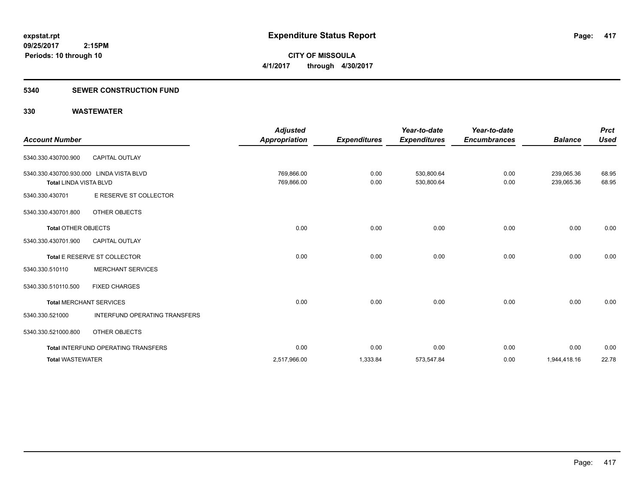# **5340 SEWER CONSTRUCTION FUND**

| <b>Account Number</b>                                                     |                                            | <b>Adjusted</b><br><b>Appropriation</b> | <b>Expenditures</b> | Year-to-date<br><b>Expenditures</b> | Year-to-date<br><b>Encumbrances</b> | <b>Balance</b>           | <b>Prct</b><br><b>Used</b> |
|---------------------------------------------------------------------------|--------------------------------------------|-----------------------------------------|---------------------|-------------------------------------|-------------------------------------|--------------------------|----------------------------|
| 5340.330.430700.900                                                       | <b>CAPITAL OUTLAY</b>                      |                                         |                     |                                     |                                     |                          |                            |
| 5340.330.430700.930.000 LINDA VISTA BLVD<br><b>Total LINDA VISTA BLVD</b> |                                            | 769,866.00<br>769,866.00                | 0.00<br>0.00        | 530,800.64<br>530,800.64            | 0.00<br>0.00                        | 239,065.36<br>239,065.36 | 68.95<br>68.95             |
| 5340.330.430701                                                           | E RESERVE ST COLLECTOR                     |                                         |                     |                                     |                                     |                          |                            |
| 5340.330.430701.800                                                       | OTHER OBJECTS                              |                                         |                     |                                     |                                     |                          |                            |
| <b>Total OTHER OBJECTS</b>                                                |                                            | 0.00                                    | 0.00                | 0.00                                | 0.00                                | 0.00                     | 0.00                       |
| 5340.330.430701.900                                                       | <b>CAPITAL OUTLAY</b>                      |                                         |                     |                                     |                                     |                          |                            |
|                                                                           | Total E RESERVE ST COLLECTOR               | 0.00                                    | 0.00                | 0.00                                | 0.00                                | 0.00                     | 0.00                       |
| 5340.330.510110                                                           | <b>MERCHANT SERVICES</b>                   |                                         |                     |                                     |                                     |                          |                            |
| 5340.330.510110.500                                                       | <b>FIXED CHARGES</b>                       |                                         |                     |                                     |                                     |                          |                            |
| <b>Total MERCHANT SERVICES</b>                                            |                                            | 0.00                                    | 0.00                | 0.00                                | 0.00                                | 0.00                     | 0.00                       |
| 5340.330.521000                                                           | INTERFUND OPERATING TRANSFERS              |                                         |                     |                                     |                                     |                          |                            |
| 5340.330.521000.800                                                       | OTHER OBJECTS                              |                                         |                     |                                     |                                     |                          |                            |
|                                                                           | <b>Total INTERFUND OPERATING TRANSFERS</b> | 0.00                                    | 0.00                | 0.00                                | 0.00                                | 0.00                     | 0.00                       |
| <b>Total WASTEWATER</b>                                                   |                                            | 2,517,966.00                            | 1,333.84            | 573,547.84                          | 0.00                                | 1,944,418.16             | 22.78                      |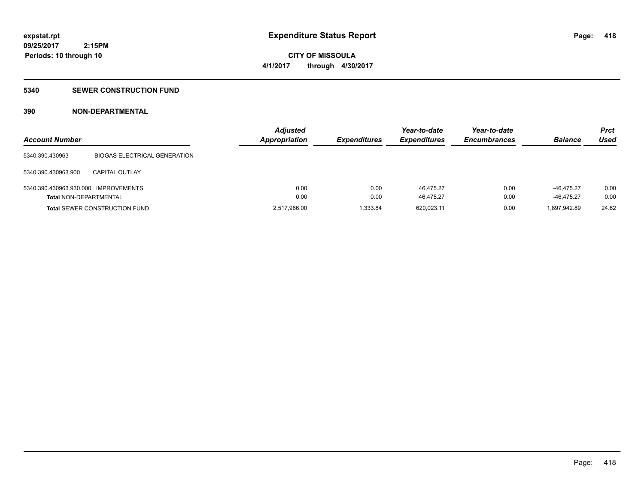**CITY OF MISSOULA 4/1/2017 through 4/30/2017**

### **5340 SEWER CONSTRUCTION FUND**

# **390 NON-DEPARTMENTAL**

| <b>Account Number</b>                |                                      | <b>Adjusted</b><br><b>Appropriation</b> | <b>Expenditures</b> | Year-to-date<br><b>Expenditures</b> | Year-to-date<br><b>Encumbrances</b> | <b>Balance</b> | <b>Prct</b><br>Used |
|--------------------------------------|--------------------------------------|-----------------------------------------|---------------------|-------------------------------------|-------------------------------------|----------------|---------------------|
| 5340.390.430963                      | <b>BIOGAS ELECTRICAL GENERATION</b>  |                                         |                     |                                     |                                     |                |                     |
| 5340.390.430963.900                  | <b>CAPITAL OUTLAY</b>                |                                         |                     |                                     |                                     |                |                     |
| 5340.390.430963.930.000 IMPROVEMENTS |                                      | 0.00                                    | 0.00                | 46.475.27                           | 0.00                                | -46.475.27     | 0.00                |
| <b>Total NON-DEPARTMENTAL</b>        |                                      | 0.00                                    | 0.00                | 46.475.27                           | 0.00                                | $-46.475.27$   | 0.00                |
|                                      | <b>Total SEWER CONSTRUCTION FUND</b> | 2,517,966.00                            | .333.84             | 620,023.11                          | 0.00                                | 1,897,942.89   | 24.62               |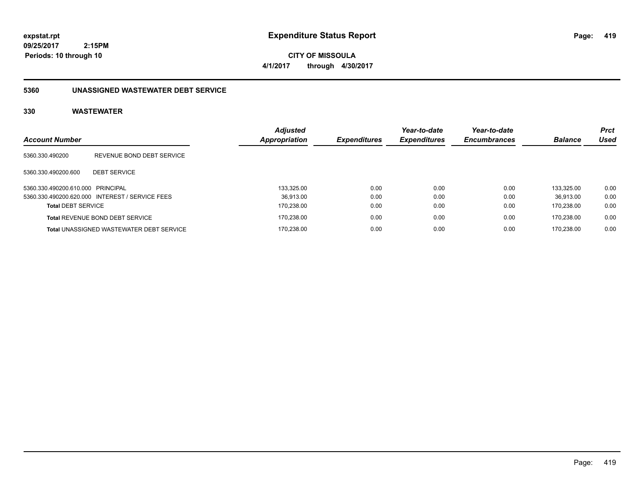**CITY OF MISSOULA 4/1/2017 through 4/30/2017**

# **5360 UNASSIGNED WASTEWATER DEBT SERVICE**

| <b>Account Number</b>             |                                                 | <b>Adjusted</b><br>Appropriation | <b>Expenditures</b> | Year-to-date<br><b>Expenditures</b> | Year-to-date<br><b>Encumbrances</b> | <b>Balance</b> | <b>Prct</b><br>Used |
|-----------------------------------|-------------------------------------------------|----------------------------------|---------------------|-------------------------------------|-------------------------------------|----------------|---------------------|
| 5360.330.490200                   | REVENUE BOND DEBT SERVICE                       |                                  |                     |                                     |                                     |                |                     |
| 5360.330.490200.600               | <b>DEBT SERVICE</b>                             |                                  |                     |                                     |                                     |                |                     |
| 5360.330.490200.610.000 PRINCIPAL |                                                 | 133.325.00                       | 0.00                | 0.00                                | 0.00                                | 133.325.00     | 0.00                |
|                                   | 5360.330.490200.620.000 INTEREST / SERVICE FEES | 36.913.00                        | 0.00                | 0.00                                | 0.00                                | 36.913.00      | 0.00                |
| <b>Total DEBT SERVICE</b>         |                                                 | 170.238.00                       | 0.00                | 0.00                                | 0.00                                | 170.238.00     | 0.00                |
|                                   | <b>Total REVENUE BOND DEBT SERVICE</b>          | 170.238.00                       | 0.00                | 0.00                                | 0.00                                | 170.238.00     | 0.00                |
|                                   | <b>Total UNASSIGNED WASTEWATER DEBT SERVICE</b> | 170.238.00                       | 0.00                | 0.00                                | 0.00                                | 170.238.00     | 0.00                |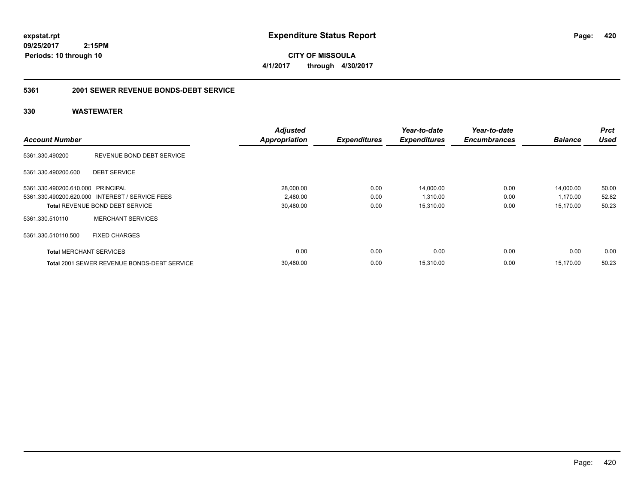**09/25/2017 2:15PM Periods: 10 through 10**

**CITY OF MISSOULA 4/1/2017 through 4/30/2017**

# **5361 2001 SEWER REVENUE BONDS-DEBT SERVICE**

|                                   |                                                    | <b>Adjusted</b>      |                     | Year-to-date        | Year-to-date        |                | <b>Prct</b> |
|-----------------------------------|----------------------------------------------------|----------------------|---------------------|---------------------|---------------------|----------------|-------------|
| <b>Account Number</b>             |                                                    | <b>Appropriation</b> | <b>Expenditures</b> | <b>Expenditures</b> | <b>Encumbrances</b> | <b>Balance</b> | <b>Used</b> |
| 5361.330.490200                   | REVENUE BOND DEBT SERVICE                          |                      |                     |                     |                     |                |             |
| 5361.330.490200.600               | <b>DEBT SERVICE</b>                                |                      |                     |                     |                     |                |             |
| 5361.330.490200.610.000 PRINCIPAL |                                                    | 28,000.00            | 0.00                | 14,000.00           | 0.00                | 14,000.00      | 50.00       |
|                                   | 5361.330.490200.620.000 INTEREST / SERVICE FEES    | 2,480.00             | 0.00                | 1,310.00            | 0.00                | 1,170.00       | 52.82       |
|                                   | <b>Total REVENUE BOND DEBT SERVICE</b>             | 30,480.00            | 0.00                | 15,310.00           | 0.00                | 15,170.00      | 50.23       |
| 5361.330.510110                   | <b>MERCHANT SERVICES</b>                           |                      |                     |                     |                     |                |             |
| 5361.330.510110.500               | <b>FIXED CHARGES</b>                               |                      |                     |                     |                     |                |             |
| <b>Total MERCHANT SERVICES</b>    |                                                    | 0.00                 | 0.00                | 0.00                | 0.00                | 0.00           | 0.00        |
|                                   | <b>Total 2001 SEWER REVENUE BONDS-DEBT SERVICE</b> | 30.480.00            | 0.00                | 15,310.00           | 0.00                | 15.170.00      | 50.23       |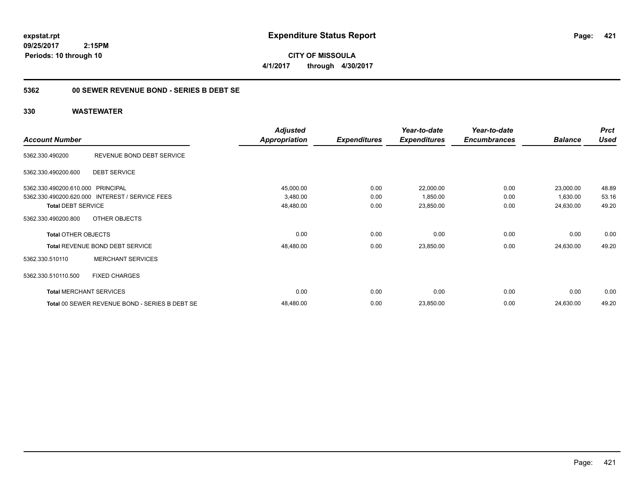**CITY OF MISSOULA 4/1/2017 through 4/30/2017**

# **5362 00 SEWER REVENUE BOND - SERIES B DEBT SE**

|                                   |                                                 | <b>Adjusted</b> |                     | Year-to-date        | Year-to-date        |                | <b>Prct</b> |
|-----------------------------------|-------------------------------------------------|-----------------|---------------------|---------------------|---------------------|----------------|-------------|
| <b>Account Number</b>             |                                                 | Appropriation   | <b>Expenditures</b> | <b>Expenditures</b> | <b>Encumbrances</b> | <b>Balance</b> | <b>Used</b> |
| 5362.330.490200                   | REVENUE BOND DEBT SERVICE                       |                 |                     |                     |                     |                |             |
| 5362.330.490200.600               | <b>DEBT SERVICE</b>                             |                 |                     |                     |                     |                |             |
| 5362.330.490200.610.000 PRINCIPAL |                                                 | 45,000.00       | 0.00                | 22,000.00           | 0.00                | 23,000.00      | 48.89       |
|                                   | 5362.330.490200.620.000 INTEREST / SERVICE FEES | 3,480.00        | 0.00                | 1,850.00            | 0.00                | 1,630.00       | 53.16       |
| <b>Total DEBT SERVICE</b>         |                                                 | 48,480.00       | 0.00                | 23,850.00           | 0.00                | 24,630.00      | 49.20       |
| 5362.330.490200.800               | OTHER OBJECTS                                   |                 |                     |                     |                     |                |             |
| <b>Total OTHER OBJECTS</b>        |                                                 | 0.00            | 0.00                | 0.00                | 0.00                | 0.00           | 0.00        |
|                                   | Total REVENUE BOND DEBT SERVICE                 | 48,480.00       | 0.00                | 23,850.00           | 0.00                | 24,630.00      | 49.20       |
| 5362.330.510110                   | <b>MERCHANT SERVICES</b>                        |                 |                     |                     |                     |                |             |
| 5362.330.510110.500               | <b>FIXED CHARGES</b>                            |                 |                     |                     |                     |                |             |
|                                   | <b>Total MERCHANT SERVICES</b>                  | 0.00            | 0.00                | 0.00                | 0.00                | 0.00           | 0.00        |
|                                   | Total 00 SEWER REVENUE BOND - SERIES B DEBT SE  | 48,480.00       | 0.00                | 23,850.00           | 0.00                | 24,630.00      | 49.20       |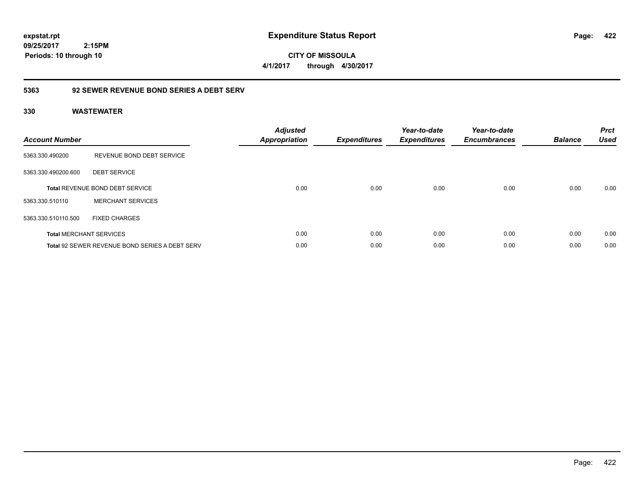**CITY OF MISSOULA 4/1/2017 through 4/30/2017**

# **5363 92 SEWER REVENUE BOND SERIES A DEBT SERV**

| <b>Account Number</b> |                                                       | <b>Adjusted</b><br>Appropriation | <b>Expenditures</b> | Year-to-date<br><b>Expenditures</b> | Year-to-date<br><b>Encumbrances</b> | <b>Balance</b> | <b>Prct</b><br><b>Used</b> |
|-----------------------|-------------------------------------------------------|----------------------------------|---------------------|-------------------------------------|-------------------------------------|----------------|----------------------------|
| 5363.330.490200       | REVENUE BOND DEBT SERVICE                             |                                  |                     |                                     |                                     |                |                            |
| 5363.330.490200.600   | <b>DEBT SERVICE</b>                                   |                                  |                     |                                     |                                     |                |                            |
|                       | <b>Total REVENUE BOND DEBT SERVICE</b>                | 0.00                             | 0.00                | 0.00                                | 0.00                                | 0.00           | 0.00                       |
| 5363.330.510110       | <b>MERCHANT SERVICES</b>                              |                                  |                     |                                     |                                     |                |                            |
| 5363.330.510110.500   | <b>FIXED CHARGES</b>                                  |                                  |                     |                                     |                                     |                |                            |
|                       | <b>Total MERCHANT SERVICES</b>                        | 0.00                             | 0.00                | 0.00                                | 0.00                                | 0.00           | 0.00                       |
|                       | <b>Total 92 SEWER REVENUE BOND SERIES A DEBT SERV</b> | 0.00                             | 0.00                | 0.00                                | 0.00                                | 0.00           | 0.00                       |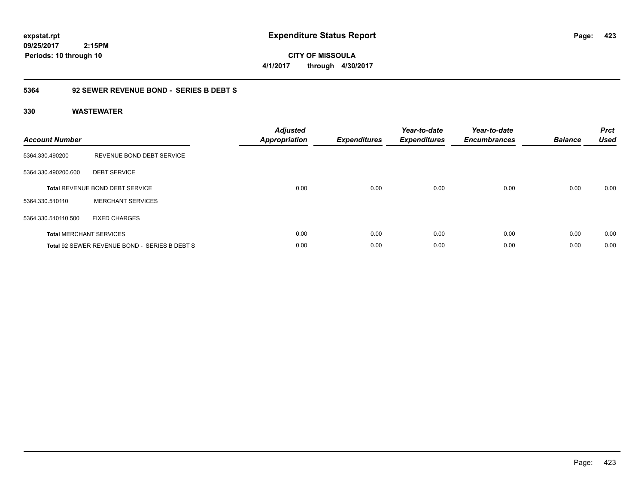**CITY OF MISSOULA 4/1/2017 through 4/30/2017**

# **5364 92 SEWER REVENUE BOND - SERIES B DEBT S**

| <b>Account Number</b> |                                               | <b>Adjusted</b><br>Appropriation | <b>Expenditures</b> | Year-to-date<br><b>Expenditures</b> | Year-to-date<br><b>Encumbrances</b> | <b>Balance</b> | <b>Prct</b><br><b>Used</b> |
|-----------------------|-----------------------------------------------|----------------------------------|---------------------|-------------------------------------|-------------------------------------|----------------|----------------------------|
| 5364.330.490200       | REVENUE BOND DEBT SERVICE                     |                                  |                     |                                     |                                     |                |                            |
| 5364.330.490200.600   | <b>DEBT SERVICE</b>                           |                                  |                     |                                     |                                     |                |                            |
|                       | <b>Total REVENUE BOND DEBT SERVICE</b>        | 0.00                             | 0.00                | 0.00                                | 0.00                                | 0.00           | 0.00                       |
| 5364.330.510110       | <b>MERCHANT SERVICES</b>                      |                                  |                     |                                     |                                     |                |                            |
| 5364.330.510110.500   | <b>FIXED CHARGES</b>                          |                                  |                     |                                     |                                     |                |                            |
|                       | <b>Total MERCHANT SERVICES</b>                | 0.00                             | 0.00                | 0.00                                | 0.00                                | 0.00           | 0.00                       |
|                       | Total 92 SEWER REVENUE BOND - SERIES B DEBT S | 0.00                             | 0.00                | 0.00                                | 0.00                                | 0.00           | 0.00                       |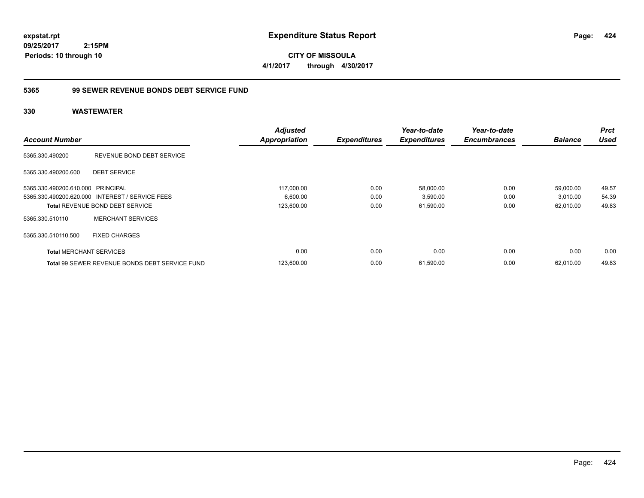**CITY OF MISSOULA 4/1/2017 through 4/30/2017**

# **5365 99 SEWER REVENUE BONDS DEBT SERVICE FUND**

|                                   |                                                       | <b>Adjusted</b>      |                     | Year-to-date        | Year-to-date        |                | <b>Prct</b> |
|-----------------------------------|-------------------------------------------------------|----------------------|---------------------|---------------------|---------------------|----------------|-------------|
| <b>Account Number</b>             |                                                       | <b>Appropriation</b> | <b>Expenditures</b> | <b>Expenditures</b> | <b>Encumbrances</b> | <b>Balance</b> | <b>Used</b> |
| 5365.330.490200                   | REVENUE BOND DEBT SERVICE                             |                      |                     |                     |                     |                |             |
| 5365.330.490200.600               | <b>DEBT SERVICE</b>                                   |                      |                     |                     |                     |                |             |
| 5365.330.490200.610.000 PRINCIPAL |                                                       | 117.000.00           | 0.00                | 58,000.00           | 0.00                | 59,000.00      | 49.57       |
|                                   | 5365.330.490200.620.000 INTEREST / SERVICE FEES       | 6,600.00             | 0.00                | 3,590.00            | 0.00                | 3,010.00       | 54.39       |
|                                   | <b>Total REVENUE BOND DEBT SERVICE</b>                | 123,600.00           | 0.00                | 61,590.00           | 0.00                | 62,010.00      | 49.83       |
| 5365.330.510110                   | <b>MERCHANT SERVICES</b>                              |                      |                     |                     |                     |                |             |
| 5365.330.510110.500               | <b>FIXED CHARGES</b>                                  |                      |                     |                     |                     |                |             |
| <b>Total MERCHANT SERVICES</b>    |                                                       | 0.00                 | 0.00                | 0.00                | 0.00                | 0.00           | 0.00        |
|                                   | <b>Total 99 SEWER REVENUE BONDS DEBT SERVICE FUND</b> | 123,600.00           | 0.00                | 61,590.00           | 0.00                | 62.010.00      | 49.83       |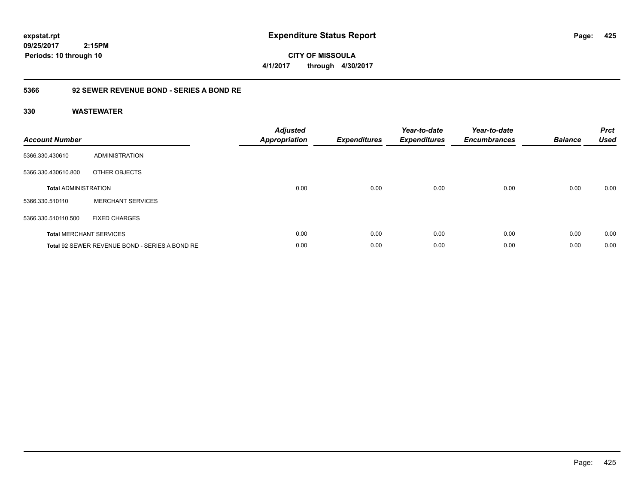**CITY OF MISSOULA 4/1/2017 through 4/30/2017**

# **5366 92 SEWER REVENUE BOND - SERIES A BOND RE**

| <b>Account Number</b>       |                                                | <b>Adjusted</b><br>Appropriation | <b>Expenditures</b> | Year-to-date<br><b>Expenditures</b> | Year-to-date<br><b>Encumbrances</b> | <b>Balance</b> | <b>Prct</b><br><b>Used</b> |
|-----------------------------|------------------------------------------------|----------------------------------|---------------------|-------------------------------------|-------------------------------------|----------------|----------------------------|
| 5366.330.430610             | ADMINISTRATION                                 |                                  |                     |                                     |                                     |                |                            |
| 5366.330.430610.800         | OTHER OBJECTS                                  |                                  |                     |                                     |                                     |                |                            |
| <b>Total ADMINISTRATION</b> |                                                | 0.00                             | 0.00                | 0.00                                | 0.00                                | 0.00           | 0.00                       |
| 5366.330.510110             | <b>MERCHANT SERVICES</b>                       |                                  |                     |                                     |                                     |                |                            |
| 5366.330.510110.500         | <b>FIXED CHARGES</b>                           |                                  |                     |                                     |                                     |                |                            |
|                             | <b>Total MERCHANT SERVICES</b>                 | 0.00                             | 0.00                | 0.00                                | 0.00                                | 0.00           | 0.00                       |
|                             | Total 92 SEWER REVENUE BOND - SERIES A BOND RE | 0.00                             | 0.00                | 0.00                                | 0.00                                | 0.00           | 0.00                       |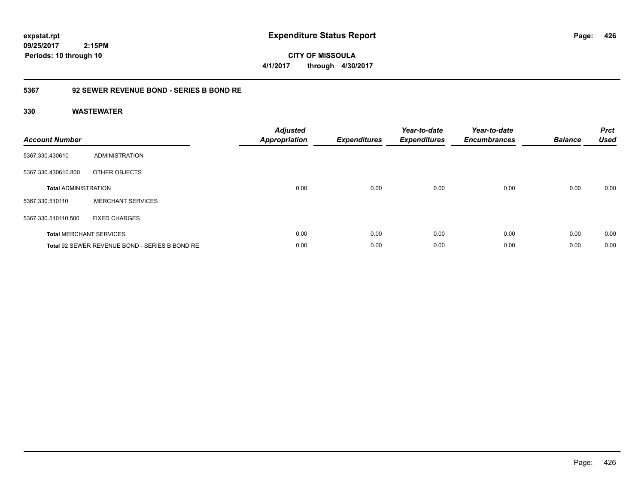**09/25/2017 2:15PM Periods: 10 through 10**

**CITY OF MISSOULA 4/1/2017 through 4/30/2017**

# **5367 92 SEWER REVENUE BOND - SERIES B BOND RE**

| <b>Account Number</b>       |                                                | <b>Adjusted</b><br>Appropriation | <b>Expenditures</b> | Year-to-date<br><b>Expenditures</b> | Year-to-date<br><b>Encumbrances</b> | <b>Balance</b> | <b>Prct</b><br><b>Used</b> |
|-----------------------------|------------------------------------------------|----------------------------------|---------------------|-------------------------------------|-------------------------------------|----------------|----------------------------|
| 5367.330.430610             | <b>ADMINISTRATION</b>                          |                                  |                     |                                     |                                     |                |                            |
| 5367.330.430610.800         | OTHER OBJECTS                                  |                                  |                     |                                     |                                     |                |                            |
| <b>Total ADMINISTRATION</b> |                                                | 0.00                             | 0.00                | 0.00                                | 0.00                                | 0.00           | 0.00                       |
| 5367.330.510110             | <b>MERCHANT SERVICES</b>                       |                                  |                     |                                     |                                     |                |                            |
| 5367.330.510110.500         | <b>FIXED CHARGES</b>                           |                                  |                     |                                     |                                     |                |                            |
|                             | <b>Total MERCHANT SERVICES</b>                 | 0.00                             | 0.00                | 0.00                                | 0.00                                | 0.00           | 0.00                       |
|                             | Total 92 SEWER REVENUE BOND - SERIES B BOND RE | 0.00                             | 0.00                | 0.00                                | 0.00                                | 0.00           | 0.00                       |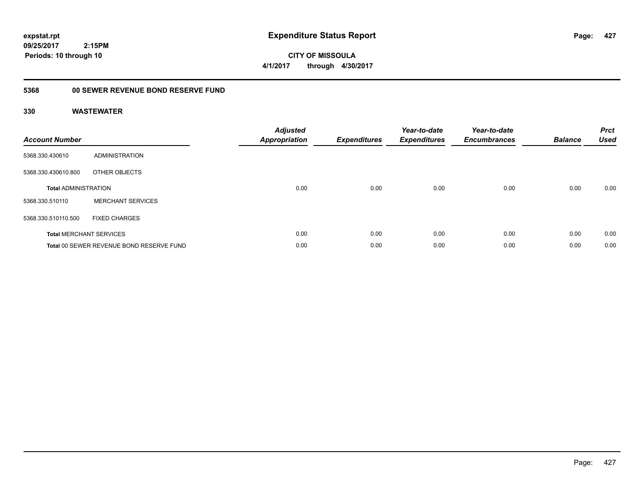**CITY OF MISSOULA 4/1/2017 through 4/30/2017**

# **5368 00 SEWER REVENUE BOND RESERVE FUND**

| <b>Account Number</b>       |                                          | <b>Adjusted</b><br><b>Appropriation</b> | <b>Expenditures</b> | Year-to-date<br><b>Expenditures</b> | Year-to-date<br><b>Encumbrances</b> | <b>Balance</b> | <b>Prct</b><br><b>Used</b> |
|-----------------------------|------------------------------------------|-----------------------------------------|---------------------|-------------------------------------|-------------------------------------|----------------|----------------------------|
| 5368.330.430610             | ADMINISTRATION                           |                                         |                     |                                     |                                     |                |                            |
| 5368.330.430610.800         | OTHER OBJECTS                            |                                         |                     |                                     |                                     |                |                            |
| <b>Total ADMINISTRATION</b> |                                          | 0.00                                    | 0.00                | 0.00                                | 0.00                                | 0.00           | 0.00                       |
| 5368.330.510110             | <b>MERCHANT SERVICES</b>                 |                                         |                     |                                     |                                     |                |                            |
| 5368.330.510110.500         | <b>FIXED CHARGES</b>                     |                                         |                     |                                     |                                     |                |                            |
|                             | <b>Total MERCHANT SERVICES</b>           | 0.00                                    | 0.00                | 0.00                                | 0.00                                | 0.00           | 0.00                       |
|                             | Total 00 SEWER REVENUE BOND RESERVE FUND | 0.00                                    | 0.00                | 0.00                                | 0.00                                | 0.00           | 0.00                       |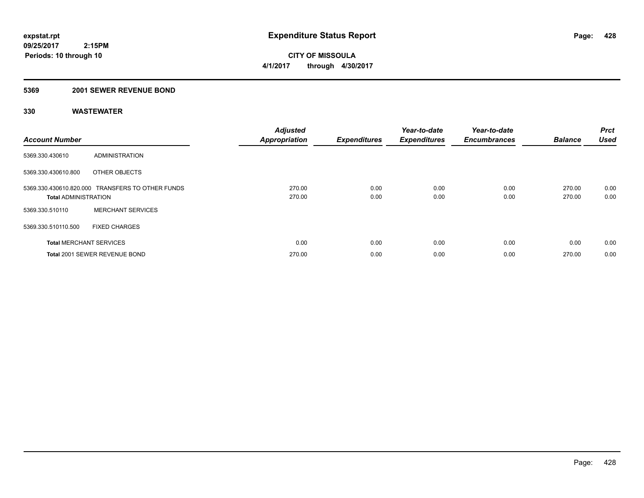**09/25/2017 2:15PM Periods: 10 through 10**

**CITY OF MISSOULA 4/1/2017 through 4/30/2017**

# **5369 2001 SEWER REVENUE BOND**

| <b>Account Number</b>          |                                                  | <b>Adjusted</b><br><b>Appropriation</b> | <b>Expenditures</b> | Year-to-date<br><b>Expenditures</b> | Year-to-date<br><b>Encumbrances</b> | <b>Balance</b>   | <b>Prct</b><br><b>Used</b> |
|--------------------------------|--------------------------------------------------|-----------------------------------------|---------------------|-------------------------------------|-------------------------------------|------------------|----------------------------|
| 5369.330.430610                | ADMINISTRATION                                   |                                         |                     |                                     |                                     |                  |                            |
| 5369.330.430610.800            | OTHER OBJECTS                                    |                                         |                     |                                     |                                     |                  |                            |
| <b>Total ADMINISTRATION</b>    | 5369.330.430610.820.000 TRANSFERS TO OTHER FUNDS | 270.00<br>270.00                        | 0.00<br>0.00        | 0.00<br>0.00                        | 0.00<br>0.00                        | 270.00<br>270.00 | 0.00<br>0.00               |
| 5369.330.510110                | <b>MERCHANT SERVICES</b>                         |                                         |                     |                                     |                                     |                  |                            |
| 5369.330.510110.500            | <b>FIXED CHARGES</b>                             |                                         |                     |                                     |                                     |                  |                            |
| <b>Total MERCHANT SERVICES</b> |                                                  | 0.00                                    | 0.00                | 0.00                                | 0.00                                | 0.00             | 0.00                       |
|                                | Total 2001 SEWER REVENUE BOND                    | 270.00                                  | 0.00                | 0.00                                | 0.00                                | 270.00           | 0.00                       |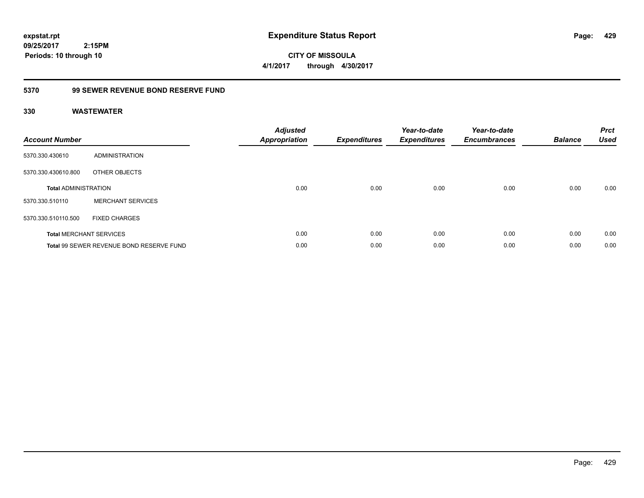**CITY OF MISSOULA 4/1/2017 through 4/30/2017**

# **5370 99 SEWER REVENUE BOND RESERVE FUND**

| <b>Account Number</b>       |                                          | <b>Adjusted</b><br>Appropriation | <b>Expenditures</b> | Year-to-date<br><b>Expenditures</b> | Year-to-date<br><b>Encumbrances</b> | <b>Balance</b> | <b>Prct</b><br><b>Used</b> |
|-----------------------------|------------------------------------------|----------------------------------|---------------------|-------------------------------------|-------------------------------------|----------------|----------------------------|
| 5370.330.430610             | ADMINISTRATION                           |                                  |                     |                                     |                                     |                |                            |
| 5370.330.430610.800         | OTHER OBJECTS                            |                                  |                     |                                     |                                     |                |                            |
| <b>Total ADMINISTRATION</b> |                                          | 0.00                             | 0.00                | 0.00                                | 0.00                                | 0.00           | 0.00                       |
| 5370.330.510110             | <b>MERCHANT SERVICES</b>                 |                                  |                     |                                     |                                     |                |                            |
| 5370.330.510110.500         | <b>FIXED CHARGES</b>                     |                                  |                     |                                     |                                     |                |                            |
|                             | <b>Total MERCHANT SERVICES</b>           | 0.00                             | 0.00                | 0.00                                | 0.00                                | 0.00           | 0.00                       |
|                             | Total 99 SEWER REVENUE BOND RESERVE FUND | 0.00                             | 0.00                | 0.00                                | 0.00                                | 0.00           | 0.00                       |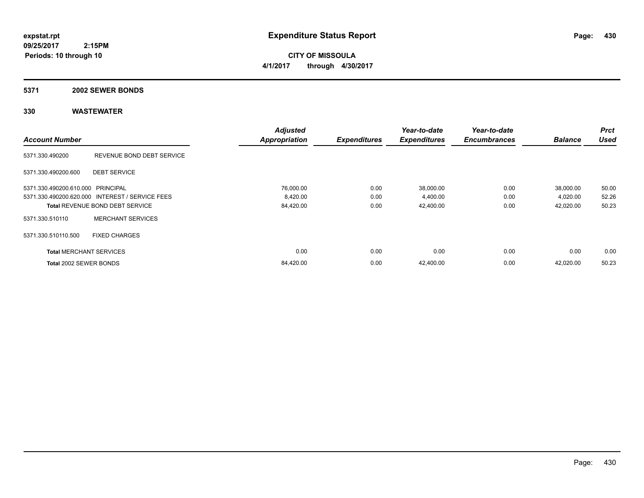**CITY OF MISSOULA 4/1/2017 through 4/30/2017**

### **5371 2002 SEWER BONDS**

|                                   |                                                 | <b>Adjusted</b>      |                     | Year-to-date        | Year-to-date        |                | <b>Prct</b> |
|-----------------------------------|-------------------------------------------------|----------------------|---------------------|---------------------|---------------------|----------------|-------------|
| <b>Account Number</b>             |                                                 | <b>Appropriation</b> | <b>Expenditures</b> | <b>Expenditures</b> | <b>Encumbrances</b> | <b>Balance</b> | <b>Used</b> |
| 5371.330.490200                   | REVENUE BOND DEBT SERVICE                       |                      |                     |                     |                     |                |             |
| 5371.330.490200.600               | <b>DEBT SERVICE</b>                             |                      |                     |                     |                     |                |             |
| 5371.330.490200.610.000 PRINCIPAL |                                                 | 76,000.00            | 0.00                | 38,000.00           | 0.00                | 38,000.00      | 50.00       |
|                                   | 5371.330.490200.620.000 INTEREST / SERVICE FEES | 8,420.00             | 0.00                | 4,400.00            | 0.00                | 4,020.00       | 52.26       |
|                                   | <b>Total REVENUE BOND DEBT SERVICE</b>          | 84,420.00            | 0.00                | 42,400.00           | 0.00                | 42,020.00      | 50.23       |
| 5371.330.510110                   | <b>MERCHANT SERVICES</b>                        |                      |                     |                     |                     |                |             |
| 5371.330.510110.500               | <b>FIXED CHARGES</b>                            |                      |                     |                     |                     |                |             |
| <b>Total MERCHANT SERVICES</b>    |                                                 | 0.00                 | 0.00                | 0.00                | 0.00                | 0.00           | 0.00        |
| Total 2002 SEWER BONDS            |                                                 | 84,420.00            | 0.00                | 42,400.00           | 0.00                | 42,020.00      | 50.23       |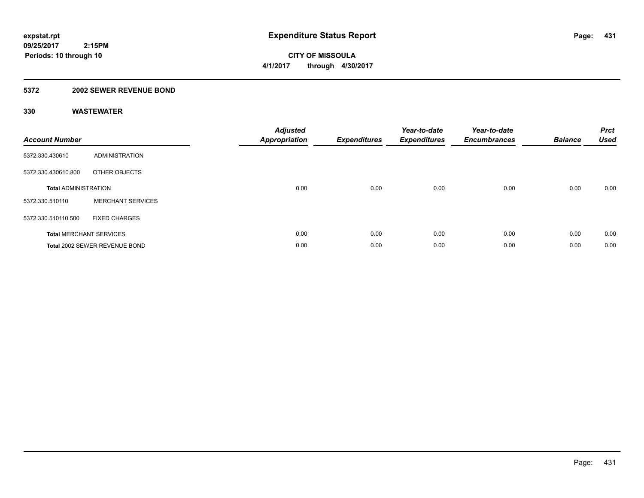**09/25/2017 2:15PM Periods: 10 through 10**

**CITY OF MISSOULA 4/1/2017 through 4/30/2017**

# **5372 2002 SEWER REVENUE BOND**

| <b>Account Number</b>          |                               | <b>Adjusted</b><br><b>Appropriation</b> | <b>Expenditures</b> | Year-to-date<br><b>Expenditures</b> | Year-to-date<br><b>Encumbrances</b> | <b>Balance</b> | <b>Prct</b><br><b>Used</b> |
|--------------------------------|-------------------------------|-----------------------------------------|---------------------|-------------------------------------|-------------------------------------|----------------|----------------------------|
| 5372.330.430610                | ADMINISTRATION                |                                         |                     |                                     |                                     |                |                            |
| 5372.330.430610.800            | OTHER OBJECTS                 |                                         |                     |                                     |                                     |                |                            |
| <b>Total ADMINISTRATION</b>    |                               | 0.00                                    | 0.00                | 0.00                                | 0.00                                | 0.00           | 0.00                       |
| 5372.330.510110                | <b>MERCHANT SERVICES</b>      |                                         |                     |                                     |                                     |                |                            |
| 5372.330.510110.500            | <b>FIXED CHARGES</b>          |                                         |                     |                                     |                                     |                |                            |
| <b>Total MERCHANT SERVICES</b> |                               | 0.00                                    | 0.00                | 0.00                                | 0.00                                | 0.00           | 0.00                       |
|                                | Total 2002 SEWER REVENUE BOND | 0.00                                    | 0.00                | 0.00                                | 0.00                                | 0.00           | 0.00                       |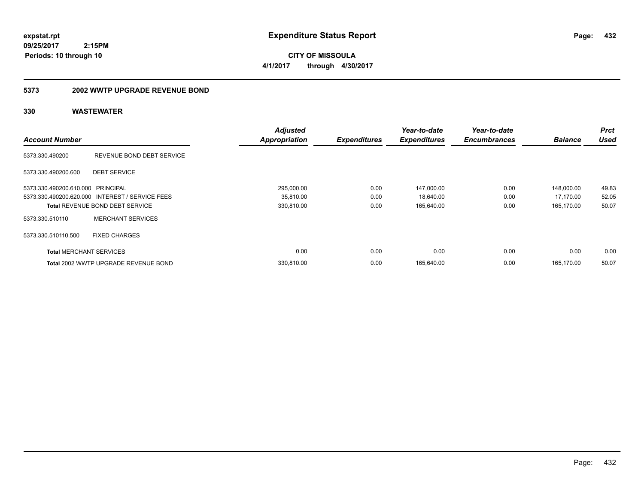**CITY OF MISSOULA 4/1/2017 through 4/30/2017**

### **5373 2002 WWTP UPGRADE REVENUE BOND**

|                                   |                                                 | <b>Adjusted</b>      |                     | Year-to-date        | Year-to-date        |                | <b>Prct</b> |
|-----------------------------------|-------------------------------------------------|----------------------|---------------------|---------------------|---------------------|----------------|-------------|
| <b>Account Number</b>             |                                                 | <b>Appropriation</b> | <b>Expenditures</b> | <b>Expenditures</b> | <b>Encumbrances</b> | <b>Balance</b> | <b>Used</b> |
| 5373.330.490200                   | REVENUE BOND DEBT SERVICE                       |                      |                     |                     |                     |                |             |
| 5373.330.490200.600               | <b>DEBT SERVICE</b>                             |                      |                     |                     |                     |                |             |
| 5373.330.490200.610.000 PRINCIPAL |                                                 | 295,000.00           | 0.00                | 147,000.00          | 0.00                | 148,000.00     | 49.83       |
|                                   | 5373.330.490200.620.000 INTEREST / SERVICE FEES | 35,810.00            | 0.00                | 18,640.00           | 0.00                | 17,170.00      | 52.05       |
|                                   | <b>Total REVENUE BOND DEBT SERVICE</b>          | 330,810.00           | 0.00                | 165.640.00          | 0.00                | 165.170.00     | 50.07       |
| 5373.330.510110                   | <b>MERCHANT SERVICES</b>                        |                      |                     |                     |                     |                |             |
| 5373.330.510110.500               | <b>FIXED CHARGES</b>                            |                      |                     |                     |                     |                |             |
| <b>Total MERCHANT SERVICES</b>    |                                                 | 0.00                 | 0.00                | 0.00                | 0.00                | 0.00           | 0.00        |
|                                   | Total 2002 WWTP UPGRADE REVENUE BOND            | 330.810.00           | 0.00                | 165.640.00          | 0.00                | 165.170.00     | 50.07       |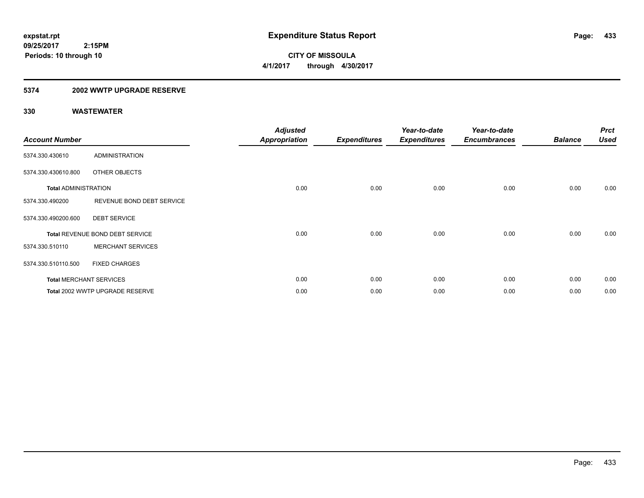**433**

**09/25/2017 2:15PM Periods: 10 through 10**

**CITY OF MISSOULA 4/1/2017 through 4/30/2017**

### **5374 2002 WWTP UPGRADE RESERVE**

| <b>Account Number</b>       |                                 | <b>Adjusted</b><br><b>Appropriation</b> | <b>Expenditures</b> | Year-to-date<br><b>Expenditures</b> | Year-to-date<br><b>Encumbrances</b> | <b>Balance</b> | <b>Prct</b><br><b>Used</b> |
|-----------------------------|---------------------------------|-----------------------------------------|---------------------|-------------------------------------|-------------------------------------|----------------|----------------------------|
| 5374.330.430610             | ADMINISTRATION                  |                                         |                     |                                     |                                     |                |                            |
| 5374.330.430610.800         | OTHER OBJECTS                   |                                         |                     |                                     |                                     |                |                            |
| <b>Total ADMINISTRATION</b> |                                 | 0.00                                    | 0.00                | 0.00                                | 0.00                                | 0.00           | 0.00                       |
| 5374.330.490200             | REVENUE BOND DEBT SERVICE       |                                         |                     |                                     |                                     |                |                            |
| 5374.330.490200.600         | <b>DEBT SERVICE</b>             |                                         |                     |                                     |                                     |                |                            |
|                             | Total REVENUE BOND DEBT SERVICE | 0.00                                    | 0.00                | 0.00                                | 0.00                                | 0.00           | 0.00                       |
| 5374.330.510110             | <b>MERCHANT SERVICES</b>        |                                         |                     |                                     |                                     |                |                            |
| 5374.330.510110.500         | <b>FIXED CHARGES</b>            |                                         |                     |                                     |                                     |                |                            |
|                             | <b>Total MERCHANT SERVICES</b>  | 0.00                                    | 0.00                | 0.00                                | 0.00                                | 0.00           | 0.00                       |
|                             | Total 2002 WWTP UPGRADE RESERVE | 0.00                                    | 0.00                | 0.00                                | 0.00                                | 0.00           | 0.00                       |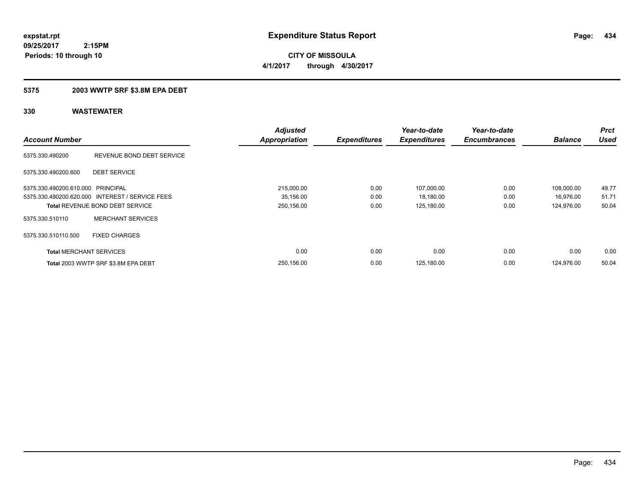**434**

**09/25/2017 2:15PM Periods: 10 through 10**

**CITY OF MISSOULA 4/1/2017 through 4/30/2017**

### **5375 2003 WWTP SRF \$3.8M EPA DEBT**

|                                   |                                                 | <b>Adjusted</b>      |                     | Year-to-date        | Year-to-date        |                | <b>Prct</b> |
|-----------------------------------|-------------------------------------------------|----------------------|---------------------|---------------------|---------------------|----------------|-------------|
| <b>Account Number</b>             |                                                 | <b>Appropriation</b> | <b>Expenditures</b> | <b>Expenditures</b> | <b>Encumbrances</b> | <b>Balance</b> | <b>Used</b> |
| 5375.330.490200                   | REVENUE BOND DEBT SERVICE                       |                      |                     |                     |                     |                |             |
| 5375.330.490200.600               | <b>DEBT SERVICE</b>                             |                      |                     |                     |                     |                |             |
| 5375.330.490200.610.000 PRINCIPAL |                                                 | 215,000.00           | 0.00                | 107,000.00          | 0.00                | 108.000.00     | 49.77       |
|                                   | 5375.330.490200.620.000 INTEREST / SERVICE FEES | 35,156.00            | 0.00                | 18,180.00           | 0.00                | 16,976.00      | 51.71       |
|                                   | <b>Total REVENUE BOND DEBT SERVICE</b>          | 250,156.00           | 0.00                | 125,180.00          | 0.00                | 124,976.00     | 50.04       |
| 5375.330.510110                   | <b>MERCHANT SERVICES</b>                        |                      |                     |                     |                     |                |             |
| 5375.330.510110.500               | <b>FIXED CHARGES</b>                            |                      |                     |                     |                     |                |             |
| <b>Total MERCHANT SERVICES</b>    |                                                 | 0.00                 | 0.00                | 0.00                | 0.00                | 0.00           | 0.00        |
|                                   | Total 2003 WWTP SRF \$3.8M EPA DEBT             | 250,156.00           | 0.00                | 125,180.00          | 0.00                | 124.976.00     | 50.04       |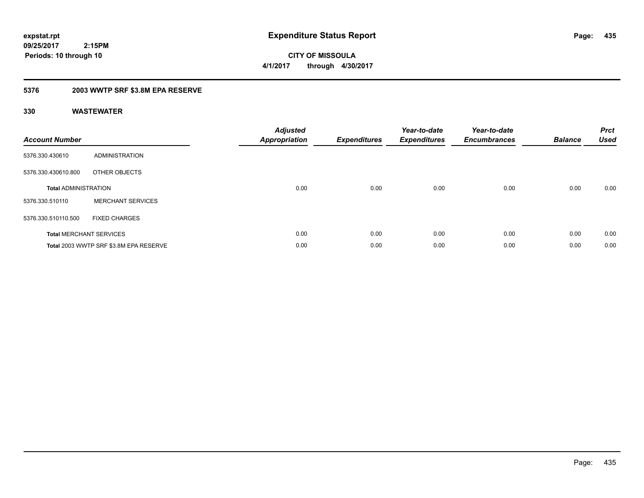**CITY OF MISSOULA 4/1/2017 through 4/30/2017**

### **5376 2003 WWTP SRF \$3.8M EPA RESERVE**

| <b>Account Number</b>       |                                        | Adjusted<br><b>Appropriation</b> | <b>Expenditures</b> | Year-to-date<br><b>Expenditures</b> | Year-to-date<br><b>Encumbrances</b> | <b>Balance</b> | <b>Prct</b><br><b>Used</b> |
|-----------------------------|----------------------------------------|----------------------------------|---------------------|-------------------------------------|-------------------------------------|----------------|----------------------------|
| 5376.330.430610             | <b>ADMINISTRATION</b>                  |                                  |                     |                                     |                                     |                |                            |
| 5376.330.430610.800         | OTHER OBJECTS                          |                                  |                     |                                     |                                     |                |                            |
| <b>Total ADMINISTRATION</b> |                                        | 0.00                             | 0.00                | 0.00                                | 0.00                                | 0.00           | 0.00                       |
| 5376.330.510110             | <b>MERCHANT SERVICES</b>               |                                  |                     |                                     |                                     |                |                            |
| 5376.330.510110.500         | <b>FIXED CHARGES</b>                   |                                  |                     |                                     |                                     |                |                            |
|                             | <b>Total MERCHANT SERVICES</b>         | 0.00                             | 0.00                | 0.00                                | 0.00                                | 0.00           | 0.00                       |
|                             | Total 2003 WWTP SRF \$3.8M EPA RESERVE | 0.00                             | 0.00                | 0.00                                | 0.00                                | 0.00           | 0.00                       |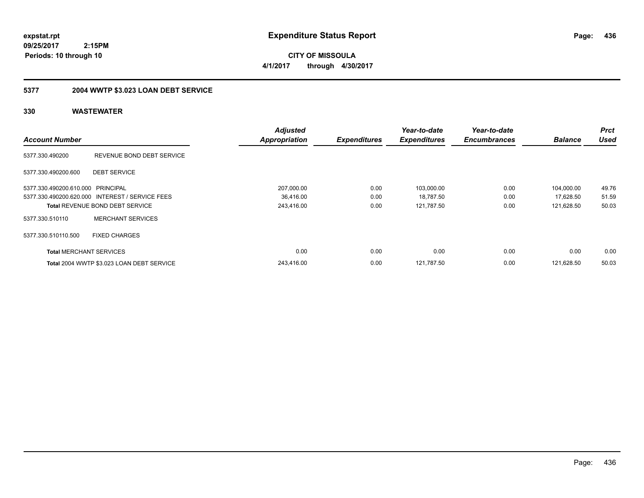**CITY OF MISSOULA 4/1/2017 through 4/30/2017**

### **5377 2004 WWTP \$3.023 LOAN DEBT SERVICE**

|                                   |                                                 | <b>Adjusted</b>      |                     | Year-to-date        | Year-to-date        |                | <b>Prct</b> |
|-----------------------------------|-------------------------------------------------|----------------------|---------------------|---------------------|---------------------|----------------|-------------|
| <b>Account Number</b>             |                                                 | <b>Appropriation</b> | <b>Expenditures</b> | <b>Expenditures</b> | <b>Encumbrances</b> | <b>Balance</b> | <b>Used</b> |
| 5377.330.490200                   | REVENUE BOND DEBT SERVICE                       |                      |                     |                     |                     |                |             |
| 5377.330.490200.600               | <b>DEBT SERVICE</b>                             |                      |                     |                     |                     |                |             |
| 5377.330.490200.610.000 PRINCIPAL |                                                 | 207,000.00           | 0.00                | 103,000.00          | 0.00                | 104,000.00     | 49.76       |
|                                   | 5377.330.490200.620.000 INTEREST / SERVICE FEES | 36,416.00            | 0.00                | 18,787.50           | 0.00                | 17,628.50      | 51.59       |
|                                   | <b>Total REVENUE BOND DEBT SERVICE</b>          | 243,416.00           | 0.00                | 121,787.50          | 0.00                | 121,628.50     | 50.03       |
| 5377.330.510110                   | <b>MERCHANT SERVICES</b>                        |                      |                     |                     |                     |                |             |
| 5377.330.510110.500               | <b>FIXED CHARGES</b>                            |                      |                     |                     |                     |                |             |
| <b>Total MERCHANT SERVICES</b>    |                                                 | 0.00                 | 0.00                | 0.00                | 0.00                | 0.00           | 0.00        |
|                                   | Total 2004 WWTP \$3.023 LOAN DEBT SERVICE       | 243.416.00           | 0.00                | 121.787.50          | 0.00                | 121.628.50     | 50.03       |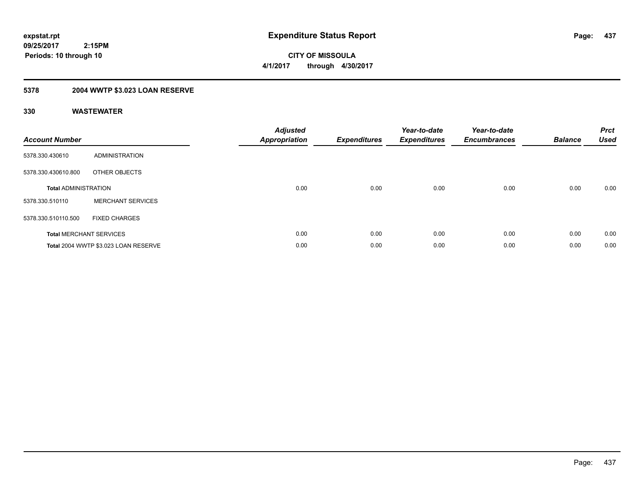**437**

**09/25/2017 2:15PM Periods: 10 through 10**

**CITY OF MISSOULA 4/1/2017 through 4/30/2017**

### **5378 2004 WWTP \$3.023 LOAN RESERVE**

| <b>Account Number</b>       |                                      | <b>Adjusted</b><br><b>Appropriation</b> | <b>Expenditures</b> | Year-to-date<br><b>Expenditures</b> | Year-to-date<br><b>Encumbrances</b> | <b>Balance</b> | <b>Prct</b><br><b>Used</b> |
|-----------------------------|--------------------------------------|-----------------------------------------|---------------------|-------------------------------------|-------------------------------------|----------------|----------------------------|
| 5378.330.430610             | <b>ADMINISTRATION</b>                |                                         |                     |                                     |                                     |                |                            |
| 5378.330.430610.800         | OTHER OBJECTS                        |                                         |                     |                                     |                                     |                |                            |
| <b>Total ADMINISTRATION</b> |                                      | 0.00                                    | 0.00                | 0.00                                | 0.00                                | 0.00           | 0.00                       |
| 5378.330.510110             | <b>MERCHANT SERVICES</b>             |                                         |                     |                                     |                                     |                |                            |
| 5378.330.510110.500         | <b>FIXED CHARGES</b>                 |                                         |                     |                                     |                                     |                |                            |
|                             | <b>Total MERCHANT SERVICES</b>       | 0.00                                    | 0.00                | 0.00                                | 0.00                                | 0.00           | 0.00                       |
|                             | Total 2004 WWTP \$3.023 LOAN RESERVE | 0.00                                    | 0.00                | 0.00                                | 0.00                                | 0.00           | 0.00                       |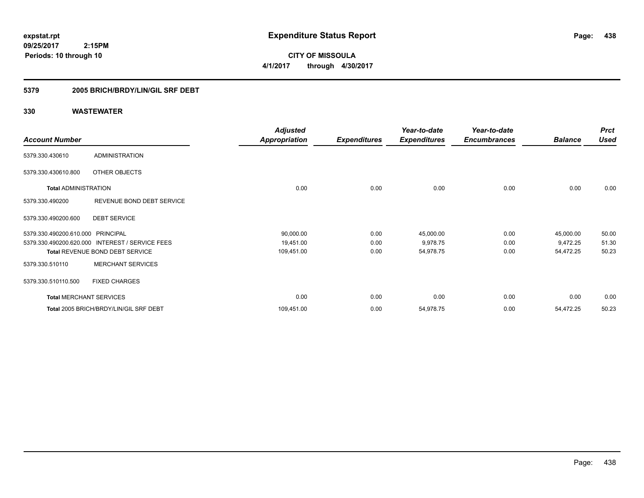**CITY OF MISSOULA 4/1/2017 through 4/30/2017**

### **5379 2005 BRICH/BRDY/LIN/GIL SRF DEBT**

|                                |                                                 | <b>Adjusted</b>      |                     | Year-to-date        | Year-to-date        |                | <b>Prct</b> |
|--------------------------------|-------------------------------------------------|----------------------|---------------------|---------------------|---------------------|----------------|-------------|
| <b>Account Number</b>          |                                                 | <b>Appropriation</b> | <b>Expenditures</b> | <b>Expenditures</b> | <b>Encumbrances</b> | <b>Balance</b> | <b>Used</b> |
| 5379.330.430610                | <b>ADMINISTRATION</b>                           |                      |                     |                     |                     |                |             |
| 5379.330.430610.800            | OTHER OBJECTS                                   |                      |                     |                     |                     |                |             |
| <b>Total ADMINISTRATION</b>    |                                                 | 0.00                 | 0.00                | 0.00                | 0.00                | 0.00           | 0.00        |
| 5379.330.490200                | REVENUE BOND DEBT SERVICE                       |                      |                     |                     |                     |                |             |
| 5379.330.490200.600            | <b>DEBT SERVICE</b>                             |                      |                     |                     |                     |                |             |
| 5379.330.490200.610.000        | PRINCIPAL                                       | 90,000.00            | 0.00                | 45,000.00           | 0.00                | 45,000.00      | 50.00       |
|                                | 5379.330.490200.620.000 INTEREST / SERVICE FEES | 19,451.00            | 0.00                | 9,978.75            | 0.00                | 9,472.25       | 51.30       |
|                                | Total REVENUE BOND DEBT SERVICE                 | 109,451.00           | 0.00                | 54,978.75           | 0.00                | 54,472.25      | 50.23       |
| 5379.330.510110                | <b>MERCHANT SERVICES</b>                        |                      |                     |                     |                     |                |             |
| 5379.330.510110.500            | <b>FIXED CHARGES</b>                            |                      |                     |                     |                     |                |             |
| <b>Total MERCHANT SERVICES</b> |                                                 | 0.00                 | 0.00                | 0.00                | 0.00                | 0.00           | 0.00        |
|                                | Total 2005 BRICH/BRDY/LIN/GIL SRF DEBT          | 109,451.00           | 0.00                | 54,978.75           | 0.00                | 54,472.25      | 50.23       |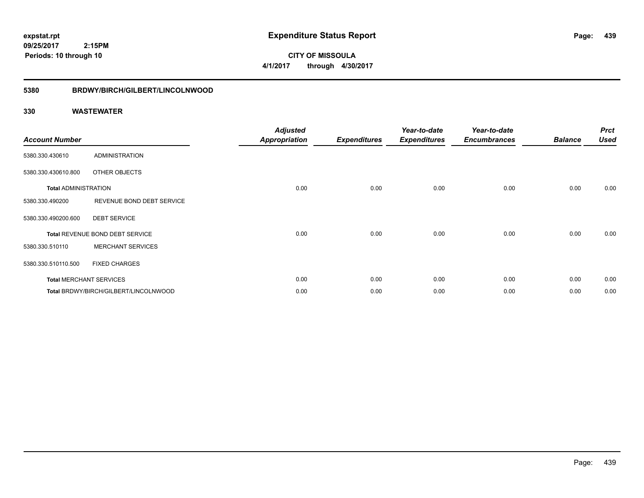**CITY OF MISSOULA 4/1/2017 through 4/30/2017**

#### **5380 BRDWY/BIRCH/GILBERT/LINCOLNWOOD**

| <b>Account Number</b>       |                                       | <b>Adjusted</b><br><b>Appropriation</b> | <b>Expenditures</b> | Year-to-date<br><b>Expenditures</b> | Year-to-date<br><b>Encumbrances</b> | <b>Balance</b> | <b>Prct</b><br><b>Used</b> |
|-----------------------------|---------------------------------------|-----------------------------------------|---------------------|-------------------------------------|-------------------------------------|----------------|----------------------------|
| 5380.330.430610             | ADMINISTRATION                        |                                         |                     |                                     |                                     |                |                            |
| 5380.330.430610.800         | OTHER OBJECTS                         |                                         |                     |                                     |                                     |                |                            |
| <b>Total ADMINISTRATION</b> |                                       | 0.00                                    | 0.00                | 0.00                                | 0.00                                | 0.00           | 0.00                       |
| 5380.330.490200             | REVENUE BOND DEBT SERVICE             |                                         |                     |                                     |                                     |                |                            |
| 5380.330.490200.600         | <b>DEBT SERVICE</b>                   |                                         |                     |                                     |                                     |                |                            |
|                             | Total REVENUE BOND DEBT SERVICE       | 0.00                                    | 0.00                | 0.00                                | 0.00                                | 0.00           | 0.00                       |
| 5380.330.510110             | <b>MERCHANT SERVICES</b>              |                                         |                     |                                     |                                     |                |                            |
| 5380.330.510110.500         | <b>FIXED CHARGES</b>                  |                                         |                     |                                     |                                     |                |                            |
|                             | <b>Total MERCHANT SERVICES</b>        | 0.00                                    | 0.00                | 0.00                                | 0.00                                | 0.00           | 0.00                       |
|                             | Total BRDWY/BIRCH/GILBERT/LINCOLNWOOD | 0.00                                    | 0.00                | 0.00                                | 0.00                                | 0.00           | 0.00                       |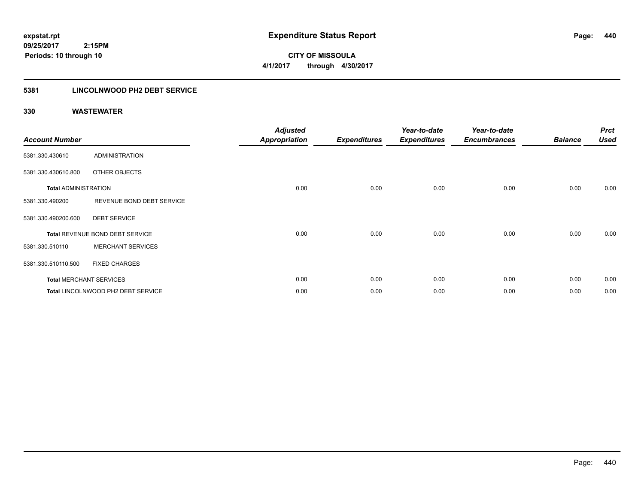**440**

**09/25/2017 2:15PM Periods: 10 through 10**

**CITY OF MISSOULA 4/1/2017 through 4/30/2017**

### **5381 LINCOLNWOOD PH2 DEBT SERVICE**

| <b>Account Number</b>       |                                    | <b>Adjusted</b><br><b>Appropriation</b> | <b>Expenditures</b> | Year-to-date<br><b>Expenditures</b> | Year-to-date<br><b>Encumbrances</b> | <b>Balance</b> | <b>Prct</b><br><b>Used</b> |
|-----------------------------|------------------------------------|-----------------------------------------|---------------------|-------------------------------------|-------------------------------------|----------------|----------------------------|
| 5381.330.430610             | ADMINISTRATION                     |                                         |                     |                                     |                                     |                |                            |
| 5381.330.430610.800         | OTHER OBJECTS                      |                                         |                     |                                     |                                     |                |                            |
| <b>Total ADMINISTRATION</b> |                                    | 0.00                                    | 0.00                | 0.00                                | 0.00                                | 0.00           | 0.00                       |
| 5381.330.490200             | REVENUE BOND DEBT SERVICE          |                                         |                     |                                     |                                     |                |                            |
| 5381.330.490200.600         | <b>DEBT SERVICE</b>                |                                         |                     |                                     |                                     |                |                            |
|                             | Total REVENUE BOND DEBT SERVICE    | 0.00                                    | 0.00                | 0.00                                | 0.00                                | 0.00           | 0.00                       |
| 5381.330.510110             | <b>MERCHANT SERVICES</b>           |                                         |                     |                                     |                                     |                |                            |
| 5381.330.510110.500         | <b>FIXED CHARGES</b>               |                                         |                     |                                     |                                     |                |                            |
|                             | <b>Total MERCHANT SERVICES</b>     | 0.00                                    | 0.00                | 0.00                                | 0.00                                | 0.00           | 0.00                       |
|                             | Total LINCOLNWOOD PH2 DEBT SERVICE | 0.00                                    | 0.00                | 0.00                                | 0.00                                | 0.00           | 0.00                       |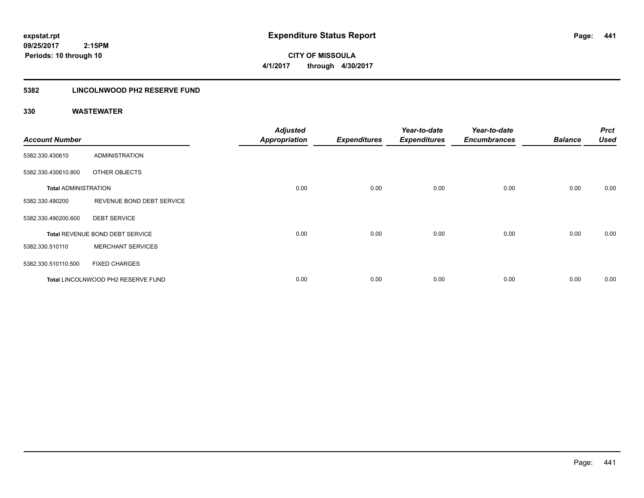**CITY OF MISSOULA 4/1/2017 through 4/30/2017**

### **5382 LINCOLNWOOD PH2 RESERVE FUND**

| <b>Account Number</b>       |                                    | <b>Adjusted</b><br><b>Appropriation</b> | <b>Expenditures</b> | Year-to-date<br><b>Expenditures</b> | Year-to-date<br><b>Encumbrances</b> | <b>Balance</b> | <b>Prct</b><br><b>Used</b> |
|-----------------------------|------------------------------------|-----------------------------------------|---------------------|-------------------------------------|-------------------------------------|----------------|----------------------------|
| 5382.330.430610             | ADMINISTRATION                     |                                         |                     |                                     |                                     |                |                            |
| 5382.330.430610.800         | OTHER OBJECTS                      |                                         |                     |                                     |                                     |                |                            |
| <b>Total ADMINISTRATION</b> |                                    | 0.00                                    | 0.00                | 0.00                                | 0.00                                | 0.00           | 0.00                       |
| 5382.330.490200             | REVENUE BOND DEBT SERVICE          |                                         |                     |                                     |                                     |                |                            |
| 5382.330.490200.600         | <b>DEBT SERVICE</b>                |                                         |                     |                                     |                                     |                |                            |
|                             | Total REVENUE BOND DEBT SERVICE    | 0.00                                    | 0.00                | 0.00                                | 0.00                                | 0.00           | 0.00                       |
| 5382.330.510110             | <b>MERCHANT SERVICES</b>           |                                         |                     |                                     |                                     |                |                            |
| 5382.330.510110.500         | <b>FIXED CHARGES</b>               |                                         |                     |                                     |                                     |                |                            |
|                             | Total LINCOLNWOOD PH2 RESERVE FUND | 0.00                                    | 0.00                | 0.00                                | 0.00                                | 0.00           | 0.00                       |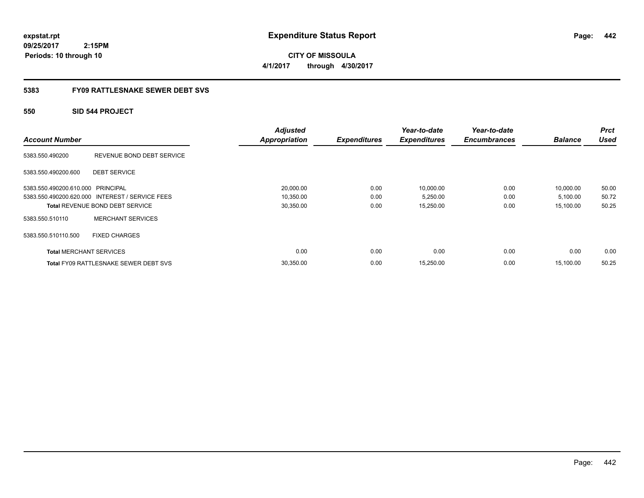**CITY OF MISSOULA 4/1/2017 through 4/30/2017**

### **5383 FY09 RATTLESNAKE SEWER DEBT SVS**

### **550 SID 544 PROJECT**

| <b>Account Number</b>             |                                                 | <b>Adjusted</b><br><b>Appropriation</b> | <b>Expenditures</b> | Year-to-date<br><b>Expenditures</b> | Year-to-date<br><b>Encumbrances</b> | <b>Balance</b> | <b>Prct</b><br><b>Used</b> |
|-----------------------------------|-------------------------------------------------|-----------------------------------------|---------------------|-------------------------------------|-------------------------------------|----------------|----------------------------|
| 5383.550.490200                   | REVENUE BOND DEBT SERVICE                       |                                         |                     |                                     |                                     |                |                            |
| 5383.550.490200.600               | <b>DEBT SERVICE</b>                             |                                         |                     |                                     |                                     |                |                            |
| 5383.550.490200.610.000 PRINCIPAL |                                                 | 20,000.00                               | 0.00                | 10,000.00                           | 0.00                                | 10,000.00      | 50.00                      |
|                                   | 5383.550.490200.620.000 INTEREST / SERVICE FEES | 10,350.00                               | 0.00                | 5,250.00                            | 0.00                                | 5,100.00       | 50.72                      |
|                                   | <b>Total REVENUE BOND DEBT SERVICE</b>          | 30,350.00                               | 0.00                | 15,250.00                           | 0.00                                | 15.100.00      | 50.25                      |
| 5383.550.510110                   | <b>MERCHANT SERVICES</b>                        |                                         |                     |                                     |                                     |                |                            |
| 5383.550.510110.500               | <b>FIXED CHARGES</b>                            |                                         |                     |                                     |                                     |                |                            |
| <b>Total MERCHANT SERVICES</b>    |                                                 | 0.00                                    | 0.00                | 0.00                                | 0.00                                | 0.00           | 0.00                       |
|                                   | <b>Total FY09 RATTLESNAKE SEWER DEBT SVS</b>    | 30,350.00                               | 0.00                | 15,250.00                           | 0.00                                | 15.100.00      | 50.25                      |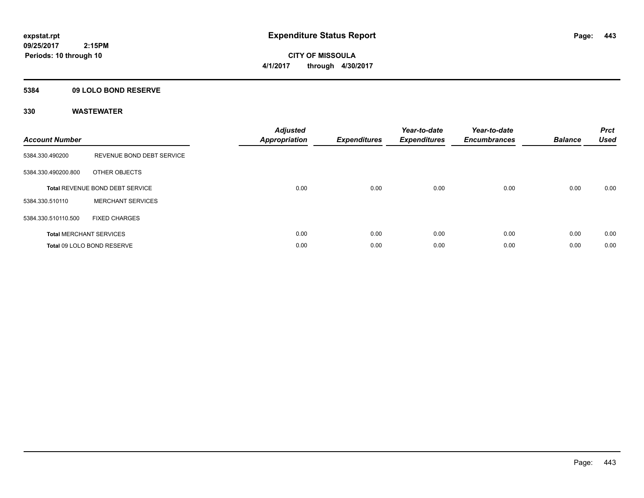**CITY OF MISSOULA 4/1/2017 through 4/30/2017**

### **5384 09 LOLO BOND RESERVE**

| <b>Account Number</b> |                                        | <b>Adjusted</b><br>Appropriation | <b>Expenditures</b> | Year-to-date<br><b>Expenditures</b> | Year-to-date<br><b>Encumbrances</b> | <b>Balance</b> | <b>Prct</b><br><b>Used</b> |
|-----------------------|----------------------------------------|----------------------------------|---------------------|-------------------------------------|-------------------------------------|----------------|----------------------------|
| 5384.330.490200       | REVENUE BOND DEBT SERVICE              |                                  |                     |                                     |                                     |                |                            |
| 5384.330.490200.800   | OTHER OBJECTS                          |                                  |                     |                                     |                                     |                |                            |
|                       | <b>Total REVENUE BOND DEBT SERVICE</b> | 0.00                             | 0.00                | 0.00                                | 0.00                                | 0.00           | 0.00                       |
| 5384.330.510110       | <b>MERCHANT SERVICES</b>               |                                  |                     |                                     |                                     |                |                            |
| 5384.330.510110.500   | <b>FIXED CHARGES</b>                   |                                  |                     |                                     |                                     |                |                            |
|                       | <b>Total MERCHANT SERVICES</b>         | 0.00                             | 0.00                | 0.00                                | 0.00                                | 0.00           | 0.00                       |
|                       | Total 09 LOLO BOND RESERVE             | 0.00                             | 0.00                | 0.00                                | 0.00                                | 0.00           | 0.00                       |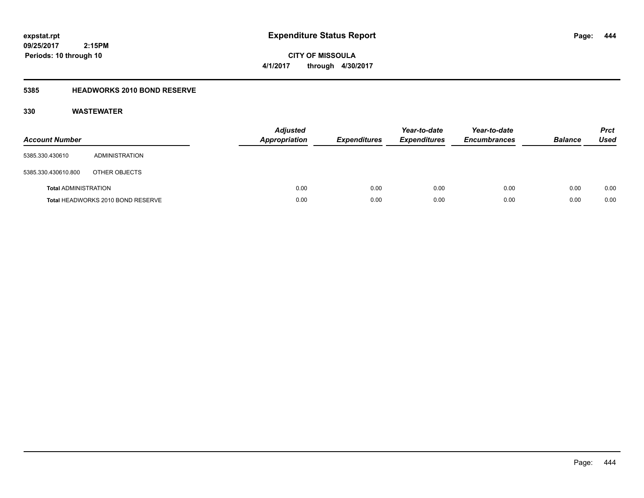**CITY OF MISSOULA 4/1/2017 through 4/30/2017**

### **5385 HEADWORKS 2010 BOND RESERVE**

| <b>Account Number</b>       |                                   | <b>Adjusted</b><br>Appropriation | <b>Expenditures</b> | Year-to-date<br><b>Expenditures</b> | Year-to-date<br><b>Encumbrances</b> | <b>Balance</b> | Prct<br><b>Used</b> |
|-----------------------------|-----------------------------------|----------------------------------|---------------------|-------------------------------------|-------------------------------------|----------------|---------------------|
| 5385.330.430610             | ADMINISTRATION                    |                                  |                     |                                     |                                     |                |                     |
| 5385.330.430610.800         | OTHER OBJECTS                     |                                  |                     |                                     |                                     |                |                     |
| <b>Total ADMINISTRATION</b> |                                   | 0.00                             | 0.00                | 0.00                                | 0.00                                | 0.00           | 0.00                |
|                             | Total HEADWORKS 2010 BOND RESERVE | 0.00                             | 0.00                | 0.00                                | 0.00                                | 0.00           | 0.00                |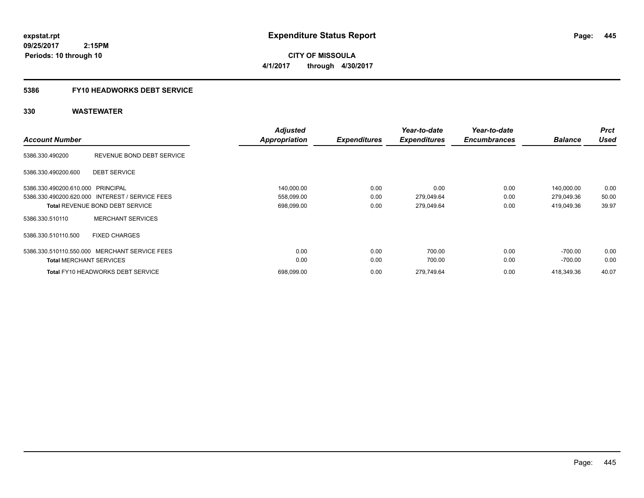**CITY OF MISSOULA 4/1/2017 through 4/30/2017**

# **5386 FY10 HEADWORKS DEBT SERVICE**

| <b>Account Number</b>             |                                                 | <b>Adjusted</b><br><b>Appropriation</b> | <b>Expenditures</b> | Year-to-date<br><b>Expenditures</b> | Year-to-date<br><b>Encumbrances</b> | <b>Balance</b> | <b>Prct</b><br><b>Used</b> |
|-----------------------------------|-------------------------------------------------|-----------------------------------------|---------------------|-------------------------------------|-------------------------------------|----------------|----------------------------|
|                                   |                                                 |                                         |                     |                                     |                                     |                |                            |
| 5386.330.490200                   | REVENUE BOND DEBT SERVICE                       |                                         |                     |                                     |                                     |                |                            |
| 5386.330.490200.600               | <b>DEBT SERVICE</b>                             |                                         |                     |                                     |                                     |                |                            |
| 5386.330.490200.610.000 PRINCIPAL |                                                 | 140,000.00                              | 0.00                | 0.00                                | 0.00                                | 140,000.00     | 0.00                       |
|                                   | 5386.330.490200.620.000 INTEREST / SERVICE FEES | 558,099.00                              | 0.00                | 279,049.64                          | 0.00                                | 279,049.36     | 50.00                      |
|                                   | <b>Total REVENUE BOND DEBT SERVICE</b>          | 698,099.00                              | 0.00                | 279,049.64                          | 0.00                                | 419,049.36     | 39.97                      |
| 5386.330.510110                   | <b>MERCHANT SERVICES</b>                        |                                         |                     |                                     |                                     |                |                            |
| 5386.330.510110.500               | <b>FIXED CHARGES</b>                            |                                         |                     |                                     |                                     |                |                            |
|                                   | 5386.330.510110.550.000 MERCHANT SERVICE FEES   | 0.00                                    | 0.00                | 700.00                              | 0.00                                | $-700.00$      | 0.00                       |
| <b>Total MERCHANT SERVICES</b>    |                                                 | 0.00                                    | 0.00                | 700.00                              | 0.00                                | -700.00        | 0.00                       |
|                                   | <b>Total FY10 HEADWORKS DEBT SERVICE</b>        | 698.099.00                              | 0.00                | 279.749.64                          | 0.00                                | 418.349.36     | 40.07                      |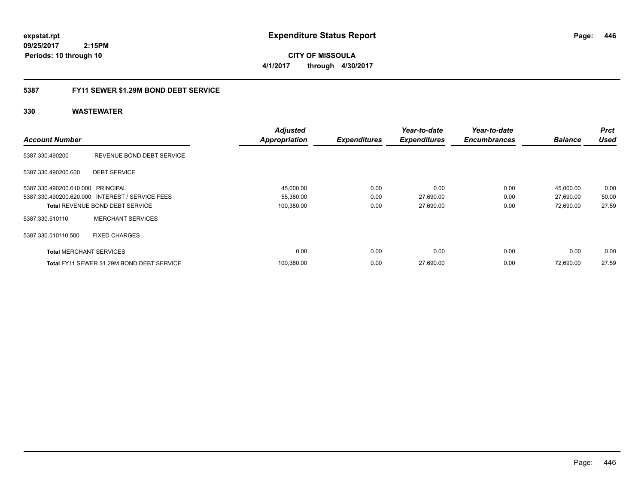**expstat.rpt Expenditure Status Report** 

**09/25/2017 2:15PM Periods: 10 through 10**

**CITY OF MISSOULA 4/1/2017 through 4/30/2017**

### **5387 FY11 SEWER \$1.29M BOND DEBT SERVICE**

| <b>Account Number</b>             |                                                 | <b>Adjusted</b><br><b>Appropriation</b> | <b>Expenditures</b> | Year-to-date<br><b>Expenditures</b> | Year-to-date<br><b>Encumbrances</b> | <b>Balance</b> | <b>Prct</b><br><b>Used</b> |
|-----------------------------------|-------------------------------------------------|-----------------------------------------|---------------------|-------------------------------------|-------------------------------------|----------------|----------------------------|
| 5387.330.490200                   | REVENUE BOND DEBT SERVICE                       |                                         |                     |                                     |                                     |                |                            |
| 5387.330.490200.600               | <b>DEBT SERVICE</b>                             |                                         |                     |                                     |                                     |                |                            |
| 5387.330.490200.610.000 PRINCIPAL |                                                 | 45,000.00                               | 0.00                | 0.00                                | 0.00                                | 45,000.00      | 0.00                       |
|                                   | 5387.330.490200.620.000 INTEREST / SERVICE FEES | 55,380.00                               | 0.00                | 27,690.00                           | 0.00                                | 27,690.00      | 50.00                      |
|                                   | <b>Total REVENUE BOND DEBT SERVICE</b>          | 100,380.00                              | 0.00                | 27,690.00                           | 0.00                                | 72,690.00      | 27.59                      |
| 5387.330.510110                   | <b>MERCHANT SERVICES</b>                        |                                         |                     |                                     |                                     |                |                            |
| 5387.330.510110.500               | <b>FIXED CHARGES</b>                            |                                         |                     |                                     |                                     |                |                            |
| <b>Total MERCHANT SERVICES</b>    |                                                 | 0.00                                    | 0.00                | 0.00                                | 0.00                                | 0.00           | 0.00                       |
|                                   | Total FY11 SEWER \$1.29M BOND DEBT SERVICE      | 100.380.00                              | 0.00                | 27,690.00                           | 0.00                                | 72.690.00      | 27.59                      |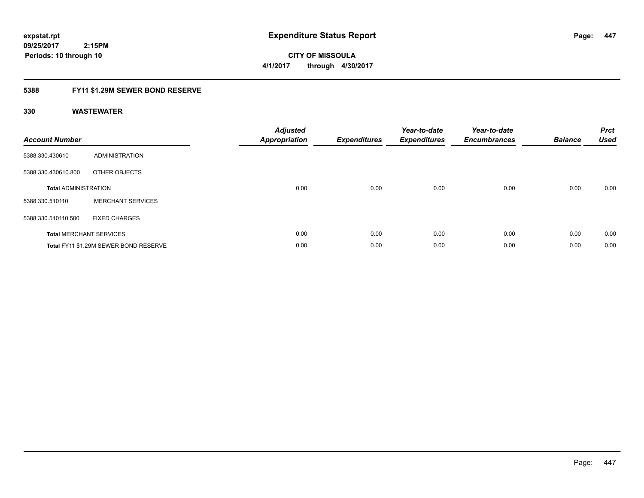# **09/25/2017**

 **2:15PM**

**CITY OF MISSOULA 4/1/2017 through 4/30/2017**

### **5388 FY11 \$1.29M SEWER BOND RESERVE**

### **330 WASTEWATER**

**Periods: 10 through 10**

| <b>Account Number</b>       |                                       | <b>Adjusted</b><br>Appropriation | <b>Expenditures</b> | Year-to-date<br><b>Expenditures</b> | Year-to-date<br><b>Encumbrances</b> | <b>Balance</b> | <b>Prct</b><br><b>Used</b> |
|-----------------------------|---------------------------------------|----------------------------------|---------------------|-------------------------------------|-------------------------------------|----------------|----------------------------|
| 5388.330.430610             | ADMINISTRATION                        |                                  |                     |                                     |                                     |                |                            |
| 5388.330.430610.800         | OTHER OBJECTS                         |                                  |                     |                                     |                                     |                |                            |
| <b>Total ADMINISTRATION</b> |                                       | 0.00                             | 0.00                | 0.00                                | 0.00                                | 0.00           | 0.00                       |
| 5388.330.510110             | <b>MERCHANT SERVICES</b>              |                                  |                     |                                     |                                     |                |                            |
| 5388.330.510110.500         | <b>FIXED CHARGES</b>                  |                                  |                     |                                     |                                     |                |                            |
|                             | <b>Total MERCHANT SERVICES</b>        | 0.00                             | 0.00                | 0.00                                | 0.00                                | 0.00           | 0.00                       |
|                             | Total FY11 \$1.29M SEWER BOND RESERVE | 0.00                             | 0.00                | 0.00                                | 0.00                                | 0.00           | 0.00                       |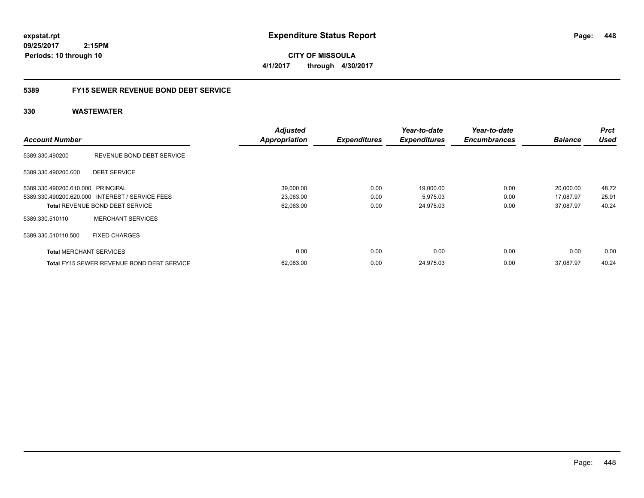**CITY OF MISSOULA 4/1/2017 through 4/30/2017**

### **5389 FY15 SEWER REVENUE BOND DEBT SERVICE**

|                                   |                                                   | <b>Adjusted</b>      |                     | Year-to-date        | Year-to-date        |                | <b>Prct</b> |
|-----------------------------------|---------------------------------------------------|----------------------|---------------------|---------------------|---------------------|----------------|-------------|
| <b>Account Number</b>             |                                                   | <b>Appropriation</b> | <b>Expenditures</b> | <b>Expenditures</b> | <b>Encumbrances</b> | <b>Balance</b> | <b>Used</b> |
| 5389.330.490200                   | REVENUE BOND DEBT SERVICE                         |                      |                     |                     |                     |                |             |
| 5389.330.490200.600               | <b>DEBT SERVICE</b>                               |                      |                     |                     |                     |                |             |
| 5389.330.490200.610.000 PRINCIPAL |                                                   | 39,000.00            | 0.00                | 19,000.00           | 0.00                | 20,000.00      | 48.72       |
|                                   | 5389.330.490200.620.000 INTEREST / SERVICE FEES   | 23,063.00            | 0.00                | 5,975.03            | 0.00                | 17,087.97      | 25.91       |
|                                   | <b>Total REVENUE BOND DEBT SERVICE</b>            | 62,063.00            | 0.00                | 24,975.03           | 0.00                | 37.087.97      | 40.24       |
| 5389.330.510110                   | <b>MERCHANT SERVICES</b>                          |                      |                     |                     |                     |                |             |
| 5389.330.510110.500               | <b>FIXED CHARGES</b>                              |                      |                     |                     |                     |                |             |
| <b>Total MERCHANT SERVICES</b>    |                                                   | 0.00                 | 0.00                | 0.00                | 0.00                | 0.00           | 0.00        |
|                                   | <b>Total FY15 SEWER REVENUE BOND DEBT SERVICE</b> | 62,063.00            | 0.00                | 24.975.03           | 0.00                | 37.087.97      | 40.24       |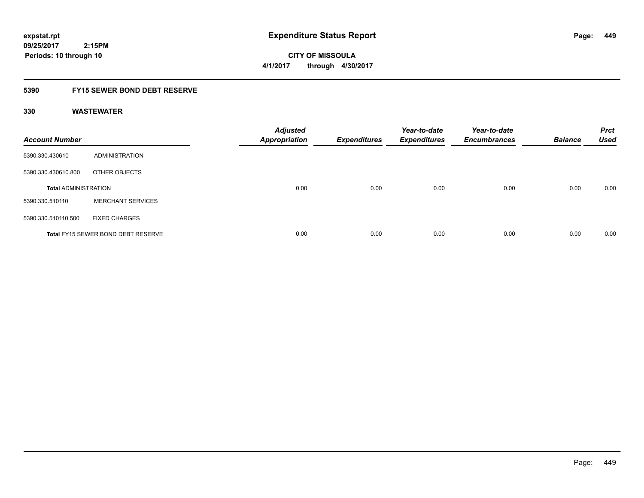**CITY OF MISSOULA 4/1/2017 through 4/30/2017**

### **5390 FY15 SEWER BOND DEBT RESERVE**

| <b>Account Number</b>       |                                           | <b>Adjusted</b><br><b>Appropriation</b> | <b>Expenditures</b> | Year-to-date<br><b>Expenditures</b> | Year-to-date<br><b>Encumbrances</b> | <b>Balance</b> | <b>Prct</b><br><b>Used</b> |
|-----------------------------|-------------------------------------------|-----------------------------------------|---------------------|-------------------------------------|-------------------------------------|----------------|----------------------------|
| 5390.330.430610             | ADMINISTRATION                            |                                         |                     |                                     |                                     |                |                            |
| 5390.330.430610.800         | OTHER OBJECTS                             |                                         |                     |                                     |                                     |                |                            |
| <b>Total ADMINISTRATION</b> |                                           | 0.00                                    | 0.00                | 0.00                                | 0.00                                | 0.00           | 0.00                       |
| 5390.330.510110             | <b>MERCHANT SERVICES</b>                  |                                         |                     |                                     |                                     |                |                            |
| 5390.330.510110.500         | <b>FIXED CHARGES</b>                      |                                         |                     |                                     |                                     |                |                            |
|                             | <b>Total FY15 SEWER BOND DEBT RESERVE</b> | 0.00                                    | 0.00                | 0.00                                | 0.00                                | 0.00           | 0.00                       |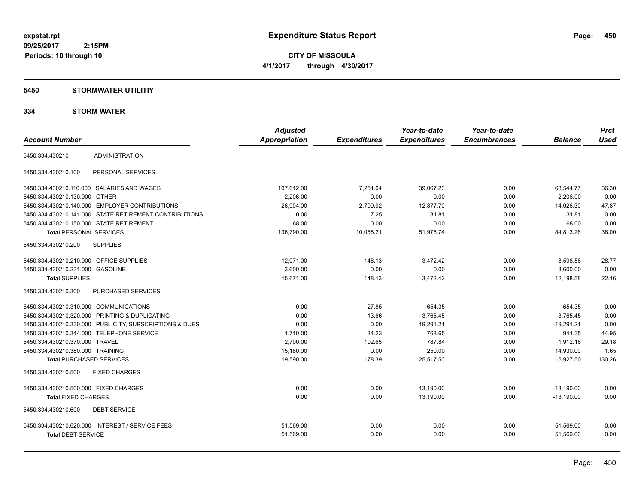**CITY OF MISSOULA 4/1/2017 through 4/30/2017**

### **5450 STORMWATER UTILITIY**

### **334 STORM WATER**

|                                                         | <b>Adjusted</b> |                     | Year-to-date        | Year-to-date        |                | <b>Prct</b> |
|---------------------------------------------------------|-----------------|---------------------|---------------------|---------------------|----------------|-------------|
| <b>Account Number</b>                                   | Appropriation   | <b>Expenditures</b> | <b>Expenditures</b> | <b>Encumbrances</b> | <b>Balance</b> | <b>Used</b> |
| <b>ADMINISTRATION</b><br>5450.334.430210                |                 |                     |                     |                     |                |             |
| 5450.334.430210.100<br>PERSONAL SERVICES                |                 |                     |                     |                     |                |             |
| 5450.334.430210.110.000 SALARIES AND WAGES              | 107,612.00      | 7,251.04            | 39,067.23           | 0.00                | 68,544.77      | 36.30       |
| 5450.334.430210.130.000 OTHER                           | 2,206.00        | 0.00                | 0.00                | 0.00                | 2,206.00       | 0.00        |
| 5450.334.430210.140.000 EMPLOYER CONTRIBUTIONS          | 26,904.00       | 2,799.92            | 12,877.70           | 0.00                | 14,026.30      | 47.87       |
| 5450.334.430210.141.000 STATE RETIREMENT CONTRIBUTIONS  | 0.00            | 7.25                | 31.81               | 0.00                | $-31.81$       | 0.00        |
| 5450.334.430210.150.000 STATE RETIREMENT                | 68.00           | 0.00                | 0.00                | 0.00                | 68.00          | 0.00        |
| <b>Total PERSONAL SERVICES</b>                          | 136,790.00      | 10,058.21           | 51,976.74           | 0.00                | 84,813.26      | 38.00       |
| <b>SUPPLIES</b><br>5450.334.430210.200                  |                 |                     |                     |                     |                |             |
| 5450.334.430210.210.000 OFFICE SUPPLIES                 | 12,071.00       | 148.13              | 3,472.42            | 0.00                | 8,598.58       | 28.77       |
| 5450.334.430210.231.000 GASOLINE                        | 3,600.00        | 0.00                | 0.00                | 0.00                | 3,600.00       | 0.00        |
| <b>Total SUPPLIES</b>                                   | 15,671.00       | 148.13              | 3,472.42            | 0.00                | 12.198.58      | 22.16       |
| 5450.334.430210.300<br>PURCHASED SERVICES               |                 |                     |                     |                     |                |             |
| 5450.334.430210.310.000 COMMUNICATIONS                  | 0.00            | 27.85               | 654.35              | 0.00                | $-654.35$      | 0.00        |
| 5450.334.430210.320.000 PRINTING & DUPLICATING          | 0.00            | 13.66               | 3.765.45            | 0.00                | $-3.765.45$    | 0.00        |
| 5450.334.430210.330.000 PUBLICITY, SUBSCRIPTIONS & DUES | 0.00            | 0.00                | 19,291.21           | 0.00                | $-19.291.21$   | 0.00        |
| 5450.334.430210.344.000 TELEPHONE SERVICE               | 1,710.00        | 34.23               | 768.65              | 0.00                | 941.35         | 44.95       |
| 5450.334.430210.370.000 TRAVEL                          | 2,700.00        | 102.65              | 787.84              | 0.00                | 1,912.16       | 29.18       |
| 5450.334.430210.380.000 TRAINING                        | 15,180.00       | 0.00                | 250.00              | 0.00                | 14,930.00      | 1.65        |
| <b>Total PURCHASED SERVICES</b>                         | 19,590.00       | 178.39              | 25,517.50           | 0.00                | $-5,927.50$    | 130.26      |
| 5450.334.430210.500<br><b>FIXED CHARGES</b>             |                 |                     |                     |                     |                |             |
| 5450.334.430210.500.000 FIXED CHARGES                   | 0.00            | 0.00                | 13,190.00           | 0.00                | $-13,190.00$   | 0.00        |
| <b>Total FIXED CHARGES</b>                              | 0.00            | 0.00                | 13,190.00           | 0.00                | $-13,190.00$   | 0.00        |
| 5450.334.430210.600<br><b>DEBT SERVICE</b>              |                 |                     |                     |                     |                |             |
| 5450.334.430210.620.000 INTEREST / SERVICE FEES         | 51,569.00       | 0.00                | 0.00                | 0.00                | 51,569.00      | 0.00        |
| <b>Total DEBT SERVICE</b>                               | 51,569.00       | 0.00                | 0.00                | 0.00                | 51,569.00      | 0.00        |
|                                                         |                 |                     |                     |                     |                |             |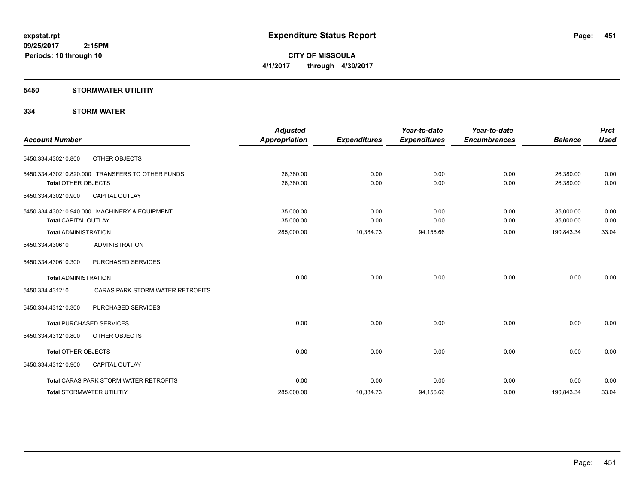**CITY OF MISSOULA 4/1/2017 through 4/30/2017**

### **5450 STORMWATER UTILITIY**

### **334 STORM WATER**

| <b>Account Number</b>                                                          | Adjusted<br><b>Appropriation</b> | <b>Expenditures</b> | Year-to-date<br><b>Expenditures</b> | Year-to-date<br><b>Encumbrances</b> | <b>Balance</b>         | <b>Prct</b><br><b>Used</b> |
|--------------------------------------------------------------------------------|----------------------------------|---------------------|-------------------------------------|-------------------------------------|------------------------|----------------------------|
| 5450.334.430210.800<br>OTHER OBJECTS                                           |                                  |                     |                                     |                                     |                        |                            |
| 5450.334.430210.820.000 TRANSFERS TO OTHER FUNDS<br><b>Total OTHER OBJECTS</b> | 26,380.00<br>26,380.00           | 0.00<br>0.00        | 0.00<br>0.00                        | 0.00<br>0.00                        | 26,380.00<br>26,380.00 | 0.00<br>0.00               |
| CAPITAL OUTLAY<br>5450.334.430210.900                                          |                                  |                     |                                     |                                     |                        |                            |
| 5450.334.430210.940.000 MACHINERY & EQUIPMENT<br><b>Total CAPITAL OUTLAY</b>   | 35,000.00<br>35,000.00           | 0.00<br>0.00        | 0.00<br>0.00                        | 0.00<br>0.00                        | 35,000.00<br>35,000.00 | 0.00<br>0.00               |
| <b>Total ADMINISTRATION</b>                                                    | 285,000.00                       | 10,384.73           | 94,156.66                           | 0.00                                | 190,843.34             | 33.04                      |
| <b>ADMINISTRATION</b><br>5450.334.430610                                       |                                  |                     |                                     |                                     |                        |                            |
| 5450.334.430610.300<br>PURCHASED SERVICES                                      |                                  |                     |                                     |                                     |                        |                            |
| <b>Total ADMINISTRATION</b>                                                    | 0.00                             | 0.00                | 0.00                                | 0.00                                | 0.00                   | 0.00                       |
| CARAS PARK STORM WATER RETROFITS<br>5450.334.431210                            |                                  |                     |                                     |                                     |                        |                            |
| PURCHASED SERVICES<br>5450.334.431210.300                                      |                                  |                     |                                     |                                     |                        |                            |
| <b>Total PURCHASED SERVICES</b>                                                | 0.00                             | 0.00                | 0.00                                | 0.00                                | 0.00                   | 0.00                       |
| 5450.334.431210.800<br>OTHER OBJECTS                                           |                                  |                     |                                     |                                     |                        |                            |
| <b>Total OTHER OBJECTS</b>                                                     | 0.00                             | 0.00                | 0.00                                | 0.00                                | 0.00                   | 0.00                       |
| 5450.334.431210.900<br><b>CAPITAL OUTLAY</b>                                   |                                  |                     |                                     |                                     |                        |                            |
| <b>Total CARAS PARK STORM WATER RETROFITS</b>                                  | 0.00                             | 0.00                | 0.00                                | 0.00                                | 0.00                   | 0.00                       |
| <b>Total STORMWATER UTILITIY</b>                                               | 285,000.00                       | 10,384.73           | 94,156.66                           | 0.00                                | 190,843.34             | 33.04                      |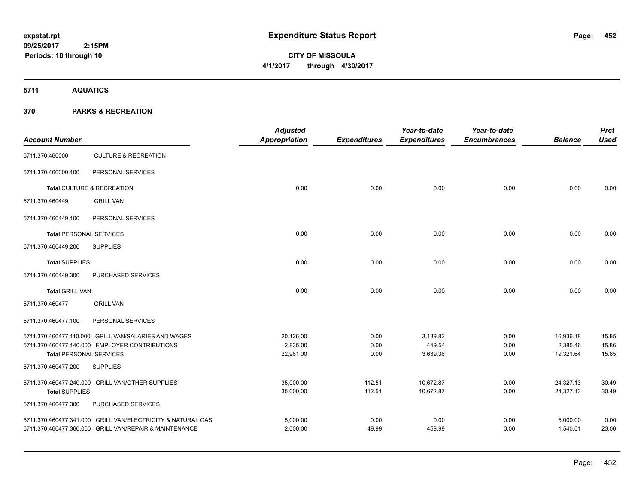# **CITY OF MISSOULA 4/1/2017 through 4/30/2017**

**5711 AQUATICS**

| <b>Account Number</b>                                 |                                                             | <b>Adjusted</b><br><b>Appropriation</b> | <b>Expenditures</b> | Year-to-date<br><b>Expenditures</b> | Year-to-date<br><b>Encumbrances</b> | <b>Balance</b>        | <b>Prct</b><br><b>Used</b> |
|-------------------------------------------------------|-------------------------------------------------------------|-----------------------------------------|---------------------|-------------------------------------|-------------------------------------|-----------------------|----------------------------|
| 5711.370.460000                                       | <b>CULTURE &amp; RECREATION</b>                             |                                         |                     |                                     |                                     |                       |                            |
| 5711.370.460000.100                                   | PERSONAL SERVICES                                           |                                         |                     |                                     |                                     |                       |                            |
|                                                       | Total CULTURE & RECREATION                                  | 0.00                                    | 0.00                | 0.00                                | 0.00                                | 0.00                  | 0.00                       |
| 5711.370.460449                                       | <b>GRILL VAN</b>                                            |                                         |                     |                                     |                                     |                       |                            |
| 5711.370.460449.100                                   | PERSONAL SERVICES                                           |                                         |                     |                                     |                                     |                       |                            |
| <b>Total PERSONAL SERVICES</b>                        |                                                             | 0.00                                    | 0.00                | 0.00                                | 0.00                                | 0.00                  | 0.00                       |
| 5711.370.460449.200                                   | <b>SUPPLIES</b>                                             |                                         |                     |                                     |                                     |                       |                            |
| <b>Total SUPPLIES</b>                                 |                                                             | 0.00                                    | 0.00                | 0.00                                | 0.00                                | 0.00                  | 0.00                       |
| 5711.370.460449.300                                   | PURCHASED SERVICES                                          |                                         |                     |                                     |                                     |                       |                            |
| <b>Total GRILL VAN</b>                                |                                                             | 0.00                                    | 0.00                | 0.00                                | 0.00                                | 0.00                  | 0.00                       |
| 5711.370.460477                                       | <b>GRILL VAN</b>                                            |                                         |                     |                                     |                                     |                       |                            |
| 5711.370.460477.100                                   | PERSONAL SERVICES                                           |                                         |                     |                                     |                                     |                       |                            |
|                                                       | 5711.370.460477.110.000 GRILL VAN/SALARIES AND WAGES        | 20,126.00                               | 0.00                | 3,189.82                            | 0.00                                | 16,936.18             | 15.85                      |
|                                                       | 5711.370.460477.140.000 EMPLOYER CONTRIBUTIONS              | 2,835.00<br>22,961.00                   | 0.00                | 449.54<br>3,639.36                  | 0.00                                | 2,385.46<br>19,321.64 | 15.86<br>15.85             |
| <b>Total PERSONAL SERVICES</b><br>5711.370.460477.200 | <b>SUPPLIES</b>                                             |                                         | 0.00                |                                     | 0.00                                |                       |                            |
|                                                       |                                                             |                                         |                     |                                     |                                     |                       |                            |
|                                                       | 5711.370.460477.240.000 GRILL VAN/OTHER SUPPLIES            | 35,000.00                               | 112.51              | 10,672.87                           | 0.00                                | 24,327.13             | 30.49                      |
| <b>Total SUPPLIES</b>                                 |                                                             | 35,000.00                               | 112.51              | 10,672.87                           | 0.00                                | 24,327.13             | 30.49                      |
| 5711.370.460477.300                                   | PURCHASED SERVICES                                          |                                         |                     |                                     |                                     |                       |                            |
|                                                       | 5711.370.460477.341.000 GRILL VAN/ELECTRICITY & NATURAL GAS | 5,000.00                                | 0.00                | 0.00                                | 0.00                                | 5,000.00              | 0.00                       |
|                                                       | 5711.370.460477.360.000 GRILL VAN/REPAIR & MAINTENANCE      | 2,000.00                                | 49.99               | 459.99                              | 0.00                                | 1,540.01              | 23.00                      |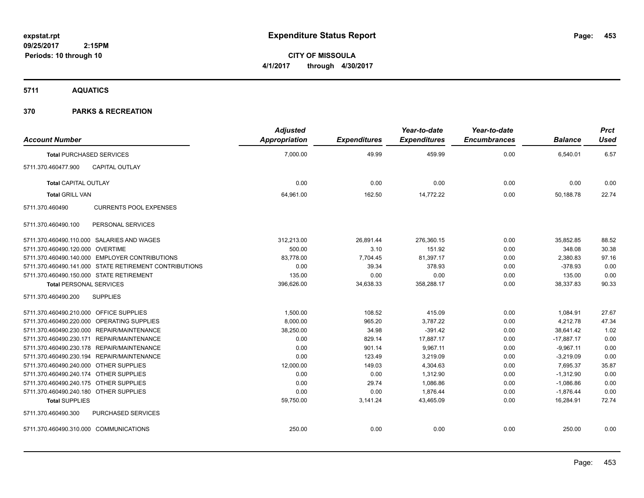**CITY OF MISSOULA 4/1/2017 through 4/30/2017**

**5711 AQUATICS**

| <b>Account Number</b>                   |                                                        | <b>Adjusted</b><br>Appropriation | <b>Expenditures</b> | Year-to-date<br><b>Expenditures</b> | Year-to-date<br><b>Encumbrances</b> | <b>Balance</b> | <b>Prct</b><br>Used |
|-----------------------------------------|--------------------------------------------------------|----------------------------------|---------------------|-------------------------------------|-------------------------------------|----------------|---------------------|
|                                         | <b>Total PURCHASED SERVICES</b>                        | 7,000.00                         | 49.99               | 459.99                              | 0.00                                | 6,540.01       | 6.57                |
| 5711.370.460477.900                     | <b>CAPITAL OUTLAY</b>                                  |                                  |                     |                                     |                                     |                |                     |
| <b>Total CAPITAL OUTLAY</b>             |                                                        | 0.00                             | 0.00                | 0.00                                | 0.00                                | 0.00           | 0.00                |
| <b>Total GRILL VAN</b>                  |                                                        | 64,961.00                        | 162.50              | 14,772.22                           | 0.00                                | 50,188.78      | 22.74               |
| 5711.370.460490                         | <b>CURRENTS POOL EXPENSES</b>                          |                                  |                     |                                     |                                     |                |                     |
| 5711.370.460490.100                     | PERSONAL SERVICES                                      |                                  |                     |                                     |                                     |                |                     |
|                                         | 5711.370.460490.110.000 SALARIES AND WAGES             | 312,213.00                       | 26,891.44           | 276,360.15                          | 0.00                                | 35,852.85      | 88.52               |
| 5711.370.460490.120.000 OVERTIME        |                                                        | 500.00                           | 3.10                | 151.92                              | 0.00                                | 348.08         | 30.38               |
|                                         | 5711.370.460490.140.000 EMPLOYER CONTRIBUTIONS         | 83,778.00                        | 7,704.45            | 81,397.17                           | 0.00                                | 2,380.83       | 97.16               |
|                                         | 5711.370.460490.141.000 STATE RETIREMENT CONTRIBUTIONS | 0.00                             | 39.34               | 378.93                              | 0.00                                | $-378.93$      | 0.00                |
|                                         | 5711.370.460490.150.000 STATE RETIREMENT               | 135.00                           | 0.00                | 0.00                                | 0.00                                | 135.00         | 0.00                |
| <b>Total PERSONAL SERVICES</b>          |                                                        | 396,626.00                       | 34,638.33           | 358,288.17                          | 0.00                                | 38,337.83      | 90.33               |
| 5711.370.460490.200                     | <b>SUPPLIES</b>                                        |                                  |                     |                                     |                                     |                |                     |
| 5711.370.460490.210.000 OFFICE SUPPLIES |                                                        | 1,500.00                         | 108.52              | 415.09                              | 0.00                                | 1,084.91       | 27.67               |
|                                         | 5711.370.460490.220.000 OPERATING SUPPLIES             | 8,000.00                         | 965.20              | 3,787.22                            | 0.00                                | 4,212.78       | 47.34               |
|                                         | 5711.370.460490.230.000 REPAIR/MAINTENANCE             | 38,250.00                        | 34.98               | $-391.42$                           | 0.00                                | 38,641.42      | 1.02                |
|                                         | 5711.370.460490.230.171 REPAIR/MAINTENANCE             | 0.00                             | 829.14              | 17,887.17                           | 0.00                                | $-17,887.17$   | 0.00                |
|                                         | 5711.370.460490.230.178 REPAIR/MAINTENANCE             | 0.00                             | 901.14              | 9,967.11                            | 0.00                                | $-9,967.11$    | 0.00                |
|                                         | 5711.370.460490.230.194 REPAIR/MAINTENANCE             | 0.00                             | 123.49              | 3,219.09                            | 0.00                                | $-3,219.09$    | 0.00                |
| 5711.370.460490.240.000 OTHER SUPPLIES  |                                                        | 12,000.00                        | 149.03              | 4,304.63                            | 0.00                                | 7,695.37       | 35.87               |
| 5711.370.460490.240.174 OTHER SUPPLIES  |                                                        | 0.00                             | 0.00                | 1,312.90                            | 0.00                                | $-1,312.90$    | 0.00                |
| 5711.370.460490.240.175 OTHER SUPPLIES  |                                                        | 0.00                             | 29.74               | 1,086.86                            | 0.00                                | $-1,086.86$    | 0.00                |
| 5711.370.460490.240.180 OTHER SUPPLIES  |                                                        | 0.00                             | 0.00                | 1,876.44                            | 0.00                                | $-1,876.44$    | 0.00                |
| <b>Total SUPPLIES</b>                   |                                                        | 59,750.00                        | 3,141.24            | 43,465.09                           | 0.00                                | 16,284.91      | 72.74               |
| 5711.370.460490.300                     | PURCHASED SERVICES                                     |                                  |                     |                                     |                                     |                |                     |
| 5711.370.460490.310.000 COMMUNICATIONS  |                                                        | 250.00                           | 0.00                | 0.00                                | 0.00                                | 250.00         | 0.00                |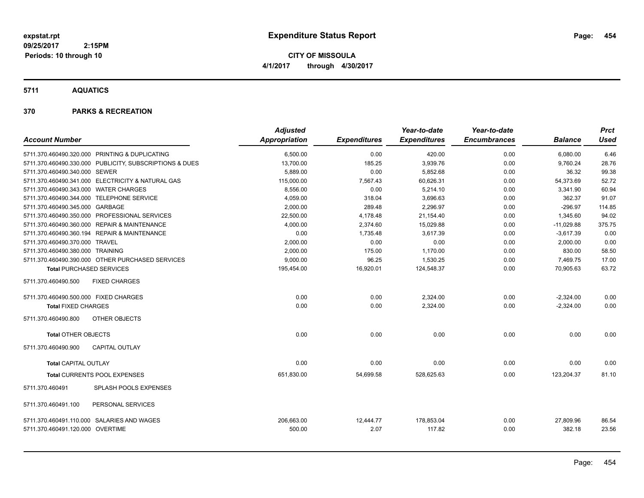**CITY OF MISSOULA 4/1/2017 through 4/30/2017**

**5711 AQUATICS**

| <b>Account Number</b>                                                          |                                                         | <b>Adjusted</b><br>Appropriation | <b>Expenditures</b> | Year-to-date<br><b>Expenditures</b> | Year-to-date<br><b>Encumbrances</b> | <b>Balance</b>      | <b>Prct</b><br><b>Used</b> |
|--------------------------------------------------------------------------------|---------------------------------------------------------|----------------------------------|---------------------|-------------------------------------|-------------------------------------|---------------------|----------------------------|
|                                                                                | 5711.370.460490.320.000 PRINTING & DUPLICATING          | 6,500.00                         | 0.00                | 420.00                              | 0.00                                | 6,080.00            | 6.46                       |
|                                                                                | 5711.370.460490.330.000 PUBLICITY, SUBSCRIPTIONS & DUES | 13,700.00                        | 185.25              | 3,939.76                            | 0.00                                | 9,760.24            | 28.76                      |
| 5711.370.460490.340.000 SEWER                                                  |                                                         | 5,889.00                         | 0.00                | 5,852.68                            | 0.00                                | 36.32               | 99.38                      |
|                                                                                | 5711.370.460490.341.000 ELECTRICITY & NATURAL GAS       | 115,000.00                       | 7,567.43            | 60,626.31                           | 0.00                                | 54,373.69           | 52.72                      |
| 5711.370.460490.343.000 WATER CHARGES                                          |                                                         | 8.556.00                         | 0.00                | 5.214.10                            | 0.00                                | 3,341.90            | 60.94                      |
| 5711.370.460490.344.000 TELEPHONE SERVICE                                      |                                                         | 4,059.00                         | 318.04              | 3,696.63                            | 0.00                                | 362.37              | 91.07                      |
| 5711.370.460490.345.000 GARBAGE                                                |                                                         | 2,000.00                         | 289.48              | 2,296.97                            | 0.00                                | $-296.97$           | 114.85                     |
|                                                                                | 5711.370.460490.350.000 PROFESSIONAL SERVICES           | 22,500.00                        | 4,178.48            | 21,154.40                           | 0.00                                | 1,345.60            | 94.02                      |
|                                                                                | 5711.370.460490.360.000 REPAIR & MAINTENANCE            | 4,000.00                         | 2,374.60            | 15,029.88                           | 0.00                                | $-11,029.88$        | 375.75                     |
|                                                                                | 5711.370.460490.360.194 REPAIR & MAINTENANCE            | 0.00                             | 1,735.48            | 3,617.39                            | 0.00                                | $-3,617.39$         | 0.00                       |
| 5711.370.460490.370.000 TRAVEL                                                 |                                                         | 2,000.00                         | 0.00                | 0.00                                | 0.00                                | 2,000.00            | 0.00                       |
| 5711.370.460490.380.000 TRAINING                                               |                                                         | 2,000.00                         | 175.00              | 1,170.00                            | 0.00                                | 830.00              | 58.50                      |
|                                                                                | 5711.370.460490.390.000 OTHER PURCHASED SERVICES        | 9,000.00                         | 96.25               | 1,530.25                            | 0.00                                | 7,469.75            | 17.00                      |
| <b>Total PURCHASED SERVICES</b>                                                |                                                         | 195,454.00                       | 16,920.01           | 124,548.37                          | 0.00                                | 70,905.63           | 63.72                      |
| 5711.370.460490.500                                                            | <b>FIXED CHARGES</b>                                    |                                  |                     |                                     |                                     |                     |                            |
| 5711.370.460490.500.000 FIXED CHARGES                                          |                                                         | 0.00                             | 0.00                | 2,324.00                            | 0.00                                | $-2,324.00$         | 0.00                       |
| <b>Total FIXED CHARGES</b>                                                     |                                                         | 0.00                             | 0.00                | 2,324.00                            | 0.00                                | $-2,324.00$         | 0.00                       |
| 5711.370.460490.800                                                            | OTHER OBJECTS                                           |                                  |                     |                                     |                                     |                     |                            |
| <b>Total OTHER OBJECTS</b>                                                     |                                                         | 0.00                             | 0.00                | 0.00                                | 0.00                                | 0.00                | 0.00                       |
| 5711.370.460490.900                                                            | <b>CAPITAL OUTLAY</b>                                   |                                  |                     |                                     |                                     |                     |                            |
| <b>Total CAPITAL OUTLAY</b>                                                    |                                                         | 0.00                             | 0.00                | 0.00                                | 0.00                                | 0.00                | 0.00                       |
|                                                                                | Total CURRENTS POOL EXPENSES                            | 651,830.00                       | 54,699.58           | 528,625.63                          | 0.00                                | 123,204.37          | 81.10                      |
| 5711.370.460491                                                                | SPLASH POOLS EXPENSES                                   |                                  |                     |                                     |                                     |                     |                            |
| 5711.370.460491.100                                                            | PERSONAL SERVICES                                       |                                  |                     |                                     |                                     |                     |                            |
| 5711.370.460491.110.000 SALARIES AND WAGES<br>5711.370.460491.120.000 OVERTIME |                                                         | 206,663.00<br>500.00             | 12,444.77<br>2.07   | 178,853.04<br>117.82                | 0.00<br>0.00                        | 27,809.96<br>382.18 | 86.54<br>23.56             |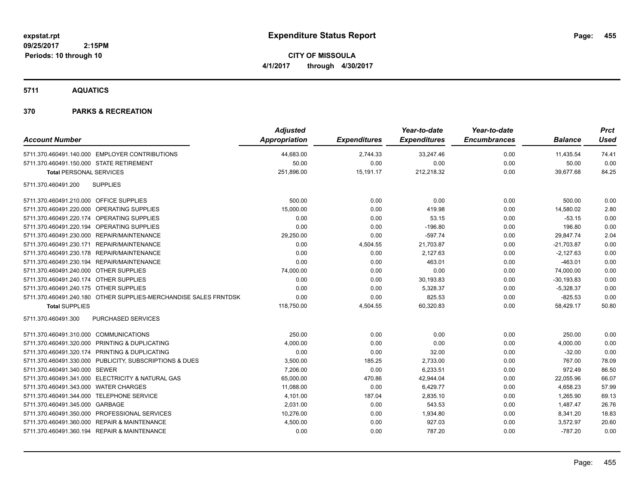**CITY OF MISSOULA 4/1/2017 through 4/30/2017**

**5711 AQUATICS**

| <b>Account Number</b>                                            | <b>Adjusted</b><br><b>Appropriation</b> | <b>Expenditures</b> | Year-to-date<br><b>Expenditures</b> | Year-to-date<br><b>Encumbrances</b> | <b>Balance</b> | <b>Prct</b><br><b>Used</b> |
|------------------------------------------------------------------|-----------------------------------------|---------------------|-------------------------------------|-------------------------------------|----------------|----------------------------|
| 5711.370.460491.140.000 EMPLOYER CONTRIBUTIONS                   | 44,683.00                               | 2,744.33            | 33,247.46                           | 0.00                                | 11,435.54      | 74.41                      |
| 5711.370.460491.150.000 STATE RETIREMENT                         | 50.00                                   | 0.00                | 0.00                                | 0.00                                | 50.00          | 0.00                       |
| <b>Total PERSONAL SERVICES</b>                                   | 251,896.00                              | 15,191.17           | 212,218.32                          | 0.00                                | 39,677.68      | 84.25                      |
| 5711.370.460491.200<br><b>SUPPLIES</b>                           |                                         |                     |                                     |                                     |                |                            |
| 5711.370.460491.210.000 OFFICE SUPPLIES                          | 500.00                                  | 0.00                | 0.00                                | 0.00                                | 500.00         | 0.00                       |
| 5711.370.460491.220.000 OPERATING SUPPLIES                       | 15,000.00                               | 0.00                | 419.98                              | 0.00                                | 14,580.02      | 2.80                       |
| 5711.370.460491.220.174 OPERATING SUPPLIES                       | 0.00                                    | 0.00                | 53.15                               | 0.00                                | $-53.15$       | 0.00                       |
| 5711.370.460491.220.194 OPERATING SUPPLIES                       | 0.00                                    | 0.00                | $-196.80$                           | 0.00                                | 196.80         | 0.00                       |
| 5711.370.460491.230.000 REPAIR/MAINTENANCE                       | 29,250.00                               | 0.00                | $-597.74$                           | 0.00                                | 29,847.74      | 2.04                       |
| 5711.370.460491.230.171 REPAIR/MAINTENANCE                       | 0.00                                    | 4,504.55            | 21,703.87                           | 0.00                                | $-21,703.87$   | 0.00                       |
| 5711.370.460491.230.178 REPAIR/MAINTENANCE                       | 0.00                                    | 0.00                | 2,127.63                            | 0.00                                | $-2,127.63$    | 0.00                       |
| 5711.370.460491.230.194 REPAIR/MAINTENANCE                       | 0.00                                    | 0.00                | 463.01                              | 0.00                                | $-463.01$      | 0.00                       |
| 5711.370.460491.240.000 OTHER SUPPLIES                           | 74,000.00                               | 0.00                | 0.00                                | 0.00                                | 74,000.00      | 0.00                       |
| 5711.370.460491.240.174 OTHER SUPPLIES                           | 0.00                                    | 0.00                | 30,193.83                           | 0.00                                | $-30, 193.83$  | 0.00                       |
| 5711.370.460491.240.175 OTHER SUPPLIES                           | 0.00                                    | 0.00                | 5,328.37                            | 0.00                                | $-5,328.37$    | 0.00                       |
| 5711.370.460491.240.180 OTHER SUPPLIES-MERCHANDISE SALES FRNTDSK | 0.00                                    | 0.00                | 825.53                              | 0.00                                | $-825.53$      | 0.00                       |
| <b>Total SUPPLIES</b>                                            | 118,750.00                              | 4,504.55            | 60,320.83                           | 0.00                                | 58,429.17      | 50.80                      |
| <b>PURCHASED SERVICES</b><br>5711.370.460491.300                 |                                         |                     |                                     |                                     |                |                            |
| 5711.370.460491.310.000 COMMUNICATIONS                           | 250.00                                  | 0.00                | 0.00                                | 0.00                                | 250.00         | 0.00                       |
| 5711.370.460491.320.000 PRINTING & DUPLICATING                   | 4,000.00                                | 0.00                | 0.00                                | 0.00                                | 4,000.00       | 0.00                       |
| 5711.370.460491.320.174 PRINTING & DUPLICATING                   | 0.00                                    | 0.00                | 32.00                               | 0.00                                | $-32.00$       | 0.00                       |
| 5711.370.460491.330.000 PUBLICITY, SUBSCRIPTIONS & DUES          | 3,500.00                                | 185.25              | 2,733.00                            | 0.00                                | 767.00         | 78.09                      |
| 5711.370.460491.340.000 SEWER                                    | 7,206.00                                | 0.00                | 6,233.51                            | 0.00                                | 972.49         | 86.50                      |
| 5711.370.460491.341.000 ELECTRICITY & NATURAL GAS                | 65,000.00                               | 470.86              | 42,944.04                           | 0.00                                | 22,055.96      | 66.07                      |
| 5711.370.460491.343.000 WATER CHARGES                            | 11,088.00                               | 0.00                | 6,429.77                            | 0.00                                | 4,658.23       | 57.99                      |
| 5711.370.460491.344.000 TELEPHONE SERVICE                        | 4,101.00                                | 187.04              | 2,835.10                            | 0.00                                | 1,265.90       | 69.13                      |
| 5711.370.460491.345.000 GARBAGE                                  | 2,031.00                                | 0.00                | 543.53                              | 0.00                                | 1,487.47       | 26.76                      |
| 5711.370.460491.350.000 PROFESSIONAL SERVICES                    | 10,276.00                               | 0.00                | 1,934.80                            | 0.00                                | 8,341.20       | 18.83                      |
| 5711.370.460491.360.000 REPAIR & MAINTENANCE                     | 4,500.00                                | 0.00                | 927.03                              | 0.00                                | 3,572.97       | 20.60                      |
| 5711.370.460491.360.194 REPAIR & MAINTENANCE                     | 0.00                                    | 0.00                | 787.20                              | 0.00                                | $-787.20$      | 0.00                       |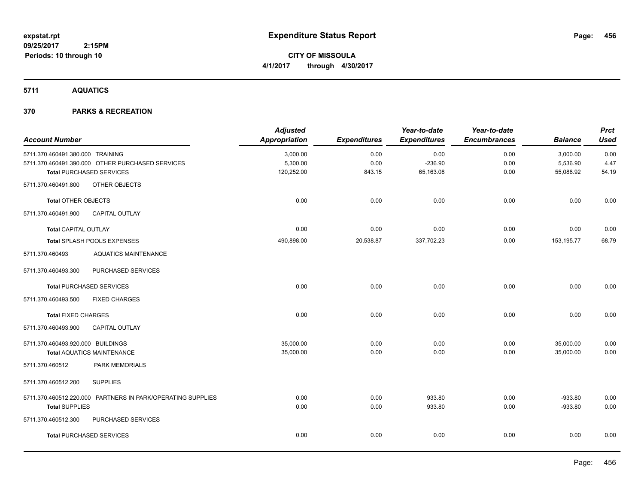**CITY OF MISSOULA 4/1/2017 through 4/30/2017**

**5711 AQUATICS**

| <b>Account Number</b>             |                                                             | <b>Adjusted</b><br><b>Appropriation</b> | <b>Expenditures</b> | Year-to-date<br><b>Expenditures</b> | Year-to-date<br><b>Encumbrances</b> | <b>Balance</b> | <b>Prct</b><br><b>Used</b> |
|-----------------------------------|-------------------------------------------------------------|-----------------------------------------|---------------------|-------------------------------------|-------------------------------------|----------------|----------------------------|
| 5711.370.460491.380.000 TRAINING  |                                                             | 3,000.00                                | 0.00                | 0.00                                | 0.00                                | 3,000.00       | 0.00                       |
|                                   | 5711.370.460491.390.000 OTHER PURCHASED SERVICES            | 5,300.00                                | 0.00                | $-236.90$                           | 0.00                                | 5,536.90       | 4.47                       |
|                                   | <b>Total PURCHASED SERVICES</b>                             | 120,252.00                              | 843.15              | 65,163.08                           | 0.00                                | 55,088.92      | 54.19                      |
| 5711.370.460491.800               | OTHER OBJECTS                                               |                                         |                     |                                     |                                     |                |                            |
| <b>Total OTHER OBJECTS</b>        |                                                             | 0.00                                    | 0.00                | 0.00                                | 0.00                                | 0.00           | 0.00                       |
| 5711.370.460491.900               | <b>CAPITAL OUTLAY</b>                                       |                                         |                     |                                     |                                     |                |                            |
| Total CAPITAL OUTLAY              |                                                             | 0.00                                    | 0.00                | 0.00                                | 0.00                                | 0.00           | 0.00                       |
|                                   | Total SPLASH POOLS EXPENSES                                 | 490,898.00                              | 20,538.87           | 337,702.23                          | 0.00                                | 153, 195. 77   | 68.79                      |
| 5711.370.460493                   | <b>AQUATICS MAINTENANCE</b>                                 |                                         |                     |                                     |                                     |                |                            |
| 5711.370.460493.300               | PURCHASED SERVICES                                          |                                         |                     |                                     |                                     |                |                            |
|                                   | <b>Total PURCHASED SERVICES</b>                             | 0.00                                    | 0.00                | 0.00                                | 0.00                                | 0.00           | 0.00                       |
| 5711.370.460493.500               | <b>FIXED CHARGES</b>                                        |                                         |                     |                                     |                                     |                |                            |
| <b>Total FIXED CHARGES</b>        |                                                             | 0.00                                    | 0.00                | 0.00                                | 0.00                                | 0.00           | 0.00                       |
| 5711.370.460493.900               | CAPITAL OUTLAY                                              |                                         |                     |                                     |                                     |                |                            |
| 5711.370.460493.920.000 BUILDINGS |                                                             | 35,000.00                               | 0.00                | 0.00                                | 0.00                                | 35,000.00      | 0.00                       |
|                                   | <b>Total AQUATICS MAINTENANCE</b>                           | 35,000.00                               | 0.00                | 0.00                                | 0.00                                | 35,000.00      | 0.00                       |
| 5711.370.460512                   | PARK MEMORIALS                                              |                                         |                     |                                     |                                     |                |                            |
| 5711.370.460512.200               | <b>SUPPLIES</b>                                             |                                         |                     |                                     |                                     |                |                            |
|                                   | 5711.370.460512.220.000 PARTNERS IN PARK/OPERATING SUPPLIES | 0.00                                    | 0.00                | 933.80                              | 0.00                                | $-933.80$      | 0.00                       |
| <b>Total SUPPLIES</b>             |                                                             | 0.00                                    | 0.00                | 933.80                              | 0.00                                | $-933.80$      | 0.00                       |
| 5711.370.460512.300               | PURCHASED SERVICES                                          |                                         |                     |                                     |                                     |                |                            |
|                                   | <b>Total PURCHASED SERVICES</b>                             | 0.00                                    | 0.00                | 0.00                                | 0.00                                | 0.00           | 0.00                       |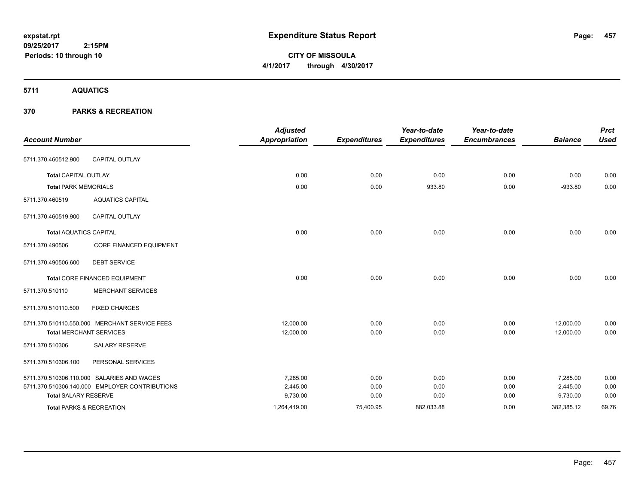**CITY OF MISSOULA 4/1/2017 through 4/30/2017**

**5711 AQUATICS**

| <b>Account Number</b>               |                                                | <b>Adjusted</b><br><b>Appropriation</b> | <b>Expenditures</b> | Year-to-date<br><b>Expenditures</b> | Year-to-date<br><b>Encumbrances</b> | <b>Balance</b> | <b>Prct</b><br><b>Used</b> |
|-------------------------------------|------------------------------------------------|-----------------------------------------|---------------------|-------------------------------------|-------------------------------------|----------------|----------------------------|
| 5711.370.460512.900                 | <b>CAPITAL OUTLAY</b>                          |                                         |                     |                                     |                                     |                |                            |
| <b>Total CAPITAL OUTLAY</b>         |                                                | 0.00                                    | 0.00                | 0.00                                | 0.00                                | 0.00           | 0.00                       |
| <b>Total PARK MEMORIALS</b>         |                                                | 0.00                                    | 0.00                | 933.80                              | 0.00                                | $-933.80$      | 0.00                       |
| 5711.370.460519                     | <b>AQUATICS CAPITAL</b>                        |                                         |                     |                                     |                                     |                |                            |
| 5711.370.460519.900                 | <b>CAPITAL OUTLAY</b>                          |                                         |                     |                                     |                                     |                |                            |
| <b>Total AQUATICS CAPITAL</b>       |                                                | 0.00                                    | 0.00                | 0.00                                | 0.00                                | 0.00           | 0.00                       |
| 5711.370.490506                     | <b>CORE FINANCED EQUIPMENT</b>                 |                                         |                     |                                     |                                     |                |                            |
| 5711.370.490506.600                 | <b>DEBT SERVICE</b>                            |                                         |                     |                                     |                                     |                |                            |
|                                     | <b>Total CORE FINANCED EQUIPMENT</b>           | 0.00                                    | 0.00                | 0.00                                | 0.00                                | 0.00           | 0.00                       |
| 5711.370.510110                     | <b>MERCHANT SERVICES</b>                       |                                         |                     |                                     |                                     |                |                            |
| 5711.370.510110.500                 | <b>FIXED CHARGES</b>                           |                                         |                     |                                     |                                     |                |                            |
|                                     | 5711.370.510110.550.000 MERCHANT SERVICE FEES  | 12,000.00                               | 0.00                | 0.00                                | 0.00                                | 12,000.00      | 0.00                       |
| <b>Total MERCHANT SERVICES</b>      |                                                | 12,000.00                               | 0.00                | 0.00                                | 0.00                                | 12,000.00      | 0.00                       |
| 5711.370.510306                     | <b>SALARY RESERVE</b>                          |                                         |                     |                                     |                                     |                |                            |
| 5711.370.510306.100                 | PERSONAL SERVICES                              |                                         |                     |                                     |                                     |                |                            |
|                                     | 5711.370.510306.110.000 SALARIES AND WAGES     | 7.285.00                                | 0.00                | 0.00                                | 0.00                                | 7.285.00       | 0.00                       |
|                                     | 5711.370.510306.140.000 EMPLOYER CONTRIBUTIONS | 2,445.00                                | 0.00                | 0.00                                | 0.00                                | 2,445.00       | 0.00                       |
| <b>Total SALARY RESERVE</b>         |                                                | 9,730.00                                | 0.00                | 0.00                                | 0.00                                | 9,730.00       | 0.00                       |
| <b>Total PARKS &amp; RECREATION</b> |                                                | 1,264,419.00                            | 75,400.95           | 882,033.88                          | 0.00                                | 382,385.12     | 69.76                      |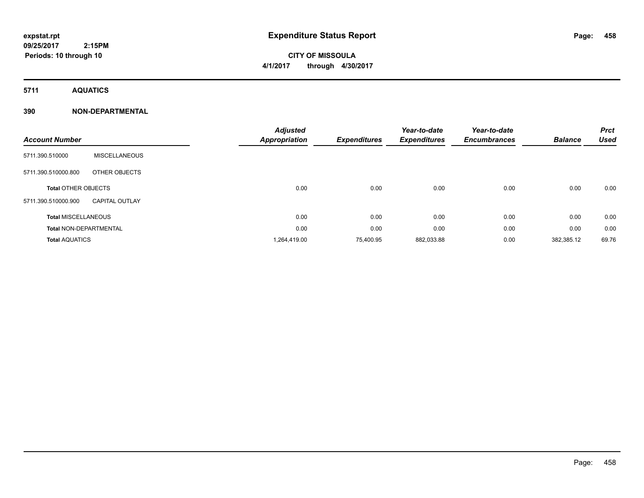# **CITY OF MISSOULA 4/1/2017 through 4/30/2017**

**5711 AQUATICS**

### **390 NON-DEPARTMENTAL**

| <b>Account Number</b>         |                       | <b>Adjusted</b><br>Appropriation | <b>Expenditures</b> | Year-to-date<br><b>Expenditures</b> | Year-to-date<br><b>Encumbrances</b> | <b>Balance</b> | <b>Prct</b><br><b>Used</b> |
|-------------------------------|-----------------------|----------------------------------|---------------------|-------------------------------------|-------------------------------------|----------------|----------------------------|
| 5711.390.510000               | <b>MISCELLANEOUS</b>  |                                  |                     |                                     |                                     |                |                            |
| 5711.390.510000.800           | OTHER OBJECTS         |                                  |                     |                                     |                                     |                |                            |
| <b>Total OTHER OBJECTS</b>    |                       | 0.00                             | 0.00                | 0.00                                | 0.00                                | 0.00           | 0.00                       |
| 5711.390.510000.900           | <b>CAPITAL OUTLAY</b> |                                  |                     |                                     |                                     |                |                            |
| <b>Total MISCELLANEOUS</b>    |                       | 0.00                             | 0.00                | 0.00                                | 0.00                                | 0.00           | 0.00                       |
| <b>Total NON-DEPARTMENTAL</b> |                       | 0.00                             | 0.00                | 0.00                                | 0.00                                | 0.00           | 0.00                       |
| <b>Total AQUATICS</b>         |                       | 1,264,419.00                     | 75,400.95           | 882,033.88                          | 0.00                                | 382,385.12     | 69.76                      |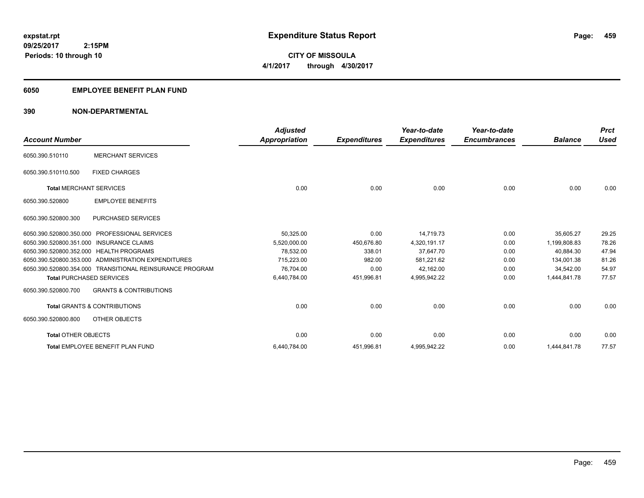**CITY OF MISSOULA 4/1/2017 through 4/30/2017**

### **6050 EMPLOYEE BENEFIT PLAN FUND**

### **390 NON-DEPARTMENTAL**

| <b>Account Number</b>                   |                                                          | <b>Adjusted</b><br><b>Appropriation</b> | <b>Expenditures</b> | Year-to-date<br><b>Expenditures</b> | Year-to-date<br><b>Encumbrances</b> | <b>Balance</b> | <b>Prct</b><br><b>Used</b> |
|-----------------------------------------|----------------------------------------------------------|-----------------------------------------|---------------------|-------------------------------------|-------------------------------------|----------------|----------------------------|
| 6050.390.510110                         | <b>MERCHANT SERVICES</b>                                 |                                         |                     |                                     |                                     |                |                            |
| 6050.390.510110.500                     | <b>FIXED CHARGES</b>                                     |                                         |                     |                                     |                                     |                |                            |
| <b>Total MERCHANT SERVICES</b>          |                                                          | 0.00                                    | 0.00                | 0.00                                | 0.00                                | 0.00           | 0.00                       |
| 6050.390.520800                         | <b>EMPLOYEE BENEFITS</b>                                 |                                         |                     |                                     |                                     |                |                            |
| 6050.390.520800.300                     | <b>PURCHASED SERVICES</b>                                |                                         |                     |                                     |                                     |                |                            |
| 6050.390.520800.350.000                 | <b>PROFESSIONAL SERVICES</b>                             | 50,325.00                               | 0.00                | 14.719.73                           | 0.00                                | 35,605.27      | 29.25                      |
| 6050.390.520800.351.000                 | <b>INSURANCE CLAIMS</b>                                  | 5.520.000.00                            | 450.676.80          | 4,320,191.17                        | 0.00                                | 1.199.808.83   | 78.26                      |
| 6050.390.520800.352.000 HEALTH PROGRAMS |                                                          | 78,532.00                               | 338.01              | 37,647.70                           | 0.00                                | 40.884.30      | 47.94                      |
|                                         | 6050.390.520800.353.000 ADMINISTRATION EXPENDITURES      | 715.223.00                              | 982.00              | 581,221.62                          | 0.00                                | 134.001.38     | 81.26                      |
|                                         | 6050.390.520800.354.000 TRANSITIONAL REINSURANCE PROGRAM | 76,704.00                               | 0.00                | 42,162.00                           | 0.00                                | 34.542.00      | 54.97                      |
| <b>Total PURCHASED SERVICES</b>         |                                                          | 6,440,784.00                            | 451,996.81          | 4,995,942.22                        | 0.00                                | 1,444,841.78   | 77.57                      |
| 6050.390.520800.700                     | <b>GRANTS &amp; CONTRIBUTIONS</b>                        |                                         |                     |                                     |                                     |                |                            |
|                                         | <b>Total GRANTS &amp; CONTRIBUTIONS</b>                  | 0.00                                    | 0.00                | 0.00                                | 0.00                                | 0.00           | 0.00                       |
| 6050.390.520800.800                     | OTHER OBJECTS                                            |                                         |                     |                                     |                                     |                |                            |
| <b>Total OTHER OBJECTS</b>              |                                                          | 0.00                                    | 0.00                | 0.00                                | 0.00                                | 0.00           | 0.00                       |
|                                         | Total EMPLOYEE BENEFIT PLAN FUND                         | 6,440,784.00                            | 451,996.81          | 4,995,942.22                        | 0.00                                | 1,444,841.78   | 77.57                      |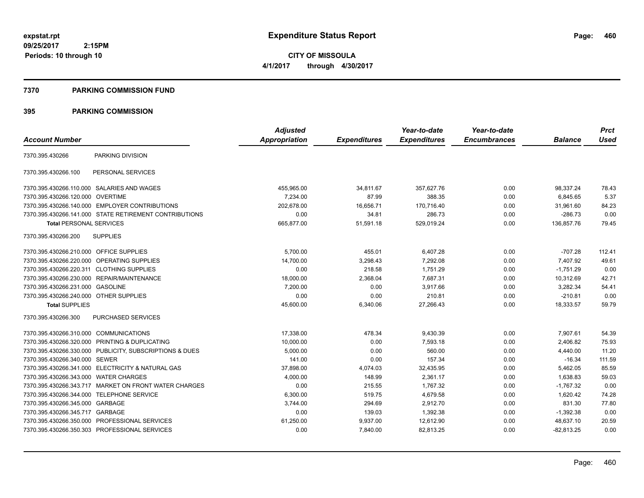**CITY OF MISSOULA 4/1/2017 through 4/30/2017**

#### **7370 PARKING COMMISSION FUND**

|                                           |                                                         | <b>Adjusted</b> |                     | Year-to-date        | Year-to-date        |                | <b>Prct</b> |
|-------------------------------------------|---------------------------------------------------------|-----------------|---------------------|---------------------|---------------------|----------------|-------------|
| <b>Account Number</b>                     |                                                         | Appropriation   | <b>Expenditures</b> | <b>Expenditures</b> | <b>Encumbrances</b> | <b>Balance</b> | <b>Used</b> |
| 7370.395.430266                           | PARKING DIVISION                                        |                 |                     |                     |                     |                |             |
| 7370.395.430266.100                       | PERSONAL SERVICES                                       |                 |                     |                     |                     |                |             |
|                                           | 7370.395.430266.110.000 SALARIES AND WAGES              | 455.965.00      | 34,811.67           | 357,627.76          | 0.00                | 98.337.24      | 78.43       |
| 7370.395.430266.120.000 OVERTIME          |                                                         | 7,234.00        | 87.99               | 388.35              | 0.00                | 6,845.65       | 5.37        |
|                                           | 7370.395.430266.140.000 EMPLOYER CONTRIBUTIONS          | 202.678.00      | 16,656.71           | 170.716.40          | 0.00                | 31,961.60      | 84.23       |
|                                           | 7370.395.430266.141.000 STATE RETIREMENT CONTRIBUTIONS  | 0.00            | 34.81               | 286.73              | 0.00                | $-286.73$      | 0.00        |
| <b>Total PERSONAL SERVICES</b>            |                                                         | 665,877.00      | 51,591.18           | 529,019.24          | 0.00                | 136,857.76     | 79.45       |
| 7370.395.430266.200                       | <b>SUPPLIES</b>                                         |                 |                     |                     |                     |                |             |
| 7370.395.430266.210.000 OFFICE SUPPLIES   |                                                         | 5,700.00        | 455.01              | 6,407.28            | 0.00                | $-707.28$      | 112.41      |
|                                           | 7370.395.430266.220.000 OPERATING SUPPLIES              | 14,700.00       | 3,298.43            | 7,292.08            | 0.00                | 7,407.92       | 49.61       |
| 7370.395.430266.220.311 CLOTHING SUPPLIES |                                                         | 0.00            | 218.58              | 1,751.29            | 0.00                | $-1,751.29$    | 0.00        |
|                                           | 7370.395.430266.230.000 REPAIR/MAINTENANCE              | 18,000.00       | 2,368.04            | 7,687.31            | 0.00                | 10,312.69      | 42.71       |
| 7370.395.430266.231.000                   | <b>GASOLINE</b>                                         | 7,200.00        | 0.00                | 3,917.66            | 0.00                | 3,282.34       | 54.41       |
| 7370.395.430266.240.000 OTHER SUPPLIES    |                                                         | 0.00            | 0.00                | 210.81              | 0.00                | $-210.81$      | 0.00        |
| <b>Total SUPPLIES</b>                     |                                                         | 45,600.00       | 6,340.06            | 27,266.43           | 0.00                | 18,333.57      | 59.79       |
| 7370.395.430266.300                       | PURCHASED SERVICES                                      |                 |                     |                     |                     |                |             |
| 7370.395.430266.310.000 COMMUNICATIONS    |                                                         | 17,338.00       | 478.34              | 9,430.39            | 0.00                | 7,907.61       | 54.39       |
|                                           | 7370.395.430266.320.000 PRINTING & DUPLICATING          | 10,000.00       | 0.00                | 7,593.18            | 0.00                | 2,406.82       | 75.93       |
|                                           | 7370.395.430266.330.000 PUBLICITY, SUBSCRIPTIONS & DUES | 5,000.00        | 0.00                | 560.00              | 0.00                | 4,440.00       | 11.20       |
| 7370.395.430266.340.000 SEWER             |                                                         | 141.00          | 0.00                | 157.34              | 0.00                | $-16.34$       | 111.59      |
|                                           | 7370.395.430266.341.000 ELECTRICITY & NATURAL GAS       | 37,898.00       | 4,074.03            | 32,435.95           | 0.00                | 5,462.05       | 85.59       |
| 7370.395.430266.343.000                   | <b>WATER CHARGES</b>                                    | 4,000.00        | 148.99              | 2,361.17            | 0.00                | 1,638.83       | 59.03       |
|                                           | 7370.395.430266.343.717 MARKET ON FRONT WATER CHARGES   | 0.00            | 215.55              | 1.767.32            | 0.00                | $-1.767.32$    | 0.00        |
| 7370.395.430266.344.000 TELEPHONE SERVICE |                                                         | 6,300.00        | 519.75              | 4,679.58            | 0.00                | 1,620.42       | 74.28       |
| 7370.395.430266.345.000 GARBAGE           |                                                         | 3,744.00        | 294.69              | 2,912.70            | 0.00                | 831.30         | 77.80       |
| 7370.395.430266.345.717 GARBAGE           |                                                         | 0.00            | 139.03              | 1,392.38            | 0.00                | $-1,392.38$    | 0.00        |
|                                           | 7370.395.430266.350.000 PROFESSIONAL SERVICES           | 61,250.00       | 9,937.00            | 12,612.90           | 0.00                | 48,637.10      | 20.59       |
|                                           | 7370.395.430266.350.303 PROFESSIONAL SERVICES           | 0.00            | 7,840.00            | 82,813.25           | 0.00                | $-82,813.25$   | 0.00        |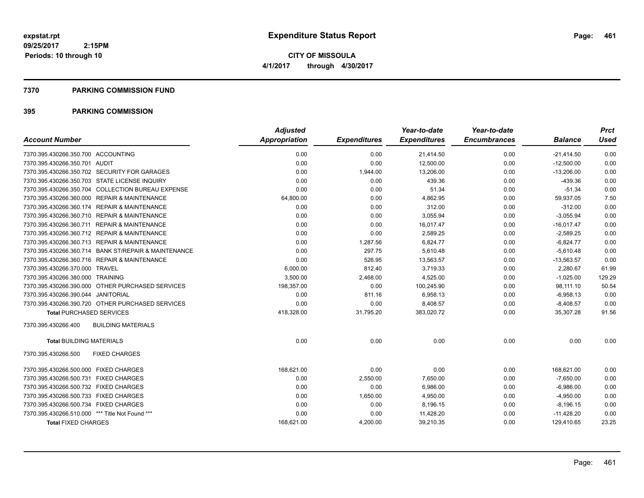**Periods: 10 through 10**

**CITY OF MISSOULA 4/1/2017 through 4/30/2017**

#### **7370 PARKING COMMISSION FUND**

|                                                            | <b>Adjusted</b> |                     | Year-to-date        | Year-to-date        |                | <b>Prct</b> |
|------------------------------------------------------------|-----------------|---------------------|---------------------|---------------------|----------------|-------------|
| <b>Account Number</b>                                      | Appropriation   | <b>Expenditures</b> | <b>Expenditures</b> | <b>Encumbrances</b> | <b>Balance</b> | <b>Used</b> |
| 7370.395.430266.350.700 ACCOUNTING                         | 0.00            | 0.00                | 21,414.50           | 0.00                | $-21,414.50$   | 0.00        |
| 7370.395.430266.350.701 AUDIT                              | 0.00            | 0.00                | 12,500.00           | 0.00                | $-12,500.00$   | 0.00        |
| 7370.395.430266.350.702 SECURITY FOR GARAGES               | 0.00            | 1,944.00            | 13,206.00           | 0.00                | $-13,206.00$   | 0.00        |
| 7370.395.430266.350.703 STATE LICENSE INQUIRY              | 0.00            | 0.00                | 439.36              | 0.00                | $-439.36$      | 0.00        |
| 7370.395.430266.350.704 COLLECTION BUREAU EXPENSE          | 0.00            | 0.00                | 51.34               | 0.00                | $-51.34$       | 0.00        |
| 7370.395.430266.360.000 REPAIR & MAINTENANCE               | 64,800.00       | 0.00                | 4,862.95            | 0.00                | 59,937.05      | 7.50        |
| 7370.395.430266.360.174 REPAIR & MAINTENANCE               | 0.00            | 0.00                | 312.00              | 0.00                | $-312.00$      | 0.00        |
| 7370.395.430266.360.710 REPAIR & MAINTENANCE               | 0.00            | 0.00                | 3,055.94            | 0.00                | $-3,055.94$    | 0.00        |
| <b>REPAIR &amp; MAINTENANCE</b><br>7370.395.430266.360.711 | 0.00            | 0.00                | 16,017.47           | 0.00                | $-16,017.47$   | 0.00        |
| 7370.395.430266.360.712 REPAIR & MAINTENANCE               | 0.00            | 0.00                | 2,589.25            | 0.00                | $-2,589.25$    | 0.00        |
| 7370.395.430266.360.713 REPAIR & MAINTENANCE               | 0.00            | 1,287.56            | 6,824.77            | 0.00                | $-6,824.77$    | 0.00        |
| 7370.395.430266.360.714 BANK ST/REPAIR & MAINTENANCE       | 0.00            | 297.75              | 5,610.48            | 0.00                | $-5,610.48$    | 0.00        |
| 7370.395.430266.360.716 REPAIR & MAINTENANCE               | 0.00            | 526.95              | 13,563.57           | 0.00                | $-13,563.57$   | 0.00        |
| 7370.395.430266.370.000 TRAVEL                             | 6,000.00        | 812.40              | 3,719.33            | 0.00                | 2,280.67       | 61.99       |
| 7370.395.430266.380.000 TRAINING                           | 3,500.00        | 2,468.00            | 4,525.00            | 0.00                | $-1,025.00$    | 129.29      |
| 7370.395.430266.390.000 OTHER PURCHASED SERVICES           | 198,357.00      | 0.00                | 100,245.90          | 0.00                | 98,111.10      | 50.54       |
| 7370.395.430266.390.044 JANITORIAL                         | 0.00            | 811.16              | 6,958.13            | 0.00                | $-6,958.13$    | 0.00        |
| 7370.395.430266.390.720 OTHER PURCHASED SERVICES           | 0.00            | 0.00                | 8,408.57            | 0.00                | $-8,408.57$    | 0.00        |
| <b>Total PURCHASED SERVICES</b>                            | 418,328.00      | 31,795.20           | 383,020.72          | 0.00                | 35,307.28      | 91.56       |
| 7370.395.430266.400<br><b>BUILDING MATERIALS</b>           |                 |                     |                     |                     |                |             |
| <b>Total BUILDING MATERIALS</b>                            | 0.00            | 0.00                | 0.00                | 0.00                | 0.00           | 0.00        |
| 7370.395.430266.500<br><b>FIXED CHARGES</b>                |                 |                     |                     |                     |                |             |
| 7370.395.430266.500.000 FIXED CHARGES                      | 168,621.00      | 0.00                | 0.00                | 0.00                | 168,621.00     | 0.00        |
| 7370.395.430266.500.731 FIXED CHARGES                      | 0.00            | 2,550.00            | 7,650.00            | 0.00                | $-7,650.00$    | 0.00        |
| 7370.395.430266.500.732 FIXED CHARGES                      | 0.00            | 0.00                | 6,986.00            | 0.00                | $-6,986.00$    | 0.00        |
| 7370.395.430266.500.733 FIXED CHARGES                      | 0.00            | 1,650.00            | 4,950.00            | 0.00                | $-4,950.00$    | 0.00        |
| 7370.395.430266.500.734 FIXED CHARGES                      | 0.00            | 0.00                | 8,196.15            | 0.00                | $-8,196.15$    | 0.00        |
| 7370.395.430266.510.000 *** Title Not Found ***            | 0.00            | 0.00                | 11,428.20           | 0.00                | $-11,428.20$   | 0.00        |
| <b>Total FIXED CHARGES</b>                                 | 168.621.00      | 4,200.00            | 39,210.35           | 0.00                | 129,410.65     | 23.25       |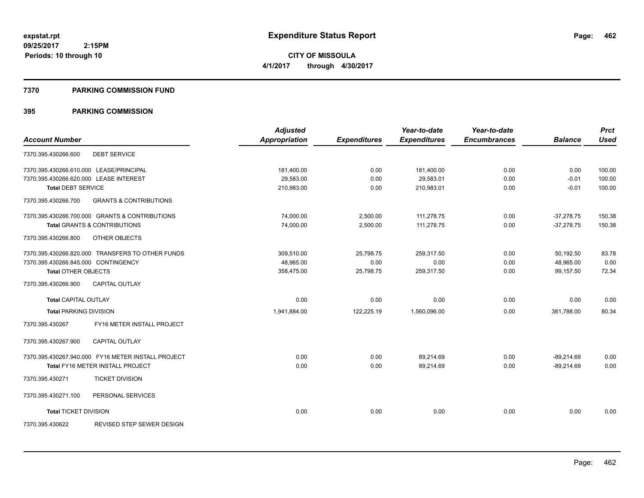**CITY OF MISSOULA 4/1/2017 through 4/30/2017**

#### **7370 PARKING COMMISSION FUND**

|                                                          | <b>Adjusted</b> |                     | Year-to-date        | Year-to-date        |                | <b>Prct</b> |
|----------------------------------------------------------|-----------------|---------------------|---------------------|---------------------|----------------|-------------|
| <b>Account Number</b>                                    | Appropriation   | <b>Expenditures</b> | <b>Expenditures</b> | <b>Encumbrances</b> | <b>Balance</b> | <b>Used</b> |
| 7370.395.430266.600<br><b>DEBT SERVICE</b>               |                 |                     |                     |                     |                |             |
| 7370.395.430266.610.000 LEASE/PRINCIPAL                  | 181,400.00      | 0.00                | 181,400.00          | 0.00                | 0.00           | 100.00      |
| 7370.395.430266.620.000 LEASE INTEREST                   | 29,583.00       | 0.00                | 29,583.01           | 0.00                | $-0.01$        | 100.00      |
| <b>Total DEBT SERVICE</b>                                | 210,983.00      | 0.00                | 210,983.01          | 0.00                | $-0.01$        | 100.00      |
| 7370.395.430266.700<br><b>GRANTS &amp; CONTRIBUTIONS</b> |                 |                     |                     |                     |                |             |
| 7370.395.430266.700.000 GRANTS & CONTRIBUTIONS           | 74,000.00       | 2,500.00            | 111,278.75          | 0.00                | $-37,278.75$   | 150.38      |
| <b>Total GRANTS &amp; CONTRIBUTIONS</b>                  | 74,000.00       | 2,500.00            | 111,278.75          | 0.00                | $-37,278.75$   | 150.38      |
| 7370.395.430266.800<br>OTHER OBJECTS                     |                 |                     |                     |                     |                |             |
| 7370.395.430266.820.000 TRANSFERS TO OTHER FUNDS         | 309.510.00      | 25,798.75           | 259.317.50          | 0.00                | 50,192.50      | 83.78       |
| 7370.395.430266.845.000 CONTINGENCY                      | 48.965.00       | 0.00                | 0.00                | 0.00                | 48,965.00      | 0.00        |
| <b>Total OTHER OBJECTS</b>                               | 358,475.00      | 25,798.75           | 259,317.50          | 0.00                | 99,157.50      | 72.34       |
| 7370.395.430266.900<br><b>CAPITAL OUTLAY</b>             |                 |                     |                     |                     |                |             |
| <b>Total CAPITAL OUTLAY</b>                              | 0.00            | 0.00                | 0.00                | 0.00                | 0.00           | 0.00        |
| <b>Total PARKING DIVISION</b>                            | 1,941,884.00    | 122,225.19          | 1,560,096.00        | 0.00                | 381.788.00     | 80.34       |
| FY16 METER INSTALL PROJECT<br>7370.395.430267            |                 |                     |                     |                     |                |             |
| 7370.395.430267.900<br><b>CAPITAL OUTLAY</b>             |                 |                     |                     |                     |                |             |
| 7370.395.430267.940.000 FY16 METER INSTALL PROJECT       | 0.00            | 0.00                | 89,214.69           | 0.00                | $-89,214.69$   | 0.00        |
| Total FY16 METER INSTALL PROJECT                         | 0.00            | 0.00                | 89,214.69           | 0.00                | $-89,214.69$   | 0.00        |
| 7370.395.430271<br><b>TICKET DIVISION</b>                |                 |                     |                     |                     |                |             |
| 7370.395.430271.100<br>PERSONAL SERVICES                 |                 |                     |                     |                     |                |             |
| <b>Total TICKET DIVISION</b>                             | 0.00            | 0.00                | 0.00                | 0.00                | 0.00           | 0.00        |
| 7370.395.430622<br>REVISED STEP SEWER DESIGN             |                 |                     |                     |                     |                |             |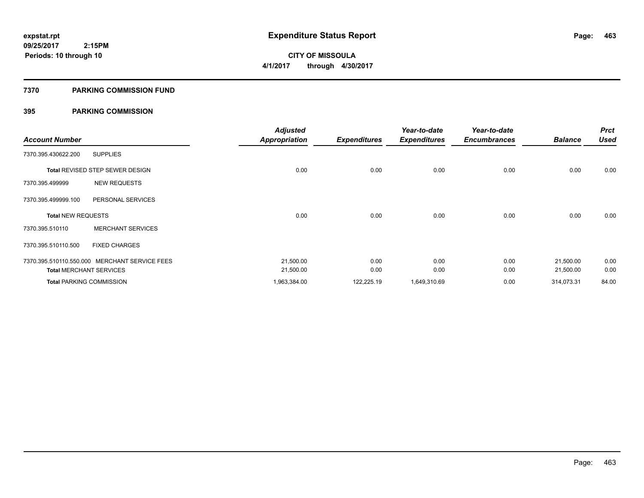# **CITY OF MISSOULA 4/1/2017 through 4/30/2017**

### **7370 PARKING COMMISSION FUND**

| <b>Account Number</b>     |                                               | <b>Adjusted</b><br><b>Appropriation</b> | <b>Expenditures</b> | Year-to-date<br><b>Expenditures</b> | Year-to-date<br><b>Encumbrances</b> | <b>Balance</b> | <b>Prct</b><br><b>Used</b> |
|---------------------------|-----------------------------------------------|-----------------------------------------|---------------------|-------------------------------------|-------------------------------------|----------------|----------------------------|
| 7370.395.430622.200       | <b>SUPPLIES</b>                               |                                         |                     |                                     |                                     |                |                            |
|                           | Total REVISED STEP SEWER DESIGN               | 0.00                                    | 0.00                | 0.00                                | 0.00                                | 0.00           | 0.00                       |
| 7370.395.499999           | <b>NEW REQUESTS</b>                           |                                         |                     |                                     |                                     |                |                            |
| 7370.395.499999.100       | PERSONAL SERVICES                             |                                         |                     |                                     |                                     |                |                            |
| <b>Total NEW REQUESTS</b> |                                               | 0.00                                    | 0.00                | 0.00                                | 0.00                                | 0.00           | 0.00                       |
| 7370.395.510110           | <b>MERCHANT SERVICES</b>                      |                                         |                     |                                     |                                     |                |                            |
| 7370.395.510110.500       | <b>FIXED CHARGES</b>                          |                                         |                     |                                     |                                     |                |                            |
|                           | 7370.395.510110.550.000 MERCHANT SERVICE FEES | 21,500.00                               | 0.00                | 0.00                                | 0.00                                | 21,500.00      | 0.00                       |
|                           | <b>Total MERCHANT SERVICES</b>                | 21,500.00                               | 0.00                | 0.00                                | 0.00                                | 21,500.00      | 0.00                       |
|                           | <b>Total PARKING COMMISSION</b>               | 1,963,384.00                            | 122,225.19          | 1,649,310.69                        | 0.00                                | 314,073.31     | 84.00                      |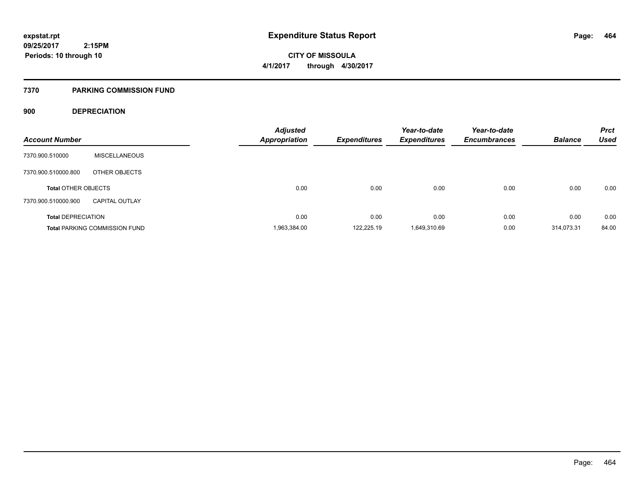**CITY OF MISSOULA 4/1/2017 through 4/30/2017**

### **7370 PARKING COMMISSION FUND**

### **900 DEPRECIATION**

| <b>Account Number</b>      |                                      | <b>Adjusted</b><br>Appropriation | <b>Expenditures</b> | Year-to-date<br><b>Expenditures</b> | Year-to-date<br><b>Encumbrances</b> | <b>Balance</b> | <b>Prct</b><br><b>Used</b> |
|----------------------------|--------------------------------------|----------------------------------|---------------------|-------------------------------------|-------------------------------------|----------------|----------------------------|
| 7370.900.510000            | <b>MISCELLANEOUS</b>                 |                                  |                     |                                     |                                     |                |                            |
| 7370.900.510000.800        | OTHER OBJECTS                        |                                  |                     |                                     |                                     |                |                            |
| <b>Total OTHER OBJECTS</b> |                                      | 0.00                             | 0.00                | 0.00                                | 0.00                                | 0.00           | 0.00                       |
| 7370.900.510000.900        | <b>CAPITAL OUTLAY</b>                |                                  |                     |                                     |                                     |                |                            |
| <b>Total DEPRECIATION</b>  |                                      | 0.00                             | 0.00                | 0.00                                | 0.00                                | 0.00           | 0.00                       |
|                            | <b>Total PARKING COMMISSION FUND</b> | 1,963,384.00                     | 122.225.19          | 1,649,310.69                        | 0.00                                | 314.073.31     | 84.00                      |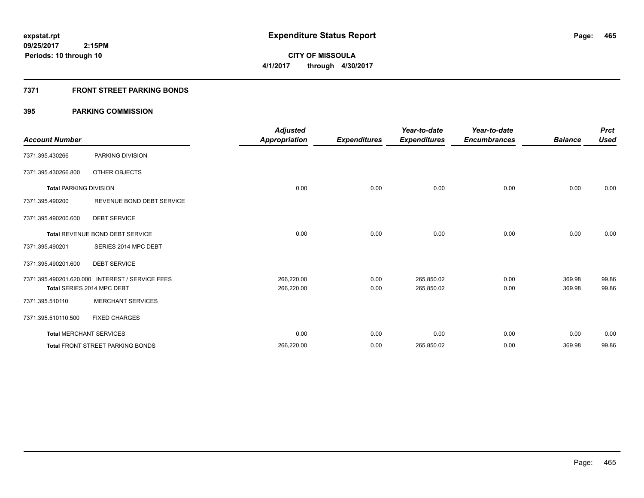**Periods: 10 through 10**

**CITY OF MISSOULA 4/1/2017 through 4/30/2017**

### **7371 FRONT STREET PARKING BONDS**

|                               |                                                 | <b>Adjusted</b>      |                     | Year-to-date        | Year-to-date        |                | <b>Prct</b> |
|-------------------------------|-------------------------------------------------|----------------------|---------------------|---------------------|---------------------|----------------|-------------|
| <b>Account Number</b>         |                                                 | <b>Appropriation</b> | <b>Expenditures</b> | <b>Expenditures</b> | <b>Encumbrances</b> | <b>Balance</b> | <b>Used</b> |
| 7371.395.430266               | PARKING DIVISION                                |                      |                     |                     |                     |                |             |
| 7371.395.430266.800           | OTHER OBJECTS                                   |                      |                     |                     |                     |                |             |
| <b>Total PARKING DIVISION</b> |                                                 | 0.00                 | 0.00                | 0.00                | 0.00                | 0.00           | 0.00        |
| 7371.395.490200               | REVENUE BOND DEBT SERVICE                       |                      |                     |                     |                     |                |             |
| 7371.395.490200.600           | <b>DEBT SERVICE</b>                             |                      |                     |                     |                     |                |             |
|                               | <b>Total REVENUE BOND DEBT SERVICE</b>          | 0.00                 | 0.00                | 0.00                | 0.00                | 0.00           | 0.00        |
| 7371.395.490201               | SERIES 2014 MPC DEBT                            |                      |                     |                     |                     |                |             |
| 7371.395.490201.600           | <b>DEBT SERVICE</b>                             |                      |                     |                     |                     |                |             |
|                               | 7371.395.490201.620.000 INTEREST / SERVICE FEES | 266,220.00           | 0.00                | 265,850.02          | 0.00                | 369.98         | 99.86       |
|                               | Total SERIES 2014 MPC DEBT                      | 266,220.00           | 0.00                | 265,850.02          | 0.00                | 369.98         | 99.86       |
| 7371.395.510110               | <b>MERCHANT SERVICES</b>                        |                      |                     |                     |                     |                |             |
| 7371.395.510110.500           | <b>FIXED CHARGES</b>                            |                      |                     |                     |                     |                |             |
|                               | <b>Total MERCHANT SERVICES</b>                  | 0.00                 | 0.00                | 0.00                | 0.00                | 0.00           | 0.00        |
|                               | <b>Total FRONT STREET PARKING BONDS</b>         | 266,220.00           | 0.00                | 265,850.02          | 0.00                | 369.98         | 99.86       |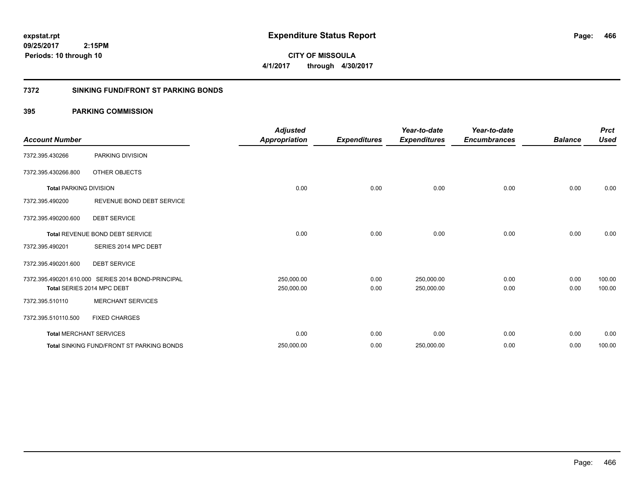**CITY OF MISSOULA 4/1/2017 through 4/30/2017**

### **7372 SINKING FUND/FRONT ST PARKING BONDS**

| <b>Account Number</b>         |                                                    | <b>Adjusted</b><br><b>Appropriation</b> | <b>Expenditures</b> | Year-to-date<br><b>Expenditures</b> | Year-to-date<br><b>Encumbrances</b> | <b>Balance</b> | <b>Prct</b><br><b>Used</b> |
|-------------------------------|----------------------------------------------------|-----------------------------------------|---------------------|-------------------------------------|-------------------------------------|----------------|----------------------------|
| 7372.395.430266               | PARKING DIVISION                                   |                                         |                     |                                     |                                     |                |                            |
| 7372.395.430266.800           | OTHER OBJECTS                                      |                                         |                     |                                     |                                     |                |                            |
| <b>Total PARKING DIVISION</b> |                                                    | 0.00                                    | 0.00                | 0.00                                | 0.00                                | 0.00           | 0.00                       |
| 7372.395.490200               | REVENUE BOND DEBT SERVICE                          |                                         |                     |                                     |                                     |                |                            |
| 7372.395.490200.600           | <b>DEBT SERVICE</b>                                |                                         |                     |                                     |                                     |                |                            |
|                               | <b>Total REVENUE BOND DEBT SERVICE</b>             | 0.00                                    | 0.00                | 0.00                                | 0.00                                | 0.00           | 0.00                       |
| 7372.395.490201               | SERIES 2014 MPC DEBT                               |                                         |                     |                                     |                                     |                |                            |
| 7372.395.490201.600           | <b>DEBT SERVICE</b>                                |                                         |                     |                                     |                                     |                |                            |
|                               | 7372.395.490201.610.000 SERIES 2014 BOND-PRINCIPAL | 250,000.00                              | 0.00                | 250,000.00                          | 0.00                                | 0.00           | 100.00                     |
|                               | Total SERIES 2014 MPC DEBT                         | 250,000.00                              | 0.00                | 250,000.00                          | 0.00                                | 0.00           | 100.00                     |
| 7372.395.510110               | <b>MERCHANT SERVICES</b>                           |                                         |                     |                                     |                                     |                |                            |
| 7372.395.510110.500           | <b>FIXED CHARGES</b>                               |                                         |                     |                                     |                                     |                |                            |
|                               | <b>Total MERCHANT SERVICES</b>                     | 0.00                                    | 0.00                | 0.00                                | 0.00                                | 0.00           | 0.00                       |
|                               | <b>Total SINKING FUND/FRONT ST PARKING BONDS</b>   | 250,000.00                              | 0.00                | 250,000.00                          | 0.00                                | 0.00           | 100.00                     |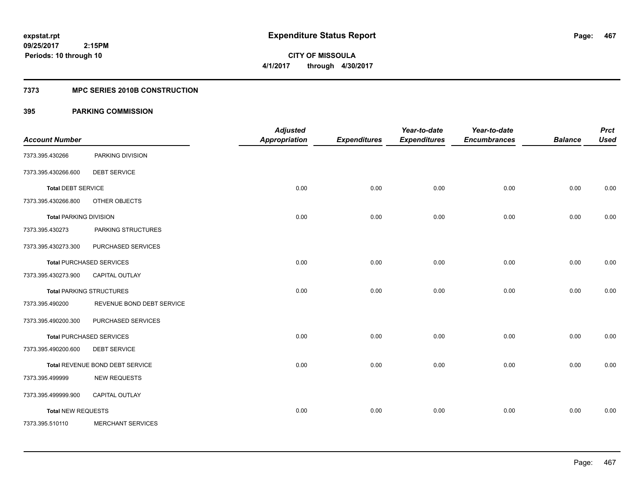**467**

**09/25/2017 2:15PM Periods: 10 through 10**

**CITY OF MISSOULA 4/1/2017 through 4/30/2017**

### **7373 MPC SERIES 2010B CONSTRUCTION**

| <b>Account Number</b>         |                                 | <b>Adjusted</b><br><b>Appropriation</b> | <b>Expenditures</b> | Year-to-date<br><b>Expenditures</b> | Year-to-date<br><b>Encumbrances</b> | <b>Balance</b> | <b>Prct</b><br><b>Used</b> |
|-------------------------------|---------------------------------|-----------------------------------------|---------------------|-------------------------------------|-------------------------------------|----------------|----------------------------|
| 7373.395.430266               | PARKING DIVISION                |                                         |                     |                                     |                                     |                |                            |
| 7373.395.430266.600           | <b>DEBT SERVICE</b>             |                                         |                     |                                     |                                     |                |                            |
| <b>Total DEBT SERVICE</b>     |                                 | 0.00                                    | 0.00                | 0.00                                | 0.00                                | 0.00           | 0.00                       |
| 7373.395.430266.800           | OTHER OBJECTS                   |                                         |                     |                                     |                                     |                |                            |
| <b>Total PARKING DIVISION</b> |                                 | 0.00                                    | 0.00                | 0.00                                | 0.00                                | 0.00           | 0.00                       |
| 7373.395.430273               | PARKING STRUCTURES              |                                         |                     |                                     |                                     |                |                            |
| 7373.395.430273.300           | PURCHASED SERVICES              |                                         |                     |                                     |                                     |                |                            |
|                               | <b>Total PURCHASED SERVICES</b> | 0.00                                    | 0.00                | 0.00                                | 0.00                                | 0.00           | 0.00                       |
| 7373.395.430273.900           | <b>CAPITAL OUTLAY</b>           |                                         |                     |                                     |                                     |                |                            |
|                               | <b>Total PARKING STRUCTURES</b> | 0.00                                    | 0.00                | 0.00                                | 0.00                                | 0.00           | 0.00                       |
| 7373.395.490200               | REVENUE BOND DEBT SERVICE       |                                         |                     |                                     |                                     |                |                            |
| 7373.395.490200.300           | PURCHASED SERVICES              |                                         |                     |                                     |                                     |                |                            |
|                               | <b>Total PURCHASED SERVICES</b> | 0.00                                    | 0.00                | 0.00                                | 0.00                                | 0.00           | 0.00                       |
| 7373.395.490200.600           | <b>DEBT SERVICE</b>             |                                         |                     |                                     |                                     |                |                            |
|                               | Total REVENUE BOND DEBT SERVICE | 0.00                                    | 0.00                | 0.00                                | 0.00                                | 0.00           | 0.00                       |
| 7373.395.499999               | <b>NEW REQUESTS</b>             |                                         |                     |                                     |                                     |                |                            |
| 7373.395.499999.900           | <b>CAPITAL OUTLAY</b>           |                                         |                     |                                     |                                     |                |                            |
| <b>Total NEW REQUESTS</b>     |                                 | 0.00                                    | 0.00                | 0.00                                | 0.00                                | 0.00           | 0.00                       |
| 7373.395.510110               | MERCHANT SERVICES               |                                         |                     |                                     |                                     |                |                            |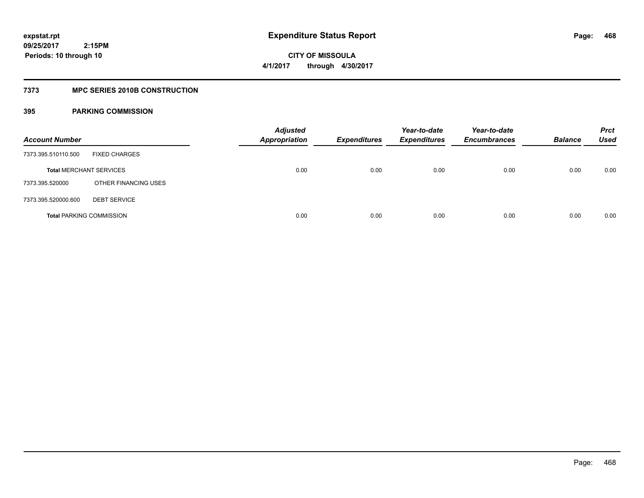**468**

**09/25/2017 2:15PM Periods: 10 through 10**

**CITY OF MISSOULA 4/1/2017 through 4/30/2017**

### **7373 MPC SERIES 2010B CONSTRUCTION**

| <b>Account Number</b>           |                      | <b>Adjusted</b><br><b>Appropriation</b> | <b>Expenditures</b> | Year-to-date<br><b>Expenditures</b> | Year-to-date<br><b>Encumbrances</b> | <b>Balance</b> | <b>Prct</b><br>Used |
|---------------------------------|----------------------|-----------------------------------------|---------------------|-------------------------------------|-------------------------------------|----------------|---------------------|
| 7373.395.510110.500             | <b>FIXED CHARGES</b> |                                         |                     |                                     |                                     |                |                     |
| <b>Total MERCHANT SERVICES</b>  |                      | 0.00                                    | 0.00                | 0.00                                | 0.00                                | 0.00           | 0.00                |
| 7373.395.520000                 | OTHER FINANCING USES |                                         |                     |                                     |                                     |                |                     |
| 7373.395.520000.600             | <b>DEBT SERVICE</b>  |                                         |                     |                                     |                                     |                |                     |
| <b>Total PARKING COMMISSION</b> |                      | 0.00                                    | 0.00                | 0.00                                | 0.00                                | 0.00           | 0.00                |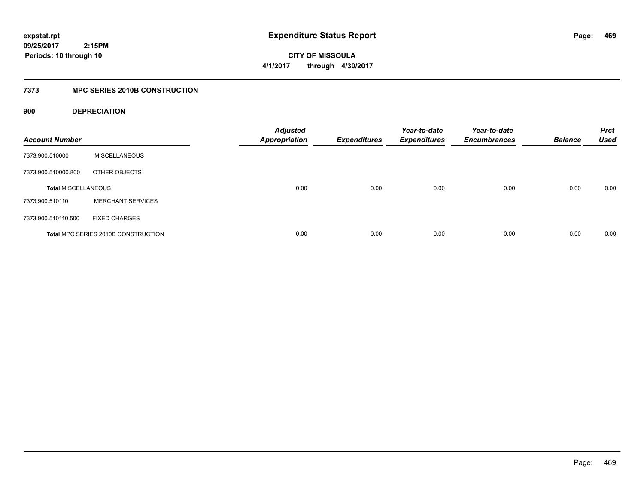**CITY OF MISSOULA 4/1/2017 through 4/30/2017**

## **7373 MPC SERIES 2010B CONSTRUCTION**

## **900 DEPRECIATION**

| <b>Account Number</b>      |                                     | <b>Adjusted</b><br><b>Appropriation</b> | <b>Expenditures</b> | Year-to-date<br><b>Expenditures</b> | Year-to-date<br><b>Encumbrances</b> | <b>Balance</b> | <b>Prct</b><br><b>Used</b> |
|----------------------------|-------------------------------------|-----------------------------------------|---------------------|-------------------------------------|-------------------------------------|----------------|----------------------------|
| 7373.900.510000            | <b>MISCELLANEOUS</b>                |                                         |                     |                                     |                                     |                |                            |
| 7373.900.510000.800        | OTHER OBJECTS                       |                                         |                     |                                     |                                     |                |                            |
| <b>Total MISCELLANEOUS</b> |                                     | 0.00                                    | 0.00                | 0.00                                | 0.00                                | 0.00           | 0.00                       |
| 7373.900.510110            | <b>MERCHANT SERVICES</b>            |                                         |                     |                                     |                                     |                |                            |
| 7373.900.510110.500        | <b>FIXED CHARGES</b>                |                                         |                     |                                     |                                     |                |                            |
|                            | Total MPC SERIES 2010B CONSTRUCTION | 0.00                                    | 0.00                | 0.00                                | 0.00                                | 0.00           | 0.00                       |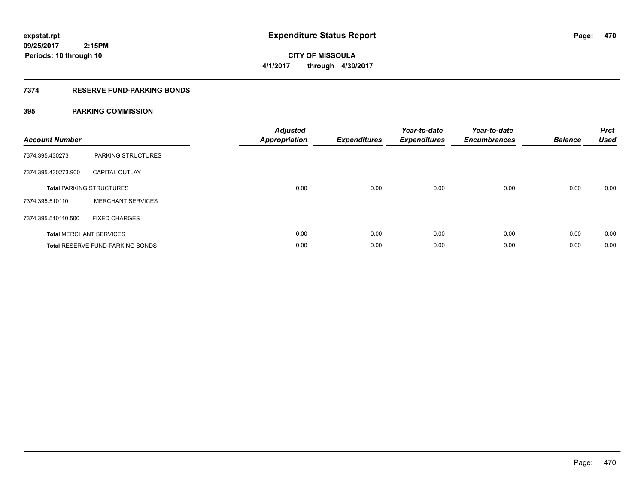**CITY OF MISSOULA 4/1/2017 through 4/30/2017**

## **7374 RESERVE FUND-PARKING BONDS**

| <b>Account Number</b>           |                                         | <b>Adjusted</b><br><b>Appropriation</b> | <b>Expenditures</b> | Year-to-date<br><b>Expenditures</b> | Year-to-date<br><b>Encumbrances</b> | <b>Balance</b> | <b>Prct</b><br><b>Used</b> |
|---------------------------------|-----------------------------------------|-----------------------------------------|---------------------|-------------------------------------|-------------------------------------|----------------|----------------------------|
| 7374.395.430273                 | <b>PARKING STRUCTURES</b>               |                                         |                     |                                     |                                     |                |                            |
| 7374.395.430273.900             | <b>CAPITAL OUTLAY</b>                   |                                         |                     |                                     |                                     |                |                            |
| <b>Total PARKING STRUCTURES</b> |                                         | 0.00                                    | 0.00                | 0.00                                | 0.00                                | 0.00           | 0.00                       |
| 7374.395.510110                 | <b>MERCHANT SERVICES</b>                |                                         |                     |                                     |                                     |                |                            |
| 7374.395.510110.500             | <b>FIXED CHARGES</b>                    |                                         |                     |                                     |                                     |                |                            |
|                                 | <b>Total MERCHANT SERVICES</b>          | 0.00                                    | 0.00                | 0.00                                | 0.00                                | 0.00           | 0.00                       |
|                                 | <b>Total RESERVE FUND-PARKING BONDS</b> | 0.00                                    | 0.00                | 0.00                                | 0.00                                | 0.00           | 0.00                       |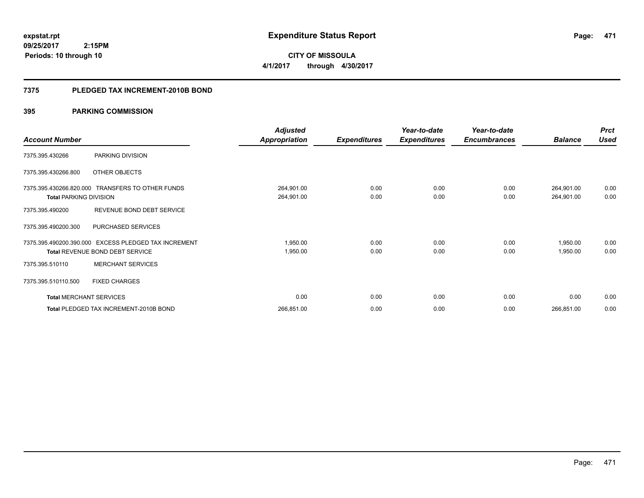**471**

**09/25/2017 2:15PM Periods: 10 through 10**

**CITY OF MISSOULA 4/1/2017 through 4/30/2017**

### **7375 PLEDGED TAX INCREMENT-2010B BOND**

|                                |                                                      | <b>Adjusted</b>      |                     | Year-to-date        | Year-to-date        |                | <b>Prct</b> |
|--------------------------------|------------------------------------------------------|----------------------|---------------------|---------------------|---------------------|----------------|-------------|
| <b>Account Number</b>          |                                                      | <b>Appropriation</b> | <b>Expenditures</b> | <b>Expenditures</b> | <b>Encumbrances</b> | <b>Balance</b> | <b>Used</b> |
| 7375.395.430266                | PARKING DIVISION                                     |                      |                     |                     |                     |                |             |
| 7375.395.430266.800            | OTHER OBJECTS                                        |                      |                     |                     |                     |                |             |
|                                | 7375.395.430266.820.000 TRANSFERS TO OTHER FUNDS     | 264,901.00           | 0.00                | 0.00                | 0.00                | 264,901.00     | 0.00        |
| <b>Total PARKING DIVISION</b>  |                                                      | 264,901.00           | 0.00                | 0.00                | 0.00                | 264,901.00     | 0.00        |
| 7375.395.490200                | REVENUE BOND DEBT SERVICE                            |                      |                     |                     |                     |                |             |
| 7375.395.490200.300            | PURCHASED SERVICES                                   |                      |                     |                     |                     |                |             |
|                                | 7375.395.490200.390.000 EXCESS PLEDGED TAX INCREMENT | 1,950.00             | 0.00                | 0.00                | 0.00                | 1,950.00       | 0.00        |
|                                | <b>Total REVENUE BOND DEBT SERVICE</b>               | 1,950.00             | 0.00                | 0.00                | 0.00                | 1,950.00       | 0.00        |
| 7375.395.510110                | <b>MERCHANT SERVICES</b>                             |                      |                     |                     |                     |                |             |
| 7375.395.510110.500            | <b>FIXED CHARGES</b>                                 |                      |                     |                     |                     |                |             |
| <b>Total MERCHANT SERVICES</b> |                                                      | 0.00                 | 0.00                | 0.00                | 0.00                | 0.00           | 0.00        |
|                                | Total PLEDGED TAX INCREMENT-2010B BOND               | 266,851.00           | 0.00                | 0.00                | 0.00                | 266,851.00     | 0.00        |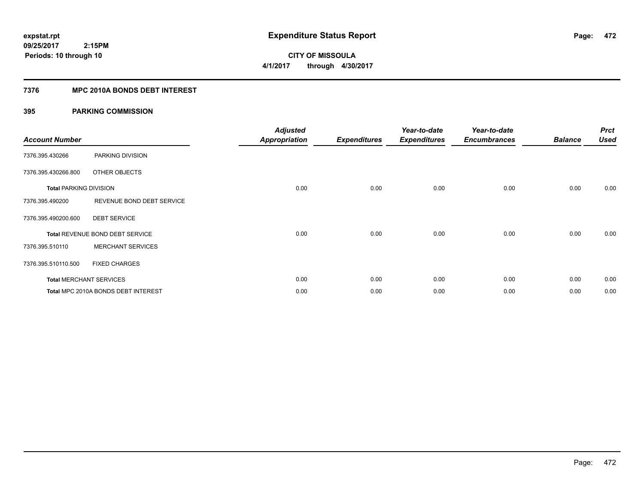**CITY OF MISSOULA 4/1/2017 through 4/30/2017**

## **7376 MPC 2010A BONDS DEBT INTEREST**

| <b>Account Number</b>         |                                     | <b>Adjusted</b><br><b>Appropriation</b> | <b>Expenditures</b> | Year-to-date<br><b>Expenditures</b> | Year-to-date<br><b>Encumbrances</b> | <b>Balance</b> | <b>Prct</b><br><b>Used</b> |
|-------------------------------|-------------------------------------|-----------------------------------------|---------------------|-------------------------------------|-------------------------------------|----------------|----------------------------|
| 7376.395.430266               | PARKING DIVISION                    |                                         |                     |                                     |                                     |                |                            |
| 7376.395.430266.800           | OTHER OBJECTS                       |                                         |                     |                                     |                                     |                |                            |
| <b>Total PARKING DIVISION</b> |                                     | 0.00                                    | 0.00                | 0.00                                | 0.00                                | 0.00           | 0.00                       |
| 7376.395.490200               | REVENUE BOND DEBT SERVICE           |                                         |                     |                                     |                                     |                |                            |
| 7376.395.490200.600           | <b>DEBT SERVICE</b>                 |                                         |                     |                                     |                                     |                |                            |
|                               | Total REVENUE BOND DEBT SERVICE     | 0.00                                    | 0.00                | 0.00                                | 0.00                                | 0.00           | 0.00                       |
| 7376.395.510110               | <b>MERCHANT SERVICES</b>            |                                         |                     |                                     |                                     |                |                            |
| 7376.395.510110.500           | <b>FIXED CHARGES</b>                |                                         |                     |                                     |                                     |                |                            |
|                               | <b>Total MERCHANT SERVICES</b>      | 0.00                                    | 0.00                | 0.00                                | 0.00                                | 0.00           | 0.00                       |
|                               | Total MPC 2010A BONDS DEBT INTEREST | 0.00                                    | 0.00                | 0.00                                | 0.00                                | 0.00           | 0.00                       |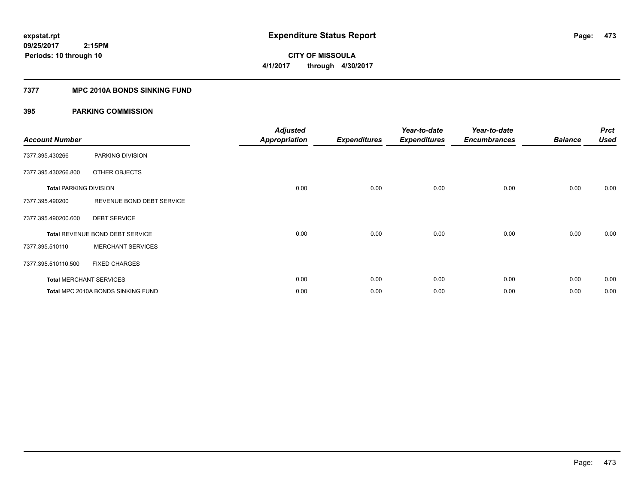**CITY OF MISSOULA 4/1/2017 through 4/30/2017**

### **7377 MPC 2010A BONDS SINKING FUND**

| <b>Account Number</b>         |                                        | <b>Adjusted</b><br><b>Appropriation</b> | <b>Expenditures</b> | Year-to-date<br><b>Expenditures</b> | Year-to-date<br><b>Encumbrances</b> | <b>Balance</b> | <b>Prct</b><br><b>Used</b> |
|-------------------------------|----------------------------------------|-----------------------------------------|---------------------|-------------------------------------|-------------------------------------|----------------|----------------------------|
| 7377.395.430266               | PARKING DIVISION                       |                                         |                     |                                     |                                     |                |                            |
| 7377.395.430266.800           | OTHER OBJECTS                          |                                         |                     |                                     |                                     |                |                            |
| <b>Total PARKING DIVISION</b> |                                        | 0.00                                    | 0.00                | 0.00                                | 0.00                                | 0.00           | 0.00                       |
| 7377.395.490200               | REVENUE BOND DEBT SERVICE              |                                         |                     |                                     |                                     |                |                            |
| 7377.395.490200.600           | <b>DEBT SERVICE</b>                    |                                         |                     |                                     |                                     |                |                            |
|                               | <b>Total REVENUE BOND DEBT SERVICE</b> | 0.00                                    | 0.00                | 0.00                                | 0.00                                | 0.00           | 0.00                       |
| 7377.395.510110               | <b>MERCHANT SERVICES</b>               |                                         |                     |                                     |                                     |                |                            |
| 7377.395.510110.500           | <b>FIXED CHARGES</b>                   |                                         |                     |                                     |                                     |                |                            |
|                               | <b>Total MERCHANT SERVICES</b>         | 0.00                                    | 0.00                | 0.00                                | 0.00                                | 0.00           | 0.00                       |
|                               | Total MPC 2010A BONDS SINKING FUND     | 0.00                                    | 0.00                | 0.00                                | 0.00                                | 0.00           | 0.00                       |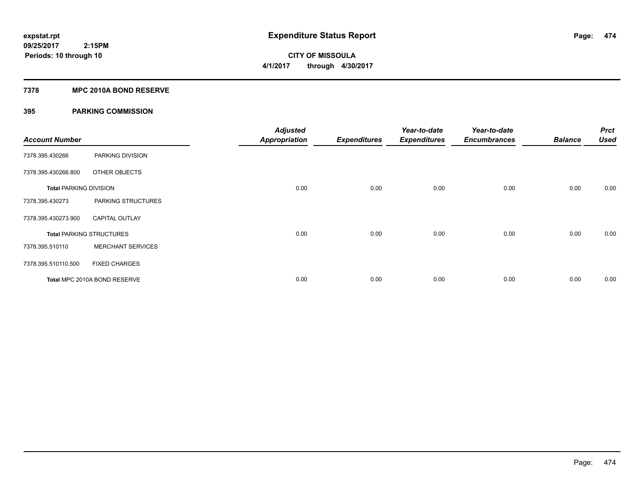**Periods: 10 through 10**

**CITY OF MISSOULA 4/1/2017 through 4/30/2017**

### **7378 MPC 2010A BOND RESERVE**

| <b>Account Number</b>         |                                 | <b>Adjusted</b><br><b>Appropriation</b> | <b>Expenditures</b> | Year-to-date<br><b>Expenditures</b> | Year-to-date<br><b>Encumbrances</b> | <b>Balance</b> | <b>Prct</b><br><b>Used</b> |
|-------------------------------|---------------------------------|-----------------------------------------|---------------------|-------------------------------------|-------------------------------------|----------------|----------------------------|
| 7378.395.430266               | PARKING DIVISION                |                                         |                     |                                     |                                     |                |                            |
| 7378.395.430266.800           | OTHER OBJECTS                   |                                         |                     |                                     |                                     |                |                            |
| <b>Total PARKING DIVISION</b> |                                 | 0.00                                    | 0.00                | 0.00                                | 0.00                                | 0.00           | 0.00                       |
| 7378.395.430273               | PARKING STRUCTURES              |                                         |                     |                                     |                                     |                |                            |
| 7378.395.430273.900           | <b>CAPITAL OUTLAY</b>           |                                         |                     |                                     |                                     |                |                            |
|                               | <b>Total PARKING STRUCTURES</b> | 0.00                                    | 0.00                | 0.00                                | 0.00                                | 0.00           | 0.00                       |
| 7378.395.510110               | <b>MERCHANT SERVICES</b>        |                                         |                     |                                     |                                     |                |                            |
| 7378.395.510110.500           | <b>FIXED CHARGES</b>            |                                         |                     |                                     |                                     |                |                            |
|                               | Total MPC 2010A BOND RESERVE    | 0.00                                    | 0.00                | 0.00                                | 0.00                                | 0.00           | 0.00                       |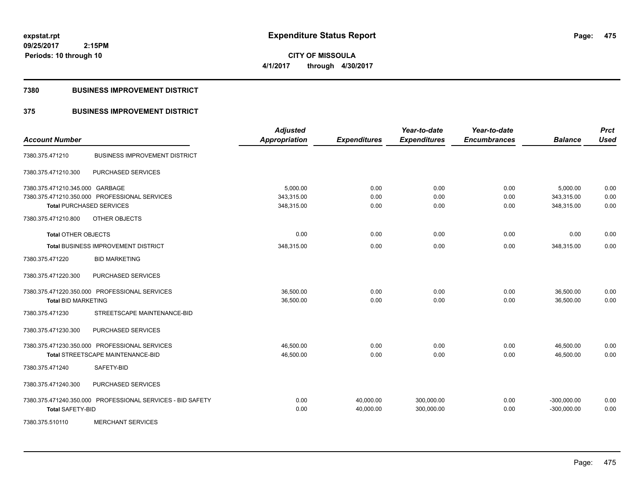**CITY OF MISSOULA 4/1/2017 through 4/30/2017**

### **7380 BUSINESS IMPROVEMENT DISTRICT**

## **375 BUSINESS IMPROVEMENT DISTRICT**

| <b>Account Number</b>           |                                                            | <b>Adjusted</b><br><b>Appropriation</b> | <b>Expenditures</b>    | Year-to-date<br><b>Expenditures</b> | Year-to-date<br><b>Encumbrances</b> | <b>Balance</b>                 | <b>Prct</b><br><b>Used</b> |
|---------------------------------|------------------------------------------------------------|-----------------------------------------|------------------------|-------------------------------------|-------------------------------------|--------------------------------|----------------------------|
| 7380.375.471210                 | <b>BUSINESS IMPROVEMENT DISTRICT</b>                       |                                         |                        |                                     |                                     |                                |                            |
| 7380.375.471210.300             | PURCHASED SERVICES                                         |                                         |                        |                                     |                                     |                                |                            |
| 7380.375.471210.345.000 GARBAGE |                                                            | 5,000.00                                | 0.00                   | 0.00                                | 0.00                                | 5,000.00                       | 0.00                       |
|                                 | 7380.375.471210.350.000 PROFESSIONAL SERVICES              | 343,315.00                              | 0.00                   | 0.00                                | 0.00                                | 343,315.00                     | 0.00                       |
| <b>Total PURCHASED SERVICES</b> |                                                            | 348,315.00                              | 0.00                   | 0.00                                | 0.00                                | 348,315.00                     | 0.00                       |
| 7380.375.471210.800             | OTHER OBJECTS                                              |                                         |                        |                                     |                                     |                                |                            |
| <b>Total OTHER OBJECTS</b>      |                                                            | 0.00                                    | 0.00                   | 0.00                                | 0.00                                | 0.00                           | 0.00                       |
|                                 | <b>Total BUSINESS IMPROVEMENT DISTRICT</b>                 | 348,315.00                              | 0.00                   | 0.00                                | 0.00                                | 348,315.00                     | 0.00                       |
| 7380.375.471220                 | <b>BID MARKETING</b>                                       |                                         |                        |                                     |                                     |                                |                            |
| 7380.375.471220.300             | PURCHASED SERVICES                                         |                                         |                        |                                     |                                     |                                |                            |
|                                 | 7380.375.471220.350.000 PROFESSIONAL SERVICES              | 36.500.00                               | 0.00                   | 0.00                                | 0.00                                | 36,500.00                      | 0.00                       |
| <b>Total BID MARKETING</b>      |                                                            | 36,500.00                               | 0.00                   | 0.00                                | 0.00                                | 36,500.00                      | 0.00                       |
| 7380.375.471230                 | STREETSCAPE MAINTENANCE-BID                                |                                         |                        |                                     |                                     |                                |                            |
| 7380.375.471230.300             | PURCHASED SERVICES                                         |                                         |                        |                                     |                                     |                                |                            |
|                                 | 7380.375.471230.350.000 PROFESSIONAL SERVICES              | 46,500.00                               | 0.00                   | 0.00                                | 0.00                                | 46,500.00                      | 0.00                       |
|                                 | Total STREETSCAPE MAINTENANCE-BID                          | 46,500.00                               | 0.00                   | 0.00                                | 0.00                                | 46,500.00                      | 0.00                       |
| 7380.375.471240                 | SAFETY-BID                                                 |                                         |                        |                                     |                                     |                                |                            |
| 7380.375.471240.300             | PURCHASED SERVICES                                         |                                         |                        |                                     |                                     |                                |                            |
| <b>Total SAFETY-BID</b>         | 7380.375.471240.350.000 PROFESSIONAL SERVICES - BID SAFETY | 0.00<br>0.00                            | 40,000.00<br>40,000.00 | 300,000.00<br>300,000.00            | 0.00<br>0.00                        | $-300,000.00$<br>$-300,000.00$ | 0.00<br>0.00               |
| 7380.375.510110                 | <b>MERCHANT SERVICES</b>                                   |                                         |                        |                                     |                                     |                                |                            |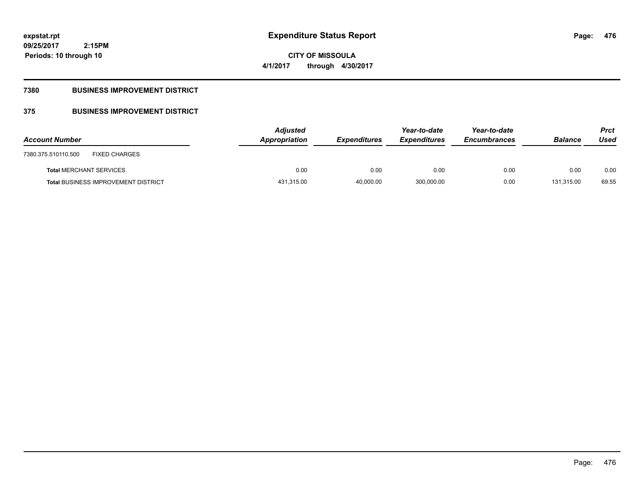**CITY OF MISSOULA 4/1/2017 through 4/30/2017**

## **7380 BUSINESS IMPROVEMENT DISTRICT**

## **375 BUSINESS IMPROVEMENT DISTRICT**

| <b>Account Number</b>                       | <b>Adjusted</b><br>Appropriation | <b>Expenditures</b> | Year-to-date<br><b>Expenditures</b> | Year-to-date<br><b>Encumbrances</b> | <b>Balance</b> | <b>Prct</b><br>Used |
|---------------------------------------------|----------------------------------|---------------------|-------------------------------------|-------------------------------------|----------------|---------------------|
| <b>FIXED CHARGES</b><br>7380.375.510110.500 |                                  |                     |                                     |                                     |                |                     |
| <b>Total MERCHANT SERVICES</b>              | 0.00                             | 0.00                | 0.00                                | 0.00                                | 0.00           | 0.00                |
| <b>Total BUSINESS IMPROVEMENT DISTRICT</b>  | 431,315.00                       | 40.000.00           | 300.000.00                          | 0.00                                | 131.315.00     | 69.55               |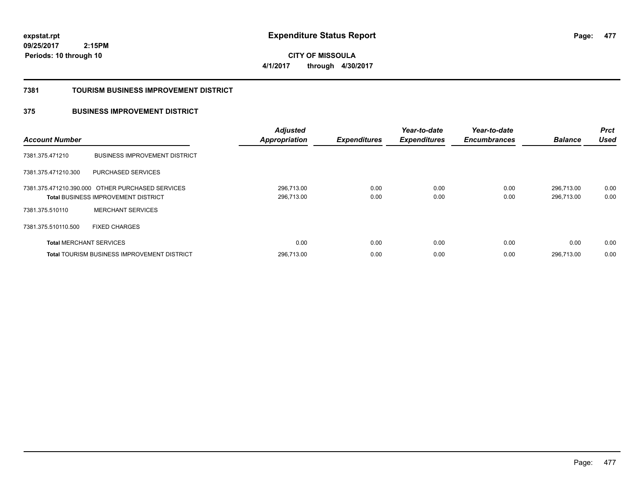**477**

**09/25/2017 2:15PM Periods: 10 through 10**

**CITY OF MISSOULA 4/1/2017 through 4/30/2017**

### **7381 TOURISM BUSINESS IMPROVEMENT DISTRICT**

## **375 BUSINESS IMPROVEMENT DISTRICT**

| <b>Account Number</b>          |                                                                                                | <b>Adjusted</b><br><b>Appropriation</b> | <b>Expenditures</b> | Year-to-date<br><b>Expenditures</b> | Year-to-date<br><b>Encumbrances</b> | <b>Balance</b>           | <b>Prct</b><br><b>Used</b> |
|--------------------------------|------------------------------------------------------------------------------------------------|-----------------------------------------|---------------------|-------------------------------------|-------------------------------------|--------------------------|----------------------------|
| 7381.375.471210                | <b>BUSINESS IMPROVEMENT DISTRICT</b>                                                           |                                         |                     |                                     |                                     |                          |                            |
| 7381.375.471210.300            | PURCHASED SERVICES                                                                             |                                         |                     |                                     |                                     |                          |                            |
|                                | 7381.375.471210.390.000 OTHER PURCHASED SERVICES<br><b>Total BUSINESS IMPROVEMENT DISTRICT</b> | 296,713.00<br>296.713.00                | 0.00<br>0.00        | 0.00<br>0.00                        | 0.00<br>0.00                        | 296.713.00<br>296.713.00 | 0.00<br>0.00               |
| 7381.375.510110                | <b>MERCHANT SERVICES</b>                                                                       |                                         |                     |                                     |                                     |                          |                            |
| 7381.375.510110.500            | <b>FIXED CHARGES</b>                                                                           |                                         |                     |                                     |                                     |                          |                            |
| <b>Total MERCHANT SERVICES</b> |                                                                                                | 0.00                                    | 0.00                | 0.00                                | 0.00                                | 0.00                     | 0.00                       |
|                                | <b>Total TOURISM BUSINESS IMPROVEMENT DISTRICT</b>                                             | 296.713.00                              | 0.00                | 0.00                                | 0.00                                | 296.713.00               | 0.00                       |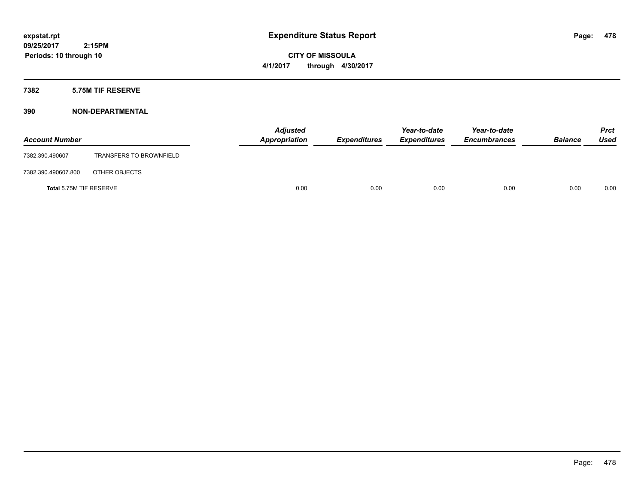**CITY OF MISSOULA 4/1/2017 through 4/30/2017**

### **7382 5.75M TIF RESERVE**

| <b>Account Number</b>   |                                | <b>Adjusted</b><br>Appropriation | <b>Expenditures</b> | Year-to-date<br><b>Expenditures</b> | Year-to-date<br><b>Encumbrances</b> | <b>Balance</b> | <b>Prct</b><br>Used |
|-------------------------|--------------------------------|----------------------------------|---------------------|-------------------------------------|-------------------------------------|----------------|---------------------|
| 7382.390.490607         | <b>TRANSFERS TO BROWNFIELD</b> |                                  |                     |                                     |                                     |                |                     |
| 7382.390.490607.800     | OTHER OBJECTS                  |                                  |                     |                                     |                                     |                |                     |
| Total 5.75M TIF RESERVE |                                | 0.00                             | 0.00                | 0.00                                | 0.00                                | 0.00           | 0.00                |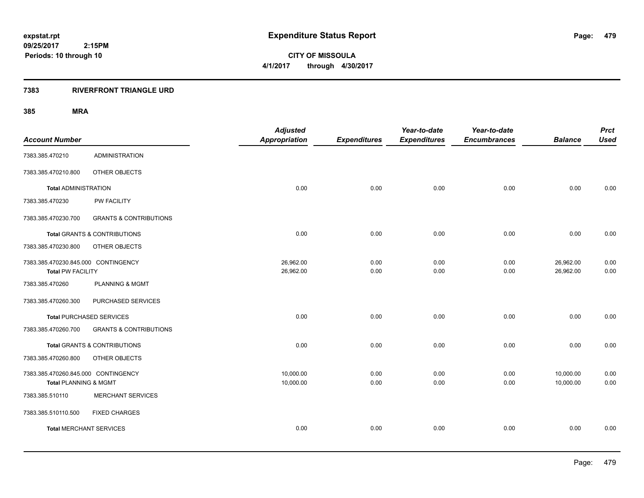**CITY OF MISSOULA 4/1/2017 through 4/30/2017**

### **7383 RIVERFRONT TRIANGLE URD**

| <b>Account Number</b>                                           |                                         | <b>Adjusted</b><br>Appropriation | <b>Expenditures</b> | Year-to-date<br><b>Expenditures</b> | Year-to-date<br><b>Encumbrances</b> | <b>Balance</b>         | <b>Prct</b><br><b>Used</b> |
|-----------------------------------------------------------------|-----------------------------------------|----------------------------------|---------------------|-------------------------------------|-------------------------------------|------------------------|----------------------------|
|                                                                 | <b>ADMINISTRATION</b>                   |                                  |                     |                                     |                                     |                        |                            |
| 7383.385.470210                                                 |                                         |                                  |                     |                                     |                                     |                        |                            |
| 7383.385.470210.800                                             | OTHER OBJECTS                           |                                  |                     |                                     |                                     |                        |                            |
| <b>Total ADMINISTRATION</b>                                     |                                         | 0.00                             | 0.00                | 0.00                                | 0.00                                | 0.00                   | 0.00                       |
| 7383.385.470230                                                 | PW FACILITY                             |                                  |                     |                                     |                                     |                        |                            |
| 7383.385.470230.700                                             | <b>GRANTS &amp; CONTRIBUTIONS</b>       |                                  |                     |                                     |                                     |                        |                            |
|                                                                 | Total GRANTS & CONTRIBUTIONS            | 0.00                             | 0.00                | 0.00                                | 0.00                                | 0.00                   | 0.00                       |
| 7383.385.470230.800                                             | OTHER OBJECTS                           |                                  |                     |                                     |                                     |                        |                            |
| 7383.385.470230.845.000 CONTINGENCY<br><b>Total PW FACILITY</b> |                                         | 26,962.00<br>26,962.00           | 0.00<br>0.00        | 0.00<br>0.00                        | 0.00<br>0.00                        | 26,962.00<br>26,962.00 | 0.00<br>0.00               |
| 7383.385.470260                                                 | <b>PLANNING &amp; MGMT</b>              |                                  |                     |                                     |                                     |                        |                            |
| 7383.385.470260.300                                             | PURCHASED SERVICES                      |                                  |                     |                                     |                                     |                        |                            |
|                                                                 | <b>Total PURCHASED SERVICES</b>         | 0.00                             | 0.00                | 0.00                                | 0.00                                | 0.00                   | 0.00                       |
| 7383.385.470260.700                                             | <b>GRANTS &amp; CONTRIBUTIONS</b>       |                                  |                     |                                     |                                     |                        |                            |
|                                                                 | <b>Total GRANTS &amp; CONTRIBUTIONS</b> | 0.00                             | 0.00                | 0.00                                | 0.00                                | 0.00                   | 0.00                       |
| 7383.385.470260.800                                             | OTHER OBJECTS                           |                                  |                     |                                     |                                     |                        |                            |
| 7383.385.470260.845.000 CONTINGENCY<br>Total PLANNING & MGMT    |                                         | 10.000.00<br>10,000.00           | 0.00<br>0.00        | 0.00<br>0.00                        | 0.00<br>0.00                        | 10,000.00<br>10,000.00 | 0.00<br>0.00               |
| 7383.385.510110                                                 | <b>MERCHANT SERVICES</b>                |                                  |                     |                                     |                                     |                        |                            |
|                                                                 |                                         |                                  |                     |                                     |                                     |                        |                            |
| 7383.385.510110.500                                             | <b>FIXED CHARGES</b>                    |                                  |                     |                                     |                                     |                        |                            |
| <b>Total MERCHANT SERVICES</b>                                  |                                         | 0.00                             | 0.00                | 0.00                                | 0.00                                | 0.00                   | 0.00                       |
|                                                                 |                                         |                                  |                     |                                     |                                     |                        |                            |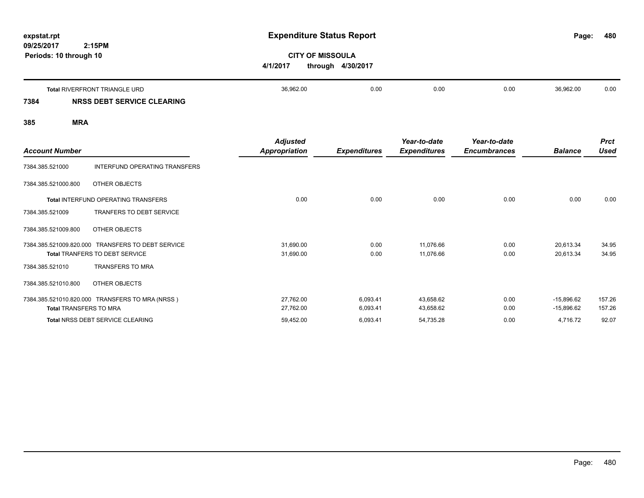| expstat.rpt<br>09/25/2017 | 2:15PM                                                             | <b>Expenditure Status Report</b>                         |      |      |      | Page:     | 480  |
|---------------------------|--------------------------------------------------------------------|----------------------------------------------------------|------|------|------|-----------|------|
|                           | Periods: 10 through 10                                             | <b>CITY OF MISSOULA</b><br>4/1/2017<br>through 4/30/2017 |      |      |      |           |      |
| 7384                      | <b>Total RIVERFRONT TRIANGLE URD</b><br>NRSS DEBT SERVICE CLEARING | 36,962.00                                                | 0.00 | 0.00 | 0.00 | 36,962.00 | 0.00 |
|                           |                                                                    |                                                          |      |      |      |           |      |

| <b>Account Number</b>         |                                                                                            | <b>Adjusted</b><br><b>Appropriation</b> | <b>Expenditures</b> | Year-to-date<br><b>Expenditures</b> | Year-to-date<br><b>Encumbrances</b> | <b>Balance</b>         | <b>Prct</b><br><b>Used</b> |
|-------------------------------|--------------------------------------------------------------------------------------------|-----------------------------------------|---------------------|-------------------------------------|-------------------------------------|------------------------|----------------------------|
| 7384.385.521000               | INTERFUND OPERATING TRANSFERS                                                              |                                         |                     |                                     |                                     |                        |                            |
| 7384.385.521000.800           | OTHER OBJECTS                                                                              |                                         |                     |                                     |                                     |                        |                            |
|                               | Total INTERFUND OPERATING TRANSFERS                                                        | 0.00                                    | 0.00                | 0.00                                | 0.00                                | 0.00                   | 0.00                       |
| 7384.385.521009               | <b>TRANFERS TO DEBT SERVICE</b>                                                            |                                         |                     |                                     |                                     |                        |                            |
| 7384.385.521009.800           | OTHER OBJECTS                                                                              |                                         |                     |                                     |                                     |                        |                            |
|                               | 7384.385.521009.820.000 TRANSFERS TO DEBT SERVICE<br><b>Total TRANFERS TO DEBT SERVICE</b> | 31,690.00<br>31,690.00                  | 0.00<br>0.00        | 11,076.66<br>11,076.66              | 0.00<br>0.00                        | 20,613.34<br>20,613.34 | 34.95<br>34.95             |
| 7384.385.521010               | <b>TRANSFERS TO MRA</b>                                                                    |                                         |                     |                                     |                                     |                        |                            |
| 7384.385.521010.800           | OTHER OBJECTS                                                                              |                                         |                     |                                     |                                     |                        |                            |
|                               | 7384.385.521010.820.000 TRANSFERS TO MRA (NRSS)                                            | 27,762.00                               | 6,093.41            | 43,658.62                           | 0.00                                | $-15,896.62$           | 157.26                     |
| <b>Total TRANSFERS TO MRA</b> |                                                                                            | 27,762.00                               | 6,093.41            | 43,658.62                           | 0.00                                | $-15,896.62$           | 157.26                     |
|                               | <b>Total NRSS DEBT SERVICE CLEARING</b>                                                    | 59,452.00                               | 6,093.41            | 54,735.28                           | 0.00                                | 4,716.72               | 92.07                      |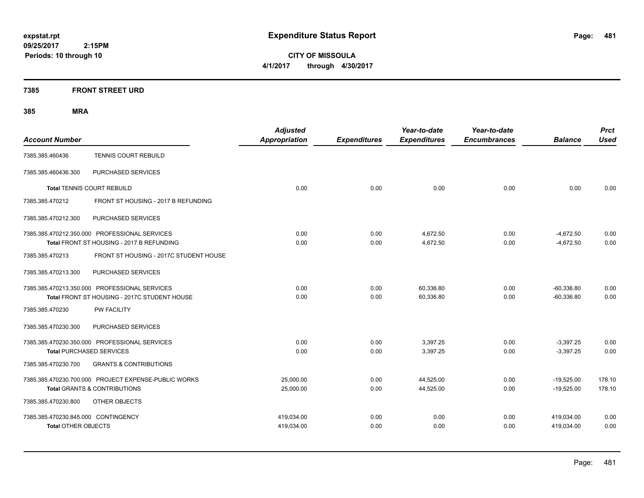**CITY OF MISSOULA 4/1/2017 through 4/30/2017**

## **7385 FRONT STREET URD**

| <b>Account Number</b>               |                                                      | <b>Adjusted</b><br>Appropriation | <b>Expenditures</b> | Year-to-date<br><b>Expenditures</b> | Year-to-date<br><b>Encumbrances</b> | <b>Balance</b> | <b>Prct</b><br><b>Used</b> |
|-------------------------------------|------------------------------------------------------|----------------------------------|---------------------|-------------------------------------|-------------------------------------|----------------|----------------------------|
| 7385.385.460436                     | <b>TENNIS COURT REBUILD</b>                          |                                  |                     |                                     |                                     |                |                            |
| 7385.385.460436.300                 | PURCHASED SERVICES                                   |                                  |                     |                                     |                                     |                |                            |
|                                     | <b>Total TENNIS COURT REBUILD</b>                    | 0.00                             | 0.00                | 0.00                                | 0.00                                | 0.00           | 0.00                       |
| 7385.385.470212                     | FRONT ST HOUSING - 2017 B REFUNDING                  |                                  |                     |                                     |                                     |                |                            |
| 7385.385.470212.300                 | PURCHASED SERVICES                                   |                                  |                     |                                     |                                     |                |                            |
|                                     | 7385.385.470212.350.000 PROFESSIONAL SERVICES        | 0.00                             | 0.00                | 4,672.50                            | 0.00                                | $-4,672.50$    | 0.00                       |
|                                     | Total FRONT ST HOUSING - 2017 B REFUNDING            | 0.00                             | 0.00                | 4,672.50                            | 0.00                                | $-4,672.50$    | 0.00                       |
| 7385.385.470213                     | FRONT ST HOUSING - 2017C STUDENT HOUSE               |                                  |                     |                                     |                                     |                |                            |
| 7385.385.470213.300                 | PURCHASED SERVICES                                   |                                  |                     |                                     |                                     |                |                            |
|                                     | 7385.385.470213.350.000 PROFESSIONAL SERVICES        | 0.00                             | 0.00                | 60,336.80                           | 0.00                                | $-60,336.80$   | 0.00                       |
|                                     | Total FRONT ST HOUSING - 2017C STUDENT HOUSE         | 0.00                             | 0.00                | 60,336.80                           | 0.00                                | $-60,336.80$   | 0.00                       |
| 7385.385.470230                     | <b>PW FACILITY</b>                                   |                                  |                     |                                     |                                     |                |                            |
| 7385.385.470230.300                 | PURCHASED SERVICES                                   |                                  |                     |                                     |                                     |                |                            |
|                                     | 7385.385.470230.350.000 PROFESSIONAL SERVICES        | 0.00                             | 0.00                | 3,397.25                            | 0.00                                | $-3,397.25$    | 0.00                       |
| <b>Total PURCHASED SERVICES</b>     |                                                      | 0.00                             | 0.00                | 3,397.25                            | 0.00                                | $-3,397.25$    | 0.00                       |
| 7385.385.470230.700                 | <b>GRANTS &amp; CONTRIBUTIONS</b>                    |                                  |                     |                                     |                                     |                |                            |
|                                     | 7385.385.470230.700.000 PROJECT EXPENSE-PUBLIC WORKS | 25,000.00                        | 0.00                | 44,525.00                           | 0.00                                | $-19,525.00$   | 178.10                     |
|                                     | <b>Total GRANTS &amp; CONTRIBUTIONS</b>              | 25,000.00                        | 0.00                | 44,525.00                           | 0.00                                | $-19,525.00$   | 178.10                     |
| 7385.385.470230.800                 | OTHER OBJECTS                                        |                                  |                     |                                     |                                     |                |                            |
| 7385.385.470230.845.000 CONTINGENCY |                                                      | 419,034.00                       | 0.00                | 0.00                                | 0.00                                | 419,034.00     | 0.00                       |
| <b>Total OTHER OBJECTS</b>          |                                                      | 419,034.00                       | 0.00                | 0.00                                | 0.00                                | 419,034.00     | 0.00                       |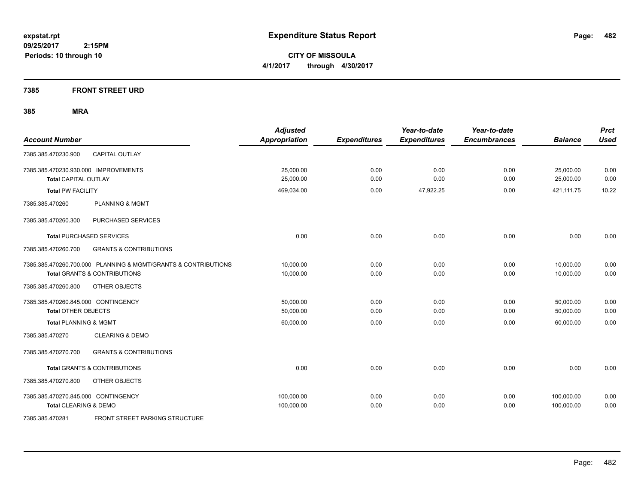**CITY OF MISSOULA 4/1/2017 through 4/30/2017**

**7385 FRONT STREET URD**

| <b>Account Number</b>                                                                                     | <b>Adjusted</b><br><b>Appropriation</b> | <b>Expenditures</b> | Year-to-date<br><b>Expenditures</b> | Year-to-date<br><b>Encumbrances</b> | <b>Balance</b>           | <b>Prct</b><br><b>Used</b> |
|-----------------------------------------------------------------------------------------------------------|-----------------------------------------|---------------------|-------------------------------------|-------------------------------------|--------------------------|----------------------------|
| <b>CAPITAL OUTLAY</b><br>7385.385.470230.900                                                              |                                         |                     |                                     |                                     |                          |                            |
| 7385.385.470230.930.000 IMPROVEMENTS<br><b>Total CAPITAL OUTLAY</b>                                       | 25,000.00<br>25,000.00                  | 0.00<br>0.00        | 0.00<br>0.00                        | 0.00<br>0.00                        | 25,000.00<br>25,000.00   | 0.00<br>0.00               |
| <b>Total PW FACILITY</b>                                                                                  | 469,034.00                              | 0.00                | 47,922.25                           | 0.00                                | 421,111.75               | 10.22                      |
| 7385.385.470260<br><b>PLANNING &amp; MGMT</b>                                                             |                                         |                     |                                     |                                     |                          |                            |
| 7385.385.470260.300<br>PURCHASED SERVICES                                                                 |                                         |                     |                                     |                                     |                          |                            |
| <b>Total PURCHASED SERVICES</b>                                                                           | 0.00                                    | 0.00                | 0.00                                | 0.00                                | 0.00                     | 0.00                       |
| 7385.385.470260.700<br><b>GRANTS &amp; CONTRIBUTIONS</b>                                                  |                                         |                     |                                     |                                     |                          |                            |
| 7385.385.470260.700.000 PLANNING & MGMT/GRANTS & CONTRIBUTIONS<br><b>Total GRANTS &amp; CONTRIBUTIONS</b> | 10,000.00<br>10,000.00                  | 0.00<br>0.00        | 0.00<br>0.00                        | 0.00<br>0.00                        | 10,000.00<br>10.000.00   | 0.00<br>0.00               |
| 7385.385.470260.800<br>OTHER OBJECTS                                                                      |                                         |                     |                                     |                                     |                          |                            |
| 7385.385.470260.845.000 CONTINGENCY<br><b>Total OTHER OBJECTS</b>                                         | 50,000.00<br>50,000.00                  | 0.00<br>0.00        | 0.00<br>0.00                        | 0.00<br>0.00                        | 50,000.00<br>50,000.00   | 0.00<br>0.00               |
| <b>Total PLANNING &amp; MGMT</b>                                                                          | 60,000.00                               | 0.00                | 0.00                                | 0.00                                | 60.000.00                | 0.00                       |
| <b>CLEARING &amp; DEMO</b><br>7385.385.470270                                                             |                                         |                     |                                     |                                     |                          |                            |
| <b>GRANTS &amp; CONTRIBUTIONS</b><br>7385.385.470270.700                                                  |                                         |                     |                                     |                                     |                          |                            |
| <b>Total GRANTS &amp; CONTRIBUTIONS</b>                                                                   | 0.00                                    | 0.00                | 0.00                                | 0.00                                | 0.00                     | 0.00                       |
| 7385.385.470270.800<br>OTHER OBJECTS                                                                      |                                         |                     |                                     |                                     |                          |                            |
| 7385.385.470270.845.000 CONTINGENCY<br>Total CLEARING & DEMO                                              | 100,000.00<br>100,000.00                | 0.00<br>0.00        | 0.00<br>0.00                        | 0.00<br>0.00                        | 100,000.00<br>100,000.00 | 0.00<br>0.00               |
| 7385.385.470281<br><b>FRONT STREET PARKING STRUCTURE</b>                                                  |                                         |                     |                                     |                                     |                          |                            |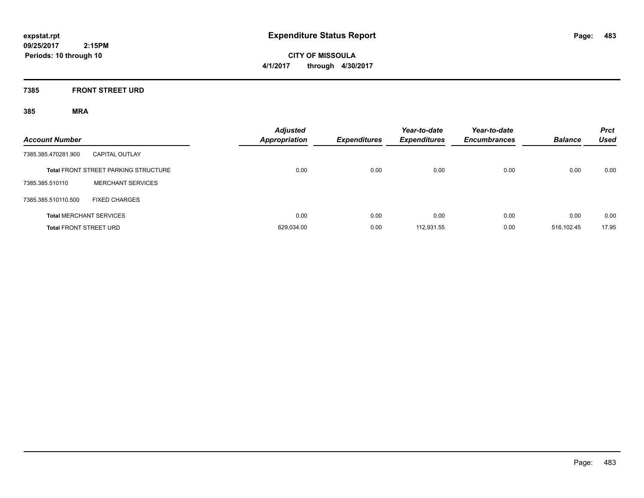**CITY OF MISSOULA 4/1/2017 through 4/30/2017**

## **7385 FRONT STREET URD**

| <b>Account Number</b>         |                                             | <b>Adjusted</b><br><b>Appropriation</b> | <b>Expenditures</b> | Year-to-date<br><b>Expenditures</b> | Year-to-date<br><b>Encumbrances</b> | <b>Balance</b> | <b>Prct</b><br><b>Used</b> |
|-------------------------------|---------------------------------------------|-----------------------------------------|---------------------|-------------------------------------|-------------------------------------|----------------|----------------------------|
| 7385.385.470281.900           | <b>CAPITAL OUTLAY</b>                       |                                         |                     |                                     |                                     |                |                            |
|                               | <b>Total FRONT STREET PARKING STRUCTURE</b> | 0.00                                    | 0.00                | 0.00                                | 0.00                                | 0.00           | 0.00                       |
| 7385.385.510110               | <b>MERCHANT SERVICES</b>                    |                                         |                     |                                     |                                     |                |                            |
| 7385.385.510110.500           | <b>FIXED CHARGES</b>                        |                                         |                     |                                     |                                     |                |                            |
|                               | <b>Total MERCHANT SERVICES</b>              | 0.00                                    | 0.00                | 0.00                                | 0.00                                | 0.00           | 0.00                       |
| <b>Total FRONT STREET URD</b> |                                             | 629.034.00                              | 0.00                | 112,931.55                          | 0.00                                | 516.102.45     | 17.95                      |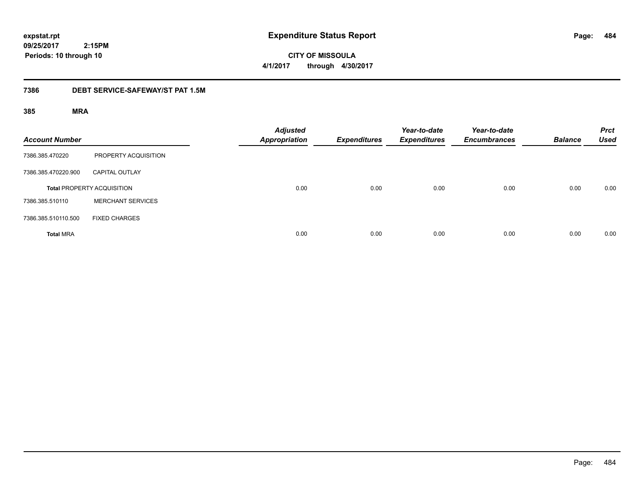**484**

**09/25/2017 2:15PM Periods: 10 through 10**

**CITY OF MISSOULA 4/1/2017 through 4/30/2017**

### **7386 DEBT SERVICE-SAFEWAY/ST PAT 1.5M**

| <b>Account Number</b> |                                   | <b>Adjusted</b><br><b>Appropriation</b> | <b>Expenditures</b> | Year-to-date<br><b>Expenditures</b> | Year-to-date<br><b>Encumbrances</b> | <b>Balance</b> | <b>Prct</b><br><b>Used</b> |
|-----------------------|-----------------------------------|-----------------------------------------|---------------------|-------------------------------------|-------------------------------------|----------------|----------------------------|
| 7386.385.470220       | PROPERTY ACQUISITION              |                                         |                     |                                     |                                     |                |                            |
| 7386.385.470220.900   | <b>CAPITAL OUTLAY</b>             |                                         |                     |                                     |                                     |                |                            |
|                       | <b>Total PROPERTY ACQUISITION</b> | 0.00                                    | 0.00                | 0.00                                | 0.00                                | 0.00           | 0.00                       |
| 7386.385.510110       | <b>MERCHANT SERVICES</b>          |                                         |                     |                                     |                                     |                |                            |
| 7386.385.510110.500   | <b>FIXED CHARGES</b>              |                                         |                     |                                     |                                     |                |                            |
| <b>Total MRA</b>      |                                   | 0.00                                    | 0.00                | 0.00                                | 0.00                                | 0.00           | 0.00                       |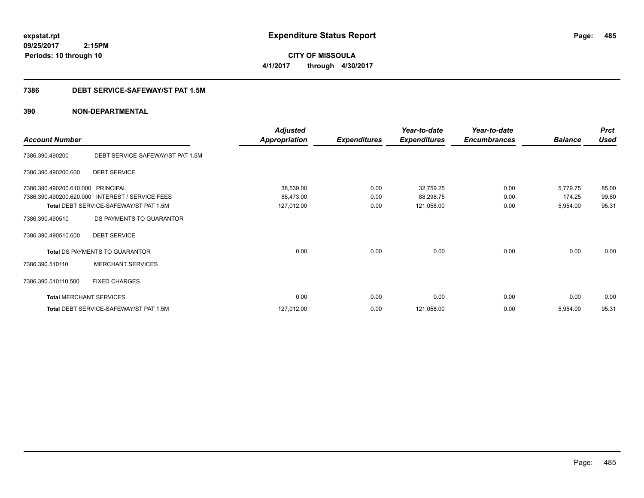**CITY OF MISSOULA 4/1/2017 through 4/30/2017**

### **7386 DEBT SERVICE-SAFEWAY/ST PAT 1.5M**

|                                |                                        | <b>Adjusted</b>      |                     | Year-to-date        | Year-to-date        |                | <b>Prct</b> |
|--------------------------------|----------------------------------------|----------------------|---------------------|---------------------|---------------------|----------------|-------------|
| <b>Account Number</b>          |                                        | <b>Appropriation</b> | <b>Expenditures</b> | <b>Expenditures</b> | <b>Encumbrances</b> | <b>Balance</b> | <b>Used</b> |
| 7386.390.490200                | DEBT SERVICE-SAFEWAY/ST PAT 1.5M       |                      |                     |                     |                     |                |             |
| 7386.390.490200.600            | <b>DEBT SERVICE</b>                    |                      |                     |                     |                     |                |             |
| 7386.390.490200.610.000        | <b>PRINCIPAL</b>                       | 38,539.00            | 0.00                | 32,759.25           | 0.00                | 5,779.75       | 85.00       |
| 7386.390.490200.620.000        | <b>INTEREST / SERVICE FEES</b>         | 88,473.00            | 0.00                | 88,298.75           | 0.00                | 174.25         | 99.80       |
|                                | Total DEBT SERVICE-SAFEWAY/ST PAT 1.5M | 127,012.00           | 0.00                | 121,058.00          | 0.00                | 5,954.00       | 95.31       |
| 7386.390.490510                | DS PAYMENTS TO GUARANTOR               |                      |                     |                     |                     |                |             |
| 7386.390.490510.600            | <b>DEBT SERVICE</b>                    |                      |                     |                     |                     |                |             |
|                                | Total DS PAYMENTS TO GUARANTOR         | 0.00                 | 0.00                | 0.00                | 0.00                | 0.00           | 0.00        |
| 7386.390.510110                | <b>MERCHANT SERVICES</b>               |                      |                     |                     |                     |                |             |
| 7386.390.510110.500            | <b>FIXED CHARGES</b>                   |                      |                     |                     |                     |                |             |
| <b>Total MERCHANT SERVICES</b> |                                        | 0.00                 | 0.00                | 0.00                | 0.00                | 0.00           | 0.00        |
|                                | Total DEBT SERVICE-SAFEWAY/ST PAT 1.5M | 127,012.00           | 0.00                | 121,058.00          | 0.00                | 5,954.00       | 95.31       |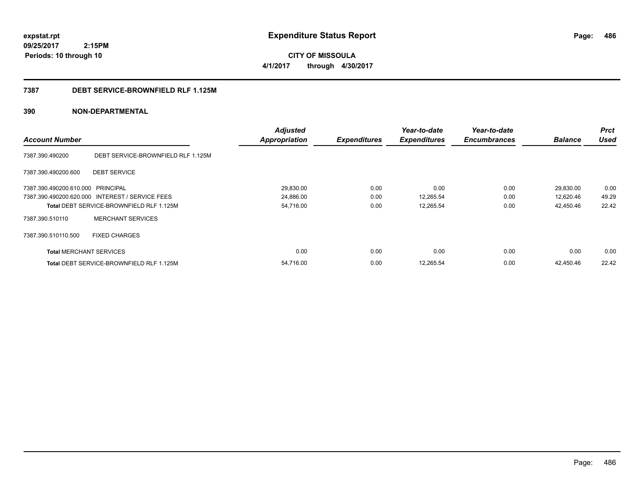**CITY OF MISSOULA 4/1/2017 through 4/30/2017**

### **7387 DEBT SERVICE-BROWNFIELD RLF 1.125M**

|                                   |                                                 | <b>Adjusted</b>      |                     | Year-to-date        | Year-to-date        |                | <b>Prct</b> |
|-----------------------------------|-------------------------------------------------|----------------------|---------------------|---------------------|---------------------|----------------|-------------|
| <b>Account Number</b>             |                                                 | <b>Appropriation</b> | <b>Expenditures</b> | <b>Expenditures</b> | <b>Encumbrances</b> | <b>Balance</b> | <b>Used</b> |
| 7387.390.490200                   | DEBT SERVICE-BROWNFIELD RLF 1.125M              |                      |                     |                     |                     |                |             |
| 7387.390.490200.600               | <b>DEBT SERVICE</b>                             |                      |                     |                     |                     |                |             |
| 7387.390.490200.610.000 PRINCIPAL |                                                 | 29,830.00            | 0.00                | 0.00                | 0.00                | 29,830.00      | 0.00        |
|                                   | 7387.390.490200.620.000 INTEREST / SERVICE FEES | 24,886.00            | 0.00                | 12,265.54           | 0.00                | 12,620.46      | 49.29       |
|                                   | <b>Total DEBT SERVICE-BROWNFIELD RLF 1.125M</b> | 54,716.00            | 0.00                | 12,265.54           | 0.00                | 42,450.46      | 22.42       |
| 7387.390.510110                   | <b>MERCHANT SERVICES</b>                        |                      |                     |                     |                     |                |             |
| 7387.390.510110.500               | <b>FIXED CHARGES</b>                            |                      |                     |                     |                     |                |             |
| <b>Total MERCHANT SERVICES</b>    |                                                 | 0.00                 | 0.00                | 0.00                | 0.00                | 0.00           | 0.00        |
|                                   | <b>Total DEBT SERVICE-BROWNFIELD RLF 1.125M</b> | 54.716.00            | 0.00                | 12.265.54           | 0.00                | 42.450.46      | 22.42       |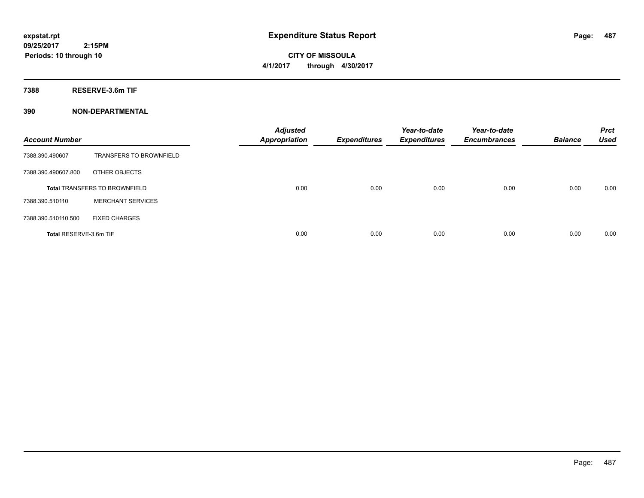**CITY OF MISSOULA 4/1/2017 through 4/30/2017**

**7388 RESERVE-3.6m TIF**

| <b>Account Number</b>  |                                      | <b>Adjusted</b><br><b>Appropriation</b> | <b>Expenditures</b> | Year-to-date<br><b>Expenditures</b> | Year-to-date<br><b>Encumbrances</b> | <b>Balance</b> | <b>Prct</b><br><b>Used</b> |
|------------------------|--------------------------------------|-----------------------------------------|---------------------|-------------------------------------|-------------------------------------|----------------|----------------------------|
| 7388.390.490607        | <b>TRANSFERS TO BROWNFIELD</b>       |                                         |                     |                                     |                                     |                |                            |
| 7388.390.490607.800    | OTHER OBJECTS                        |                                         |                     |                                     |                                     |                |                            |
|                        | <b>Total TRANSFERS TO BROWNFIELD</b> | 0.00                                    | 0.00                | 0.00                                | 0.00                                | 0.00           | 0.00                       |
| 7388.390.510110        | <b>MERCHANT SERVICES</b>             |                                         |                     |                                     |                                     |                |                            |
| 7388.390.510110.500    | <b>FIXED CHARGES</b>                 |                                         |                     |                                     |                                     |                |                            |
| Total RESERVE-3.6m TIF |                                      | 0.00                                    | 0.00                | 0.00                                | 0.00                                | 0.00           | 0.00                       |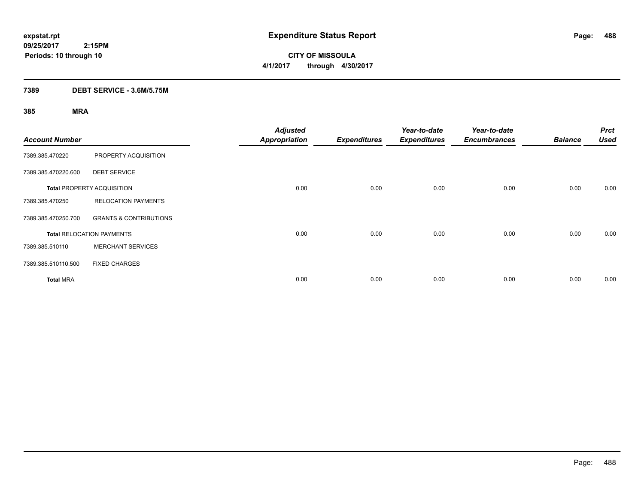**CITY OF MISSOULA 4/1/2017 through 4/30/2017**

## **7389 DEBT SERVICE - 3.6M/5.75M**

| <b>Account Number</b> |                                   | <b>Adjusted</b><br><b>Appropriation</b> | <b>Expenditures</b> | Year-to-date<br><b>Expenditures</b> | Year-to-date<br><b>Encumbrances</b> | <b>Balance</b> | <b>Prct</b><br><b>Used</b> |
|-----------------------|-----------------------------------|-----------------------------------------|---------------------|-------------------------------------|-------------------------------------|----------------|----------------------------|
| 7389.385.470220       | PROPERTY ACQUISITION              |                                         |                     |                                     |                                     |                |                            |
| 7389.385.470220.600   | <b>DEBT SERVICE</b>               |                                         |                     |                                     |                                     |                |                            |
|                       | <b>Total PROPERTY ACQUISITION</b> | 0.00                                    | 0.00                | 0.00                                | 0.00                                | 0.00           | 0.00                       |
| 7389.385.470250       | <b>RELOCATION PAYMENTS</b>        |                                         |                     |                                     |                                     |                |                            |
| 7389.385.470250.700   | <b>GRANTS &amp; CONTRIBUTIONS</b> |                                         |                     |                                     |                                     |                |                            |
|                       | <b>Total RELOCATION PAYMENTS</b>  | 0.00                                    | 0.00                | 0.00                                | 0.00                                | 0.00           | 0.00                       |
| 7389.385.510110       | <b>MERCHANT SERVICES</b>          |                                         |                     |                                     |                                     |                |                            |
| 7389.385.510110.500   | <b>FIXED CHARGES</b>              |                                         |                     |                                     |                                     |                |                            |
| <b>Total MRA</b>      |                                   | 0.00                                    | 0.00                | 0.00                                | 0.00                                | 0.00           | 0.00                       |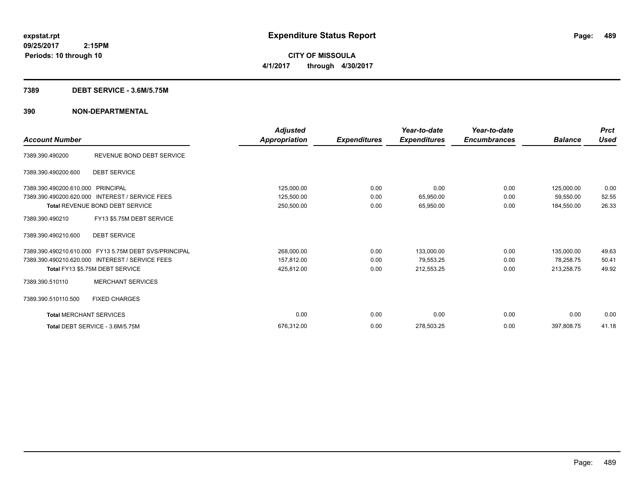**CITY OF MISSOULA 4/1/2017 through 4/30/2017**

### **7389 DEBT SERVICE - 3.6M/5.75M**

| <b>Account Number</b>          |                                                       | <b>Adjusted</b><br>Appropriation | <b>Expenditures</b> | Year-to-date<br><b>Expenditures</b> | Year-to-date<br><b>Encumbrances</b> | <b>Balance</b> | <b>Prct</b><br><b>Used</b> |
|--------------------------------|-------------------------------------------------------|----------------------------------|---------------------|-------------------------------------|-------------------------------------|----------------|----------------------------|
| 7389.390.490200                | REVENUE BOND DEBT SERVICE                             |                                  |                     |                                     |                                     |                |                            |
| 7389.390.490200.600            | <b>DEBT SERVICE</b>                                   |                                  |                     |                                     |                                     |                |                            |
| 7389.390.490200.610.000        | PRINCIPAL                                             | 125,000.00                       | 0.00                | 0.00                                | 0.00                                | 125,000.00     | 0.00                       |
| 7389.390.490200.620.000        | <b>INTEREST / SERVICE FEES</b>                        | 125,500.00                       | 0.00                | 65,950.00                           | 0.00                                | 59,550.00      | 52.55                      |
|                                | Total REVENUE BOND DEBT SERVICE                       | 250,500.00                       | 0.00                | 65,950.00                           | 0.00                                | 184,550.00     | 26.33                      |
| 7389.390.490210                | FY13 \$5.75M DEBT SERVICE                             |                                  |                     |                                     |                                     |                |                            |
| 7389.390.490210.600            | <b>DEBT SERVICE</b>                                   |                                  |                     |                                     |                                     |                |                            |
|                                | 7389.390.490210.610.000 FY13 5.75M DEBT SVS/PRINCIPAL | 268,000.00                       | 0.00                | 133,000.00                          | 0.00                                | 135,000.00     | 49.63                      |
|                                | 7389.390.490210.620.000 INTEREST / SERVICE FEES       | 157,812.00                       | 0.00                | 79,553.25                           | 0.00                                | 78,258.75      | 50.41                      |
|                                | Total FY13 \$5.75M DEBT SERVICE                       | 425,812.00                       | 0.00                | 212,553.25                          | 0.00                                | 213,258.75     | 49.92                      |
| 7389.390.510110                | <b>MERCHANT SERVICES</b>                              |                                  |                     |                                     |                                     |                |                            |
| 7389.390.510110.500            | <b>FIXED CHARGES</b>                                  |                                  |                     |                                     |                                     |                |                            |
| <b>Total MERCHANT SERVICES</b> |                                                       | 0.00                             | 0.00                | 0.00                                | 0.00                                | 0.00           | 0.00                       |
|                                | Total DEBT SERVICE - 3.6M/5.75M                       | 676,312.00                       | 0.00                | 278,503.25                          | 0.00                                | 397,808.75     | 41.18                      |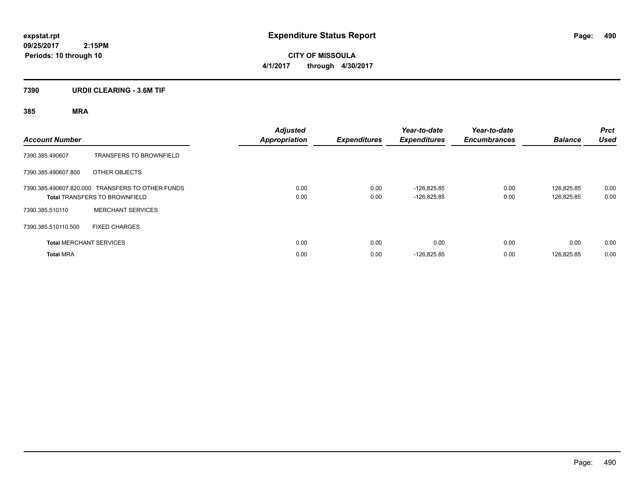**CITY OF MISSOULA 4/1/2017 through 4/30/2017**

## **7390 URDII CLEARING - 3.6M TIF**

| <b>Account Number</b> |                                                                                          | <b>Adjusted</b><br><b>Appropriation</b> | <b>Expenditures</b> | Year-to-date<br><b>Expenditures</b> | Year-to-date<br><b>Encumbrances</b> | <b>Balance</b>           | <b>Prct</b><br><b>Used</b> |
|-----------------------|------------------------------------------------------------------------------------------|-----------------------------------------|---------------------|-------------------------------------|-------------------------------------|--------------------------|----------------------------|
| 7390.385.490607       | <b>TRANSFERS TO BROWNFIELD</b>                                                           |                                         |                     |                                     |                                     |                          |                            |
| 7390.385.490607.800   | OTHER OBJECTS                                                                            |                                         |                     |                                     |                                     |                          |                            |
|                       | 7390.385.490607.820.000 TRANSFERS TO OTHER FUNDS<br><b>Total TRANSFERS TO BROWNFIELD</b> | 0.00<br>0.00                            | 0.00<br>0.00        | $-126.825.85$<br>$-126,825.85$      | 0.00<br>0.00                        | 126.825.85<br>126,825.85 | 0.00<br>0.00               |
| 7390.385.510110       | <b>MERCHANT SERVICES</b>                                                                 |                                         |                     |                                     |                                     |                          |                            |
| 7390.385.510110.500   | <b>FIXED CHARGES</b>                                                                     |                                         |                     |                                     |                                     |                          |                            |
|                       | <b>Total MERCHANT SERVICES</b>                                                           | 0.00                                    | 0.00                | 0.00                                | 0.00                                | 0.00                     | 0.00                       |
| <b>Total MRA</b>      |                                                                                          | 0.00                                    | 0.00                | $-126,825.85$                       | 0.00                                | 126,825.85               | 0.00                       |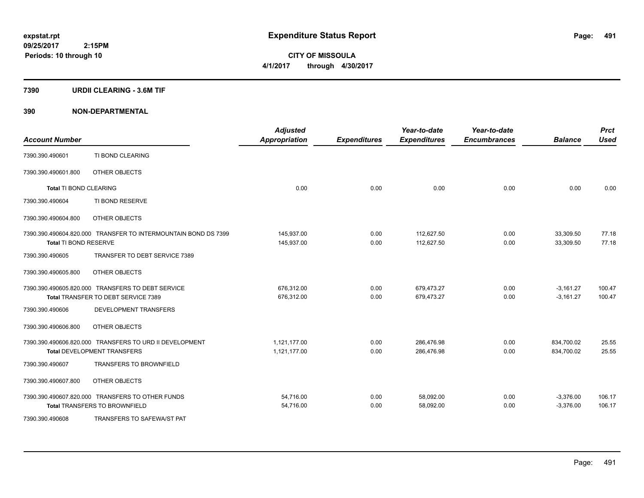**CITY OF MISSOULA 4/1/2017 through 4/30/2017**

### **7390 URDII CLEARING - 3.6M TIF**

| <b>Account Number</b>         |                                                                | <b>Adjusted</b><br><b>Appropriation</b> | <b>Expenditures</b> | Year-to-date<br><b>Expenditures</b> | Year-to-date<br><b>Encumbrances</b> | <b>Balance</b> | <b>Prct</b><br><b>Used</b> |
|-------------------------------|----------------------------------------------------------------|-----------------------------------------|---------------------|-------------------------------------|-------------------------------------|----------------|----------------------------|
| 7390.390.490601               | TI BOND CLEARING                                               |                                         |                     |                                     |                                     |                |                            |
| 7390.390.490601.800           | OTHER OBJECTS                                                  |                                         |                     |                                     |                                     |                |                            |
| <b>Total TI BOND CLEARING</b> |                                                                | 0.00                                    | 0.00                | 0.00                                | 0.00                                | 0.00           | 0.00                       |
| 7390.390.490604               | TI BOND RESERVE                                                |                                         |                     |                                     |                                     |                |                            |
| 7390.390.490604.800           | OTHER OBJECTS                                                  |                                         |                     |                                     |                                     |                |                            |
|                               | 7390.390.490604.820.000 TRANSFER TO INTERMOUNTAIN BOND DS 7399 | 145,937.00                              | 0.00                | 112.627.50                          | 0.00                                | 33,309.50      | 77.18                      |
| Total TI BOND RESERVE         |                                                                | 145,937.00                              | 0.00                | 112,627.50                          | 0.00                                | 33,309.50      | 77.18                      |
| 7390.390.490605               | TRANSFER TO DEBT SERVICE 7389                                  |                                         |                     |                                     |                                     |                |                            |
| 7390.390.490605.800           | OTHER OBJECTS                                                  |                                         |                     |                                     |                                     |                |                            |
|                               | 7390.390.490605.820.000 TRANSFERS TO DEBT SERVICE              | 676,312.00                              | 0.00                | 679,473.27                          | 0.00                                | $-3,161.27$    | 100.47                     |
|                               | Total TRANSFER TO DEBT SERVICE 7389                            | 676,312.00                              | 0.00                | 679,473.27                          | 0.00                                | $-3,161.27$    | 100.47                     |
| 7390.390.490606               | DEVELOPMENT TRANSFERS                                          |                                         |                     |                                     |                                     |                |                            |
| 7390.390.490606.800           | OTHER OBJECTS                                                  |                                         |                     |                                     |                                     |                |                            |
|                               | 7390.390.490606.820.000 TRANSFERS TO URD II DEVELOPMENT        | 1,121,177.00                            | 0.00                | 286,476.98                          | 0.00                                | 834,700.02     | 25.55                      |
|                               | <b>Total DEVELOPMENT TRANSFERS</b>                             | 1,121,177.00                            | 0.00                | 286,476.98                          | 0.00                                | 834,700.02     | 25.55                      |
| 7390.390.490607               | <b>TRANSFERS TO BROWNFIELD</b>                                 |                                         |                     |                                     |                                     |                |                            |
| 7390.390.490607.800           | OTHER OBJECTS                                                  |                                         |                     |                                     |                                     |                |                            |
|                               | 7390.390.490607.820.000 TRANSFERS TO OTHER FUNDS               | 54,716.00                               | 0.00                | 58,092.00                           | 0.00                                | $-3,376.00$    | 106.17                     |
|                               | <b>Total TRANSFERS TO BROWNFIELD</b>                           | 54,716.00                               | 0.00                | 58,092.00                           | 0.00                                | $-3,376.00$    | 106.17                     |
| 7390.390.490608               | TRANSFERS TO SAFEWA/ST PAT                                     |                                         |                     |                                     |                                     |                |                            |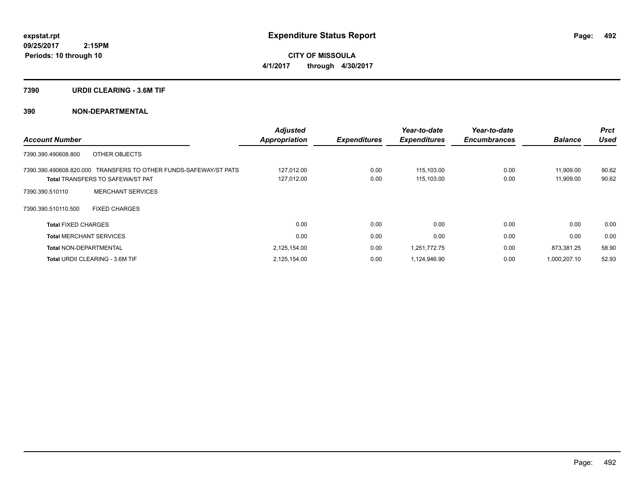**CITY OF MISSOULA 4/1/2017 through 4/30/2017**

### **7390 URDII CLEARING - 3.6M TIF**

| <b>Account Number</b>                                            | <b>Adjusted</b><br><b>Appropriation</b> | <b>Expenditures</b> | Year-to-date<br><b>Expenditures</b> | Year-to-date<br><b>Encumbrances</b> | <b>Balance</b> | <b>Prct</b><br><b>Used</b> |
|------------------------------------------------------------------|-----------------------------------------|---------------------|-------------------------------------|-------------------------------------|----------------|----------------------------|
| 7390.390.490608.800<br>OTHER OBJECTS                             |                                         |                     |                                     |                                     |                |                            |
| 7390.390.490608.820.000 TRANSFERS TO OTHER FUNDS-SAFEWAY/ST PATS | 127,012.00                              | 0.00                | 115,103.00                          | 0.00                                | 11,909.00      | 90.62                      |
| <b>Total TRANSFERS TO SAFEWA/ST PAT</b>                          | 127,012.00                              | 0.00                | 115,103.00                          | 0.00                                | 11,909.00      | 90.62                      |
| <b>MERCHANT SERVICES</b><br>7390.390.510110                      |                                         |                     |                                     |                                     |                |                            |
| <b>FIXED CHARGES</b><br>7390.390.510110.500                      |                                         |                     |                                     |                                     |                |                            |
| <b>Total FIXED CHARGES</b>                                       | 0.00                                    | 0.00                | 0.00                                | 0.00                                | 0.00           | 0.00                       |
| <b>Total MERCHANT SERVICES</b>                                   | 0.00                                    | 0.00                | 0.00                                | 0.00                                | 0.00           | 0.00                       |
| <b>Total NON-DEPARTMENTAL</b>                                    | 2,125,154.00                            | 0.00                | 1,251,772.75                        | 0.00                                | 873,381.25     | 58.90                      |
| <b>Total URDII CLEARING - 3.6M TIF</b>                           | 2,125,154.00                            | 0.00                | 1,124,946.90                        | 0.00                                | 1,000,207.10   | 52.93                      |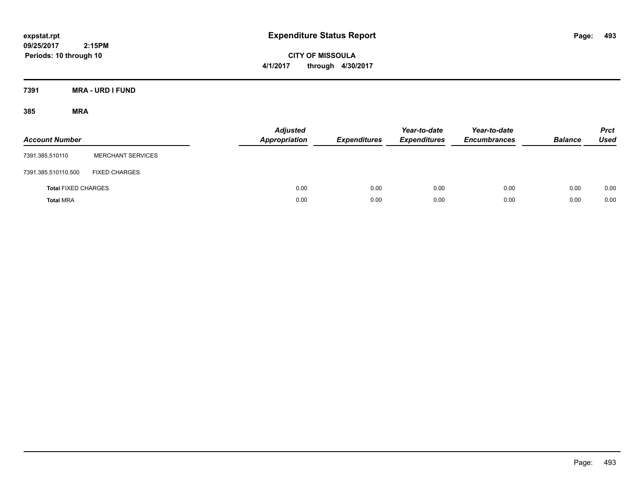**CITY OF MISSOULA 4/1/2017 through 4/30/2017**

**7391 MRA - URD I FUND**

| <b>Account Number</b>      |                          | <b>Adjusted</b><br>Appropriation | <b>Expenditures</b> | Year-to-date<br><b>Expenditures</b> | Year-to-date<br><b>Encumbrances</b> | <b>Balance</b> | <b>Prct</b><br>Used |
|----------------------------|--------------------------|----------------------------------|---------------------|-------------------------------------|-------------------------------------|----------------|---------------------|
| 7391.385.510110            | <b>MERCHANT SERVICES</b> |                                  |                     |                                     |                                     |                |                     |
| 7391.385.510110.500        | <b>FIXED CHARGES</b>     |                                  |                     |                                     |                                     |                |                     |
| <b>Total FIXED CHARGES</b> |                          | 0.00                             | 0.00                | 0.00                                | 0.00                                | 0.00           | 0.00                |
| <b>Total MRA</b>           |                          | 0.00                             | 0.00                | 0.00                                | 0.00                                | 0.00           | 0.00                |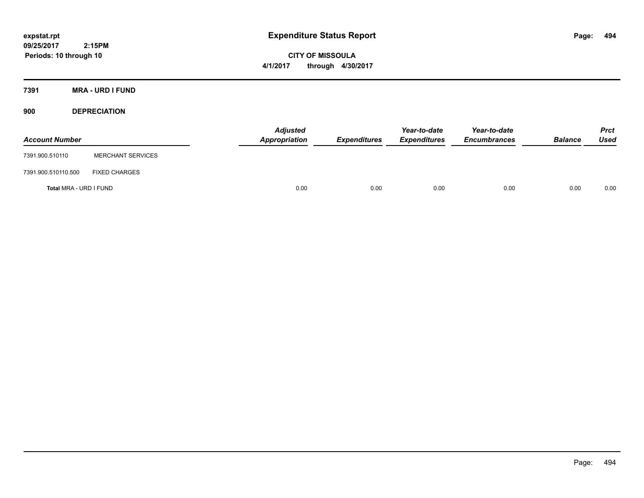**CITY OF MISSOULA 4/1/2017 through 4/30/2017**

**7391 MRA - URD I FUND**

**900 DEPRECIATION**

| <b>Account Number</b>  |                          | <b>Adjusted</b><br>Appropriation | <b>Expenditures</b> | Year-to-date<br><b>Expenditures</b> | Year-to-date<br><b>Encumbrances</b> | <b>Balance</b> | <b>Prct</b><br><b>Used</b> |
|------------------------|--------------------------|----------------------------------|---------------------|-------------------------------------|-------------------------------------|----------------|----------------------------|
| 7391.900.510110        | <b>MERCHANT SERVICES</b> |                                  |                     |                                     |                                     |                |                            |
| 7391.900.510110.500    | <b>FIXED CHARGES</b>     |                                  |                     |                                     |                                     |                |                            |
| Total MRA - URD I FUND |                          | 0.00                             | 0.00                | 0.00                                | 0.00                                | 0.00           | 0.00                       |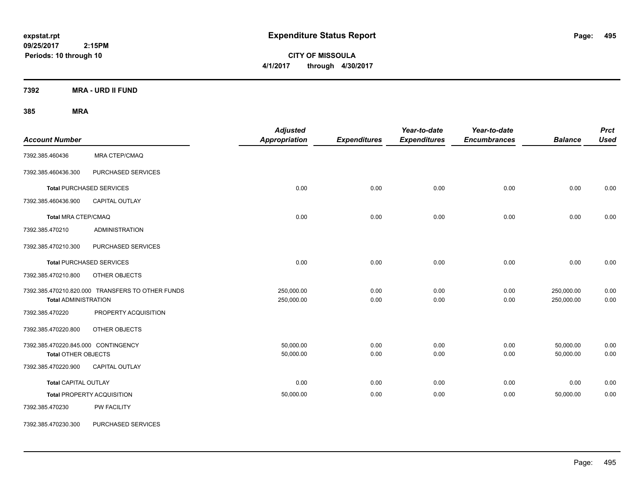**CITY OF MISSOULA 4/1/2017 through 4/30/2017**

**7392 MRA - URD II FUND**

| <b>Account Number</b>                                             |                                                  | <b>Adjusted</b><br><b>Appropriation</b> | <b>Expenditures</b> | Year-to-date<br><b>Expenditures</b> | Year-to-date<br><b>Encumbrances</b> | <b>Balance</b>           | <b>Prct</b><br><b>Used</b> |
|-------------------------------------------------------------------|--------------------------------------------------|-----------------------------------------|---------------------|-------------------------------------|-------------------------------------|--------------------------|----------------------------|
| 7392.385.460436                                                   | MRA CTEP/CMAQ                                    |                                         |                     |                                     |                                     |                          |                            |
| 7392.385.460436.300                                               | PURCHASED SERVICES                               |                                         |                     |                                     |                                     |                          |                            |
|                                                                   | <b>Total PURCHASED SERVICES</b>                  | 0.00                                    | 0.00                | 0.00                                | 0.00                                | 0.00                     | 0.00                       |
| 7392.385.460436.900                                               | CAPITAL OUTLAY                                   |                                         |                     |                                     |                                     |                          |                            |
| <b>Total MRA CTEP/CMAQ</b>                                        |                                                  | 0.00                                    | 0.00                | 0.00                                | 0.00                                | 0.00                     | 0.00                       |
| 7392.385.470210                                                   | <b>ADMINISTRATION</b>                            |                                         |                     |                                     |                                     |                          |                            |
| 7392.385.470210.300                                               | PURCHASED SERVICES                               |                                         |                     |                                     |                                     |                          |                            |
|                                                                   | <b>Total PURCHASED SERVICES</b>                  | 0.00                                    | 0.00                | 0.00                                | 0.00                                | 0.00                     | 0.00                       |
| 7392.385.470210.800                                               | OTHER OBJECTS                                    |                                         |                     |                                     |                                     |                          |                            |
| <b>Total ADMINISTRATION</b>                                       | 7392.385.470210.820.000 TRANSFERS TO OTHER FUNDS | 250,000.00<br>250,000.00                | 0.00<br>0.00        | 0.00<br>0.00                        | 0.00<br>0.00                        | 250,000.00<br>250,000.00 | 0.00<br>0.00               |
| 7392.385.470220                                                   | PROPERTY ACQUISITION                             |                                         |                     |                                     |                                     |                          |                            |
| 7392.385.470220.800                                               | OTHER OBJECTS                                    |                                         |                     |                                     |                                     |                          |                            |
| 7392.385.470220.845.000 CONTINGENCY<br><b>Total OTHER OBJECTS</b> |                                                  | 50,000.00<br>50,000.00                  | 0.00<br>0.00        | 0.00<br>0.00                        | 0.00<br>0.00                        | 50,000.00<br>50,000.00   | 0.00<br>0.00               |
| 7392.385.470220.900                                               | CAPITAL OUTLAY                                   |                                         |                     |                                     |                                     |                          |                            |
| <b>Total CAPITAL OUTLAY</b>                                       |                                                  | 0.00                                    | 0.00                | 0.00                                | 0.00                                | 0.00                     | 0.00                       |
|                                                                   | <b>Total PROPERTY ACQUISITION</b>                | 50,000.00                               | 0.00                | 0.00                                | 0.00                                | 50,000.00                | 0.00                       |
| 7392.385.470230                                                   | PW FACILITY                                      |                                         |                     |                                     |                                     |                          |                            |
| 7392.385.470230.300                                               | PURCHASED SERVICES                               |                                         |                     |                                     |                                     |                          |                            |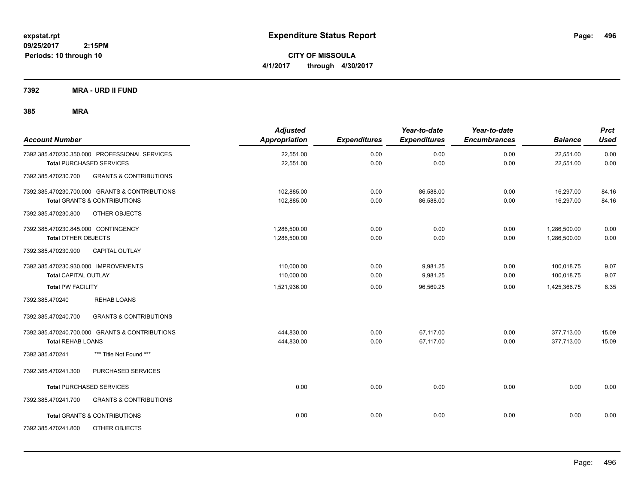**CITY OF MISSOULA 4/1/2017 through 4/30/2017**

**7392 MRA - URD II FUND**

| <b>Account Number</b>                                    | <b>Adjusted</b><br><b>Appropriation</b> | <b>Expenditures</b> | Year-to-date<br><b>Expenditures</b> | Year-to-date<br><b>Encumbrances</b> | <b>Balance</b> | <b>Prct</b><br>Used |
|----------------------------------------------------------|-----------------------------------------|---------------------|-------------------------------------|-------------------------------------|----------------|---------------------|
| 7392.385.470230.350.000 PROFESSIONAL SERVICES            | 22,551.00                               | 0.00                | 0.00                                | 0.00                                | 22,551.00      | 0.00                |
| <b>Total PURCHASED SERVICES</b>                          | 22,551.00                               | 0.00                | 0.00                                | 0.00                                | 22,551.00      | 0.00                |
| <b>GRANTS &amp; CONTRIBUTIONS</b><br>7392.385.470230.700 |                                         |                     |                                     |                                     |                |                     |
| 7392.385.470230.700.000 GRANTS & CONTRIBUTIONS           | 102,885.00                              | 0.00                | 86,588.00                           | 0.00                                | 16,297.00      | 84.16               |
| <b>Total GRANTS &amp; CONTRIBUTIONS</b>                  | 102,885.00                              | 0.00                | 86,588.00                           | 0.00                                | 16,297.00      | 84.16               |
| 7392.385.470230.800<br>OTHER OBJECTS                     |                                         |                     |                                     |                                     |                |                     |
| 7392.385.470230.845.000 CONTINGENCY                      | 1,286,500.00                            | 0.00                | 0.00                                | 0.00                                | 1,286,500.00   | 0.00                |
| <b>Total OTHER OBJECTS</b>                               | 1,286,500.00                            | 0.00                | 0.00                                | 0.00                                | 1,286,500.00   | 0.00                |
| 7392.385.470230.900<br>CAPITAL OUTLAY                    |                                         |                     |                                     |                                     |                |                     |
| 7392.385.470230.930.000 IMPROVEMENTS                     | 110,000.00                              | 0.00                | 9,981.25                            | 0.00                                | 100,018.75     | 9.07                |
| <b>Total CAPITAL OUTLAY</b>                              | 110,000.00                              | 0.00                | 9,981.25                            | 0.00                                | 100,018.75     | 9.07                |
| <b>Total PW FACILITY</b>                                 | 1,521,936.00                            | 0.00                | 96,569.25                           | 0.00                                | 1,425,366.75   | 6.35                |
| <b>REHAB LOANS</b><br>7392.385.470240                    |                                         |                     |                                     |                                     |                |                     |
| <b>GRANTS &amp; CONTRIBUTIONS</b><br>7392.385.470240.700 |                                         |                     |                                     |                                     |                |                     |
| 7392.385.470240.700.000 GRANTS & CONTRIBUTIONS           | 444,830.00                              | 0.00                | 67.117.00                           | 0.00                                | 377,713.00     | 15.09               |
| <b>Total REHAB LOANS</b>                                 | 444,830.00                              | 0.00                | 67,117.00                           | 0.00                                | 377,713.00     | 15.09               |
| *** Title Not Found ***<br>7392.385.470241               |                                         |                     |                                     |                                     |                |                     |
| PURCHASED SERVICES<br>7392.385.470241.300                |                                         |                     |                                     |                                     |                |                     |
| <b>Total PURCHASED SERVICES</b>                          | 0.00                                    | 0.00                | 0.00                                | 0.00                                | 0.00           | 0.00                |
| 7392.385.470241.700<br><b>GRANTS &amp; CONTRIBUTIONS</b> |                                         |                     |                                     |                                     |                |                     |
| <b>Total GRANTS &amp; CONTRIBUTIONS</b>                  | 0.00                                    | 0.00                | 0.00                                | 0.00                                | 0.00           | 0.00                |
| 7392.385.470241.800<br>OTHER OBJECTS                     |                                         |                     |                                     |                                     |                |                     |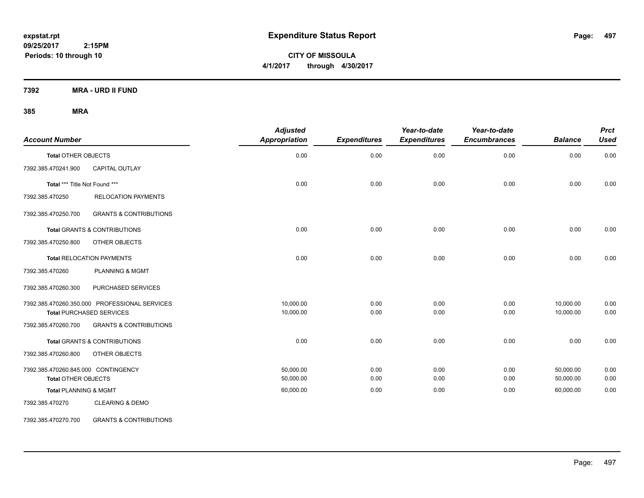**CITY OF MISSOULA 4/1/2017 through 4/30/2017**

**7392 MRA - URD II FUND**

## **385 MRA**

| <b>Account Number</b>               |                                               | <b>Adjusted</b><br>Appropriation | <b>Expenditures</b> | Year-to-date<br><b>Expenditures</b> | Year-to-date<br><b>Encumbrances</b> | <b>Balance</b> | <b>Prct</b><br><b>Used</b> |
|-------------------------------------|-----------------------------------------------|----------------------------------|---------------------|-------------------------------------|-------------------------------------|----------------|----------------------------|
| <b>Total OTHER OBJECTS</b>          |                                               | 0.00                             | 0.00                | 0.00                                | 0.00                                | 0.00           | 0.00                       |
| 7392.385.470241.900                 | <b>CAPITAL OUTLAY</b>                         |                                  |                     |                                     |                                     |                |                            |
| Total *** Title Not Found ***       |                                               | 0.00                             | 0.00                | 0.00                                | 0.00                                | 0.00           | 0.00                       |
| 7392.385.470250                     | <b>RELOCATION PAYMENTS</b>                    |                                  |                     |                                     |                                     |                |                            |
| 7392.385.470250.700                 | <b>GRANTS &amp; CONTRIBUTIONS</b>             |                                  |                     |                                     |                                     |                |                            |
|                                     | Total GRANTS & CONTRIBUTIONS                  | 0.00                             | 0.00                | 0.00                                | 0.00                                | 0.00           | 0.00                       |
| 7392.385.470250.800                 | OTHER OBJECTS                                 |                                  |                     |                                     |                                     |                |                            |
|                                     | <b>Total RELOCATION PAYMENTS</b>              | 0.00                             | 0.00                | 0.00                                | 0.00                                | 0.00           | 0.00                       |
| 7392.385.470260                     | <b>PLANNING &amp; MGMT</b>                    |                                  |                     |                                     |                                     |                |                            |
| 7392.385.470260.300                 | PURCHASED SERVICES                            |                                  |                     |                                     |                                     |                |                            |
|                                     | 7392.385.470260.350.000 PROFESSIONAL SERVICES | 10,000.00                        | 0.00                | 0.00                                | 0.00                                | 10,000.00      | 0.00                       |
|                                     | <b>Total PURCHASED SERVICES</b>               | 10,000.00                        | 0.00                | 0.00                                | 0.00                                | 10,000.00      | 0.00                       |
| 7392.385.470260.700                 | <b>GRANTS &amp; CONTRIBUTIONS</b>             |                                  |                     |                                     |                                     |                |                            |
|                                     | <b>Total GRANTS &amp; CONTRIBUTIONS</b>       | 0.00                             | 0.00                | 0.00                                | 0.00                                | 0.00           | 0.00                       |
| 7392.385.470260.800                 | OTHER OBJECTS                                 |                                  |                     |                                     |                                     |                |                            |
| 7392.385.470260.845.000 CONTINGENCY |                                               | 50,000.00                        | 0.00                | 0.00                                | 0.00                                | 50,000.00      | 0.00                       |
| <b>Total OTHER OBJECTS</b>          |                                               | 50,000.00                        | 0.00                | 0.00                                | 0.00                                | 50,000.00      | 0.00                       |
| <b>Total PLANNING &amp; MGMT</b>    |                                               | 60,000.00                        | 0.00                | 0.00                                | 0.00                                | 60,000.00      | 0.00                       |
| 7392.385.470270                     | <b>CLEARING &amp; DEMO</b>                    |                                  |                     |                                     |                                     |                |                            |

7392.385.470270.700 GRANTS & CONTRIBUTIONS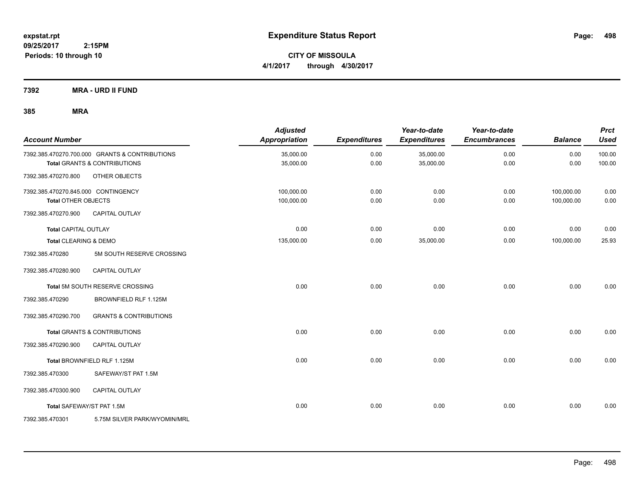**CITY OF MISSOULA 4/1/2017 through 4/30/2017**

**7392 MRA - URD II FUND**

| <b>Account Number</b>               |                                                | <b>Adjusted</b><br>Appropriation | <b>Expenditures</b> | Year-to-date<br><b>Expenditures</b> | Year-to-date<br><b>Encumbrances</b> | <b>Balance</b> | <b>Prct</b><br><b>Used</b> |
|-------------------------------------|------------------------------------------------|----------------------------------|---------------------|-------------------------------------|-------------------------------------|----------------|----------------------------|
|                                     | 7392.385.470270.700.000 GRANTS & CONTRIBUTIONS | 35,000.00                        | 0.00                | 35,000.00                           | 0.00                                | 0.00           | 100.00                     |
|                                     | <b>Total GRANTS &amp; CONTRIBUTIONS</b>        | 35,000.00                        | 0.00                | 35,000.00                           | 0.00                                | 0.00           | 100.00                     |
| 7392.385.470270.800                 | OTHER OBJECTS                                  |                                  |                     |                                     |                                     |                |                            |
| 7392.385.470270.845.000 CONTINGENCY |                                                | 100.000.00                       | 0.00                | 0.00                                | 0.00                                | 100,000.00     | 0.00                       |
| <b>Total OTHER OBJECTS</b>          |                                                | 100,000.00                       | 0.00                | 0.00                                | 0.00                                | 100,000.00     | 0.00                       |
| 7392.385.470270.900                 | CAPITAL OUTLAY                                 |                                  |                     |                                     |                                     |                |                            |
| <b>Total CAPITAL OUTLAY</b>         |                                                | 0.00                             | 0.00                | 0.00                                | 0.00                                | 0.00           | 0.00                       |
| Total CLEARING & DEMO               |                                                | 135,000.00                       | 0.00                | 35,000.00                           | 0.00                                | 100,000.00     | 25.93                      |
| 7392.385.470280                     | 5M SOUTH RESERVE CROSSING                      |                                  |                     |                                     |                                     |                |                            |
| 7392.385.470280.900                 | CAPITAL OUTLAY                                 |                                  |                     |                                     |                                     |                |                            |
|                                     | Total 5M SOUTH RESERVE CROSSING                | 0.00                             | 0.00                | 0.00                                | 0.00                                | 0.00           | 0.00                       |
| 7392.385.470290                     | BROWNFIELD RLF 1.125M                          |                                  |                     |                                     |                                     |                |                            |
| 7392.385.470290.700                 | <b>GRANTS &amp; CONTRIBUTIONS</b>              |                                  |                     |                                     |                                     |                |                            |
|                                     | Total GRANTS & CONTRIBUTIONS                   | 0.00                             | 0.00                | 0.00                                | 0.00                                | 0.00           | 0.00                       |
| 7392.385.470290.900                 | <b>CAPITAL OUTLAY</b>                          |                                  |                     |                                     |                                     |                |                            |
|                                     | Total BROWNFIELD RLF 1.125M                    | 0.00                             | 0.00                | 0.00                                | 0.00                                | 0.00           | 0.00                       |
| 7392.385.470300                     | SAFEWAY/ST PAT 1.5M                            |                                  |                     |                                     |                                     |                |                            |
| 7392.385.470300.900                 | <b>CAPITAL OUTLAY</b>                          |                                  |                     |                                     |                                     |                |                            |
|                                     | Total SAFEWAY/ST PAT 1.5M                      | 0.00                             | 0.00                | 0.00                                | 0.00                                | 0.00           | 0.00                       |
| 7392.385.470301                     | 5.75M SILVER PARK/WYOMIN/MRL                   |                                  |                     |                                     |                                     |                |                            |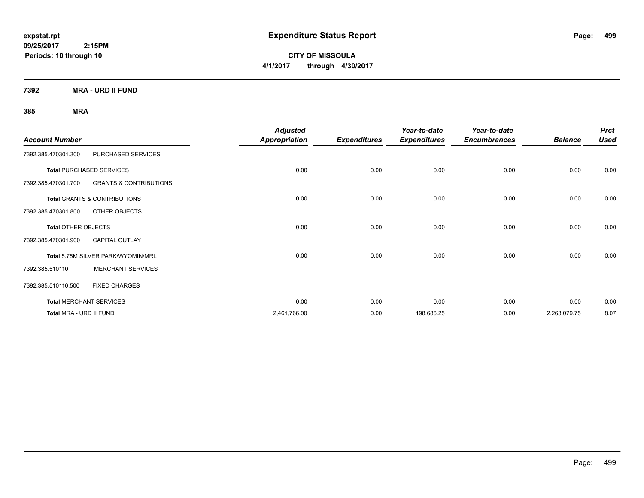**CITY OF MISSOULA 4/1/2017 through 4/30/2017**

**7392 MRA - URD II FUND**

| <b>Account Number</b>      |                                         | <b>Adjusted</b><br><b>Appropriation</b> | <b>Expenditures</b> | Year-to-date<br><b>Expenditures</b> | Year-to-date<br><b>Encumbrances</b> | <b>Balance</b> | <b>Prct</b><br><b>Used</b> |
|----------------------------|-----------------------------------------|-----------------------------------------|---------------------|-------------------------------------|-------------------------------------|----------------|----------------------------|
| 7392.385.470301.300        | PURCHASED SERVICES                      |                                         |                     |                                     |                                     |                |                            |
|                            | <b>Total PURCHASED SERVICES</b>         | 0.00                                    | 0.00                | 0.00                                | 0.00                                | 0.00           | 0.00                       |
| 7392.385.470301.700        | <b>GRANTS &amp; CONTRIBUTIONS</b>       |                                         |                     |                                     |                                     |                |                            |
|                            | <b>Total GRANTS &amp; CONTRIBUTIONS</b> | 0.00                                    | 0.00                | 0.00                                | 0.00                                | 0.00           | 0.00                       |
| 7392.385.470301.800        | OTHER OBJECTS                           |                                         |                     |                                     |                                     |                |                            |
| <b>Total OTHER OBJECTS</b> |                                         | 0.00                                    | 0.00                | 0.00                                | 0.00                                | 0.00           | 0.00                       |
| 7392.385.470301.900        | <b>CAPITAL OUTLAY</b>                   |                                         |                     |                                     |                                     |                |                            |
|                            | Total 5.75M SILVER PARK/WYOMIN/MRL      | 0.00                                    | 0.00                | 0.00                                | 0.00                                | 0.00           | 0.00                       |
| 7392.385.510110            | <b>MERCHANT SERVICES</b>                |                                         |                     |                                     |                                     |                |                            |
| 7392.385.510110.500        | <b>FIXED CHARGES</b>                    |                                         |                     |                                     |                                     |                |                            |
|                            | <b>Total MERCHANT SERVICES</b>          | 0.00                                    | 0.00                | 0.00                                | 0.00                                | 0.00           | 0.00                       |
| Total MRA - URD II FUND    |                                         | 2,461,766.00                            | 0.00                | 198,686.25                          | 0.00                                | 2,263,079.75   | 8.07                       |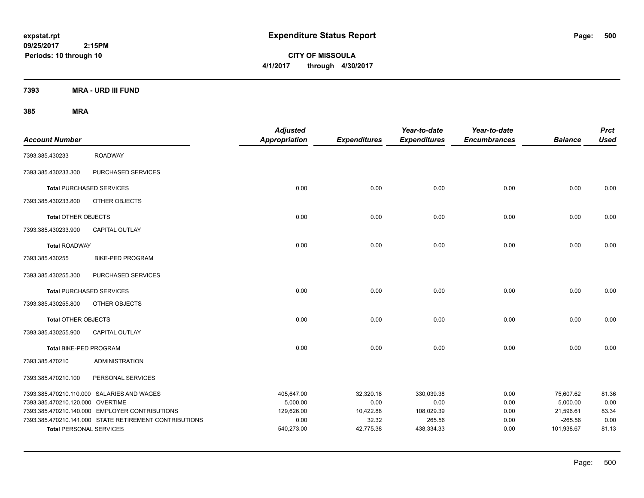**CITY OF MISSOULA 4/1/2017 through 4/30/2017**

**7393 MRA - URD III FUND**

| <b>Account Number</b>            |                                                        | <b>Adjusted</b><br><b>Appropriation</b> | <b>Expenditures</b> | Year-to-date<br><b>Expenditures</b> | Year-to-date<br><b>Encumbrances</b> | <b>Balance</b>        | <b>Prct</b><br><b>Used</b> |
|----------------------------------|--------------------------------------------------------|-----------------------------------------|---------------------|-------------------------------------|-------------------------------------|-----------------------|----------------------------|
| 7393.385.430233                  | <b>ROADWAY</b>                                         |                                         |                     |                                     |                                     |                       |                            |
| 7393.385.430233.300              | PURCHASED SERVICES                                     |                                         |                     |                                     |                                     |                       |                            |
| <b>Total PURCHASED SERVICES</b>  |                                                        | 0.00                                    | 0.00                | 0.00                                | 0.00                                | 0.00                  | 0.00                       |
| 7393.385.430233.800              | OTHER OBJECTS                                          |                                         |                     |                                     |                                     |                       |                            |
| <b>Total OTHER OBJECTS</b>       |                                                        | 0.00                                    | 0.00                | 0.00                                | 0.00                                | 0.00                  | 0.00                       |
| 7393.385.430233.900              | CAPITAL OUTLAY                                         |                                         |                     |                                     |                                     |                       |                            |
| <b>Total ROADWAY</b>             |                                                        | 0.00                                    | 0.00                | 0.00                                | 0.00                                | 0.00                  | 0.00                       |
| 7393.385.430255                  | <b>BIKE-PED PROGRAM</b>                                |                                         |                     |                                     |                                     |                       |                            |
| 7393.385.430255.300              | PURCHASED SERVICES                                     |                                         |                     |                                     |                                     |                       |                            |
| <b>Total PURCHASED SERVICES</b>  |                                                        | 0.00                                    | 0.00                | 0.00                                | 0.00                                | 0.00                  | 0.00                       |
| 7393.385.430255.800              | OTHER OBJECTS                                          |                                         |                     |                                     |                                     |                       |                            |
| <b>Total OTHER OBJECTS</b>       |                                                        | 0.00                                    | 0.00                | 0.00                                | 0.00                                | 0.00                  | 0.00                       |
| 7393.385.430255.900              | <b>CAPITAL OUTLAY</b>                                  |                                         |                     |                                     |                                     |                       |                            |
| <b>Total BIKE-PED PROGRAM</b>    |                                                        | 0.00                                    | 0.00                | 0.00                                | 0.00                                | 0.00                  | 0.00                       |
| 7393.385.470210                  | <b>ADMINISTRATION</b>                                  |                                         |                     |                                     |                                     |                       |                            |
| 7393.385.470210.100              | PERSONAL SERVICES                                      |                                         |                     |                                     |                                     |                       |                            |
|                                  | 7393.385.470210.110.000 SALARIES AND WAGES             | 405,647.00                              | 32,320.18           | 330,039.38                          | 0.00                                | 75,607.62             | 81.36                      |
| 7393.385.470210.120.000 OVERTIME | 7393.385.470210.140.000 EMPLOYER CONTRIBUTIONS         | 5,000.00<br>129,626.00                  | 0.00<br>10,422.88   | 0.00<br>108,029.39                  | 0.00<br>0.00                        | 5,000.00<br>21,596.61 | 0.00<br>83.34              |
|                                  | 7393.385.470210.141.000 STATE RETIREMENT CONTRIBUTIONS | 0.00                                    | 32.32               | 265.56                              | 0.00                                | $-265.56$             | 0.00                       |
| <b>Total PERSONAL SERVICES</b>   |                                                        | 540,273.00                              | 42,775.38           | 438,334.33                          | 0.00                                | 101,938.67            | 81.13                      |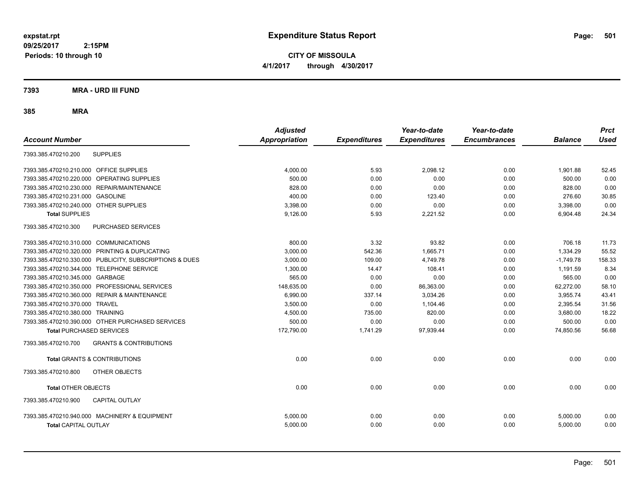**CITY OF MISSOULA 4/1/2017 through 4/30/2017**

### **7393 MRA - URD III FUND**

|                                                          | <b>Adjusted</b>      |                     | Year-to-date        | Year-to-date        |                | <b>Prct</b> |
|----------------------------------------------------------|----------------------|---------------------|---------------------|---------------------|----------------|-------------|
| <b>Account Number</b>                                    | <b>Appropriation</b> | <b>Expenditures</b> | <b>Expenditures</b> | <b>Encumbrances</b> | <b>Balance</b> | <b>Used</b> |
| <b>SUPPLIES</b><br>7393.385.470210.200                   |                      |                     |                     |                     |                |             |
| <b>OFFICE SUPPLIES</b><br>7393.385.470210.210.000        | 4,000.00             | 5.93                | 2,098.12            | 0.00                | 1,901.88       | 52.45       |
| OPERATING SUPPLIES<br>7393.385.470210.220.000            | 500.00               | 0.00                | 0.00                | 0.00                | 500.00         | 0.00        |
| 7393.385.470210.230.000 REPAIR/MAINTENANCE               | 828.00               | 0.00                | 0.00                | 0.00                | 828.00         | 0.00        |
| <b>GASOLINE</b><br>7393.385.470210.231.000               | 400.00               | 0.00                | 123.40              | 0.00                | 276.60         | 30.85       |
| 7393.385.470210.240.000 OTHER SUPPLIES                   | 3,398.00             | 0.00                | 0.00                | 0.00                | 3,398.00       | 0.00        |
| <b>Total SUPPLIES</b>                                    | 9.126.00             | 5.93                | 2,221.52            | 0.00                | 6.904.48       | 24.34       |
| 7393.385.470210.300<br>PURCHASED SERVICES                |                      |                     |                     |                     |                |             |
| 7393.385.470210.310.000 COMMUNICATIONS                   | 800.00               | 3.32                | 93.82               | 0.00                | 706.18         | 11.73       |
| 7393.385.470210.320.000 PRINTING & DUPLICATING           | 3.000.00             | 542.36              | 1.665.71            | 0.00                | 1.334.29       | 55.52       |
| 7393.385.470210.330.000 PUBLICITY, SUBSCRIPTIONS & DUES  | 3,000.00             | 109.00              | 4,749.78            | 0.00                | $-1,749.78$    | 158.33      |
| 7393.385.470210.344.000 TELEPHONE SERVICE                | 1,300.00             | 14.47               | 108.41              | 0.00                | 1,191.59       | 8.34        |
| 7393.385.470210.345.000 GARBAGE                          | 565.00               | 0.00                | 0.00                | 0.00                | 565.00         | 0.00        |
| 7393.385.470210.350.000 PROFESSIONAL SERVICES            | 148,635.00           | 0.00                | 86,363.00           | 0.00                | 62,272.00      | 58.10       |
| 7393.385.470210.360.000 REPAIR & MAINTENANCE             | 6.990.00             | 337.14              | 3,034.26            | 0.00                | 3,955.74       | 43.41       |
| 7393.385.470210.370.000 TRAVEL                           | 3,500.00             | 0.00                | 1,104.46            | 0.00                | 2,395.54       | 31.56       |
| 7393.385.470210.380.000 TRAINING                         | 4.500.00             | 735.00              | 820.00              | 0.00                | 3.680.00       | 18.22       |
| 7393.385.470210.390.000 OTHER PURCHASED SERVICES         | 500.00               | 0.00                | 0.00                | 0.00                | 500.00         | 0.00        |
| <b>Total PURCHASED SERVICES</b>                          | 172,790.00           | 1,741.29            | 97,939.44           | 0.00                | 74,850.56      | 56.68       |
| <b>GRANTS &amp; CONTRIBUTIONS</b><br>7393.385.470210.700 |                      |                     |                     |                     |                |             |
| <b>Total GRANTS &amp; CONTRIBUTIONS</b>                  | 0.00                 | 0.00                | 0.00                | 0.00                | 0.00           | 0.00        |
| 7393.385.470210.800<br>OTHER OBJECTS                     |                      |                     |                     |                     |                |             |
| <b>Total OTHER OBJECTS</b>                               | 0.00                 | 0.00                | 0.00                | 0.00                | 0.00           | 0.00        |
| 7393.385.470210.900<br><b>CAPITAL OUTLAY</b>             |                      |                     |                     |                     |                |             |
| 7393.385.470210.940.000 MACHINERY & EQUIPMENT            | 5,000.00             | 0.00                | 0.00                | 0.00                | 5,000.00       | 0.00        |
| <b>Total CAPITAL OUTLAY</b>                              | 5,000.00             | 0.00                | 0.00                | 0.00                | 5,000.00       | 0.00        |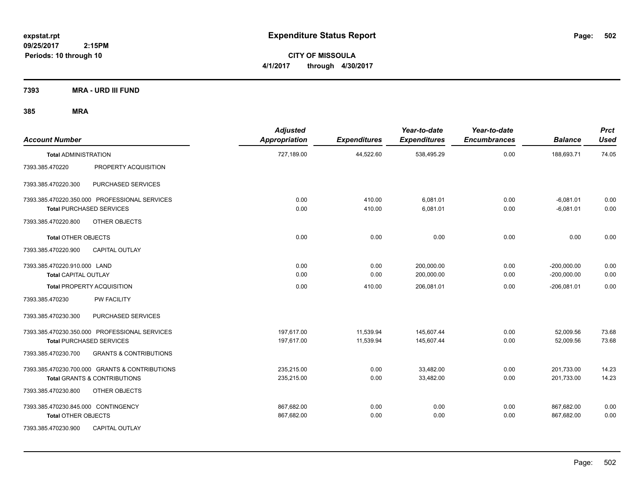**CITY OF MISSOULA 4/1/2017 through 4/30/2017**

**7393 MRA - URD III FUND**

| <b>Account Number</b>                                             |                                                | <b>Adjusted</b><br><b>Appropriation</b> | <b>Expenditures</b>    | Year-to-date<br><b>Expenditures</b> | Year-to-date<br><b>Encumbrances</b> | <b>Balance</b>                 | <b>Prct</b><br><b>Used</b> |
|-------------------------------------------------------------------|------------------------------------------------|-----------------------------------------|------------------------|-------------------------------------|-------------------------------------|--------------------------------|----------------------------|
| <b>Total ADMINISTRATION</b>                                       |                                                | 727,189.00                              | 44,522.60              | 538,495.29                          | 0.00                                | 188,693.71                     | 74.05                      |
| 7393.385.470220                                                   | PROPERTY ACQUISITION                           |                                         |                        |                                     |                                     |                                |                            |
| 7393.385.470220.300                                               | PURCHASED SERVICES                             |                                         |                        |                                     |                                     |                                |                            |
| <b>Total PURCHASED SERVICES</b>                                   | 7393.385.470220.350.000 PROFESSIONAL SERVICES  | 0.00<br>0.00                            | 410.00<br>410.00       | 6,081.01<br>6,081.01                | 0.00<br>0.00                        | $-6,081.01$<br>$-6,081.01$     | 0.00<br>0.00               |
| 7393.385.470220.800                                               | OTHER OBJECTS                                  |                                         |                        |                                     |                                     |                                |                            |
| <b>Total OTHER OBJECTS</b>                                        |                                                | 0.00                                    | 0.00                   | 0.00                                | 0.00                                | 0.00                           | 0.00                       |
| 7393.385.470220.900                                               | <b>CAPITAL OUTLAY</b>                          |                                         |                        |                                     |                                     |                                |                            |
| 7393.385.470220.910.000 LAND<br><b>Total CAPITAL OUTLAY</b>       |                                                | 0.00<br>0.00                            | 0.00<br>0.00           | 200,000.00<br>200,000.00            | 0.00<br>0.00                        | $-200,000.00$<br>$-200,000.00$ | 0.00<br>0.00               |
| <b>Total PROPERTY ACQUISITION</b>                                 |                                                | 0.00                                    | 410.00                 | 206,081.01                          | 0.00                                | $-206,081.01$                  | 0.00                       |
| 7393.385.470230                                                   | <b>PW FACILITY</b>                             |                                         |                        |                                     |                                     |                                |                            |
| 7393.385.470230.300                                               | PURCHASED SERVICES                             |                                         |                        |                                     |                                     |                                |                            |
| <b>Total PURCHASED SERVICES</b>                                   | 7393.385.470230.350.000 PROFESSIONAL SERVICES  | 197,617.00<br>197,617.00                | 11,539.94<br>11,539.94 | 145,607.44<br>145,607.44            | 0.00<br>0.00                        | 52,009.56<br>52,009.56         | 73.68<br>73.68             |
| 7393.385.470230.700                                               | <b>GRANTS &amp; CONTRIBUTIONS</b>              |                                         |                        |                                     |                                     |                                |                            |
| <b>Total GRANTS &amp; CONTRIBUTIONS</b>                           | 7393.385.470230.700.000 GRANTS & CONTRIBUTIONS | 235.215.00<br>235,215.00                | 0.00<br>0.00           | 33.482.00<br>33,482.00              | 0.00<br>0.00                        | 201,733.00<br>201,733.00       | 14.23<br>14.23             |
| 7393.385.470230.800                                               | OTHER OBJECTS                                  |                                         |                        |                                     |                                     |                                |                            |
| 7393.385.470230.845.000 CONTINGENCY<br><b>Total OTHER OBJECTS</b> |                                                | 867,682.00<br>867,682.00                | 0.00<br>0.00           | 0.00<br>0.00                        | 0.00<br>0.00                        | 867,682.00<br>867,682.00       | 0.00<br>0.00               |
| 7393.385.470230.900                                               | <b>CAPITAL OUTLAY</b>                          |                                         |                        |                                     |                                     |                                |                            |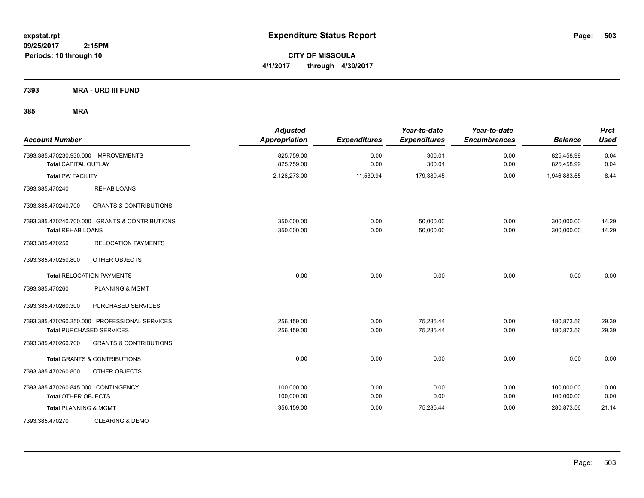**CITY OF MISSOULA 4/1/2017 through 4/30/2017**

**7393 MRA - URD III FUND**

| <b>Account Number</b>                                               |                                                | <b>Adjusted</b><br><b>Appropriation</b> | <b>Expenditures</b> | Year-to-date<br><b>Expenditures</b> | Year-to-date<br><b>Encumbrances</b> | <b>Balance</b>           | <b>Prct</b><br><b>Used</b> |
|---------------------------------------------------------------------|------------------------------------------------|-----------------------------------------|---------------------|-------------------------------------|-------------------------------------|--------------------------|----------------------------|
| 7393.385.470230.930.000 IMPROVEMENTS<br><b>Total CAPITAL OUTLAY</b> |                                                | 825,759.00<br>825,759.00                | 0.00<br>0.00        | 300.01<br>300.01                    | 0.00<br>0.00                        | 825,458.99<br>825,458.99 | 0.04<br>0.04               |
| <b>Total PW FACILITY</b>                                            |                                                | 2,126,273.00                            | 11,539.94           | 179,389.45                          | 0.00                                | 1,946,883.55             | 8.44                       |
| 7393.385.470240                                                     | <b>REHAB LOANS</b>                             |                                         |                     |                                     |                                     |                          |                            |
| 7393.385.470240.700                                                 | <b>GRANTS &amp; CONTRIBUTIONS</b>              |                                         |                     |                                     |                                     |                          |                            |
| <b>Total REHAB LOANS</b>                                            | 7393.385.470240.700.000 GRANTS & CONTRIBUTIONS | 350,000.00<br>350,000.00                | 0.00<br>0.00        | 50,000.00<br>50,000.00              | 0.00<br>0.00                        | 300,000.00<br>300,000.00 | 14.29<br>14.29             |
| 7393.385.470250                                                     | <b>RELOCATION PAYMENTS</b>                     |                                         |                     |                                     |                                     |                          |                            |
| 7393.385.470250.800                                                 | OTHER OBJECTS                                  |                                         |                     |                                     |                                     |                          |                            |
|                                                                     | <b>Total RELOCATION PAYMENTS</b>               | 0.00                                    | 0.00                | 0.00                                | 0.00                                | 0.00                     | 0.00                       |
| 7393.385.470260                                                     | <b>PLANNING &amp; MGMT</b>                     |                                         |                     |                                     |                                     |                          |                            |
| 7393.385.470260.300                                                 | PURCHASED SERVICES                             |                                         |                     |                                     |                                     |                          |                            |
|                                                                     | 7393.385.470260.350.000 PROFESSIONAL SERVICES  | 256,159.00                              | 0.00                | 75,285.44                           | 0.00                                | 180,873.56               | 29.39                      |
|                                                                     | <b>Total PURCHASED SERVICES</b>                | 256,159.00                              | 0.00                | 75,285.44                           | 0.00                                | 180,873.56               | 29.39                      |
| 7393.385.470260.700                                                 | <b>GRANTS &amp; CONTRIBUTIONS</b>              |                                         |                     |                                     |                                     |                          |                            |
|                                                                     | <b>Total GRANTS &amp; CONTRIBUTIONS</b>        | 0.00                                    | 0.00                | 0.00                                | 0.00                                | 0.00                     | 0.00                       |
| 7393.385.470260.800                                                 | OTHER OBJECTS                                  |                                         |                     |                                     |                                     |                          |                            |
| 7393.385.470260.845.000 CONTINGENCY                                 |                                                | 100,000.00                              | 0.00                | 0.00                                | 0.00                                | 100,000.00               | 0.00                       |
| <b>Total OTHER OBJECTS</b>                                          |                                                | 100,000.00                              | 0.00                | 0.00                                | 0.00                                | 100,000.00               | 0.00                       |
| <b>Total PLANNING &amp; MGMT</b>                                    |                                                | 356,159.00                              | 0.00                | 75,285.44                           | 0.00                                | 280,873.56               | 21.14                      |
| 7393.385.470270                                                     | <b>CLEARING &amp; DEMO</b>                     |                                         |                     |                                     |                                     |                          |                            |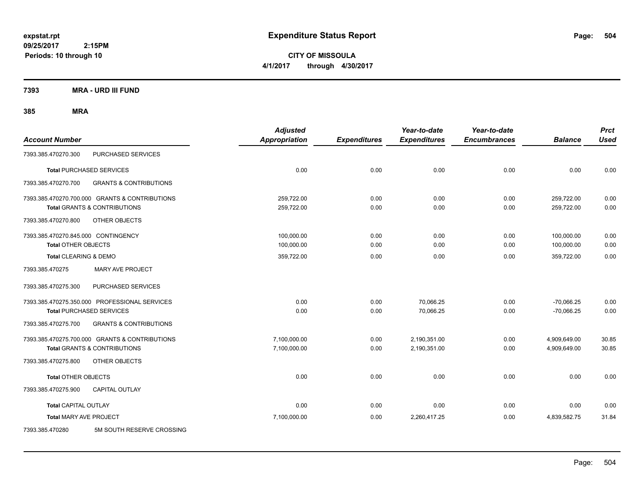**CITY OF MISSOULA 4/1/2017 through 4/30/2017**

**7393 MRA - URD III FUND**

| <b>Account Number</b>                                                                     |                                                                                           | <b>Adjusted</b><br>Appropriation | <b>Expenditures</b> | Year-to-date<br><b>Expenditures</b> | Year-to-date<br><b>Encumbrances</b> | <b>Balance</b>               | <b>Prct</b><br><b>Used</b> |
|-------------------------------------------------------------------------------------------|-------------------------------------------------------------------------------------------|----------------------------------|---------------------|-------------------------------------|-------------------------------------|------------------------------|----------------------------|
| 7393.385.470270.300                                                                       | PURCHASED SERVICES                                                                        |                                  |                     |                                     |                                     |                              |                            |
| <b>Total PURCHASED SERVICES</b>                                                           |                                                                                           | 0.00                             | 0.00                | 0.00                                | 0.00                                | 0.00                         | 0.00                       |
| 7393.385.470270.700                                                                       | <b>GRANTS &amp; CONTRIBUTIONS</b>                                                         |                                  |                     |                                     |                                     |                              |                            |
| 7393.385.470270.700.000 GRANTS & CONTRIBUTIONS<br><b>Total GRANTS &amp; CONTRIBUTIONS</b> |                                                                                           | 259,722.00<br>259,722.00         | 0.00<br>0.00        | 0.00<br>0.00                        | 0.00<br>0.00                        | 259,722.00<br>259,722.00     | 0.00<br>0.00               |
| 7393.385.470270.800                                                                       | OTHER OBJECTS                                                                             |                                  |                     |                                     |                                     |                              |                            |
| 7393.385.470270.845.000 CONTINGENCY<br><b>Total OTHER OBJECTS</b>                         |                                                                                           | 100,000.00<br>100,000.00         | 0.00<br>0.00        | 0.00<br>0.00                        | 0.00<br>0.00                        | 100,000.00<br>100,000.00     | 0.00<br>0.00               |
| Total CLEARING & DEMO                                                                     |                                                                                           | 359,722.00                       | 0.00                | 0.00                                | 0.00                                | 359,722.00                   | 0.00                       |
| 7393.385.470275                                                                           | <b>MARY AVE PROJECT</b>                                                                   |                                  |                     |                                     |                                     |                              |                            |
| 7393.385.470275.300                                                                       | PURCHASED SERVICES                                                                        |                                  |                     |                                     |                                     |                              |                            |
| 7393.385.470275.350.000 PROFESSIONAL SERVICES<br><b>Total PURCHASED SERVICES</b>          |                                                                                           | 0.00<br>0.00                     | 0.00<br>0.00        | 70,066.25<br>70,066.25              | 0.00<br>0.00                        | $-70,066.25$<br>$-70,066.25$ | 0.00<br>0.00               |
| 7393.385.470275.700                                                                       | <b>GRANTS &amp; CONTRIBUTIONS</b>                                                         |                                  |                     |                                     |                                     |                              |                            |
|                                                                                           | 7393.385.470275.700.000 GRANTS & CONTRIBUTIONS<br><b>Total GRANTS &amp; CONTRIBUTIONS</b> | 7,100,000.00<br>7,100,000.00     | 0.00<br>0.00        | 2,190,351.00<br>2,190,351.00        | 0.00<br>0.00                        | 4,909,649.00<br>4,909,649.00 | 30.85<br>30.85             |
| 7393.385.470275.800                                                                       | <b>OTHER OBJECTS</b>                                                                      |                                  |                     |                                     |                                     |                              |                            |
| <b>Total OTHER OBJECTS</b>                                                                |                                                                                           | 0.00                             | 0.00                | 0.00                                | 0.00                                | 0.00                         | 0.00                       |
| 7393.385.470275.900                                                                       | <b>CAPITAL OUTLAY</b>                                                                     |                                  |                     |                                     |                                     |                              |                            |
| <b>Total CAPITAL OUTLAY</b>                                                               |                                                                                           | 0.00                             | 0.00                | 0.00                                | 0.00                                | 0.00                         | 0.00                       |
| <b>Total MARY AVE PROJECT</b>                                                             |                                                                                           | 7,100,000.00                     | 0.00                | 2,260,417.25                        | 0.00                                | 4,839,582.75                 | 31.84                      |
| 7393.385.470280                                                                           | 5M SOUTH RESERVE CROSSING                                                                 |                                  |                     |                                     |                                     |                              |                            |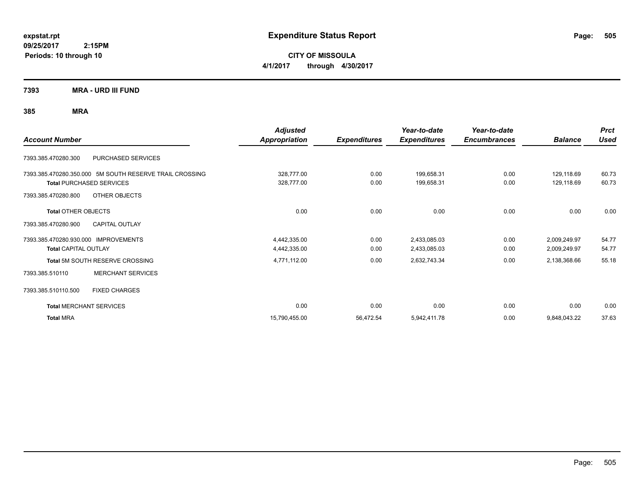**CITY OF MISSOULA 4/1/2017 through 4/30/2017**

**7393 MRA - URD III FUND**

|                                                         | <b>Adjusted</b>      |                     | Year-to-date        | Year-to-date        |                | <b>Prct</b> |
|---------------------------------------------------------|----------------------|---------------------|---------------------|---------------------|----------------|-------------|
| <b>Account Number</b>                                   | <b>Appropriation</b> | <b>Expenditures</b> | <b>Expenditures</b> | <b>Encumbrances</b> | <b>Balance</b> | <b>Used</b> |
| PURCHASED SERVICES<br>7393.385.470280.300               |                      |                     |                     |                     |                |             |
| 7393.385.470280.350.000 5M SOUTH RESERVE TRAIL CROSSING | 328,777.00           | 0.00                | 199,658.31          | 0.00                | 129,118.69     | 60.73       |
| <b>Total PURCHASED SERVICES</b>                         | 328,777.00           | 0.00                | 199,658.31          | 0.00                | 129,118.69     | 60.73       |
| OTHER OBJECTS<br>7393.385.470280.800                    |                      |                     |                     |                     |                |             |
| <b>Total OTHER OBJECTS</b>                              | 0.00                 | 0.00                | 0.00                | 0.00                | 0.00           | 0.00        |
| 7393.385.470280.900<br><b>CAPITAL OUTLAY</b>            |                      |                     |                     |                     |                |             |
| 7393.385.470280.930.000 IMPROVEMENTS                    | 4,442,335.00         | 0.00                | 2,433,085.03        | 0.00                | 2,009,249.97   | 54.77       |
| <b>Total CAPITAL OUTLAY</b>                             | 4,442,335.00         | 0.00                | 2,433,085.03        | 0.00                | 2,009,249.97   | 54.77       |
| Total 5M SOUTH RESERVE CROSSING                         | 4,771,112.00         | 0.00                | 2,632,743.34        | 0.00                | 2,138,368.66   | 55.18       |
| <b>MERCHANT SERVICES</b><br>7393.385.510110             |                      |                     |                     |                     |                |             |
| 7393.385.510110.500<br><b>FIXED CHARGES</b>             |                      |                     |                     |                     |                |             |
| <b>Total MERCHANT SERVICES</b>                          | 0.00                 | 0.00                | 0.00                | 0.00                | 0.00           | 0.00        |
| <b>Total MRA</b>                                        | 15,790,455.00        | 56,472.54           | 5,942,411.78        | 0.00                | 9,848,043.22   | 37.63       |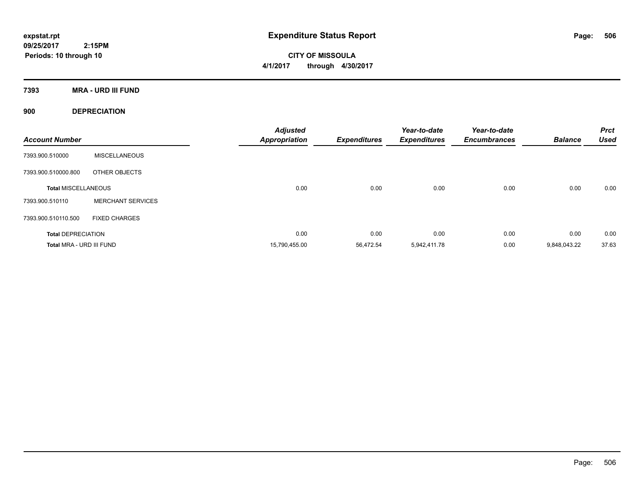**CITY OF MISSOULA 4/1/2017 through 4/30/2017**

**7393 MRA - URD III FUND**

**900 DEPRECIATION**

| <b>Account Number</b>      |                          | <b>Adjusted</b><br><b>Appropriation</b> | <b>Expenditures</b> | Year-to-date<br><b>Expenditures</b> | Year-to-date<br><b>Encumbrances</b> | <b>Balance</b> | <b>Prct</b><br><b>Used</b> |
|----------------------------|--------------------------|-----------------------------------------|---------------------|-------------------------------------|-------------------------------------|----------------|----------------------------|
| 7393.900.510000            | <b>MISCELLANEOUS</b>     |                                         |                     |                                     |                                     |                |                            |
| 7393.900.510000.800        | OTHER OBJECTS            |                                         |                     |                                     |                                     |                |                            |
| <b>Total MISCELLANEOUS</b> |                          | 0.00                                    | 0.00                | 0.00                                | 0.00                                | 0.00           | 0.00                       |
| 7393.900.510110            | <b>MERCHANT SERVICES</b> |                                         |                     |                                     |                                     |                |                            |
| 7393.900.510110.500        | <b>FIXED CHARGES</b>     |                                         |                     |                                     |                                     |                |                            |
| <b>Total DEPRECIATION</b>  |                          | 0.00                                    | 0.00                | 0.00                                | 0.00                                | 0.00           | 0.00                       |
| Total MRA - URD III FUND   |                          | 15,790,455.00                           | 56.472.54           | 5.942.411.78                        | 0.00                                | 9.848.043.22   | 37.63                      |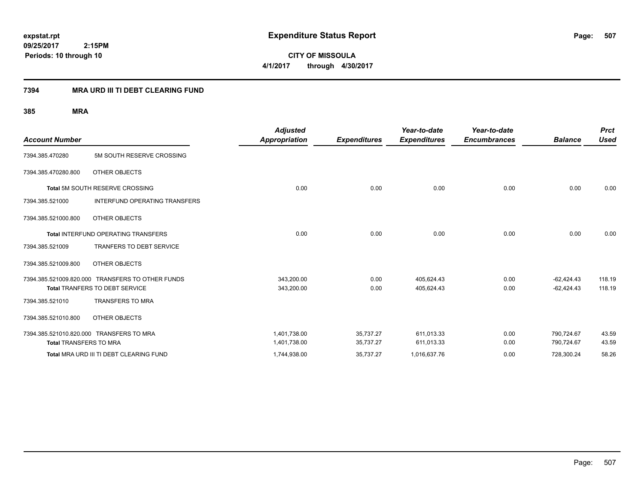**CITY OF MISSOULA 4/1/2017 through 4/30/2017**

## **7394 MRA URD III TI DEBT CLEARING FUND**

|                                          |                                                  | <b>Adjusted</b>      |                     | Year-to-date        | Year-to-date        |                | <b>Prct</b> |
|------------------------------------------|--------------------------------------------------|----------------------|---------------------|---------------------|---------------------|----------------|-------------|
| <b>Account Number</b>                    |                                                  | <b>Appropriation</b> | <b>Expenditures</b> | <b>Expenditures</b> | <b>Encumbrances</b> | <b>Balance</b> | <b>Used</b> |
| 7394.385.470280                          | 5M SOUTH RESERVE CROSSING                        |                      |                     |                     |                     |                |             |
| 7394.385.470280.800                      | OTHER OBJECTS                                    |                      |                     |                     |                     |                |             |
|                                          | <b>Total 5M SOUTH RESERVE CROSSING</b>           | 0.00                 | 0.00                | 0.00                | 0.00                | 0.00           | 0.00        |
| 7394.385.521000                          | INTERFUND OPERATING TRANSFERS                    |                      |                     |                     |                     |                |             |
| 7394.385.521000.800                      | OTHER OBJECTS                                    |                      |                     |                     |                     |                |             |
|                                          | <b>Total INTERFUND OPERATING TRANSFERS</b>       | 0.00                 | 0.00                | 0.00                | 0.00                | 0.00           | 0.00        |
| 7394.385.521009                          | <b>TRANFERS TO DEBT SERVICE</b>                  |                      |                     |                     |                     |                |             |
| 7394.385.521009.800                      | OTHER OBJECTS                                    |                      |                     |                     |                     |                |             |
|                                          | 7394.385.521009.820.000 TRANSFERS TO OTHER FUNDS | 343,200.00           | 0.00                | 405,624.43          | 0.00                | $-62,424.43$   | 118.19      |
|                                          | Total TRANFERS TO DEBT SERVICE                   | 343,200.00           | 0.00                | 405,624.43          | 0.00                | $-62,424.43$   | 118.19      |
| 7394.385.521010                          | <b>TRANSFERS TO MRA</b>                          |                      |                     |                     |                     |                |             |
| 7394.385.521010.800                      | OTHER OBJECTS                                    |                      |                     |                     |                     |                |             |
| 7394.385.521010.820.000 TRANSFERS TO MRA |                                                  | 1,401,738.00         | 35,737.27           | 611,013.33          | 0.00                | 790,724.67     | 43.59       |
| <b>Total TRANSFERS TO MRA</b>            |                                                  | 1,401,738.00         | 35,737.27           | 611,013.33          | 0.00                | 790,724.67     | 43.59       |
|                                          | Total MRA URD III TI DEBT CLEARING FUND          | 1,744,938.00         | 35,737.27           | 1,016,637.76        | 0.00                | 728,300.24     | 58.26       |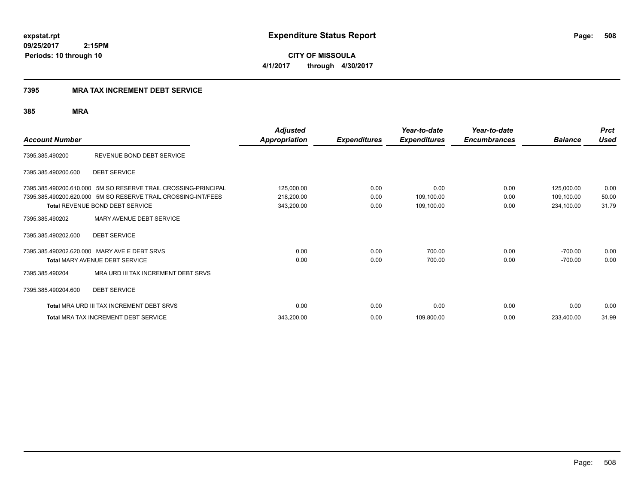### **7395 MRA TAX INCREMENT DEBT SERVICE**

|                       |                                                                | <b>Adjusted</b>      |                     | Year-to-date        | Year-to-date        |                | <b>Prct</b> |
|-----------------------|----------------------------------------------------------------|----------------------|---------------------|---------------------|---------------------|----------------|-------------|
| <b>Account Number</b> |                                                                | <b>Appropriation</b> | <b>Expenditures</b> | <b>Expenditures</b> | <b>Encumbrances</b> | <b>Balance</b> | <b>Used</b> |
| 7395.385.490200       | REVENUE BOND DEBT SERVICE                                      |                      |                     |                     |                     |                |             |
| 7395.385.490200.600   | <b>DEBT SERVICE</b>                                            |                      |                     |                     |                     |                |             |
|                       | 7395.385.490200.610.000 5M SO RESERVE TRAIL CROSSING-PRINCIPAL | 125,000.00           | 0.00                | 0.00                | 0.00                | 125,000.00     | 0.00        |
|                       | 7395.385.490200.620.000 5M SO RESERVE TRAIL CROSSING-INT/FEES  | 218,200.00           | 0.00                | 109,100.00          | 0.00                | 109,100.00     | 50.00       |
|                       | <b>Total REVENUE BOND DEBT SERVICE</b>                         | 343,200.00           | 0.00                | 109,100.00          | 0.00                | 234,100.00     | 31.79       |
| 7395.385.490202       | MARY AVENUE DEBT SERVICE                                       |                      |                     |                     |                     |                |             |
| 7395.385.490202.600   | <b>DEBT SERVICE</b>                                            |                      |                     |                     |                     |                |             |
|                       | 7395.385.490202.620.000 MARY AVE E DEBT SRVS                   | 0.00                 | 0.00                | 700.00              | 0.00                | $-700.00$      | 0.00        |
|                       | <b>Total MARY AVENUE DEBT SERVICE</b>                          | 0.00                 | 0.00                | 700.00              | 0.00                | $-700.00$      | 0.00        |
| 7395.385.490204       | MRA URD III TAX INCREMENT DEBT SRVS                            |                      |                     |                     |                     |                |             |
| 7395.385.490204.600   | <b>DEBT SERVICE</b>                                            |                      |                     |                     |                     |                |             |
|                       | <b>Total MRA URD III TAX INCREMENT DEBT SRVS</b>               | 0.00                 | 0.00                | 0.00                | 0.00                | 0.00           | 0.00        |
|                       | <b>Total MRA TAX INCREMENT DEBT SERVICE</b>                    | 343,200.00           | 0.00                | 109,800.00          | 0.00                | 233,400.00     | 31.99       |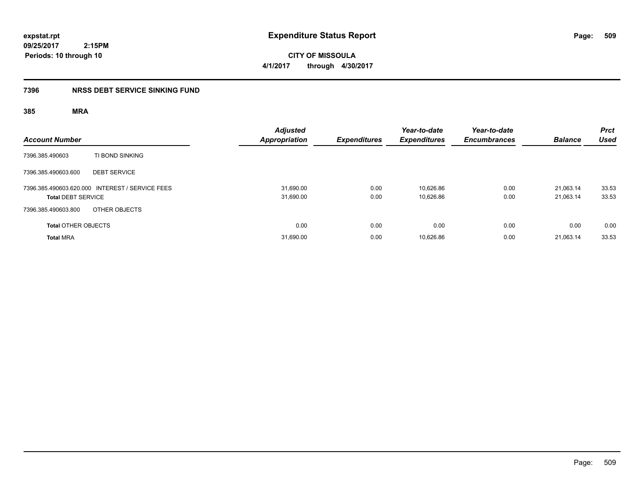**CITY OF MISSOULA 4/1/2017 through 4/30/2017**

## **7396 NRSS DEBT SERVICE SINKING FUND**

| <b>Account Number</b>      |                                                 | <b>Adjusted</b><br>Appropriation | <b>Expenditures</b> | Year-to-date<br><b>Expenditures</b> | Year-to-date<br><b>Encumbrances</b> | <b>Balance</b>         | <b>Prct</b><br><b>Used</b> |
|----------------------------|-------------------------------------------------|----------------------------------|---------------------|-------------------------------------|-------------------------------------|------------------------|----------------------------|
| 7396.385.490603            | TI BOND SINKING                                 |                                  |                     |                                     |                                     |                        |                            |
| 7396.385.490603.600        | <b>DEBT SERVICE</b>                             |                                  |                     |                                     |                                     |                        |                            |
| <b>Total DEBT SERVICE</b>  | 7396.385.490603.620.000 INTEREST / SERVICE FEES | 31,690.00<br>31,690.00           | 0.00<br>0.00        | 10.626.86<br>10,626.86              | 0.00<br>0.00                        | 21.063.14<br>21,063.14 | 33.53<br>33.53             |
| 7396.385.490603.800        | OTHER OBJECTS                                   |                                  |                     |                                     |                                     |                        |                            |
| <b>Total OTHER OBJECTS</b> |                                                 | 0.00                             | 0.00                | 0.00                                | 0.00                                | 0.00                   | 0.00                       |
| <b>Total MRA</b>           |                                                 | 31,690.00                        | 0.00                | 10,626.86                           | 0.00                                | 21.063.14              | 33.53                      |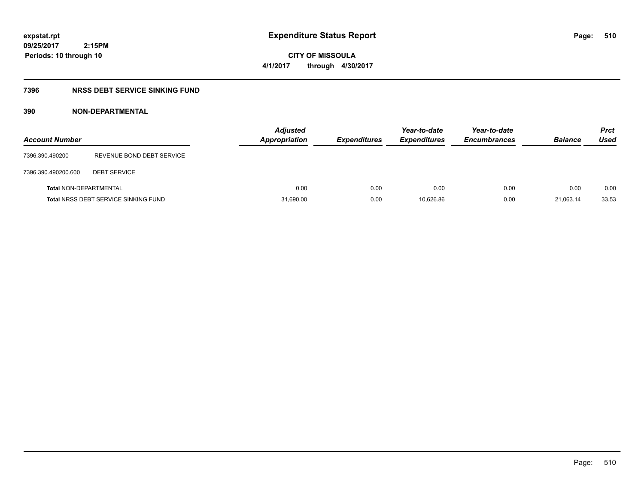# **CITY OF MISSOULA 4/1/2017 through 4/30/2017**

## **7396 NRSS DEBT SERVICE SINKING FUND**

## **390 NON-DEPARTMENTAL**

| <b>Account Number</b>         |                                             | Adjusted<br>Appropriation | <b>Expenditures</b> | Year-to-date<br><b>Expenditures</b> | Year-to-date<br><b>Encumbrances</b> | <b>Balance</b> | <b>Prct</b><br>Used |
|-------------------------------|---------------------------------------------|---------------------------|---------------------|-------------------------------------|-------------------------------------|----------------|---------------------|
| 7396.390.490200               | REVENUE BOND DEBT SERVICE                   |                           |                     |                                     |                                     |                |                     |
| 7396.390.490200.600           | <b>DEBT SERVICE</b>                         |                           |                     |                                     |                                     |                |                     |
| <b>Total NON-DEPARTMENTAL</b> |                                             | 0.00                      | 0.00                | 0.00                                | 0.00                                | 0.00           | 0.00                |
|                               | <b>Total NRSS DEBT SERVICE SINKING FUND</b> | 31,690.00                 | 0.00                | 10.626.86                           | 0.00                                | 21,063.14      | 33.53               |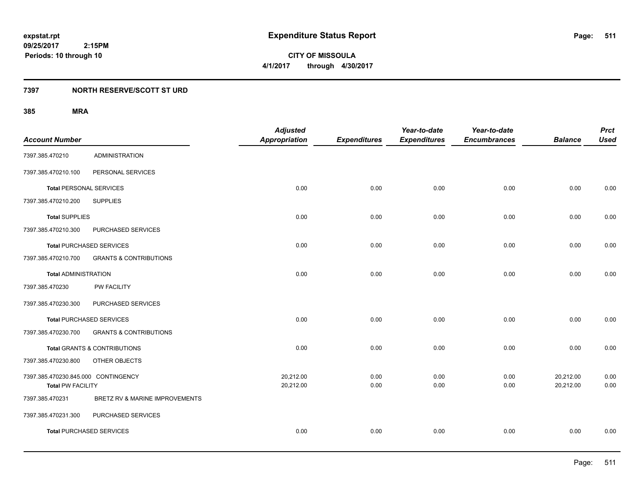**09/25/2017 2:15PM Periods: 10 through 10**

**CITY OF MISSOULA 4/1/2017 through 4/30/2017**

## **7397 NORTH RESERVE/SCOTT ST URD**

|                                     |                                         | <b>Adjusted</b>      |                     | Year-to-date        | Year-to-date        |                | <b>Prct</b> |
|-------------------------------------|-----------------------------------------|----------------------|---------------------|---------------------|---------------------|----------------|-------------|
| <b>Account Number</b>               |                                         | <b>Appropriation</b> | <b>Expenditures</b> | <b>Expenditures</b> | <b>Encumbrances</b> | <b>Balance</b> | <b>Used</b> |
| 7397.385.470210                     | <b>ADMINISTRATION</b>                   |                      |                     |                     |                     |                |             |
| 7397.385.470210.100                 | PERSONAL SERVICES                       |                      |                     |                     |                     |                |             |
| <b>Total PERSONAL SERVICES</b>      |                                         | 0.00                 | 0.00                | 0.00                | 0.00                | 0.00           | 0.00        |
| 7397.385.470210.200                 | <b>SUPPLIES</b>                         |                      |                     |                     |                     |                |             |
| <b>Total SUPPLIES</b>               |                                         | 0.00                 | 0.00                | 0.00                | 0.00                | 0.00           | 0.00        |
| 7397.385.470210.300                 | PURCHASED SERVICES                      |                      |                     |                     |                     |                |             |
| <b>Total PURCHASED SERVICES</b>     |                                         | 0.00                 | 0.00                | 0.00                | 0.00                | 0.00           | 0.00        |
| 7397.385.470210.700                 | <b>GRANTS &amp; CONTRIBUTIONS</b>       |                      |                     |                     |                     |                |             |
| <b>Total ADMINISTRATION</b>         |                                         | 0.00                 | 0.00                | 0.00                | 0.00                | 0.00           | 0.00        |
| 7397.385.470230                     | PW FACILITY                             |                      |                     |                     |                     |                |             |
| 7397.385.470230.300                 | PURCHASED SERVICES                      |                      |                     |                     |                     |                |             |
| <b>Total PURCHASED SERVICES</b>     |                                         | 0.00                 | 0.00                | 0.00                | 0.00                | 0.00           | 0.00        |
| 7397.385.470230.700                 | <b>GRANTS &amp; CONTRIBUTIONS</b>       |                      |                     |                     |                     |                |             |
|                                     | <b>Total GRANTS &amp; CONTRIBUTIONS</b> | 0.00                 | 0.00                | 0.00                | 0.00                | 0.00           | 0.00        |
| 7397.385.470230.800                 | OTHER OBJECTS                           |                      |                     |                     |                     |                |             |
| 7397.385.470230.845.000 CONTINGENCY |                                         | 20,212.00            | 0.00                | 0.00                | 0.00                | 20,212.00      | 0.00        |
| <b>Total PW FACILITY</b>            |                                         | 20,212.00            | 0.00                | 0.00                | 0.00                | 20,212.00      | 0.00        |
| 7397.385.470231                     | BRETZ RV & MARINE IMPROVEMENTS          |                      |                     |                     |                     |                |             |
| 7397.385.470231.300                 | PURCHASED SERVICES                      |                      |                     |                     |                     |                |             |
| <b>Total PURCHASED SERVICES</b>     |                                         | 0.00                 | 0.00                | 0.00                | 0.00                | 0.00           | 0.00        |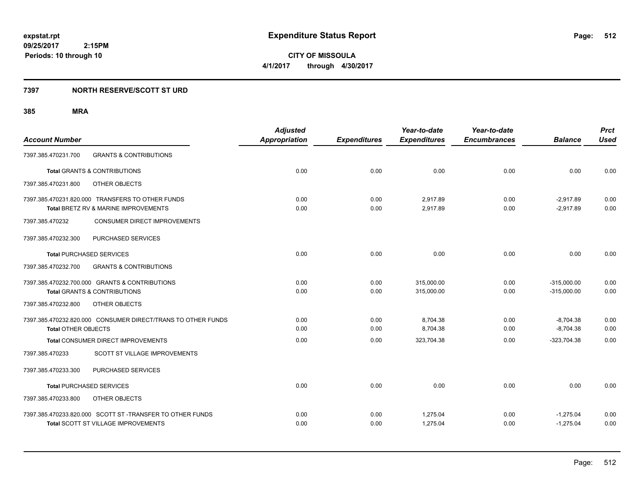**09/25/2017 2:15PM Periods: 10 through 10**

**CITY OF MISSOULA 4/1/2017 through 4/30/2017**

## **7397 NORTH RESERVE/SCOTT ST URD**

| <b>Account Number</b>                                        | <b>Adjusted</b><br><b>Appropriation</b> | <b>Expenditures</b> | Year-to-date<br><b>Expenditures</b> | Year-to-date<br><b>Encumbrances</b> | <b>Balance</b> | <b>Prct</b><br><b>Used</b> |
|--------------------------------------------------------------|-----------------------------------------|---------------------|-------------------------------------|-------------------------------------|----------------|----------------------------|
| <b>GRANTS &amp; CONTRIBUTIONS</b><br>7397.385.470231.700     |                                         |                     |                                     |                                     |                |                            |
| <b>Total GRANTS &amp; CONTRIBUTIONS</b>                      | 0.00                                    | 0.00                | 0.00                                | 0.00                                | 0.00           | 0.00                       |
| OTHER OBJECTS<br>7397.385.470231.800                         |                                         |                     |                                     |                                     |                |                            |
| 7397.385.470231.820.000 TRANSFERS TO OTHER FUNDS             | 0.00                                    | 0.00                | 2,917.89                            | 0.00                                | $-2,917.89$    | 0.00                       |
| Total BRETZ RV & MARINE IMPROVEMENTS                         | 0.00                                    | 0.00                | 2,917.89                            | 0.00                                | $-2,917.89$    | 0.00                       |
| 7397.385.470232<br><b>CONSUMER DIRECT IMPROVEMENTS</b>       |                                         |                     |                                     |                                     |                |                            |
| PURCHASED SERVICES<br>7397.385.470232.300                    |                                         |                     |                                     |                                     |                |                            |
| <b>Total PURCHASED SERVICES</b>                              | 0.00                                    | 0.00                | 0.00                                | 0.00                                | 0.00           | 0.00                       |
| 7397.385.470232.700<br><b>GRANTS &amp; CONTRIBUTIONS</b>     |                                         |                     |                                     |                                     |                |                            |
| 7397.385.470232.700.000 GRANTS & CONTRIBUTIONS               | 0.00                                    | 0.00                | 315,000.00                          | 0.00                                | $-315,000.00$  | 0.00                       |
| <b>Total GRANTS &amp; CONTRIBUTIONS</b>                      | 0.00                                    | 0.00                | 315,000.00                          | 0.00                                | $-315,000.00$  | 0.00                       |
| 7397.385.470232.800<br>OTHER OBJECTS                         |                                         |                     |                                     |                                     |                |                            |
| 7397.385.470232.820.000 CONSUMER DIRECT/TRANS TO OTHER FUNDS | 0.00                                    | 0.00                | 8,704.38                            | 0.00                                | $-8,704.38$    | 0.00                       |
| <b>Total OTHER OBJECTS</b>                                   | 0.00                                    | 0.00                | 8,704.38                            | 0.00                                | $-8,704.38$    | 0.00                       |
| Total CONSUMER DIRECT IMPROVEMENTS                           | 0.00                                    | 0.00                | 323,704.38                          | 0.00                                | $-323,704.38$  | 0.00                       |
| 7397.385.470233<br>SCOTT ST VILLAGE IMPROVEMENTS             |                                         |                     |                                     |                                     |                |                            |
| PURCHASED SERVICES<br>7397.385.470233.300                    |                                         |                     |                                     |                                     |                |                            |
| <b>Total PURCHASED SERVICES</b>                              | 0.00                                    | 0.00                | 0.00                                | 0.00                                | 0.00           | 0.00                       |
| 7397.385.470233.800<br>OTHER OBJECTS                         |                                         |                     |                                     |                                     |                |                            |
| 7397.385.470233.820.000 SCOTT ST-TRANSFER TO OTHER FUNDS     | 0.00                                    | 0.00                | 1,275.04                            | 0.00                                | $-1,275.04$    | 0.00                       |
| <b>Total SCOTT ST VILLAGE IMPROVEMENTS</b>                   | 0.00                                    | 0.00                | 1,275.04                            | 0.00                                | $-1,275.04$    | 0.00                       |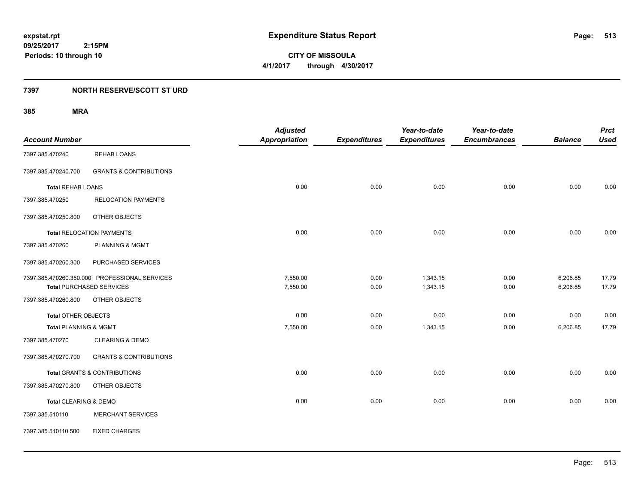**09/25/2017 2:15PM Periods: 10 through 10**

**CITY OF MISSOULA 4/1/2017 through 4/30/2017**

## **7397 NORTH RESERVE/SCOTT ST URD**

|                          |                                               | <b>Adjusted</b>      |                     | Year-to-date        | Year-to-date        |                | <b>Prct</b> |
|--------------------------|-----------------------------------------------|----------------------|---------------------|---------------------|---------------------|----------------|-------------|
| <b>Account Number</b>    |                                               | <b>Appropriation</b> | <b>Expenditures</b> | <b>Expenditures</b> | <b>Encumbrances</b> | <b>Balance</b> | <b>Used</b> |
| 7397.385.470240          | <b>REHAB LOANS</b>                            |                      |                     |                     |                     |                |             |
| 7397.385.470240.700      | <b>GRANTS &amp; CONTRIBUTIONS</b>             |                      |                     |                     |                     |                |             |
| <b>Total REHAB LOANS</b> |                                               | 0.00                 | 0.00                | 0.00                | 0.00                | 0.00           | 0.00        |
| 7397.385.470250          | <b>RELOCATION PAYMENTS</b>                    |                      |                     |                     |                     |                |             |
| 7397.385.470250.800      | OTHER OBJECTS                                 |                      |                     |                     |                     |                |             |
|                          | <b>Total RELOCATION PAYMENTS</b>              | 0.00                 | 0.00                | 0.00                | 0.00                | 0.00           | 0.00        |
| 7397.385.470260          | <b>PLANNING &amp; MGMT</b>                    |                      |                     |                     |                     |                |             |
| 7397.385.470260.300      | PURCHASED SERVICES                            |                      |                     |                     |                     |                |             |
|                          | 7397.385.470260.350.000 PROFESSIONAL SERVICES | 7,550.00             | 0.00                | 1,343.15            | 0.00                | 6,206.85       | 17.79       |
|                          | <b>Total PURCHASED SERVICES</b>               | 7,550.00             | 0.00                | 1,343.15            | 0.00                | 6,206.85       | 17.79       |
| 7397.385.470260.800      | OTHER OBJECTS                                 |                      |                     |                     |                     |                |             |
| Total OTHER OBJECTS      |                                               | 0.00                 | 0.00                | 0.00                | 0.00                | 0.00           | 0.00        |
| Total PLANNING & MGMT    |                                               | 7,550.00             | 0.00                | 1,343.15            | 0.00                | 6,206.85       | 17.79       |
| 7397.385.470270          | <b>CLEARING &amp; DEMO</b>                    |                      |                     |                     |                     |                |             |
| 7397.385.470270.700      | <b>GRANTS &amp; CONTRIBUTIONS</b>             |                      |                     |                     |                     |                |             |
|                          | Total GRANTS & CONTRIBUTIONS                  | 0.00                 | 0.00                | 0.00                | 0.00                | 0.00           | 0.00        |
| 7397.385.470270.800      | OTHER OBJECTS                                 |                      |                     |                     |                     |                |             |
| Total CLEARING & DEMO    |                                               | 0.00                 | 0.00                | 0.00                | 0.00                | 0.00           | 0.00        |
| 7397.385.510110          | <b>MERCHANT SERVICES</b>                      |                      |                     |                     |                     |                |             |
| 7397.385.510110.500      | <b>FIXED CHARGES</b>                          |                      |                     |                     |                     |                |             |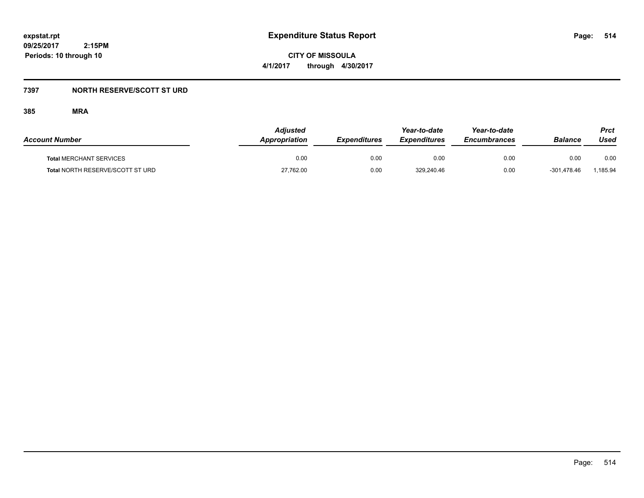**CITY OF MISSOULA 4/1/2017 through 4/30/2017**

## **7397 NORTH RESERVE/SCOTT ST URD**

| <b>Account Number</b>            | Adjusted<br>Appropriation | <b>Expenditures</b> | Year-to-date<br><b>Expenditures</b> | Year-to-date<br><b>Encumbrances</b> | <b>Balance</b> | Prct<br>Used |
|----------------------------------|---------------------------|---------------------|-------------------------------------|-------------------------------------|----------------|--------------|
| <b>Total MERCHANT SERVICES</b>   | 0.00                      | 0.00                | 0.00                                | 0.00                                | 0.00           | 0.00         |
| Total NORTH RESERVE/SCOTT ST URD | 27,762.00                 | 0.00                | 329,240.46                          | 0.00                                | -301.478.46    | 1,185.94     |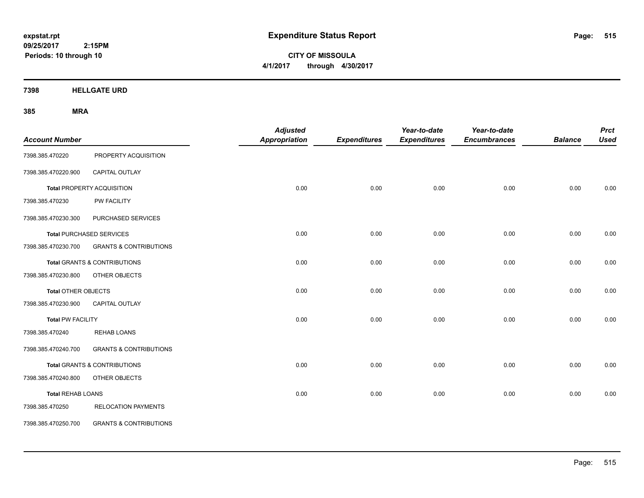**CITY OF MISSOULA 4/1/2017 through 4/30/2017**

**7398 HELLGATE URD**

| <b>Account Number</b>      |                                         | <b>Adjusted</b><br>Appropriation | <b>Expenditures</b> | Year-to-date<br><b>Expenditures</b> | Year-to-date<br><b>Encumbrances</b> | <b>Balance</b> | <b>Prct</b><br><b>Used</b> |
|----------------------------|-----------------------------------------|----------------------------------|---------------------|-------------------------------------|-------------------------------------|----------------|----------------------------|
| 7398.385.470220            | PROPERTY ACQUISITION                    |                                  |                     |                                     |                                     |                |                            |
| 7398.385.470220.900        | CAPITAL OUTLAY                          |                                  |                     |                                     |                                     |                |                            |
|                            | Total PROPERTY ACQUISITION              | 0.00                             | 0.00                | 0.00                                | 0.00                                | 0.00           | 0.00                       |
| 7398.385.470230            | PW FACILITY                             |                                  |                     |                                     |                                     |                |                            |
| 7398.385.470230.300        | PURCHASED SERVICES                      |                                  |                     |                                     |                                     |                |                            |
|                            | <b>Total PURCHASED SERVICES</b>         | 0.00                             | 0.00                | 0.00                                | 0.00                                | 0.00           | 0.00                       |
| 7398.385.470230.700        | <b>GRANTS &amp; CONTRIBUTIONS</b>       |                                  |                     |                                     |                                     |                |                            |
|                            | <b>Total GRANTS &amp; CONTRIBUTIONS</b> | 0.00                             | 0.00                | 0.00                                | 0.00                                | 0.00           | 0.00                       |
| 7398.385.470230.800        | OTHER OBJECTS                           |                                  |                     |                                     |                                     |                |                            |
| <b>Total OTHER OBJECTS</b> |                                         | 0.00                             | 0.00                | 0.00                                | 0.00                                | 0.00           | 0.00                       |
| 7398.385.470230.900        | <b>CAPITAL OUTLAY</b>                   |                                  |                     |                                     |                                     |                |                            |
| <b>Total PW FACILITY</b>   |                                         | 0.00                             | 0.00                | 0.00                                | 0.00                                | 0.00           | 0.00                       |
| 7398.385.470240            | <b>REHAB LOANS</b>                      |                                  |                     |                                     |                                     |                |                            |
| 7398.385.470240.700        | <b>GRANTS &amp; CONTRIBUTIONS</b>       |                                  |                     |                                     |                                     |                |                            |
|                            | <b>Total GRANTS &amp; CONTRIBUTIONS</b> | 0.00                             | 0.00                | 0.00                                | 0.00                                | 0.00           | 0.00                       |
| 7398.385.470240.800        | OTHER OBJECTS                           |                                  |                     |                                     |                                     |                |                            |
| <b>Total REHAB LOANS</b>   |                                         | 0.00                             | 0.00                | 0.00                                | 0.00                                | 0.00           | 0.00                       |
| 7398.385.470250            | <b>RELOCATION PAYMENTS</b>              |                                  |                     |                                     |                                     |                |                            |
| 7398.385.470250.700        | <b>GRANTS &amp; CONTRIBUTIONS</b>       |                                  |                     |                                     |                                     |                |                            |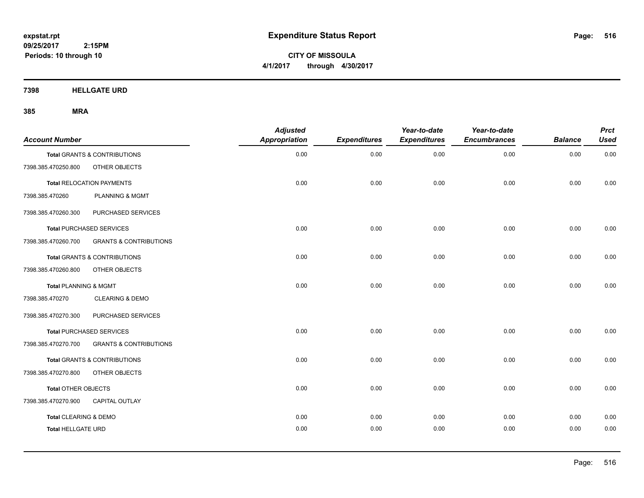**CITY OF MISSOULA 4/1/2017 through 4/30/2017**

**7398 HELLGATE URD**

| <b>Account Number</b>            |                                         | <b>Adjusted</b><br><b>Appropriation</b> | <b>Expenditures</b> | Year-to-date<br><b>Expenditures</b> | Year-to-date<br><b>Encumbrances</b> | <b>Balance</b> | <b>Prct</b><br><b>Used</b> |
|----------------------------------|-----------------------------------------|-----------------------------------------|---------------------|-------------------------------------|-------------------------------------|----------------|----------------------------|
|                                  | <b>Total GRANTS &amp; CONTRIBUTIONS</b> | 0.00                                    | 0.00                | 0.00                                | 0.00                                | 0.00           | 0.00                       |
| 7398.385.470250.800              | OTHER OBJECTS                           |                                         |                     |                                     |                                     |                |                            |
|                                  | <b>Total RELOCATION PAYMENTS</b>        | 0.00                                    | 0.00                | 0.00                                | 0.00                                | 0.00           | 0.00                       |
| 7398.385.470260                  | PLANNING & MGMT                         |                                         |                     |                                     |                                     |                |                            |
| 7398.385.470260.300              | PURCHASED SERVICES                      |                                         |                     |                                     |                                     |                |                            |
|                                  | <b>Total PURCHASED SERVICES</b>         | 0.00                                    | 0.00                | 0.00                                | 0.00                                | 0.00           | 0.00                       |
| 7398.385.470260.700              | <b>GRANTS &amp; CONTRIBUTIONS</b>       |                                         |                     |                                     |                                     |                |                            |
|                                  | <b>Total GRANTS &amp; CONTRIBUTIONS</b> | 0.00                                    | 0.00                | 0.00                                | 0.00                                | 0.00           | 0.00                       |
| 7398.385.470260.800              | OTHER OBJECTS                           |                                         |                     |                                     |                                     |                |                            |
| <b>Total PLANNING &amp; MGMT</b> |                                         | 0.00                                    | 0.00                | 0.00                                | 0.00                                | 0.00           | 0.00                       |
| 7398.385.470270                  | <b>CLEARING &amp; DEMO</b>              |                                         |                     |                                     |                                     |                |                            |
| 7398.385.470270.300              | PURCHASED SERVICES                      |                                         |                     |                                     |                                     |                |                            |
|                                  | <b>Total PURCHASED SERVICES</b>         | 0.00                                    | 0.00                | 0.00                                | 0.00                                | 0.00           | 0.00                       |
| 7398.385.470270.700              | <b>GRANTS &amp; CONTRIBUTIONS</b>       |                                         |                     |                                     |                                     |                |                            |
|                                  | <b>Total GRANTS &amp; CONTRIBUTIONS</b> | 0.00                                    | 0.00                | 0.00                                | 0.00                                | 0.00           | 0.00                       |
| 7398.385.470270.800              | OTHER OBJECTS                           |                                         |                     |                                     |                                     |                |                            |
| Total OTHER OBJECTS              |                                         | 0.00                                    | 0.00                | 0.00                                | 0.00                                | 0.00           | 0.00                       |
| 7398.385.470270.900              | <b>CAPITAL OUTLAY</b>                   |                                         |                     |                                     |                                     |                |                            |
| <b>Total CLEARING &amp; DEMO</b> |                                         | 0.00                                    | 0.00                | 0.00                                | 0.00                                | 0.00           | 0.00                       |
| <b>Total HELLGATE URD</b>        |                                         | 0.00                                    | 0.00                | 0.00                                | 0.00                                | 0.00           | 0.00                       |
|                                  |                                         |                                         |                     |                                     |                                     |                |                            |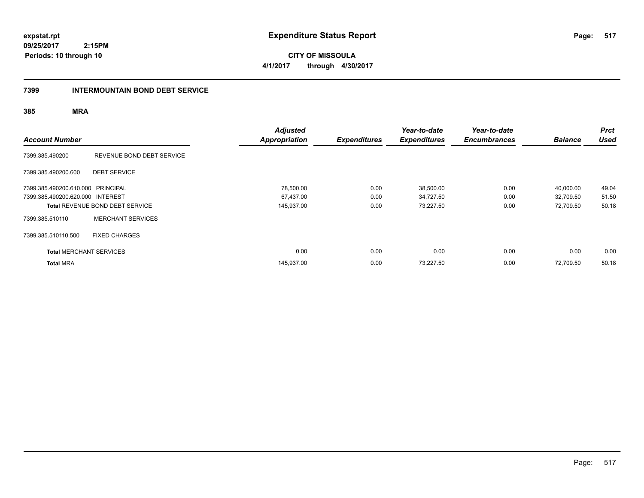**09/25/2017 2:15PM Periods: 10 through 10**

**CITY OF MISSOULA 4/1/2017 through 4/30/2017**

### **7399 INTERMOUNTAIN BOND DEBT SERVICE**

| <b>Account Number</b>             |                                        | <b>Adjusted</b><br><b>Appropriation</b> | <b>Expenditures</b> | Year-to-date<br><b>Expenditures</b> | Year-to-date<br><b>Encumbrances</b> | <b>Balance</b> | <b>Prct</b><br><b>Used</b> |
|-----------------------------------|----------------------------------------|-----------------------------------------|---------------------|-------------------------------------|-------------------------------------|----------------|----------------------------|
| 7399.385.490200                   | REVENUE BOND DEBT SERVICE              |                                         |                     |                                     |                                     |                |                            |
| 7399.385.490200.600               | <b>DEBT SERVICE</b>                    |                                         |                     |                                     |                                     |                |                            |
| 7399.385.490200.610.000 PRINCIPAL |                                        | 78,500.00                               | 0.00                | 38,500.00                           | 0.00                                | 40,000.00      | 49.04                      |
| 7399.385.490200.620.000 INTEREST  |                                        | 67,437.00                               | 0.00                | 34,727.50                           | 0.00                                | 32,709.50      | 51.50                      |
|                                   | <b>Total REVENUE BOND DEBT SERVICE</b> | 145,937.00                              | 0.00                | 73,227.50                           | 0.00                                | 72,709.50      | 50.18                      |
| 7399.385.510110                   | <b>MERCHANT SERVICES</b>               |                                         |                     |                                     |                                     |                |                            |
| 7399.385.510110.500               | <b>FIXED CHARGES</b>                   |                                         |                     |                                     |                                     |                |                            |
| <b>Total MERCHANT SERVICES</b>    |                                        | 0.00                                    | 0.00                | 0.00                                | 0.00                                | 0.00           | 0.00                       |
| <b>Total MRA</b>                  |                                        | 145,937.00                              | 0.00                | 73,227.50                           | 0.00                                | 72.709.50      | 50.18                      |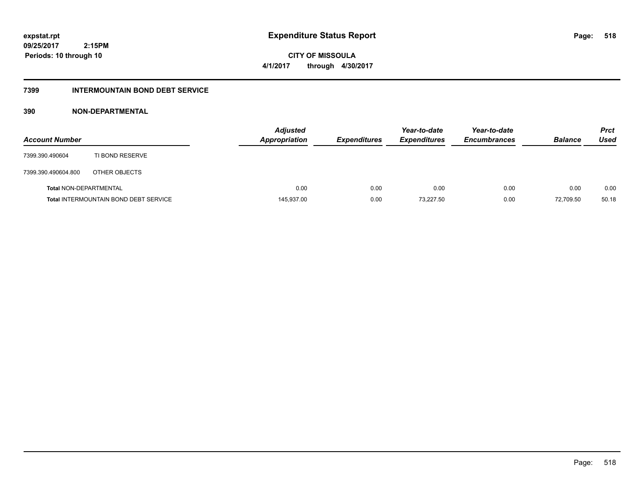**09/25/2017 2:15PM Periods: 10 through 10**

**CITY OF MISSOULA 4/1/2017 through 4/30/2017**

## **7399 INTERMOUNTAIN BOND DEBT SERVICE**

## **390 NON-DEPARTMENTAL**

| <b>Account Number</b>         |                                              | <b>Adjusted</b><br>Appropriation | <b>Expenditures</b> | Year-to-date<br><b>Expenditures</b> | Year-to-date<br><b>Encumbrances</b> | <b>Balance</b> | <b>Prct</b><br>Used |
|-------------------------------|----------------------------------------------|----------------------------------|---------------------|-------------------------------------|-------------------------------------|----------------|---------------------|
| 7399.390.490604               | TI BOND RESERVE                              |                                  |                     |                                     |                                     |                |                     |
| 7399.390.490604.800           | OTHER OBJECTS                                |                                  |                     |                                     |                                     |                |                     |
| <b>Total NON-DEPARTMENTAL</b> |                                              | 0.00                             | 0.00                | 0.00                                | 0.00                                | 0.00           | 0.00                |
|                               | <b>Total INTERMOUNTAIN BOND DEBT SERVICE</b> | 145,937.00                       | 0.00                | 73.227.50                           | 0.00                                | 72.709.50      | 50.18               |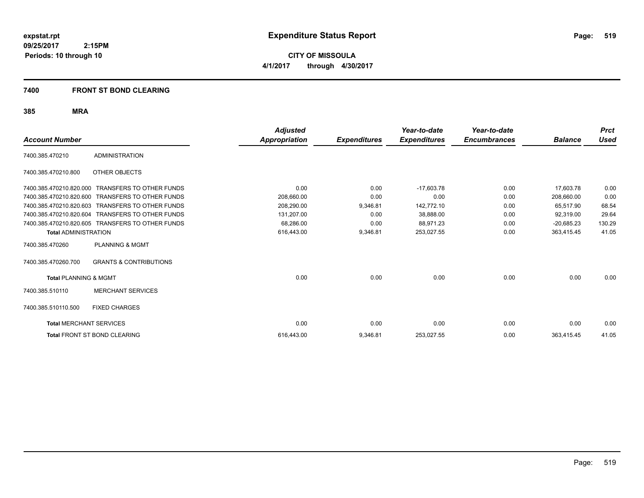**CITY OF MISSOULA 4/1/2017 through 4/30/2017**

## **7400 FRONT ST BOND CLEARING**

| <b>Account Number</b>            |                                                  | <b>Adjusted</b><br><b>Appropriation</b> | <b>Expenditures</b> | Year-to-date<br><b>Expenditures</b> | Year-to-date<br><b>Encumbrances</b> | <b>Balance</b> | <b>Prct</b><br><b>Used</b> |
|----------------------------------|--------------------------------------------------|-----------------------------------------|---------------------|-------------------------------------|-------------------------------------|----------------|----------------------------|
| 7400.385.470210                  | <b>ADMINISTRATION</b>                            |                                         |                     |                                     |                                     |                |                            |
| 7400.385.470210.800              | <b>OTHER OBJECTS</b>                             |                                         |                     |                                     |                                     |                |                            |
| 7400.385.470210.820.000          | <b>TRANSFERS TO OTHER FUNDS</b>                  | 0.00                                    | 0.00                | $-17.603.78$                        | 0.00                                | 17.603.78      | 0.00                       |
| 7400.385.470210.820.600          | <b>TRANSFERS TO OTHER FUNDS</b>                  | 208,660.00                              | 0.00                | 0.00                                | 0.00                                | 208,660.00     | 0.00                       |
| 7400.385.470210.820.603          | <b>TRANSFERS TO OTHER FUNDS</b>                  | 208,290.00                              | 9,346.81            | 142.772.10                          | 0.00                                | 65,517.90      | 68.54                      |
| 7400.385.470210.820.604          | <b>TRANSFERS TO OTHER FUNDS</b>                  | 131,207.00                              | 0.00                | 38,888.00                           | 0.00                                | 92,319.00      | 29.64                      |
|                                  | 7400.385.470210.820.605 TRANSFERS TO OTHER FUNDS | 68,286.00                               | 0.00                | 88,971.23                           | 0.00                                | $-20,685.23$   | 130.29                     |
| <b>Total ADMINISTRATION</b>      |                                                  | 616,443.00                              | 9,346.81            | 253,027.55                          | 0.00                                | 363,415.45     | 41.05                      |
| 7400.385.470260                  | <b>PLANNING &amp; MGMT</b>                       |                                         |                     |                                     |                                     |                |                            |
| 7400.385.470260.700              | <b>GRANTS &amp; CONTRIBUTIONS</b>                |                                         |                     |                                     |                                     |                |                            |
| <b>Total PLANNING &amp; MGMT</b> |                                                  | 0.00                                    | 0.00                | 0.00                                | 0.00                                | 0.00           | 0.00                       |
| 7400.385.510110                  | <b>MERCHANT SERVICES</b>                         |                                         |                     |                                     |                                     |                |                            |
| 7400.385.510110.500              | <b>FIXED CHARGES</b>                             |                                         |                     |                                     |                                     |                |                            |
| <b>Total MERCHANT SERVICES</b>   |                                                  | 0.00                                    | 0.00                | 0.00                                | 0.00                                | 0.00           | 0.00                       |
|                                  | <b>Total FRONT ST BOND CLEARING</b>              | 616,443.00                              | 9,346.81            | 253,027.55                          | 0.00                                | 363,415.45     | 41.05                      |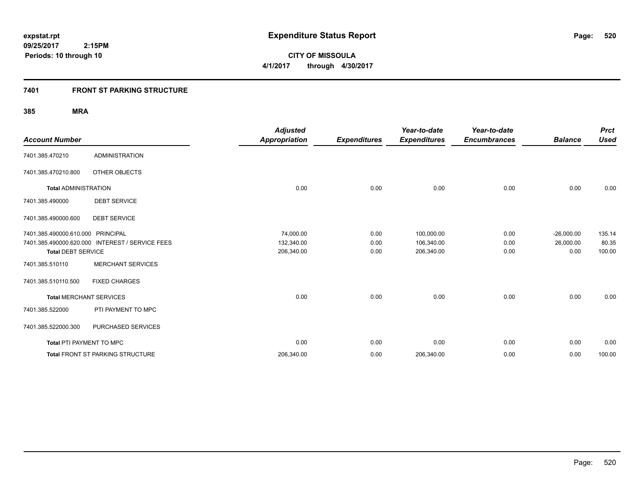**09/25/2017 2:15PM Periods: 10 through 10**

**CITY OF MISSOULA 4/1/2017 through 4/30/2017**

## **7401 FRONT ST PARKING STRUCTURE**

| <b>Account Number</b>             |                                                 | <b>Adjusted</b><br><b>Appropriation</b> | <b>Expenditures</b> | Year-to-date<br><b>Expenditures</b> | Year-to-date<br><b>Encumbrances</b> | <b>Balance</b> | <b>Prct</b><br><b>Used</b> |
|-----------------------------------|-------------------------------------------------|-----------------------------------------|---------------------|-------------------------------------|-------------------------------------|----------------|----------------------------|
| 7401.385.470210                   | <b>ADMINISTRATION</b>                           |                                         |                     |                                     |                                     |                |                            |
| 7401.385.470210.800               | OTHER OBJECTS                                   |                                         |                     |                                     |                                     |                |                            |
| <b>Total ADMINISTRATION</b>       |                                                 | 0.00                                    | 0.00                | 0.00                                | 0.00                                | 0.00           | 0.00                       |
| 7401.385.490000                   | <b>DEBT SERVICE</b>                             |                                         |                     |                                     |                                     |                |                            |
| 7401.385.490000.600               | <b>DEBT SERVICE</b>                             |                                         |                     |                                     |                                     |                |                            |
| 7401.385.490000.610.000 PRINCIPAL |                                                 | 74,000.00                               | 0.00                | 100,000.00                          | 0.00                                | $-26,000.00$   | 135.14                     |
|                                   | 7401.385.490000.620.000 INTEREST / SERVICE FEES | 132,340.00                              | 0.00                | 106,340.00                          | 0.00                                | 26,000.00      | 80.35                      |
| <b>Total DEBT SERVICE</b>         |                                                 | 206,340.00                              | 0.00                | 206,340.00                          | 0.00                                | 0.00           | 100.00                     |
| 7401.385.510110                   | <b>MERCHANT SERVICES</b>                        |                                         |                     |                                     |                                     |                |                            |
| 7401.385.510110.500               | <b>FIXED CHARGES</b>                            |                                         |                     |                                     |                                     |                |                            |
| <b>Total MERCHANT SERVICES</b>    |                                                 | 0.00                                    | 0.00                | 0.00                                | 0.00                                | 0.00           | 0.00                       |
| 7401.385.522000                   | PTI PAYMENT TO MPC                              |                                         |                     |                                     |                                     |                |                            |
| 7401.385.522000.300               | PURCHASED SERVICES                              |                                         |                     |                                     |                                     |                |                            |
| Total PTI PAYMENT TO MPC          |                                                 | 0.00                                    | 0.00                | 0.00                                | 0.00                                | 0.00           | 0.00                       |
|                                   | <b>Total FRONT ST PARKING STRUCTURE</b>         | 206,340.00                              | 0.00                | 206,340.00                          | 0.00                                | 0.00           | 100.00                     |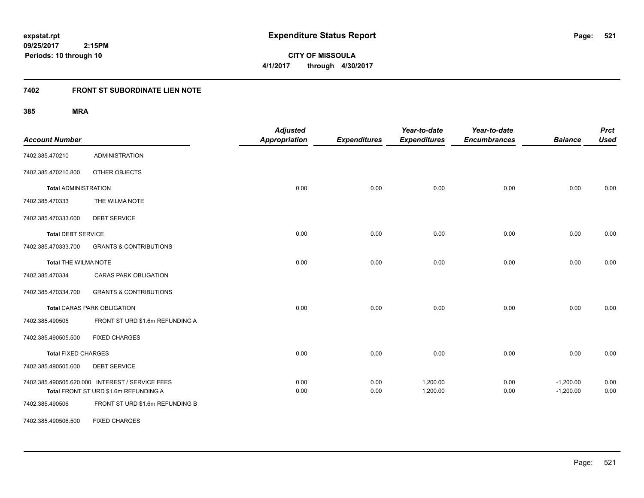**CITY OF MISSOULA 4/1/2017 through 4/30/2017**

# **7402 FRONT ST SUBORDINATE LIEN NOTE**

| <b>Account Number</b>       |                                                                                          | <b>Adjusted</b><br><b>Appropriation</b> | <b>Expenditures</b> | Year-to-date<br><b>Expenditures</b> | Year-to-date<br><b>Encumbrances</b> | <b>Balance</b>             | <b>Prct</b><br><b>Used</b> |
|-----------------------------|------------------------------------------------------------------------------------------|-----------------------------------------|---------------------|-------------------------------------|-------------------------------------|----------------------------|----------------------------|
| 7402.385.470210             | <b>ADMINISTRATION</b>                                                                    |                                         |                     |                                     |                                     |                            |                            |
| 7402.385.470210.800         | OTHER OBJECTS                                                                            |                                         |                     |                                     |                                     |                            |                            |
| <b>Total ADMINISTRATION</b> |                                                                                          | 0.00                                    | 0.00                | 0.00                                | 0.00                                | 0.00                       | 0.00                       |
| 7402.385.470333             | THE WILMA NOTE                                                                           |                                         |                     |                                     |                                     |                            |                            |
| 7402.385.470333.600         | <b>DEBT SERVICE</b>                                                                      |                                         |                     |                                     |                                     |                            |                            |
| Total DEBT SERVICE          |                                                                                          | 0.00                                    | 0.00                | 0.00                                | 0.00                                | 0.00                       | 0.00                       |
| 7402.385.470333.700         | <b>GRANTS &amp; CONTRIBUTIONS</b>                                                        |                                         |                     |                                     |                                     |                            |                            |
| <b>Total THE WILMA NOTE</b> |                                                                                          | 0.00                                    | 0.00                | 0.00                                | 0.00                                | 0.00                       | 0.00                       |
| 7402.385.470334             | <b>CARAS PARK OBLIGATION</b>                                                             |                                         |                     |                                     |                                     |                            |                            |
| 7402.385.470334.700         | <b>GRANTS &amp; CONTRIBUTIONS</b>                                                        |                                         |                     |                                     |                                     |                            |                            |
|                             | <b>Total CARAS PARK OBLIGATION</b>                                                       | 0.00                                    | 0.00                | 0.00                                | 0.00                                | 0.00                       | 0.00                       |
| 7402.385.490505             | FRONT ST URD \$1.6m REFUNDING A                                                          |                                         |                     |                                     |                                     |                            |                            |
| 7402.385.490505.500         | <b>FIXED CHARGES</b>                                                                     |                                         |                     |                                     |                                     |                            |                            |
| <b>Total FIXED CHARGES</b>  |                                                                                          | 0.00                                    | 0.00                | 0.00                                | 0.00                                | 0.00                       | 0.00                       |
| 7402.385.490505.600         | <b>DEBT SERVICE</b>                                                                      |                                         |                     |                                     |                                     |                            |                            |
|                             | 7402.385.490505.620.000 INTEREST / SERVICE FEES<br>Total FRONT ST URD \$1.6m REFUNDING A | 0.00<br>0.00                            | 0.00<br>0.00        | 1,200.00<br>1,200.00                | 0.00<br>0.00                        | $-1,200.00$<br>$-1,200.00$ | 0.00<br>0.00               |
| 7402.385.490506             | FRONT ST URD \$1.6m REFUNDING B                                                          |                                         |                     |                                     |                                     |                            |                            |
| 7402.385.490506.500         | <b>FIXED CHARGES</b>                                                                     |                                         |                     |                                     |                                     |                            |                            |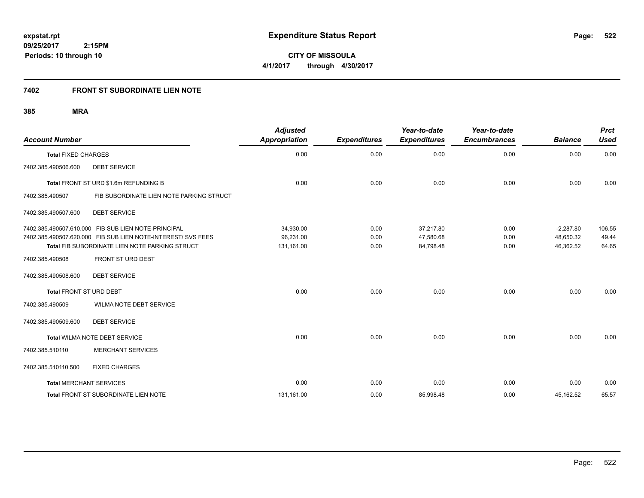**09/25/2017 2:15PM Periods: 10 through 10**

**CITY OF MISSOULA 4/1/2017 through 4/30/2017**

# **7402 FRONT ST SUBORDINATE LIEN NOTE**

| <b>Account Number</b>          |                                                                                                                | <b>Adjusted</b><br><b>Appropriation</b> | <b>Expenditures</b> | Year-to-date<br><b>Expenditures</b> | Year-to-date<br><b>Encumbrances</b> | <b>Balance</b>         | <b>Prct</b><br><b>Used</b> |
|--------------------------------|----------------------------------------------------------------------------------------------------------------|-----------------------------------------|---------------------|-------------------------------------|-------------------------------------|------------------------|----------------------------|
| <b>Total FIXED CHARGES</b>     |                                                                                                                | 0.00                                    | 0.00                | 0.00                                | 0.00                                | 0.00                   | 0.00                       |
| 7402.385.490506.600            | <b>DEBT SERVICE</b>                                                                                            |                                         |                     |                                     |                                     |                        |                            |
|                                | Total FRONT ST URD \$1.6m REFUNDING B                                                                          | 0.00                                    | 0.00                | 0.00                                | 0.00                                | 0.00                   | 0.00                       |
| 7402.385.490507                | FIB SUBORDINATE LIEN NOTE PARKING STRUCT                                                                       |                                         |                     |                                     |                                     |                        |                            |
| 7402.385.490507.600            | <b>DEBT SERVICE</b>                                                                                            |                                         |                     |                                     |                                     |                        |                            |
|                                | 7402.385.490507.610.000 FIB SUB LIEN NOTE-PRINCIPAL                                                            | 34,930.00                               | 0.00                | 37,217.80                           | 0.00                                | $-2,287.80$            | 106.55                     |
|                                | 7402.385.490507.620.000 FIB SUB LIEN NOTE-INTEREST/ SVS FEES<br>Total FIB SUBORDINATE LIEN NOTE PARKING STRUCT | 96,231.00<br>131,161.00                 | 0.00<br>0.00        | 47,580.68<br>84,798.48              | 0.00<br>0.00                        | 48,650.32<br>46,362.52 | 49.44<br>64.65             |
| 7402.385.490508                | FRONT ST URD DEBT                                                                                              |                                         |                     |                                     |                                     |                        |                            |
| 7402.385.490508.600            | <b>DEBT SERVICE</b>                                                                                            |                                         |                     |                                     |                                     |                        |                            |
| Total FRONT ST URD DEBT        |                                                                                                                | 0.00                                    | 0.00                | 0.00                                | 0.00                                | 0.00                   | 0.00                       |
| 7402.385.490509                | <b>WILMA NOTE DEBT SERVICE</b>                                                                                 |                                         |                     |                                     |                                     |                        |                            |
| 7402.385.490509.600            | <b>DEBT SERVICE</b>                                                                                            |                                         |                     |                                     |                                     |                        |                            |
|                                | <b>Total WILMA NOTE DEBT SERVICE</b>                                                                           | 0.00                                    | 0.00                | 0.00                                | 0.00                                | 0.00                   | 0.00                       |
| 7402.385.510110                | <b>MERCHANT SERVICES</b>                                                                                       |                                         |                     |                                     |                                     |                        |                            |
| 7402.385.510110.500            | <b>FIXED CHARGES</b>                                                                                           |                                         |                     |                                     |                                     |                        |                            |
| <b>Total MERCHANT SERVICES</b> |                                                                                                                | 0.00                                    | 0.00                | 0.00                                | 0.00                                | 0.00                   | 0.00                       |
|                                | <b>Total FRONT ST SUBORDINATE LIEN NOTE</b>                                                                    | 131,161.00                              | 0.00                | 85,998.48                           | 0.00                                | 45,162.52              | 65.57                      |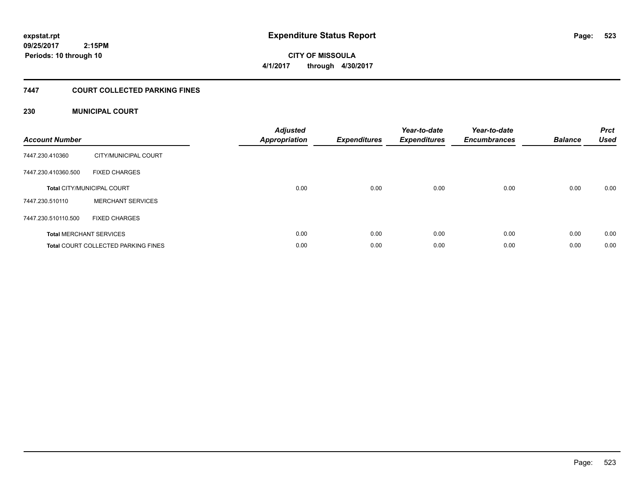# **CITY OF MISSOULA 4/1/2017 through 4/30/2017**

## **7447 COURT COLLECTED PARKING FINES**

## **230 MUNICIPAL COURT**

| <b>Account Number</b> |                                            | <b>Adjusted</b><br><b>Appropriation</b> | <b>Expenditures</b> | Year-to-date<br><b>Expenditures</b> | Year-to-date<br><b>Encumbrances</b> | <b>Balance</b> | <b>Prct</b><br><b>Used</b> |
|-----------------------|--------------------------------------------|-----------------------------------------|---------------------|-------------------------------------|-------------------------------------|----------------|----------------------------|
| 7447.230.410360       | CITY/MUNICIPAL COURT                       |                                         |                     |                                     |                                     |                |                            |
| 7447.230.410360.500   | <b>FIXED CHARGES</b>                       |                                         |                     |                                     |                                     |                |                            |
|                       | <b>Total CITY/MUNICIPAL COURT</b>          | 0.00                                    | 0.00                | 0.00                                | 0.00                                | 0.00           | 0.00                       |
| 7447.230.510110       | <b>MERCHANT SERVICES</b>                   |                                         |                     |                                     |                                     |                |                            |
| 7447.230.510110.500   | <b>FIXED CHARGES</b>                       |                                         |                     |                                     |                                     |                |                            |
|                       | <b>Total MERCHANT SERVICES</b>             | 0.00                                    | 0.00                | 0.00                                | 0.00                                | 0.00           | 0.00                       |
|                       | <b>Total COURT COLLECTED PARKING FINES</b> | 0.00                                    | 0.00                | 0.00                                | 0.00                                | 0.00           | 0.00                       |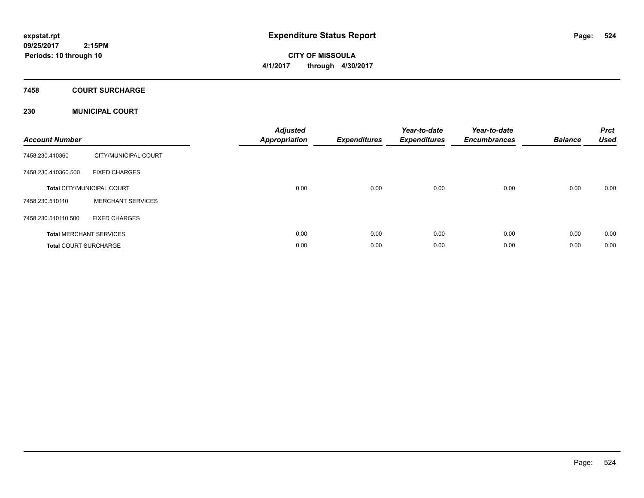**CITY OF MISSOULA 4/1/2017 through 4/30/2017**

### **7458 COURT SURCHARGE**

## **230 MUNICIPAL COURT**

| <b>Account Number</b>        |                                   | <b>Adjusted</b><br>Appropriation | Expenditures | Year-to-date<br><b>Expenditures</b> | Year-to-date<br><b>Encumbrances</b> | <b>Balance</b> | <b>Prct</b><br><b>Used</b> |
|------------------------------|-----------------------------------|----------------------------------|--------------|-------------------------------------|-------------------------------------|----------------|----------------------------|
| 7458.230.410360              | CITY/MUNICIPAL COURT              |                                  |              |                                     |                                     |                |                            |
| 7458.230.410360.500          | <b>FIXED CHARGES</b>              |                                  |              |                                     |                                     |                |                            |
|                              | <b>Total CITY/MUNICIPAL COURT</b> | 0.00                             | 0.00         | 0.00                                | 0.00                                | 0.00           | 0.00                       |
| 7458.230.510110              | <b>MERCHANT SERVICES</b>          |                                  |              |                                     |                                     |                |                            |
| 7458.230.510110.500          | <b>FIXED CHARGES</b>              |                                  |              |                                     |                                     |                |                            |
|                              | <b>Total MERCHANT SERVICES</b>    | 0.00                             | 0.00         | 0.00                                | 0.00                                | 0.00           | 0.00                       |
| <b>Total COURT SURCHARGE</b> |                                   | 0.00                             | 0.00         | 0.00                                | 0.00                                | 0.00           | 0.00                       |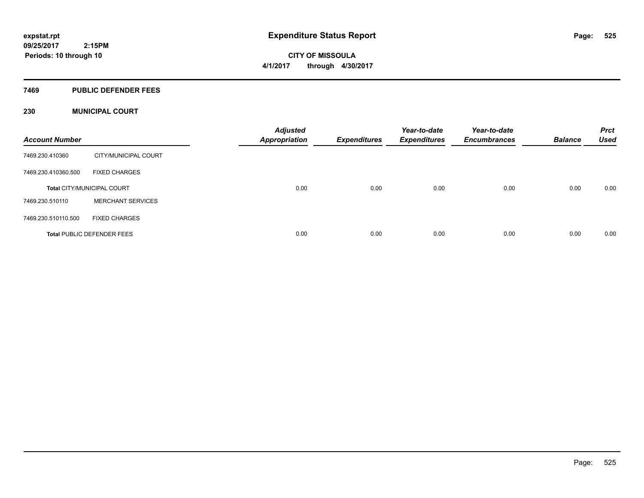**CITY OF MISSOULA 4/1/2017 through 4/30/2017**

### **7469 PUBLIC DEFENDER FEES**

## **230 MUNICIPAL COURT**

| <b>Account Number</b> |                                   | <b>Adjusted</b><br><b>Appropriation</b> | Expenditures | Year-to-date<br><b>Expenditures</b> | Year-to-date<br><b>Encumbrances</b> | <b>Balance</b> | <b>Prct</b><br><b>Used</b> |
|-----------------------|-----------------------------------|-----------------------------------------|--------------|-------------------------------------|-------------------------------------|----------------|----------------------------|
| 7469.230.410360       | CITY/MUNICIPAL COURT              |                                         |              |                                     |                                     |                |                            |
| 7469.230.410360.500   | <b>FIXED CHARGES</b>              |                                         |              |                                     |                                     |                |                            |
|                       | <b>Total CITY/MUNICIPAL COURT</b> | 0.00                                    | 0.00         | 0.00                                | 0.00                                | 0.00           | 0.00                       |
| 7469.230.510110       | <b>MERCHANT SERVICES</b>          |                                         |              |                                     |                                     |                |                            |
| 7469.230.510110.500   | <b>FIXED CHARGES</b>              |                                         |              |                                     |                                     |                |                            |
|                       | <b>Total PUBLIC DEFENDER FEES</b> | 0.00                                    | 0.00         | 0.00                                | 0.00                                | 0.00           | 0.00                       |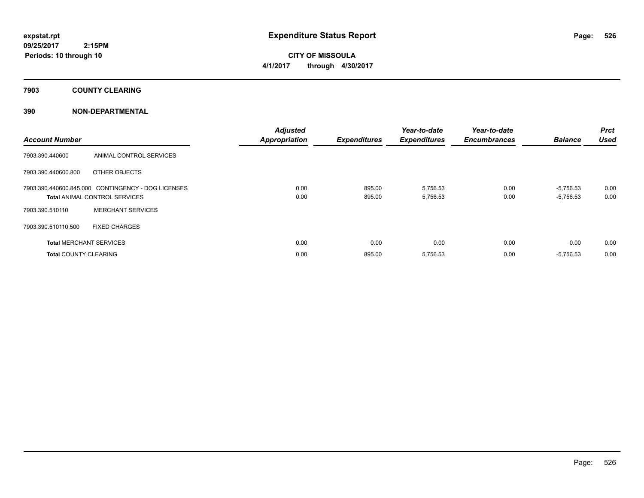**CITY OF MISSOULA 4/1/2017 through 4/30/2017**

**7903 COUNTY CLEARING**

## **390 NON-DEPARTMENTAL**

| <b>Account Number</b>          |                                                                                            | <b>Adjusted</b><br><b>Appropriation</b> | <b>Expenditures</b> | Year-to-date<br><b>Expenditures</b> | Year-to-date<br><b>Encumbrances</b> | <b>Balance</b>             | <b>Prct</b><br><b>Used</b> |
|--------------------------------|--------------------------------------------------------------------------------------------|-----------------------------------------|---------------------|-------------------------------------|-------------------------------------|----------------------------|----------------------------|
| 7903.390.440600                | ANIMAL CONTROL SERVICES                                                                    |                                         |                     |                                     |                                     |                            |                            |
| 7903.390.440600.800            | OTHER OBJECTS                                                                              |                                         |                     |                                     |                                     |                            |                            |
|                                | 7903.390.440600.845.000 CONTINGENCY - DOG LICENSES<br><b>Total ANIMAL CONTROL SERVICES</b> | 0.00<br>0.00                            | 895.00<br>895.00    | 5,756.53<br>5,756.53                | 0.00<br>0.00                        | $-5.756.53$<br>$-5,756.53$ | 0.00<br>0.00               |
| 7903.390.510110                | <b>MERCHANT SERVICES</b>                                                                   |                                         |                     |                                     |                                     |                            |                            |
| 7903.390.510110.500            | <b>FIXED CHARGES</b>                                                                       |                                         |                     |                                     |                                     |                            |                            |
| <b>Total MERCHANT SERVICES</b> |                                                                                            | 0.00                                    | 0.00                | 0.00                                | 0.00                                | 0.00                       | 0.00                       |
| <b>Total COUNTY CLEARING</b>   |                                                                                            | 0.00                                    | 895.00              | 5,756.53                            | 0.00                                | $-5,756.53$                | 0.00                       |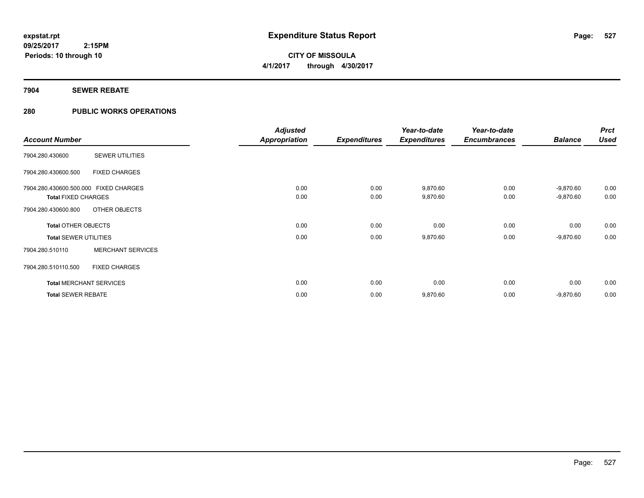# **CITY OF MISSOULA 4/1/2017 through 4/30/2017**

## **7904 SEWER REBATE**

## **280 PUBLIC WORKS OPERATIONS**

|                                       |                                | <b>Adjusted</b>      |                     | Year-to-date        | Year-to-date        |                | <b>Prct</b> |
|---------------------------------------|--------------------------------|----------------------|---------------------|---------------------|---------------------|----------------|-------------|
| <b>Account Number</b>                 |                                | <b>Appropriation</b> | <b>Expenditures</b> | <b>Expenditures</b> | <b>Encumbrances</b> | <b>Balance</b> | <b>Used</b> |
| 7904.280.430600                       | <b>SEWER UTILITIES</b>         |                      |                     |                     |                     |                |             |
| 7904.280.430600.500                   | <b>FIXED CHARGES</b>           |                      |                     |                     |                     |                |             |
| 7904.280.430600.500.000 FIXED CHARGES |                                | 0.00                 | 0.00                | 9,870.60            | 0.00                | $-9,870.60$    | 0.00        |
| <b>Total FIXED CHARGES</b>            |                                | 0.00                 | 0.00                | 9,870.60            | 0.00                | $-9,870.60$    | 0.00        |
| 7904.280.430600.800                   | OTHER OBJECTS                  |                      |                     |                     |                     |                |             |
| <b>Total OTHER OBJECTS</b>            |                                | 0.00                 | 0.00                | 0.00                | 0.00                | 0.00           | 0.00        |
| <b>Total SEWER UTILITIES</b>          |                                | 0.00                 | 0.00                | 9,870.60            | 0.00                | $-9,870.60$    | 0.00        |
| 7904.280.510110                       | <b>MERCHANT SERVICES</b>       |                      |                     |                     |                     |                |             |
| 7904.280.510110.500                   | <b>FIXED CHARGES</b>           |                      |                     |                     |                     |                |             |
|                                       | <b>Total MERCHANT SERVICES</b> | 0.00                 | 0.00                | 0.00                | 0.00                | 0.00           | 0.00        |
| <b>Total SEWER REBATE</b>             |                                | 0.00                 | 0.00                | 9,870.60            | 0.00                | $-9,870.60$    | 0.00        |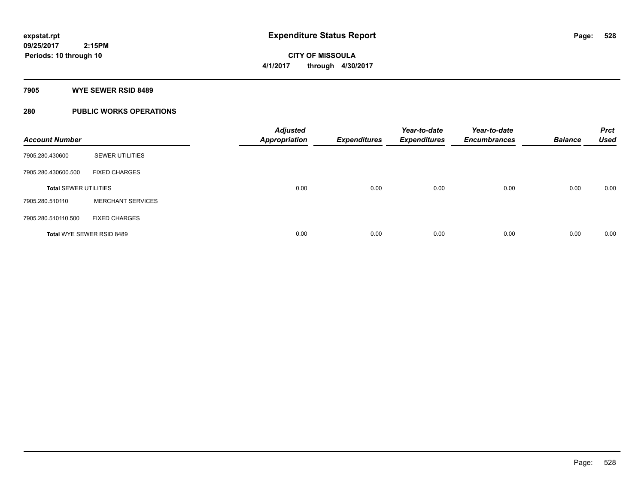**Periods: 10 through 10**

**CITY OF MISSOULA 4/1/2017 through 4/30/2017**

**7905 WYE SEWER RSID 8489**

 **2:15PM**

## **280 PUBLIC WORKS OPERATIONS**

| <b>Account Number</b>        |                                  | <b>Adjusted</b><br><b>Appropriation</b> | <b>Expenditures</b> | Year-to-date<br><b>Expenditures</b> | Year-to-date<br><b>Encumbrances</b> | <b>Balance</b> | <b>Prct</b><br><b>Used</b> |
|------------------------------|----------------------------------|-----------------------------------------|---------------------|-------------------------------------|-------------------------------------|----------------|----------------------------|
| 7905.280.430600              | <b>SEWER UTILITIES</b>           |                                         |                     |                                     |                                     |                |                            |
| 7905.280.430600.500          | <b>FIXED CHARGES</b>             |                                         |                     |                                     |                                     |                |                            |
| <b>Total SEWER UTILITIES</b> |                                  | 0.00                                    | 0.00                | 0.00                                | 0.00                                | 0.00           | 0.00                       |
| 7905.280.510110              | <b>MERCHANT SERVICES</b>         |                                         |                     |                                     |                                     |                |                            |
| 7905.280.510110.500          | <b>FIXED CHARGES</b>             |                                         |                     |                                     |                                     |                |                            |
|                              | <b>Total WYE SEWER RSID 8489</b> | 0.00                                    | 0.00                | 0.00                                | 0.00                                | 0.00           | 0.00                       |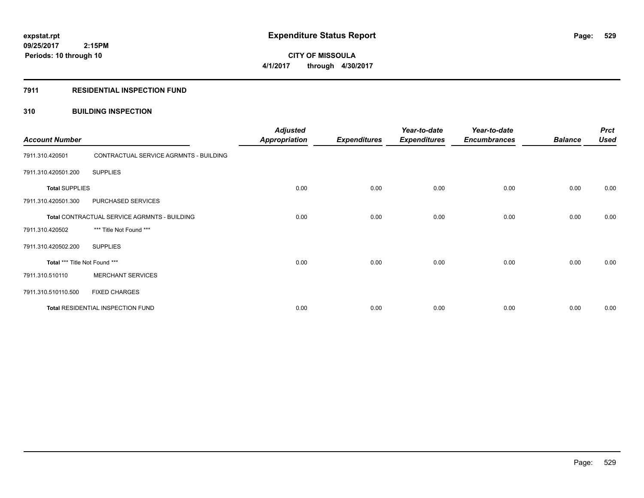**Periods: 10 through 10**

**CITY OF MISSOULA 4/1/2017 through 4/30/2017**

### **7911 RESIDENTIAL INSPECTION FUND**

 **2:15PM**

## **310 BUILDING INSPECTION**

| <b>Account Number</b>                        |                                        | <b>Adjusted</b><br><b>Appropriation</b> | <b>Expenditures</b> | Year-to-date<br><b>Expenditures</b> | Year-to-date<br><b>Encumbrances</b> | <b>Balance</b> | <b>Prct</b><br><b>Used</b> |
|----------------------------------------------|----------------------------------------|-----------------------------------------|---------------------|-------------------------------------|-------------------------------------|----------------|----------------------------|
| 7911.310.420501                              | CONTRACTUAL SERVICE AGRMNTS - BUILDING |                                         |                     |                                     |                                     |                |                            |
| 7911.310.420501.200                          | <b>SUPPLIES</b>                        |                                         |                     |                                     |                                     |                |                            |
| <b>Total SUPPLIES</b>                        |                                        | 0.00                                    | 0.00                | 0.00                                | 0.00                                | 0.00           | 0.00                       |
| 7911.310.420501.300                          | PURCHASED SERVICES                     |                                         |                     |                                     |                                     |                |                            |
| Total CONTRACTUAL SERVICE AGRMNTS - BUILDING |                                        | 0.00                                    | 0.00                | 0.00                                | 0.00                                | 0.00           | 0.00                       |
| 7911.310.420502                              | *** Title Not Found ***                |                                         |                     |                                     |                                     |                |                            |
| 7911.310.420502.200                          | <b>SUPPLIES</b>                        |                                         |                     |                                     |                                     |                |                            |
| Total *** Title Not Found ***                |                                        | 0.00                                    | 0.00                | 0.00                                | 0.00                                | 0.00           | 0.00                       |
| 7911.310.510110                              | <b>MERCHANT SERVICES</b>               |                                         |                     |                                     |                                     |                |                            |
| 7911.310.510110.500                          | <b>FIXED CHARGES</b>                   |                                         |                     |                                     |                                     |                |                            |
| Total RESIDENTIAL INSPECTION FUND            |                                        | 0.00                                    | 0.00                | 0.00                                | 0.00                                | 0.00           | 0.00                       |